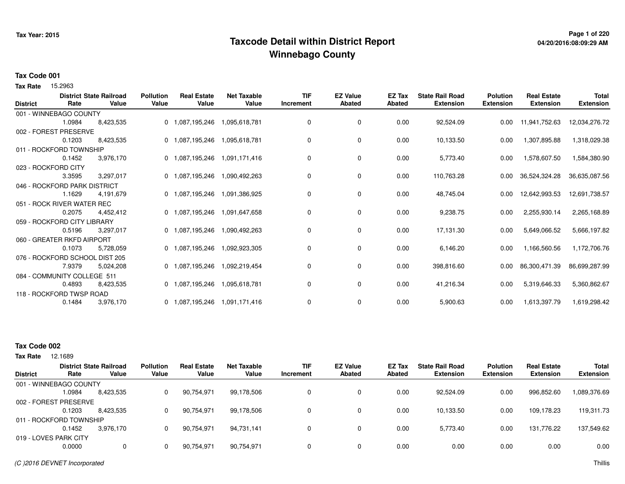## **Page 1 of 220 Taxcode Detail within District ReportWinnebago County**

# **04/20/2016:08:09:29 AM**

#### **Tax Code 001**

Tax Rate 15.2963

| <b>District</b> | Rate                           | <b>District State Railroad</b><br>Value | <b>Pollution</b><br>Value | <b>Real Estate</b><br>Value   | <b>Net Taxable</b><br>Value | <b>TIF</b><br>Increment | <b>EZ Value</b><br><b>Abated</b> | <b>EZ Tax</b><br><b>Abated</b> | <b>State Rail Road</b><br><b>Extension</b> | <b>Polution</b><br><b>Extension</b> | <b>Real Estate</b><br><b>Extension</b> | <b>Total</b><br><b>Extension</b> |
|-----------------|--------------------------------|-----------------------------------------|---------------------------|-------------------------------|-----------------------------|-------------------------|----------------------------------|--------------------------------|--------------------------------------------|-------------------------------------|----------------------------------------|----------------------------------|
|                 | 001 - WINNEBAGO COUNTY         |                                         |                           |                               |                             |                         |                                  |                                |                                            |                                     |                                        |                                  |
|                 | 1.0984                         | 8,423,535                               |                           | 0 1,087,195,246               | 1,095,618,781               | 0                       | 0                                | 0.00                           | 92,524.09                                  | 0.00                                | 11,941,752.63                          | 12,034,276.72                    |
|                 | 002 - FOREST PRESERVE          |                                         |                           |                               |                             |                         |                                  |                                |                                            |                                     |                                        |                                  |
|                 | 0.1203                         | 8,423,535                               |                           | 0 1,087,195,246               | 1,095,618,781               | 0                       | 0                                | 0.00                           | 10,133.50                                  | 0.00                                | 1,307,895.88                           | 1,318,029.38                     |
|                 | 011 - ROCKFORD TOWNSHIP        |                                         |                           |                               |                             |                         |                                  |                                |                                            |                                     |                                        |                                  |
|                 | 0.1452                         | 3,976,170                               |                           | 0 1,087,195,246               | 1,091,171,416               | 0                       | 0                                | 0.00                           | 5,773.40                                   | 0.00                                | 1,578,607.50                           | 1,584,380.90                     |
|                 | 023 - ROCKFORD CITY            |                                         |                           |                               |                             |                         |                                  |                                |                                            |                                     |                                        |                                  |
|                 | 3.3595                         | 3,297,017                               |                           | 0 1,087,195,246               | 1,090,492,263               | 0                       | 0                                | 0.00                           | 110,763.28                                 | 0.00                                | 36,524,324.28                          | 36,635,087.56                    |
|                 | 046 - ROCKFORD PARK DISTRICT   |                                         |                           |                               |                             |                         |                                  |                                |                                            |                                     |                                        |                                  |
|                 | 1.1629                         | 4,191,679                               |                           | 0 1,087,195,246               | 1,091,386,925               | 0                       | $\mathbf 0$                      | 0.00                           | 48,745.04                                  | 0.00                                | 12,642,993.53                          | 12,691,738.57                    |
|                 | 051 - ROCK RIVER WATER REC     |                                         |                           |                               |                             |                         |                                  |                                |                                            |                                     |                                        |                                  |
|                 | 0.2075                         | 4,452,412                               |                           | 0 1,087,195,246               | 1,091,647,658               | 0                       | 0                                | 0.00                           | 9,238.75                                   | 0.00                                | 2,255,930.14                           | 2,265,168.89                     |
|                 | 059 - ROCKFORD CITY LIBRARY    |                                         |                           |                               |                             |                         |                                  |                                |                                            |                                     |                                        |                                  |
|                 | 0.5196                         | 3.297.017                               |                           | 0 1,087,195,246               | 1,090,492,263               | 0                       | 0                                | 0.00                           | 17,131.30                                  | 0.00                                | 5,649,066.52                           | 5,666,197.82                     |
|                 | 060 - GREATER RKFD AIRPORT     |                                         |                           |                               |                             |                         |                                  |                                |                                            |                                     |                                        |                                  |
|                 | 0.1073                         | 5,728,059                               |                           | 0 1,087,195,246               | 1,092,923,305               | 0                       | $\mathbf 0$                      | 0.00                           | 6,146.20                                   | 0.00                                | 1,166,560.56                           | 1,172,706.76                     |
|                 | 076 - ROCKFORD SCHOOL DIST 205 |                                         |                           |                               |                             |                         |                                  |                                |                                            |                                     |                                        |                                  |
|                 | 7.9379                         | 5,024,208                               |                           | 0 1,087,195,246               | 1,092,219,454               | 0                       | $\mathbf 0$                      | 0.00                           | 398,816.60                                 | 0.00                                | 86,300,471.39                          | 86,699,287.99                    |
|                 | 084 - COMMUNITY COLLEGE 511    |                                         |                           |                               |                             |                         |                                  |                                |                                            |                                     |                                        |                                  |
|                 | 0.4893                         | 8,423,535                               |                           | 0 1,087,195,246 1,095,618,781 |                             | 0                       | 0                                | 0.00                           | 41,216.34                                  | 0.00                                | 5,319,646.33                           | 5,360,862.67                     |
|                 | 118 - ROCKFORD TWSP ROAD       |                                         |                           |                               |                             |                         |                                  |                                |                                            |                                     |                                        |                                  |
|                 | 0.1484                         | 3,976,170                               |                           | 0 1,087,195,246 1,091,171,416 |                             | 0                       | 0                                | 0.00                           | 5,900.63                                   | 0.00                                | 1,613,397.79                           | 1,619,298.42                     |

### **Tax Code 002**

|                         | <b>District State Railroad</b> |           | <b>Pollution</b> | <b>Real Estate</b> | Net Taxable | <b>TIF</b> | <b>EZ Value</b> | EZ Tax | <b>State Rail Road</b> | <b>Polution</b>  | <b>Real Estate</b> | <b>Total</b> |
|-------------------------|--------------------------------|-----------|------------------|--------------------|-------------|------------|-----------------|--------|------------------------|------------------|--------------------|--------------|
| <b>District</b>         | Rate                           | Value     | Value            | Value              | Value       | Increment  | <b>Abated</b>   | Abated | <b>Extension</b>       | <b>Extension</b> | <b>Extension</b>   | Extension    |
| 001 - WINNEBAGO COUNTY  |                                |           |                  |                    |             |            |                 |        |                        |                  |                    |              |
|                         | .0984                          | 8,423,535 |                  | 90,754,971         | 99,178,506  |            | 0               | 0.00   | 92,524.09              | 0.00             | 996,852.60         | 1,089,376.69 |
| 002 - FOREST PRESERVE   |                                |           |                  |                    |             |            |                 |        |                        |                  |                    |              |
|                         | 0.1203                         | 8.423.535 |                  | 90,754,971         | 99,178,506  |            | 0               | 0.00   | 10,133.50              | 0.00             | 109.178.23         | 119,311.73   |
| 011 - ROCKFORD TOWNSHIP |                                |           |                  |                    |             |            |                 |        |                        |                  |                    |              |
|                         | 0.1452                         | 3.976.170 |                  | 90,754,971         | 94,731,141  |            | 0               | 0.00   | 5,773.40               | 0.00             | 131.776.22         | 137,549.62   |
| 019 - LOVES PARK CITY   |                                |           |                  |                    |             |            |                 |        |                        |                  |                    |              |
|                         | 0.0000                         |           |                  | 90,754,971         | 90,754,971  |            | 0               | 0.00   | 0.00                   | 0.00             | 0.00               | 0.00         |
|                         |                                |           |                  |                    |             |            |                 |        |                        |                  |                    |              |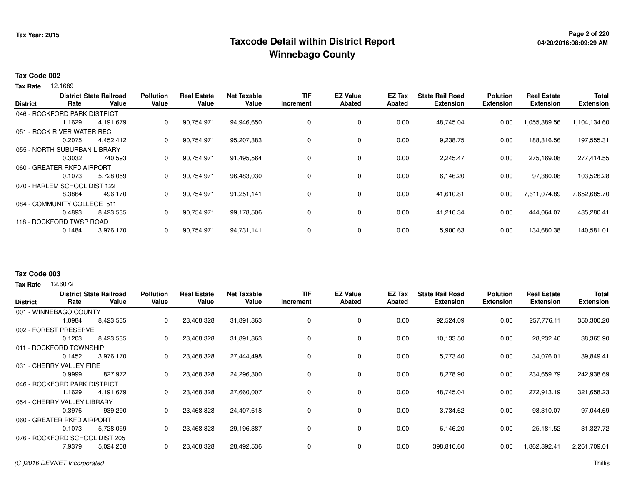## **Page 2 of 220 Taxcode Detail within District ReportWinnebago County**

# **04/20/2016:08:09:29 AM**

### **Tax Code 002**

**Tax Rate** 12.1689

|                 |                              | <b>District State Railroad</b> | <b>Pollution</b> | <b>Real Estate</b> | <b>Net Taxable</b> | TIF       | <b>EZ Value</b> | EZ Tax        | <b>State Rail Road</b> | <b>Polution</b>  | <b>Real Estate</b> | <b>Total</b>     |
|-----------------|------------------------------|--------------------------------|------------------|--------------------|--------------------|-----------|-----------------|---------------|------------------------|------------------|--------------------|------------------|
| <b>District</b> | Rate                         | Value                          | Value            | Value              | Value              | Increment | <b>Abated</b>   | <b>Abated</b> | <b>Extension</b>       | <b>Extension</b> | <b>Extension</b>   | <b>Extension</b> |
|                 | 046 - ROCKFORD PARK DISTRICT |                                |                  |                    |                    |           |                 |               |                        |                  |                    |                  |
|                 | 1.1629                       | 4,191,679                      | 0                | 90,754,971         | 94,946,650         | 0         | 0               | 0.00          | 48.745.04              | 0.00             | 1,055,389.56       | 1,104,134.60     |
|                 | 051 - ROCK RIVER WATER REC   |                                |                  |                    |                    |           |                 |               |                        |                  |                    |                  |
|                 | 0.2075                       | 4,452,412                      | 0                | 90,754,971         | 95,207,383         |           | $\mathbf 0$     | 0.00          | 9,238.75               | 0.00             | 188,316.56         | 197,555.31       |
|                 | 055 - NORTH SUBURBAN LIBRARY |                                |                  |                    |                    |           |                 |               |                        |                  |                    |                  |
|                 | 0.3032                       | 740,593                        | 0                | 90,754,971         | 91,495,564         |           | 0               | 0.00          | 2,245.47               | 0.00             | 275,169.08         | 277,414.55       |
|                 | 060 - GREATER RKFD AIRPORT   |                                |                  |                    |                    |           |                 |               |                        |                  |                    |                  |
|                 | 0.1073                       | 5,728,059                      | 0                | 90,754,971         | 96,483,030         |           | 0               | 0.00          | 6,146.20               | 0.00             | 97,380.08          | 103,526.28       |
|                 | 070 - HARLEM SCHOOL DIST 122 |                                |                  |                    |                    |           |                 |               |                        |                  |                    |                  |
|                 | 8.3864                       | 496,170                        | 0                | 90,754,971         | 91,251,141         | $\Omega$  | 0               | 0.00          | 41,610.81              | 0.00             | 7,611,074.89       | 7,652,685.70     |
|                 | 084 - COMMUNITY COLLEGE 511  |                                |                  |                    |                    |           |                 |               |                        |                  |                    |                  |
|                 | 0.4893                       | 8,423,535                      | 0                | 90,754,971         | 99,178,506         |           | 0               | 0.00          | 41,216.34              | 0.00             | 444,064.07         | 485,280.41       |
|                 | 118 - ROCKFORD TWSP ROAD     |                                |                  |                    |                    |           |                 |               |                        |                  |                    |                  |
|                 | 0.1484                       | 3,976,170                      | 0                | 90,754,971         | 94,731,141         |           | 0               | 0.00          | 5,900.63               | 0.00             | 134,680.38         | 140,581.01       |
|                 |                              |                                |                  |                    |                    |           |                 |               |                        |                  |                    |                  |

#### **Tax Code 003**

**Tax Rate** 12,6072

| <b>District</b>                | Rate                         | <b>District State Railroad</b><br>Value | <b>Pollution</b><br>Value | <b>Real Estate</b><br>Value | <b>Net Taxable</b><br>Value | <b>TIF</b><br>Increment | <b>EZ Value</b><br><b>Abated</b> | <b>EZ Tax</b><br><b>Abated</b> | <b>State Rail Road</b><br><b>Extension</b> | <b>Polution</b><br><b>Extension</b> | <b>Real Estate</b><br><b>Extension</b> | <b>Total</b><br><b>Extension</b> |
|--------------------------------|------------------------------|-----------------------------------------|---------------------------|-----------------------------|-----------------------------|-------------------------|----------------------------------|--------------------------------|--------------------------------------------|-------------------------------------|----------------------------------------|----------------------------------|
|                                | 001 - WINNEBAGO COUNTY       |                                         |                           |                             |                             |                         |                                  |                                |                                            |                                     |                                        |                                  |
|                                | 1.0984                       | 8,423,535                               | 0                         | 23,468,328                  | 31,891,863                  | 0                       | 0                                | 0.00                           | 92,524.09                                  | 0.00                                | 257,776.11                             | 350,300.20                       |
|                                | 002 - FOREST PRESERVE        |                                         |                           |                             |                             |                         |                                  |                                |                                            |                                     |                                        |                                  |
|                                | 0.1203                       | 8,423,535                               | 0                         | 23,468,328                  | 31,891,863                  | 0                       | 0                                | 0.00                           | 10,133.50                                  | 0.00                                | 28,232.40                              | 38,365.90                        |
|                                | 011 - ROCKFORD TOWNSHIP      |                                         |                           |                             |                             |                         |                                  |                                |                                            |                                     |                                        |                                  |
|                                | 0.1452                       | 3,976,170                               | 0                         | 23,468,328                  | 27,444,498                  | 0                       | 0                                | 0.00                           | 5,773.40                                   | 0.00                                | 34,076.01                              | 39,849.41                        |
|                                | 031 - CHERRY VALLEY FIRE     |                                         |                           |                             |                             |                         |                                  |                                |                                            |                                     |                                        |                                  |
|                                | 0.9999                       | 827,972                                 | $\mathbf{0}$              | 23,468,328                  | 24,296,300                  | 0                       | $\mathbf 0$                      | 0.00                           | 8,278.90                                   | 0.00                                | 234,659.79                             | 242,938.69                       |
|                                | 046 - ROCKFORD PARK DISTRICT |                                         |                           |                             |                             |                         |                                  |                                |                                            |                                     |                                        |                                  |
|                                | 1.1629                       | 4,191,679                               | 0                         | 23,468,328                  | 27,660,007                  | 0                       | $\mathbf 0$                      | 0.00                           | 48,745.04                                  | 0.00                                | 272,913.19                             | 321,658.23                       |
|                                | 054 - CHERRY VALLEY LIBRARY  |                                         |                           |                             |                             |                         |                                  |                                |                                            |                                     |                                        |                                  |
|                                | 0.3976                       | 939,290                                 | 0                         | 23,468,328                  | 24,407,618                  | 0                       | 0                                | 0.00                           | 3,734.62                                   | 0.00                                | 93,310.07                              | 97,044.69                        |
|                                | 060 - GREATER RKFD AIRPORT   |                                         |                           |                             |                             |                         |                                  |                                |                                            |                                     |                                        |                                  |
|                                | 0.1073                       | 5,728,059                               | 0                         | 23,468,328                  | 29,196,387                  | 0                       | 0                                | 0.00                           | 6,146.20                                   | 0.00                                | 25,181.52                              | 31,327.72                        |
| 076 - ROCKFORD SCHOOL DIST 205 |                              |                                         |                           |                             |                             |                         |                                  |                                |                                            |                                     |                                        |                                  |
|                                | 7.9379                       | 5,024,208                               | 0                         | 23,468,328                  | 28,492,536                  | 0                       | 0                                | 0.00                           | 398,816.60                                 | 0.00                                | .862,892.41                            | 2,261,709.01                     |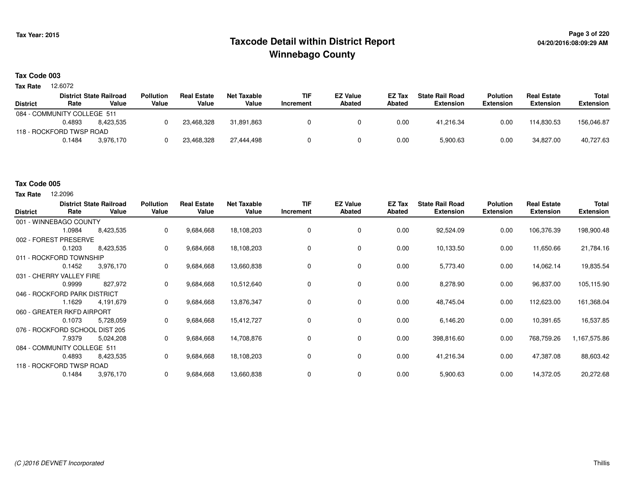## **Page 3 of 220 Taxcode Detail within District ReportWinnebago County**

### **Tax Code 003**

12.6072 **Tax Rate**

|                             |        | <b>District State Railroad</b> | <b>Pollution</b> | <b>Real Estate</b> | Net Taxable | <b>TIF</b> | <b>EZ Value</b> | <b>EZ Tax</b> | <b>State Rail Road</b> | Polution         | <b>Real Estate</b> | Total            |
|-----------------------------|--------|--------------------------------|------------------|--------------------|-------------|------------|-----------------|---------------|------------------------|------------------|--------------------|------------------|
| <b>District</b>             | Rate   | Value                          | Value            | Value              | Value       | Increment  | <b>Abated</b>   | <b>Abated</b> | <b>Extension</b>       | <b>Extension</b> | <b>Extension</b>   | <b>Extension</b> |
| 084 - COMMUNITY COLLEGE 511 |        |                                |                  |                    |             |            |                 |               |                        |                  |                    |                  |
|                             | 0.4893 | 8.423.535                      |                  | 23.468.328         | 31.891.863  |            |                 | 0.00          | 41.216.34              | 0.00             | 114.830.53         | 156,046.87       |
| 118 - ROCKFORD TWSP ROAD    |        |                                |                  |                    |             |            |                 |               |                        |                  |                    |                  |
|                             | 0.1484 | 3.976.170                      |                  | 23,468,328         | 27.444.498  |            |                 | 0.00          | 5,900.63               | 0.00             | 34.827.00          | 40,727.63        |

### **Tax Code 005**

**Tax Rate** 12,2096

| <b>District</b> | Rate                           | <b>District State Railroad</b><br>Value | Pollution<br>Value | <b>Real Estate</b><br>Value | <b>Net Taxable</b><br>Value | TIF<br>Increment | <b>EZ Value</b><br><b>Abated</b> | EZ Tax<br><b>Abated</b> | <b>State Rail Road</b><br><b>Extension</b> | <b>Polution</b><br><b>Extension</b> | <b>Real Estate</b><br><b>Extension</b> | <b>Total</b><br><b>Extension</b> |
|-----------------|--------------------------------|-----------------------------------------|--------------------|-----------------------------|-----------------------------|------------------|----------------------------------|-------------------------|--------------------------------------------|-------------------------------------|----------------------------------------|----------------------------------|
|                 | 001 - WINNEBAGO COUNTY         |                                         |                    |                             |                             |                  |                                  |                         |                                            |                                     |                                        |                                  |
|                 | 1.0984                         | 8,423,535                               | 0                  | 9,684,668                   | 18,108,203                  | 0                | 0                                | 0.00                    | 92,524.09                                  | 0.00                                | 106,376.39                             | 198,900.48                       |
|                 | 002 - FOREST PRESERVE          |                                         |                    |                             |                             |                  |                                  |                         |                                            |                                     |                                        |                                  |
|                 | 0.1203                         | 8,423,535                               | 0                  | 9,684,668                   | 18,108,203                  | 0                | 0                                | 0.00                    | 10,133.50                                  | 0.00                                | 11,650.66                              | 21,784.16                        |
|                 | 011 - ROCKFORD TOWNSHIP        |                                         |                    |                             |                             |                  |                                  |                         |                                            |                                     |                                        |                                  |
|                 | 0.1452                         | 3,976,170                               | 0                  | 9,684,668                   | 13,660,838                  | 0                | 0                                | 0.00                    | 5,773.40                                   | 0.00                                | 14,062.14                              | 19,835.54                        |
|                 | 031 - CHERRY VALLEY FIRE       |                                         |                    |                             |                             |                  |                                  |                         |                                            |                                     |                                        |                                  |
|                 | 0.9999                         | 827,972                                 | 0                  | 9,684,668                   | 10,512,640                  | 0                | 0                                | 0.00                    | 8,278.90                                   | 0.00                                | 96,837.00                              | 105,115.90                       |
|                 | 046 - ROCKFORD PARK DISTRICT   |                                         |                    |                             |                             |                  |                                  |                         |                                            |                                     |                                        |                                  |
|                 | 1.1629                         | 4,191,679                               | 0                  | 9,684,668                   | 13,876,347                  | 0                | 0                                | 0.00                    | 48,745.04                                  | 0.00                                | 112,623.00                             | 161,368.04                       |
|                 | 060 - GREATER RKFD AIRPORT     |                                         |                    |                             |                             |                  |                                  |                         |                                            |                                     |                                        |                                  |
|                 | 0.1073                         | 5,728,059                               | 0                  | 9,684,668                   | 15,412,727                  | 0                | 0                                | 0.00                    | 6,146.20                                   | 0.00                                | 10,391.65                              | 16,537.85                        |
|                 | 076 - ROCKFORD SCHOOL DIST 205 |                                         |                    |                             |                             |                  |                                  |                         |                                            |                                     |                                        |                                  |
|                 | 7.9379                         | 5,024,208                               | 0                  | 9,684,668                   | 14,708,876                  | 0                | 0                                | 0.00                    | 398,816.60                                 | 0.00                                | 768,759.26                             | 1,167,575.86                     |
|                 | 084 - COMMUNITY COLLEGE 511    |                                         |                    |                             |                             |                  |                                  |                         |                                            |                                     |                                        |                                  |
|                 | 0.4893                         | 8,423,535                               | 0                  | 9,684,668                   | 18,108,203                  | 0                | 0                                | 0.00                    | 41,216.34                                  | 0.00                                | 47,387.08                              | 88,603.42                        |
|                 | 118 - ROCKFORD TWSP ROAD       |                                         |                    |                             |                             |                  |                                  |                         |                                            |                                     |                                        |                                  |
|                 | 0.1484                         | 3,976,170                               | 0                  | 9,684,668                   | 13,660,838                  | 0                | 0                                | 0.00                    | 5,900.63                                   | 0.00                                | 14,372.05                              | 20,272.68                        |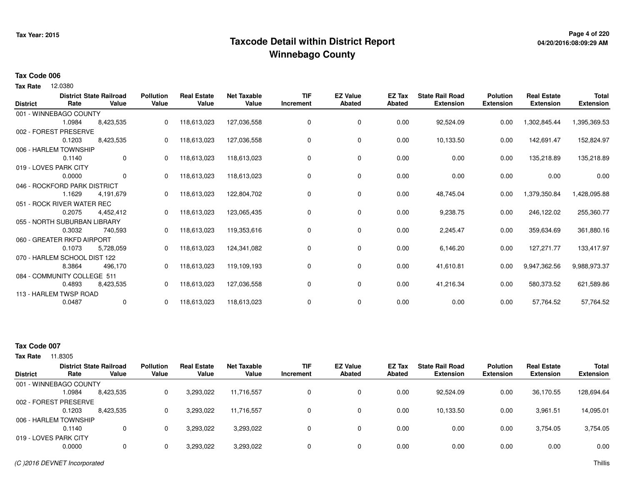## **Page 4 of 220 Taxcode Detail within District ReportWinnebago County**

# **04/20/2016:08:09:29 AM**

#### **Tax Code 006**

12.0380 **Tax Rate**

| Rate   | Value       | Value                                                                                                                                                                                                                                                                                                                                                    | Value            | Value              | Increment          | <b>Abated</b> | Abated          | <b>Extension</b> | <b>Extension</b>       | <b>Extension</b> | Total<br><b>Extension</b> |
|--------|-------------|----------------------------------------------------------------------------------------------------------------------------------------------------------------------------------------------------------------------------------------------------------------------------------------------------------------------------------------------------------|------------------|--------------------|--------------------|---------------|-----------------|------------------|------------------------|------------------|---------------------------|
|        |             |                                                                                                                                                                                                                                                                                                                                                          |                  |                    |                    |               |                 |                  |                        |                  |                           |
| 1.0984 | 8,423,535   | 0                                                                                                                                                                                                                                                                                                                                                        | 118,613,023      | 127,036,558        | 0                  | 0             | 0.00            | 92,524.09        | 0.00                   | 1,302,845.44     | 1,395,369.53              |
|        |             |                                                                                                                                                                                                                                                                                                                                                          |                  |                    |                    |               |                 |                  |                        |                  |                           |
| 0.1203 | 8,423,535   | 0                                                                                                                                                                                                                                                                                                                                                        | 118,613,023      | 127,036,558        | 0                  | 0             | 0.00            | 10,133.50        | 0.00                   | 142,691.47       | 152,824.97                |
|        |             |                                                                                                                                                                                                                                                                                                                                                          |                  |                    |                    |               |                 |                  |                        |                  |                           |
| 0.1140 | 0           | 0                                                                                                                                                                                                                                                                                                                                                        | 118,613,023      | 118,613,023        | 0                  | 0             | 0.00            | 0.00             | 0.00                   | 135,218.89       | 135,218.89                |
|        |             |                                                                                                                                                                                                                                                                                                                                                          |                  |                    |                    |               |                 |                  |                        |                  |                           |
| 0.0000 | $\mathbf 0$ | 0                                                                                                                                                                                                                                                                                                                                                        | 118,613,023      | 118,613,023        | 0                  | 0             | 0.00            | 0.00             | 0.00                   | 0.00             | 0.00                      |
|        |             |                                                                                                                                                                                                                                                                                                                                                          |                  |                    |                    |               |                 |                  |                        |                  |                           |
| 1.1629 | 4,191,679   |                                                                                                                                                                                                                                                                                                                                                          | 118,613,023      | 122,804,702        | 0                  | 0             | 0.00            | 48,745.04        | 0.00                   | 1,379,350.84     | 1,428,095.88              |
|        |             |                                                                                                                                                                                                                                                                                                                                                          |                  |                    |                    |               |                 |                  |                        |                  |                           |
| 0.2075 | 4,452,412   |                                                                                                                                                                                                                                                                                                                                                          | 118,613,023      | 123,065,435        | 0                  | 0             | 0.00            | 9,238.75         | 0.00                   | 246,122.02       | 255,360.77                |
|        |             |                                                                                                                                                                                                                                                                                                                                                          |                  |                    |                    |               |                 |                  |                        |                  |                           |
| 0.3032 | 740,593     | 0                                                                                                                                                                                                                                                                                                                                                        | 118,613,023      | 119,353,616        | 0                  | 0             | 0.00            | 2,245.47         | 0.00                   | 359,634.69       | 361,880.16                |
|        |             |                                                                                                                                                                                                                                                                                                                                                          |                  |                    |                    |               |                 |                  |                        |                  |                           |
| 0.1073 | 5,728,059   | 0                                                                                                                                                                                                                                                                                                                                                        | 118,613,023      | 124,341,082        | 0                  | 0             | 0.00            | 6,146.20         | 0.00                   | 127,271.77       | 133,417.97                |
|        |             |                                                                                                                                                                                                                                                                                                                                                          |                  |                    |                    |               |                 |                  |                        |                  |                           |
| 8.3864 | 496,170     | $\Omega$                                                                                                                                                                                                                                                                                                                                                 | 118,613,023      | 119,109,193        | 0                  | 0             | 0.00            | 41,610.81        | 0.00                   | 9,947,362.56     | 9,988,973.37              |
|        |             |                                                                                                                                                                                                                                                                                                                                                          |                  |                    |                    |               |                 |                  |                        |                  |                           |
| 0.4893 | 8,423,535   | 0                                                                                                                                                                                                                                                                                                                                                        | 118,613,023      | 127,036,558        | 0                  | 0             | 0.00            | 41,216.34        | 0.00                   | 580,373.52       | 621,589.86                |
|        |             |                                                                                                                                                                                                                                                                                                                                                          |                  |                    |                    |               |                 |                  |                        |                  |                           |
| 0.0487 | 0           | 0                                                                                                                                                                                                                                                                                                                                                        | 118,613,023      | 118,613,023        | 0                  | 0             | 0.00            | 0.00             | 0.00                   | 57,764.52        | 57,764.52                 |
|        |             | <b>District State Railroad</b><br>001 - WINNEBAGO COUNTY<br>002 - FOREST PRESERVE<br>006 - HARLEM TOWNSHIP<br>019 - LOVES PARK CITY<br>046 - ROCKFORD PARK DISTRICT<br>051 - ROCK RIVER WATER REC<br>055 - NORTH SUBURBAN LIBRARY<br>060 - GREATER RKFD AIRPORT<br>070 - HARLEM SCHOOL DIST 122<br>084 - COMMUNITY COLLEGE 511<br>113 - HARLEM TWSP ROAD | <b>Pollution</b> | <b>Real Estate</b> | <b>Net Taxable</b> | TIF           | <b>EZ Value</b> | EZ Tax           | <b>State Rail Road</b> | <b>Polution</b>  | <b>Real Estate</b>        |

### **Tax Code 007**

|                        |        | <b>District State Railroad</b> | <b>Pollution</b> | <b>Real Estate</b> | <b>Net Taxable</b> | <b>TIF</b> | <b>EZ Value</b> | <b>EZ Tax</b> | <b>State Rail Road</b> | <b>Polution</b>  | <b>Real Estate</b> | <b>Total</b>     |
|------------------------|--------|--------------------------------|------------------|--------------------|--------------------|------------|-----------------|---------------|------------------------|------------------|--------------------|------------------|
| <b>District</b>        | Rate   | Value                          | Value            | Value              | Value              | Increment  | <b>Abated</b>   | Abated        | <b>Extension</b>       | <b>Extension</b> | <b>Extension</b>   | <b>Extension</b> |
| 001 - WINNEBAGO COUNTY |        |                                |                  |                    |                    |            |                 |               |                        |                  |                    |                  |
|                        | .0984  | 8,423,535                      |                  | 3,293,022          | 11,716,557         | 0          | 0               | 0.00          | 92,524.09              | 0.00             | 36,170.55          | 128,694.64       |
| 002 - FOREST PRESERVE  |        |                                |                  |                    |                    |            |                 |               |                        |                  |                    |                  |
|                        | 0.1203 | 8,423,535                      |                  | 3,293,022          | 11,716,557         | 0          | 0               | 0.00          | 10,133.50              | 0.00             | 3,961.51           | 14,095.01        |
| 006 - HARLEM TOWNSHIP  |        |                                |                  |                    |                    |            |                 |               |                        |                  |                    |                  |
|                        | 0.1140 |                                |                  | 3,293,022          | 3,293,022          | 0          | 0               | 0.00          | 0.00                   | 0.00             | 3,754.05           | 3,754.05         |
| 019 - LOVES PARK CITY  |        |                                |                  |                    |                    |            |                 |               |                        |                  |                    |                  |
|                        | 0.0000 |                                |                  | 3,293,022          | 3,293,022          | $\Omega$   | 0               | 0.00          | 0.00                   | 0.00             | 0.00               | 0.00             |
|                        |        |                                |                  |                    |                    |            |                 |               |                        |                  |                    |                  |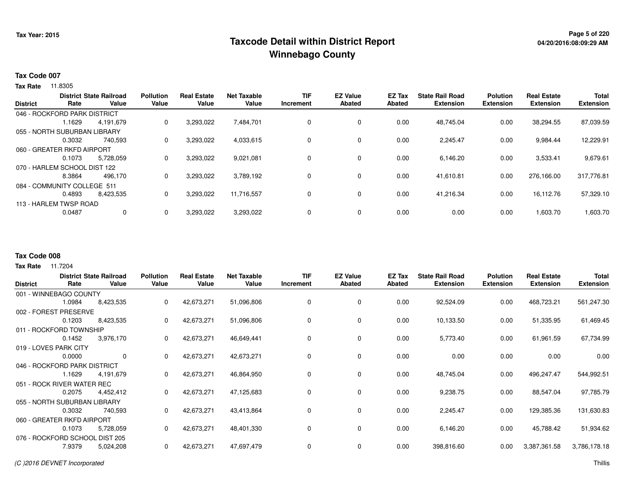## **Page 5 of 220 Taxcode Detail within District ReportWinnebago County**

### **Tax Code 007**

**Tax Rate** 11.8305

| <b>District</b> | Rate                         | <b>District State Railroad</b><br>Value | <b>Pollution</b><br>Value | <b>Real Estate</b><br>Value | <b>Net Taxable</b><br>Value | TIF<br>Increment | <b>EZ Value</b><br><b>Abated</b> | EZ Tax<br>Abated | <b>State Rail Road</b><br><b>Extension</b> | <b>Polution</b><br><b>Extension</b> | <b>Real Estate</b><br><b>Extension</b> | <b>Total</b><br><b>Extension</b> |
|-----------------|------------------------------|-----------------------------------------|---------------------------|-----------------------------|-----------------------------|------------------|----------------------------------|------------------|--------------------------------------------|-------------------------------------|----------------------------------------|----------------------------------|
|                 | 046 - ROCKFORD PARK DISTRICT |                                         |                           |                             |                             |                  |                                  |                  |                                            |                                     |                                        |                                  |
|                 | i.1629                       | 4,191,679                               | 0                         | 3,293,022                   | 7,484,701                   |                  | 0                                | 0.00             | 48,745.04                                  | 0.00                                | 38,294.55                              | 87,039.59                        |
|                 | 055 - NORTH SUBURBAN LIBRARY |                                         |                           |                             |                             |                  |                                  |                  |                                            |                                     |                                        |                                  |
|                 | 0.3032                       | 740.593                                 | 0                         | 3,293,022                   | 4,033,615                   |                  | 0                                | 0.00             | 2,245.47                                   | 0.00                                | 9,984.44                               | 12,229.91                        |
|                 | 060 - GREATER RKFD AIRPORT   |                                         |                           |                             |                             |                  |                                  |                  |                                            |                                     |                                        |                                  |
|                 | 0.1073                       | 5,728,059                               | 0                         | 3,293,022                   | 9,021,081                   |                  | $\Omega$                         | 0.00             | 6,146.20                                   | 0.00                                | 3,533.41                               | 9,679.61                         |
|                 | 070 - HARLEM SCHOOL DIST 122 |                                         |                           |                             |                             |                  |                                  |                  |                                            |                                     |                                        |                                  |
|                 | 8.3864                       | 496,170                                 | 0                         | 3,293,022                   | 3,789,192                   |                  | 0                                | 0.00             | 41,610.81                                  | 0.00                                | 276.166.00                             | 317,776.81                       |
|                 | 084 - COMMUNITY COLLEGE 511  |                                         |                           |                             |                             |                  |                                  |                  |                                            |                                     |                                        |                                  |
|                 | 0.4893                       | 8,423,535                               | 0                         | 3,293,022                   | 11,716,557                  |                  | 0                                | 0.00             | 41,216.34                                  | 0.00                                | 16,112.76                              | 57,329.10                        |
|                 | 113 - HARLEM TWSP ROAD       |                                         |                           |                             |                             |                  |                                  |                  |                                            |                                     |                                        |                                  |
|                 | 0.0487                       | 0                                       |                           | 3,293,022                   | 3,293,022                   |                  | 0                                | 0.00             | 0.00                                       | 0.00                                | 1,603.70                               | 1,603.70                         |

#### **Tax Code 008**

| <b>District</b> | Rate                           | <b>District State Railroad</b><br>Value | <b>Pollution</b><br>Value | <b>Real Estate</b><br>Value | <b>Net Taxable</b><br>Value | <b>TIF</b><br>Increment | <b>EZ Value</b><br><b>Abated</b> | <b>EZ Tax</b><br><b>Abated</b> | <b>State Rail Road</b><br><b>Extension</b> | <b>Polution</b><br><b>Extension</b> | <b>Real Estate</b><br><b>Extension</b> | <b>Total</b><br><b>Extension</b> |
|-----------------|--------------------------------|-----------------------------------------|---------------------------|-----------------------------|-----------------------------|-------------------------|----------------------------------|--------------------------------|--------------------------------------------|-------------------------------------|----------------------------------------|----------------------------------|
|                 | 001 - WINNEBAGO COUNTY         |                                         |                           |                             |                             |                         |                                  |                                |                                            |                                     |                                        |                                  |
|                 | 1.0984                         | 8,423,535                               | 0                         | 42,673,271                  | 51,096,806                  | 0                       | 0                                | 0.00                           | 92,524.09                                  | 0.00                                | 468,723.21                             | 561,247.30                       |
|                 | 002 - FOREST PRESERVE          |                                         |                           |                             |                             |                         |                                  |                                |                                            |                                     |                                        |                                  |
|                 | 0.1203                         | 8,423,535                               | 0                         | 42,673,271                  | 51,096,806                  | 0                       | 0                                | 0.00                           | 10,133.50                                  | 0.00                                | 51,335.95                              | 61,469.45                        |
|                 | 011 - ROCKFORD TOWNSHIP        |                                         |                           |                             |                             |                         |                                  |                                |                                            |                                     |                                        |                                  |
|                 | 0.1452                         | 3,976,170                               | 0                         | 42,673,271                  | 46,649,441                  | 0                       | $\mathbf 0$                      | 0.00                           | 5,773.40                                   | 0.00                                | 61,961.59                              | 67,734.99                        |
|                 | 019 - LOVES PARK CITY          |                                         |                           |                             |                             |                         |                                  |                                |                                            |                                     |                                        |                                  |
|                 | 0.0000                         | $\mathbf 0$                             | 0                         | 42,673,271                  | 42,673,271                  | 0                       | 0                                | 0.00                           | 0.00                                       | 0.00                                | 0.00                                   | 0.00                             |
|                 | 046 - ROCKFORD PARK DISTRICT   |                                         |                           |                             |                             |                         |                                  |                                |                                            |                                     |                                        |                                  |
|                 | 1.1629                         | 4,191,679                               | 0                         | 42,673,271                  | 46,864,950                  | 0                       | $\mathbf 0$                      | 0.00                           | 48,745.04                                  | 0.00                                | 496,247.47                             | 544,992.51                       |
|                 | 051 - ROCK RIVER WATER REC     |                                         |                           |                             |                             |                         |                                  |                                |                                            |                                     |                                        |                                  |
|                 | 0.2075                         | 4,452,412                               | 0                         | 42,673,271                  | 47,125,683                  | 0                       | 0                                | 0.00                           | 9,238.75                                   | 0.00                                | 88,547.04                              | 97,785.79                        |
|                 | 055 - NORTH SUBURBAN LIBRARY   |                                         |                           |                             |                             |                         |                                  |                                |                                            |                                     |                                        |                                  |
|                 | 0.3032                         | 740,593                                 | 0                         | 42,673,271                  | 43,413,864                  | $\mathbf 0$             | $\mathbf 0$                      | 0.00                           | 2,245.47                                   | 0.00                                | 129,385.36                             | 131,630.83                       |
|                 | 060 - GREATER RKFD AIRPORT     |                                         |                           |                             |                             |                         |                                  |                                |                                            |                                     |                                        |                                  |
|                 | 0.1073                         | 5,728,059                               | 0                         | 42,673,271                  | 48,401,330                  | 0                       | $\mathbf 0$                      | 0.00                           | 6,146.20                                   | 0.00                                | 45,788.42                              | 51,934.62                        |
|                 | 076 - ROCKFORD SCHOOL DIST 205 |                                         |                           |                             |                             |                         |                                  |                                |                                            |                                     |                                        |                                  |
|                 | 7.9379                         | 5,024,208                               | 0                         | 42,673,271                  | 47,697,479                  | 0                       | 0                                | 0.00                           | 398,816.60                                 | 0.00                                | 3,387,361.58                           | 3,786,178.18                     |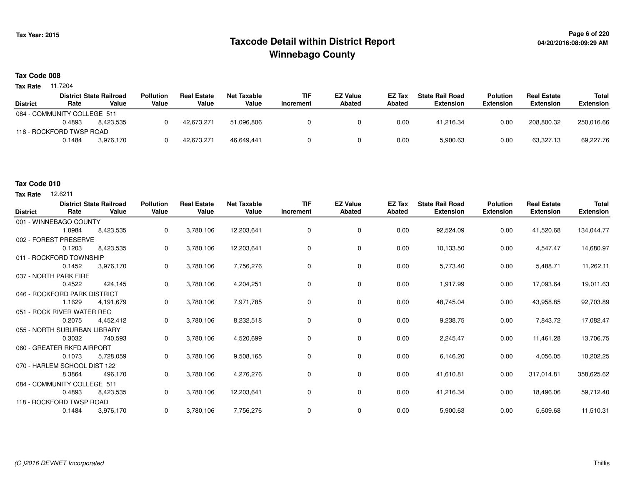## **Page 6 of 220 Taxcode Detail within District ReportWinnebago County**

### **Tax Code 008**

**Tax Rate** 11.7204

|                 |                             | <b>District State Railroad</b> | <b>Pollution</b> | <b>Real Estate</b> | <b>Net Taxable</b> | <b>TIF</b> | <b>EZ Value</b> | <b>EZ Tax</b> | <b>State Rail Road</b> | Polution         | <b>Real Estate</b> | Total            |
|-----------------|-----------------------------|--------------------------------|------------------|--------------------|--------------------|------------|-----------------|---------------|------------------------|------------------|--------------------|------------------|
| <b>District</b> | Rate                        | Value                          | Value            | Value              | Value              | Increment  | <b>Abated</b>   | <b>Abated</b> | Extension              | <b>Extension</b> | <b>Extension</b>   | <b>Extension</b> |
|                 | 084 - COMMUNITY COLLEGE 511 |                                |                  |                    |                    |            |                 |               |                        |                  |                    |                  |
|                 | 0.4893                      | 8.423.535                      |                  | 42.673.271         | 51.096.806         |            |                 | 0.00          | 41.216.34              | 0.00             | 208,800.32         | 250,016.66       |
|                 | 118 - ROCKFORD TWSP ROAD    |                                |                  |                    |                    |            |                 |               |                        |                  |                    |                  |
|                 | 0.1484                      | 3.976.170                      |                  | 42,673,271         | 46.649.441         |            |                 | 0.00          | 5,900.63               | 0.00             | 63.327.13          | 69,227.76        |

### **Tax Code 010**

| <b>District</b> | Rate                         | <b>District State Railroad</b><br>Value | <b>Pollution</b><br>Value | <b>Real Estate</b><br>Value | <b>Net Taxable</b><br>Value | <b>TIF</b><br>Increment | <b>EZ Value</b><br><b>Abated</b> | EZ Tax<br><b>Abated</b> | <b>State Rail Road</b><br><b>Extension</b> | <b>Polution</b><br><b>Extension</b> | <b>Real Estate</b><br><b>Extension</b> | <b>Total</b><br><b>Extension</b> |
|-----------------|------------------------------|-----------------------------------------|---------------------------|-----------------------------|-----------------------------|-------------------------|----------------------------------|-------------------------|--------------------------------------------|-------------------------------------|----------------------------------------|----------------------------------|
|                 | 001 - WINNEBAGO COUNTY       |                                         |                           |                             |                             |                         |                                  |                         |                                            |                                     |                                        |                                  |
|                 | 1.0984                       | 8,423,535                               | 0                         | 3,780,106                   | 12,203,641                  | $\mathbf 0$             | 0                                | 0.00                    | 92,524.09                                  | 0.00                                | 41,520.68                              | 134,044.77                       |
|                 | 002 - FOREST PRESERVE        |                                         |                           |                             |                             |                         |                                  |                         |                                            |                                     |                                        |                                  |
|                 | 0.1203                       | 8,423,535                               | 0                         | 3,780,106                   | 12,203,641                  | 0                       | 0                                | 0.00                    | 10,133.50                                  | 0.00                                | 4,547.47                               | 14,680.97                        |
|                 | 011 - ROCKFORD TOWNSHIP      |                                         |                           |                             |                             |                         |                                  |                         |                                            |                                     |                                        |                                  |
|                 | 0.1452                       | 3,976,170                               | 0                         | 3,780,106                   | 7,756,276                   | 0                       | 0                                | 0.00                    | 5,773.40                                   | 0.00                                | 5,488.71                               | 11,262.11                        |
|                 | 037 - NORTH PARK FIRE        |                                         |                           |                             |                             |                         |                                  |                         |                                            |                                     |                                        |                                  |
|                 | 0.4522                       | 424,145                                 | 0                         | 3,780,106                   | 4,204,251                   | 0                       | 0                                | 0.00                    | 1,917.99                                   | 0.00                                | 17,093.64                              | 19,011.63                        |
|                 | 046 - ROCKFORD PARK DISTRICT |                                         |                           |                             |                             |                         |                                  |                         |                                            |                                     |                                        |                                  |
|                 | 1.1629                       | 4,191,679                               | 0                         | 3,780,106                   | 7,971,785                   | 0                       | 0                                | 0.00                    | 48,745.04                                  | 0.00                                | 43,958.85                              | 92,703.89                        |
|                 | 051 - ROCK RIVER WATER REC   |                                         |                           |                             |                             |                         |                                  |                         |                                            |                                     |                                        |                                  |
|                 | 0.2075                       | 4,452,412                               | 0                         | 3,780,106                   | 8,232,518                   | 0                       | 0                                | 0.00                    | 9,238.75                                   | 0.00                                | 7,843.72                               | 17,082.47                        |
|                 | 055 - NORTH SUBURBAN LIBRARY |                                         |                           |                             |                             |                         |                                  |                         |                                            |                                     |                                        |                                  |
|                 | 0.3032                       | 740,593                                 | 0                         | 3,780,106                   | 4,520,699                   | 0                       | 0                                | 0.00                    | 2,245.47                                   | 0.00                                | 11,461.28                              | 13,706.75                        |
|                 | 060 - GREATER RKFD AIRPORT   |                                         |                           |                             |                             |                         |                                  |                         |                                            |                                     |                                        |                                  |
|                 | 0.1073                       | 5,728,059                               | 0                         | 3,780,106                   | 9,508,165                   | 0                       | 0                                | 0.00                    | 6,146.20                                   | 0.00                                | 4,056.05                               | 10,202.25                        |
|                 | 070 - HARLEM SCHOOL DIST 122 |                                         |                           |                             |                             |                         |                                  |                         |                                            |                                     |                                        |                                  |
|                 | 8.3864                       | 496,170                                 | 0                         | 3,780,106                   | 4,276,276                   | 0                       | 0                                | 0.00                    | 41,610.81                                  | 0.00                                | 317,014.81                             | 358,625.62                       |
|                 | 084 - COMMUNITY COLLEGE 511  |                                         |                           |                             |                             |                         |                                  |                         |                                            |                                     |                                        |                                  |
|                 | 0.4893                       | 8,423,535                               | 0                         | 3,780,106                   | 12,203,641                  | $\mathbf 0$             | 0                                | 0.00                    | 41,216.34                                  | 0.00                                | 18,496.06                              | 59,712.40                        |
|                 | 118 - ROCKFORD TWSP ROAD     |                                         |                           |                             |                             |                         |                                  |                         |                                            |                                     |                                        |                                  |
|                 | 0.1484                       | 3,976,170                               | 0                         | 3,780,106                   | 7,756,276                   | 0                       | 0                                | 0.00                    | 5,900.63                                   | 0.00                                | 5,609.68                               | 11,510.31                        |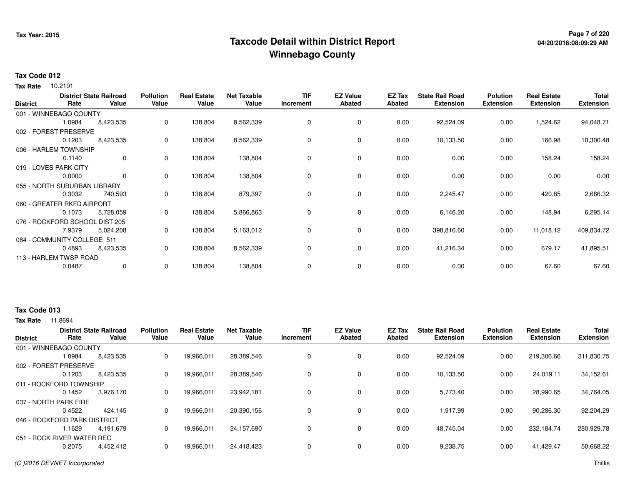## **Page 7 of 220 Taxcode Detail within District ReportWinnebago County**

# **04/20/2016:08:09:29 AM**

### **Tax Code 012**

10.2191 **Tax Rate**

| <b>District</b> | Rate                           | <b>District State Railroad</b><br>Value | <b>Pollution</b><br>Value | <b>Real Estate</b><br>Value | <b>Net Taxable</b><br>Value | <b>TIF</b><br>Increment | <b>EZ Value</b><br>Abated | EZ Tax<br><b>Abated</b> | <b>State Rail Road</b><br><b>Extension</b> | <b>Polution</b><br><b>Extension</b> | <b>Real Estate</b><br><b>Extension</b> | Total<br><b>Extension</b> |
|-----------------|--------------------------------|-----------------------------------------|---------------------------|-----------------------------|-----------------------------|-------------------------|---------------------------|-------------------------|--------------------------------------------|-------------------------------------|----------------------------------------|---------------------------|
|                 | 001 - WINNEBAGO COUNTY         |                                         |                           |                             |                             |                         |                           |                         |                                            |                                     |                                        |                           |
|                 | 1.0984                         | 8,423,535                               | $\mathbf 0$               | 138,804                     | 8,562,339                   | 0                       | 0                         | 0.00                    | 92,524.09                                  | 0.00                                | 1,524.62                               | 94,048.71                 |
|                 | 002 - FOREST PRESERVE          |                                         |                           |                             |                             |                         |                           |                         |                                            |                                     |                                        |                           |
|                 | 0.1203                         | 8,423,535                               | 0                         | 138,804                     | 8,562,339                   | 0                       | 0                         | 0.00                    | 10,133.50                                  | 0.00                                | 166.98                                 | 10,300.48                 |
|                 | 006 - HARLEM TOWNSHIP          |                                         |                           |                             |                             |                         |                           |                         |                                            |                                     |                                        |                           |
|                 | 0.1140                         | $\mathbf{0}$                            | 0                         | 138,804                     | 138,804                     | 0                       | $\mathbf 0$               | 0.00                    | 0.00                                       | 0.00                                | 158.24                                 | 158.24                    |
|                 | 019 - LOVES PARK CITY          |                                         |                           |                             |                             |                         |                           |                         |                                            |                                     |                                        |                           |
|                 | 0.0000                         | $\mathbf 0$                             | 0                         | 138,804                     | 138,804                     | 0                       | $\mathbf 0$               | 0.00                    | 0.00                                       | 0.00                                | 0.00                                   | 0.00                      |
|                 | 055 - NORTH SUBURBAN LIBRARY   |                                         |                           |                             |                             |                         |                           |                         |                                            |                                     |                                        |                           |
|                 | 0.3032                         | 740,593                                 | 0                         | 138,804                     | 879,397                     | 0                       | $\mathbf 0$               | 0.00                    | 2,245.47                                   | 0.00                                | 420.85                                 | 2,666.32                  |
|                 | 060 - GREATER RKFD AIRPORT     |                                         |                           |                             |                             |                         |                           |                         |                                            |                                     |                                        |                           |
|                 | 0.1073                         | 5,728,059                               | 0                         | 138,804                     | 5,866,863                   | 0                       | 0                         | 0.00                    | 6,146.20                                   | 0.00                                | 148.94                                 | 6,295.14                  |
|                 | 076 - ROCKFORD SCHOOL DIST 205 |                                         |                           |                             |                             |                         |                           |                         |                                            |                                     |                                        |                           |
|                 | 7.9379                         | 5,024,208                               | 0                         | 138,804                     | 5,163,012                   | 0                       | $\mathbf 0$               | 0.00                    | 398,816.60                                 | 0.00                                | 11,018.12                              | 409,834.72                |
|                 | 084 - COMMUNITY COLLEGE 511    |                                         |                           |                             |                             |                         |                           |                         |                                            |                                     |                                        |                           |
|                 | 0.4893                         | 8,423,535                               | 0                         | 138,804                     | 8,562,339                   | 0                       | $\mathbf 0$               | 0.00                    | 41,216.34                                  | 0.00                                | 679.17                                 | 41,895.51                 |
|                 | 113 - HARLEM TWSP ROAD         |                                         |                           |                             |                             |                         |                           |                         |                                            |                                     |                                        |                           |
|                 | 0.0487                         | 0                                       | 0                         | 138,804                     | 138,804                     | 0                       | 0                         | 0.00                    | 0.00                                       | 0.00                                | 67.60                                  | 67.60                     |
|                 |                                |                                         |                           |                             |                             |                         |                           |                         |                                            |                                     |                                        |                           |

### **Tax Code 013**

| <b>District</b>         | Rate                         | <b>District State Railroad</b><br>Value | <b>Pollution</b><br>Value | <b>Real Estate</b><br>Value | <b>Net Taxable</b><br>Value | <b>TIF</b><br>Increment | <b>EZ Value</b><br><b>Abated</b> | <b>EZ Tax</b><br>Abated | <b>State Rail Road</b><br><b>Extension</b> | <b>Polution</b><br><b>Extension</b> | <b>Real Estate</b><br><b>Extension</b> | <b>Total</b><br><b>Extension</b> |
|-------------------------|------------------------------|-----------------------------------------|---------------------------|-----------------------------|-----------------------------|-------------------------|----------------------------------|-------------------------|--------------------------------------------|-------------------------------------|----------------------------------------|----------------------------------|
|                         | 001 - WINNEBAGO COUNTY       |                                         |                           |                             |                             |                         |                                  |                         |                                            |                                     |                                        |                                  |
|                         | 1.0984                       | 8,423,535                               | 0                         | 19,966,011                  | 28,389,546                  | 0                       | 0                                | 0.00                    | 92,524.09                                  | 0.00                                | 219,306.66                             | 311,830.75                       |
|                         | 002 - FOREST PRESERVE        |                                         |                           |                             |                             |                         |                                  |                         |                                            |                                     |                                        |                                  |
|                         | 0.1203                       | 8.423.535                               | 0                         | 19,966,011                  | 28,389,546                  | 0                       | 0                                | 0.00                    | 10.133.50                                  | 0.00                                | 24.019.11                              | 34,152.61                        |
| 011 - ROCKFORD TOWNSHIP |                              |                                         |                           |                             |                             |                         |                                  |                         |                                            |                                     |                                        |                                  |
|                         | 0.1452                       | 3,976,170                               | 0                         | 19,966,011                  | 23,942,181                  | 0                       | 0                                | 0.00                    | 5,773.40                                   | 0.00                                | 28,990.65                              | 34,764.05                        |
|                         | 037 - NORTH PARK FIRE        |                                         |                           |                             |                             |                         |                                  |                         |                                            |                                     |                                        |                                  |
|                         | 0.4522                       | 424,145                                 | 0                         | 19,966,011                  | 20,390,156                  | 0                       | 0                                | 0.00                    | 1,917.99                                   | 0.00                                | 90,286.30                              | 92,204.29                        |
|                         | 046 - ROCKFORD PARK DISTRICT |                                         |                           |                             |                             |                         |                                  |                         |                                            |                                     |                                        |                                  |
|                         | .1629                        | 4.191.679                               | 0                         | 19,966,011                  | 24.157.690                  | 0                       | 0                                | 0.00                    | 48.745.04                                  | 0.00                                | 232.184.74                             | 280,929.78                       |
|                         | 051 - ROCK RIVER WATER REC   |                                         |                           |                             |                             |                         |                                  |                         |                                            |                                     |                                        |                                  |
|                         | 0.2075                       | 4,452,412                               | 0                         | 19,966,011                  | 24,418,423                  | 0                       | 0                                | 0.00                    | 9,238.75                                   | 0.00                                | 41.429.47                              | 50,668.22                        |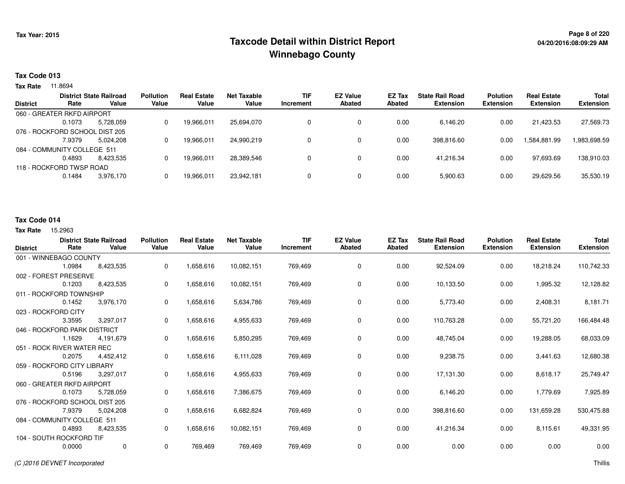## **Page 8 of 220 Taxcode Detail within District ReportWinnebago County**

#### **Tax Code 013**

**Tax Rate** 11.8694

|                             |                                | <b>District State Railroad</b> | <b>Pollution</b> | <b>Real Estate</b> | Net Taxable | <b>TIF</b> | <b>EZ Value</b> | EZ Tax | <b>State Rail Road</b> | <b>Polution</b>  | <b>Real Estate</b> | <b>Total</b>     |
|-----------------------------|--------------------------------|--------------------------------|------------------|--------------------|-------------|------------|-----------------|--------|------------------------|------------------|--------------------|------------------|
| <b>District</b>             | Rate                           | Value                          | Value            | Value              | Value       | Increment  | <b>Abated</b>   | Abated | <b>Extension</b>       | <b>Extension</b> | <b>Extension</b>   | <b>Extension</b> |
|                             | 060 - GREATER RKFD AIRPORT     |                                |                  |                    |             |            |                 |        |                        |                  |                    |                  |
|                             | 0.1073                         | 5.728.059                      | 0                | 19,966,011         | 25.694.070  |            | 0               | 0.00   | 6,146.20               | 0.00             | 21.423.53          | 27,569.73        |
|                             | 076 - ROCKFORD SCHOOL DIST 205 |                                |                  |                    |             |            |                 |        |                        |                  |                    |                  |
|                             | 7.9379                         | 5.024.208                      | 0                | 19,966,011         | 24.990.219  |            | 0               | 0.00   | 398,816.60             | 0.00             | 584,881.99. ا      | 1,983,698.59     |
| 084 - COMMUNITY COLLEGE 511 |                                |                                |                  |                    |             |            |                 |        |                        |                  |                    |                  |
|                             | 0.4893                         | 8.423.535                      | 0                | 19,966,011         | 28.389.546  |            | 0               | 0.00   | 41.216.34              | 0.00             | 97,693.69          | 138,910.03       |
|                             | 118 - ROCKFORD TWSP ROAD       |                                |                  |                    |             |            |                 |        |                        |                  |                    |                  |
|                             | 0.1484                         | 3.976.170                      | 0                | 19,966,011         | 23,942,181  |            | 0               | 0.00   | 5,900.63               | 0.00             | 29,629.56          | 35,530.19        |

#### **Tax Code 014**

#### **Tax Rate** 15,2963

| <b>District</b>     | Rate                           | <b>District State Railroad</b><br>Value | <b>Pollution</b><br>Value | <b>Real Estate</b><br>Value | <b>Net Taxable</b><br>Value | <b>TIF</b><br>Increment | <b>EZ Value</b><br><b>Abated</b> | EZ Tax<br><b>Abated</b> | <b>State Rail Road</b><br><b>Extension</b> | <b>Polution</b><br><b>Extension</b> | <b>Real Estate</b><br><b>Extension</b> | <b>Total</b><br><b>Extension</b> |
|---------------------|--------------------------------|-----------------------------------------|---------------------------|-----------------------------|-----------------------------|-------------------------|----------------------------------|-------------------------|--------------------------------------------|-------------------------------------|----------------------------------------|----------------------------------|
|                     | 001 - WINNEBAGO COUNTY         |                                         |                           |                             |                             |                         |                                  |                         |                                            |                                     |                                        |                                  |
|                     | 1.0984                         | 8,423,535                               | 0                         | 1,658,616                   | 10,082,151                  | 769,469                 | 0                                | 0.00                    | 92,524.09                                  | 0.00                                | 18,218.24                              | 110,742.33                       |
|                     | 002 - FOREST PRESERVE          |                                         |                           |                             |                             |                         |                                  |                         |                                            |                                     |                                        |                                  |
|                     | 0.1203                         | 8,423,535                               | 0                         | 1,658,616                   | 10,082,151                  | 769,469                 | $\mathbf 0$                      | 0.00                    | 10,133.50                                  | 0.00                                | 1,995.32                               | 12,128.82                        |
|                     | 011 - ROCKFORD TOWNSHIP        |                                         |                           |                             |                             |                         |                                  |                         |                                            |                                     |                                        |                                  |
|                     | 0.1452                         | 3,976,170                               | 0                         | 1,658,616                   | 5,634,786                   | 769,469                 | $\mathbf 0$                      | 0.00                    | 5,773.40                                   | 0.00                                | 2,408.31                               | 8,181.71                         |
| 023 - ROCKFORD CITY |                                |                                         |                           |                             |                             |                         |                                  |                         |                                            |                                     |                                        |                                  |
|                     | 3.3595                         | 3,297,017                               | 0                         | 1,658,616                   | 4,955,633                   | 769,469                 | $\mathbf 0$                      | 0.00                    | 110,763.28                                 | 0.00                                | 55,721.20                              | 166,484.48                       |
|                     | 046 - ROCKFORD PARK DISTRICT   |                                         |                           |                             |                             |                         |                                  |                         |                                            |                                     |                                        |                                  |
|                     | 1.1629                         | 4,191,679                               | 0                         | 1,658,616                   | 5,850,295                   | 769,469                 | 0                                | 0.00                    | 48,745.04                                  | 0.00                                | 19,288.05                              | 68,033.09                        |
|                     | 051 - ROCK RIVER WATER REC     |                                         |                           |                             |                             |                         |                                  |                         |                                            |                                     |                                        |                                  |
|                     | 0.2075                         | 4,452,412                               | 0                         | 1,658,616                   | 6,111,028                   | 769,469                 | 0                                | 0.00                    | 9,238.75                                   | 0.00                                | 3,441.63                               | 12,680.38                        |
|                     | 059 - ROCKFORD CITY LIBRARY    |                                         |                           |                             |                             |                         |                                  |                         |                                            |                                     |                                        |                                  |
|                     | 0.5196                         | 3,297,017                               | 0                         | 1,658,616                   | 4,955,633                   | 769,469                 | 0                                | 0.00                    | 17,131.30                                  | 0.00                                | 8,618.17                               | 25,749.47                        |
|                     | 060 - GREATER RKFD AIRPORT     |                                         |                           |                             |                             |                         |                                  |                         |                                            |                                     |                                        |                                  |
|                     | 0.1073                         | 5,728,059                               | 0                         | 1,658,616                   | 7,386,675                   | 769,469                 | $\mathbf 0$                      | 0.00                    | 6,146.20                                   | 0.00                                | 1,779.69                               | 7,925.89                         |
|                     | 076 - ROCKFORD SCHOOL DIST 205 |                                         |                           |                             |                             |                         |                                  |                         |                                            |                                     |                                        |                                  |
|                     | 7.9379                         | 5,024,208                               | 0                         | 1,658,616                   | 6,682,824                   | 769,469                 | $\mathbf 0$                      | 0.00                    | 398,816.60                                 | 0.00                                | 131,659.28                             | 530,475.88                       |
|                     | 084 - COMMUNITY COLLEGE 511    |                                         |                           |                             |                             |                         |                                  |                         |                                            |                                     |                                        |                                  |
|                     | 0.4893                         | 8,423,535                               | 0                         | 1,658,616                   | 10,082,151                  | 769,469                 | $\mathbf 0$                      | 0.00                    | 41,216.34                                  | 0.00                                | 8,115.61                               | 49,331.95                        |
|                     | 104 - SOUTH ROCKFORD TIF       |                                         |                           |                             |                             |                         |                                  |                         |                                            |                                     |                                        |                                  |
|                     | 0.0000                         | $\mathbf 0$                             | 0                         | 769,469                     | 769,469                     | 769,469                 | $\mathbf 0$                      | 0.00                    | 0.00                                       | 0.00                                | 0.00                                   | 0.00                             |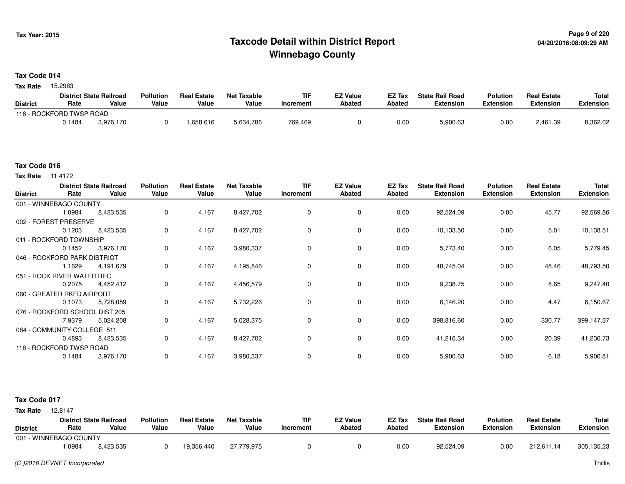### **Page 9 of 220 Taxcode Detail within District ReportWinnebago County**

#### **Tax Code 014**

Tax Rate 15.2963

|                 |                          | <b>District State Railroad</b> | <b>Pollution</b> | <b>Real Estate</b> | Net Taxable | <b>TIF</b> | <b>EZ Value</b> | <b>EZ Tax</b> | <b>State Rail Road</b> | <b>Polution</b>  | <b>Real Estate</b> | <b>Total</b> |
|-----------------|--------------------------|--------------------------------|------------------|--------------------|-------------|------------|-----------------|---------------|------------------------|------------------|--------------------|--------------|
| <b>District</b> | Rate                     | Value                          | Value            | Value              | Value       | Increment  | <b>Abated</b>   | Abated        | Extension              | <b>Extension</b> | Extension          | Extension    |
|                 | 118 - ROCKFORD TWSP ROAD |                                |                  |                    |             |            |                 |               |                        |                  |                    |              |
|                 | 0.1484                   | 3.976.170                      |                  | .658,616           | 5,634,786   | 769.469    |                 | 0.00          | 5,900.63               | 0.00             | 2,461.39           | 8,362.02     |

#### **Tax Code 016**

**Tax Rate** 11.4172

| <b>District</b> | Rate                           | <b>District State Railroad</b><br>Value | <b>Pollution</b><br>Value | <b>Real Estate</b><br>Value | <b>Net Taxable</b><br>Value | <b>TIF</b><br>Increment | <b>EZ Value</b><br><b>Abated</b> | EZ Tax<br><b>Abated</b> | <b>State Rail Road</b><br><b>Extension</b> | <b>Polution</b><br><b>Extension</b> | <b>Real Estate</b><br><b>Extension</b> | Total<br><b>Extension</b> |
|-----------------|--------------------------------|-----------------------------------------|---------------------------|-----------------------------|-----------------------------|-------------------------|----------------------------------|-------------------------|--------------------------------------------|-------------------------------------|----------------------------------------|---------------------------|
|                 | 001 - WINNEBAGO COUNTY         |                                         |                           |                             |                             |                         |                                  |                         |                                            |                                     |                                        |                           |
|                 | 1.0984                         | 8,423,535                               | 0                         | 4,167                       | 8,427,702                   | $\mathbf 0$             | $\mathbf 0$                      | 0.00                    | 92,524.09                                  | 0.00                                | 45.77                                  | 92,569.86                 |
|                 | 002 - FOREST PRESERVE          |                                         |                           |                             |                             |                         |                                  |                         |                                            |                                     |                                        |                           |
|                 | 0.1203                         | 8,423,535                               | 0                         | 4,167                       | 8,427,702                   | 0                       | $\mathbf 0$                      | 0.00                    | 10,133.50                                  | 0.00                                | 5.01                                   | 10,138.51                 |
|                 | 011 - ROCKFORD TOWNSHIP        |                                         |                           |                             |                             |                         |                                  |                         |                                            |                                     |                                        |                           |
|                 | 0.1452                         | 3,976,170                               | 0                         | 4,167                       | 3,980,337                   | 0                       | 0                                | 0.00                    | 5,773.40                                   | 0.00                                | 6.05                                   | 5,779.45                  |
|                 | 046 - ROCKFORD PARK DISTRICT   |                                         |                           |                             |                             |                         |                                  |                         |                                            |                                     |                                        |                           |
|                 | 1.1629                         | 4,191,679                               | 0                         | 4,167                       | 4,195,846                   | $\mathbf 0$             | $\mathbf 0$                      | 0.00                    | 48,745.04                                  | 0.00                                | 48.46                                  | 48,793.50                 |
|                 | 051 - ROCK RIVER WATER REC     |                                         |                           |                             |                             |                         |                                  |                         |                                            |                                     |                                        |                           |
|                 | 0.2075                         | 4,452,412                               | 0                         | 4,167                       | 4,456,579                   | 0                       | 0                                | 0.00                    | 9,238.75                                   | 0.00                                | 8.65                                   | 9,247.40                  |
|                 | 060 - GREATER RKFD AIRPORT     |                                         |                           |                             |                             |                         |                                  |                         |                                            |                                     |                                        |                           |
|                 | 0.1073                         | 5,728,059                               | 0                         | 4,167                       | 5,732,226                   | 0                       | $\mathbf 0$                      | 0.00                    | 6,146.20                                   | 0.00                                | 4.47                                   | 6,150.67                  |
|                 | 076 - ROCKFORD SCHOOL DIST 205 |                                         |                           |                             |                             |                         |                                  |                         |                                            |                                     |                                        |                           |
|                 | 7.9379                         | 5,024,208                               | 0                         | 4,167                       | 5,028,375                   | 0                       | 0                                | 0.00                    | 398,816.60                                 | 0.00                                | 330.77                                 | 399,147.37                |
|                 | 084 - COMMUNITY COLLEGE 511    |                                         |                           |                             |                             |                         |                                  |                         |                                            |                                     |                                        |                           |
|                 | 0.4893                         | 8,423,535                               | 0                         | 4,167                       | 8,427,702                   | 0                       | $\mathbf 0$                      | 0.00                    | 41,216.34                                  | 0.00                                | 20.39                                  | 41,236.73                 |
|                 | 118 - ROCKFORD TWSP ROAD       |                                         |                           |                             |                             |                         |                                  |                         |                                            |                                     |                                        |                           |
|                 | 0.1484                         | 3,976,170                               | 0                         | 4,167                       | 3,980,337                   | 0                       | $\mathbf 0$                      | 0.00                    | 5,900.63                                   | 0.00                                | 6.18                                   | 5,906.81                  |

#### **Tax Code 017**

**State Railroad District ValueTIF IncrementEZ Value AbatedReal Estate ExtensionTotal ExtensionTax Rate** 12.8147 **DistrictPollution ValueReal Estate ValueNet Taxable Value Rate** 001 - WINNEBAGO COUNTY**Polution ExtensionState Rail Road ExtensionEZ Tax Abated**212,611.14 305,135.238,423,535 1.09848,423,535 <sup>0</sup> 19,356,440 27,779,975 <sup>0</sup> <sup>0</sup> 0.00 92,524.09 0.00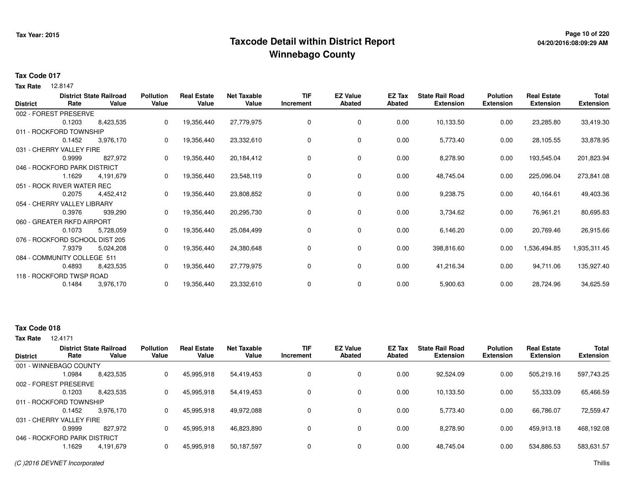## **Page 10 of 220 Taxcode Detail within District ReportWinnebago County**

# **04/20/2016:08:09:29 AM**

#### **Tax Code 017**

12.8147 **Tax Rate**

| <b>District</b> | Rate                           | <b>District State Railroad</b><br>Value | <b>Pollution</b><br>Value | <b>Real Estate</b><br>Value | <b>Net Taxable</b><br>Value | <b>TIF</b><br>Increment | <b>EZ Value</b><br><b>Abated</b> | EZ Tax<br>Abated | <b>State Rail Road</b><br><b>Extension</b> | <b>Polution</b><br><b>Extension</b> | <b>Real Estate</b><br><b>Extension</b> | Total<br><b>Extension</b> |
|-----------------|--------------------------------|-----------------------------------------|---------------------------|-----------------------------|-----------------------------|-------------------------|----------------------------------|------------------|--------------------------------------------|-------------------------------------|----------------------------------------|---------------------------|
|                 | 002 - FOREST PRESERVE          |                                         |                           |                             |                             |                         |                                  |                  |                                            |                                     |                                        |                           |
|                 | 0.1203                         | 8,423,535                               | 0                         | 19,356,440                  | 27,779,975                  | 0                       | 0                                | 0.00             | 10,133.50                                  | 0.00                                | 23,285.80                              | 33,419.30                 |
|                 | 011 - ROCKFORD TOWNSHIP        |                                         |                           |                             |                             |                         |                                  |                  |                                            |                                     |                                        |                           |
|                 | 0.1452                         | 3,976,170                               | 0                         | 19,356,440                  | 23,332,610                  | 0                       | 0                                | 0.00             | 5,773.40                                   | 0.00                                | 28,105.55                              | 33,878.95                 |
|                 | 031 - CHERRY VALLEY FIRE       |                                         |                           |                             |                             |                         |                                  |                  |                                            |                                     |                                        |                           |
|                 | 0.9999                         | 827,972                                 | 0                         | 19,356,440                  | 20,184,412                  | 0                       | 0                                | 0.00             | 8,278.90                                   | 0.00                                | 193,545.04                             | 201,823.94                |
|                 | 046 - ROCKFORD PARK DISTRICT   |                                         |                           |                             |                             |                         |                                  |                  |                                            |                                     |                                        |                           |
|                 | 1.1629                         | 4,191,679                               | 0                         | 19,356,440                  | 23,548,119                  | 0                       | $\mathbf 0$                      | 0.00             | 48,745.04                                  | 0.00                                | 225,096.04                             | 273,841.08                |
|                 | 051 - ROCK RIVER WATER REC     |                                         |                           |                             |                             |                         |                                  |                  |                                            |                                     |                                        |                           |
|                 | 0.2075                         | 4,452,412                               | 0                         | 19,356,440                  | 23,808,852                  | 0                       | $\mathbf 0$                      | 0.00             | 9,238.75                                   | 0.00                                | 40,164.61                              | 49,403.36                 |
|                 | 054 - CHERRY VALLEY LIBRARY    |                                         |                           |                             |                             |                         |                                  |                  |                                            |                                     |                                        |                           |
|                 | 0.3976                         | 939,290                                 | 0                         | 19,356,440                  | 20,295,730                  | 0                       | 0                                | 0.00             | 3,734.62                                   | 0.00                                | 76,961.21                              | 80,695.83                 |
|                 | 060 - GREATER RKFD AIRPORT     |                                         |                           |                             |                             |                         |                                  |                  |                                            |                                     |                                        |                           |
|                 | 0.1073                         | 5,728,059                               | 0                         | 19,356,440                  | 25,084,499                  | 0                       | 0                                | 0.00             | 6,146.20                                   | 0.00                                | 20,769.46                              | 26,915.66                 |
|                 | 076 - ROCKFORD SCHOOL DIST 205 |                                         |                           |                             |                             |                         |                                  |                  |                                            |                                     |                                        |                           |
|                 | 7.9379                         | 5,024,208                               | 0                         | 19,356,440                  | 24,380,648                  | 0                       | 0                                | 0.00             | 398,816.60                                 | 0.00                                | 1,536,494.85                           | 1,935,311.45              |
|                 | 084 - COMMUNITY COLLEGE 511    |                                         |                           |                             |                             |                         |                                  |                  |                                            |                                     |                                        |                           |
|                 | 0.4893                         | 8,423,535                               | 0                         | 19,356,440                  | 27,779,975                  | 0                       | $\mathbf 0$                      | 0.00             | 41,216.34                                  | 0.00                                | 94,711.06                              | 135,927.40                |
|                 | 118 - ROCKFORD TWSP ROAD       |                                         |                           |                             |                             |                         |                                  |                  |                                            |                                     |                                        |                           |
|                 | 0.1484                         | 3,976,170                               | 0                         | 19,356,440                  | 23,332,610                  | 0                       | 0                                | 0.00             | 5,900.63                                   | 0.00                                | 28,724.96                              | 34,625.59                 |

### **Tax Code 018**

12.4171 **Tax Rate**

| <b>District</b>              | Rate   | <b>District State Railroad</b><br>Value | <b>Pollution</b><br>Value | <b>Real Estate</b><br>Value | <b>Net Taxable</b><br>Value | <b>TIF</b><br>Increment | <b>EZ Value</b><br><b>Abated</b> | EZ Tax<br>Abated | <b>State Rail Road</b><br><b>Extension</b> | <b>Polution</b><br><b>Extension</b> | <b>Real Estate</b><br><b>Extension</b> | <b>Total</b><br><b>Extension</b> |
|------------------------------|--------|-----------------------------------------|---------------------------|-----------------------------|-----------------------------|-------------------------|----------------------------------|------------------|--------------------------------------------|-------------------------------------|----------------------------------------|----------------------------------|
| 001 - WINNEBAGO COUNTY       |        |                                         |                           |                             |                             |                         |                                  |                  |                                            |                                     |                                        |                                  |
|                              | 1.0984 | 8,423,535                               | 0                         | 45,995,918                  | 54,419,453                  |                         | 0                                | 0.00             | 92.524.09                                  | 0.00                                | 505,219.16                             | 597,743.25                       |
| 002 - FOREST PRESERVE        |        |                                         |                           |                             |                             |                         |                                  |                  |                                            |                                     |                                        |                                  |
|                              | 0.1203 | 8,423,535                               | 0                         | 45,995,918                  | 54,419,453                  |                         | 0                                | 0.00             | 10,133.50                                  | 0.00                                | 55,333.09                              | 65,466.59                        |
| 011 - ROCKFORD TOWNSHIP      |        |                                         |                           |                             |                             |                         |                                  |                  |                                            |                                     |                                        |                                  |
|                              | 0.1452 | 3.976.170                               | 0                         | 45.995.918                  | 49.972.088                  |                         | 0                                | 0.00             | 5.773.40                                   | 0.00                                | 66,786.07                              | 72,559.47                        |
| 031 - CHERRY VALLEY FIRE     |        |                                         |                           |                             |                             |                         |                                  |                  |                                            |                                     |                                        |                                  |
|                              | 0.9999 | 827.972                                 | 0                         | 45,995,918                  | 46,823,890                  |                         | 0                                | 0.00             | 8.278.90                                   | 0.00                                | 459,913.18                             | 468,192.08                       |
| 046 - ROCKFORD PARK DISTRICT |        |                                         |                           |                             |                             |                         |                                  |                  |                                            |                                     |                                        |                                  |
|                              | 1.1629 | 4,191,679                               |                           | 45,995,918                  | 50,187,597                  |                         | 0                                | 0.00             | 48,745.04                                  | 0.00                                | 534,886.53                             | 583,631.57                       |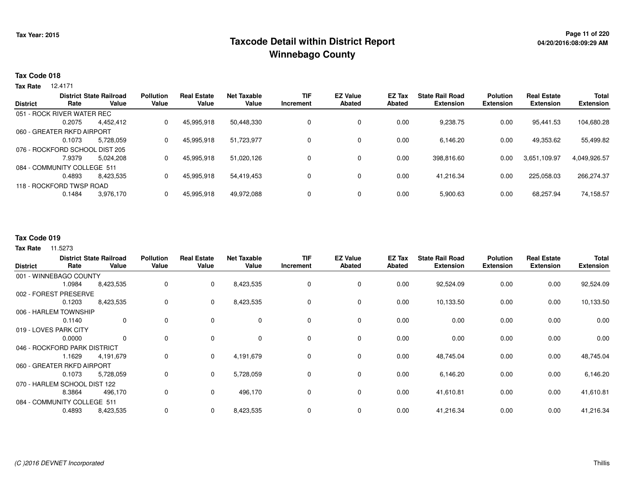## **Page 11 of 220 Taxcode Detail within District ReportWinnebago County**

#### **Tax Code 018**

12.4171 **Tax Rate**

| <b>District</b> |                                | <b>District State Railroad</b> | <b>Pollution</b> | <b>Real Estate</b> | <b>Net Taxable</b> | <b>TIF</b> | <b>EZ Value</b> | EZ Tax        | <b>State Rail Road</b> | <b>Polution</b>  | <b>Real Estate</b> | <b>Total</b>     |
|-----------------|--------------------------------|--------------------------------|------------------|--------------------|--------------------|------------|-----------------|---------------|------------------------|------------------|--------------------|------------------|
|                 | Rate                           | Value                          | Value            | Value              | Value              | Increment  | Abated          | <b>Abated</b> | <b>Extension</b>       | <b>Extension</b> | <b>Extension</b>   | <b>Extension</b> |
|                 | 051 - ROCK RIVER WATER REC     |                                |                  |                    |                    |            |                 |               |                        |                  |                    |                  |
|                 | 0.2075                         | 4.452.412                      | 0                | 45,995,918         | 50,448,330         | 0          | 0               | 0.00          | 9,238.75               | 0.00             | 95,441.53          | 104,680.28       |
|                 | 060 - GREATER RKFD AIRPORT     |                                |                  |                    |                    |            |                 |               |                        |                  |                    |                  |
|                 | 0.1073                         | 5.728.059                      | 0                | 45.995.918         | 51.723.977         | 0          | 0               | 0.00          | 6.146.20               | 0.00             | 49,353.62          | 55,499.82        |
|                 | 076 - ROCKFORD SCHOOL DIST 205 |                                |                  |                    |                    |            |                 |               |                        |                  |                    |                  |
|                 | 7.9379                         | 5.024.208                      | 0                | 45.995.918         | 51.020.126         | 0          | 0               | 0.00          | 398,816.60             | 0.00             | 3.651.109.97       | 4,049,926.57     |
|                 | 084 - COMMUNITY COLLEGE 511    |                                |                  |                    |                    |            |                 |               |                        |                  |                    |                  |
|                 | 0.4893                         | 8.423.535                      |                  | 45.995.918         | 54.419.453         | 0          | 0               | 0.00          | 41.216.34              | 0.00             | 225,058.03         | 266,274.37       |
|                 | 118 - ROCKFORD TWSP ROAD       |                                |                  |                    |                    |            |                 |               |                        |                  |                    |                  |
|                 | 0.1484                         | 3,976,170                      |                  | 45,995,918         | 49,972,088         | 0          | 0               | 0.00          | 5,900.63               | 0.00             | 68,257.94          | 74,158.57        |
|                 |                                |                                |                  |                    |                    |            |                 |               |                        |                  |                    |                  |

### **Tax Code 019**

| <b>District</b> | Rate                         | <b>District State Railroad</b><br>Value | <b>Pollution</b><br>Value | <b>Real Estate</b><br>Value | <b>Net Taxable</b><br>Value | <b>TIF</b><br>Increment | <b>EZ Value</b><br><b>Abated</b> | EZ Tax<br><b>Abated</b> | <b>State Rail Road</b><br><b>Extension</b> | <b>Polution</b><br><b>Extension</b> | <b>Real Estate</b><br><b>Extension</b> | <b>Total</b><br><b>Extension</b> |
|-----------------|------------------------------|-----------------------------------------|---------------------------|-----------------------------|-----------------------------|-------------------------|----------------------------------|-------------------------|--------------------------------------------|-------------------------------------|----------------------------------------|----------------------------------|
|                 | 001 - WINNEBAGO COUNTY       |                                         |                           |                             |                             |                         |                                  |                         |                                            |                                     |                                        |                                  |
|                 | 1.0984                       | 8,423,535                               | 0                         | $\mathbf 0$                 | 8,423,535                   | 0                       | 0                                | 0.00                    | 92,524.09                                  | 0.00                                | 0.00                                   | 92,524.09                        |
|                 | 002 - FOREST PRESERVE        |                                         |                           |                             |                             |                         |                                  |                         |                                            |                                     |                                        |                                  |
|                 | 0.1203                       | 8,423,535                               | 0                         | $\mathbf 0$                 | 8,423,535                   | 0                       | 0                                | 0.00                    | 10,133.50                                  | 0.00                                | 0.00                                   | 10,133.50                        |
|                 | 006 - HARLEM TOWNSHIP        |                                         |                           |                             |                             |                         |                                  |                         |                                            |                                     |                                        |                                  |
|                 | 0.1140                       | $\mathbf 0$                             | 0                         | $\mathbf 0$                 | 0                           | $\mathbf 0$             | $\mathbf 0$                      | 0.00                    | 0.00                                       | 0.00                                | 0.00                                   | 0.00                             |
|                 | 019 - LOVES PARK CITY        |                                         |                           |                             |                             |                         |                                  |                         |                                            |                                     |                                        |                                  |
|                 | 0.0000                       | $\mathbf 0$                             | 0                         | $\Omega$                    | $\mathbf 0$                 | 0                       | $\mathbf 0$                      | 0.00                    | 0.00                                       | 0.00                                | 0.00                                   | 0.00                             |
|                 | 046 - ROCKFORD PARK DISTRICT |                                         |                           |                             |                             |                         |                                  |                         |                                            |                                     |                                        |                                  |
|                 | 1.1629                       | 4,191,679                               | 0                         | $\mathbf{0}$                | 4,191,679                   | $\Omega$                | 0                                | 0.00                    | 48,745.04                                  | 0.00                                | 0.00                                   | 48,745.04                        |
|                 | 060 - GREATER RKFD AIRPORT   |                                         |                           |                             |                             |                         |                                  |                         |                                            |                                     |                                        |                                  |
|                 | 0.1073                       | 5,728,059                               | 0                         | $\mathbf{0}$                | 5,728,059                   | 0                       | 0                                | 0.00                    | 6,146.20                                   | 0.00                                | 0.00                                   | 6,146.20                         |
|                 | 070 - HARLEM SCHOOL DIST 122 |                                         |                           |                             |                             |                         |                                  |                         |                                            |                                     |                                        |                                  |
|                 | 8.3864                       | 496,170                                 | 0                         | $\mathbf{0}$                | 496,170                     | $\Omega$                | 0                                | 0.00                    | 41,610.81                                  | 0.00                                | 0.00                                   | 41,610.81                        |
|                 | 084 - COMMUNITY COLLEGE 511  |                                         |                           |                             |                             |                         |                                  |                         |                                            |                                     |                                        |                                  |
|                 | 0.4893                       | 8,423,535                               | 0                         | $\mathbf 0$                 | 8,423,535                   | 0                       | 0                                | 0.00                    | 41,216.34                                  | 0.00                                | 0.00                                   | 41,216.34                        |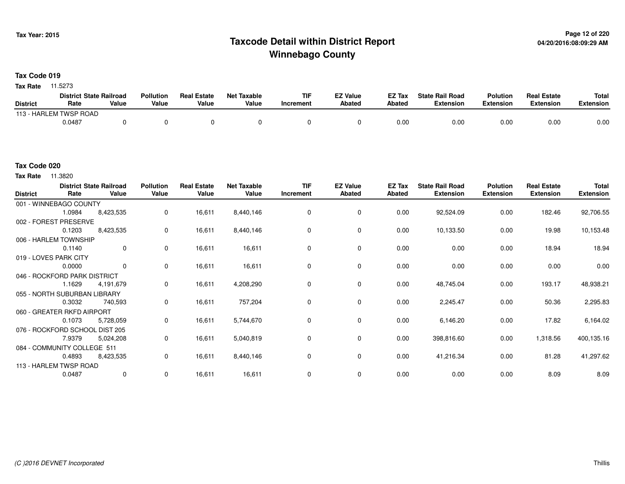## **Page 12 of 220 Taxcode Detail within District ReportWinnebago County**

**Tax Code 019**

**Tax Rate** 11.5273

|                 | <b>District State Railroad</b> |       | <b>Pollution</b> | <b>Real Estate</b> | <b>Net Taxable</b> | TIF       | <b>FZ Value</b> | <b>EZ Tax</b> | <b>State Rail Road</b> | <b>Polution</b>  | <b>Real Estate</b> | <b>Total</b> |
|-----------------|--------------------------------|-------|------------------|--------------------|--------------------|-----------|-----------------|---------------|------------------------|------------------|--------------------|--------------|
| <b>District</b> | Rate                           | Value | Value            | Value              | Value              | Increment | <b>Abated</b>   | <b>Abated</b> | <b>Extension</b>       | <b>Extension</b> | Extension          | Extension    |
|                 | 113 - HARLEM TWSP ROAD         |       |                  |                    |                    |           |                 |               |                        |                  |                    |              |
|                 | 0.0487                         |       |                  |                    |                    |           |                 | 0.00          | 0.00                   | 0.00             | 0.00               | 0.00         |

#### **Tax Code 020**

**Tax Rate** 11.3820

| <b>District</b> | Rate                           | <b>District State Railroad</b><br>Value | <b>Pollution</b><br>Value | <b>Real Estate</b><br>Value | <b>Net Taxable</b><br>Value | <b>TIF</b><br>Increment | <b>EZ Value</b><br><b>Abated</b> | EZ Tax<br><b>Abated</b> | <b>State Rail Road</b><br><b>Extension</b> | <b>Polution</b><br><b>Extension</b> | <b>Real Estate</b><br><b>Extension</b> | Total<br><b>Extension</b> |
|-----------------|--------------------------------|-----------------------------------------|---------------------------|-----------------------------|-----------------------------|-------------------------|----------------------------------|-------------------------|--------------------------------------------|-------------------------------------|----------------------------------------|---------------------------|
|                 | 001 - WINNEBAGO COUNTY         |                                         |                           |                             |                             |                         |                                  |                         |                                            |                                     |                                        |                           |
|                 | 1.0984                         | 8,423,535                               | 0                         | 16,611                      | 8,440,146                   | 0                       | 0                                | 0.00                    | 92,524.09                                  | 0.00                                | 182.46                                 | 92,706.55                 |
|                 | 002 - FOREST PRESERVE          |                                         |                           |                             |                             |                         |                                  |                         |                                            |                                     |                                        |                           |
|                 | 0.1203                         | 8,423,535                               | 0                         | 16,611                      | 8,440,146                   | 0                       | $\mathbf 0$                      | 0.00                    | 10,133.50                                  | 0.00                                | 19.98                                  | 10,153.48                 |
|                 | 006 - HARLEM TOWNSHIP          |                                         |                           |                             |                             |                         |                                  |                         |                                            |                                     |                                        |                           |
|                 | 0.1140                         | $\mathbf 0$                             | 0                         | 16,611                      | 16,611                      | 0                       | $\mathbf 0$                      | 0.00                    | 0.00                                       | 0.00                                | 18.94                                  | 18.94                     |
|                 | 019 - LOVES PARK CITY          |                                         |                           |                             |                             |                         |                                  |                         |                                            |                                     |                                        |                           |
|                 | 0.0000                         | 0                                       | 0                         | 16,611                      | 16,611                      | 0                       | $\mathbf 0$                      | 0.00                    | 0.00                                       | 0.00                                | 0.00                                   | 0.00                      |
|                 | 046 - ROCKFORD PARK DISTRICT   |                                         |                           |                             |                             |                         |                                  |                         |                                            |                                     |                                        |                           |
|                 | 1.1629                         | 4,191,679                               | 0                         | 16,611                      | 4,208,290                   | 0                       | $\mathbf 0$                      | 0.00                    | 48,745.04                                  | 0.00                                | 193.17                                 | 48,938.21                 |
|                 | 055 - NORTH SUBURBAN LIBRARY   |                                         |                           |                             |                             |                         |                                  |                         |                                            |                                     |                                        |                           |
|                 | 0.3032                         | 740,593                                 | 0                         | 16,611                      | 757,204                     | 0                       | 0                                | 0.00                    | 2,245.47                                   | 0.00                                | 50.36                                  | 2,295.83                  |
|                 | 060 - GREATER RKFD AIRPORT     |                                         |                           |                             |                             |                         |                                  |                         |                                            |                                     |                                        |                           |
|                 | 0.1073                         | 5,728,059                               | 0                         | 16,611                      | 5,744,670                   | 0                       | $\mathbf 0$                      | 0.00                    | 6,146.20                                   | 0.00                                | 17.82                                  | 6,164.02                  |
|                 | 076 - ROCKFORD SCHOOL DIST 205 |                                         |                           |                             |                             |                         |                                  |                         |                                            |                                     |                                        |                           |
|                 | 7.9379                         | 5,024,208                               | 0                         | 16,611                      | 5,040,819                   | $\mathbf 0$             | $\mathbf 0$                      | 0.00                    | 398,816.60                                 | 0.00                                | 1,318.56                               | 400,135.16                |
|                 | 084 - COMMUNITY COLLEGE 511    |                                         |                           |                             |                             |                         |                                  |                         |                                            |                                     |                                        |                           |
|                 | 0.4893                         | 8,423,535                               | 0                         | 16,611                      | 8,440,146                   | 0                       | 0                                | 0.00                    | 41,216.34                                  | 0.00                                | 81.28                                  | 41,297.62                 |
|                 | 113 - HARLEM TWSP ROAD         |                                         |                           |                             |                             |                         |                                  |                         |                                            |                                     |                                        |                           |
|                 | 0.0487                         | $\mathbf 0$                             | 0                         | 16,611                      | 16,611                      | 0                       | $\mathbf 0$                      | 0.00                    | 0.00                                       | 0.00                                | 8.09                                   | 8.09                      |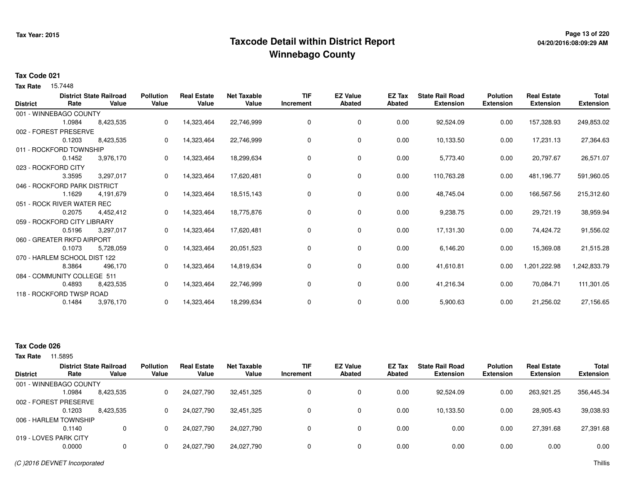## **Page 13 of 220 Taxcode Detail within District ReportWinnebago County**

# **04/20/2016:08:09:29 AM**

#### **Tax Code 021**

15.7448 **Tax Rate**

|                 | Rate                         | <b>District State Railroad</b><br>Value | <b>Pollution</b><br>Value | <b>Real Estate</b><br>Value | <b>Net Taxable</b><br>Value | <b>TIF</b> | <b>EZ Value</b><br><b>Abated</b> | EZ Tax<br><b>Abated</b> | <b>State Rail Road</b><br><b>Extension</b> | <b>Polution</b>  | <b>Real Estate</b><br><b>Extension</b> | <b>Total</b>     |
|-----------------|------------------------------|-----------------------------------------|---------------------------|-----------------------------|-----------------------------|------------|----------------------------------|-------------------------|--------------------------------------------|------------------|----------------------------------------|------------------|
| <b>District</b> |                              |                                         |                           |                             |                             | Increment  |                                  |                         |                                            | <b>Extension</b> |                                        | <b>Extension</b> |
|                 | 001 - WINNEBAGO COUNTY       |                                         |                           |                             |                             |            |                                  |                         |                                            |                  |                                        |                  |
|                 | 1.0984                       | 8,423,535                               | 0                         | 14,323,464                  | 22,746,999                  | 0          | 0                                | 0.00                    | 92,524.09                                  | 0.00             | 157,328.93                             | 249,853.02       |
|                 | 002 - FOREST PRESERVE        |                                         |                           |                             |                             |            |                                  |                         |                                            |                  |                                        |                  |
|                 | 0.1203                       | 8,423,535                               | 0                         | 14,323,464                  | 22,746,999                  | 0          | 0                                | 0.00                    | 10,133.50                                  | 0.00             | 17,231.13                              | 27,364.63        |
|                 | 011 - ROCKFORD TOWNSHIP      |                                         |                           |                             |                             |            |                                  |                         |                                            |                  |                                        |                  |
|                 | 0.1452                       | 3,976,170                               | 0                         | 14,323,464                  | 18,299,634                  | 0          | 0                                | 0.00                    | 5,773.40                                   | 0.00             | 20,797.67                              | 26,571.07        |
|                 | 023 - ROCKFORD CITY          |                                         |                           |                             |                             |            |                                  |                         |                                            |                  |                                        |                  |
|                 | 3.3595                       | 3,297,017                               | 0                         | 14,323,464                  | 17,620,481                  | 0          | 0                                | 0.00                    | 110,763.28                                 | 0.00             | 481,196.77                             | 591,960.05       |
|                 | 046 - ROCKFORD PARK DISTRICT |                                         |                           |                             |                             |            |                                  |                         |                                            |                  |                                        |                  |
|                 | 1.1629                       | 4,191,679                               | 0                         | 14,323,464                  | 18,515,143                  | $\Omega$   | 0                                | 0.00                    | 48,745.04                                  | 0.00             | 166,567.56                             | 215,312.60       |
|                 | 051 - ROCK RIVER WATER REC   |                                         |                           |                             |                             |            |                                  |                         |                                            |                  |                                        |                  |
|                 | 0.2075                       | 4,452,412                               | 0                         | 14,323,464                  | 18,775,876                  | 0          | 0                                | 0.00                    | 9,238.75                                   | 0.00             | 29,721.19                              | 38,959.94        |
|                 | 059 - ROCKFORD CITY LIBRARY  |                                         |                           |                             |                             |            |                                  |                         |                                            |                  |                                        |                  |
|                 | 0.5196                       | 3,297,017                               | 0                         | 14,323,464                  | 17,620,481                  | 0          | 0                                | 0.00                    | 17,131.30                                  | 0.00             | 74,424.72                              | 91,556.02        |
|                 | 060 - GREATER RKFD AIRPORT   |                                         |                           |                             |                             |            |                                  |                         |                                            |                  |                                        |                  |
|                 | 0.1073                       | 5,728,059                               | 0                         | 14,323,464                  | 20,051,523                  | 0          | 0                                | 0.00                    | 6,146.20                                   | 0.00             | 15,369.08                              | 21,515.28        |
|                 | 070 - HARLEM SCHOOL DIST 122 |                                         |                           |                             |                             |            |                                  |                         |                                            |                  |                                        |                  |
|                 | 8.3864                       | 496,170                                 | 0                         | 14,323,464                  | 14,819,634                  | 0          | 0                                | 0.00                    | 41,610.81                                  | 0.00             | 1,201,222.98                           | 1,242,833.79     |
|                 | 084 - COMMUNITY COLLEGE 511  |                                         |                           |                             |                             |            |                                  |                         |                                            |                  |                                        |                  |
|                 | 0.4893                       | 8,423,535                               | 0                         | 14,323,464                  | 22,746,999                  | 0          | 0                                | 0.00                    | 41,216.34                                  | 0.00             | 70,084.71                              | 111,301.05       |
|                 | 118 - ROCKFORD TWSP ROAD     |                                         |                           |                             |                             |            |                                  |                         |                                            |                  |                                        |                  |
|                 | 0.1484                       | 3,976,170                               | 0                         | 14,323,464                  | 18,299,634                  | 0          | 0                                | 0.00                    | 5,900.63                                   | 0.00             | 21,256.02                              | 27,156.65        |
|                 |                              |                                         |                           |                             |                             |            |                                  |                         |                                            |                  |                                        |                  |

### **Tax Code 026**

|                        |         | <b>District State Railroad</b> | <b>Pollution</b> | <b>Real Estate</b> | Net Taxable | <b>TIF</b> | <b>EZ Value</b> | EZ Tax | <b>State Rail Road</b> | <b>Polution</b>  | <b>Real Estate</b> | <b>Total</b> |
|------------------------|---------|--------------------------------|------------------|--------------------|-------------|------------|-----------------|--------|------------------------|------------------|--------------------|--------------|
| <b>District</b>        | Rate    | Value                          | Value            | Value              | Value       | Increment  | <b>Abated</b>   | Abated | <b>Extension</b>       | <b>Extension</b> | <b>Extension</b>   | Extension    |
| 001 - WINNEBAGO COUNTY |         |                                |                  |                    |             |            |                 |        |                        |                  |                    |              |
|                        | 0984. ا | 8,423,535                      |                  | 24.027.790         | 32,451,325  | 0          | 0               | 0.00   | 92,524.09              | 0.00             | 263.921.25         | 356,445.34   |
| 002 - FOREST PRESERVE  |         |                                |                  |                    |             |            |                 |        |                        |                  |                    |              |
|                        | 0.1203  | 8,423,535                      |                  | 24,027,790         | 32,451,325  | 0          | 0               | 0.00   | 10,133.50              | 0.00             | 28,905.43          | 39,038.93    |
| 006 - HARLEM TOWNSHIP  |         |                                |                  |                    |             |            |                 |        |                        |                  |                    |              |
|                        | 0.1140  | $\mathbf 0$                    |                  | 24.027.790         | 24.027.790  | $\Omega$   |                 | 0.00   | 0.00                   | 0.00             | 27.391.68          | 27,391.68    |
| 019 - LOVES PARK CITY  |         |                                |                  |                    |             |            |                 |        |                        |                  |                    |              |
|                        | 0.0000  | $\mathbf 0$                    |                  | 24,027,790         | 24,027,790  | 0          | 0               | 0.00   | 0.00                   | 0.00             | 0.00               | 0.00         |
|                        |         |                                |                  |                    |             |            |                 |        |                        |                  |                    |              |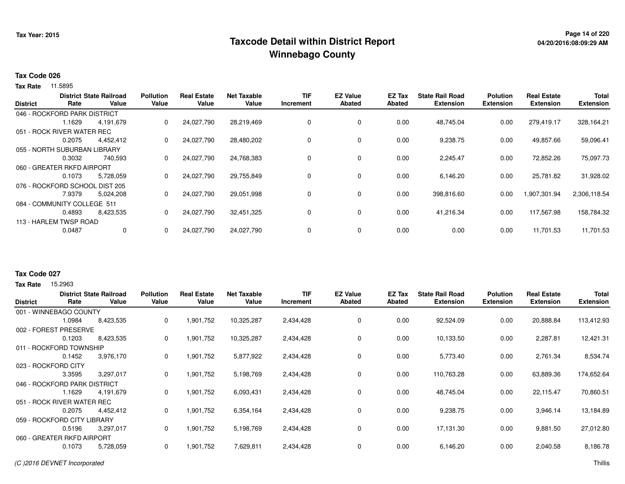## **Page 14 of 220 Taxcode Detail within District ReportWinnebago County**

#### **Tax Code 026**

**Tax Rate** 11.5895

|                 |                                | <b>District State Railroad</b> | <b>Pollution</b> | <b>Real Estate</b> | <b>Net Taxable</b> | <b>TIF</b> | <b>EZ Value</b> | EZ Tax | <b>State Rail Road</b> | <b>Polution</b>  | <b>Real Estate</b> | <b>Total</b>     |
|-----------------|--------------------------------|--------------------------------|------------------|--------------------|--------------------|------------|-----------------|--------|------------------------|------------------|--------------------|------------------|
| <b>District</b> | Rate                           | Value                          | Value            | Value              | Value              | Increment  | <b>Abated</b>   | Abated | <b>Extension</b>       | <b>Extension</b> | <b>Extension</b>   | <b>Extension</b> |
|                 | 046 - ROCKFORD PARK DISTRICT   |                                |                  |                    |                    |            |                 |        |                        |                  |                    |                  |
|                 | 1.1629                         | 4,191,679                      | 0                | 24,027,790         | 28,219,469         |            | 0               | 0.00   | 48,745.04              | 0.00             | 279,419.17         | 328,164.21       |
|                 | 051 - ROCK RIVER WATER REC     |                                |                  |                    |                    |            |                 |        |                        |                  |                    |                  |
|                 | 0.2075                         | 4,452,412                      | 0                | 24,027,790         | 28,480,202         |            | $\mathbf 0$     | 0.00   | 9,238.75               | 0.00             | 49,857.66          | 59,096.41        |
|                 | 055 - NORTH SUBURBAN LIBRARY   |                                |                  |                    |                    |            |                 |        |                        |                  |                    |                  |
|                 | 0.3032                         | 740,593                        | 0                | 24,027,790         | 24,768,383         |            | 0               | 0.00   | 2,245.47               | 0.00             | 72,852.26          | 75,097.73        |
|                 | 060 - GREATER RKFD AIRPORT     |                                |                  |                    |                    |            |                 |        |                        |                  |                    |                  |
|                 | 0.1073                         | 5,728,059                      | 0                | 24,027,790         | 29,755,849         | $\Omega$   | $\mathbf 0$     | 0.00   | 6,146.20               | 0.00             | 25,781.82          | 31,928.02        |
|                 | 076 - ROCKFORD SCHOOL DIST 205 |                                |                  |                    |                    |            |                 |        |                        |                  |                    |                  |
|                 | 7.9379                         | 5.024.208                      | $\mathbf 0$      | 24.027.790         | 29,051,998         |            | $\mathbf 0$     | 0.00   | 398,816.60             | 0.00             | 1,907,301.94       | 2,306,118.54     |
|                 | 084 - COMMUNITY COLLEGE 511    |                                |                  |                    |                    |            |                 |        |                        |                  |                    |                  |
|                 | 0.4893                         | 8,423,535                      | $\mathbf{0}$     | 24,027,790         | 32,451,325         |            | 0               | 0.00   | 41,216.34              | 0.00             | 117,567.98         | 158,784.32       |
|                 | 113 - HARLEM TWSP ROAD         |                                |                  |                    |                    |            |                 |        |                        |                  |                    |                  |
|                 | 0.0487                         | 0                              | $\Omega$         | 24,027,790         | 24,027,790         |            | 0               | 0.00   | 0.00                   | 0.00             | 11,701.53          | 11,701.53        |
|                 |                                |                                |                  |                    |                    |            |                 |        |                        |                  |                    |                  |

#### **Tax Code 027**

**Tax Rate** 15,2963

| <b>District</b>              | Rate   | <b>District State Railroad</b><br>Value | <b>Pollution</b><br>Value | <b>Real Estate</b><br>Value | <b>Net Taxable</b><br>Value | <b>TIF</b><br>Increment | <b>EZ Value</b><br><b>Abated</b> | EZ Tax<br><b>Abated</b> | <b>State Rail Road</b><br><b>Extension</b> | <b>Polution</b><br><b>Extension</b> | <b>Real Estate</b><br><b>Extension</b> | <b>Total</b><br><b>Extension</b> |
|------------------------------|--------|-----------------------------------------|---------------------------|-----------------------------|-----------------------------|-------------------------|----------------------------------|-------------------------|--------------------------------------------|-------------------------------------|----------------------------------------|----------------------------------|
| 001 - WINNEBAGO COUNTY       |        |                                         |                           |                             |                             |                         |                                  |                         |                                            |                                     |                                        |                                  |
|                              | 1.0984 | 8,423,535                               | 0                         | 1,901,752                   | 10,325,287                  | 2,434,428               | 0                                | 0.00                    | 92,524.09                                  | 0.00                                | 20,888.84                              | 113,412.93                       |
| 002 - FOREST PRESERVE        |        |                                         |                           |                             |                             |                         |                                  |                         |                                            |                                     |                                        |                                  |
|                              | 0.1203 | 8,423,535                               | 0                         | 1,901,752                   | 10,325,287                  | 2,434,428               | 0                                | 0.00                    | 10,133.50                                  | 0.00                                | 2,287.81                               | 12,421.31                        |
| 011 - ROCKFORD TOWNSHIP      |        |                                         |                           |                             |                             |                         |                                  |                         |                                            |                                     |                                        |                                  |
|                              | 0.1452 | 3,976,170                               | 0                         | 1,901,752                   | 5,877,922                   | 2,434,428               | 0                                | 0.00                    | 5,773.40                                   | 0.00                                | 2,761.34                               | 8,534.74                         |
| 023 - ROCKFORD CITY          |        |                                         |                           |                             |                             |                         |                                  |                         |                                            |                                     |                                        |                                  |
|                              | 3.3595 | 3,297,017                               | 0                         | 1,901,752                   | 5,198,769                   | 2,434,428               | 0                                | 0.00                    | 110,763.28                                 | 0.00                                | 63,889.36                              | 174,652.64                       |
| 046 - ROCKFORD PARK DISTRICT |        |                                         |                           |                             |                             |                         |                                  |                         |                                            |                                     |                                        |                                  |
|                              | 1.1629 | 4,191,679                               | 0                         | 1,901,752                   | 6,093,431                   | 2,434,428               | 0                                | 0.00                    | 48,745.04                                  | 0.00                                | 22,115.47                              | 70,860.51                        |
| 051 - ROCK RIVER WATER REC   |        |                                         |                           |                             |                             |                         |                                  |                         |                                            |                                     |                                        |                                  |
|                              | 0.2075 | 4,452,412                               | 0                         | 1,901,752                   | 6,354,164                   | 2,434,428               | 0                                | 0.00                    | 9,238.75                                   | 0.00                                | 3,946.14                               | 13,184.89                        |
| 059 - ROCKFORD CITY LIBRARY  |        |                                         |                           |                             |                             |                         |                                  |                         |                                            |                                     |                                        |                                  |
|                              | 0.5196 | 3,297,017                               | 0                         | 1,901,752                   | 5,198,769                   | 2,434,428               | 0                                | 0.00                    | 17,131.30                                  | 0.00                                | 9,881.50                               | 27,012.80                        |
| 060 - GREATER RKFD AIRPORT   |        |                                         |                           |                             |                             |                         |                                  |                         |                                            |                                     |                                        |                                  |
|                              | 0.1073 | 5,728,059                               | 0                         | 1,901,752                   | 7,629,811                   | 2,434,428               | 0                                | 0.00                    | 6,146.20                                   | 0.00                                | 2,040.58                               | 8,186.78                         |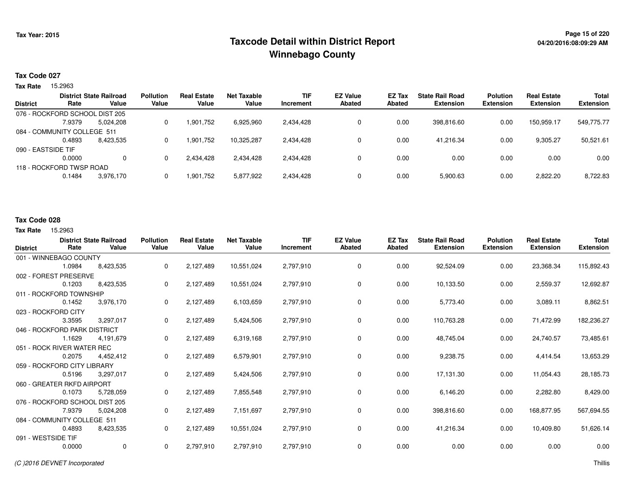## **Page 15 of 220 Taxcode Detail within District ReportWinnebago County**

#### **Tax Code 027**

Tax Rate 15.2963

|                                |                          | <b>District State Railroad</b> | <b>Pollution</b> | <b>Real Estate</b> | <b>Net Taxable</b> | <b>TIF</b> | <b>EZ Value</b> | EZ Tax | <b>State Rail Road</b> | <b>Polution</b>  | <b>Real Estate</b> | <b>Total</b>     |
|--------------------------------|--------------------------|--------------------------------|------------------|--------------------|--------------------|------------|-----------------|--------|------------------------|------------------|--------------------|------------------|
| <b>District</b>                | Rate                     | Value                          | Value            | Value              | Value              | Increment  | Abated          | Abated | <b>Extension</b>       | <b>Extension</b> | <b>Extension</b>   | <b>Extension</b> |
| 076 - ROCKFORD SCHOOL DIST 205 |                          |                                |                  |                    |                    |            |                 |        |                        |                  |                    |                  |
|                                | 7.9379                   | 5,024,208                      |                  | 1,901,752          | 6,925,960          | 2,434,428  | 0               | 0.00   | 398.816.60             | 0.00             | 150.959.17         | 549,775.77       |
| 084 - COMMUNITY COLLEGE 511    |                          |                                |                  |                    |                    |            |                 |        |                        |                  |                    |                  |
|                                | 0.4893                   | 8.423.535                      |                  | 1.901.752          | 10.325.287         | 2,434,428  | 0               | 0.00   | 41.216.34              | 0.00             | 9.305.27           | 50,521.61        |
| 090 - EASTSIDE TIF             |                          |                                |                  |                    |                    |            |                 |        |                        |                  |                    |                  |
|                                | 0.0000                   | $\Omega$                       |                  | 2,434,428          | 2,434,428          | 2,434,428  |                 | 0.00   | 0.00                   | 0.00             | 0.00               | 0.00             |
|                                | 118 - ROCKFORD TWSP ROAD |                                |                  |                    |                    |            |                 |        |                        |                  |                    |                  |
|                                | 0.1484                   | 3,976,170                      |                  | 1,901,752          | 5,877,922          | 2,434,428  | 0               | 0.00   | 5,900.63               | 0.00             | 2,822.20           | 8,722.83         |

### **Tax Code 028**

**Tax Rate** 15,2963

| <b>District</b>    | Rate                           | <b>District State Railroad</b><br>Value | <b>Pollution</b><br>Value | <b>Real Estate</b><br>Value | <b>Net Taxable</b><br>Value | <b>TIF</b><br>Increment | <b>EZ Value</b><br><b>Abated</b> | EZ Tax<br><b>Abated</b> | <b>State Rail Road</b><br><b>Extension</b> | <b>Polution</b><br><b>Extension</b> | <b>Real Estate</b><br><b>Extension</b> | <b>Total</b><br><b>Extension</b> |
|--------------------|--------------------------------|-----------------------------------------|---------------------------|-----------------------------|-----------------------------|-------------------------|----------------------------------|-------------------------|--------------------------------------------|-------------------------------------|----------------------------------------|----------------------------------|
|                    | 001 - WINNEBAGO COUNTY         |                                         |                           |                             |                             |                         |                                  |                         |                                            |                                     |                                        |                                  |
|                    | 1.0984                         | 8,423,535                               | 0                         | 2,127,489                   | 10,551,024                  | 2,797,910               | $\mathbf 0$                      | 0.00                    | 92,524.09                                  | 0.00                                | 23,368.34                              | 115,892.43                       |
|                    | 002 - FOREST PRESERVE          |                                         |                           |                             |                             |                         |                                  |                         |                                            |                                     |                                        |                                  |
|                    | 0.1203                         | 8,423,535                               | 0                         | 2,127,489                   | 10,551,024                  | 2,797,910               | $\mathbf 0$                      | 0.00                    | 10,133.50                                  | 0.00                                | 2,559.37                               | 12,692.87                        |
|                    | 011 - ROCKFORD TOWNSHIP        |                                         |                           |                             |                             |                         |                                  |                         |                                            |                                     |                                        |                                  |
|                    | 0.1452                         | 3,976,170                               | 0                         | 2,127,489                   | 6,103,659                   | 2,797,910               | $\mathbf 0$                      | 0.00                    | 5,773.40                                   | 0.00                                | 3,089.11                               | 8,862.51                         |
|                    | 023 - ROCKFORD CITY            |                                         |                           |                             |                             |                         |                                  |                         |                                            |                                     |                                        |                                  |
|                    | 3.3595                         | 3,297,017                               | 0                         | 2,127,489                   | 5,424,506                   | 2,797,910               | $\mathbf 0$                      | 0.00                    | 110,763.28                                 | 0.00                                | 71,472.99                              | 182,236.27                       |
|                    | 046 - ROCKFORD PARK DISTRICT   |                                         |                           |                             |                             |                         |                                  |                         |                                            |                                     |                                        |                                  |
|                    | 1.1629                         | 4,191,679                               | 0                         | 2,127,489                   | 6,319,168                   | 2,797,910               | 0                                | 0.00                    | 48,745.04                                  | 0.00                                | 24,740.57                              | 73,485.61                        |
|                    | 051 - ROCK RIVER WATER REC     |                                         |                           |                             |                             |                         |                                  |                         |                                            |                                     |                                        |                                  |
|                    | 0.2075                         | 4,452,412                               | 0                         | 2,127,489                   | 6,579,901                   | 2,797,910               | $\mathbf 0$                      | 0.00                    | 9,238.75                                   | 0.00                                | 4,414.54                               | 13,653.29                        |
|                    | 059 - ROCKFORD CITY LIBRARY    |                                         |                           |                             |                             |                         |                                  |                         |                                            |                                     |                                        |                                  |
|                    | 0.5196                         | 3.297.017                               | 0                         | 2,127,489                   | 5,424,506                   | 2,797,910               | 0                                | 0.00                    | 17,131.30                                  | 0.00                                | 11,054.43                              | 28,185.73                        |
|                    | 060 - GREATER RKFD AIRPORT     |                                         |                           |                             |                             |                         |                                  |                         |                                            |                                     |                                        |                                  |
|                    | 0.1073                         | 5,728,059                               | 0                         | 2,127,489                   | 7,855,548                   | 2,797,910               | 0                                | 0.00                    | 6,146.20                                   | 0.00                                | 2,282.80                               | 8,429.00                         |
|                    | 076 - ROCKFORD SCHOOL DIST 205 |                                         |                           |                             |                             |                         |                                  |                         |                                            |                                     |                                        |                                  |
|                    | 7.9379                         | 5,024,208                               | 0                         | 2,127,489                   | 7,151,697                   | 2,797,910               | $\mathbf 0$                      | 0.00                    | 398,816.60                                 | 0.00                                | 168,877.95                             | 567,694.55                       |
|                    | 084 - COMMUNITY COLLEGE 511    |                                         |                           |                             |                             |                         |                                  |                         |                                            |                                     |                                        |                                  |
|                    | 0.4893                         | 8,423,535                               | 0                         | 2,127,489                   | 10,551,024                  | 2,797,910               | $\mathbf 0$                      | 0.00                    | 41,216.34                                  | 0.00                                | 10,409.80                              | 51,626.14                        |
| 091 - WESTSIDE TIF |                                |                                         |                           |                             |                             |                         |                                  |                         |                                            |                                     |                                        |                                  |
|                    | 0.0000                         | $\mathbf 0$                             | $\mathbf 0$               | 2,797,910                   | 2,797,910                   | 2,797,910               | 0                                | 0.00                    | 0.00                                       | 0.00                                | 0.00                                   | 0.00                             |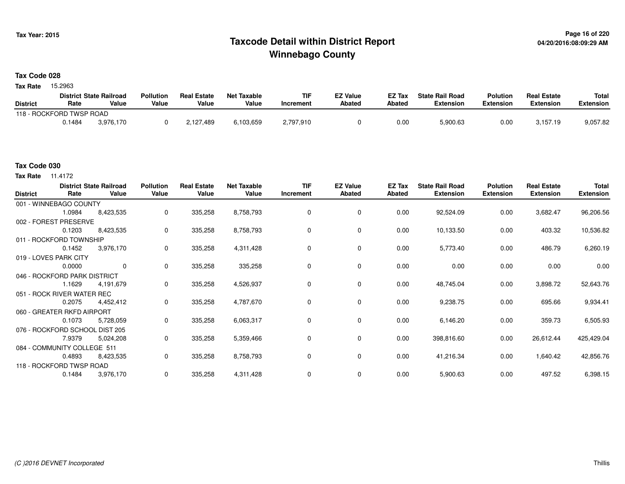## **Page 16 of 220 Taxcode Detail within District ReportWinnebago County**

#### **Tax Code 028**

Tax Rate 15.2963

|                          |        | <b>District State Railroad</b> | <b>Pollution</b> | <b>Real Estate</b> | Net Taxable | TIF       | <b>EZ Value</b> | <b>EZ Tax</b> | <b>State Rail Road</b> | <b>Polution</b>  | <b>Real Estate</b> | <b>Total</b> |
|--------------------------|--------|--------------------------------|------------------|--------------------|-------------|-----------|-----------------|---------------|------------------------|------------------|--------------------|--------------|
| <b>District</b>          | Rate   | Value                          | Value            | Value              | Value       | Increment | <b>Abated</b>   | Abated        | <b>Extension</b>       | <b>Extension</b> | <b>Extension</b>   | Extension    |
| 118 - ROCKFORD TWSP ROAD |        |                                |                  |                    |             |           |                 |               |                        |                  |                    |              |
|                          | 0.1484 | 3.976.170                      |                  | 2,127,489          | 6.103.659   | 2,797,910 |                 | 0.00          | 5,900.63               | 0.00             | 3.157.19           | 9,057.82     |

### **Tax Code 030**

**Tax Rate** 11.4172

| <b>District</b> | Rate                           | <b>District State Railroad</b><br>Value | <b>Pollution</b><br>Value | <b>Real Estate</b><br>Value | <b>Net Taxable</b><br>Value | <b>TIF</b><br>Increment | <b>EZ Value</b><br><b>Abated</b> | EZ Tax<br>Abated | <b>State Rail Road</b><br><b>Extension</b> | <b>Polution</b><br><b>Extension</b> | <b>Real Estate</b><br><b>Extension</b> | Total<br><b>Extension</b> |
|-----------------|--------------------------------|-----------------------------------------|---------------------------|-----------------------------|-----------------------------|-------------------------|----------------------------------|------------------|--------------------------------------------|-------------------------------------|----------------------------------------|---------------------------|
|                 | 001 - WINNEBAGO COUNTY         |                                         |                           |                             |                             |                         |                                  |                  |                                            |                                     |                                        |                           |
|                 | 1.0984                         | 8,423,535                               | 0                         | 335,258                     | 8,758,793                   |                         | 0                                | 0.00             | 92,524.09                                  | 0.00                                | 3,682.47                               | 96,206.56                 |
|                 | 002 - FOREST PRESERVE          |                                         |                           |                             |                             |                         |                                  |                  |                                            |                                     |                                        |                           |
|                 | 0.1203                         | 8,423,535                               | $\mathbf 0$               | 335,258                     | 8,758,793                   |                         | 0                                | 0.00             | 10,133.50                                  | 0.00                                | 403.32                                 | 10,536.82                 |
|                 | 011 - ROCKFORD TOWNSHIP        |                                         |                           |                             |                             |                         |                                  |                  |                                            |                                     |                                        |                           |
|                 | 0.1452                         | 3,976,170                               | $\mathbf 0$               | 335,258                     | 4,311,428                   | $\Omega$                | 0                                | 0.00             | 5,773.40                                   | 0.00                                | 486.79                                 | 6,260.19                  |
|                 | 019 - LOVES PARK CITY          |                                         |                           |                             |                             |                         |                                  |                  |                                            |                                     |                                        |                           |
|                 | 0.0000                         | 0                                       | $\mathbf 0$               | 335,258                     | 335,258                     | 0                       | 0                                | 0.00             | 0.00                                       | 0.00                                | 0.00                                   | 0.00                      |
|                 | 046 - ROCKFORD PARK DISTRICT   |                                         |                           |                             |                             |                         |                                  |                  |                                            |                                     |                                        |                           |
|                 | 1.1629                         | 4,191,679                               | 0                         | 335,258                     | 4,526,937                   | 0                       | 0                                | 0.00             | 48,745.04                                  | 0.00                                | 3,898.72                               | 52,643.76                 |
|                 | 051 - ROCK RIVER WATER REC     |                                         |                           |                             |                             |                         |                                  |                  |                                            |                                     |                                        |                           |
|                 | 0.2075                         | 4,452,412                               | $\mathbf 0$               | 335,258                     | 4,787,670                   | 0                       | $\mathbf 0$                      | 0.00             | 9,238.75                                   | 0.00                                | 695.66                                 | 9,934.41                  |
|                 | 060 - GREATER RKFD AIRPORT     |                                         |                           |                             |                             |                         |                                  |                  |                                            |                                     |                                        |                           |
|                 | 0.1073                         | 5,728,059                               | $\mathbf 0$               | 335,258                     | 6,063,317                   | 0                       | $\mathbf 0$                      | 0.00             | 6,146.20                                   | 0.00                                | 359.73                                 | 6,505.93                  |
|                 | 076 - ROCKFORD SCHOOL DIST 205 |                                         |                           |                             |                             |                         |                                  |                  |                                            |                                     |                                        |                           |
|                 | 7.9379                         | 5,024,208                               | $\mathbf 0$               | 335,258                     | 5,359,466                   | 0                       | 0                                | 0.00             | 398,816.60                                 | 0.00                                | 26,612.44                              | 425,429.04                |
|                 | 084 - COMMUNITY COLLEGE 511    |                                         |                           |                             |                             |                         |                                  |                  |                                            |                                     |                                        |                           |
|                 | 0.4893                         | 8,423,535                               | 0                         | 335,258                     | 8,758,793                   | 0                       | 0                                | 0.00             | 41,216.34                                  | 0.00                                | 1,640.42                               | 42,856.76                 |
|                 | 118 - ROCKFORD TWSP ROAD       |                                         |                           |                             |                             |                         |                                  |                  |                                            |                                     |                                        |                           |
|                 | 0.1484                         | 3,976,170                               | 0                         | 335,258                     | 4,311,428                   |                         | 0                                | 0.00             | 5,900.63                                   | 0.00                                | 497.52                                 | 6,398.15                  |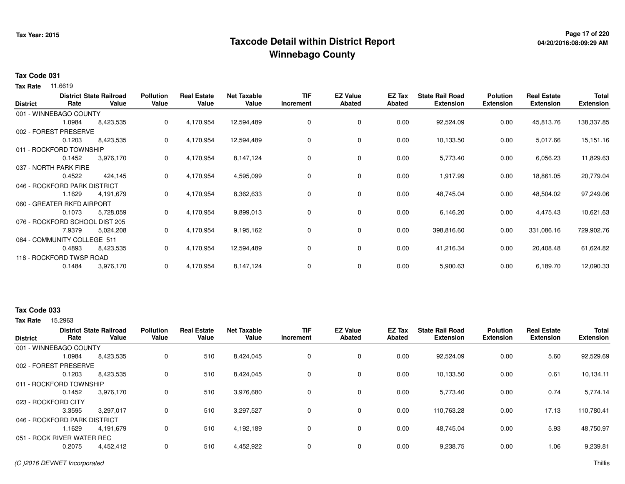## **Page 17 of 220 Taxcode Detail within District ReportWinnebago County**

#### **Tax Code 031**

**Tax Rate** 11.6619

| <b>District</b> | Rate                           | <b>District State Railroad</b><br>Value | <b>Pollution</b><br>Value | <b>Real Estate</b><br>Value | <b>Net Taxable</b><br>Value | <b>TIF</b><br>Increment | <b>EZ Value</b><br><b>Abated</b> | EZ Tax<br>Abated | <b>State Rail Road</b><br><b>Extension</b> | <b>Polution</b><br><b>Extension</b> | <b>Real Estate</b><br><b>Extension</b> | <b>Total</b><br><b>Extension</b> |
|-----------------|--------------------------------|-----------------------------------------|---------------------------|-----------------------------|-----------------------------|-------------------------|----------------------------------|------------------|--------------------------------------------|-------------------------------------|----------------------------------------|----------------------------------|
|                 | 001 - WINNEBAGO COUNTY         |                                         |                           |                             |                             |                         |                                  |                  |                                            |                                     |                                        |                                  |
|                 | 1.0984                         | 8,423,535                               | 0                         | 4,170,954                   | 12,594,489                  | 0                       | 0                                | 0.00             | 92,524.09                                  | 0.00                                | 45,813.76                              | 138,337.85                       |
|                 | 002 - FOREST PRESERVE          |                                         |                           |                             |                             |                         |                                  |                  |                                            |                                     |                                        |                                  |
|                 | 0.1203                         | 8,423,535                               | 0                         | 4,170,954                   | 12,594,489                  | 0                       | 0                                | 0.00             | 10,133.50                                  | 0.00                                | 5,017.66                               | 15,151.16                        |
|                 | 011 - ROCKFORD TOWNSHIP        |                                         |                           |                             |                             |                         |                                  |                  |                                            |                                     |                                        |                                  |
|                 | 0.1452                         | 3,976,170                               | 0                         | 4,170,954                   | 8,147,124                   | 0                       | 0                                | 0.00             | 5,773.40                                   | 0.00                                | 6,056.23                               | 11,829.63                        |
|                 | 037 - NORTH PARK FIRE          |                                         |                           |                             |                             |                         |                                  |                  |                                            |                                     |                                        |                                  |
|                 | 0.4522                         | 424,145                                 | 0                         | 4,170,954                   | 4,595,099                   | 0                       | 0                                | 0.00             | 1,917.99                                   | 0.00                                | 18,861.05                              | 20,779.04                        |
|                 | 046 - ROCKFORD PARK DISTRICT   |                                         |                           |                             |                             |                         |                                  |                  |                                            |                                     |                                        |                                  |
|                 | 1.1629                         | 4,191,679                               | 0                         | 4,170,954                   | 8,362,633                   | 0                       | 0                                | 0.00             | 48,745.04                                  | 0.00                                | 48,504.02                              | 97,249.06                        |
|                 | 060 - GREATER RKFD AIRPORT     |                                         |                           |                             |                             |                         |                                  |                  |                                            |                                     |                                        |                                  |
|                 | 0.1073                         | 5,728,059                               | 0                         | 4,170,954                   | 9,899,013                   | 0                       | $\mathbf 0$                      | 0.00             | 6,146.20                                   | 0.00                                | 4,475.43                               | 10,621.63                        |
|                 | 076 - ROCKFORD SCHOOL DIST 205 |                                         |                           |                             |                             |                         |                                  |                  |                                            |                                     |                                        |                                  |
|                 | 7.9379                         | 5,024,208                               | 0                         | 4,170,954                   | 9,195,162                   | 0                       | 0                                | 0.00             | 398,816.60                                 | 0.00                                | 331,086.16                             | 729,902.76                       |
|                 | 084 - COMMUNITY COLLEGE 511    |                                         |                           |                             |                             |                         |                                  |                  |                                            |                                     |                                        |                                  |
|                 | 0.4893                         | 8,423,535                               | 0                         | 4,170,954                   | 12,594,489                  | 0                       | 0                                | 0.00             | 41,216.34                                  | 0.00                                | 20,408.48                              | 61,624.82                        |
|                 | 118 - ROCKFORD TWSP ROAD       |                                         |                           |                             |                             |                         |                                  |                  |                                            |                                     |                                        |                                  |
|                 | 0.1484                         | 3,976,170                               | 0                         | 4,170,954                   | 8,147,124                   | 0                       | 0                                | 0.00             | 5,900.63                                   | 0.00                                | 6,189.70                               | 12,090.33                        |

#### **Tax Code 033**

**Tax Rate** 15,2963

|                     |                | <b>Pollution</b>                                                                                                                                                                                 | <b>Real Estate</b> | <b>Net Taxable</b> | <b>TIF</b>         | <b>EZ Value</b> | EZ Tax             | <b>State Rail Road</b> | <b>Polution</b>               | <b>Real Estate</b>       | <b>Total</b><br><b>Extension</b> |
|---------------------|----------------|--------------------------------------------------------------------------------------------------------------------------------------------------------------------------------------------------|--------------------|--------------------|--------------------|-----------------|--------------------|------------------------|-------------------------------|--------------------------|----------------------------------|
|                     |                |                                                                                                                                                                                                  |                    |                    |                    |                 |                    |                        |                               |                          |                                  |
|                     |                |                                                                                                                                                                                                  |                    |                    |                    |                 |                    |                        |                               |                          |                                  |
|                     |                |                                                                                                                                                                                                  |                    |                    |                    |                 |                    |                        |                               |                          | 92,529.69                        |
|                     |                |                                                                                                                                                                                                  |                    |                    |                    |                 |                    |                        |                               |                          |                                  |
| 0.1203              | 8,423,535      | 0                                                                                                                                                                                                | 510                | 8,424,045          | 0                  | 0               | 0.00               | 10,133.50              | 0.00                          | 0.61                     | 10,134.11                        |
|                     |                |                                                                                                                                                                                                  |                    |                    |                    |                 |                    |                        |                               |                          |                                  |
| 0.1452              | 3,976,170      | 0                                                                                                                                                                                                | 510                | 3,976,680          | 0                  | 0               | 0.00               | 5,773.40               | 0.00                          | 0.74                     | 5,774.14                         |
| 023 - ROCKFORD CITY |                |                                                                                                                                                                                                  |                    |                    |                    |                 |                    |                        |                               |                          |                                  |
| 3.3595              | 3,297,017      | 0                                                                                                                                                                                                | 510                | 3,297,527          | 0                  | 0               | 0.00               | 110,763.28             | 0.00                          | 17.13                    | 110,780.41                       |
|                     |                |                                                                                                                                                                                                  |                    |                    |                    |                 |                    |                        |                               |                          |                                  |
| .1629               | 4.191.679      | 0                                                                                                                                                                                                | 510                | 4,192,189          | 0                  | 0               | 0.00               | 48.745.04              | 0.00                          | 5.93                     | 48,750.97                        |
|                     |                |                                                                                                                                                                                                  |                    |                    |                    |                 |                    |                        |                               |                          |                                  |
| 0.2075              | 4,452,412      | 0                                                                                                                                                                                                | 510                | 4,452,922          | 0                  | 0               | 0.00               | 9,238.75               | 0.00                          | 1.06                     | 9,239.81                         |
|                     | Rate<br>1.0984 | <b>District State Railroad</b><br>Value<br>001 - WINNEBAGO COUNTY<br>8,423,535<br>002 - FOREST PRESERVE<br>011 - ROCKFORD TOWNSHIP<br>046 - ROCKFORD PARK DISTRICT<br>051 - ROCK RIVER WATER REC | Value<br>0         | Value<br>510       | Value<br>8,424,045 | Increment<br>0  | <b>Abated</b><br>0 | Abated<br>0.00         | <b>Extension</b><br>92,524.09 | <b>Extension</b><br>0.00 | <b>Extension</b><br>5.60         |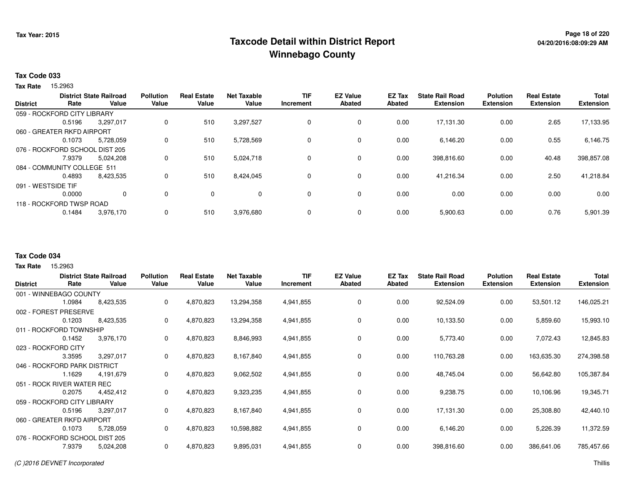## **Page 18 of 220 Taxcode Detail within District ReportWinnebago County**

#### **Tax Code 033**

Tax Rate 15.2963

| <b>District</b>    | Rate                           | <b>District State Railroad</b><br>Value | <b>Pollution</b><br>Value | <b>Real Estate</b><br>Value | <b>Net Taxable</b><br>Value | <b>TIF</b><br>Increment | <b>EZ Value</b><br><b>Abated</b> | <b>EZ Tax</b><br>Abated | <b>State Rail Road</b><br><b>Extension</b> | <b>Polution</b><br><b>Extension</b> | <b>Real Estate</b><br><b>Extension</b> | <b>Total</b><br><b>Extension</b> |
|--------------------|--------------------------------|-----------------------------------------|---------------------------|-----------------------------|-----------------------------|-------------------------|----------------------------------|-------------------------|--------------------------------------------|-------------------------------------|----------------------------------------|----------------------------------|
|                    | 059 - ROCKFORD CITY LIBRARY    |                                         |                           |                             |                             |                         |                                  |                         |                                            |                                     |                                        |                                  |
|                    | 0.5196                         | 3,297,017                               | 0                         | 510                         | 3,297,527                   | 0                       | 0                                | 0.00                    | 17.131.30                                  | 0.00                                | 2.65                                   | 17,133.95                        |
|                    | 060 - GREATER RKFD AIRPORT     |                                         |                           |                             |                             |                         |                                  |                         |                                            |                                     |                                        |                                  |
|                    | 0.1073                         | 5,728,059                               | 0                         | 510                         | 5,728,569                   | 0                       | 0                                | 0.00                    | 6,146.20                                   | 0.00                                | 0.55                                   | 6,146.75                         |
|                    | 076 - ROCKFORD SCHOOL DIST 205 |                                         |                           |                             |                             |                         |                                  |                         |                                            |                                     |                                        |                                  |
|                    | 7.9379                         | 5,024,208                               | $\mathbf 0$               | 510                         | 5,024,718                   | 0                       | 0                                | 0.00                    | 398,816.60                                 | 0.00                                | 40.48                                  | 398,857.08                       |
|                    | 084 - COMMUNITY COLLEGE 511    |                                         |                           |                             |                             |                         |                                  |                         |                                            |                                     |                                        |                                  |
|                    | 0.4893                         | 8,423,535                               | 0                         | 510                         | 8,424,045                   | 0                       | 0                                | 0.00                    | 41.216.34                                  | 0.00                                | 2.50                                   | 41,218.84                        |
| 091 - WESTSIDE TIF |                                |                                         |                           |                             |                             |                         |                                  |                         |                                            |                                     |                                        |                                  |
|                    | 0.0000                         | $\Omega$                                | 0                         | $\Omega$                    | $\Omega$                    | 0                       | 0                                | 0.00                    | 0.00                                       | 0.00                                | 0.00                                   | 0.00                             |
|                    | 118 - ROCKFORD TWSP ROAD       |                                         |                           |                             |                             |                         |                                  |                         |                                            |                                     |                                        |                                  |
|                    | 0.1484                         | 3,976,170                               | 0                         | 510                         | 3,976,680                   | 0                       | 0                                | 0.00                    | 5,900.63                                   | 0.00                                | 0.76                                   | 5,901.39                         |

#### **Tax Code 034**

| <b>District</b>                | Rate   | <b>District State Railroad</b><br>Value | <b>Pollution</b><br>Value | <b>Real Estate</b><br>Value | Net Taxable<br>Value | <b>TIF</b><br>Increment | <b>EZ Value</b><br><b>Abated</b> | <b>EZ Tax</b><br><b>Abated</b> | <b>State Rail Road</b><br><b>Extension</b> | <b>Polution</b><br><b>Extension</b> | <b>Real Estate</b><br><b>Extension</b> | <b>Total</b><br><b>Extension</b> |
|--------------------------------|--------|-----------------------------------------|---------------------------|-----------------------------|----------------------|-------------------------|----------------------------------|--------------------------------|--------------------------------------------|-------------------------------------|----------------------------------------|----------------------------------|
| 001 - WINNEBAGO COUNTY         |        |                                         |                           |                             |                      |                         |                                  |                                |                                            |                                     |                                        |                                  |
|                                | 1.0984 | 8,423,535                               | 0                         | 4,870,823                   | 13,294,358           | 4,941,855               | 0                                | 0.00                           | 92,524.09                                  | 0.00                                | 53,501.12                              | 146,025.21                       |
| 002 - FOREST PRESERVE          |        |                                         |                           |                             |                      |                         |                                  |                                |                                            |                                     |                                        |                                  |
|                                | 0.1203 | 8,423,535                               | 0                         | 4,870,823                   | 13,294,358           | 4,941,855               | 0                                | 0.00                           | 10,133.50                                  | 0.00                                | 5,859.60                               | 15,993.10                        |
| 011 - ROCKFORD TOWNSHIP        |        |                                         |                           |                             |                      |                         |                                  |                                |                                            |                                     |                                        |                                  |
|                                | 0.1452 | 3,976,170                               | 0                         | 4,870,823                   | 8,846,993            | 4,941,855               | 0                                | 0.00                           | 5,773.40                                   | 0.00                                | 7,072.43                               | 12,845.83                        |
| 023 - ROCKFORD CITY            |        |                                         |                           |                             |                      |                         |                                  |                                |                                            |                                     |                                        |                                  |
|                                | 3.3595 | 3,297,017                               | 0                         | 4,870,823                   | 8,167,840            | 4,941,855               | 0                                | 0.00                           | 110,763.28                                 | 0.00                                | 163,635.30                             | 274,398.58                       |
| 046 - ROCKFORD PARK DISTRICT   |        |                                         |                           |                             |                      |                         |                                  |                                |                                            |                                     |                                        |                                  |
|                                | 1.1629 | 4.191.679                               | 0                         | 4,870,823                   | 9,062,502            | 4,941,855               | 0                                | 0.00                           | 48,745.04                                  | 0.00                                | 56,642.80                              | 105,387.84                       |
| 051 - ROCK RIVER WATER REC     |        |                                         |                           |                             |                      |                         |                                  |                                |                                            |                                     |                                        |                                  |
|                                | 0.2075 | 4,452,412                               | 0                         | 4,870,823                   | 9,323,235            | 4,941,855               | 0                                | 0.00                           | 9,238.75                                   | 0.00                                | 10,106.96                              | 19,345.71                        |
| 059 - ROCKFORD CITY LIBRARY    |        |                                         |                           |                             |                      |                         |                                  |                                |                                            |                                     |                                        |                                  |
|                                | 0.5196 | 3,297,017                               | 0                         | 4,870,823                   | 8,167,840            | 4,941,855               | 0                                | 0.00                           | 17,131.30                                  | 0.00                                | 25,308.80                              | 42,440.10                        |
| 060 - GREATER RKFD AIRPORT     |        |                                         |                           |                             |                      |                         |                                  |                                |                                            |                                     |                                        |                                  |
|                                | 0.1073 | 5,728,059                               | 0                         | 4,870,823                   | 10,598,882           | 4,941,855               | 0                                | 0.00                           | 6,146.20                                   | 0.00                                | 5,226.39                               | 11,372.59                        |
| 076 - ROCKFORD SCHOOL DIST 205 |        |                                         |                           |                             |                      |                         |                                  |                                |                                            |                                     |                                        |                                  |
|                                | 7.9379 | 5,024,208                               | 0                         | 4,870,823                   | 9,895,031            | 4,941,855               | 0                                | 0.00                           | 398,816.60                                 | 0.00                                | 386,641.06                             | 785,457.66                       |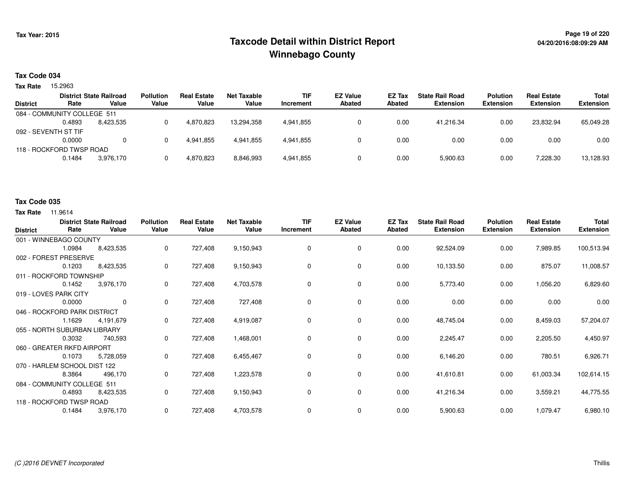## **Page 19 of 220 Taxcode Detail within District ReportWinnebago County**

#### **Tax Code 034**

Tax Rate 15.2963

|                 |                             | <b>District State Railroad</b> | <b>Pollution</b> | <b>Real Estate</b> | Net Taxable | <b>TIF</b> | <b>EZ Value</b> | <b>EZ Tax</b> | <b>State Rail Road</b> | <b>Polution</b>  | <b>Real Estate</b> | Total            |
|-----------------|-----------------------------|--------------------------------|------------------|--------------------|-------------|------------|-----------------|---------------|------------------------|------------------|--------------------|------------------|
| <b>District</b> | Rate                        | Value                          | Value            | Value              | Value       | Increment  | <b>Abated</b>   | Abated        | <b>Extension</b>       | <b>Extension</b> | <b>Extension</b>   | <b>Extension</b> |
|                 | 084 - COMMUNITY COLLEGE 511 |                                |                  |                    |             |            |                 |               |                        |                  |                    |                  |
|                 | 0.4893                      | 8.423.535                      |                  | 4.870.823          | 13,294,358  | 4,941,855  |                 | 0.00          | 41.216.34              | 0.00             | 23.832.94          | 65,049.28        |
|                 | 092 - SEVENTH ST TIF        |                                |                  |                    |             |            |                 |               |                        |                  |                    |                  |
|                 | 0.0000                      | $\Omega$                       |                  | 4.941.855          | 4.941.855   | 4,941,855  |                 | 0.00          | 0.00                   | 0.00             | 0.00               | 0.00             |
|                 | 118 - ROCKFORD TWSP ROAD    |                                |                  |                    |             |            |                 |               |                        |                  |                    |                  |
|                 | 0.1484                      | 3.976.170                      |                  | 4,870,823          | 8,846,993   | 4,941,855  |                 | 0.00          | 5,900.63               | 0.00             | 7,228.30           | 13,128.93        |
|                 |                             |                                |                  |                    |             |            |                 |               |                        |                  |                    |                  |

#### **Tax Code 035**

| <b>District</b>              | Rate   | <b>District State Railroad</b><br>Value | <b>Pollution</b><br>Value | <b>Real Estate</b><br>Value | <b>Net Taxable</b><br>Value | <b>TIF</b><br>Increment | <b>EZ Value</b><br><b>Abated</b> | EZ Tax<br><b>Abated</b> | <b>State Rail Road</b><br><b>Extension</b> | <b>Polution</b><br><b>Extension</b> | <b>Real Estate</b><br><b>Extension</b> | <b>Total</b><br><b>Extension</b> |
|------------------------------|--------|-----------------------------------------|---------------------------|-----------------------------|-----------------------------|-------------------------|----------------------------------|-------------------------|--------------------------------------------|-------------------------------------|----------------------------------------|----------------------------------|
| 001 - WINNEBAGO COUNTY       |        |                                         |                           |                             |                             |                         |                                  |                         |                                            |                                     |                                        |                                  |
|                              | 1.0984 | 8,423,535                               | 0                         | 727,408                     | 9,150,943                   | 0                       | 0                                | 0.00                    | 92,524.09                                  | 0.00                                | 7,989.85                               | 100,513.94                       |
| 002 - FOREST PRESERVE        |        |                                         |                           |                             |                             |                         |                                  |                         |                                            |                                     |                                        |                                  |
|                              | 0.1203 | 8,423,535                               | 0                         | 727,408                     | 9,150,943                   | $\Omega$                | 0                                | 0.00                    | 10,133.50                                  | 0.00                                | 875.07                                 | 11,008.57                        |
| 011 - ROCKFORD TOWNSHIP      |        |                                         |                           |                             |                             |                         |                                  |                         |                                            |                                     |                                        |                                  |
|                              | 0.1452 | 3,976,170                               | 0                         | 727,408                     | 4,703,578                   | 0                       | 0                                | 0.00                    | 5,773.40                                   | 0.00                                | 1,056.20                               | 6,829.60                         |
| 019 - LOVES PARK CITY        |        |                                         |                           |                             |                             |                         |                                  |                         |                                            |                                     |                                        |                                  |
|                              | 0.0000 | $\overline{0}$                          | 0                         | 727,408                     | 727,408                     | 0                       | 0                                | 0.00                    | 0.00                                       | 0.00                                | 0.00                                   | 0.00                             |
| 046 - ROCKFORD PARK DISTRICT |        |                                         |                           |                             |                             |                         |                                  |                         |                                            |                                     |                                        |                                  |
|                              | 1.1629 | 4,191,679                               | 0                         | 727,408                     | 4,919,087                   | 0                       | 0                                | 0.00                    | 48,745.04                                  | 0.00                                | 8,459.03                               | 57,204.07                        |
| 055 - NORTH SUBURBAN LIBRARY |        |                                         |                           |                             |                             |                         |                                  |                         |                                            |                                     |                                        |                                  |
|                              | 0.3032 | 740,593                                 | 0                         | 727,408                     | 1,468,001                   | 0                       | $\mathbf 0$                      | 0.00                    | 2,245.47                                   | 0.00                                | 2,205.50                               | 4,450.97                         |
| 060 - GREATER RKFD AIRPORT   |        |                                         |                           |                             |                             |                         |                                  |                         |                                            |                                     |                                        |                                  |
|                              | 0.1073 | 5,728,059                               | 0                         | 727,408                     | 6,455,467                   | 0                       | 0                                | 0.00                    | 6,146.20                                   | 0.00                                | 780.51                                 | 6,926.71                         |
| 070 - HARLEM SCHOOL DIST 122 |        |                                         |                           |                             |                             |                         |                                  |                         |                                            |                                     |                                        |                                  |
|                              | 8.3864 | 496,170                                 | 0                         | 727,408                     | 1,223,578                   | 0                       | $\mathbf 0$                      | 0.00                    | 41,610.81                                  | 0.00                                | 61,003.34                              | 102,614.15                       |
| 084 - COMMUNITY COLLEGE 511  |        |                                         |                           |                             |                             |                         |                                  |                         |                                            |                                     |                                        |                                  |
|                              | 0.4893 | 8,423,535                               | 0                         | 727,408                     | 9,150,943                   | 0                       | 0                                | 0.00                    | 41,216.34                                  | 0.00                                | 3,559.21                               | 44,775.55                        |
| 118 - ROCKFORD TWSP ROAD     |        |                                         |                           |                             |                             |                         |                                  |                         |                                            |                                     |                                        |                                  |
|                              | 0.1484 | 3,976,170                               | 0                         | 727,408                     | 4,703,578                   | 0                       | 0                                | 0.00                    | 5,900.63                                   | 0.00                                | 1,079.47                               | 6,980.10                         |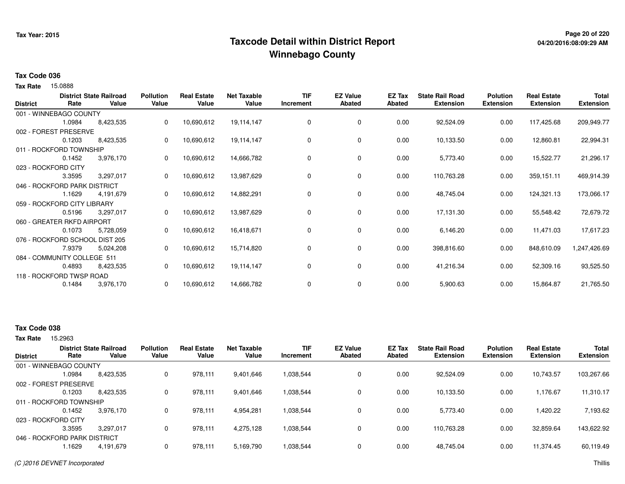## **Page 20 of 220 Taxcode Detail within District ReportWinnebago County**

# **04/20/2016:08:09:29 AM**

#### **Tax Code 036**

15.0888 **Tax Rate**

| <b>District</b> | Rate                           | <b>District State Railroad</b><br>Value | <b>Pollution</b><br>Value | <b>Real Estate</b><br>Value | <b>Net Taxable</b><br>Value | <b>TIF</b><br>Increment | <b>EZ Value</b><br><b>Abated</b> | EZ Tax<br>Abated | <b>State Rail Road</b><br><b>Extension</b> | <b>Polution</b><br><b>Extension</b> | <b>Real Estate</b><br><b>Extension</b> | Total<br><b>Extension</b> |
|-----------------|--------------------------------|-----------------------------------------|---------------------------|-----------------------------|-----------------------------|-------------------------|----------------------------------|------------------|--------------------------------------------|-------------------------------------|----------------------------------------|---------------------------|
|                 | 001 - WINNEBAGO COUNTY         |                                         |                           |                             |                             |                         |                                  |                  |                                            |                                     |                                        |                           |
|                 | 1.0984                         | 8,423,535                               | 0                         | 10,690,612                  | 19,114,147                  | 0                       | 0                                | 0.00             | 92,524.09                                  | 0.00                                | 117,425.68                             | 209,949.77                |
|                 | 002 - FOREST PRESERVE          |                                         |                           |                             |                             |                         |                                  |                  |                                            |                                     |                                        |                           |
|                 | 0.1203                         | 8,423,535                               | 0                         | 10,690,612                  | 19,114,147                  | 0                       | 0                                | 0.00             | 10,133.50                                  | 0.00                                | 12,860.81                              | 22,994.31                 |
|                 | 011 - ROCKFORD TOWNSHIP        |                                         |                           |                             |                             |                         |                                  |                  |                                            |                                     |                                        |                           |
|                 | 0.1452                         | 3,976,170                               | 0                         | 10,690,612                  | 14,666,782                  | 0                       | 0                                | 0.00             | 5,773.40                                   | 0.00                                | 15,522.77                              | 21,296.17                 |
|                 | 023 - ROCKFORD CITY            |                                         |                           |                             |                             |                         |                                  |                  |                                            |                                     |                                        |                           |
|                 | 3.3595                         | 3,297,017                               | 0                         | 10,690,612                  | 13,987,629                  | 0                       | 0                                | 0.00             | 110,763.28                                 | 0.00                                | 359,151.11                             | 469,914.39                |
|                 | 046 - ROCKFORD PARK DISTRICT   |                                         |                           |                             |                             |                         |                                  |                  |                                            |                                     |                                        |                           |
|                 | 1.1629                         | 4,191,679                               | 0                         | 10,690,612                  | 14,882,291                  | 0                       | 0                                | 0.00             | 48,745.04                                  | 0.00                                | 124,321.13                             | 173,066.17                |
|                 | 059 - ROCKFORD CITY LIBRARY    |                                         |                           |                             |                             |                         |                                  |                  |                                            |                                     |                                        |                           |
|                 | 0.5196                         | 3,297,017                               |                           | 10,690,612                  | 13,987,629                  | 0                       | 0                                | 0.00             | 17,131.30                                  | 0.00                                | 55,548.42                              | 72,679.72                 |
|                 | 060 - GREATER RKFD AIRPORT     |                                         |                           |                             |                             |                         |                                  |                  |                                            |                                     |                                        |                           |
|                 | 0.1073                         | 5,728,059                               | 0                         | 10,690,612                  | 16,418,671                  | 0                       | 0                                | 0.00             | 6,146.20                                   | 0.00                                | 11,471.03                              | 17,617.23                 |
|                 | 076 - ROCKFORD SCHOOL DIST 205 |                                         |                           |                             |                             |                         |                                  |                  |                                            |                                     |                                        |                           |
|                 | 7.9379                         | 5,024,208                               | 0                         | 10,690,612                  | 15,714,820                  | 0                       | 0                                | 0.00             | 398,816.60                                 | 0.00                                | 848,610.09                             | 1,247,426.69              |
|                 | 084 - COMMUNITY COLLEGE 511    |                                         |                           |                             |                             |                         |                                  |                  |                                            |                                     |                                        |                           |
|                 | 0.4893                         | 8,423,535                               | 0                         | 10,690,612                  | 19,114,147                  | 0                       | 0                                | 0.00             | 41,216.34                                  | 0.00                                | 52,309.16                              | 93,525.50                 |
|                 | 118 - ROCKFORD TWSP ROAD       |                                         |                           |                             |                             |                         |                                  |                  |                                            |                                     |                                        |                           |
|                 | 0.1484                         | 3,976,170                               | 0                         | 10,690,612                  | 14,666,782                  | 0                       | 0                                | 0.00             | 5,900.63                                   | 0.00                                | 15,864.87                              | 21,765.50                 |

### **Tax Code 038**

| <b>District</b>              | Rate   | <b>District State Railroad</b><br>Value | <b>Pollution</b><br>Value | <b>Real Estate</b><br>Value | <b>Net Taxable</b><br>Value | <b>TIF</b><br>Increment | <b>EZ Value</b><br><b>Abated</b> | <b>EZ Tax</b><br>Abated | <b>State Rail Road</b><br><b>Extension</b> | <b>Polution</b><br><b>Extension</b> | <b>Real Estate</b><br><b>Extension</b> | <b>Total</b><br><b>Extension</b> |
|------------------------------|--------|-----------------------------------------|---------------------------|-----------------------------|-----------------------------|-------------------------|----------------------------------|-------------------------|--------------------------------------------|-------------------------------------|----------------------------------------|----------------------------------|
| 001 - WINNEBAGO COUNTY       |        |                                         |                           |                             |                             |                         |                                  |                         |                                            |                                     |                                        |                                  |
|                              | 1.0984 | 8,423,535                               | 0                         | 978,111                     | 9,401,646                   | 1,038,544               | 0                                | 0.00                    | 92,524.09                                  | 0.00                                | 10,743.57                              | 103,267.66                       |
| 002 - FOREST PRESERVE        |        |                                         |                           |                             |                             |                         |                                  |                         |                                            |                                     |                                        |                                  |
|                              | 0.1203 | 8.423.535                               | 0                         | 978.111                     | 9,401,646                   | 1,038,544               | 0                                | 0.00                    | 10.133.50                                  | 0.00                                | 1,176.67                               | 11,310.17                        |
| 011 - ROCKFORD TOWNSHIP      |        |                                         |                           |                             |                             |                         |                                  |                         |                                            |                                     |                                        |                                  |
|                              | 0.1452 | 3.976.170                               | 0                         | 978.111                     | 4,954,281                   | 1,038,544               | 0                                | 0.00                    | 5,773.40                                   | 0.00                                | .420.22                                | 7,193.62                         |
| 023 - ROCKFORD CITY          |        |                                         |                           |                             |                             |                         |                                  |                         |                                            |                                     |                                        |                                  |
|                              | 3.3595 | 3,297,017                               | 0                         | 978.111                     | 4,275,128                   | 1,038,544               | 0                                | 0.00                    | 110,763.28                                 | 0.00                                | 32,859.64                              | 143.622.92                       |
| 046 - ROCKFORD PARK DISTRICT |        |                                         |                           |                             |                             |                         |                                  |                         |                                            |                                     |                                        |                                  |
|                              | 1.1629 | 4.191.679                               | 0                         | 978.111                     | 5,169,790                   | 1,038,544               | 0                                | 0.00                    | 48.745.04                                  | 0.00                                | 11.374.45                              | 60,119.49                        |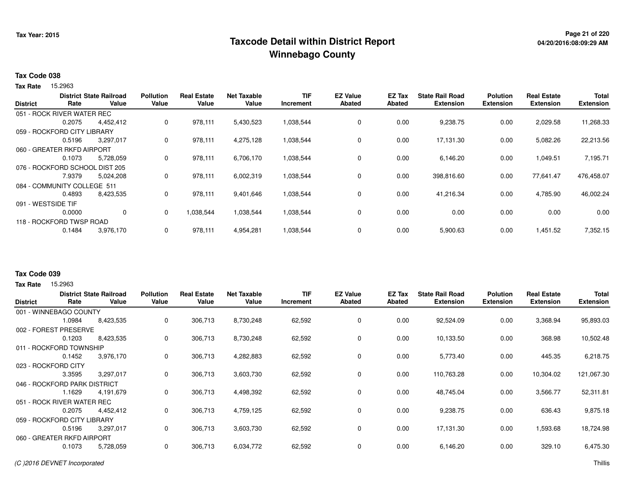## **Page 21 of 220 Taxcode Detail within District ReportWinnebago County**

# **04/20/2016:08:09:29 AM**

#### **Tax Code 038**

Tax Rate 15.2963

|                    |                                | <b>District State Railroad</b> | <b>Pollution</b> | <b>Real Estate</b> | <b>Net Taxable</b> | <b>TIF</b> | <b>EZ Value</b> | <b>EZ Tax</b> | <b>State Rail Road</b> | <b>Polution</b>  | <b>Real Estate</b> | <b>Total</b>     |
|--------------------|--------------------------------|--------------------------------|------------------|--------------------|--------------------|------------|-----------------|---------------|------------------------|------------------|--------------------|------------------|
| <b>District</b>    | Rate                           | Value                          | Value            | Value              | Value              | Increment  | <b>Abated</b>   | Abated        | <b>Extension</b>       | <b>Extension</b> | <b>Extension</b>   | <b>Extension</b> |
|                    | 051 - ROCK RIVER WATER REC     |                                |                  |                    |                    |            |                 |               |                        |                  |                    |                  |
|                    | 0.2075                         | 4,452,412                      | 0                | 978,111            | 5,430,523          | 1,038,544  | 0               | 0.00          | 9,238.75               | 0.00             | 2,029.58           | 11,268.33        |
|                    | 059 - ROCKFORD CITY LIBRARY    |                                |                  |                    |                    |            |                 |               |                        |                  |                    |                  |
|                    | 0.5196                         | 3,297,017                      | 0                | 978,111            | 4,275,128          | 1,038,544  | 0               | 0.00          | 17,131.30              | 0.00             | 5,082.26           | 22,213.56        |
|                    | 060 - GREATER RKFD AIRPORT     |                                |                  |                    |                    |            |                 |               |                        |                  |                    |                  |
|                    | 0.1073                         | 5,728,059                      | 0                | 978,111            | 6,706,170          | 1,038,544  | 0               | 0.00          | 6,146.20               | 0.00             | 1,049.51           | 7,195.71         |
|                    | 076 - ROCKFORD SCHOOL DIST 205 |                                |                  |                    |                    |            |                 |               |                        |                  |                    |                  |
|                    | 7.9379                         | 5,024,208                      | 0                | 978,111            | 6,002,319          | 1,038,544  | 0               | 0.00          | 398,816.60             | 0.00             | 77,641.47          | 476,458.07       |
|                    | 084 - COMMUNITY COLLEGE 511    |                                |                  |                    |                    |            |                 |               |                        |                  |                    |                  |
|                    | 0.4893                         | 8,423,535                      | 0                | 978,111            | 9,401,646          | 1,038,544  | 0               | 0.00          | 41,216.34              | 0.00             | 4,785.90           | 46,002.24        |
| 091 - WESTSIDE TIF |                                |                                |                  |                    |                    |            |                 |               |                        |                  |                    |                  |
|                    | 0.0000                         | $\mathbf{0}$                   | 0                | 1.038.544          | 1,038,544          | 1,038,544  | 0               | 0.00          | 0.00                   | 0.00             | 0.00               | 0.00             |
|                    | 118 - ROCKFORD TWSP ROAD       |                                |                  |                    |                    |            |                 |               |                        |                  |                    |                  |
|                    | 0.1484                         | 3,976,170                      | 0                | 978,111            | 4,954,281          | 1,038,544  | 0               | 0.00          | 5,900.63               | 0.00             | 1,451.52           | 7,352.15         |
|                    |                                |                                |                  |                    |                    |            |                 |               |                        |                  |                    |                  |

### **Tax Code 039**

**Tax Rate** 15,2963

| <b>District</b>            | Rate                         | <b>District State Railroad</b><br>Value | <b>Pollution</b><br>Value | <b>Real Estate</b><br>Value | <b>Net Taxable</b><br>Value | <b>TIF</b><br><b>Increment</b> | <b>EZ Value</b><br><b>Abated</b> | <b>EZ Tax</b><br>Abated | <b>State Rail Road</b><br><b>Extension</b> | <b>Polution</b><br><b>Extension</b> | <b>Real Estate</b><br><b>Extension</b> | <b>Total</b><br><b>Extension</b> |
|----------------------------|------------------------------|-----------------------------------------|---------------------------|-----------------------------|-----------------------------|--------------------------------|----------------------------------|-------------------------|--------------------------------------------|-------------------------------------|----------------------------------------|----------------------------------|
|                            | 001 - WINNEBAGO COUNTY       |                                         |                           |                             |                             |                                |                                  |                         |                                            |                                     |                                        |                                  |
|                            | 1.0984                       | 8,423,535                               | 0                         | 306,713                     | 8,730,248                   | 62,592                         | 0                                | 0.00                    | 92,524.09                                  | 0.00                                | 3,368.94                               | 95,893.03                        |
| 002 - FOREST               | <b>PRESERVE</b>              |                                         |                           |                             |                             |                                |                                  |                         |                                            |                                     |                                        |                                  |
|                            | 0.1203                       | 8,423,535                               | 0                         | 306,713                     | 8,730,248                   | 62,592                         | 0                                | 0.00                    | 10,133.50                                  | 0.00                                | 368.98                                 | 10,502.48                        |
|                            | 011 - ROCKFORD TOWNSHIP      |                                         |                           |                             |                             |                                |                                  |                         |                                            |                                     |                                        |                                  |
|                            | 0.1452                       | 3,976,170                               | 0                         | 306,713                     | 4,282,883                   | 62,592                         | 0                                | 0.00                    | 5,773.40                                   | 0.00                                | 445.35                                 | 6,218.75                         |
|                            | 023 - ROCKFORD CITY          |                                         |                           |                             |                             |                                |                                  |                         |                                            |                                     |                                        |                                  |
|                            | 3.3595                       | 3,297,017                               | 0                         | 306,713                     | 3,603,730                   | 62,592                         | $\mathbf 0$                      | 0.00                    | 110,763.28                                 | 0.00                                | 10,304.02                              | 121,067.30                       |
|                            | 046 - ROCKFORD PARK DISTRICT |                                         |                           |                             |                             |                                |                                  |                         |                                            |                                     |                                        |                                  |
|                            | 1.1629                       | 4,191,679                               | 0                         | 306,713                     | 4,498,392                   | 62,592                         | $\mathbf 0$                      | 0.00                    | 48,745.04                                  | 0.00                                | 3,566.77                               | 52,311.81                        |
|                            | 051 - ROCK RIVER WATER REC   |                                         |                           |                             |                             |                                |                                  |                         |                                            |                                     |                                        |                                  |
|                            | 0.2075                       | 4,452,412                               | 0                         | 306,713                     | 4,759,125                   | 62,592                         | 0                                | 0.00                    | 9,238.75                                   | 0.00                                | 636.43                                 | 9,875.18                         |
|                            | 059 - ROCKFORD CITY LIBRARY  |                                         |                           |                             |                             |                                |                                  |                         |                                            |                                     |                                        |                                  |
|                            | 0.5196                       | 3,297,017                               | 0                         | 306,713                     | 3,603,730                   | 62,592                         | 0                                | 0.00                    | 17,131.30                                  | 0.00                                | 1,593.68                               | 18,724.98                        |
| 060 - GREATER RKFD AIRPORT |                              |                                         |                           |                             |                             |                                |                                  |                         |                                            |                                     |                                        |                                  |
|                            | 0.1073                       | 5,728,059                               | 0                         | 306,713                     | 6,034,772                   | 62,592                         | 0                                | 0.00                    | 6,146.20                                   | 0.00                                | 329.10                                 | 6,475.30                         |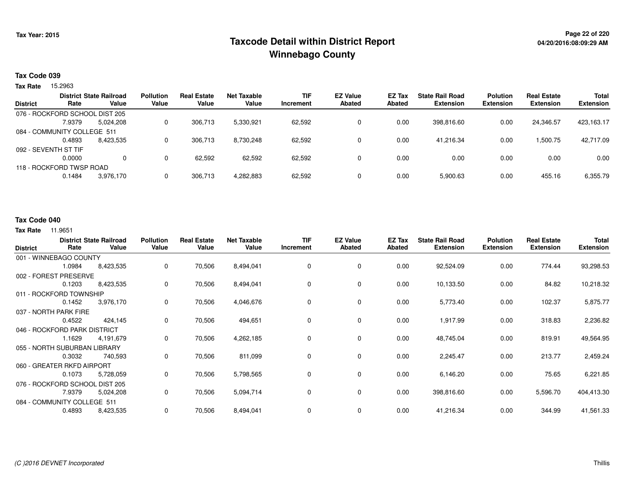## **Page 22 of 220 Taxcode Detail within District ReportWinnebago County**

#### **Tax Code 039**

Tax Rate 15.2963

|                 |                                | <b>District State Railroad</b> | <b>Pollution</b> | <b>Real Estate</b> | <b>Net Taxable</b> | TIF       | <b>EZ Value</b> | EZ Tax | <b>State Rail Road</b> | <b>Polution</b>  | <b>Real Estate</b> | <b>Total</b>     |
|-----------------|--------------------------------|--------------------------------|------------------|--------------------|--------------------|-----------|-----------------|--------|------------------------|------------------|--------------------|------------------|
| <b>District</b> | Rate                           | Value                          | Value            | Value              | Value              | Increment | <b>Abated</b>   | Abated | <b>Extension</b>       | <b>Extension</b> | <b>Extension</b>   | <b>Extension</b> |
|                 | 076 - ROCKFORD SCHOOL DIST 205 |                                |                  |                    |                    |           |                 |        |                        |                  |                    |                  |
|                 | 7.9379                         | 5.024.208                      | 0                | 306.713            | 5,330,921          | 62,592    | 0               | 0.00   | 398.816.60             | 0.00             | 24.346.57          | 423,163.17       |
|                 | 084 - COMMUNITY COLLEGE 511    |                                |                  |                    |                    |           |                 |        |                        |                  |                    |                  |
|                 | 0.4893                         | 8,423,535                      | 0                | 306.713            | 8.730.248          | 62.592    | 0               | 0.00   | 41.216.34              | 0.00             | 1,500.75           | 42,717.09        |
|                 | 092 - SEVENTH ST TIF           |                                |                  |                    |                    |           |                 |        |                        |                  |                    |                  |
|                 | 0.0000                         | 0                              | 0                | 62,592             | 62,592             | 62,592    | 0               | 0.00   | 0.00                   | 0.00             | 0.00               | 0.00             |
|                 | 118 - ROCKFORD TWSP ROAD       |                                |                  |                    |                    |           |                 |        |                        |                  |                    |                  |
|                 | 0.1484                         | 3,976,170                      | 0                | 306.713            | 4,282,883          | 62,592    | 0               | 0.00   | 5,900.63               | 0.00             | 455.16             | 6,355.79         |
|                 |                                |                                |                  |                    |                    |           |                 |        |                        |                  |                    |                  |

#### **Tax Code 040**

| <b>District</b> | Rate                           | <b>District State Railroad</b><br>Value | <b>Pollution</b><br>Value | <b>Real Estate</b><br>Value | <b>Net Taxable</b><br>Value | <b>TIF</b><br>Increment | <b>EZ Value</b><br><b>Abated</b> | <b>EZ Tax</b><br><b>Abated</b> | <b>State Rail Road</b><br><b>Extension</b> | <b>Polution</b><br><b>Extension</b> | <b>Real Estate</b><br><b>Extension</b> | <b>Total</b><br><b>Extension</b> |
|-----------------|--------------------------------|-----------------------------------------|---------------------------|-----------------------------|-----------------------------|-------------------------|----------------------------------|--------------------------------|--------------------------------------------|-------------------------------------|----------------------------------------|----------------------------------|
|                 | 001 - WINNEBAGO COUNTY         |                                         |                           |                             |                             |                         |                                  |                                |                                            |                                     |                                        |                                  |
|                 | 1.0984                         | 8,423,535                               | 0                         | 70,506                      | 8,494,041                   | 0                       | 0                                | 0.00                           | 92,524.09                                  | 0.00                                | 774.44                                 | 93,298.53                        |
|                 | 002 - FOREST PRESERVE          |                                         |                           |                             |                             |                         |                                  |                                |                                            |                                     |                                        |                                  |
|                 | 0.1203                         | 8,423,535                               | 0                         | 70,506                      | 8,494,041                   | 0                       | 0                                | 0.00                           | 10,133.50                                  | 0.00                                | 84.82                                  | 10,218.32                        |
|                 | 011 - ROCKFORD TOWNSHIP        |                                         |                           |                             |                             |                         |                                  |                                |                                            |                                     |                                        |                                  |
|                 | 0.1452                         | 3,976,170                               | 0                         | 70,506                      | 4,046,676                   | 0                       | 0                                | 0.00                           | 5,773.40                                   | 0.00                                | 102.37                                 | 5,875.77                         |
|                 | 037 - NORTH PARK FIRE          |                                         |                           |                             |                             |                         |                                  |                                |                                            |                                     |                                        |                                  |
|                 | 0.4522                         | 424,145                                 | 0                         | 70,506                      | 494,651                     | 0                       | 0                                | 0.00                           | 1,917.99                                   | 0.00                                | 318.83                                 | 2,236.82                         |
|                 | 046 - ROCKFORD PARK DISTRICT   |                                         |                           |                             |                             |                         |                                  |                                |                                            |                                     |                                        |                                  |
|                 | 1.1629                         | 4,191,679                               | 0                         | 70,506                      | 4,262,185                   | 0                       | 0                                | 0.00                           | 48,745.04                                  | 0.00                                | 819.91                                 | 49,564.95                        |
|                 | 055 - NORTH SUBURBAN LIBRARY   |                                         |                           |                             |                             |                         |                                  |                                |                                            |                                     |                                        |                                  |
|                 | 0.3032                         | 740,593                                 | 0                         | 70,506                      | 811,099                     | 0                       | 0                                | 0.00                           | 2,245.47                                   | 0.00                                | 213.77                                 | 2,459.24                         |
|                 | 060 - GREATER RKFD AIRPORT     |                                         |                           |                             |                             |                         |                                  |                                |                                            |                                     |                                        |                                  |
|                 | 0.1073                         | 5,728,059                               | 0                         | 70,506                      | 5,798,565                   | 0                       | 0                                | 0.00                           | 6,146.20                                   | 0.00                                | 75.65                                  | 6,221.85                         |
|                 | 076 - ROCKFORD SCHOOL DIST 205 |                                         |                           |                             |                             |                         |                                  |                                |                                            |                                     |                                        |                                  |
|                 | 7.9379                         | 5,024,208                               | 0                         | 70,506                      | 5,094,714                   | 0                       | 0                                | 0.00                           | 398,816.60                                 | 0.00                                | 5,596.70                               | 404,413.30                       |
|                 | 084 - COMMUNITY COLLEGE 511    |                                         |                           |                             |                             |                         |                                  |                                |                                            |                                     |                                        |                                  |
|                 | 0.4893                         | 8,423,535                               | 0                         | 70,506                      | 8,494,041                   | 0                       | 0                                | 0.00                           | 41,216.34                                  | 0.00                                | 344.99                                 | 41,561.33                        |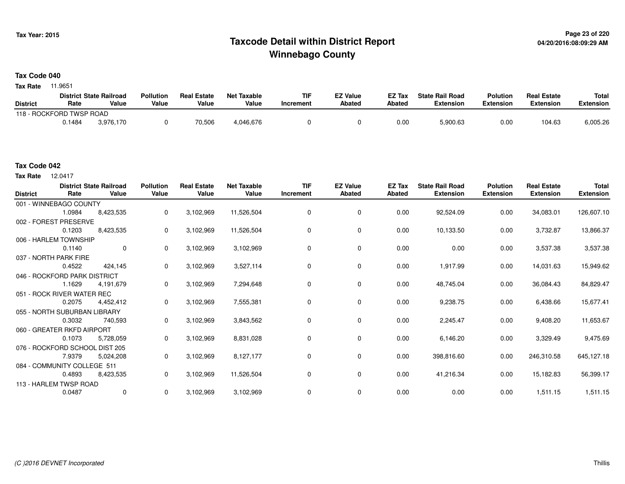## **Page 23 of 220 Taxcode Detail within District ReportWinnebago County**

### **Tax Code 040**

**Tax Rate** 11.9651

|                 |                          | <b>District State Railroad</b> | <b>Pollution</b> | <b>Real Estate</b> | <b>Net Taxable</b> | <b>TIF</b> | EZ Value | EZ Tax | <b>State Rail Road</b> | <b>Polution</b> | <b>Real Estate</b> | <b>Total</b> |
|-----------------|--------------------------|--------------------------------|------------------|--------------------|--------------------|------------|----------|--------|------------------------|-----------------|--------------------|--------------|
| <b>District</b> | Rate                     | Value                          | Value            | Value              | Value              | Increment  | Abated   | Abated | Extension              | Extension       | Extension          | Extension    |
|                 | 118 - ROCKFORD TWSP ROAD |                                |                  |                    |                    |            |          |        |                        |                 |                    |              |
|                 | 0.1484                   | 3.976.170                      |                  | 70,506             | 4,046,676          |            |          | 0.00   | 5,900.63               | 0.00            | 104.63             | 6,005.26     |

#### **Tax Code 042**

12.0417 **Tax Rate**

| <b>District</b> | Rate                           | <b>District State Railroad</b><br>Value | <b>Pollution</b><br>Value | <b>Real Estate</b><br>Value | <b>Net Taxable</b><br>Value | <b>TIF</b><br>Increment | <b>EZ Value</b><br>Abated | EZ Tax<br>Abated | <b>State Rail Road</b><br><b>Extension</b> | <b>Polution</b><br><b>Extension</b> | <b>Real Estate</b><br><b>Extension</b> | <b>Total</b><br><b>Extension</b> |
|-----------------|--------------------------------|-----------------------------------------|---------------------------|-----------------------------|-----------------------------|-------------------------|---------------------------|------------------|--------------------------------------------|-------------------------------------|----------------------------------------|----------------------------------|
|                 | 001 - WINNEBAGO COUNTY         |                                         |                           |                             |                             |                         |                           |                  |                                            |                                     |                                        |                                  |
|                 | 1.0984                         | 8,423,535                               | 0                         | 3,102,969                   | 11,526,504                  | 0                       | 0                         | 0.00             | 92,524.09                                  | 0.00                                | 34,083.01                              | 126,607.10                       |
|                 | 002 - FOREST PRESERVE          |                                         |                           |                             |                             |                         |                           |                  |                                            |                                     |                                        |                                  |
|                 | 0.1203                         | 8,423,535                               | 0                         | 3,102,969                   | 11,526,504                  | $\Omega$                | 0                         | 0.00             | 10,133.50                                  | 0.00                                | 3,732.87                               | 13,866.37                        |
|                 | 006 - HARLEM TOWNSHIP          |                                         |                           |                             |                             |                         |                           |                  |                                            |                                     |                                        |                                  |
|                 | 0.1140                         | $\mathbf 0$                             | 0                         | 3,102,969                   | 3,102,969                   | 0                       | $\mathbf 0$               | 0.00             | 0.00                                       | 0.00                                | 3,537.38                               | 3,537.38                         |
|                 | 037 - NORTH PARK FIRE          |                                         |                           |                             |                             |                         |                           |                  |                                            |                                     |                                        |                                  |
|                 | 0.4522                         | 424,145                                 | 0                         | 3,102,969                   | 3,527,114                   | 0                       | 0                         | 0.00             | 1,917.99                                   | 0.00                                | 14,031.63                              | 15,949.62                        |
|                 | 046 - ROCKFORD PARK DISTRICT   |                                         |                           |                             |                             |                         |                           |                  |                                            |                                     |                                        |                                  |
|                 | 1.1629                         | 4,191,679                               | 0                         | 3,102,969                   | 7,294,648                   | 0                       | 0                         | 0.00             | 48,745.04                                  | 0.00                                | 36,084.43                              | 84,829.47                        |
|                 | 051 - ROCK RIVER WATER REC     |                                         |                           |                             |                             |                         |                           |                  |                                            |                                     |                                        |                                  |
|                 | 0.2075                         | 4,452,412                               | 0                         | 3,102,969                   | 7,555,381                   | 0                       | 0                         | 0.00             | 9,238.75                                   | 0.00                                | 6,438.66                               | 15,677.41                        |
|                 | 055 - NORTH SUBURBAN LIBRARY   |                                         |                           |                             |                             |                         |                           |                  |                                            |                                     |                                        |                                  |
|                 | 0.3032                         | 740,593                                 | 0                         | 3,102,969                   | 3,843,562                   | 0                       | $\mathbf 0$               | 0.00             | 2,245.47                                   | 0.00                                | 9,408.20                               | 11,653.67                        |
|                 | 060 - GREATER RKFD AIRPORT     |                                         |                           |                             |                             |                         |                           |                  |                                            |                                     |                                        |                                  |
|                 | 0.1073                         | 5,728,059                               | 0                         | 3,102,969                   | 8,831,028                   | 0                       | $\mathbf 0$               | 0.00             | 6,146.20                                   | 0.00                                | 3,329.49                               | 9,475.69                         |
|                 | 076 - ROCKFORD SCHOOL DIST 205 |                                         |                           |                             |                             |                         |                           |                  |                                            |                                     |                                        |                                  |
|                 | 7.9379                         | 5,024,208                               | 0                         | 3,102,969                   | 8,127,177                   | 0                       | 0                         | 0.00             | 398,816.60                                 | 0.00                                | 246,310.58                             | 645,127.18                       |
|                 | 084 - COMMUNITY COLLEGE 511    |                                         |                           |                             |                             |                         |                           |                  |                                            |                                     |                                        |                                  |
|                 | 0.4893                         | 8,423,535                               | 0                         | 3,102,969                   | 11,526,504                  | 0                       | $\mathbf 0$               | 0.00             | 41,216.34                                  | 0.00                                | 15,182.83                              | 56,399.17                        |
|                 | 113 - HARLEM TWSP ROAD         |                                         |                           |                             |                             |                         |                           |                  |                                            |                                     |                                        |                                  |
|                 | 0.0487                         | $\mathbf 0$                             | 0                         | 3,102,969                   | 3,102,969                   | 0                       | 0                         | 0.00             | 0.00                                       | 0.00                                | 1,511.15                               | 1,511.15                         |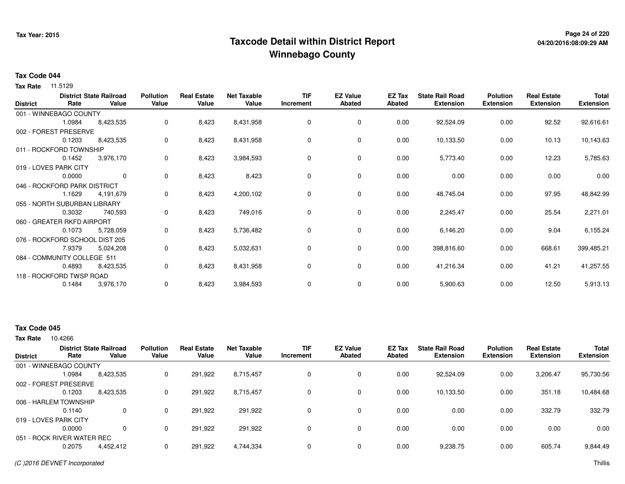## **Page 24 of 220 Taxcode Detail within District ReportWinnebago County**

# **04/20/2016:08:09:29 AM**

### **Tax Code 044**

**Tax Rate** 11.5129

| <b>District</b> | Rate                           | <b>District State Railroad</b><br>Value | <b>Pollution</b><br>Value | <b>Real Estate</b><br>Value | <b>Net Taxable</b><br>Value | <b>TIF</b><br>Increment | <b>EZ Value</b><br><b>Abated</b> | EZ Tax<br><b>Abated</b> | <b>State Rail Road</b><br><b>Extension</b> | <b>Polution</b><br><b>Extension</b> | <b>Real Estate</b><br><b>Extension</b> | Total<br><b>Extension</b> |
|-----------------|--------------------------------|-----------------------------------------|---------------------------|-----------------------------|-----------------------------|-------------------------|----------------------------------|-------------------------|--------------------------------------------|-------------------------------------|----------------------------------------|---------------------------|
|                 | 001 - WINNEBAGO COUNTY         |                                         |                           |                             |                             |                         |                                  |                         |                                            |                                     |                                        |                           |
|                 | 1.0984                         | 8,423,535                               | 0                         | 8,423                       | 8,431,958                   | $\Omega$                | $\mathbf 0$                      | 0.00                    | 92,524.09                                  | 0.00                                | 92.52                                  | 92,616.61                 |
|                 | 002 - FOREST PRESERVE          |                                         |                           |                             |                             |                         |                                  |                         |                                            |                                     |                                        |                           |
|                 | 0.1203                         | 8,423,535                               | 0                         | 8,423                       | 8,431,958                   | 0                       | 0                                | 0.00                    | 10,133.50                                  | 0.00                                | 10.13                                  | 10,143.63                 |
|                 | 011 - ROCKFORD TOWNSHIP        |                                         |                           |                             |                             |                         |                                  |                         |                                            |                                     |                                        |                           |
|                 | 0.1452                         | 3,976,170                               | 0                         | 8,423                       | 3,984,593                   | 0                       | 0                                | 0.00                    | 5,773.40                                   | 0.00                                | 12.23                                  | 5,785.63                  |
|                 | 019 - LOVES PARK CITY          |                                         |                           |                             |                             |                         |                                  |                         |                                            |                                     |                                        |                           |
|                 | 0.0000                         | $\mathbf{0}$                            | 0                         | 8,423                       | 8,423                       | 0                       | $\mathbf 0$                      | 0.00                    | 0.00                                       | 0.00                                | 0.00                                   | 0.00                      |
|                 | 046 - ROCKFORD PARK DISTRICT   |                                         |                           |                             |                             |                         |                                  |                         |                                            |                                     |                                        |                           |
|                 | 1.1629                         | 4,191,679                               | 0                         | 8,423                       | 4,200,102                   | 0                       | 0                                | 0.00                    | 48,745.04                                  | 0.00                                | 97.95                                  | 48,842.99                 |
|                 | 055 - NORTH SUBURBAN LIBRARY   |                                         |                           |                             |                             |                         |                                  |                         |                                            |                                     |                                        |                           |
|                 | 0.3032                         | 740,593                                 | 0                         | 8,423                       | 749,016                     | $\Omega$                | $\mathbf 0$                      | 0.00                    | 2,245.47                                   | 0.00                                | 25.54                                  | 2,271.01                  |
|                 | 060 - GREATER RKFD AIRPORT     |                                         |                           |                             |                             |                         |                                  |                         |                                            |                                     |                                        |                           |
|                 | 0.1073                         | 5,728,059                               | 0                         | 8,423                       | 5,736,482                   | 0                       | 0                                | 0.00                    | 6,146.20                                   | 0.00                                | 9.04                                   | 6,155.24                  |
|                 | 076 - ROCKFORD SCHOOL DIST 205 |                                         |                           |                             |                             |                         |                                  |                         |                                            |                                     |                                        |                           |
|                 | 7.9379                         | 5,024,208                               | 0                         | 8,423                       | 5,032,631                   | 0                       | $\mathbf 0$                      | 0.00                    | 398,816.60                                 | 0.00                                | 668.61                                 | 399,485.21                |
|                 | 084 - COMMUNITY COLLEGE 511    |                                         |                           |                             |                             |                         |                                  |                         |                                            |                                     |                                        |                           |
|                 | 0.4893                         | 8,423,535                               | 0                         | 8,423                       | 8,431,958                   | 0                       | 0                                | 0.00                    | 41,216.34                                  | 0.00                                | 41.21                                  | 41,257.55                 |
|                 | 118 - ROCKFORD TWSP ROAD       |                                         |                           |                             |                             |                         |                                  |                         |                                            |                                     |                                        |                           |
|                 | 0.1484                         | 3,976,170                               | 0                         | 8,423                       | 3,984,593                   | 0                       | 0                                | 0.00                    | 5,900.63                                   | 0.00                                | 12.50                                  | 5,913.13                  |

### **Tax Code 045**

| <b>District</b>            | Rate   | <b>District State Railroad</b><br>Value | <b>Pollution</b><br>Value | <b>Real Estate</b><br>Value | <b>Net Taxable</b><br>Value | <b>TIF</b><br>Increment | <b>EZ Value</b><br><b>Abated</b> | <b>EZ Tax</b><br>Abated | <b>State Rail Road</b><br><b>Extension</b> | <b>Polution</b><br><b>Extension</b> | <b>Real Estate</b><br><b>Extension</b> | <b>Total</b><br><b>Extension</b> |
|----------------------------|--------|-----------------------------------------|---------------------------|-----------------------------|-----------------------------|-------------------------|----------------------------------|-------------------------|--------------------------------------------|-------------------------------------|----------------------------------------|----------------------------------|
| 001 - WINNEBAGO COUNTY     |        |                                         |                           |                             |                             |                         |                                  |                         |                                            |                                     |                                        |                                  |
|                            | 1.0984 | 8,423,535                               | 0                         | 291,922                     | 8,715,457                   | 0                       | 0                                | 0.00                    | 92,524.09                                  | 0.00                                | 3,206.47                               | 95,730.56                        |
| 002 - FOREST PRESERVE      |        |                                         |                           |                             |                             |                         |                                  |                         |                                            |                                     |                                        |                                  |
|                            | 0.1203 | 8,423,535                               |                           | 291.922                     | 8,715,457                   | $\Omega$                | 0                                | 0.00                    | 10,133.50                                  | 0.00                                | 351.18                                 | 10,484.68                        |
| 006 - HARLEM TOWNSHIP      |        |                                         |                           |                             |                             |                         |                                  |                         |                                            |                                     |                                        |                                  |
|                            | 0.1140 | $\Omega$                                | 0                         | 291.922                     | 291,922                     | $\Omega$                | $\Omega$                         | 0.00                    | 0.00                                       | 0.00                                | 332.79                                 | 332.79                           |
| 019 - LOVES PARK CITY      |        |                                         |                           |                             |                             |                         |                                  |                         |                                            |                                     |                                        |                                  |
|                            | 0.0000 | $\Omega$                                | 0                         | 291.922                     | 291,922                     | $\Omega$                | 0                                | 0.00                    | 0.00                                       | 0.00                                | 0.00                                   | 0.00                             |
| 051 - ROCK RIVER WATER REC |        |                                         |                           |                             |                             |                         |                                  |                         |                                            |                                     |                                        |                                  |
|                            | 0.2075 | 4,452,412                               |                           | 291,922                     | 4,744,334                   | 0                       | 0                                | 0.00                    | 9,238.75                                   | 0.00                                | 605.74                                 | 9,844.49                         |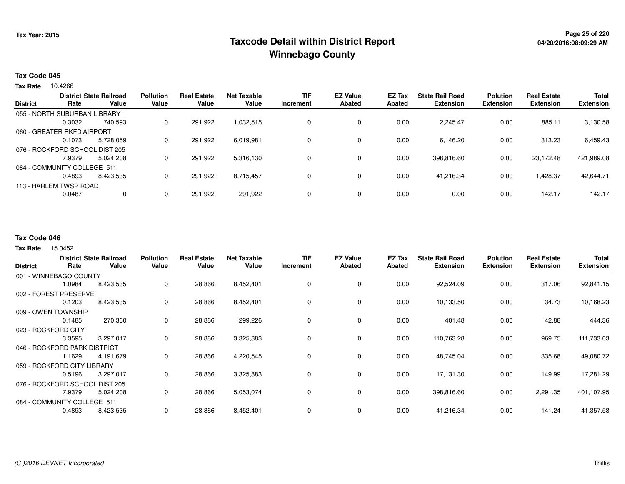## **Page 25 of 220 Taxcode Detail within District ReportWinnebago County**

#### **Tax Code 045**

**Tax Rate** 10.4266

|                 |                                | <b>District State Railroad</b> | <b>Pollution</b> | <b>Real Estate</b> | <b>Net Taxable</b> | <b>TIF</b> | <b>EZ Value</b> | EZ Tax | <b>State Rail Road</b> | <b>Polution</b>  | <b>Real Estate</b> | <b>Total</b>     |
|-----------------|--------------------------------|--------------------------------|------------------|--------------------|--------------------|------------|-----------------|--------|------------------------|------------------|--------------------|------------------|
| <b>District</b> | Rate                           | Value                          | Value            | Value              | Value              | Increment  | <b>Abated</b>   | Abated | <b>Extension</b>       | <b>Extension</b> | <b>Extension</b>   | <b>Extension</b> |
|                 | 055 - NORTH SUBURBAN LIBRARY   |                                |                  |                    |                    |            |                 |        |                        |                  |                    |                  |
|                 | 0.3032                         | 740.593                        | 0                | 291.922            | 1.032.515          |            | $\mathbf 0$     | 0.00   | 2,245.47               | 0.00             | 885.11             | 3,130.58         |
|                 | 060 - GREATER RKFD AIRPORT     |                                |                  |                    |                    |            |                 |        |                        |                  |                    |                  |
|                 | 0.1073                         | 5.728.059                      | 0                | 291.922            | 6,019,981          |            | $\mathbf 0$     | 0.00   | 6.146.20               | 0.00             | 313.23             | 6,459.43         |
|                 | 076 - ROCKFORD SCHOOL DIST 205 |                                |                  |                    |                    |            |                 |        |                        |                  |                    |                  |
|                 | 7.9379                         | 5.024.208                      | 0                | 291.922            | 5,316,130          |            | $\mathbf 0$     | 0.00   | 398,816.60             | 0.00             | 23.172.48          | 421,989.08       |
|                 | 084 - COMMUNITY COLLEGE 511    |                                |                  |                    |                    |            |                 |        |                        |                  |                    |                  |
|                 | 0.4893                         | 8,423,535                      | 0                | 291.922            | 8,715,457          |            | $\mathbf 0$     | 0.00   | 41,216.34              | 0.00             | ,428.37            | 42,644.71        |
|                 | 113 - HARLEM TWSP ROAD         |                                |                  |                    |                    |            |                 |        |                        |                  |                    |                  |
|                 | 0.0487                         | $\mathbf 0$                    | 0                | 291,922            | 291,922            |            | $\mathbf 0$     | 0.00   | 0.00                   | 0.00             | 142.17             | 142.17           |
|                 |                                |                                |                  |                    |                    |            |                 |        |                        |                  |                    |                  |

#### **Tax Code 046**

15.0452 **Tax Rate**

| <b>District</b>                | Rate   | <b>District State Railroad</b><br>Value | <b>Pollution</b><br>Value | <b>Real Estate</b><br>Value | <b>Net Taxable</b><br>Value | <b>TIF</b><br>Increment | <b>EZ Value</b><br><b>Abated</b> | EZ Tax<br>Abated | <b>State Rail Road</b><br><b>Extension</b> | <b>Polution</b><br><b>Extension</b> | <b>Real Estate</b><br><b>Extension</b> | <b>Total</b><br><b>Extension</b> |
|--------------------------------|--------|-----------------------------------------|---------------------------|-----------------------------|-----------------------------|-------------------------|----------------------------------|------------------|--------------------------------------------|-------------------------------------|----------------------------------------|----------------------------------|
| 001 - WINNEBAGO COUNTY         |        |                                         |                           |                             |                             |                         |                                  |                  |                                            |                                     |                                        |                                  |
|                                | 1.0984 | 8,423,535                               | 0                         | 28,866                      | 8,452,401                   | 0                       | 0                                | 0.00             | 92,524.09                                  | 0.00                                | 317.06                                 | 92,841.15                        |
| 002 - FOREST PRESERVE          |        |                                         |                           |                             |                             |                         |                                  |                  |                                            |                                     |                                        |                                  |
|                                | 0.1203 | 8,423,535                               | 0                         | 28,866                      | 8,452,401                   | $\Omega$                | 0                                | 0.00             | 10,133.50                                  | 0.00                                | 34.73                                  | 10,168.23                        |
| 009 - OWEN TOWNSHIP            |        |                                         |                           |                             |                             |                         |                                  |                  |                                            |                                     |                                        |                                  |
|                                | 0.1485 | 270,360                                 | 0                         | 28,866                      | 299,226                     | 0                       | 0                                | 0.00             | 401.48                                     | 0.00                                | 42.88                                  | 444.36                           |
| 023 - ROCKFORD CITY            |        |                                         |                           |                             |                             |                         |                                  |                  |                                            |                                     |                                        |                                  |
|                                | 3.3595 | 3,297,017                               | 0                         | 28,866                      | 3,325,883                   | $\Omega$                | $\mathbf 0$                      | 0.00             | 110,763.28                                 | 0.00                                | 969.75                                 | 111,733.03                       |
| 046 - ROCKFORD PARK DISTRICT   |        |                                         |                           |                             |                             |                         |                                  |                  |                                            |                                     |                                        |                                  |
|                                | 1.1629 | 4,191,679                               | 0                         | 28,866                      | 4,220,545                   | $\Omega$                | $\mathbf 0$                      | 0.00             | 48,745.04                                  | 0.00                                | 335.68                                 | 49,080.72                        |
| 059 - ROCKFORD CITY LIBRARY    |        |                                         |                           |                             |                             |                         |                                  |                  |                                            |                                     |                                        |                                  |
|                                | 0.5196 | 3,297,017                               | 0                         | 28,866                      | 3,325,883                   |                         | 0                                | 0.00             | 17,131.30                                  | 0.00                                | 149.99                                 | 17,281.29                        |
| 076 - ROCKFORD SCHOOL DIST 205 |        |                                         |                           |                             |                             |                         |                                  |                  |                                            |                                     |                                        |                                  |
|                                | 7.9379 | 5,024,208                               | 0                         | 28,866                      | 5,053,074                   | 0                       | 0                                | 0.00             | 398,816.60                                 | 0.00                                | 2,291.35                               | 401,107.95                       |
| 084 - COMMUNITY COLLEGE 511    |        |                                         |                           |                             |                             |                         |                                  |                  |                                            |                                     |                                        |                                  |
|                                | 0.4893 | 8,423,535                               | 0                         | 28,866                      | 8,452,401                   | 0                       | 0                                | 0.00             | 41,216.34                                  | 0.00                                | 141.24                                 | 41,357.58                        |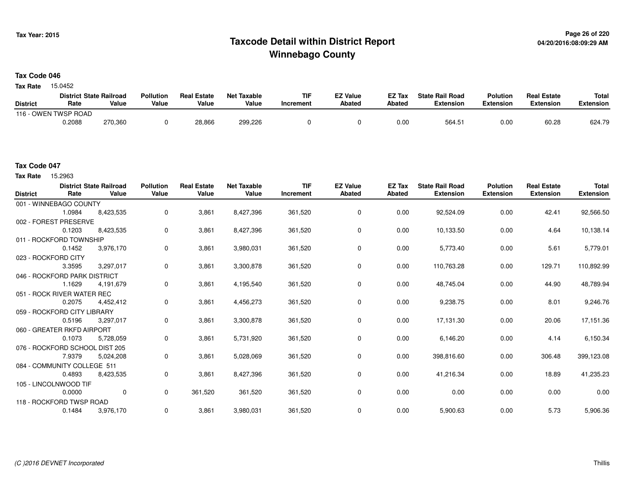## **Page 26 of 220 Taxcode Detail within District ReportWinnebago County**

### **Tax Code 046**

15.0452 **Tax Rate**

|                 | <b>District State Railroad</b> |         | <b>Pollution</b> | <b>Real Estate</b> | <b>Net Taxable</b> | <b>TIF</b> | <b>EZ Value</b> | <b>EZ Tax</b> | <b>State Rail Road</b> | <b>Polution</b>  | <b>Real Estate</b> | <b>Total</b> |
|-----------------|--------------------------------|---------|------------------|--------------------|--------------------|------------|-----------------|---------------|------------------------|------------------|--------------------|--------------|
| <b>District</b> | Rate                           | Value   | Value            | Value              | Value              | Increment  | <b>Abated</b>   | <b>Abated</b> | <b>Extension</b>       | <b>Extension</b> | <b>Extension</b>   | Extension    |
|                 | 116 - OWEN TWSP ROAD           |         |                  |                    |                    |            |                 |               |                        |                  |                    |              |
|                 | 0.2088                         | 270,360 |                  | 28,866             | 299,226            |            |                 | 0.00          | 564.51                 | 0.00             | 60.28              | 624.79       |

#### **Tax Code 047**

Tax Rate 15.2963

| <b>District</b> | Rate                           | <b>District State Railroad</b><br>Value | <b>Pollution</b><br>Value | <b>Real Estate</b><br>Value | <b>Net Taxable</b><br>Value | <b>TIF</b><br>Increment | <b>EZ Value</b><br><b>Abated</b> | <b>EZ Tax</b><br><b>Abated</b> | <b>State Rail Road</b><br><b>Extension</b> | <b>Polution</b><br><b>Extension</b> | <b>Real Estate</b><br><b>Extension</b> | <b>Total</b><br><b>Extension</b> |
|-----------------|--------------------------------|-----------------------------------------|---------------------------|-----------------------------|-----------------------------|-------------------------|----------------------------------|--------------------------------|--------------------------------------------|-------------------------------------|----------------------------------------|----------------------------------|
|                 | 001 - WINNEBAGO COUNTY         |                                         |                           |                             |                             |                         |                                  |                                |                                            |                                     |                                        |                                  |
|                 | 1.0984                         | 8,423,535                               | 0                         | 3,861                       | 8,427,396                   | 361,520                 | 0                                | 0.00                           | 92,524.09                                  | 0.00                                | 42.41                                  | 92,566.50                        |
|                 | 002 - FOREST PRESERVE          |                                         |                           |                             |                             |                         |                                  |                                |                                            |                                     |                                        |                                  |
|                 | 0.1203                         | 8,423,535                               | 0                         | 3,861                       | 8,427,396                   | 361,520                 | 0                                | 0.00                           | 10,133.50                                  | 0.00                                | 4.64                                   | 10,138.14                        |
|                 | 011 - ROCKFORD TOWNSHIP        |                                         |                           |                             |                             |                         |                                  |                                |                                            |                                     |                                        |                                  |
|                 | 0.1452                         | 3,976,170                               | 0                         | 3,861                       | 3,980,031                   | 361,520                 | 0                                | 0.00                           | 5,773.40                                   | 0.00                                | 5.61                                   | 5,779.01                         |
|                 | 023 - ROCKFORD CITY            |                                         |                           |                             |                             |                         |                                  |                                |                                            |                                     |                                        |                                  |
|                 | 3.3595                         | 3,297,017                               | 0                         | 3,861                       | 3,300,878                   | 361,520                 | $\mathbf 0$                      | 0.00                           | 110,763.28                                 | 0.00                                | 129.71                                 | 110,892.99                       |
|                 | 046 - ROCKFORD PARK DISTRICT   |                                         |                           |                             |                             |                         |                                  |                                |                                            |                                     |                                        |                                  |
|                 | 1.1629                         | 4,191,679                               | 0                         | 3,861                       | 4,195,540                   | 361,520                 | 0                                | 0.00                           | 48,745.04                                  | 0.00                                | 44.90                                  | 48,789.94                        |
|                 | 051 - ROCK RIVER WATER REC     |                                         |                           |                             |                             |                         |                                  |                                |                                            |                                     |                                        |                                  |
|                 | 0.2075                         | 4,452,412                               | 0                         | 3,861                       | 4,456,273                   | 361,520                 | $\mathbf 0$                      | 0.00                           | 9,238.75                                   | 0.00                                | 8.01                                   | 9,246.76                         |
|                 | 059 - ROCKFORD CITY LIBRARY    |                                         |                           |                             |                             |                         |                                  |                                |                                            |                                     |                                        |                                  |
|                 | 0.5196                         | 3,297,017                               | 0                         | 3,861                       | 3,300,878                   | 361,520                 | 0                                | 0.00                           | 17,131.30                                  | 0.00                                | 20.06                                  | 17,151.36                        |
|                 | 060 - GREATER RKFD AIRPORT     |                                         |                           |                             |                             |                         |                                  |                                |                                            |                                     |                                        |                                  |
|                 | 0.1073                         | 5,728,059                               | 0                         | 3,861                       | 5,731,920                   | 361,520                 | $\mathbf 0$                      | 0.00                           | 6,146.20                                   | 0.00                                | 4.14                                   | 6,150.34                         |
|                 | 076 - ROCKFORD SCHOOL DIST 205 |                                         |                           |                             |                             |                         |                                  |                                |                                            |                                     |                                        |                                  |
|                 | 7.9379                         | 5,024,208                               | 0                         | 3,861                       | 5,028,069                   | 361,520                 | 0                                | 0.00                           | 398,816.60                                 | 0.00                                | 306.48                                 | 399,123.08                       |
|                 | 084 - COMMUNITY COLLEGE 511    |                                         |                           |                             |                             |                         |                                  |                                |                                            |                                     |                                        |                                  |
|                 | 0.4893                         | 8,423,535                               | 0                         | 3,861                       | 8,427,396                   | 361,520                 | 0                                | 0.00                           | 41,216.34                                  | 0.00                                | 18.89                                  | 41,235.23                        |
|                 | 105 - LINCOLNWOOD TIF          |                                         |                           |                             |                             |                         |                                  |                                |                                            |                                     |                                        |                                  |
|                 | 0.0000                         | $\mathbf 0$                             | $\mathbf{0}$              | 361,520                     | 361,520                     | 361,520                 | 0                                | 0.00                           | 0.00                                       | 0.00                                | 0.00                                   | 0.00                             |
|                 | 118 - ROCKFORD TWSP ROAD       |                                         |                           |                             |                             |                         |                                  |                                |                                            |                                     |                                        |                                  |
|                 | 0.1484                         | 3,976,170                               | 0                         | 3,861                       | 3,980,031                   | 361,520                 | $\mathbf 0$                      | 0.00                           | 5,900.63                                   | 0.00                                | 5.73                                   | 5,906.36                         |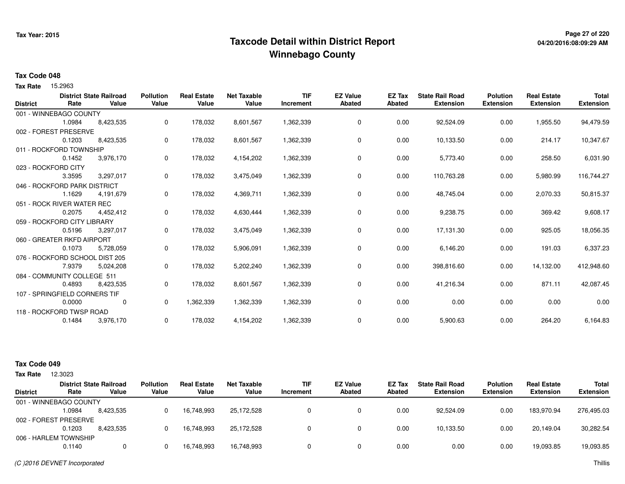## **Page 27 of 220 Taxcode Detail within District ReportWinnebago County**

# **04/20/2016:08:09:29 AM**

#### **Tax Code 048**

Tax Rate 15.2963

|        |                             | <b>Pollution</b>                                                                                                                                                                                                                                                                                                                                                               | <b>Real Estate</b> | <b>Net Taxable</b> | <b>TIF</b> | <b>EZ Value</b> | <b>EZ Tax</b> | <b>State Rail Road</b> | <b>Polution</b>  | <b>Real Estate</b> | <b>Total</b>     |
|--------|-----------------------------|--------------------------------------------------------------------------------------------------------------------------------------------------------------------------------------------------------------------------------------------------------------------------------------------------------------------------------------------------------------------------------|--------------------|--------------------|------------|-----------------|---------------|------------------------|------------------|--------------------|------------------|
|        |                             |                                                                                                                                                                                                                                                                                                                                                                                |                    |                    | Increment  |                 |               |                        |                  |                    | <b>Extension</b> |
|        |                             |                                                                                                                                                                                                                                                                                                                                                                                |                    |                    |            |                 |               |                        |                  |                    |                  |
| 1.0984 | 8,423,535                   | 0                                                                                                                                                                                                                                                                                                                                                                              | 178,032            | 8,601,567          | 1,362,339  | 0               | 0.00          | 92,524.09              | 0.00             | 1,955.50           | 94,479.59        |
|        |                             |                                                                                                                                                                                                                                                                                                                                                                                |                    |                    |            |                 |               |                        |                  |                    |                  |
| 0.1203 | 8,423,535                   | 0                                                                                                                                                                                                                                                                                                                                                                              | 178,032            | 8,601,567          | 1,362,339  | 0               | 0.00          | 10,133.50              | 0.00             | 214.17             | 10,347.67        |
|        |                             |                                                                                                                                                                                                                                                                                                                                                                                |                    |                    |            |                 |               |                        |                  |                    |                  |
| 0.1452 | 3,976,170                   | 0                                                                                                                                                                                                                                                                                                                                                                              | 178,032            | 4,154,202          | 1,362,339  | 0               | 0.00          | 5,773.40               | 0.00             | 258.50             | 6,031.90         |
|        |                             |                                                                                                                                                                                                                                                                                                                                                                                |                    |                    |            |                 |               |                        |                  |                    |                  |
| 3.3595 | 3,297,017                   | 0                                                                                                                                                                                                                                                                                                                                                                              | 178,032            | 3,475,049          | 1,362,339  | 0               | 0.00          | 110,763.28             | 0.00             | 5,980.99           | 116,744.27       |
|        |                             |                                                                                                                                                                                                                                                                                                                                                                                |                    |                    |            |                 |               |                        |                  |                    |                  |
| 1.1629 | 4,191,679                   | 0                                                                                                                                                                                                                                                                                                                                                                              | 178,032            | 4,369,711          | 1,362,339  | 0               | 0.00          | 48,745.04              | 0.00             | 2,070.33           | 50,815.37        |
|        |                             |                                                                                                                                                                                                                                                                                                                                                                                |                    |                    |            |                 |               |                        |                  |                    |                  |
| 0.2075 | 4,452,412                   | 0                                                                                                                                                                                                                                                                                                                                                                              | 178,032            | 4,630,444          | 1,362,339  | 0               | 0.00          | 9,238.75               | 0.00             | 369.42             | 9,608.17         |
|        |                             |                                                                                                                                                                                                                                                                                                                                                                                |                    |                    |            |                 |               |                        |                  |                    |                  |
| 0.5196 | 3,297,017                   | 0                                                                                                                                                                                                                                                                                                                                                                              | 178,032            | 3,475,049          | 1,362,339  | $\mathbf 0$     | 0.00          | 17,131.30              | 0.00             | 925.05             | 18,056.35        |
|        |                             |                                                                                                                                                                                                                                                                                                                                                                                |                    |                    |            |                 |               |                        |                  |                    |                  |
| 0.1073 | 5,728,059                   | 0                                                                                                                                                                                                                                                                                                                                                                              | 178,032            | 5,906,091          | 1,362,339  | 0               | 0.00          | 6,146.20               | 0.00             | 191.03             | 6,337.23         |
|        |                             |                                                                                                                                                                                                                                                                                                                                                                                |                    |                    |            |                 |               |                        |                  |                    |                  |
| 7.9379 | 5,024,208                   | 0                                                                                                                                                                                                                                                                                                                                                                              | 178,032            | 5,202,240          | 1,362,339  | 0               | 0.00          | 398,816.60             | 0.00             | 14,132.00          | 412,948.60       |
|        |                             |                                                                                                                                                                                                                                                                                                                                                                                |                    |                    |            |                 |               |                        |                  |                    |                  |
| 0.4893 | 8,423,535                   | 0                                                                                                                                                                                                                                                                                                                                                                              | 178,032            | 8,601,567          | 1,362,339  | 0               | 0.00          | 41,216.34              | 0.00             | 871.11             | 42,087.45        |
|        |                             |                                                                                                                                                                                                                                                                                                                                                                                |                    |                    |            |                 |               |                        |                  |                    |                  |
| 0.0000 | 0                           | 0                                                                                                                                                                                                                                                                                                                                                                              | 1,362,339          | 1,362,339          | 1,362,339  | 0               | 0.00          | 0.00                   | 0.00             | 0.00               | 0.00             |
|        |                             |                                                                                                                                                                                                                                                                                                                                                                                |                    |                    |            |                 |               |                        |                  |                    |                  |
| 0.1484 | 3,976,170                   | 0                                                                                                                                                                                                                                                                                                                                                                              | 178,032            | 4,154,202          | 1,362,339  | 0               | 0.00          | 5,900.63               | 0.00             | 264.20             | 6,164.83         |
|        | Rate<br>023 - ROCKFORD CITY | <b>District State Railroad</b><br>Value<br>001 - WINNEBAGO COUNTY<br>002 - FOREST PRESERVE<br>011 - ROCKFORD TOWNSHIP<br>046 - ROCKFORD PARK DISTRICT<br>051 - ROCK RIVER WATER REC<br>059 - ROCKFORD CITY LIBRARY<br>060 - GREATER RKFD AIRPORT<br>076 - ROCKFORD SCHOOL DIST 205<br>084 - COMMUNITY COLLEGE 511<br>107 - SPRINGFIELD CORNERS TIF<br>118 - ROCKFORD TWSP ROAD | Value              | Value              | Value      |                 | <b>Abated</b> | Abated                 | <b>Extension</b> | <b>Extension</b>   | <b>Extension</b> |

#### **Tax Code 049**

| Tax Rate        | 12.3023                |                                         |                           |                             |                             |                         |                                  |                  |                                            |                                     |                                        |                                  |
|-----------------|------------------------|-----------------------------------------|---------------------------|-----------------------------|-----------------------------|-------------------------|----------------------------------|------------------|--------------------------------------------|-------------------------------------|----------------------------------------|----------------------------------|
| <b>District</b> | Rate                   | <b>District State Railroad</b><br>Value | <b>Pollution</b><br>Value | <b>Real Estate</b><br>Value | <b>Net Taxable</b><br>Value | <b>TIF</b><br>Increment | <b>EZ Value</b><br><b>Abated</b> | EZ Tax<br>Abated | <b>State Rail Road</b><br><b>Extension</b> | <b>Polution</b><br><b>Extension</b> | <b>Real Estate</b><br><b>Extension</b> | <b>Total</b><br><b>Extension</b> |
|                 | 001 - WINNEBAGO COUNTY |                                         |                           |                             |                             |                         |                                  |                  |                                            |                                     |                                        |                                  |
|                 | 1.0984                 | 8,423,535                               |                           | 16.748.993                  | 25.172.528                  |                         |                                  | 0.00             | 92.524.09                                  | 0.00                                | 183.970.94                             | 276,495.03                       |
|                 | 002 - FOREST PRESERVE  |                                         |                           |                             |                             |                         |                                  |                  |                                            |                                     |                                        |                                  |
|                 | 0.1203                 | 8.423.535                               |                           | 16,748,993                  | 25,172,528                  |                         |                                  | 0.00             | 10,133.50                                  | 0.00                                | 20.149.04                              | 30,282.54                        |
|                 | 006 - HARLEM TOWNSHIP  |                                         |                           |                             |                             |                         |                                  |                  |                                            |                                     |                                        |                                  |
|                 | 0.1140                 |                                         |                           | 16,748,993                  | 16,748,993                  |                         |                                  | 0.00             | 0.00                                       | 0.00                                | 19,093.85                              | 19,093.85                        |

(C )2016 DEVNET Incorporated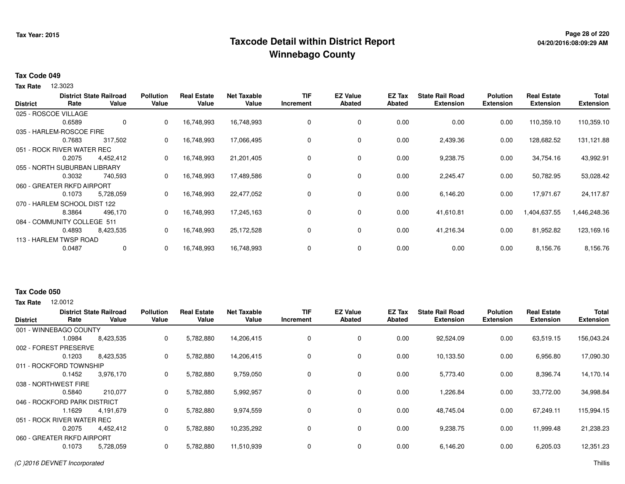## **Page 28 of 220 Taxcode Detail within District ReportWinnebago County**

#### **Tax Code 049**

**Tax Rate** 12.3023

| <b>District</b> | Rate                         | <b>District State Railroad</b><br>Value | <b>Pollution</b><br>Value | <b>Real Estate</b><br>Value | <b>Net Taxable</b><br>Value | TIF<br>Increment | <b>EZ Value</b><br><b>Abated</b> | EZ Tax<br><b>Abated</b> | <b>State Rail Road</b><br><b>Extension</b> | <b>Polution</b><br><b>Extension</b> | <b>Real Estate</b><br><b>Extension</b> | <b>Total</b><br><b>Extension</b> |
|-----------------|------------------------------|-----------------------------------------|---------------------------|-----------------------------|-----------------------------|------------------|----------------------------------|-------------------------|--------------------------------------------|-------------------------------------|----------------------------------------|----------------------------------|
|                 | 025 - ROSCOE VILLAGE         |                                         |                           |                             |                             |                  |                                  |                         |                                            |                                     |                                        |                                  |
|                 | 0.6589                       | 0                                       | 0                         | 16,748,993                  | 16,748,993                  | 0                | 0                                | 0.00                    | 0.00                                       | 0.00                                | 110,359.10                             | 110,359.10                       |
|                 | 035 - HARLEM-ROSCOE FIRE     |                                         |                           |                             |                             |                  |                                  |                         |                                            |                                     |                                        |                                  |
|                 | 0.7683                       | 317,502                                 | 0                         | 16,748,993                  | 17,066,495                  | 0                | 0                                | 0.00                    | 2,439.36                                   | 0.00                                | 128,682.52                             | 131,121.88                       |
|                 | 051 - ROCK RIVER WATER REC   |                                         |                           |                             |                             |                  |                                  |                         |                                            |                                     |                                        |                                  |
|                 | 0.2075                       | 4,452,412                               | 0                         | 16,748,993                  | 21,201,405                  | 0                | 0                                | 0.00                    | 9,238.75                                   | 0.00                                | 34,754.16                              | 43,992.91                        |
|                 | 055 - NORTH SUBURBAN LIBRARY |                                         |                           |                             |                             |                  |                                  |                         |                                            |                                     |                                        |                                  |
|                 | 0.3032                       | 740,593                                 | 0                         | 16,748,993                  | 17,489,586                  | 0                | 0                                | 0.00                    | 2,245.47                                   | 0.00                                | 50,782.95                              | 53,028.42                        |
|                 | 060 - GREATER RKFD AIRPORT   |                                         |                           |                             |                             |                  |                                  |                         |                                            |                                     |                                        |                                  |
|                 | 0.1073                       | 5,728,059                               | 0                         | 16,748,993                  | 22,477,052                  | 0                | 0                                | 0.00                    | 6,146.20                                   | 0.00                                | 17,971.67                              | 24,117.87                        |
|                 | 070 - HARLEM SCHOOL DIST 122 |                                         |                           |                             |                             |                  |                                  |                         |                                            |                                     |                                        |                                  |
|                 | 8.3864                       | 496,170                                 | 0                         | 16,748,993                  | 17,245,163                  | 0                | 0                                | 0.00                    | 41,610.81                                  | 0.00                                | 1,404,637.55                           | 1,446,248.36                     |
|                 | 084 - COMMUNITY COLLEGE 511  |                                         |                           |                             |                             |                  |                                  |                         |                                            |                                     |                                        |                                  |
|                 | 0.4893                       | 8,423,535                               | 0                         | 16,748,993                  | 25,172,528                  | 0                | 0                                | 0.00                    | 41,216.34                                  | 0.00                                | 81,952.82                              | 123,169.16                       |
|                 | 113 - HARLEM TWSP ROAD       |                                         |                           |                             |                             |                  |                                  |                         |                                            |                                     |                                        |                                  |
|                 | 0.0487                       | 0                                       | 0                         | 16,748,993                  | 16,748,993                  | 0                | 0                                | 0.00                    | 0.00                                       | 0.00                                | 8,156.76                               | 8,156.76                         |

### **Tax Code 050**

**Tax Rate** 12,0012

| <b>District</b> | Rate                         | <b>District State Railroad</b><br>Value | <b>Pollution</b><br>Value | <b>Real Estate</b><br>Value | <b>Net Taxable</b><br>Value | TIF<br>Increment | <b>EZ Value</b><br><b>Abated</b> | <b>EZ Tax</b><br>Abated | <b>State Rail Road</b><br><b>Extension</b> | <b>Polution</b><br><b>Extension</b> | <b>Real Estate</b><br><b>Extension</b> | <b>Total</b><br><b>Extension</b> |
|-----------------|------------------------------|-----------------------------------------|---------------------------|-----------------------------|-----------------------------|------------------|----------------------------------|-------------------------|--------------------------------------------|-------------------------------------|----------------------------------------|----------------------------------|
|                 | 001 - WINNEBAGO COUNTY       |                                         |                           |                             |                             |                  |                                  |                         |                                            |                                     |                                        |                                  |
|                 | 1.0984                       | 8,423,535                               | 0                         | 5,782,880                   | 14,206,415                  | 0                | 0                                | 0.00                    | 92,524.09                                  | 0.00                                | 63,519.15                              | 156,043.24                       |
| 002 - FOREST    | <b>FPRESERVE</b>             |                                         |                           |                             |                             |                  |                                  |                         |                                            |                                     |                                        |                                  |
|                 | 0.1203                       | 8,423,535                               | 0                         | 5,782,880                   | 14,206,415                  |                  | 0                                | 0.00                    | 10,133.50                                  | 0.00                                | 6,956.80                               | 17,090.30                        |
|                 | 011 - ROCKFORD TOWNSHIP      |                                         |                           |                             |                             |                  |                                  |                         |                                            |                                     |                                        |                                  |
|                 | 0.1452                       | 3,976,170                               | 0                         | 5,782,880                   | 9,759,050                   |                  | 0                                | 0.00                    | 5,773.40                                   | 0.00                                | 8,396.74                               | 14,170.14                        |
|                 | 038 - NORTHWEST FIRE         |                                         |                           |                             |                             |                  |                                  |                         |                                            |                                     |                                        |                                  |
|                 | 0.5840                       | 210,077                                 | 0                         | 5,782,880                   | 5,992,957                   |                  | 0                                | 0.00                    | 1,226.84                                   | 0.00                                | 33,772.00                              | 34,998.84                        |
|                 | 046 - ROCKFORD PARK DISTRICT |                                         |                           |                             |                             |                  |                                  |                         |                                            |                                     |                                        |                                  |
|                 | 1.1629                       | 4,191,679                               | 0                         | 5,782,880                   | 9,974,559                   | 0                | 0                                | 0.00                    | 48,745.04                                  | 0.00                                | 67,249.11                              | 115,994.15                       |
|                 | 051 - ROCK RIVER WATER REC   |                                         |                           |                             |                             |                  |                                  |                         |                                            |                                     |                                        |                                  |
|                 | 0.2075                       | 4,452,412                               | 0                         | 5,782,880                   | 10,235,292                  | $\Omega$         | 0                                | 0.00                    | 9,238.75                                   | 0.00                                | 11,999.48                              | 21,238.23                        |
|                 | 060 - GREATER RKFD AIRPORT   |                                         |                           |                             |                             |                  |                                  |                         |                                            |                                     |                                        |                                  |
|                 | 0.1073                       | 5,728,059                               | 0                         | 5,782,880                   | 11,510,939                  |                  | 0                                | 0.00                    | 6,146.20                                   | 0.00                                | 6,205.03                               | 12,351.23                        |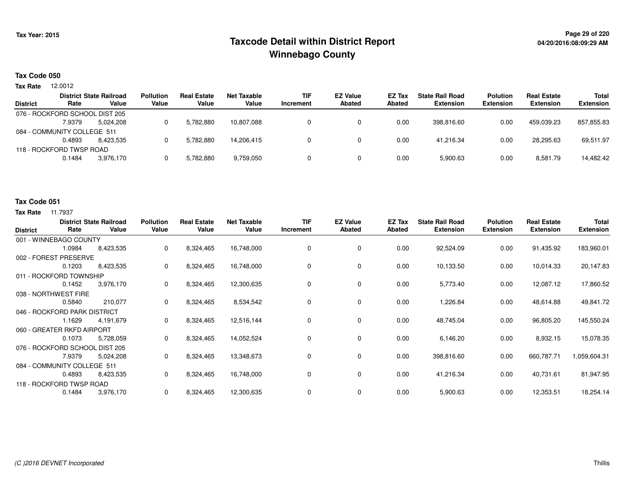## **Page 29 of 220 Taxcode Detail within District ReportWinnebago County**

# **04/20/2016:08:09:29 AM**

### **Tax Code 050**

12.0012 **Tax Rate**

| <b>District</b> | Rate                           | <b>District State Railroad</b><br>Value | <b>Pollution</b><br>Value | <b>Real Estate</b><br>Value | Net Taxable<br>Value | <b>TIF</b><br>Increment | <b>EZ Value</b><br>Abated | <b>EZ Tax</b><br>Abated | <b>State Rail Road</b><br><b>Extension</b> | <b>Polution</b><br><b>Extension</b> | <b>Real Estate</b><br><b>Extension</b> | Total<br><b>Extension</b> |
|-----------------|--------------------------------|-----------------------------------------|---------------------------|-----------------------------|----------------------|-------------------------|---------------------------|-------------------------|--------------------------------------------|-------------------------------------|----------------------------------------|---------------------------|
|                 | 076 - ROCKFORD SCHOOL DIST 205 |                                         |                           |                             |                      |                         |                           |                         |                                            |                                     |                                        |                           |
|                 | 7.9379                         | 5.024.208                               |                           | 5.782.880                   | 10.807.088           |                         |                           | 0.00                    | 398.816.60                                 | 0.00                                | 459.039.23                             | 857.855.83                |
|                 | 084 - COMMUNITY COLLEGE 511    |                                         |                           |                             |                      |                         |                           |                         |                                            |                                     |                                        |                           |
|                 | 0.4893                         | 8.423.535                               |                           | 5.782.880                   | 14.206.415           |                         |                           | 0.00                    | 41.216.34                                  | 0.00                                | 28.295.63                              | 69,511.97                 |
|                 | 118 - ROCKFORD TWSP ROAD       |                                         |                           |                             |                      |                         |                           |                         |                                            |                                     |                                        |                           |
|                 | 0.1484                         | 3.976.170                               |                           | 5.782.880                   | 9,759,050            |                         |                           | 0.00                    | 5.900.63                                   | 0.00                                | 8,581.79                               | 14,482.42                 |
|                 |                                |                                         |                           |                             |                      |                         |                           |                         |                                            |                                     |                                        |                           |

#### **Tax Code 051**

| <b>District</b> | Rate                           | <b>District State Railroad</b><br>Value | <b>Pollution</b><br>Value | <b>Real Estate</b><br>Value | <b>Net Taxable</b><br>Value | <b>TIF</b><br>Increment | <b>EZ Value</b><br><b>Abated</b> | EZ Tax<br><b>Abated</b> | <b>State Rail Road</b><br><b>Extension</b> | <b>Polution</b><br><b>Extension</b> | <b>Real Estate</b><br><b>Extension</b> | <b>Total</b><br><b>Extension</b> |
|-----------------|--------------------------------|-----------------------------------------|---------------------------|-----------------------------|-----------------------------|-------------------------|----------------------------------|-------------------------|--------------------------------------------|-------------------------------------|----------------------------------------|----------------------------------|
|                 | 001 - WINNEBAGO COUNTY         |                                         |                           |                             |                             |                         |                                  |                         |                                            |                                     |                                        |                                  |
|                 | 1.0984                         | 8,423,535                               | 0                         | 8,324,465                   | 16,748,000                  | 0                       | 0                                | 0.00                    | 92,524.09                                  | 0.00                                | 91,435.92                              | 183,960.01                       |
|                 | 002 - FOREST PRESERVE          |                                         |                           |                             |                             |                         |                                  |                         |                                            |                                     |                                        |                                  |
|                 | 0.1203                         | 8,423,535                               | 0                         | 8,324,465                   | 16,748,000                  | 0                       | 0                                | 0.00                    | 10,133.50                                  | 0.00                                | 10,014.33                              | 20,147.83                        |
|                 | 011 - ROCKFORD TOWNSHIP        |                                         |                           |                             |                             |                         |                                  |                         |                                            |                                     |                                        |                                  |
|                 | 0.1452                         | 3,976,170                               | 0                         | 8,324,465                   | 12,300,635                  | 0                       | 0                                | 0.00                    | 5,773.40                                   | 0.00                                | 12,087.12                              | 17,860.52                        |
|                 | 038 - NORTHWEST FIRE           |                                         |                           |                             |                             |                         |                                  |                         |                                            |                                     |                                        |                                  |
|                 | 0.5840                         | 210,077                                 | 0                         | 8,324,465                   | 8,534,542                   | $\Omega$                | 0                                | 0.00                    | 1,226.84                                   | 0.00                                | 48,614.88                              | 49,841.72                        |
|                 | 046 - ROCKFORD PARK DISTRICT   |                                         |                           |                             |                             |                         |                                  |                         |                                            |                                     |                                        |                                  |
|                 | 1.1629                         | 4,191,679                               | 0                         | 8,324,465                   | 12,516,144                  | 0                       | 0                                | 0.00                    | 48,745.04                                  | 0.00                                | 96,805.20                              | 145,550.24                       |
|                 | 060 - GREATER RKFD AIRPORT     |                                         |                           |                             |                             |                         |                                  |                         |                                            |                                     |                                        |                                  |
|                 | 0.1073                         | 5,728,059                               | 0                         | 8,324,465                   | 14,052,524                  | 0                       | 0                                | 0.00                    | 6,146.20                                   | 0.00                                | 8,932.15                               | 15,078.35                        |
|                 | 076 - ROCKFORD SCHOOL DIST 205 |                                         |                           |                             |                             |                         |                                  |                         |                                            |                                     |                                        |                                  |
|                 | 7.9379                         | 5,024,208                               | 0                         | 8,324,465                   | 13,348,673                  | 0                       | 0                                | 0.00                    | 398,816.60                                 | 0.00                                | 660,787.71                             | 1,059,604.31                     |
|                 | 084 - COMMUNITY COLLEGE 511    |                                         |                           |                             |                             |                         |                                  |                         |                                            |                                     |                                        |                                  |
|                 | 0.4893                         | 8,423,535                               | 0                         | 8,324,465                   | 16,748,000                  | 0                       | 0                                | 0.00                    | 41,216.34                                  | 0.00                                | 40,731.61                              | 81,947.95                        |
|                 | 118 - ROCKFORD TWSP ROAD       |                                         |                           |                             |                             |                         |                                  |                         |                                            |                                     |                                        |                                  |
|                 | 0.1484                         | 3,976,170                               | 0                         | 8,324,465                   | 12,300,635                  | 0                       | 0                                | 0.00                    | 5,900.63                                   | 0.00                                | 12,353.51                              | 18,254.14                        |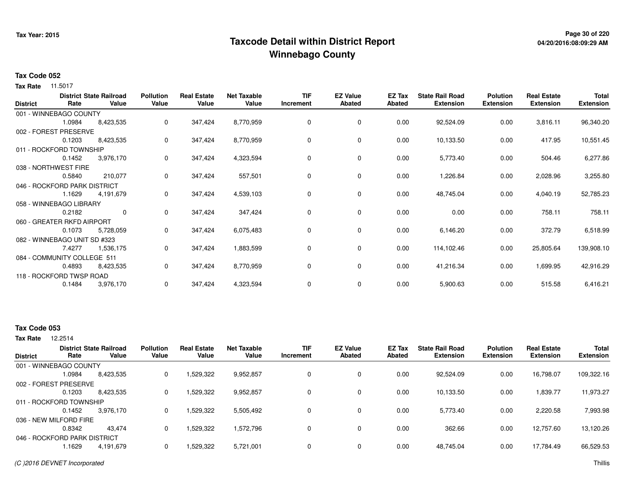## **Page 30 of 220 Taxcode Detail within District ReportWinnebago County**

# **04/20/2016:08:09:29 AM**

### **Tax Code 052**

11.5017 **Tax Rate**

| <b>District</b> | Rate                         | <b>District State Railroad</b><br>Value | <b>Pollution</b><br>Value | <b>Real Estate</b><br>Value | <b>Net Taxable</b><br>Value | <b>TIF</b><br>Increment | <b>EZ Value</b><br><b>Abated</b> | EZ Tax<br><b>Abated</b> | <b>State Rail Road</b><br><b>Extension</b> | <b>Polution</b><br><b>Extension</b> | <b>Real Estate</b><br><b>Extension</b> | Total<br><b>Extension</b> |
|-----------------|------------------------------|-----------------------------------------|---------------------------|-----------------------------|-----------------------------|-------------------------|----------------------------------|-------------------------|--------------------------------------------|-------------------------------------|----------------------------------------|---------------------------|
|                 | 001 - WINNEBAGO COUNTY       |                                         |                           |                             |                             |                         |                                  |                         |                                            |                                     |                                        |                           |
|                 | 1.0984                       | 8,423,535                               | 0                         | 347,424                     | 8,770,959                   | $\mathbf 0$             | $\mathbf 0$                      | 0.00                    | 92,524.09                                  | 0.00                                | 3,816.11                               | 96,340.20                 |
|                 | 002 - FOREST PRESERVE        |                                         |                           |                             |                             |                         |                                  |                         |                                            |                                     |                                        |                           |
|                 | 0.1203                       | 8,423,535                               | 0                         | 347,424                     | 8,770,959                   | 0                       | 0                                | 0.00                    | 10,133.50                                  | 0.00                                | 417.95                                 | 10,551.45                 |
|                 | 011 - ROCKFORD TOWNSHIP      |                                         |                           |                             |                             |                         |                                  |                         |                                            |                                     |                                        |                           |
|                 | 0.1452                       | 3,976,170                               | 0                         | 347,424                     | 4,323,594                   | 0                       | 0                                | 0.00                    | 5,773.40                                   | 0.00                                | 504.46                                 | 6,277.86                  |
|                 | 038 - NORTHWEST FIRE         |                                         |                           |                             |                             |                         |                                  |                         |                                            |                                     |                                        |                           |
|                 | 0.5840                       | 210,077                                 | 0                         | 347,424                     | 557,501                     | 0                       | 0                                | 0.00                    | 1,226.84                                   | 0.00                                | 2,028.96                               | 3,255.80                  |
|                 | 046 - ROCKFORD PARK DISTRICT |                                         |                           |                             |                             |                         |                                  |                         |                                            |                                     |                                        |                           |
|                 | 1.1629                       | 4,191,679                               | 0                         | 347,424                     | 4,539,103                   | 0                       | 0                                | 0.00                    | 48,745.04                                  | 0.00                                | 4,040.19                               | 52,785.23                 |
|                 | 058 - WINNEBAGO LIBRARY      |                                         |                           |                             |                             |                         |                                  |                         |                                            |                                     |                                        |                           |
|                 | 0.2182                       | $\mathbf 0$                             | 0                         | 347,424                     | 347,424                     | 0                       | 0                                | 0.00                    | 0.00                                       | 0.00                                | 758.11                                 | 758.11                    |
|                 | 060 - GREATER RKFD AIRPORT   |                                         |                           |                             |                             |                         |                                  |                         |                                            |                                     |                                        |                           |
|                 | 0.1073                       | 5,728,059                               | 0                         | 347,424                     | 6,075,483                   | 0                       | 0                                | 0.00                    | 6,146.20                                   | 0.00                                | 372.79                                 | 6,518.99                  |
|                 | 082 - WINNEBAGO UNIT SD #323 |                                         |                           |                             |                             |                         |                                  |                         |                                            |                                     |                                        |                           |
|                 | 7.4277                       | 1,536,175                               | 0                         | 347,424                     | 1,883,599                   | 0                       | 0                                | 0.00                    | 114,102.46                                 | 0.00                                | 25,805.64                              | 139,908.10                |
|                 | 084 - COMMUNITY COLLEGE 511  |                                         |                           |                             |                             |                         |                                  |                         |                                            |                                     |                                        |                           |
|                 | 0.4893                       | 8,423,535                               | 0                         | 347,424                     | 8,770,959                   | 0                       | 0                                | 0.00                    | 41,216.34                                  | 0.00                                | 1,699.95                               | 42,916.29                 |
|                 | 118 - ROCKFORD TWSP ROAD     |                                         |                           |                             |                             |                         |                                  |                         |                                            |                                     |                                        |                           |
|                 | 0.1484                       | 3,976,170                               | 0                         | 347,424                     | 4,323,594                   | 0                       | 0                                | 0.00                    | 5,900.63                                   | 0.00                                | 515.58                                 | 6,416.21                  |

#### **Tax Code 053**

12.2514 **Tax Rate**

| <b>District</b> | Rate                         | <b>District State Railroad</b><br>Value | <b>Pollution</b><br>Value | <b>Real Estate</b><br>Value | <b>Net Taxable</b><br>Value | TIF<br>Increment | <b>EZ Value</b><br><b>Abated</b> | EZ Tax<br>Abated | <b>State Rail Road</b><br><b>Extension</b> | <b>Polution</b><br><b>Extension</b> | <b>Real Estate</b><br><b>Extension</b> | <b>Total</b><br><b>Extension</b> |
|-----------------|------------------------------|-----------------------------------------|---------------------------|-----------------------------|-----------------------------|------------------|----------------------------------|------------------|--------------------------------------------|-------------------------------------|----------------------------------------|----------------------------------|
|                 | 001 - WINNEBAGO COUNTY       |                                         |                           |                             |                             |                  |                                  |                  |                                            |                                     |                                        |                                  |
|                 | 1.0984                       | 8,423,535                               | 0                         | 1,529,322                   | 9,952,857                   |                  | 0                                | 0.00             | 92,524.09                                  | 0.00                                | 16,798.07                              | 109,322.16                       |
|                 | 002 - FOREST PRESERVE        |                                         |                           |                             |                             |                  |                                  |                  |                                            |                                     |                                        |                                  |
|                 | 0.1203                       | 8,423,535                               | 0                         | 1,529,322                   | 9,952,857                   |                  | 0                                | 0.00             | 10,133.50                                  | 0.00                                | 1,839.77                               | 11,973.27                        |
|                 | 011 - ROCKFORD TOWNSHIP      |                                         |                           |                             |                             |                  |                                  |                  |                                            |                                     |                                        |                                  |
|                 | 0.1452                       | 3.976.170                               | 0                         | 1,529,322                   | 5,505,492                   |                  | 0                                | 0.00             | 5.773.40                                   | 0.00                                | 2.220.58                               | 7,993.98                         |
|                 | 036 - NEW MILFORD FIRE       |                                         |                           |                             |                             |                  |                                  |                  |                                            |                                     |                                        |                                  |
|                 | 0.8342                       | 43.474                                  | 0                         | 1,529,322                   | 1,572,796                   |                  | 0                                | 0.00             | 362.66                                     | 0.00                                | 12,757.60                              | 13,120.26                        |
|                 | 046 - ROCKFORD PARK DISTRICT |                                         |                           |                             |                             |                  |                                  |                  |                                            |                                     |                                        |                                  |
|                 | .1629                        | 4,191,679                               | 0                         | 1,529,322                   | 5,721,001                   |                  | 0                                | 0.00             | 48,745.04                                  | 0.00                                | 17,784.49                              | 66,529.53                        |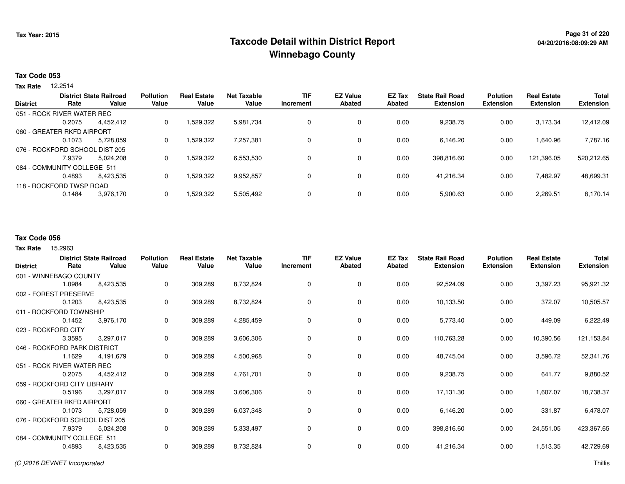## **Page 31 of 220 Taxcode Detail within District ReportWinnebago County**

#### **Tax Code 053**

12.2514 **Tax Rate**

|                 |                                | <b>District State Railroad</b> | <b>Pollution</b> | <b>Real Estate</b> | <b>Net Taxable</b> | <b>TIF</b> | <b>EZ Value</b> | EZ Tax        | <b>State Rail Road</b> | <b>Polution</b>  | <b>Real Estate</b> | <b>Total</b>     |
|-----------------|--------------------------------|--------------------------------|------------------|--------------------|--------------------|------------|-----------------|---------------|------------------------|------------------|--------------------|------------------|
| <b>District</b> | Rate                           | Value                          | Value            | Value              | Value              | Increment  | Abated          | <b>Abated</b> | <b>Extension</b>       | <b>Extension</b> | <b>Extension</b>   | <b>Extension</b> |
|                 | 051 - ROCK RIVER WATER REC     |                                |                  |                    |                    |            |                 |               |                        |                  |                    |                  |
|                 | 0.2075                         | 4.452.412                      | 0                | 1,529,322          | 5,981,734          | 0          | 0               | 0.00          | 9,238.75               | 0.00             | 3,173.34           | 12,412.09        |
|                 | 060 - GREATER RKFD AIRPORT     |                                |                  |                    |                    |            |                 |               |                        |                  |                    |                  |
|                 | 0.1073                         | 5,728,059                      | 0                | 1,529,322          | 7,257,381          | 0          | 0               | 0.00          | 6.146.20               | 0.00             | .640.96            | 7,787.16         |
|                 | 076 - ROCKFORD SCHOOL DIST 205 |                                |                  |                    |                    |            |                 |               |                        |                  |                    |                  |
|                 | 7.9379                         | 5,024,208                      | 0                | 1,529,322          | 6,553,530          | 0          | 0               | 0.00          | 398,816.60             | 0.00             | 121,396.05         | 520,212.65       |
|                 | 084 - COMMUNITY COLLEGE 511    |                                |                  |                    |                    |            |                 |               |                        |                  |                    |                  |
|                 | 0.4893                         | 8.423.535                      | 0                | 1,529,322          | 9,952,857          | 0          | 0               | 0.00          | 41,216.34              | 0.00             | 7.482.97           | 48,699.31        |
|                 | 118 - ROCKFORD TWSP ROAD       |                                |                  |                    |                    |            |                 |               |                        |                  |                    |                  |
|                 | 0.1484                         | 3,976,170                      |                  | 1,529,322          | 5,505,492          | 0          | 0               | 0.00          | 5,900.63               | 0.00             | 2,269.51           | 8,170.14         |
|                 |                                |                                |                  |                    |                    |            |                 |               |                        |                  |                    |                  |

#### **Tax Code 056**

| <b>District</b>              | Rate                           | <b>District State Railroad</b><br>Value | <b>Pollution</b><br>Value | <b>Real Estate</b><br>Value | <b>Net Taxable</b><br>Value | <b>TIF</b><br>Increment | <b>EZ Value</b><br>Abated | EZ Tax<br>Abated | <b>State Rail Road</b><br><b>Extension</b> | <b>Polution</b><br><b>Extension</b> | <b>Real Estate</b><br><b>Extension</b> | <b>Total</b><br><b>Extension</b> |
|------------------------------|--------------------------------|-----------------------------------------|---------------------------|-----------------------------|-----------------------------|-------------------------|---------------------------|------------------|--------------------------------------------|-------------------------------------|----------------------------------------|----------------------------------|
|                              | 001 - WINNEBAGO COUNTY         |                                         |                           |                             |                             |                         |                           |                  |                                            |                                     |                                        |                                  |
|                              | 1.0984                         | 8,423,535                               | 0                         | 309,289                     | 8,732,824                   | 0                       | 0                         | 0.00             | 92,524.09                                  | 0.00                                | 3,397.23                               | 95,921.32                        |
|                              | 002 - FOREST PRESERVE          |                                         |                           |                             |                             |                         |                           |                  |                                            |                                     |                                        |                                  |
|                              | 0.1203                         | 8,423,535                               | 0                         | 309,289                     | 8,732,824                   | 0                       | 0                         | 0.00             | 10,133.50                                  | 0.00                                | 372.07                                 | 10,505.57                        |
|                              | 011 - ROCKFORD TOWNSHIP        |                                         |                           |                             |                             |                         |                           |                  |                                            |                                     |                                        |                                  |
|                              | 0.1452                         | 3,976,170                               | 0                         | 309,289                     | 4,285,459                   | 0                       | $\mathbf 0$               | 0.00             | 5,773.40                                   | 0.00                                | 449.09                                 | 6,222.49                         |
|                              | 023 - ROCKFORD CITY            |                                         |                           |                             |                             |                         |                           |                  |                                            |                                     |                                        |                                  |
|                              | 3.3595                         | 3,297,017                               | 0                         | 309,289                     | 3,606,306                   | 0                       | 0                         | 0.00             | 110,763.28                                 | 0.00                                | 10,390.56                              | 121,153.84                       |
| 046 - ROCKFORD PARK DISTRICT |                                |                                         |                           |                             |                             |                         |                           |                  |                                            |                                     |                                        |                                  |
|                              | 1.1629                         | 4,191,679                               | 0                         | 309,289                     | 4,500,968                   | 0                       | 0                         | 0.00             | 48,745.04                                  | 0.00                                | 3,596.72                               | 52,341.76                        |
|                              | 051 - ROCK RIVER WATER REC     |                                         |                           |                             |                             |                         |                           |                  |                                            |                                     |                                        |                                  |
|                              | 0.2075                         | 4,452,412                               | 0                         | 309,289                     | 4,761,701                   | 0                       | $\mathbf 0$               | 0.00             | 9,238.75                                   | 0.00                                | 641.77                                 | 9,880.52                         |
|                              | 059 - ROCKFORD CITY LIBRARY    |                                         |                           |                             |                             |                         |                           |                  |                                            |                                     |                                        |                                  |
|                              | 0.5196                         | 3,297,017                               | 0                         | 309,289                     | 3,606,306                   | 0                       | $\mathbf 0$               | 0.00             | 17,131.30                                  | 0.00                                | 1,607.07                               | 18,738.37                        |
|                              | 060 - GREATER RKFD AIRPORT     |                                         |                           |                             |                             |                         |                           |                  |                                            |                                     |                                        |                                  |
|                              | 0.1073                         | 5,728,059                               | 0                         | 309,289                     | 6,037,348                   | 0                       | $\mathbf 0$               | 0.00             | 6,146.20                                   | 0.00                                | 331.87                                 | 6,478.07                         |
|                              | 076 - ROCKFORD SCHOOL DIST 205 |                                         |                           |                             |                             |                         |                           |                  |                                            |                                     |                                        |                                  |
|                              | 7.9379                         | 5,024,208                               | 0                         | 309,289                     | 5,333,497                   | 0                       | 0                         | 0.00             | 398,816.60                                 | 0.00                                | 24,551.05                              | 423,367.65                       |
|                              | 084 - COMMUNITY COLLEGE 511    |                                         |                           |                             |                             |                         |                           |                  |                                            |                                     |                                        |                                  |
|                              | 0.4893                         | 8,423,535                               | 0                         | 309,289                     | 8,732,824                   | 0                       | $\mathbf 0$               | 0.00             | 41,216.34                                  | 0.00                                | 1,513.35                               | 42,729.69                        |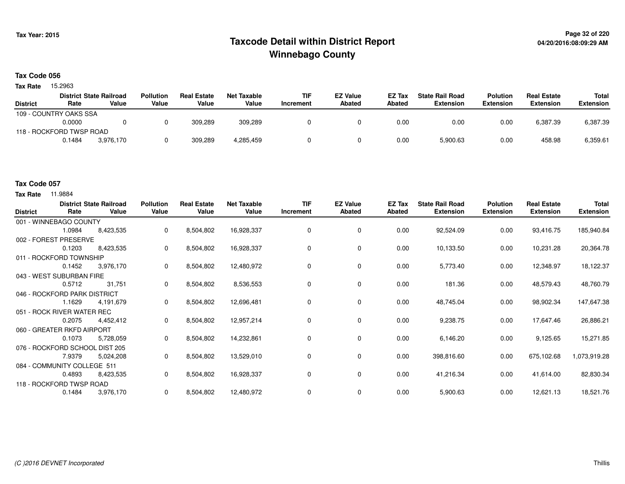## **Page 32 of 220 Taxcode Detail within District ReportWinnebago County**

#### **Tax Code 056**

Tax Rate 15.2963

|                 |                          | <b>District State Railroad</b> | <b>Pollution</b> | <b>Real Estate</b> | Net Taxable | <b>TIF</b>       | <b>EZ Value</b> | <b>EZ Tax</b> | <b>State Rail Road</b> | <b>Polution</b>  | <b>Real Estate</b> | Total            |
|-----------------|--------------------------|--------------------------------|------------------|--------------------|-------------|------------------|-----------------|---------------|------------------------|------------------|--------------------|------------------|
| <b>District</b> | Rate                     | Value                          | Value            | Value              | Value       | <b>Increment</b> | <b>Abated</b>   | Abated        | Extension              | <b>Extension</b> | <b>Extension</b>   | <b>Extension</b> |
|                 | 109 - COUNTRY OAKS SSA   |                                |                  |                    |             |                  |                 |               |                        |                  |                    |                  |
|                 | 0.0000                   |                                |                  | 309.289            | 309.289     |                  |                 | 0.00          | 0.00                   | 0.00             | 6.387.39           | 6,387.39         |
|                 | 118 - ROCKFORD TWSP ROAD |                                |                  |                    |             |                  |                 |               |                        |                  |                    |                  |
|                 | 0.1484                   | 3.976.170                      |                  | 309.289            | 4,285,459   |                  |                 | 0.00          | 5,900.63               | 0.00             | 458.98             | 6,359.61         |

#### **Tax Code 057**

| <b>District</b> | Rate                           | <b>District State Railroad</b><br>Value | <b>Pollution</b><br>Value | <b>Real Estate</b><br>Value | <b>Net Taxable</b><br>Value | <b>TIF</b><br>Increment | <b>EZ Value</b><br><b>Abated</b> | EZ Tax<br>Abated | <b>State Rail Road</b><br><b>Extension</b> | <b>Polution</b><br><b>Extension</b> | <b>Real Estate</b><br><b>Extension</b> | <b>Total</b><br><b>Extension</b> |
|-----------------|--------------------------------|-----------------------------------------|---------------------------|-----------------------------|-----------------------------|-------------------------|----------------------------------|------------------|--------------------------------------------|-------------------------------------|----------------------------------------|----------------------------------|
|                 | 001 - WINNEBAGO COUNTY         |                                         |                           |                             |                             |                         |                                  |                  |                                            |                                     |                                        |                                  |
|                 | 1.0984                         | 8,423,535                               | 0                         | 8,504,802                   | 16,928,337                  | 0                       | 0                                | 0.00             | 92,524.09                                  | 0.00                                | 93,416.75                              | 185,940.84                       |
|                 | 002 - FOREST PRESERVE          |                                         |                           |                             |                             |                         |                                  |                  |                                            |                                     |                                        |                                  |
|                 | 0.1203                         | 8,423,535                               | 0                         | 8,504,802                   | 16,928,337                  | 0                       | 0                                | 0.00             | 10,133.50                                  | 0.00                                | 10,231.28                              | 20,364.78                        |
|                 | 011 - ROCKFORD TOWNSHIP        |                                         |                           |                             |                             |                         |                                  |                  |                                            |                                     |                                        |                                  |
|                 | 0.1452                         | 3,976,170                               | 0                         | 8,504,802                   | 12,480,972                  | 0                       | 0                                | 0.00             | 5,773.40                                   | 0.00                                | 12,348.97                              | 18,122.37                        |
|                 | 043 - WEST SUBURBAN FIRE       |                                         |                           |                             |                             |                         |                                  |                  |                                            |                                     |                                        |                                  |
|                 | 0.5712                         | 31,751                                  | 0                         | 8,504,802                   | 8,536,553                   | 0                       | 0                                | 0.00             | 181.36                                     | 0.00                                | 48,579.43                              | 48,760.79                        |
|                 | 046 - ROCKFORD PARK DISTRICT   |                                         |                           |                             |                             |                         |                                  |                  |                                            |                                     |                                        |                                  |
|                 | 1.1629                         | 4,191,679                               | 0                         | 8,504,802                   | 12,696,481                  | 0                       | 0                                | 0.00             | 48,745.04                                  | 0.00                                | 98,902.34                              | 147,647.38                       |
|                 | 051 - ROCK RIVER WATER REC     |                                         |                           |                             |                             |                         |                                  |                  |                                            |                                     |                                        |                                  |
|                 | 0.2075                         | 4,452,412                               | 0                         | 8,504,802                   | 12,957,214                  | 0                       | 0                                | 0.00             | 9,238.75                                   | 0.00                                | 17,647.46                              | 26,886.21                        |
|                 | 060 - GREATER RKFD AIRPORT     |                                         |                           |                             |                             |                         |                                  |                  |                                            |                                     |                                        |                                  |
|                 | 0.1073                         | 5,728,059                               | 0                         | 8,504,802                   | 14,232,861                  | 0                       | 0                                | 0.00             | 6,146.20                                   | 0.00                                | 9,125.65                               | 15,271.85                        |
|                 | 076 - ROCKFORD SCHOOL DIST 205 |                                         |                           |                             |                             |                         |                                  |                  |                                            |                                     |                                        |                                  |
|                 | 7.9379                         | 5,024,208                               | 0                         | 8,504,802                   | 13,529,010                  | 0                       | 0                                | 0.00             | 398,816.60                                 | 0.00                                | 675,102.68                             | 1,073,919.28                     |
|                 | 084 - COMMUNITY COLLEGE 511    |                                         |                           |                             |                             |                         |                                  |                  |                                            |                                     |                                        |                                  |
|                 | 0.4893                         | 8,423,535                               | 0                         | 8,504,802                   | 16,928,337                  | 0                       | 0                                | 0.00             | 41,216.34                                  | 0.00                                | 41,614.00                              | 82,830.34                        |
|                 | 118 - ROCKFORD TWSP ROAD       |                                         |                           |                             |                             |                         |                                  |                  |                                            |                                     |                                        |                                  |
|                 | 0.1484                         | 3,976,170                               | 0                         | 8,504,802                   | 12,480,972                  | 0                       | 0                                | 0.00             | 5,900.63                                   | 0.00                                | 12,621.13                              | 18,521.76                        |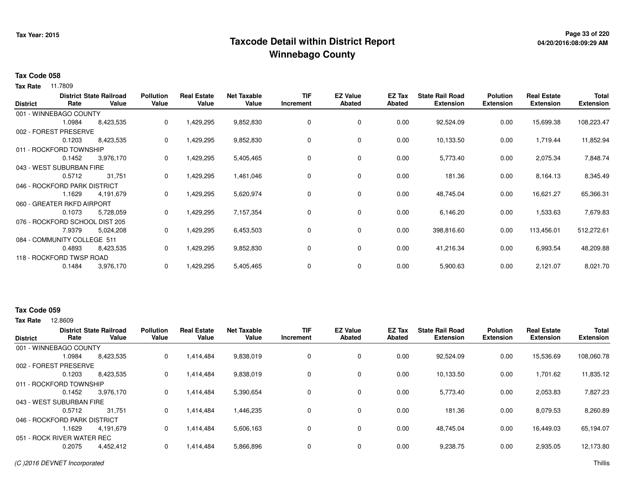## **Page 33 of 220 Taxcode Detail within District ReportWinnebago County**

#### **Tax Code 058**

**Tax Rate** 11.7809

| <b>District</b> | Rate                           | <b>District State Railroad</b><br>Value | <b>Pollution</b><br>Value | <b>Real Estate</b><br>Value | <b>Net Taxable</b><br>Value | <b>TIF</b><br>Increment | <b>EZ Value</b><br>Abated | EZ Tax<br>Abated | <b>State Rail Road</b><br><b>Extension</b> | <b>Polution</b><br><b>Extension</b> | <b>Real Estate</b><br><b>Extension</b> | <b>Total</b><br><b>Extension</b> |
|-----------------|--------------------------------|-----------------------------------------|---------------------------|-----------------------------|-----------------------------|-------------------------|---------------------------|------------------|--------------------------------------------|-------------------------------------|----------------------------------------|----------------------------------|
|                 |                                |                                         |                           |                             |                             |                         |                           |                  |                                            |                                     |                                        |                                  |
|                 | 001 - WINNEBAGO COUNTY         |                                         |                           |                             |                             |                         |                           |                  |                                            |                                     |                                        |                                  |
|                 | 1.0984                         | 8,423,535                               | 0                         | 1,429,295                   | 9,852,830                   | 0                       | 0                         | 0.00             | 92,524.09                                  | 0.00                                | 15,699.38                              | 108,223.47                       |
|                 | 002 - FOREST PRESERVE          |                                         |                           |                             |                             |                         |                           |                  |                                            |                                     |                                        |                                  |
|                 | 0.1203                         | 8,423,535                               | 0                         | 1,429,295                   | 9,852,830                   | 0                       | 0                         | 0.00             | 10,133.50                                  | 0.00                                | 1,719.44                               | 11,852.94                        |
|                 | 011 - ROCKFORD TOWNSHIP        |                                         |                           |                             |                             |                         |                           |                  |                                            |                                     |                                        |                                  |
|                 | 0.1452                         | 3,976,170                               | 0                         | 1,429,295                   | 5,405,465                   | 0                       | 0                         | 0.00             | 5,773.40                                   | 0.00                                | 2,075.34                               | 7,848.74                         |
|                 | 043 - WEST SUBURBAN FIRE       |                                         |                           |                             |                             |                         |                           |                  |                                            |                                     |                                        |                                  |
|                 | 0.5712                         | 31,751                                  | 0                         | 1,429,295                   | 1,461,046                   | 0                       | 0                         | 0.00             | 181.36                                     | 0.00                                | 8,164.13                               | 8,345.49                         |
|                 | 046 - ROCKFORD PARK DISTRICT   |                                         |                           |                             |                             |                         |                           |                  |                                            |                                     |                                        |                                  |
|                 | 1.1629                         | 4,191,679                               | 0                         | 1,429,295                   | 5,620,974                   | 0                       | 0                         | 0.00             | 48,745.04                                  | 0.00                                | 16,621.27                              | 65,366.31                        |
|                 | 060 - GREATER RKFD AIRPORT     |                                         |                           |                             |                             |                         |                           |                  |                                            |                                     |                                        |                                  |
|                 | 0.1073                         | 5,728,059                               | 0                         | 1,429,295                   | 7,157,354                   | 0                       | 0                         | 0.00             | 6,146.20                                   | 0.00                                | 1,533.63                               | 7,679.83                         |
|                 | 076 - ROCKFORD SCHOOL DIST 205 |                                         |                           |                             |                             |                         |                           |                  |                                            |                                     |                                        |                                  |
|                 | 7.9379                         | 5,024,208                               | 0                         | 1,429,295                   | 6,453,503                   | 0                       | 0                         | 0.00             | 398,816.60                                 | 0.00                                | 113,456.01                             | 512,272.61                       |
|                 | 084 - COMMUNITY COLLEGE 511    |                                         |                           |                             |                             |                         |                           |                  |                                            |                                     |                                        |                                  |
|                 | 0.4893                         | 8,423,535                               | 0                         | 1,429,295                   | 9,852,830                   | 0                       | 0                         | 0.00             | 41,216.34                                  | 0.00                                | 6,993.54                               | 48,209.88                        |
|                 | 118 - ROCKFORD TWSP ROAD       |                                         |                           |                             |                             |                         |                           |                  |                                            |                                     |                                        |                                  |
|                 | 0.1484                         | 3,976,170                               | 0                         | 1,429,295                   | 5,405,465                   | 0                       | 0                         | 0.00             | 5,900.63                                   | 0.00                                | 2,121.07                               | 8,021.70                         |

### **Tax Code 059**

**Tax Rate** 12,8609

| <b>District</b>         | Rate                         | <b>District State Railroad</b><br>Value | <b>Pollution</b><br>Value | <b>Real Estate</b><br>Value | <b>Net Taxable</b><br>Value | <b>TIF</b><br>Increment | <b>EZ Value</b><br><b>Abated</b> | <b>EZ Tax</b><br>Abated | <b>State Rail Road</b><br><b>Extension</b> | <b>Polution</b><br><b>Extension</b> | <b>Real Estate</b><br><b>Extension</b> | <b>Total</b><br><b>Extension</b> |
|-------------------------|------------------------------|-----------------------------------------|---------------------------|-----------------------------|-----------------------------|-------------------------|----------------------------------|-------------------------|--------------------------------------------|-------------------------------------|----------------------------------------|----------------------------------|
|                         | 001 - WINNEBAGO COUNTY       |                                         |                           |                             |                             |                         |                                  |                         |                                            |                                     |                                        |                                  |
|                         | 1.0984                       | 8,423,535                               | 0                         | 1,414,484                   | 9,838,019                   | 0                       | 0                                | 0.00                    | 92,524.09                                  | 0.00                                | 15,536.69                              | 108,060.78                       |
|                         | 002 - FOREST PRESERVE        |                                         |                           |                             |                             |                         |                                  |                         |                                            |                                     |                                        |                                  |
|                         | 0.1203                       | 8.423.535                               | 0                         | 1.414.484                   | 9,838,019                   | 0                       | 0                                | 0.00                    | 10.133.50                                  | 0.00                                | 1,701.62                               | 11,835.12                        |
| 011 - ROCKFORD TOWNSHIP |                              |                                         |                           |                             |                             |                         |                                  |                         |                                            |                                     |                                        |                                  |
|                         | 0.1452                       | 3,976,170                               | $\mathbf{0}$              | 1,414,484                   | 5,390,654                   | 0                       | 0                                | 0.00                    | 5,773.40                                   | 0.00                                | 2,053.83                               | 7,827.23                         |
|                         | 043 - WEST SUBURBAN FIRE     |                                         |                           |                             |                             |                         |                                  |                         |                                            |                                     |                                        |                                  |
|                         | 0.5712                       | 31,751                                  | 0                         | 1,414,484                   | 1,446,235                   | 0                       | 0                                | 0.00                    | 181.36                                     | 0.00                                | 8,079.53                               | 8,260.89                         |
|                         | 046 - ROCKFORD PARK DISTRICT |                                         |                           |                             |                             |                         |                                  |                         |                                            |                                     |                                        |                                  |
|                         | .1629                        | 4.191.679                               | 0                         | 1,414,484                   | 5,606,163                   | 0                       | 0                                | 0.00                    | 48.745.04                                  | 0.00                                | 16,449.03                              | 65,194.07                        |
|                         | 051 - ROCK RIVER WATER REC   |                                         |                           |                             |                             |                         |                                  |                         |                                            |                                     |                                        |                                  |
|                         | 0.2075                       | 4,452,412                               | 0                         | 1,414,484                   | 5,866,896                   | 0                       | 0                                | 0.00                    | 9,238.75                                   | 0.00                                | 2,935.05                               | 12,173.80                        |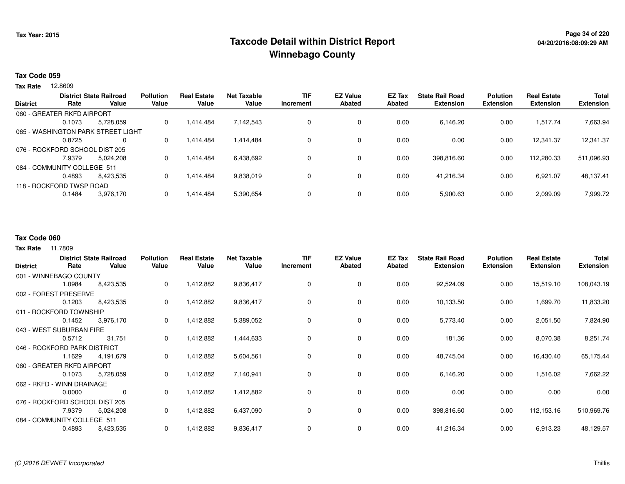## **Page 34 of 220 Taxcode Detail within District ReportWinnebago County**

#### **Tax Code 059**

12.8609 **Tax Rate**

|                                |                             | <b>District State Railroad</b>     | <b>Pollution</b> | <b>Real Estate</b> | <b>Net Taxable</b> | <b>TIF</b> | <b>EZ Value</b> | EZ Tax | <b>State Rail Road</b> | <b>Polution</b>  | <b>Real Estate</b> | <b>Total</b>     |
|--------------------------------|-----------------------------|------------------------------------|------------------|--------------------|--------------------|------------|-----------------|--------|------------------------|------------------|--------------------|------------------|
| <b>District</b>                | Rate                        | Value                              | Value            | Value              | Value              | Increment  | <b>Abated</b>   | Abated | <b>Extension</b>       | <b>Extension</b> | <b>Extension</b>   | <b>Extension</b> |
|                                | 060 - GREATER RKFD AIRPORT  |                                    |                  |                    |                    |            |                 |        |                        |                  |                    |                  |
|                                | 0.1073                      | 5.728.059                          | 0                | 1.414.484          | 7,142,543          |            | $\mathbf 0$     | 0.00   | 6.146.20               | 0.00             | .517.74            | 7,663.94         |
|                                |                             | 065 - WASHINGTON PARK STREET LIGHT |                  |                    |                    |            |                 |        |                        |                  |                    |                  |
|                                | 0.8725                      | $\Omega$                           | 0                | 1.414.484          | 1.414.484          |            | $\mathbf 0$     | 0.00   | 0.00                   | 0.00             | 12.341.37          | 12,341.37        |
| 076 - ROCKFORD SCHOOL DIST 205 |                             |                                    |                  |                    |                    |            |                 |        |                        |                  |                    |                  |
|                                | 7.9379                      | 5.024.208                          | 0                | 1.414.484          | 6,438,692          |            | $\mathbf 0$     | 0.00   | 398,816.60             | 0.00             | 112,280.33         | 511,096.93       |
|                                | 084 - COMMUNITY COLLEGE 511 |                                    |                  |                    |                    |            |                 |        |                        |                  |                    |                  |
|                                | 0.4893                      | 8.423.535                          | 0                | 1.414.484          | 9,838,019          |            | $\mathbf 0$     | 0.00   | 41.216.34              | 0.00             | 6.921.07           | 48,137.41        |
|                                | 118 - ROCKFORD TWSP ROAD    |                                    |                  |                    |                    |            |                 |        |                        |                  |                    |                  |
|                                | 0.1484                      | 3,976,170                          | 0                | 1,414,484          | 5,390,654          |            | $\mathbf 0$     | 0.00   | 5,900.63               | 0.00             | 2,099.09           | 7,999.72         |
|                                |                             |                                    |                  |                    |                    |            |                 |        |                        |                  |                    |                  |

#### **Tax Code 060**

|                                |        | <b>District State Railroad</b> | <b>Pollution</b> | <b>Real Estate</b> | <b>Net Taxable</b> | <b>TIF</b> | <b>EZ Value</b> | <b>EZ Tax</b> | <b>State Rail Road</b> | <b>Polution</b>  | <b>Real Estate</b> | Total            |
|--------------------------------|--------|--------------------------------|------------------|--------------------|--------------------|------------|-----------------|---------------|------------------------|------------------|--------------------|------------------|
| <b>District</b>                | Rate   | Value                          | Value            | Value              | Value              | Increment  | <b>Abated</b>   | Abated        | <b>Extension</b>       | <b>Extension</b> | <b>Extension</b>   | <b>Extension</b> |
| 001 - WINNEBAGO COUNTY         |        |                                |                  |                    |                    |            |                 |               |                        |                  |                    |                  |
|                                | 1.0984 | 8,423,535                      | 0                | 1,412,882          | 9,836,417          | 0          | 0               | 0.00          | 92,524.09              | 0.00             | 15,519.10          | 108,043.19       |
| 002 - FOREST PRESERVE          |        |                                |                  |                    |                    |            |                 |               |                        |                  |                    |                  |
|                                | 0.1203 | 8,423,535                      | 0                | 1,412,882          | 9,836,417          | 0          | 0               | 0.00          | 10,133.50              | 0.00             | 1,699.70           | 11,833.20        |
| 011 - ROCKFORD TOWNSHIP        |        |                                |                  |                    |                    |            |                 |               |                        |                  |                    |                  |
|                                | 0.1452 | 3,976,170                      | 0                | 1,412,882          | 5,389,052          | 0          | 0               | 0.00          | 5,773.40               | 0.00             | 2,051.50           | 7,824.90         |
| 043 - WEST SUBURBAN FIRE       |        |                                |                  |                    |                    |            |                 |               |                        |                  |                    |                  |
|                                | 0.5712 | 31,751                         | 0                | 1,412,882          | 1,444,633          | 0          | 0               | 0.00          | 181.36                 | 0.00             | 8,070.38           | 8,251.74         |
| 046 - ROCKFORD PARK DISTRICT   |        |                                |                  |                    |                    |            |                 |               |                        |                  |                    |                  |
|                                | 1.1629 | 4,191,679                      | 0                | 1,412,882          | 5,604,561          | 0          | 0               | 0.00          | 48,745.04              | 0.00             | 16,430.40          | 65,175.44        |
| 060 - GREATER RKFD AIRPORT     |        |                                |                  |                    |                    |            |                 |               |                        |                  |                    |                  |
|                                | 0.1073 | 5,728,059                      | 0                | 1,412,882          | 7,140,941          | 0          | 0               | 0.00          | 6,146.20               | 0.00             | 1,516.02           | 7,662.22         |
| 062 - RKFD - WINN DRAINAGE     |        |                                |                  |                    |                    |            |                 |               |                        |                  |                    |                  |
|                                | 0.0000 | 0                              | 0                | 1,412,882          | 1,412,882          | 0          | 0               | 0.00          | 0.00                   | 0.00             | 0.00               | 0.00             |
| 076 - ROCKFORD SCHOOL DIST 205 |        |                                |                  |                    |                    |            |                 |               |                        |                  |                    |                  |
|                                | 7.9379 | 5,024,208                      | 0                | 1,412,882          | 6,437,090          | 0          | 0               | 0.00          | 398,816.60             | 0.00             | 112,153.16         | 510,969.76       |
| 084 - COMMUNITY COLLEGE 511    |        |                                |                  |                    |                    |            |                 |               |                        |                  |                    |                  |
|                                | 0.4893 | 8,423,535                      | 0                | 1,412,882          | 9,836,417          | 0          | 0               | 0.00          | 41,216.34              | 0.00             | 6,913.23           | 48,129.57        |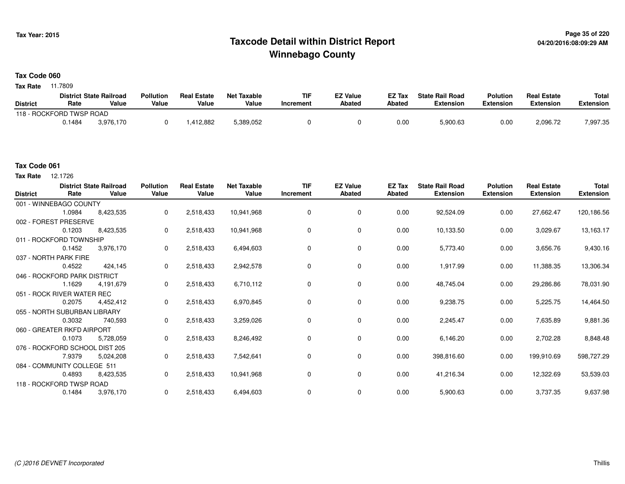## **Page 35 of 220 Taxcode Detail within District ReportWinnebago County**

#### **Tax Code 060**

**Tax Rate** 11.7809

|                          |        | <b>District State Railroad</b> | <b>Pollution</b> | <b>Real Estate</b> | Net Taxable | TIF       | <b>EZ Value</b> | <b>EZ Tax</b> | <b>State Rail Road</b> | <b>Polution</b>  | <b>Real Estate</b> | <b>Total</b> |
|--------------------------|--------|--------------------------------|------------------|--------------------|-------------|-----------|-----------------|---------------|------------------------|------------------|--------------------|--------------|
| <b>District</b>          | Rate   | Value                          | Value            | Value              | Value       | Increment | <b>Abated</b>   | Abated        | <b>Extension</b>       | <b>Extension</b> | <b>Extension</b>   | Extension    |
| 118 - ROCKFORD TWSP ROAD |        |                                |                  |                    |             |           |                 |               |                        |                  |                    |              |
|                          | 0.1484 | 3.976.170                      |                  | .412,882           | 5,389,052   |           |                 | 0.00          | 5,900.63               | 0.00             | 2.096.72           | 7,997.35     |

### **Tax Code 061**

**Tax Rate** 12.1726

| <b>District</b>                | Rate   | <b>District State Railroad</b><br>Value | <b>Pollution</b><br>Value | <b>Real Estate</b><br>Value | <b>Net Taxable</b><br>Value | <b>TIF</b><br>Increment | <b>EZ Value</b><br>Abated | EZ Tax<br>Abated | <b>State Rail Road</b><br><b>Extension</b> | <b>Polution</b><br><b>Extension</b> | <b>Real Estate</b><br><b>Extension</b> | <b>Total</b><br><b>Extension</b> |
|--------------------------------|--------|-----------------------------------------|---------------------------|-----------------------------|-----------------------------|-------------------------|---------------------------|------------------|--------------------------------------------|-------------------------------------|----------------------------------------|----------------------------------|
| 001 - WINNEBAGO COUNTY         |        |                                         |                           |                             |                             |                         |                           |                  |                                            |                                     |                                        |                                  |
|                                | 1.0984 | 8,423,535                               | 0                         | 2,518,433                   | 10,941,968                  | 0                       | 0                         | 0.00             | 92,524.09                                  | 0.00                                | 27,662.47                              | 120,186.56                       |
| 002 - FOREST PRESERVE          |        |                                         |                           |                             |                             |                         |                           |                  |                                            |                                     |                                        |                                  |
|                                | 0.1203 | 8,423,535                               | 0                         | 2,518,433                   | 10,941,968                  | $\Omega$                | 0                         | 0.00             | 10,133.50                                  | 0.00                                | 3,029.67                               | 13,163.17                        |
| 011 - ROCKFORD TOWNSHIP        |        |                                         |                           |                             |                             |                         |                           |                  |                                            |                                     |                                        |                                  |
|                                | 0.1452 | 3,976,170                               | 0                         | 2,518,433                   | 6,494,603                   | 0                       | $\mathbf 0$               | 0.00             | 5,773.40                                   | 0.00                                | 3,656.76                               | 9,430.16                         |
| 037 - NORTH PARK FIRE          |        |                                         |                           |                             |                             |                         |                           |                  |                                            |                                     |                                        |                                  |
|                                | 0.4522 | 424,145                                 | 0                         | 2,518,433                   | 2,942,578                   | 0                       | 0                         | 0.00             | 1,917.99                                   | 0.00                                | 11,388.35                              | 13,306.34                        |
| 046 - ROCKFORD PARK DISTRICT   |        |                                         |                           |                             |                             |                         |                           |                  |                                            |                                     |                                        |                                  |
|                                | 1.1629 | 4,191,679                               | 0                         | 2,518,433                   | 6,710,112                   | 0                       | 0                         | 0.00             | 48,745.04                                  | 0.00                                | 29,286.86                              | 78,031.90                        |
| 051 - ROCK RIVER WATER REC     |        |                                         |                           |                             |                             |                         |                           |                  |                                            |                                     |                                        |                                  |
|                                | 0.2075 | 4,452,412                               | 0                         | 2,518,433                   | 6,970,845                   | 0                       | 0                         | 0.00             | 9,238.75                                   | 0.00                                | 5,225.75                               | 14,464.50                        |
| 055 - NORTH SUBURBAN LIBRARY   |        |                                         |                           |                             |                             |                         |                           |                  |                                            |                                     |                                        |                                  |
|                                | 0.3032 | 740,593                                 | 0                         | 2,518,433                   | 3,259,026                   | 0                       | $\mathbf 0$               | 0.00             | 2,245.47                                   | 0.00                                | 7,635.89                               | 9,881.36                         |
| 060 - GREATER RKFD AIRPORT     |        |                                         |                           |                             |                             |                         |                           |                  |                                            |                                     |                                        |                                  |
|                                | 0.1073 | 5,728,059                               | 0                         | 2,518,433                   | 8,246,492                   | 0                       | $\mathbf 0$               | 0.00             | 6,146.20                                   | 0.00                                | 2,702.28                               | 8,848.48                         |
| 076 - ROCKFORD SCHOOL DIST 205 |        |                                         |                           |                             |                             |                         |                           |                  |                                            |                                     |                                        |                                  |
|                                | 7.9379 | 5,024,208                               | 0                         | 2,518,433                   | 7,542,641                   | 0                       | 0                         | 0.00             | 398,816.60                                 | 0.00                                | 199,910.69                             | 598,727.29                       |
| 084 - COMMUNITY COLLEGE 511    |        |                                         |                           |                             |                             |                         |                           |                  |                                            |                                     |                                        |                                  |
|                                | 0.4893 | 8,423,535                               | 0                         | 2,518,433                   | 10,941,968                  | 0                       | $\mathbf 0$               | 0.00             | 41,216.34                                  | 0.00                                | 12,322.69                              | 53,539.03                        |
| 118 - ROCKFORD TWSP ROAD       |        |                                         |                           |                             |                             |                         |                           |                  |                                            |                                     |                                        |                                  |
|                                | 0.1484 | 3,976,170                               | 0                         | 2,518,433                   | 6,494,603                   | $\mathbf 0$             | 0                         | 0.00             | 5,900.63                                   | 0.00                                | 3,737.35                               | 9,637.98                         |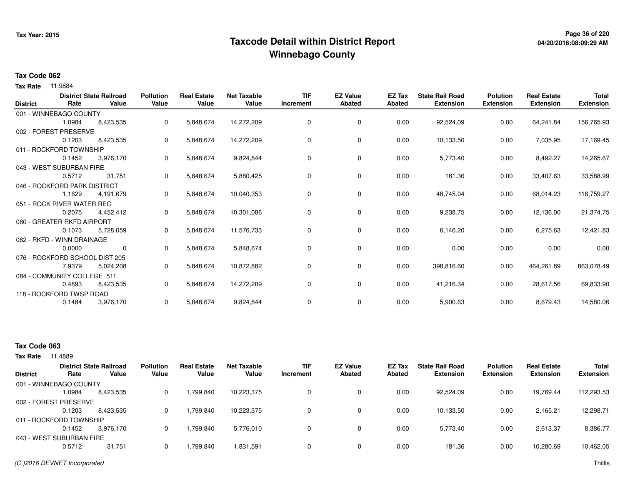## **Page 36 of 220 Taxcode Detail within District ReportWinnebago County**

# **04/20/2016:08:09:29 AM**

#### **Tax Code 062**

**Tax Rate** 11.9884

| <b>District</b> | Rate                           | <b>District State Railroad</b><br>Value | <b>Pollution</b><br>Value | <b>Real Estate</b><br>Value | <b>Net Taxable</b><br>Value | <b>TIF</b><br>Increment | <b>EZ Value</b><br><b>Abated</b> | EZ Tax<br><b>Abated</b> | <b>State Rail Road</b><br><b>Extension</b> | <b>Polution</b><br><b>Extension</b> | <b>Real Estate</b><br><b>Extension</b> | <b>Total</b><br><b>Extension</b> |
|-----------------|--------------------------------|-----------------------------------------|---------------------------|-----------------------------|-----------------------------|-------------------------|----------------------------------|-------------------------|--------------------------------------------|-------------------------------------|----------------------------------------|----------------------------------|
|                 | 001 - WINNEBAGO COUNTY         |                                         |                           |                             |                             |                         |                                  |                         |                                            |                                     |                                        |                                  |
|                 | 1.0984                         | 8,423,535                               | 0                         | 5,848,674                   | 14,272,209                  | 0                       | $\mathbf 0$                      | 0.00                    | 92,524.09                                  | 0.00                                | 64,241.84                              | 156,765.93                       |
|                 | 002 - FOREST PRESERVE          |                                         |                           |                             |                             |                         |                                  |                         |                                            |                                     |                                        |                                  |
|                 | 0.1203                         | 8,423,535                               | 0                         | 5,848,674                   | 14,272,209                  | 0                       | 0                                | 0.00                    | 10,133.50                                  | 0.00                                | 7,035.95                               | 17,169.45                        |
|                 | 011 - ROCKFORD TOWNSHIP        |                                         |                           |                             |                             |                         |                                  |                         |                                            |                                     |                                        |                                  |
|                 | 0.1452                         | 3,976,170                               | 0                         | 5,848,674                   | 9,824,844                   | 0                       | 0                                | 0.00                    | 5,773.40                                   | 0.00                                | 8,492.27                               | 14,265.67                        |
|                 | 043 - WEST SUBURBAN FIRE       |                                         |                           |                             |                             |                         |                                  |                         |                                            |                                     |                                        |                                  |
|                 | 0.5712                         | 31,751                                  | 0                         | 5,848,674                   | 5,880,425                   | 0                       | 0                                | 0.00                    | 181.36                                     | 0.00                                | 33,407.63                              | 33,588.99                        |
|                 | 046 - ROCKFORD PARK DISTRICT   |                                         |                           |                             |                             |                         |                                  |                         |                                            |                                     |                                        |                                  |
|                 | 1.1629                         | 4,191,679                               | 0                         | 5,848,674                   | 10,040,353                  | 0                       | $\mathbf 0$                      | 0.00                    | 48,745.04                                  | 0.00                                | 68,014.23                              | 116,759.27                       |
|                 | 051 - ROCK RIVER WATER REC     |                                         |                           |                             |                             |                         |                                  |                         |                                            |                                     |                                        |                                  |
|                 | 0.2075                         | 4,452,412                               | 0                         | 5,848,674                   | 10,301,086                  | 0                       | 0                                | 0.00                    | 9,238.75                                   | 0.00                                | 12,136.00                              | 21,374.75                        |
|                 | 060 - GREATER RKFD AIRPORT     |                                         |                           |                             |                             |                         |                                  |                         |                                            |                                     |                                        |                                  |
|                 | 0.1073                         | 5,728,059                               | 0                         | 5,848,674                   | 11,576,733                  | 0                       | 0                                | 0.00                    | 6,146.20                                   | 0.00                                | 6,275.63                               | 12,421.83                        |
|                 | 062 - RKFD - WINN DRAINAGE     |                                         |                           |                             |                             |                         |                                  |                         |                                            |                                     |                                        |                                  |
|                 | 0.0000                         | 0                                       | 0                         | 5,848,674                   | 5,848,674                   | 0                       | 0                                | 0.00                    | 0.00                                       | 0.00                                | 0.00                                   | 0.00                             |
|                 | 076 - ROCKFORD SCHOOL DIST 205 |                                         |                           |                             |                             |                         |                                  |                         |                                            |                                     |                                        |                                  |
|                 | 7.9379                         | 5,024,208                               | 0                         | 5,848,674                   | 10,872,882                  | 0                       | 0                                | 0.00                    | 398,816.60                                 | 0.00                                | 464,261.89                             | 863,078.49                       |
|                 | 084 - COMMUNITY COLLEGE 511    |                                         |                           |                             |                             |                         |                                  |                         |                                            |                                     |                                        |                                  |
|                 | 0.4893                         | 8,423,535                               | 0                         | 5,848,674                   | 14,272,209                  | 0                       | 0                                | 0.00                    | 41,216.34                                  | 0.00                                | 28,617.56                              | 69,833.90                        |
|                 | 118 - ROCKFORD TWSP ROAD       |                                         |                           |                             |                             |                         |                                  |                         |                                            |                                     |                                        |                                  |
|                 | 0.1484                         | 3,976,170                               | 0                         | 5,848,674                   | 9,824,844                   | 0                       | 0                                | 0.00                    | 5,900.63                                   | 0.00                                | 8,679.43                               | 14,580.06                        |
|                 |                                |                                         |                           |                             |                             |                         |                                  |                         |                                            |                                     |                                        |                                  |

### **Tax Code 063**

|                 |                          | <b>District State Railroad</b> | <b>Pollution</b> | <b>Real Estate</b> | Net Taxable | <b>TIF</b> | <b>EZ Value</b> | EZ Tax | <b>State Rail Road</b> | <b>Polution</b>  | <b>Real Estate</b> | <b>Total</b>     |
|-----------------|--------------------------|--------------------------------|------------------|--------------------|-------------|------------|-----------------|--------|------------------------|------------------|--------------------|------------------|
| <b>District</b> | Rate                     | Value                          | Value            | Value              | Value       | Increment  | <b>Abated</b>   | Abated | <b>Extension</b>       | <b>Extension</b> | <b>Extension</b>   | <b>Extension</b> |
|                 | 001 - WINNEBAGO COUNTY   |                                |                  |                    |             |            |                 |        |                        |                  |                    |                  |
|                 | 1.0984                   | 8,423,535                      |                  | 1,799,840          | 10.223.375  | 0          | 0               | 0.00   | 92,524.09              | 0.00             | 19,769.44          | 112,293.53       |
|                 | 002 - FOREST PRESERVE    |                                |                  |                    |             |            |                 |        |                        |                  |                    |                  |
|                 | 0.1203                   | 8,423,535                      |                  | 799,840. ا         | 10,223,375  | 0          | 0               | 0.00   | 10.133.50              | 0.00             | 2.165.21           | 12,298.71        |
|                 | 011 - ROCKFORD TOWNSHIP  |                                |                  |                    |             |            |                 |        |                        |                  |                    |                  |
|                 | 0.1452                   | 3,976,170                      |                  | 1.799.840          | 5,776,010   | 0          | 0               | 0.00   | 5,773.40               | 0.00             | 2,613.37           | 8,386.77         |
|                 | 043 - WEST SUBURBAN FIRE |                                |                  |                    |             |            |                 |        |                        |                  |                    |                  |
|                 | 0.5712                   | 31,751                         |                  | .799.840           | 1,831,591   | $\Omega$   | 0               | 0.00   | 181.36                 | 0.00             | 10,280.69          | 10,462.05        |
|                 |                          |                                |                  |                    |             |            |                 |        |                        |                  |                    |                  |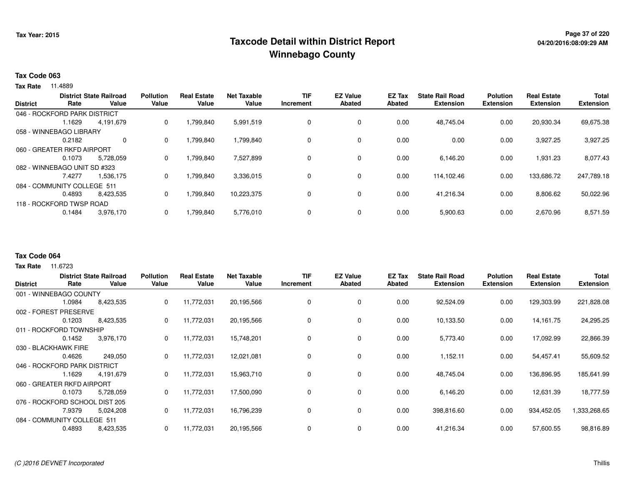## **Page 37 of 220 Taxcode Detail within District ReportWinnebago County**

#### **Tax Code 063**

**Tax Rate** 11.4889

| <b>District</b> | Rate                         | <b>District State Railroad</b><br>Value | <b>Pollution</b><br>Value | <b>Real Estate</b><br>Value | <b>Net Taxable</b><br>Value | <b>TIF</b><br>Increment | <b>EZ Value</b><br>Abated | <b>EZ Tax</b><br>Abated | <b>State Rail Road</b><br><b>Extension</b> | <b>Polution</b><br><b>Extension</b> | <b>Real Estate</b><br><b>Extension</b> | <b>Total</b><br><b>Extension</b> |
|-----------------|------------------------------|-----------------------------------------|---------------------------|-----------------------------|-----------------------------|-------------------------|---------------------------|-------------------------|--------------------------------------------|-------------------------------------|----------------------------------------|----------------------------------|
|                 | 046 - ROCKFORD PARK DISTRICT |                                         |                           |                             |                             |                         |                           |                         |                                            |                                     |                                        |                                  |
|                 | 1.1629                       | 4,191,679                               | 0                         | 1,799,840                   | 5,991,519                   | 0                       | 0                         | 0.00                    | 48,745.04                                  | 0.00                                | 20,930.34                              | 69,675.38                        |
|                 | 058 - WINNEBAGO LIBRARY      |                                         |                           |                             |                             |                         |                           |                         |                                            |                                     |                                        |                                  |
|                 | 0.2182                       | $\mathbf 0$                             | 0                         | 1,799,840                   | 1,799,840                   | 0                       | 0                         | 0.00                    | 0.00                                       | 0.00                                | 3,927.25                               | 3,927.25                         |
|                 | 060 - GREATER RKFD AIRPORT   |                                         |                           |                             |                             |                         |                           |                         |                                            |                                     |                                        |                                  |
|                 | 0.1073                       | 5.728.059                               | 0                         | 1,799,840                   | 7,527,899                   | 0                       | 0                         | 0.00                    | 6,146.20                                   | 0.00                                | 1,931.23                               | 8,077.43                         |
|                 | 082 - WINNEBAGO UNIT SD #323 |                                         |                           |                             |                             |                         |                           |                         |                                            |                                     |                                        |                                  |
|                 | 7.4277                       | 1,536,175                               | 0                         | 1,799,840                   | 3,336,015                   | 0                       | 0                         | 0.00                    | 114,102.46                                 | 0.00                                | 133,686.72                             | 247,789.18                       |
|                 | 084 - COMMUNITY COLLEGE 511  |                                         |                           |                             |                             |                         |                           |                         |                                            |                                     |                                        |                                  |
|                 | 0.4893                       | 8,423,535                               | 0                         | 1,799,840                   | 10,223,375                  | 0                       | 0                         | 0.00                    | 41,216.34                                  | 0.00                                | 8,806.62                               | 50,022.96                        |
|                 | 118 - ROCKFORD TWSP ROAD     |                                         |                           |                             |                             |                         |                           |                         |                                            |                                     |                                        |                                  |
|                 | 0.1484                       | 3,976,170                               | 0                         | 1,799,840                   | 5,776,010                   | 0                       | 0                         | 0.00                    | 5,900.63                                   | 0.00                                | 2,670.96                               | 8,571.59                         |

#### **Tax Code 064**

| <b>District</b>             | Rate                         | <b>District State Railroad</b><br>Value | <b>Pollution</b><br>Value | <b>Real Estate</b><br>Value | <b>Net Taxable</b><br>Value | <b>TIF</b><br>Increment | <b>EZ Value</b><br><b>Abated</b> | EZ Tax<br>Abated | <b>State Rail Road</b><br><b>Extension</b> | <b>Polution</b><br><b>Extension</b> | <b>Real Estate</b><br><b>Extension</b> | <b>Total</b><br><b>Extension</b> |
|-----------------------------|------------------------------|-----------------------------------------|---------------------------|-----------------------------|-----------------------------|-------------------------|----------------------------------|------------------|--------------------------------------------|-------------------------------------|----------------------------------------|----------------------------------|
|                             | 001 - WINNEBAGO COUNTY       |                                         |                           |                             |                             |                         |                                  |                  |                                            |                                     |                                        |                                  |
|                             | 1.0984                       | 8,423,535                               | 0                         | 11,772,031                  | 20,195,566                  | $\Omega$                | 0                                | 0.00             | 92,524.09                                  | 0.00                                | 129,303.99                             | 221,828.08                       |
|                             | 002 - FOREST PRESERVE        |                                         |                           |                             |                             |                         |                                  |                  |                                            |                                     |                                        |                                  |
|                             | 0.1203                       | 8,423,535                               | 0                         | 11,772,031                  | 20,195,566                  |                         | 0                                | 0.00             | 10,133.50                                  | 0.00                                | 14,161.75                              | 24,295.25                        |
|                             | 011 - ROCKFORD TOWNSHIP      |                                         |                           |                             |                             |                         |                                  |                  |                                            |                                     |                                        |                                  |
|                             | 0.1452                       | 3,976,170                               | 0                         | 11,772,031                  | 15,748,201                  | 0                       | 0                                | 0.00             | 5,773.40                                   | 0.00                                | 17,092.99                              | 22,866.39                        |
|                             | 030 - BLACKHAWK FIRE         |                                         |                           |                             |                             |                         |                                  |                  |                                            |                                     |                                        |                                  |
|                             | 0.4626                       | 249,050                                 | 0                         | 11,772,031                  | 12,021,081                  |                         | $\mathbf 0$                      | 0.00             | 1,152.11                                   | 0.00                                | 54,457.41                              | 55,609.52                        |
|                             | 046 - ROCKFORD PARK DISTRICT |                                         |                           |                             |                             |                         |                                  |                  |                                            |                                     |                                        |                                  |
|                             | 1.1629                       | 4,191,679                               | 0                         | 11,772,031                  | 15,963,710                  |                         | 0                                | 0.00             | 48,745.04                                  | 0.00                                | 136,896.95                             | 185,641.99                       |
|                             | 060 - GREATER RKFD AIRPORT   |                                         |                           |                             |                             |                         |                                  |                  |                                            |                                     |                                        |                                  |
|                             | 0.1073                       | 5,728,059                               | 0                         | 11,772,031                  | 17,500,090                  | 0                       | 0                                | 0.00             | 6,146.20                                   | 0.00                                | 12,631.39                              | 18,777.59                        |
|                             | 076 - ROCKFORD SCHOOL        | . DIST 205                              |                           |                             |                             |                         |                                  |                  |                                            |                                     |                                        |                                  |
|                             | 7.9379                       | 5,024,208                               | 0                         | 11,772,031                  | 16,796,239                  |                         | $\mathbf 0$                      | 0.00             | 398,816.60                                 | 0.00                                | 934,452.05                             | 333,268.65                       |
| 084 - COMMUNITY COLLEGE 511 |                              |                                         |                           |                             |                             |                         |                                  |                  |                                            |                                     |                                        |                                  |
|                             | 0.4893                       | 8,423,535                               | 0                         | 11,772,031                  | 20,195,566                  |                         | $\mathbf 0$                      | 0.00             | 41,216.34                                  | 0.00                                | 57,600.55                              | 98,816.89                        |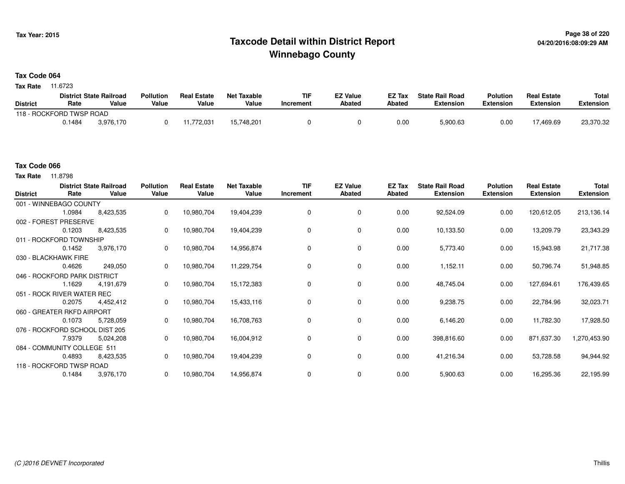## **Page 38 of 220 Taxcode Detail within District ReportWinnebago County**

#### **Tax Code 064**

**Tax Rate** 11.6723

|                          |        | <b>District State Railroad</b> | <b>Pollution</b> | <b>Real Estate</b> | Net Taxable | TIF       | <b>EZ Value</b> | <b>EZ Tax</b> | <b>State Rail Road</b> | <b>Polution</b>  | <b>Real Estate</b> | <b>Total</b> |
|--------------------------|--------|--------------------------------|------------------|--------------------|-------------|-----------|-----------------|---------------|------------------------|------------------|--------------------|--------------|
| <b>District</b>          | Rate   | Value                          | Value            | Value              | Value       | Increment | <b>Abated</b>   | Abated        | <b>Extension</b>       | <b>Extension</b> | <b>Extension</b>   | Extension    |
| 118 - ROCKFORD TWSP ROAD |        |                                |                  |                    |             |           |                 |               |                        |                  |                    |              |
|                          | 0.1484 | 3.976.170                      |                  | .772,031           | 15,748,201  |           |                 | 0.00          | 5,900.63               | 0.00             | 469.69.            | 23,370.32    |

#### **Tax Code 066**

| <b>District</b> | Rate                           | <b>District State Railroad</b><br>Value | <b>Pollution</b><br>Value | <b>Real Estate</b><br>Value | <b>Net Taxable</b><br>Value | <b>TIF</b><br>Increment | <b>EZ Value</b><br><b>Abated</b> | <b>EZ Tax</b><br><b>Abated</b> | <b>State Rail Road</b><br><b>Extension</b> | <b>Polution</b><br><b>Extension</b> | <b>Real Estate</b><br><b>Extension</b> | <b>Total</b><br><b>Extension</b> |
|-----------------|--------------------------------|-----------------------------------------|---------------------------|-----------------------------|-----------------------------|-------------------------|----------------------------------|--------------------------------|--------------------------------------------|-------------------------------------|----------------------------------------|----------------------------------|
|                 | 001 - WINNEBAGO COUNTY         |                                         |                           |                             |                             |                         |                                  |                                |                                            |                                     |                                        |                                  |
|                 | 1.0984                         | 8,423,535                               | 0                         | 10,980,704                  | 19,404,239                  | 0                       | 0                                | 0.00                           | 92,524.09                                  | 0.00                                | 120,612.05                             | 213,136.14                       |
|                 | 002 - FOREST PRESERVE          |                                         |                           |                             |                             |                         |                                  |                                |                                            |                                     |                                        |                                  |
|                 | 0.1203                         | 8,423,535                               | 0                         | 10,980,704                  | 19,404,239                  | $\Omega$                | 0                                | 0.00                           | 10,133.50                                  | 0.00                                | 13,209.79                              | 23,343.29                        |
|                 | 011 - ROCKFORD TOWNSHIP        |                                         |                           |                             |                             |                         |                                  |                                |                                            |                                     |                                        |                                  |
|                 | 0.1452                         | 3,976,170                               | 0                         | 10,980,704                  | 14,956,874                  | 0                       | $\mathbf 0$                      | 0.00                           | 5,773.40                                   | 0.00                                | 15,943.98                              | 21,717.38                        |
|                 | 030 - BLACKHAWK FIRE           |                                         |                           |                             |                             |                         |                                  |                                |                                            |                                     |                                        |                                  |
|                 | 0.4626                         | 249,050                                 | 0                         | 10,980,704                  | 11,229,754                  | 0                       | 0                                | 0.00                           | 1,152.11                                   | 0.00                                | 50,796.74                              | 51,948.85                        |
|                 | 046 - ROCKFORD PARK DISTRICT   |                                         |                           |                             |                             |                         |                                  |                                |                                            |                                     |                                        |                                  |
|                 | 1.1629                         | 4,191,679                               | 0                         | 10,980,704                  | 15,172,383                  | 0                       | 0                                | 0.00                           | 48,745.04                                  | 0.00                                | 127,694.61                             | 176,439.65                       |
|                 | 051 - ROCK RIVER WATER REC     |                                         |                           |                             |                             |                         |                                  |                                |                                            |                                     |                                        |                                  |
|                 | 0.2075                         | 4,452,412                               | 0                         | 10,980,704                  | 15,433,116                  | $\Omega$                | 0                                | 0.00                           | 9,238.75                                   | 0.00                                | 22,784.96                              | 32,023.71                        |
|                 | 060 - GREATER RKFD AIRPORT     |                                         |                           |                             |                             |                         |                                  |                                |                                            |                                     |                                        |                                  |
|                 | 0.1073                         | 5,728,059                               | $\mathbf{0}$              | 10,980,704                  | 16,708,763                  | 0                       | $\mathbf 0$                      | 0.00                           | 6,146.20                                   | 0.00                                | 11,782.30                              | 17,928.50                        |
|                 | 076 - ROCKFORD SCHOOL DIST 205 |                                         |                           |                             |                             |                         |                                  |                                |                                            |                                     |                                        |                                  |
|                 | 7.9379                         | 5,024,208                               |                           | 10,980,704                  | 16,004,912                  | $\Omega$                | 0                                | 0.00                           | 398,816.60                                 | 0.00                                | 871,637.30                             | 1,270,453.90                     |
|                 | 084 - COMMUNITY COLLEGE 511    |                                         |                           |                             |                             |                         |                                  |                                |                                            |                                     |                                        |                                  |
|                 | 0.4893                         | 8,423,535                               | 0                         | 10,980,704                  | 19,404,239                  | 0                       | $\mathbf 0$                      | 0.00                           | 41,216.34                                  | 0.00                                | 53,728.58                              | 94,944.92                        |
|                 | 118 - ROCKFORD TWSP ROAD       |                                         |                           |                             |                             |                         |                                  |                                |                                            |                                     |                                        |                                  |
|                 | 0.1484                         | 3,976,170                               | 0                         | 10,980,704                  | 14,956,874                  |                         | 0                                | 0.00                           | 5,900.63                                   | 0.00                                | 16,295.36                              | 22,195.99                        |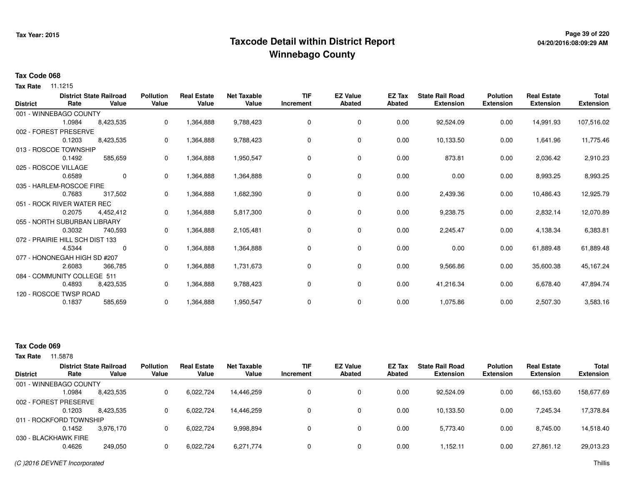## **Page 39 of 220 Taxcode Detail within District ReportWinnebago County**

## **04/20/2016:08:09:29 AM**

#### **Tax Code 068**

**Tax Rate** 11.1215

| <b>District</b> | Rate                            | <b>District State Railroad</b><br>Value | <b>Pollution</b><br>Value | <b>Real Estate</b><br>Value | <b>Net Taxable</b><br>Value | <b>TIF</b><br>Increment | <b>EZ Value</b><br><b>Abated</b> | EZ Tax<br><b>Abated</b> | <b>State Rail Road</b><br><b>Extension</b> | <b>Polution</b><br><b>Extension</b> | <b>Real Estate</b><br><b>Extension</b> | <b>Total</b><br><b>Extension</b> |
|-----------------|---------------------------------|-----------------------------------------|---------------------------|-----------------------------|-----------------------------|-------------------------|----------------------------------|-------------------------|--------------------------------------------|-------------------------------------|----------------------------------------|----------------------------------|
|                 | 001 - WINNEBAGO COUNTY          |                                         |                           |                             |                             |                         |                                  |                         |                                            |                                     |                                        |                                  |
|                 | 1.0984                          | 8,423,535                               | 0                         | 1,364,888                   | 9,788,423                   | 0                       | 0                                | 0.00                    | 92,524.09                                  | 0.00                                | 14,991.93                              | 107,516.02                       |
|                 | 002 - FOREST PRESERVE           |                                         |                           |                             |                             |                         |                                  |                         |                                            |                                     |                                        |                                  |
|                 | 0.1203                          | 8,423,535                               | 0                         | 1,364,888                   | 9,788,423                   | 0                       | 0                                | 0.00                    | 10,133.50                                  | 0.00                                | 1,641.96                               | 11,775.46                        |
|                 | 013 - ROSCOE TOWNSHIP           |                                         |                           |                             |                             |                         |                                  |                         |                                            |                                     |                                        |                                  |
|                 | 0.1492                          | 585,659                                 | 0                         | 1,364,888                   | 1,950,547                   | 0                       | 0                                | 0.00                    | 873.81                                     | 0.00                                | 2,036.42                               | 2,910.23                         |
|                 | 025 - ROSCOE VILLAGE            |                                         |                           |                             |                             |                         |                                  |                         |                                            |                                     |                                        |                                  |
|                 | 0.6589                          | $\mathbf 0$                             | 0                         | 1,364,888                   | 1,364,888                   | $\Omega$                | $\mathbf 0$                      | 0.00                    | 0.00                                       | 0.00                                | 8,993.25                               | 8,993.25                         |
|                 | 035 - HARLEM-ROSCOE FIRE        |                                         |                           |                             |                             |                         |                                  |                         |                                            |                                     |                                        |                                  |
|                 | 0.7683                          | 317,502                                 | 0                         | 1,364,888                   | 1,682,390                   | $\Omega$                | 0                                | 0.00                    | 2,439.36                                   | 0.00                                | 10,486.43                              | 12,925.79                        |
|                 | 051 - ROCK RIVER WATER REC      |                                         |                           |                             |                             |                         |                                  |                         |                                            |                                     |                                        |                                  |
|                 | 0.2075                          | 4,452,412                               | 0                         | 1,364,888                   | 5,817,300                   | 0                       | 0                                | 0.00                    | 9,238.75                                   | 0.00                                | 2,832.14                               | 12,070.89                        |
|                 | 055 - NORTH SUBURBAN LIBRARY    |                                         |                           |                             |                             |                         |                                  |                         |                                            |                                     |                                        |                                  |
|                 | 0.3032                          | 740,593                                 | 0                         | 1,364,888                   | 2,105,481                   | 0                       | 0                                | 0.00                    | 2,245.47                                   | 0.00                                | 4,138.34                               | 6,383.81                         |
|                 | 072 - PRAIRIE HILL SCH DIST 133 |                                         |                           |                             |                             |                         |                                  |                         |                                            |                                     |                                        |                                  |
|                 | 4.5344                          | 0                                       | 0                         | 1,364,888                   | 1,364,888                   | 0                       | 0                                | 0.00                    | 0.00                                       | 0.00                                | 61,889.48                              | 61,889.48                        |
|                 | 077 - HONONEGAH HIGH SD #207    |                                         |                           |                             |                             |                         |                                  |                         |                                            |                                     |                                        |                                  |
|                 | 2.6083                          | 366,785                                 | 0                         | 1,364,888                   | 1,731,673                   | 0                       | 0                                | 0.00                    | 9,566.86                                   | 0.00                                | 35,600.38                              | 45,167.24                        |
|                 | 084 - COMMUNITY COLLEGE 511     |                                         |                           |                             |                             |                         |                                  |                         |                                            |                                     |                                        |                                  |
|                 | 0.4893                          | 8,423,535                               | 0                         | 1,364,888                   | 9,788,423                   | 0                       | 0                                | 0.00                    | 41,216.34                                  | 0.00                                | 6,678.40                               | 47,894.74                        |
|                 | 120 - ROSCOE TWSP ROAD          |                                         |                           |                             |                             |                         |                                  |                         |                                            |                                     |                                        |                                  |
|                 | 0.1837                          | 585,659                                 | 0                         | 1,364,888                   | 1,950,547                   | $\mathbf 0$             | 0                                | 0.00                    | 1,075.86                                   | 0.00                                | 2,507.30                               | 3,583.16                         |

### **Tax Code 069**

|                 |                         | <b>District State Railroad</b> | <b>Pollution</b> | <b>Real Estate</b> | Net Taxable | <b>TIF</b> | <b>EZ Value</b> | EZ Tax | <b>State Rail Road</b> | <b>Polution</b>  | <b>Real Estate</b> | <b>Total</b> |
|-----------------|-------------------------|--------------------------------|------------------|--------------------|-------------|------------|-----------------|--------|------------------------|------------------|--------------------|--------------|
| <b>District</b> | Rate                    | Value                          | Value            | Value              | Value       | Increment  | <b>Abated</b>   | Abated | <b>Extension</b>       | <b>Extension</b> | <b>Extension</b>   | Extension    |
|                 | 001 - WINNEBAGO COUNTY  |                                |                  |                    |             |            |                 |        |                        |                  |                    |              |
|                 | .0984                   | 8,423,535                      |                  | 6,022,724          | 14.446.259  |            | 0               | 0.00   | 92,524.09              | 0.00             | 66,153.60          | 158,677.69   |
|                 | 002 - FOREST PRESERVE   |                                |                  |                    |             |            |                 |        |                        |                  |                    |              |
|                 | 0.1203                  | 8,423,535                      |                  | 6,022,724          | 14,446,259  |            |                 | 0.00   | 10,133.50              | 0.00             | 7,245.34           | 17,378.84    |
|                 | 011 - ROCKFORD TOWNSHIP |                                |                  |                    |             |            |                 |        |                        |                  |                    |              |
|                 | 0.1452                  | 3.976.170                      |                  | 6,022,724          | 9,998,894   |            |                 | 0.00   | 5,773.40               | 0.00             | 8,745.00           | 14,518.40    |
|                 | 030 - BLACKHAWK FIRE    |                                |                  |                    |             |            |                 |        |                        |                  |                    |              |
|                 | 0.4626                  | 249.050                        |                  | 6,022,724          | 6,271,774   |            | 0               | 0.00   | 1.152.11               | 0.00             | 27,861.12          | 29,013.23    |
|                 |                         |                                |                  |                    |             |            |                 |        |                        |                  |                    |              |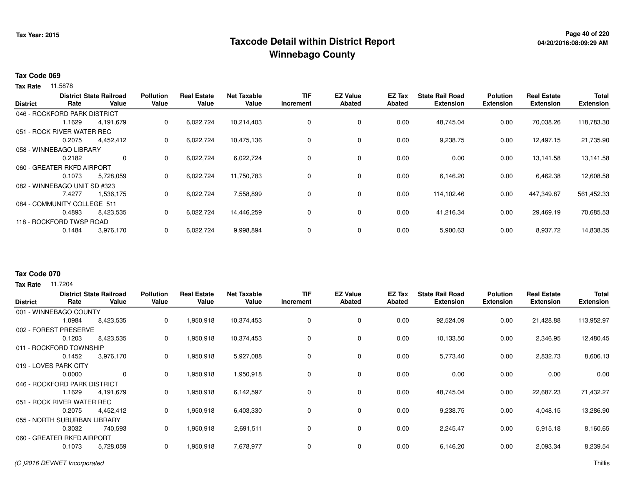## **Page 40 of 220 Taxcode Detail within District ReportWinnebago County**

# **04/20/2016:08:09:29 AM**

#### **Tax Code 069**

**Tax Rate** 11.5878

|                 |                              | <b>District State Railroad</b> | <b>Pollution</b> | <b>Real Estate</b> | <b>Net Taxable</b> | TIF       | <b>EZ Value</b> | EZ Tax        | <b>State Rail Road</b> | <b>Polution</b>  | <b>Real Estate</b> | <b>Total</b>     |
|-----------------|------------------------------|--------------------------------|------------------|--------------------|--------------------|-----------|-----------------|---------------|------------------------|------------------|--------------------|------------------|
| <b>District</b> | Rate                         | Value                          | Value            | Value              | Value              | Increment | <b>Abated</b>   | <b>Abated</b> | <b>Extension</b>       | <b>Extension</b> | <b>Extension</b>   | <b>Extension</b> |
|                 | 046 - ROCKFORD PARK DISTRICT |                                |                  |                    |                    |           |                 |               |                        |                  |                    |                  |
|                 | 1.1629                       | 4,191,679                      | 0                | 6,022,724          | 10,214,403         | $\Omega$  | 0               | 0.00          | 48.745.04              | 0.00             | 70,038.26          | 118,783.30       |
|                 | 051 - ROCK RIVER WATER REC   |                                |                  |                    |                    |           |                 |               |                        |                  |                    |                  |
|                 | 0.2075                       | 4,452,412                      | 0                | 6,022,724          | 10,475,136         | $\Omega$  | $\mathbf 0$     | 0.00          | 9,238.75               | 0.00             | 12,497.15          | 21,735.90        |
|                 | 058 - WINNEBAGO LIBRARY      |                                |                  |                    |                    |           |                 |               |                        |                  |                    |                  |
|                 | 0.2182                       | 0                              | 0                | 6,022,724          | 6,022,724          |           | 0               | 0.00          | 0.00                   | 0.00             | 13,141.58          | 13,141.58        |
|                 | 060 - GREATER RKFD AIRPORT   |                                |                  |                    |                    |           |                 |               |                        |                  |                    |                  |
|                 | 0.1073                       | 5,728,059                      | 0                | 6,022,724          | 11,750,783         |           | 0               | 0.00          | 6,146.20               | 0.00             | 6,462.38           | 12,608.58        |
|                 | 082 - WINNEBAGO UNIT SD #323 |                                |                  |                    |                    |           |                 |               |                        |                  |                    |                  |
|                 | 7.4277                       | 1,536,175                      | 0                | 6,022,724          | 7,558,899          | $\Omega$  | 0               | 0.00          | 114,102.46             | 0.00             | 447,349.87         | 561,452.33       |
|                 | 084 - COMMUNITY COLLEGE 511  |                                |                  |                    |                    |           |                 |               |                        |                  |                    |                  |
|                 | 0.4893                       | 8,423,535                      | 0                | 6,022,724          | 14,446,259         |           | $\mathbf 0$     | 0.00          | 41,216.34              | 0.00             | 29,469.19          | 70,685.53        |
|                 | 118 - ROCKFORD TWSP ROAD     |                                |                  |                    |                    |           |                 |               |                        |                  |                    |                  |
|                 | 0.1484                       | 3,976,170                      | 0                | 6,022,724          | 9,998,894          |           | $\mathbf 0$     | 0.00          | 5,900.63               | 0.00             | 8,937.72           | 14,838.35        |
|                 |                              |                                |                  |                    |                    |           |                 |               |                        |                  |                    |                  |

#### **Tax Code 070**

| <b>District</b>       | Rate                         | <b>District State Railroad</b><br>Value | <b>Pollution</b><br>Value | <b>Real Estate</b><br>Value | <b>Net Taxable</b><br>Value | <b>TIF</b><br>Increment | <b>EZ Value</b><br><b>Abated</b> | <b>EZ Tax</b><br><b>Abated</b> | <b>State Rail Road</b><br><b>Extension</b> | <b>Polution</b><br><b>Extension</b> | <b>Real Estate</b><br><b>Extension</b> | <b>Total</b><br><b>Extension</b> |
|-----------------------|------------------------------|-----------------------------------------|---------------------------|-----------------------------|-----------------------------|-------------------------|----------------------------------|--------------------------------|--------------------------------------------|-------------------------------------|----------------------------------------|----------------------------------|
|                       | 001 - WINNEBAGO COUNTY       |                                         |                           |                             |                             |                         |                                  |                                |                                            |                                     |                                        |                                  |
|                       | 1.0984                       | 8,423,535                               | 0                         | 1,950,918                   | 10,374,453                  | 0                       | 0                                | 0.00                           | 92,524.09                                  | 0.00                                | 21,428.88                              | 113,952.97                       |
|                       | 002 - FOREST PRESERVE        |                                         |                           |                             |                             |                         |                                  |                                |                                            |                                     |                                        |                                  |
|                       | 0.1203                       | 8,423,535                               | 0                         | 1,950,918                   | 10,374,453                  | 0                       | 0                                | 0.00                           | 10,133.50                                  | 0.00                                | 2,346.95                               | 12,480.45                        |
|                       | 011 - ROCKFORD TOWNSHIP      |                                         |                           |                             |                             |                         |                                  |                                |                                            |                                     |                                        |                                  |
|                       | 0.1452                       | 3,976,170                               | 0                         | 1,950,918                   | 5,927,088                   | 0                       | 0                                | 0.00                           | 5,773.40                                   | 0.00                                | 2,832.73                               | 8,606.13                         |
| 019 - LOVES PARK CITY |                              |                                         |                           |                             |                             |                         |                                  |                                |                                            |                                     |                                        |                                  |
|                       | 0.0000                       | $\mathbf 0$                             | 0                         | 1,950,918                   | 1,950,918                   | 0                       | $\mathbf 0$                      | 0.00                           | 0.00                                       | 0.00                                | 0.00                                   | 0.00                             |
|                       | 046 - ROCKFORD PARK DISTRICT |                                         |                           |                             |                             |                         |                                  |                                |                                            |                                     |                                        |                                  |
|                       | 1.1629                       | 4,191,679                               | 0                         | 1,950,918                   | 6,142,597                   | 0                       | $\mathbf 0$                      | 0.00                           | 48,745.04                                  | 0.00                                | 22,687.23                              | 71,432.27                        |
|                       | 051 - ROCK RIVER WATER REC   |                                         |                           |                             |                             |                         |                                  |                                |                                            |                                     |                                        |                                  |
|                       | 0.2075                       | 4,452,412                               | 0                         | 1,950,918                   | 6,403,330                   | 0                       | 0                                | 0.00                           | 9,238.75                                   | 0.00                                | 4,048.15                               | 13,286.90                        |
|                       | 055 - NORTH SUBURBAN LIBRARY |                                         |                           |                             |                             |                         |                                  |                                |                                            |                                     |                                        |                                  |
|                       | 0.3032                       | 740,593                                 | 0                         | 1,950,918                   | 2,691,511                   | 0                       | 0                                | 0.00                           | 2,245.47                                   | 0.00                                | 5,915.18                               | 8,160.65                         |
|                       | 060 - GREATER RKFD AIRPORT   |                                         |                           |                             |                             |                         |                                  |                                |                                            |                                     |                                        |                                  |
|                       | 0.1073                       | 5,728,059                               | 0                         | 1,950,918                   | 7,678,977                   | 0                       | 0                                | 0.00                           | 6,146.20                                   | 0.00                                | 2,093.34                               | 8,239.54                         |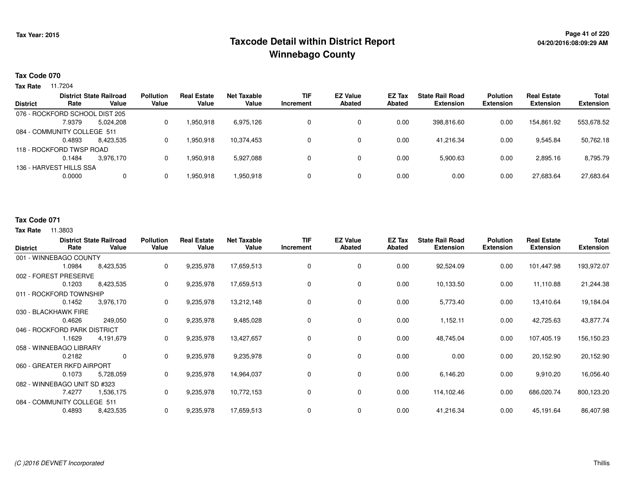## **Page 41 of 220 Taxcode Detail within District ReportWinnebago County**

#### **Tax Code 070**

**Tax Rate** 11.7204

| <b>District</b> | Rate                           | <b>District State Railroad</b><br>Value | <b>Pollution</b><br>Value | <b>Real Estate</b><br>Value | Net Taxable<br>Value | <b>TIF</b><br>Increment | <b>EZ Value</b><br><b>Abated</b> | <b>EZ Tax</b><br>Abated | <b>State Rail Road</b><br><b>Extension</b> | <b>Polution</b><br><b>Extension</b> | <b>Real Estate</b><br><b>Extension</b> | <b>Total</b><br><b>Extension</b> |
|-----------------|--------------------------------|-----------------------------------------|---------------------------|-----------------------------|----------------------|-------------------------|----------------------------------|-------------------------|--------------------------------------------|-------------------------------------|----------------------------------------|----------------------------------|
|                 |                                |                                         |                           |                             |                      |                         |                                  |                         |                                            |                                     |                                        |                                  |
|                 | 076 - ROCKFORD SCHOOL DIST 205 |                                         |                           |                             |                      |                         |                                  |                         |                                            |                                     |                                        |                                  |
|                 | 7.9379                         | 5.024.208                               |                           | 1,950,918                   | 6,975,126            |                         | 0                                | 0.00                    | 398,816.60                                 | 0.00                                | 154.861.92                             | 553,678.52                       |
|                 | 084 - COMMUNITY COLLEGE 511    |                                         |                           |                             |                      |                         |                                  |                         |                                            |                                     |                                        |                                  |
|                 | 0.4893                         | 8.423.535                               |                           | 1,950,918                   | 10,374,453           |                         | 0                                | 0.00                    | 41.216.34                                  | 0.00                                | 9,545.84                               | 50,762.18                        |
|                 | 118 - ROCKFORD TWSP ROAD       |                                         |                           |                             |                      |                         |                                  |                         |                                            |                                     |                                        |                                  |
|                 | 0.1484                         | 3.976.170                               |                           | 1.950.918                   | 5,927,088            |                         | $\Omega$                         | 0.00                    | 5,900.63                                   | 0.00                                | 2,895.16                               | 8,795.79                         |
|                 | 136 - HARVEST HILLS SSA        |                                         |                           |                             |                      |                         |                                  |                         |                                            |                                     |                                        |                                  |
|                 | 0.0000                         | $\mathbf{0}$                            |                           | 1,950,918                   | 1,950,918            |                         | 0                                | 0.00                    | 0.00                                       | 0.00                                | 27,683.64                              | 27,683.64                        |
|                 |                                |                                         |                           |                             |                      |                         |                                  |                         |                                            |                                     |                                        |                                  |

#### **Tax Code 071**

| <b>District</b>              | Rate   | <b>District State Railroad</b><br>Value | <b>Pollution</b><br>Value | <b>Real Estate</b><br>Value | <b>Net Taxable</b><br>Value | <b>TIF</b><br><b>Increment</b> | <b>EZ Value</b><br><b>Abated</b> | <b>EZ Tax</b><br><b>Abated</b> | <b>State Rail Road</b><br><b>Extension</b> | <b>Polution</b><br><b>Extension</b> | <b>Real Estate</b><br><b>Extension</b> | Total<br><b>Extension</b> |
|------------------------------|--------|-----------------------------------------|---------------------------|-----------------------------|-----------------------------|--------------------------------|----------------------------------|--------------------------------|--------------------------------------------|-------------------------------------|----------------------------------------|---------------------------|
| 001 - WINNEBAGO COUNTY       |        |                                         |                           |                             |                             |                                |                                  |                                |                                            |                                     |                                        |                           |
|                              | 1.0984 | 8,423,535                               | 0                         | 9,235,978                   | 17,659,513                  | 0                              | 0                                | 0.00                           | 92,524.09                                  | 0.00                                | 101,447.98                             | 193,972.07                |
| 002 - FOREST PRESERVE        |        |                                         |                           |                             |                             |                                |                                  |                                |                                            |                                     |                                        |                           |
|                              | 0.1203 | 8,423,535                               | 0                         | 9,235,978                   | 17,659,513                  | 0                              | 0                                | 0.00                           | 10,133.50                                  | 0.00                                | 11,110.88                              | 21,244.38                 |
| 011 - ROCKFORD TOWNSHIP      |        |                                         |                           |                             |                             |                                |                                  |                                |                                            |                                     |                                        |                           |
|                              | 0.1452 | 3,976,170                               | 0                         | 9,235,978                   | 13,212,148                  | 0                              | 0                                | 0.00                           | 5,773.40                                   | 0.00                                | 13,410.64                              | 19,184.04                 |
| 030 - BLACKHAWK FIRE         |        |                                         |                           |                             |                             |                                |                                  |                                |                                            |                                     |                                        |                           |
|                              | 0.4626 | 249,050                                 | 0                         | 9,235,978                   | 9,485,028                   | 0                              | $\mathbf 0$                      | 0.00                           | 1,152.11                                   | 0.00                                | 42,725.63                              | 43,877.74                 |
| 046 - ROCKFORD PARK DISTRICT |        |                                         |                           |                             |                             |                                |                                  |                                |                                            |                                     |                                        |                           |
|                              | 1.1629 | 4,191,679                               | 0                         | 9,235,978                   | 13,427,657                  | 0                              | 0                                | 0.00                           | 48,745.04                                  | 0.00                                | 107,405.19                             | 156,150.23                |
| 058 - WINNEBAGO LIBRARY      |        |                                         |                           |                             |                             |                                |                                  |                                |                                            |                                     |                                        |                           |
|                              | 0.2182 | $\mathbf 0$                             | 0                         | 9,235,978                   | 9,235,978                   | 0                              | 0                                | 0.00                           | 0.00                                       | 0.00                                | 20,152.90                              | 20,152.90                 |
| 060 - GREATER RKFD AIRPORT   |        |                                         |                           |                             |                             |                                |                                  |                                |                                            |                                     |                                        |                           |
|                              | 0.1073 | 5,728,059                               | 0                         | 9,235,978                   | 14,964,037                  | 0                              | 0                                | 0.00                           | 6,146.20                                   | 0.00                                | 9,910.20                               | 16,056.40                 |
| 082 - WINNEBAGO UNIT SD #323 |        |                                         |                           |                             |                             |                                |                                  |                                |                                            |                                     |                                        |                           |
|                              | 7.4277 | 1,536,175                               | 0                         | 9,235,978                   | 10,772,153                  | 0                              | 0                                | 0.00                           | 114,102.46                                 | 0.00                                | 686,020.74                             | 800,123.20                |
| 084 - COMMUNITY COLLEGE 511  |        |                                         |                           |                             |                             |                                |                                  |                                |                                            |                                     |                                        |                           |
|                              | 0.4893 | 8,423,535                               | 0                         | 9,235,978                   | 17,659,513                  | 0                              | 0                                | 0.00                           | 41,216.34                                  | 0.00                                | 45,191.64                              | 86,407.98                 |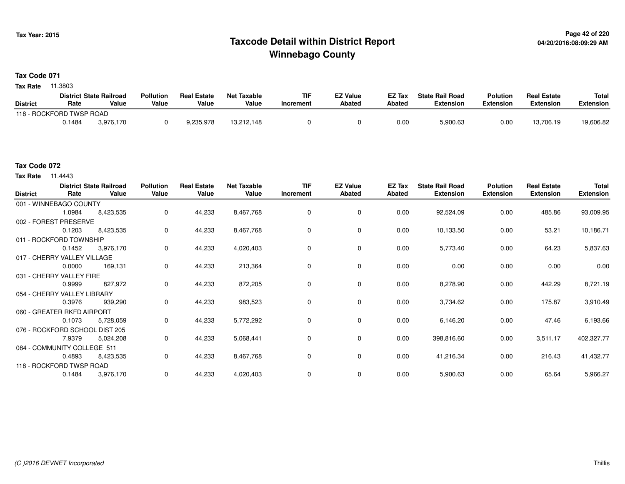## **Page 42 of 220 Taxcode Detail within District ReportWinnebago County**

### **Tax Code 071**

**Tax Rate** 11.3803

|                          |        | <b>District State Railroad</b> | <b>Pollution</b> | <b>Real Estate</b> | Net Taxable | TIF       | <b>EZ Value</b> | <b>EZ Tax</b> | <b>State Rail Road</b> | <b>Polution</b>  | <b>Real Estate</b> | <b>Total</b> |
|--------------------------|--------|--------------------------------|------------------|--------------------|-------------|-----------|-----------------|---------------|------------------------|------------------|--------------------|--------------|
| <b>District</b>          | Rate   | Value                          | Value            | Value              | Value       | Increment | <b>Abated</b>   | Abated        | <b>Extension</b>       | <b>Extension</b> | <b>Extension</b>   | Extension    |
| 118 - ROCKFORD TWSP ROAD |        |                                |                  |                    |             |           |                 |               |                        |                  |                    |              |
|                          | 0.1484 | 3.976.170                      |                  | 9,235,978          | 13.212.148  |           |                 | 0.00          | 5,900.63               | 0.00             | 13,706.19          | 19,606.82    |

**Tax Rate** 11.4443

| <b>District</b> | Rate                           | <b>District State Railroad</b><br>Value | <b>Pollution</b><br>Value | <b>Real Estate</b><br>Value | <b>Net Taxable</b><br>Value | <b>TIF</b><br>Increment | <b>EZ Value</b><br><b>Abated</b> | EZ Tax<br>Abated | <b>State Rail Road</b><br><b>Extension</b> | <b>Polution</b><br><b>Extension</b> | <b>Real Estate</b><br><b>Extension</b> | Total<br><b>Extension</b> |
|-----------------|--------------------------------|-----------------------------------------|---------------------------|-----------------------------|-----------------------------|-------------------------|----------------------------------|------------------|--------------------------------------------|-------------------------------------|----------------------------------------|---------------------------|
|                 | 001 - WINNEBAGO COUNTY         |                                         |                           |                             |                             |                         |                                  |                  |                                            |                                     |                                        |                           |
|                 | 1.0984                         | 8,423,535                               | 0                         | 44,233                      | 8,467,768                   | 0                       | 0                                | 0.00             | 92,524.09                                  | 0.00                                | 485.86                                 | 93,009.95                 |
|                 | 002 - FOREST PRESERVE          |                                         |                           |                             |                             |                         |                                  |                  |                                            |                                     |                                        |                           |
|                 | 0.1203                         | 8,423,535                               | 0                         | 44,233                      | 8,467,768                   | $\Omega$                | 0                                | 0.00             | 10,133.50                                  | 0.00                                | 53.21                                  | 10,186.71                 |
|                 | 011 - ROCKFORD TOWNSHIP        |                                         |                           |                             |                             |                         |                                  |                  |                                            |                                     |                                        |                           |
|                 | 0.1452                         | 3,976,170                               | 0                         | 44,233                      | 4,020,403                   | 0                       | $\mathbf 0$                      | 0.00             | 5,773.40                                   | 0.00                                | 64.23                                  | 5,837.63                  |
|                 | 017 - CHERRY VALLEY VILLAGE    |                                         |                           |                             |                             |                         |                                  |                  |                                            |                                     |                                        |                           |
|                 | 0.0000                         | 169,131                                 | 0                         | 44,233                      | 213,364                     | 0                       | 0                                | 0.00             | 0.00                                       | 0.00                                | 0.00                                   | 0.00                      |
|                 | 031 - CHERRY VALLEY FIRE       |                                         |                           |                             |                             |                         |                                  |                  |                                            |                                     |                                        |                           |
|                 | 0.9999                         | 827,972                                 | 0                         | 44,233                      | 872,205                     | 0                       | 0                                | 0.00             | 8,278.90                                   | 0.00                                | 442.29                                 | 8,721.19                  |
|                 | 054 - CHERRY VALLEY LIBRARY    |                                         |                           |                             |                             |                         |                                  |                  |                                            |                                     |                                        |                           |
|                 | 0.3976                         | 939,290                                 | 0                         | 44,233                      | 983,523                     | 0                       | 0                                | 0.00             | 3,734.62                                   | 0.00                                | 175.87                                 | 3,910.49                  |
|                 | 060 - GREATER RKFD AIRPORT     |                                         |                           |                             |                             |                         |                                  |                  |                                            |                                     |                                        |                           |
|                 | 0.1073                         | 5,728,059                               | 0                         | 44,233                      | 5,772,292                   | 0                       | $\mathbf 0$                      | 0.00             | 6,146.20                                   | 0.00                                | 47.46                                  | 6,193.66                  |
|                 | 076 - ROCKFORD SCHOOL DIST 205 |                                         |                           |                             |                             |                         |                                  |                  |                                            |                                     |                                        |                           |
|                 | 7.9379                         | 5,024,208                               | 0                         | 44,233                      | 5,068,441                   | 0                       | 0                                | 0.00             | 398,816.60                                 | 0.00                                | 3,511.17                               | 402,327.77                |
|                 | 084 - COMMUNITY COLLEGE 511    |                                         |                           |                             |                             |                         |                                  |                  |                                            |                                     |                                        |                           |
|                 | 0.4893                         | 8,423,535                               | 0                         | 44,233                      | 8,467,768                   | 0                       | $\mathbf 0$                      | 0.00             | 41,216.34                                  | 0.00                                | 216.43                                 | 41,432.77                 |
|                 | 118 - ROCKFORD TWSP ROAD       |                                         |                           |                             |                             |                         |                                  |                  |                                            |                                     |                                        |                           |
|                 | 0.1484                         | 3,976,170                               | 0                         | 44,233                      | 4,020,403                   | 0                       | 0                                | 0.00             | 5,900.63                                   | 0.00                                | 65.64                                  | 5,966.27                  |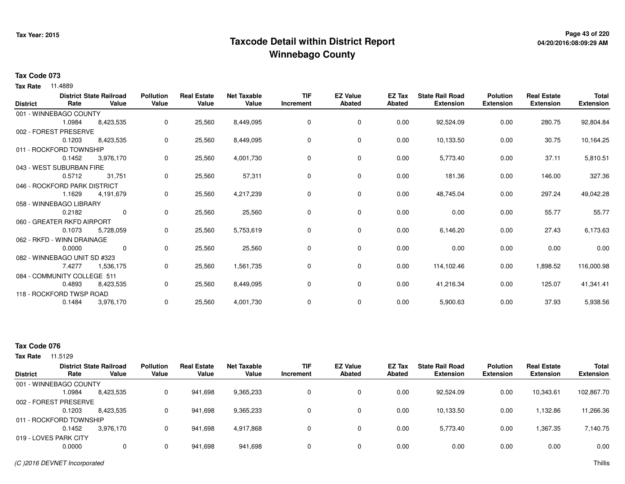## **Page 43 of 220 Taxcode Detail within District ReportWinnebago County**

# **04/20/2016:08:09:29 AM**

#### **Tax Code 073**

**Tax Rate** 11.4889

| <b>District</b> | Rate                         | <b>District State Railroad</b><br>Value | <b>Pollution</b><br>Value | <b>Real Estate</b><br>Value | <b>Net Taxable</b><br>Value | <b>TIF</b><br>Increment | <b>EZ Value</b><br><b>Abated</b> | EZ Tax<br><b>Abated</b> | <b>State Rail Road</b><br><b>Extension</b> | <b>Polution</b><br><b>Extension</b> | <b>Real Estate</b><br><b>Extension</b> | <b>Total</b><br><b>Extension</b> |
|-----------------|------------------------------|-----------------------------------------|---------------------------|-----------------------------|-----------------------------|-------------------------|----------------------------------|-------------------------|--------------------------------------------|-------------------------------------|----------------------------------------|----------------------------------|
|                 | 001 - WINNEBAGO COUNTY       |                                         |                           |                             |                             |                         |                                  |                         |                                            |                                     |                                        |                                  |
|                 | 1.0984                       | 8,423,535                               | 0                         | 25,560                      | 8,449,095                   | 0                       | 0                                | 0.00                    | 92,524.09                                  | 0.00                                | 280.75                                 | 92,804.84                        |
|                 | 002 - FOREST PRESERVE        |                                         |                           |                             |                             |                         |                                  |                         |                                            |                                     |                                        |                                  |
|                 | 0.1203                       | 8,423,535                               | 0                         | 25,560                      | 8,449,095                   | 0                       | 0                                | 0.00                    | 10,133.50                                  | 0.00                                | 30.75                                  | 10,164.25                        |
|                 | 011 - ROCKFORD TOWNSHIP      |                                         |                           |                             |                             |                         |                                  |                         |                                            |                                     |                                        |                                  |
|                 | 0.1452                       | 3,976,170                               | 0                         | 25,560                      | 4,001,730                   | $\Omega$                | 0                                | 0.00                    | 5,773.40                                   | 0.00                                | 37.11                                  | 5,810.51                         |
|                 | 043 - WEST SUBURBAN FIRE     |                                         |                           |                             |                             |                         |                                  |                         |                                            |                                     |                                        |                                  |
|                 | 0.5712                       | 31,751                                  | 0                         | 25,560                      | 57,311                      | 0                       | 0                                | 0.00                    | 181.36                                     | 0.00                                | 146.00                                 | 327.36                           |
|                 | 046 - ROCKFORD PARK DISTRICT |                                         |                           |                             |                             |                         |                                  |                         |                                            |                                     |                                        |                                  |
|                 | 1.1629                       | 4,191,679                               | 0                         | 25,560                      | 4,217,239                   | $\Omega$                | 0                                | 0.00                    | 48,745.04                                  | 0.00                                | 297.24                                 | 49,042.28                        |
|                 | 058 - WINNEBAGO LIBRARY      |                                         |                           |                             |                             |                         |                                  |                         |                                            |                                     |                                        |                                  |
|                 | 0.2182                       | $\mathbf 0$                             | 0                         | 25,560                      | 25,560                      | 0                       | $\mathbf 0$                      | 0.00                    | 0.00                                       | 0.00                                | 55.77                                  | 55.77                            |
|                 | 060 - GREATER RKFD AIRPORT   |                                         |                           |                             |                             |                         |                                  |                         |                                            |                                     |                                        |                                  |
|                 | 0.1073                       | 5,728,059                               | 0                         | 25,560                      | 5,753,619                   | 0                       | 0                                | 0.00                    | 6,146.20                                   | 0.00                                | 27.43                                  | 6,173.63                         |
|                 | 062 - RKFD - WINN DRAINAGE   |                                         |                           |                             |                             |                         |                                  |                         |                                            |                                     |                                        |                                  |
|                 | 0.0000                       | 0                                       | 0                         | 25,560                      | 25,560                      | 0                       | 0                                | 0.00                    | 0.00                                       | 0.00                                | 0.00                                   | 0.00                             |
|                 | 082 - WINNEBAGO UNIT SD #323 |                                         |                           |                             |                             |                         |                                  |                         |                                            |                                     |                                        |                                  |
|                 | 7.4277                       | 1,536,175                               | 0                         | 25,560                      | 1,561,735                   | 0                       | 0                                | 0.00                    | 114,102.46                                 | 0.00                                | 1,898.52                               | 116,000.98                       |
|                 | 084 - COMMUNITY COLLEGE 511  |                                         |                           |                             |                             |                         |                                  |                         |                                            |                                     |                                        |                                  |
|                 | 0.4893                       | 8,423,535                               | 0                         | 25,560                      | 8,449,095                   | 0                       | 0                                | 0.00                    | 41,216.34                                  | 0.00                                | 125.07                                 | 41,341.41                        |
|                 | 118 - ROCKFORD TWSP ROAD     |                                         |                           |                             |                             |                         |                                  |                         |                                            |                                     |                                        |                                  |
|                 | 0.1484                       | 3,976,170                               | 0                         | 25,560                      | 4,001,730                   | 0                       | 0                                | 0.00                    | 5,900.63                                   | 0.00                                | 37.93                                  | 5,938.56                         |

### **Tax Code 076**

|                 |                         | <b>District State Railroad</b> | <b>Pollution</b> | <b>Real Estate</b> | <b>Net Taxable</b> | <b>TIF</b> | <b>EZ Value</b> | EZ Tax | <b>State Rail Road</b> | <b>Polution</b>  | <b>Real Estate</b> | <b>Total</b>     |
|-----------------|-------------------------|--------------------------------|------------------|--------------------|--------------------|------------|-----------------|--------|------------------------|------------------|--------------------|------------------|
| <b>District</b> | Rate                    | Value                          | Value            | Value              | Value              | Increment  | <b>Abated</b>   | Abated | <b>Extension</b>       | <b>Extension</b> | <b>Extension</b>   | <b>Extension</b> |
|                 | 001 - WINNEBAGO COUNTY  |                                |                  |                    |                    |            |                 |        |                        |                  |                    |                  |
|                 | .0984                   | 8,423,535                      |                  | 941.698            | 9,365,233          |            | 0               | 0.00   | 92,524.09              | 0.00             | 10,343.61          | 102,867.70       |
|                 | 002 - FOREST PRESERVE   |                                |                  |                    |                    |            |                 |        |                        |                  |                    |                  |
|                 | 0.1203                  | 8,423,535                      | 0                | 941,698            | 9,365,233          |            | $\Omega$        | 0.00   | 10.133.50              | 0.00             | 1,132.86           | 11,266.36        |
|                 | 011 - ROCKFORD TOWNSHIP |                                |                  |                    |                    |            |                 |        |                        |                  |                    |                  |
|                 | 0.1452                  | 3.976.170                      | 0                | 941,698            | 4,917,868          |            | 0               | 0.00   | 5,773.40               | 0.00             | 1,367.35           | 7,140.75         |
|                 | 019 - LOVES PARK CITY   |                                |                  |                    |                    |            |                 |        |                        |                  |                    |                  |
|                 | 0.0000                  | 0                              | 0                | 941,698            | 941,698            |            | $\Omega$        | 0.00   | 0.00                   | 0.00             | 0.00               | 0.00             |
|                 |                         |                                |                  |                    |                    |            |                 |        |                        |                  |                    |                  |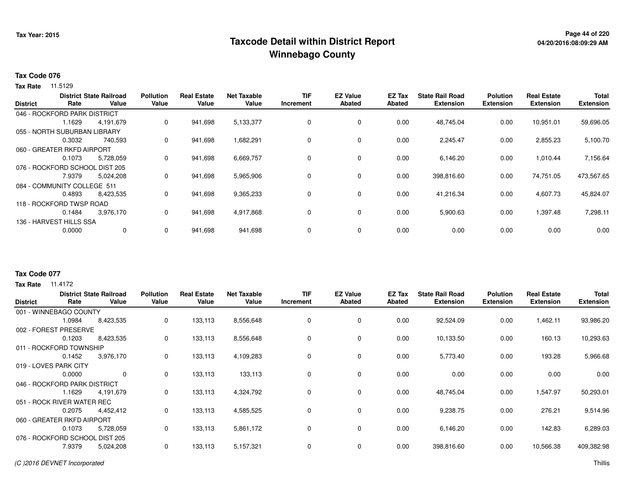## **Page 44 of 220 Taxcode Detail within District ReportWinnebago County**

#### **Tax Code 076**

**Tax Rate** 11.5129

|                 |                                | <b>District State Railroad</b> | <b>Pollution</b> | <b>Real Estate</b> | <b>Net Taxable</b> | <b>TIF</b>  | <b>EZ Value</b> | EZ Tax        | <b>State Rail Road</b> | <b>Polution</b>  | <b>Real Estate</b> | <b>Total</b>     |
|-----------------|--------------------------------|--------------------------------|------------------|--------------------|--------------------|-------------|-----------------|---------------|------------------------|------------------|--------------------|------------------|
| <b>District</b> | Rate                           | Value                          | Value            | Value              | Value              | Increment   | <b>Abated</b>   | <b>Abated</b> | <b>Extension</b>       | <b>Extension</b> | <b>Extension</b>   | <b>Extension</b> |
|                 | 046 - ROCKFORD PARK DISTRICT   |                                |                  |                    |                    |             |                 |               |                        |                  |                    |                  |
|                 | 1.1629                         | 4,191,679                      | 0                | 941,698            | 5,133,377          | $\mathbf 0$ | 0               | 0.00          | 48,745.04              | 0.00             | 10,951.01          | 59,696.05        |
|                 | 055 - NORTH SUBURBAN LIBRARY   |                                |                  |                    |                    |             |                 |               |                        |                  |                    |                  |
|                 | 0.3032                         | 740.593                        | 0                | 941,698            | 1,682,291          | 0           | 0               | 0.00          | 2,245.47               | 0.00             | 2,855.23           | 5,100.70         |
|                 | 060 - GREATER RKFD AIRPORT     |                                |                  |                    |                    |             |                 |               |                        |                  |                    |                  |
|                 | 0.1073                         | 5,728,059                      | 0                | 941,698            | 6,669,757          | 0           | 0               | 0.00          | 6,146.20               | 0.00             | 1,010.44           | 7,156.64         |
|                 | 076 - ROCKFORD SCHOOL DIST 205 |                                |                  |                    |                    |             |                 |               |                        |                  |                    |                  |
|                 | 7.9379                         | 5,024,208                      | 0                | 941,698            | 5,965,906          | 0           | 0               | 0.00          | 398,816.60             | 0.00             | 74,751.05          | 473,567.65       |
|                 | 084 - COMMUNITY COLLEGE 511    |                                |                  |                    |                    |             |                 |               |                        |                  |                    |                  |
|                 | 0.4893                         | 8,423,535                      | 0                | 941,698            | 9,365,233          | 0           | 0               | 0.00          | 41,216.34              | 0.00             | 4,607.73           | 45,824.07        |
|                 | 118 - ROCKFORD TWSP ROAD       |                                |                  |                    |                    |             |                 |               |                        |                  |                    |                  |
|                 | 0.1484                         | 3,976,170                      | 0                | 941,698            | 4,917,868          | 0           | 0               | 0.00          | 5,900.63               | 0.00             | 1,397.48           | 7,298.11         |
|                 | 136 - HARVEST HILLS SSA        |                                |                  |                    |                    |             |                 |               |                        |                  |                    |                  |
|                 | 0.0000                         | $\mathbf{0}$                   | 0                | 941,698            | 941,698            | $\mathbf 0$ | 0               | 0.00          | 0.00                   | 0.00             | 0.00               | 0.00             |
|                 |                                |                                |                  |                    |                    |             |                 |               |                        |                  |                    |                  |

#### **Tax Code 077**

| <b>District</b>                | Rate                         | <b>District State Railroad</b><br>Value | <b>Pollution</b><br>Value | <b>Real Estate</b><br>Value | <b>Net Taxable</b><br>Value | <b>TIF</b><br>Increment | <b>EZ Value</b><br><b>Abated</b> | <b>EZ Tax</b><br><b>Abated</b> | <b>State Rail Road</b><br><b>Extension</b> | <b>Polution</b><br><b>Extension</b> | <b>Real Estate</b><br><b>Extension</b> | <b>Total</b><br><b>Extension</b> |
|--------------------------------|------------------------------|-----------------------------------------|---------------------------|-----------------------------|-----------------------------|-------------------------|----------------------------------|--------------------------------|--------------------------------------------|-------------------------------------|----------------------------------------|----------------------------------|
|                                | 001 - WINNEBAGO COUNTY       |                                         |                           |                             |                             |                         |                                  |                                |                                            |                                     |                                        |                                  |
|                                | 1.0984                       | 8,423,535                               | 0                         | 133,113                     | 8,556,648                   | 0                       | 0                                | 0.00                           | 92,524.09                                  | 0.00                                | 1,462.11                               | 93,986.20                        |
| 002 - FOREST                   | <b>PRESERVE</b>              |                                         |                           |                             |                             |                         |                                  |                                |                                            |                                     |                                        |                                  |
|                                | 0.1203                       | 8,423,535                               | 0                         | 133,113                     | 8,556,648                   | 0                       | 0                                | 0.00                           | 10,133.50                                  | 0.00                                | 160.13                                 | 10,293.63                        |
|                                | 011 - ROCKFORD TOWNSHIP      |                                         |                           |                             |                             |                         |                                  |                                |                                            |                                     |                                        |                                  |
|                                | 0.1452                       | 3,976,170                               | 0                         | 133,113                     | 4,109,283                   | 0                       | 0                                | 0.00                           | 5,773.40                                   | 0.00                                | 193.28                                 | 5,966.68                         |
| 019 - LOVES PARK CITY          |                              |                                         |                           |                             |                             |                         |                                  |                                |                                            |                                     |                                        |                                  |
|                                | 0.0000                       | $\mathbf 0$                             | $\Omega$                  | 133,113                     | 133,113                     | 0                       | $\mathbf 0$                      | 0.00                           | 0.00                                       | 0.00                                | 0.00                                   | 0.00                             |
|                                | 046 - ROCKFORD PARK DISTRICT |                                         |                           |                             |                             |                         |                                  |                                |                                            |                                     |                                        |                                  |
|                                | 1.1629                       | 4,191,679                               | 0                         | 133,113                     | 4,324,792                   | 0                       | 0                                | 0.00                           | 48,745.04                                  | 0.00                                | 1,547.97                               | 50,293.01                        |
|                                | 051 - ROCK RIVER WATER REC   |                                         |                           |                             |                             |                         |                                  |                                |                                            |                                     |                                        |                                  |
|                                | 0.2075                       | 4,452,412                               | 0                         | 133,113                     | 4,585,525                   | 0                       | 0                                | 0.00                           | 9,238.75                                   | 0.00                                | 276.21                                 | 9,514.96                         |
| 060 - GREATER RKFD AIRPORT     |                              |                                         |                           |                             |                             |                         |                                  |                                |                                            |                                     |                                        |                                  |
| 0.1073<br>5,728,059            |                              | 0                                       | 133,113                   | 5,861,172                   | 0                           | 0                       | 0.00                             | 6,146.20                       | 0.00                                       | 142.83                              | 6,289.03                               |                                  |
| 076 - ROCKFORD SCHOOL DIST 205 |                              |                                         |                           |                             |                             |                         |                                  |                                |                                            |                                     |                                        |                                  |
|                                | 7.9379                       | 5,024,208                               | 0                         | 133,113                     | 5, 157, 321                 | 0                       | 0                                | 0.00                           | 398,816.60                                 | 0.00                                | 10,566.38                              | 409,382.98                       |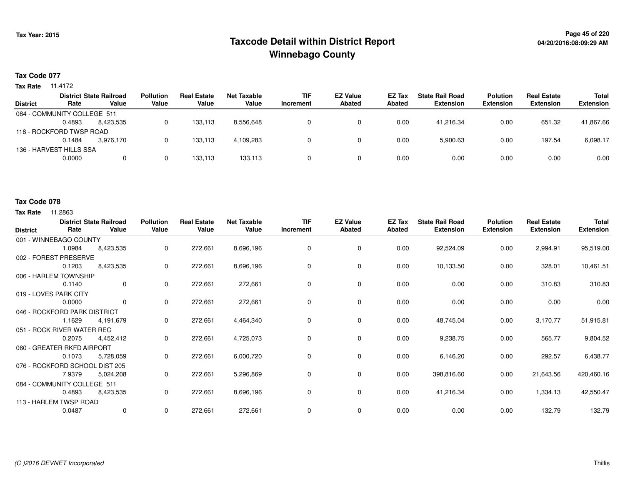## **Page 45 of 220 Taxcode Detail within District ReportWinnebago County**

#### **Tax Code 077**

**Tax Rate** 11.4172

|        |           | <b>Pollution</b>                                                                                                     | <b>Real Estate</b> | Net Taxable | <b>TIF</b> | <b>EZ Value</b> | <b>EZ Tax</b> | <b>State Rail Road</b> | <b>Polution</b>  | <b>Real Estate</b> | <b>Total</b>     |
|--------|-----------|----------------------------------------------------------------------------------------------------------------------|--------------------|-------------|------------|-----------------|---------------|------------------------|------------------|--------------------|------------------|
| Rate   | Value     | Value                                                                                                                | Value              | Value       | Increment  | <b>Abated</b>   | Abated        | <b>Extension</b>       | <b>Extension</b> | <b>Extension</b>   | <b>Extension</b> |
|        |           |                                                                                                                      |                    |             |            |                 |               |                        |                  |                    |                  |
| 0.4893 | 8.423.535 |                                                                                                                      | 133.113            | 8,556,648   |            |                 | 0.00          | 41.216.34              | 0.00             | 651.32             | 41,867.66        |
|        |           |                                                                                                                      |                    |             |            |                 |               |                        |                  |                    |                  |
| 0.1484 | 3.976.170 |                                                                                                                      | 133.113            | 4,109,283   |            |                 | 0.00          | 5,900.63               | 0.00             | 197.54             | 6,098.17         |
|        |           |                                                                                                                      |                    |             |            |                 |               |                        |                  |                    |                  |
| 0.0000 | 0         |                                                                                                                      | 133.113            | 133,113     |            |                 | 0.00          | 0.00                   | 0.00             | 0.00               | 0.00             |
|        |           | <b>District State Railroad</b><br>084 - COMMUNITY COLLEGE 511<br>118 - ROCKFORD TWSP ROAD<br>136 - HARVEST HILLS SSA |                    |             |            |                 |               |                        |                  |                    |                  |

#### **Tax Code 078**

| <b>District</b>                | Rate   | <b>District State Railroad</b><br>Value | <b>Pollution</b><br>Value | <b>Real Estate</b><br>Value | <b>Net Taxable</b><br>Value | <b>TIF</b><br>Increment | <b>EZ Value</b><br><b>Abated</b> | EZ Tax<br><b>Abated</b> | <b>State Rail Road</b><br><b>Extension</b> | <b>Polution</b><br><b>Extension</b> | <b>Real Estate</b><br><b>Extension</b> | <b>Total</b><br><b>Extension</b> |
|--------------------------------|--------|-----------------------------------------|---------------------------|-----------------------------|-----------------------------|-------------------------|----------------------------------|-------------------------|--------------------------------------------|-------------------------------------|----------------------------------------|----------------------------------|
| 001 - WINNEBAGO COUNTY         |        |                                         |                           |                             |                             |                         |                                  |                         |                                            |                                     |                                        |                                  |
|                                | 1.0984 | 8,423,535                               | 0                         | 272,661                     | 8,696,196                   | 0                       | 0                                | 0.00                    | 92,524.09                                  | 0.00                                | 2,994.91                               | 95,519.00                        |
| 002 - FOREST PRESERVE          |        |                                         |                           |                             |                             |                         |                                  |                         |                                            |                                     |                                        |                                  |
|                                | 0.1203 | 8,423,535                               | 0                         | 272,661                     | 8,696,196                   | $\Omega$                | 0                                | 0.00                    | 10,133.50                                  | 0.00                                | 328.01                                 | 10,461.51                        |
| 006 - HARLEM TOWNSHIP          |        |                                         |                           |                             |                             |                         |                                  |                         |                                            |                                     |                                        |                                  |
|                                | 0.1140 | $\overline{0}$                          | 0                         | 272,661                     | 272,661                     | $\Omega$                | 0                                | 0.00                    | 0.00                                       | 0.00                                | 310.83                                 | 310.83                           |
| 019 - LOVES PARK CITY          |        |                                         |                           |                             |                             |                         |                                  |                         |                                            |                                     |                                        |                                  |
|                                | 0.0000 | $\mathbf 0$                             | 0                         | 272,661                     | 272,661                     | 0                       | 0                                | 0.00                    | 0.00                                       | 0.00                                | 0.00                                   | 0.00                             |
| 046 - ROCKFORD PARK DISTRICT   |        |                                         |                           |                             |                             |                         |                                  |                         |                                            |                                     |                                        |                                  |
|                                | 1.1629 | 4,191,679                               | 0                         | 272,661                     | 4,464,340                   | 0                       | $\mathbf 0$                      | 0.00                    | 48,745.04                                  | 0.00                                | 3,170.77                               | 51,915.81                        |
| 051 - ROCK RIVER WATER REC     |        |                                         |                           |                             |                             |                         |                                  |                         |                                            |                                     |                                        |                                  |
|                                | 0.2075 | 4,452,412                               | 0                         | 272,661                     | 4,725,073                   | 0                       | $\mathbf 0$                      | 0.00                    | 9,238.75                                   | 0.00                                | 565.77                                 | 9,804.52                         |
| 060 - GREATER RKFD AIRPORT     |        |                                         |                           |                             |                             |                         |                                  |                         |                                            |                                     |                                        |                                  |
|                                | 0.1073 | 5,728,059                               | 0                         | 272,661                     | 6,000,720                   | 0                       | 0                                | 0.00                    | 6,146.20                                   | 0.00                                | 292.57                                 | 6,438.77                         |
| 076 - ROCKFORD SCHOOL DIST 205 |        |                                         |                           |                             |                             |                         |                                  |                         |                                            |                                     |                                        |                                  |
|                                | 7.9379 | 5,024,208                               | 0                         | 272,661                     | 5,296,869                   | 0                       | 0                                | 0.00                    | 398,816.60                                 | 0.00                                | 21,643.56                              | 420,460.16                       |
| 084 - COMMUNITY COLLEGE 511    |        |                                         |                           |                             |                             |                         |                                  |                         |                                            |                                     |                                        |                                  |
|                                | 0.4893 | 8,423,535                               | 0                         | 272,661                     | 8,696,196                   | 0                       | 0                                | 0.00                    | 41,216.34                                  | 0.00                                | 1,334.13                               | 42,550.47                        |
| 113 - HARLEM TWSP ROAD         |        |                                         |                           |                             |                             |                         |                                  |                         |                                            |                                     |                                        |                                  |
|                                | 0.0487 | $\mathbf 0$                             | 0                         | 272,661                     | 272,661                     | 0                       | 0                                | 0.00                    | 0.00                                       | 0.00                                | 132.79                                 | 132.79                           |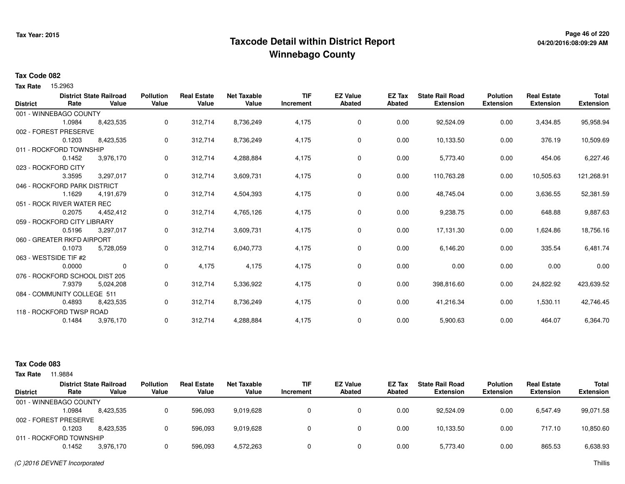## **Page 46 of 220 Taxcode Detail within District ReportWinnebago County**

# **04/20/2016:08:09:29 AM**

#### **Tax Code 082**

Tax Rate 15.2963

|                 |                                | <b>District State Railroad</b> | <b>Pollution</b> | <b>Real Estate</b> | <b>Net Taxable</b> | <b>TIF</b> | <b>EZ Value</b> | <b>EZ Tax</b> | <b>State Rail Road</b> | <b>Polution</b>  | <b>Real Estate</b> | <b>Total</b>     |
|-----------------|--------------------------------|--------------------------------|------------------|--------------------|--------------------|------------|-----------------|---------------|------------------------|------------------|--------------------|------------------|
| <b>District</b> | Rate                           | Value                          | Value            | Value              | Value              | Increment  | <b>Abated</b>   | <b>Abated</b> | <b>Extension</b>       | <b>Extension</b> | <b>Extension</b>   | <b>Extension</b> |
|                 | 001 - WINNEBAGO COUNTY         |                                |                  |                    |                    |            |                 |               |                        |                  |                    |                  |
|                 | 1.0984                         | 8,423,535                      | 0                | 312,714            | 8,736,249          | 4,175      | 0               | 0.00          | 92,524.09              | 0.00             | 3,434.85           | 95,958.94        |
|                 | 002 - FOREST PRESERVE          |                                |                  |                    |                    |            |                 |               |                        |                  |                    |                  |
|                 | 0.1203                         | 8,423,535                      | 0                | 312,714            | 8,736,249          | 4,175      | $\mathbf 0$     | 0.00          | 10,133.50              | 0.00             | 376.19             | 10,509.69        |
|                 | 011 - ROCKFORD TOWNSHIP        |                                |                  |                    |                    |            |                 |               |                        |                  |                    |                  |
|                 | 0.1452                         | 3,976,170                      | 0                | 312,714            | 4,288,884          | 4,175      | 0               | 0.00          | 5,773.40               | 0.00             | 454.06             | 6,227.46         |
|                 | 023 - ROCKFORD CITY            |                                |                  |                    |                    |            |                 |               |                        |                  |                    |                  |
|                 | 3.3595                         | 3,297,017                      | 0                | 312,714            | 3,609,731          | 4,175      | 0               | 0.00          | 110,763.28             | 0.00             | 10,505.63          | 121,268.91       |
|                 | 046 - ROCKFORD PARK DISTRICT   |                                |                  |                    |                    |            |                 |               |                        |                  |                    |                  |
|                 | 1.1629                         | 4,191,679                      | 0                | 312,714            | 4,504,393          | 4,175      | 0               | 0.00          | 48,745.04              | 0.00             | 3,636.55           | 52,381.59        |
|                 | 051 - ROCK RIVER WATER REC     |                                |                  |                    |                    |            |                 |               |                        |                  |                    |                  |
|                 | 0.2075                         | 4,452,412                      | 0                | 312,714            | 4,765,126          | 4,175      | 0               | 0.00          | 9,238.75               | 0.00             | 648.88             | 9,887.63         |
|                 | 059 - ROCKFORD CITY LIBRARY    |                                |                  |                    |                    |            |                 |               |                        |                  |                    |                  |
|                 | 0.5196                         | 3,297,017                      | 0                | 312,714            | 3,609,731          | 4,175      | 0               | 0.00          | 17,131.30              | 0.00             | 1,624.86           | 18,756.16        |
|                 | 060 - GREATER RKFD AIRPORT     |                                |                  |                    |                    |            |                 |               |                        |                  |                    |                  |
|                 | 0.1073                         | 5,728,059                      | 0                | 312,714            | 6,040,773          | 4,175      | 0               | 0.00          | 6,146.20               | 0.00             | 335.54             | 6,481.74         |
|                 | 063 - WESTSIDE TIF #2          |                                |                  |                    |                    |            |                 |               |                        |                  |                    |                  |
|                 | 0.0000                         | $\mathbf 0$                    | 0                | 4,175              | 4,175              | 4,175      | 0               | 0.00          | 0.00                   | 0.00             | 0.00               | 0.00             |
|                 | 076 - ROCKFORD SCHOOL DIST 205 |                                |                  |                    |                    |            |                 |               |                        |                  |                    |                  |
|                 | 7.9379                         | 5,024,208                      | 0                | 312,714            | 5,336,922          | 4,175      | 0               | 0.00          | 398,816.60             | 0.00             | 24,822.92          | 423,639.52       |
|                 | 084 - COMMUNITY COLLEGE 511    |                                |                  |                    |                    |            |                 |               |                        |                  |                    |                  |
|                 | 0.4893                         | 8,423,535                      | 0                | 312,714            | 8,736,249          | 4,175      | $\mathbf 0$     | 0.00          | 41,216.34              | 0.00             | 1,530.11           | 42,746.45        |
|                 | 118 - ROCKFORD TWSP ROAD       |                                |                  |                    |                    |            |                 |               |                        |                  |                    |                  |
|                 | 0.1484                         | 3,976,170                      | 0                | 312,714            | 4,288,884          | 4,175      | 0               | 0.00          | 5,900.63               | 0.00             | 464.07             | 6,364.70         |
|                 |                                |                                |                  |                    |                    |            |                 |               |                        |                  |                    |                  |

| Tax Rate        | 11.9884                 |                                         |                           |                             |                             |                         |                                  |                  |                                            |                                     |                                        |                                  |
|-----------------|-------------------------|-----------------------------------------|---------------------------|-----------------------------|-----------------------------|-------------------------|----------------------------------|------------------|--------------------------------------------|-------------------------------------|----------------------------------------|----------------------------------|
| <b>District</b> | Rate                    | <b>District State Railroad</b><br>Value | <b>Pollution</b><br>Value | <b>Real Estate</b><br>Value | <b>Net Taxable</b><br>Value | <b>TIF</b><br>Increment | <b>EZ Value</b><br><b>Abated</b> | EZ Tax<br>Abated | <b>State Rail Road</b><br><b>Extension</b> | <b>Polution</b><br><b>Extension</b> | <b>Real Estate</b><br><b>Extension</b> | <b>Total</b><br><b>Extension</b> |
|                 | 001 - WINNEBAGO COUNTY  |                                         |                           |                             |                             |                         |                                  |                  |                                            |                                     |                                        |                                  |
|                 | 1.0984                  | 8,423,535                               |                           | 596,093                     | 9,019,628                   |                         |                                  | 0.00             | 92.524.09                                  | 0.00                                | 6.547.49                               | 99,071.58                        |
|                 | 002 - FOREST PRESERVE   |                                         |                           |                             |                             |                         |                                  |                  |                                            |                                     |                                        |                                  |
|                 | 0.1203                  | 8.423.535                               |                           | 596.093                     | 9,019,628                   |                         |                                  | 0.00             | 10.133.50                                  | 0.00                                | 717.10                                 | 10,850.60                        |
|                 | 011 - ROCKFORD TOWNSHIP |                                         |                           |                             |                             |                         |                                  |                  |                                            |                                     |                                        |                                  |
|                 | 0.1452                  | 3,976,170                               |                           | 596,093                     | 4,572,263                   |                         |                                  | 0.00             | 5,773.40                                   | 0.00                                | 865.53                                 | 6,638.93                         |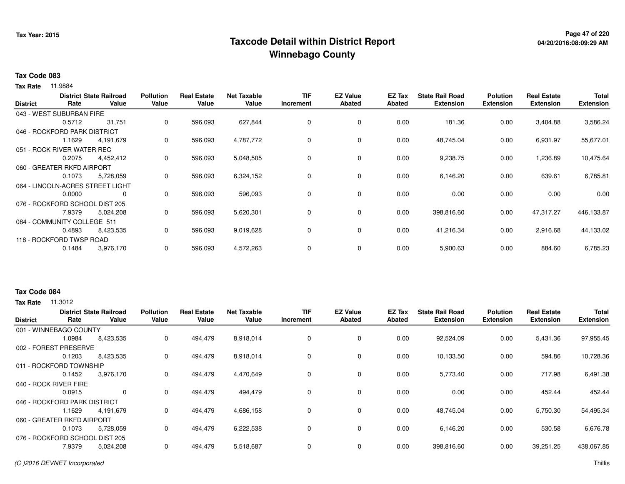## **Page 47 of 220 Taxcode Detail within District ReportWinnebago County**

#### **Tax Code 083**

**Tax Rate** 11.9884

|                 |                              | <b>District State Railroad</b>   | <b>Pollution</b> | <b>Real Estate</b> | <b>Net Taxable</b> | <b>TIF</b> | <b>EZ Value</b> | EZ Tax        | <b>State Rail Road</b> | <b>Polution</b>  | <b>Real Estate</b> | <b>Total</b>     |
|-----------------|------------------------------|----------------------------------|------------------|--------------------|--------------------|------------|-----------------|---------------|------------------------|------------------|--------------------|------------------|
| <b>District</b> | Rate                         | Value                            | Value            | Value              | Value              | Increment  | <b>Abated</b>   | <b>Abated</b> | <b>Extension</b>       | <b>Extension</b> | <b>Extension</b>   | <b>Extension</b> |
|                 | 043 - WEST SUBURBAN FIRE     |                                  |                  |                    |                    |            |                 |               |                        |                  |                    |                  |
|                 | 0.5712                       | 31,751                           | 0                | 596,093            | 627,844            | 0          | 0               | 0.00          | 181.36                 | 0.00             | 3,404.88           | 3,586.24         |
|                 | 046 - ROCKFORD PARK DISTRICT |                                  |                  |                    |                    |            |                 |               |                        |                  |                    |                  |
|                 | 1.1629                       | 4,191,679                        | 0                | 596,093            | 4,787,772          | 0          | 0               | 0.00          | 48,745.04              | 0.00             | 6,931.97           | 55,677.01        |
|                 | 051 - ROCK RIVER WATER REC   |                                  |                  |                    |                    |            |                 |               |                        |                  |                    |                  |
|                 | 0.2075                       | 4,452,412                        | 0                | 596,093            | 5,048,505          | 0          | 0               | 0.00          | 9,238.75               | 0.00             | .236.89            | 10,475.64        |
|                 | 060 - GREATER RKFD AIRPORT   |                                  |                  |                    |                    |            |                 |               |                        |                  |                    |                  |
|                 | 0.1073                       | 5,728,059                        | 0                | 596,093            | 6,324,152          | 0          | $\mathbf 0$     | 0.00          | 6,146.20               | 0.00             | 639.61             | 6,785.81         |
|                 |                              | 064 - LINCOLN-ACRES STREET LIGHT |                  |                    |                    |            |                 |               |                        |                  |                    |                  |
|                 | 0.0000                       | 0                                | 0                | 596,093            | 596,093            | $\Omega$   | $\mathbf 0$     | 0.00          | 0.00                   | 0.00             | 0.00               | 0.00             |
|                 |                              | 076 - ROCKFORD SCHOOL DIST 205   |                  |                    |                    |            |                 |               |                        |                  |                    |                  |
|                 | 7.9379                       | 5,024,208                        | 0                | 596,093            | 5,620,301          | 0          | $\mathbf 0$     | 0.00          | 398,816.60             | 0.00             | 47,317.27          | 446,133.87       |
|                 | 084 - COMMUNITY COLLEGE 511  |                                  |                  |                    |                    |            |                 |               |                        |                  |                    |                  |
|                 | 0.4893                       | 8,423,535                        | 0                | 596,093            | 9,019,628          | 0          | 0               | 0.00          | 41,216.34              | 0.00             | 2,916.68           | 44,133.02        |
|                 | 118 - ROCKFORD TWSP ROAD     |                                  |                  |                    |                    |            |                 |               |                        |                  |                    |                  |
|                 | 0.1484                       | 3,976,170                        | 0                | 596,093            | 4,572,263          | 0          | 0               | 0.00          | 5,900.63               | 0.00             | 884.60             | 6,785.23         |

#### **Tax Code 084**

| <b>District</b> | Rate                           | <b>District State Railroad</b><br>Value | <b>Pollution</b><br>Value | <b>Real Estate</b><br>Value | Net Taxable<br>Value | <b>TIF</b><br>Increment | <b>EZ Value</b><br><b>Abated</b> | EZ Tax<br>Abated | <b>State Rail Road</b><br><b>Extension</b> | <b>Polution</b><br><b>Extension</b> | <b>Real Estate</b><br><b>Extension</b> | <b>Total</b><br><b>Extension</b> |
|-----------------|--------------------------------|-----------------------------------------|---------------------------|-----------------------------|----------------------|-------------------------|----------------------------------|------------------|--------------------------------------------|-------------------------------------|----------------------------------------|----------------------------------|
|                 | 001 - WINNEBAGO COUNTY         |                                         |                           |                             |                      |                         |                                  |                  |                                            |                                     |                                        |                                  |
|                 | 1.0984                         | 8,423,535                               | 0                         | 494,479                     | 8,918,014            | $\mathbf 0$             | 0                                | 0.00             | 92,524.09                                  | 0.00                                | 5,431.36                               | 97,955.45                        |
| 002 - FOREST    | <b>PRESERVE</b>                |                                         |                           |                             |                      |                         |                                  |                  |                                            |                                     |                                        |                                  |
|                 | 0.1203                         | 8,423,535                               | 0                         | 494,479                     | 8,918,014            | 0                       | $\mathbf 0$                      | 0.00             | 10,133.50                                  | 0.00                                | 594.86                                 | 10,728.36                        |
|                 | 011 - ROCKFORD TOWNSHIP        |                                         |                           |                             |                      |                         |                                  |                  |                                            |                                     |                                        |                                  |
|                 | 0.1452                         | 3,976,170                               | 0                         | 494,479                     | 4,470,649            | 0                       | $\mathbf 0$                      | 0.00             | 5,773.40                                   | 0.00                                | 717.98                                 | 6,491.38                         |
|                 | 040 - ROCK RIVER FIRE          |                                         |                           |                             |                      |                         |                                  |                  |                                            |                                     |                                        |                                  |
|                 | 0.0915                         | 0                                       | 0                         | 494,479                     | 494,479              | 0                       | 0                                | 0.00             | 0.00                                       | 0.00                                | 452.44                                 | 452.44                           |
|                 | 046 - ROCKFORD PARK DISTRICT   |                                         |                           |                             |                      |                         |                                  |                  |                                            |                                     |                                        |                                  |
|                 | 1.1629                         | 4,191,679                               | 0                         | 494,479                     | 4,686,158            | 0                       | 0                                | 0.00             | 48,745.04                                  | 0.00                                | 5,750.30                               | 54,495.34                        |
|                 | 060 - GREATER RKFD AIRPORT     |                                         |                           |                             |                      |                         |                                  |                  |                                            |                                     |                                        |                                  |
|                 | 0.1073                         | 5,728,059                               | 0                         | 494,479                     | 6,222,538            | 0                       | 0                                | 0.00             | 6,146.20                                   | 0.00                                | 530.58                                 | 6,676.78                         |
|                 | 076 - ROCKFORD SCHOOL DIST 205 |                                         |                           |                             |                      |                         |                                  |                  |                                            |                                     |                                        |                                  |
|                 | 7.9379                         | 5,024,208                               | 0                         | 494,479                     | 5,518,687            | $\mathbf 0$             | $\mathbf 0$                      | 0.00             | 398,816.60                                 | 0.00                                | 39,251.25                              | 438,067.85                       |
|                 |                                |                                         |                           |                             |                      |                         |                                  |                  |                                            |                                     |                                        |                                  |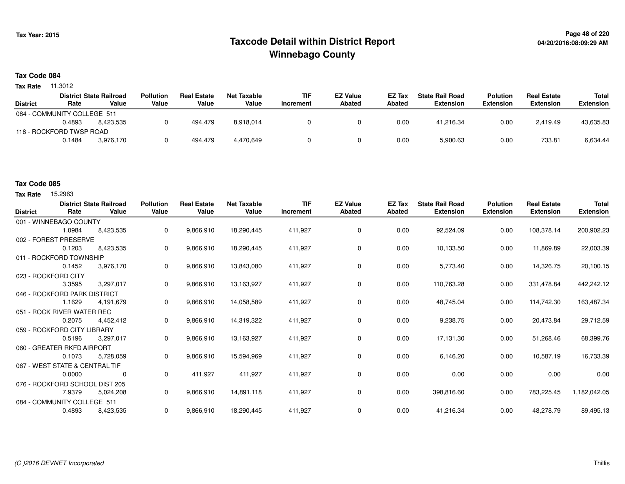## **Page 48 of 220 Taxcode Detail within District ReportWinnebago County**

#### **Tax Code 084**

**Tax Rate** 11.3012

|                 |                             | <b>District State Railroad</b> | <b>Pollution</b> | <b>Real Estate</b> | Net Taxable | <b>TIF</b> | <b>EZ Value</b> | <b>EZ Tax</b> | <b>State Rail Road</b> | <b>Polution</b>  | <b>Real Estate</b> | Total            |
|-----------------|-----------------------------|--------------------------------|------------------|--------------------|-------------|------------|-----------------|---------------|------------------------|------------------|--------------------|------------------|
| <b>District</b> | Rate                        | Value                          | Value            | Value              | Value       | Increment  | <b>Abated</b>   | Abated        | <b>Extension</b>       | <b>Extension</b> | <b>Extension</b>   | <b>Extension</b> |
|                 | 084 - COMMUNITY COLLEGE 511 |                                |                  |                    |             |            |                 |               |                        |                  |                    |                  |
|                 | 0.4893                      | 8.423.535                      |                  | 494.479            | 8,918,014   |            |                 | 0.00          | 41,216.34              | 0.00             | 2,419.49           | 43,635.83        |
|                 | 118 - ROCKFORD TWSP ROAD    |                                |                  |                    |             |            |                 |               |                        |                  |                    |                  |
|                 | 0.1484                      | 3.976.170                      |                  | 494.479            | 4,470,649   |            |                 | 0.00          | 5,900.63               | 0.00             | 733.81             | 6,634.44         |
|                 |                             |                                |                  |                    |             |            |                 |               |                        |                  |                    |                  |

#### **Tax Code 085**

**Tax Rate** 15,2963

| <b>District</b>                | Rate   | <b>District State Railroad</b><br>Value | <b>Pollution</b><br>Value | <b>Real Estate</b><br>Value | <b>Net Taxable</b><br>Value | <b>TIF</b><br>Increment | <b>EZ Value</b><br><b>Abated</b> | EZ Tax<br><b>Abated</b> | <b>State Rail Road</b><br><b>Extension</b> | <b>Polution</b><br><b>Extension</b> | <b>Real Estate</b><br><b>Extension</b> | <b>Total</b><br><b>Extension</b> |
|--------------------------------|--------|-----------------------------------------|---------------------------|-----------------------------|-----------------------------|-------------------------|----------------------------------|-------------------------|--------------------------------------------|-------------------------------------|----------------------------------------|----------------------------------|
| 001 - WINNEBAGO COUNTY         |        |                                         |                           |                             |                             |                         |                                  |                         |                                            |                                     |                                        |                                  |
|                                | 1.0984 | 8,423,535                               | 0                         | 9,866,910                   | 18,290,445                  | 411,927                 | 0                                | 0.00                    | 92,524.09                                  | 0.00                                | 108,378.14                             | 200,902.23                       |
| 002 - FOREST PRESERVE          |        |                                         |                           |                             |                             |                         |                                  |                         |                                            |                                     |                                        |                                  |
|                                | 0.1203 | 8,423,535                               | 0                         | 9,866,910                   | 18,290,445                  | 411,927                 | 0                                | 0.00                    | 10,133.50                                  | 0.00                                | 11,869.89                              | 22,003.39                        |
| 011 - ROCKFORD TOWNSHIP        |        |                                         |                           |                             |                             |                         |                                  |                         |                                            |                                     |                                        |                                  |
|                                | 0.1452 | 3,976,170                               | 0                         | 9,866,910                   | 13,843,080                  | 411,927                 | $\mathbf 0$                      | 0.00                    | 5,773.40                                   | 0.00                                | 14,326.75                              | 20,100.15                        |
| 023 - ROCKFORD CITY            |        |                                         |                           |                             |                             |                         |                                  |                         |                                            |                                     |                                        |                                  |
|                                | 3.3595 | 3,297,017                               | 0                         | 9,866,910                   | 13,163,927                  | 411,927                 | 0                                | 0.00                    | 110,763.28                                 | 0.00                                | 331,478.84                             | 442,242.12                       |
| 046 - ROCKFORD PARK DISTRICT   |        |                                         |                           |                             |                             |                         |                                  |                         |                                            |                                     |                                        |                                  |
|                                | 1.1629 | 4,191,679                               | 0                         | 9,866,910                   | 14,058,589                  | 411,927                 | 0                                | 0.00                    | 48,745.04                                  | 0.00                                | 114,742.30                             | 163,487.34                       |
| 051 - ROCK RIVER WATER REC     |        |                                         |                           |                             |                             |                         |                                  |                         |                                            |                                     |                                        |                                  |
|                                | 0.2075 | 4,452,412                               | 0                         | 9,866,910                   | 14,319,322                  | 411,927                 | 0                                | 0.00                    | 9,238.75                                   | 0.00                                | 20,473.84                              | 29,712.59                        |
| 059 - ROCKFORD CITY LIBRARY    |        |                                         |                           |                             |                             |                         |                                  |                         |                                            |                                     |                                        |                                  |
|                                | 0.5196 | 3,297,017                               | 0                         | 9,866,910                   | 13,163,927                  | 411,927                 | 0                                | 0.00                    | 17,131.30                                  | 0.00                                | 51,268.46                              | 68,399.76                        |
| 060 - GREATER RKFD AIRPORT     |        |                                         |                           |                             |                             |                         |                                  |                         |                                            |                                     |                                        |                                  |
|                                | 0.1073 | 5,728,059                               | 0                         | 9,866,910                   | 15,594,969                  | 411,927                 | $\mathbf 0$                      | 0.00                    | 6,146.20                                   | 0.00                                | 10,587.19                              | 16,733.39                        |
| 067 - WEST STATE & CENTRAL TIF |        |                                         |                           |                             |                             |                         |                                  |                         |                                            |                                     |                                        |                                  |
|                                | 0.0000 | 0                                       | 0                         | 411.927                     | 411,927                     | 411,927                 | $\mathbf 0$                      | 0.00                    | 0.00                                       | 0.00                                | 0.00                                   | 0.00                             |
| 076 - ROCKFORD SCHOOL DIST 205 |        |                                         |                           |                             |                             |                         |                                  |                         |                                            |                                     |                                        |                                  |
|                                | 7.9379 | 5,024,208                               | 0                         | 9,866,910                   | 14,891,118                  | 411,927                 | 0                                | 0.00                    | 398,816.60                                 | 0.00                                | 783,225.45                             | 1,182,042.05                     |
| 084 - COMMUNITY COLLEGE 511    |        |                                         |                           |                             |                             |                         |                                  |                         |                                            |                                     |                                        |                                  |
|                                | 0.4893 | 8,423,535                               | 0                         | 9,866,910                   | 18,290,445                  | 411,927                 | 0                                | 0.00                    | 41,216.34                                  | 0.00                                | 48,278.79                              | 89,495.13                        |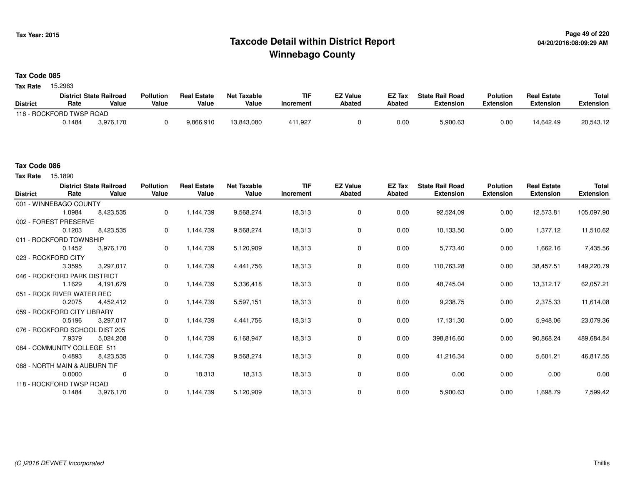## **Page 49 of 220 Taxcode Detail within District ReportWinnebago County**

#### **Tax Code 085**

Tax Rate 15.2963

|                          |        | <b>District State Railroad</b> | <b>Pollution</b> | <b>Real Estate</b> | Net Taxable | TIF       | <b>EZ Value</b> | <b>EZ Tax</b> | <b>State Rail Road</b> | <b>Polution</b>  | <b>Real Estate</b> | <b>Total</b> |
|--------------------------|--------|--------------------------------|------------------|--------------------|-------------|-----------|-----------------|---------------|------------------------|------------------|--------------------|--------------|
| <b>District</b>          | Rate   | Value                          | Value            | Value              | Value       | Increment | <b>Abated</b>   | Abated        | <b>Extension</b>       | <b>Extension</b> | <b>Extension</b>   | Extension    |
| 118 - ROCKFORD TWSP ROAD |        |                                |                  |                    |             |           |                 |               |                        |                  |                    |              |
|                          | 0.1484 | 3.976.170                      |                  | 9,866,910          | 13,843,080  | 411,927   |                 | 0.00          | 5,900.63               | 0.00             | 14.642.49          | 20,543.12    |

Tax Rate 15.1890

| <b>District</b>               | Rate   | <b>District State Railroad</b><br>Value | <b>Pollution</b><br>Value | <b>Real Estate</b><br>Value | <b>Net Taxable</b><br>Value | <b>TIF</b><br>Increment | <b>EZ Value</b><br>Abated | EZ Tax<br>Abated | <b>State Rail Road</b><br><b>Extension</b> | <b>Polution</b><br><b>Extension</b> | <b>Real Estate</b><br><b>Extension</b> | <b>Total</b><br><b>Extension</b> |
|-------------------------------|--------|-----------------------------------------|---------------------------|-----------------------------|-----------------------------|-------------------------|---------------------------|------------------|--------------------------------------------|-------------------------------------|----------------------------------------|----------------------------------|
| 001 - WINNEBAGO COUNTY        |        |                                         |                           |                             |                             |                         |                           |                  |                                            |                                     |                                        |                                  |
|                               | 1.0984 | 8,423,535                               | 0                         | 1,144,739                   | 9,568,274                   | 18,313                  | 0                         | 0.00             | 92,524.09                                  | 0.00                                | 12,573.81                              | 105,097.90                       |
| 002 - FOREST PRESERVE         |        |                                         |                           |                             |                             |                         |                           |                  |                                            |                                     |                                        |                                  |
|                               | 0.1203 | 8,423,535                               | 0                         | 1,144,739                   | 9,568,274                   | 18,313                  | 0                         | 0.00             | 10,133.50                                  | 0.00                                | 1,377.12                               | 11,510.62                        |
| 011 - ROCKFORD TOWNSHIP       |        |                                         |                           |                             |                             |                         |                           |                  |                                            |                                     |                                        |                                  |
|                               | 0.1452 | 3,976,170                               | 0                         | 1,144,739                   | 5,120,909                   | 18,313                  | $\mathbf 0$               | 0.00             | 5,773.40                                   | 0.00                                | 1,662.16                               | 7,435.56                         |
| 023 - ROCKFORD CITY           |        |                                         |                           |                             |                             |                         |                           |                  |                                            |                                     |                                        |                                  |
|                               | 3.3595 | 3,297,017                               | 0                         | 1,144,739                   | 4,441,756                   | 18,313                  | 0                         | 0.00             | 110,763.28                                 | 0.00                                | 38,457.51                              | 149,220.79                       |
| 046 - ROCKFORD PARK DISTRICT  |        |                                         |                           |                             |                             |                         |                           |                  |                                            |                                     |                                        |                                  |
|                               | 1.1629 | 4,191,679                               | 0                         | 1,144,739                   | 5,336,418                   | 18,313                  | 0                         | 0.00             | 48,745.04                                  | 0.00                                | 13,312.17                              | 62,057.21                        |
| 051 - ROCK RIVER WATER REC    |        |                                         |                           |                             |                             |                         |                           |                  |                                            |                                     |                                        |                                  |
|                               | 0.2075 | 4,452,412                               | 0                         | 1,144,739                   | 5,597,151                   | 18,313                  | 0                         | 0.00             | 9,238.75                                   | 0.00                                | 2,375.33                               | 11,614.08                        |
| 059 - ROCKFORD CITY LIBRARY   |        |                                         |                           |                             |                             |                         |                           |                  |                                            |                                     |                                        |                                  |
|                               | 0.5196 | 3,297,017                               | 0                         | 1,144,739                   | 4,441,756                   | 18,313                  | $\mathbf 0$               | 0.00             | 17,131.30                                  | 0.00                                | 5,948.06                               | 23,079.36                        |
|                               |        | 076 - ROCKFORD SCHOOL DIST 205          |                           |                             |                             |                         |                           |                  |                                            |                                     |                                        |                                  |
|                               | 7.9379 | 5,024,208                               | 0                         | 1,144,739                   | 6,168,947                   | 18,313                  | $\mathbf 0$               | 0.00             | 398,816.60                                 | 0.00                                | 90,868.24                              | 489,684.84                       |
| 084 - COMMUNITY COLLEGE 511   |        |                                         |                           |                             |                             |                         |                           |                  |                                            |                                     |                                        |                                  |
|                               | 0.4893 | 8,423,535                               | 0                         | 1,144,739                   | 9,568,274                   | 18,313                  | 0                         | 0.00             | 41,216.34                                  | 0.00                                | 5,601.21                               | 46,817.55                        |
| 088 - NORTH MAIN & AUBURN TIF |        |                                         |                           |                             |                             |                         |                           |                  |                                            |                                     |                                        |                                  |
|                               | 0.0000 | $\mathbf 0$                             | 0                         | 18,313                      | 18,313                      | 18,313                  | $\mathbf 0$               | 0.00             | 0.00                                       | 0.00                                | 0.00                                   | 0.00                             |
| 118 - ROCKFORD TWSP ROAD      |        |                                         |                           |                             |                             |                         |                           |                  |                                            |                                     |                                        |                                  |
|                               | 0.1484 | 3,976,170                               | 0                         | 1,144,739                   | 5,120,909                   | 18,313                  | 0                         | 0.00             | 5,900.63                                   | 0.00                                | 1,698.79                               | 7,599.42                         |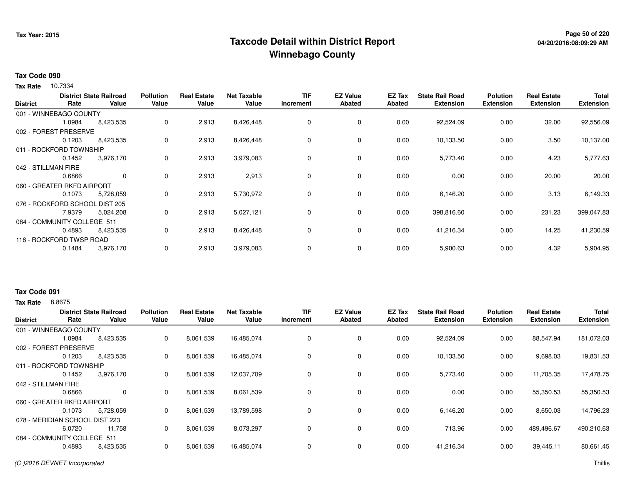### **Page 50 of 220 Taxcode Detail within District ReportWinnebago County**

## **04/20/2016:08:09:29 AM**

#### **Tax Code 090**

**Tax Rate** 10.7334

| <b>District</b> |                                | <b>District State Railroad</b> | <b>Pollution</b> | <b>Real Estate</b> | <b>Net Taxable</b> | <b>TIF</b> | <b>EZ Value</b> | EZ Tax        | <b>State Rail Road</b> | <b>Polution</b>  | <b>Real Estate</b> | Total            |
|-----------------|--------------------------------|--------------------------------|------------------|--------------------|--------------------|------------|-----------------|---------------|------------------------|------------------|--------------------|------------------|
|                 | Rate                           | Value                          | Value            | Value              | Value              | Increment  | Abated          | <b>Abated</b> | <b>Extension</b>       | <b>Extension</b> | <b>Extension</b>   | <b>Extension</b> |
|                 | 001 - WINNEBAGO COUNTY         |                                |                  |                    |                    |            |                 |               |                        |                  |                    |                  |
|                 | 1.0984                         | 8,423,535                      | 0                | 2,913              | 8,426,448          | 0          | 0               | 0.00          | 92,524.09              | 0.00             | 32.00              | 92,556.09        |
|                 | 002 - FOREST PRESERVE          |                                |                  |                    |                    |            |                 |               |                        |                  |                    |                  |
|                 | 0.1203                         | 8,423,535                      | 0                | 2,913              | 8,426,448          | 0          | 0               | 0.00          | 10,133.50              | 0.00             | 3.50               | 10,137.00        |
|                 | 011 - ROCKFORD TOWNSHIP        |                                |                  |                    |                    |            |                 |               |                        |                  |                    |                  |
|                 | 0.1452                         | 3,976,170                      | 0                | 2,913              | 3,979,083          | 0          | $\mathbf 0$     | 0.00          | 5,773.40               | 0.00             | 4.23               | 5,777.63         |
|                 | 042 - STILLMAN FIRE            |                                |                  |                    |                    |            |                 |               |                        |                  |                    |                  |
|                 | 0.6866                         | $\mathbf 0$                    | 0                | 2,913              | 2,913              | 0          | $\mathbf 0$     | 0.00          | 0.00                   | 0.00             | 20.00              | 20.00            |
|                 | 060 - GREATER RKFD AIRPORT     |                                |                  |                    |                    |            |                 |               |                        |                  |                    |                  |
|                 | 0.1073                         | 5,728,059                      | 0                | 2,913              | 5,730,972          | 0          | $\mathbf 0$     | 0.00          | 6,146.20               | 0.00             | 3.13               | 6,149.33         |
|                 | 076 - ROCKFORD SCHOOL DIST 205 |                                |                  |                    |                    |            |                 |               |                        |                  |                    |                  |
|                 | 7.9379                         | 5,024,208                      | 0                | 2,913              | 5,027,121          | 0          | $\mathbf 0$     | 0.00          | 398,816.60             | 0.00             | 231.23             | 399,047.83       |
|                 | 084 - COMMUNITY COLLEGE 511    |                                |                  |                    |                    |            |                 |               |                        |                  |                    |                  |
|                 | 0.4893                         | 8,423,535                      | 0                | 2,913              | 8,426,448          | 0          | $\mathbf 0$     | 0.00          | 41,216.34              | 0.00             | 14.25              | 41,230.59        |
|                 | 118 - ROCKFORD TWSP ROAD       |                                |                  |                    |                    |            |                 |               |                        |                  |                    |                  |
|                 | 0.1484                         | 3,976,170                      | 0                | 2,913              | 3,979,083          | 0          | 0               | 0.00          | 5,900.63               | 0.00             | 4.32               | 5,904.95         |
|                 |                                |                                |                  |                    |                    |            |                 |               |                        |                  |                    |                  |

#### **Tax Rate** 8.8675 **Tax Code 091**

**State Railroad District ValueTIF IncrementEZ Value AbatedReal Estate ExtensionTotal ExtensionDistrictPollution ValueReal Estate ValueNet Taxable Value Rate** 001 - WINNEBAGO COUNTY**Polution ExtensionState Rail Road ExtensionEZ Tax Abated**88,547.94 181,072.038,423,535 1.0984 8,423,535 <sup>0</sup> 8,061,539 16,485,074 <sup>0</sup> <sup>0</sup> 0.00 92,524.09 0.00 9,698.03 19,831.53002 - FOREST PRESERVE0.12033 8,423,535 0 8,061,539 16,485,074 0 0 0 0.00 10,133.50 0.00 11,705.35 17,478.75011 - ROCKFORD TOWNSHIP3,976,170 0.14522 3,976,170 0 8,061,539 12,037,709 0 0 0.00 5,773.40 0.00 55,350.53 55,350.53042 - STILLMAN FIRE 0.6866 <sup>0</sup> <sup>0</sup> 8,061,539 8,061,539 <sup>0</sup> <sup>0</sup> 0.00 0.00 0.00 8,650.03 14,796.23060 - GREATER RKFD AIRPORT5,728,059 0.1073 5,728,059 <sup>0</sup> 8,061,539 13,789,598 <sup>0</sup> <sup>0</sup> 0.00 6,146.20 0.00 489,496.67 490,210.63078 - MERIDIAN SCHOOL DIST 22311,758 6.07200 11,758 0 8,061,539 8,073,297 0 0 0.00 0.00 713.96 0.00 39,445.11 80,661.45084 - COMMUNITY COLLEGE 5118,423,535 0.48938,423,535 <sup>0</sup> 8,061,539 16,485,074 <sup>0</sup> <sup>0</sup> 0.00 41,216.34 0.00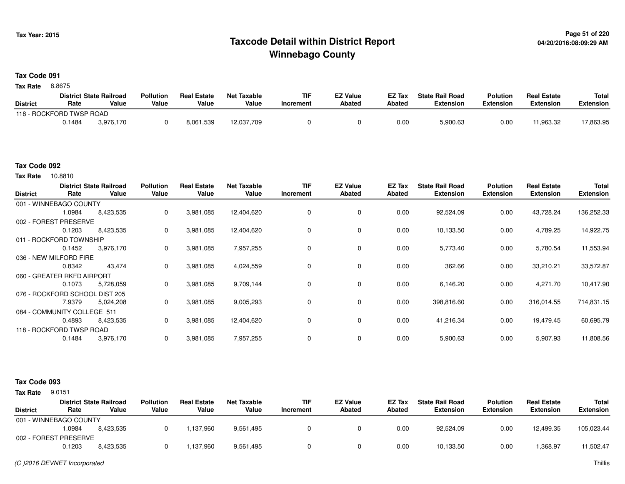## **Page 51 of 220 Taxcode Detail within District ReportWinnebago County**

#### **Tax Code 091**

8.8675 **Tax Rate**

|                          |        | <b>District State Railroad</b> | Pollution | <b>Real Estate</b> | <b>Net Taxable</b> | TIF       | <b>EZ Value</b> | <b>EZ Tax</b> | <b>State Rail Road</b> | <b>Polution</b>  | <b>Real Estate</b> | <b>Total</b> |
|--------------------------|--------|--------------------------------|-----------|--------------------|--------------------|-----------|-----------------|---------------|------------------------|------------------|--------------------|--------------|
| <b>District</b>          | Rate   | Value                          | Value     | Value              | Value              | Increment | <b>Abated</b>   | Abated        | <b>Extension</b>       | <b>Extension</b> | <b>Extension</b>   | Extension    |
| 118 - ROCKFORD TWSP ROAD |        |                                |           |                    |                    |           |                 |               |                        |                  |                    |              |
|                          | 0.1484 | 3.976.170                      |           | 8,061,539          | 12,037,709         |           |                 | 0.00          | 5,900.63               | 0.00             | 11,963.32          | 17,863.95    |

#### **Tax Code 092**

10.8810 **Tax Rate**

| <b>District</b>        | Rate                        | <b>District State Railroad</b><br>Value | <b>Pollution</b><br>Value | <b>Real Estate</b><br>Value | <b>Net Taxable</b><br>Value | <b>TIF</b><br>Increment | <b>EZ Value</b><br><b>Abated</b> | EZ Tax<br>Abated | <b>State Rail Road</b><br><b>Extension</b> | <b>Polution</b><br><b>Extension</b> | <b>Real Estate</b><br><b>Extension</b> | Total<br><b>Extension</b> |
|------------------------|-----------------------------|-----------------------------------------|---------------------------|-----------------------------|-----------------------------|-------------------------|----------------------------------|------------------|--------------------------------------------|-------------------------------------|----------------------------------------|---------------------------|
|                        | 001 - WINNEBAGO COUNTY      |                                         |                           |                             |                             |                         |                                  |                  |                                            |                                     |                                        |                           |
|                        | 1.0984                      | 8,423,535                               | 0                         | 3,981,085                   | 12,404,620                  | 0                       | 0                                | 0.00             | 92,524.09                                  | 0.00                                | 43,728.24                              | 136,252.33                |
| 002 - FOREST           | <b>PRESERVE</b>             |                                         |                           |                             |                             |                         |                                  |                  |                                            |                                     |                                        |                           |
|                        | 0.1203                      | 8,423,535                               | 0                         | 3,981,085                   | 12,404,620                  |                         | 0                                | 0.00             | 10,133.50                                  | 0.00                                | 4,789.25                               | 14,922.75                 |
|                        | 011 - ROCKFORD TOWNSHIP     |                                         |                           |                             |                             |                         |                                  |                  |                                            |                                     |                                        |                           |
|                        | 0.1452                      | 3,976,170                               | 0                         | 3,981,085                   | 7,957,255                   | $\Omega$                | 0                                | 0.00             | 5,773.40                                   | 0.00                                | 5,780.54                               | 11,553.94                 |
| 036 - NEW MILFORD FIRE |                             |                                         |                           |                             |                             |                         |                                  |                  |                                            |                                     |                                        |                           |
|                        | 0.8342                      | 43,474                                  | 0                         | 3,981,085                   | 4,024,559                   | 0                       | 0                                | 0.00             | 362.66                                     | 0.00                                | 33,210.21                              | 33,572.87                 |
|                        | 060 - GREATER RKFD AIRPORT  |                                         |                           |                             |                             |                         |                                  |                  |                                            |                                     |                                        |                           |
|                        | 0.1073                      | 5,728,059                               | 0                         | 3,981,085                   | 9,709,144                   | $\Omega$                | 0                                | 0.00             | 6,146.20                                   | 0.00                                | 4,271.70                               | 10,417.90                 |
|                        |                             | 076 - ROCKFORD SCHOOL DIST 205          |                           |                             |                             |                         |                                  |                  |                                            |                                     |                                        |                           |
|                        | 7.9379                      | 5,024,208                               | 0                         | 3,981,085                   | 9,005,293                   | $\Omega$                | 0                                | 0.00             | 398,816.60                                 | 0.00                                | 316,014.55                             | 714,831.15                |
|                        | 084 - COMMUNITY COLLEGE 511 |                                         |                           |                             |                             |                         |                                  |                  |                                            |                                     |                                        |                           |
|                        | 0.4893                      | 8,423,535                               | 0                         | 3,981,085                   | 12,404,620                  | 0                       | 0                                | 0.00             | 41,216.34                                  | 0.00                                | 19,479.45                              | 60,695.79                 |
|                        | 118 - ROCKFORD TWSP ROAD    |                                         |                           |                             |                             |                         |                                  |                  |                                            |                                     |                                        |                           |
|                        | 0.1484                      | 3,976,170                               | 0                         | 3,981,085                   | 7,957,255                   | 0                       | 0                                | 0.00             | 5,900.63                                   | 0.00                                | 5,907.93                               | 11,808.56                 |

#### **Tax Code 093**

**Tax Rate** 9.0151

|                        |        | <b>District State Railroad</b> | <b>Pollution</b> | <b>Real Estate</b> | Net Taxable | TIF       | <b>EZ Value</b> | EZ Tax | <b>State Rail Road</b> | Polution         | <b>Real Estate</b> | Total            |
|------------------------|--------|--------------------------------|------------------|--------------------|-------------|-----------|-----------------|--------|------------------------|------------------|--------------------|------------------|
| <b>District</b>        | Rate   | Value                          | Value            | Value              | Value       | Increment | Abated          | Abated | <b>Extension</b>       | <b>Extension</b> | <b>Extension</b>   | <b>Extension</b> |
| 001 - WINNEBAGO COUNTY |        |                                |                  |                    |             |           |                 |        |                        |                  |                    |                  |
|                        | .0984  | 8.423.535                      |                  | 137.960            | 9,561,495   |           |                 | 0.00   | 92.524.09              | 0.00             | 12,499.35          | 105,023.44       |
| 002 - FOREST PRESERVE  |        |                                |                  |                    |             |           |                 |        |                        |                  |                    |                  |
|                        | 0.1203 | 8,423,535                      |                  | ,137,960           | 9,561,495   |           |                 | 0.00   | 10,133.50              | 0.00             | 368.97. ا          | 11,502.47        |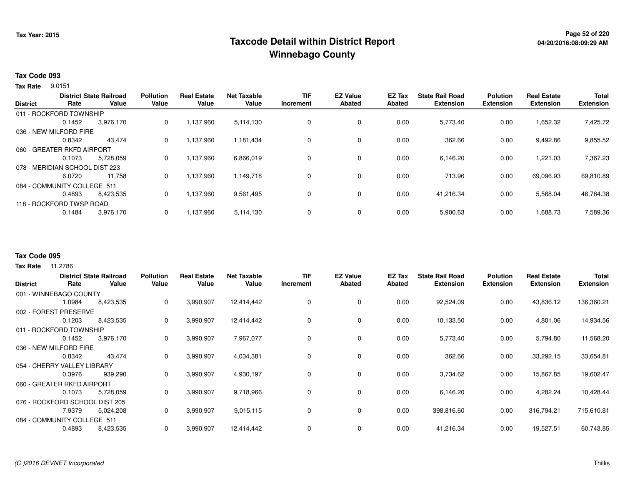## **Page 52 of 220 Taxcode Detail within District ReportWinnebago County**

#### **Tax Code 093**

**Tax Rate** 9.0151

| <b>District</b>                | Rate                     | <b>District State Railroad</b><br>Value | <b>Pollution</b><br>Value | <b>Real Estate</b><br>Value | <b>Net Taxable</b><br>Value | <b>TIF</b><br>Increment | <b>EZ Value</b><br><b>Abated</b> | <b>EZ Tax</b><br>Abated | <b>State Rail Road</b><br><b>Extension</b> | <b>Polution</b><br><b>Extension</b> | <b>Real Estate</b><br><b>Extension</b> | <b>Total</b><br><b>Extension</b> |
|--------------------------------|--------------------------|-----------------------------------------|---------------------------|-----------------------------|-----------------------------|-------------------------|----------------------------------|-------------------------|--------------------------------------------|-------------------------------------|----------------------------------------|----------------------------------|
|                                | 011 - ROCKFORD TOWNSHIP  |                                         |                           |                             |                             |                         |                                  |                         |                                            |                                     |                                        |                                  |
|                                | 0.1452                   | 3,976,170                               | 0                         | 1,137,960                   | 5,114,130                   | 0                       | 0                                | 0.00                    | 5,773.40                                   | 0.00                                | 1,652.32                               | 7,425.72                         |
| 036 - NEW MILFORD FIRE         |                          |                                         |                           |                             |                             |                         |                                  |                         |                                            |                                     |                                        |                                  |
|                                | 0.8342                   | 43.474                                  | 0                         | 1.137.960                   | 1,181,434                   | 0                       | 0                                | 0.00                    | 362.66                                     | 0.00                                | 9,492.86                               | 9,855.52                         |
| 060 - GREATER RKFD AIRPORT     |                          |                                         |                           |                             |                             |                         |                                  |                         |                                            |                                     |                                        |                                  |
|                                | 0.1073                   | 5,728,059                               | 0                         | 1,137,960                   | 6,866,019                   | 0                       | 0                                | 0.00                    | 6,146.20                                   | 0.00                                | 1,221.03                               | 7,367.23                         |
| 078 - MERIDIAN SCHOOL DIST 223 |                          |                                         |                           |                             |                             |                         |                                  |                         |                                            |                                     |                                        |                                  |
|                                | 6.0720                   | 11,758                                  | 0                         | 1,137,960                   | 1,149,718                   | 0                       | 0                                | 0.00                    | 713.96                                     | 0.00                                | 69,096.93                              | 69,810.89                        |
| 084 - COMMUNITY COLLEGE 511    |                          |                                         |                           |                             |                             |                         |                                  |                         |                                            |                                     |                                        |                                  |
|                                | 0.4893                   | 8.423.535                               | $\Omega$                  | 1,137,960                   | 9,561,495                   | 0                       | 0                                | 0.00                    | 41,216.34                                  | 0.00                                | 5,568.04                               | 46,784.38                        |
|                                | 118 - ROCKFORD TWSP ROAD |                                         |                           |                             |                             |                         |                                  |                         |                                            |                                     |                                        |                                  |
|                                | 0.1484                   | 3,976,170                               | 0                         | 1,137,960                   | 5,114,130                   | 0                       | 0                                | 0.00                    | 5,900.63                                   | 0.00                                | 1,688.73                               | 7,589.36                         |

#### **Tax Code 095**

| <b>District</b>        | Rate                        | <b>District State Railroad</b><br>Value | <b>Pollution</b><br>Value | <b>Real Estate</b><br>Value | <b>Net Taxable</b><br>Value | TIF<br>Increment | <b>EZ Value</b><br><b>Abated</b> | EZ Tax<br><b>Abated</b> | <b>State Rail Road</b><br><b>Extension</b> | <b>Polution</b><br><b>Extension</b> | <b>Real Estate</b><br><b>Extension</b> | <b>Total</b><br><b>Extension</b> |
|------------------------|-----------------------------|-----------------------------------------|---------------------------|-----------------------------|-----------------------------|------------------|----------------------------------|-------------------------|--------------------------------------------|-------------------------------------|----------------------------------------|----------------------------------|
|                        | 001 - WINNEBAGO COUNTY      |                                         |                           |                             |                             |                  |                                  |                         |                                            |                                     |                                        |                                  |
|                        | 1.0984                      | 8,423,535                               | 0                         | 3,990,907                   | 12,414,442                  |                  | $\mathbf 0$                      | 0.00                    | 92,524.09                                  | 0.00                                | 43,836.12                              | 136,360.21                       |
|                        | 002 - FOREST PRESERVE       |                                         |                           |                             |                             |                  |                                  |                         |                                            |                                     |                                        |                                  |
|                        | 0.1203                      | 8,423,535                               | 0                         | 3,990,907                   | 12,414,442                  |                  | 0                                | 0.00                    | 10,133.50                                  | 0.00                                | 4,801.06                               | 14,934.56                        |
|                        | 011 - ROCKFORD TOWNSHIP     |                                         |                           |                             |                             |                  |                                  |                         |                                            |                                     |                                        |                                  |
|                        | 0.1452                      | 3,976,170                               | 0                         | 3,990,907                   | 7,967,077                   |                  | 0                                | 0.00                    | 5,773.40                                   | 0.00                                | 5,794.80                               | 11,568.20                        |
| 036 - NEW MILFORD FIRE |                             |                                         |                           |                             |                             |                  |                                  |                         |                                            |                                     |                                        |                                  |
|                        | 0.8342                      | 43,474                                  | 0                         | 3,990,907                   | 4,034,381                   |                  | $\mathbf 0$                      | 0.00                    | 362.66                                     | 0.00                                | 33,292.15                              | 33,654.81                        |
|                        | 054 - CHERRY VALLEY LIBRARY |                                         |                           |                             |                             |                  |                                  |                         |                                            |                                     |                                        |                                  |
|                        | 0.3976                      | 939,290                                 | 0                         | 3,990,907                   | 4,930,197                   |                  | $\mathbf 0$                      | 0.00                    | 3,734.62                                   | 0.00                                | 15,867.85                              | 19,602.47                        |
|                        | 060 - GREATER RKFD AIRPORT  |                                         |                           |                             |                             |                  |                                  |                         |                                            |                                     |                                        |                                  |
|                        | 0.1073                      | 5,728,059                               | 0                         | 3,990,907                   | 9,718,966                   | 0                | 0                                | 0.00                    | 6,146.20                                   | 0.00                                | 4,282.24                               | 10,428.44                        |
|                        | 076 - ROCKFORD SCHOOL       | . DIST 205                              |                           |                             |                             |                  |                                  |                         |                                            |                                     |                                        |                                  |
|                        | 7.9379                      | 5,024,208                               | 0                         | 3,990,907                   | 9,015,115                   | 0                | 0                                | 0.00                    | 398,816.60                                 | 0.00                                | 316,794.21                             | 715,610.81                       |
|                        | 084 - COMMUNITY COLLEGE 511 |                                         |                           |                             |                             |                  |                                  |                         |                                            |                                     |                                        |                                  |
|                        | 0.4893                      | 8,423,535                               | 0                         | 3,990,907                   | 12,414,442                  |                  | 0                                | 0.00                    | 41,216.34                                  | 0.00                                | 19,527.51                              | 60,743.85                        |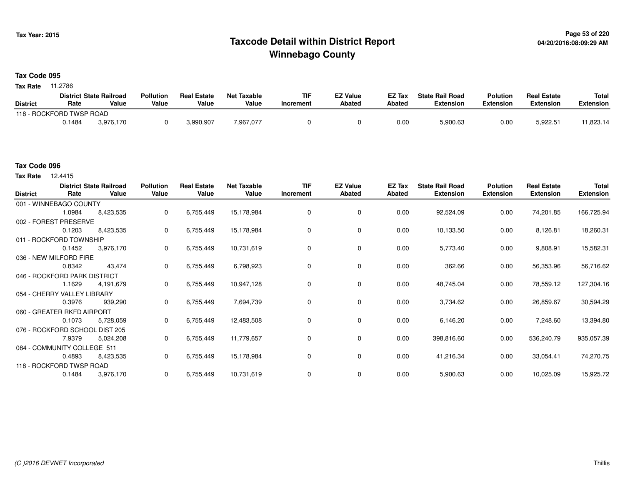## **Page 53 of 220 Taxcode Detail within District ReportWinnebago County**

### **Tax Code 095**

**Tax Rate** 11.2786

|                          |        | <b>District State Railroad</b> | <b>Pollution</b> | <b>Real Estate</b> | Net Taxable | TIF       | <b>EZ Value</b> | <b>EZ Tax</b> | <b>State Rail Road</b> | <b>Polution</b>  | <b>Real Estate</b> | <b>Total</b> |
|--------------------------|--------|--------------------------------|------------------|--------------------|-------------|-----------|-----------------|---------------|------------------------|------------------|--------------------|--------------|
| <b>District</b>          | Rate   | Value                          | Value            | Value              | Value       | Increment | <b>Abated</b>   | Abated        | <b>Extension</b>       | <b>Extension</b> | <b>Extension</b>   | Extension    |
| 118 - ROCKFORD TWSP ROAD |        |                                |                  |                    |             |           |                 |               |                        |                  |                    |              |
|                          | 0.1484 | 3.976.170                      |                  | 3,990,907          | 7,967,077   |           |                 | 0.00          | 5,900.63               | 0.00             | 5,922.51           | 1,823.14     |

12.4415 **Tax Rate**

| <b>District</b>              | Rate                           | <b>District State Railroad</b><br>Value | <b>Pollution</b><br>Value | <b>Real Estate</b><br>Value | <b>Net Taxable</b><br>Value | <b>TIF</b><br>Increment | <b>EZ Value</b><br>Abated | EZ Tax<br>Abated | <b>State Rail Road</b><br><b>Extension</b> | <b>Polution</b><br><b>Extension</b> | <b>Real Estate</b><br><b>Extension</b> | Total<br><b>Extension</b> |
|------------------------------|--------------------------------|-----------------------------------------|---------------------------|-----------------------------|-----------------------------|-------------------------|---------------------------|------------------|--------------------------------------------|-------------------------------------|----------------------------------------|---------------------------|
|                              | 001 - WINNEBAGO COUNTY         |                                         |                           |                             |                             |                         |                           |                  |                                            |                                     |                                        |                           |
|                              | 1.0984                         | 8,423,535                               | 0                         | 6,755,449                   | 15,178,984                  | 0                       | 0                         | 0.00             | 92,524.09                                  | 0.00                                | 74,201.85                              | 166,725.94                |
|                              | 002 - FOREST PRESERVE          |                                         |                           |                             |                             |                         |                           |                  |                                            |                                     |                                        |                           |
|                              | 0.1203                         | 8,423,535                               | 0                         | 6,755,449                   | 15,178,984                  | 0                       | 0                         | 0.00             | 10,133.50                                  | 0.00                                | 8,126.81                               | 18,260.31                 |
|                              | 011 - ROCKFORD TOWNSHIP        |                                         |                           |                             |                             |                         |                           |                  |                                            |                                     |                                        |                           |
|                              | 0.1452                         | 3,976,170                               | 0                         | 6,755,449                   | 10,731,619                  | 0                       | 0                         | 0.00             | 5,773.40                                   | 0.00                                | 9,808.91                               | 15,582.31                 |
|                              | 036 - NEW MILFORD FIRE         |                                         |                           |                             |                             |                         |                           |                  |                                            |                                     |                                        |                           |
|                              | 0.8342                         | 43,474                                  | 0                         | 6,755,449                   | 6,798,923                   | 0                       | 0                         | 0.00             | 362.66                                     | 0.00                                | 56,353.96                              | 56,716.62                 |
| 046 - ROCKFORD PARK DISTRICT |                                |                                         |                           |                             |                             |                         |                           |                  |                                            |                                     |                                        |                           |
|                              | 1.1629                         | 4,191,679                               | 0                         | 6,755,449                   | 10,947,128                  | 0                       | 0                         | 0.00             | 48,745.04                                  | 0.00                                | 78,559.12                              | 127,304.16                |
|                              | 054 - CHERRY VALLEY LIBRARY    |                                         |                           |                             |                             |                         |                           |                  |                                            |                                     |                                        |                           |
|                              | 0.3976                         | 939,290                                 | 0                         | 6,755,449                   | 7,694,739                   | 0                       | 0                         | 0.00             | 3,734.62                                   | 0.00                                | 26,859.67                              | 30,594.29                 |
|                              | 060 - GREATER RKFD AIRPORT     |                                         |                           |                             |                             |                         |                           |                  |                                            |                                     |                                        |                           |
|                              | 0.1073                         | 5,728,059                               | 0                         | 6,755,449                   | 12,483,508                  | 0                       | 0                         | 0.00             | 6,146.20                                   | 0.00                                | 7,248.60                               | 13,394.80                 |
|                              | 076 - ROCKFORD SCHOOL DIST 205 |                                         |                           |                             |                             |                         |                           |                  |                                            |                                     |                                        |                           |
|                              | 7.9379                         | 5,024,208                               | $\Omega$                  | 6,755,449                   | 11,779,657                  | 0                       | 0                         | 0.00             | 398,816.60                                 | 0.00                                | 536,240.79                             | 935,057.39                |
|                              | 084 - COMMUNITY COLLEGE 511    |                                         |                           |                             |                             |                         |                           |                  |                                            |                                     |                                        |                           |
|                              | 0.4893                         | 8,423,535                               | 0                         | 6,755,449                   | 15,178,984                  | 0                       | 0                         | 0.00             | 41,216.34                                  | 0.00                                | 33,054.41                              | 74,270.75                 |
|                              | 118 - ROCKFORD TWSP ROAD       |                                         |                           |                             |                             |                         |                           |                  |                                            |                                     |                                        |                           |
|                              | 0.1484                         | 3,976,170                               | 0                         | 6,755,449                   | 10,731,619                  | 0                       | 0                         | 0.00             | 5,900.63                                   | 0.00                                | 10,025.09                              | 15,925.72                 |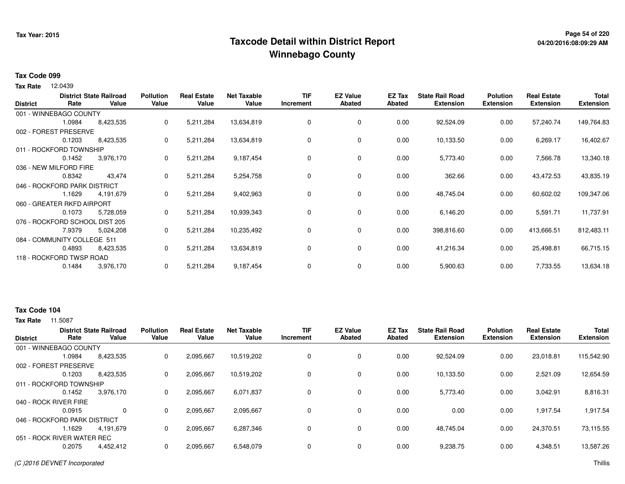## **Page 54 of 220 Taxcode Detail within District ReportWinnebago County**

# **04/20/2016:08:09:29 AM**

#### **Tax Code 099**

**Tax Rate** 12.0439

| <b>District</b> | Rate                           | <b>District State Railroad</b><br>Value | <b>Pollution</b><br>Value | <b>Real Estate</b><br>Value | <b>Net Taxable</b><br>Value | <b>TIF</b><br>Increment | <b>EZ Value</b><br>Abated | EZ Tax<br>Abated | <b>State Rail Road</b><br><b>Extension</b> | <b>Polution</b><br><b>Extension</b> | <b>Real Estate</b><br><b>Extension</b> | <b>Total</b><br><b>Extension</b> |
|-----------------|--------------------------------|-----------------------------------------|---------------------------|-----------------------------|-----------------------------|-------------------------|---------------------------|------------------|--------------------------------------------|-------------------------------------|----------------------------------------|----------------------------------|
|                 | 001 - WINNEBAGO COUNTY         |                                         |                           |                             |                             |                         |                           |                  |                                            |                                     |                                        |                                  |
|                 | 1.0984                         | 8,423,535                               | 0                         | 5,211,284                   | 13,634,819                  | 0                       | 0                         | 0.00             | 92,524.09                                  | 0.00                                | 57,240.74                              | 149,764.83                       |
|                 | 002 - FOREST PRESERVE          |                                         |                           |                             |                             |                         |                           |                  |                                            |                                     |                                        |                                  |
|                 | 0.1203                         | 8,423,535                               | 0                         | 5,211,284                   | 13,634,819                  | 0                       | 0                         | 0.00             | 10,133.50                                  | 0.00                                | 6,269.17                               | 16,402.67                        |
|                 | 011 - ROCKFORD TOWNSHIP        |                                         |                           |                             |                             |                         |                           |                  |                                            |                                     |                                        |                                  |
|                 | 0.1452                         | 3,976,170                               | 0                         | 5,211,284                   | 9,187,454                   | 0                       | 0                         | 0.00             | 5,773.40                                   | 0.00                                | 7,566.78                               | 13,340.18                        |
|                 | 036 - NEW MILFORD FIRE         |                                         |                           |                             |                             |                         |                           |                  |                                            |                                     |                                        |                                  |
|                 | 0.8342                         | 43,474                                  | 0                         | 5,211,284                   | 5,254,758                   | 0                       | 0                         | 0.00             | 362.66                                     | 0.00                                | 43,472.53                              | 43,835.19                        |
|                 | 046 - ROCKFORD PARK DISTRICT   |                                         |                           |                             |                             |                         |                           |                  |                                            |                                     |                                        |                                  |
|                 | 1.1629                         | 4,191,679                               | 0                         | 5,211,284                   | 9,402,963                   | 0                       | 0                         | 0.00             | 48,745.04                                  | 0.00                                | 60,602.02                              | 109,347.06                       |
|                 | 060 - GREATER RKFD AIRPORT     |                                         |                           |                             |                             |                         |                           |                  |                                            |                                     |                                        |                                  |
|                 | 0.1073                         | 5,728,059                               | 0                         | 5,211,284                   | 10,939,343                  | 0                       | 0                         | 0.00             | 6,146.20                                   | 0.00                                | 5,591.71                               | 11,737.91                        |
|                 | 076 - ROCKFORD SCHOOL DIST 205 |                                         |                           |                             |                             |                         |                           |                  |                                            |                                     |                                        |                                  |
|                 | 7.9379                         | 5,024,208                               | 0                         | 5,211,284                   | 10,235,492                  | 0                       | 0                         | 0.00             | 398,816.60                                 | 0.00                                | 413,666.51                             | 812,483.11                       |
|                 | 084 - COMMUNITY COLLEGE 511    |                                         |                           |                             |                             |                         |                           |                  |                                            |                                     |                                        |                                  |
|                 | 0.4893                         | 8,423,535                               | 0                         | 5,211,284                   | 13,634,819                  | 0                       | 0                         | 0.00             | 41,216.34                                  | 0.00                                | 25,498.81                              | 66,715.15                        |
|                 | 118 - ROCKFORD TWSP ROAD       |                                         |                           |                             |                             |                         |                           |                  |                                            |                                     |                                        |                                  |
|                 | 0.1484                         | 3,976,170                               | 0                         | 5,211,284                   | 9,187,454                   | 0                       | 0                         | 0.00             | 5,900.63                                   | 0.00                                | 7,733.55                               | 13,634.18                        |

#### **Tax Code 104**

| <b>District</b> | Rate                         | <b>District State Railroad</b><br>Value | <b>Pollution</b><br>Value | <b>Real Estate</b><br>Value | <b>Net Taxable</b><br>Value | TIF<br>Increment | <b>EZ Value</b><br><b>Abated</b> | EZ Tax<br><b>Abated</b> | <b>State Rail Road</b><br><b>Extension</b> | Polution<br><b>Extension</b> | <b>Real Estate</b><br><b>Extension</b> | <b>Total</b><br><b>Extension</b> |
|-----------------|------------------------------|-----------------------------------------|---------------------------|-----------------------------|-----------------------------|------------------|----------------------------------|-------------------------|--------------------------------------------|------------------------------|----------------------------------------|----------------------------------|
|                 |                              |                                         |                           |                             |                             |                  |                                  |                         |                                            |                              |                                        |                                  |
|                 | 001 - WINNEBAGO COUNTY       |                                         |                           |                             |                             |                  |                                  |                         |                                            |                              |                                        |                                  |
|                 | 1.0984                       | 8,423,535                               | 0                         | 2,095,667                   | 10,519,202                  |                  | $\mathbf 0$                      | 0.00                    | 92.524.09                                  | 0.00                         | 23,018.81                              | 115,542.90                       |
|                 | 002 - FOREST PRESERVE        |                                         |                           |                             |                             |                  |                                  |                         |                                            |                              |                                        |                                  |
|                 | 0.1203                       | 8,423,535                               | 0                         | 2,095,667                   | 10,519,202                  |                  | $\mathbf 0$                      | 0.00                    | 10,133.50                                  | 0.00                         | 2,521.09                               | 12,654.59                        |
|                 | 011 - ROCKFORD TOWNSHIP      |                                         |                           |                             |                             |                  |                                  |                         |                                            |                              |                                        |                                  |
|                 | 0.1452                       | 3,976,170                               | 0                         | 2,095,667                   | 6,071,837                   |                  | 0                                | 0.00                    | 5,773.40                                   | 0.00                         | 3,042.91                               | 8,816.31                         |
|                 | 040 - ROCK RIVER FIRE        |                                         |                           |                             |                             |                  |                                  |                         |                                            |                              |                                        |                                  |
|                 | 0.0915                       | 0                                       | $\Omega$                  | 2,095,667                   | 2,095,667                   |                  | $\mathbf 0$                      | 0.00                    | 0.00                                       | 0.00                         | 1,917.54                               | 1,917.54                         |
|                 | 046 - ROCKFORD PARK DISTRICT |                                         |                           |                             |                             |                  |                                  |                         |                                            |                              |                                        |                                  |
|                 | .1629                        | 4.191.679                               | 0                         | 2,095,667                   | 6,287,346                   |                  | $\mathbf 0$                      | 0.00                    | 48.745.04                                  | 0.00                         | 24.370.51                              | 73,115.55                        |
|                 | 051 - ROCK RIVER WATER REC   |                                         |                           |                             |                             |                  |                                  |                         |                                            |                              |                                        |                                  |
|                 | 0.2075                       | 4,452,412                               | 0                         | 2,095,667                   | 6,548,079                   |                  | $\mathbf 0$                      | 0.00                    | 9,238.75                                   | 0.00                         | 4,348.51                               | 13,587.26                        |
|                 |                              |                                         |                           |                             |                             |                  |                                  |                         |                                            |                              |                                        |                                  |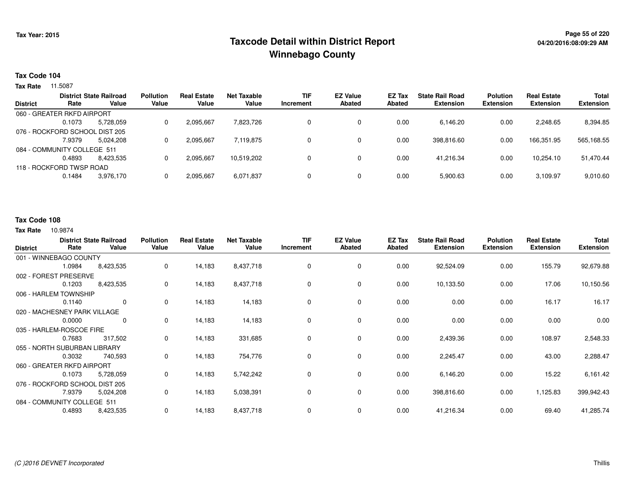## **Page 55 of 220 Taxcode Detail within District ReportWinnebago County**

#### **Tax Code 104**

**Tax Rate** 11.5087

|                 |                                | <b>District State Railroad</b> | <b>Pollution</b> | <b>Real Estate</b> | <b>Net Taxable</b> | TIF       | <b>EZ Value</b> | EZ Tax | <b>State Rail Road</b> | <b>Polution</b> | <b>Real Estate</b> | Total            |
|-----------------|--------------------------------|--------------------------------|------------------|--------------------|--------------------|-----------|-----------------|--------|------------------------|-----------------|--------------------|------------------|
| <b>District</b> | Rate                           | Value                          | Value            | Value              | Value              | Increment | <b>Abated</b>   | Abated | <b>Extension</b>       | Extension       | <b>Extension</b>   | <b>Extension</b> |
|                 | 060 - GREATER RKFD AIRPORT     |                                |                  |                    |                    |           |                 |        |                        |                 |                    |                  |
|                 | 0.1073                         | 5,728,059                      |                  | 2,095,667          | 7,823,726          |           | 0               | 0.00   | 6.146.20               | 0.00            | 2,248.65           | 8,394.85         |
|                 | 076 - ROCKFORD SCHOOL DIST 205 |                                |                  |                    |                    |           |                 |        |                        |                 |                    |                  |
|                 | 7.9379                         | 5,024,208                      |                  | 2,095,667          | 7.119.875          |           | 0               | 0.00   | 398,816.60             | 0.00            | 166,351.95         | 565,168.55       |
|                 | 084 - COMMUNITY COLLEGE 511    |                                |                  |                    |                    |           |                 |        |                        |                 |                    |                  |
|                 | 0.4893                         | 8.423.535                      |                  | 2.095.667          | 10.519.202         |           | 0               | 0.00   | 41.216.34              | 0.00            | 10.254.10          | 51,470.44        |
|                 | 118 - ROCKFORD TWSP ROAD       |                                |                  |                    |                    |           |                 |        |                        |                 |                    |                  |
|                 | 0.1484                         | 3,976,170                      |                  | 2,095,667          | 6,071,837          |           | 0               | 0.00   | 5,900.63               | 0.00            | 3,109.97           | 9,010.60         |

#### **Tax Code 108**

| <b>District</b>          | Rate                           | <b>District State Railroad</b><br>Value | <b>Pollution</b><br>Value | <b>Real Estate</b><br>Value | <b>Net Taxable</b><br>Value | <b>TIF</b><br><b>Increment</b> | <b>EZ Value</b><br><b>Abated</b> | <b>EZ Tax</b><br><b>Abated</b> | <b>State Rail Road</b><br><b>Extension</b> | <b>Polution</b><br><b>Extension</b> | <b>Real Estate</b><br><b>Extension</b> | <b>Total</b><br><b>Extension</b> |
|--------------------------|--------------------------------|-----------------------------------------|---------------------------|-----------------------------|-----------------------------|--------------------------------|----------------------------------|--------------------------------|--------------------------------------------|-------------------------------------|----------------------------------------|----------------------------------|
| 001 - WINNEBAGO COUNTY   |                                |                                         |                           |                             |                             |                                |                                  |                                |                                            |                                     |                                        |                                  |
|                          | 1.0984                         | 8,423,535                               | 0                         | 14,183                      | 8,437,718                   | 0                              | 0                                | 0.00                           | 92,524.09                                  | 0.00                                | 155.79                                 | 92,679.88                        |
|                          | 002 - FOREST PRESERVE          |                                         |                           |                             |                             |                                |                                  |                                |                                            |                                     |                                        |                                  |
|                          | 0.1203                         | 8,423,535                               | 0                         | 14,183                      | 8,437,718                   | 0                              | 0                                | 0.00                           | 10,133.50                                  | 0.00                                | 17.06                                  | 10,150.56                        |
|                          | 006 - HARLEM TOWNSHIP          |                                         |                           |                             |                             |                                |                                  |                                |                                            |                                     |                                        |                                  |
|                          | 0.1140                         | 0                                       | 0                         | 14,183                      | 14,183                      | 0                              | 0                                | 0.00                           | 0.00                                       | 0.00                                | 16.17                                  | 16.17                            |
|                          | 020 - MACHESNEY PARK VILLAGE   |                                         |                           |                             |                             |                                |                                  |                                |                                            |                                     |                                        |                                  |
|                          | 0.0000                         | 0                                       | $\mathbf 0$               | 14,183                      | 14,183                      | 0                              | $\mathbf 0$                      | 0.00                           | 0.00                                       | 0.00                                | 0.00                                   | 0.00                             |
| 035 - HARLEM-ROSCOE FIRE |                                |                                         |                           |                             |                             |                                |                                  |                                |                                            |                                     |                                        |                                  |
|                          | 0.7683                         | 317,502                                 | 0                         | 14,183                      | 331,685                     | 0                              | 0                                | 0.00                           | 2,439.36                                   | 0.00                                | 108.97                                 | 2,548.33                         |
|                          | 055 - NORTH SUBURBAN LIBRARY   |                                         |                           |                             |                             |                                |                                  |                                |                                            |                                     |                                        |                                  |
|                          | 0.3032                         | 740,593                                 | 0                         | 14,183                      | 754,776                     | 0                              | 0                                | 0.00                           | 2,245.47                                   | 0.00                                | 43.00                                  | 2,288.47                         |
|                          | 060 - GREATER RKFD AIRPORT     |                                         |                           |                             |                             |                                |                                  |                                |                                            |                                     |                                        |                                  |
|                          | 0.1073                         | 5,728,059                               | 0                         | 14,183                      | 5,742,242                   | 0                              | 0                                | 0.00                           | 6,146.20                                   | 0.00                                | 15.22                                  | 6,161.42                         |
|                          | 076 - ROCKFORD SCHOOL DIST 205 |                                         |                           |                             |                             |                                |                                  |                                |                                            |                                     |                                        |                                  |
|                          | 7.9379                         | 5,024,208                               | 0                         | 14,183                      | 5,038,391                   | 0                              | 0                                | 0.00                           | 398,816.60                                 | 0.00                                | 1,125.83                               | 399,942.43                       |
|                          | 084 - COMMUNITY COLLEGE 511    |                                         |                           |                             |                             |                                |                                  |                                |                                            |                                     |                                        |                                  |
|                          | 0.4893                         | 8,423,535                               | 0                         | 14,183                      | 8,437,718                   | 0                              | 0                                | 0.00                           | 41,216.34                                  | 0.00                                | 69.40                                  | 41,285.74                        |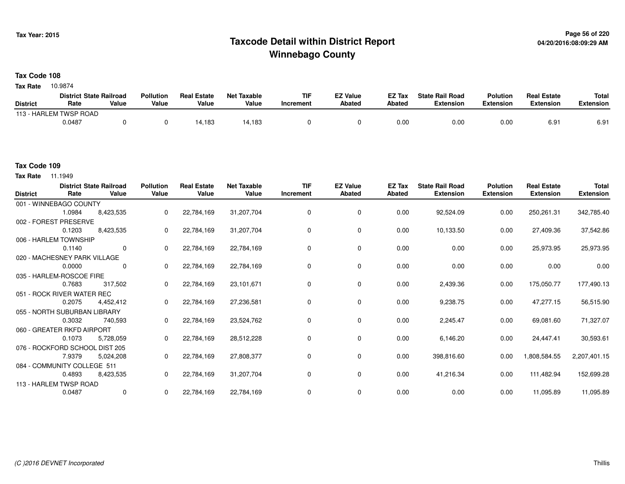## **Page 56 of 220 Taxcode Detail within District ReportWinnebago County**

### **Tax Code 108**

10.9874 **Tax Rate**

|                 | <b>District State Railroad</b> |       | <b>Pollution</b> | <b>Real Estate</b> | <b>Net Taxable</b> | TIF       | <b>EZ Value</b> | <b>EZ Tax</b> | <b>State Rail Road</b> | <b>Polution</b>  | <b>Real Estate</b> | <b>Total</b> |
|-----------------|--------------------------------|-------|------------------|--------------------|--------------------|-----------|-----------------|---------------|------------------------|------------------|--------------------|--------------|
| <b>District</b> | Rate                           | Value | Value            | Value              | Value              | Increment | <b>Abated</b>   | Abated        | <b>Extension</b>       | <b>Extension</b> | <b>Extension</b>   | Extension    |
|                 | 113 - HARLEM TWSP ROAD         |       |                  |                    |                    |           |                 |               |                        |                  |                    |              |
|                 | 0.0487                         |       |                  | 14,183             | 4,183              |           |                 | 0.00          | 0.00                   | 0.00             | 6.91               | 6.91         |

**Tax Rate** 11.1949

| <b>District</b> | Rate                           | <b>District State Railroad</b><br>Value | <b>Pollution</b><br>Value | <b>Real Estate</b><br>Value | <b>Net Taxable</b><br>Value | <b>TIF</b><br>Increment | <b>EZ Value</b><br><b>Abated</b> | EZ Tax<br>Abated | <b>State Rail Road</b><br><b>Extension</b> | <b>Polution</b><br><b>Extension</b> | <b>Real Estate</b><br><b>Extension</b> | <b>Total</b><br><b>Extension</b> |
|-----------------|--------------------------------|-----------------------------------------|---------------------------|-----------------------------|-----------------------------|-------------------------|----------------------------------|------------------|--------------------------------------------|-------------------------------------|----------------------------------------|----------------------------------|
|                 | 001 - WINNEBAGO COUNTY         |                                         |                           |                             |                             |                         |                                  |                  |                                            |                                     |                                        |                                  |
|                 | 1.0984                         | 8,423,535                               | 0                         | 22,784,169                  | 31,207,704                  | $\mathbf 0$             | 0                                | 0.00             | 92,524.09                                  | 0.00                                | 250,261.31                             | 342,785.40                       |
|                 | 002 - FOREST PRESERVE          |                                         |                           |                             |                             |                         |                                  |                  |                                            |                                     |                                        |                                  |
|                 | 0.1203                         | 8,423,535                               | 0                         | 22,784,169                  | 31,207,704                  | 0                       | 0                                | 0.00             | 10,133.50                                  | 0.00                                | 27,409.36                              | 37,542.86                        |
|                 | 006 - HARLEM TOWNSHIP          |                                         |                           |                             |                             |                         |                                  |                  |                                            |                                     |                                        |                                  |
|                 | 0.1140                         | $\mathbf 0$                             | $\Omega$                  | 22,784,169                  | 22,784,169                  | 0                       | 0                                | 0.00             | 0.00                                       | 0.00                                | 25,973.95                              | 25,973.95                        |
|                 | 020 - MACHESNEY PARK VILLAGE   |                                         |                           |                             |                             |                         |                                  |                  |                                            |                                     |                                        |                                  |
|                 | 0.0000                         | 0                                       | $\Omega$                  | 22,784,169                  | 22,784,169                  | 0                       | 0                                | 0.00             | 0.00                                       | 0.00                                | 0.00                                   | 0.00                             |
|                 | 035 - HARLEM-ROSCOE FIRE       |                                         |                           |                             |                             |                         |                                  |                  |                                            |                                     |                                        |                                  |
|                 | 0.7683                         | 317,502                                 | 0                         | 22,784,169                  | 23,101,671                  | 0                       | 0                                | 0.00             | 2,439.36                                   | 0.00                                | 175,050.77                             | 177,490.13                       |
|                 | 051 - ROCK RIVER WATER REC     |                                         |                           |                             |                             |                         |                                  |                  |                                            |                                     |                                        |                                  |
|                 | 0.2075                         | 4,452,412                               | 0                         | 22,784,169                  | 27,236,581                  | 0                       | 0                                | 0.00             | 9,238.75                                   | 0.00                                | 47,277.15                              | 56,515.90                        |
|                 | 055 - NORTH SUBURBAN LIBRARY   |                                         |                           |                             |                             |                         |                                  |                  |                                            |                                     |                                        |                                  |
|                 | 0.3032                         | 740,593                                 | 0                         | 22,784,169                  | 23,524,762                  | 0                       | 0                                | 0.00             | 2,245.47                                   | 0.00                                | 69,081.60                              | 71,327.07                        |
|                 | 060 - GREATER RKFD AIRPORT     |                                         |                           |                             |                             |                         |                                  |                  |                                            |                                     |                                        |                                  |
|                 | 0.1073                         | 5,728,059                               | 0                         | 22,784,169                  | 28,512,228                  | 0                       | 0                                | 0.00             | 6,146.20                                   | 0.00                                | 24,447.41                              | 30,593.61                        |
|                 | 076 - ROCKFORD SCHOOL DIST 205 |                                         |                           |                             |                             |                         |                                  |                  |                                            |                                     |                                        |                                  |
|                 | 7.9379                         | 5,024,208                               | 0                         | 22,784,169                  | 27,808,377                  | 0                       | 0                                | 0.00             | 398,816.60                                 | 0.00                                | 1,808,584.55                           | 2,207,401.15                     |
|                 | 084 - COMMUNITY COLLEGE 511    |                                         |                           |                             |                             |                         |                                  |                  |                                            |                                     |                                        |                                  |
|                 | 0.4893                         | 8,423,535                               | 0                         | 22,784,169                  | 31,207,704                  | 0                       | 0                                | 0.00             | 41,216.34                                  | 0.00                                | 111,482.94                             | 152,699.28                       |
|                 | 113 - HARLEM TWSP ROAD         |                                         |                           |                             |                             |                         |                                  |                  |                                            |                                     |                                        |                                  |
|                 | 0.0487                         | 0                                       | 0                         | 22,784,169                  | 22,784,169                  | 0                       | 0                                | 0.00             | 0.00                                       | 0.00                                | 11,095.89                              | 11,095.89                        |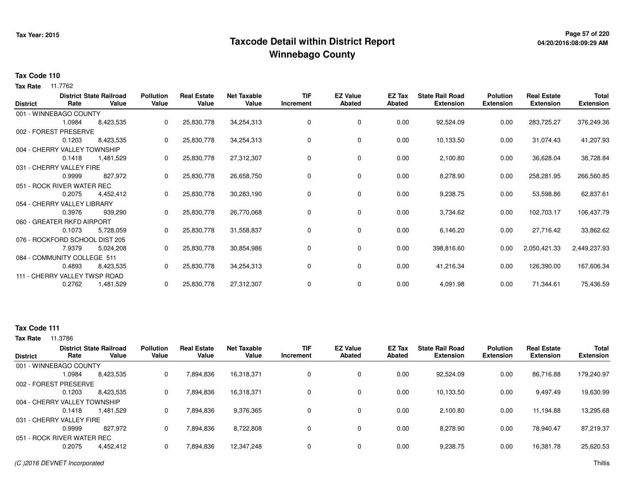## **Page 57 of 220 Taxcode Detail within District ReportWinnebago County**

# **04/20/2016:08:09:29 AM**

#### **Tax Code 110**

**Tax Rate** 11.7762

| <b>District</b> | Rate                           | <b>District State Railroad</b><br>Value | <b>Pollution</b><br>Value | <b>Real Estate</b><br>Value | <b>Net Taxable</b><br>Value | <b>TIF</b><br>Increment | <b>EZ Value</b><br><b>Abated</b> | EZ Tax<br>Abated | <b>State Rail Road</b><br><b>Extension</b> | <b>Polution</b><br><b>Extension</b> | <b>Real Estate</b><br><b>Extension</b> | <b>Total</b><br><b>Extension</b> |
|-----------------|--------------------------------|-----------------------------------------|---------------------------|-----------------------------|-----------------------------|-------------------------|----------------------------------|------------------|--------------------------------------------|-------------------------------------|----------------------------------------|----------------------------------|
|                 | 001 - WINNEBAGO COUNTY         |                                         |                           |                             |                             |                         |                                  |                  |                                            |                                     |                                        |                                  |
|                 | 1.0984                         | 8,423,535                               | 0                         | 25,830,778                  | 34,254,313                  | 0                       | 0                                | 0.00             | 92,524.09                                  | 0.00                                | 283,725.27                             | 376,249.36                       |
|                 | 002 - FOREST PRESERVE          |                                         |                           |                             |                             |                         |                                  |                  |                                            |                                     |                                        |                                  |
|                 | 0.1203                         | 8,423,535                               | 0                         | 25,830,778                  | 34,254,313                  | 0                       | 0                                | 0.00             | 10,133.50                                  | 0.00                                | 31,074.43                              | 41,207.93                        |
|                 | 004 - CHERRY VALLEY TOWNSHIP   |                                         |                           |                             |                             |                         |                                  |                  |                                            |                                     |                                        |                                  |
|                 | 0.1418                         | 1,481,529                               | 0                         | 25,830,778                  | 27,312,307                  | 0                       | 0                                | 0.00             | 2,100.80                                   | 0.00                                | 36,628.04                              | 38,728.84                        |
|                 | 031 - CHERRY VALLEY FIRE       |                                         |                           |                             |                             |                         |                                  |                  |                                            |                                     |                                        |                                  |
|                 | 0.9999                         | 827,972                                 | 0                         | 25,830,778                  | 26,658,750                  | 0                       | 0                                | 0.00             | 8,278.90                                   | 0.00                                | 258,281.95                             | 266,560.85                       |
|                 | 051 - ROCK RIVER WATER REC     |                                         |                           |                             |                             |                         |                                  |                  |                                            |                                     |                                        |                                  |
|                 | 0.2075                         | 4,452,412                               | 0                         | 25,830,778                  | 30,283,190                  | 0                       | 0                                | 0.00             | 9,238.75                                   | 0.00                                | 53,598.86                              | 62,837.61                        |
|                 | 054 - CHERRY VALLEY LIBRARY    |                                         |                           |                             |                             |                         |                                  |                  |                                            |                                     |                                        |                                  |
|                 | 0.3976                         | 939,290                                 | 0                         | 25,830,778                  | 26,770,068                  | 0                       | 0                                | 0.00             | 3,734.62                                   | 0.00                                | 102,703.17                             | 106,437.79                       |
|                 | 060 - GREATER RKFD AIRPORT     |                                         |                           |                             |                             |                         |                                  |                  |                                            |                                     |                                        |                                  |
|                 | 0.1073                         | 5,728,059                               | 0                         | 25,830,778                  | 31,558,837                  | 0                       | 0                                | 0.00             | 6,146.20                                   | 0.00                                | 27,716.42                              | 33,862.62                        |
|                 | 076 - ROCKFORD SCHOOL DIST 205 |                                         |                           |                             |                             |                         |                                  |                  |                                            |                                     |                                        |                                  |
|                 | 7.9379                         | 5,024,208                               | 0                         | 25,830,778                  | 30,854,986                  | 0                       | 0                                | 0.00             | 398,816.60                                 | 0.00                                | 2,050,421.33                           | 2,449,237.93                     |
|                 | 084 - COMMUNITY COLLEGE 511    |                                         |                           |                             |                             |                         |                                  |                  |                                            |                                     |                                        |                                  |
|                 | 0.4893                         | 8,423,535                               | 0                         | 25,830,778                  | 34,254,313                  | 0                       | 0                                | 0.00             | 41,216.34                                  | 0.00                                | 126,390.00                             | 167,606.34                       |
|                 | 111 - CHERRY VALLEY TWSP ROAD  |                                         |                           |                             |                             |                         |                                  |                  |                                            |                                     |                                        |                                  |
|                 | 0.2762                         | 1,481,529                               | 0                         | 25,830,778                  | 27,312,307                  | 0                       | 0                                | 0.00             | 4,091.98                                   | 0.00                                | 71,344.61                              | 75,436.59                        |

#### **Tax Code 111**

| <b>District</b>              | Rate   | <b>District State Railroad</b><br>Value | <b>Pollution</b><br>Value | <b>Real Estate</b><br>Value | <b>Net Taxable</b><br>Value | <b>TIF</b><br>Increment | <b>EZ Value</b><br>Abated | <b>EZ Tax</b><br>Abated | <b>State Rail Road</b><br><b>Extension</b> | <b>Polution</b><br><b>Extension</b> | <b>Real Estate</b><br><b>Extension</b> | <b>Total</b><br><b>Extension</b> |
|------------------------------|--------|-----------------------------------------|---------------------------|-----------------------------|-----------------------------|-------------------------|---------------------------|-------------------------|--------------------------------------------|-------------------------------------|----------------------------------------|----------------------------------|
| 001 - WINNEBAGO COUNTY       |        |                                         |                           |                             |                             |                         |                           |                         |                                            |                                     |                                        |                                  |
|                              | 1.0984 | 8,423,535                               | 0                         | 7,894,836                   | 16,318,371                  | 0                       | 0                         | 0.00                    | 92,524.09                                  | 0.00                                | 86,716.88                              | 179,240.97                       |
| 002 - FOREST PRESERVE        |        |                                         |                           |                             |                             |                         |                           |                         |                                            |                                     |                                        |                                  |
|                              | 0.1203 | 8,423,535                               | 0                         | 7,894,836                   | 16,318,371                  | 0                       | 0                         | 0.00                    | 10,133.50                                  | 0.00                                | 9,497.49                               | 19,630.99                        |
| 004 - CHERRY VALLEY TOWNSHIP |        |                                         |                           |                             |                             |                         |                           |                         |                                            |                                     |                                        |                                  |
|                              | 0.1418 | 1.481.529                               | 0                         | 7,894,836                   | 9,376,365                   | 0                       | 0                         | 0.00                    | 2,100.80                                   | 0.00                                | 11,194.88                              | 13,295.68                        |
| 031 - CHERRY VALLEY FIRE     |        |                                         |                           |                             |                             |                         |                           |                         |                                            |                                     |                                        |                                  |
|                              | 0.9999 | 827.972                                 | 0                         | 7,894,836                   | 8.722.808                   | 0                       | 0                         | 0.00                    | 8.278.90                                   | 0.00                                | 78.940.47                              | 87,219.37                        |
| 051 - ROCK RIVER WATER REC   |        |                                         |                           |                             |                             |                         |                           |                         |                                            |                                     |                                        |                                  |
|                              | 0.2075 | 4,452,412                               | $\Omega$                  | 7,894,836                   | 12,347,248                  | 0                       | 0                         | 0.00                    | 9,238.75                                   | 0.00                                | 16,381.78                              | 25,620.53                        |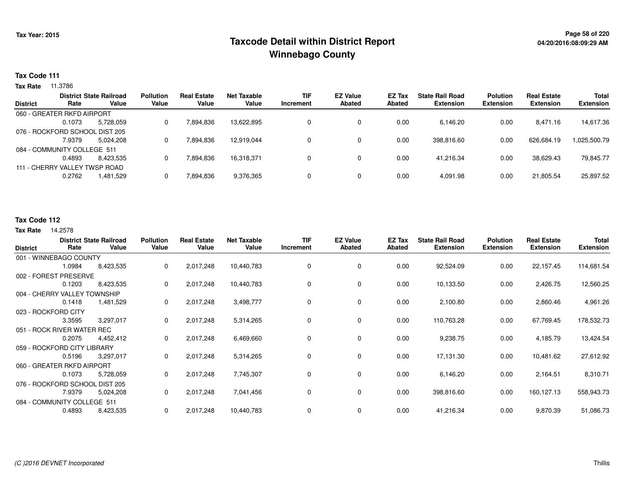## **Page 58 of 220 Taxcode Detail within District ReportWinnebago County**

#### **Tax Code 111**

**Tax Rate** 11.3786

|        |           | <b>Pollution</b>                                                                                                                                               | <b>Real Estate</b> | Net Taxable | <b>TIF</b> | <b>EZ Value</b> | <b>EZ Tax</b> | <b>State Rail Road</b> | <b>Polution</b>  | <b>Real Estate</b> | <b>Total</b>     |
|--------|-----------|----------------------------------------------------------------------------------------------------------------------------------------------------------------|--------------------|-------------|------------|-----------------|---------------|------------------------|------------------|--------------------|------------------|
| Rate   | Value     | Value                                                                                                                                                          | Value              | Value       | Increment  | <b>Abated</b>   | Abated        | <b>Extension</b>       | <b>Extension</b> | <b>Extension</b>   | <b>Extension</b> |
|        |           |                                                                                                                                                                |                    |             |            |                 |               |                        |                  |                    |                  |
| 0.1073 | 5.728.059 | 0                                                                                                                                                              | 7,894,836          | 13.622.895  |            | 0               | 0.00          | 6,146.20               | 0.00             | 8,471.16           | 14,617.36        |
|        |           |                                                                                                                                                                |                    |             |            |                 |               |                        |                  |                    |                  |
| 7.9379 | 5.024.208 | 0                                                                                                                                                              | 7,894,836          | 12,919,044  |            | 0               | 0.00          | 398,816.60             | 0.00             | 626,684.19         | 1,025,500.79     |
|        |           |                                                                                                                                                                |                    |             |            |                 |               |                        |                  |                    |                  |
| 0.4893 | 8.423.535 | 0                                                                                                                                                              | 7,894,836          | 16.318.371  |            | 0               | 0.00          | 41.216.34              | 0.00             | 38.629.43          | 79,845.77        |
|        |           |                                                                                                                                                                |                    |             |            |                 |               |                        |                  |                    |                  |
| 0.2762 | 1,481,529 | 0                                                                                                                                                              | 7,894,836          | 9,376,365   |            | 0               | 0.00          | 4,091.98               | 0.00             | 21,805.54          | 25,897.52        |
|        |           | <b>District State Railroad</b><br>060 - GREATER RKFD AIRPORT<br>076 - ROCKFORD SCHOOL DIST 205<br>084 - COMMUNITY COLLEGE 511<br>111 - CHERRY VALLEY TWSP ROAD |                    |             |            |                 |               |                        |                  |                    |                  |

#### **Tax Code 112**

| <b>District</b>                | Rate                | <b>District State Railroad</b><br>Value | <b>Pollution</b><br>Value | <b>Real Estate</b><br>Value | <b>Net Taxable</b><br>Value | <b>TIF</b><br>Increment | <b>EZ Value</b><br><b>Abated</b> | EZ Tax<br><b>Abated</b> | <b>State Rail Road</b><br><b>Extension</b> | <b>Polution</b><br><b>Extension</b> | <b>Real Estate</b><br><b>Extension</b> | Total<br><b>Extension</b> |
|--------------------------------|---------------------|-----------------------------------------|---------------------------|-----------------------------|-----------------------------|-------------------------|----------------------------------|-------------------------|--------------------------------------------|-------------------------------------|----------------------------------------|---------------------------|
| 001 - WINNEBAGO COUNTY         |                     |                                         |                           |                             |                             |                         |                                  |                         |                                            |                                     |                                        |                           |
|                                | 1.0984              | 8,423,535                               | 0                         | 2,017,248                   | 10,440,783                  | 0                       | 0                                | 0.00                    | 92,524.09                                  | 0.00                                | 22,157.45                              | 114,681.54                |
| 002 - FOREST PRESERVE          |                     |                                         |                           |                             |                             |                         |                                  |                         |                                            |                                     |                                        |                           |
|                                | 0.1203              | 8,423,535                               | 0                         | 2,017,248                   | 10,440,783                  | 0                       | 0                                | 0.00                    | 10,133.50                                  | 0.00                                | 2,426.75                               | 12,560.25                 |
| 004 - CHERRY VALLEY TOWNSHIP   |                     |                                         |                           |                             |                             |                         |                                  |                         |                                            |                                     |                                        |                           |
|                                | 0.1418              | 1,481,529                               | 0                         | 2,017,248                   | 3,498,777                   | 0                       | 0                                | 0.00                    | 2,100.80                                   | 0.00                                | 2,860.46                               | 4,961.26                  |
|                                | 023 - ROCKFORD CITY |                                         |                           |                             |                             |                         |                                  |                         |                                            |                                     |                                        |                           |
|                                | 3.3595              | 3,297,017                               | 0                         | 2,017,248                   | 5,314,265                   | 0                       | 0                                | 0.00                    | 110,763.28                                 | 0.00                                | 67,769.45                              | 178,532.73                |
| 051 - ROCK RIVER WATER REC     |                     |                                         |                           |                             |                             |                         |                                  |                         |                                            |                                     |                                        |                           |
|                                | 0.2075              | 4,452,412                               | 0                         | 2,017,248                   | 6,469,660                   | 0                       | 0                                | 0.00                    | 9,238.75                                   | 0.00                                | 4,185.79                               | 13,424.54                 |
| 059 - ROCKFORD CITY LIBRARY    |                     |                                         |                           |                             |                             |                         |                                  |                         |                                            |                                     |                                        |                           |
|                                | 0.5196              | 3,297,017                               | 0                         | 2,017,248                   | 5,314,265                   | 0                       | 0                                | 0.00                    | 17,131.30                                  | 0.00                                | 10,481.62                              | 27,612.92                 |
| 060 - GREATER RKFD AIRPORT     |                     |                                         |                           |                             |                             |                         |                                  |                         |                                            |                                     |                                        |                           |
|                                | 0.1073              | 5,728,059                               | 0                         | 2,017,248                   | 7,745,307                   | 0                       | 0                                | 0.00                    | 6,146.20                                   | 0.00                                | 2,164.51                               | 8,310.71                  |
| 076 - ROCKFORD SCHOOL DIST 205 |                     |                                         |                           |                             |                             |                         |                                  |                         |                                            |                                     |                                        |                           |
|                                | 7.9379              | 5,024,208                               | 0                         | 2,017,248                   | 7,041,456                   | 0                       | 0                                | 0.00                    | 398,816.60                                 | 0.00                                | 160,127.13                             | 558,943.73                |
| 084 - COMMUNITY COLLEGE 511    |                     |                                         |                           |                             |                             |                         |                                  |                         |                                            |                                     |                                        |                           |
|                                | 0.4893              | 8,423,535                               | 0                         | 2,017,248                   | 10,440,783                  | 0                       | 0                                | 0.00                    | 41,216.34                                  | 0.00                                | 9,870.39                               | 51,086.73                 |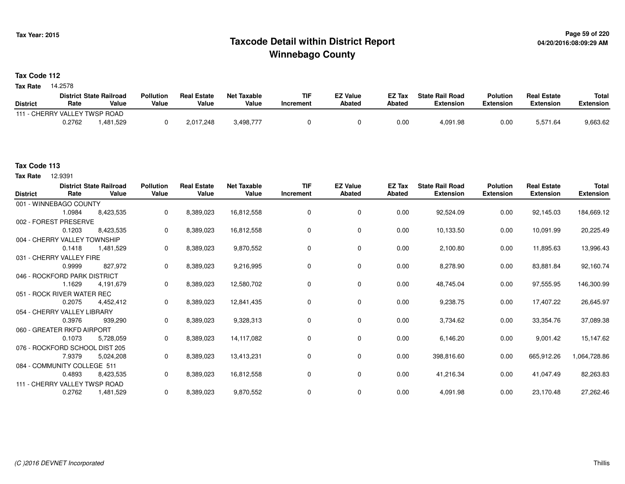## **Page 59 of 220 Taxcode Detail within District ReportWinnebago County**

### **Tax Code 112**

**Tax Rate** 14.2578

|                               |        | <b>District State Railroad</b> | <b>Pollution</b> | <b>Real Estate</b> | <b>Net Taxable</b> | <b>TIF</b> | <b>EZ Value</b> | EZ Tax | <b>State Rail Road</b> | <b>Polution</b> | <b>Real Estate</b> | <b>Total</b> |
|-------------------------------|--------|--------------------------------|------------------|--------------------|--------------------|------------|-----------------|--------|------------------------|-----------------|--------------------|--------------|
| <b>District</b>               | Rate   | Value                          | Value            | Value              | Value              | Increment  | <b>Abated</b>   | Abated | <b>Extension</b>       | Extension       | Extension          | Extension    |
| 111 - CHERRY VALLEY TWSP ROAD |        |                                |                  |                    |                    |            |                 |        |                        |                 |                    |              |
|                               | 0.2762 | .481,529                       |                  | 2,017,248          | 3,498,777          |            |                 | 0.00   | 4,091.98               | 0.00            | 5,571.64           | 9,663.62     |

12.9391 **Tax Rate**

| <b>District</b>               | Rate   | <b>District State Railroad</b><br>Value | <b>Pollution</b><br>Value | <b>Real Estate</b><br>Value | <b>Net Taxable</b><br>Value | <b>TIF</b><br>Increment | <b>EZ Value</b><br>Abated | EZ Tax<br>Abated | <b>State Rail Road</b><br><b>Extension</b> | <b>Polution</b><br><b>Extension</b> | <b>Real Estate</b><br><b>Extension</b> | <b>Total</b><br><b>Extension</b> |
|-------------------------------|--------|-----------------------------------------|---------------------------|-----------------------------|-----------------------------|-------------------------|---------------------------|------------------|--------------------------------------------|-------------------------------------|----------------------------------------|----------------------------------|
| 001 - WINNEBAGO COUNTY        |        |                                         |                           |                             |                             |                         |                           |                  |                                            |                                     |                                        |                                  |
|                               | 1.0984 | 8,423,535                               | 0                         | 8,389,023                   | 16,812,558                  | 0                       | 0                         | 0.00             | 92,524.09                                  | 0.00                                | 92,145.03                              | 184,669.12                       |
| 002 - FOREST PRESERVE         |        |                                         |                           |                             |                             |                         |                           |                  |                                            |                                     |                                        |                                  |
|                               | 0.1203 | 8,423,535                               | 0                         | 8,389,023                   | 16,812,558                  | 0                       | $\mathbf 0$               | 0.00             | 10,133.50                                  | 0.00                                | 10,091.99                              | 20,225.49                        |
| 004 - CHERRY VALLEY TOWNSHIP  |        |                                         |                           |                             |                             |                         |                           |                  |                                            |                                     |                                        |                                  |
|                               | 0.1418 | 1,481,529                               | 0                         | 8,389,023                   | 9,870,552                   | 0                       | $\mathbf 0$               | 0.00             | 2,100.80                                   | 0.00                                | 11,895.63                              | 13,996.43                        |
| 031 - CHERRY VALLEY FIRE      |        |                                         |                           |                             |                             |                         |                           |                  |                                            |                                     |                                        |                                  |
|                               | 0.9999 | 827,972                                 | 0                         | 8,389,023                   | 9,216,995                   | 0                       | 0                         | 0.00             | 8,278.90                                   | 0.00                                | 83,881.84                              | 92,160.74                        |
| 046 - ROCKFORD PARK DISTRICT  |        |                                         |                           |                             |                             |                         |                           |                  |                                            |                                     |                                        |                                  |
|                               | 1.1629 | 4.191.679                               | 0                         | 8,389,023                   | 12,580,702                  | 0                       | 0                         | 0.00             | 48,745.04                                  | 0.00                                | 97,555.95                              | 146,300.99                       |
| 051 - ROCK RIVER WATER REC    |        |                                         |                           |                             |                             |                         |                           |                  |                                            |                                     |                                        |                                  |
|                               | 0.2075 | 4,452,412                               | 0                         | 8,389,023                   | 12,841,435                  | 0                       | 0                         | 0.00             | 9,238.75                                   | 0.00                                | 17,407.22                              | 26,645.97                        |
| 054 - CHERRY VALLEY LIBRARY   |        |                                         |                           |                             |                             |                         |                           |                  |                                            |                                     |                                        |                                  |
|                               | 0.3976 | 939,290                                 | 0                         | 8,389,023                   | 9,328,313                   | 0                       | $\mathbf 0$               | 0.00             | 3,734.62                                   | 0.00                                | 33,354.76                              | 37,089.38                        |
| 060 - GREATER RKFD AIRPORT    |        |                                         |                           |                             |                             |                         |                           |                  |                                            |                                     |                                        |                                  |
|                               | 0.1073 | 5,728,059                               | 0                         | 8,389,023                   | 14,117,082                  | 0                       | 0                         | 0.00             | 6,146.20                                   | 0.00                                | 9,001.42                               | 15,147.62                        |
|                               |        | 076 - ROCKFORD SCHOOL DIST 205          |                           |                             |                             |                         |                           |                  |                                            |                                     |                                        |                                  |
|                               | 7.9379 | 5,024,208                               | 0                         | 8,389,023                   | 13,413,231                  | 0                       | $\mathbf 0$               | 0.00             | 398,816.60                                 | 0.00                                | 665,912.26                             | 1,064,728.86                     |
| 084 - COMMUNITY COLLEGE 511   |        |                                         |                           |                             |                             |                         |                           |                  |                                            |                                     |                                        |                                  |
|                               | 0.4893 | 8,423,535                               | 0                         | 8,389,023                   | 16,812,558                  | 0                       | $\mathbf 0$               | 0.00             | 41,216.34                                  | 0.00                                | 41,047.49                              | 82,263.83                        |
| 111 - CHERRY VALLEY TWSP ROAD |        |                                         |                           |                             |                             |                         |                           |                  |                                            |                                     |                                        |                                  |
|                               | 0.2762 | 1,481,529                               | 0                         | 8,389,023                   | 9,870,552                   | 0                       | 0                         | 0.00             | 4,091.98                                   | 0.00                                | 23,170.48                              | 27,262.46                        |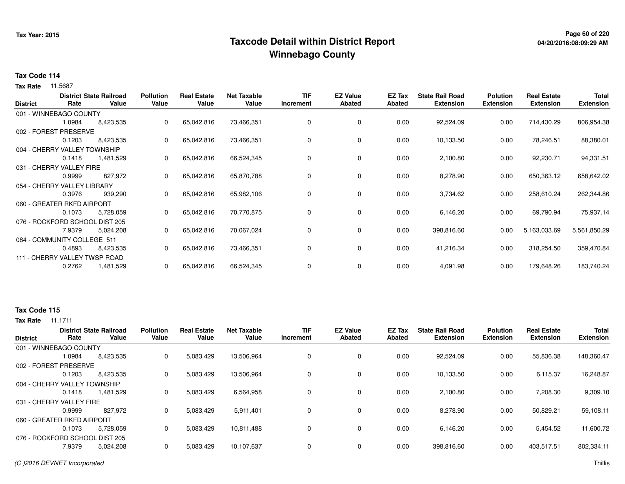## **Page 60 of 220 Taxcode Detail within District ReportWinnebago County**

# **04/20/2016:08:09:29 AM**

#### **Tax Code 114**

**Tax Rate** 11.5687

| <b>District</b>                | Rate   | <b>District State Railroad</b><br>Value | <b>Pollution</b><br>Value | <b>Real Estate</b><br>Value | <b>Net Taxable</b><br>Value | <b>TIF</b><br>Increment | <b>EZ Value</b><br><b>Abated</b> | EZ Tax<br><b>Abated</b> | <b>State Rail Road</b><br><b>Extension</b> | <b>Polution</b><br><b>Extension</b> | <b>Real Estate</b><br><b>Extension</b> | <b>Total</b><br><b>Extension</b> |
|--------------------------------|--------|-----------------------------------------|---------------------------|-----------------------------|-----------------------------|-------------------------|----------------------------------|-------------------------|--------------------------------------------|-------------------------------------|----------------------------------------|----------------------------------|
| 001 - WINNEBAGO COUNTY         |        |                                         |                           |                             |                             |                         |                                  |                         |                                            |                                     |                                        |                                  |
|                                | 1.0984 | 8,423,535                               | 0                         | 65,042,816                  | 73,466,351                  | 0                       | 0                                | 0.00                    | 92,524.09                                  | 0.00                                | 714,430.29                             | 806,954.38                       |
| 002 - FOREST PRESERVE          |        |                                         |                           |                             |                             |                         |                                  |                         |                                            |                                     |                                        |                                  |
|                                | 0.1203 | 8,423,535                               | 0                         | 65,042,816                  | 73,466,351                  | 0                       | 0                                | 0.00                    | 10,133.50                                  | 0.00                                | 78,246.51                              | 88,380.01                        |
| 004 - CHERRY VALLEY TOWNSHIP   |        |                                         |                           |                             |                             |                         |                                  |                         |                                            |                                     |                                        |                                  |
|                                | 0.1418 | 1,481,529                               | 0                         | 65,042,816                  | 66,524,345                  | 0                       | 0                                | 0.00                    | 2,100.80                                   | 0.00                                | 92,230.71                              | 94,331.51                        |
| 031 - CHERRY VALLEY FIRE       |        |                                         |                           |                             |                             |                         |                                  |                         |                                            |                                     |                                        |                                  |
|                                | 0.9999 | 827,972                                 | 0                         | 65,042,816                  | 65,870,788                  | 0                       | 0                                | 0.00                    | 8,278.90                                   | 0.00                                | 650,363.12                             | 658,642.02                       |
| 054 - CHERRY VALLEY LIBRARY    |        |                                         |                           |                             |                             |                         |                                  |                         |                                            |                                     |                                        |                                  |
|                                | 0.3976 | 939,290                                 | 0                         | 65,042,816                  | 65,982,106                  | 0                       | 0                                | 0.00                    | 3,734.62                                   | 0.00                                | 258,610.24                             | 262,344.86                       |
| 060 - GREATER RKFD AIRPORT     |        |                                         |                           |                             |                             |                         |                                  |                         |                                            |                                     |                                        |                                  |
|                                | 0.1073 | 5,728,059                               | 0                         | 65,042,816                  | 70,770,875                  | 0                       | $\mathbf 0$                      | 0.00                    | 6,146.20                                   | 0.00                                | 69,790.94                              | 75,937.14                        |
| 076 - ROCKFORD SCHOOL DIST 205 |        |                                         |                           |                             |                             |                         |                                  |                         |                                            |                                     |                                        |                                  |
|                                | 7.9379 | 5,024,208                               | 0                         | 65,042,816                  | 70,067,024                  | 0                       | $\mathbf 0$                      | 0.00                    | 398,816.60                                 | 0.00                                | 5,163,033.69                           | 5,561,850.29                     |
| 084 - COMMUNITY COLLEGE 511    |        |                                         |                           |                             |                             |                         |                                  |                         |                                            |                                     |                                        |                                  |
|                                | 0.4893 | 8,423,535                               | 0                         | 65,042,816                  | 73,466,351                  | 0                       | 0                                | 0.00                    | 41,216.34                                  | 0.00                                | 318,254.50                             | 359,470.84                       |
| 111 - CHERRY VALLEY TWSP ROAD  |        |                                         |                           |                             |                             |                         |                                  |                         |                                            |                                     |                                        |                                  |
|                                | 0.2762 | 1,481,529                               | 0                         | 65,042,816                  | 66,524,345                  | 0                       | 0                                | 0.00                    | 4,091.98                                   | 0.00                                | 179,648.26                             | 183,740.24                       |

### **Tax Code 115**

| <b>District</b> |                                | <b>District State Railroad</b> | <b>Pollution</b> | <b>Real Estate</b> | <b>Net Taxable</b> | <b>TIF</b> | <b>EZ Value</b> | <b>EZ Tax</b> | <b>State Rail Road</b> | <b>Polution</b>  | <b>Real Estate</b> | <b>Total</b>     |
|-----------------|--------------------------------|--------------------------------|------------------|--------------------|--------------------|------------|-----------------|---------------|------------------------|------------------|--------------------|------------------|
|                 | Rate                           | Value                          | Value            | Value              | Value              | Increment  | Abated          | Abated        | <b>Extension</b>       | <b>Extension</b> | <b>Extension</b>   | <b>Extension</b> |
|                 | 001 - WINNEBAGO COUNTY         |                                |                  |                    |                    |            |                 |               |                        |                  |                    |                  |
|                 | 1.0984                         | 8,423,535                      | 0                | 5,083,429          | 13,506,964         | 0          | 0               | 0.00          | 92,524.09              | 0.00             | 55,836.38          | 148,360.47       |
|                 | 002 - FOREST PRESERVE          |                                |                  |                    |                    |            |                 |               |                        |                  |                    |                  |
|                 | 0.1203                         | 8,423,535                      | 0                | 5,083,429          | 13,506,964         | 0          | 0               | 0.00          | 10,133.50              | 0.00             | 6,115.37           | 16,248.87        |
|                 | 004 - CHERRY VALLEY TOWNSHIP   |                                |                  |                    |                    |            |                 |               |                        |                  |                    |                  |
|                 | 0.1418                         | 1.481.529                      | 0                | 5,083,429          | 6,564,958          | 0          | 0               | 0.00          | 2,100.80               | 0.00             | 7,208.30           | 9,309.10         |
|                 | 031 - CHERRY VALLEY FIRE       |                                |                  |                    |                    |            |                 |               |                        |                  |                    |                  |
|                 | 0.9999                         | 827.972                        | 0                | 5,083,429          | 5,911,401          | 0          | 0               | 0.00          | 8,278.90               | 0.00             | 50.829.21          | 59,108.11        |
|                 | 060 - GREATER RKFD AIRPORT     |                                |                  |                    |                    |            |                 |               |                        |                  |                    |                  |
|                 | 0.1073                         | 5,728,059                      | 0                | 5,083,429          | 10,811,488         | 0          | 0               | 0.00          | 6,146.20               | 0.00             | 5,454.52           | 11,600.72        |
|                 | 076 - ROCKFORD SCHOOL DIST 205 |                                |                  |                    |                    |            |                 |               |                        |                  |                    |                  |
|                 | 7.9379                         | 5,024,208                      | 0                | 5,083,429          | 10,107,637         | 0          | 0               | 0.00          | 398,816.60             | 0.00             | 403,517.51         | 802,334.11       |
|                 |                                |                                |                  |                    |                    |            |                 |               |                        |                  |                    |                  |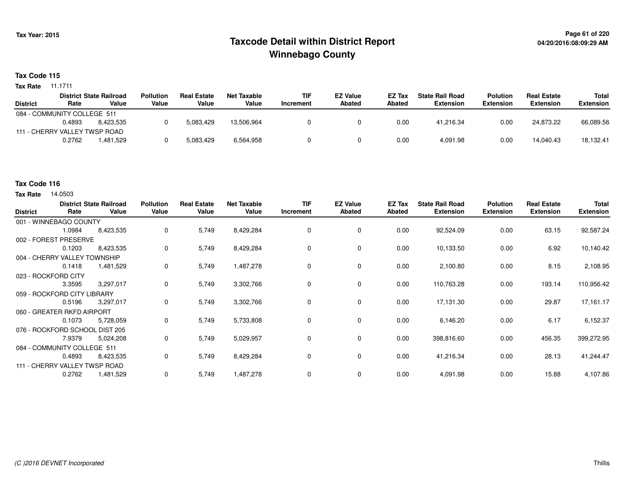## **Page 61 of 220 Taxcode Detail within District ReportWinnebago County**

#### **Tax Code 115**

11.1711 **Tax Rate**

|        |           | <b>Pollution</b>                                                                               | <b>Real Estate</b> | <b>Net Taxable</b> | <b>TIF</b> | <b>EZ Value</b> | <b>EZ Tax</b> | <b>State Rail Road</b> | <b>Polution</b>  | <b>Real Estate</b> | <b>Total</b>     |
|--------|-----------|------------------------------------------------------------------------------------------------|--------------------|--------------------|------------|-----------------|---------------|------------------------|------------------|--------------------|------------------|
| Rate   | Value     | Value                                                                                          | Value              | Value              | Increment  | <b>Abated</b>   | Abated        | <b>Extension</b>       | <b>Extension</b> | <b>Extension</b>   | <b>Extension</b> |
|        |           |                                                                                                |                    |                    |            |                 |               |                        |                  |                    |                  |
| 0.4893 | 8.423.535 |                                                                                                | 5,083,429          | 13.506.964         |            |                 | 0.00          | 41.216.34              | 0.00             | 24.873.22          | 66,089.56        |
|        |           |                                                                                                |                    |                    |            |                 |               |                        |                  |                    |                  |
| 0.2762 | .481.529  |                                                                                                | 5,083,429          | 6,564,958          |            |                 | 0.00          | 4.091.98               | 0.00             | 14.040.43          | 18,132.41        |
|        |           | <b>District State Railroad</b><br>084 - COMMUNITY COLLEGE 511<br>111 - CHERRY VALLEY TWSP ROAD |                    |                    |            |                 |               |                        |                  |                    |                  |

#### **Tax Code 116**

| <b>District</b>                | Rate   | <b>District State Railroad</b><br>Value | Pollution<br>Value | <b>Real Estate</b><br>Value | <b>Net Taxable</b><br>Value | <b>TIF</b><br>Increment | <b>EZ Value</b><br><b>Abated</b> | EZ Tax<br><b>Abated</b> | <b>State Rail Road</b><br><b>Extension</b> | <b>Polution</b><br><b>Extension</b> | <b>Real Estate</b><br><b>Extension</b> | <b>Total</b><br><b>Extension</b> |
|--------------------------------|--------|-----------------------------------------|--------------------|-----------------------------|-----------------------------|-------------------------|----------------------------------|-------------------------|--------------------------------------------|-------------------------------------|----------------------------------------|----------------------------------|
| 001 - WINNEBAGO COUNTY         |        |                                         |                    |                             |                             |                         |                                  |                         |                                            |                                     |                                        |                                  |
|                                | 1.0984 | 8,423,535                               | 0                  | 5,749                       | 8,429,284                   | $\mathbf 0$             | 0                                | 0.00                    | 92,524.09                                  | 0.00                                | 63.15                                  | 92,587.24                        |
| 002 - FOREST PRESERVE          |        |                                         |                    |                             |                             |                         |                                  |                         |                                            |                                     |                                        |                                  |
|                                | 0.1203 | 8,423,535                               | 0                  | 5,749                       | 8,429,284                   | 0                       | 0                                | 0.00                    | 10,133.50                                  | 0.00                                | 6.92                                   | 10,140.42                        |
| 004 - CHERRY VALLEY TOWNSHIP   |        |                                         |                    |                             |                             |                         |                                  |                         |                                            |                                     |                                        |                                  |
|                                | 0.1418 | 1,481,529                               | 0                  | 5,749                       | 1,487,278                   | 0                       | 0                                | 0.00                    | 2,100.80                                   | 0.00                                | 8.15                                   | 2,108.95                         |
| 023 - ROCKFORD CITY            |        |                                         |                    |                             |                             |                         |                                  |                         |                                            |                                     |                                        |                                  |
|                                | 3.3595 | 3,297,017                               | 0                  | 5,749                       | 3,302,766                   | $\mathbf 0$             | 0                                | 0.00                    | 110,763.28                                 | 0.00                                | 193.14                                 | 110,956.42                       |
| 059 - ROCKFORD CITY LIBRARY    |        |                                         |                    |                             |                             |                         |                                  |                         |                                            |                                     |                                        |                                  |
|                                | 0.5196 | 3,297,017                               | 0                  | 5,749                       | 3,302,766                   | 0                       | 0                                | 0.00                    | 17,131.30                                  | 0.00                                | 29.87                                  | 17,161.17                        |
| 060 - GREATER RKFD AIRPORT     |        |                                         |                    |                             |                             |                         |                                  |                         |                                            |                                     |                                        |                                  |
|                                | 0.1073 | 5,728,059                               | 0                  | 5,749                       | 5,733,808                   | 0                       | 0                                | 0.00                    | 6,146.20                                   | 0.00                                | 6.17                                   | 6,152.37                         |
| 076 - ROCKFORD SCHOOL DIST 205 |        |                                         |                    |                             |                             |                         |                                  |                         |                                            |                                     |                                        |                                  |
|                                | 7.9379 | 5,024,208                               | 0                  | 5,749                       | 5,029,957                   | 0                       | 0                                | 0.00                    | 398,816.60                                 | 0.00                                | 456.35                                 | 399,272.95                       |
| 084 - COMMUNITY COLLEGE 511    |        |                                         |                    |                             |                             |                         |                                  |                         |                                            |                                     |                                        |                                  |
|                                | 0.4893 | 8,423,535                               | 0                  | 5,749                       | 8,429,284                   | 0                       | 0                                | 0.00                    | 41,216.34                                  | 0.00                                | 28.13                                  | 41,244.47                        |
| 111 - CHERRY VALLEY TWSP ROAD  |        |                                         |                    |                             |                             |                         |                                  |                         |                                            |                                     |                                        |                                  |
|                                | 0.2762 | 1,481,529                               | 0                  | 5,749                       | 1,487,278                   | 0                       | 0                                | 0.00                    | 4,091.98                                   | 0.00                                | 15.88                                  | 4,107.86                         |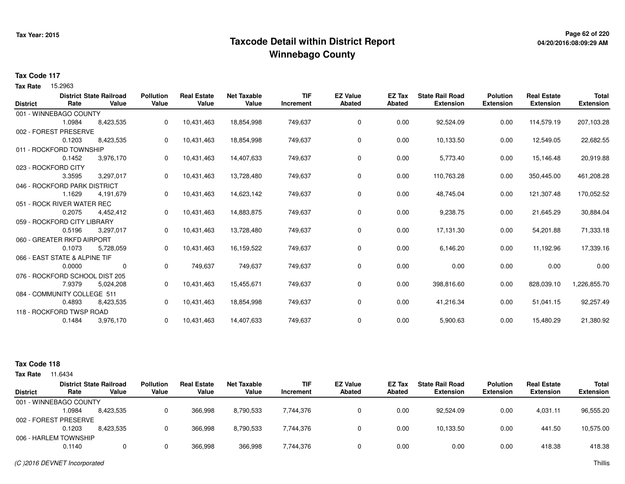## **Page 62 of 220 Taxcode Detail within District ReportWinnebago County**

#### **Tax Code 117**

Tax Rate 15.2963

|                 |                                | <b>District State Railroad</b> | <b>Pollution</b> | <b>Real Estate</b> | <b>Net Taxable</b> | <b>TIF</b> | <b>EZ Value</b> | <b>EZ Tax</b> | <b>State Rail Road</b> | <b>Polution</b>  | <b>Real Estate</b> | <b>Total</b>     |
|-----------------|--------------------------------|--------------------------------|------------------|--------------------|--------------------|------------|-----------------|---------------|------------------------|------------------|--------------------|------------------|
| <b>District</b> | Rate                           | Value                          | Value            | Value              | Value              | Increment  | <b>Abated</b>   | <b>Abated</b> | <b>Extension</b>       | <b>Extension</b> | <b>Extension</b>   | <b>Extension</b> |
|                 | 001 - WINNEBAGO COUNTY         |                                |                  |                    |                    |            |                 |               |                        |                  |                    |                  |
|                 | 1.0984                         | 8,423,535                      | 0                | 10,431,463         | 18,854,998         | 749,637    | 0               | 0.00          | 92,524.09              | 0.00             | 114,579.19         | 207,103.28       |
|                 | 002 - FOREST PRESERVE          |                                |                  |                    |                    |            |                 |               |                        |                  |                    |                  |
|                 | 0.1203                         | 8,423,535                      | 0                | 10,431,463         | 18,854,998         | 749,637    | 0               | 0.00          | 10,133.50              | 0.00             | 12,549.05          | 22,682.55        |
|                 | 011 - ROCKFORD TOWNSHIP        |                                |                  |                    |                    |            |                 |               |                        |                  |                    |                  |
|                 | 0.1452                         | 3,976,170                      | 0                | 10,431,463         | 14,407,633         | 749,637    | 0               | 0.00          | 5,773.40               | 0.00             | 15,146.48          | 20,919.88        |
|                 | 023 - ROCKFORD CITY            |                                |                  |                    |                    |            |                 |               |                        |                  |                    |                  |
|                 | 3.3595                         | 3,297,017                      | 0                | 10,431,463         | 13,728,480         | 749,637    | 0               | 0.00          | 110,763.28             | 0.00             | 350,445.00         | 461,208.28       |
|                 | 046 - ROCKFORD PARK DISTRICT   |                                |                  |                    |                    |            |                 |               |                        |                  |                    |                  |
|                 | 1.1629                         | 4,191,679                      | 0                | 10,431,463         | 14,623,142         | 749,637    | 0               | 0.00          | 48,745.04              | 0.00             | 121,307.48         | 170,052.52       |
|                 | 051 - ROCK RIVER WATER REC     |                                |                  |                    |                    |            |                 |               |                        |                  |                    |                  |
|                 | 0.2075                         | 4,452,412                      | 0                | 10,431,463         | 14,883,875         | 749,637    | 0               | 0.00          | 9,238.75               | 0.00             | 21,645.29          | 30,884.04        |
|                 | 059 - ROCKFORD CITY LIBRARY    |                                |                  |                    |                    |            |                 |               |                        |                  |                    |                  |
|                 | 0.5196                         | 3,297,017                      | 0                | 10,431,463         | 13,728,480         | 749,637    | 0               | 0.00          | 17,131.30              | 0.00             | 54,201.88          | 71,333.18        |
|                 | 060 - GREATER RKFD AIRPORT     |                                |                  |                    |                    |            |                 |               |                        |                  |                    |                  |
|                 | 0.1073                         | 5,728,059                      | 0                | 10,431,463         | 16,159,522         | 749,637    | 0               | 0.00          | 6,146.20               | 0.00             | 11,192.96          | 17,339.16        |
|                 | 066 - EAST STATE & ALPINE TIF  |                                |                  |                    |                    |            |                 |               |                        |                  |                    |                  |
|                 | 0.0000                         | 0                              | 0                | 749,637            | 749,637            | 749,637    | 0               | 0.00          | 0.00                   | 0.00             | 0.00               | 0.00             |
|                 | 076 - ROCKFORD SCHOOL DIST 205 |                                |                  |                    |                    |            |                 |               |                        |                  |                    |                  |
|                 | 7.9379                         | 5,024,208                      | 0                | 10,431,463         | 15,455,671         | 749,637    | 0               | 0.00          | 398,816.60             | 0.00             | 828,039.10         | 1,226,855.70     |
|                 | 084 - COMMUNITY COLLEGE 511    |                                |                  |                    |                    |            |                 |               |                        |                  |                    |                  |
|                 | 0.4893                         | 8,423,535                      | 0                | 10,431,463         | 18,854,998         | 749,637    | 0               | 0.00          | 41,216.34              | 0.00             | 51,041.15          | 92,257.49        |
|                 | 118 - ROCKFORD TWSP ROAD       |                                |                  |                    |                    |            |                 |               |                        |                  |                    |                  |
|                 | 0.1484                         | 3,976,170                      | 0                | 10,431,463         | 14,407,633         | 749,637    | 0               | 0.00          | 5,900.63               | 0.00             | 15,480.29          | 21,380.92        |
|                 |                                |                                |                  |                    |                    |            |                 |               |                        |                  |                    |                  |

| Tax Rate        | 11.6434                |                                         |                           |                             |                             |                         |                                  |                  |                                            |                                     |                                        |                                  |
|-----------------|------------------------|-----------------------------------------|---------------------------|-----------------------------|-----------------------------|-------------------------|----------------------------------|------------------|--------------------------------------------|-------------------------------------|----------------------------------------|----------------------------------|
| <b>District</b> | Rate                   | <b>District State Railroad</b><br>Value | <b>Pollution</b><br>Value | <b>Real Estate</b><br>Value | <b>Net Taxable</b><br>Value | <b>TIF</b><br>Increment | <b>EZ Value</b><br><b>Abated</b> | EZ Tax<br>Abated | <b>State Rail Road</b><br><b>Extension</b> | <b>Polution</b><br><b>Extension</b> | <b>Real Estate</b><br><b>Extension</b> | <b>Total</b><br><b>Extension</b> |
|                 | 001 - WINNEBAGO COUNTY |                                         |                           |                             |                             |                         |                                  |                  |                                            |                                     |                                        |                                  |
|                 | 1.0984                 | 8,423,535                               |                           | 366.998                     | 8,790,533                   | 7,744,376               |                                  | 0.00             | 92.524.09                                  | 0.00                                | 4.031.11                               | 96,555.20                        |
|                 | 002 - FOREST PRESERVE  |                                         |                           |                             |                             |                         |                                  |                  |                                            |                                     |                                        |                                  |
|                 | 0.1203                 | 8.423.535                               |                           | 366.998                     | 8,790,533                   | 7.744.376               |                                  | 0.00             | 10.133.50                                  | 0.00                                | 441.50                                 | 10,575.00                        |
|                 | 006 - HARLEM TOWNSHIP  |                                         |                           |                             |                             |                         |                                  |                  |                                            |                                     |                                        |                                  |
|                 | 0.1140                 |                                         |                           | 366,998                     | 366,998                     | 7,744,376               |                                  | 0.00             | 0.00                                       | 0.00                                | 418.38                                 | 418.38                           |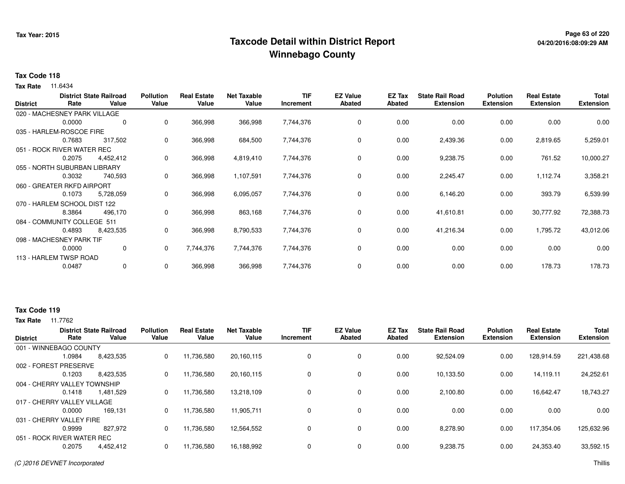## **Page 63 of 220 Taxcode Detail within District ReportWinnebago County**

# **04/20/2016:08:09:29 AM**

#### **Tax Code 118**

**Tax Rate** 11.6434

| <b>District</b> | Rate                         | <b>District State Railroad</b><br>Value | <b>Pollution</b><br>Value | <b>Real Estate</b><br>Value | <b>Net Taxable</b><br>Value | TIF<br>Increment | <b>EZ Value</b><br><b>Abated</b> | EZ Tax<br><b>Abated</b> | <b>State Rail Road</b><br><b>Extension</b> | <b>Polution</b><br><b>Extension</b> | <b>Real Estate</b><br><b>Extension</b> | <b>Total</b><br><b>Extension</b> |
|-----------------|------------------------------|-----------------------------------------|---------------------------|-----------------------------|-----------------------------|------------------|----------------------------------|-------------------------|--------------------------------------------|-------------------------------------|----------------------------------------|----------------------------------|
|                 | 020 - MACHESNEY PARK VILLAGE |                                         |                           |                             |                             |                  |                                  |                         |                                            |                                     |                                        |                                  |
|                 | 0.0000                       | 0                                       | 0                         | 366,998                     | 366,998                     | 7,744,376        | 0                                | 0.00                    | 0.00                                       | 0.00                                | 0.00                                   | 0.00                             |
|                 | 035 - HARLEM-ROSCOE FIRE     |                                         |                           |                             |                             |                  |                                  |                         |                                            |                                     |                                        |                                  |
|                 | 0.7683                       | 317,502                                 | 0                         | 366,998                     | 684,500                     | 7,744,376        | 0                                | 0.00                    | 2,439.36                                   | 0.00                                | 2,819.65                               | 5,259.01                         |
|                 | 051 - ROCK RIVER WATER REC   |                                         |                           |                             |                             |                  |                                  |                         |                                            |                                     |                                        |                                  |
|                 | 0.2075                       | 4,452,412                               | 0                         | 366,998                     | 4,819,410                   | 7,744,376        | 0                                | 0.00                    | 9,238.75                                   | 0.00                                | 761.52                                 | 10,000.27                        |
|                 | 055 - NORTH SUBURBAN LIBRARY |                                         |                           |                             |                             |                  |                                  |                         |                                            |                                     |                                        |                                  |
|                 | 0.3032                       | 740,593                                 | 0                         | 366,998                     | 1,107,591                   | 7,744,376        | 0                                | 0.00                    | 2,245.47                                   | 0.00                                | 1,112.74                               | 3,358.21                         |
|                 | 060 - GREATER RKFD AIRPORT   |                                         |                           |                             |                             |                  |                                  |                         |                                            |                                     |                                        |                                  |
|                 | 0.1073                       | 5,728,059                               | 0                         | 366,998                     | 6,095,057                   | 7,744,376        | 0                                | 0.00                    | 6,146.20                                   | 0.00                                | 393.79                                 | 6,539.99                         |
|                 | 070 - HARLEM SCHOOL DIST 122 |                                         |                           |                             |                             |                  |                                  |                         |                                            |                                     |                                        |                                  |
|                 | 8.3864                       | 496,170                                 | 0                         | 366,998                     | 863,168                     | 7,744,376        | 0                                | 0.00                    | 41,610.81                                  | 0.00                                | 30,777.92                              | 72,388.73                        |
|                 | 084 - COMMUNITY COLLEGE 511  |                                         |                           |                             |                             |                  |                                  |                         |                                            |                                     |                                        |                                  |
|                 | 0.4893                       | 8,423,535                               | 0                         | 366,998                     | 8,790,533                   | 7,744,376        | $\mathbf 0$                      | 0.00                    | 41,216.34                                  | 0.00                                | 1,795.72                               | 43,012.06                        |
|                 | 098 - MACHESNEY PARK TIF     |                                         |                           |                             |                             |                  |                                  |                         |                                            |                                     |                                        |                                  |
|                 | 0.0000                       | 0                                       | $\Omega$                  | 7,744,376                   | 7,744,376                   | 7,744,376        | 0                                | 0.00                    | 0.00                                       | 0.00                                | 0.00                                   | 0.00                             |
|                 | 113 - HARLEM TWSP ROAD       |                                         |                           |                             |                             |                  |                                  |                         |                                            |                                     |                                        |                                  |
|                 | 0.0487                       | 0                                       | 0                         | 366,998                     | 366,998                     | 7,744,376        | 0                                | 0.00                    | 0.00                                       | 0.00                                | 178.73                                 | 178.73                           |

#### **Tax Code 119**

| <b>District</b>              |        | <b>District State Railroad</b> | <b>Pollution</b> | <b>Real Estate</b> | <b>Net Taxable</b> | <b>TIF</b> | <b>EZ Value</b> | <b>EZ Tax</b> | <b>State Rail Road</b> | <b>Polution</b>  | <b>Real Estate</b><br><b>Extension</b> | <b>Total</b>     |
|------------------------------|--------|--------------------------------|------------------|--------------------|--------------------|------------|-----------------|---------------|------------------------|------------------|----------------------------------------|------------------|
|                              | Rate   | Value                          | Value            | Value              | Value              | Increment  | <b>Abated</b>   | <b>Abated</b> | <b>Extension</b>       | <b>Extension</b> |                                        | <b>Extension</b> |
| 001 - WINNEBAGO COUNTY       |        |                                |                  |                    |                    |            |                 |               |                        |                  |                                        |                  |
|                              | 1.0984 | 8,423,535                      | 0                | 11,736,580         | 20,160,115         | 0          | 0               | 0.00          | 92,524.09              | 0.00             | 128,914.59                             | 221,438.68       |
| 002 - FOREST PRESERVE        |        |                                |                  |                    |                    |            |                 |               |                        |                  |                                        |                  |
|                              | 0.1203 | 8.423.535                      | 0                | 11,736,580         | 20,160,115         | 0          | 0               | 0.00          | 10,133.50              | 0.00             | 14,119.11                              | 24,252.61        |
| 004 - CHERRY VALLEY TOWNSHIP |        |                                |                  |                    |                    |            |                 |               |                        |                  |                                        |                  |
|                              | 0.1418 | 1,481,529                      | 0                | 11,736,580         | 13,218,109         | 0          | 0               | 0.00          | 2,100.80               | 0.00             | 16,642.47                              | 18,743.27        |
| 017 - CHERRY VALLEY VILLAGE  |        |                                |                  |                    |                    |            |                 |               |                        |                  |                                        |                  |
|                              | 0.0000 | 169,131                        | 0                | 11,736,580         | 11,905,711         | 0          | 0               | 0.00          | 0.00                   | 0.00             | 0.00                                   | 0.00             |
| 031 - CHERRY VALLEY FIRE     |        |                                |                  |                    |                    |            |                 |               |                        |                  |                                        |                  |
|                              | 0.9999 | 827.972                        | 0                | 11,736,580         | 12,564,552         | 0          | 0               | 0.00          | 8,278.90               | 0.00             | 117,354.06                             | 125,632.96       |
| 051 - ROCK RIVER WATER REC   |        |                                |                  |                    |                    |            |                 |               |                        |                  |                                        |                  |
|                              | 0.2075 | 4,452,412                      | 0                | 11,736,580         | 16,188,992         | $\Omega$   | 0               | 0.00          | 9,238.75               | 0.00             | 24,353.40                              | 33,592.15        |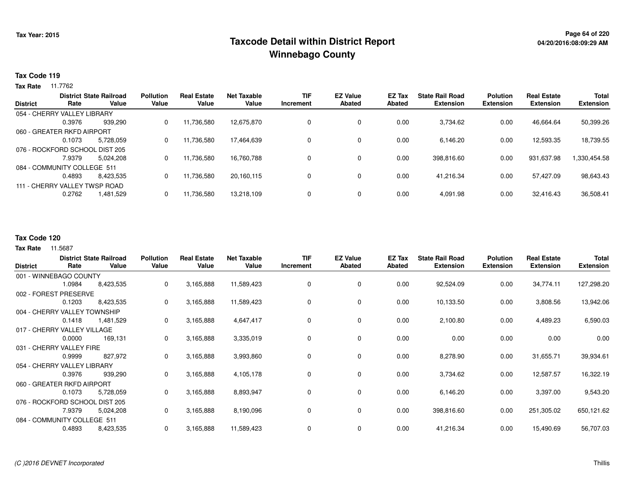## **Page 64 of 220 Taxcode Detail within District ReportWinnebago County**

#### **Tax Code 119**

**Tax Rate** 11.7762

|                 |                                | <b>District State Railroad</b> | <b>Pollution</b> | <b>Real Estate</b> | <b>Net Taxable</b> | <b>TIF</b> | <b>EZ Value</b> | EZ Tax | <b>State Rail Road</b> | <b>Polution</b>  | <b>Real Estate</b> | <b>Total</b>     |
|-----------------|--------------------------------|--------------------------------|------------------|--------------------|--------------------|------------|-----------------|--------|------------------------|------------------|--------------------|------------------|
| <b>District</b> | Rate                           | Value                          | Value            | Value              | Value              | Increment  | <b>Abated</b>   | Abated | <b>Extension</b>       | <b>Extension</b> | <b>Extension</b>   | <b>Extension</b> |
|                 | 054 - CHERRY VALLEY LIBRARY    |                                |                  |                    |                    |            |                 |        |                        |                  |                    |                  |
|                 | 0.3976                         | 939.290                        | 0                | 11,736,580         | 12.675.870         |            | $\mathbf 0$     | 0.00   | 3.734.62               | 0.00             | 46.664.64          | 50,399.26        |
|                 | 060 - GREATER RKFD AIRPORT     |                                |                  |                    |                    |            |                 |        |                        |                  |                    |                  |
|                 | 0.1073                         | 5,728,059                      | 0                | 11,736,580         | 17.464.639         |            | $\mathbf 0$     | 0.00   | 6.146.20               | 0.00             | 12,593.35          | 18,739.55        |
|                 | 076 - ROCKFORD SCHOOL DIST 205 |                                |                  |                    |                    |            |                 |        |                        |                  |                    |                  |
|                 | 7.9379                         | 5.024.208                      | 0                | 11,736,580         | 16,760,788         |            | $\mathbf 0$     | 0.00   | 398,816.60             | 0.00             | 931,637.98         | 1,330,454.58     |
|                 | 084 - COMMUNITY COLLEGE 511    |                                |                  |                    |                    |            |                 |        |                        |                  |                    |                  |
|                 | 0.4893                         | 8,423,535                      | 0                | 11,736,580         | 20,160,115         |            | $\mathbf 0$     | 0.00   | 41.216.34              | 0.00             | 57,427.09          | 98,643.43        |
|                 | 111 - CHERRY VALLEY TWSP ROAD  |                                |                  |                    |                    |            |                 |        |                        |                  |                    |                  |
|                 | 0.2762                         | 1,481,529                      | 0                | 11,736,580         | 13,218,109         |            | $\mathbf 0$     | 0.00   | 4,091.98               | 0.00             | 32,416.43          | 36,508.41        |
|                 |                                |                                |                  |                    |                    |            |                 |        |                        |                  |                    |                  |

#### **Tax Code 120**

|                                |        | <b>District State Railroad</b> | <b>Pollution</b> | <b>Real Estate</b> | <b>Net Taxable</b> | <b>TIF</b> | <b>EZ Value</b> | EZ Tax | <b>State Rail Road</b> | <b>Polution</b>  | <b>Real Estate</b> | <b>Total</b>     |
|--------------------------------|--------|--------------------------------|------------------|--------------------|--------------------|------------|-----------------|--------|------------------------|------------------|--------------------|------------------|
| <b>District</b>                | Rate   | Value                          | Value            | Value              | Value              | Increment  | <b>Abated</b>   | Abated | <b>Extension</b>       | <b>Extension</b> | <b>Extension</b>   | <b>Extension</b> |
| 001 - WINNEBAGO COUNTY         |        |                                |                  |                    |                    |            |                 |        |                        |                  |                    |                  |
|                                | 1.0984 | 8,423,535                      | 0                | 3,165,888          | 11,589,423         | 0          | 0               | 0.00   | 92,524.09              | 0.00             | 34,774.11          | 127,298.20       |
| 002 - FOREST PRESERVE          |        |                                |                  |                    |                    |            |                 |        |                        |                  |                    |                  |
|                                | 0.1203 | 8,423,535                      | 0                | 3,165,888          | 11,589,423         | 0          | 0               | 0.00   | 10,133.50              | 0.00             | 3,808.56           | 13,942.06        |
| 004 - CHERRY VALLEY TOWNSHIP   |        |                                |                  |                    |                    |            |                 |        |                        |                  |                    |                  |
|                                | 0.1418 | 1,481,529                      | 0                | 3,165,888          | 4,647,417          | 0          | 0               | 0.00   | 2,100.80               | 0.00             | 4,489.23           | 6,590.03         |
| 017 - CHERRY VALLEY VILLAGE    |        |                                |                  |                    |                    |            |                 |        |                        |                  |                    |                  |
|                                | 0.0000 | 169,131                        | 0                | 3,165,888          | 3,335,019          | 0          | 0               | 0.00   | 0.00                   | 0.00             | 0.00               | 0.00             |
| 031 - CHERRY VALLEY FIRE       |        |                                |                  |                    |                    |            |                 |        |                        |                  |                    |                  |
|                                | 0.9999 | 827,972                        | 0                | 3,165,888          | 3,993,860          | 0          | 0               | 0.00   | 8,278.90               | 0.00             | 31,655.71          | 39,934.61        |
| 054 - CHERRY VALLEY LIBRARY    |        |                                |                  |                    |                    |            |                 |        |                        |                  |                    |                  |
|                                | 0.3976 | 939,290                        | 0                | 3,165,888          | 4,105,178          | 0          | 0               | 0.00   | 3,734.62               | 0.00             | 12,587.57          | 16,322.19        |
| 060 - GREATER RKFD AIRPORT     |        |                                |                  |                    |                    |            |                 |        |                        |                  |                    |                  |
|                                | 0.1073 | 5,728,059                      | 0                | 3,165,888          | 8,893,947          | 0          | 0               | 0.00   | 6,146.20               | 0.00             | 3,397.00           | 9,543.20         |
| 076 - ROCKFORD SCHOOL DIST 205 |        |                                |                  |                    |                    |            |                 |        |                        |                  |                    |                  |
|                                | 7.9379 | 5,024,208                      | 0                | 3,165,888          | 8,190,096          | 0          | 0               | 0.00   | 398,816.60             | 0.00             | 251,305.02         | 650,121.62       |
| 084 - COMMUNITY COLLEGE 511    |        |                                |                  |                    |                    |            |                 |        |                        |                  |                    |                  |
|                                | 0.4893 | 8,423,535                      | 0                | 3,165,888          | 11,589,423         | 0          | 0               | 0.00   | 41,216.34              | 0.00             | 15,490.69          | 56,707.03        |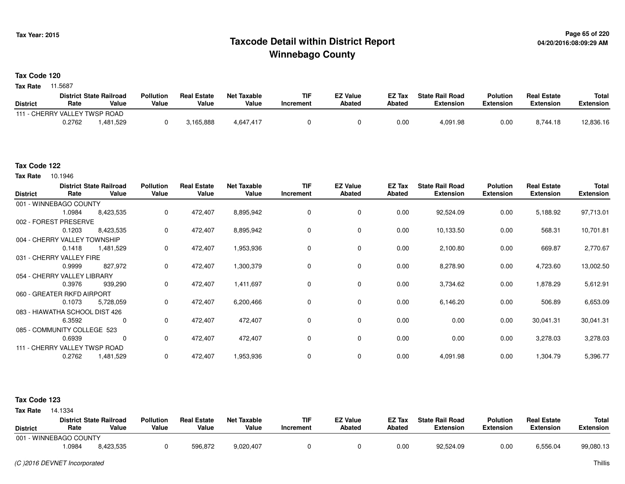## **Page 65 of 220 Taxcode Detail within District ReportWinnebago County**

**Tax Code 120**

**Tax Rate** 11.5687

|                               |        | <b>District State Railroad</b> | <b>Pollution</b> | <b>Real Estate</b> | <b>Net Taxable</b> | TIF       | <b>EZ Value</b> | <b>EZ Tax</b> | <b>State Rail Road</b> | Polution  | <b>Real Estate</b> | <b>Total</b> |
|-------------------------------|--------|--------------------------------|------------------|--------------------|--------------------|-----------|-----------------|---------------|------------------------|-----------|--------------------|--------------|
| <b>District</b>               | Rate   | Value                          | Value            | Value              | Value              | Increment | <b>Abated</b>   | Abated        | Extension              | Extension | Extension          | Extension    |
| 111 - CHERRY VALLEY TWSP ROAD |        |                                |                  |                    |                    |           |                 |               |                        |           |                    |              |
|                               | 0.2762 | .481,529                       |                  | 3,165,888          | 4,647,417          |           |                 | 0.00          | 4,091.98               | 0.00      | 8,744.18           | 12,836.16    |

#### **Tax Code 122**

**Tax Rate** 10.1946

| <b>District</b> | Rate                           | <b>District State Railroad</b><br>Value | <b>Pollution</b><br>Value | <b>Real Estate</b><br>Value | <b>Net Taxable</b><br>Value | <b>TIF</b><br>Increment | <b>EZ Value</b><br><b>Abated</b> | EZ Tax<br>Abated | <b>State Rail Road</b><br><b>Extension</b> | <b>Polution</b><br>Extension | <b>Real Estate</b><br><b>Extension</b> | Total<br><b>Extension</b> |
|-----------------|--------------------------------|-----------------------------------------|---------------------------|-----------------------------|-----------------------------|-------------------------|----------------------------------|------------------|--------------------------------------------|------------------------------|----------------------------------------|---------------------------|
|                 | 001 - WINNEBAGO COUNTY         |                                         |                           |                             |                             |                         |                                  |                  |                                            |                              |                                        |                           |
|                 | 1.0984                         | 8,423,535                               | 0                         | 472,407                     | 8,895,942                   | 0                       | 0                                | 0.00             | 92,524.09                                  | 0.00                         | 5,188.92                               | 97,713.01                 |
|                 | 002 - FOREST PRESERVE          |                                         |                           |                             |                             |                         |                                  |                  |                                            |                              |                                        |                           |
|                 | 0.1203                         | 8,423,535                               | 0                         | 472,407                     | 8,895,942                   | $\Omega$                | 0                                | 0.00             | 10,133.50                                  | 0.00                         | 568.31                                 | 10,701.81                 |
|                 | 004 - CHERRY VALLEY TOWNSHIP   |                                         |                           |                             |                             |                         |                                  |                  |                                            |                              |                                        |                           |
|                 | 0.1418                         | 1,481,529                               | 0                         | 472,407                     | 1,953,936                   | 0                       | 0                                | 0.00             | 2,100.80                                   | 0.00                         | 669.87                                 | 2,770.67                  |
|                 | 031 - CHERRY VALLEY FIRE       |                                         |                           |                             |                             |                         |                                  |                  |                                            |                              |                                        |                           |
|                 | 0.9999                         | 827,972                                 | 0                         | 472,407                     | 1,300,379                   | $\Omega$                | $\mathbf 0$                      | 0.00             | 8,278.90                                   | 0.00                         | 4,723.60                               | 13,002.50                 |
|                 | 054 - CHERRY VALLEY LIBRARY    |                                         |                           |                             |                             |                         |                                  |                  |                                            |                              |                                        |                           |
|                 | 0.3976                         | 939,290                                 | 0                         | 472,407                     | 1,411,697                   | 0                       | 0                                | 0.00             | 3,734.62                                   | 0.00                         | 1,878.29                               | 5,612.91                  |
|                 | 060 - GREATER RKFD AIRPORT     |                                         |                           |                             |                             |                         |                                  |                  |                                            |                              |                                        |                           |
|                 | 0.1073                         | 5,728,059                               | $\mathbf 0$               | 472,407                     | 6,200,466                   | 0                       | 0                                | 0.00             | 6,146.20                                   | 0.00                         | 506.89                                 | 6,653.09                  |
|                 | 083 - HIAWATHA SCHOOL DIST 426 |                                         |                           |                             |                             |                         |                                  |                  |                                            |                              |                                        |                           |
|                 | 6.3592                         | 0                                       | 0                         | 472,407                     | 472,407                     | 0                       | 0                                | 0.00             | 0.00                                       | 0.00                         | 30,041.31                              | 30,041.31                 |
|                 | 085 - COMMUNITY COLLEGE 523    |                                         |                           |                             |                             |                         |                                  |                  |                                            |                              |                                        |                           |
|                 | 0.6939                         | 0                                       | $\mathbf 0$               | 472,407                     | 472,407                     | 0                       | 0                                | 0.00             | 0.00                                       | 0.00                         | 3,278.03                               | 3,278.03                  |
|                 | 111 - CHERRY VALLEY TWSP ROAD  |                                         |                           |                             |                             |                         |                                  |                  |                                            |                              |                                        |                           |
|                 | 0.2762                         | 1,481,529                               | 0                         | 472,407                     | 1,953,936                   | 0                       | 0                                | 0.00             | 4,091.98                                   | 0.00                         | 1,304.79                               | 5,396.77                  |

#### **Tax Code 123**

| <b>District</b> | Rate                   | <b>District State Railroad</b><br>Value | <b>Pollution</b><br>Value | <b>Real Estate</b><br>Value | Net Taxable<br>Value | TIF<br>Increment | <b>EZ Value</b><br><b>Abated</b> | <b>EZ Tax</b><br><b>Abated</b> | <b>State Rail Road</b><br><b>Extension</b> | <b>Polution</b><br><b>Extension</b> | <b>Real Estate</b><br><b>Extension</b> | Total<br>Extension |
|-----------------|------------------------|-----------------------------------------|---------------------------|-----------------------------|----------------------|------------------|----------------------------------|--------------------------------|--------------------------------------------|-------------------------------------|----------------------------------------|--------------------|
|                 | 001 - WINNEBAGO COUNTY |                                         |                           |                             |                      |                  |                                  |                                |                                            |                                     |                                        |                    |
|                 | .0984                  | 8,423,535                               |                           | 596,872                     | 9,020,407            |                  |                                  | 0.00                           | 92,524.09                                  | 0.00                                | 6,556.04                               | 99,080.13          |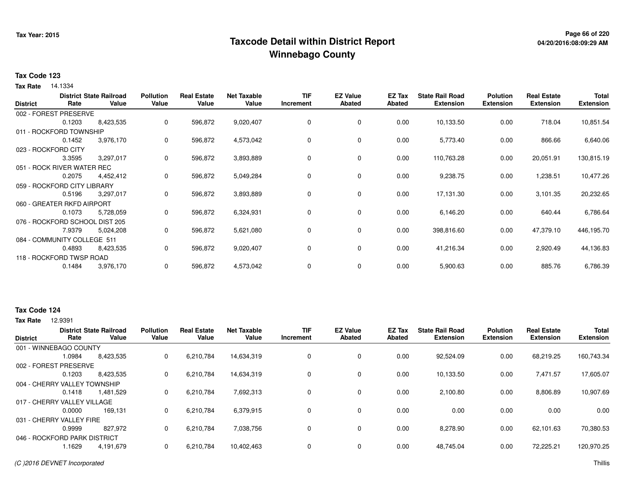## **Page 66 of 220 Taxcode Detail within District ReportWinnebago County**

# **04/20/2016:08:09:29 AM**

#### **Tax Code 123**

**Tax Rate** 14.1334

| <b>District</b> | Rate                           | <b>District State Railroad</b><br>Value | <b>Pollution</b><br>Value | <b>Real Estate</b><br>Value | <b>Net Taxable</b><br>Value | <b>TIF</b><br>Increment | <b>EZ Value</b><br>Abated | EZ Tax<br>Abated | <b>State Rail Road</b><br><b>Extension</b> | <b>Polution</b><br><b>Extension</b> | <b>Real Estate</b><br><b>Extension</b> | <b>Total</b><br><b>Extension</b> |
|-----------------|--------------------------------|-----------------------------------------|---------------------------|-----------------------------|-----------------------------|-------------------------|---------------------------|------------------|--------------------------------------------|-------------------------------------|----------------------------------------|----------------------------------|
|                 | 002 - FOREST PRESERVE          |                                         |                           |                             |                             |                         |                           |                  |                                            |                                     |                                        |                                  |
|                 | 0.1203                         | 8,423,535                               | 0                         | 596,872                     | 9,020,407                   | 0                       | 0                         | 0.00             | 10,133.50                                  | 0.00                                | 718.04                                 | 10,851.54                        |
|                 | 011 - ROCKFORD TOWNSHIP        |                                         |                           |                             |                             |                         |                           |                  |                                            |                                     |                                        |                                  |
|                 | 0.1452                         | 3,976,170                               | 0                         | 596,872                     | 4,573,042                   | 0                       | 0                         | 0.00             | 5,773.40                                   | 0.00                                | 866.66                                 | 6,640.06                         |
|                 | 023 - ROCKFORD CITY            |                                         |                           |                             |                             |                         |                           |                  |                                            |                                     |                                        |                                  |
|                 | 3.3595                         | 3,297,017                               | 0                         | 596,872                     | 3,893,889                   | 0                       | $\mathbf 0$               | 0.00             | 110,763.28                                 | 0.00                                | 20,051.91                              | 130,815.19                       |
|                 | 051 - ROCK RIVER WATER REC     |                                         |                           |                             |                             |                         |                           |                  |                                            |                                     |                                        |                                  |
|                 | 0.2075                         | 4,452,412                               | 0                         | 596,872                     | 5,049,284                   | 0                       | 0                         | 0.00             | 9,238.75                                   | 0.00                                | 1,238.51                               | 10,477.26                        |
|                 | 059 - ROCKFORD CITY LIBRARY    |                                         |                           |                             |                             |                         |                           |                  |                                            |                                     |                                        |                                  |
|                 | 0.5196                         | 3,297,017                               | 0                         | 596,872                     | 3,893,889                   | 0                       | 0                         | 0.00             | 17,131.30                                  | 0.00                                | 3,101.35                               | 20,232.65                        |
|                 | 060 - GREATER RKFD AIRPORT     |                                         |                           |                             |                             |                         |                           |                  |                                            |                                     |                                        |                                  |
|                 | 0.1073                         | 5,728,059                               | 0                         | 596,872                     | 6,324,931                   | 0                       | $\mathbf 0$               | 0.00             | 6,146.20                                   | 0.00                                | 640.44                                 | 6,786.64                         |
|                 | 076 - ROCKFORD SCHOOL DIST 205 |                                         |                           |                             |                             |                         |                           |                  |                                            |                                     |                                        |                                  |
|                 | 7.9379                         | 5,024,208                               | 0                         | 596,872                     | 5,621,080                   | 0                       | 0                         | 0.00             | 398,816.60                                 | 0.00                                | 47,379.10                              | 446,195.70                       |
|                 | 084 - COMMUNITY COLLEGE 511    |                                         |                           |                             |                             |                         |                           |                  |                                            |                                     |                                        |                                  |
|                 | 0.4893                         | 8,423,535                               | 0                         | 596,872                     | 9,020,407                   | 0                       | $\mathbf 0$               | 0.00             | 41,216.34                                  | 0.00                                | 2,920.49                               | 44,136.83                        |
|                 | 118 - ROCKFORD TWSP ROAD       |                                         |                           |                             |                             |                         |                           |                  |                                            |                                     |                                        |                                  |
|                 | 0.1484                         | 3,976,170                               | 0                         | 596,872                     | 4,573,042                   | 0                       | 0                         | 0.00             | 5,900.63                                   | 0.00                                | 885.76                                 | 6,786.39                         |

#### **Tax Code 124**

| <b>District</b>              | Rate   | <b>District State Railroad</b><br>Value | <b>Pollution</b><br>Value | <b>Real Estate</b><br>Value | <b>Net Taxable</b><br>Value | <b>TIF</b><br>Increment | <b>EZ Value</b><br><b>Abated</b> | EZ Tax<br>Abated | <b>State Rail Road</b><br><b>Extension</b> | <b>Polution</b><br><b>Extension</b> | <b>Real Estate</b><br><b>Extension</b> | <b>Total</b><br><b>Extension</b> |
|------------------------------|--------|-----------------------------------------|---------------------------|-----------------------------|-----------------------------|-------------------------|----------------------------------|------------------|--------------------------------------------|-------------------------------------|----------------------------------------|----------------------------------|
|                              |        |                                         |                           |                             |                             |                         |                                  |                  |                                            |                                     |                                        |                                  |
| 001 - WINNEBAGO COUNTY       |        |                                         |                           |                             |                             |                         |                                  |                  |                                            |                                     |                                        |                                  |
|                              | 1.0984 | 8,423,535                               | 0                         | 6,210,784                   | 14,634,319                  | $\Omega$                | 0                                | 0.00             | 92,524.09                                  | 0.00                                | 68.219.25                              | 160,743.34                       |
| 002 - FOREST PRESERVE        |        |                                         |                           |                             |                             |                         |                                  |                  |                                            |                                     |                                        |                                  |
|                              | 0.1203 | 8,423,535                               | 0                         | 6,210,784                   | 14.634.319                  |                         | $\mathbf 0$                      | 0.00             | 10.133.50                                  | 0.00                                | 7,471.57                               | 17.605.07                        |
| 004 - CHERRY VALLEY TOWNSHIP |        |                                         |                           |                             |                             |                         |                                  |                  |                                            |                                     |                                        |                                  |
|                              | 0.1418 | 1,481,529                               | 0                         | 6,210,784                   | 7,692,313                   |                         | $\mathbf 0$                      | 0.00             | 2,100.80                                   | 0.00                                | 8,806.89                               | 10,907.69                        |
| 017 - CHERRY VALLEY VILLAGE  |        |                                         |                           |                             |                             |                         |                                  |                  |                                            |                                     |                                        |                                  |
|                              | 0.0000 | 169.131                                 | 0                         | 6,210,784                   | 6,379,915                   | 0                       | $\mathbf 0$                      | 0.00             | 0.00                                       | 0.00                                | 0.00                                   | 0.00                             |
| 031 - CHERRY VALLEY FIRE     |        |                                         |                           |                             |                             |                         |                                  |                  |                                            |                                     |                                        |                                  |
|                              | 0.9999 | 827.972                                 | 0                         | 6,210,784                   | 7.038.756                   |                         | $\mathbf 0$                      | 0.00             | 8.278.90                                   | 0.00                                | 62.101.63                              | 70,380.53                        |
| 046 - ROCKFORD PARK DISTRICT |        |                                         |                           |                             |                             |                         |                                  |                  |                                            |                                     |                                        |                                  |
|                              | l.1629 | 4,191,679                               |                           | 6,210,784                   | 10,402,463                  |                         | $\mathbf 0$                      | 0.00             | 48,745.04                                  | 0.00                                | 72,225.21                              | 120,970.25                       |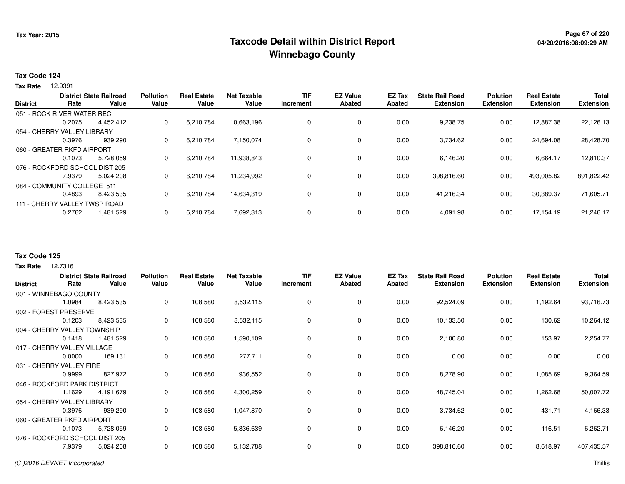## **Page 67 of 220 Taxcode Detail within District ReportWinnebago County**

#### **Tax Code 124**

12.9391 **Tax Rate**

| <b>District</b>                | Rate                       | <b>District State Railroad</b><br>Value | <b>Pollution</b><br>Value | <b>Real Estate</b><br>Value | <b>Net Taxable</b><br>Value | <b>TIF</b><br>Increment | <b>EZ Value</b><br><b>Abated</b> | <b>EZ Tax</b><br>Abated | <b>State Rail Road</b><br><b>Extension</b> | <b>Polution</b><br><b>Extension</b> | <b>Real Estate</b><br><b>Extension</b> | <b>Total</b><br><b>Extension</b> |
|--------------------------------|----------------------------|-----------------------------------------|---------------------------|-----------------------------|-----------------------------|-------------------------|----------------------------------|-------------------------|--------------------------------------------|-------------------------------------|----------------------------------------|----------------------------------|
| 051 - ROCK RIVER WATER REC     |                            |                                         |                           |                             |                             |                         |                                  |                         |                                            |                                     |                                        |                                  |
|                                | 0.2075                     | 4,452,412                               | 0                         | 6,210,784                   | 10,663,196                  | 0                       | 0                                | 0.00                    | 9,238.75                                   | 0.00                                | 12,887.38                              | 22,126.13                        |
| 054 - CHERRY VALLEY LIBRARY    |                            |                                         |                           |                             |                             |                         |                                  |                         |                                            |                                     |                                        |                                  |
|                                | 0.3976                     | 939.290                                 | 0                         | 6,210,784                   | 7,150,074                   | 0                       | $\mathbf 0$                      | 0.00                    | 3,734.62                                   | 0.00                                | 24,694.08                              | 28,428.70                        |
|                                | 060 - GREATER RKFD AIRPORT |                                         |                           |                             |                             |                         |                                  |                         |                                            |                                     |                                        |                                  |
|                                | 0.1073                     | 5.728.059                               | 0                         | 6,210,784                   | 11,938,843                  | 0                       | 0                                | 0.00                    | 6.146.20                                   | 0.00                                | 6.664.17                               | 12,810.37                        |
| 076 - ROCKFORD SCHOOL DIST 205 |                            |                                         |                           |                             |                             |                         |                                  |                         |                                            |                                     |                                        |                                  |
|                                | 7.9379                     | 5.024.208                               | 0                         | 6,210,784                   | 11,234,992                  | 0                       | 0                                | 0.00                    | 398,816.60                                 | 0.00                                | 493,005.82                             | 891,822.42                       |
| 084 - COMMUNITY COLLEGE 511    |                            |                                         |                           |                             |                             |                         |                                  |                         |                                            |                                     |                                        |                                  |
|                                | 0.4893                     | 8,423,535                               | 0                         | 6,210,784                   | 14,634,319                  | 0                       | $\mathbf 0$                      | 0.00                    | 41.216.34                                  | 0.00                                | 30,389.37                              | 71,605.71                        |
| 111 - CHERRY VALLEY TWSP ROAD  |                            |                                         |                           |                             |                             |                         |                                  |                         |                                            |                                     |                                        |                                  |
|                                | 0.2762                     | 1,481,529                               | 0                         | 6,210,784                   | 7,692,313                   | $\Omega$                | 0                                | 0.00                    | 4,091.98                                   | 0.00                                | 17,154.19                              | 21,246.17                        |

#### **Tax Code 125**

|        |           | <b>Pollution</b>                                                                                                                                                                                                                                                                                                     | <b>Real Estate</b> | <b>Net Taxable</b> | <b>TIF</b> | <b>EZ Value</b> | <b>EZ Tax</b> | <b>State Rail Road</b> | <b>Polution</b>  | <b>Real Estate</b> | <b>Total</b>     |
|--------|-----------|----------------------------------------------------------------------------------------------------------------------------------------------------------------------------------------------------------------------------------------------------------------------------------------------------------------------|--------------------|--------------------|------------|-----------------|---------------|------------------------|------------------|--------------------|------------------|
|        |           |                                                                                                                                                                                                                                                                                                                      |                    |                    | Increment  |                 |               |                        | <b>Extension</b> |                    | <b>Extension</b> |
|        |           |                                                                                                                                                                                                                                                                                                                      |                    |                    |            |                 |               |                        |                  |                    |                  |
| 1.0984 | 8,423,535 | 0                                                                                                                                                                                                                                                                                                                    | 108,580            | 8,532,115          | 0          | 0               | 0.00          | 92,524.09              | 0.00             | 1,192.64           | 93,716.73        |
|        |           |                                                                                                                                                                                                                                                                                                                      |                    |                    |            |                 |               |                        |                  |                    |                  |
| 0.1203 | 8,423,535 | 0                                                                                                                                                                                                                                                                                                                    | 108,580            | 8,532,115          | 0          | 0               | 0.00          | 10,133.50              | 0.00             | 130.62             | 10,264.12        |
|        |           |                                                                                                                                                                                                                                                                                                                      |                    |                    |            |                 |               |                        |                  |                    |                  |
| 0.1418 | 1,481,529 | 0                                                                                                                                                                                                                                                                                                                    | 108,580            | 1,590,109          | 0          | 0               | 0.00          | 2,100.80               | 0.00             | 153.97             | 2,254.77         |
|        |           |                                                                                                                                                                                                                                                                                                                      |                    |                    |            |                 |               |                        |                  |                    |                  |
| 0.0000 | 169,131   | 0                                                                                                                                                                                                                                                                                                                    | 108,580            | 277,711            | 0          | 0               | 0.00          | 0.00                   | 0.00             | 0.00               | 0.00             |
|        |           |                                                                                                                                                                                                                                                                                                                      |                    |                    |            |                 |               |                        |                  |                    |                  |
| 0.9999 | 827,972   | 0                                                                                                                                                                                                                                                                                                                    | 108,580            | 936,552            | 0          | 0               | 0.00          | 8,278.90               | 0.00             | 1,085.69           | 9,364.59         |
|        |           |                                                                                                                                                                                                                                                                                                                      |                    |                    |            |                 |               |                        |                  |                    |                  |
| 1.1629 | 4,191,679 | 0                                                                                                                                                                                                                                                                                                                    | 108,580            | 4,300,259          | 0          | 0               | 0.00          | 48,745.04              | 0.00             | 1,262.68           | 50,007.72        |
|        |           |                                                                                                                                                                                                                                                                                                                      |                    |                    |            |                 |               |                        |                  |                    |                  |
| 0.3976 | 939,290   | 0                                                                                                                                                                                                                                                                                                                    | 108,580            | 1,047,870          | 0          | 0               | 0.00          | 3,734.62               | 0.00             | 431.71             | 4,166.33         |
|        |           |                                                                                                                                                                                                                                                                                                                      |                    |                    |            |                 |               |                        |                  |                    |                  |
| 0.1073 | 5,728,059 | 0                                                                                                                                                                                                                                                                                                                    | 108,580            | 5,836,639          | 0          | 0               | 0.00          | 6,146.20               | 0.00             | 116.51             | 6,262.71         |
|        |           |                                                                                                                                                                                                                                                                                                                      |                    |                    |            |                 |               |                        |                  |                    |                  |
| 7.9379 | 5,024,208 | 0                                                                                                                                                                                                                                                                                                                    | 108,580            | 5,132,788          | 0          | 0               | 0.00          | 398,816.60             | 0.00             | 8,618.97           | 407,435.57       |
|        | Rate      | <b>District State Railroad</b><br>Value<br>001 - WINNEBAGO COUNTY<br>002 - FOREST PRESERVE<br>004 - CHERRY VALLEY TOWNSHIP<br>017 - CHERRY VALLEY VILLAGE<br>031 - CHERRY VALLEY FIRE<br>046 - ROCKFORD PARK DISTRICT<br>054 - CHERRY VALLEY LIBRARY<br>060 - GREATER RKFD AIRPORT<br>076 - ROCKFORD SCHOOL DIST 205 | Value              | Value              | Value      |                 | <b>Abated</b> | <b>Abated</b>          | <b>Extension</b> |                    | <b>Extension</b> |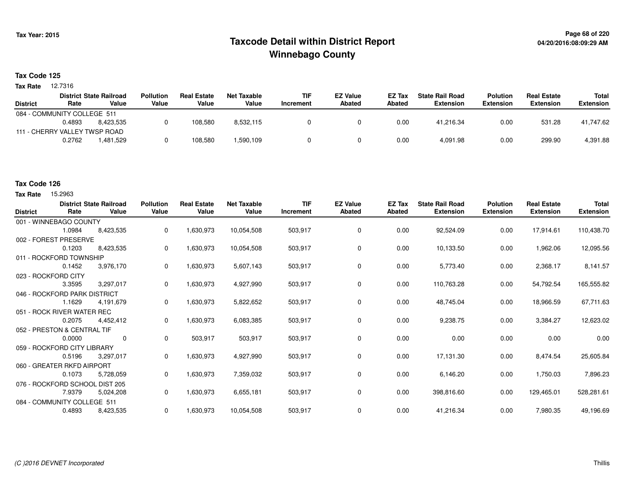## **Page 68 of 220 Taxcode Detail within District ReportWinnebago County**

#### **Tax Code 125**

**Tax Rate** 12.7316

|                 |                               | <b>District State Railroad</b> | <b>Pollution</b> | <b>Real Estate</b> | Net Taxable | <b>TIF</b> | <b>EZ Value</b> | <b>EZ Tax</b> | <b>State Rail Road</b> | <b>Polution</b>  | <b>Real Estate</b> | Total            |
|-----------------|-------------------------------|--------------------------------|------------------|--------------------|-------------|------------|-----------------|---------------|------------------------|------------------|--------------------|------------------|
| <b>District</b> | Rate                          | Value                          | Value            | Value              | Value       | Increment  | Abated          | <b>Abated</b> | <b>Extension</b>       | <b>Extension</b> | <b>Extension</b>   | <b>Extension</b> |
|                 | 084 - COMMUNITY COLLEGE 511   |                                |                  |                    |             |            |                 |               |                        |                  |                    |                  |
|                 | 0.4893                        | 8.423.535                      |                  | 108.580            | 8,532,115   |            |                 | 0.00          | 41.216.34              | 0.00             | 531.28             | 41,747.62        |
|                 | 111 - CHERRY VALLEY TWSP ROAD |                                |                  |                    |             |            |                 |               |                        |                  |                    |                  |
|                 | 0.2762                        | 1.481.529                      |                  | 108.580            | 1,590,109   |            |                 | 0.00          | 4.091.98               | 0.00             | 299.90             | 4,391.88         |
|                 |                               |                                |                  |                    |             |            |                 |               |                        |                  |                    |                  |

#### **Tax Code 126**

**Tax Rate** 15,2963

| <b>District</b> | Rate                           | <b>District State Railroad</b><br>Value | <b>Pollution</b><br>Value | <b>Real Estate</b><br>Value | <b>Net Taxable</b><br>Value | <b>TIF</b><br>Increment | <b>EZ Value</b><br><b>Abated</b> | <b>EZ Tax</b><br>Abated | <b>State Rail Road</b><br><b>Extension</b> | <b>Polution</b><br><b>Extension</b> | <b>Real Estate</b><br><b>Extension</b> | <b>Total</b><br><b>Extension</b> |
|-----------------|--------------------------------|-----------------------------------------|---------------------------|-----------------------------|-----------------------------|-------------------------|----------------------------------|-------------------------|--------------------------------------------|-------------------------------------|----------------------------------------|----------------------------------|
|                 | 001 - WINNEBAGO COUNTY         |                                         |                           |                             |                             |                         |                                  |                         |                                            |                                     |                                        |                                  |
|                 | 1.0984                         | 8,423,535                               | 0                         | 1,630,973                   | 10,054,508                  | 503,917                 | 0                                | 0.00                    | 92,524.09                                  | 0.00                                | 17,914.61                              | 110,438.70                       |
|                 | 002 - FOREST PRESERVE          |                                         |                           |                             |                             |                         |                                  |                         |                                            |                                     |                                        |                                  |
|                 | 0.1203                         | 8,423,535                               | 0                         | 1,630,973                   | 10,054,508                  | 503,917                 | 0                                | 0.00                    | 10,133.50                                  | 0.00                                | 1,962.06                               | 12,095.56                        |
|                 | 011 - ROCKFORD TOWNSHIP        |                                         |                           |                             |                             |                         |                                  |                         |                                            |                                     |                                        |                                  |
|                 | 0.1452                         | 3,976,170                               | 0                         | 1,630,973                   | 5,607,143                   | 503,917                 | $\mathbf 0$                      | 0.00                    | 5,773.40                                   | 0.00                                | 2,368.17                               | 8,141.57                         |
|                 | 023 - ROCKFORD CITY            |                                         |                           |                             |                             |                         |                                  |                         |                                            |                                     |                                        |                                  |
|                 | 3.3595                         | 3,297,017                               | 0                         | 1,630,973                   | 4,927,990                   | 503,917                 | 0                                | 0.00                    | 110,763.28                                 | 0.00                                | 54,792.54                              | 165,555.82                       |
|                 | 046 - ROCKFORD PARK DISTRICT   |                                         |                           |                             |                             |                         |                                  |                         |                                            |                                     |                                        |                                  |
|                 | 1.1629                         | 4,191,679                               | 0                         | 1,630,973                   | 5,822,652                   | 503,917                 | 0                                | 0.00                    | 48,745.04                                  | 0.00                                | 18,966.59                              | 67,711.63                        |
|                 | 051 - ROCK RIVER WATER REC     |                                         |                           |                             |                             |                         |                                  |                         |                                            |                                     |                                        |                                  |
|                 | 0.2075                         | 4,452,412                               | 0                         | 1,630,973                   | 6,083,385                   | 503,917                 | 0                                | 0.00                    | 9,238.75                                   | 0.00                                | 3,384.27                               | 12,623.02                        |
|                 | 052 - PRESTON & CENTRAL TIF    |                                         |                           |                             |                             |                         |                                  |                         |                                            |                                     |                                        |                                  |
|                 | 0.0000                         | 0                                       | 0                         | 503,917                     | 503,917                     | 503,917                 | 0                                | 0.00                    | 0.00                                       | 0.00                                | 0.00                                   | 0.00                             |
|                 | 059 - ROCKFORD CITY LIBRARY    |                                         |                           |                             |                             |                         |                                  |                         |                                            |                                     |                                        |                                  |
|                 | 0.5196                         | 3,297,017                               | 0                         | 1,630,973                   | 4,927,990                   | 503,917                 | $\mathbf 0$                      | 0.00                    | 17,131.30                                  | 0.00                                | 8,474.54                               | 25,605.84                        |
|                 | 060 - GREATER RKFD AIRPORT     |                                         |                           |                             |                             |                         |                                  |                         |                                            |                                     |                                        |                                  |
|                 | 0.1073                         | 5,728,059                               | 0                         | 1,630,973                   | 7,359,032                   | 503,917                 | 0                                | 0.00                    | 6,146.20                                   | 0.00                                | 1,750.03                               | 7,896.23                         |
|                 | 076 - ROCKFORD SCHOOL DIST 205 |                                         |                           |                             |                             |                         |                                  |                         |                                            |                                     |                                        |                                  |
|                 | 7.9379                         | 5,024,208                               | 0                         | 1,630,973                   | 6,655,181                   | 503,917                 | 0                                | 0.00                    | 398,816.60                                 | 0.00                                | 129,465.01                             | 528,281.61                       |
|                 | 084 - COMMUNITY COLLEGE 511    |                                         |                           |                             |                             |                         |                                  |                         |                                            |                                     |                                        |                                  |
|                 | 0.4893                         | 8,423,535                               | 0                         | 1,630,973                   | 10,054,508                  | 503,917                 | $\mathbf 0$                      | 0.00                    | 41,216.34                                  | 0.00                                | 7,980.35                               | 49,196.69                        |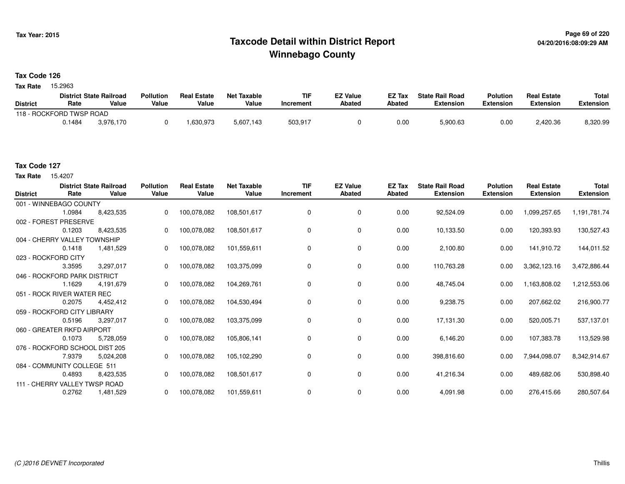## **Page 69 of 220 Taxcode Detail within District ReportWinnebago County**

### **Tax Code 126**

Tax Rate 15.2963

|                          |        | <b>District State Railroad</b> | <b>Pollution</b> | <b>Real Estate</b> | Net Taxable | TIF       | <b>EZ Value</b> | <b>EZ Tax</b> | <b>State Rail Road</b> | <b>Polution</b>  | <b>Real Estate</b> | <b>Total</b> |
|--------------------------|--------|--------------------------------|------------------|--------------------|-------------|-----------|-----------------|---------------|------------------------|------------------|--------------------|--------------|
| <b>District</b>          | Rate   | Value                          | Value            | Value              | Value       | Increment | <b>Abated</b>   | Abated        | <b>Extension</b>       | <b>Extension</b> | <b>Extension</b>   | Extension    |
| 118 - ROCKFORD TWSP ROAD |        |                                |                  |                    |             |           |                 |               |                        |                  |                    |              |
|                          | 0.1484 | 3.976.170                      |                  | .630.973           | 5,607,143   | 503,917   |                 | 0.00          | 5,900.63               | 0.00             | 2.420.36           | 8.320.99     |

15.4207 **Tax Rate**

| <b>District</b>              | Rate   | <b>District State Railroad</b><br>Value | <b>Pollution</b><br>Value | <b>Real Estate</b><br>Value | <b>Net Taxable</b><br>Value | <b>TIF</b><br>Increment | <b>EZ Value</b><br><b>Abated</b> | EZ Tax<br>Abated | <b>State Rail Road</b><br><b>Extension</b> | <b>Polution</b><br><b>Extension</b> | <b>Real Estate</b><br><b>Extension</b> | <b>Total</b><br><b>Extension</b> |
|------------------------------|--------|-----------------------------------------|---------------------------|-----------------------------|-----------------------------|-------------------------|----------------------------------|------------------|--------------------------------------------|-------------------------------------|----------------------------------------|----------------------------------|
| 001 - WINNEBAGO COUNTY       |        |                                         |                           |                             |                             |                         |                                  |                  |                                            |                                     |                                        |                                  |
|                              | 1.0984 | 8,423,535                               | 0                         | 100,078,082                 | 108,501,617                 | 0                       | 0                                | 0.00             | 92,524.09                                  | 0.00                                | 1,099,257.65                           | 1,191,781.74                     |
| 002 - FOREST PRESERVE        |        |                                         |                           |                             |                             |                         |                                  |                  |                                            |                                     |                                        |                                  |
|                              | 0.1203 | 8,423,535                               | 0                         | 100,078,082                 | 108,501,617                 | 0                       | 0                                | 0.00             | 10,133.50                                  | 0.00                                | 120,393.93                             | 130,527.43                       |
| 004 - CHERRY VALLEY TOWNSHIP |        |                                         |                           |                             |                             |                         |                                  |                  |                                            |                                     |                                        |                                  |
|                              | 0.1418 | 1,481,529                               | 0                         | 100,078,082                 | 101,559,611                 | 0                       | 0                                | 0.00             | 2,100.80                                   | 0.00                                | 141,910.72                             | 144,011.52                       |
| 023 - ROCKFORD CITY          |        |                                         |                           |                             |                             |                         |                                  |                  |                                            |                                     |                                        |                                  |
|                              | 3.3595 | 3,297,017                               | $\Omega$                  | 100,078,082                 | 103,375,099                 | 0                       | 0                                | 0.00             | 110,763.28                                 | 0.00                                | 3,362,123.16                           | 3,472,886.44                     |
| 046 - ROCKFORD PARK DISTRICT |        |                                         |                           |                             |                             |                         |                                  |                  |                                            |                                     |                                        |                                  |
|                              | 1.1629 | 4,191,679                               | $\Omega$                  | 100,078,082                 | 104,269,761                 | 0                       | 0                                | 0.00             | 48,745.04                                  | 0.00                                | 1,163,808.02                           | 1,212,553.06                     |
| 051 - ROCK RIVER WATER REC   |        |                                         |                           |                             |                             |                         |                                  |                  |                                            |                                     |                                        |                                  |
|                              | 0.2075 | 4,452,412                               | 0                         | 100,078,082                 | 104,530,494                 | 0                       | 0                                | 0.00             | 9,238.75                                   | 0.00                                | 207,662.02                             | 216,900.77                       |
| 059 - ROCKFORD CITY LIBRARY  |        |                                         |                           |                             |                             |                         |                                  |                  |                                            |                                     |                                        |                                  |
|                              | 0.5196 | 3,297,017                               | 0                         | 100,078,082                 | 103,375,099                 | 0                       | 0                                | 0.00             | 17,131.30                                  | 0.00                                | 520,005.71                             | 537,137.01                       |
| 060 - GREATER RKFD AIRPORT   |        |                                         |                           |                             |                             |                         |                                  |                  |                                            |                                     |                                        |                                  |
|                              | 0.1073 | 5,728,059                               | 0                         | 100,078,082                 | 105,806,141                 | 0                       | 0                                | 0.00             | 6,146.20                                   | 0.00                                | 107,383.78                             | 113,529.98                       |
|                              |        | 076 - ROCKFORD SCHOOL DIST 205          |                           |                             |                             |                         |                                  |                  |                                            |                                     |                                        |                                  |
|                              | 7.9379 | 5,024,208                               | 0                         | 100,078,082                 | 105,102,290                 | 0                       | 0                                | 0.00             | 398,816.60                                 | 0.00                                | 7,944,098.07                           | 8,342,914.67                     |
| 084 - COMMUNITY COLLEGE 511  |        |                                         |                           |                             |                             |                         |                                  |                  |                                            |                                     |                                        |                                  |
|                              | 0.4893 | 8,423,535                               |                           | 100,078,082                 | 108,501,617                 | 0                       | 0                                | 0.00             | 41,216.34                                  | 0.00                                | 489,682.06                             | 530,898.40                       |
|                              |        | 111 - CHERRY VALLEY TWSP ROAD           |                           |                             |                             |                         |                                  |                  |                                            |                                     |                                        |                                  |
|                              | 0.2762 | 1,481,529                               | 0                         | 100,078,082                 | 101,559,611                 | 0                       | 0                                | 0.00             | 4,091.98                                   | 0.00                                | 276,415.66                             | 280,507.64                       |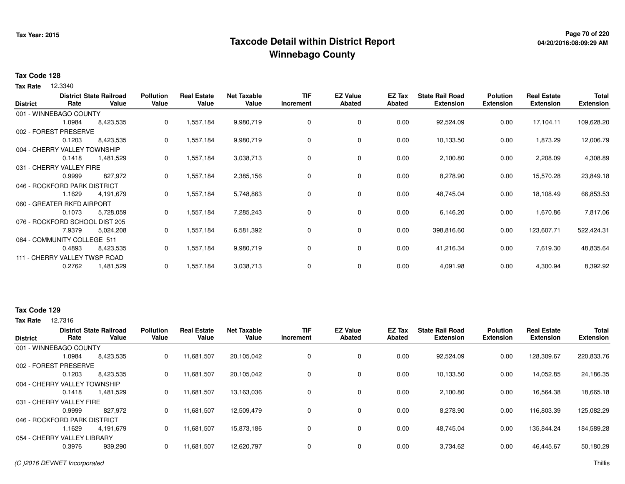## **Page 70 of 220 Taxcode Detail within District ReportWinnebago County**

# **04/20/2016:08:09:29 AM**

#### **Tax Code 128**

12.3340 **Tax Rate**

| <b>District</b> | Rate                           | <b>District State Railroad</b><br>Value | <b>Pollution</b><br>Value | <b>Real Estate</b><br>Value | <b>Net Taxable</b><br>Value | <b>TIF</b><br>Increment | <b>EZ Value</b><br>Abated | EZ Tax<br>Abated | <b>State Rail Road</b><br><b>Extension</b> | <b>Polution</b><br><b>Extension</b> | <b>Real Estate</b><br><b>Extension</b> | <b>Total</b><br><b>Extension</b> |
|-----------------|--------------------------------|-----------------------------------------|---------------------------|-----------------------------|-----------------------------|-------------------------|---------------------------|------------------|--------------------------------------------|-------------------------------------|----------------------------------------|----------------------------------|
|                 | 001 - WINNEBAGO COUNTY         |                                         |                           |                             |                             |                         |                           |                  |                                            |                                     |                                        |                                  |
|                 | 1.0984                         | 8,423,535                               | 0                         | 1,557,184                   | 9,980,719                   | 0                       | 0                         | 0.00             | 92,524.09                                  | 0.00                                | 17,104.11                              | 109,628.20                       |
|                 | 002 - FOREST PRESERVE          |                                         |                           |                             |                             |                         |                           |                  |                                            |                                     |                                        |                                  |
|                 | 0.1203                         | 8,423,535                               | 0                         | 1,557,184                   | 9,980,719                   | 0                       | 0                         | 0.00             | 10,133.50                                  | 0.00                                | 1,873.29                               | 12,006.79                        |
|                 | 004 - CHERRY VALLEY TOWNSHIP   |                                         |                           |                             |                             |                         |                           |                  |                                            |                                     |                                        |                                  |
|                 | 0.1418                         | 1,481,529                               | 0                         | 1,557,184                   | 3,038,713                   | 0                       | 0                         | 0.00             | 2,100.80                                   | 0.00                                | 2,208.09                               | 4,308.89                         |
|                 | 031 - CHERRY VALLEY FIRE       |                                         |                           |                             |                             |                         |                           |                  |                                            |                                     |                                        |                                  |
|                 | 0.9999                         | 827,972                                 | 0                         | 1,557,184                   | 2,385,156                   | 0                       | 0                         | 0.00             | 8,278.90                                   | 0.00                                | 15,570.28                              | 23,849.18                        |
|                 | 046 - ROCKFORD PARK DISTRICT   |                                         |                           |                             |                             |                         |                           |                  |                                            |                                     |                                        |                                  |
|                 | 1.1629                         | 4,191,679                               | 0                         | 1,557,184                   | 5,748,863                   | 0                       | 0                         | 0.00             | 48,745.04                                  | 0.00                                | 18,108.49                              | 66,853.53                        |
|                 | 060 - GREATER RKFD AIRPORT     |                                         |                           |                             |                             |                         |                           |                  |                                            |                                     |                                        |                                  |
|                 | 0.1073                         | 5,728,059                               | 0                         | 1,557,184                   | 7,285,243                   | 0                       | 0                         | 0.00             | 6,146.20                                   | 0.00                                | 1,670.86                               | 7,817.06                         |
|                 | 076 - ROCKFORD SCHOOL DIST 205 |                                         |                           |                             |                             |                         |                           |                  |                                            |                                     |                                        |                                  |
|                 | 7.9379                         | 5,024,208                               | 0                         | 1,557,184                   | 6,581,392                   | 0                       | 0                         | 0.00             | 398,816.60                                 | 0.00                                | 123,607.71                             | 522,424.31                       |
|                 | 084 - COMMUNITY COLLEGE 511    |                                         |                           |                             |                             |                         |                           |                  |                                            |                                     |                                        |                                  |
|                 | 0.4893                         | 8,423,535                               | 0                         | 1,557,184                   | 9,980,719                   | 0                       | 0                         | 0.00             | 41,216.34                                  | 0.00                                | 7,619.30                               | 48,835.64                        |
|                 | 111 - CHERRY VALLEY TWSP ROAD  |                                         |                           |                             |                             |                         |                           |                  |                                            |                                     |                                        |                                  |
|                 | 0.2762                         | 1,481,529                               | 0                         | 1,557,184                   | 3,038,713                   | 0                       | 0                         | 0.00             | 4,091.98                                   | 0.00                                | 4,300.94                               | 8,392.92                         |

#### **Tax Code 129**

**Tax Rate** 12,7316

| <b>District</b>              | Rate                         | <b>District State Railroad</b><br>Value | <b>Pollution</b><br>Value | <b>Real Estate</b><br>Value | <b>Net Taxable</b><br>Value | <b>TIF</b><br>Increment | <b>EZ Value</b><br>Abated | <b>EZ Tax</b><br>Abated | <b>State Rail Road</b><br><b>Extension</b> | Polution<br><b>Extension</b> | <b>Real Estate</b><br><b>Extension</b> | <b>Total</b><br><b>Extension</b> |
|------------------------------|------------------------------|-----------------------------------------|---------------------------|-----------------------------|-----------------------------|-------------------------|---------------------------|-------------------------|--------------------------------------------|------------------------------|----------------------------------------|----------------------------------|
| 001 - WINNEBAGO COUNTY       |                              |                                         |                           |                             |                             |                         |                           |                         |                                            |                              |                                        |                                  |
|                              | 1.0984                       | 8,423,535                               | 0                         | 11,681,507                  | 20,105,042                  | 0                       | 0                         | 0.00                    | 92,524.09                                  | 0.00                         | 128,309.67                             | 220,833.76                       |
| 002 - FOREST PRESERVE        |                              |                                         |                           |                             |                             |                         |                           |                         |                                            |                              |                                        |                                  |
|                              | 0.1203                       | 8,423,535                               | 0                         | 11,681,507                  | 20,105,042                  | 0                       | 0                         | 0.00                    | 10.133.50                                  | 0.00                         | 14,052.85                              | 24,186.35                        |
|                              | 004 - CHERRY VALLEY TOWNSHIP |                                         |                           |                             |                             |                         |                           |                         |                                            |                              |                                        |                                  |
|                              | 0.1418                       | 1,481,529                               | 0                         | 11,681,507                  | 13,163,036                  | 0                       | 0                         | 0.00                    | 2,100.80                                   | 0.00                         | 16,564.38                              | 18,665.18                        |
| 031 - CHERRY VALLEY FIRE     |                              |                                         |                           |                             |                             |                         |                           |                         |                                            |                              |                                        |                                  |
|                              | 0.9999                       | 827.972                                 | 0                         | 11,681,507                  | 12,509,479                  | 0                       | 0                         | 0.00                    | 8,278.90                                   | 0.00                         | 116,803.39                             | 125,082.29                       |
| 046 - ROCKFORD PARK DISTRICT |                              |                                         |                           |                             |                             |                         |                           |                         |                                            |                              |                                        |                                  |
|                              | l.1629                       | 4.191.679                               | 0                         | 11,681,507                  | 15,873,186                  | 0                       | $\mathbf 0$               | 0.00                    | 48.745.04                                  | 0.00                         | 135.844.24                             | 184,589.28                       |
| 054 - CHERRY VALLEY LIBRARY  |                              |                                         |                           |                             |                             |                         |                           |                         |                                            |                              |                                        |                                  |
|                              | 0.3976                       | 939,290                                 | 0                         | 11,681,507                  | 12,620,797                  | 0                       | $\mathbf 0$               | 0.00                    | 3,734.62                                   | 0.00                         | 46,445.67                              | 50,180.29                        |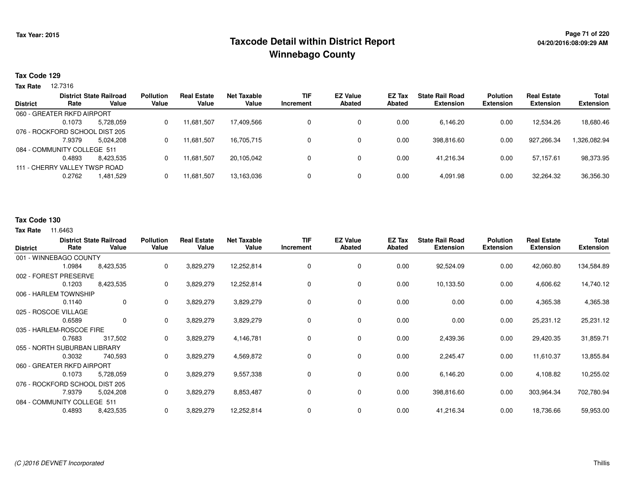## **Page 71 of 220 Taxcode Detail within District ReportWinnebago County**

#### **Tax Code 129**

**Tax Rate** 12.7316

|                 |                                | <b>District State Railroad</b> | <b>Pollution</b> | <b>Real Estate</b> | <b>Net Taxable</b> | <b>TIF</b> | <b>EZ Value</b> | EZ Tax | <b>State Rail Road</b> | <b>Polution</b>  | <b>Real Estate</b> | <b>Total</b>     |
|-----------------|--------------------------------|--------------------------------|------------------|--------------------|--------------------|------------|-----------------|--------|------------------------|------------------|--------------------|------------------|
| <b>District</b> | Rate                           | Value                          | Value            | Value              | Value              | Increment  | Abated          | Abated | <b>Extension</b>       | <b>Extension</b> | <b>Extension</b>   | <b>Extension</b> |
|                 | 060 - GREATER RKFD AIRPORT     |                                |                  |                    |                    |            |                 |        |                        |                  |                    |                  |
|                 | 0.1073                         | 5,728,059                      | 0                | 11,681,507         | 17,409,566         |            | 0               | 0.00   | 6,146.20               | 0.00             | 12,534.26          | 18,680.46        |
|                 | 076 - ROCKFORD SCHOOL DIST 205 |                                |                  |                    |                    |            |                 |        |                        |                  |                    |                  |
|                 | 7.9379                         | 5,024,208                      | 0                | 11,681,507         | 16,705,715         | 0          | 0               | 0.00   | 398,816.60             | 0.00             | 927,266.34         | 1,326,082.94     |
|                 | 084 - COMMUNITY COLLEGE 511    |                                |                  |                    |                    |            |                 |        |                        |                  |                    |                  |
|                 | 0.4893                         | 8.423.535                      | 0                | 11,681,507         | 20.105.042         | 0          | 0               | 0.00   | 41.216.34              | 0.00             | 57.157.61          | 98,373.95        |
|                 | 111 - CHERRY VALLEY TWSP ROAD  |                                |                  |                    |                    |            |                 |        |                        |                  |                    |                  |
|                 | 0.2762                         | 1,481,529                      | 0                | 11,681,507         | 13,163,036         | 0          | 0               | 0.00   | 4,091.98               | 0.00             | 32,264.32          | 36,356.30        |
|                 |                                |                                |                  |                    |                    |            |                 |        |                        |                  |                    |                  |

#### **Tax Code 130**

| <b>District</b>      | Rate                           | <b>District State Railroad</b><br>Value | <b>Pollution</b><br>Value | <b>Real Estate</b><br>Value | <b>Net Taxable</b><br>Value | <b>TIF</b><br><b>Increment</b> | <b>EZ Value</b><br><b>Abated</b> | EZ Tax<br><b>Abated</b> | <b>State Rail Road</b><br><b>Extension</b> | <b>Polution</b><br><b>Extension</b> | <b>Real Estate</b><br><b>Extension</b> | Total<br><b>Extension</b> |
|----------------------|--------------------------------|-----------------------------------------|---------------------------|-----------------------------|-----------------------------|--------------------------------|----------------------------------|-------------------------|--------------------------------------------|-------------------------------------|----------------------------------------|---------------------------|
|                      | 001 - WINNEBAGO COUNTY         |                                         |                           |                             |                             |                                |                                  |                         |                                            |                                     |                                        |                           |
|                      | 1.0984                         | 8,423,535                               | 0                         | 3,829,279                   | 12,252,814                  | 0                              | 0                                | 0.00                    | 92,524.09                                  | 0.00                                | 42,060.80                              | 134,584.89                |
| 002 - FOREST         | <b>PRESERVE</b>                |                                         |                           |                             |                             |                                |                                  |                         |                                            |                                     |                                        |                           |
|                      | 0.1203                         | 8,423,535                               | 0                         | 3,829,279                   | 12,252,814                  | 0                              | 0                                | 0.00                    | 10,133.50                                  | 0.00                                | 4,606.62                               | 14,740.12                 |
|                      | 006 - HARLEM TOWNSHIP          |                                         |                           |                             |                             |                                |                                  |                         |                                            |                                     |                                        |                           |
|                      | 0.1140                         | 0                                       | 0                         | 3,829,279                   | 3,829,279                   | 0                              | 0                                | 0.00                    | 0.00                                       | 0.00                                | 4,365.38                               | 4,365.38                  |
| 025 - ROSCOE VILLAGE |                                |                                         |                           |                             |                             |                                |                                  |                         |                                            |                                     |                                        |                           |
|                      | 0.6589                         | 0                                       | 0                         | 3,829,279                   | 3,829,279                   | 0                              | 0                                | 0.00                    | 0.00                                       | 0.00                                | 25,231.12                              | 25,231.12                 |
|                      | 035 - HARLEM-ROSCOE FIRE       |                                         |                           |                             |                             |                                |                                  |                         |                                            |                                     |                                        |                           |
|                      | 0.7683                         | 317,502                                 | 0                         | 3,829,279                   | 4,146,781                   | 0                              | 0                                | 0.00                    | 2,439.36                                   | 0.00                                | 29,420.35                              | 31,859.71                 |
|                      | 055 - NORTH SUBURBAN LIBRARY   |                                         |                           |                             |                             |                                |                                  |                         |                                            |                                     |                                        |                           |
|                      | 0.3032                         | 740,593                                 | 0                         | 3,829,279                   | 4,569,872                   | 0                              | 0                                | 0.00                    | 2,245.47                                   | 0.00                                | 11,610.37                              | 13,855.84                 |
|                      | 060 - GREATER RKFD AIRPORT     |                                         |                           |                             |                             |                                |                                  |                         |                                            |                                     |                                        |                           |
|                      | 0.1073                         | 5,728,059                               | 0                         | 3,829,279                   | 9,557,338                   | 0                              | 0                                | 0.00                    | 6,146.20                                   | 0.00                                | 4,108.82                               | 10,255.02                 |
|                      | 076 - ROCKFORD SCHOOL DIST 205 |                                         |                           |                             |                             |                                |                                  |                         |                                            |                                     |                                        |                           |
|                      | 7.9379                         | 5,024,208                               | 0                         | 3,829,279                   | 8,853,487                   | 0                              | 0                                | 0.00                    | 398,816.60                                 | 0.00                                | 303,964.34                             | 702,780.94                |
|                      | 084 - COMMUNITY COLLEGE 511    |                                         |                           |                             |                             |                                |                                  |                         |                                            |                                     |                                        |                           |
|                      | 0.4893                         | 8,423,535                               | 0                         | 3,829,279                   | 12,252,814                  | 0                              | 0                                | 0.00                    | 41,216.34                                  | 0.00                                | 18,736.66                              | 59,953.00                 |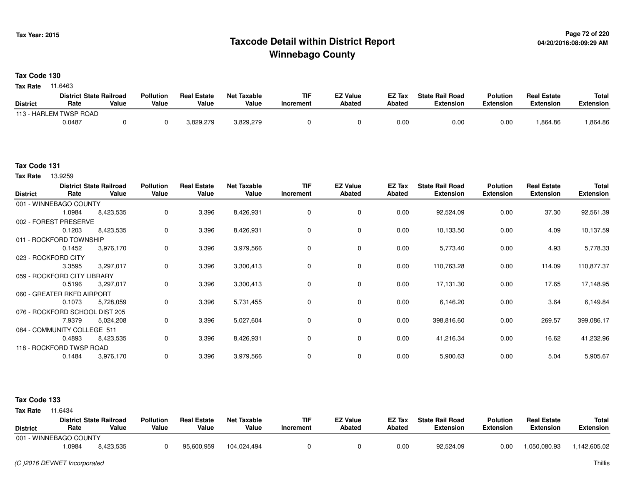## **Page 72 of 220 Taxcode Detail within District ReportWinnebago County**

**Tax Code 130**

**Tax Rate** 11.6463

|                 | <b>District State Railroad</b> |       | <b>Pollution</b> | <b>Real Estate</b> | Net Taxable | TIF       | <b>EZ Value</b> | <b>EZ Tax</b> | <b>State Rail Road</b> | <b>Polution</b>  | <b>Real Estate</b> | <b>Total</b> |
|-----------------|--------------------------------|-------|------------------|--------------------|-------------|-----------|-----------------|---------------|------------------------|------------------|--------------------|--------------|
| <b>District</b> | Rate                           | Value | Value            | Value              | Value       | Increment | <b>Abated</b>   | Abated        | <b>Extension</b>       | <b>Extension</b> | <b>Extension</b>   | Extension    |
|                 | 113 - HARLEM TWSP ROAD         |       |                  |                    |             |           |                 |               |                        |                  |                    |              |
|                 | 0.0487                         |       |                  | 3,829,279          | 3,829,279   |           |                 | 0.00          | 0.00                   | 0.00             | .864.86            | .864.86      |

#### **Tax Code 131**

13.9259 **Tax Rate**

| <b>District</b> | Rate                           | <b>District State Railroad</b><br>Value | <b>Pollution</b><br>Value | <b>Real Estate</b><br>Value | <b>Net Taxable</b><br>Value | <b>TIF</b><br>Increment | <b>EZ Value</b><br><b>Abated</b> | EZ Tax<br><b>Abated</b> | <b>State Rail Road</b><br><b>Extension</b> | <b>Polution</b><br><b>Extension</b> | <b>Real Estate</b><br><b>Extension</b> | Total<br><b>Extension</b> |
|-----------------|--------------------------------|-----------------------------------------|---------------------------|-----------------------------|-----------------------------|-------------------------|----------------------------------|-------------------------|--------------------------------------------|-------------------------------------|----------------------------------------|---------------------------|
|                 | 001 - WINNEBAGO COUNTY         |                                         |                           |                             |                             |                         |                                  |                         |                                            |                                     |                                        |                           |
|                 | 1.0984                         | 8,423,535                               | 0                         | 3,396                       | 8,426,931                   | $\mathbf 0$             | $\mathbf 0$                      | 0.00                    | 92,524.09                                  | 0.00                                | 37.30                                  | 92,561.39                 |
|                 | 002 - FOREST PRESERVE          |                                         |                           |                             |                             |                         |                                  |                         |                                            |                                     |                                        |                           |
|                 | 0.1203                         | 8,423,535                               | 0                         | 3,396                       | 8,426,931                   | 0                       | 0                                | 0.00                    | 10,133.50                                  | 0.00                                | 4.09                                   | 10,137.59                 |
|                 | 011 - ROCKFORD TOWNSHIP        |                                         |                           |                             |                             |                         |                                  |                         |                                            |                                     |                                        |                           |
|                 | 0.1452                         | 3,976,170                               | 0                         | 3,396                       | 3,979,566                   | 0                       | 0                                | 0.00                    | 5,773.40                                   | 0.00                                | 4.93                                   | 5,778.33                  |
|                 | 023 - ROCKFORD CITY            |                                         |                           |                             |                             |                         |                                  |                         |                                            |                                     |                                        |                           |
|                 | 3.3595                         | 3,297,017                               | 0                         | 3,396                       | 3,300,413                   | $\mathbf 0$             | $\mathbf 0$                      | 0.00                    | 110,763.28                                 | 0.00                                | 114.09                                 | 110,877.37                |
|                 | 059 - ROCKFORD CITY LIBRARY    |                                         |                           |                             |                             |                         |                                  |                         |                                            |                                     |                                        |                           |
|                 | 0.5196                         | 3,297,017                               | 0                         | 3,396                       | 3,300,413                   | 0                       | 0                                | 0.00                    | 17,131.30                                  | 0.00                                | 17.65                                  | 17,148.95                 |
|                 | 060 - GREATER RKFD AIRPORT     |                                         |                           |                             |                             |                         |                                  |                         |                                            |                                     |                                        |                           |
|                 | 0.1073                         | 5,728,059                               | 0                         | 3,396                       | 5,731,455                   | 0                       | $\mathbf 0$                      | 0.00                    | 6,146.20                                   | 0.00                                | 3.64                                   | 6,149.84                  |
|                 | 076 - ROCKFORD SCHOOL DIST 205 |                                         |                           |                             |                             |                         |                                  |                         |                                            |                                     |                                        |                           |
|                 | 7.9379                         | 5,024,208                               | 0                         | 3,396                       | 5,027,604                   | 0                       | 0                                | 0.00                    | 398,816.60                                 | 0.00                                | 269.57                                 | 399,086.17                |
|                 | 084 - COMMUNITY COLLEGE 511    |                                         |                           |                             |                             |                         |                                  |                         |                                            |                                     |                                        |                           |
|                 | 0.4893                         | 8,423,535                               | 0                         | 3,396                       | 8,426,931                   | 0                       | $\mathbf 0$                      | 0.00                    | 41,216.34                                  | 0.00                                | 16.62                                  | 41,232.96                 |
|                 | 118 - ROCKFORD TWSP ROAD       |                                         |                           |                             |                             |                         |                                  |                         |                                            |                                     |                                        |                           |
|                 | 0.1484                         | 3,976,170                               | 0                         | 3,396                       | 3,979,566                   | 0                       | $\mathbf 0$                      | 0.00                    | 5,900.63                                   | 0.00                                | 5.04                                   | 5,905.67                  |
|                 |                                |                                         |                           |                             |                             |                         |                                  |                         |                                            |                                     |                                        |                           |

| <b>Tax Rate</b> | 11.6434                        |           |                  |                    |             |           |                 |               |                        |                  |                    |                  |
|-----------------|--------------------------------|-----------|------------------|--------------------|-------------|-----------|-----------------|---------------|------------------------|------------------|--------------------|------------------|
|                 | <b>District State Railroad</b> |           | <b>Pollution</b> | <b>Real Estate</b> | Net Taxable | TIF       | <b>EZ Value</b> | <b>EZ Tax</b> | <b>State Rail Road</b> | <b>Polution</b>  | <b>Real Estate</b> | Total            |
| <b>District</b> | Rate                           | Value     | Value            | Value              | Value       | Increment | Abated          | <b>Abated</b> | <b>Extension</b>       | <b>Extension</b> | <b>Extension</b>   | <b>Extension</b> |
|                 | 001 - WINNEBAGO COUNTY         |           |                  |                    |             |           |                 |               |                        |                  |                    |                  |
|                 | .0984                          | 8,423,535 |                  | 95,600,959         | 104.024.494 |           |                 | 0.00          | 92.524.09              | 0.00             | .050.080.93        | 142,605.02       |
|                 |                                |           |                  |                    |             |           |                 |               |                        |                  |                    |                  |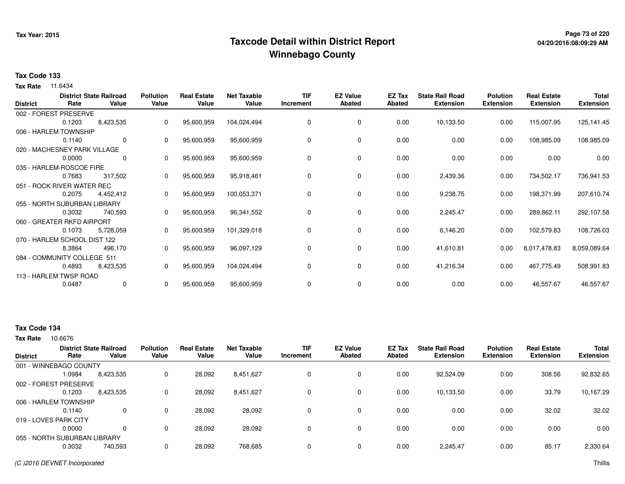## **Page 73 of 220 Taxcode Detail within District ReportWinnebago County**

# **04/20/2016:08:09:29 AM**

### **Tax Code 133**

**Tax Rate** 11.6434

| <b>District</b> | Rate                         | <b>District State Railroad</b><br>Value | <b>Pollution</b><br>Value | <b>Real Estate</b><br>Value | <b>Net Taxable</b><br>Value | <b>TIF</b><br>Increment | <b>EZ Value</b><br><b>Abated</b> | EZ Tax<br>Abated | <b>State Rail Road</b><br><b>Extension</b> | <b>Polution</b><br><b>Extension</b> | <b>Real Estate</b><br><b>Extension</b> | <b>Total</b><br><b>Extension</b> |
|-----------------|------------------------------|-----------------------------------------|---------------------------|-----------------------------|-----------------------------|-------------------------|----------------------------------|------------------|--------------------------------------------|-------------------------------------|----------------------------------------|----------------------------------|
|                 | 002 - FOREST PRESERVE        |                                         |                           |                             |                             |                         |                                  |                  |                                            |                                     |                                        |                                  |
|                 | 0.1203                       | 8,423,535                               | 0                         | 95,600,959                  | 104,024,494                 | 0                       | $\mathbf 0$                      | 0.00             | 10,133.50                                  | 0.00                                | 115,007.95                             | 125,141.45                       |
|                 | 006 - HARLEM TOWNSHIP        |                                         |                           |                             |                             |                         |                                  |                  |                                            |                                     |                                        |                                  |
|                 | 0.1140                       | $\mathbf 0$                             | 0                         | 95,600,959                  | 95,600,959                  | 0                       | 0                                | 0.00             | 0.00                                       | 0.00                                | 108,985.09                             | 108,985.09                       |
|                 | 020 - MACHESNEY PARK VILLAGE |                                         |                           |                             |                             |                         |                                  |                  |                                            |                                     |                                        |                                  |
|                 | 0.0000                       | 0                                       | 0                         | 95,600,959                  | 95,600,959                  | 0                       | 0                                | 0.00             | 0.00                                       | 0.00                                | 0.00                                   | 0.00                             |
|                 | 035 - HARLEM-ROSCOE FIRE     |                                         |                           |                             |                             |                         |                                  |                  |                                            |                                     |                                        |                                  |
|                 | 0.7683                       | 317,502                                 | 0                         | 95,600,959                  | 95,918,461                  | 0                       | $\mathbf 0$                      | 0.00             | 2,439.36                                   | 0.00                                | 734,502.17                             | 736,941.53                       |
|                 | 051 - ROCK RIVER WATER REC   |                                         |                           |                             |                             |                         |                                  |                  |                                            |                                     |                                        |                                  |
|                 | 0.2075                       | 4,452,412                               | 0                         | 95,600,959                  | 100,053,371                 | 0                       | 0                                | 0.00             | 9,238.75                                   | 0.00                                | 198,371.99                             | 207,610.74                       |
|                 | 055 - NORTH SUBURBAN LIBRARY |                                         |                           |                             |                             |                         |                                  |                  |                                            |                                     |                                        |                                  |
|                 | 0.3032                       | 740,593                                 |                           | 95,600,959                  | 96,341,552                  | 0                       | 0                                | 0.00             | 2,245.47                                   | 0.00                                | 289,862.11                             | 292,107.58                       |
|                 | 060 - GREATER RKFD AIRPORT   |                                         |                           |                             |                             |                         |                                  |                  |                                            |                                     |                                        |                                  |
|                 | 0.1073                       | 5,728,059                               | 0                         | 95,600,959                  | 101,329,018                 | 0                       | 0                                | 0.00             | 6,146.20                                   | 0.00                                | 102,579.83                             | 108,726.03                       |
|                 | 070 - HARLEM SCHOOL DIST 122 |                                         |                           |                             |                             |                         |                                  |                  |                                            |                                     |                                        |                                  |
|                 | 8.3864                       | 496,170                                 | 0                         | 95,600,959                  | 96,097,129                  | 0                       | 0                                | 0.00             | 41,610.81                                  | 0.00                                | 8,017,478.83                           | 8,059,089.64                     |
|                 | 084 - COMMUNITY COLLEGE 511  |                                         |                           |                             |                             |                         |                                  |                  |                                            |                                     |                                        |                                  |
|                 | 0.4893                       | 8,423,535                               | 0                         | 95,600,959                  | 104,024,494                 | 0                       | 0                                | 0.00             | 41,216.34                                  | 0.00                                | 467,775.49                             | 508,991.83                       |
|                 | 113 - HARLEM TWSP ROAD       |                                         |                           |                             |                             |                         |                                  |                  |                                            |                                     |                                        |                                  |
|                 | 0.0487                       | $\mathbf 0$                             | 0                         | 95,600,959                  | 95,600,959                  | 0                       | 0                                | 0.00             | 0.00                                       | 0.00                                | 46,557.67                              | 46,557.67                        |

### **Tax Code 134**

| <b>District</b>       | Rate                         | <b>District State Railroad</b><br>Value | <b>Pollution</b><br>Value | <b>Real Estate</b><br>Value | <b>Net Taxable</b><br>Value | <b>TIF</b><br>Increment | <b>EZ Value</b><br><b>Abated</b> | <b>EZ Tax</b><br>Abated | <b>State Rail Road</b><br><b>Extension</b> | <b>Polution</b><br><b>Extension</b> | <b>Real Estate</b><br><b>Extension</b> | <b>Total</b><br><b>Extension</b> |
|-----------------------|------------------------------|-----------------------------------------|---------------------------|-----------------------------|-----------------------------|-------------------------|----------------------------------|-------------------------|--------------------------------------------|-------------------------------------|----------------------------------------|----------------------------------|
|                       | 001 - WINNEBAGO COUNTY       |                                         |                           |                             |                             |                         |                                  |                         |                                            |                                     |                                        |                                  |
|                       | 1.0984                       | 8,423,535                               | 0                         | 28,092                      | 8,451,627                   | 0                       | 0                                | 0.00                    | 92,524.09                                  | 0.00                                | 308.56                                 | 92,832.65                        |
|                       | 002 - FOREST PRESERVE        |                                         |                           |                             |                             |                         |                                  |                         |                                            |                                     |                                        |                                  |
|                       | 0.1203                       | 8,423,535                               | 0                         | 28,092                      | 8,451,627                   | $\Omega$                | $\Omega$                         | 0.00                    | 10,133.50                                  | 0.00                                | 33.79                                  | 10,167.29                        |
|                       | 006 - HARLEM TOWNSHIP        |                                         |                           |                             |                             |                         |                                  |                         |                                            |                                     |                                        |                                  |
|                       | 0.1140                       | 0                                       | 0                         | 28.092                      | 28,092                      | $\Omega$                | 0                                | 0.00                    | 0.00                                       | 0.00                                | 32.02                                  | 32.02                            |
| 019 - LOVES PARK CITY |                              |                                         |                           |                             |                             |                         |                                  |                         |                                            |                                     |                                        |                                  |
|                       | 0.0000                       |                                         | 0                         | 28,092                      | 28,092                      | $\Omega$                | 0                                | 0.00                    | 0.00                                       | 0.00                                | 0.00                                   | 0.00                             |
|                       | 055 - NORTH SUBURBAN LIBRARY |                                         |                           |                             |                             |                         |                                  |                         |                                            |                                     |                                        |                                  |
|                       | 0.3032                       | 740,593                                 | 0                         | 28,092                      | 768,685                     | 0                       | 0                                | 0.00                    | 2,245.47                                   | 0.00                                | 85.17                                  | 2,330.64                         |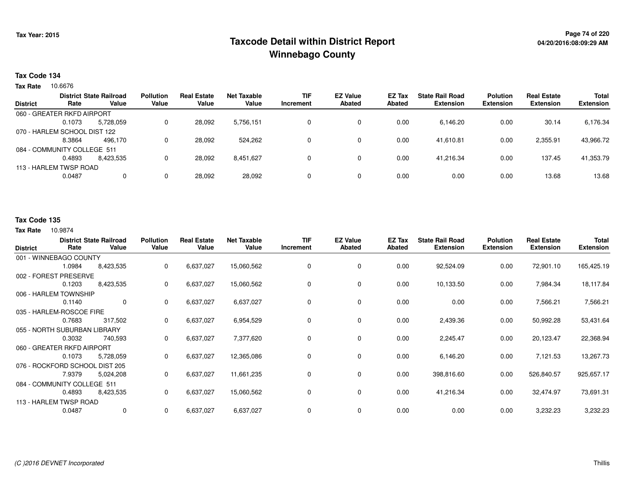## **Page 74 of 220 Taxcode Detail within District ReportWinnebago County**

### **Tax Code 134**

Tax Rate 10.6676

|                 |                              | <b>District State Railroad</b> | <b>Pollution</b> | <b>Real Estate</b> | <b>Net Taxable</b> | TIF       | <b>EZ Value</b> | <b>EZ Tax</b> | <b>State Rail Road</b> | <b>Polution</b>  | <b>Real Estate</b> | <b>Total</b>     |
|-----------------|------------------------------|--------------------------------|------------------|--------------------|--------------------|-----------|-----------------|---------------|------------------------|------------------|--------------------|------------------|
| <b>District</b> | Rate                         | Value                          | Value            | Value              | Value              | Increment | <b>Abated</b>   | Abated        | <b>Extension</b>       | <b>Extension</b> | <b>Extension</b>   | <b>Extension</b> |
|                 | 060 - GREATER RKFD AIRPORT   |                                |                  |                    |                    |           |                 |               |                        |                  |                    |                  |
|                 | 0.1073                       | 5.728.059                      | 0                | 28,092             | 5,756,151          |           | 0               | 0.00          | 6,146.20               | 0.00             | 30.14              | 6,176.34         |
|                 | 070 - HARLEM SCHOOL DIST 122 |                                |                  |                    |                    |           |                 |               |                        |                  |                    |                  |
|                 | 8.3864                       | 496.170                        | 0                | 28.092             | 524.262            |           | 0               | 0.00          | 41.610.81              | 0.00             | 2,355.91           | 43,966.72        |
|                 | 084 - COMMUNITY COLLEGE 511  |                                |                  |                    |                    |           |                 |               |                        |                  |                    |                  |
|                 | 0.4893                       | 8,423,535                      | 0                | 28,092             | 8,451,627          |           | 0               | 0.00          | 41,216.34              | 0.00             | 137.45             | 41,353.79        |
|                 | 113 - HARLEM TWSP ROAD       |                                |                  |                    |                    |           |                 |               |                        |                  |                    |                  |
|                 | 0.0487                       | 0                              | 0                | 28,092             | 28,092             |           | 0               | 0.00          | 0.00                   | 0.00             | 13.68              | 13.68            |
|                 |                              |                                |                  |                    |                    |           |                 |               |                        |                  |                    |                  |

### **Tax Code 135**

| <b>District</b> |                                | <b>District State Railroad</b> | <b>Pollution</b> | <b>Real Estate</b> | <b>Net Taxable</b> | <b>TIF</b> | <b>EZ Value</b> | <b>EZ Tax</b> | <b>State Rail Road</b> | <b>Polution</b>  | <b>Real Estate</b> | <b>Total</b>     |
|-----------------|--------------------------------|--------------------------------|------------------|--------------------|--------------------|------------|-----------------|---------------|------------------------|------------------|--------------------|------------------|
|                 | Rate                           | Value                          | Value            | Value              | Value              | Increment  | <b>Abated</b>   | <b>Abated</b> | <b>Extension</b>       | <b>Extension</b> | <b>Extension</b>   | <b>Extension</b> |
|                 | 001 - WINNEBAGO COUNTY         |                                |                  |                    |                    |            |                 |               |                        |                  |                    |                  |
|                 | 1.0984                         | 8,423,535                      | 0                | 6,637,027          | 15,060,562         | 0          | 0               | 0.00          | 92,524.09              | 0.00             | 72,901.10          | 165,425.19       |
|                 | 002 - FOREST PRESERVE          |                                |                  |                    |                    |            |                 |               |                        |                  |                    |                  |
|                 | 0.1203                         | 8,423,535                      | 0                | 6,637,027          | 15,060,562         | 0          | 0               | 0.00          | 10,133.50              | 0.00             | 7,984.34           | 18,117.84        |
|                 | 006 - HARLEM TOWNSHIP          |                                |                  |                    |                    |            |                 |               |                        |                  |                    |                  |
|                 | 0.1140                         | $\mathbf 0$                    | 0                | 6,637,027          | 6,637,027          | 0          | 0               | 0.00          | 0.00                   | 0.00             | 7,566.21           | 7,566.21         |
|                 | 035 - HARLEM-ROSCOE FIRE       |                                |                  |                    |                    |            |                 |               |                        |                  |                    |                  |
|                 | 0.7683                         | 317,502                        | 0                | 6,637,027          | 6,954,529          | 0          | 0               | 0.00          | 2,439.36               | 0.00             | 50,992.28          | 53,431.64        |
|                 | 055 - NORTH SUBURBAN LIBRARY   |                                |                  |                    |                    |            |                 |               |                        |                  |                    |                  |
|                 | 0.3032                         | 740,593                        | 0                | 6,637,027          | 7,377,620          | 0          | 0               | 0.00          | 2,245.47               | 0.00             | 20,123.47          | 22,368.94        |
|                 | 060 - GREATER RKFD AIRPORT     |                                |                  |                    |                    |            |                 |               |                        |                  |                    |                  |
|                 | 0.1073                         | 5,728,059                      | 0                | 6,637,027          | 12,365,086         | 0          | 0               | 0.00          | 6,146.20               | 0.00             | 7,121.53           | 13,267.73        |
|                 | 076 - ROCKFORD SCHOOL DIST 205 |                                |                  |                    |                    |            |                 |               |                        |                  |                    |                  |
|                 | 7.9379                         | 5,024,208                      | 0                | 6,637,027          | 11,661,235         | 0          | 0               | 0.00          | 398,816.60             | 0.00             | 526,840.57         | 925,657.17       |
|                 | 084 - COMMUNITY COLLEGE 511    |                                |                  |                    |                    |            |                 |               |                        |                  |                    |                  |
|                 | 0.4893                         | 8,423,535                      | 0                | 6,637,027          | 15,060,562         | 0          | 0               | 0.00          | 41,216.34              | 0.00             | 32,474.97          | 73,691.31        |
|                 | 113 - HARLEM TWSP ROAD         |                                |                  |                    |                    |            |                 |               |                        |                  |                    |                  |
|                 | 0.0487                         | 0                              | 0                | 6,637,027          | 6,637,027          | 0          | 0               | 0.00          | 0.00                   | 0.00             | 3,232.23           | 3,232.23         |
|                 |                                |                                |                  |                    |                    |            |                 |               |                        |                  |                    |                  |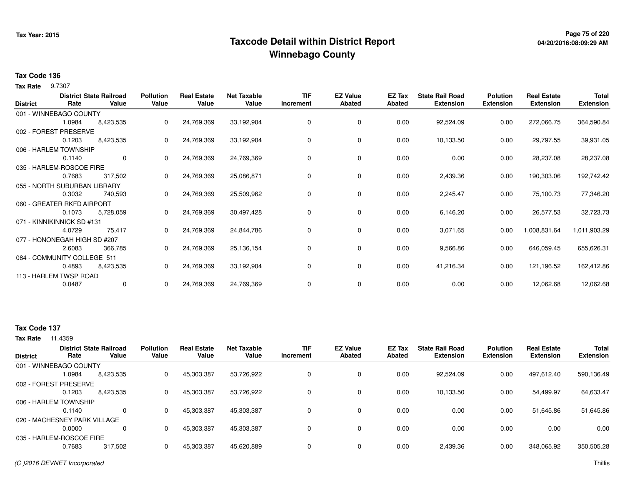## **Page 75 of 220 Taxcode Detail within District ReportWinnebago County**

## **04/20/2016:08:09:29 AM**

### **Tax Code 136**

**Tax Rate** 9.7307

| <b>District</b> | Rate                         | <b>District State Railroad</b><br>Value | <b>Pollution</b><br>Value | <b>Real Estate</b><br>Value | <b>Net Taxable</b><br>Value | <b>TIF</b><br>Increment | <b>EZ Value</b><br><b>Abated</b> | EZ Tax<br><b>Abated</b> | <b>State Rail Road</b><br><b>Extension</b> | <b>Polution</b><br><b>Extension</b> | <b>Real Estate</b><br><b>Extension</b> | <b>Total</b><br><b>Extension</b> |
|-----------------|------------------------------|-----------------------------------------|---------------------------|-----------------------------|-----------------------------|-------------------------|----------------------------------|-------------------------|--------------------------------------------|-------------------------------------|----------------------------------------|----------------------------------|
|                 | 001 - WINNEBAGO COUNTY       |                                         |                           |                             |                             |                         |                                  |                         |                                            |                                     |                                        |                                  |
|                 | 1.0984                       | 8,423,535                               | 0                         | 24,769,369                  | 33,192,904                  | 0                       | 0                                | 0.00                    | 92,524.09                                  | 0.00                                | 272,066.75                             | 364,590.84                       |
|                 | 002 - FOREST PRESERVE        |                                         |                           |                             |                             |                         |                                  |                         |                                            |                                     |                                        |                                  |
|                 | 0.1203                       | 8,423,535                               | 0                         | 24,769,369                  | 33,192,904                  | 0                       | 0                                | 0.00                    | 10,133.50                                  | 0.00                                | 29,797.55                              | 39,931.05                        |
|                 | 006 - HARLEM TOWNSHIP        |                                         |                           |                             |                             |                         |                                  |                         |                                            |                                     |                                        |                                  |
|                 | 0.1140                       | $\mathbf 0$                             | 0                         | 24,769,369                  | 24,769,369                  | 0                       | 0                                | 0.00                    | 0.00                                       | 0.00                                | 28,237.08                              | 28,237.08                        |
|                 | 035 - HARLEM-ROSCOE FIRE     |                                         |                           |                             |                             |                         |                                  |                         |                                            |                                     |                                        |                                  |
|                 | 0.7683                       | 317,502                                 | 0                         | 24,769,369                  | 25,086,871                  | 0                       | 0                                | 0.00                    | 2,439.36                                   | 0.00                                | 190,303.06                             | 192,742.42                       |
|                 | 055 - NORTH SUBURBAN LIBRARY |                                         |                           |                             |                             |                         |                                  |                         |                                            |                                     |                                        |                                  |
|                 | 0.3032                       | 740,593                                 | 0                         | 24,769,369                  | 25,509,962                  | 0                       | 0                                | 0.00                    | 2,245.47                                   | 0.00                                | 75,100.73                              | 77,346.20                        |
|                 | 060 - GREATER RKFD AIRPORT   |                                         |                           |                             |                             |                         |                                  |                         |                                            |                                     |                                        |                                  |
|                 | 0.1073                       | 5,728,059                               |                           | 24,769,369                  | 30,497,428                  | 0                       | 0                                | 0.00                    | 6,146.20                                   | 0.00                                | 26,577.53                              | 32,723.73                        |
|                 | 071 - KINNIKINNICK SD #131   |                                         |                           |                             |                             |                         |                                  |                         |                                            |                                     |                                        |                                  |
|                 | 4.0729                       | 75,417                                  | 0                         | 24,769,369                  | 24,844,786                  | 0                       | 0                                | 0.00                    | 3,071.65                                   | 0.00                                | 1,008,831.64                           | 1,011,903.29                     |
|                 | 077 - HONONEGAH HIGH SD #207 |                                         |                           |                             |                             |                         |                                  |                         |                                            |                                     |                                        |                                  |
|                 | 2.6083                       | 366,785                                 | 0                         | 24,769,369                  | 25,136,154                  | 0                       | 0                                | 0.00                    | 9,566.86                                   | 0.00                                | 646,059.45                             | 655,626.31                       |
|                 | 084 - COMMUNITY COLLEGE 511  |                                         |                           |                             |                             |                         |                                  |                         |                                            |                                     |                                        |                                  |
|                 | 0.4893                       | 8,423,535                               | 0                         | 24,769,369                  | 33,192,904                  | 0                       | 0                                | 0.00                    | 41,216.34                                  | 0.00                                | 121,196.52                             | 162,412.86                       |
|                 | 113 - HARLEM TWSP ROAD       |                                         |                           |                             |                             |                         |                                  |                         |                                            |                                     |                                        |                                  |
|                 | 0.0487                       | $\mathbf{0}$                            | 0                         | 24,769,369                  | 24,769,369                  | 0                       | 0                                | 0.00                    | 0.00                                       | 0.00                                | 12,062.68                              | 12,062.68                        |

### **Tax Code 137**

| <b>District</b> | Rate                         | <b>District State Railroad</b><br>Value | <b>Pollution</b><br>Value | <b>Real Estate</b><br>Value | <b>Net Taxable</b><br>Value | TIF<br>Increment | <b>EZ Value</b><br><b>Abated</b> | <b>EZ Tax</b><br>Abated | <b>State Rail Road</b><br><b>Extension</b> | <b>Polution</b><br><b>Extension</b> | <b>Real Estate</b><br><b>Extension</b> | <b>Total</b><br><b>Extension</b> |
|-----------------|------------------------------|-----------------------------------------|---------------------------|-----------------------------|-----------------------------|------------------|----------------------------------|-------------------------|--------------------------------------------|-------------------------------------|----------------------------------------|----------------------------------|
|                 | 001 - WINNEBAGO COUNTY       |                                         |                           |                             |                             |                  |                                  |                         |                                            |                                     |                                        |                                  |
|                 | 1.0984                       | 8,423,535                               | 0                         | 45,303,387                  | 53,726,922                  | 0                | 0                                | 0.00                    | 92,524.09                                  | 0.00                                | 497,612.40                             | 590,136.49                       |
|                 | 002 - FOREST PRESERVE        |                                         |                           |                             |                             |                  |                                  |                         |                                            |                                     |                                        |                                  |
|                 | 0.1203                       | 8,423,535                               | 0                         | 45,303,387                  | 53,726,922                  | 0                | 0                                | 0.00                    | 10,133.50                                  | 0.00                                | 54,499.97                              | 64,633.47                        |
|                 | 006 - HARLEM TOWNSHIP        |                                         |                           |                             |                             |                  |                                  |                         |                                            |                                     |                                        |                                  |
|                 | 0.1140                       | $\Omega$                                | 0                         | 45,303,387                  | 45,303,387                  | 0                | $\Omega$                         | 0.00                    | 0.00                                       | 0.00                                | 51,645.86                              | 51,645.86                        |
|                 | 020 - MACHESNEY PARK VILLAGE |                                         |                           |                             |                             |                  |                                  |                         |                                            |                                     |                                        |                                  |
|                 | 0.0000                       | $\Omega$                                | 0                         | 45,303,387                  | 45,303,387                  | $\Omega$         | $\Omega$                         | 0.00                    | 0.00                                       | 0.00                                | 0.00                                   | 0.00                             |
|                 | 035 - HARLEM-ROSCOE FIRE     |                                         |                           |                             |                             |                  |                                  |                         |                                            |                                     |                                        |                                  |
|                 | 0.7683                       | 317,502                                 |                           | 45,303,387                  | 45,620,889                  | $\Omega$         | 0                                | 0.00                    | 2,439.36                                   | 0.00                                | 348,065.92                             | 350,505.28                       |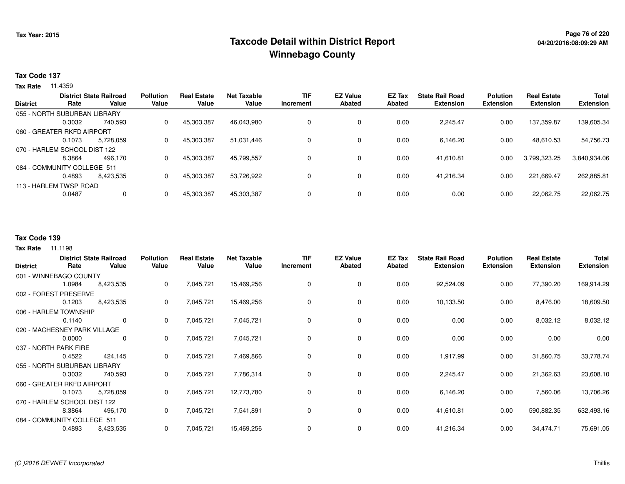## **Page 76 of 220 Taxcode Detail within District ReportWinnebago County**

### **Tax Code 137**

**Tax Rate** 11.4359

| <b>District</b> |                              | <b>District State Railroad</b> | <b>Pollution</b> | <b>Real Estate</b> | <b>Net Taxable</b> | TIF       | <b>EZ Value</b> | EZ Tax | <b>State Rail Road</b> | <b>Polution</b> | <b>Real Estate</b> | <b>Total</b>     |
|-----------------|------------------------------|--------------------------------|------------------|--------------------|--------------------|-----------|-----------------|--------|------------------------|-----------------|--------------------|------------------|
|                 | Rate                         | Value                          | Value            | Value              | Value              | Increment | <b>Abated</b>   | Abated | <b>Extension</b>       | Extension       | <b>Extension</b>   | <b>Extension</b> |
|                 | 055 - NORTH SUBURBAN LIBRARY |                                |                  |                    |                    |           |                 |        |                        |                 |                    |                  |
|                 | 0.3032                       | 740.593                        | 0                | 45,303,387         | 46,043,980         |           | 0               | 0.00   | 2.245.47               | 0.00            | 137.359.87         | 139,605.34       |
|                 | 060 - GREATER RKFD AIRPORT   |                                |                  |                    |                    |           |                 |        |                        |                 |                    |                  |
|                 | 0.1073                       | 5.728.059                      | 0                | 45,303,387         | 51.031.446         |           | 0               | 0.00   | 6.146.20               | 0.00            | 48.610.53          | 54,756.73        |
|                 | 070 - HARLEM SCHOOL DIST 122 |                                |                  |                    |                    |           |                 |        |                        |                 |                    |                  |
|                 | 8.3864                       | 496.170                        | 0                | 45,303,387         | 45,799,557         |           | 0               | 0.00   | 41,610.81              | 0.00            | 3,799,323.25       | 3,840,934.06     |
|                 | 084 - COMMUNITY COLLEGE 511  |                                |                  |                    |                    |           |                 |        |                        |                 |                    |                  |
|                 | 0.4893                       | 8,423,535                      |                  | 45,303,387         | 53,726,922         |           | 0               | 0.00   | 41,216.34              | 0.00            | 221,669.47         | 262,885.81       |
|                 | 113 - HARLEM TWSP ROAD       |                                |                  |                    |                    |           |                 |        |                        |                 |                    |                  |
|                 | 0.0487                       | 0                              |                  | 45,303,387         | 45,303,387         |           | $\mathbf{0}$    | 0.00   | 0.00                   | 0.00            | 22,062.75          | 22,062.75        |
|                 |                              |                                |                  |                    |                    |           |                 |        |                        |                 |                    |                  |

## **Tax Code 139**

| <b>District</b> | Rate                         | <b>District State Railroad</b><br>Value | <b>Pollution</b><br>Value | <b>Real Estate</b><br>Value | <b>Net Taxable</b><br>Value | <b>TIF</b><br>Increment | <b>EZ Value</b><br><b>Abated</b> | <b>EZ Tax</b><br><b>Abated</b> | <b>State Rail Road</b><br><b>Extension</b> | <b>Polution</b><br><b>Extension</b> | <b>Real Estate</b><br><b>Extension</b> | <b>Total</b><br><b>Extension</b> |
|-----------------|------------------------------|-----------------------------------------|---------------------------|-----------------------------|-----------------------------|-------------------------|----------------------------------|--------------------------------|--------------------------------------------|-------------------------------------|----------------------------------------|----------------------------------|
|                 | 001 - WINNEBAGO COUNTY       |                                         |                           |                             |                             |                         |                                  |                                |                                            |                                     |                                        |                                  |
|                 | 1.0984                       | 8,423,535                               | 0                         | 7,045,721                   | 15,469,256                  | 0                       | 0                                | 0.00                           | 92,524.09                                  | 0.00                                | 77,390.20                              | 169,914.29                       |
|                 | 002 - FOREST PRESERVE        |                                         |                           |                             |                             |                         |                                  |                                |                                            |                                     |                                        |                                  |
|                 | 0.1203                       | 8,423,535                               | 0                         | 7,045,721                   | 15,469,256                  | 0                       | 0                                | 0.00                           | 10,133.50                                  | 0.00                                | 8,476.00                               | 18,609.50                        |
|                 | 006 - HARLEM TOWNSHIP        |                                         |                           |                             |                             |                         |                                  |                                |                                            |                                     |                                        |                                  |
|                 | 0.1140                       | $\mathbf 0$                             | 0                         | 7,045,721                   | 7,045,721                   | 0                       | 0                                | 0.00                           | 0.00                                       | 0.00                                | 8,032.12                               | 8,032.12                         |
|                 | 020 - MACHESNEY PARK VILLAGE |                                         |                           |                             |                             |                         |                                  |                                |                                            |                                     |                                        |                                  |
|                 | 0.0000                       | 0                                       | 0                         | 7,045,721                   | 7,045,721                   | $\Omega$                | 0                                | 0.00                           | 0.00                                       | 0.00                                | 0.00                                   | 0.00                             |
|                 | 037 - NORTH PARK FIRE        |                                         |                           |                             |                             |                         |                                  |                                |                                            |                                     |                                        |                                  |
|                 | 0.4522                       | 424,145                                 | 0                         | 7,045,721                   | 7,469,866                   | 0                       | $\mathbf 0$                      | 0.00                           | 1,917.99                                   | 0.00                                | 31,860.75                              | 33,778.74                        |
|                 | 055 - NORTH SUBURBAN LIBRARY |                                         |                           |                             |                             |                         |                                  |                                |                                            |                                     |                                        |                                  |
|                 | 0.3032                       | 740,593                                 | 0                         | 7,045,721                   | 7,786,314                   | 0                       | $\mathbf 0$                      | 0.00                           | 2,245.47                                   | 0.00                                | 21,362.63                              | 23,608.10                        |
|                 | 060 - GREATER RKFD AIRPORT   |                                         |                           |                             |                             |                         |                                  |                                |                                            |                                     |                                        |                                  |
|                 | 0.1073                       | 5,728,059                               | 0                         | 7,045,721                   | 12,773,780                  | 0                       | $\mathbf 0$                      | 0.00                           | 6,146.20                                   | 0.00                                | 7,560.06                               | 13,706.26                        |
|                 | 070 - HARLEM SCHOOL DIST 122 |                                         |                           |                             |                             |                         |                                  |                                |                                            |                                     |                                        |                                  |
|                 | 8.3864                       | 496,170                                 | 0                         | 7,045,721                   | 7,541,891                   | 0                       | 0                                | 0.00                           | 41,610.81                                  | 0.00                                | 590,882.35                             | 632,493.16                       |
|                 | 084 - COMMUNITY COLLEGE 511  |                                         |                           |                             |                             |                         |                                  |                                |                                            |                                     |                                        |                                  |
|                 | 0.4893                       | 8,423,535                               | 0                         | 7,045,721                   | 15,469,256                  | 0                       | 0                                | 0.00                           | 41,216.34                                  | 0.00                                | 34,474.71                              | 75,691.05                        |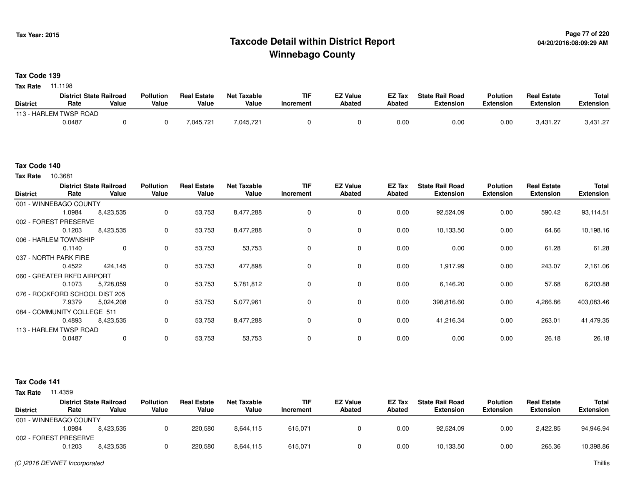## **Page 77 of 220 Taxcode Detail within District ReportWinnebago County**

### **Tax Code 139**

**Tax Rate** 11.1198

|                 | <b>District State Railroad</b> |       | <b>Pollution</b> | <b>Real Estate</b> | <b>Net Taxable</b> | <b>TIF</b> | <b>EZ Value</b> | <b>EZ Tax</b> | <b>State Rail Road</b> | <b>Polution</b>  | <b>Real Estate</b> | <b>Total</b> |
|-----------------|--------------------------------|-------|------------------|--------------------|--------------------|------------|-----------------|---------------|------------------------|------------------|--------------------|--------------|
| <b>District</b> | Rate                           | Value | Value            | Value              | Value              | Increment  | Abated          | Abated        | Extension              | <b>Extension</b> | Extension          | Extension    |
|                 | 113 - HARLEM TWSP ROAD         |       |                  |                    |                    |            |                 |               |                        |                  |                    |              |
|                 | 0.0487                         |       |                  | 045.721.           | 7,045,721          |            |                 | 0.00          | 0.00                   | 0.00             | 3,431.27           | 3,431.27     |

#### **Tax Code 140**

10.3681 **Tax Rate**

| <b>District</b> | Rate                           | <b>District State Railroad</b><br>Value | <b>Pollution</b><br>Value | <b>Real Estate</b><br>Value | <b>Net Taxable</b><br>Value | <b>TIF</b><br>Increment | <b>EZ Value</b><br><b>Abated</b> | EZ Tax<br><b>Abated</b> | <b>State Rail Road</b><br><b>Extension</b> | <b>Polution</b><br><b>Extension</b> | <b>Real Estate</b><br><b>Extension</b> | Total<br><b>Extension</b> |
|-----------------|--------------------------------|-----------------------------------------|---------------------------|-----------------------------|-----------------------------|-------------------------|----------------------------------|-------------------------|--------------------------------------------|-------------------------------------|----------------------------------------|---------------------------|
|                 | 001 - WINNEBAGO COUNTY         |                                         |                           |                             |                             |                         |                                  |                         |                                            |                                     |                                        |                           |
|                 | 1.0984                         | 8,423,535                               | 0                         | 53,753                      | 8,477,288                   | 0                       | 0                                | 0.00                    | 92,524.09                                  | 0.00                                | 590.42                                 | 93,114.51                 |
|                 | 002 - FOREST PRESERVE          |                                         |                           |                             |                             |                         |                                  |                         |                                            |                                     |                                        |                           |
|                 | 0.1203                         | 8,423,535                               | $\mathbf 0$               | 53,753                      | 8,477,288                   | 0                       | $\mathbf 0$                      | 0.00                    | 10,133.50                                  | 0.00                                | 64.66                                  | 10,198.16                 |
|                 | 006 - HARLEM TOWNSHIP          |                                         |                           |                             |                             |                         |                                  |                         |                                            |                                     |                                        |                           |
|                 | 0.1140                         | 0                                       | $\mathbf 0$               | 53,753                      | 53,753                      | 0                       | 0                                | 0.00                    | 0.00                                       | 0.00                                | 61.28                                  | 61.28                     |
|                 | 037 - NORTH PARK FIRE          |                                         |                           |                             |                             |                         |                                  |                         |                                            |                                     |                                        |                           |
|                 | 0.4522                         | 424,145                                 | 0                         | 53,753                      | 477,898                     | $\Omega$                | 0                                | 0.00                    | 1,917.99                                   | 0.00                                | 243.07                                 | 2,161.06                  |
|                 | 060 - GREATER RKFD AIRPORT     |                                         |                           |                             |                             |                         |                                  |                         |                                            |                                     |                                        |                           |
|                 | 0.1073                         | 5,728,059                               | 0                         | 53,753                      | 5,781,812                   | 0                       | 0                                | 0.00                    | 6,146.20                                   | 0.00                                | 57.68                                  | 6,203.88                  |
|                 | 076 - ROCKFORD SCHOOL DIST 205 |                                         |                           |                             |                             |                         |                                  |                         |                                            |                                     |                                        |                           |
|                 | 7.9379                         | 5,024,208                               | 0                         | 53,753                      | 5,077,961                   | 0                       | 0                                | 0.00                    | 398,816.60                                 | 0.00                                | 4,266.86                               | 403,083.46                |
|                 | 084 - COMMUNITY COLLEGE 511    |                                         |                           |                             |                             |                         |                                  |                         |                                            |                                     |                                        |                           |
|                 | 0.4893                         | 8,423,535                               | $\mathbf 0$               | 53,753                      | 8,477,288                   | $\Omega$                | $\mathbf 0$                      | 0.00                    | 41,216.34                                  | 0.00                                | 263.01                                 | 41,479.35                 |
|                 | 113 - HARLEM TWSP ROAD         |                                         |                           |                             |                             |                         |                                  |                         |                                            |                                     |                                        |                           |
|                 | 0.0487                         | $\mathbf 0$                             | $\mathbf 0$               | 53,753                      | 53,753                      | 0                       | $\mathbf 0$                      | 0.00                    | 0.00                                       | 0.00                                | 26.18                                  | 26.18                     |

### **Tax Code 141**

|                        |        | <b>District State Railroad</b> | <b>Pollution</b> | <b>Real Estate</b> | Net Taxable | <b>TIF</b> | <b>EZ Value</b> | <b>EZ Tax</b> | <b>State Rail Road</b> | <b>Polution</b>  | <b>Real Estate</b> | Total            |
|------------------------|--------|--------------------------------|------------------|--------------------|-------------|------------|-----------------|---------------|------------------------|------------------|--------------------|------------------|
| <b>District</b>        | Rate   | Value                          | Value            | Value              | Value       | Increment  | Abated          | Abated        | <b>Extension</b>       | <b>Extension</b> | <b>Extension</b>   | <b>Extension</b> |
| 001 - WINNEBAGO COUNTY |        |                                |                  |                    |             |            |                 |               |                        |                  |                    |                  |
|                        | .0984  | 8.423.535                      |                  | 220.580            | 8,644,115   | 615,071    |                 | 0.00          | 92.524.09              | 0.00             | 2.422.85           | 94,946.94        |
| 002 - FOREST PRESERVE  |        |                                |                  |                    |             |            |                 |               |                        |                  |                    |                  |
|                        | 0.1203 | 8.423.535                      |                  | 220,580            | 8,644,115   | 615,071    |                 | 0.00          | 10,133.50              | 0.00             | 265.36             | 10,398.86        |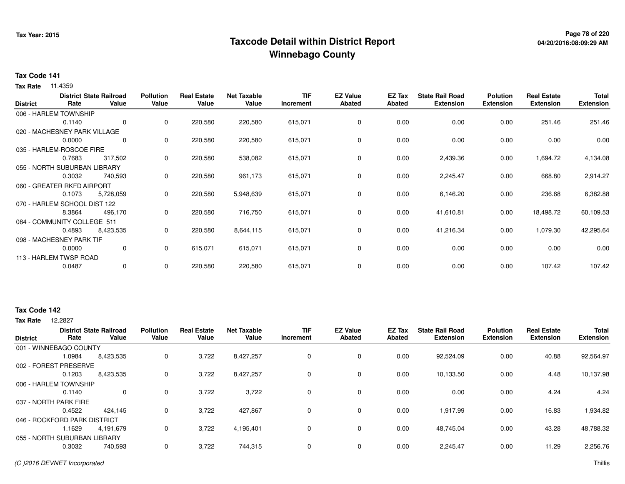## **Page 78 of 220 Taxcode Detail within District ReportWinnebago County**

# **04/20/2016:08:09:29 AM**

### **Tax Code 141**

**Tax Rate** 11.4359

| <b>District</b> | Rate                         | <b>District State Railroad</b><br>Value | <b>Pollution</b><br>Value | <b>Real Estate</b><br>Value | <b>Net Taxable</b><br>Value | <b>TIF</b><br>Increment | <b>EZ Value</b><br><b>Abated</b> | EZ Tax<br><b>Abated</b> | <b>State Rail Road</b><br><b>Extension</b> | <b>Polution</b><br><b>Extension</b> | <b>Real Estate</b><br><b>Extension</b> | <b>Total</b><br><b>Extension</b> |
|-----------------|------------------------------|-----------------------------------------|---------------------------|-----------------------------|-----------------------------|-------------------------|----------------------------------|-------------------------|--------------------------------------------|-------------------------------------|----------------------------------------|----------------------------------|
|                 | 006 - HARLEM TOWNSHIP        |                                         |                           |                             |                             |                         |                                  |                         |                                            |                                     |                                        |                                  |
|                 | 0.1140                       | 0                                       | 0                         | 220,580                     | 220,580                     | 615,071                 | 0                                | 0.00                    | 0.00                                       | 0.00                                | 251.46                                 | 251.46                           |
|                 | 020 - MACHESNEY PARK VILLAGE |                                         |                           |                             |                             |                         |                                  |                         |                                            |                                     |                                        |                                  |
|                 | 0.0000                       | 0                                       | 0                         | 220,580                     | 220,580                     | 615,071                 | 0                                | 0.00                    | 0.00                                       | 0.00                                | 0.00                                   | 0.00                             |
|                 | 035 - HARLEM-ROSCOE FIRE     |                                         |                           |                             |                             |                         |                                  |                         |                                            |                                     |                                        |                                  |
|                 | 0.7683                       | 317,502                                 | 0                         | 220,580                     | 538,082                     | 615,071                 | $\mathbf 0$                      | 0.00                    | 2,439.36                                   | 0.00                                | 1,694.72                               | 4,134.08                         |
|                 | 055 - NORTH SUBURBAN LIBRARY |                                         |                           |                             |                             |                         |                                  |                         |                                            |                                     |                                        |                                  |
|                 | 0.3032                       | 740,593                                 | 0                         | 220,580                     | 961,173                     | 615,071                 | 0                                | 0.00                    | 2,245.47                                   | 0.00                                | 668.80                                 | 2,914.27                         |
|                 | 060 - GREATER RKFD AIRPORT   |                                         |                           |                             |                             |                         |                                  |                         |                                            |                                     |                                        |                                  |
|                 | 0.1073                       | 5,728,059                               | 0                         | 220,580                     | 5,948,639                   | 615,071                 | 0                                | 0.00                    | 6,146.20                                   | 0.00                                | 236.68                                 | 6,382.88                         |
|                 | 070 - HARLEM SCHOOL DIST 122 |                                         |                           |                             |                             |                         |                                  |                         |                                            |                                     |                                        |                                  |
|                 | 8.3864                       | 496,170                                 | 0                         | 220,580                     | 716,750                     | 615,071                 | $\mathbf 0$                      | 0.00                    | 41,610.81                                  | 0.00                                | 18,498.72                              | 60,109.53                        |
|                 | 084 - COMMUNITY COLLEGE 511  |                                         |                           |                             |                             |                         |                                  |                         |                                            |                                     |                                        |                                  |
|                 | 0.4893                       | 8,423,535                               | 0                         | 220,580                     | 8,644,115                   | 615,071                 | $\mathbf 0$                      | 0.00                    | 41,216.34                                  | 0.00                                | 1,079.30                               | 42,295.64                        |
|                 | 098 - MACHESNEY PARK TIF     |                                         |                           |                             |                             |                         |                                  |                         |                                            |                                     |                                        |                                  |
|                 | 0.0000                       | 0                                       | 0                         | 615,071                     | 615,071                     | 615,071                 | 0                                | 0.00                    | 0.00                                       | 0.00                                | 0.00                                   | 0.00                             |
|                 | 113 - HARLEM TWSP ROAD       |                                         |                           |                             |                             |                         |                                  |                         |                                            |                                     |                                        |                                  |
|                 | 0.0487                       | 0                                       | 0                         | 220,580                     | 220,580                     | 615,071                 | 0                                | 0.00                    | 0.00                                       | 0.00                                | 107.42                                 | 107.42                           |

### **Tax Code 142**

**Tax Rate** 12,2827

|                              |        | <b>District State Railroad</b> | <b>Pollution</b> | <b>Real Estate</b> | <b>Net Taxable</b> | <b>TIF</b>  | <b>EZ Value</b> | <b>EZ Tax</b> | <b>State Rail Road</b> | <b>Polution</b>  | <b>Real Estate</b> | <b>Total</b>     |
|------------------------------|--------|--------------------------------|------------------|--------------------|--------------------|-------------|-----------------|---------------|------------------------|------------------|--------------------|------------------|
| <b>District</b>              | Rate   | Value                          | Value            | Value              | Value              | Increment   | <b>Abated</b>   | Abated        | <b>Extension</b>       | <b>Extension</b> | <b>Extension</b>   | <b>Extension</b> |
| 001 - WINNEBAGO COUNTY       |        |                                |                  |                    |                    |             |                 |               |                        |                  |                    |                  |
|                              | 1.0984 | 8,423,535                      | 0                | 3,722              | 8,427,257          | 0           | 0               | 0.00          | 92,524.09              | 0.00             | 40.88              | 92,564.97        |
| 002 - FOREST PRESERVE        |        |                                |                  |                    |                    |             |                 |               |                        |                  |                    |                  |
|                              | 0.1203 | 8,423,535                      | 0                | 3,722              | 8,427,257          | 0           | 0               | 0.00          | 10,133.50              | 0.00             | 4.48               | 10,137.98        |
| 006 - HARLEM TOWNSHIP        |        |                                |                  |                    |                    |             |                 |               |                        |                  |                    |                  |
|                              | 0.1140 | 0                              | 0                | 3,722              | 3,722              | 0           | 0               | 0.00          | 0.00                   | 0.00             | 4.24               | 4.24             |
| 037 - NORTH PARK FIRE        |        |                                |                  |                    |                    |             |                 |               |                        |                  |                    |                  |
|                              | 0.4522 | 424.145                        | 0                | 3,722              | 427,867            | 0           | 0               | 0.00          | 1,917.99               | 0.00             | 16.83              | 1,934.82         |
| 046 - ROCKFORD PARK DISTRICT |        |                                |                  |                    |                    |             |                 |               |                        |                  |                    |                  |
|                              | 1.1629 | 4.191.679                      | 0                | 3,722              | 4,195,401          | 0           | 0               | 0.00          | 48.745.04              | 0.00             | 43.28              | 48,788.32        |
| 055 - NORTH SUBURBAN LIBRARY |        |                                |                  |                    |                    |             |                 |               |                        |                  |                    |                  |
|                              | 0.3032 | 740,593                        | 0                | 3,722              | 744,315            | $\mathbf 0$ | 0               | 0.00          | 2,245.47               | 0.00             | 11.29              | 2,256.76         |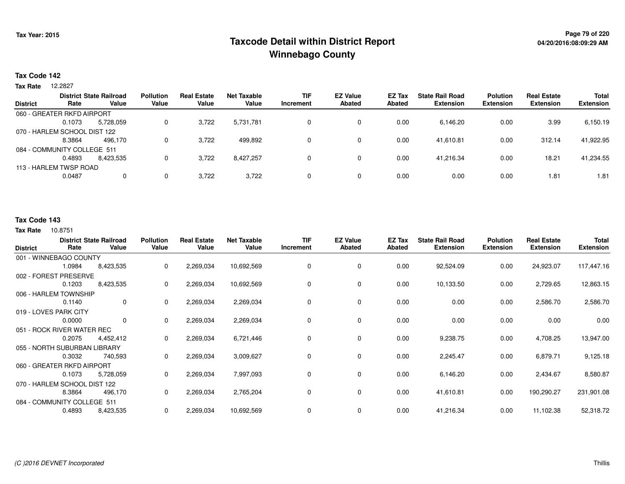## **Page 79 of 220 Taxcode Detail within District ReportWinnebago County**

### **Tax Code 142**

12.2827 **Tax Rate**

|                 |                              | <b>District State Railroad</b> | <b>Pollution</b> | <b>Real Estate</b> | <b>Net Taxable</b> | <b>TIF</b> | <b>EZ Value</b> | <b>EZ Tax</b> | <b>State Rail Road</b> | <b>Polution</b>  | <b>Real Estate</b> | <b>Total</b>     |
|-----------------|------------------------------|--------------------------------|------------------|--------------------|--------------------|------------|-----------------|---------------|------------------------|------------------|--------------------|------------------|
| <b>District</b> | Rate                         | Value                          | Value            | Value              | Value              | Increment  | <b>Abated</b>   | Abated        | <b>Extension</b>       | <b>Extension</b> | <b>Extension</b>   | <b>Extension</b> |
|                 | 060 - GREATER RKFD AIRPORT   |                                |                  |                    |                    |            |                 |               |                        |                  |                    |                  |
|                 | 0.1073                       | 5,728,059                      | 0                | 3,722              | 5,731,781          |            | 0               | 0.00          | 6,146.20               | 0.00             | 3.99               | 6,150.19         |
|                 | 070 - HARLEM SCHOOL DIST 122 |                                |                  |                    |                    |            |                 |               |                        |                  |                    |                  |
|                 | 8.3864                       | 496.170                        | 0                | 3.722              | 499.892            | 0          | 0               | 0.00          | 41.610.81              | 0.00             | 312.14             | 41,922.95        |
|                 | 084 - COMMUNITY COLLEGE 511  |                                |                  |                    |                    |            |                 |               |                        |                  |                    |                  |
|                 | 0.4893                       | 8,423,535                      |                  | 3,722              | 8,427,257          |            | 0               | 0.00          | 41.216.34              | 0.00             | 18.21              | 41,234.55        |
|                 | 113 - HARLEM TWSP ROAD       |                                |                  |                    |                    |            |                 |               |                        |                  |                    |                  |
|                 | 0.0487                       |                                | 0                | 3,722              | 3,722              | 0          | 0               | 0.00          | 0.00                   | 0.00             | 1.81               | 1.81             |

## **Tax Code 143**

| <b>District</b>              | Rate   | <b>District State Railroad</b><br>Value | <b>Pollution</b><br>Value | <b>Real Estate</b><br>Value | <b>Net Taxable</b><br>Value | <b>TIF</b><br>Increment | <b>EZ Value</b><br><b>Abated</b> | <b>EZ Tax</b><br><b>Abated</b> | <b>State Rail Road</b><br><b>Extension</b> | <b>Polution</b><br><b>Extension</b> | <b>Real Estate</b><br><b>Extension</b> | Total<br><b>Extension</b> |
|------------------------------|--------|-----------------------------------------|---------------------------|-----------------------------|-----------------------------|-------------------------|----------------------------------|--------------------------------|--------------------------------------------|-------------------------------------|----------------------------------------|---------------------------|
| 001 - WINNEBAGO COUNTY       |        |                                         |                           |                             |                             |                         |                                  |                                |                                            |                                     |                                        |                           |
|                              | 1.0984 | 8,423,535                               | 0                         | 2,269,034                   | 10,692,569                  | 0                       | 0                                | 0.00                           | 92,524.09                                  | 0.00                                | 24,923.07                              | 117,447.16                |
| 002 - FOREST PRESERVE        |        |                                         |                           |                             |                             |                         |                                  |                                |                                            |                                     |                                        |                           |
|                              | 0.1203 | 8,423,535                               | 0                         | 2,269,034                   | 10,692,569                  | 0                       | 0                                | 0.00                           | 10,133.50                                  | 0.00                                | 2,729.65                               | 12,863.15                 |
| 006 - HARLEM TOWNSHIP        |        |                                         |                           |                             |                             |                         |                                  |                                |                                            |                                     |                                        |                           |
|                              | 0.1140 | 0                                       | 0                         | 2,269,034                   | 2,269,034                   | 0                       | 0                                | 0.00                           | 0.00                                       | 0.00                                | 2,586.70                               | 2,586.70                  |
| 019 - LOVES PARK CITY        |        |                                         |                           |                             |                             |                         |                                  |                                |                                            |                                     |                                        |                           |
|                              | 0.0000 | 0                                       | 0                         | 2,269,034                   | 2,269,034                   | 0                       | 0                                | 0.00                           | 0.00                                       | 0.00                                | 0.00                                   | 0.00                      |
| 051 - ROCK RIVER WATER REC   |        |                                         |                           |                             |                             |                         |                                  |                                |                                            |                                     |                                        |                           |
|                              | 0.2075 | 4,452,412                               | 0                         | 2,269,034                   | 6,721,446                   | 0                       | 0                                | 0.00                           | 9,238.75                                   | 0.00                                | 4,708.25                               | 13,947.00                 |
| 055 - NORTH SUBURBAN LIBRARY |        |                                         |                           |                             |                             |                         |                                  |                                |                                            |                                     |                                        |                           |
|                              | 0.3032 | 740,593                                 | 0                         | 2,269,034                   | 3,009,627                   | 0                       | 0                                | 0.00                           | 2,245.47                                   | 0.00                                | 6,879.71                               | 9,125.18                  |
| 060 - GREATER RKFD AIRPORT   |        |                                         |                           |                             |                             |                         |                                  |                                |                                            |                                     |                                        |                           |
|                              | 0.1073 | 5,728,059                               | 0                         | 2,269,034                   | 7,997,093                   | 0                       | 0                                | 0.00                           | 6,146.20                                   | 0.00                                | 2,434.67                               | 8,580.87                  |
| 070 - HARLEM SCHOOL DIST 122 |        |                                         |                           |                             |                             |                         |                                  |                                |                                            |                                     |                                        |                           |
|                              | 8.3864 | 496,170                                 | 0                         | 2,269,034                   | 2,765,204                   | 0                       | 0                                | 0.00                           | 41,610.81                                  | 0.00                                | 190,290.27                             | 231,901.08                |
| 084 - COMMUNITY COLLEGE 511  |        |                                         |                           |                             |                             |                         |                                  |                                |                                            |                                     |                                        |                           |
|                              | 0.4893 | 8,423,535                               | 0                         | 2,269,034                   | 10,692,569                  | 0                       | 0                                | 0.00                           | 41,216.34                                  | 0.00                                | 11,102.38                              | 52,318.72                 |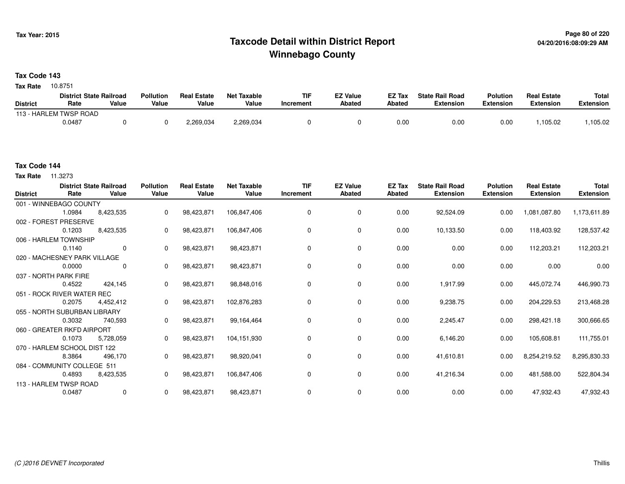## **Page 80 of 220 Taxcode Detail within District ReportWinnebago County**

**Tax Code 143**

10.8751 **Tax Rate**

|                 | <b>District State Railroad</b> |       | <b>Pollution</b> | <b>Real Estate</b> | <b>Net Taxable</b> | <b>TIF</b> | <b>EZ Value</b> | <b>EZ Tax</b> | <b>State Rail Road</b> | <b>Polution</b> | <b>Real Estate</b> | <b>Total</b> |
|-----------------|--------------------------------|-------|------------------|--------------------|--------------------|------------|-----------------|---------------|------------------------|-----------------|--------------------|--------------|
| <b>District</b> | Rate                           | Value | Value            | Value              | Value              | Increment  | Abated          | <b>Abated</b> | Extension              | Extension       | Extension          | Extension    |
|                 | 113 - HARLEM TWSP ROAD         |       |                  |                    |                    |            |                 |               |                        |                 |                    |              |
|                 | 0.0487                         |       |                  | 2,269,034          | 2,269,034          |            |                 | 0.0(          | 0.00                   | 0.00            | .105.02            | 105.02       |

**Tax Rate** 11.3273

| <b>District</b> | Rate                         | <b>District State Railroad</b><br>Value | <b>Pollution</b><br>Value | <b>Real Estate</b><br>Value | <b>Net Taxable</b><br>Value | <b>TIF</b><br>Increment | <b>EZ Value</b><br><b>Abated</b> | EZ Tax<br>Abated | <b>State Rail Road</b><br><b>Extension</b> | <b>Polution</b><br>Extension | <b>Real Estate</b><br><b>Extension</b> | <b>Total</b><br><b>Extension</b> |
|-----------------|------------------------------|-----------------------------------------|---------------------------|-----------------------------|-----------------------------|-------------------------|----------------------------------|------------------|--------------------------------------------|------------------------------|----------------------------------------|----------------------------------|
|                 | 001 - WINNEBAGO COUNTY       |                                         |                           |                             |                             |                         |                                  |                  |                                            |                              |                                        |                                  |
|                 | 1.0984                       | 8,423,535                               | 0                         | 98,423,871                  | 106,847,406                 | $\mathbf 0$             | $\mathbf 0$                      | 0.00             | 92,524.09                                  | 0.00                         | 1,081,087.80                           | 1,173,611.89                     |
|                 | 002 - FOREST PRESERVE        |                                         |                           |                             |                             |                         |                                  |                  |                                            |                              |                                        |                                  |
|                 | 0.1203                       | 8,423,535                               | 0                         | 98,423,871                  | 106,847,406                 | 0                       | 0                                | 0.00             | 10,133.50                                  | 0.00                         | 118,403.92                             | 128,537.42                       |
|                 | 006 - HARLEM TOWNSHIP        |                                         |                           |                             |                             |                         |                                  |                  |                                            |                              |                                        |                                  |
|                 | 0.1140                       | $\Omega$                                | $\Omega$                  | 98,423,871                  | 98,423,871                  | 0                       | 0                                | 0.00             | 0.00                                       | 0.00                         | 112,203.21                             | 112,203.21                       |
|                 | 020 - MACHESNEY PARK VILLAGE |                                         |                           |                             |                             |                         |                                  |                  |                                            |                              |                                        |                                  |
|                 | 0.0000                       | 0                                       | 0                         | 98,423,871                  | 98,423,871                  | 0                       | 0                                | 0.00             | 0.00                                       | 0.00                         | 0.00                                   | 0.00                             |
|                 | 037 - NORTH PARK FIRE        |                                         |                           |                             |                             |                         |                                  |                  |                                            |                              |                                        |                                  |
|                 | 0.4522                       | 424,145                                 | 0                         | 98,423,871                  | 98,848,016                  | 0                       | 0                                | 0.00             | 1,917.99                                   | 0.00                         | 445,072.74                             | 446,990.73                       |
|                 | 051 - ROCK RIVER WATER REC   |                                         |                           |                             |                             |                         |                                  |                  |                                            |                              |                                        |                                  |
|                 | 0.2075                       | 4,452,412                               | 0                         | 98,423,871                  | 102,876,283                 | 0                       | 0                                | 0.00             | 9,238.75                                   | 0.00                         | 204,229.53                             | 213,468.28                       |
|                 | 055 - NORTH SUBURBAN LIBRARY |                                         |                           |                             |                             |                         |                                  |                  |                                            |                              |                                        |                                  |
|                 | 0.3032                       | 740,593                                 | 0                         | 98,423,871                  | 99,164,464                  | 0                       | 0                                | 0.00             | 2,245.47                                   | 0.00                         | 298,421.18                             | 300,666.65                       |
|                 | 060 - GREATER RKFD AIRPORT   |                                         |                           |                             |                             |                         |                                  |                  |                                            |                              |                                        |                                  |
|                 | 0.1073                       | 5,728,059                               | $\Omega$                  | 98,423,871                  | 104,151,930                 | 0                       | 0                                | 0.00             | 6,146.20                                   | 0.00                         | 105,608.81                             | 111,755.01                       |
|                 | 070 - HARLEM SCHOOL DIST 122 |                                         |                           |                             |                             |                         |                                  |                  |                                            |                              |                                        |                                  |
|                 | 8.3864                       | 496,170                                 | 0                         | 98,423,871                  | 98,920,041                  | 0                       | 0                                | 0.00             | 41,610.81                                  | 0.00                         | 8,254,219.52                           | 8,295,830.33                     |
|                 | 084 - COMMUNITY COLLEGE 511  |                                         |                           |                             |                             |                         |                                  |                  |                                            |                              |                                        |                                  |
|                 | 0.4893                       | 8,423,535                               | 0                         | 98,423,871                  | 106,847,406                 | 0                       | 0                                | 0.00             | 41,216.34                                  | 0.00                         | 481,588.00                             | 522,804.34                       |
|                 | 113 - HARLEM TWSP ROAD       |                                         |                           |                             |                             |                         |                                  |                  |                                            |                              |                                        |                                  |
|                 | 0.0487                       | 0                                       | 0                         | 98,423,871                  | 98,423,871                  | 0                       | 0                                | 0.00             | 0.00                                       | 0.00                         | 47,932.43                              | 47,932.43                        |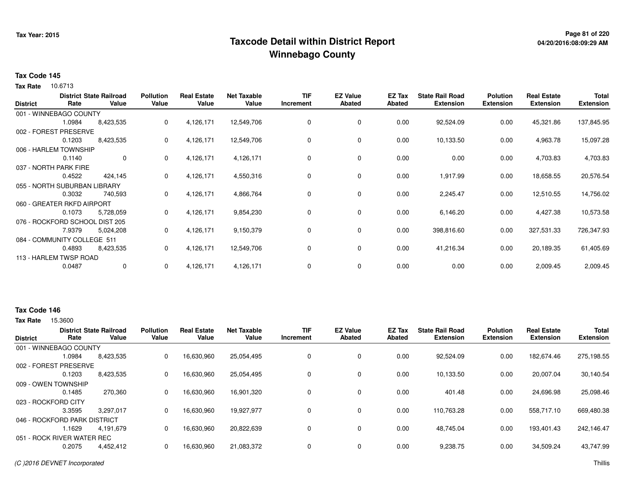## **Page 81 of 220 Taxcode Detail within District ReportWinnebago County**

### **Tax Code 145**

**Tax Rate** 10.6713

| <b>District</b> | Rate                           | <b>District State Railroad</b><br>Value | <b>Pollution</b><br>Value | <b>Real Estate</b><br>Value | <b>Net Taxable</b><br>Value | <b>TIF</b><br>Increment | <b>EZ Value</b><br><b>Abated</b> | EZ Tax<br>Abated | <b>State Rail Road</b><br><b>Extension</b> | <b>Polution</b><br><b>Extension</b> | <b>Real Estate</b><br><b>Extension</b> | <b>Total</b><br><b>Extension</b> |
|-----------------|--------------------------------|-----------------------------------------|---------------------------|-----------------------------|-----------------------------|-------------------------|----------------------------------|------------------|--------------------------------------------|-------------------------------------|----------------------------------------|----------------------------------|
|                 | 001 - WINNEBAGO COUNTY         |                                         |                           |                             |                             |                         |                                  |                  |                                            |                                     |                                        |                                  |
|                 | 1.0984                         | 8,423,535                               | 0                         | 4,126,171                   | 12,549,706                  | 0                       | 0                                | 0.00             | 92,524.09                                  | 0.00                                | 45,321.86                              | 137,845.95                       |
|                 | 002 - FOREST PRESERVE          |                                         |                           |                             |                             |                         |                                  |                  |                                            |                                     |                                        |                                  |
|                 | 0.1203                         | 8,423,535                               | 0                         | 4,126,171                   | 12,549,706                  | 0                       | 0                                | 0.00             | 10,133.50                                  | 0.00                                | 4,963.78                               | 15,097.28                        |
|                 | 006 - HARLEM TOWNSHIP          |                                         |                           |                             |                             |                         |                                  |                  |                                            |                                     |                                        |                                  |
|                 | 0.1140                         | $\mathbf{0}$                            | 0                         | 4,126,171                   | 4,126,171                   | 0                       | 0                                | 0.00             | 0.00                                       | 0.00                                | 4,703.83                               | 4,703.83                         |
|                 | 037 - NORTH PARK FIRE          |                                         |                           |                             |                             |                         |                                  |                  |                                            |                                     |                                        |                                  |
|                 | 0.4522                         | 424,145                                 | 0                         | 4,126,171                   | 4,550,316                   | 0                       | 0                                | 0.00             | 1,917.99                                   | 0.00                                | 18,658.55                              | 20,576.54                        |
|                 | 055 - NORTH SUBURBAN LIBRARY   |                                         |                           |                             |                             |                         |                                  |                  |                                            |                                     |                                        |                                  |
|                 | 0.3032                         | 740,593                                 | 0                         | 4,126,171                   | 4,866,764                   | 0                       | 0                                | 0.00             | 2,245.47                                   | 0.00                                | 12,510.55                              | 14,756.02                        |
|                 | 060 - GREATER RKFD AIRPORT     |                                         |                           |                             |                             |                         |                                  |                  |                                            |                                     |                                        |                                  |
|                 | 0.1073                         | 5,728,059                               | 0                         | 4,126,171                   | 9,854,230                   | 0                       | 0                                | 0.00             | 6,146.20                                   | 0.00                                | 4,427.38                               | 10,573.58                        |
|                 | 076 - ROCKFORD SCHOOL DIST 205 |                                         |                           |                             |                             |                         |                                  |                  |                                            |                                     |                                        |                                  |
|                 | 7.9379                         | 5,024,208                               | 0                         | 4,126,171                   | 9,150,379                   | 0                       | 0                                | 0.00             | 398,816.60                                 | 0.00                                | 327,531.33                             | 726,347.93                       |
|                 | 084 - COMMUNITY COLLEGE 511    |                                         |                           |                             |                             |                         |                                  |                  |                                            |                                     |                                        |                                  |
|                 | 0.4893                         | 8,423,535                               | 0                         | 4,126,171                   | 12,549,706                  | 0                       | 0                                | 0.00             | 41,216.34                                  | 0.00                                | 20,189.35                              | 61,405.69                        |
|                 | 113 - HARLEM TWSP ROAD         |                                         |                           |                             |                             |                         |                                  |                  |                                            |                                     |                                        |                                  |
|                 | 0.0487                         | $\mathbf 0$                             | 0                         | 4,126,171                   | 4,126,171                   | 0                       | 0                                | 0.00             | 0.00                                       | 0.00                                | 2,009.45                               | 2,009.45                         |

### **Tax Code 146**

|                 |                              | <b>District State Railroad</b> | <b>Pollution</b> | <b>Real Estate</b> | <b>Net Taxable</b> | <b>TIF</b> | <b>EZ Value</b> | <b>EZ Tax</b> | <b>State Rail Road</b> | <b>Polution</b>  | <b>Real Estate</b> | <b>Total</b>     |
|-----------------|------------------------------|--------------------------------|------------------|--------------------|--------------------|------------|-----------------|---------------|------------------------|------------------|--------------------|------------------|
| <b>District</b> | Rate                         | Value                          | Value            | Value              | Value              | Increment  | Abated          | Abated        | <b>Extension</b>       | <b>Extension</b> | <b>Extension</b>   | <b>Extension</b> |
|                 | 001 - WINNEBAGO COUNTY       |                                |                  |                    |                    |            |                 |               |                        |                  |                    |                  |
|                 | 1.0984                       | 8,423,535                      | 0                | 16,630,960         | 25,054,495         | 0          | 0               | 0.00          | 92,524.09              | 0.00             | 182,674.46         | 275,198.55       |
|                 | 002 - FOREST PRESERVE        |                                |                  |                    |                    |            |                 |               |                        |                  |                    |                  |
|                 | 0.1203                       | 8,423,535                      | 0                | 16,630,960         | 25,054,495         | 0          | 0               | 0.00          | 10.133.50              | 0.00             | 20.007.04          | 30,140.54        |
|                 | 009 - OWEN TOWNSHIP          |                                |                  |                    |                    |            |                 |               |                        |                  |                    |                  |
|                 | 0.1485                       | 270,360                        | 0                | 16,630,960         | 16,901,320         | 0          | 0               | 0.00          | 401.48                 | 0.00             | 24,696.98          | 25,098.46        |
|                 | 023 - ROCKFORD CITY          |                                |                  |                    |                    |            |                 |               |                        |                  |                    |                  |
|                 | 3.3595                       | 3.297.017                      | 0                | 16,630,960         | 19,927,977         | 0          | 0               | 0.00          | 110,763.28             | 0.00             | 558,717.10         | 669,480.38       |
|                 | 046 - ROCKFORD PARK DISTRICT |                                |                  |                    |                    |            |                 |               |                        |                  |                    |                  |
|                 | .1629                        | 4.191.679                      | 0                | 16,630,960         | 20,822,639         | 0          | $\mathbf 0$     | 0.00          | 48.745.04              | 0.00             | 193,401.43         | 242.146.47       |
|                 | 051 - ROCK RIVER WATER REC   |                                |                  |                    |                    |            |                 |               |                        |                  |                    |                  |
|                 | 0.2075                       | 4,452,412                      | 0                | 16,630,960         | 21,083,372         | 0          | $\mathbf 0$     | 0.00          | 9,238.75               | 0.00             | 34,509.24          | 43,747.99        |
|                 |                              |                                |                  |                    |                    |            |                 |               |                        |                  |                    |                  |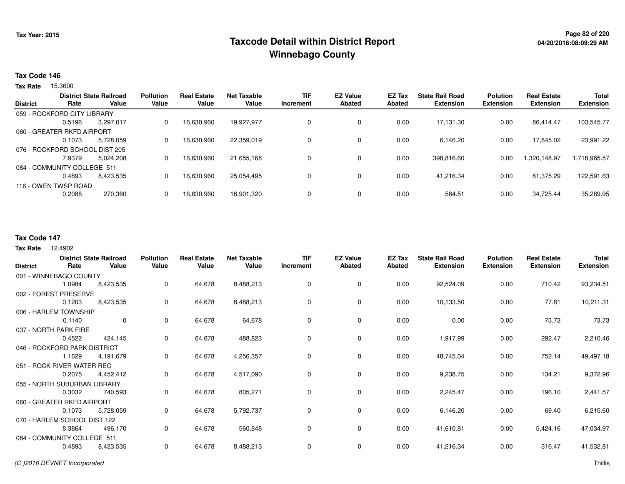## **Page 82 of 220 Taxcode Detail within District ReportWinnebago County**

#### **Tax Code 146**

15.3600 **Tax Rate**

| <b>District State Railroad</b> |                             | <b>Pollution</b> | <b>Real Estate</b> | Net Taxable | <b>TIF</b> | <b>EZ Value</b> | EZ Tax        | <b>State Rail Road</b> | <b>Polution</b>  | <b>Real Estate</b> | <b>Total</b>     |                  |
|--------------------------------|-----------------------------|------------------|--------------------|-------------|------------|-----------------|---------------|------------------------|------------------|--------------------|------------------|------------------|
| <b>District</b>                | Rate                        | Value            | Value              | Value       | Value      | Increment       | <b>Abated</b> | Abated                 | <b>Extension</b> | <b>Extension</b>   | <b>Extension</b> | <b>Extension</b> |
|                                | 059 - ROCKFORD CITY LIBRARY |                  |                    |             |            |                 |               |                        |                  |                    |                  |                  |
|                                | 0.5196                      | 3.297.017        | 0                  | 16,630,960  | 19.927.977 |                 | $\mathbf 0$   | 0.00                   | 17.131.30        | 0.00               | 86.414.47        | 103,545.77       |
| 060 - GREATER RKFD AIRPORT     |                             |                  |                    |             |            |                 |               |                        |                  |                    |                  |                  |
|                                | 0.1073                      | 5.728.059        | 0                  | 16,630,960  | 22,359,019 |                 | $\mathbf 0$   | 0.00                   | 6.146.20         | 0.00               | 17,845.02        | 23,991.22        |
| 076 - ROCKFORD SCHOOL DIST 205 |                             |                  |                    |             |            |                 |               |                        |                  |                    |                  |                  |
|                                | 7.9379                      | 5.024.208        | 0                  | 16.630.960  | 21.655.168 |                 | $\mathbf 0$   | 0.00                   | 398,816.60       | 0.00               | 1.320.148.97     | 1,718,965.57     |
|                                | 084 - COMMUNITY COLLEGE 511 |                  |                    |             |            |                 |               |                        |                  |                    |                  |                  |
|                                | 0.4893                      | 8,423,535        | 0                  | 16,630,960  | 25,054,495 |                 | $\mathbf 0$   | 0.00                   | 41.216.34        | 0.00               | 81.375.29        | 122,591.63       |
| 116 - OWEN TWSP ROAD           |                             |                  |                    |             |            |                 |               |                        |                  |                    |                  |                  |
|                                | 0.2088                      | 270,360          | 0                  | 16,630,960  | 16,901,320 |                 | $\mathbf 0$   | 0.00                   | 564.51           | 0.00               | 34,725.44        | 35,289.95        |
|                                |                             |                  |                    |             |            |                 |               |                        |                  |                    |                  |                  |

## **Tax Code 147**

12.4902 **Tax Rate**

| <b>District</b>              | Rate                         | <b>District State Railroad</b><br>Value | <b>Pollution</b><br>Value | <b>Real Estate</b><br>Value | <b>Net Taxable</b><br>Value | <b>TIF</b><br>Increment | <b>EZ Value</b><br><b>Abated</b> | EZ Tax<br><b>Abated</b> | <b>State Rail Road</b><br><b>Extension</b> | <b>Polution</b><br><b>Extension</b> | <b>Real Estate</b><br><b>Extension</b> | Total<br><b>Extension</b> |
|------------------------------|------------------------------|-----------------------------------------|---------------------------|-----------------------------|-----------------------------|-------------------------|----------------------------------|-------------------------|--------------------------------------------|-------------------------------------|----------------------------------------|---------------------------|
|                              | 001 - WINNEBAGO COUNTY       |                                         |                           |                             |                             |                         |                                  |                         |                                            |                                     |                                        |                           |
|                              | 1.0984                       | 8,423,535                               | $\Omega$                  | 64,678                      | 8,488,213                   | 0                       | 0                                | 0.00                    | 92,524.09                                  | 0.00                                | 710.42                                 | 93,234.51                 |
|                              | 002 - FOREST PRESERVE        |                                         |                           |                             |                             |                         |                                  |                         |                                            |                                     |                                        |                           |
|                              | 0.1203                       | 8,423,535                               | 0                         | 64,678                      | 8,488,213                   | 0                       | 0                                | 0.00                    | 10,133.50                                  | 0.00                                | 77.81                                  | 10,211.31                 |
|                              | 006 - HARLEM TOWNSHIP        |                                         |                           |                             |                             |                         |                                  |                         |                                            |                                     |                                        |                           |
|                              | 0.1140                       | $\overline{0}$                          | 0                         | 64,678                      | 64,678                      | $\Omega$                | 0                                | 0.00                    | 0.00                                       | 0.00                                | 73.73                                  | 73.73                     |
|                              | 037 - NORTH PARK FIRE        |                                         |                           |                             |                             |                         |                                  |                         |                                            |                                     |                                        |                           |
|                              | 0.4522                       | 424,145                                 | 0                         | 64,678                      | 488,823                     | 0                       | 0                                | 0.00                    | 1,917.99                                   | 0.00                                | 292.47                                 | 2,210.46                  |
| 046 - ROCKFORD PARK DISTRICT |                              |                                         |                           |                             |                             |                         |                                  |                         |                                            |                                     |                                        |                           |
|                              | 1.1629                       | 4,191,679                               | 0                         | 64,678                      | 4,256,357                   | $\Omega$                | $\mathbf 0$                      | 0.00                    | 48,745.04                                  | 0.00                                | 752.14                                 | 49,497.18                 |
|                              | 051 - ROCK RIVER WATER REC   |                                         |                           |                             |                             |                         |                                  |                         |                                            |                                     |                                        |                           |
|                              | 0.2075                       | 4,452,412                               | 0                         | 64,678                      | 4,517,090                   | 0                       | $\mathbf 0$                      | 0.00                    | 9,238.75                                   | 0.00                                | 134.21                                 | 9,372.96                  |
|                              | 055 - NORTH SUBURBAN LIBRARY |                                         |                           |                             |                             |                         |                                  |                         |                                            |                                     |                                        |                           |
|                              | 0.3032                       | 740,593                                 | 0                         | 64,678                      | 805,271                     | 0                       | 0                                | 0.00                    | 2,245.47                                   | 0.00                                | 196.10                                 | 2,441.57                  |
|                              | 060 - GREATER RKFD AIRPORT   |                                         |                           |                             |                             |                         |                                  |                         |                                            |                                     |                                        |                           |
|                              | 0.1073                       | 5,728,059                               | 0                         | 64,678                      | 5,792,737                   | 0                       | $\mathbf 0$                      | 0.00                    | 6,146.20                                   | 0.00                                | 69.40                                  | 6,215.60                  |
|                              | 070 - HARLEM SCHOOL DIST 122 |                                         |                           |                             |                             |                         |                                  |                         |                                            |                                     |                                        |                           |
|                              | 8.3864                       | 496,170                                 | 0                         | 64,678                      | 560,848                     | 0                       | $\mathbf 0$                      | 0.00                    | 41,610.81                                  | 0.00                                | 5,424.16                               | 47,034.97                 |
|                              | 084 - COMMUNITY COLLEGE 511  |                                         |                           |                             |                             |                         |                                  |                         |                                            |                                     |                                        |                           |
|                              | 0.4893                       | 8,423,535                               | 0                         | 64,678                      | 8,488,213                   | 0                       | 0                                | 0.00                    | 41,216.34                                  | 0.00                                | 316.47                                 | 41,532.81                 |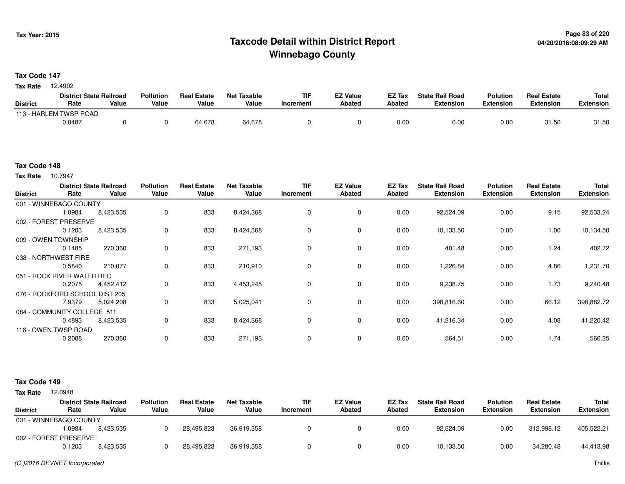## **Page 83 of 220 Taxcode Detail within District ReportWinnebago County**

**Tax Code 147**

12.4902 **Tax Rate**

|                 | <b>District State Railroad</b> |       | <b>Pollution</b> | <b>Real Estate</b> | Net Taxable | <b>TIF</b> | <b>EZ Value</b> | <b>EZ Tax</b> | <b>State Rail Road</b> | <b>Polution</b>  | <b>Real Estate</b> | <b>Total</b> |
|-----------------|--------------------------------|-------|------------------|--------------------|-------------|------------|-----------------|---------------|------------------------|------------------|--------------------|--------------|
| <b>District</b> | Rate                           | Value | Value            | Value              | Value       | Increment  | <b>Abated</b>   | <b>Abated</b> | <b>Extension</b>       | <b>Extension</b> | <b>Extension</b>   | Extension    |
|                 | 113 - HARLEM TWSP ROAD         |       |                  |                    |             |            |                 |               |                        |                  |                    |              |
|                 | 0.0487                         |       |                  | 64,678             | 64,678      |            |                 | 0.00          | 0.00                   | 0.00             | 31.50              | 31.50        |

#### **Tax Code 148**

10.7947 **Tax Rate**

| <b>District</b> | Rate                           | <b>District State Railroad</b><br>Value | <b>Pollution</b><br>Value | <b>Real Estate</b><br>Value | <b>Net Taxable</b><br>Value | <b>TIF</b><br>Increment | <b>EZ Value</b><br><b>Abated</b> | EZ Tax<br><b>Abated</b> | <b>State Rail Road</b><br><b>Extension</b> | <b>Polution</b><br><b>Extension</b> | <b>Real Estate</b><br><b>Extension</b> | <b>Total</b><br><b>Extension</b> |
|-----------------|--------------------------------|-----------------------------------------|---------------------------|-----------------------------|-----------------------------|-------------------------|----------------------------------|-------------------------|--------------------------------------------|-------------------------------------|----------------------------------------|----------------------------------|
|                 | 001 - WINNEBAGO COUNTY         |                                         |                           |                             |                             |                         |                                  |                         |                                            |                                     |                                        |                                  |
|                 | 1.0984                         | 8,423,535                               | 0                         | 833                         | 8,424,368                   |                         | $\mathbf 0$                      | 0.00                    | 92,524.09                                  | 0.00                                | 9.15                                   | 92,533.24                        |
|                 | 002 - FOREST PRESERVE          |                                         |                           |                             |                             |                         |                                  |                         |                                            |                                     |                                        |                                  |
|                 | 0.1203                         | 8,423,535                               | 0                         | 833                         | 8,424,368                   | 0                       | 0                                | 0.00                    | 10,133.50                                  | 0.00                                | 1.00                                   | 10,134.50                        |
|                 | 009 - OWEN TOWNSHIP            |                                         |                           |                             |                             |                         |                                  |                         |                                            |                                     |                                        |                                  |
|                 | 0.1485                         | 270,360                                 | 0                         | 833                         | 271,193                     | $\Omega$                | 0                                | 0.00                    | 401.48                                     | 0.00                                | 1.24                                   | 402.72                           |
|                 | 038 - NORTHWEST FIRE           |                                         |                           |                             |                             |                         |                                  |                         |                                            |                                     |                                        |                                  |
|                 | 0.5840                         | 210,077                                 | 0                         | 833                         | 210,910                     | $\Omega$                | $\mathbf 0$                      | 0.00                    | 1,226.84                                   | 0.00                                | 4.86                                   | 1,231.70                         |
|                 | 051 - ROCK RIVER WATER REC     |                                         |                           |                             |                             |                         |                                  |                         |                                            |                                     |                                        |                                  |
|                 | 0.2075                         | 4,452,412                               | 0                         | 833                         | 4,453,245                   | 0                       | $\mathbf 0$                      | 0.00                    | 9,238.75                                   | 0.00                                | 1.73                                   | 9,240.48                         |
|                 | 076 - ROCKFORD SCHOOL DIST 205 |                                         |                           |                             |                             |                         |                                  |                         |                                            |                                     |                                        |                                  |
|                 | 7.9379                         | 5,024,208                               | 0                         | 833                         | 5,025,041                   | 0                       | 0                                | 0.00                    | 398,816.60                                 | 0.00                                | 66.12                                  | 398,882.72                       |
|                 | 084 - COMMUNITY COLLEGE 511    |                                         |                           |                             |                             |                         |                                  |                         |                                            |                                     |                                        |                                  |
|                 | 0.4893                         | 8,423,535                               | 0                         | 833                         | 8,424,368                   | 0                       | $\mathbf 0$                      | 0.00                    | 41,216.34                                  | 0.00                                | 4.08                                   | 41,220.42                        |
|                 | 116 - OWEN TWSP ROAD           |                                         |                           |                             |                             |                         |                                  |                         |                                            |                                     |                                        |                                  |
|                 | 0.2088                         | 270,360                                 | $\mathbf 0$               | 833                         | 271,193                     |                         | 0                                | 0.00                    | 564.51                                     | 0.00                                | 1.74                                   | 566.25                           |

| <b>Tax Rate</b> | 12.0948 |
|-----------------|---------|

|                        |        | <b>District State Railroad</b> | <b>Pollution</b> | <b>Real Estate</b> | <b>Net Taxable</b> | TIF       | <b>EZ Value</b> | <b>EZ Tax</b> | <b>State Rail Road</b> | <b>Polution</b>  | <b>Real Estate</b> | Total      |
|------------------------|--------|--------------------------------|------------------|--------------------|--------------------|-----------|-----------------|---------------|------------------------|------------------|--------------------|------------|
| <b>District</b>        | Rate   | Value                          | Value            | Value              | Value              | Increment | Abated          | <b>Abated</b> | <b>Extension</b>       | <b>Extension</b> | <b>Extension</b>   | Extension  |
| 001 - WINNEBAGO COUNTY |        |                                |                  |                    |                    |           |                 |               |                        |                  |                    |            |
|                        | 1.0984 | 8.423.535                      |                  | 28,495,823         | 36.919.358         |           |                 | 0.00          | 92.524.09              | 0.00             | 312.998.12         | 405,522.21 |
| 002 - FOREST PRESERVE  |        |                                |                  |                    |                    |           |                 |               |                        |                  |                    |            |
|                        | 0.1203 | 8.423.535                      |                  | 28,495,823         | 36.919.358         |           |                 | 0.00          | 10,133.50              | 0.00             | 34,280.48          | 44,413.98  |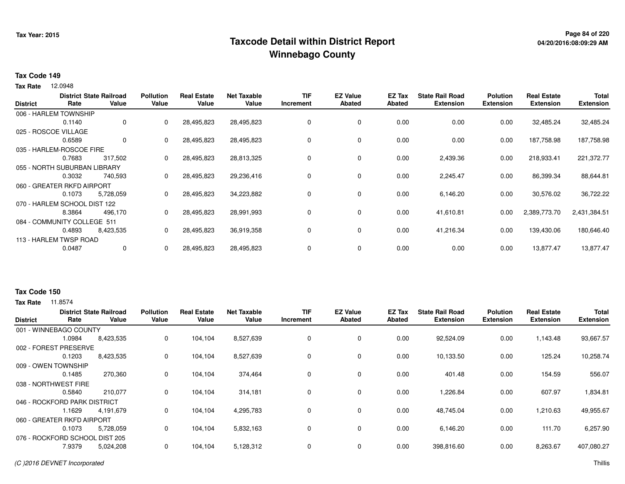## **Page 84 of 220 Taxcode Detail within District ReportWinnebago County**

### **Tax Code 149**

12.0948 **Tax Rate**

| <b>Abated</b><br>Increment<br>0 | <b>Abated</b>                          | <b>Extension</b>     | <b>Extension</b> | <b>Extension</b> | <b>Extension</b> |
|---------------------------------|----------------------------------------|----------------------|------------------|------------------|------------------|
|                                 |                                        |                      |                  |                  |                  |
|                                 |                                        |                      |                  |                  |                  |
|                                 |                                        | 0.00                 | 0.00             | 32,485.24        | 32,485.24        |
|                                 |                                        |                      |                  |                  |                  |
| 0                               | 0.00                                   | 0.00                 | 0.00             | 187,758.98       | 187,758.98       |
|                                 |                                        |                      |                  |                  |                  |
| 0                               |                                        | 2,439.36             | 0.00             | 218,933.41       | 221,372.77       |
|                                 |                                        |                      |                  |                  |                  |
| 0                               | 0.00                                   | 2,245.47             | 0.00             | 86,399.34        | 88,644.81        |
|                                 |                                        |                      |                  |                  |                  |
| 0                               | 0.00                                   | 6,146.20             | 0.00             | 30,576.02        | 36,722.22        |
|                                 |                                        |                      |                  |                  |                  |
| 0                               | 0.00                                   | 41,610.81            | 0.00             | 2,389,773.70     | 2,431,384.51     |
|                                 |                                        |                      |                  |                  |                  |
| 0                               |                                        | 41,216.34            | 0.00             | 139,430.06       | 180,646.40       |
|                                 |                                        |                      |                  |                  |                  |
| 0                               | 0.00                                   | 0.00                 | 0.00             | 13,877.47        | 13,877.47        |
|                                 | 0<br>0<br>$\Omega$<br>0<br>$\mathbf 0$ | 0.00<br>0.00<br>0.00 |                  |                  |                  |

#### **Tax Code 150**

| <b>District</b>      | Rate                           | <b>District State Railroad</b><br>Value | <b>Pollution</b><br>Value | <b>Real Estate</b><br>Value | <b>Net Taxable</b><br>Value | <b>TIF</b><br>Increment | <b>EZ Value</b><br><b>Abated</b> | EZ Tax<br>Abated | <b>State Rail Road</b><br><b>Extension</b> | <b>Polution</b><br><b>Extension</b> | <b>Real Estate</b><br><b>Extension</b> | <b>Total</b><br><b>Extension</b> |
|----------------------|--------------------------------|-----------------------------------------|---------------------------|-----------------------------|-----------------------------|-------------------------|----------------------------------|------------------|--------------------------------------------|-------------------------------------|----------------------------------------|----------------------------------|
|                      | 001 - WINNEBAGO COUNTY         |                                         |                           |                             |                             |                         |                                  |                  |                                            |                                     |                                        |                                  |
|                      | 1.0984                         | 8,423,535                               | 0                         | 104,104                     | 8,527,639                   | 0                       | 0                                | 0.00             | 92,524.09                                  | 0.00                                | 1,143.48                               | 93,667.57                        |
|                      | 002 - FOREST PRESERVE          |                                         |                           |                             |                             |                         |                                  |                  |                                            |                                     |                                        |                                  |
|                      | 0.1203                         | 8,423,535                               | 0                         | 104,104                     | 8,527,639                   | 0                       | $\mathbf 0$                      | 0.00             | 10,133.50                                  | 0.00                                | 125.24                                 | 10,258.74                        |
|                      | 009 - OWEN TOWNSHIP            |                                         |                           |                             |                             |                         |                                  |                  |                                            |                                     |                                        |                                  |
|                      | 0.1485                         | 270,360                                 | 0                         | 104,104                     | 374,464                     | 0                       | 0                                | 0.00             | 401.48                                     | 0.00                                | 154.59                                 | 556.07                           |
| 038 - NORTHWEST FIRE |                                |                                         |                           |                             |                             |                         |                                  |                  |                                            |                                     |                                        |                                  |
|                      | 0.5840                         | 210,077                                 | 0                         | 104,104                     | 314,181                     | 0                       | 0                                | 0.00             | 1,226.84                                   | 0.00                                | 607.97                                 | 1,834.81                         |
|                      | 046 - ROCKFORD PARK DISTRICT   |                                         |                           |                             |                             |                         |                                  |                  |                                            |                                     |                                        |                                  |
|                      | 1.1629                         | 4,191,679                               | 0                         | 104,104                     | 4,295,783                   | 0                       | 0                                | 0.00             | 48,745.04                                  | 0.00                                | 1,210.63                               | 49,955.67                        |
|                      | 060 - GREATER RKFD AIRPORT     |                                         |                           |                             |                             |                         |                                  |                  |                                            |                                     |                                        |                                  |
|                      | 0.1073                         | 5,728,059                               | 0                         | 104,104                     | 5,832,163                   | 0                       | 0                                | 0.00             | 6,146.20                                   | 0.00                                | 111.70                                 | 6,257.90                         |
|                      | 076 - ROCKFORD SCHOOL DIST 205 |                                         |                           |                             |                             |                         |                                  |                  |                                            |                                     |                                        |                                  |
|                      | 7.9379                         | 5,024,208                               | 0                         | 104,104                     | 5,128,312                   | 0                       | 0                                | 0.00             | 398,816.60                                 | 0.00                                | 8,263.67                               | 407,080.27                       |
|                      |                                |                                         |                           |                             |                             |                         |                                  |                  |                                            |                                     |                                        |                                  |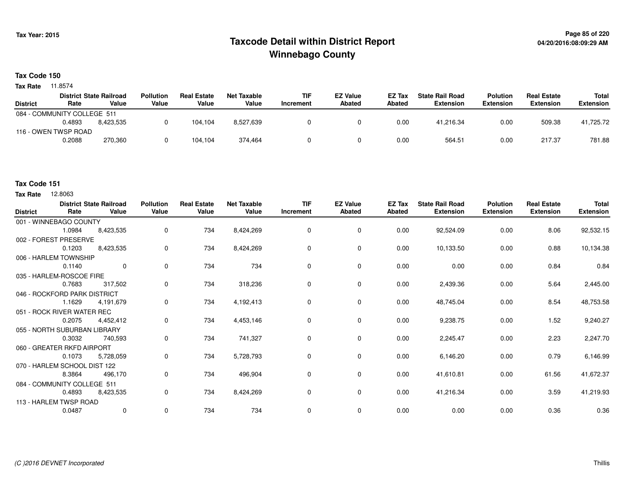## **Page 85 of 220 Taxcode Detail within District ReportWinnebago County**

**Tax Code 150**

**Tax Rate** 11.8574

|                             |        | <b>District State Railroad</b> | <b>Pollution</b> | <b>Real Estate</b> | <b>Net Taxable</b> | <b>TIF</b> | <b>EZ Value</b> | <b>EZ Tax</b> | <b>State Rail Road</b> | <b>Polution</b>  | <b>Real Estate</b> | Total            |
|-----------------------------|--------|--------------------------------|------------------|--------------------|--------------------|------------|-----------------|---------------|------------------------|------------------|--------------------|------------------|
| <b>District</b>             | Rate   | Value                          | Value            | Value              | Value              | Increment  | <b>Abated</b>   | Abated        | Extension              | <b>Extension</b> | <b>Extension</b>   | <b>Extension</b> |
| 084 - COMMUNITY COLLEGE 511 |        |                                |                  |                    |                    |            |                 |               |                        |                  |                    |                  |
|                             | 0.4893 | 8.423.535                      |                  | 104.104            | 8,527,639          |            |                 | 0.00          | 41.216.34              | 0.00             | 509.38             | 41,725.72        |
| 116 - OWEN TWSP ROAD        |        |                                |                  |                    |                    |            |                 |               |                        |                  |                    |                  |
|                             | 0.2088 | 270,360                        |                  | 104,104            | 374.464            |            |                 | 0.00          | 564.51                 | 0.00             | 217.37             | 781.88           |

### **Tax Code 151**

**Tax Rate** 12,8063

| <b>District</b>              | Rate   | <b>District State Railroad</b><br>Value | <b>Pollution</b><br>Value | <b>Real Estate</b><br>Value | <b>Net Taxable</b><br>Value | <b>TIF</b><br><b>Increment</b> | <b>EZ Value</b><br>Abated | EZ Tax<br>Abated | <b>State Rail Road</b><br><b>Extension</b> | <b>Polution</b><br><b>Extension</b> | <b>Real Estate</b><br><b>Extension</b> | Total<br><b>Extension</b> |
|------------------------------|--------|-----------------------------------------|---------------------------|-----------------------------|-----------------------------|--------------------------------|---------------------------|------------------|--------------------------------------------|-------------------------------------|----------------------------------------|---------------------------|
| 001 - WINNEBAGO COUNTY       |        |                                         |                           |                             |                             |                                |                           |                  |                                            |                                     |                                        |                           |
|                              | 1.0984 | 8,423,535                               | 0                         | 734                         | 8,424,269                   | $\mathbf 0$                    | $\mathbf 0$               | 0.00             | 92,524.09                                  | 0.00                                | 8.06                                   | 92,532.15                 |
| 002 - FOREST PRESERVE        |        |                                         |                           |                             |                             |                                |                           |                  |                                            |                                     |                                        |                           |
|                              | 0.1203 | 8,423,535                               | 0                         | 734                         | 8,424,269                   | 0                              | $\mathbf 0$               | 0.00             | 10,133.50                                  | 0.00                                | 0.88                                   | 10,134.38                 |
| 006 - HARLEM TOWNSHIP        |        |                                         |                           |                             |                             |                                |                           |                  |                                            |                                     |                                        |                           |
|                              | 0.1140 | $\Omega$                                | 0                         | 734                         | 734                         | 0                              | $\mathbf 0$               | 0.00             | 0.00                                       | 0.00                                | 0.84                                   | 0.84                      |
| 035 - HARLEM-ROSCOE FIRE     |        |                                         |                           |                             |                             |                                |                           |                  |                                            |                                     |                                        |                           |
|                              | 0.7683 | 317,502                                 | 0                         | 734                         | 318,236                     | 0                              | $\mathbf 0$               | 0.00             | 2,439.36                                   | 0.00                                | 5.64                                   | 2,445.00                  |
| 046 - ROCKFORD PARK DISTRICT |        |                                         |                           |                             |                             |                                |                           |                  |                                            |                                     |                                        |                           |
|                              | 1.1629 | 4,191,679                               | 0                         | 734                         | 4,192,413                   | 0                              | 0                         | 0.00             | 48,745.04                                  | 0.00                                | 8.54                                   | 48,753.58                 |
| 051 - ROCK RIVER WATER REC   |        |                                         |                           |                             |                             |                                |                           |                  |                                            |                                     |                                        |                           |
|                              | 0.2075 | 4,452,412                               | 0                         | 734                         | 4,453,146                   | 0                              | $\mathbf 0$               | 0.00             | 9,238.75                                   | 0.00                                | 1.52                                   | 9,240.27                  |
| 055 - NORTH SUBURBAN LIBRARY |        |                                         |                           |                             |                             |                                |                           |                  |                                            |                                     |                                        |                           |
|                              | 0.3032 | 740,593                                 | 0                         | 734                         | 741,327                     | 0                              | $\mathbf 0$               | 0.00             | 2,245.47                                   | 0.00                                | 2.23                                   | 2,247.70                  |
| 060 - GREATER RKFD AIRPORT   |        |                                         |                           |                             |                             |                                |                           |                  |                                            |                                     |                                        |                           |
|                              | 0.1073 | 5,728,059                               | 0                         | 734                         | 5,728,793                   | 0                              | $\mathbf 0$               | 0.00             | 6,146.20                                   | 0.00                                | 0.79                                   | 6,146.99                  |
| 070 - HARLEM SCHOOL DIST 122 |        |                                         |                           |                             |                             |                                |                           |                  |                                            |                                     |                                        |                           |
|                              | 8.3864 | 496,170                                 | 0                         | 734                         | 496,904                     | 0                              | 0                         | 0.00             | 41,610.81                                  | 0.00                                | 61.56                                  | 41,672.37                 |
| 084 - COMMUNITY COLLEGE 511  |        |                                         |                           |                             |                             |                                |                           |                  |                                            |                                     |                                        |                           |
|                              | 0.4893 | 8,423,535                               | 0                         | 734                         | 8,424,269                   | $\mathbf 0$                    | $\mathbf 0$               | 0.00             | 41,216.34                                  | 0.00                                | 3.59                                   | 41,219.93                 |
| 113 - HARLEM TWSP ROAD       |        |                                         |                           |                             |                             |                                |                           |                  |                                            |                                     |                                        |                           |
|                              | 0.0487 | $\mathbf 0$                             | 0                         | 734                         | 734                         | $\mathbf 0$                    | 0                         | 0.00             | 0.00                                       | 0.00                                | 0.36                                   | 0.36                      |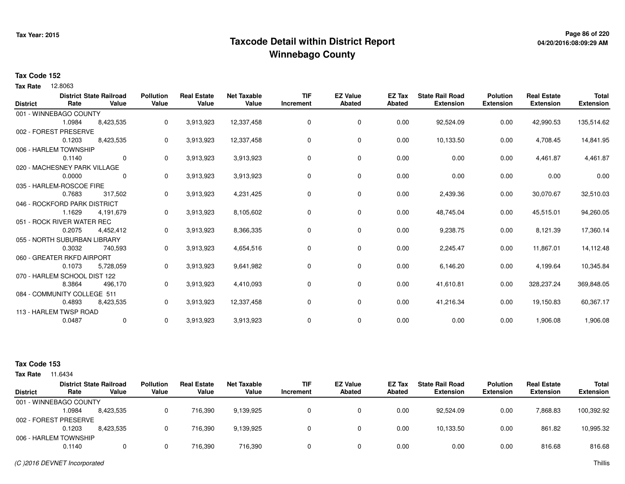## **Page 86 of 220 Taxcode Detail within District ReportWinnebago County**

### **Tax Code 152**

**Tax Rate** 12.8063

| <b>District</b> | Rate                         | <b>District State Railroad</b><br>Value | <b>Pollution</b><br>Value | <b>Real Estate</b><br>Value | <b>Net Taxable</b><br>Value | <b>TIF</b><br>Increment | <b>EZ Value</b><br>Abated | <b>EZ Tax</b><br><b>Abated</b> | <b>State Rail Road</b><br><b>Extension</b> | <b>Polution</b><br><b>Extension</b> | <b>Real Estate</b><br><b>Extension</b> | <b>Total</b><br><b>Extension</b> |
|-----------------|------------------------------|-----------------------------------------|---------------------------|-----------------------------|-----------------------------|-------------------------|---------------------------|--------------------------------|--------------------------------------------|-------------------------------------|----------------------------------------|----------------------------------|
|                 | 001 - WINNEBAGO COUNTY       |                                         |                           |                             |                             |                         |                           |                                |                                            |                                     |                                        |                                  |
|                 | 1.0984                       | 8,423,535                               | 0                         | 3,913,923                   | 12,337,458                  | 0                       | 0                         | 0.00                           | 92,524.09                                  | 0.00                                | 42,990.53                              | 135,514.62                       |
|                 | 002 - FOREST PRESERVE        |                                         |                           |                             |                             |                         |                           |                                |                                            |                                     |                                        |                                  |
|                 | 0.1203                       | 8,423,535                               | 0                         | 3,913,923                   | 12,337,458                  | 0                       | 0                         | 0.00                           | 10,133.50                                  | 0.00                                | 4,708.45                               | 14,841.95                        |
|                 | 006 - HARLEM TOWNSHIP        |                                         |                           |                             |                             |                         |                           |                                |                                            |                                     |                                        |                                  |
|                 | 0.1140                       | $\mathbf 0$                             | 0                         | 3,913,923                   | 3,913,923                   | 0                       | 0                         | 0.00                           | 0.00                                       | 0.00                                | 4,461.87                               | 4,461.87                         |
|                 | 020 - MACHESNEY PARK VILLAGE |                                         |                           |                             |                             |                         |                           |                                |                                            |                                     |                                        |                                  |
|                 | 0.0000                       | $\Omega$                                | 0                         | 3,913,923                   | 3,913,923                   | 0                       | 0                         | 0.00                           | 0.00                                       | 0.00                                | 0.00                                   | 0.00                             |
|                 | 035 - HARLEM-ROSCOE FIRE     |                                         |                           |                             |                             |                         |                           |                                |                                            |                                     |                                        |                                  |
|                 | 0.7683                       | 317,502                                 | 0                         | 3,913,923                   | 4,231,425                   | 0                       | 0                         | 0.00                           | 2,439.36                                   | 0.00                                | 30,070.67                              | 32,510.03                        |
|                 | 046 - ROCKFORD PARK DISTRICT |                                         |                           |                             |                             |                         |                           |                                |                                            |                                     |                                        |                                  |
|                 | 1.1629                       | 4,191,679                               | 0                         | 3,913,923                   | 8,105,602                   | 0                       | 0                         | 0.00                           | 48,745.04                                  | 0.00                                | 45,515.01                              | 94,260.05                        |
|                 | 051 - ROCK RIVER WATER REC   |                                         |                           |                             |                             |                         |                           |                                |                                            |                                     |                                        |                                  |
|                 | 0.2075                       | 4,452,412                               | 0                         | 3,913,923                   | 8,366,335                   | 0                       | 0                         | 0.00                           | 9,238.75                                   | 0.00                                | 8,121.39                               | 17,360.14                        |
|                 | 055 - NORTH SUBURBAN LIBRARY |                                         |                           |                             |                             |                         |                           |                                |                                            |                                     |                                        |                                  |
|                 | 0.3032                       | 740,593                                 | 0                         | 3,913,923                   | 4,654,516                   | 0                       | 0                         | 0.00                           | 2,245.47                                   | 0.00                                | 11,867.01                              | 14,112.48                        |
|                 | 060 - GREATER RKFD AIRPORT   |                                         |                           |                             |                             |                         |                           |                                |                                            |                                     |                                        |                                  |
|                 | 0.1073                       | 5,728,059                               | 0                         | 3,913,923                   | 9,641,982                   | 0                       | 0                         | 0.00                           | 6,146.20                                   | 0.00                                | 4,199.64                               | 10,345.84                        |
|                 | 070 - HARLEM SCHOOL DIST 122 |                                         |                           |                             |                             |                         |                           |                                |                                            |                                     |                                        |                                  |
|                 | 8.3864                       | 496,170                                 | 0                         | 3,913,923                   | 4,410,093                   | 0                       | 0                         | 0.00                           | 41,610.81                                  | 0.00                                | 328,237.24                             | 369,848.05                       |
|                 | 084 - COMMUNITY COLLEGE 511  |                                         |                           |                             |                             |                         |                           |                                |                                            |                                     |                                        |                                  |
|                 | 0.4893                       | 8,423,535                               | 0                         | 3,913,923                   | 12,337,458                  | 0                       | 0                         | 0.00                           | 41,216.34                                  | 0.00                                | 19,150.83                              | 60,367.17                        |
|                 | 113 - HARLEM TWSP ROAD       |                                         |                           |                             |                             |                         |                           |                                |                                            |                                     |                                        |                                  |
|                 | 0.0487                       | 0                                       | 0                         | 3,913,923                   | 3,913,923                   | 0                       | 0                         | 0.00                           | 0.00                                       | 0.00                                | 1,906.08                               | 1,906.08                         |

| <b>Tax Rate</b> | 1.6434                 |                                         |                           |                             |                      |                         |                                  |                  |                                            |                                     |                                        |                                  |
|-----------------|------------------------|-----------------------------------------|---------------------------|-----------------------------|----------------------|-------------------------|----------------------------------|------------------|--------------------------------------------|-------------------------------------|----------------------------------------|----------------------------------|
| <b>District</b> | Rate                   | <b>District State Railroad</b><br>Value | <b>Pollution</b><br>Value | <b>Real Estate</b><br>Value | Net Taxable<br>Value | <b>TIF</b><br>Increment | <b>EZ Value</b><br><b>Abated</b> | EZ Tax<br>Abated | <b>State Rail Road</b><br><b>Extension</b> | <b>Polution</b><br><b>Extension</b> | <b>Real Estate</b><br><b>Extension</b> | <b>Total</b><br><b>Extension</b> |
|                 | 001 - WINNEBAGO COUNTY |                                         |                           |                             |                      |                         |                                  |                  |                                            |                                     |                                        |                                  |
|                 | 1.0984                 | 8.423.535                               |                           | 716.390                     | 9,139,925            | 0                       |                                  | 0.00             | 92.524.09                                  | 0.00                                | 7.868.83                               | 100,392.92                       |
|                 | 002 - FOREST PRESERVE  |                                         |                           |                             |                      |                         |                                  |                  |                                            |                                     |                                        |                                  |
|                 | 0.1203                 | 8.423.535                               |                           | 716.390                     | 9.139.925            | 0                       |                                  | 0.00             | 10,133.50                                  | 0.00                                | 861.82                                 | 10,995.32                        |
|                 | 006 - HARLEM TOWNSHIP  |                                         |                           |                             |                      |                         |                                  |                  |                                            |                                     |                                        |                                  |
|                 | 0.1140                 |                                         |                           | 716.390                     | 716,390              | 0                       |                                  | 0.00             | 0.00                                       | 0.00                                | 816.68                                 | 816.68                           |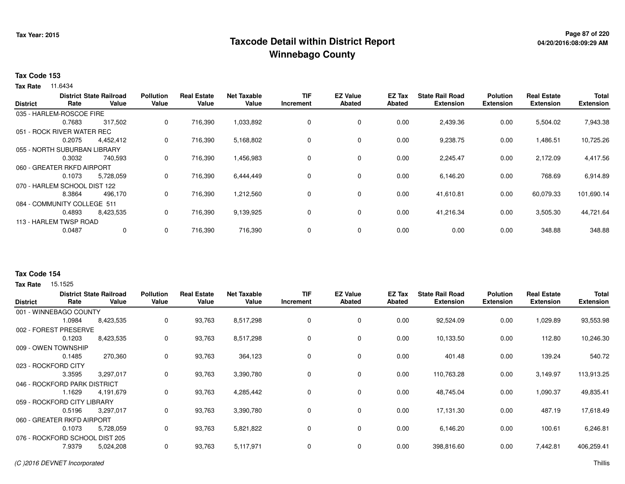## **Page 87 of 220 Taxcode Detail within District ReportWinnebago County**

### **Tax Code 153**

**Tax Rate** 11.6434

|                              |                              | <b>District State Railroad</b> | <b>Pollution</b> | <b>Real Estate</b> | <b>Net Taxable</b> | <b>TIF</b> | <b>EZ Value</b> | <b>EZ Tax</b> | <b>State Rail Road</b> | <b>Polution</b>  | <b>Real Estate</b> | <b>Total</b>     |
|------------------------------|------------------------------|--------------------------------|------------------|--------------------|--------------------|------------|-----------------|---------------|------------------------|------------------|--------------------|------------------|
| <b>District</b>              | Rate                         | Value                          | Value            | Value              | Value              | Increment  | <b>Abated</b>   | <b>Abated</b> | <b>Extension</b>       | <b>Extension</b> | <b>Extension</b>   | <b>Extension</b> |
|                              | 035 - HARLEM-ROSCOE FIRE     |                                |                  |                    |                    |            |                 |               |                        |                  |                    |                  |
|                              | 0.7683                       | 317,502                        | 0                | 716,390            | 1,033,892          | 0          | 0               | 0.00          | 2,439.36               | 0.00             | 5,504.02           | 7,943.38         |
|                              | 051 - ROCK RIVER WATER REC   |                                |                  |                    |                    |            |                 |               |                        |                  |                    |                  |
|                              | 0.2075                       | 4,452,412                      | 0                | 716,390            | 5,168,802          | 0          | $\mathbf 0$     | 0.00          | 9,238.75               | 0.00             | 1,486.51           | 10,725.26        |
| 055 - NORTH SUBURBAN LIBRARY |                              |                                |                  |                    |                    |            |                 |               |                        |                  |                    |                  |
|                              | 0.3032                       | 740,593                        | 0                | 716,390            | 1,456,983          | 0          | 0               | 0.00          | 2,245.47               | 0.00             | 2,172.09           | 4,417.56         |
|                              | 060 - GREATER RKFD AIRPORT   |                                |                  |                    |                    |            |                 |               |                        |                  |                    |                  |
|                              | 0.1073                       | 5,728,059                      | 0                | 716,390            | 6,444,449          | 0          | $\mathbf 0$     | 0.00          | 6,146.20               | 0.00             | 768.69             | 6,914.89         |
|                              | 070 - HARLEM SCHOOL DIST 122 |                                |                  |                    |                    |            |                 |               |                        |                  |                    |                  |
|                              | 8.3864                       | 496,170                        | 0                | 716,390            | 1,212,560          | 0          | $\mathbf 0$     | 0.00          | 41,610.81              | 0.00             | 60,079.33          | 101,690.14       |
|                              | 084 - COMMUNITY COLLEGE 511  |                                |                  |                    |                    |            |                 |               |                        |                  |                    |                  |
|                              | 0.4893                       | 8,423,535                      | 0                | 716,390            | 9,139,925          | 0          | 0               | 0.00          | 41,216.34              | 0.00             | 3,505.30           | 44,721.64        |
|                              | 113 - HARLEM TWSP ROAD       |                                |                  |                    |                    |            |                 |               |                        |                  |                    |                  |
|                              | 0.0487                       | 0                              | 0                | 716,390            | 716,390            | 0          | $\mathbf 0$     | 0.00          | 0.00                   | 0.00             | 348.88             | 348.88           |
|                              |                              |                                |                  |                    |                    |            |                 |               |                        |                  |                    |                  |

## **Tax Code 154**

| <b>District</b>     | Rate                           | <b>District State Railroad</b><br>Value | <b>Pollution</b><br>Value | <b>Real Estate</b><br>Value | <b>Net Taxable</b><br>Value | <b>TIF</b><br>Increment | <b>EZ Value</b><br><b>Abated</b> | EZ Tax<br>Abated | <b>State Rail Road</b><br><b>Extension</b> | <b>Polution</b><br><b>Extension</b> | <b>Real Estate</b><br><b>Extension</b> | <b>Total</b><br><b>Extension</b> |
|---------------------|--------------------------------|-----------------------------------------|---------------------------|-----------------------------|-----------------------------|-------------------------|----------------------------------|------------------|--------------------------------------------|-------------------------------------|----------------------------------------|----------------------------------|
|                     | 001 - WINNEBAGO COUNTY         |                                         |                           |                             |                             |                         |                                  |                  |                                            |                                     |                                        |                                  |
|                     | 1.0984                         | 8,423,535                               | 0                         | 93,763                      | 8,517,298                   | 0                       | 0                                | 0.00             | 92,524.09                                  | 0.00                                | 1,029.89                               | 93,553.98                        |
| 002 - FOREST        | <b>PRESERVE</b>                |                                         |                           |                             |                             |                         |                                  |                  |                                            |                                     |                                        |                                  |
|                     | 0.1203                         | 8,423,535                               | 0                         | 93,763                      | 8,517,298                   | 0                       | 0                                | 0.00             | 10,133.50                                  | 0.00                                | 112.80                                 | 10,246.30                        |
|                     | 009 - OWEN TOWNSHIP            |                                         |                           |                             |                             |                         |                                  |                  |                                            |                                     |                                        |                                  |
|                     | 0.1485                         | 270,360                                 | 0                         | 93,763                      | 364,123                     | 0                       | 0                                | 0.00             | 401.48                                     | 0.00                                | 139.24                                 | 540.72                           |
| 023 - ROCKFORD CITY |                                |                                         |                           |                             |                             |                         |                                  |                  |                                            |                                     |                                        |                                  |
|                     | 3.3595                         | 3,297,017                               | 0                         | 93,763                      | 3,390,780                   | 0                       | $\mathbf 0$                      | 0.00             | 110,763.28                                 | 0.00                                | 3,149.97                               | 113,913.25                       |
|                     | 046 - ROCKFORD PARK DISTRICT   |                                         |                           |                             |                             |                         |                                  |                  |                                            |                                     |                                        |                                  |
|                     | 1.1629                         | 4,191,679                               | 0                         | 93,763                      | 4,285,442                   | 0                       | $\mathbf 0$                      | 0.00             | 48,745.04                                  | 0.00                                | 1,090.37                               | 49,835.41                        |
|                     | 059 - ROCKFORD CITY LIBRARY    |                                         |                           |                             |                             |                         |                                  |                  |                                            |                                     |                                        |                                  |
|                     | 0.5196                         | 3,297,017                               | 0                         | 93,763                      | 3,390,780                   | 0                       | 0                                | 0.00             | 17,131.30                                  | 0.00                                | 487.19                                 | 17,618.49                        |
|                     | 060 - GREATER RKFD AIRPORT     |                                         |                           |                             |                             |                         |                                  |                  |                                            |                                     |                                        |                                  |
|                     | 0.1073                         | 5,728,059                               | 0                         | 93,763                      | 5,821,822                   | 0                       | 0                                | 0.00             | 6,146.20                                   | 0.00                                | 100.61                                 | 6,246.81                         |
|                     | 076 - ROCKFORD SCHOOL DIST 205 |                                         |                           |                             |                             |                         |                                  |                  |                                            |                                     |                                        |                                  |
|                     | 7.9379                         | 5,024,208                               | 0                         | 93,763                      | 5,117,971                   | 0                       | 0                                | 0.00             | 398,816.60                                 | 0.00                                | 7,442.81                               | 406,259.41                       |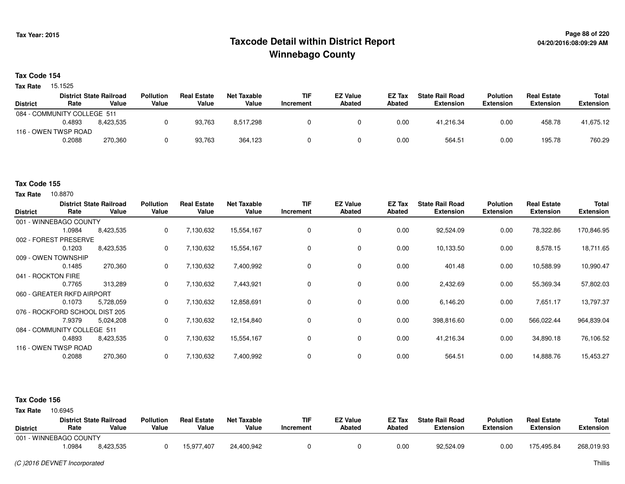## **Page 88 of 220 Taxcode Detail within District ReportWinnebago County**

#### **Tax Code 154**

15.1525 **Tax Rate**

|                 |                             | <b>District State Railroad</b> | <b>Pollution</b> | <b>Real Estate</b> | Net Taxable | <b>TIF</b> | <b>EZ Value</b> | <b>EZ Tax</b> | <b>State Rail Road</b> | <b>Polution</b>  | <b>Real Estate</b> | Total            |
|-----------------|-----------------------------|--------------------------------|------------------|--------------------|-------------|------------|-----------------|---------------|------------------------|------------------|--------------------|------------------|
| <b>District</b> | Rate                        | Value                          | Value            | Value              | Value       | Increment  | Abated          | <b>Abated</b> | <b>Extension</b>       | <b>Extension</b> | <b>Extension</b>   | <b>Extension</b> |
|                 | 084 - COMMUNITY COLLEGE 511 |                                |                  |                    |             |            |                 |               |                        |                  |                    |                  |
|                 | 0.4893                      | 8.423.535                      |                  | 93,763             | 8,517,298   |            |                 | 0.00          | 41,216.34              | 0.00             | 458.78             | 41,675.12        |
|                 | 116 - OWEN TWSP ROAD        |                                |                  |                    |             |            |                 |               |                        |                  |                    |                  |
|                 | 0.2088                      | 270,360                        |                  | 93.763             | 364.123     |            |                 | 0.00          | 564.51                 | 0.00             | 195.78             | 760.29           |
|                 |                             |                                |                  |                    |             |            |                 |               |                        |                  |                    |                  |

### **Tax Code 155**

**Tax Rate** 10.8870

| <b>District</b>                | Rate   | <b>District State Railroad</b><br>Value | <b>Pollution</b><br>Value | <b>Real Estate</b><br>Value | <b>Net Taxable</b><br>Value | <b>TIF</b><br>Increment | <b>EZ Value</b><br><b>Abated</b> | EZ Tax<br><b>Abated</b> | <b>State Rail Road</b><br><b>Extension</b> | <b>Polution</b><br><b>Extension</b> | <b>Real Estate</b><br><b>Extension</b> | Total<br><b>Extension</b> |
|--------------------------------|--------|-----------------------------------------|---------------------------|-----------------------------|-----------------------------|-------------------------|----------------------------------|-------------------------|--------------------------------------------|-------------------------------------|----------------------------------------|---------------------------|
| 001 - WINNEBAGO COUNTY         |        |                                         |                           |                             |                             |                         |                                  |                         |                                            |                                     |                                        |                           |
|                                | 1.0984 | 8,423,535                               | 0                         | 7,130,632                   | 15,554,167                  | 0                       | 0                                | 0.00                    | 92,524.09                                  | 0.00                                | 78,322.86                              | 170,846.95                |
| 002 - FOREST PRESERVE          |        |                                         |                           |                             |                             |                         |                                  |                         |                                            |                                     |                                        |                           |
|                                | 0.1203 | 8,423,535                               | 0                         | 7,130,632                   | 15,554,167                  | 0                       | 0                                | 0.00                    | 10,133.50                                  | 0.00                                | 8,578.15                               | 18,711.65                 |
| 009 - OWEN TOWNSHIP            |        |                                         |                           |                             |                             |                         |                                  |                         |                                            |                                     |                                        |                           |
|                                | 0.1485 | 270,360                                 | 0                         | 7,130,632                   | 7,400,992                   | 0                       | $\mathbf 0$                      | 0.00                    | 401.48                                     | 0.00                                | 10,588.99                              | 10,990.47                 |
| 041 - ROCKTON FIRE             |        |                                         |                           |                             |                             |                         |                                  |                         |                                            |                                     |                                        |                           |
|                                | 0.7765 | 313,289                                 | 0                         | 7,130,632                   | 7,443,921                   | 0                       | $\mathbf 0$                      | 0.00                    | 2,432.69                                   | 0.00                                | 55,369.34                              | 57,802.03                 |
| 060 - GREATER RKFD AIRPORT     |        |                                         |                           |                             |                             |                         |                                  |                         |                                            |                                     |                                        |                           |
|                                | 0.1073 | 5,728,059                               | 0                         | 7,130,632                   | 12,858,691                  | 0                       | 0                                | 0.00                    | 6,146.20                                   | 0.00                                | 7,651.17                               | 13,797.37                 |
| 076 - ROCKFORD SCHOOL DIST 205 |        |                                         |                           |                             |                             |                         |                                  |                         |                                            |                                     |                                        |                           |
|                                | 7.9379 | 5,024,208                               | 0                         | 7,130,632                   | 12,154,840                  | 0                       | 0                                | 0.00                    | 398,816.60                                 | 0.00                                | 566,022.44                             | 964,839.04                |
| 084 - COMMUNITY COLLEGE 511    |        |                                         |                           |                             |                             |                         |                                  |                         |                                            |                                     |                                        |                           |
|                                | 0.4893 | 8,423,535                               | 0                         | 7,130,632                   | 15,554,167                  | 0                       | 0                                | 0.00                    | 41,216.34                                  | 0.00                                | 34,890.18                              | 76,106.52                 |
| 116 - OWEN TWSP ROAD           |        |                                         |                           |                             |                             |                         |                                  |                         |                                            |                                     |                                        |                           |
|                                | 0.2088 | 270,360                                 | 0                         | 7,130,632                   | 7,400,992                   | 0                       | $\mathbf 0$                      | 0.00                    | 564.51                                     | 0.00                                | 14,888.76                              | 15,453.27                 |

| <b>Tax Rate</b> | 10.6945                |                                |                  |                    |                    |            |               |               |                        |                  |                    |            |
|-----------------|------------------------|--------------------------------|------------------|--------------------|--------------------|------------|---------------|---------------|------------------------|------------------|--------------------|------------|
|                 |                        | <b>District State Railroad</b> | <b>Pollution</b> | <b>Real Estate</b> | <b>Net Taxable</b> | <b>TIF</b> | EZ Value      | EZ Tax        | <b>State Rail Road</b> | <b>Polution</b>  | <b>Real Estate</b> | Total      |
| <b>District</b> | Rate                   | Value                          | Value            | Value              | Value              | Increment  | <b>Abated</b> | <b>Abated</b> | Extension              | <b>Extension</b> | <b>Extension</b>   | Extension  |
|                 | 001 - WINNEBAGO COUNTY |                                |                  |                    |                    |            |               |               |                        |                  |                    |            |
|                 | .0984                  | 8,423,535                      |                  | 15,977,407         | 24.400.942         |            |               | 0.00          | 92,524.09              | 0.00             | 175,495.84         | 268,019.93 |
|                 |                        |                                |                  |                    |                    |            |               |               |                        |                  |                    |            |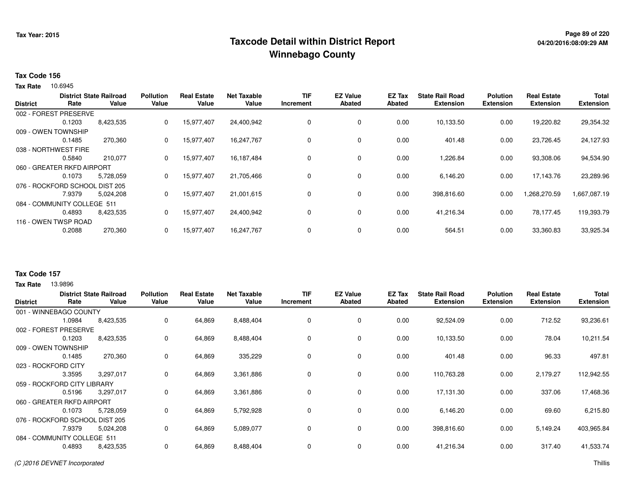## **Page 89 of 220 Taxcode Detail within District ReportWinnebago County**

#### **Tax Code 156**

10.6945 **Tax Rate**

| <b>District State Railroad</b> |                                |           | <b>Pollution</b> | <b>Real Estate</b> | <b>Net Taxable</b> | <b>TIF</b>  | <b>EZ Value</b> | <b>EZ Tax</b> | <b>State Rail Road</b> | <b>Polution</b>  | <b>Real Estate</b> | <b>Total</b>     |
|--------------------------------|--------------------------------|-----------|------------------|--------------------|--------------------|-------------|-----------------|---------------|------------------------|------------------|--------------------|------------------|
| <b>District</b>                | Rate                           | Value     | Value            | Value              | Value              | Increment   | <b>Abated</b>   | <b>Abated</b> | <b>Extension</b>       | <b>Extension</b> | <b>Extension</b>   | <b>Extension</b> |
|                                | 002 - FOREST PRESERVE          |           |                  |                    |                    |             |                 |               |                        |                  |                    |                  |
|                                | 0.1203                         | 8,423,535 | 0                | 15,977,407         | 24,400,942         | $\mathbf 0$ | 0               | 0.00          | 10,133.50              | 0.00             | 19,220.82          | 29,354.32        |
|                                | 009 - OWEN TOWNSHIP            |           |                  |                    |                    |             |                 |               |                        |                  |                    |                  |
|                                | 0.1485                         | 270,360   | 0                | 15,977,407         | 16,247,767         | 0           | 0               | 0.00          | 401.48                 | 0.00             | 23,726.45          | 24,127.93        |
|                                | 038 - NORTHWEST FIRE           |           |                  |                    |                    |             |                 |               |                        |                  |                    |                  |
|                                | 0.5840                         | 210,077   | 0                | 15,977,407         | 16,187,484         | 0           | 0               | 0.00          | 1,226.84               | 0.00             | 93,308.06          | 94,534.90        |
|                                | 060 - GREATER RKFD AIRPORT     |           |                  |                    |                    |             |                 |               |                        |                  |                    |                  |
|                                | 0.1073                         | 5,728,059 | 0                | 15,977,407         | 21,705,466         | 0           | 0               | 0.00          | 6,146.20               | 0.00             | 17,143.76          | 23,289.96        |
|                                | 076 - ROCKFORD SCHOOL DIST 205 |           |                  |                    |                    |             |                 |               |                        |                  |                    |                  |
|                                | 7.9379                         | 5.024.208 | 0                | 15,977,407         | 21,001,615         | 0           | 0               | 0.00          | 398,816.60             | 0.00             | 1,268,270.59       | 1,667,087.19     |
|                                | 084 - COMMUNITY COLLEGE 511    |           |                  |                    |                    |             |                 |               |                        |                  |                    |                  |
|                                | 0.4893                         | 8,423,535 | 0                | 15,977,407         | 24,400,942         | 0           | 0               | 0.00          | 41,216.34              | 0.00             | 78,177.45          | 119,393.79       |
|                                | 116 - OWEN TWSP ROAD           |           |                  |                    |                    |             |                 |               |                        |                  |                    |                  |
|                                | 0.2088                         | 270,360   | 0                | 15,977,407         | 16,247,767         | 0           | 0               | 0.00          | 564.51                 | 0.00             | 33,360.83          | 33,925.34        |
|                                |                                |           |                  |                    |                    |             |                 |               |                        |                  |                    |                  |

### **Tax Code 157**

| <b>District</b> | Rate                           | <b>District State Railroad</b><br>Value | <b>Pollution</b><br>Value | <b>Real Estate</b><br>Value | Net Taxable<br>Value | <b>TIF</b><br>Increment | <b>EZ Value</b><br><b>Abated</b> | EZ Tax<br>Abated | <b>State Rail Road</b><br><b>Extension</b> | <b>Polution</b><br><b>Extension</b> | <b>Real Estate</b><br><b>Extension</b> | <b>Total</b><br><b>Extension</b> |
|-----------------|--------------------------------|-----------------------------------------|---------------------------|-----------------------------|----------------------|-------------------------|----------------------------------|------------------|--------------------------------------------|-------------------------------------|----------------------------------------|----------------------------------|
|                 | 001 - WINNEBAGO COUNTY         |                                         |                           |                             |                      |                         |                                  |                  |                                            |                                     |                                        |                                  |
|                 | 1.0984                         | 8,423,535                               | 0                         | 64,869                      | 8,488,404            | 0                       | $\mathbf 0$                      | 0.00             | 92,524.09                                  | 0.00                                | 712.52                                 | 93,236.61                        |
|                 | 002 - FOREST PRESERVE          |                                         |                           |                             |                      |                         |                                  |                  |                                            |                                     |                                        |                                  |
|                 | 0.1203                         | 8,423,535                               | 0                         | 64,869                      | 8,488,404            | 0                       | $\mathbf 0$                      | 0.00             | 10,133.50                                  | 0.00                                | 78.04                                  | 10,211.54                        |
|                 | 009 - OWEN TOWNSHIP            |                                         |                           |                             |                      |                         |                                  |                  |                                            |                                     |                                        |                                  |
|                 | 0.1485                         | 270,360                                 | 0                         | 64,869                      | 335,229              | 0                       | $\mathbf 0$                      | 0.00             | 401.48                                     | 0.00                                | 96.33                                  | 497.81                           |
|                 | 023 - ROCKFORD CITY            |                                         |                           |                             |                      |                         |                                  |                  |                                            |                                     |                                        |                                  |
|                 | 3.3595                         | 3,297,017                               | 0                         | 64,869                      | 3,361,886            | 0                       | $\mathbf 0$                      | 0.00             | 110,763.28                                 | 0.00                                | 2,179.27                               | 112,942.55                       |
|                 | 059 - ROCKFORD CITY LIBRARY    |                                         |                           |                             |                      |                         |                                  |                  |                                            |                                     |                                        |                                  |
|                 | 0.5196                         | 3,297,017                               | 0                         | 64,869                      | 3,361,886            | 0                       | $\mathbf 0$                      | 0.00             | 17,131.30                                  | 0.00                                | 337.06                                 | 17,468.36                        |
|                 | 060 - GREATER RKFD AIRPORT     |                                         |                           |                             |                      |                         |                                  |                  |                                            |                                     |                                        |                                  |
|                 | 0.1073                         | 5,728,059                               | 0                         | 64,869                      | 5,792,928            | 0                       | 0                                | 0.00             | 6,146.20                                   | 0.00                                | 69.60                                  | 6,215.80                         |
|                 | 076 - ROCKFORD SCHOOL DIST 205 |                                         |                           |                             |                      |                         |                                  |                  |                                            |                                     |                                        |                                  |
|                 | 7.9379                         | 5,024,208                               | 0                         | 64,869                      | 5,089,077            | 0                       | 0                                | 0.00             | 398,816.60                                 | 0.00                                | 5,149.24                               | 403,965.84                       |
|                 | 084 - COMMUNITY COLLEGE 511    |                                         |                           |                             |                      |                         |                                  |                  |                                            |                                     |                                        |                                  |
|                 | 0.4893                         | 8,423,535                               | 0                         | 64,869                      | 8,488,404            | 0                       | 0                                | 0.00             | 41,216.34                                  | 0.00                                | 317.40                                 | 41,533.74                        |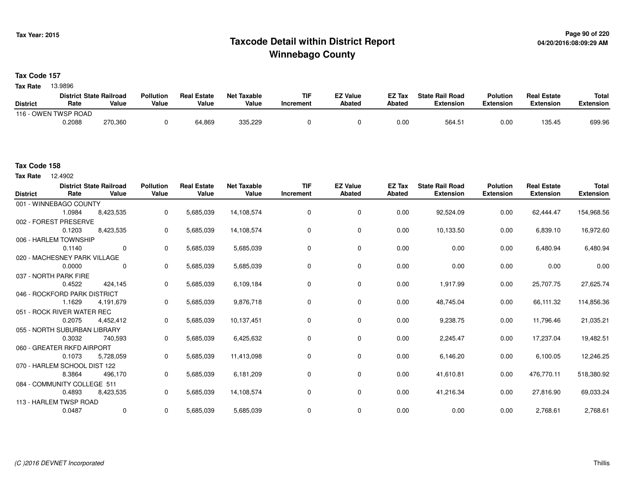## **Page 90 of 220 Taxcode Detail within District ReportWinnebago County**

**Tax Code 157**

13.9896 **Tax Rate**

|                 | <b>District State Railroad</b> |         | <b>Pollution</b> | <b>Real Estate</b> | <b>Net Taxable</b> | <b>TIF</b> | <b>EZ Value</b> | <b>EZ Tax</b> | <b>State Rail Road</b> | <b>Polution</b> | <b>Real Estate</b> | <b>Total</b> |
|-----------------|--------------------------------|---------|------------------|--------------------|--------------------|------------|-----------------|---------------|------------------------|-----------------|--------------------|--------------|
| <b>District</b> | Rate                           | Value   | Value            | Value              | Value              | Increment  | Abated          | <b>Abated</b> | Extension              | Extension       | Extension          | Extension    |
| $116 - x$       | OWEN TWSP ROAD                 |         |                  |                    |                    |            |                 |               |                        |                 |                    |              |
|                 | 0.2088                         | 270,360 |                  | 64.869             | 335,229            |            |                 | 0.0(          | 564.5                  | 0.00            | 135.45             | 699.96       |

12.4902 **Tax Rate**

| <b>District</b> | Rate                         | <b>District State Railroad</b><br>Value | <b>Pollution</b><br>Value | <b>Real Estate</b><br>Value | <b>Net Taxable</b><br>Value | <b>TIF</b><br>Increment | <b>EZ Value</b><br>Abated | <b>EZ Tax</b><br><b>Abated</b> | <b>State Rail Road</b><br><b>Extension</b> | <b>Polution</b><br><b>Extension</b> | <b>Real Estate</b><br><b>Extension</b> | Total<br><b>Extension</b> |
|-----------------|------------------------------|-----------------------------------------|---------------------------|-----------------------------|-----------------------------|-------------------------|---------------------------|--------------------------------|--------------------------------------------|-------------------------------------|----------------------------------------|---------------------------|
|                 | 001 - WINNEBAGO COUNTY       |                                         |                           |                             |                             |                         |                           |                                |                                            |                                     |                                        |                           |
|                 | 1.0984                       | 8,423,535                               | 0                         | 5,685,039                   | 14,108,574                  | 0                       | 0                         | 0.00                           | 92,524.09                                  | 0.00                                | 62,444.47                              | 154,968.56                |
|                 | 002 - FOREST PRESERVE        |                                         |                           |                             |                             |                         |                           |                                |                                            |                                     |                                        |                           |
|                 | 0.1203                       | 8,423,535                               | 0                         | 5,685,039                   | 14,108,574                  | 0                       | 0                         | 0.00                           | 10,133.50                                  | 0.00                                | 6,839.10                               | 16,972.60                 |
|                 | 006 - HARLEM TOWNSHIP        |                                         |                           |                             |                             |                         |                           |                                |                                            |                                     |                                        |                           |
|                 | 0.1140                       | $\Omega$                                | 0                         | 5,685,039                   | 5,685,039                   | 0                       | 0                         | 0.00                           | 0.00                                       | 0.00                                | 6,480.94                               | 6,480.94                  |
|                 | 020 - MACHESNEY PARK VILLAGE |                                         |                           |                             |                             |                         |                           |                                |                                            |                                     |                                        |                           |
|                 | 0.0000                       | $\Omega$                                | 0                         | 5,685,039                   | 5,685,039                   | 0                       | $\mathbf 0$               | 0.00                           | 0.00                                       | 0.00                                | 0.00                                   | 0.00                      |
|                 | 037 - NORTH PARK FIRE        |                                         |                           |                             |                             |                         |                           |                                |                                            |                                     |                                        |                           |
|                 | 0.4522                       | 424.145                                 | 0                         | 5,685,039                   | 6,109,184                   | $\mathbf 0$             | $\mathbf 0$               | 0.00                           | 1,917.99                                   | 0.00                                | 25,707.75                              | 27,625.74                 |
|                 | 046 - ROCKFORD PARK DISTRICT |                                         |                           |                             |                             |                         |                           |                                |                                            |                                     |                                        |                           |
|                 | 1.1629                       | 4,191,679                               | 0                         | 5,685,039                   | 9,876,718                   | 0                       | $\mathbf 0$               | 0.00                           | 48,745.04                                  | 0.00                                | 66,111.32                              | 114,856.36                |
|                 | 051 - ROCK RIVER WATER REC   |                                         |                           |                             |                             |                         |                           |                                |                                            |                                     |                                        |                           |
|                 | 0.2075                       | 4,452,412                               | 0                         | 5,685,039                   | 10,137,451                  | 0                       | 0                         | 0.00                           | 9,238.75                                   | 0.00                                | 11,796.46                              | 21,035.21                 |
|                 | 055 - NORTH SUBURBAN LIBRARY |                                         |                           |                             |                             |                         |                           |                                |                                            |                                     |                                        |                           |
|                 | 0.3032                       | 740,593                                 | 0                         | 5,685,039                   | 6,425,632                   | 0                       | $\mathbf 0$               | 0.00                           | 2,245.47                                   | 0.00                                | 17,237.04                              | 19,482.51                 |
|                 | 060 - GREATER RKFD AIRPORT   |                                         |                           |                             |                             |                         |                           |                                |                                            |                                     |                                        |                           |
|                 | 0.1073                       | 5,728,059                               | 0                         | 5,685,039                   | 11,413,098                  | 0                       | $\mathbf 0$               | 0.00                           | 6,146.20                                   | 0.00                                | 6,100.05                               | 12,246.25                 |
|                 | 070 - HARLEM SCHOOL DIST 122 |                                         |                           |                             |                             |                         |                           |                                |                                            |                                     |                                        |                           |
|                 | 8.3864                       | 496,170                                 | 0                         | 5,685,039                   | 6,181,209                   | 0                       | 0                         | 0.00                           | 41,610.81                                  | 0.00                                | 476,770.11                             | 518,380.92                |
|                 | 084 - COMMUNITY COLLEGE 511  |                                         |                           |                             |                             |                         |                           |                                |                                            |                                     |                                        |                           |
|                 | 0.4893                       | 8,423,535                               | 0                         | 5,685,039                   | 14,108,574                  | 0                       | 0                         | 0.00                           | 41,216.34                                  | 0.00                                | 27,816.90                              | 69,033.24                 |
|                 | 113 - HARLEM TWSP ROAD       |                                         |                           |                             |                             |                         |                           |                                |                                            |                                     |                                        |                           |
|                 | 0.0487                       | 0                                       | 0                         | 5,685,039                   | 5,685,039                   | 0                       | $\mathbf 0$               | 0.00                           | 0.00                                       | 0.00                                | 2,768.61                               | 2,768.61                  |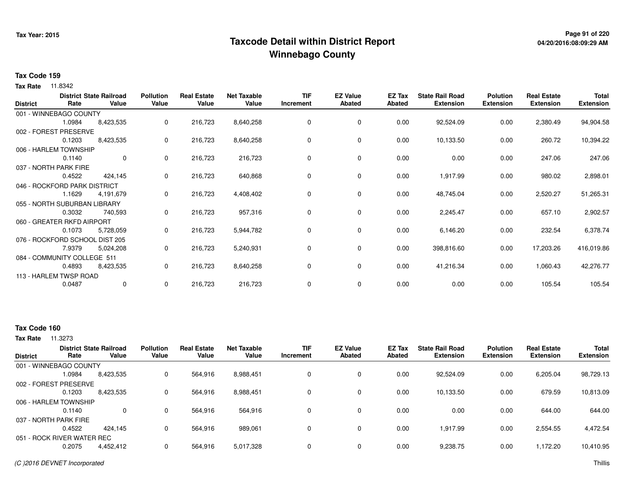## **Page 91 of 220 Taxcode Detail within District ReportWinnebago County**

# **04/20/2016:08:09:29 AM**

### **Tax Code 159**

**Tax Rate** 11.8342

| <b>District</b> | Rate                           | <b>District State Railroad</b><br>Value | <b>Pollution</b><br>Value | <b>Real Estate</b><br>Value | <b>Net Taxable</b><br>Value | <b>TIF</b><br>Increment | <b>EZ Value</b><br><b>Abated</b> | EZ Tax<br><b>Abated</b> | <b>State Rail Road</b><br><b>Extension</b> | <b>Polution</b><br><b>Extension</b> | <b>Real Estate</b><br><b>Extension</b> | Total<br><b>Extension</b> |
|-----------------|--------------------------------|-----------------------------------------|---------------------------|-----------------------------|-----------------------------|-------------------------|----------------------------------|-------------------------|--------------------------------------------|-------------------------------------|----------------------------------------|---------------------------|
|                 | 001 - WINNEBAGO COUNTY         |                                         |                           |                             |                             |                         |                                  |                         |                                            |                                     |                                        |                           |
|                 | 1.0984                         | 8,423,535                               | 0                         | 216,723                     | 8,640,258                   | 0                       | $\mathbf 0$                      | 0.00                    | 92,524.09                                  | 0.00                                | 2,380.49                               | 94,904.58                 |
|                 | 002 - FOREST PRESERVE          |                                         |                           |                             |                             |                         |                                  |                         |                                            |                                     |                                        |                           |
|                 | 0.1203                         | 8,423,535                               | 0                         | 216,723                     | 8,640,258                   | 0                       | 0                                | 0.00                    | 10,133.50                                  | 0.00                                | 260.72                                 | 10,394.22                 |
|                 | 006 - HARLEM TOWNSHIP          |                                         |                           |                             |                             |                         |                                  |                         |                                            |                                     |                                        |                           |
|                 | 0.1140                         | 0                                       | 0                         | 216,723                     | 216,723                     | 0                       | 0                                | 0.00                    | 0.00                                       | 0.00                                | 247.06                                 | 247.06                    |
|                 | 037 - NORTH PARK FIRE          |                                         |                           |                             |                             |                         |                                  |                         |                                            |                                     |                                        |                           |
|                 | 0.4522                         | 424,145                                 | $\mathbf{0}$              | 216,723                     | 640,868                     | 0                       | $\mathbf 0$                      | 0.00                    | 1,917.99                                   | 0.00                                | 980.02                                 | 2,898.01                  |
|                 | 046 - ROCKFORD PARK DISTRICT   |                                         |                           |                             |                             |                         |                                  |                         |                                            |                                     |                                        |                           |
|                 | 1.1629                         | 4,191,679                               | 0                         | 216,723                     | 4,408,402                   | 0                       | 0                                | 0.00                    | 48,745.04                                  | 0.00                                | 2,520.27                               | 51,265.31                 |
|                 | 055 - NORTH SUBURBAN LIBRARY   |                                         |                           |                             |                             |                         |                                  |                         |                                            |                                     |                                        |                           |
|                 | 0.3032                         | 740,593                                 | 0                         | 216,723                     | 957,316                     | 0                       | 0                                | 0.00                    | 2,245.47                                   | 0.00                                | 657.10                                 | 2,902.57                  |
|                 | 060 - GREATER RKFD AIRPORT     |                                         |                           |                             |                             |                         |                                  |                         |                                            |                                     |                                        |                           |
|                 | 0.1073                         | 5,728,059                               | 0                         | 216,723                     | 5,944,782                   | 0                       | 0                                | 0.00                    | 6,146.20                                   | 0.00                                | 232.54                                 | 6,378.74                  |
|                 | 076 - ROCKFORD SCHOOL DIST 205 |                                         |                           |                             |                             |                         |                                  |                         |                                            |                                     |                                        |                           |
|                 | 7.9379                         | 5,024,208                               | 0                         | 216,723                     | 5,240,931                   | 0                       | 0                                | 0.00                    | 398,816.60                                 | 0.00                                | 17,203.26                              | 416,019.86                |
|                 | 084 - COMMUNITY COLLEGE 511    |                                         |                           |                             |                             |                         |                                  |                         |                                            |                                     |                                        |                           |
|                 | 0.4893                         | 8,423,535                               | 0                         | 216,723                     | 8,640,258                   | 0                       | 0                                | 0.00                    | 41,216.34                                  | 0.00                                | 1,060.43                               | 42,276.77                 |
|                 | 113 - HARLEM TWSP ROAD         |                                         |                           |                             |                             |                         |                                  |                         |                                            |                                     |                                        |                           |
|                 | 0.0487                         | 0                                       | 0                         | 216,723                     | 216,723                     | 0                       | 0                                | 0.00                    | 0.00                                       | 0.00                                | 105.54                                 | 105.54                    |

## **Tax Code 160**

| <b>District</b> | <b>District State Railroad</b><br>Rate | Value     | <b>Pollution</b><br>Value | <b>Real Estate</b><br>Value | <b>Net Taxable</b><br>Value | TIF<br>Increment | <b>EZ Value</b><br><b>Abated</b> | EZ Tax<br>Abated | <b>State Rail Road</b><br><b>Extension</b> | <b>Polution</b><br><b>Extension</b> | <b>Real Estate</b><br><b>Extension</b> | <b>Total</b><br><b>Extension</b> |
|-----------------|----------------------------------------|-----------|---------------------------|-----------------------------|-----------------------------|------------------|----------------------------------|------------------|--------------------------------------------|-------------------------------------|----------------------------------------|----------------------------------|
|                 | 001 - WINNEBAGO COUNTY                 |           |                           |                             |                             |                  |                                  |                  |                                            |                                     |                                        |                                  |
|                 | 1.0984                                 | 8,423,535 | 0                         | 564,916                     | 8,988,451                   |                  | 0                                | 0.00             | 92,524.09                                  | 0.00                                | 6,205.04                               | 98,729.13                        |
|                 | 002 - FOREST PRESERVE                  |           |                           |                             |                             |                  |                                  |                  |                                            |                                     |                                        |                                  |
|                 | 0.1203                                 | 8,423,535 | 0                         | 564,916                     | 8,988,451                   |                  | 0                                | 0.00             | 10,133.50                                  | 0.00                                | 679.59                                 | 10,813.09                        |
|                 | 006 - HARLEM TOWNSHIP                  |           |                           |                             |                             |                  |                                  |                  |                                            |                                     |                                        |                                  |
|                 | 0.1140                                 | 0         | 0                         | 564.916                     | 564.916                     |                  | 0                                | 0.00             | 0.00                                       | 0.00                                | 644.00                                 | 644.00                           |
|                 | 037 - NORTH PARK FIRE                  |           |                           |                             |                             |                  |                                  |                  |                                            |                                     |                                        |                                  |
|                 | 0.4522                                 | 424.145   | 0                         | 564.916                     | 989,061                     |                  | 0                                | 0.00             | 1.917.99                                   | 0.00                                | 2,554.55                               | 4,472.54                         |
|                 | 051 - ROCK RIVER WATER REC             |           |                           |                             |                             |                  |                                  |                  |                                            |                                     |                                        |                                  |
|                 | 0.2075                                 | 4,452,412 | 0                         | 564,916                     | 5,017,328                   |                  | 0                                | 0.00             | 9,238.75                                   | 0.00                                | 1,172.20                               | 10,410.95                        |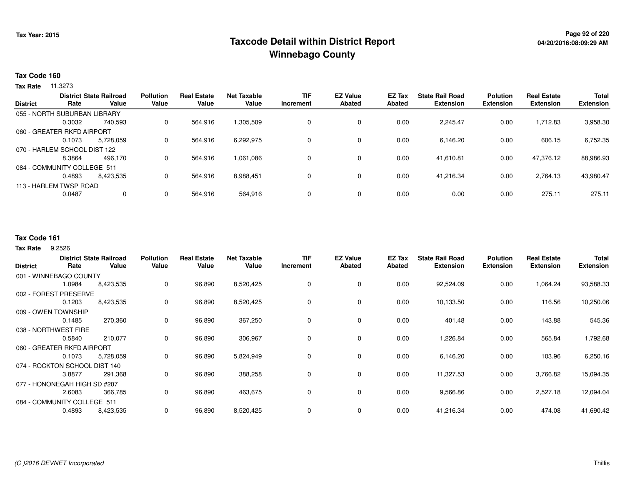## **Page 92 of 220 Taxcode Detail within District ReportWinnebago County**

### **Tax Code 160**

**Tax Rate** 11.3273

| <b>District State Railroad</b> |                              |           | <b>Pollution</b> | <b>Real Estate</b> | <b>Net Taxable</b> | <b>TIF</b> | <b>EZ Value</b> | EZ Tax | <b>State Rail Road</b> | <b>Polution</b>  | <b>Real Estate</b> | <b>Total</b>     |
|--------------------------------|------------------------------|-----------|------------------|--------------------|--------------------|------------|-----------------|--------|------------------------|------------------|--------------------|------------------|
| <b>District</b>                | Rate                         | Value     | Value            | Value              | Value              | Increment  | <b>Abated</b>   | Abated | <b>Extension</b>       | <b>Extension</b> | <b>Extension</b>   | <b>Extension</b> |
|                                | 055 - NORTH SUBURBAN LIBRARY |           |                  |                    |                    |            |                 |        |                        |                  |                    |                  |
|                                | 0.3032                       | 740.593   | 0                | 564.916            | 1,305,509          |            | $\mathbf 0$     | 0.00   | 2,245.47               | 0.00             | 1.712.83           | 3,958.30         |
|                                | 060 - GREATER RKFD AIRPORT   |           |                  |                    |                    |            |                 |        |                        |                  |                    |                  |
|                                | 0.1073                       | 5.728.059 | 0                | 564.916            | 6,292,975          |            | $\mathbf 0$     | 0.00   | 6.146.20               | 0.00             | 606.15             | 6,752.35         |
|                                | 070 - HARLEM SCHOOL DIST 122 |           |                  |                    |                    |            |                 |        |                        |                  |                    |                  |
|                                | 8.3864                       | 496.170   | 0                | 564.916            | 1,061,086          |            | $\mathbf 0$     | 0.00   | 41.610.81              | 0.00             | 47,376.12          | 88,986.93        |
|                                | 084 - COMMUNITY COLLEGE 511  |           |                  |                    |                    |            |                 |        |                        |                  |                    |                  |
|                                | 0.4893                       | 8,423,535 | 0                | 564,916            | 8,988,451          |            | $\mathbf 0$     | 0.00   | 41,216.34              | 0.00             | 2,764.13           | 43,980.47        |
|                                | 113 - HARLEM TWSP ROAD       |           |                  |                    |                    |            |                 |        |                        |                  |                    |                  |
|                                | 0.0487                       | 0         | 0                | 564,916            | 564,916            |            | $\mathbf 0$     | 0.00   | 0.00                   | 0.00             | 275.11             | 275.11           |
|                                |                              |           |                  |                    |                    |            |                 |        |                        |                  |                    |                  |

## **Tax Code 161**

9.2526 **Tax Rate**

| <b>District</b> | Rate                          | <b>District State Railroad</b><br>Value | <b>Pollution</b><br>Value | <b>Real Estate</b><br>Value | <b>Net Taxable</b><br>Value | <b>TIF</b><br>Increment | <b>EZ Value</b><br><b>Abated</b> | EZ Tax<br>Abated | <b>State Rail Road</b><br><b>Extension</b> | <b>Polution</b><br><b>Extension</b> | <b>Real Estate</b><br><b>Extension</b> | <b>Total</b><br><b>Extension</b> |
|-----------------|-------------------------------|-----------------------------------------|---------------------------|-----------------------------|-----------------------------|-------------------------|----------------------------------|------------------|--------------------------------------------|-------------------------------------|----------------------------------------|----------------------------------|
|                 | 001 - WINNEBAGO COUNTY        |                                         |                           |                             |                             |                         |                                  |                  |                                            |                                     |                                        |                                  |
|                 | 1.0984                        | 8,423,535                               | 0                         | 96,890                      | 8,520,425                   |                         | 0                                | 0.00             | 92,524.09                                  | 0.00                                | 1,064.24                               | 93,588.33                        |
|                 | 002 - FOREST PRESERVE         |                                         |                           |                             |                             |                         |                                  |                  |                                            |                                     |                                        |                                  |
|                 | 0.1203                        | 8,423,535                               | 0                         | 96,890                      | 8,520,425                   |                         | 0                                | 0.00             | 10,133.50                                  | 0.00                                | 116.56                                 | 10,250.06                        |
|                 | 009 - OWEN TOWNSHIP           |                                         |                           |                             |                             |                         |                                  |                  |                                            |                                     |                                        |                                  |
|                 | 0.1485                        | 270,360                                 | 0                         | 96,890                      | 367,250                     |                         | $\mathbf 0$                      | 0.00             | 401.48                                     | 0.00                                | 143.88                                 | 545.36                           |
|                 | 038 - NORTHWEST FIRE          |                                         |                           |                             |                             |                         |                                  |                  |                                            |                                     |                                        |                                  |
|                 | 0.5840                        | 210,077                                 | 0                         | 96,890                      | 306,967                     | $\Omega$                | $\mathbf 0$                      | 0.00             | 1,226.84                                   | 0.00                                | 565.84                                 | 1,792.68                         |
|                 | 060 - GREATER RKFD AIRPORT    |                                         |                           |                             |                             |                         |                                  |                  |                                            |                                     |                                        |                                  |
|                 | 0.1073                        | 5,728,059                               | 0                         | 96,890                      | 5,824,949                   |                         | $\mathbf 0$                      | 0.00             | 6,146.20                                   | 0.00                                | 103.96                                 | 6,250.16                         |
|                 | 074 - ROCKTON SCHOOL DIST 140 |                                         |                           |                             |                             |                         |                                  |                  |                                            |                                     |                                        |                                  |
|                 | 3.8877                        | 291,368                                 | 0                         | 96,890                      | 388,258                     |                         | $\mathbf 0$                      | 0.00             | 11,327.53                                  | 0.00                                | 3,766.82                               | 15,094.35                        |
|                 | 077 - HONONEGAH HIGH SD #207  |                                         |                           |                             |                             |                         |                                  |                  |                                            |                                     |                                        |                                  |
|                 | 2.6083                        | 366,785                                 | 0                         | 96,890                      | 463,675                     | 0                       | 0                                | 0.00             | 9,566.86                                   | 0.00                                | 2,527.18                               | 12,094.04                        |
|                 | 084 - COMMUNITY COLLEGE 511   |                                         |                           |                             |                             |                         |                                  |                  |                                            |                                     |                                        |                                  |
|                 | 0.4893                        | 8,423,535                               | 0                         | 96,890                      | 8,520,425                   | 0                       | 0                                | 0.00             | 41,216.34                                  | 0.00                                | 474.08                                 | 41,690.42                        |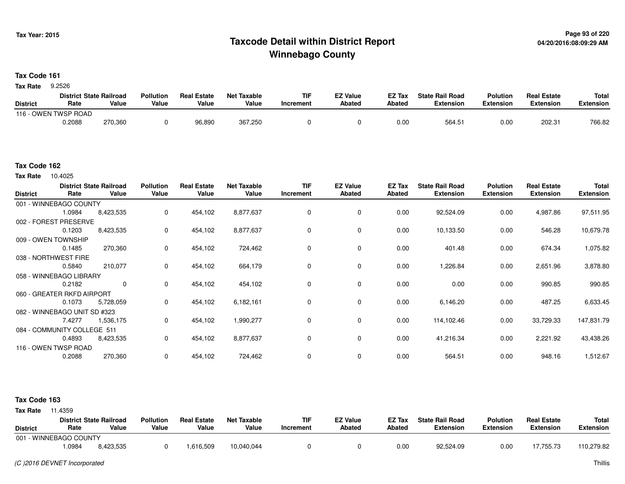## **Page 93 of 220 Taxcode Detail within District ReportWinnebago County**

**Tax Code 161**

9.2526 **Tax Rate**

|                 | <b>District State Railroad</b> |         | <b>Pollution</b> | <b>Real Estate</b> | Net Taxable | <b>TIF</b> | <b>EZ Value</b> | <b>EZ Tax</b> | <b>State Rail Road</b> | <b>Polution</b>  | <b>Real Estate</b> | <b>Total</b> |
|-----------------|--------------------------------|---------|------------------|--------------------|-------------|------------|-----------------|---------------|------------------------|------------------|--------------------|--------------|
| <b>District</b> | Rate                           | Value   | Value            | Value              | Value       | 'ncrement  | <b>Abated</b>   | <b>Abated</b> | Extension              | <b>Extension</b> | <b>Extension</b>   | Extension    |
| $116 - C$       | OWEN TWSP ROAD                 |         |                  |                    |             |            |                 |               |                        |                  |                    |              |
|                 | 0.2088                         | 270,360 |                  | 96,890             | 367,250     |            |                 | 0.00          | 564.51                 | 0.00             | 202.31             | 766.82       |

#### **Tax Code 162**

10.4025 **Tax Rate**

| <b>District</b> | Rate                         | <b>District State Railroad</b><br>Value | <b>Pollution</b><br>Value | <b>Real Estate</b><br>Value | <b>Net Taxable</b><br>Value | TIF<br>Increment | <b>EZ Value</b><br><b>Abated</b> | EZ Tax<br><b>Abated</b> | <b>State Rail Road</b><br><b>Extension</b> | <b>Polution</b><br><b>Extension</b> | <b>Real Estate</b><br><b>Extension</b> | <b>Total</b><br><b>Extension</b> |
|-----------------|------------------------------|-----------------------------------------|---------------------------|-----------------------------|-----------------------------|------------------|----------------------------------|-------------------------|--------------------------------------------|-------------------------------------|----------------------------------------|----------------------------------|
|                 | 001 - WINNEBAGO COUNTY       |                                         |                           |                             |                             |                  |                                  |                         |                                            |                                     |                                        |                                  |
|                 | 1.0984                       | 8,423,535                               | 0                         | 454,102                     | 8,877,637                   | 0                | $\mathbf 0$                      | 0.00                    | 92,524.09                                  | 0.00                                | 4,987.86                               | 97,511.95                        |
|                 | 002 - FOREST PRESERVE        |                                         |                           |                             |                             |                  |                                  |                         |                                            |                                     |                                        |                                  |
|                 | 0.1203                       | 8,423,535                               | 0                         | 454,102                     | 8,877,637                   | 0                | 0                                | 0.00                    | 10,133.50                                  | 0.00                                | 546.28                                 | 10,679.78                        |
|                 | 009 - OWEN TOWNSHIP          |                                         |                           |                             |                             |                  |                                  |                         |                                            |                                     |                                        |                                  |
|                 | 0.1485                       | 270,360                                 | 0                         | 454,102                     | 724,462                     | 0                | 0                                | 0.00                    | 401.48                                     | 0.00                                | 674.34                                 | 1,075.82                         |
|                 | 038 - NORTHWEST FIRE         |                                         |                           |                             |                             |                  |                                  |                         |                                            |                                     |                                        |                                  |
|                 | 0.5840                       | 210,077                                 | 0                         | 454,102                     | 664,179                     | 0                | $\mathbf 0$                      | 0.00                    | 1,226.84                                   | 0.00                                | 2,651.96                               | 3,878.80                         |
|                 | 058 - WINNEBAGO LIBRARY      |                                         |                           |                             |                             |                  |                                  |                         |                                            |                                     |                                        |                                  |
|                 | 0.2182                       | 0                                       | 0                         | 454,102                     | 454,102                     | 0                | 0                                | 0.00                    | 0.00                                       | 0.00                                | 990.85                                 | 990.85                           |
|                 | 060 - GREATER RKFD AIRPORT   |                                         |                           |                             |                             |                  |                                  |                         |                                            |                                     |                                        |                                  |
|                 | 0.1073                       | 5,728,059                               | 0                         | 454,102                     | 6,182,161                   | 0                | $\mathbf 0$                      | 0.00                    | 6,146.20                                   | 0.00                                | 487.25                                 | 6,633.45                         |
|                 | 082 - WINNEBAGO UNIT SD #323 |                                         |                           |                             |                             |                  |                                  |                         |                                            |                                     |                                        |                                  |
|                 | 7.4277                       | 1,536,175                               | 0                         | 454,102                     | 1,990,277                   | 0                | 0                                | 0.00                    | 114,102.46                                 | 0.00                                | 33,729.33                              | 147,831.79                       |
|                 | 084 - COMMUNITY COLLEGE 511  |                                         |                           |                             |                             |                  |                                  |                         |                                            |                                     |                                        |                                  |
|                 | 0.4893                       | 8,423,535                               | 0                         | 454,102                     | 8,877,637                   | 0                | 0                                | 0.00                    | 41,216.34                                  | 0.00                                | 2,221.92                               | 43,438.26                        |
|                 | 116 - OWEN TWSP ROAD         |                                         |                           |                             |                             |                  |                                  |                         |                                            |                                     |                                        |                                  |
|                 | 0.2088                       | 270,360                                 | $\mathbf 0$               | 454,102                     | 724,462                     | 0                | $\mathbf 0$                      | 0.00                    | 564.51                                     | 0.00                                | 948.16                                 | 1,512.67                         |

| <b>Tax Rate</b> | 11.4359 |  |
|-----------------|---------|--|

| <b>District</b>        | Rate  | <b>District State Railroad</b><br>Value | <b>Pollution</b><br>Value | <b>Real Estate</b><br>Value | Net Taxable<br>Value | <b>TIF</b><br>Increment | <b>EZ Value</b><br>Abated | <b>EZ Tax</b><br>Abated | <b>State Rail Road</b><br><b>Extension</b> | <b>Polution</b><br><b>Extension</b> | <b>Real Estate</b><br><b>Extension</b> | Total<br>Extension |
|------------------------|-------|-----------------------------------------|---------------------------|-----------------------------|----------------------|-------------------------|---------------------------|-------------------------|--------------------------------------------|-------------------------------------|----------------------------------------|--------------------|
| 001 - WINNEBAGO COUNTY |       |                                         |                           |                             |                      |                         |                           |                         |                                            |                                     |                                        |                    |
|                        | .0984 | 8,423,535                               |                           | .616,509                    | 10,040,044           |                         |                           | 0.00                    | 92,524.09                                  | 0.00                                | 17,755.73                              | 110,279.82         |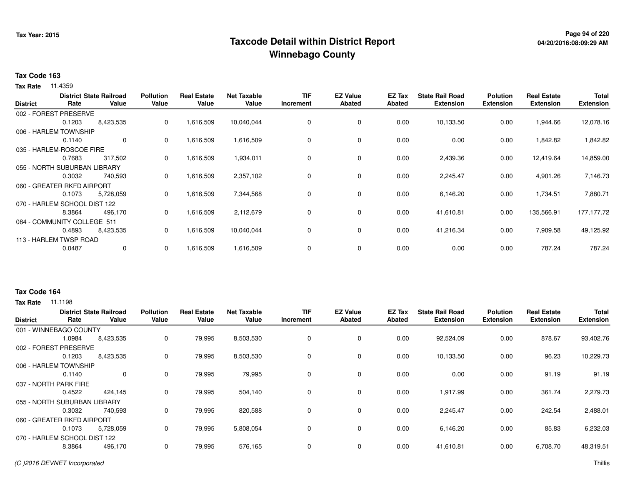## **Page 94 of 220 Taxcode Detail within District ReportWinnebago County**

# **04/20/2016:08:09:29 AM**

### **Tax Code 163**

**Tax Rate** 11.4359

| <b>Extension</b> |
|------------------|
|                  |
|                  |
| 12,078.16        |
|                  |
| 1,842.82         |
|                  |
| 14,859.00        |
|                  |
| 7,146.73         |
|                  |
| 7,880.71         |
|                  |
| 177,177.72       |
|                  |
| 49,125.92        |
|                  |
| 787.24           |
|                  |

### **Tax Code 164**

| <b>District</b> | Rate                         | <b>District State Railroad</b><br>Value | <b>Pollution</b><br>Value | <b>Real Estate</b><br>Value | <b>Net Taxable</b><br>Value | <b>TIF</b><br>Increment | <b>EZ Value</b><br><b>Abated</b> | EZ Tax<br>Abated | <b>State Rail Road</b><br><b>Extension</b> | <b>Polution</b><br><b>Extension</b> | <b>Real Estate</b><br><b>Extension</b> | <b>Total</b><br><b>Extension</b> |
|-----------------|------------------------------|-----------------------------------------|---------------------------|-----------------------------|-----------------------------|-------------------------|----------------------------------|------------------|--------------------------------------------|-------------------------------------|----------------------------------------|----------------------------------|
|                 | 001 - WINNEBAGO COUNTY       |                                         |                           |                             |                             |                         |                                  |                  |                                            |                                     |                                        |                                  |
|                 | 1.0984                       | 8,423,535                               | 0                         | 79,995                      | 8,503,530                   | 0                       | 0                                | 0.00             | 92,524.09                                  | 0.00                                | 878.67                                 | 93,402.76                        |
|                 | 002 - FOREST PRESERVE        |                                         |                           |                             |                             |                         |                                  |                  |                                            |                                     |                                        |                                  |
|                 | 0.1203                       | 8,423,535                               | 0                         | 79,995                      | 8,503,530                   | 0                       | $\mathbf 0$                      | 0.00             | 10,133.50                                  | 0.00                                | 96.23                                  | 10,229.73                        |
|                 | 006 - HARLEM TOWNSHIP        |                                         |                           |                             |                             |                         |                                  |                  |                                            |                                     |                                        |                                  |
|                 | 0.1140                       | 0                                       | 0                         | 79,995                      | 79,995                      | $\Omega$                | 0                                | 0.00             | 0.00                                       | 0.00                                | 91.19                                  | 91.19                            |
|                 | 037 - NORTH PARK FIRE        |                                         |                           |                             |                             |                         |                                  |                  |                                            |                                     |                                        |                                  |
|                 | 0.4522                       | 424,145                                 | 0                         | 79,995                      | 504,140                     | 0                       | 0                                | 0.00             | 1,917.99                                   | 0.00                                | 361.74                                 | 2,279.73                         |
|                 | 055 - NORTH SUBURBAN LIBRARY |                                         |                           |                             |                             |                         |                                  |                  |                                            |                                     |                                        |                                  |
|                 | 0.3032                       | 740,593                                 | 0                         | 79,995                      | 820,588                     | $\Omega$                | $\mathbf 0$                      | 0.00             | 2,245.47                                   | 0.00                                | 242.54                                 | 2,488.01                         |
|                 | 060 - GREATER RKFD AIRPORT   |                                         |                           |                             |                             |                         |                                  |                  |                                            |                                     |                                        |                                  |
|                 | 0.1073                       | 5,728,059                               | 0                         | 79,995                      | 5,808,054                   | $\Omega$                | $\mathbf 0$                      | 0.00             | 6,146.20                                   | 0.00                                | 85.83                                  | 6,232.03                         |
|                 | 070 - HARLEM SCHOOL DIST 122 |                                         |                           |                             |                             |                         |                                  |                  |                                            |                                     |                                        |                                  |
|                 | 8.3864                       | 496,170                                 | 0                         | 79,995                      | 576,165                     |                         | 0                                | 0.00             | 41,610.81                                  | 0.00                                | 6,708.70                               | 48,319.51                        |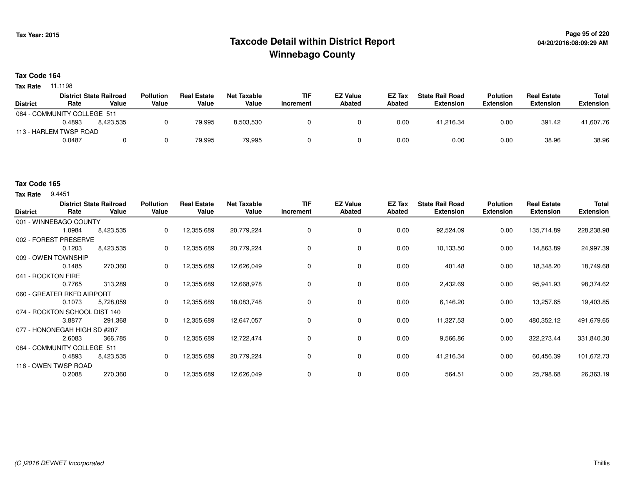## **Page 95 of 220 Taxcode Detail within District ReportWinnebago County**

### **Tax Code 164**

**Tax Rate** 11.1198

|                             |        | <b>District State Railroad</b> | <b>Pollution</b> | <b>Real Estate</b> | Net Taxable | <b>TIF</b> | <b>EZ Value</b> | <b>EZ Tax</b> | <b>State Rail Road</b> | <b>Polution</b>  | <b>Real Estate</b> | Total            |
|-----------------------------|--------|--------------------------------|------------------|--------------------|-------------|------------|-----------------|---------------|------------------------|------------------|--------------------|------------------|
| <b>District</b>             | Rate   | Value                          | Value            | Value              | Value       | Increment  | Abated          | Abated        | Extension              | <b>Extension</b> | <b>Extension</b>   | <b>Extension</b> |
| 084 - COMMUNITY COLLEGE 511 |        |                                |                  |                    |             |            |                 |               |                        |                  |                    |                  |
|                             | 0.4893 | 8.423.535                      |                  | 79,995             | 8,503,530   |            |                 | 0.00          | 41,216.34              | 0.00             | 391.42             | 41,607.76        |
| 113 - HARLEM TWSP ROAD      |        |                                |                  |                    |             |            |                 |               |                        |                  |                    |                  |
|                             | 0.0487 |                                |                  | 79.995             | 79,995      |            |                 | 0.00          | 0.00                   | 0.00             | 38.96              | 38.96            |

### **Tax Code 165**

**Tax Rate** 9.4451

| <b>District</b>               | Rate   | <b>District State Railroad</b><br>Value | <b>Pollution</b><br>Value | <b>Real Estate</b><br>Value | <b>Net Taxable</b><br>Value | TIF<br>Increment | <b>EZ Value</b><br><b>Abated</b> | EZ Tax<br><b>Abated</b> | <b>State Rail Road</b><br><b>Extension</b> | <b>Polution</b><br><b>Extension</b> | <b>Real Estate</b><br><b>Extension</b> | <b>Total</b><br><b>Extension</b> |
|-------------------------------|--------|-----------------------------------------|---------------------------|-----------------------------|-----------------------------|------------------|----------------------------------|-------------------------|--------------------------------------------|-------------------------------------|----------------------------------------|----------------------------------|
| 001 - WINNEBAGO COUNTY        |        |                                         |                           |                             |                             |                  |                                  |                         |                                            |                                     |                                        |                                  |
|                               | 1.0984 | 8,423,535                               | 0                         | 12,355,689                  | 20,779,224                  | 0                | 0                                | 0.00                    | 92,524.09                                  | 0.00                                | 135,714.89                             | 228,238.98                       |
| 002 - FOREST PRESERVE         |        |                                         |                           |                             |                             |                  |                                  |                         |                                            |                                     |                                        |                                  |
|                               | 0.1203 | 8,423,535                               | 0                         | 12,355,689                  | 20,779,224                  | 0                | 0                                | 0.00                    | 10,133.50                                  | 0.00                                | 14,863.89                              | 24,997.39                        |
| 009 - OWEN TOWNSHIP           |        |                                         |                           |                             |                             |                  |                                  |                         |                                            |                                     |                                        |                                  |
|                               | 0.1485 | 270,360                                 | 0                         | 12,355,689                  | 12,626,049                  | 0                | 0                                | 0.00                    | 401.48                                     | 0.00                                | 18,348.20                              | 18,749.68                        |
| 041 - ROCKTON FIRE            |        |                                         |                           |                             |                             |                  |                                  |                         |                                            |                                     |                                        |                                  |
|                               | 0.7765 | 313,289                                 | 0                         | 12,355,689                  | 12,668,978                  | $\Omega$         | 0                                | 0.00                    | 2,432.69                                   | 0.00                                | 95,941.93                              | 98,374.62                        |
| 060 - GREATER RKFD AIRPORT    |        |                                         |                           |                             |                             |                  |                                  |                         |                                            |                                     |                                        |                                  |
|                               | 0.1073 | 5,728,059                               | 0                         | 12,355,689                  | 18,083,748                  |                  | 0                                | 0.00                    | 6,146.20                                   | 0.00                                | 13,257.65                              | 19,403.85                        |
| 074 - ROCKTON SCHOOL DIST 140 |        |                                         |                           |                             |                             |                  |                                  |                         |                                            |                                     |                                        |                                  |
|                               | 3.8877 | 291,368                                 | $\mathbf{0}$              | 12,355,689                  | 12,647,057                  | 0                | 0                                | 0.00                    | 11,327.53                                  | 0.00                                | 480,352.12                             | 491,679.65                       |
| 077 - HONONEGAH HIGH SD #207  |        |                                         |                           |                             |                             |                  |                                  |                         |                                            |                                     |                                        |                                  |
|                               | 2.6083 | 366,785                                 | 0                         | 12,355,689                  | 12,722,474                  | 0                | 0                                | 0.00                    | 9,566.86                                   | 0.00                                | 322,273.44                             | 331,840.30                       |
| 084 - COMMUNITY COLLEGE 511   |        |                                         |                           |                             |                             |                  |                                  |                         |                                            |                                     |                                        |                                  |
|                               | 0.4893 | 8,423,535                               | 0                         | 12,355,689                  | 20,779,224                  | 0                | $\mathbf 0$                      | 0.00                    | 41,216.34                                  | 0.00                                | 60,456.39                              | 101,672.73                       |
| 116 - OWEN TWSP ROAD          |        |                                         |                           |                             |                             |                  |                                  |                         |                                            |                                     |                                        |                                  |
|                               | 0.2088 | 270,360                                 | 0                         | 12,355,689                  | 12,626,049                  |                  | 0                                | 0.00                    | 564.51                                     | 0.00                                | 25,798.68                              | 26,363.19                        |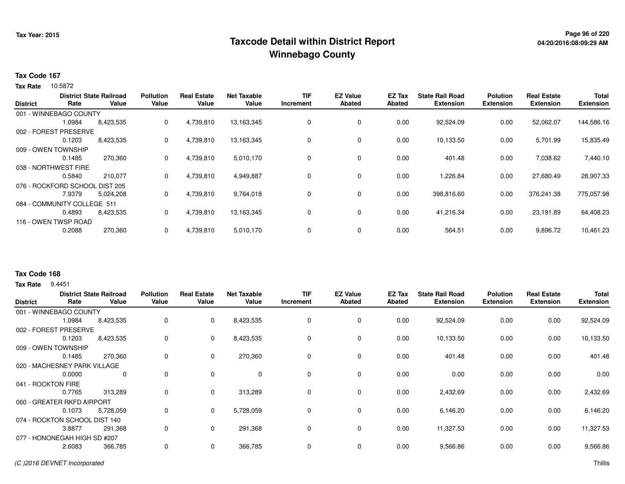## **Page 96 of 220 Taxcode Detail within District ReportWinnebago County**

### **Tax Code 167**

10.5872 **Tax Rate**

|                 |                                | <b>District State Railroad</b> | <b>Pollution</b> | Real<br>Estate | <b>Net Taxable</b> | <b>TIF</b>  | <b>EZ Value</b> | EZ Tax | <b>State Rail Road</b> | <b>Polution</b>  | <b>Real Estate</b> | <b>Total</b>     |
|-----------------|--------------------------------|--------------------------------|------------------|----------------|--------------------|-------------|-----------------|--------|------------------------|------------------|--------------------|------------------|
| <b>District</b> | Rate                           | Value                          | Value            | Value          | Value              | Increment   | Abated          | Abated | <b>Extension</b>       | <b>Extension</b> | <b>Extension</b>   | <b>Extension</b> |
|                 | 001 - WINNEBAGO COUNTY         |                                |                  |                |                    |             |                 |        |                        |                  |                    |                  |
|                 | 1.0984                         | 8,423,535                      | 0                | 4,739,810      | 13,163,345         | 0           | 0               | 0.00   | 92,524.09              | 0.00             | 52,062.07          | 144,586.16       |
|                 | 002 - FOREST PRESERVE          |                                |                  |                |                    |             |                 |        |                        |                  |                    |                  |
|                 | 0.1203                         | 8,423,535                      | 0                | 4,739,810      | 13,163,345         | 0           | 0               | 0.00   | 10,133.50              | 0.00             | 5,701.99           | 15,835.49        |
|                 | 009 - OWEN TOWNSHIP            |                                |                  |                |                    |             |                 |        |                        |                  |                    |                  |
|                 | 0.1485                         | 270,360                        | 0                | 4,739,810      | 5,010,170          | 0           | 0               | 0.00   | 401.48                 | 0.00             | 7,038.62           | 7,440.10         |
|                 | 038 - NORTHWEST FIRE           |                                |                  |                |                    |             |                 |        |                        |                  |                    |                  |
|                 | 0.5840                         | 210,077                        | 0                | 4,739,810      | 4,949,887          | 0           | 0               | 0.00   | 1,226.84               | 0.00             | 27,680.49          | 28,907.33        |
|                 | 076 - ROCKFORD SCHOOL DIST 205 |                                |                  |                |                    |             |                 |        |                        |                  |                    |                  |
|                 | 7.9379                         | 5,024,208                      | 0                | 4,739,810      | 9,764,018          | 0           | 0               | 0.00   | 398,816.60             | 0.00             | 376,241.38         | 775,057.98       |
|                 | 084 - COMMUNITY COLLEGE 511    |                                |                  |                |                    |             |                 |        |                        |                  |                    |                  |
|                 | 0.4893                         | 8,423,535                      | 0                | 4,739,810      | 13,163,345         | 0           | 0               | 0.00   | 41,216.34              | 0.00             | 23,191.89          | 64,408.23        |
|                 | 116 - OWEN TWSP ROAD           |                                |                  |                |                    |             |                 |        |                        |                  |                    |                  |
|                 | 0.2088                         | 270,360                        | 0                | 4,739,810      | 5,010,170          | $\mathbf 0$ | 0               | 0.00   | 564.51                 | 0.00             | 9,896.72           | 10,461.23        |
|                 |                                |                                |                  |                |                    |             |                 |        |                        |                  |                    |                  |

### **Tax Code 168**

**Tax Rate** 9.4451

| <b>District</b>               | Rate   | <b>District State Railroad</b><br>Value | <b>Pollution</b><br>Value | <b>Real Estate</b><br>Value | <b>Net Taxable</b><br>Value | <b>TIF</b><br>Increment | <b>EZ Value</b><br><b>Abated</b> | EZ Tax<br><b>Abated</b> | <b>State Rail Road</b><br><b>Extension</b> | <b>Polution</b><br><b>Extension</b> | <b>Real Estate</b><br><b>Extension</b> | <b>Total</b><br><b>Extension</b> |
|-------------------------------|--------|-----------------------------------------|---------------------------|-----------------------------|-----------------------------|-------------------------|----------------------------------|-------------------------|--------------------------------------------|-------------------------------------|----------------------------------------|----------------------------------|
| 001 - WINNEBAGO COUNTY        |        |                                         |                           |                             |                             |                         |                                  |                         |                                            |                                     |                                        |                                  |
|                               | 1.0984 | 8,423,535                               | 0                         | 0                           | 8,423,535                   | 0                       | 0                                | 0.00                    | 92,524.09                                  | 0.00                                | 0.00                                   | 92,524.09                        |
| 002 - FOREST PRESERVE         |        |                                         |                           |                             |                             |                         |                                  |                         |                                            |                                     |                                        |                                  |
|                               | 0.1203 | 8,423,535                               | 0                         | 0                           | 8,423,535                   | 0                       | 0                                | 0.00                    | 10,133.50                                  | 0.00                                | 0.00                                   | 10,133.50                        |
| 009 - OWEN TOWNSHIP           |        |                                         |                           |                             |                             |                         |                                  |                         |                                            |                                     |                                        |                                  |
|                               | 0.1485 | 270,360                                 | 0                         | $\mathbf 0$                 | 270,360                     | 0                       | 0                                | 0.00                    | 401.48                                     | 0.00                                | 0.00                                   | 401.48                           |
| 020 - MACHESNEY PARK VILLAGE  |        |                                         |                           |                             |                             |                         |                                  |                         |                                            |                                     |                                        |                                  |
|                               | 0.0000 | 0                                       | 0                         | 0                           | 0                           | $\mathbf 0$             | $\mathbf 0$                      | 0.00                    | 0.00                                       | 0.00                                | 0.00                                   | 0.00                             |
| 041 - ROCKTON FIRE            |        |                                         |                           |                             |                             |                         |                                  |                         |                                            |                                     |                                        |                                  |
|                               | 0.7765 | 313,289                                 | 0                         | $\mathbf 0$                 | 313,289                     | 0                       | 0                                | 0.00                    | 2,432.69                                   | 0.00                                | 0.00                                   | 2,432.69                         |
| 060 - GREATER RKFD AIRPORT    |        |                                         |                           |                             |                             |                         |                                  |                         |                                            |                                     |                                        |                                  |
|                               | 0.1073 | 5,728,059                               | 0                         | 0                           | 5,728,059                   | 0                       | 0                                | 0.00                    | 6,146.20                                   | 0.00                                | 0.00                                   | 6,146.20                         |
| 074 - ROCKTON SCHOOL DIST 140 |        |                                         |                           |                             |                             |                         |                                  |                         |                                            |                                     |                                        |                                  |
|                               | 3.8877 | 291,368                                 | 0                         | $\mathbf 0$                 | 291,368                     | 0                       | 0                                | 0.00                    | 11,327.53                                  | 0.00                                | 0.00                                   | 11,327.53                        |
| 077 - HONONEGAH HIGH SD #207  |        |                                         |                           |                             |                             |                         |                                  |                         |                                            |                                     |                                        |                                  |
|                               | 2.6083 | 366,785                                 | 0                         | $\mathbf 0$                 | 366,785                     | 0                       | 0                                | 0.00                    | 9,566.86                                   | 0.00                                | 0.00                                   | 9,566.86                         |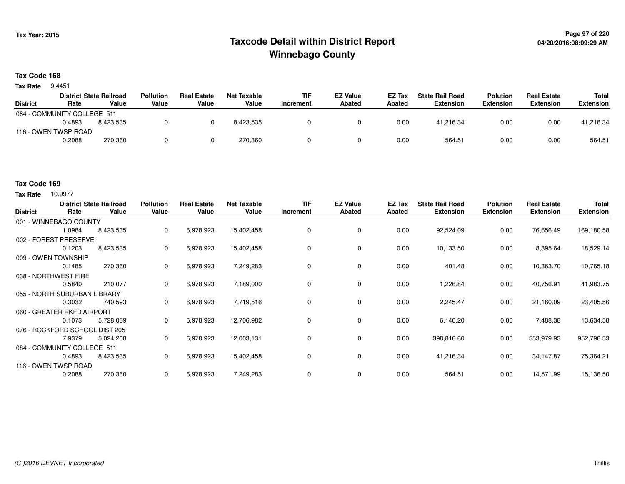## **Page 97 of 220 Taxcode Detail within District ReportWinnebago County**

### **Tax Code 168**

**Tax Rate** 9.4451

|                             |        | <b>District State Railroad</b> | <b>Pollution</b> | <b>Real Estate</b> | Net Taxable | <b>TIF</b> | <b>EZ Value</b> | <b>EZ Tax</b> | <b>State Rail Road</b> | <b>Polution</b>  | <b>Real Estate</b> | Total            |
|-----------------------------|--------|--------------------------------|------------------|--------------------|-------------|------------|-----------------|---------------|------------------------|------------------|--------------------|------------------|
| <b>District</b>             | Rate   | Value                          | Value            | Value              | Value       | Increment  | Abated          | <b>Abated</b> | <b>Extension</b>       | <b>Extension</b> | <b>Extension</b>   | <b>Extension</b> |
| 084 - COMMUNITY COLLEGE 511 |        |                                |                  |                    |             |            |                 |               |                        |                  |                    |                  |
|                             | 0.4893 | 8.423.535                      |                  |                    | 8.423.535   |            |                 | 0.00          | 41.216.34              | 0.00             | 0.00               | 41,216.34        |
| 116 - OWEN TWSP ROAD        |        |                                |                  |                    |             |            |                 |               |                        |                  |                    |                  |
|                             | 0.2088 | 270,360                        |                  |                    | 270.360     |            |                 | 0.00          | 564.51                 | 0.00             | 0.00               | 564.51           |

### **Tax Code 169**

| <b>District</b> | Rate                         | <b>District State Railroad</b><br>Value | <b>Pollution</b><br>Value | <b>Real Estate</b><br>Value | <b>Net Taxable</b><br>Value | <b>TIF</b><br>Increment | <b>EZ Value</b><br><b>Abated</b> | EZ Tax<br>Abated | <b>State Rail Road</b><br><b>Extension</b> | <b>Polution</b><br><b>Extension</b> | <b>Real Estate</b><br><b>Extension</b> | <b>Total</b><br><b>Extension</b> |
|-----------------|------------------------------|-----------------------------------------|---------------------------|-----------------------------|-----------------------------|-------------------------|----------------------------------|------------------|--------------------------------------------|-------------------------------------|----------------------------------------|----------------------------------|
|                 | 001 - WINNEBAGO COUNTY       |                                         |                           |                             |                             |                         |                                  |                  |                                            |                                     |                                        |                                  |
|                 | 1.0984                       | 8,423,535                               | 0                         | 6,978,923                   | 15,402,458                  | $\mathbf 0$             | $\mathbf 0$                      | 0.00             | 92,524.09                                  | 0.00                                | 76,656.49                              | 169,180.58                       |
|                 | 002 - FOREST PRESERVE        |                                         |                           |                             |                             |                         |                                  |                  |                                            |                                     |                                        |                                  |
|                 | 0.1203                       | 8,423,535                               | 0                         | 6,978,923                   | 15,402,458                  | 0                       | 0                                | 0.00             | 10,133.50                                  | 0.00                                | 8,395.64                               | 18,529.14                        |
|                 | 009 - OWEN TOWNSHIP          |                                         |                           |                             |                             |                         |                                  |                  |                                            |                                     |                                        |                                  |
|                 | 0.1485                       | 270,360                                 | 0                         | 6,978,923                   | 7,249,283                   | 0                       | 0                                | 0.00             | 401.48                                     | 0.00                                | 10,363.70                              | 10,765.18                        |
|                 | 038 - NORTHWEST FIRE         |                                         |                           |                             |                             |                         |                                  |                  |                                            |                                     |                                        |                                  |
|                 | 0.5840                       | 210,077                                 | 0                         | 6,978,923                   | 7,189,000                   | 0                       | $\mathbf 0$                      | 0.00             | 1,226.84                                   | 0.00                                | 40,756.91                              | 41,983.75                        |
|                 | 055 - NORTH SUBURBAN LIBRARY |                                         |                           |                             |                             |                         |                                  |                  |                                            |                                     |                                        |                                  |
|                 | 0.3032                       | 740,593                                 | 0                         | 6,978,923                   | 7,719,516                   | 0                       | 0                                | 0.00             | 2,245.47                                   | 0.00                                | 21,160.09                              | 23,405.56                        |
|                 | 060 - GREATER RKFD AIRPORT   |                                         |                           |                             |                             |                         |                                  |                  |                                            |                                     |                                        |                                  |
|                 | 0.1073                       | 5,728,059                               | $\mathbf{0}$              | 6,978,923                   | 12,706,982                  | 0                       | $\mathbf 0$                      | 0.00             | 6,146.20                                   | 0.00                                | 7,488.38                               | 13,634.58                        |
|                 | 076 - ROCKFORD SCHOOL        | . DIST 205                              |                           |                             |                             |                         |                                  |                  |                                            |                                     |                                        |                                  |
|                 | 7.9379                       | 5,024,208                               | 0                         | 6,978,923                   | 12,003,131                  | 0                       | 0                                | 0.00             | 398,816.60                                 | 0.00                                | 553,979.93                             | 952,796.53                       |
|                 | 084 - COMMUNITY COLLEGE 511  |                                         |                           |                             |                             |                         |                                  |                  |                                            |                                     |                                        |                                  |
|                 | 0.4893                       | 8,423,535                               | 0                         | 6,978,923                   | 15,402,458                  | 0                       | 0                                | 0.00             | 41,216.34                                  | 0.00                                | 34,147.87                              | 75,364.21                        |
|                 | 116 - OWEN TWSP ROAD         |                                         |                           |                             |                             |                         |                                  |                  |                                            |                                     |                                        |                                  |
|                 | 0.2088                       | 270,360                                 | 0                         | 6,978,923                   | 7,249,283                   | 0                       | $\mathbf 0$                      | 0.00             | 564.51                                     | 0.00                                | 14,571.99                              | 15,136.50                        |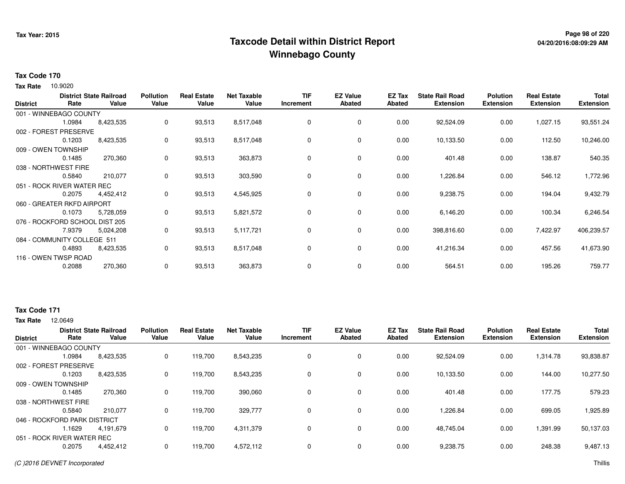## **Page 98 of 220 Taxcode Detail within District ReportWinnebago County**

### **Tax Code 170**

10.9020 **Tax Rate**

| <b>District</b> | Rate                           | <b>District State Railroad</b><br>Value | <b>Pollution</b><br>Value | <b>Real Estate</b><br>Value | <b>Net Taxable</b><br>Value | <b>TIF</b><br>Increment | <b>EZ Value</b><br><b>Abated</b> | EZ Tax<br><b>Abated</b> | <b>State Rail Road</b><br><b>Extension</b> | <b>Polution</b><br><b>Extension</b> | <b>Real Estate</b><br><b>Extension</b> | <b>Total</b><br><b>Extension</b> |
|-----------------|--------------------------------|-----------------------------------------|---------------------------|-----------------------------|-----------------------------|-------------------------|----------------------------------|-------------------------|--------------------------------------------|-------------------------------------|----------------------------------------|----------------------------------|
|                 | 001 - WINNEBAGO COUNTY         |                                         |                           |                             |                             |                         |                                  |                         |                                            |                                     |                                        |                                  |
|                 | 1.0984                         | 8,423,535                               | 0                         | 93,513                      | 8,517,048                   | 0                       | 0                                | 0.00                    | 92,524.09                                  | 0.00                                | 1,027.15                               | 93,551.24                        |
|                 | 002 - FOREST PRESERVE          |                                         |                           |                             |                             |                         |                                  |                         |                                            |                                     |                                        |                                  |
|                 | 0.1203                         | 8,423,535                               | 0                         | 93,513                      | 8,517,048                   | 0                       | 0                                | 0.00                    | 10,133.50                                  | 0.00                                | 112.50                                 | 10,246.00                        |
|                 | 009 - OWEN TOWNSHIP            |                                         |                           |                             |                             |                         |                                  |                         |                                            |                                     |                                        |                                  |
|                 | 0.1485                         | 270,360                                 | 0                         | 93,513                      | 363,873                     | 0                       | 0                                | 0.00                    | 401.48                                     | 0.00                                | 138.87                                 | 540.35                           |
|                 | 038 - NORTHWEST FIRE           |                                         |                           |                             |                             |                         |                                  |                         |                                            |                                     |                                        |                                  |
|                 | 0.5840                         | 210,077                                 | 0                         | 93,513                      | 303,590                     | 0                       | 0                                | 0.00                    | 1,226.84                                   | 0.00                                | 546.12                                 | 1,772.96                         |
|                 | 051 - ROCK RIVER WATER REC     |                                         |                           |                             |                             |                         |                                  |                         |                                            |                                     |                                        |                                  |
|                 | 0.2075                         | 4,452,412                               | 0                         | 93,513                      | 4,545,925                   | 0                       | 0                                | 0.00                    | 9,238.75                                   | 0.00                                | 194.04                                 | 9,432.79                         |
|                 | 060 - GREATER RKFD AIRPORT     |                                         |                           |                             |                             |                         |                                  |                         |                                            |                                     |                                        |                                  |
|                 | 0.1073                         | 5,728,059                               | 0                         | 93,513                      | 5,821,572                   | 0                       | 0                                | 0.00                    | 6,146.20                                   | 0.00                                | 100.34                                 | 6,246.54                         |
|                 | 076 - ROCKFORD SCHOOL DIST 205 |                                         |                           |                             |                             |                         |                                  |                         |                                            |                                     |                                        |                                  |
|                 | 7.9379                         | 5,024,208                               | 0                         | 93,513                      | 5,117,721                   | 0                       | 0                                | 0.00                    | 398,816.60                                 | 0.00                                | 7,422.97                               | 406,239.57                       |
|                 | 084 - COMMUNITY COLLEGE 511    |                                         |                           |                             |                             |                         |                                  |                         |                                            |                                     |                                        |                                  |
|                 | 0.4893                         | 8,423,535                               | 0                         | 93,513                      | 8,517,048                   | 0                       | 0                                | 0.00                    | 41,216.34                                  | 0.00                                | 457.56                                 | 41,673.90                        |
|                 | 116 - OWEN TWSP ROAD           |                                         |                           |                             |                             |                         |                                  |                         |                                            |                                     |                                        |                                  |
|                 | 0.2088                         | 270,360                                 | 0                         | 93,513                      | 363,873                     | 0                       | 0                                | 0.00                    | 564.51                                     | 0.00                                | 195.26                                 | 759.77                           |

## **Tax Code 171**

|                              |        | <b>District State Railroad</b> | <b>Pollution</b> | <b>Real Estate</b> | <b>Net Taxable</b> | <b>TIF</b> | <b>EZ Value</b> | EZ Tax        | <b>State Rail Road</b> | <b>Polution</b>  | <b>Real Estate</b> | <b>Total</b>     |
|------------------------------|--------|--------------------------------|------------------|--------------------|--------------------|------------|-----------------|---------------|------------------------|------------------|--------------------|------------------|
| <b>District</b>              | Rate   | Value                          | Value            | Value              | Value              | Increment  | <b>Abated</b>   | <b>Abated</b> | <b>Extension</b>       | <b>Extension</b> | <b>Extension</b>   | <b>Extension</b> |
| 001 - WINNEBAGO COUNTY       |        |                                |                  |                    |                    |            |                 |               |                        |                  |                    |                  |
|                              | 1.0984 | 8,423,535                      | 0                | 119,700            | 8,543,235          | 0          | 0               | 0.00          | 92,524.09              | 0.00             | 1,314.78           | 93,838.87        |
| 002 - FOREST PRESERVE        |        |                                |                  |                    |                    |            |                 |               |                        |                  |                    |                  |
|                              | 0.1203 | 8,423,535                      | 0                | 119,700            | 8,543,235          | 0          | 0               | 0.00          | 10,133.50              | 0.00             | 144.00             | 10,277.50        |
| 009 - OWEN TOWNSHIP          |        |                                |                  |                    |                    |            |                 |               |                        |                  |                    |                  |
|                              | 0.1485 | 270,360                        | 0                | 119,700            | 390,060            | 0          | $\mathbf 0$     | 0.00          | 401.48                 | 0.00             | 177.75             | 579.23           |
| 038 - NORTHWEST FIRE         |        |                                |                  |                    |                    |            |                 |               |                        |                  |                    |                  |
|                              | 0.5840 | 210.077                        | 0                | 119,700            | 329,777            | 0          | 0               | 0.00          | 1,226.84               | 0.00             | 699.05             | 1,925.89         |
| 046 - ROCKFORD PARK DISTRICT |        |                                |                  |                    |                    |            |                 |               |                        |                  |                    |                  |
|                              | 1.1629 | 4.191.679                      | 0                | 119,700            | 4,311,379          | 0          | $\mathbf 0$     | 0.00          | 48.745.04              | 0.00             | 1,391.99           | 50,137.03        |
| 051 - ROCK RIVER WATER REC   |        |                                |                  |                    |                    |            |                 |               |                        |                  |                    |                  |
|                              | 0.2075 | 4,452,412                      | 0                | 119,700            | 4,572,112          | 0          | 0               | 0.00          | 9,238.75               | 0.00             | 248.38             | 9,487.13         |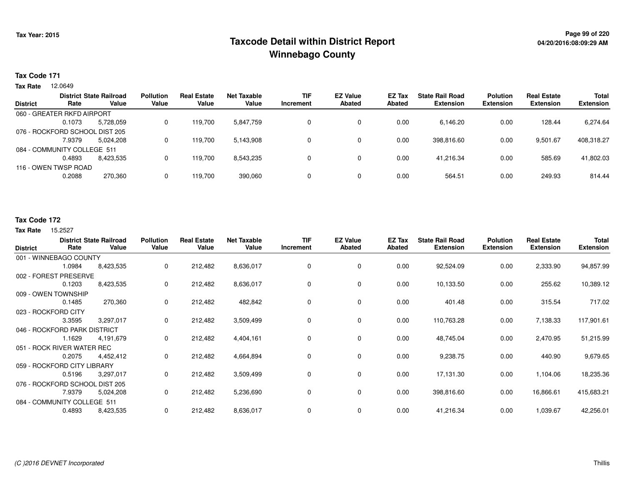## **Page 99 of 220 Taxcode Detail within District ReportWinnebago County**

### **Tax Code 171**

12.0649 **Tax Rate**

|                 |                                | <b>District State Railroad</b> | <b>Pollution</b> | <b>Real Estate</b> | <b>Net Taxable</b> | <b>TIF</b> | <b>EZ Value</b> | <b>EZ Tax</b> | <b>State Rail Road</b> | <b>Polution</b>  | <b>Real Estate</b> | <b>Total</b>     |
|-----------------|--------------------------------|--------------------------------|------------------|--------------------|--------------------|------------|-----------------|---------------|------------------------|------------------|--------------------|------------------|
| <b>District</b> | Rate                           | Value                          | Value            | Value              | Value              | Increment  | <b>Abated</b>   | Abated        | <b>Extension</b>       | <b>Extension</b> | <b>Extension</b>   | <b>Extension</b> |
|                 | 060 - GREATER RKFD AIRPORT     |                                |                  |                    |                    |            |                 |               |                        |                  |                    |                  |
|                 | 0.1073                         | 5,728,059                      | 0                | 119.700            | 5,847,759          |            | 0               | 0.00          | 6,146.20               | 0.00             | 128.44             | 6,274.64         |
|                 | 076 - ROCKFORD SCHOOL DIST 205 |                                |                  |                    |                    |            |                 |               |                        |                  |                    |                  |
|                 | 7.9379                         | 5.024.208                      | 0                | 119.700            | 5,143,908          | 0          | 0               | 0.00          | 398.816.60             | 0.00             | 9.501.67           | 408,318.27       |
|                 | 084 - COMMUNITY COLLEGE 511    |                                |                  |                    |                    |            |                 |               |                        |                  |                    |                  |
|                 | 0.4893                         | 8,423,535                      | 0                | 119,700            | 8,543,235          |            | 0               | 0.00          | 41.216.34              | 0.00             | 585.69             | 41,802.03        |
|                 | 116 - OWEN TWSP ROAD           |                                |                  |                    |                    |            |                 |               |                        |                  |                    |                  |
|                 | 0.2088                         | 270,360                        | 0                | 119.700            | 390,060            | 0          | 0               | 0.00          | 564.51                 | 0.00             | 249.93             | 814.44           |
|                 |                                |                                |                  |                    |                    |            |                 |               |                        |                  |                    |                  |

### **Tax Code 172**

| <b>District</b>                | Rate   | <b>District State Railroad</b><br>Value | <b>Pollution</b><br>Value | <b>Real Estate</b><br>Value | <b>Net Taxable</b><br>Value | <b>TIF</b><br>Increment | <b>EZ Value</b><br><b>Abated</b> | EZ Tax<br><b>Abated</b> | <b>State Rail Road</b><br><b>Extension</b> | <b>Polution</b><br><b>Extension</b> | <b>Real Estate</b><br><b>Extension</b> | Total<br><b>Extension</b> |
|--------------------------------|--------|-----------------------------------------|---------------------------|-----------------------------|-----------------------------|-------------------------|----------------------------------|-------------------------|--------------------------------------------|-------------------------------------|----------------------------------------|---------------------------|
| 001 - WINNEBAGO COUNTY         |        |                                         |                           |                             |                             |                         |                                  |                         |                                            |                                     |                                        |                           |
|                                | 1.0984 | 8,423,535                               | 0                         | 212,482                     | 8,636,017                   | 0                       | $\mathbf 0$                      | 0.00                    | 92,524.09                                  | 0.00                                | 2,333.90                               | 94,857.99                 |
| 002 - FOREST PRESERVE          |        |                                         |                           |                             |                             |                         |                                  |                         |                                            |                                     |                                        |                           |
|                                | 0.1203 | 8,423,535                               | 0                         | 212,482                     | 8,636,017                   | 0                       | 0                                | 0.00                    | 10,133.50                                  | 0.00                                | 255.62                                 | 10,389.12                 |
| 009 - OWEN TOWNSHIP            |        |                                         |                           |                             |                             |                         |                                  |                         |                                            |                                     |                                        |                           |
|                                | 0.1485 | 270,360                                 | 0                         | 212,482                     | 482,842                     | 0                       | 0                                | 0.00                    | 401.48                                     | 0.00                                | 315.54                                 | 717.02                    |
| 023 - ROCKFORD CITY            |        |                                         |                           |                             |                             |                         |                                  |                         |                                            |                                     |                                        |                           |
|                                | 3.3595 | 3,297,017                               | 0                         | 212,482                     | 3,509,499                   | 0                       | 0                                | 0.00                    | 110,763.28                                 | 0.00                                | 7,138.33                               | 117,901.61                |
| 046 - ROCKFORD PARK DISTRICT   |        |                                         |                           |                             |                             |                         |                                  |                         |                                            |                                     |                                        |                           |
|                                | 1.1629 | 4,191,679                               | 0                         | 212,482                     | 4,404,161                   | 0                       | 0                                | 0.00                    | 48,745.04                                  | 0.00                                | 2,470.95                               | 51,215.99                 |
| 051 - ROCK RIVER WATER REC     |        |                                         |                           |                             |                             |                         |                                  |                         |                                            |                                     |                                        |                           |
|                                | 0.2075 | 4,452,412                               | 0                         | 212,482                     | 4,664,894                   | 0                       | 0                                | 0.00                    | 9,238.75                                   | 0.00                                | 440.90                                 | 9,679.65                  |
| 059 - ROCKFORD CITY LIBRARY    |        |                                         |                           |                             |                             |                         |                                  |                         |                                            |                                     |                                        |                           |
|                                | 0.5196 | 3,297,017                               | 0                         | 212,482                     | 3,509,499                   | 0                       | 0                                | 0.00                    | 17,131.30                                  | 0.00                                | 1,104.06                               | 18,235.36                 |
| 076 - ROCKFORD SCHOOL DIST 205 |        |                                         |                           |                             |                             |                         |                                  |                         |                                            |                                     |                                        |                           |
|                                | 7.9379 | 5,024,208                               | 0                         | 212,482                     | 5,236,690                   | 0                       | $\mathbf 0$                      | 0.00                    | 398,816.60                                 | 0.00                                | 16,866.61                              | 415,683.21                |
| 084 - COMMUNITY COLLEGE 511    |        |                                         |                           |                             |                             |                         |                                  |                         |                                            |                                     |                                        |                           |
|                                | 0.4893 | 8,423,535                               | 0                         | 212,482                     | 8,636,017                   | 0                       | $\mathbf 0$                      | 0.00                    | 41,216.34                                  | 0.00                                | 1,039.67                               | 42,256.01                 |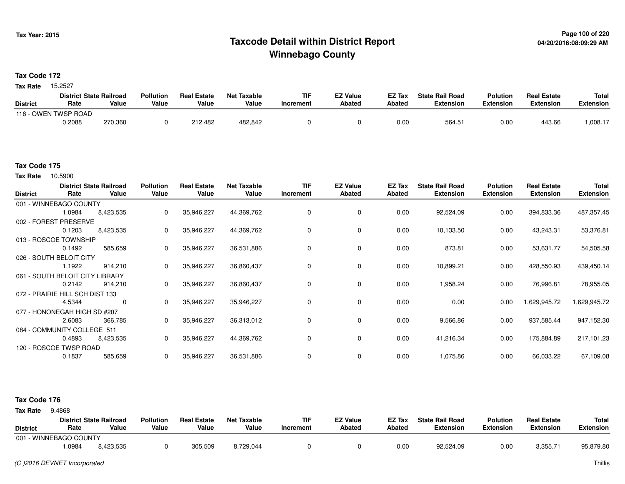## **Page 100 of 220 Taxcode Detail within District ReportWinnebago County**

**Tax Code 172**

15.2527 **Tax Rate**

|                 | <b>District State Railroad</b> |         | <b>Pollution</b> | <b>Real Estate</b> | Net Taxable | <b>TIF</b>       | <b>EZ Value</b> | EZ Tax | <b>State Rail Road</b> | <b>Polution</b>  | <b>Real Estate</b> | <b>Total</b> |
|-----------------|--------------------------------|---------|------------------|--------------------|-------------|------------------|-----------------|--------|------------------------|------------------|--------------------|--------------|
| <b>District</b> | Rate                           | Value   | Value            | Value              | Value       | <b>Increment</b> | Abated          | Abated | Extension              | <b>Extension</b> | Extension          | Extension    |
|                 | 116 - OWEN TWSP ROAD           |         |                  |                    |             |                  |                 |        |                        |                  |                    |              |
|                 | 0.2088                         | 270,360 |                  | 212,482            | 482,842     |                  |                 | 0.01   | 564.5.                 | 0.00             | 443.66             | .008.17      |

#### **Tax Code 175**

10.5900 **Tax Rate**

| <b>District</b> | Rate                            | <b>District State Railroad</b><br>Value | <b>Pollution</b><br>Value | <b>Real Estate</b><br>Value | <b>Net Taxable</b><br>Value | TIF<br>Increment | <b>EZ Value</b><br><b>Abated</b> | EZ Tax<br>Abated | <b>State Rail Road</b><br><b>Extension</b> | <b>Polution</b><br><b>Extension</b> | <b>Real Estate</b><br><b>Extension</b> | <b>Total</b><br><b>Extension</b> |
|-----------------|---------------------------------|-----------------------------------------|---------------------------|-----------------------------|-----------------------------|------------------|----------------------------------|------------------|--------------------------------------------|-------------------------------------|----------------------------------------|----------------------------------|
|                 | 001 - WINNEBAGO COUNTY          |                                         |                           |                             |                             |                  |                                  |                  |                                            |                                     |                                        |                                  |
|                 | 1.0984                          | 8,423,535                               | $\mathbf 0$               | 35,946,227                  | 44,369,762                  | 0                | 0                                | 0.00             | 92,524.09                                  | 0.00                                | 394,833.36                             | 487,357.45                       |
|                 | 002 - FOREST PRESERVE           |                                         |                           |                             |                             |                  |                                  |                  |                                            |                                     |                                        |                                  |
|                 | 0.1203                          | 8,423,535                               | 0                         | 35,946,227                  | 44,369,762                  |                  | 0                                | 0.00             | 10,133.50                                  | 0.00                                | 43,243.31                              | 53,376.81                        |
|                 | 013 - ROSCOE TOWNSHIP           |                                         |                           |                             |                             |                  |                                  |                  |                                            |                                     |                                        |                                  |
|                 | 0.1492                          | 585,659                                 | $\mathbf 0$               | 35,946,227                  | 36,531,886                  | 0                | 0                                | 0.00             | 873.81                                     | 0.00                                | 53,631.77                              | 54,505.58                        |
|                 | 026 - SOUTH BELOIT CITY         |                                         |                           |                             |                             |                  |                                  |                  |                                            |                                     |                                        |                                  |
|                 | 1.1922                          | 914,210                                 | $\mathbf{0}$              | 35,946,227                  | 36,860,437                  | 0                | 0                                | 0.00             | 10,899.21                                  | 0.00                                | 428,550.93                             | 439,450.14                       |
|                 | 061 - SOUTH BELOIT CITY I       | _IBRARY                                 |                           |                             |                             |                  |                                  |                  |                                            |                                     |                                        |                                  |
|                 | 0.2142                          | 914,210                                 | 0                         | 35,946,227                  | 36,860,437                  |                  | 0                                | 0.00             | 1,958.24                                   | 0.00                                | 76,996.81                              | 78,955.05                        |
|                 | 072 - PRAIRIE HILL SCH DIST 133 |                                         |                           |                             |                             |                  |                                  |                  |                                            |                                     |                                        |                                  |
|                 | 4.5344                          | 0                                       | $\mathbf{0}$              | 35,946,227                  | 35,946,227                  | 0                | $\mathbf 0$                      | 0.00             | 0.00                                       | 0.00                                | 629,945.72                             | 1,629,945.72                     |
|                 | 077 - HONONEGAH HIGH SD #207    |                                         |                           |                             |                             |                  |                                  |                  |                                            |                                     |                                        |                                  |
|                 | 2.6083                          | 366,785                                 | $\mathbf{0}$              | 35,946,227                  | 36,313,012                  | 0                | 0                                | 0.00             | 9,566.86                                   | 0.00                                | 937,585.44                             | 947,152.30                       |
|                 | 084 - COMMUNITY COLLEGE 511     |                                         |                           |                             |                             |                  |                                  |                  |                                            |                                     |                                        |                                  |
|                 | 0.4893                          | 8,423,535                               | $\mathbf 0$               | 35,946,227                  | 44,369,762                  | 0                | $\mathbf 0$                      | 0.00             | 41,216.34                                  | 0.00                                | 175,884.89                             | 217,101.23                       |
|                 | 120 - ROSCOE TWSP ROAD          |                                         |                           |                             |                             |                  |                                  |                  |                                            |                                     |                                        |                                  |
|                 | 0.1837                          | 585,659                                 | $\mathbf 0$               | 35,946,227                  | 36,531,886                  |                  | 0                                | 0.00             | 1,075.86                                   | 0.00                                | 66,033.22                              | 67,109.08                        |

| <b>Tax Rate</b> | 9.4868 |
|-----------------|--------|

| <b>District</b> | Rate                   | <b>District State Railroad</b><br>Value | <b>Pollution</b><br>Value | <b>Real Estate</b><br>Value | Net Taxable<br>Value | TIF<br>Increment | <b>EZ Value</b><br>Abated | EZ Tax<br>Abated | <b>State Rail Road</b><br>Extension | <b>Polution</b><br><b>Extension</b> | <b>Real Estate</b><br><b>Extension</b> | Total<br>Extension |
|-----------------|------------------------|-----------------------------------------|---------------------------|-----------------------------|----------------------|------------------|---------------------------|------------------|-------------------------------------|-------------------------------------|----------------------------------------|--------------------|
|                 | 001 - WINNEBAGO COUNTY |                                         |                           |                             |                      |                  |                           |                  |                                     |                                     |                                        |                    |
|                 | .0984                  | 8,423,535                               |                           | 305,509                     | 8,729,044            |                  |                           | 0.00             | 92,524.09                           | 0.00                                | 3,355.7                                | 95,879.80          |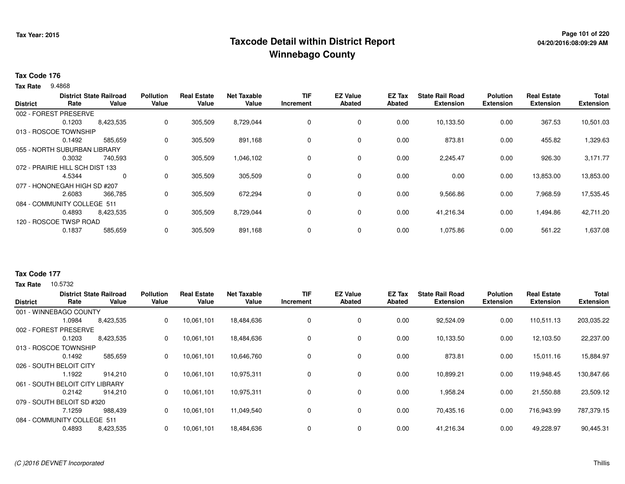## **Page 101 of 220 Taxcode Detail within District ReportWinnebago County**

#### **Tax Code 176**

9.4868 **Tax Rate**

|                 |                                 | <b>District State Railroad</b> |       | <b>Real Estate</b> | Net Taxable | <b>TIF</b> | <b>EZ Value</b> | <b>EZ Tax</b> | <b>State Rail Road</b> | <b>Polution</b>  | <b>Real Estate</b> | <b>Total</b>     |
|-----------------|---------------------------------|--------------------------------|-------|--------------------|-------------|------------|-----------------|---------------|------------------------|------------------|--------------------|------------------|
| <b>District</b> | Rate                            | Value                          | Value | Value              | Value       | Increment  | Abated          | Abated        | <b>Extension</b>       | <b>Extension</b> | <b>Extension</b>   | <b>Extension</b> |
|                 | 002 - FOREST PRESERVE           |                                |       |                    |             |            |                 |               |                        |                  |                    |                  |
|                 | 0.1203                          | 8,423,535                      | 0     | 305,509            | 8,729,044   | 0          | $\mathbf 0$     | 0.00          | 10,133.50              | 0.00             | 367.53             | 10,501.03        |
|                 | 013 - ROSCOE TOWNSHIP           |                                |       |                    |             |            |                 |               |                        |                  |                    |                  |
|                 | 0.1492                          | 585,659                        | 0     | 305,509            | 891,168     | 0          | $\mathbf 0$     | 0.00          | 873.81                 | 0.00             | 455.82             | 1,329.63         |
|                 | 055 - NORTH SUBURBAN LIBRARY    |                                |       |                    |             |            |                 |               |                        |                  |                    |                  |
|                 | 0.3032                          | 740,593                        | 0     | 305,509            | 1,046,102   | 0          | $\mathbf 0$     | 0.00          | 2,245.47               | 0.00             | 926.30             | 3,171.77         |
|                 | 072 - PRAIRIE HILL SCH DIST 133 |                                |       |                    |             |            |                 |               |                        |                  |                    |                  |
|                 | 4.5344                          | $\Omega$                       | 0     | 305,509            | 305,509     | $\Omega$   | 0               | 0.00          | 0.00                   | 0.00             | 13,853.00          | 13,853.00        |
|                 | 077 - HONONEGAH HIGH SD #207    |                                |       |                    |             |            |                 |               |                        |                  |                    |                  |
|                 | 2.6083                          | 366,785                        | 0     | 305,509            | 672,294     | 0          | $\mathbf 0$     | 0.00          | 9,566.86               | 0.00             | 7,968.59           | 17,535.45        |
|                 | 084 - COMMUNITY COLLEGE 511     |                                |       |                    |             |            |                 |               |                        |                  |                    |                  |
|                 | 0.4893                          | 8,423,535                      | 0     | 305,509            | 8,729,044   | 0          | 0               | 0.00          | 41,216.34              | 0.00             | 1,494.86           | 42,711.20        |
|                 | 120 - ROSCOE TWSP ROAD          |                                |       |                    |             |            |                 |               |                        |                  |                    |                  |
|                 | 0.1837                          | 585,659                        | 0     | 305,509            | 891,168     | 0          | $\mathbf 0$     | 0.00          | 1,075.86               | 0.00             | 561.22             | 1,637.08         |
|                 |                                 |                                |       |                    |             |            |                 |               |                        |                  |                    |                  |

## **Tax Code 177**

| <b>District</b>                 | Rate     | <b>District State Railroad</b><br>Value | <b>Pollution</b><br>Value | l Estate<br>Real<br>Value | <b>Net Taxable</b><br>Value | <b>TIF</b><br>Increment | <b>EZ Value</b><br>Abated | <b>EZ Tax</b><br>Abated | <b>State Rail Road</b><br><b>Extension</b> | <b>Polution</b><br><b>Extension</b> | <b>Real Estate</b><br><b>Extension</b> | <b>Total</b><br><b>Extension</b> |
|---------------------------------|----------|-----------------------------------------|---------------------------|---------------------------|-----------------------------|-------------------------|---------------------------|-------------------------|--------------------------------------------|-------------------------------------|----------------------------------------|----------------------------------|
| 001 - WINNEBAGO COUNTY          |          |                                         |                           |                           |                             |                         |                           |                         |                                            |                                     |                                        |                                  |
|                                 | 1.0984   | 8,423,535                               | 0                         | 10,061,101                | 18,484,636                  | 0                       | 0                         | 0.00                    | 92,524.09                                  | 0.00                                | 110,511.13                             | 203,035.22                       |
| 002 - FOREST                    | PRESERVE |                                         |                           |                           |                             |                         |                           |                         |                                            |                                     |                                        |                                  |
|                                 | 0.1203   | 8,423,535                               | 0                         | 10,061,101                | 18,484,636                  | 0                       | 0                         | 0.00                    | 10,133.50                                  | 0.00                                | 12,103.50                              | 22,237.00                        |
| 013 - ROSCOE TOWNSHIP           |          |                                         |                           |                           |                             |                         |                           |                         |                                            |                                     |                                        |                                  |
|                                 | 0.1492   | 585,659                                 | 0                         | 10,061,101                | 10,646,760                  | 0                       | $\mathbf 0$               | 0.00                    | 873.81                                     | 0.00                                | 15,011.16                              | 15,884.97                        |
| 026 - SOUTH BELOIT CITY         |          |                                         |                           |                           |                             |                         |                           |                         |                                            |                                     |                                        |                                  |
|                                 | 1.1922   | 914,210                                 | 0                         | 10,061,101                | 10,975,311                  | 0                       | $\mathbf 0$               | 0.00                    | 10,899.21                                  | 0.00                                | 119,948.45                             | 130,847.66                       |
| 061 - SOUTH BELOIT CITY LIBRARY |          |                                         |                           |                           |                             |                         |                           |                         |                                            |                                     |                                        |                                  |
|                                 | 0.2142   | 914,210                                 | 0                         | 10,061,101                | 10,975,311                  | 0                       | $\mathbf 0$               | 0.00                    | 1,958.24                                   | 0.00                                | 21,550.88                              | 23,509.12                        |
| 079 - SOUTH BELOIT SD #320      |          |                                         |                           |                           |                             |                         |                           |                         |                                            |                                     |                                        |                                  |
|                                 | 7.1259   | 988,439                                 | 0                         | 10,061,101                | 11,049,540                  | 0                       | $\mathbf 0$               | 0.00                    | 70,435.16                                  | 0.00                                | 716,943.99                             | 787,379.15                       |
| 084 - COMMUNITY COLLEGE 511     |          |                                         |                           |                           |                             |                         |                           |                         |                                            |                                     |                                        |                                  |
|                                 | 0.4893   | 8,423,535                               | 0                         | 10,061,101                | 18,484,636                  | 0                       | 0                         | 0.00                    | 41.216.34                                  | 0.00                                | 49,228.97                              | 90,445.31                        |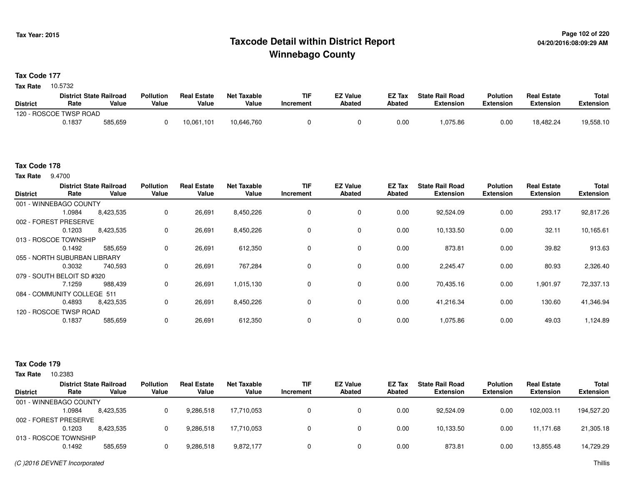## **Page 102 of 220 Taxcode Detail within District ReportWinnebago County**

**Tax Code 177**

Tax Rate 10.5732

|                 | <b>District State Railroad</b> |         | <b>Pollution</b> | <b>Real Estate</b> | Net Taxable | <b>TIF</b> | <b>EZ Value</b> | <b>EZ Tax</b> | <b>State Rail Road</b> | <b>Polution</b>  | <b>Real Estate</b> | <b>Total</b> |
|-----------------|--------------------------------|---------|------------------|--------------------|-------------|------------|-----------------|---------------|------------------------|------------------|--------------------|--------------|
| <b>District</b> | Rate                           | Value   | Value            | Value              | Value       | Increment  | <b>Abated</b>   | Abated        | <b>Extension</b>       | <b>Extension</b> | <b>Extension</b>   | Extension    |
|                 | 120 - ROSCOE TWSP ROAD         |         |                  |                    |             |            |                 |               |                        |                  |                    |              |
|                 | 0.1837                         | 585,659 |                  | 10,061,101         | 10,646,760  |            |                 | 0.00          | .075.86                | 0.00             | 18,482.24          | 19,558.10    |

### **Tax Code 178**

**Tax Rate** 9.4700

| <b>District</b>              | Rate   | <b>District State Railroad</b><br>Value | <b>Pollution</b><br>Value | <b>Real Estate</b><br>Value | <b>Net Taxable</b><br>Value | <b>TIF</b><br>Increment | <b>EZ Value</b><br><b>Abated</b> | EZ Tax<br><b>Abated</b> | <b>State Rail Road</b><br><b>Extension</b> | <b>Polution</b><br><b>Extension</b> | <b>Real Estate</b><br><b>Extension</b> | Total<br><b>Extension</b> |
|------------------------------|--------|-----------------------------------------|---------------------------|-----------------------------|-----------------------------|-------------------------|----------------------------------|-------------------------|--------------------------------------------|-------------------------------------|----------------------------------------|---------------------------|
| 001 - WINNEBAGO COUNTY       |        |                                         |                           |                             |                             |                         |                                  |                         |                                            |                                     |                                        |                           |
|                              | 1.0984 | 8,423,535                               | 0                         | 26,691                      | 8,450,226                   | $\Omega$                | $\mathbf 0$                      | 0.00                    | 92,524.09                                  | 0.00                                | 293.17                                 | 92,817.26                 |
| 002 - FOREST PRESERVE        |        |                                         |                           |                             |                             |                         |                                  |                         |                                            |                                     |                                        |                           |
|                              | 0.1203 | 8,423,535                               | 0                         | 26,691                      | 8,450,226                   | 0                       | 0                                | 0.00                    | 10,133.50                                  | 0.00                                | 32.11                                  | 10,165.61                 |
| 013 - ROSCOE TOWNSHIP        |        |                                         |                           |                             |                             |                         |                                  |                         |                                            |                                     |                                        |                           |
|                              | 0.1492 | 585,659                                 | 0                         | 26,691                      | 612,350                     | $\Omega$                | 0                                | 0.00                    | 873.81                                     | 0.00                                | 39.82                                  | 913.63                    |
| 055 - NORTH SUBURBAN LIBRARY |        |                                         |                           |                             |                             |                         |                                  |                         |                                            |                                     |                                        |                           |
|                              | 0.3032 | 740,593                                 | 0                         | 26,691                      | 767,284                     | $\Omega$                | 0                                | 0.00                    | 2,245.47                                   | 0.00                                | 80.93                                  | 2,326.40                  |
| 079 - SOUTH BELOIT SD #320   |        |                                         |                           |                             |                             |                         |                                  |                         |                                            |                                     |                                        |                           |
|                              | 7.1259 | 988,439                                 | 0                         | 26,691                      | 1,015,130                   | 0                       | 0                                | 0.00                    | 70,435.16                                  | 0.00                                | 1,901.97                               | 72,337.13                 |
| 084 - COMMUNITY COLLEGE 511  |        |                                         |                           |                             |                             |                         |                                  |                         |                                            |                                     |                                        |                           |
|                              | 0.4893 | 8,423,535                               | 0                         | 26,691                      | 8,450,226                   | 0                       | $\mathbf 0$                      | 0.00                    | 41,216.34                                  | 0.00                                | 130.60                                 | 41,346.94                 |
| 120 - ROSCOE TWSP ROAD       |        |                                         |                           |                             |                             |                         |                                  |                         |                                            |                                     |                                        |                           |
|                              | 0.1837 | 585,659                                 | 0                         | 26,691                      | 612,350                     | $\Omega$                | $\mathbf 0$                      | 0.00                    | 1,075.86                                   | 0.00                                | 49.03                                  | 1,124.89                  |

| <b>Tax Rate</b> | 10.2383                |                                         |                           |                             |                             |                         |                           |                  |                                            |                                     |                                        |                                  |
|-----------------|------------------------|-----------------------------------------|---------------------------|-----------------------------|-----------------------------|-------------------------|---------------------------|------------------|--------------------------------------------|-------------------------------------|----------------------------------------|----------------------------------|
| <b>District</b> | Rate                   | <b>District State Railroad</b><br>Value | <b>Pollution</b><br>Value | <b>Real Estate</b><br>Value | <b>Net Taxable</b><br>Value | <b>TIF</b><br>Increment | <b>EZ Value</b><br>Abated | EZ Tax<br>Abated | <b>State Rail Road</b><br><b>Extension</b> | <b>Polution</b><br><b>Extension</b> | <b>Real Estate</b><br><b>Extension</b> | <b>Total</b><br><b>Extension</b> |
|                 | 001 - WINNEBAGO COUNTY |                                         |                           |                             |                             |                         |                           |                  |                                            |                                     |                                        |                                  |
|                 | .0984                  | 8,423,535                               |                           | 9,286,518                   | 17.710.053                  |                         |                           | 0.00             | 92.524.09                                  | 0.00                                | 102.003.11                             | 194,527.20                       |
|                 | 002 - FOREST PRESERVE  |                                         |                           |                             |                             |                         |                           |                  |                                            |                                     |                                        |                                  |
|                 | 0.1203                 | 8.423.535                               |                           | 9,286,518                   | 17,710,053                  |                         |                           | 0.00             | 10,133.50                                  | 0.00                                | 11.171.68                              | 21,305.18                        |
|                 | 013 - ROSCOE TOWNSHIP  |                                         |                           |                             |                             |                         |                           |                  |                                            |                                     |                                        |                                  |
|                 | 0.1492                 | 585.659                                 |                           | 9,286,518                   | 9,872,177                   |                         |                           | 0.00             | 873.81                                     | 0.00                                | 13,855.48                              | 14,729.29                        |
|                 |                        |                                         |                           |                             |                             |                         |                           |                  |                                            |                                     |                                        |                                  |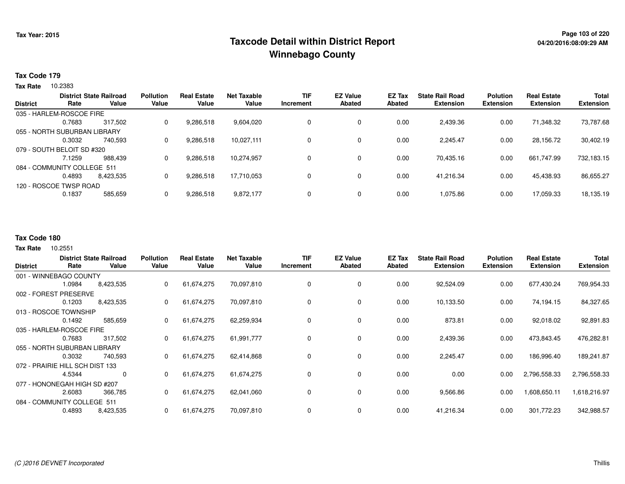## **Page 103 of 220 Taxcode Detail within District ReportWinnebago County**

### **Tax Code 179**

**Tax Rate** 10.2383

|                 | <b>District State Railroad</b> |           | <b>Pollution</b> | <b>Real Estate</b> | Net Taxable | <b>TIF</b> | <b>EZ Value</b> | <b>EZ Tax</b> | <b>State Rail Road</b> | <b>Polution</b>  | <b>Real Estate</b> | <b>Total</b>     |
|-----------------|--------------------------------|-----------|------------------|--------------------|-------------|------------|-----------------|---------------|------------------------|------------------|--------------------|------------------|
| <b>District</b> | Rate                           | Value     | Value            | Value              | Value       | Increment  | <b>Abated</b>   | Abated        | <b>Extension</b>       | <b>Extension</b> | <b>Extension</b>   | <b>Extension</b> |
|                 | 035 - HARLEM-ROSCOE FIRE       |           |                  |                    |             |            |                 |               |                        |                  |                    |                  |
|                 | 0.7683                         | 317.502   | 0                | 9.286.518          | 9.604.020   | 0          | 0               | 0.00          | 2,439.36               | 0.00             | 71,348.32          | 73,787.68        |
|                 | 055 - NORTH SUBURBAN LIBRARY   |           |                  |                    |             |            |                 |               |                        |                  |                    |                  |
|                 | 0.3032                         | 740.593   | 0                | 9,286,518          | 10.027.111  | 0          | 0               | 0.00          | 2.245.47               | 0.00             | 28.156.72          | 30,402.19        |
|                 | 079 - SOUTH BELOIT SD #320     |           |                  |                    |             |            |                 |               |                        |                  |                    |                  |
|                 | 7.1259                         | 988.439   | 0                | 9,286,518          | 10,274,957  | 0          | 0               | 0.00          | 70.435.16              | 0.00             | 661,747.99         | 732,183.15       |
|                 | 084 - COMMUNITY COLLEGE 511    |           |                  |                    |             |            |                 |               |                        |                  |                    |                  |
|                 | 0.4893                         | 8.423.535 | 0                | 9,286,518          | 17,710,053  | 0          | 0               | 0.00          | 41.216.34              | 0.00             | 45,438.93          | 86,655.27        |
|                 | 120 - ROSCOE TWSP ROAD         |           |                  |                    |             |            |                 |               |                        |                  |                    |                  |
|                 | 0.1837                         | 585,659   | 0                | 9,286,518          | 9,872,177   | 0          | 0               | 0.00          | 1,075.86               | 0.00             | 17,059.33          | 18,135.19        |
|                 |                                |           |                  |                    |             |            |                 |               |                        |                  |                    |                  |

#### **Tax Code 180**

10.2551 **Tax Rate**

|                 |                                 | <b>District State Railroad</b> | <b>Pollution</b> | <b>Real Estate</b> | <b>Net Taxable</b> | <b>TIF</b> | <b>EZ Value</b> | EZ Tax | <b>State Rail Road</b> | <b>Polution</b>  | <b>Real Estate</b> | <b>Total</b>     |
|-----------------|---------------------------------|--------------------------------|------------------|--------------------|--------------------|------------|-----------------|--------|------------------------|------------------|--------------------|------------------|
| <b>District</b> | Rate                            | Value                          | Value            | Value              | Value              | Increment  | <b>Abated</b>   | Abated | <b>Extension</b>       | <b>Extension</b> | <b>Extension</b>   | <b>Extension</b> |
|                 | 001 - WINNEBAGO COUNTY          |                                |                  |                    |                    |            |                 |        |                        |                  |                    |                  |
|                 | 1.0984                          | 8,423,535                      | 0                | 61,674,275         | 70,097,810         | 0          | 0               | 0.00   | 92,524.09              | 0.00             | 677,430.24         | 769,954.33       |
| 002 - FOREST    | <b>PRESERVE</b>                 |                                |                  |                    |                    |            |                 |        |                        |                  |                    |                  |
|                 | 0.1203                          | 8,423,535                      | 0                | 61,674,275         | 70,097,810         | 0          | 0               | 0.00   | 10,133.50              | 0.00             | 74,194.15          | 84,327.65        |
|                 | 013 - ROSCOE TOWNSHIP           |                                |                  |                    |                    |            |                 |        |                        |                  |                    |                  |
|                 | 0.1492                          | 585,659                        | 0                | 61,674,275         | 62,259,934         | 0          | 0               | 0.00   | 873.81                 | 0.00             | 92,018.02          | 92,891.83        |
|                 | 035 - HARLEM-ROSCOE FIRE        |                                |                  |                    |                    |            |                 |        |                        |                  |                    |                  |
|                 | 0.7683                          | 317,502                        | 0                | 61,674,275         | 61,991,777         | 0          | 0               | 0.00   | 2,439.36               | 0.00             | 473,843.45         | 476,282.81       |
|                 | 055 - NORTH SUBURBAN LIBRARY    |                                |                  |                    |                    |            |                 |        |                        |                  |                    |                  |
|                 | 0.3032                          | 740,593                        | $\mathbf{0}$     | 61,674,275         | 62,414,868         | 0          | $\mathbf 0$     | 0.00   | 2,245.47               | 0.00             | 186,996.40         | 189,241.87       |
|                 | 072 - PRAIRIE HILL SCH DIST 133 |                                |                  |                    |                    |            |                 |        |                        |                  |                    |                  |
|                 | 4.5344                          | 0                              | 0                | 61,674,275         | 61,674,275         | 0          | $\mathbf 0$     | 0.00   | 0.00                   | 0.00             | 2,796,558.33       | 2,796,558.33     |
|                 | 077 - HONONEGAH HIGH SD #207    |                                |                  |                    |                    |            |                 |        |                        |                  |                    |                  |
|                 | 2.6083                          | 366,785                        | 0                | 61,674,275         | 62,041,060         | 0          | 0               | 0.00   | 9,566.86               | 0.00             | 1,608,650.11       | 1,618,216.97     |
|                 | 084 - COMMUNITY COLLEGE 511     |                                |                  |                    |                    |            |                 |        |                        |                  |                    |                  |
|                 | 0.4893                          | 8,423,535                      | 0                | 61,674,275         | 70,097,810         | 0          | 0               | 0.00   | 41,216.34              | 0.00             | 301,772.23         | 342,988.57       |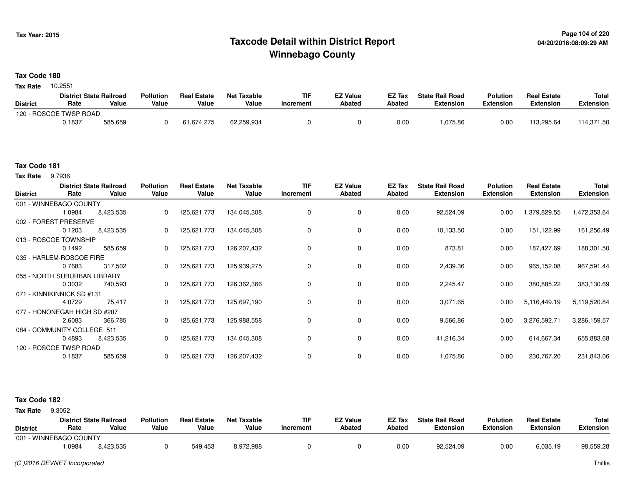## **Page 104 of 220 Taxcode Detail within District ReportWinnebago County**

### **Tax Code 180**

10.2551 **Tax Rate**

|                 | <b>District State Railroad</b> |         | <b>Pollution</b> | <b>Real Estate</b> | Net Taxable | TIF       | <b>EZ Value</b> | <b>EZ Tax</b> | <b>State Rail Road</b> | <b>Polution</b>  | <b>Real Estate</b> | <b>Total</b> |
|-----------------|--------------------------------|---------|------------------|--------------------|-------------|-----------|-----------------|---------------|------------------------|------------------|--------------------|--------------|
| <b>District</b> | Rate                           | Value   | Value            | Value              | Value       | Increment | <b>Abated</b>   | Abated        | <b>Extension</b>       | <b>Extension</b> | <b>Extension</b>   | Extension    |
|                 | 120 - ROSCOE TWSP ROAD         |         |                  |                    |             |           |                 |               |                        |                  |                    |              |
|                 | 0.1837                         | 585,659 |                  | 61,674,275         | 62,259,934  |           |                 | 0.00          | 1,075.86               | 0.00             | 113.295.64         | 114,371.50   |

### **Tax Code 181**

**Tax Rate** 9.7936

| <b>District</b> | Rate                         | <b>District State Railroad</b><br>Value | <b>Pollution</b><br>Value | <b>Real Estate</b><br>Value | <b>Net Taxable</b><br>Value | TIF<br>Increment | <b>EZ Value</b><br><b>Abated</b> | EZ Tax<br>Abated | <b>State Rail Road</b><br><b>Extension</b> | <b>Polution</b><br><b>Extension</b> | <b>Real Estate</b><br><b>Extension</b> | <b>Total</b><br><b>Extension</b> |
|-----------------|------------------------------|-----------------------------------------|---------------------------|-----------------------------|-----------------------------|------------------|----------------------------------|------------------|--------------------------------------------|-------------------------------------|----------------------------------------|----------------------------------|
|                 | 001 - WINNEBAGO COUNTY       |                                         |                           |                             |                             |                  |                                  |                  |                                            |                                     |                                        |                                  |
|                 | 1.0984                       | 8,423,535                               | 0                         | 125,621,773                 | 134,045,308                 | 0                | 0                                | 0.00             | 92,524.09                                  | 0.00                                | 1,379,829.55                           | 1,472,353.64                     |
|                 | 002 - FOREST PRESERVE        |                                         |                           |                             |                             |                  |                                  |                  |                                            |                                     |                                        |                                  |
|                 | 0.1203                       | 8,423,535                               | 0                         | 125,621,773                 | 134,045,308                 | 0                | 0                                | 0.00             | 10,133.50                                  | 0.00                                | 151,122.99                             | 161,256.49                       |
|                 | 013 - ROSCOE TOWNSHIP        |                                         |                           |                             |                             |                  |                                  |                  |                                            |                                     |                                        |                                  |
|                 | 0.1492                       | 585,659                                 | $\mathbf{0}$              | 125,621,773                 | 126,207,432                 | 0                | $\mathbf 0$                      | 0.00             | 873.81                                     | 0.00                                | 187,427.69                             | 188,301.50                       |
|                 | 035 - HARLEM-ROSCOE FIRE     |                                         |                           |                             |                             |                  |                                  |                  |                                            |                                     |                                        |                                  |
|                 | 0.7683                       | 317,502                                 | $\Omega$                  | 125,621,773                 | 125,939,275                 | 0                | 0                                | 0.00             | 2,439.36                                   | 0.00                                | 965,152.08                             | 967,591.44                       |
|                 | 055 - NORTH SUBURBAN LIBRARY |                                         |                           |                             |                             |                  |                                  |                  |                                            |                                     |                                        |                                  |
|                 | 0.3032                       | 740,593                                 | 0                         | 125,621,773                 | 126,362,366                 | 0                | 0                                | 0.00             | 2,245.47                                   | 0.00                                | 380,885.22                             | 383,130.69                       |
|                 | 071 - KINNIKINNICK SD #131   |                                         |                           |                             |                             |                  |                                  |                  |                                            |                                     |                                        |                                  |
|                 | 4.0729                       | 75,417                                  | $\Omega$                  | 125,621,773                 | 125,697,190                 | 0                | 0                                | 0.00             | 3,071.65                                   | 0.00                                | 5,116,449.19                           | 5,119,520.84                     |
|                 | 077 - HONONEGAH HIGH SD #207 |                                         |                           |                             |                             |                  |                                  |                  |                                            |                                     |                                        |                                  |
|                 | 2.6083                       | 366,785                                 | $\mathbf{0}$              | 125,621,773                 | 125,988,558                 |                  | 0                                | 0.00             | 9,566.86                                   | 0.00                                | 3,276,592.71                           | 3,286,159.57                     |
|                 | 084 - COMMUNITY COLLEGE 511  |                                         |                           |                             |                             |                  |                                  |                  |                                            |                                     |                                        |                                  |
|                 | 0.4893                       | 8,423,535                               |                           | 125,621,773                 | 134,045,308                 | 0                | 0                                | 0.00             | 41,216.34                                  | 0.00                                | 614,667.34                             | 655,883.68                       |
|                 | 120 - ROSCOE TWSP ROAD       |                                         |                           |                             |                             |                  |                                  |                  |                                            |                                     |                                        |                                  |
|                 | 0.1837                       | 585,659                                 |                           | 125,621,773                 | 126,207,432                 | $\Omega$         | 0                                | 0.00             | 1,075.86                                   | 0.00                                | 230,767.20                             | 231,843.06                       |

### **Tax Code 182**

**Tax Rate** 9.3052

| <b>District</b>        | Rate  | <b>District State Railroad</b><br>Value | <b>Pollution</b><br>Value | <b>Real Estate</b><br>Value | <b>Net Taxable</b><br>Value | <b>TIF</b><br>Increment | <b>EZ Value</b><br><b>Abated</b> | <b>EZ Tax</b><br><b>Abated</b> | <b>State Rail Road</b><br>Extension | <b>Polution</b><br><b>Extension</b> | <b>Real Estate</b><br>Extension | <b>Total</b><br>Extension |
|------------------------|-------|-----------------------------------------|---------------------------|-----------------------------|-----------------------------|-------------------------|----------------------------------|--------------------------------|-------------------------------------|-------------------------------------|---------------------------------|---------------------------|
| 001 - WINNEBAGO COUNTY |       |                                         |                           |                             |                             |                         |                                  |                                |                                     |                                     |                                 |                           |
|                        | .0984 | 8,423,535                               |                           | 549,453                     | 8,972,988                   |                         |                                  | 0.00                           | 92,524.09                           | 0.00                                | 6,035.19                        | 98,559.28                 |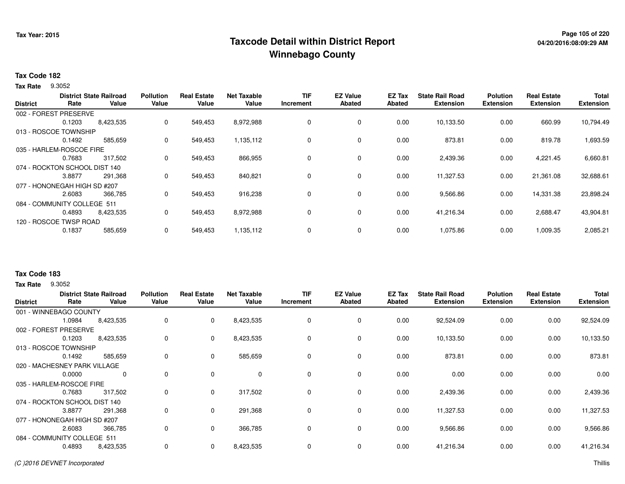## **Page 105 of 220 Taxcode Detail within District ReportWinnebago County**

### **Tax Code 182**

9.3052 **Tax Rate**

|                 |                               | <b>District State Railroad</b> | <b>Pollution</b> | <b>Real Estate</b> | Net Taxable | <b>TIF</b> | <b>EZ Value</b> | <b>EZ Tax</b> | <b>State Rail Road</b> | <b>Polution</b>  | <b>Real Estate</b> | <b>Total</b>     |
|-----------------|-------------------------------|--------------------------------|------------------|--------------------|-------------|------------|-----------------|---------------|------------------------|------------------|--------------------|------------------|
| <b>District</b> | Rate                          | Value                          | Value            | Value              | Value       | Increment  | Abated          | Abated        | <b>Extension</b>       | <b>Extension</b> | <b>Extension</b>   | <b>Extension</b> |
|                 | 002 - FOREST PRESERVE         |                                |                  |                    |             |            |                 |               |                        |                  |                    |                  |
|                 | 0.1203                        | 8,423,535                      | 0                | 549,453            | 8,972,988   | 0          | $\mathbf 0$     | 0.00          | 10,133.50              | 0.00             | 660.99             | 10,794.49        |
|                 | 013 - ROSCOE TOWNSHIP         |                                |                  |                    |             |            |                 |               |                        |                  |                    |                  |
|                 | 0.1492                        | 585,659                        | 0                | 549,453            | 1,135,112   | 0          | $\mathbf 0$     | 0.00          | 873.81                 | 0.00             | 819.78             | 1,693.59         |
|                 | 035 - HARLEM-ROSCOE FIRE      |                                |                  |                    |             |            |                 |               |                        |                  |                    |                  |
|                 | 0.7683                        | 317,502                        | 0                | 549,453            | 866,955     | 0          | $\mathbf 0$     | 0.00          | 2,439.36               | 0.00             | 4,221.45           | 6,660.81         |
|                 | 074 - ROCKTON SCHOOL DIST 140 |                                |                  |                    |             |            |                 |               |                        |                  |                    |                  |
|                 | 3.8877                        | 291,368                        | 0                | 549,453            | 840,821     | 0          | 0               | 0.00          | 11,327.53              | 0.00             | 21,361.08          | 32,688.61        |
|                 | 077 - HONONEGAH HIGH SD #207  |                                |                  |                    |             |            |                 |               |                        |                  |                    |                  |
|                 | 2.6083                        | 366,785                        | 0                | 549,453            | 916,238     | 0          | $\mathbf 0$     | 0.00          | 9,566.86               | 0.00             | 14,331.38          | 23,898.24        |
|                 | 084 - COMMUNITY COLLEGE 511   |                                |                  |                    |             |            |                 |               |                        |                  |                    |                  |
|                 | 0.4893                        | 8,423,535                      | 0                | 549,453            | 8,972,988   | 0          | 0               | 0.00          | 41,216.34              | 0.00             | 2,688.47           | 43,904.81        |
|                 | 120 - ROSCOE TWSP ROAD        |                                |                  |                    |             |            |                 |               |                        |                  |                    |                  |
|                 | 0.1837                        | 585,659                        | 0                | 549,453            | 1,135,112   | 0          | $\mathbf 0$     | 0.00          | 1,075.86               | 0.00             | 1,009.35           | 2,085.21         |
|                 |                               |                                |                  |                    |             |            |                 |               |                        |                  |                    |                  |

### **Tax Code 183**

**Tax Rate** 9.3052

| <b>District</b> | Rate                          | <b>District State Railroad</b><br>Value | <b>Pollution</b><br>Value | <b>Real Estate</b><br>Value | <b>Net Taxable</b><br>Value | <b>TIF</b><br>Increment | <b>EZ Value</b><br><b>Abated</b> | EZ Tax<br><b>Abated</b> | <b>State Rail Road</b><br><b>Extension</b> | <b>Polution</b><br><b>Extension</b> | <b>Real Estate</b><br><b>Extension</b> | <b>Total</b><br><b>Extension</b> |
|-----------------|-------------------------------|-----------------------------------------|---------------------------|-----------------------------|-----------------------------|-------------------------|----------------------------------|-------------------------|--------------------------------------------|-------------------------------------|----------------------------------------|----------------------------------|
|                 | 001 - WINNEBAGO COUNTY        |                                         |                           |                             |                             |                         |                                  |                         |                                            |                                     |                                        |                                  |
|                 | 1.0984                        | 8,423,535                               | 0                         | $\mathbf{0}$                | 8,423,535                   | 0                       | 0                                | 0.00                    | 92,524.09                                  | 0.00                                | 0.00                                   | 92,524.09                        |
|                 | 002 - FOREST PRESERVE         |                                         |                           |                             |                             |                         |                                  |                         |                                            |                                     |                                        |                                  |
|                 | 0.1203                        | 8,423,535                               | 0                         | $\mathbf{0}$                | 8,423,535                   | 0                       | 0                                | 0.00                    | 10,133.50                                  | 0.00                                | 0.00                                   | 10,133.50                        |
|                 | 013 - ROSCOE TOWNSHIP         |                                         |                           |                             |                             |                         |                                  |                         |                                            |                                     |                                        |                                  |
|                 | 0.1492                        | 585,659                                 | 0                         | $\mathbf 0$                 | 585,659                     | 0                       | 0                                | 0.00                    | 873.81                                     | 0.00                                | 0.00                                   | 873.81                           |
|                 | 020 - MACHESNEY PARK VILLAGE  |                                         |                           |                             |                             |                         |                                  |                         |                                            |                                     |                                        |                                  |
|                 | 0.0000                        | $\mathbf 0$                             | 0                         | $\Omega$                    | $\mathbf 0$                 | $\mathbf 0$             | $\mathbf 0$                      | 0.00                    | 0.00                                       | 0.00                                | 0.00                                   | 0.00                             |
|                 | 035 - HARLEM-ROSCOE FIRE      |                                         |                           |                             |                             |                         |                                  |                         |                                            |                                     |                                        |                                  |
|                 | 0.7683                        | 317,502                                 | 0                         | $\mathbf 0$                 | 317,502                     | 0                       | $\mathbf 0$                      | 0.00                    | 2,439.36                                   | 0.00                                | 0.00                                   | 2,439.36                         |
|                 | 074 - ROCKTON SCHOOL DIST 140 |                                         |                           |                             |                             |                         |                                  |                         |                                            |                                     |                                        |                                  |
|                 | 3.8877                        | 291,368                                 | 0                         | $\mathbf 0$                 | 291,368                     | $\Omega$                | $\mathbf 0$                      | 0.00                    | 11,327.53                                  | 0.00                                | 0.00                                   | 11,327.53                        |
|                 | 077 - HONONEGAH HIGH SD #207  |                                         |                           |                             |                             |                         |                                  |                         |                                            |                                     |                                        |                                  |
|                 | 2.6083                        | 366,785                                 | 0                         | $\mathbf 0$                 | 366,785                     | 0                       | $\mathbf 0$                      | 0.00                    | 9,566.86                                   | 0.00                                | 0.00                                   | 9,566.86                         |
|                 | 084 - COMMUNITY COLLEGE 511   |                                         |                           |                             |                             |                         |                                  |                         |                                            |                                     |                                        |                                  |
|                 | 0.4893                        | 8,423,535                               | 0                         | $\mathbf 0$                 | 8,423,535                   | 0                       | 0                                | 0.00                    | 41,216.34                                  | 0.00                                | 0.00                                   | 41,216.34                        |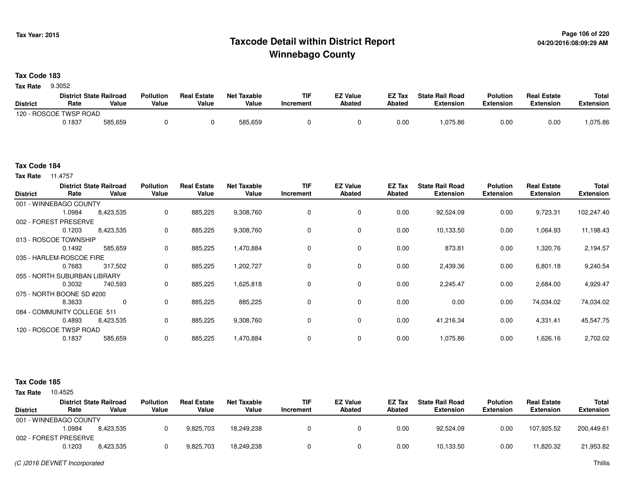## **Page 106 of 220 Taxcode Detail within District ReportWinnebago County**

### **Tax Code 183**

9.3052 **Tax Rate**

|                 | <b>District State Railroad</b> |         | <b>Pollution</b> | <b>Real Estate</b> | <b>Net Taxable</b> | TIF       | <b>EZ Value</b> | <b>EZ Tax</b> | <b>State Rail Road</b> | <b>Polution</b> | <b>Real Estate</b> | <b>Total</b> |
|-----------------|--------------------------------|---------|------------------|--------------------|--------------------|-----------|-----------------|---------------|------------------------|-----------------|--------------------|--------------|
| <b>District</b> | Rate                           | Value   | Value            | Value              | Value              | Increment | Abated          | Abated        | <b>Extension</b>       | Extension       | <b>Extension</b>   | Extension    |
|                 | 120 - ROSCOE TWSP ROAD         |         |                  |                    |                    |           |                 |               |                        |                 |                    |              |
|                 | 0.1837                         | 585,659 |                  |                    | 585,659            |           |                 | 0.00          | ,075.86                | 0.00            | 0.00               | ,075.86      |

#### **Tax Code 184**

**Tax Rate** 11.4757

| Rate                     | Value       | <b>Pollution</b><br>Value                                                                                                                                                                                                        | <b>Real Estate</b><br>Value | <b>Net Taxable</b><br>Value | <b>TIF</b><br>Increment | <b>EZ Value</b><br><b>Abated</b> | EZ Tax<br><b>Abated</b> | <b>State Rail Road</b><br><b>Extension</b> | <b>Polution</b><br><b>Extension</b> | <b>Real Estate</b><br><b>Extension</b> | Total<br><b>Extension</b> |
|--------------------------|-------------|----------------------------------------------------------------------------------------------------------------------------------------------------------------------------------------------------------------------------------|-----------------------------|-----------------------------|-------------------------|----------------------------------|-------------------------|--------------------------------------------|-------------------------------------|----------------------------------------|---------------------------|
|                          |             |                                                                                                                                                                                                                                  |                             |                             |                         |                                  |                         |                                            |                                     |                                        |                           |
| 1.0984                   | 8,423,535   | 0                                                                                                                                                                                                                                | 885,225                     | 9,308,760                   | $\Omega$                | 0                                | 0.00                    | 92,524.09                                  | 0.00                                | 9,723.31                               | 102,247.40                |
|                          |             |                                                                                                                                                                                                                                  |                             |                             |                         |                                  |                         |                                            |                                     |                                        |                           |
| 0.1203                   | 8,423,535   | 0                                                                                                                                                                                                                                | 885,225                     | 9,308,760                   | 0                       | 0                                | 0.00                    | 10,133.50                                  | 0.00                                | 1,064.93                               | 11,198.43                 |
|                          |             |                                                                                                                                                                                                                                  |                             |                             |                         |                                  |                         |                                            |                                     |                                        |                           |
| 0.1492                   | 585,659     | 0                                                                                                                                                                                                                                | 885,225                     | 1,470,884                   | $\Omega$                | $\mathbf 0$                      | 0.00                    | 873.81                                     | 0.00                                | 1,320.76                               | 2,194.57                  |
| 035 - HARLEM-ROSCOE FIRE |             |                                                                                                                                                                                                                                  |                             |                             |                         |                                  |                         |                                            |                                     |                                        |                           |
| 0.7683                   | 317,502     | 0                                                                                                                                                                                                                                | 885,225                     | 1,202,727                   | $\Omega$                | 0                                | 0.00                    | 2,439.36                                   | 0.00                                | 6,801.18                               | 9,240.54                  |
|                          |             |                                                                                                                                                                                                                                  |                             |                             |                         |                                  |                         |                                            |                                     |                                        |                           |
| 0.3032                   | 740,593     | 0                                                                                                                                                                                                                                | 885,225                     | 1,625,818                   | 0                       | 0                                | 0.00                    | 2,245.47                                   | 0.00                                | 2,684.00                               | 4,929.47                  |
|                          |             |                                                                                                                                                                                                                                  |                             |                             |                         |                                  |                         |                                            |                                     |                                        |                           |
| 8.3633                   | $\mathbf 0$ | $\mathbf 0$                                                                                                                                                                                                                      | 885,225                     | 885,225                     | 0                       | 0                                | 0.00                    | 0.00                                       | 0.00                                | 74,034.02                              | 74,034.02                 |
|                          |             |                                                                                                                                                                                                                                  |                             |                             |                         |                                  |                         |                                            |                                     |                                        |                           |
| 0.4893                   | 8,423,535   | 0                                                                                                                                                                                                                                | 885,225                     | 9,308,760                   | 0                       | $\mathbf 0$                      | 0.00                    | 41,216.34                                  | 0.00                                | 4,331.41                               | 45,547.75                 |
|                          |             |                                                                                                                                                                                                                                  |                             |                             |                         |                                  |                         |                                            |                                     |                                        |                           |
| 0.1837                   | 585,659     | $\mathbf 0$                                                                                                                                                                                                                      | 885,225                     | 1,470,884                   | 0                       | $\mathbf 0$                      | 0.00                    | 1,075.86                                   | 0.00                                | 1,626.16                               | 2,702.02                  |
|                          |             | <b>District State Railroad</b><br>001 - WINNEBAGO COUNTY<br>002 - FOREST PRESERVE<br>013 - ROSCOE TOWNSHIP<br>055 - NORTH SUBURBAN LIBRARY<br>075 - NORTH BOONE SD #200<br>084 - COMMUNITY COLLEGE 511<br>120 - ROSCOE TWSP ROAD |                             |                             |                         |                                  |                         |                                            |                                     |                                        |                           |

| <b>Tax Rate</b> | 10.4525 |
|-----------------|---------|
|                 |         |

| <b>District</b>        | Rate   | <b>District State Railroad</b><br>Value | <b>Pollution</b><br>Value | <b>Real Estate</b><br>Value | Net Taxable<br>Value | <b>TIF</b><br>Increment | <b>EZ Value</b><br><b>Abated</b> | EZ Tax<br>Abated | <b>State Rail Road</b><br><b>Extension</b> | <b>Polution</b><br><b>Extension</b> | <b>Real Estate</b><br><b>Extension</b> | <b>Total</b><br>Extension |
|------------------------|--------|-----------------------------------------|---------------------------|-----------------------------|----------------------|-------------------------|----------------------------------|------------------|--------------------------------------------|-------------------------------------|----------------------------------------|---------------------------|
| 001 - WINNEBAGO COUNTY |        |                                         |                           |                             |                      |                         |                                  |                  |                                            |                                     |                                        |                           |
|                        | 1.0984 | 8.423.535                               |                           | 9,825,703                   | 18.249.238           |                         |                                  | 0.00             | 92.524.09                                  | 0.00                                | 107.925.52                             | 200,449.61                |
| 002 - FOREST PRESERVE  |        |                                         |                           |                             |                      |                         |                                  |                  |                                            |                                     |                                        |                           |
|                        | 0.1203 | 8.423.535                               |                           | 9,825,703                   | 18.249.238           |                         |                                  | 0.00             | 10,133.50                                  | 0.00                                | 11.820.32                              | 21,953.82                 |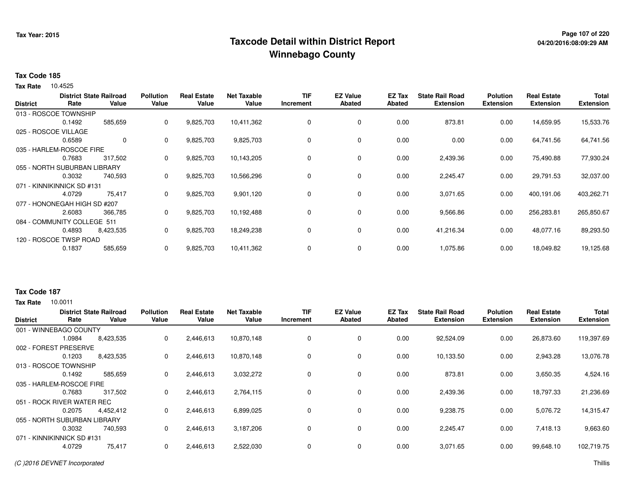## **Page 107 of 220 Taxcode Detail within District ReportWinnebago County**

### **Tax Code 185**

Tax Rate 10.4525

|                      |                              | <b>District State Railroad</b> | <b>Pollution</b> | <b>Real Estate</b> | Net Taxable | <b>TIF</b> | <b>EZ Value</b> | EZ Tax        | <b>State Rail Road</b> | <b>Polution</b>  | <b>Real Estate</b> | <b>Total</b>     |
|----------------------|------------------------------|--------------------------------|------------------|--------------------|-------------|------------|-----------------|---------------|------------------------|------------------|--------------------|------------------|
| <b>District</b>      | Rate                         | Value                          | Value            | Value              | Value       | Increment  | <b>Abated</b>   | <b>Abated</b> | <b>Extension</b>       | <b>Extension</b> | <b>Extension</b>   | <b>Extension</b> |
|                      | 013 - ROSCOE TOWNSHIP        |                                |                  |                    |             |            |                 |               |                        |                  |                    |                  |
|                      | 0.1492                       | 585,659                        | 0                | 9,825,703          | 10,411,362  | 0          | 0               | 0.00          | 873.81                 | 0.00             | 14,659.95          | 15,533.76        |
| 025 - ROSCOE VILLAGE |                              |                                |                  |                    |             |            |                 |               |                        |                  |                    |                  |
|                      | 0.6589                       | $\mathbf 0$                    | $\mathbf{0}$     | 9,825,703          | 9,825,703   | 0          | 0               | 0.00          | 0.00                   | 0.00             | 64,741.56          | 64,741.56        |
|                      | 035 - HARLEM-ROSCOE FIRE     |                                |                  |                    |             |            |                 |               |                        |                  |                    |                  |
|                      | 0.7683                       | 317,502                        | 0                | 9,825,703          | 10,143,205  | 0          | 0               | 0.00          | 2,439.36               | 0.00             | 75,490.88          | 77,930.24        |
|                      | 055 - NORTH SUBURBAN LIBRARY |                                |                  |                    |             |            |                 |               |                        |                  |                    |                  |
|                      | 0.3032                       | 740,593                        | 0                | 9,825,703          | 10,566,296  | 0          | $\mathbf 0$     | 0.00          | 2,245.47               | 0.00             | 29,791.53          | 32,037.00        |
|                      | 071 - KINNIKINNICK SD #131   |                                |                  |                    |             |            |                 |               |                        |                  |                    |                  |
|                      | 4.0729                       | 75,417                         | $\mathbf{0}$     | 9,825,703          | 9,901,120   | 0          | $\mathbf 0$     | 0.00          | 3,071.65               | 0.00             | 400,191.06         | 403,262.71       |
|                      | 077 - HONONEGAH HIGH SD #207 |                                |                  |                    |             |            |                 |               |                        |                  |                    |                  |
|                      | 2.6083                       | 366,785                        | 0                | 9,825,703          | 10,192,488  | 0          | $\mathbf 0$     | 0.00          | 9,566.86               | 0.00             | 256,283.81         | 265,850.67       |
|                      | 084 - COMMUNITY COLLEGE 511  |                                |                  |                    |             |            |                 |               |                        |                  |                    |                  |
|                      | 0.4893                       | 8,423,535                      | 0                | 9,825,703          | 18,249,238  | 0          | 0               | 0.00          | 41,216.34              | 0.00             | 48,077.16          | 89,293.50        |
|                      | 120 - ROSCOE TWSP ROAD       |                                |                  |                    |             |            |                 |               |                        |                  |                    |                  |
|                      | 0.1837                       | 585,659                        | 0                | 9,825,703          | 10,411,362  | 0          | 0               | 0.00          | 1,075.86               | 0.00             | 18,049.82          | 19,125.68        |

## 10.0011 **Tax RateTax Code 187**

| <b>District</b> | Rate                         | <b>District State Railroad</b><br>Value | <b>Pollution</b><br>Value | <b>Real Estate</b><br>Value | <b>Net Taxable</b><br>Value | <b>TIF</b><br>Increment | <b>EZ Value</b><br>Abated | EZ Tax<br>Abated | <b>State Rail Road</b><br><b>Extension</b> | <b>Polution</b><br><b>Extension</b> | <b>Real Estate</b><br><b>Extension</b> | <b>Total</b><br><b>Extension</b> |
|-----------------|------------------------------|-----------------------------------------|---------------------------|-----------------------------|-----------------------------|-------------------------|---------------------------|------------------|--------------------------------------------|-------------------------------------|----------------------------------------|----------------------------------|
|                 | 001 - WINNEBAGO COUNTY       |                                         |                           |                             |                             |                         |                           |                  |                                            |                                     |                                        |                                  |
|                 | 1.0984                       | 8,423,535                               | 0                         | 2,446,613                   | 10,870,148                  | 0                       | 0                         | 0.00             | 92,524.09                                  | 0.00                                | 26,873.60                              | 119,397.69                       |
|                 | 002 - FOREST PRESERVE        |                                         |                           |                             |                             |                         |                           |                  |                                            |                                     |                                        |                                  |
|                 | 0.1203                       | 8,423,535                               | 0                         | 2,446,613                   | 10,870,148                  | 0                       | 0                         | 0.00             | 10,133.50                                  | 0.00                                | 2,943.28                               | 13,076.78                        |
|                 | 013 - ROSCOE TOWNSHIP        |                                         |                           |                             |                             |                         |                           |                  |                                            |                                     |                                        |                                  |
|                 | 0.1492                       | 585,659                                 | 0                         | 2,446,613                   | 3,032,272                   | 0                       | 0                         | 0.00             | 873.81                                     | 0.00                                | 3,650.35                               | 4,524.16                         |
|                 | 035 - HARLEM-ROSCOE FIRE     |                                         |                           |                             |                             |                         |                           |                  |                                            |                                     |                                        |                                  |
|                 | 0.7683                       | 317,502                                 | 0                         | 2,446,613                   | 2,764,115                   | 0                       | 0                         | 0.00             | 2,439.36                                   | 0.00                                | 18,797.33                              | 21,236.69                        |
|                 | 051 - ROCK RIVER WATER REC   |                                         |                           |                             |                             |                         |                           |                  |                                            |                                     |                                        |                                  |
|                 | 0.2075                       | 4,452,412                               | 0                         | 2,446,613                   | 6,899,025                   | $\Omega$                | $\Omega$                  | 0.00             | 9,238.75                                   | 0.00                                | 5,076.72                               | 14,315.47                        |
|                 | 055 - NORTH SUBURBAN LIBRARY |                                         |                           |                             |                             |                         |                           |                  |                                            |                                     |                                        |                                  |
|                 | 0.3032                       | 740,593                                 | 0                         | 2,446,613                   | 3,187,206                   | 0                       | 0                         | 0.00             | 2,245.47                                   | 0.00                                | 7,418.13                               | 9,663.60                         |
|                 | 071 - KINNIKINNICK SD #131   |                                         |                           |                             |                             |                         |                           |                  |                                            |                                     |                                        |                                  |
|                 | 4.0729                       | 75,417                                  | $\mathbf 0$               | 2,446,613                   | 2,522,030                   | 0                       | 0                         | 0.00             | 3,071.65                                   | 0.00                                | 99,648.10                              | 102,719.75                       |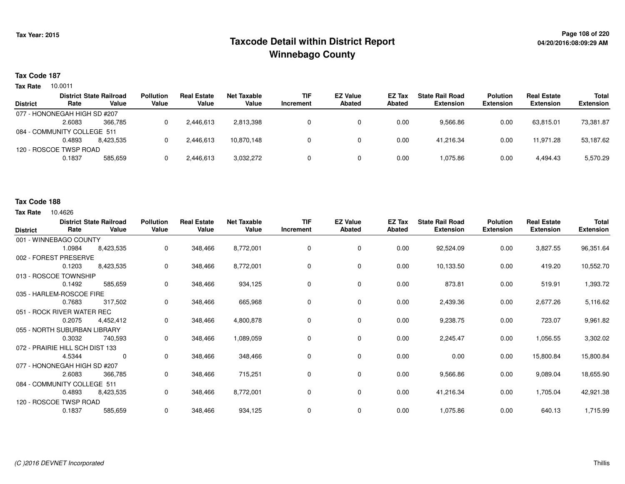## **Page 108 of 220 Taxcode Detail within District ReportWinnebago County**

### **Tax Code 187**

10.0011 **Tax Rate**

| <b>District State Railroad</b> |           | <b>Pollution</b>                                       | <b>Real Estate</b> | Net Taxable | <b>TIF</b> | <b>EZ Value</b> | <b>EZ Tax</b> | <b>State Rail Road</b> | <b>Polution</b>  | <b>Real Estate</b> | <b>Total</b>     |
|--------------------------------|-----------|--------------------------------------------------------|--------------------|-------------|------------|-----------------|---------------|------------------------|------------------|--------------------|------------------|
| Rate                           | Value     | Value                                                  | Value              | Value       | Increment  | Abated          | Abated        | <b>Extension</b>       | <b>Extension</b> | <b>Extension</b>   | <b>Extension</b> |
|                                |           |                                                        |                    |             |            |                 |               |                        |                  |                    |                  |
| 2.6083                         | 366.785   |                                                        | 2.446.613          | 2,813,398   |            |                 | 0.00          | 9,566.86               | 0.00             | 63.815.01          | 73,381.87        |
| 084 - COMMUNITY COLLEGE 511    |           |                                                        |                    |             |            |                 |               |                        |                  |                    |                  |
| 0.4893                         | 8.423.535 |                                                        | 2,446,613          | 10.870.148  |            |                 | 0.00          | 41.216.34              | 0.00             | 11.971.28          | 53,187.62        |
|                                |           |                                                        |                    |             |            |                 |               |                        |                  |                    |                  |
| 0.1837                         | 585.659   |                                                        | 2,446,613          | 3,032,272   |            |                 | 0.00          | 1.075.86               | 0.00             | 4.494.43           | 5,570.29         |
|                                |           | 077 - HONONEGAH HIGH SD #207<br>120 - ROSCOE TWSP ROAD |                    |             |            |                 |               |                        |                  |                    |                  |

#### **Tax Code 188**

| <b>District</b>                 | Rate   | <b>District State Railroad</b><br>Value | <b>Pollution</b><br>Value | <b>Real Estate</b><br>Value | <b>Net Taxable</b><br>Value | <b>TIF</b><br>Increment | <b>EZ Value</b><br><b>Abated</b> | EZ Tax<br><b>Abated</b> | <b>State Rail Road</b><br><b>Extension</b> | <b>Polution</b><br><b>Extension</b> | <b>Real Estate</b><br><b>Extension</b> | <b>Total</b><br><b>Extension</b> |
|---------------------------------|--------|-----------------------------------------|---------------------------|-----------------------------|-----------------------------|-------------------------|----------------------------------|-------------------------|--------------------------------------------|-------------------------------------|----------------------------------------|----------------------------------|
| 001 - WINNEBAGO COUNTY          |        |                                         |                           |                             |                             |                         |                                  |                         |                                            |                                     |                                        |                                  |
|                                 | 1.0984 | 8,423,535                               | 0                         | 348,466                     | 8,772,001                   | 0                       | 0                                | 0.00                    | 92,524.09                                  | 0.00                                | 3,827.55                               | 96,351.64                        |
| 002 - FOREST PRESERVE           |        |                                         |                           |                             |                             |                         |                                  |                         |                                            |                                     |                                        |                                  |
|                                 | 0.1203 | 8,423,535                               | 0                         | 348,466                     | 8,772,001                   | 0                       | 0                                | 0.00                    | 10,133.50                                  | 0.00                                | 419.20                                 | 10,552.70                        |
| 013 - ROSCOE TOWNSHIP           |        |                                         |                           |                             |                             |                         |                                  |                         |                                            |                                     |                                        |                                  |
|                                 | 0.1492 | 585,659                                 | 0                         | 348,466                     | 934,125                     | 0                       | 0                                | 0.00                    | 873.81                                     | 0.00                                | 519.91                                 | 1,393.72                         |
| 035 - HARLEM-ROSCOE FIRE        |        |                                         |                           |                             |                             |                         |                                  |                         |                                            |                                     |                                        |                                  |
|                                 | 0.7683 | 317,502                                 | 0                         | 348,466                     | 665,968                     | 0                       | 0                                | 0.00                    | 2,439.36                                   | 0.00                                | 2,677.26                               | 5,116.62                         |
| 051 - ROCK RIVER WATER REC      |        |                                         |                           |                             |                             |                         |                                  |                         |                                            |                                     |                                        |                                  |
|                                 | 0.2075 | 4,452,412                               | 0                         | 348,466                     | 4,800,878                   | 0                       | 0                                | 0.00                    | 9,238.75                                   | 0.00                                | 723.07                                 | 9,961.82                         |
| 055 - NORTH SUBURBAN LIBRARY    |        |                                         |                           |                             |                             |                         |                                  |                         |                                            |                                     |                                        |                                  |
|                                 | 0.3032 | 740,593                                 | 0                         | 348,466                     | 1,089,059                   | 0                       | 0                                | 0.00                    | 2,245.47                                   | 0.00                                | 1,056.55                               | 3,302.02                         |
| 072 - PRAIRIE HILL SCH DIST 133 |        |                                         |                           |                             |                             |                         |                                  |                         |                                            |                                     |                                        |                                  |
|                                 | 4.5344 | $\mathbf 0$                             | 0                         | 348,466                     | 348,466                     | 0                       | $\mathbf 0$                      | 0.00                    | 0.00                                       | 0.00                                | 15,800.84                              | 15,800.84                        |
| 077 - HONONEGAH HIGH SD #207    |        |                                         |                           |                             |                             |                         |                                  |                         |                                            |                                     |                                        |                                  |
|                                 | 2.6083 | 366,785                                 | 0                         | 348,466                     | 715,251                     | 0                       | $\mathbf 0$                      | 0.00                    | 9,566.86                                   | 0.00                                | 9,089.04                               | 18,655.90                        |
| 084 - COMMUNITY COLLEGE 511     |        |                                         |                           |                             |                             |                         |                                  |                         |                                            |                                     |                                        |                                  |
|                                 | 0.4893 | 8,423,535                               | 0                         | 348,466                     | 8,772,001                   | 0                       | 0                                | 0.00                    | 41,216.34                                  | 0.00                                | 1,705.04                               | 42,921.38                        |
| 120 - ROSCOE TWSP ROAD          |        |                                         |                           |                             |                             |                         |                                  |                         |                                            |                                     |                                        |                                  |
|                                 | 0.1837 | 585,659                                 | 0                         | 348,466                     | 934,125                     | 0                       | 0                                | 0.00                    | 1,075.86                                   | 0.00                                | 640.13                                 | 1,715.99                         |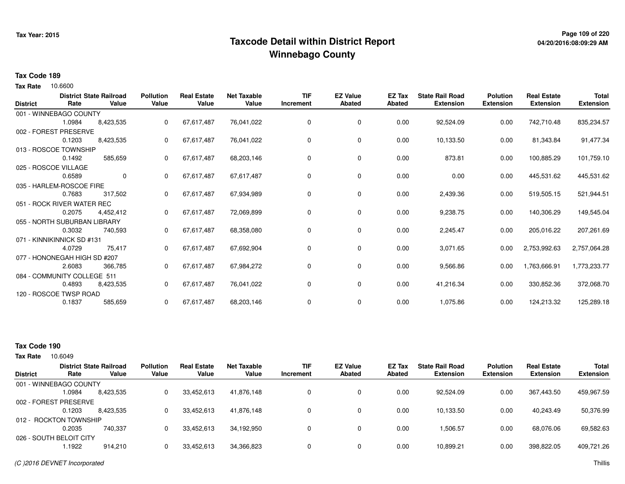## **Page 109 of 220 Taxcode Detail within District ReportWinnebago County**

### **Tax Code 189**

10.6600 **Tax Rate**

| <b>District</b> | Rate                         | <b>District State Railroad</b><br>Value | <b>Pollution</b><br>Value | <b>Real Estate</b><br>Value | <b>Net Taxable</b><br>Value | <b>TIF</b><br>Increment | <b>EZ Value</b><br>Abated | <b>EZ Tax</b><br>Abated | <b>State Rail Road</b><br><b>Extension</b> | <b>Polution</b><br><b>Extension</b> | <b>Real Estate</b><br><b>Extension</b> | <b>Total</b><br><b>Extension</b> |
|-----------------|------------------------------|-----------------------------------------|---------------------------|-----------------------------|-----------------------------|-------------------------|---------------------------|-------------------------|--------------------------------------------|-------------------------------------|----------------------------------------|----------------------------------|
|                 | 001 - WINNEBAGO COUNTY       |                                         |                           |                             |                             |                         |                           |                         |                                            |                                     |                                        |                                  |
|                 | 1.0984                       | 8,423,535                               | 0                         | 67,617,487                  | 76,041,022                  | 0                       | 0                         | 0.00                    | 92,524.09                                  | 0.00                                | 742,710.48                             | 835,234.57                       |
|                 | 002 - FOREST PRESERVE        |                                         |                           |                             |                             |                         |                           |                         |                                            |                                     |                                        |                                  |
|                 | 0.1203                       | 8,423,535                               | 0                         | 67,617,487                  | 76,041,022                  | 0                       | 0                         | 0.00                    | 10,133.50                                  | 0.00                                | 81,343.84                              | 91,477.34                        |
|                 | 013 - ROSCOE TOWNSHIP        |                                         |                           |                             |                             |                         |                           |                         |                                            |                                     |                                        |                                  |
|                 | 0.1492                       | 585,659                                 | 0                         | 67,617,487                  | 68,203,146                  | 0                       | 0                         | 0.00                    | 873.81                                     | 0.00                                | 100,885.29                             | 101,759.10                       |
|                 | 025 - ROSCOE VILLAGE         |                                         |                           |                             |                             |                         |                           |                         |                                            |                                     |                                        |                                  |
|                 | 0.6589                       | $\mathbf 0$                             | $\Omega$                  | 67,617,487                  | 67,617,487                  | 0                       | 0                         | 0.00                    | 0.00                                       | 0.00                                | 445,531.62                             | 445,531.62                       |
|                 | 035 - HARLEM-ROSCOE FIRE     |                                         |                           |                             |                             |                         |                           |                         |                                            |                                     |                                        |                                  |
|                 | 0.7683                       | 317,502                                 | 0                         | 67,617,487                  | 67,934,989                  | 0                       | 0                         | 0.00                    | 2,439.36                                   | 0.00                                | 519,505.15                             | 521,944.51                       |
|                 | 051 - ROCK RIVER WATER REC   |                                         |                           |                             |                             |                         |                           |                         |                                            |                                     |                                        |                                  |
|                 | 0.2075                       | 4,452,412                               | 0                         | 67,617,487                  | 72,069,899                  | 0                       | 0                         | 0.00                    | 9,238.75                                   | 0.00                                | 140,306.29                             | 149,545.04                       |
|                 | 055 - NORTH SUBURBAN LIBRARY |                                         |                           |                             |                             |                         |                           |                         |                                            |                                     |                                        |                                  |
|                 | 0.3032                       | 740,593                                 | 0                         | 67,617,487                  | 68,358,080                  | 0                       | 0                         | 0.00                    | 2,245.47                                   | 0.00                                | 205,016.22                             | 207,261.69                       |
|                 | 071 - KINNIKINNICK SD #131   |                                         |                           |                             |                             |                         |                           |                         |                                            |                                     |                                        |                                  |
|                 | 4.0729                       | 75,417                                  | 0                         | 67,617,487                  | 67,692,904                  | 0                       | 0                         | 0.00                    | 3,071.65                                   | 0.00                                | 2,753,992.63                           | 2,757,064.28                     |
|                 | 077 - HONONEGAH HIGH SD #207 |                                         |                           |                             |                             |                         |                           |                         |                                            |                                     |                                        |                                  |
|                 | 2.6083                       | 366,785                                 | $\Omega$                  | 67,617,487                  | 67,984,272                  | 0                       | 0                         | 0.00                    | 9,566.86                                   | 0.00                                | 1,763,666.91                           | 1,773,233.77                     |
|                 | 084 - COMMUNITY COLLEGE 511  |                                         |                           |                             |                             |                         |                           |                         |                                            |                                     |                                        |                                  |
|                 | 0.4893                       | 8,423,535                               | 0                         | 67,617,487                  | 76,041,022                  | 0                       | 0                         | 0.00                    | 41,216.34                                  | 0.00                                | 330,852.36                             | 372,068.70                       |
|                 | 120 - ROSCOE TWSP ROAD       |                                         |                           |                             |                             |                         |                           |                         |                                            |                                     |                                        |                                  |
|                 | 0.1837                       | 585,659                                 | 0                         | 67,617,487                  | 68,203,146                  | 0                       | 0                         | 0.00                    | 1,075.86                                   | 0.00                                | 124,213.32                             | 125,289.18                       |

### **Tax Code 190**

10.6049 **Tax Rate**

|                         |        | <b>District State Railroad</b> | <b>Pollution</b> | <b>Real Estate</b> | <b>Net Taxable</b> | <b>TIF</b>   | <b>EZ Value</b> | EZ Tax | <b>State Rail Road</b> | <b>Polution</b>  | <b>Real Estate</b> | <b>Total</b>     |
|-------------------------|--------|--------------------------------|------------------|--------------------|--------------------|--------------|-----------------|--------|------------------------|------------------|--------------------|------------------|
| <b>District</b>         | Rate   | Value                          | Value            | Value              | Value              | Increment    | Abated          | Abated | <b>Extension</b>       | <b>Extension</b> | <b>Extension</b>   | <b>Extension</b> |
| 001 - WINNEBAGO COUNTY  |        |                                |                  |                    |                    |              |                 |        |                        |                  |                    |                  |
|                         | .0984  | 8.423.535                      | 0                | 33.452.613         | 41.876.148         | $\mathbf{0}$ | 0               | 0.00   | 92.524.09              | 0.00             | 367.443.50         | 459,967.59       |
| 002 - FOREST PRESERVE   |        |                                |                  |                    |                    |              |                 |        |                        |                  |                    |                  |
|                         | 0.1203 | 8.423.535                      |                  | 33,452,613         | 41.876.148         | 0            | 0               | 0.00   | 10,133.50              | 0.00             | 40,243.49          | 50,376.99        |
| 012 - ROCKTON TOWNSHIP  |        |                                |                  |                    |                    |              |                 |        |                        |                  |                    |                  |
|                         | 0.2035 | 740.337                        |                  | 33,452,613         | 34.192.950         | 0            | 0               | 0.00   | 1,506.57               | 0.00             | 68,076.06          | 69,582.63        |
| 026 - SOUTH BELOIT CITY |        |                                |                  |                    |                    |              |                 |        |                        |                  |                    |                  |
|                         | 1.1922 | 914.210                        |                  | 33,452,613         | 34,366,823         | $\Omega$     | 0               | 0.00   | 10,899.21              | 0.00             | 398,822.05         | 409,721.26       |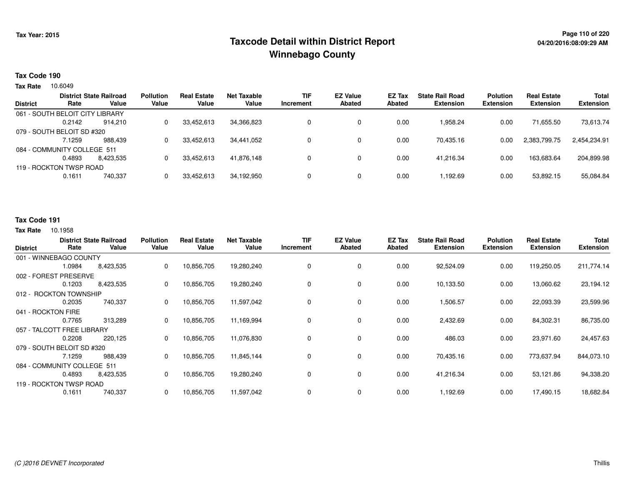## **Page 110 of 220 Taxcode Detail within District ReportWinnebago County**

### **Tax Code 190**

10.6049 **Tax Rate**

|                 |                                 | <b>District State Railroad</b> | <b>Pollution</b> | <b>Real Estate</b> | <b>Net Taxable</b> | <b>TIF</b> | <b>EZ Value</b> | EZ Tax | <b>State Rail Road</b> | <b>Polution</b>  | <b>Real Estate</b> | <b>Total</b>     |
|-----------------|---------------------------------|--------------------------------|------------------|--------------------|--------------------|------------|-----------------|--------|------------------------|------------------|--------------------|------------------|
| <b>District</b> | Rate                            | Value                          | Value            | Value              | Value              | Increment  | <b>Abated</b>   | Abated | <b>Extension</b>       | <b>Extension</b> | <b>Extension</b>   | <b>Extension</b> |
|                 | 061 - SOUTH BELOIT CITY LIBRARY |                                |                  |                    |                    |            |                 |        |                        |                  |                    |                  |
|                 | 0.2142                          | 914.210                        | 0                | 33,452,613         | 34,366,823         |            | 0               | 0.00   | 958.24                 | 0.00             | 71.655.50          | 73,613.74        |
|                 | 079 - SOUTH BELOIT SD #320      |                                |                  |                    |                    |            |                 |        |                        |                  |                    |                  |
|                 | 7.1259                          | 988.439                        |                  | 33,452,613         | 34,441,052         |            |                 | 0.00   | 70,435.16              | 0.00             | 2,383,799.75       | 2,454,234.91     |
|                 | 084 - COMMUNITY COLLEGE 511     |                                |                  |                    |                    |            |                 |        |                        |                  |                    |                  |
|                 | 0.4893                          | 8.423.535                      | 0                | 33.452.613         | 41.876.148         |            |                 | 0.00   | 41.216.34              | 0.00             | 163.683.64         | 204,899.98       |
|                 | 119 - ROCKTON TWSP ROAD         |                                |                  |                    |                    |            |                 |        |                        |                  |                    |                  |
|                 | 0.1611                          | 740,337                        |                  | 33,452,613         | 34,192,950         |            |                 | 0.00   | .192.69                | 0.00             | 53,892.15          | 55,084.84        |
|                 |                                 |                                |                  |                    |                    |            |                 |        |                        |                  |                    |                  |

### **Tax Code 191**

| <b>District</b>    | Rate                        | <b>District State Railroad</b><br>Value | <b>Pollution</b><br>Value | <b>Real Estate</b><br>Value | Net Taxable<br>Value | <b>TIF</b><br>Increment | <b>EZ Value</b><br><b>Abated</b> | EZ Tax<br>Abated | <b>State Rail Road</b><br><b>Extension</b> | <b>Polution</b><br>Extension | <b>Real Estate</b><br><b>Extension</b> | Total<br><b>Extension</b> |
|--------------------|-----------------------------|-----------------------------------------|---------------------------|-----------------------------|----------------------|-------------------------|----------------------------------|------------------|--------------------------------------------|------------------------------|----------------------------------------|---------------------------|
|                    | 001 - WINNEBAGO COUNTY      |                                         |                           |                             |                      |                         |                                  |                  |                                            |                              |                                        |                           |
|                    | 1.0984                      | 8,423,535                               | 0                         | 10,856,705                  | 19,280,240           | 0                       | 0                                | 0.00             | 92,524.09                                  | 0.00                         | 119,250.05                             | 211,774.14                |
|                    | 002 - FOREST PRESERVE       |                                         |                           |                             |                      |                         |                                  |                  |                                            |                              |                                        |                           |
|                    | 0.1203                      | 8,423,535                               | 0                         | 10,856,705                  | 19,280,240           | 0                       | 0                                | 0.00             | 10,133.50                                  | 0.00                         | 13,060.62                              | 23,194.12                 |
|                    | 012 - ROCKTON TOWNSHIP      |                                         |                           |                             |                      |                         |                                  |                  |                                            |                              |                                        |                           |
|                    | 0.2035                      | 740,337                                 | 0                         | 10,856,705                  | 11,597,042           | 0                       | $\mathbf 0$                      | 0.00             | 1,506.57                                   | 0.00                         | 22,093.39                              | 23,599.96                 |
| 041 - ROCKTON FIRE |                             |                                         |                           |                             |                      |                         |                                  |                  |                                            |                              |                                        |                           |
|                    | 0.7765                      | 313,289                                 | 0                         | 10,856,705                  | 11,169,994           | 0                       | $\mathbf 0$                      | 0.00             | 2,432.69                                   | 0.00                         | 84,302.31                              | 86,735.00                 |
|                    | 057 - TALCOTT FREE LIBRARY  |                                         |                           |                             |                      |                         |                                  |                  |                                            |                              |                                        |                           |
|                    | 0.2208                      | 220,125                                 | 0                         | 10,856,705                  | 11,076,830           | 0                       | 0                                | 0.00             | 486.03                                     | 0.00                         | 23,971.60                              | 24,457.63                 |
|                    | 079 - SOUTH BELOIT SD #320  |                                         |                           |                             |                      |                         |                                  |                  |                                            |                              |                                        |                           |
|                    | 7.1259                      | 988,439                                 | 0                         | 10,856,705                  | 11,845,144           | 0                       | 0                                | 0.00             | 70,435.16                                  | 0.00                         | 773,637.94                             | 844,073.10                |
|                    | 084 - COMMUNITY COLLEGE 511 |                                         |                           |                             |                      |                         |                                  |                  |                                            |                              |                                        |                           |
|                    | 0.4893                      | 8,423,535                               | 0                         | 10,856,705                  | 19,280,240           | 0                       | $\mathbf 0$                      | 0.00             | 41,216.34                                  | 0.00                         | 53,121.86                              | 94,338.20                 |
|                    | 119 - ROCKTON TWSP ROAD     |                                         |                           |                             |                      |                         |                                  |                  |                                            |                              |                                        |                           |
|                    | 0.1611                      | 740,337                                 | 0                         | 10,856,705                  | 11,597,042           | 0                       | $\mathbf 0$                      | 0.00             | 1,192.69                                   | 0.00                         | 17.490.15                              | 18,682.84                 |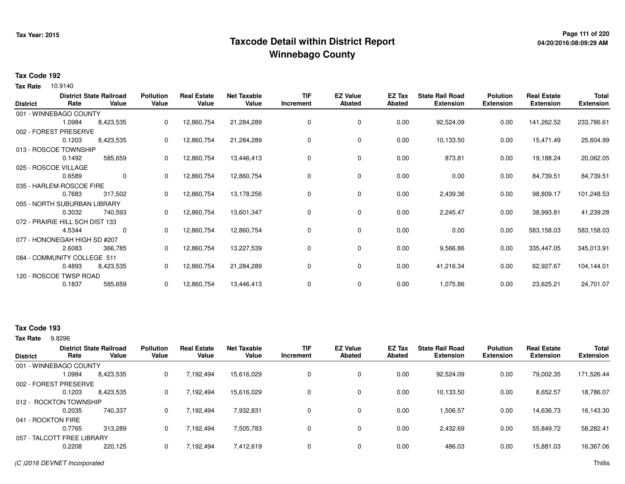## **Page 111 of 220 Taxcode Detail within District ReportWinnebago County**

# **04/20/2016:08:09:29 AM**

#### **Tax Code 192**

**Tax Rate** 10.9140

| <b>District</b> | Rate                            | <b>District State Railroad</b><br>Value | <b>Pollution</b><br>Value | <b>Real Estate</b><br>Value | <b>Net Taxable</b><br>Value | <b>TIF</b><br>Increment | <b>EZ Value</b><br><b>Abated</b> | EZ Tax<br>Abated | <b>State Rail Road</b><br><b>Extension</b> | <b>Polution</b><br><b>Extension</b> | <b>Real Estate</b><br><b>Extension</b> | <b>Total</b><br><b>Extension</b> |
|-----------------|---------------------------------|-----------------------------------------|---------------------------|-----------------------------|-----------------------------|-------------------------|----------------------------------|------------------|--------------------------------------------|-------------------------------------|----------------------------------------|----------------------------------|
|                 | 001 - WINNEBAGO COUNTY          |                                         |                           |                             |                             |                         |                                  |                  |                                            |                                     |                                        |                                  |
|                 | 1.0984                          | 8,423,535                               | 0                         | 12,860,754                  | 21,284,289                  | $\Omega$                | 0                                | 0.00             | 92,524.09                                  | 0.00                                | 141,262.52                             | 233,786.61                       |
|                 | 002 - FOREST PRESERVE           |                                         |                           |                             |                             |                         |                                  |                  |                                            |                                     |                                        |                                  |
|                 | 0.1203                          | 8,423,535                               | 0                         | 12,860,754                  | 21,284,289                  | 0                       | 0                                | 0.00             | 10,133.50                                  | 0.00                                | 15,471.49                              | 25,604.99                        |
|                 | 013 - ROSCOE TOWNSHIP           |                                         |                           |                             |                             |                         |                                  |                  |                                            |                                     |                                        |                                  |
|                 | 0.1492                          | 585,659                                 | 0                         | 12,860,754                  | 13,446,413                  | 0                       | 0                                | 0.00             | 873.81                                     | 0.00                                | 19,188.24                              | 20,062.05                        |
|                 | 025 - ROSCOE VILLAGE            |                                         |                           |                             |                             |                         |                                  |                  |                                            |                                     |                                        |                                  |
|                 | 0.6589                          | 0                                       | $\mathbf{0}$              | 12,860,754                  | 12,860,754                  | 0                       | $\mathbf 0$                      | 0.00             | 0.00                                       | 0.00                                | 84,739.51                              | 84,739.51                        |
|                 | 035 - HARLEM-ROSCOE FIRE        |                                         |                           |                             |                             |                         |                                  |                  |                                            |                                     |                                        |                                  |
|                 | 0.7683                          | 317,502                                 | 0                         | 12,860,754                  | 13,178,256                  | 0                       | 0                                | 0.00             | 2,439.36                                   | 0.00                                | 98,809.17                              | 101,248.53                       |
|                 | 055 - NORTH SUBURBAN LIBRARY    |                                         |                           |                             |                             |                         |                                  |                  |                                            |                                     |                                        |                                  |
|                 | 0.3032                          | 740,593                                 | 0                         | 12,860,754                  | 13,601,347                  | 0                       | 0                                | 0.00             | 2,245.47                                   | 0.00                                | 38,993.81                              | 41,239.28                        |
|                 | 072 - PRAIRIE HILL SCH DIST 133 |                                         |                           |                             |                             |                         |                                  |                  |                                            |                                     |                                        |                                  |
|                 | 4.5344                          | 0                                       | 0                         | 12,860,754                  | 12,860,754                  | 0                       | 0                                | 0.00             | 0.00                                       | 0.00                                | 583,158.03                             | 583,158.03                       |
|                 | 077 - HONONEGAH HIGH SD #207    |                                         |                           |                             |                             |                         |                                  |                  |                                            |                                     |                                        |                                  |
|                 | 2.6083                          | 366,785                                 | 0                         | 12,860,754                  | 13,227,539                  | 0                       | 0                                | 0.00             | 9,566.86                                   | 0.00                                | 335,447.05                             | 345,013.91                       |
|                 | 084 - COMMUNITY COLLEGE 511     |                                         |                           |                             |                             |                         |                                  |                  |                                            |                                     |                                        |                                  |
|                 | 0.4893                          | 8,423,535                               | 0                         | 12,860,754                  | 21,284,289                  | 0                       | 0                                | 0.00             | 41,216.34                                  | 0.00                                | 62,927.67                              | 104,144.01                       |
|                 | 120 - ROSCOE TWSP ROAD          |                                         |                           |                             |                             |                         |                                  |                  |                                            |                                     |                                        |                                  |
|                 | 0.1837                          | 585,659                                 | 0                         | 12,860,754                  | 13,446,413                  | 0                       | 0                                | 0.00             | 1,075.86                                   | 0.00                                | 23,625.21                              | 24,701.07                        |
|                 |                                 |                                         |                           |                             |                             |                         |                                  |                  |                                            |                                     |                                        |                                  |

### **Tax Code 193**

9.8296 **Tax Rate**

| <b>District</b>    | Rate                       | <b>District State Railroad</b><br>Value | <b>Pollution</b><br>Value | <b>Real Estate</b><br>Value | <b>Net Taxable</b><br>Value | TIF<br>Increment | <b>EZ Value</b><br><b>Abated</b> | EZ Tax<br>Abated | <b>State Rail Road</b><br><b>Extension</b> | <b>Polution</b><br><b>Extension</b> | <b>Real Estate</b><br><b>Extension</b> | <b>Total</b><br><b>Extension</b> |
|--------------------|----------------------------|-----------------------------------------|---------------------------|-----------------------------|-----------------------------|------------------|----------------------------------|------------------|--------------------------------------------|-------------------------------------|----------------------------------------|----------------------------------|
|                    | 001 - WINNEBAGO COUNTY     |                                         |                           |                             |                             |                  |                                  |                  |                                            |                                     |                                        |                                  |
|                    | 1.0984                     | 8,423,535                               | 0                         | 7,192,494                   | 15,616,029                  |                  | 0                                | 0.00             | 92,524.09                                  | 0.00                                | 79,002.35                              | 171,526.44                       |
|                    | 002 - FOREST PRESERVE      |                                         |                           |                             |                             |                  |                                  |                  |                                            |                                     |                                        |                                  |
|                    | 0.1203                     | 8,423,535                               | 0                         | 7,192,494                   | 15,616,029                  |                  | 0                                | 0.00             | 10,133.50                                  | 0.00                                | 8,652.57                               | 18,786.07                        |
|                    | 012 - ROCKTON TOWNSHIP     |                                         |                           |                             |                             |                  |                                  |                  |                                            |                                     |                                        |                                  |
|                    | 0.2035                     | 740.337                                 | 0                         | 7.192.494                   | 7,932,831                   |                  | 0                                | 0.00             | 1,506.57                                   | 0.00                                | 14,636.73                              | 16,143.30                        |
| 041 - ROCKTON FIRE |                            |                                         |                           |                             |                             |                  |                                  |                  |                                            |                                     |                                        |                                  |
|                    | 0.7765                     | 313.289                                 | 0                         | 7,192,494                   | 7,505,783                   |                  | 0                                | 0.00             | 2,432.69                                   | 0.00                                | 55,849.72                              | 58,282.41                        |
|                    | 057 - TALCOTT FREE LIBRARY |                                         |                           |                             |                             |                  |                                  |                  |                                            |                                     |                                        |                                  |
|                    | 0.2208                     | 220,125                                 | 0                         | 7,192,494                   | 7,412,619                   |                  | 0                                | 0.00             | 486.03                                     | 0.00                                | 15,881.03                              | 16,367.06                        |
|                    |                            |                                         |                           |                             |                             |                  |                                  |                  |                                            |                                     |                                        |                                  |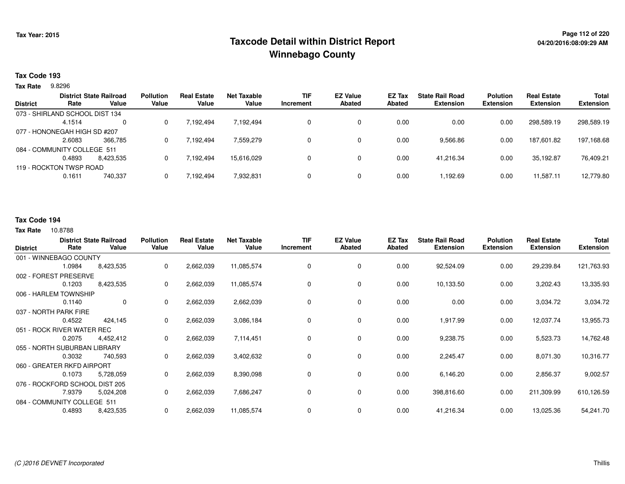## **Page 112 of 220 Taxcode Detail within District ReportWinnebago County**

### **Tax Code 193**

9.8296 **Tax Rate**

| <b>District</b> | Rate                           | <b>District State Railroad</b><br>Value | <b>Pollution</b><br>Value | <b>Real Estate</b><br>Value | Net Taxable<br>Value | <b>TIF</b><br>Increment | <b>EZ Value</b><br><b>Abated</b> | EZ Tax<br>Abated | <b>State Rail Road</b><br><b>Extension</b> | <b>Polution</b><br><b>Extension</b> | <b>Real Estate</b><br><b>Extension</b> | <b>Total</b><br><b>Extension</b> |
|-----------------|--------------------------------|-----------------------------------------|---------------------------|-----------------------------|----------------------|-------------------------|----------------------------------|------------------|--------------------------------------------|-------------------------------------|----------------------------------------|----------------------------------|
|                 |                                |                                         |                           |                             |                      |                         |                                  |                  |                                            |                                     |                                        |                                  |
|                 | 073 - SHIRLAND SCHOOL DIST 134 |                                         |                           |                             |                      |                         |                                  |                  |                                            |                                     |                                        |                                  |
|                 | 4.1514                         | 0                                       |                           | 7.192.494                   | 7,192,494            |                         |                                  | 0.00             | 0.00                                       | 0.00                                | 298,589.19                             | 298,589.19                       |
|                 | 077 - HONONEGAH HIGH SD #207   |                                         |                           |                             |                      |                         |                                  |                  |                                            |                                     |                                        |                                  |
|                 | 2.6083                         | 366.785                                 |                           | 7,192,494                   | 7,559,279            |                         | 0                                | 0.00             | 9,566.86                                   | 0.00                                | 187.601.82                             | 197,168.68                       |
|                 | 084 - COMMUNITY COLLEGE 511    |                                         |                           |                             |                      |                         |                                  |                  |                                            |                                     |                                        |                                  |
|                 | 0.4893                         | 8.423.535                               |                           | 7.192.494                   | 15.616.029           |                         | 0                                | 0.00             | 41.216.34                                  | 0.00                                | 35.192.87                              | 76,409.21                        |
|                 | 119 - ROCKTON TWSP ROAD        |                                         |                           |                             |                      |                         |                                  |                  |                                            |                                     |                                        |                                  |
|                 | 0.1611                         | 740,337                                 |                           | 7,192,494                   | 7,932,831            |                         | 0                                | 0.00             | 1.192.69                                   | 0.00                                | 11,587.11                              | 12,779.80                        |
|                 |                                |                                         |                           |                             |                      |                         |                                  |                  |                                            |                                     |                                        |                                  |

#### **Tax Code 194**

| <b>District</b> | Rate                           | <b>District State Railroad</b><br>Value | <b>Pollution</b><br>Value | <b>Real Estate</b><br>Value | <b>Net Taxable</b><br>Value | <b>TIF</b><br>Increment | <b>EZ Value</b><br><b>Abated</b> | EZ Tax<br><b>Abated</b> | <b>State Rail Road</b><br><b>Extension</b> | <b>Polution</b><br><b>Extension</b> | <b>Real Estate</b><br><b>Extension</b> | Total<br><b>Extension</b> |
|-----------------|--------------------------------|-----------------------------------------|---------------------------|-----------------------------|-----------------------------|-------------------------|----------------------------------|-------------------------|--------------------------------------------|-------------------------------------|----------------------------------------|---------------------------|
|                 | 001 - WINNEBAGO COUNTY         |                                         |                           |                             |                             |                         |                                  |                         |                                            |                                     |                                        |                           |
|                 | 1.0984                         | 8,423,535                               | 0                         | 2,662,039                   | 11,085,574                  | 0                       | $\mathbf 0$                      | 0.00                    | 92,524.09                                  | 0.00                                | 29,239.84                              | 121,763.93                |
|                 | 002 - FOREST PRESERVE          |                                         |                           |                             |                             |                         |                                  |                         |                                            |                                     |                                        |                           |
|                 | 0.1203                         | 8,423,535                               | 0                         | 2,662,039                   | 11,085,574                  | 0                       | 0                                | 0.00                    | 10,133.50                                  | 0.00                                | 3,202.43                               | 13,335.93                 |
|                 | 006 - HARLEM TOWNSHIP          |                                         |                           |                             |                             |                         |                                  |                         |                                            |                                     |                                        |                           |
|                 | 0.1140                         | $\mathbf 0$                             | 0                         | 2,662,039                   | 2,662,039                   | 0                       | 0                                | 0.00                    | 0.00                                       | 0.00                                | 3,034.72                               | 3,034.72                  |
|                 | 037 - NORTH PARK FIRE          |                                         |                           |                             |                             |                         |                                  |                         |                                            |                                     |                                        |                           |
|                 | 0.4522                         | 424,145                                 | 0                         | 2,662,039                   | 3,086,184                   | 0                       | 0                                | 0.00                    | 1,917.99                                   | 0.00                                | 12,037.74                              | 13,955.73                 |
|                 | 051 - ROCK RIVER WATER REC     |                                         |                           |                             |                             |                         |                                  |                         |                                            |                                     |                                        |                           |
|                 | 0.2075                         | 4,452,412                               | 0                         | 2,662,039                   | 7,114,451                   | 0                       | 0                                | 0.00                    | 9,238.75                                   | 0.00                                | 5,523.73                               | 14,762.48                 |
|                 | 055 - NORTH SUBURBAN LIBRARY   |                                         |                           |                             |                             |                         |                                  |                         |                                            |                                     |                                        |                           |
|                 | 0.3032                         | 740,593                                 | 0                         | 2,662,039                   | 3,402,632                   | 0                       | 0                                | 0.00                    | 2,245.47                                   | 0.00                                | 8,071.30                               | 10,316.77                 |
|                 | 060 - GREATER RKFD AIRPORT     |                                         |                           |                             |                             |                         |                                  |                         |                                            |                                     |                                        |                           |
|                 | 0.1073                         | 5,728,059                               | 0                         | 2,662,039                   | 8,390,098                   | 0                       | 0                                | 0.00                    | 6,146.20                                   | 0.00                                | 2,856.37                               | 9,002.57                  |
|                 | 076 - ROCKFORD SCHOOL DIST 205 |                                         |                           |                             |                             |                         |                                  |                         |                                            |                                     |                                        |                           |
|                 | 7.9379                         | 5,024,208                               | 0                         | 2,662,039                   | 7,686,247                   | 0                       | 0                                | 0.00                    | 398,816.60                                 | 0.00                                | 211,309.99                             | 610,126.59                |
|                 | 084 - COMMUNITY COLLEGE 511    |                                         |                           |                             |                             |                         |                                  |                         |                                            |                                     |                                        |                           |
|                 | 0.4893                         | 8,423,535                               | 0                         | 2,662,039                   | 11,085,574                  | 0                       | $\mathbf 0$                      | 0.00                    | 41,216.34                                  | 0.00                                | 13,025.36                              | 54,241.70                 |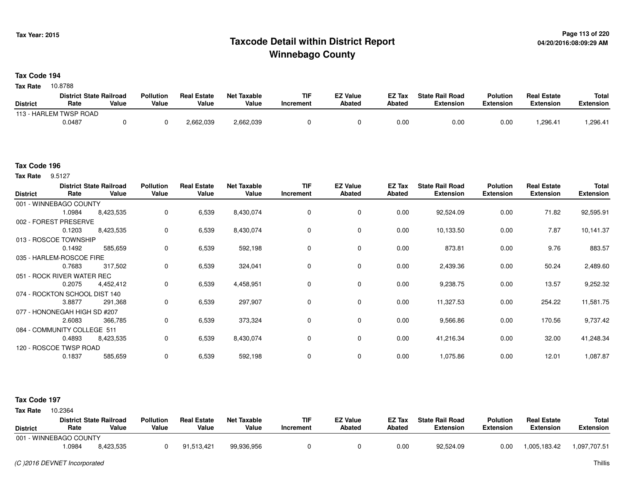### **Page 113 of 220 Taxcode Detail within District ReportWinnebago County**

**Tax Code 194**

Tax Rate 10.8788

|                        | <b>District State Railroad</b> |       | <b>Pollution</b> | <b>Real Estate</b> | Net Taxable | TIF       | <sup>-7</sup> Value | EZ Tax | <b>State Rail Road</b> | <b>Polution</b>  | <b>Real Estate</b> | <b>Total</b>     |
|------------------------|--------------------------------|-------|------------------|--------------------|-------------|-----------|---------------------|--------|------------------------|------------------|--------------------|------------------|
| <b>District</b>        | Rate                           | Value | Value            | Value              | Value       | Increment | <b>Abated</b>       | Abated | <b>Extension</b>       | <b>Extension</b> | <b>Extension</b>   | <b>Extension</b> |
| 113 - HARLEM TWSP ROAD |                                |       |                  |                    |             |           |                     |        |                        |                  |                    |                  |
|                        | 0.0487                         |       |                  | 2,662,039          | 2,662,039   |           |                     | 0.00   | 0.00                   | 0.00             | .296.41            | 1,296.41         |

#### **Tax Code 196**

**Tax Rate** 9.5127

| 001 - WINNEBAGO COUNTY<br>92,524.09<br>6,539<br>8,430,074<br>$\mathbf 0$<br>$\mathbf 0$<br>0.00<br>0.00<br>71.82<br>1.0984<br>8,423,535<br>0<br>002 - FOREST PRESERVE<br>7.87<br>6,539<br>8,430,074<br>0<br>0<br>0.00<br>10,133.50<br>0.00<br>0.1203<br>8,423,535<br>0<br>013 - ROSCOE TOWNSHIP<br>9.76<br>6,539<br>592,198<br>0.00<br>873.81<br>0.00<br>0.1492<br>585,659<br>0<br>0<br>0<br>035 - HARLEM-ROSCOE FIRE<br>317,502<br>6,539<br>324,041<br>$\mathbf 0$<br>$\mathbf 0$<br>0.00<br>2,439.36<br>0.00<br>50.24<br>0.7683<br>0<br>051 - ROCK RIVER WATER REC<br>13.57<br>6,539<br>4,458,951<br>0<br>$\mathbf 0$<br>0.00<br>9,238.75<br>0.00<br>0.2075<br>4,452,412<br>0<br>074 - ROCKTON SCHOOL DIST 140<br>297,907<br>6,539<br>0<br>0.00<br>11,327.53<br>0.00<br>254.22<br>3.8877<br>0<br>291,368<br>0 | 92,595.91 |
|-----------------------------------------------------------------------------------------------------------------------------------------------------------------------------------------------------------------------------------------------------------------------------------------------------------------------------------------------------------------------------------------------------------------------------------------------------------------------------------------------------------------------------------------------------------------------------------------------------------------------------------------------------------------------------------------------------------------------------------------------------------------------------------------------------------------|-----------|
|                                                                                                                                                                                                                                                                                                                                                                                                                                                                                                                                                                                                                                                                                                                                                                                                                 |           |
|                                                                                                                                                                                                                                                                                                                                                                                                                                                                                                                                                                                                                                                                                                                                                                                                                 |           |
|                                                                                                                                                                                                                                                                                                                                                                                                                                                                                                                                                                                                                                                                                                                                                                                                                 |           |
|                                                                                                                                                                                                                                                                                                                                                                                                                                                                                                                                                                                                                                                                                                                                                                                                                 | 10,141.37 |
|                                                                                                                                                                                                                                                                                                                                                                                                                                                                                                                                                                                                                                                                                                                                                                                                                 |           |
|                                                                                                                                                                                                                                                                                                                                                                                                                                                                                                                                                                                                                                                                                                                                                                                                                 | 883.57    |
|                                                                                                                                                                                                                                                                                                                                                                                                                                                                                                                                                                                                                                                                                                                                                                                                                 |           |
|                                                                                                                                                                                                                                                                                                                                                                                                                                                                                                                                                                                                                                                                                                                                                                                                                 | 2,489.60  |
|                                                                                                                                                                                                                                                                                                                                                                                                                                                                                                                                                                                                                                                                                                                                                                                                                 |           |
|                                                                                                                                                                                                                                                                                                                                                                                                                                                                                                                                                                                                                                                                                                                                                                                                                 | 9,252.32  |
|                                                                                                                                                                                                                                                                                                                                                                                                                                                                                                                                                                                                                                                                                                                                                                                                                 |           |
|                                                                                                                                                                                                                                                                                                                                                                                                                                                                                                                                                                                                                                                                                                                                                                                                                 | 11,581.75 |
| 077 - HONONEGAH HIGH SD #207                                                                                                                                                                                                                                                                                                                                                                                                                                                                                                                                                                                                                                                                                                                                                                                    |           |
| 6,539<br>373,324<br>$\mathbf 0$<br>$\mathbf 0$<br>0.00<br>170.56<br>366,785<br>9,566.86<br>0.00<br>2.6083<br>0                                                                                                                                                                                                                                                                                                                                                                                                                                                                                                                                                                                                                                                                                                  | 9,737.42  |
| 084 - COMMUNITY COLLEGE 511                                                                                                                                                                                                                                                                                                                                                                                                                                                                                                                                                                                                                                                                                                                                                                                     |           |
| 6,539<br>8,430,074<br>$\mathbf 0$<br>0.00<br>0.00<br>32.00<br>0.4893<br>0<br>41,216.34<br>8,423,535<br>0                                                                                                                                                                                                                                                                                                                                                                                                                                                                                                                                                                                                                                                                                                        | 41,248.34 |
| 120 - ROSCOE TWSP ROAD                                                                                                                                                                                                                                                                                                                                                                                                                                                                                                                                                                                                                                                                                                                                                                                          |           |
| 6,539<br>592,198<br>0<br>$\mathbf 0$<br>0.00<br>1,075.86<br>1,087.87<br>0.1837<br>585,659<br>0<br>0.00<br>12.01                                                                                                                                                                                                                                                                                                                                                                                                                                                                                                                                                                                                                                                                                                 |           |

#### **Tax Code 197**

**State Railroad District ValueTIF IncrementEZ Value AbatedReal Estate ExtensionTotal ExtensionTax Rate** 10.2364 **DistrictPollution ValueReal Estate ValueNet Taxable Value Rate** 001 - WINNEBAGO COUNTY**Polution ExtensionState Rail Road ExtensionEZ Tax Abated**1,005,183.42 1,097,707.518,423,535 1.09848,423,535 <sup>0</sup> 91,513,421 99,936,956 <sup>0</sup> <sup>0</sup> 0.00 92,524.09 0.00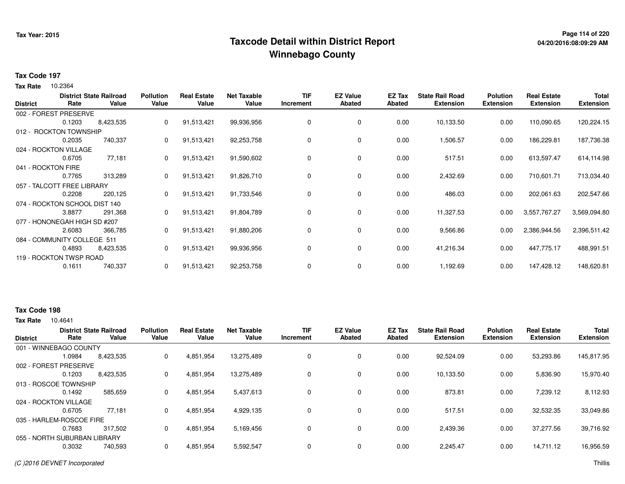## **Page 114 of 220 Taxcode Detail within District ReportWinnebago County**

#### **Tax Code 197**

10.2364 **Tax Rate**

| <b>District</b> | Rate                          | <b>District State Railroad</b><br>Value | <b>Pollution</b><br>Value | <b>Real Estate</b><br>Value | <b>Net Taxable</b><br>Value | <b>TIF</b><br>Increment | <b>EZ Value</b><br>Abated | EZ Tax<br>Abated | <b>State Rail Road</b><br><b>Extension</b> | <b>Polution</b><br><b>Extension</b> | <b>Real Estate</b><br><b>Extension</b> | <b>Total</b><br><b>Extension</b> |
|-----------------|-------------------------------|-----------------------------------------|---------------------------|-----------------------------|-----------------------------|-------------------------|---------------------------|------------------|--------------------------------------------|-------------------------------------|----------------------------------------|----------------------------------|
|                 | 002 - FOREST PRESERVE         |                                         |                           |                             |                             |                         |                           |                  |                                            |                                     |                                        |                                  |
|                 | 0.1203                        | 8,423,535                               | $\mathbf{0}$              | 91,513,421                  | 99,936,956                  | 0                       | 0                         | 0.00             | 10,133.50                                  | 0.00                                | 110,090.65                             | 120,224.15                       |
|                 | 012 - ROCKTON TOWNSHIP        |                                         |                           |                             |                             |                         |                           |                  |                                            |                                     |                                        |                                  |
|                 | 0.2035                        | 740,337                                 | 0                         | 91,513,421                  | 92,253,758                  | 0                       | 0                         | 0.00             | 1,506.57                                   | 0.00                                | 186,229.81                             | 187,736.38                       |
|                 | 024 - ROCKTON VILLAGE         |                                         |                           |                             |                             |                         |                           |                  |                                            |                                     |                                        |                                  |
|                 | 0.6705                        | 77,181                                  | 0                         | 91,513,421                  | 91,590,602                  | 0                       | 0                         | 0.00             | 517.51                                     | 0.00                                | 613,597.47                             | 614,114.98                       |
|                 | 041 - ROCKTON FIRE            |                                         |                           |                             |                             |                         |                           |                  |                                            |                                     |                                        |                                  |
|                 | 0.7765                        | 313,289                                 | 0                         | 91,513,421                  | 91,826,710                  | 0                       | 0                         | 0.00             | 2,432.69                                   | 0.00                                | 710,601.71                             | 713,034.40                       |
|                 | 057 - TALCOTT FREE LIBRARY    |                                         |                           |                             |                             |                         |                           |                  |                                            |                                     |                                        |                                  |
|                 | 0.2208                        | 220,125                                 | 0                         | 91,513,421                  | 91,733,546                  | 0                       | 0                         | 0.00             | 486.03                                     | 0.00                                | 202,061.63                             | 202,547.66                       |
|                 | 074 - ROCKTON SCHOOL DIST 140 |                                         |                           |                             |                             |                         |                           |                  |                                            |                                     |                                        |                                  |
|                 | 3.8877                        | 291,368                                 | 0                         | 91,513,421                  | 91,804,789                  | 0                       | 0                         | 0.00             | 11,327.53                                  | 0.00                                | 3,557,767.27                           | 3,569,094.80                     |
|                 | 077 - HONONEGAH HIGH SD #207  |                                         |                           |                             |                             |                         |                           |                  |                                            |                                     |                                        |                                  |
|                 | 2.6083                        | 366,785                                 | 0                         | 91,513,421                  | 91,880,206                  | 0                       | 0                         | 0.00             | 9,566.86                                   | 0.00                                | 2,386,944.56                           | 2,396,511.42                     |
|                 | 084 - COMMUNITY COLLEGE 511   |                                         |                           |                             |                             |                         |                           |                  |                                            |                                     |                                        |                                  |
|                 | 0.4893                        | 8,423,535                               | 0                         | 91,513,421                  | 99,936,956                  | 0                       | 0                         | 0.00             | 41,216.34                                  | 0.00                                | 447,775.17                             | 488,991.51                       |
|                 | 119 - ROCKTON TWSP ROAD       |                                         |                           |                             |                             |                         |                           |                  |                                            |                                     |                                        |                                  |
|                 | 0.1611                        | 740,337                                 | 0                         | 91,513,421                  | 92,253,758                  | 0                       | 0                         | 0.00             | 1,192.69                                   | 0.00                                | 147,428.12                             | 148,620.81                       |

### **Tax Code 198**

|                              |        | <b>District State Railroad</b> | <b>Pollution</b> | <b>Real Estate</b> | <b>Net Taxable</b> | TIF       | <b>EZ Value</b> | EZ Tax        | <b>State Rail Road</b> | <b>Polution</b>  | <b>Real Estate</b> | <b>Total</b>     |
|------------------------------|--------|--------------------------------|------------------|--------------------|--------------------|-----------|-----------------|---------------|------------------------|------------------|--------------------|------------------|
| <b>District</b>              | Rate   | Value                          | Value            | Value              | Value              | Increment | <b>Abated</b>   | <b>Abated</b> | <b>Extension</b>       | <b>Extension</b> | <b>Extension</b>   | <b>Extension</b> |
| 001 - WINNEBAGO COUNTY       |        |                                |                  |                    |                    |           |                 |               |                        |                  |                    |                  |
|                              | 1.0984 | 8,423,535                      | 0                | 4,851,954          | 13,275,489         |           | $\mathbf 0$     | 0.00          | 92,524.09              | 0.00             | 53,293.86          | 145,817.95       |
| 002 - FOREST PRESERVE        |        |                                |                  |                    |                    |           |                 |               |                        |                  |                    |                  |
|                              | 0.1203 | 8,423,535                      | 0                | 4,851,954          | 13.275.489         |           | $\mathbf 0$     | 0.00          | 10,133.50              | 0.00             | 5,836.90           | 15,970.40        |
| 013 - ROSCOE TOWNSHIP        |        |                                |                  |                    |                    |           |                 |               |                        |                  |                    |                  |
|                              | 0.1492 | 585,659                        | 0                | 4,851,954          | 5,437,613          |           | 0               | 0.00          | 873.81                 | 0.00             | 7,239.12           | 8,112.93         |
| 024 - ROCKTON VILLAGE        |        |                                |                  |                    |                    |           |                 |               |                        |                  |                    |                  |
|                              | 0.6705 | 77.181                         | 0                | 4,851,954          | 4,929,135          |           | $\mathbf 0$     | 0.00          | 517.51                 | 0.00             | 32,532.35          | 33,049.86        |
| 035 - HARLEM-ROSCOE FIRE     |        |                                |                  |                    |                    |           |                 |               |                        |                  |                    |                  |
|                              | 0.7683 | 317.502                        | 0                | 4,851,954          | 5,169,456          |           | $\mathbf 0$     | 0.00          | 2,439.36               | 0.00             | 37.277.56          | 39,716.92        |
| 055 - NORTH SUBURBAN LIBRARY |        |                                |                  |                    |                    |           |                 |               |                        |                  |                    |                  |
|                              | 0.3032 | 740,593                        | $\Omega$         | 4,851,954          | 5,592,547          |           | $\mathbf 0$     | 0.00          | 2,245.47               | 0.00             | 14,711.12          | 16,956.59        |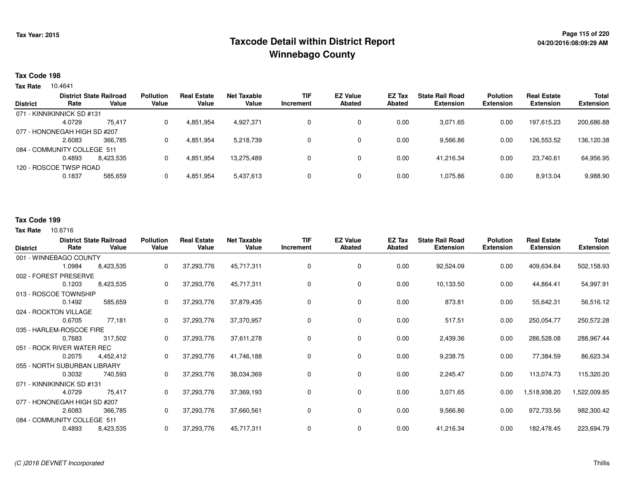## **Page 115 of 220 Taxcode Detail within District ReportWinnebago County**

#### **Tax Code 198**

**Tax Rate** 10.4641

|                 |                              | <b>District State Railroad</b> | <b>Pollution</b> | <b>Real Estate</b> | <b>Net Taxable</b> | TIF       | <b>EZ Value</b> | EZ Tax | <b>State Rail Road</b> | <b>Polution</b> | <b>Real Estate</b> | Total            |
|-----------------|------------------------------|--------------------------------|------------------|--------------------|--------------------|-----------|-----------------|--------|------------------------|-----------------|--------------------|------------------|
| <b>District</b> | Rate                         | Value                          | Value            | Value              | Value              | Increment | <b>Abated</b>   | Abated | <b>Extension</b>       | Extension       | <b>Extension</b>   | <b>Extension</b> |
|                 | 071 - KINNIKINNICK SD #131   |                                |                  |                    |                    |           |                 |        |                        |                 |                    |                  |
|                 | 4.0729                       | 75,417                         |                  | 4,851,954          | 4,927,371          |           | 0               | 0.00   | 3,071.65               | 0.00            | 197.615.23         | 200,686.88       |
|                 | 077 - HONONEGAH HIGH SD #207 |                                |                  |                    |                    |           |                 |        |                        |                 |                    |                  |
|                 | 2.6083                       | 366.785                        |                  | 4,851,954          | 5,218,739          |           | 0               | 0.00   | 9,566.86               | 0.00            | 126,553.52         | 136,120.38       |
|                 | 084 - COMMUNITY COLLEGE 511  |                                |                  |                    |                    |           |                 |        |                        |                 |                    |                  |
|                 | 0.4893                       | 8.423.535                      |                  | 4,851,954          | 13.275.489         |           | 0               | 0.00   | 41.216.34              | 0.00            | 23.740.61          | 64,956.95        |
|                 | 120 - ROSCOE TWSP ROAD       |                                |                  |                    |                    |           |                 |        |                        |                 |                    |                  |
|                 | 0.1837                       | 585,659                        |                  | 4,851,954          | 5,437,613          |           | 0               | 0.00   | 1.075.86               | 0.00            | 8,913.04           | 9,988.90         |
|                 |                              |                                |                  |                    |                    |           |                 |        |                        |                 |                    |                  |

### **Tax Code 199**

| <b>District</b>             | Rate                         | <b>District State Railroad</b><br>Value | <b>Pollution</b><br>Value | <b>Real Estate</b><br>Value | <b>Net Taxable</b><br>Value | <b>TIF</b><br>Increment | <b>EZ Value</b><br><b>Abated</b> | <b>EZ Tax</b><br>Abated | <b>State Rail Road</b><br><b>Extension</b> | <b>Polution</b><br><b>Extension</b> | <b>Real Estate</b><br><b>Extension</b> | Total<br><b>Extension</b> |
|-----------------------------|------------------------------|-----------------------------------------|---------------------------|-----------------------------|-----------------------------|-------------------------|----------------------------------|-------------------------|--------------------------------------------|-------------------------------------|----------------------------------------|---------------------------|
|                             | 001 - WINNEBAGO COUNTY       |                                         |                           |                             |                             |                         |                                  |                         |                                            |                                     |                                        |                           |
|                             | 1.0984                       | 8,423,535                               | 0                         | 37,293,776                  | 45,717,311                  | 0                       | 0                                | 0.00                    | 92,524.09                                  | 0.00                                | 409,634.84                             | 502,158.93                |
|                             | 002 - FOREST PRESERVE        |                                         |                           |                             |                             |                         |                                  |                         |                                            |                                     |                                        |                           |
|                             | 0.1203                       | 8,423,535                               | 0                         | 37,293,776                  | 45,717,311                  | 0                       | 0                                | 0.00                    | 10,133.50                                  | 0.00                                | 44,864.41                              | 54,997.91                 |
|                             | 013 - ROSCOE TOWNSHIP        |                                         |                           |                             |                             |                         |                                  |                         |                                            |                                     |                                        |                           |
|                             | 0.1492                       | 585,659                                 | 0                         | 37,293,776                  | 37,879,435                  | 0                       | 0                                | 0.00                    | 873.81                                     | 0.00                                | 55,642.31                              | 56,516.12                 |
|                             | 024 - ROCKTON VILLAGE        |                                         |                           |                             |                             |                         |                                  |                         |                                            |                                     |                                        |                           |
|                             | 0.6705                       | 77,181                                  | 0                         | 37,293,776                  | 37,370,957                  | 0                       | 0                                | 0.00                    | 517.51                                     | 0.00                                | 250,054.77                             | 250,572.28                |
| 035 - HARLEM-ROSCOE FIRE    |                              |                                         |                           |                             |                             |                         |                                  |                         |                                            |                                     |                                        |                           |
|                             | 0.7683                       | 317,502                                 | 0                         | 37,293,776                  | 37,611,278                  | 0                       | 0                                | 0.00                    | 2,439.36                                   | 0.00                                | 286,528.08                             | 288,967.44                |
|                             | 051 - ROCK RIVER WATER REC   |                                         |                           |                             |                             |                         |                                  |                         |                                            |                                     |                                        |                           |
|                             | 0.2075                       | 4,452,412                               | 0                         | 37,293,776                  | 41,746,188                  | 0                       | 0                                | 0.00                    | 9,238.75                                   | 0.00                                | 77,384.59                              | 86,623.34                 |
|                             | 055 - NORTH SUBURBAN LIBRARY |                                         |                           |                             |                             |                         |                                  |                         |                                            |                                     |                                        |                           |
|                             | 0.3032                       | 740,593                                 | 0                         | 37,293,776                  | 38,034,369                  | 0                       | 0                                | 0.00                    | 2,245.47                                   | 0.00                                | 113,074.73                             | 115,320.20                |
|                             | 071 - KINNIKINNICK SD #131   |                                         |                           |                             |                             |                         |                                  |                         |                                            |                                     |                                        |                           |
|                             | 4.0729                       | 75,417                                  | 0                         | 37,293,776                  | 37,369,193                  | 0                       | 0                                | 0.00                    | 3,071.65                                   | 0.00                                | 1,518,938.20                           | 1,522,009.85              |
|                             | 077 - HONONEGAH HIGH SD #207 |                                         |                           |                             |                             |                         |                                  |                         |                                            |                                     |                                        |                           |
|                             | 2.6083                       | 366,785                                 | 0                         | 37,293,776                  | 37,660,561                  | 0                       | 0                                | 0.00                    | 9,566.86                                   | 0.00                                | 972,733.56                             | 982,300.42                |
| 084 - COMMUNITY COLLEGE 511 |                              |                                         |                           |                             |                             |                         |                                  |                         |                                            |                                     |                                        |                           |
|                             | 0.4893                       | 8,423,535                               | 0                         | 37,293,776                  | 45,717,311                  | 0                       | 0                                | 0.00                    | 41,216.34                                  | 0.00                                | 182,478.45                             | 223,694.79                |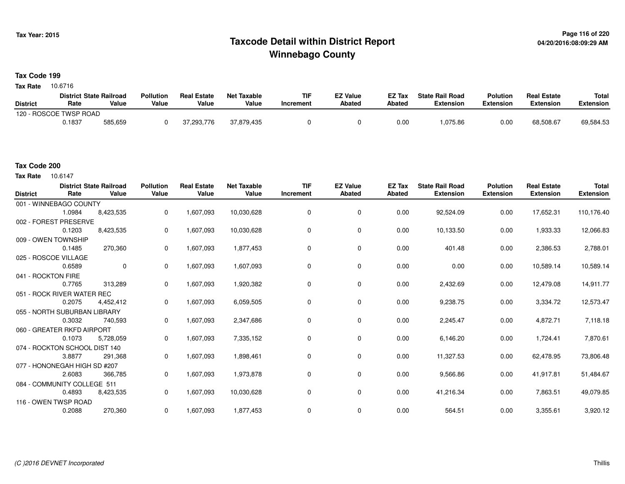## **Page 116 of 220 Taxcode Detail within District ReportWinnebago County**

### **Tax Code 199**

**Tax Rate** 10.6716

|                 | <b>District State Railroad</b> |         | <b>Pollution</b> | <b>Real Estate</b> | Net Taxable | TIF       | <b>EZ Value</b> | <b>EZ Tax</b> | <b>State Rail Road</b> | <b>Polution</b>  | <b>Real Estate</b> | <b>Total</b> |
|-----------------|--------------------------------|---------|------------------|--------------------|-------------|-----------|-----------------|---------------|------------------------|------------------|--------------------|--------------|
| <b>District</b> | Rate                           | Value   | Value            | Value              | Value       | Increment | <b>Abated</b>   | Abated        | <b>Extension</b>       | <b>Extension</b> | <b>Extension</b>   | Extension    |
|                 | 120 - ROSCOE TWSP ROAD         |         |                  |                    |             |           |                 |               |                        |                  |                    |              |
|                 | 0.1837                         | 585,659 |                  | 37.293.776         | 37.879.435  |           |                 | 0.00          | 1,075.86               | 0.00             | 68.508.67          | 69,584.53    |

### **Tax Code 200**

10.6147 **Tax Rate**

| <b>District</b>    | Rate                          | <b>District State Railroad</b><br>Value | <b>Pollution</b><br>Value | <b>Real Estate</b><br>Value | <b>Net Taxable</b><br>Value | <b>TIF</b><br>Increment | <b>EZ Value</b><br><b>Abated</b> | <b>EZ Tax</b><br><b>Abated</b> | <b>State Rail Road</b><br><b>Extension</b> | <b>Polution</b><br><b>Extension</b> | <b>Real Estate</b><br><b>Extension</b> | <b>Total</b><br><b>Extension</b> |
|--------------------|-------------------------------|-----------------------------------------|---------------------------|-----------------------------|-----------------------------|-------------------------|----------------------------------|--------------------------------|--------------------------------------------|-------------------------------------|----------------------------------------|----------------------------------|
|                    | 001 - WINNEBAGO COUNTY        |                                         |                           |                             |                             |                         |                                  |                                |                                            |                                     |                                        |                                  |
|                    | 1.0984                        | 8,423,535                               | 0                         | 1,607,093                   | 10,030,628                  | 0                       | 0                                | 0.00                           | 92,524.09                                  | 0.00                                | 17,652.31                              | 110,176.40                       |
|                    | 002 - FOREST PRESERVE         |                                         |                           |                             |                             |                         |                                  |                                |                                            |                                     |                                        |                                  |
|                    | 0.1203                        | 8,423,535                               | 0                         | 1,607,093                   | 10,030,628                  | 0                       | 0                                | 0.00                           | 10,133.50                                  | 0.00                                | 1,933.33                               | 12,066.83                        |
|                    | 009 - OWEN TOWNSHIP           |                                         |                           |                             |                             |                         |                                  |                                |                                            |                                     |                                        |                                  |
|                    | 0.1485                        | 270,360                                 | 0                         | 1,607,093                   | 1,877,453                   | $\Omega$                | $\mathbf 0$                      | 0.00                           | 401.48                                     | 0.00                                | 2,386.53                               | 2,788.01                         |
|                    | 025 - ROSCOE VILLAGE          |                                         |                           |                             |                             |                         |                                  |                                |                                            |                                     |                                        |                                  |
|                    | 0.6589                        | $\mathbf 0$                             | $\mathbf 0$               | 1,607,093                   | 1,607,093                   | $\Omega$                | 0                                | 0.00                           | 0.00                                       | 0.00                                | 10,589.14                              | 10,589.14                        |
| 041 - ROCKTON FIRE |                               |                                         |                           |                             |                             |                         |                                  |                                |                                            |                                     |                                        |                                  |
|                    | 0.7765                        | 313,289                                 | 0                         | 1,607,093                   | 1,920,382                   | 0                       | 0                                | 0.00                           | 2,432.69                                   | 0.00                                | 12,479.08                              | 14,911.77                        |
|                    | 051 - ROCK RIVER WATER REC    |                                         |                           |                             |                             |                         |                                  |                                |                                            |                                     |                                        |                                  |
|                    | 0.2075                        | 4,452,412                               | 0                         | 1,607,093                   | 6,059,505                   | 0                       | 0                                | 0.00                           | 9,238.75                                   | 0.00                                | 3,334.72                               | 12,573.47                        |
|                    | 055 - NORTH SUBURBAN LIBRARY  |                                         |                           |                             |                             |                         |                                  |                                |                                            |                                     |                                        |                                  |
|                    | 0.3032                        | 740,593                                 | 0                         | 1,607,093                   | 2,347,686                   | 0                       | $\mathbf 0$                      | 0.00                           | 2,245.47                                   | 0.00                                | 4,872.71                               | 7,118.18                         |
|                    | 060 - GREATER RKFD AIRPORT    |                                         |                           |                             |                             |                         |                                  |                                |                                            |                                     |                                        |                                  |
|                    | 0.1073                        | 5,728,059                               | 0                         | 1,607,093                   | 7,335,152                   | 0                       | 0                                | 0.00                           | 6,146.20                                   | 0.00                                | 1,724.41                               | 7,870.61                         |
|                    | 074 - ROCKTON SCHOOL DIST 140 |                                         |                           |                             |                             |                         |                                  |                                |                                            |                                     |                                        |                                  |
|                    | 3.8877                        | 291,368                                 | 0                         | 1,607,093                   | 1,898,461                   | $\mathbf 0$             | 0                                | 0.00                           | 11,327.53                                  | 0.00                                | 62,478.95                              | 73,806.48                        |
|                    | 077 - HONONEGAH HIGH SD #207  |                                         |                           |                             |                             |                         |                                  |                                |                                            |                                     |                                        |                                  |
|                    | 2.6083                        | 366,785                                 | 0                         | 1,607,093                   | 1,973,878                   | 0                       | 0                                | 0.00                           | 9,566.86                                   | 0.00                                | 41,917.81                              | 51,484.67                        |
|                    | 084 - COMMUNITY COLLEGE 511   |                                         |                           |                             |                             |                         |                                  |                                |                                            |                                     |                                        |                                  |
|                    | 0.4893                        | 8,423,535                               | 0                         | 1,607,093                   | 10,030,628                  | 0                       | 0                                | 0.00                           | 41,216.34                                  | 0.00                                | 7,863.51                               | 49,079.85                        |
|                    | 116 - OWEN TWSP ROAD          |                                         |                           |                             |                             |                         |                                  |                                |                                            |                                     |                                        |                                  |
|                    | 0.2088                        | 270,360                                 | 0                         | 1,607,093                   | 1,877,453                   | 0                       | 0                                | 0.00                           | 564.51                                     | 0.00                                | 3,355.61                               | 3,920.12                         |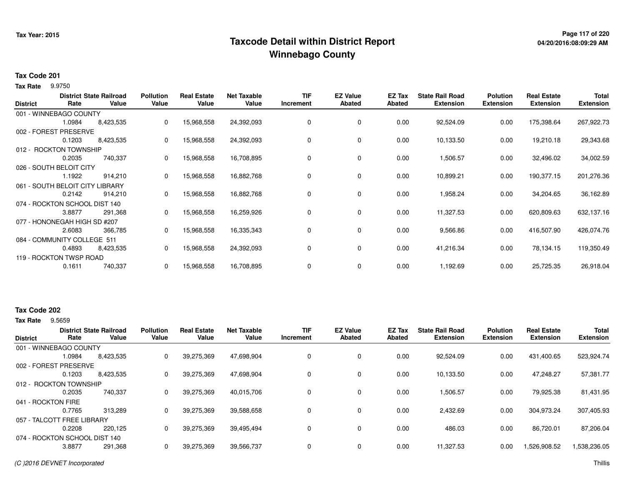## **Page 117 of 220 Taxcode Detail within District ReportWinnebago County**

### **Tax Code 201**

9.9750 **Tax Rate**

| <b>District</b> | Rate                          | <b>District State Railroad</b><br>Value | <b>Pollution</b><br>Value | <b>Real Estate</b><br>Value | <b>Net Taxable</b><br>Value | <b>TIF</b><br>Increment | <b>EZ Value</b><br><b>Abated</b> | EZ Tax<br><b>Abated</b> | <b>State Rail Road</b><br><b>Extension</b> | <b>Polution</b><br><b>Extension</b> | <b>Real Estate</b><br><b>Extension</b> | <b>Total</b><br><b>Extension</b> |
|-----------------|-------------------------------|-----------------------------------------|---------------------------|-----------------------------|-----------------------------|-------------------------|----------------------------------|-------------------------|--------------------------------------------|-------------------------------------|----------------------------------------|----------------------------------|
|                 | 001 - WINNEBAGO COUNTY        |                                         |                           |                             |                             |                         |                                  |                         |                                            |                                     |                                        |                                  |
|                 | 1.0984                        | 8,423,535                               | 0                         | 15,968,558                  | 24,392,093                  | 0                       | 0                                | 0.00                    | 92,524.09                                  | 0.00                                | 175,398.64                             | 267,922.73                       |
|                 | 002 - FOREST PRESERVE         |                                         |                           |                             |                             |                         |                                  |                         |                                            |                                     |                                        |                                  |
|                 | 0.1203                        | 8,423,535                               | 0                         | 15,968,558                  | 24,392,093                  | 0                       | 0                                | 0.00                    | 10,133.50                                  | 0.00                                | 19,210.18                              | 29,343.68                        |
|                 | 012 - ROCKTON TOWNSHIP        |                                         |                           |                             |                             |                         |                                  |                         |                                            |                                     |                                        |                                  |
|                 | 0.2035                        | 740,337                                 | 0                         | 15,968,558                  | 16,708,895                  | 0                       | 0                                | 0.00                    | 1,506.57                                   | 0.00                                | 32,496.02                              | 34,002.59                        |
|                 | 026 - SOUTH BELOIT CITY       |                                         |                           |                             |                             |                         |                                  |                         |                                            |                                     |                                        |                                  |
|                 | 1.1922                        | 914,210                                 | 0                         | 15,968,558                  | 16,882,768                  | 0                       | 0                                | 0.00                    | 10,899.21                                  | 0.00                                | 190,377.15                             | 201,276.36                       |
|                 | 061 - SOUTH BELOIT CITY       | LIBRARY.                                |                           |                             |                             |                         |                                  |                         |                                            |                                     |                                        |                                  |
|                 | 0.2142                        | 914,210                                 | 0                         | 15,968,558                  | 16,882,768                  | 0                       | 0                                | 0.00                    | 1,958.24                                   | 0.00                                | 34,204.65                              | 36,162.89                        |
|                 | 074 - ROCKTON SCHOOL DIST 140 |                                         |                           |                             |                             |                         |                                  |                         |                                            |                                     |                                        |                                  |
|                 | 3.8877                        | 291,368                                 | 0                         | 15,968,558                  | 16,259,926                  | 0                       | 0                                | 0.00                    | 11,327.53                                  | 0.00                                | 620,809.63                             | 632,137.16                       |
|                 | 077 - HONONEGAH HIGH SD #207  |                                         |                           |                             |                             |                         |                                  |                         |                                            |                                     |                                        |                                  |
|                 | 2.6083                        | 366,785                                 | 0                         | 15,968,558                  | 16,335,343                  | 0                       | 0                                | 0.00                    | 9,566.86                                   | 0.00                                | 416,507.90                             | 426,074.76                       |
|                 | 084 - COMMUNITY COLLEGE 511   |                                         |                           |                             |                             |                         |                                  |                         |                                            |                                     |                                        |                                  |
|                 | 0.4893                        | 8,423,535                               | 0                         | 15,968,558                  | 24,392,093                  | 0                       | 0                                | 0.00                    | 41,216.34                                  | 0.00                                | 78,134.15                              | 119,350.49                       |
|                 | 119 - ROCKTON TWSP ROAD       |                                         |                           |                             |                             |                         |                                  |                         |                                            |                                     |                                        |                                  |
|                 | 0.1611                        | 740,337                                 | 0                         | 15,968,558                  | 16,708,895                  | 0                       | 0                                | 0.00                    | 1,192.69                                   | 0.00                                | 25,725.35                              | 26,918.04                        |

### **Tax Code 202**

**Tax Rate** 9.5659

| <b>District</b>               | Rate   | <b>District State Railroad</b><br>Value | <b>Pollution</b><br>Value | <b>Real Estate</b><br>Value | <b>Net Taxable</b><br>Value | <b>TIF</b><br>Increment | <b>EZ Value</b><br>Abated | <b>EZ Tax</b><br>Abated | <b>State Rail Road</b><br><b>Extension</b> | <b>Polution</b><br><b>Extension</b> | <b>Real Estate</b><br><b>Extension</b> | <b>Total</b><br><b>Extension</b> |
|-------------------------------|--------|-----------------------------------------|---------------------------|-----------------------------|-----------------------------|-------------------------|---------------------------|-------------------------|--------------------------------------------|-------------------------------------|----------------------------------------|----------------------------------|
| 001 - WINNEBAGO COUNTY        |        |                                         |                           |                             |                             |                         |                           |                         |                                            |                                     |                                        |                                  |
|                               | 1.0984 | 8,423,535                               | 0                         | 39,275,369                  | 47.698.904                  | 0                       | 0                         | 0.00                    | 92,524.09                                  | 0.00                                | 431,400.65                             | 523,924.74                       |
| 002 - FOREST PRESERVE         |        |                                         |                           |                             |                             |                         |                           |                         |                                            |                                     |                                        |                                  |
|                               | 0.1203 | 8,423,535                               | 0                         | 39,275,369                  | 47,698,904                  | 0                       | 0                         | 0.00                    | 10.133.50                                  | 0.00                                | 47.248.27                              | 57,381.77                        |
| 012 - ROCKTON TOWNSHIP        |        |                                         |                           |                             |                             |                         |                           |                         |                                            |                                     |                                        |                                  |
|                               | 0.2035 | 740,337                                 | 0                         | 39,275,369                  | 40,015,706                  | 0                       | $\mathbf 0$               | 0.00                    | 1,506.57                                   | 0.00                                | 79,925.38                              | 81,431.95                        |
| 041 - ROCKTON FIRE            |        |                                         |                           |                             |                             |                         |                           |                         |                                            |                                     |                                        |                                  |
|                               | 0.7765 | 313.289                                 | 0                         | 39,275,369                  | 39,588,658                  | 0                       | 0                         | 0.00                    | 2,432.69                                   | 0.00                                | 304,973.24                             | 307,405.93                       |
| 057 - TALCOTT FREE LIBRARY    |        |                                         |                           |                             |                             |                         |                           |                         |                                            |                                     |                                        |                                  |
|                               | 0.2208 | 220.125                                 | 0                         | 39,275,369                  | 39,495,494                  | 0                       | $\mathbf 0$               | 0.00                    | 486.03                                     | 0.00                                | 86.720.01                              | 87,206.04                        |
| 074 - ROCKTON SCHOOL DIST 140 |        |                                         |                           |                             |                             |                         |                           |                         |                                            |                                     |                                        |                                  |
|                               | 3.8877 | 291,368                                 | 0                         | 39,275,369                  | 39,566,737                  | $\mathbf 0$             | $\mathbf 0$               | 0.00                    | 11,327.53                                  | 0.00                                | .526,908.52                            | 1,538,236.05                     |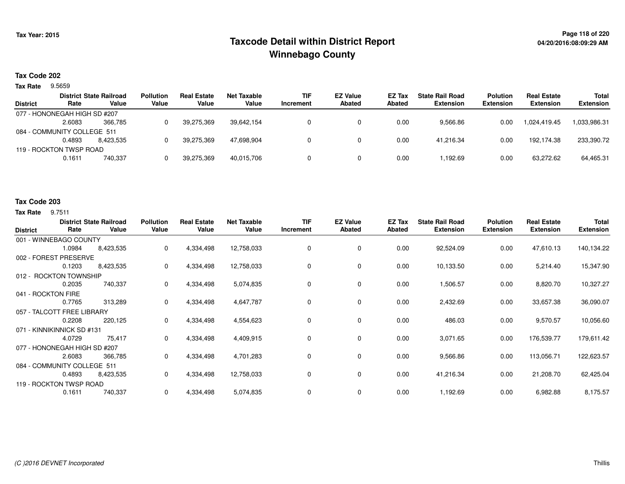## **Page 118 of 220 Taxcode Detail within District ReportWinnebago County**

# **04/20/2016:08:09:29 AM**

### **Tax Code 202**

9.5659 **Tax Rate**

|                 |                              | <b>District State Railroad</b> | <b>Pollution</b> | <b>Real Estate</b> | <b>Net Taxable</b> | <b>TIF</b> | <b>EZ Value</b> | <b>EZ Tax</b> | <b>State Rail Road</b> | <b>Polution</b>  | <b>Real Estate</b> | Total            |
|-----------------|------------------------------|--------------------------------|------------------|--------------------|--------------------|------------|-----------------|---------------|------------------------|------------------|--------------------|------------------|
| <b>District</b> | Rate                         | Value                          | Value            | Value              | Value              | Increment  | <b>Abated</b>   | Abated        | <b>Extension</b>       | <b>Extension</b> | <b>Extension</b>   | <b>Extension</b> |
|                 | 077 - HONONEGAH HIGH SD #207 |                                |                  |                    |                    |            |                 |               |                        |                  |                    |                  |
|                 | 2.6083                       | 366.785                        |                  | 39,275,369         | 39.642.154         |            |                 | 0.00          | 9,566.86               | 0.00             | 1.024.419.45       | 1,033,986.31     |
|                 | 084 - COMMUNITY COLLEGE 511  |                                |                  |                    |                    |            |                 |               |                        |                  |                    |                  |
|                 | 0.4893                       | 8.423.535                      |                  | 39,275,369         | 47.698.904         |            |                 | 0.00          | 41.216.34              | 0.00             | 192.174.38         | 233,390.72       |
|                 | 119 - ROCKTON TWSP ROAD      |                                |                  |                    |                    |            |                 |               |                        |                  |                    |                  |
|                 | 0.1611                       | 740.337                        |                  | 39,275,369         | 40.015.706         |            |                 | 0.00          | .192.69.               | 0.00             | 63,272.62          | 64,465.31        |
|                 |                              |                                |                  |                    |                    |            |                 |               |                        |                  |                    |                  |

#### **Tax Code 203**

**Tax Rate** 9.7511

| <b>District</b>            | Rate                         | <b>District State Railroad</b><br>Value | <b>Pollution</b><br>Value | <b>Real Estate</b><br>Value | <b>Net Taxable</b><br>Value | <b>TIF</b><br>Increment | <b>EZ Value</b><br><b>Abated</b> | EZ Tax<br>Abated | <b>State Rail Road</b><br><b>Extension</b> | <b>Polution</b><br><b>Extension</b> | <b>Real Estate</b><br><b>Extension</b> | <b>Total</b><br><b>Extension</b> |
|----------------------------|------------------------------|-----------------------------------------|---------------------------|-----------------------------|-----------------------------|-------------------------|----------------------------------|------------------|--------------------------------------------|-------------------------------------|----------------------------------------|----------------------------------|
|                            | 001 - WINNEBAGO COUNTY       |                                         |                           |                             |                             |                         |                                  |                  |                                            |                                     |                                        |                                  |
|                            | 1.0984                       | 8,423,535                               | 0                         | 4,334,498                   | 12,758,033                  | 0                       | 0                                | 0.00             | 92,524.09                                  | 0.00                                | 47,610.13                              | 140,134.22                       |
|                            | 002 - FOREST PRESERVE        |                                         |                           |                             |                             |                         |                                  |                  |                                            |                                     |                                        |                                  |
|                            | 0.1203                       | 8,423,535                               | 0                         | 4,334,498                   | 12,758,033                  | 0                       | 0                                | 0.00             | 10,133.50                                  | 0.00                                | 5,214.40                               | 15,347.90                        |
|                            | 012 - ROCKTON TOWNSHIP       |                                         |                           |                             |                             |                         |                                  |                  |                                            |                                     |                                        |                                  |
|                            | 0.2035                       | 740,337                                 | 0                         | 4,334,498                   | 5,074,835                   | 0                       | 0                                | 0.00             | 1,506.57                                   | 0.00                                | 8,820.70                               | 10,327.27                        |
| 041 - ROCKTON FIRE         |                              |                                         |                           |                             |                             |                         |                                  |                  |                                            |                                     |                                        |                                  |
|                            | 0.7765                       | 313,289                                 | 0                         | 4,334,498                   | 4,647,787                   | 0                       | 0                                | 0.00             | 2,432.69                                   | 0.00                                | 33,657.38                              | 36,090.07                        |
| 057 - TALCOTT FREE LIBRARY |                              |                                         |                           |                             |                             |                         |                                  |                  |                                            |                                     |                                        |                                  |
|                            | 0.2208                       | 220,125                                 | 0                         | 4,334,498                   | 4,554,623                   | 0                       | 0                                | 0.00             | 486.03                                     | 0.00                                | 9,570.57                               | 10,056.60                        |
|                            | 071 - KINNIKINNICK SD #131   |                                         |                           |                             |                             |                         |                                  |                  |                                            |                                     |                                        |                                  |
|                            | 4.0729                       | 75,417                                  | 0                         | 4,334,498                   | 4,409,915                   | 0                       | $\mathbf 0$                      | 0.00             | 3,071.65                                   | 0.00                                | 176,539.77                             | 179,611.42                       |
|                            | 077 - HONONEGAH HIGH SD #207 |                                         |                           |                             |                             |                         |                                  |                  |                                            |                                     |                                        |                                  |
|                            | 2.6083                       | 366,785                                 | 0                         | 4,334,498                   | 4,701,283                   | 0                       | 0                                | 0.00             | 9,566.86                                   | 0.00                                | 113,056.71                             | 122,623.57                       |
|                            | 084 - COMMUNITY COLLEGE 511  |                                         |                           |                             |                             |                         |                                  |                  |                                            |                                     |                                        |                                  |
|                            | 0.4893                       | 8,423,535                               | 0                         | 4,334,498                   | 12,758,033                  | 0                       | 0                                | 0.00             | 41,216.34                                  | 0.00                                | 21,208.70                              | 62,425.04                        |
| 119 - ROCKTON TWSP ROAD    |                              |                                         |                           |                             |                             |                         |                                  |                  |                                            |                                     |                                        |                                  |
|                            | 0.1611                       | 740,337                                 | 0                         | 4,334,498                   | 5,074,835                   | 0                       | 0                                | 0.00             | 1,192.69                                   | 0.00                                | 6,982.88                               | 8,175.57                         |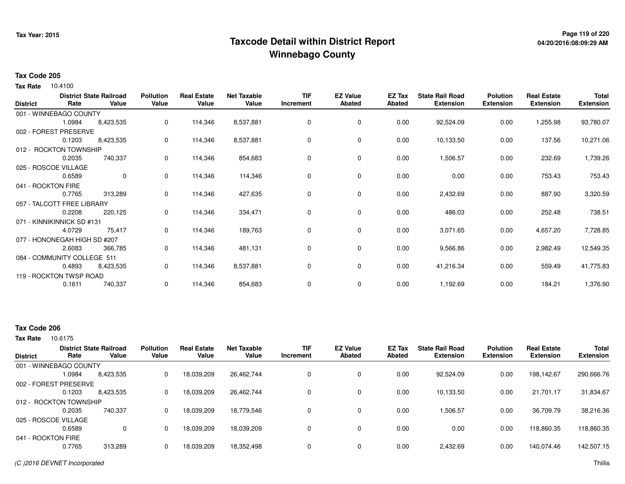## **Page 119 of 220 Taxcode Detail within District ReportWinnebago County**

# **04/20/2016:08:09:29 AM**

#### **Tax Code 205**

**Tax Rate** 10.4100

| <b>District</b> | Rate                         | <b>District State Railroad</b><br>Value | <b>Pollution</b><br>Value | <b>Real Estate</b><br>Value | <b>Net Taxable</b><br>Value | <b>TIF</b><br>Increment | <b>EZ Value</b><br><b>Abated</b> | EZ Tax<br><b>Abated</b> | <b>State Rail Road</b><br><b>Extension</b> | <b>Polution</b><br><b>Extension</b> | <b>Real Estate</b><br><b>Extension</b> | Total<br><b>Extension</b> |
|-----------------|------------------------------|-----------------------------------------|---------------------------|-----------------------------|-----------------------------|-------------------------|----------------------------------|-------------------------|--------------------------------------------|-------------------------------------|----------------------------------------|---------------------------|
|                 | 001 - WINNEBAGO COUNTY       |                                         |                           |                             |                             |                         |                                  |                         |                                            |                                     |                                        |                           |
|                 | 1.0984                       | 8,423,535                               | 0                         | 114,346                     | 8,537,881                   | $\mathbf 0$             | 0                                | 0.00                    | 92,524.09                                  | 0.00                                | 1,255.98                               | 93,780.07                 |
|                 | 002 - FOREST PRESERVE        |                                         |                           |                             |                             |                         |                                  |                         |                                            |                                     |                                        |                           |
|                 | 0.1203                       | 8,423,535                               | 0                         | 114,346                     | 8,537,881                   | 0                       | 0                                | 0.00                    | 10,133.50                                  | 0.00                                | 137.56                                 | 10,271.06                 |
|                 | 012 - ROCKTON TOWNSHIP       |                                         |                           |                             |                             |                         |                                  |                         |                                            |                                     |                                        |                           |
|                 | 0.2035                       | 740,337                                 | 0                         | 114,346                     | 854,683                     | 0                       | 0                                | 0.00                    | 1,506.57                                   | 0.00                                | 232.69                                 | 1,739.26                  |
|                 | 025 - ROSCOE VILLAGE         |                                         |                           |                             |                             |                         |                                  |                         |                                            |                                     |                                        |                           |
|                 | 0.6589                       | $\mathbf 0$                             | 0                         | 114,346                     | 114,346                     | 0                       | 0                                | 0.00                    | 0.00                                       | 0.00                                | 753.43                                 | 753.43                    |
|                 | 041 - ROCKTON FIRE           |                                         |                           |                             |                             |                         |                                  |                         |                                            |                                     |                                        |                           |
|                 | 0.7765                       | 313,289                                 | 0                         | 114,346                     | 427,635                     | 0                       | 0                                | 0.00                    | 2,432.69                                   | 0.00                                | 887.90                                 | 3,320.59                  |
|                 | 057 - TALCOTT FREE LIBRARY   |                                         |                           |                             |                             |                         |                                  |                         |                                            |                                     |                                        |                           |
|                 | 0.2208                       | 220,125                                 | 0                         | 114,346                     | 334,471                     | 0                       | 0                                | 0.00                    | 486.03                                     | 0.00                                | 252.48                                 | 738.51                    |
|                 | 071 - KINNIKINNICK SD #131   |                                         |                           |                             |                             |                         |                                  |                         |                                            |                                     |                                        |                           |
|                 | 4.0729                       | 75,417                                  | 0                         | 114,346                     | 189,763                     | 0                       | 0                                | 0.00                    | 3,071.65                                   | 0.00                                | 4,657.20                               | 7,728.85                  |
|                 | 077 - HONONEGAH HIGH SD #207 |                                         |                           |                             |                             |                         |                                  |                         |                                            |                                     |                                        |                           |
|                 | 2.6083                       | 366,785                                 | 0                         | 114,346                     | 481,131                     | 0                       | 0                                | 0.00                    | 9,566.86                                   | 0.00                                | 2,982.49                               | 12,549.35                 |
|                 | 084 - COMMUNITY COLLEGE 511  |                                         |                           |                             |                             |                         |                                  |                         |                                            |                                     |                                        |                           |
|                 | 0.4893                       | 8,423,535                               | 0                         | 114,346                     | 8,537,881                   | 0                       | 0                                | 0.00                    | 41,216.34                                  | 0.00                                | 559.49                                 | 41,775.83                 |
|                 | 119 - ROCKTON TWSP ROAD      |                                         |                           |                             |                             |                         |                                  |                         |                                            |                                     |                                        |                           |
|                 | 0.1611                       | 740,337                                 | 0                         | 114,346                     | 854,683                     | 0                       | 0                                | 0.00                    | 1,192.69                                   | 0.00                                | 184.21                                 | 1,376.90                  |
|                 |                              |                                         |                           |                             |                             |                         |                                  |                         |                                            |                                     |                                        |                           |

### **Tax Code 206**

| Rate   | Value                                      | <b>Pollution</b><br>Value                                                                                   | <b>Real Estate</b><br>Value | <b>Net Taxable</b><br>Value | <b>TIF</b><br>Increment | <b>EZ Value</b><br><b>Abated</b> | EZ Tax<br>Abated | <b>State Rail Road</b><br><b>Extension</b> | <b>Polution</b><br><b>Extension</b> | <b>Real Estate</b><br><b>Extension</b> | <b>Total</b><br><b>Extension</b> |
|--------|--------------------------------------------|-------------------------------------------------------------------------------------------------------------|-----------------------------|-----------------------------|-------------------------|----------------------------------|------------------|--------------------------------------------|-------------------------------------|----------------------------------------|----------------------------------|
|        |                                            |                                                                                                             |                             |                             |                         |                                  |                  |                                            |                                     |                                        |                                  |
| 1.0984 | 8,423,535                                  | 0                                                                                                           | 18,039,209                  | 26,462,744                  |                         | 0                                | 0.00             | 92,524.09                                  | 0.00                                | 198,142.67                             | 290,666.76                       |
|        |                                            |                                                                                                             |                             |                             |                         |                                  |                  |                                            |                                     |                                        |                                  |
| 0.1203 | 8,423,535                                  | 0                                                                                                           | 18,039,209                  | 26,462,744                  |                         | 0                                | 0.00             | 10,133.50                                  | 0.00                                | 21,701.17                              | 31,834.67                        |
|        |                                            |                                                                                                             |                             |                             |                         |                                  |                  |                                            |                                     |                                        |                                  |
| 0.2035 | 740.337                                    | 0                                                                                                           | 18.039.209                  | 18,779,546                  |                         | 0                                | 0.00             | 1,506.57                                   | 0.00                                | 36.709.79                              | 38,216.36                        |
|        |                                            |                                                                                                             |                             |                             |                         |                                  |                  |                                            |                                     |                                        |                                  |
| 0.6589 | 0                                          | 0                                                                                                           | 18,039,209                  | 18,039,209                  |                         | 0                                | 0.00             | 0.00                                       | 0.00                                | 118.860.35                             | 118,860.35                       |
|        |                                            |                                                                                                             |                             |                             |                         |                                  |                  |                                            |                                     |                                        |                                  |
| 0.7765 | 313,289                                    | 0                                                                                                           | 18,039,209                  | 18,352,498                  |                         | 0                                | 0.00             | 2,432.69                                   | 0.00                                | 140,074.46                             | 142,507.15                       |
|        | 025 - ROSCOE VILLAGE<br>041 - ROCKTON FIRE | <b>District State Railroad</b><br>001 - WINNEBAGO COUNTY<br>002 - FOREST PRESERVE<br>012 - ROCKTON TOWNSHIP |                             |                             |                         |                                  |                  |                                            |                                     |                                        |                                  |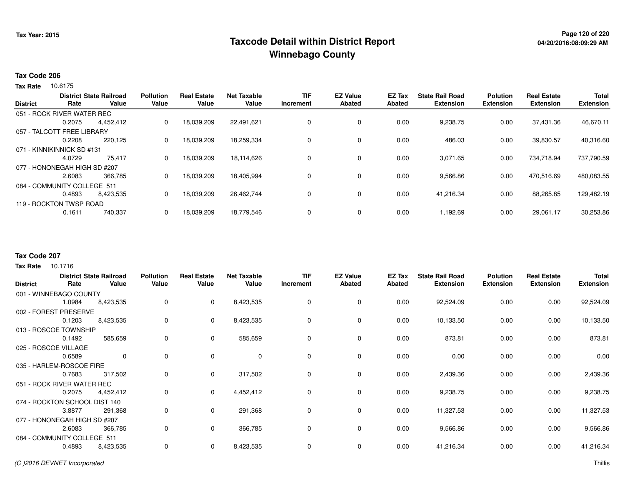## **Page 120 of 220 Taxcode Detail within District ReportWinnebago County**

### **Tax Code 206**

Tax Rate 10.6175

| <b>District</b> | Rate                         | <b>District State Railroad</b><br>Value | <b>Pollution</b><br>Value | <b>Real Estate</b><br>Value | <b>Net Taxable</b><br>Value | <b>TIF</b><br>Increment | <b>EZ Value</b><br>Abated | <b>EZ Tax</b><br>Abated | <b>State Rail Road</b><br><b>Extension</b> | <b>Polution</b><br><b>Extension</b> | <b>Real Estate</b><br><b>Extension</b> | <b>Total</b><br><b>Extension</b> |
|-----------------|------------------------------|-----------------------------------------|---------------------------|-----------------------------|-----------------------------|-------------------------|---------------------------|-------------------------|--------------------------------------------|-------------------------------------|----------------------------------------|----------------------------------|
|                 | 051 - ROCK RIVER WATER REC   |                                         |                           |                             |                             |                         |                           |                         |                                            |                                     |                                        |                                  |
|                 | 0.2075                       | 4,452,412                               | 0                         | 18,039,209                  | 22,491,621                  | 0                       | 0                         | 0.00                    | 9,238.75                                   | 0.00                                | 37,431.36                              | 46,670.11                        |
|                 | 057 - TALCOTT FREE LIBRARY   |                                         |                           |                             |                             |                         |                           |                         |                                            |                                     |                                        |                                  |
|                 | 0.2208                       | 220.125                                 | 0                         | 18,039,209                  | 18,259,334                  | 0                       | 0                         | 0.00                    | 486.03                                     | 0.00                                | 39,830.57                              | 40,316.60                        |
|                 | 071 - KINNIKINNICK SD #131   |                                         |                           |                             |                             |                         |                           |                         |                                            |                                     |                                        |                                  |
|                 | 4.0729                       | 75,417                                  | 0                         | 18,039,209                  | 18,114,626                  | 0                       | 0                         | 0.00                    | 3,071.65                                   | 0.00                                | 734,718.94                             | 737,790.59                       |
|                 | 077 - HONONEGAH HIGH SD #207 |                                         |                           |                             |                             |                         |                           |                         |                                            |                                     |                                        |                                  |
|                 | 2.6083                       | 366,785                                 | 0                         | 18,039,209                  | 18,405,994                  | 0                       | 0                         | 0.00                    | 9,566.86                                   | 0.00                                | 470,516.69                             | 480,083.55                       |
|                 | 084 - COMMUNITY COLLEGE 511  |                                         |                           |                             |                             |                         |                           |                         |                                            |                                     |                                        |                                  |
|                 | 0.4893                       | 8.423.535                               | 0                         | 18,039,209                  | 26,462,744                  | 0                       | 0                         | 0.00                    | 41.216.34                                  | 0.00                                | 88,265.85                              | 129,482.19                       |
|                 | 119 - ROCKTON TWSP ROAD      |                                         |                           |                             |                             |                         |                           |                         |                                            |                                     |                                        |                                  |
|                 | 0.1611                       | 740,337                                 | $\Omega$                  | 18,039,209                  | 18,779,546                  | 0                       | 0                         | 0.00                    | 1,192.69                                   | 0.00                                | 29,061.17                              | 30,253.86                        |

### **Tax Code 207**

| <b>District</b>               |        | <b>District State Railroad</b> | <b>Pollution</b> | <b>Real Estate</b> | <b>Net Taxable</b> | TIF       | <b>EZ Value</b> | EZ Tax        | <b>State Rail Road</b> | <b>Polution</b>  | <b>Real Estate</b> | <b>Total</b>     |
|-------------------------------|--------|--------------------------------|------------------|--------------------|--------------------|-----------|-----------------|---------------|------------------------|------------------|--------------------|------------------|
|                               | Rate   | Value                          | Value            | Value              | Value              | Increment | <b>Abated</b>   | <b>Abated</b> | <b>Extension</b>       | <b>Extension</b> | <b>Extension</b>   | <b>Extension</b> |
| 001 - WINNEBAGO COUNTY        |        |                                |                  |                    |                    |           |                 |               |                        |                  |                    |                  |
|                               | 1.0984 | 8,423,535                      | 0                | $\overline{0}$     | 8,423,535          | 0         | 0               | 0.00          | 92,524.09              | 0.00             | 0.00               | 92,524.09        |
| 002 - FOREST PRESERVE         |        |                                |                  |                    |                    |           |                 |               |                        |                  |                    |                  |
|                               | 0.1203 | 8,423,535                      | 0                | $\mathbf 0$        | 8,423,535          | 0         | 0               | 0.00          | 10,133.50              | 0.00             | 0.00               | 10,133.50        |
| 013 - ROSCOE TOWNSHIP         |        |                                |                  |                    |                    |           |                 |               |                        |                  |                    |                  |
|                               | 0.1492 | 585,659                        | 0                | $\mathbf{0}$       | 585,659            | $\Omega$  | 0               | 0.00          | 873.81                 | 0.00             | 0.00               | 873.81           |
| 025 - ROSCOE VILLAGE          |        |                                |                  |                    |                    |           |                 |               |                        |                  |                    |                  |
|                               | 0.6589 | $\mathbf{0}$                   | 0                | $\mathbf 0$        | $\mathbf 0$        | $\Omega$  | $\mathbf 0$     | 0.00          | 0.00                   | 0.00             | 0.00               | 0.00             |
| 035 - HARLEM-ROSCOE FIRE      |        |                                |                  |                    |                    |           |                 |               |                        |                  |                    |                  |
|                               | 0.7683 | 317,502                        | 0                | $\mathbf{0}$       | 317,502            | $\Omega$  | $\mathbf 0$     | 0.00          | 2,439.36               | 0.00             | 0.00               | 2,439.36         |
| 051 - ROCK RIVER WATER REC    |        |                                |                  |                    |                    |           |                 |               |                        |                  |                    |                  |
|                               | 0.2075 | 4,452,412                      | 0                | $\overline{0}$     | 4,452,412          | 0         | $\mathbf 0$     | 0.00          | 9,238.75               | 0.00             | 0.00               | 9,238.75         |
| 074 - ROCKTON SCHOOL DIST 140 |        |                                |                  |                    |                    |           |                 |               |                        |                  |                    |                  |
|                               | 3.8877 | 291,368                        | 0                | $\mathbf{0}$       | 291,368            | 0         | $\mathbf 0$     | 0.00          | 11,327.53              | 0.00             | 0.00               | 11,327.53        |
| 077 - HONONEGAH HIGH SD #207  |        |                                |                  |                    |                    |           |                 |               |                        |                  |                    |                  |
|                               | 2.6083 | 366,785                        | 0                | $\mathbf{0}$       | 366,785            | 0         | 0               | 0.00          | 9,566.86               | 0.00             | 0.00               | 9,566.86         |
| 084 - COMMUNITY COLLEGE 511   |        |                                |                  |                    |                    |           |                 |               |                        |                  |                    |                  |
|                               | 0.4893 | 8,423,535                      | 0                | $\mathbf{0}$       | 8,423,535          | 0         | 0               | 0.00          | 41,216.34              | 0.00             | 0.00               | 41,216.34        |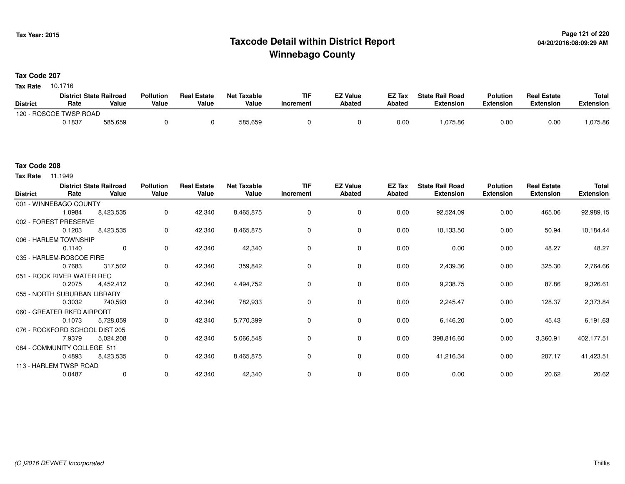## **Page 121 of 220 Taxcode Detail within District ReportWinnebago County**

### **Tax Code 207**

**Tax Rate** 10.1716

|                        | <b>District State Railroad</b> |         | <b>Pollution</b> | <b>Real Estate</b> | <b>Net Taxable</b> | TIF       | <b>EZ Value</b> | <b>EZ Tax</b> | <b>State Rail Road</b> | <b>Polution</b>  | <b>Real Estate</b> | <b>Total</b> |
|------------------------|--------------------------------|---------|------------------|--------------------|--------------------|-----------|-----------------|---------------|------------------------|------------------|--------------------|--------------|
| <b>District</b>        | Rate                           | Value   | Value            | Value              | Value              | Increment | <b>Abated</b>   | Abated        | <b>Extension</b>       | <b>Extension</b> | <b>Extension</b>   | Extension    |
| 120 - ROSCOE TWSP ROAD |                                |         |                  |                    |                    |           |                 |               |                        |                  |                    |              |
|                        | 0.1837                         | 585,659 |                  |                    | 585,659            |           |                 | 0.00          | 1,075.86               | 0.00             | 0.00               | .075.86      |

### **Tax Code 208**

**Tax Rate** 11.1949

| <b>District</b> | Rate                           | <b>District State Railroad</b><br>Value | <b>Pollution</b><br>Value | <b>Real Estate</b><br>Value | <b>Net Taxable</b><br>Value | <b>TIF</b><br>Increment | <b>EZ Value</b><br><b>Abated</b> | EZ Tax<br><b>Abated</b> | <b>State Rail Road</b><br><b>Extension</b> | <b>Polution</b><br><b>Extension</b> | <b>Real Estate</b><br><b>Extension</b> | <b>Total</b><br><b>Extension</b> |
|-----------------|--------------------------------|-----------------------------------------|---------------------------|-----------------------------|-----------------------------|-------------------------|----------------------------------|-------------------------|--------------------------------------------|-------------------------------------|----------------------------------------|----------------------------------|
|                 | 001 - WINNEBAGO COUNTY         |                                         |                           |                             |                             |                         |                                  |                         |                                            |                                     |                                        |                                  |
|                 | 1.0984                         | 8,423,535                               | 0                         | 42,340                      | 8,465,875                   | 0                       | 0                                | 0.00                    | 92,524.09                                  | 0.00                                | 465.06                                 | 92,989.15                        |
|                 | 002 - FOREST PRESERVE          |                                         |                           |                             |                             |                         |                                  |                         |                                            |                                     |                                        |                                  |
|                 | 0.1203                         | 8,423,535                               | 0                         | 42,340                      | 8,465,875                   | 0                       | 0                                | 0.00                    | 10,133.50                                  | 0.00                                | 50.94                                  | 10,184.44                        |
|                 | 006 - HARLEM TOWNSHIP          |                                         |                           |                             |                             |                         |                                  |                         |                                            |                                     |                                        |                                  |
|                 | 0.1140                         | $\mathbf 0$                             | $\Omega$                  | 42,340                      | 42,340                      | $\Omega$                | 0                                | 0.00                    | 0.00                                       | 0.00                                | 48.27                                  | 48.27                            |
|                 | 035 - HARLEM-ROSCOE FIRE       |                                         |                           |                             |                             |                         |                                  |                         |                                            |                                     |                                        |                                  |
|                 | 0.7683                         | 317,502                                 | 0                         | 42,340                      | 359,842                     | 0                       | 0                                | 0.00                    | 2,439.36                                   | 0.00                                | 325.30                                 | 2,764.66                         |
|                 | 051 - ROCK RIVER WATER REC     |                                         |                           |                             |                             |                         |                                  |                         |                                            |                                     |                                        |                                  |
|                 | 0.2075                         | 4,452,412                               | 0                         | 42,340                      | 4,494,752                   | 0                       | 0                                | 0.00                    | 9,238.75                                   | 0.00                                | 87.86                                  | 9,326.61                         |
|                 | 055 - NORTH SUBURBAN LIBRARY   |                                         |                           |                             |                             |                         |                                  |                         |                                            |                                     |                                        |                                  |
|                 | 0.3032                         | 740,593                                 | 0                         | 42,340                      | 782,933                     | 0                       | 0                                | 0.00                    | 2,245.47                                   | 0.00                                | 128.37                                 | 2,373.84                         |
|                 | 060 - GREATER RKFD AIRPORT     |                                         |                           |                             |                             |                         |                                  |                         |                                            |                                     |                                        |                                  |
|                 | 0.1073                         | 5,728,059                               | 0                         | 42,340                      | 5,770,399                   | 0                       | 0                                | 0.00                    | 6,146.20                                   | 0.00                                | 45.43                                  | 6,191.63                         |
|                 | 076 - ROCKFORD SCHOOL DIST 205 |                                         |                           |                             |                             |                         |                                  |                         |                                            |                                     |                                        |                                  |
|                 | 7.9379                         | 5,024,208                               | 0                         | 42,340                      | 5,066,548                   | 0                       | 0                                | 0.00                    | 398,816.60                                 | 0.00                                | 3,360.91                               | 402,177.51                       |
|                 | 084 - COMMUNITY COLLEGE 511    |                                         |                           |                             |                             |                         |                                  |                         |                                            |                                     |                                        |                                  |
|                 | 0.4893                         | 8,423,535                               | 0                         | 42,340                      | 8,465,875                   | 0                       | 0                                | 0.00                    | 41,216.34                                  | 0.00                                | 207.17                                 | 41,423.51                        |
|                 | 113 - HARLEM TWSP ROAD         |                                         |                           |                             |                             |                         |                                  |                         |                                            |                                     |                                        |                                  |
|                 | 0.0487                         | 0                                       | $\mathbf 0$               | 42,340                      | 42,340                      | 0                       | 0                                | 0.00                    | 0.00                                       | 0.00                                | 20.62                                  | 20.62                            |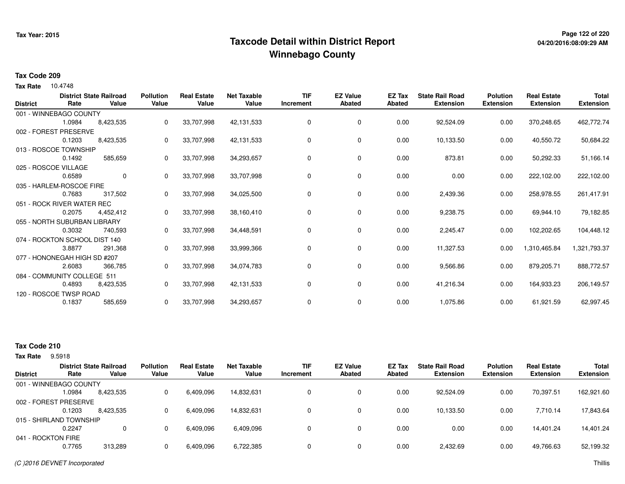## **Page 122 of 220 Taxcode Detail within District ReportWinnebago County**

### **Tax Code 209**

**Tax Rate** 10.4748

| <b>District</b> | Rate                          | <b>District State Railroad</b><br>Value | <b>Pollution</b><br>Value | <b>Real Estate</b><br>Value | <b>Net Taxable</b><br>Value | <b>TIF</b><br>Increment | <b>EZ Value</b><br><b>Abated</b> | <b>EZ Tax</b><br>Abated | <b>State Rail Road</b><br><b>Extension</b> | <b>Polution</b><br><b>Extension</b> | <b>Real Estate</b><br><b>Extension</b> | <b>Total</b><br><b>Extension</b> |
|-----------------|-------------------------------|-----------------------------------------|---------------------------|-----------------------------|-----------------------------|-------------------------|----------------------------------|-------------------------|--------------------------------------------|-------------------------------------|----------------------------------------|----------------------------------|
|                 | 001 - WINNEBAGO COUNTY        |                                         |                           |                             |                             |                         |                                  |                         |                                            |                                     |                                        |                                  |
|                 | 1.0984                        | 8,423,535                               | 0                         | 33,707,998                  | 42,131,533                  | 0                       | 0                                | 0.00                    | 92,524.09                                  | 0.00                                | 370,248.65                             | 462,772.74                       |
|                 | 002 - FOREST PRESERVE         |                                         |                           |                             |                             |                         |                                  |                         |                                            |                                     |                                        |                                  |
|                 | 0.1203                        | 8,423,535                               | 0                         | 33,707,998                  | 42,131,533                  | 0                       | 0                                | 0.00                    | 10,133.50                                  | 0.00                                | 40,550.72                              | 50,684.22                        |
|                 | 013 - ROSCOE TOWNSHIP         |                                         |                           |                             |                             |                         |                                  |                         |                                            |                                     |                                        |                                  |
|                 | 0.1492                        | 585,659                                 | 0                         | 33,707,998                  | 34,293,657                  | 0                       | 0                                | 0.00                    | 873.81                                     | 0.00                                | 50,292.33                              | 51,166.14                        |
|                 | 025 - ROSCOE VILLAGE          |                                         |                           |                             |                             |                         |                                  |                         |                                            |                                     |                                        |                                  |
|                 | 0.6589                        | $\mathbf 0$                             | $\Omega$                  | 33,707,998                  | 33,707,998                  | 0                       | 0                                | 0.00                    | 0.00                                       | 0.00                                | 222,102.00                             | 222,102.00                       |
|                 | 035 - HARLEM-ROSCOE FIRE      |                                         |                           |                             |                             |                         |                                  |                         |                                            |                                     |                                        |                                  |
|                 | 0.7683                        | 317,502                                 | 0                         | 33,707,998                  | 34,025,500                  | $\Omega$                | 0                                | 0.00                    | 2,439.36                                   | 0.00                                | 258,978.55                             | 261,417.91                       |
|                 | 051 - ROCK RIVER WATER REC    |                                         |                           |                             |                             |                         |                                  |                         |                                            |                                     |                                        |                                  |
|                 | 0.2075                        | 4,452,412                               | 0                         | 33,707,998                  | 38,160,410                  | 0                       | 0                                | 0.00                    | 9,238.75                                   | 0.00                                | 69,944.10                              | 79,182.85                        |
|                 | 055 - NORTH SUBURBAN LIBRARY  |                                         |                           |                             |                             |                         |                                  |                         |                                            |                                     |                                        |                                  |
|                 | 0.3032                        | 740,593                                 | 0                         | 33,707,998                  | 34,448,591                  | 0                       | 0                                | 0.00                    | 2,245.47                                   | 0.00                                | 102,202.65                             | 104,448.12                       |
|                 | 074 - ROCKTON SCHOOL DIST 140 |                                         |                           |                             |                             |                         |                                  |                         |                                            |                                     |                                        |                                  |
|                 | 3.8877                        | 291,368                                 | 0                         | 33,707,998                  | 33,999,366                  | 0                       | 0                                | 0.00                    | 11,327.53                                  | 0.00                                | 1,310,465.84                           | 1,321,793.37                     |
|                 | 077 - HONONEGAH HIGH SD #207  |                                         |                           |                             |                             |                         |                                  |                         |                                            |                                     |                                        |                                  |
|                 | 2.6083                        | 366,785                                 | $\Omega$                  | 33,707,998                  | 34,074,783                  | 0                       | 0                                | 0.00                    | 9,566.86                                   | 0.00                                | 879,205.71                             | 888,772.57                       |
|                 | 084 - COMMUNITY COLLEGE 511   |                                         |                           |                             |                             |                         |                                  |                         |                                            |                                     |                                        |                                  |
|                 | 0.4893                        | 8,423,535                               | 0                         | 33,707,998                  | 42,131,533                  | 0                       | 0                                | 0.00                    | 41,216.34                                  | 0.00                                | 164,933.23                             | 206,149.57                       |
|                 | 120 - ROSCOE TWSP ROAD        |                                         |                           |                             |                             |                         |                                  |                         |                                            |                                     |                                        |                                  |
|                 | 0.1837                        | 585,659                                 | 0                         | 33,707,998                  | 34,293,657                  | 0                       | 0                                | 0.00                    | 1,075.86                                   | 0.00                                | 61,921.59                              | 62,997.45                        |

### **Tax Code 210**

**Tax Rate** 9.5918

|                         |        | <b>District State Railroad</b> | <b>Pollution</b> | <b>Real Estate</b> | <b>Net Taxable</b> | TIF       | <b>EZ Value</b> | <b>EZ Tax</b> | <b>State Rail Road</b> | <b>Polution</b>  | <b>Real Estate</b> | <b>Total</b>     |
|-------------------------|--------|--------------------------------|------------------|--------------------|--------------------|-----------|-----------------|---------------|------------------------|------------------|--------------------|------------------|
| District                | Rate   | Value                          | Value            | Value              | Value              | Increment | <b>Abated</b>   | Abated        | <b>Extension</b>       | <b>Extension</b> | <b>Extension</b>   | <b>Extension</b> |
| 001 - WINNEBAGO COUNTY  |        |                                |                  |                    |                    |           |                 |               |                        |                  |                    |                  |
|                         | 1.0984 | 8,423,535                      |                  | 6,409,096          | 14,832,631         |           | 0               | 0.00          | 92,524.09              | 0.00             | 70,397.51          | 162,921.60       |
| 002 - FOREST PRESERVE   |        |                                |                  |                    |                    |           |                 |               |                        |                  |                    |                  |
|                         | 0.1203 | 8,423,535                      |                  | 6,409,096          | 14,832,631         |           | 0               | 0.00          | 10,133.50              | 0.00             | 7.710.14           | 17,843.64        |
| 015 - SHIRLAND TOWNSHIP |        |                                |                  |                    |                    |           |                 |               |                        |                  |                    |                  |
|                         | 0.2247 |                                |                  | 6,409,096          | 6,409,096          |           | 0               | 0.00          | 0.00                   | 0.00             | 14,401.24          | 14,401.24        |
| 041 - ROCKTON FIRE      |        |                                |                  |                    |                    |           |                 |               |                        |                  |                    |                  |
|                         | 0.7765 | 313,289                        |                  | 6,409,096          | 6,722,385          |           | 0               | 0.00          | 2,432.69               | 0.00             | 49,766.63          | 52,199.32        |
|                         |        |                                |                  |                    |                    |           |                 |               |                        |                  |                    |                  |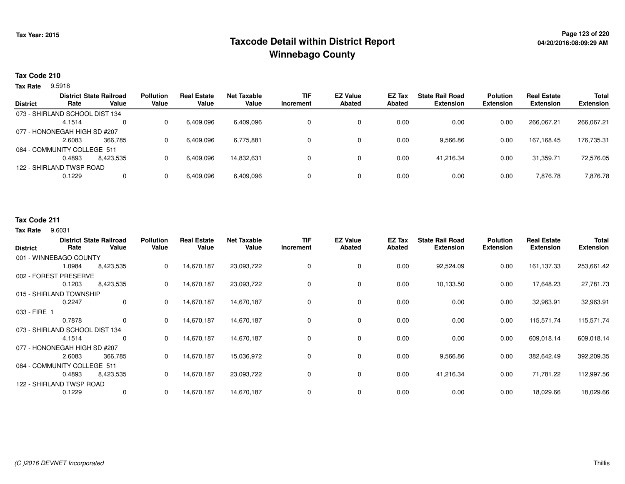## **Page 123 of 220 Taxcode Detail within District ReportWinnebago County**

#### **Tax Code 210**

**Tax Rate** 9.5918

| <b>District</b> | Rate                           | <b>District State Railroad</b><br>Value | <b>Pollution</b><br>Value | <b>Real Estate</b><br>Value | Net Taxable<br>Value | <b>TIF</b><br>Increment | <b>EZ Value</b><br><b>Abated</b> | <b>EZ Tax</b><br>Abated | <b>State Rail Road</b><br><b>Extension</b> | <b>Polution</b><br><b>Extension</b> | <b>Real Estate</b><br><b>Extension</b> | <b>Total</b><br><b>Extension</b> |
|-----------------|--------------------------------|-----------------------------------------|---------------------------|-----------------------------|----------------------|-------------------------|----------------------------------|-------------------------|--------------------------------------------|-------------------------------------|----------------------------------------|----------------------------------|
|                 |                                |                                         |                           |                             |                      |                         |                                  |                         |                                            |                                     |                                        |                                  |
|                 | 073 - SHIRLAND SCHOOL DIST 134 |                                         |                           |                             |                      |                         |                                  |                         |                                            |                                     |                                        |                                  |
|                 | 4.1514                         | $\Omega$                                |                           | 6,409,096                   | 6,409,096            |                         |                                  | 0.00                    | 0.00                                       | 0.00                                | 266,067.21                             | 266,067.21                       |
|                 | 077 - HONONEGAH HIGH SD #207   |                                         |                           |                             |                      |                         |                                  |                         |                                            |                                     |                                        |                                  |
|                 | 2.6083                         | 366.785                                 |                           | 6,409,096                   | 6,775,881            |                         | 0                                | 0.00                    | 9,566.86                                   | 0.00                                | 167,168.45                             | 176,735.31                       |
|                 | 084 - COMMUNITY COLLEGE 511    |                                         |                           |                             |                      |                         |                                  |                         |                                            |                                     |                                        |                                  |
|                 | 0.4893                         | 8.423.535                               |                           | 6,409,096                   | 14.832.631           |                         |                                  | 0.00                    | 41.216.34                                  | 0.00                                | 31.359.71                              | 72,576.05                        |
|                 | 122 - SHIRLAND TWSP ROAD       |                                         |                           |                             |                      |                         |                                  |                         |                                            |                                     |                                        |                                  |
|                 | 0.1229                         | 0                                       |                           | 6,409,096                   | 6,409,096            |                         |                                  | 0.00                    | 0.00                                       | 0.00                                | 7,876.78                               | 7,876.78                         |
|                 |                                |                                         |                           |                             |                      |                         |                                  |                         |                                            |                                     |                                        |                                  |

### **Tax Code 211**

#### **Tax Rate** 9.6031

| <b>District</b>          | Rate                           | <b>District State Railroad</b><br>Value | <b>Pollution</b><br>Value | <b>Real Estate</b><br>Value | <b>Net Taxable</b><br>Value | <b>TIF</b><br>Increment | <b>EZ Value</b><br><b>Abated</b> | <b>EZ Tax</b><br><b>Abated</b> | <b>State Rail Road</b><br><b>Extension</b> | <b>Polution</b><br><b>Extension</b> | <b>Real Estate</b><br><b>Extension</b> | <b>Total</b><br><b>Extension</b> |
|--------------------------|--------------------------------|-----------------------------------------|---------------------------|-----------------------------|-----------------------------|-------------------------|----------------------------------|--------------------------------|--------------------------------------------|-------------------------------------|----------------------------------------|----------------------------------|
|                          | 001 - WINNEBAGO COUNTY         |                                         |                           |                             |                             |                         |                                  |                                |                                            |                                     |                                        |                                  |
|                          | 1.0984                         | 8,423,535                               | 0                         | 14,670,187                  | 23,093,722                  | 0                       | 0                                | 0.00                           | 92,524.09                                  | 0.00                                | 161,137.33                             | 253,661.42                       |
|                          | 002 - FOREST PRESERVE          |                                         |                           |                             |                             |                         |                                  |                                |                                            |                                     |                                        |                                  |
|                          | 0.1203                         | 8,423,535                               | 0                         | 14,670,187                  | 23,093,722                  | 0                       | 0                                | 0.00                           | 10,133.50                                  | 0.00                                | 17,648.23                              | 27,781.73                        |
|                          | 015 - SHIRLAND TOWNSHIP        |                                         |                           |                             |                             |                         |                                  |                                |                                            |                                     |                                        |                                  |
|                          | 0.2247                         | $\mathbf 0$                             | $\Omega$                  | 14,670,187                  | 14,670,187                  | 0                       | $\mathbf 0$                      | 0.00                           | 0.00                                       | 0.00                                | 32,963.91                              | 32,963.91                        |
| 033 - FIRE 1             |                                |                                         |                           |                             |                             |                         |                                  |                                |                                            |                                     |                                        |                                  |
|                          | 0.7878                         | 0                                       | 0                         | 14,670,187                  | 14,670,187                  | 0                       | 0                                | 0.00                           | 0.00                                       | 0.00                                | 115,571.74                             | 115,571.74                       |
|                          | 073 - SHIRLAND SCHOOL DIST 134 |                                         |                           |                             |                             |                         |                                  |                                |                                            |                                     |                                        |                                  |
|                          | 4.1514                         | 0                                       | 0                         | 14,670,187                  | 14,670,187                  | 0                       | 0                                | 0.00                           | 0.00                                       | 0.00                                | 609,018.14                             | 609,018.14                       |
|                          | 077 - HONONEGAH HIGH SD #207   |                                         |                           |                             |                             |                         |                                  |                                |                                            |                                     |                                        |                                  |
|                          | 2.6083                         | 366,785                                 | 0                         | 14,670,187                  | 15,036,972                  | 0                       | 0                                | 0.00                           | 9,566.86                                   | 0.00                                | 382,642.49                             | 392,209.35                       |
|                          | 084 - COMMUNITY COLLEGE 511    |                                         |                           |                             |                             |                         |                                  |                                |                                            |                                     |                                        |                                  |
|                          | 0.4893                         | 8,423,535                               | 0                         | 14,670,187                  | 23,093,722                  | 0                       | 0                                | 0.00                           | 41,216.34                                  | 0.00                                | 71,781.22                              | 112,997.56                       |
| 122 - SHIRLAND TWSP ROAD |                                |                                         |                           |                             |                             |                         |                                  |                                |                                            |                                     |                                        |                                  |
|                          | 0.1229                         | $\Omega$                                | 0                         | 14,670,187                  | 14,670,187                  | 0                       | 0                                | 0.00                           | 0.00                                       | 0.00                                | 18,029.66                              | 18,029.66                        |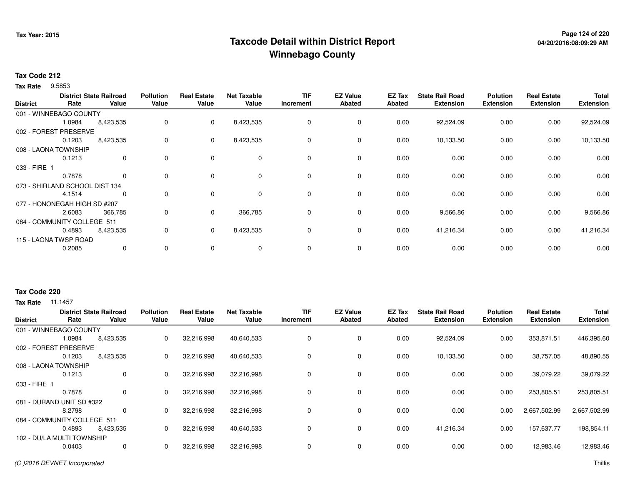## **Page 124 of 220 Taxcode Detail within District ReportWinnebago County**

### **Tax Code 212**

**Tax Rate** 9.5853

| <b>District</b>                | Rate   | <b>District State Railroad</b><br>Value | <b>Pollution</b><br>Value | <b>Real Estate</b><br>Value | <b>Net Taxable</b><br>Value | TIF<br>Increment | <b>EZ Value</b><br><b>Abated</b> | EZ Tax<br><b>Abated</b> | <b>State Rail Road</b><br><b>Extension</b> | <b>Polution</b><br><b>Extension</b> | <b>Real Estate</b><br><b>Extension</b> | <b>Total</b><br><b>Extension</b> |
|--------------------------------|--------|-----------------------------------------|---------------------------|-----------------------------|-----------------------------|------------------|----------------------------------|-------------------------|--------------------------------------------|-------------------------------------|----------------------------------------|----------------------------------|
|                                |        |                                         |                           |                             |                             |                  |                                  |                         |                                            |                                     |                                        |                                  |
| 001 - WINNEBAGO COUNTY         |        |                                         |                           |                             |                             |                  |                                  |                         |                                            |                                     |                                        |                                  |
|                                | 1.0984 | 8,423,535                               | 0                         | $\mathbf{0}$                | 8,423,535                   | 0                | 0                                | 0.00                    | 92,524.09                                  | 0.00                                | 0.00                                   | 92,524.09                        |
| 002 - FOREST PRESERVE          |        |                                         |                           |                             |                             |                  |                                  |                         |                                            |                                     |                                        |                                  |
|                                | 0.1203 | 8,423,535                               | 0                         | $\mathbf 0$                 | 8,423,535                   | 0                | 0                                | 0.00                    | 10,133.50                                  | 0.00                                | 0.00                                   | 10,133.50                        |
| 008 - LAONA TOWNSHIP           |        |                                         |                           |                             |                             |                  |                                  |                         |                                            |                                     |                                        |                                  |
|                                | 0.1213 | 0                                       | 0                         | $\mathbf 0$                 | 0                           | 0                | 0                                | 0.00                    | 0.00                                       | 0.00                                | 0.00                                   | 0.00                             |
| 033 - FIRE 1                   |        |                                         |                           |                             |                             |                  |                                  |                         |                                            |                                     |                                        |                                  |
|                                | 0.7878 | 0                                       | 0                         | $\mathbf 0$                 | 0                           | 0                | $\mathbf 0$                      | 0.00                    | 0.00                                       | 0.00                                | 0.00                                   | 0.00                             |
| 073 - SHIRLAND SCHOOL DIST 134 |        |                                         |                           |                             |                             |                  |                                  |                         |                                            |                                     |                                        |                                  |
|                                | 4.1514 | 0                                       | 0                         | $\Omega$                    | $\mathbf 0$                 | 0                | $\mathbf 0$                      | 0.00                    | 0.00                                       | 0.00                                | 0.00                                   | 0.00                             |
| 077 - HONONEGAH HIGH SD #207   |        |                                         |                           |                             |                             |                  |                                  |                         |                                            |                                     |                                        |                                  |
|                                | 2.6083 | 366,785                                 | 0                         | $\mathbf 0$                 | 366,785                     | 0                | 0                                | 0.00                    | 9,566.86                                   | 0.00                                | 0.00                                   | 9,566.86                         |
| 084 - COMMUNITY COLLEGE 511    |        |                                         |                           |                             |                             |                  |                                  |                         |                                            |                                     |                                        |                                  |
|                                | 0.4893 | 8,423,535                               | 0                         | $\mathbf{0}$                | 8,423,535                   | 0                | $\mathbf 0$                      | 0.00                    | 41,216.34                                  | 0.00                                | 0.00                                   | 41,216.34                        |
| 115 - LAONA TWSP ROAD          |        |                                         |                           |                             |                             |                  |                                  |                         |                                            |                                     |                                        |                                  |
|                                | 0.2085 | $\mathbf 0$                             | 0                         | $\mathbf 0$                 | 0                           | 0                | 0                                | 0.00                    | 0.00                                       | 0.00                                | 0.00                                   | 0.00                             |

### **Tax Code 220**

| <b>District</b> | Rate                        | <b>District State Railroad</b><br>Value | <b>Pollution</b><br>Value | <b>Real Estate</b><br>Value | <b>Net Taxable</b><br>Value | <b>TIF</b><br>Increment | <b>EZ Value</b><br><b>Abated</b> | EZ Tax<br>Abated | <b>State Rail Road</b><br><b>Extension</b> | <b>Polution</b><br><b>Extension</b> | <b>Real Estate</b><br><b>Extension</b> | <b>Total</b><br><b>Extension</b> |
|-----------------|-----------------------------|-----------------------------------------|---------------------------|-----------------------------|-----------------------------|-------------------------|----------------------------------|------------------|--------------------------------------------|-------------------------------------|----------------------------------------|----------------------------------|
|                 | 001 - WINNEBAGO COUNTY      |                                         |                           |                             |                             |                         |                                  |                  |                                            |                                     |                                        |                                  |
|                 | 1.0984                      | 8,423,535                               | $\mathbf{0}$              | 32,216,998                  | 40,640,533                  | 0                       | 0                                | 0.00             | 92,524.09                                  | 0.00                                | 353,871.51                             | 446,395.60                       |
|                 | 002 - FOREST PRESERVE       |                                         |                           |                             |                             |                         |                                  |                  |                                            |                                     |                                        |                                  |
|                 | 0.1203                      | 8,423,535                               | 0                         | 32,216,998                  | 40,640,533                  | $\Omega$                | $\mathbf 0$                      | 0.00             | 10,133.50                                  | 0.00                                | 38,757.05                              | 48,890.55                        |
|                 | 008 - LAONA TOWNSHIP        |                                         |                           |                             |                             |                         |                                  |                  |                                            |                                     |                                        |                                  |
|                 | 0.1213                      | 0                                       | 0                         | 32,216,998                  | 32,216,998                  |                         | $\mathbf 0$                      | 0.00             | 0.00                                       | 0.00                                | 39,079.22                              | 39,079.22                        |
| 033 - FIRE 1    |                             |                                         |                           |                             |                             |                         |                                  |                  |                                            |                                     |                                        |                                  |
|                 | 0.7878                      | 0                                       | 0                         | 32,216,998                  | 32,216,998                  |                         | 0                                | 0.00             | 0.00                                       | 0.00                                | 253,805.51                             | 253,805.51                       |
|                 | 081 - DURAND UNIT SD #322   |                                         |                           |                             |                             |                         |                                  |                  |                                            |                                     |                                        |                                  |
|                 | 8.2798                      | 0                                       | 0                         | 32,216,998                  | 32,216,998                  | 0                       | $\mathbf 0$                      | 0.00             | 0.00                                       | 0.00                                | 2,667,502.99                           | 2,667,502.99                     |
|                 | 084 - COMMUNITY COLLEGE 511 |                                         |                           |                             |                             |                         |                                  |                  |                                            |                                     |                                        |                                  |
|                 | 0.4893                      | 8,423,535                               | 0                         | 32,216,998                  | 40,640,533                  | $\Omega$                | 0                                | 0.00             | 41,216.34                                  | 0.00                                | 157,637.77                             | 198,854.11                       |
|                 | 102 - DU/LA MULTI TOWNSHIP  |                                         |                           |                             |                             |                         |                                  |                  |                                            |                                     |                                        |                                  |
|                 | 0.0403                      | 0                                       | 0                         | 32,216,998                  | 32,216,998                  |                         | 0                                | 0.00             | 0.00                                       | 0.00                                | 12,983.46                              | 12,983.46                        |
|                 |                             |                                         |                           |                             |                             |                         |                                  |                  |                                            |                                     |                                        |                                  |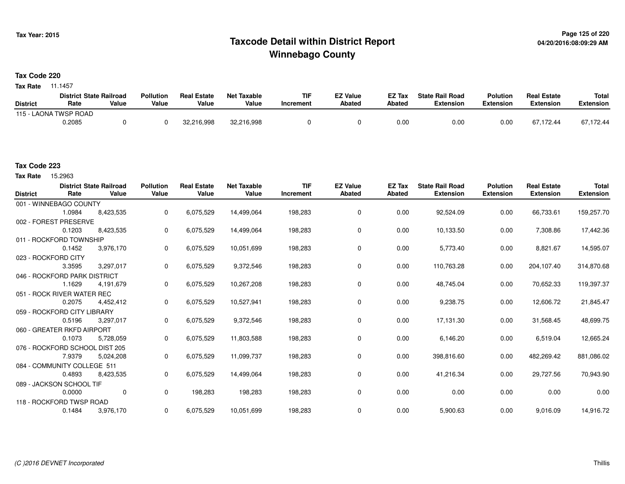## **Page 125 of 220 Taxcode Detail within District ReportWinnebago County**

**Tax Code 220**

**Tax Rate** 11.1457

|                 | <b>District State Railroad</b> |       | <b>Pollution</b> | <b>Real Estate</b> | Net Taxable | <b>TIF</b> | <b>EZ Value</b> | <b>EZ Tax</b> | <b>State Rail Road</b> | <b>Polution</b> | <b>Real Estate</b> | <b>Total</b> |
|-----------------|--------------------------------|-------|------------------|--------------------|-------------|------------|-----------------|---------------|------------------------|-----------------|--------------------|--------------|
| <b>District</b> | Rate                           | Value | Value            | Value              | Value       | Increment  | Abated          | <b>Abated</b> | <b>Extension</b>       | Extension       | Extension          | Extension    |
|                 | 115 - LAONA TWSP ROAD          |       |                  |                    |             |            |                 |               |                        |                 |                    |              |
|                 | 0.2085                         |       |                  | 32,216,998         | 32,216,998  |            |                 | 0.0(          | 0.00                   | 0.00            | 67.172.44          | 67,172.44    |

#### **Tax Code 223**

Tax Rate 15.2963

| <b>District</b> | Rate                           | <b>District State Railroad</b><br>Value | <b>Pollution</b><br>Value | <b>Real Estate</b><br>Value | <b>Net Taxable</b><br>Value | <b>TIF</b><br><b>Increment</b> | <b>EZ Value</b><br><b>Abated</b> | <b>EZ Tax</b><br>Abated | <b>State Rail Road</b><br><b>Extension</b> | <b>Polution</b><br><b>Extension</b> | <b>Real Estate</b><br><b>Extension</b> | <b>Total</b><br><b>Extension</b> |
|-----------------|--------------------------------|-----------------------------------------|---------------------------|-----------------------------|-----------------------------|--------------------------------|----------------------------------|-------------------------|--------------------------------------------|-------------------------------------|----------------------------------------|----------------------------------|
|                 | 001 - WINNEBAGO COUNTY         |                                         |                           |                             |                             |                                |                                  |                         |                                            |                                     |                                        |                                  |
|                 | 1.0984                         | 8,423,535                               | 0                         | 6,075,529                   | 14,499,064                  | 198,283                        | 0                                | 0.00                    | 92,524.09                                  | 0.00                                | 66,733.61                              | 159,257.70                       |
|                 | 002 - FOREST PRESERVE          |                                         |                           |                             |                             |                                |                                  |                         |                                            |                                     |                                        |                                  |
|                 | 0.1203                         | 8,423,535                               | $\mathbf{0}$              | 6,075,529                   | 14,499,064                  | 198,283                        | 0                                | 0.00                    | 10,133.50                                  | 0.00                                | 7,308.86                               | 17,442.36                        |
|                 | 011 - ROCKFORD TOWNSHIP        |                                         |                           |                             |                             |                                |                                  |                         |                                            |                                     |                                        |                                  |
|                 | 0.1452                         | 3,976,170                               | 0                         | 6,075,529                   | 10,051,699                  | 198,283                        | 0                                | 0.00                    | 5,773.40                                   | 0.00                                | 8,821.67                               | 14,595.07                        |
|                 | 023 - ROCKFORD CITY            |                                         |                           |                             |                             |                                |                                  |                         |                                            |                                     |                                        |                                  |
|                 | 3.3595                         | 3,297,017                               | 0                         | 6,075,529                   | 9,372,546                   | 198,283                        | $\mathbf 0$                      | 0.00                    | 110,763.28                                 | 0.00                                | 204,107.40                             | 314,870.68                       |
|                 | 046 - ROCKFORD PARK DISTRICT   |                                         |                           |                             |                             |                                |                                  |                         |                                            |                                     |                                        |                                  |
|                 | 1.1629                         | 4,191,679                               | 0                         | 6,075,529                   | 10,267,208                  | 198,283                        | $\mathbf 0$                      | 0.00                    | 48,745.04                                  | 0.00                                | 70,652.33                              | 119,397.37                       |
|                 | 051 - ROCK RIVER WATER REC     |                                         |                           |                             |                             |                                |                                  |                         |                                            |                                     |                                        |                                  |
|                 | 0.2075                         | 4,452,412                               | 0                         | 6,075,529                   | 10,527,941                  | 198,283                        | 0                                | 0.00                    | 9,238.75                                   | 0.00                                | 12,606.72                              | 21,845.47                        |
|                 | 059 - ROCKFORD CITY LIBRARY    |                                         |                           |                             |                             |                                |                                  |                         |                                            |                                     |                                        |                                  |
|                 | 0.5196                         | 3,297,017                               | 0                         | 6,075,529                   | 9,372,546                   | 198,283                        | 0                                | 0.00                    | 17,131.30                                  | 0.00                                | 31,568.45                              | 48,699.75                        |
|                 | 060 - GREATER RKFD AIRPORT     |                                         |                           |                             |                             |                                |                                  |                         |                                            |                                     |                                        |                                  |
|                 | 0.1073                         | 5,728,059                               | 0                         | 6,075,529                   | 11,803,588                  | 198,283                        | 0                                | 0.00                    | 6,146.20                                   | 0.00                                | 6,519.04                               | 12,665.24                        |
|                 | 076 - ROCKFORD SCHOOL DIST 205 |                                         |                           |                             |                             |                                |                                  |                         |                                            |                                     |                                        |                                  |
|                 | 7.9379                         | 5,024,208                               | 0                         | 6,075,529                   | 11,099,737                  | 198,283                        | 0                                | 0.00                    | 398,816.60                                 | 0.00                                | 482,269.42                             | 881,086.02                       |
|                 | 084 - COMMUNITY COLLEGE 511    |                                         |                           |                             |                             |                                |                                  |                         |                                            |                                     |                                        |                                  |
|                 | 0.4893                         | 8,423,535                               | 0                         | 6,075,529                   | 14,499,064                  | 198,283                        | 0                                | 0.00                    | 41,216.34                                  | 0.00                                | 29,727.56                              | 70,943.90                        |
|                 | 089 - JACKSON SCHOOL TIF       |                                         |                           |                             |                             |                                |                                  |                         |                                            |                                     |                                        |                                  |
|                 | 0.0000                         | 0                                       | $\mathbf{0}$              | 198,283                     | 198,283                     | 198,283                        | 0                                | 0.00                    | 0.00                                       | 0.00                                | 0.00                                   | 0.00                             |
|                 | 118 - ROCKFORD TWSP ROAD       |                                         |                           |                             |                             |                                |                                  |                         |                                            |                                     |                                        |                                  |
|                 | 0.1484                         | 3,976,170                               | 0                         | 6,075,529                   | 10,051,699                  | 198,283                        | $\mathbf 0$                      | 0.00                    | 5,900.63                                   | 0.00                                | 9,016.09                               | 14,916.72                        |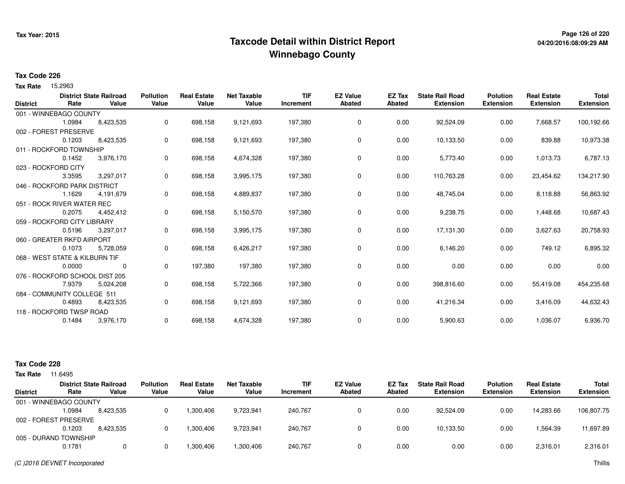## **Page 126 of 220 Taxcode Detail within District ReportWinnebago County**

### **Tax Code 226**

Tax Rate 15.2963

|                 |                                | <b>District State Railroad</b> | <b>Pollution</b> | <b>Real Estate</b> | <b>Net Taxable</b> | <b>TIF</b> | <b>EZ Value</b> | EZ Tax | <b>State Rail Road</b> | <b>Polution</b>  | <b>Real Estate</b> | <b>Total</b>     |
|-----------------|--------------------------------|--------------------------------|------------------|--------------------|--------------------|------------|-----------------|--------|------------------------|------------------|--------------------|------------------|
| <b>District</b> | Rate                           | Value                          | Value            | Value              | Value              | Increment  | <b>Abated</b>   | Abated | <b>Extension</b>       | <b>Extension</b> | <b>Extension</b>   | <b>Extension</b> |
|                 | 001 - WINNEBAGO COUNTY         |                                |                  |                    |                    |            |                 |        |                        |                  |                    |                  |
|                 | 1.0984                         | 8,423,535                      | 0                | 698,158            | 9,121,693          | 197,380    | 0               | 0.00   | 92,524.09              | 0.00             | 7,668.57           | 100,192.66       |
|                 | 002 - FOREST PRESERVE          |                                |                  |                    |                    |            |                 |        |                        |                  |                    |                  |
|                 | 0.1203                         | 8,423,535                      | 0                | 698,158            | 9,121,693          | 197,380    | $\mathbf 0$     | 0.00   | 10,133.50              | 0.00             | 839.88             | 10,973.38        |
|                 | 011 - ROCKFORD TOWNSHIP        |                                |                  |                    |                    |            |                 |        |                        |                  |                    |                  |
|                 | 0.1452                         | 3,976,170                      | 0                | 698,158            | 4,674,328          | 197,380    | 0               | 0.00   | 5,773.40               | 0.00             | 1,013.73           | 6,787.13         |
|                 | 023 - ROCKFORD CITY            |                                |                  |                    |                    |            |                 |        |                        |                  |                    |                  |
|                 | 3.3595                         | 3,297,017                      | 0                | 698,158            | 3,995,175          | 197,380    | $\overline{0}$  | 0.00   | 110,763.28             | 0.00             | 23,454.62          | 134,217.90       |
|                 | 046 - ROCKFORD PARK DISTRICT   |                                |                  |                    |                    |            |                 |        |                        |                  |                    |                  |
|                 | 1.1629                         | 4,191,679                      | 0                | 698,158            | 4,889,837          | 197,380    | 0               | 0.00   | 48,745.04              | 0.00             | 8,118.88           | 56,863.92        |
|                 | 051 - ROCK RIVER WATER REC     |                                |                  |                    |                    |            |                 |        |                        |                  |                    |                  |
|                 | 0.2075                         | 4,452,412                      | 0                | 698,158            | 5,150,570          | 197,380    | 0               | 0.00   | 9,238.75               | 0.00             | 1,448.68           | 10,687.43        |
|                 | 059 - ROCKFORD CITY LIBRARY    |                                |                  |                    |                    |            |                 |        |                        |                  |                    |                  |
|                 | 0.5196                         | 3,297,017                      | 0                | 698,158            | 3,995,175          | 197,380    | $\mathbf 0$     | 0.00   | 17,131.30              | 0.00             | 3,627.63           | 20,758.93        |
|                 | 060 - GREATER RKFD AIRPORT     |                                |                  |                    |                    |            |                 |        |                        |                  |                    |                  |
|                 | 0.1073                         | 5,728,059                      | 0                | 698,158            | 6,426,217          | 197,380    | 0               | 0.00   | 6,146.20               | 0.00             | 749.12             | 6,895.32         |
|                 | 068 - WEST STATE & KILBURN TIF |                                |                  |                    |                    |            |                 |        |                        |                  |                    |                  |
|                 | 0.0000                         | 0                              | 0                | 197,380            | 197,380            | 197,380    | 0               | 0.00   | 0.00                   | 0.00             | 0.00               | 0.00             |
|                 | 076 - ROCKFORD SCHOOL DIST 205 |                                |                  |                    |                    |            |                 |        |                        |                  |                    |                  |
|                 | 7.9379                         | 5,024,208                      | 0                | 698,158            | 5,722,366          | 197,380    | 0               | 0.00   | 398,816.60             | 0.00             | 55,419.08          | 454,235.68       |
|                 | 084 - COMMUNITY COLLEGE 511    |                                |                  |                    |                    |            |                 |        |                        |                  |                    |                  |
|                 | 0.4893                         | 8,423,535                      | 0                | 698,158            | 9,121,693          | 197,380    | $\mathbf 0$     | 0.00   | 41,216.34              | 0.00             | 3,416.09           | 44,632.43        |
|                 | 118 - ROCKFORD TWSP ROAD       |                                |                  |                    |                    |            |                 |        |                        |                  |                    |                  |
|                 | 0.1484                         | 3,976,170                      | 0                | 698,158            | 4,674,328          | 197,380    | 0               | 0.00   | 5,900.63               | 0.00             | 1,036.07           | 6,936.70         |
|                 |                                |                                |                  |                    |                    |            |                 |        |                        |                  |                    |                  |

#### **Tax Code 228**

| Tax Rate        | 11.6495                |                                         |                           |                             |                             |                         |                                  |                  |                                            |                                     |                                        |                                  |
|-----------------|------------------------|-----------------------------------------|---------------------------|-----------------------------|-----------------------------|-------------------------|----------------------------------|------------------|--------------------------------------------|-------------------------------------|----------------------------------------|----------------------------------|
| <b>District</b> | Rate                   | <b>District State Railroad</b><br>Value | <b>Pollution</b><br>Value | <b>Real Estate</b><br>Value | <b>Net Taxable</b><br>Value | <b>TIF</b><br>Increment | <b>EZ Value</b><br><b>Abated</b> | EZ Tax<br>Abated | <b>State Rail Road</b><br><b>Extension</b> | <b>Polution</b><br><b>Extension</b> | <b>Real Estate</b><br><b>Extension</b> | <b>Total</b><br><b>Extension</b> |
|                 | 001 - WINNEBAGO COUNTY |                                         |                           |                             |                             |                         |                                  |                  |                                            |                                     |                                        |                                  |
|                 | 1.0984                 | 8,423,535                               |                           | 1,300,406                   | 9,723,941                   | 240,767                 |                                  | 0.00             | 92.524.09                                  | 0.00                                | 14.283.66                              | 106,807.75                       |
|                 | 002 - FOREST PRESERVE  |                                         |                           |                             |                             |                         |                                  |                  |                                            |                                     |                                        |                                  |
|                 | 0.1203                 | 8.423.535                               |                           | 1,300,406                   | 9,723,941                   | 240,767                 |                                  | 0.00             | 10,133.50                                  | 0.00                                | .564.39                                | 11,697.89                        |
|                 | 005 - DURAND TOWNSHIP  |                                         |                           |                             |                             |                         |                                  |                  |                                            |                                     |                                        |                                  |
|                 | 0.1781                 |                                         |                           | 1,300,406                   | 1,300,406                   | 240,767                 |                                  | 0.00             | 0.00                                       | 0.00                                | 2,316.01                               | 2,316.01                         |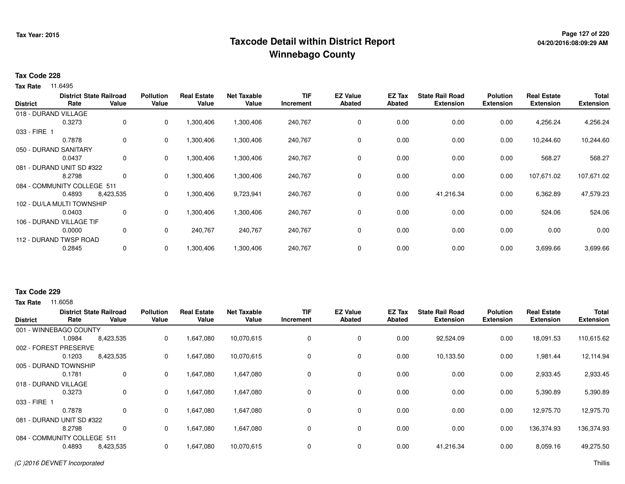## **Page 127 of 220 Taxcode Detail within District ReportWinnebago County**

#### **Tax Code 228**

**Tax Rate** 11.6495

| <b>District</b> | Rate                        | <b>District State Railroad</b><br>Value | <b>Pollution</b><br>Value | <b>Real Estate</b><br>Value | <b>Net Taxable</b><br>Value | <b>TIF</b><br>Increment | <b>EZ Value</b><br><b>Abated</b> | EZ Tax<br><b>Abated</b> | <b>State Rail Road</b><br><b>Extension</b> | <b>Polution</b><br><b>Extension</b> | <b>Real Estate</b><br><b>Extension</b> | <b>Total</b><br><b>Extension</b> |
|-----------------|-----------------------------|-----------------------------------------|---------------------------|-----------------------------|-----------------------------|-------------------------|----------------------------------|-------------------------|--------------------------------------------|-------------------------------------|----------------------------------------|----------------------------------|
|                 | 018 - DURAND VILLAGE        |                                         |                           |                             |                             |                         |                                  |                         |                                            |                                     |                                        |                                  |
|                 | 0.3273                      | $\mathbf{0}$                            | 0                         | 1,300,406                   | 1,300,406                   | 240,767                 | 0                                | 0.00                    | 0.00                                       | 0.00                                | 4,256.24                               | 4,256.24                         |
| 033 - FIRE 1    |                             |                                         |                           |                             |                             |                         |                                  |                         |                                            |                                     |                                        |                                  |
|                 | 0.7878                      | $\mathbf{0}$                            | 0                         | 1,300,406                   | 1,300,406                   | 240,767                 | 0                                | 0.00                    | 0.00                                       | 0.00                                | 10,244.60                              | 10,244.60                        |
|                 | 050 - DURAND SANITARY       |                                         |                           |                             |                             |                         |                                  |                         |                                            |                                     |                                        |                                  |
|                 | 0.0437                      | $\mathbf{0}$                            | 0                         | 1,300,406                   | 1,300,406                   | 240,767                 | 0                                | 0.00                    | 0.00                                       | 0.00                                | 568.27                                 | 568.27                           |
|                 | 081 - DURAND UNIT SD #322   |                                         |                           |                             |                             |                         |                                  |                         |                                            |                                     |                                        |                                  |
|                 | 8.2798                      | 0                                       | 0                         | 1,300,406                   | 1,300,406                   | 240,767                 | 0                                | 0.00                    | 0.00                                       | 0.00                                | 107,671.02                             | 107,671.02                       |
|                 | 084 - COMMUNITY COLLEGE 511 |                                         |                           |                             |                             |                         |                                  |                         |                                            |                                     |                                        |                                  |
|                 | 0.4893                      | 8,423,535                               | 0                         | 1,300,406                   | 9,723,941                   | 240,767                 | 0                                | 0.00                    | 41,216.34                                  | 0.00                                | 6,362.89                               | 47,579.23                        |
|                 | 102 - DU/LA MULTI TOWNSHIP  |                                         |                           |                             |                             |                         |                                  |                         |                                            |                                     |                                        |                                  |
|                 | 0.0403                      | 0                                       | 0                         | 1,300,406                   | 1,300,406                   | 240,767                 | 0                                | 0.00                    | 0.00                                       | 0.00                                | 524.06                                 | 524.06                           |
|                 | 106 - DURAND VILLAGE TIF    |                                         |                           |                             |                             |                         |                                  |                         |                                            |                                     |                                        |                                  |
|                 | 0.0000                      | 0                                       | 0                         | 240,767                     | 240,767                     | 240,767                 | 0                                | 0.00                    | 0.00                                       | 0.00                                | 0.00                                   | 0.00                             |
|                 | 112 - DURAND TWSP ROAD      |                                         |                           |                             |                             |                         |                                  |                         |                                            |                                     |                                        |                                  |
|                 | 0.2845                      | $\mathbf{0}$                            | 0                         | 1,300,406                   | 1,300,406                   | 240,767                 | 0                                | 0.00                    | 0.00                                       | 0.00                                | 3,699.66                               | 3,699.66                         |

#### **Tax Code 229**

**Tax Rate** 11,6058

| <b>District</b>      | Rate                        | <b>District State Railroad</b><br>Value | <b>Pollution</b><br>Value | <b>Real Estate</b><br>Value | <b>Net Taxable</b><br>Value | <b>TIF</b><br>Increment | <b>EZ Value</b><br><b>Abated</b> | <b>EZ Tax</b><br><b>Abated</b> | <b>State Rail Road</b><br><b>Extension</b> | <b>Polution</b><br><b>Extension</b> | <b>Real Estate</b><br><b>Extension</b> | <b>Total</b><br><b>Extension</b> |
|----------------------|-----------------------------|-----------------------------------------|---------------------------|-----------------------------|-----------------------------|-------------------------|----------------------------------|--------------------------------|--------------------------------------------|-------------------------------------|----------------------------------------|----------------------------------|
|                      | 001 - WINNEBAGO COUNTY      |                                         |                           |                             |                             |                         |                                  |                                |                                            |                                     |                                        |                                  |
|                      | 1.0984                      | 8,423,535                               | 0                         | 1,647,080                   | 10,070,615                  | $\mathbf 0$             | 0                                | 0.00                           | 92,524.09                                  | 0.00                                | 18,091.53                              | 110,615.62                       |
|                      | 002 - FOREST PRESERVE       |                                         |                           |                             |                             |                         |                                  |                                |                                            |                                     |                                        |                                  |
|                      | 0.1203                      | 8,423,535                               | 0                         | 1,647,080                   | 10,070,615                  | 0                       | 0                                | 0.00                           | 10,133.50                                  | 0.00                                | 1,981.44                               | 12,114.94                        |
|                      | 005 - DURAND TOWNSHIP       |                                         |                           |                             |                             |                         |                                  |                                |                                            |                                     |                                        |                                  |
|                      | 0.1781                      | 0                                       | 0                         | 1,647,080                   | 1,647,080                   | 0                       | 0                                | 0.00                           | 0.00                                       | 0.00                                | 2,933.45                               | 2,933.45                         |
| 018 - DURAND VILLAGE |                             |                                         |                           |                             |                             |                         |                                  |                                |                                            |                                     |                                        |                                  |
|                      | 0.3273                      | 0                                       | 0                         | 1,647,080                   | 1,647,080                   | 0                       | 0                                | 0.00                           | 0.00                                       | 0.00                                | 5,390.89                               | 5,390.89                         |
| 033 - FIRE 1         |                             |                                         |                           |                             |                             |                         |                                  |                                |                                            |                                     |                                        |                                  |
|                      | 0.7878                      | 0                                       | 0                         | 1,647,080                   | 1,647,080                   | 0                       | 0                                | 0.00                           | 0.00                                       | 0.00                                | 12,975.70                              | 12,975.70                        |
|                      | 081 - DURAND UNIT SD #322   |                                         |                           |                             |                             |                         |                                  |                                |                                            |                                     |                                        |                                  |
|                      | 8.2798                      | 0                                       | 0                         | 1,647,080                   | 1,647,080                   | 0                       | 0                                | 0.00                           | 0.00                                       | 0.00                                | 136,374.93                             | 136,374.93                       |
|                      | 084 - COMMUNITY COLLEGE 511 |                                         |                           |                             |                             |                         |                                  |                                |                                            |                                     |                                        |                                  |
|                      | 0.4893                      | 8,423,535                               | 0                         | 1,647,080                   | 10,070,615                  | 0                       | 0                                | 0.00                           | 41,216.34                                  | 0.00                                | 8,059.16                               | 49,275.50                        |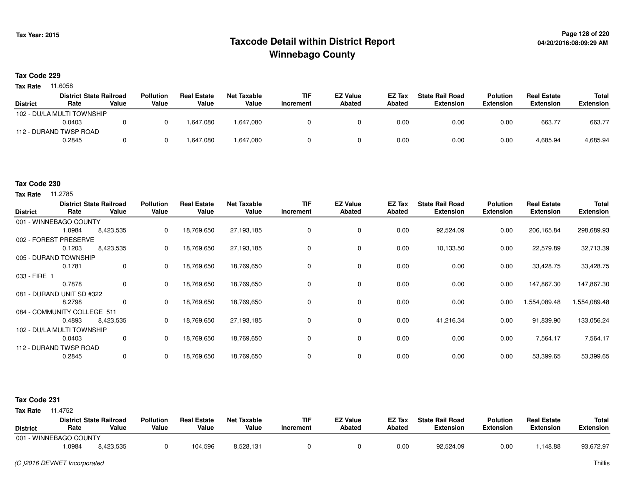## **Page 128 of 220 Taxcode Detail within District ReportWinnebago County**

#### **Tax Code 229**

**Tax Rate** 11.6058

|                 | <b>District State Railroad</b> |       | <b>Pollution</b> | <b>Real Estate</b> | Net Taxable | <b>TIF</b> | <b>EZ Value</b> | <b>EZ Tax</b> | <b>State Rail Road</b> | <b>Polution</b>  | <b>Real Estate</b> | Total            |
|-----------------|--------------------------------|-------|------------------|--------------------|-------------|------------|-----------------|---------------|------------------------|------------------|--------------------|------------------|
| <b>District</b> | Rate                           | Value | Value            | Value              | Value       | Increment  | <b>Abated</b>   | <b>Abated</b> | <b>Extension</b>       | <b>Extension</b> | <b>Extension</b>   | <b>Extension</b> |
|                 | 102 - DU/LA MULTI TOWNSHIP     |       |                  |                    |             |            |                 |               |                        |                  |                    |                  |
|                 | 0.0403                         |       |                  | 1.647.080          | 1,647,080   |            |                 | 0.00          | 0.00                   | 0.00             | 663.77             | 663.77           |
|                 | 112 - DURAND TWSP ROAD         |       |                  |                    |             |            |                 |               |                        |                  |                    |                  |
|                 | 0.2845                         |       |                  | 647,080.           | 1,647,080   |            |                 | 0.00          | 0.00                   | 0.00             | 4,685.94           | 4,685.94         |

### **Tax Code 230**

**Tax Rate** 11.2785

| <b>District</b>             | Rate   | <b>District State Railroad</b><br>Value | <b>Pollution</b><br>Value | <b>Real Estate</b><br>Value | <b>Net Taxable</b><br>Value | <b>TIF</b><br>Increment | <b>EZ Value</b><br>Abated | EZ Tax<br><b>Abated</b> | <b>State Rail Road</b><br><b>Extension</b> | <b>Polution</b><br><b>Extension</b> | <b>Real Estate</b><br><b>Extension</b> | Total<br><b>Extension</b> |
|-----------------------------|--------|-----------------------------------------|---------------------------|-----------------------------|-----------------------------|-------------------------|---------------------------|-------------------------|--------------------------------------------|-------------------------------------|----------------------------------------|---------------------------|
| 001 - WINNEBAGO COUNTY      |        |                                         |                           |                             |                             |                         |                           |                         |                                            |                                     |                                        |                           |
|                             | 1.0984 | 8,423,535                               | 0                         | 18,769,650                  | 27,193,185                  | 0                       | 0                         | 0.00                    | 92,524.09                                  | 0.00                                | 206,165.84                             | 298,689.93                |
| 002 - FOREST PRESERVE       |        |                                         |                           |                             |                             |                         |                           |                         |                                            |                                     |                                        |                           |
|                             | 0.1203 | 8,423,535                               | 0                         | 18,769,650                  | 27,193,185                  | 0                       | 0                         | 0.00                    | 10,133.50                                  | 0.00                                | 22,579.89                              | 32,713.39                 |
| 005 - DURAND TOWNSHIP       |        |                                         |                           |                             |                             |                         |                           |                         |                                            |                                     |                                        |                           |
|                             | 0.1781 | 0                                       | $\Omega$                  | 18,769,650                  | 18,769,650                  | 0                       | 0                         | 0.00                    | 0.00                                       | 0.00                                | 33,428.75                              | 33,428.75                 |
| 033 - FIRE 1                |        |                                         |                           |                             |                             |                         |                           |                         |                                            |                                     |                                        |                           |
|                             | 0.7878 | 0                                       | 0                         | 18,769,650                  | 18,769,650                  | $\Omega$                | $\mathbf 0$               | 0.00                    | 0.00                                       | 0.00                                | 147,867.30                             | 147,867.30                |
| 081 - DURAND UNIT SD #322   |        |                                         |                           |                             |                             |                         |                           |                         |                                            |                                     |                                        |                           |
|                             | 8.2798 | $\mathbf 0$                             | 0                         | 18,769,650                  | 18,769,650                  | 0                       | 0                         | 0.00                    | 0.00                                       | 0.00                                | 1,554,089.48                           | 1,554,089.48              |
| 084 - COMMUNITY COLLEGE 511 |        |                                         |                           |                             |                             |                         |                           |                         |                                            |                                     |                                        |                           |
|                             | 0.4893 | 8,423,535                               | 0                         | 18,769,650                  | 27,193,185                  | 0                       | 0                         | 0.00                    | 41,216.34                                  | 0.00                                | 91,839.90                              | 133,056.24                |
| 102 - DU/LA MULTI TOWNSHIP  |        |                                         |                           |                             |                             |                         |                           |                         |                                            |                                     |                                        |                           |
|                             | 0.0403 | 0                                       | 0                         | 18,769,650                  | 18,769,650                  | 0                       | 0                         | 0.00                    | 0.00                                       | 0.00                                | 7,564.17                               | 7,564.17                  |
| 112 - DURAND TWSP ROAD      |        |                                         |                           |                             |                             |                         |                           |                         |                                            |                                     |                                        |                           |
|                             | 0.2845 | $\mathbf 0$                             | 0                         | 18,769,650                  | 18,769,650                  |                         | $\mathbf 0$               | 0.00                    | 0.00                                       | 0.00                                | 53,399.65                              | 53,399.65                 |

#### **Tax Code 231**

| <b>District</b>        | Rate  | <b>District State Railroad</b><br>Value | <b>Pollution</b><br>Value | <b>Real Estate</b><br>Value | Net Taxable<br>Value | <b>TIF</b><br>'ncrement | <b>EZ Value</b><br>Abated | EZ Tax<br>Abated | <b>State Rail Road</b><br><b>Extension</b> | <b>Polution</b><br><b>Extension</b> | <b>Real Estate</b><br><b>Extension</b> | <b>Total</b><br>Extension |
|------------------------|-------|-----------------------------------------|---------------------------|-----------------------------|----------------------|-------------------------|---------------------------|------------------|--------------------------------------------|-------------------------------------|----------------------------------------|---------------------------|
| 001 - WINNEBAGO COUNTY |       |                                         |                           |                             |                      |                         |                           |                  |                                            |                                     |                                        |                           |
|                        | .0984 | 8,423,535                               |                           | 104,596                     | 8,528,131            |                         |                           | 0.00             | 92,524.09                                  | 0.00                                | .148.88                                | 93,672.97                 |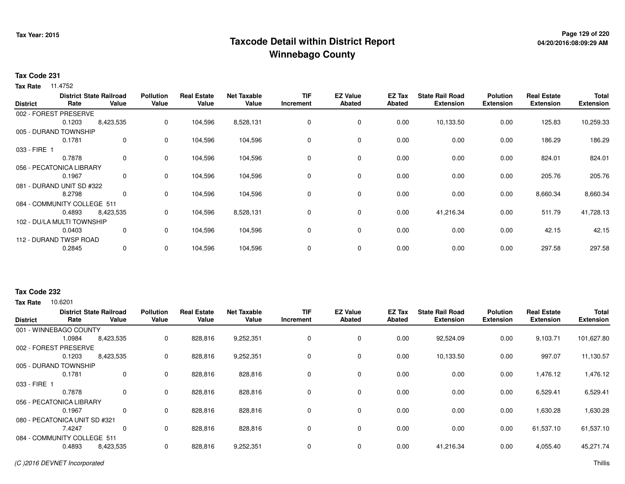## **Page 129 of 220 Taxcode Detail within District ReportWinnebago County**

### **Tax Code 231**

**Tax Rate** 11.4752

| <b>District</b>             | Rate   | <b>District State Railroad</b><br>Value | <b>Pollution</b><br>Value | Real<br>Estate<br>Value | <b>Net Taxable</b><br>Value | <b>TIF</b><br>Increment | <b>EZ Value</b><br><b>Abated</b> | EZ Tax<br><b>Abated</b> | <b>State Rail Road</b><br><b>Extension</b> | <b>Polution</b><br><b>Extension</b> | <b>Real Estate</b><br><b>Extension</b> | <b>Total</b><br><b>Extension</b> |
|-----------------------------|--------|-----------------------------------------|---------------------------|-------------------------|-----------------------------|-------------------------|----------------------------------|-------------------------|--------------------------------------------|-------------------------------------|----------------------------------------|----------------------------------|
| 002 - FOREST PRESERVE       |        |                                         |                           |                         |                             |                         |                                  |                         |                                            |                                     |                                        |                                  |
|                             | 0.1203 | 8,423,535                               | 0                         | 104,596                 | 8,528,131                   | 0                       | 0                                | 0.00                    | 10,133.50                                  | 0.00                                | 125.83                                 | 10,259.33                        |
| 005 - DURAND TOWNSHIP       |        |                                         |                           |                         |                             |                         |                                  |                         |                                            |                                     |                                        |                                  |
|                             | 0.1781 | $\mathbf 0$                             | 0                         | 104,596                 | 104,596                     | 0                       | 0                                | 0.00                    | 0.00                                       | 0.00                                | 186.29                                 | 186.29                           |
| 033 - FIRE 1                |        |                                         |                           |                         |                             |                         |                                  |                         |                                            |                                     |                                        |                                  |
|                             | 0.7878 | $\mathbf 0$                             | 0                         | 104,596                 | 104,596                     | 0                       | 0                                | 0.00                    | 0.00                                       | 0.00                                | 824.01                                 | 824.01                           |
| 056 - PECATONICA LIBRARY    |        |                                         |                           |                         |                             |                         |                                  |                         |                                            |                                     |                                        |                                  |
|                             | 0.1967 | 0                                       | 0                         | 104,596                 | 104,596                     | 0                       | 0                                | 0.00                    | 0.00                                       | 0.00                                | 205.76                                 | 205.76                           |
| 081 - DURAND UNIT SD #322   |        |                                         |                           |                         |                             |                         |                                  |                         |                                            |                                     |                                        |                                  |
|                             | 8.2798 | $\mathbf{0}$                            | 0                         | 104,596                 | 104,596                     | 0                       | 0                                | 0.00                    | 0.00                                       | 0.00                                | 8,660.34                               | 8,660.34                         |
| 084 - COMMUNITY COLLEGE 511 |        |                                         |                           |                         |                             |                         |                                  |                         |                                            |                                     |                                        |                                  |
|                             | 0.4893 | 8,423,535                               | 0                         | 104,596                 | 8,528,131                   | 0                       | $\mathbf 0$                      | 0.00                    | 41,216.34                                  | 0.00                                | 511.79                                 | 41,728.13                        |
| 102 - DU/LA MULTI TOWNSHIP  |        |                                         |                           |                         |                             |                         |                                  |                         |                                            |                                     |                                        |                                  |
|                             | 0.0403 | 0                                       | 0                         | 104,596                 | 104,596                     | 0                       | 0                                | 0.00                    | 0.00                                       | 0.00                                | 42.15                                  | 42.15                            |
| 112 - DURAND TWSP ROAD      |        |                                         |                           |                         |                             |                         |                                  |                         |                                            |                                     |                                        |                                  |
|                             | 0.2845 | $\mathbf{0}$                            | 0                         | 104,596                 | 104,596                     | 0                       | 0                                | 0.00                    | 0.00                                       | 0.00                                | 297.58                                 | 297.58                           |

### **Tax Code 232**

10.6201 **Tax Rate**

| <b>District</b> | Rate                          | <b>District State Railroad</b><br>Value | <b>Pollution</b><br>Value | <b>Real Estate</b><br>Value | <b>Net Taxable</b><br>Value | <b>TIF</b><br>Increment | <b>EZ Value</b><br><b>Abated</b> | <b>EZ Tax</b><br><b>Abated</b> | <b>State Rail Road</b><br><b>Extension</b> | <b>Polution</b><br><b>Extension</b> | <b>Real Estate</b><br><b>Extension</b> | <b>Total</b><br><b>Extension</b> |
|-----------------|-------------------------------|-----------------------------------------|---------------------------|-----------------------------|-----------------------------|-------------------------|----------------------------------|--------------------------------|--------------------------------------------|-------------------------------------|----------------------------------------|----------------------------------|
|                 | 001 - WINNEBAGO COUNTY        |                                         |                           |                             |                             |                         |                                  |                                |                                            |                                     |                                        |                                  |
|                 | 1.0984                        | 8,423,535                               | 0                         | 828,816                     | 9,252,351                   | $\mathbf 0$             | 0                                | 0.00                           | 92,524.09                                  | 0.00                                | 9,103.71                               | 101,627.80                       |
|                 | 002 - FOREST PRESERVE         |                                         |                           |                             |                             |                         |                                  |                                |                                            |                                     |                                        |                                  |
|                 | 0.1203                        | 8,423,535                               | 0                         | 828,816                     | 9,252,351                   | 0                       | $\mathbf 0$                      | 0.00                           | 10,133.50                                  | 0.00                                | 997.07                                 | 11,130.57                        |
|                 | 005 - DURAND TOWNSHIP         |                                         |                           |                             |                             |                         |                                  |                                |                                            |                                     |                                        |                                  |
|                 | 0.1781                        | 0                                       | 0                         | 828,816                     | 828,816                     | 0                       | 0                                | 0.00                           | 0.00                                       | 0.00                                | 1,476.12                               | 1,476.12                         |
| 033 - FIRE 1    |                               |                                         |                           |                             |                             |                         |                                  |                                |                                            |                                     |                                        |                                  |
|                 | 0.7878                        | 0                                       | 0                         | 828,816                     | 828,816                     | 0                       | 0                                | 0.00                           | 0.00                                       | 0.00                                | 6,529.41                               | 6,529.41                         |
|                 | 056 - PECATONICA LIBRARY      |                                         |                           |                             |                             |                         |                                  |                                |                                            |                                     |                                        |                                  |
|                 | 0.1967                        | 0                                       | 0                         | 828,816                     | 828,816                     | 0                       | 0                                | 0.00                           | 0.00                                       | 0.00                                | 1,630.28                               | 1,630.28                         |
|                 | 080 - PECATONICA UNIT SD #321 |                                         |                           |                             |                             |                         |                                  |                                |                                            |                                     |                                        |                                  |
|                 | 7.4247                        | 0                                       | 0                         | 828,816                     | 828,816                     | 0                       | 0                                | 0.00                           | 0.00                                       | 0.00                                | 61,537.10                              | 61,537.10                        |
|                 | 084 - COMMUNITY COLLEGE 511   |                                         |                           |                             |                             |                         |                                  |                                |                                            |                                     |                                        |                                  |
|                 | 0.4893                        | 8,423,535                               | 0                         | 828,816                     | 9,252,351                   | $\mathbf 0$             | 0                                | 0.00                           | 41,216.34                                  | 0.00                                | 4,055.40                               | 45,271.74                        |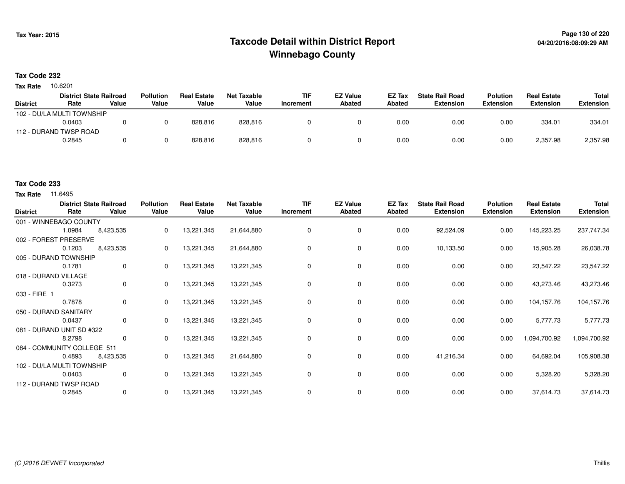## **Page 130 of 220 Taxcode Detail within District ReportWinnebago County**

#### **Tax Code 232**

10.6201 **Tax Rate**

|                 | <b>District State Railroad</b> |       | <b>Pollution</b> | <b>Real Estate</b> | Net Taxable | <b>TIF</b> | <b>EZ Value</b> | EZ Tax | <b>State Rail Road</b> | <b>Polution</b>  | <b>Real Estate</b> | Total            |
|-----------------|--------------------------------|-------|------------------|--------------------|-------------|------------|-----------------|--------|------------------------|------------------|--------------------|------------------|
| <b>District</b> | Rate                           | Value | Value            | Value              | Value       | Increment  | <b>Abated</b>   | Abated | Extension              | <b>Extension</b> | <b>Extension</b>   | <b>Extension</b> |
|                 | 102 - DU/LA MULTI TOWNSHIP     |       |                  |                    |             |            |                 |        |                        |                  |                    |                  |
|                 | 0.0403                         |       |                  | 828.816            | 828.816     |            |                 | 0.00   | 0.00                   | 0.00             | 334.01             | 334.01           |
|                 | 112 - DURAND TWSP ROAD         |       |                  |                    |             |            |                 |        |                        |                  |                    |                  |
|                 | 0.2845                         |       |                  | 828,816            | 828,816     |            |                 | 0.00   | 0.00                   | 0.00             | 2,357.98           | 2,357.98         |

### **Tax Code 233**

| <b>District</b> | <b>District State Railroad</b><br>Rate | Value       | <b>Pollution</b><br>Value | <b>Real Estate</b><br>Value | <b>Net Taxable</b><br>Value | <b>TIF</b><br>Increment | <b>EZ Value</b><br><b>Abated</b> | EZ Tax<br><b>Abated</b> | <b>State Rail Road</b><br><b>Extension</b> | <b>Polution</b><br><b>Extension</b> | <b>Real Estate</b><br><b>Extension</b> | Total<br><b>Extension</b> |
|-----------------|----------------------------------------|-------------|---------------------------|-----------------------------|-----------------------------|-------------------------|----------------------------------|-------------------------|--------------------------------------------|-------------------------------------|----------------------------------------|---------------------------|
|                 | 001 - WINNEBAGO COUNTY                 |             |                           |                             |                             |                         |                                  |                         |                                            |                                     |                                        |                           |
|                 | 1.0984                                 | 8,423,535   | 0                         | 13,221,345                  | 21,644,880                  | 0                       | 0                                | 0.00                    | 92,524.09                                  | 0.00                                | 145,223.25                             | 237,747.34                |
|                 | 002 - FOREST PRESERVE                  |             |                           |                             |                             |                         |                                  |                         |                                            |                                     |                                        |                           |
|                 | 0.1203                                 | 8,423,535   | 0                         | 13,221,345                  | 21,644,880                  | 0                       | 0                                | 0.00                    | 10,133.50                                  | 0.00                                | 15,905.28                              | 26,038.78                 |
|                 | 005 - DURAND TOWNSHIP                  |             |                           |                             |                             |                         |                                  |                         |                                            |                                     |                                        |                           |
|                 | 0.1781                                 | $\mathbf 0$ | $\mathbf{0}$              | 13,221,345                  | 13,221,345                  | 0                       | 0                                | 0.00                    | 0.00                                       | 0.00                                | 23,547.22                              | 23,547.22                 |
|                 | 018 - DURAND VILLAGE                   |             |                           |                             |                             |                         |                                  |                         |                                            |                                     |                                        |                           |
|                 | 0.3273                                 | 0           | 0                         | 13,221,345                  | 13,221,345                  | 0                       | 0                                | 0.00                    | 0.00                                       | 0.00                                | 43,273.46                              | 43,273.46                 |
| 033 - FIRE 1    |                                        |             |                           |                             |                             |                         |                                  |                         |                                            |                                     |                                        |                           |
|                 | 0.7878                                 | $\mathbf 0$ | 0                         | 13,221,345                  | 13,221,345                  | 0                       | 0                                | 0.00                    | 0.00                                       | 0.00                                | 104,157.76                             | 104,157.76                |
|                 | 050 - DURAND SANITARY                  |             |                           |                             |                             |                         |                                  |                         |                                            |                                     |                                        |                           |
|                 | 0.0437                                 | 0           | $\Omega$                  | 13,221,345                  | 13,221,345                  | 0                       | 0                                | 0.00                    | 0.00                                       | 0.00                                | 5,777.73                               | 5,777.73                  |
|                 | 081 - DURAND UNIT SD #322              |             |                           |                             |                             |                         |                                  |                         |                                            |                                     |                                        |                           |
|                 | 8.2798                                 | 0           | $\Omega$                  | 13,221,345                  | 13,221,345                  | 0                       | 0                                | 0.00                    | 0.00                                       | 0.00                                | 1,094,700.92                           | 1,094,700.92              |
|                 | 084 - COMMUNITY COLLEGE 511            |             |                           |                             |                             |                         |                                  |                         |                                            |                                     |                                        |                           |
|                 | 0.4893                                 | 8,423,535   | 0                         | 13,221,345                  | 21,644,880                  | 0                       | $\mathbf 0$                      | 0.00                    | 41,216.34                                  | 0.00                                | 64,692.04                              | 105,908.38                |
|                 | 102 - DU/LA MULTI TOWNSHIP             |             |                           |                             |                             |                         |                                  |                         |                                            |                                     |                                        |                           |
|                 | 0.0403                                 | 0           | 0                         | 13,221,345                  | 13,221,345                  | 0                       | 0                                | 0.00                    | 0.00                                       | 0.00                                | 5,328.20                               | 5,328.20                  |
|                 | 112 - DURAND TWSP ROAD                 |             |                           |                             |                             |                         |                                  |                         |                                            |                                     |                                        |                           |
|                 | 0.2845                                 | 0           | 0                         | 13,221,345                  | 13,221,345                  | 0                       | 0                                | 0.00                    | 0.00                                       | 0.00                                | 37,614.73                              | 37,614.73                 |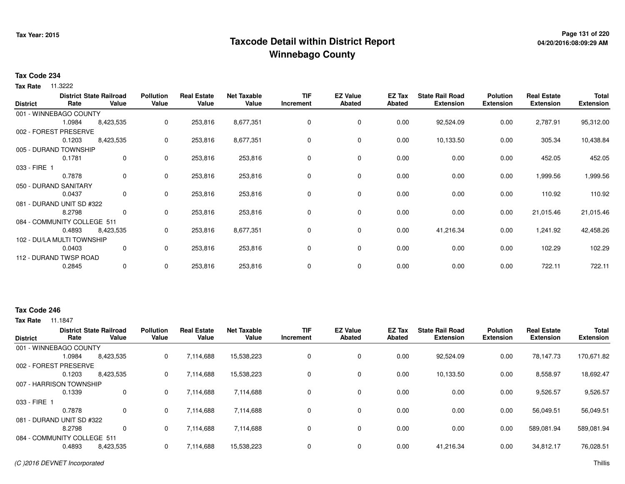## **Page 131 of 220 Taxcode Detail within District ReportWinnebago County**

### **Tax Code 234**

**Tax Rate** 11.3222

| <b>District</b> | Rate                        | <b>District State Railroad</b><br>Value | <b>Pollution</b><br>Value | <b>Real Estate</b><br>Value | <b>Net Taxable</b><br>Value | <b>TIF</b><br>Increment | <b>EZ Value</b><br><b>Abated</b> | EZ Tax<br><b>Abated</b> | <b>State Rail Road</b><br><b>Extension</b> | <b>Polution</b><br><b>Extension</b> | <b>Real Estate</b><br><b>Extension</b> | <b>Total</b><br><b>Extension</b> |
|-----------------|-----------------------------|-----------------------------------------|---------------------------|-----------------------------|-----------------------------|-------------------------|----------------------------------|-------------------------|--------------------------------------------|-------------------------------------|----------------------------------------|----------------------------------|
|                 | 001 - WINNEBAGO COUNTY      |                                         |                           |                             |                             |                         |                                  |                         |                                            |                                     |                                        |                                  |
|                 | 1.0984                      | 8,423,535                               | 0                         | 253,816                     | 8,677,351                   | 0                       | 0                                | 0.00                    | 92,524.09                                  | 0.00                                | 2,787.91                               | 95,312.00                        |
|                 | 002 - FOREST PRESERVE       |                                         |                           |                             |                             |                         |                                  |                         |                                            |                                     |                                        |                                  |
|                 | 0.1203                      | 8,423,535                               | 0                         | 253,816                     | 8,677,351                   | 0                       | 0                                | 0.00                    | 10,133.50                                  | 0.00                                | 305.34                                 | 10,438.84                        |
|                 | 005 - DURAND TOWNSHIP       |                                         |                           |                             |                             |                         |                                  |                         |                                            |                                     |                                        |                                  |
|                 | 0.1781                      | $\mathbf 0$                             | 0                         | 253,816                     | 253,816                     | 0                       | 0                                | 0.00                    | 0.00                                       | 0.00                                | 452.05                                 | 452.05                           |
| 033 - FIRE 1    |                             |                                         |                           |                             |                             |                         |                                  |                         |                                            |                                     |                                        |                                  |
|                 | 0.7878                      | $\mathbf 0$                             | 0                         | 253,816                     | 253,816                     | 0                       | 0                                | 0.00                    | 0.00                                       | 0.00                                | ,999.56                                | 1,999.56                         |
|                 | 050 - DURAND SANITARY       |                                         |                           |                             |                             |                         |                                  |                         |                                            |                                     |                                        |                                  |
|                 | 0.0437                      | $\mathbf{0}$                            | 0                         | 253,816                     | 253,816                     | 0                       | 0                                | 0.00                    | 0.00                                       | 0.00                                | 110.92                                 | 110.92                           |
|                 | 081 - DURAND UNIT SD #322   |                                         |                           |                             |                             |                         |                                  |                         |                                            |                                     |                                        |                                  |
|                 | 8.2798                      | 0                                       | 0                         | 253,816                     | 253,816                     | 0                       | 0                                | 0.00                    | 0.00                                       | 0.00                                | 21,015.46                              | 21,015.46                        |
|                 | 084 - COMMUNITY COLLEGE 511 |                                         |                           |                             |                             |                         |                                  |                         |                                            |                                     |                                        |                                  |
|                 | 0.4893                      | 8,423,535                               | 0                         | 253,816                     | 8,677,351                   | 0                       | 0                                | 0.00                    | 41,216.34                                  | 0.00                                | 1,241.92                               | 42,458.26                        |
|                 | 102 - DU/LA MULTI TOWNSHIP  |                                         |                           |                             |                             |                         |                                  |                         |                                            |                                     |                                        |                                  |
|                 | 0.0403                      | 0                                       | 0                         | 253,816                     | 253,816                     | 0                       | $\mathbf 0$                      | 0.00                    | 0.00                                       | 0.00                                | 102.29                                 | 102.29                           |
|                 | 112 - DURAND TWSP ROAD      |                                         |                           |                             |                             |                         |                                  |                         |                                            |                                     |                                        |                                  |
|                 | 0.2845                      | $\mathbf{0}$                            | 0                         | 253,816                     | 253,816                     | 0                       | 0                                | 0.00                    | 0.00                                       | 0.00                                | 722.11                                 | 722.11                           |

### **Tax Code 246**

| <b>District</b>             | Rate   | <b>District State Railroad</b><br>Value | <b>Pollution</b><br>Value | <b>Real Estate</b><br>Value | <b>Net Taxable</b><br>Value | TIF<br>Increment | <b>EZ Value</b><br>Abated | EZ Tax<br>Abated | <b>State Rail Road</b><br><b>Extension</b> | Polution<br><b>Extension</b> | <b>Real Estate</b><br><b>Extension</b> | <b>Total</b><br><b>Extension</b> |
|-----------------------------|--------|-----------------------------------------|---------------------------|-----------------------------|-----------------------------|------------------|---------------------------|------------------|--------------------------------------------|------------------------------|----------------------------------------|----------------------------------|
|                             |        |                                         |                           |                             |                             |                  |                           |                  |                                            |                              |                                        |                                  |
| 001 - WINNEBAGO COUNTY      |        |                                         |                           |                             |                             |                  |                           |                  |                                            |                              |                                        |                                  |
|                             | 1.0984 | 8,423,535                               | 0                         | 7,114,688                   | 15,538,223                  |                  | $\mathbf 0$               | 0.00             | 92,524.09                                  | 0.00                         | 78,147.73                              | 170,671.82                       |
| 002 - FOREST PRESERVE       |        |                                         |                           |                             |                             |                  |                           |                  |                                            |                              |                                        |                                  |
|                             | 0.1203 | 8,423,535                               | 0                         | 7,114,688                   | 15,538,223                  |                  | $\mathbf 0$               | 0.00             | 10,133.50                                  | 0.00                         | 8,558.97                               | 18,692.47                        |
| 007 - HARRISON TOWNSHIP     |        |                                         |                           |                             |                             |                  |                           |                  |                                            |                              |                                        |                                  |
|                             | 0.1339 | 0                                       | 0                         | 7,114,688                   | 7,114,688                   |                  | 0                         | 0.00             | 0.00                                       | 0.00                         | 9,526.57                               | 9,526.57                         |
| 033 - FIRE 1                |        |                                         |                           |                             |                             |                  |                           |                  |                                            |                              |                                        |                                  |
|                             | 0.7878 | 0                                       | 0                         | 7.114.688                   | 7.114.688                   |                  | $\mathbf 0$               | 0.00             | 0.00                                       | 0.00                         | 56.049.51                              | 56,049.51                        |
| 081 - DURAND UNIT SD #322   |        |                                         |                           |                             |                             |                  |                           |                  |                                            |                              |                                        |                                  |
|                             | 8.2798 | 0                                       | 0                         | 7,114,688                   | 7,114,688                   |                  | $\mathbf 0$               | 0.00             | 0.00                                       | 0.00                         | 589.081.94                             | 589,081.94                       |
| 084 - COMMUNITY COLLEGE 511 |        |                                         |                           |                             |                             |                  |                           |                  |                                            |                              |                                        |                                  |
|                             | 0.4893 | 8,423,535                               | 0                         | 7,114,688                   | 15,538,223                  |                  | $\mathbf 0$               | 0.00             | 41,216.34                                  | 0.00                         | 34.812.17                              | 76,028.51                        |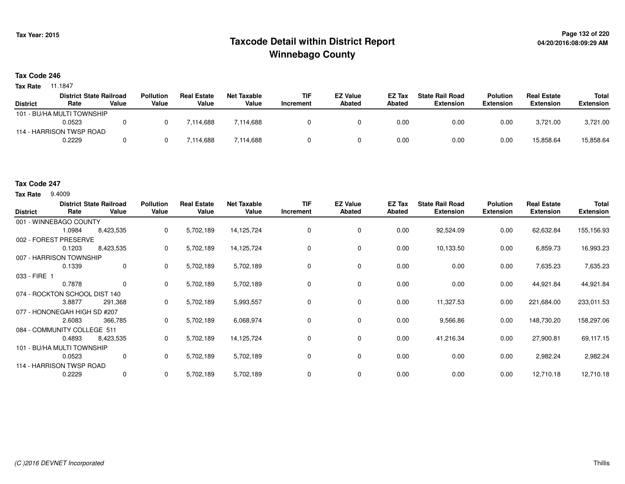## **Page 132 of 220 Taxcode Detail within District ReportWinnebago County**

### **Tax Code 246**

**Tax Rate** 11.1847

|                 | <b>District State Railroad</b> |       | <b>Pollution</b> | I Estate<br>Real | Net Taxable | TIF       | <b>EZ Value</b> | <b>EZ Tax</b> | <b>State Rail Road</b> | <b>Polution</b>  | <b>Real Estate</b> | Total            |
|-----------------|--------------------------------|-------|------------------|------------------|-------------|-----------|-----------------|---------------|------------------------|------------------|--------------------|------------------|
| <b>District</b> | Rate                           | Value | Value            | Value            | Value       | Increment | Abated          | Abated        | <b>Extension</b>       | <b>Extension</b> | <b>Extension</b>   | <b>Extension</b> |
|                 | 101 - BU/HA MULTI TOWNSHIP     |       |                  |                  |             |           |                 |               |                        |                  |                    |                  |
|                 | 0.0523                         |       |                  | 7.114.688        | 7,114,688   |           |                 | 0.00          | 0.00                   | 0.00             | 3.721.00           | 3,721.00         |
|                 | 114 - HARRISON TWSP ROAD       |       |                  |                  |             |           |                 |               |                        |                  |                    |                  |
|                 | 0.2229                         |       |                  | 7,114,688        | 7,114,688   |           |                 | 0.00          | 0.00                   | 0.00             | 15,858.64          | 15,858.64        |

### **Tax Code 247**

**Tax Rate** 9.4009

| <b>District</b>               | Rate   | <b>District State Railroad</b><br>Value | <b>Pollution</b><br>Value | <b>Real Estate</b><br>Value | <b>Net Taxable</b><br>Value | <b>TIF</b><br>Increment | <b>EZ Value</b><br><b>Abated</b> | EZ Tax<br><b>Abated</b> | <b>State Rail Road</b><br><b>Extension</b> | <b>Polution</b><br><b>Extension</b> | <b>Real Estate</b><br><b>Extension</b> | <b>Total</b><br><b>Extension</b> |
|-------------------------------|--------|-----------------------------------------|---------------------------|-----------------------------|-----------------------------|-------------------------|----------------------------------|-------------------------|--------------------------------------------|-------------------------------------|----------------------------------------|----------------------------------|
| 001 - WINNEBAGO COUNTY        |        |                                         |                           |                             |                             |                         |                                  |                         |                                            |                                     |                                        |                                  |
|                               | 1.0984 | 8,423,535                               | 0                         | 5,702,189                   | 14,125,724                  | 0                       | 0                                | 0.00                    | 92,524.09                                  | 0.00                                | 62,632.84                              | 155,156.93                       |
| 002 - FOREST PRESERVE         |        |                                         |                           |                             |                             |                         |                                  |                         |                                            |                                     |                                        |                                  |
|                               | 0.1203 | 8,423,535                               | 0                         | 5,702,189                   | 14,125,724                  | 0                       | 0                                | 0.00                    | 10,133.50                                  | 0.00                                | 6,859.73                               | 16,993.23                        |
| 007 - HARRISON TOWNSHIP       |        |                                         |                           |                             |                             |                         |                                  |                         |                                            |                                     |                                        |                                  |
|                               | 0.1339 | 0                                       | 0                         | 5,702,189                   | 5,702,189                   | 0                       | 0                                | 0.00                    | 0.00                                       | 0.00                                | 7,635.23                               | 7,635.23                         |
| 033 - FIRE 1                  |        |                                         |                           |                             |                             |                         |                                  |                         |                                            |                                     |                                        |                                  |
|                               | 0.7878 | $\mathbf 0$                             | $\mathbf{0}$              | 5,702,189                   | 5,702,189                   | 0                       | 0                                | 0.00                    | 0.00                                       | 0.00                                | 44,921.84                              | 44,921.84                        |
| 074 - ROCKTON SCHOOL DIST 140 |        |                                         |                           |                             |                             |                         |                                  |                         |                                            |                                     |                                        |                                  |
|                               | 3.8877 | 291,368                                 | 0                         | 5,702,189                   | 5,993,557                   | 0                       | 0                                | 0.00                    | 11,327.53                                  | 0.00                                | 221,684.00                             | 233,011.53                       |
| 077 - HONONEGAH HIGH SD #207  |        |                                         |                           |                             |                             |                         |                                  |                         |                                            |                                     |                                        |                                  |
|                               | 2.6083 | 366,785                                 | 0                         | 5,702,189                   | 6,068,974                   | 0                       | $\mathbf 0$                      | 0.00                    | 9,566.86                                   | 0.00                                | 148,730.20                             | 158,297.06                       |
| 084 - COMMUNITY COLLEGE 511   |        |                                         |                           |                             |                             |                         |                                  |                         |                                            |                                     |                                        |                                  |
|                               | 0.4893 | 8,423,535                               | 0                         | 5,702,189                   | 14,125,724                  | 0                       | 0                                | 0.00                    | 41,216.34                                  | 0.00                                | 27,900.81                              | 69,117.15                        |
| 101 - BU/HA MULTI TOWNSHIP    |        |                                         |                           |                             |                             |                         |                                  |                         |                                            |                                     |                                        |                                  |
|                               | 0.0523 | 0                                       | 0                         | 5,702,189                   | 5,702,189                   | 0                       | $\mathbf 0$                      | 0.00                    | 0.00                                       | 0.00                                | 2,982.24                               | 2,982.24                         |
| 114 - HARRISON TWSP ROAD      |        |                                         |                           |                             |                             |                         |                                  |                         |                                            |                                     |                                        |                                  |
|                               | 0.2229 | 0                                       | 0                         | 5,702,189                   | 5,702,189                   | 0                       | 0                                | 0.00                    | 0.00                                       | 0.00                                | 12,710.18                              | 12,710.18                        |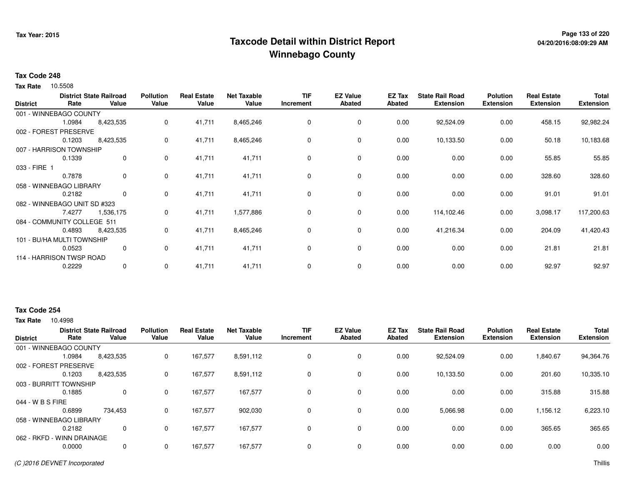## **Page 133 of 220 Taxcode Detail within District ReportWinnebago County**

### **Tax Code 248**

10.5508 **Tax Rate**

| <b>District</b>              | Rate                     | <b>District State Railroad</b><br>Value | <b>Pollution</b><br>Value | <b>Real Estate</b><br>Value | <b>Net Taxable</b><br>Value | <b>TIF</b><br>Increment | <b>EZ Value</b><br>Abated | EZ Tax<br>Abated | <b>State Rail Road</b><br><b>Extension</b> | <b>Polution</b><br><b>Extension</b> | <b>Real Estate</b><br><b>Extension</b> | <b>Total</b><br><b>Extension</b> |
|------------------------------|--------------------------|-----------------------------------------|---------------------------|-----------------------------|-----------------------------|-------------------------|---------------------------|------------------|--------------------------------------------|-------------------------------------|----------------------------------------|----------------------------------|
| 001 - WINNEBAGO COUNTY       |                          |                                         |                           |                             |                             |                         |                           |                  |                                            |                                     |                                        |                                  |
|                              | 1.0984                   | 8,423,535                               | 0                         | 41,711                      | 8,465,246                   | 0                       | 0                         | 0.00             | 92,524.09                                  | 0.00                                | 458.15                                 | 92,982.24                        |
| 002 - FOREST PRESERVE        |                          |                                         |                           |                             |                             |                         |                           |                  |                                            |                                     |                                        |                                  |
|                              | 0.1203                   | 8,423,535                               | 0                         | 41,711                      | 8,465,246                   | 0                       | 0                         | 0.00             | 10,133.50                                  | 0.00                                | 50.18                                  | 10,183.68                        |
| 007 - HARRISON TOWNSHIP      |                          |                                         |                           |                             |                             |                         |                           |                  |                                            |                                     |                                        |                                  |
|                              | 0.1339                   | $\mathbf 0$                             | 0                         | 41,711                      | 41,711                      | 0                       | 0                         | 0.00             | 0.00                                       | 0.00                                | 55.85                                  | 55.85                            |
| 033 - FIRE 1                 |                          |                                         |                           |                             |                             |                         |                           |                  |                                            |                                     |                                        |                                  |
|                              | 0.7878                   | $\mathbf{0}$                            | 0                         | 41,711                      | 41,711                      | 0                       | 0                         | 0.00             | 0.00                                       | 0.00                                | 328.60                                 | 328.60                           |
| 058 - WINNEBAGO LIBRARY      |                          |                                         |                           |                             |                             |                         |                           |                  |                                            |                                     |                                        |                                  |
|                              | 0.2182                   | $\mathbf{0}$                            | 0                         | 41,711                      | 41,711                      | 0                       | 0                         | 0.00             | 0.00                                       | 0.00                                | 91.01                                  | 91.01                            |
| 082 - WINNEBAGO UNIT SD #323 |                          |                                         |                           |                             |                             |                         |                           |                  |                                            |                                     |                                        |                                  |
|                              | 7.4277                   | 1,536,175                               | 0                         | 41,711                      | 1,577,886                   | 0                       | 0                         | 0.00             | 114,102.46                                 | 0.00                                | 3,098.17                               | 117,200.63                       |
| 084 - COMMUNITY COLLEGE 511  |                          |                                         |                           |                             |                             |                         |                           |                  |                                            |                                     |                                        |                                  |
|                              | 0.4893                   | 8,423,535                               | 0                         | 41,711                      | 8,465,246                   | 0                       | 0                         | 0.00             | 41,216.34                                  | 0.00                                | 204.09                                 | 41,420.43                        |
| 101 - BU/HA MULTI TOWNSHIP   |                          |                                         |                           |                             |                             |                         |                           |                  |                                            |                                     |                                        |                                  |
|                              | 0.0523                   | 0                                       | 0                         | 41,711                      | 41,711                      | 0                       | 0                         | 0.00             | 0.00                                       | 0.00                                | 21.81                                  | 21.81                            |
|                              | 114 - HARRISON TWSP ROAD |                                         |                           |                             |                             |                         |                           |                  |                                            |                                     |                                        |                                  |
|                              | 0.2229                   | 0                                       | 0                         | 41,711                      | 41,711                      | 0                       | 0                         | 0.00             | 0.00                                       | 0.00                                | 92.97                                  | 92.97                            |

### **Tax Code 254**

| <b>District</b>  | Rate                       | <b>District State Railroad</b><br>Value | <b>Pollution</b><br>Value | <b>Real Estate</b><br>Value | <b>Net Taxable</b><br>Value | <b>TIF</b><br>Increment | <b>EZ Value</b><br><b>Abated</b> | <b>EZ Tax</b><br><b>Abated</b> | <b>State Rail Road</b><br><b>Extension</b> | <b>Polution</b><br><b>Extension</b> | <b>Real Estate</b><br><b>Extension</b> | <b>Total</b><br><b>Extension</b> |
|------------------|----------------------------|-----------------------------------------|---------------------------|-----------------------------|-----------------------------|-------------------------|----------------------------------|--------------------------------|--------------------------------------------|-------------------------------------|----------------------------------------|----------------------------------|
|                  | 001 - WINNEBAGO COUNTY     |                                         |                           |                             |                             |                         |                                  |                                |                                            |                                     |                                        |                                  |
|                  | 1.0984                     | 8,423,535                               | 0                         | 167,577                     | 8,591,112                   | 0                       | 0                                | 0.00                           | 92,524.09                                  | 0.00                                | 1,840.67                               | 94,364.76                        |
|                  | 002 - FOREST PRESERVE      |                                         |                           |                             |                             |                         |                                  |                                |                                            |                                     |                                        |                                  |
|                  | 0.1203                     | 8,423,535                               | 0                         | 167,577                     | 8,591,112                   | $\mathbf 0$             | 0                                | 0.00                           | 10,133.50                                  | 0.00                                | 201.60                                 | 10,335.10                        |
|                  | 003 - BURRITT TOWNSHIP     |                                         |                           |                             |                             |                         |                                  |                                |                                            |                                     |                                        |                                  |
|                  | 0.1885                     | 0                                       | 0                         | 167,577                     | 167,577                     | 0                       | 0                                | 0.00                           | 0.00                                       | 0.00                                | 315.88                                 | 315.88                           |
| 044 - W B S FIRE |                            |                                         |                           |                             |                             |                         |                                  |                                |                                            |                                     |                                        |                                  |
|                  | 0.6899                     | 734,453                                 | 0                         | 167,577                     | 902,030                     | 0                       | 0                                | 0.00                           | 5,066.98                                   | 0.00                                | 1,156.12                               | 6,223.10                         |
|                  | 058 - WINNEBAGO LIBRARY    |                                         |                           |                             |                             |                         |                                  |                                |                                            |                                     |                                        |                                  |
|                  | 0.2182                     | 0                                       | 0                         | 167,577                     | 167,577                     | 0                       | 0                                | 0.00                           | 0.00                                       | 0.00                                | 365.65                                 | 365.65                           |
|                  | 062 - RKFD - WINN DRAINAGE |                                         |                           |                             |                             |                         |                                  |                                |                                            |                                     |                                        |                                  |
|                  | 0.0000                     | 0                                       | 0                         | 167,577                     | 167,577                     | 0                       | 0                                | 0.00                           | 0.00                                       | 0.00                                | 0.00                                   | 0.00                             |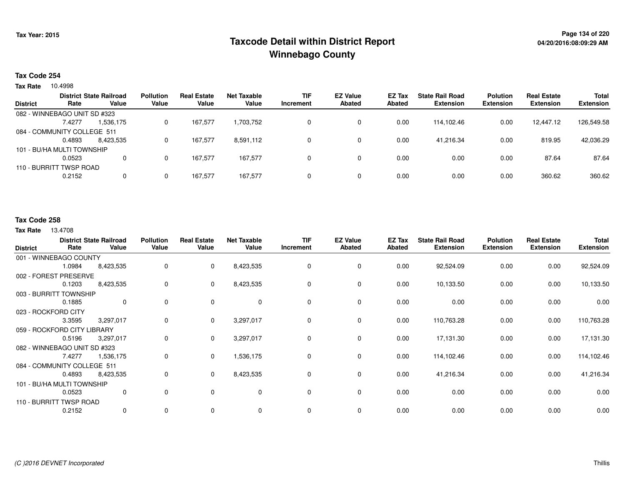## **Page 134 of 220 Taxcode Detail within District ReportWinnebago County**

### **Tax Code 254**

**Tax Rate** 10.4998

|                 |                              | <b>District State Railroad</b> | <b>Pollution</b> | <b>Real Estate</b> | <b>Net Taxable</b> | <b>TIF</b> | <b>EZ Value</b> | EZ Tax | <b>State Rail Road</b> | <b>Polution</b>  | <b>Real Estate</b> | <b>Total</b>     |
|-----------------|------------------------------|--------------------------------|------------------|--------------------|--------------------|------------|-----------------|--------|------------------------|------------------|--------------------|------------------|
| <b>District</b> | Rate                         | Value                          | Value            | Value              | Value              | Increment  | Abated          | Abated | <b>Extension</b>       | <b>Extension</b> | <b>Extension</b>   | <b>Extension</b> |
|                 | 082 - WINNEBAGO UNIT SD #323 |                                |                  |                    |                    |            |                 |        |                        |                  |                    |                  |
|                 | 7.4277                       | 1,536,175                      | 0                | 167,577            | 1,703,752          | 0          | 0               | 0.00   | 114.102.46             | 0.00             | 12.447.12          | 126,549.58       |
|                 | 084 - COMMUNITY COLLEGE 511  |                                |                  |                    |                    |            |                 |        |                        |                  |                    |                  |
|                 | 0.4893                       | 8.423.535                      | 0                | 167,577            | 8,591,112          | 0          | 0               | 0.00   | 41.216.34              | 0.00             | 819.95             | 42,036.29        |
|                 | 101 - BU/HA MULTI TOWNSHIP   |                                |                  |                    |                    |            |                 |        |                        |                  |                    |                  |
|                 | 0.0523                       |                                | 0                | 167.577            | 167.577            | 0          | $\Omega$        | 0.00   | 0.00                   | 0.00             | 87.64              | 87.64            |
|                 | 110 - BURRITT TWSP ROAD      |                                |                  |                    |                    |            |                 |        |                        |                  |                    |                  |
|                 | 0.2152                       | 0                              | 0                | 167.577            | 167.577            | 0          | 0               | 0.00   | 0.00                   | 0.00             | 360.62             | 360.62           |
|                 |                              |                                |                  |                    |                    |            |                 |        |                        |                  |                    |                  |

### **Tax Code 258**

|                     | Rate                         | <b>District State Railroad</b><br>Value | <b>Pollution</b><br>Value | <b>Real Estate</b><br>Value | <b>Net Taxable</b><br>Value | <b>TIF</b><br>Increment | <b>EZ Value</b><br><b>Abated</b> | EZ Tax<br><b>Abated</b> | <b>State Rail Road</b><br><b>Extension</b> | <b>Polution</b><br><b>Extension</b> | <b>Real Estate</b><br><b>Extension</b> | <b>Total</b><br><b>Extension</b> |
|---------------------|------------------------------|-----------------------------------------|---------------------------|-----------------------------|-----------------------------|-------------------------|----------------------------------|-------------------------|--------------------------------------------|-------------------------------------|----------------------------------------|----------------------------------|
| <b>District</b>     |                              |                                         |                           |                             |                             |                         |                                  |                         |                                            |                                     |                                        |                                  |
|                     | 001 - WINNEBAGO COUNTY       |                                         |                           |                             |                             |                         |                                  |                         |                                            |                                     |                                        |                                  |
|                     | 1.0984                       | 8,423,535                               | 0                         | $\mathbf{0}$                | 8,423,535                   | 0                       | 0                                | 0.00                    | 92,524.09                                  | 0.00                                | 0.00                                   | 92,524.09                        |
|                     | 002 - FOREST PRESERVE        |                                         |                           |                             |                             |                         |                                  |                         |                                            |                                     |                                        |                                  |
|                     | 0.1203                       | 8,423,535                               | 0                         | $\mathbf{0}$                | 8,423,535                   | 0                       | 0                                | 0.00                    | 10,133.50                                  | 0.00                                | 0.00                                   | 10,133.50                        |
|                     | 003 - BURRITT TOWNSHIP       |                                         |                           |                             |                             |                         |                                  |                         |                                            |                                     |                                        |                                  |
|                     | 0.1885                       | $\mathbf 0$                             | 0                         | 0                           | $\mathbf 0$                 | 0                       | 0                                | 0.00                    | 0.00                                       | 0.00                                | 0.00                                   | 0.00                             |
| 023 - ROCKFORD CITY |                              |                                         |                           |                             |                             |                         |                                  |                         |                                            |                                     |                                        |                                  |
|                     | 3.3595                       | 3,297,017                               | 0                         | $\mathbf{0}$                | 3,297,017                   | 0                       | $\mathbf 0$                      | 0.00                    | 110,763.28                                 | 0.00                                | 0.00                                   | 110,763.28                       |
|                     | 059 - ROCKFORD CITY LIBRARY  |                                         |                           |                             |                             |                         |                                  |                         |                                            |                                     |                                        |                                  |
|                     | 0.5196                       | 3,297,017                               | 0                         | $\mathbf 0$                 | 3,297,017                   | 0                       | 0                                | 0.00                    | 17,131.30                                  | 0.00                                | 0.00                                   | 17,131.30                        |
|                     | 082 - WINNEBAGO UNIT SD #323 |                                         |                           |                             |                             |                         |                                  |                         |                                            |                                     |                                        |                                  |
|                     | 7.4277                       | 1,536,175                               | 0                         | $\mathbf{0}$                | 1,536,175                   | 0                       | 0                                | 0.00                    | 114,102.46                                 | 0.00                                | 0.00                                   | 114,102.46                       |
|                     | 084 - COMMUNITY COLLEGE 511  |                                         |                           |                             |                             |                         |                                  |                         |                                            |                                     |                                        |                                  |
|                     | 0.4893                       | 8,423,535                               | 0                         | $\mathbf{0}$                | 8,423,535                   | 0                       | 0                                | 0.00                    | 41,216.34                                  | 0.00                                | 0.00                                   | 41,216.34                        |
|                     | 101 - BU/HA MULTI TOWNSHIP   |                                         |                           |                             |                             |                         |                                  |                         |                                            |                                     |                                        |                                  |
|                     | 0.0523                       | 0                                       | 0                         | $\mathbf 0$                 | $\mathbf 0$                 | $\Omega$                | $\mathbf 0$                      | 0.00                    | 0.00                                       | 0.00                                | 0.00                                   | 0.00                             |
|                     | 110 - BURRITT TWSP ROAD      |                                         |                           |                             |                             |                         |                                  |                         |                                            |                                     |                                        |                                  |
|                     | 0.2152                       | 0                                       | 0                         | 0                           | $\mathbf 0$                 | 0                       | $\mathbf 0$                      | 0.00                    | 0.00                                       | 0.00                                | 0.00                                   | 0.00                             |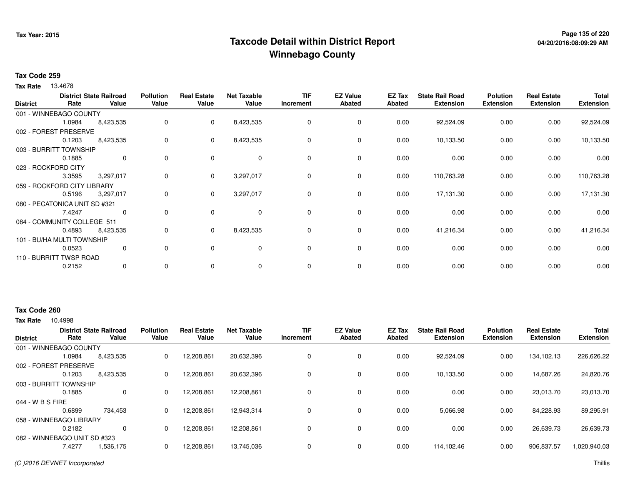## **Page 135 of 220 Taxcode Detail within District ReportWinnebago County**

### **Tax Code 259**

**Tax Rate** 13.4678

| <b>District</b>     | Rate                          | <b>District State Railroad</b><br>Value | <b>Pollution</b><br>Value | <b>Real Estate</b><br>Value | <b>Net Taxable</b><br>Value | <b>TIF</b><br>Increment | <b>EZ Value</b><br><b>Abated</b> | EZ Tax<br>Abated | <b>State Rail Road</b><br><b>Extension</b> | <b>Polution</b><br><b>Extension</b> | <b>Real Estate</b><br><b>Extension</b> | <b>Total</b><br><b>Extension</b> |
|---------------------|-------------------------------|-----------------------------------------|---------------------------|-----------------------------|-----------------------------|-------------------------|----------------------------------|------------------|--------------------------------------------|-------------------------------------|----------------------------------------|----------------------------------|
|                     | 001 - WINNEBAGO COUNTY        |                                         |                           |                             |                             |                         |                                  |                  |                                            |                                     |                                        |                                  |
|                     | 1.0984                        | 8,423,535                               | 0                         | $\mathbf{0}$                | 8,423,535                   | 0                       | 0                                | 0.00             | 92,524.09                                  | 0.00                                | 0.00                                   | 92,524.09                        |
|                     | 002 - FOREST PRESERVE         |                                         |                           |                             |                             |                         |                                  |                  |                                            |                                     |                                        |                                  |
|                     | 0.1203                        | 8,423,535                               | 0                         | $\mathbf{0}$                | 8,423,535                   | 0                       | 0                                | 0.00             | 10,133.50                                  | 0.00                                | 0.00                                   | 10,133.50                        |
|                     | 003 - BURRITT TOWNSHIP        |                                         |                           |                             |                             |                         |                                  |                  |                                            |                                     |                                        |                                  |
|                     | 0.1885                        | $\mathbf 0$                             | 0                         | $\Omega$                    | $\mathbf 0$                 | 0                       | $\mathbf 0$                      | 0.00             | 0.00                                       | 0.00                                | 0.00                                   | 0.00                             |
| 023 - ROCKFORD CITY |                               |                                         |                           |                             |                             |                         |                                  |                  |                                            |                                     |                                        |                                  |
|                     | 3.3595                        | 3,297,017                               | 0                         | 0                           | 3,297,017                   | 0                       | $\mathbf 0$                      | 0.00             | 110,763.28                                 | 0.00                                | 0.00                                   | 110,763.28                       |
|                     | 059 - ROCKFORD CITY LIBRARY   |                                         |                           |                             |                             |                         |                                  |                  |                                            |                                     |                                        |                                  |
|                     | 0.5196                        | 3,297,017                               | 0                         | $\mathbf{0}$                | 3,297,017                   | 0                       | $\mathbf 0$                      | 0.00             | 17,131.30                                  | 0.00                                | 0.00                                   | 17,131.30                        |
|                     | 080 - PECATONICA UNIT SD #321 |                                         |                           |                             |                             |                         |                                  |                  |                                            |                                     |                                        |                                  |
|                     | 7.4247                        | 0                                       | 0                         | $\mathbf 0$                 | 0                           | 0                       | $\mathbf 0$                      | 0.00             | 0.00                                       | 0.00                                | 0.00                                   | 0.00                             |
|                     | 084 - COMMUNITY COLLEGE 511   |                                         |                           |                             |                             |                         |                                  |                  |                                            |                                     |                                        |                                  |
|                     | 0.4893                        | 8,423,535                               | 0                         | $\mathbf{0}$                | 8,423,535                   | 0                       | $\mathbf 0$                      | 0.00             | 41,216.34                                  | 0.00                                | 0.00                                   | 41,216.34                        |
|                     | 101 - BU/HA MULTI TOWNSHIP    |                                         |                           |                             |                             |                         |                                  |                  |                                            |                                     |                                        |                                  |
|                     | 0.0523                        | 0                                       | $\Omega$                  | $\Omega$                    | $\mathbf 0$                 | $\Omega$                | $\mathbf 0$                      | 0.00             | 0.00                                       | 0.00                                | 0.00                                   | 0.00                             |
|                     | 110 - BURRITT TWSP ROAD       |                                         |                           |                             |                             |                         |                                  |                  |                                            |                                     |                                        |                                  |
|                     | 0.2152                        | 0                                       | 0                         | $\mathbf 0$                 | 0                           | 0                       | 0                                | 0.00             | 0.00                                       | 0.00                                | 0.00                                   | 0.00                             |

### **Tax Code 260**

| <b>District</b>              | Rate   | <b>District State Railroad</b><br>Value | <b>Pollution</b><br>Value | <b>Real Estate</b><br>Value | <b>Net Taxable</b><br>Value | <b>TIF</b><br>Increment | <b>EZ Value</b><br><b>Abated</b> | <b>EZ Tax</b><br>Abated | <b>State Rail Road</b><br><b>Extension</b> | <b>Polution</b><br><b>Extension</b> | <b>Real Estate</b><br><b>Extension</b> | <b>Total</b><br><b>Extension</b> |
|------------------------------|--------|-----------------------------------------|---------------------------|-----------------------------|-----------------------------|-------------------------|----------------------------------|-------------------------|--------------------------------------------|-------------------------------------|----------------------------------------|----------------------------------|
| 001 - WINNEBAGO COUNTY       |        |                                         |                           |                             |                             |                         |                                  |                         |                                            |                                     |                                        |                                  |
|                              | 1.0984 | 8,423,535                               | 0                         | 12,208,861                  | 20,632,396                  |                         | 0                                | 0.00                    | 92,524.09                                  | 0.00                                | 134,102.13                             | 226,626.22                       |
| 002 - FOREST PRESERVE        |        |                                         |                           |                             |                             |                         |                                  |                         |                                            |                                     |                                        |                                  |
|                              | 0.1203 | 8,423,535                               | 0                         | 12,208,861                  | 20,632,396                  |                         | 0                                | 0.00                    | 10,133.50                                  | 0.00                                | 14,687.26                              | 24,820.76                        |
| 003 - BURRITT TOWNSHIP       |        |                                         |                           |                             |                             |                         |                                  |                         |                                            |                                     |                                        |                                  |
|                              | 0.1885 | 0                                       | 0                         | 12,208,861                  | 12,208,861                  |                         | 0                                | 0.00                    | 0.00                                       | 0.00                                | 23,013.70                              | 23,013.70                        |
| 044 - W B S FIRE             |        |                                         |                           |                             |                             |                         |                                  |                         |                                            |                                     |                                        |                                  |
|                              | 0.6899 | 734,453                                 | 0                         | 12,208,861                  | 12.943.314                  |                         | $\Omega$                         | 0.00                    | 5,066.98                                   | 0.00                                | 84,228.93                              | 89,295.91                        |
| 058 - WINNEBAGO LIBRARY      |        |                                         |                           |                             |                             |                         |                                  |                         |                                            |                                     |                                        |                                  |
|                              | 0.2182 | $\Omega$                                | 0                         | 12,208,861                  | 12,208,861                  |                         | $\Omega$                         | 0.00                    | 0.00                                       | 0.00                                | 26.639.73                              | 26,639.73                        |
| 082 - WINNEBAGO UNIT SD #323 |        |                                         |                           |                             |                             |                         |                                  |                         |                                            |                                     |                                        |                                  |
|                              | 7.4277 | .536,175                                | 0                         | 12,208,861                  | 13,745,036                  |                         | 0                                | 0.00                    | 114,102.46                                 | 0.00                                | 906,837.57                             | 1,020,940.03                     |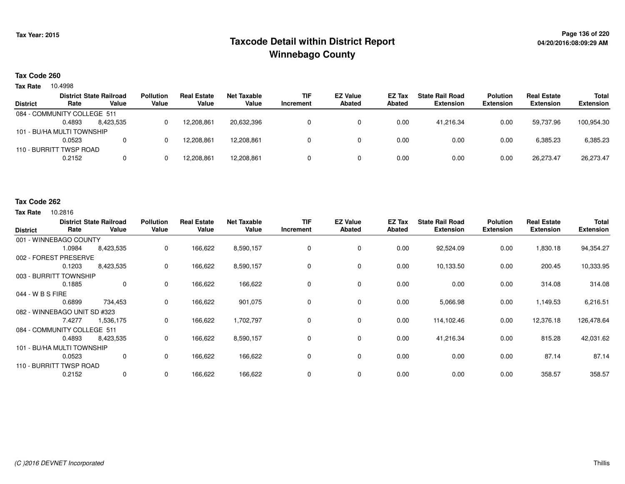## **Page 136 of 220 Taxcode Detail within District ReportWinnebago County**

#### **Tax Code 260**

**Tax Rate** 10.4998

|                 | <b>District State Railroad</b> |           | <b>Pollution</b> | <b>Real Estate</b> | Net Taxable | <b>TIF</b> | <b>EZ Value</b> | <b>EZ Tax</b> | <b>State Rail Road</b> | Polution         | <b>Real Estate</b> | <b>Total</b>     |
|-----------------|--------------------------------|-----------|------------------|--------------------|-------------|------------|-----------------|---------------|------------------------|------------------|--------------------|------------------|
| <b>District</b> | Rate                           | Value     | Value            | Value              | Value       | Increment  | <b>Abated</b>   | Abated        | <b>Extension</b>       | <b>Extension</b> | <b>Extension</b>   | <b>Extension</b> |
|                 | 084 - COMMUNITY COLLEGE 511    |           |                  |                    |             |            |                 |               |                        |                  |                    |                  |
|                 | 0.4893                         | 8.423.535 |                  | 12.208.861         | 20,632,396  |            |                 | 0.00          | 41.216.34              | 0.00             | 59.737.96          | 100,954.30       |
|                 | 101 - BU/HA MULTI TOWNSHIP     |           |                  |                    |             |            |                 |               |                        |                  |                    |                  |
|                 | 0.0523                         | 0         |                  | 12.208.861         | 12.208.861  |            |                 | 0.00          | 0.00                   | 0.00             | 6,385.23           | 6,385.23         |
|                 | 110 - BURRITT TWSP ROAD        |           |                  |                    |             |            |                 |               |                        |                  |                    |                  |
|                 | 0.2152                         | 0         |                  | 12,208,861         | 12,208,861  |            |                 | 0.00          | 0.00                   | 0.00             | 26,273.47          | 26,273.47        |
|                 |                                |           |                  |                    |             |            |                 |               |                        |                  |                    |                  |

#### **Tax Code 262**

| <b>District</b>              | Rate   | <b>District State Railroad</b><br>Value | <b>Pollution</b><br>Value | <b>Real Estate</b><br>Value | <b>Net Taxable</b><br>Value | <b>TIF</b><br>Increment | <b>EZ Value</b><br><b>Abated</b> | EZ Tax<br><b>Abated</b> | <b>State Rail Road</b><br><b>Extension</b> | <b>Polution</b><br><b>Extension</b> | <b>Real Estate</b><br><b>Extension</b> | <b>Total</b><br><b>Extension</b> |
|------------------------------|--------|-----------------------------------------|---------------------------|-----------------------------|-----------------------------|-------------------------|----------------------------------|-------------------------|--------------------------------------------|-------------------------------------|----------------------------------------|----------------------------------|
| 001 - WINNEBAGO COUNTY       |        |                                         |                           |                             |                             |                         |                                  |                         |                                            |                                     |                                        |                                  |
|                              | 1.0984 | 8,423,535                               | 0                         | 166,622                     | 8,590,157                   | 0                       | $\mathbf 0$                      | 0.00                    | 92,524.09                                  | 0.00                                | 1,830.18                               | 94,354.27                        |
| 002 - FOREST PRESERVE        |        |                                         |                           |                             |                             |                         |                                  |                         |                                            |                                     |                                        |                                  |
|                              | 0.1203 | 8,423,535                               | 0                         | 166,622                     | 8,590,157                   | 0                       | 0                                | 0.00                    | 10,133.50                                  | 0.00                                | 200.45                                 | 10,333.95                        |
| 003 - BURRITT TOWNSHIP       |        |                                         |                           |                             |                             |                         |                                  |                         |                                            |                                     |                                        |                                  |
|                              | 0.1885 | $\mathbf 0$                             | 0                         | 166,622                     | 166,622                     | 0                       | $\mathbf 0$                      | 0.00                    | 0.00                                       | 0.00                                | 314.08                                 | 314.08                           |
| 044 - W B S FIRE             |        |                                         |                           |                             |                             |                         |                                  |                         |                                            |                                     |                                        |                                  |
|                              | 0.6899 | 734,453                                 | 0                         | 166,622                     | 901,075                     | $\Omega$                | 0                                | 0.00                    | 5,066.98                                   | 0.00                                | 1,149.53                               | 6,216.51                         |
| 082 - WINNEBAGO UNIT SD #323 |        |                                         |                           |                             |                             |                         |                                  |                         |                                            |                                     |                                        |                                  |
|                              | 7.4277 | 1,536,175                               | 0                         | 166,622                     | 1,702,797                   | 0                       | 0                                | 0.00                    | 114,102.46                                 | 0.00                                | 12,376.18                              | 126,478.64                       |
| 084 - COMMUNITY COLLEGE 511  |        |                                         |                           |                             |                             |                         |                                  |                         |                                            |                                     |                                        |                                  |
|                              | 0.4893 | 8,423,535                               | 0                         | 166,622                     | 8,590,157                   | 0                       | 0                                | 0.00                    | 41,216.34                                  | 0.00                                | 815.28                                 | 42,031.62                        |
| 101 - BU/HA MULTI TOWNSHIP   |        |                                         |                           |                             |                             |                         |                                  |                         |                                            |                                     |                                        |                                  |
|                              | 0.0523 | 0                                       | 0                         | 166,622                     | 166,622                     | 0                       | 0                                | 0.00                    | 0.00                                       | 0.00                                | 87.14                                  | 87.14                            |
| 110 - BURRITT TWSP ROAD      |        |                                         |                           |                             |                             |                         |                                  |                         |                                            |                                     |                                        |                                  |
|                              | 0.2152 | $\mathbf 0$                             | 0                         | 166,622                     | 166,622                     | 0                       | 0                                | 0.00                    | 0.00                                       | 0.00                                | 358.57                                 | 358.57                           |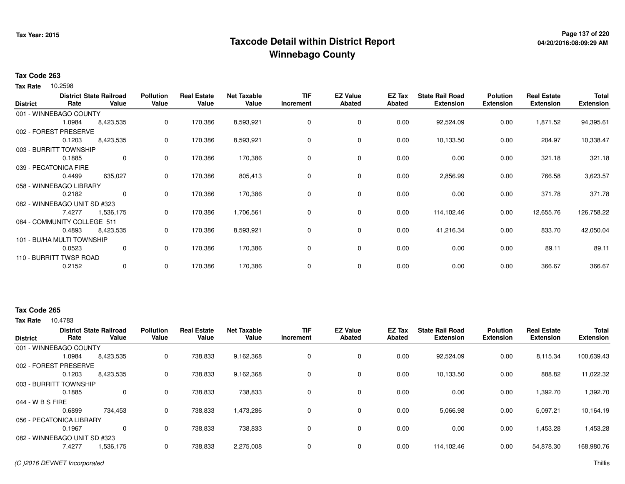## **Page 137 of 220 Taxcode Detail within District ReportWinnebago County**

### **Tax Code 263**

**Tax Rate** 10.2598

| <b>District</b> | Rate                         | <b>District State Railroad</b><br>Value | <b>Pollution</b><br>Value | <b>Real Estate</b><br>Value | <b>Net Taxable</b><br>Value | <b>TIF</b><br>Increment | <b>EZ Value</b><br>Abated | EZ Tax<br>Abated | <b>State Rail Road</b><br><b>Extension</b> | <b>Polution</b><br><b>Extension</b> | <b>Real Estate</b><br><b>Extension</b> | <b>Total</b><br><b>Extension</b> |
|-----------------|------------------------------|-----------------------------------------|---------------------------|-----------------------------|-----------------------------|-------------------------|---------------------------|------------------|--------------------------------------------|-------------------------------------|----------------------------------------|----------------------------------|
|                 | 001 - WINNEBAGO COUNTY       |                                         |                           |                             |                             |                         |                           |                  |                                            |                                     |                                        |                                  |
|                 | 1.0984                       | 8,423,535                               | 0                         | 170,386                     | 8,593,921                   | 0                       | 0                         | 0.00             | 92,524.09                                  | 0.00                                | 1,871.52                               | 94,395.61                        |
|                 | 002 - FOREST PRESERVE        |                                         |                           |                             |                             |                         |                           |                  |                                            |                                     |                                        |                                  |
|                 | 0.1203                       | 8,423,535                               | 0                         | 170,386                     | 8,593,921                   | 0                       | 0                         | 0.00             | 10,133.50                                  | 0.00                                | 204.97                                 | 10,338.47                        |
|                 | 003 - BURRITT TOWNSHIP       |                                         |                           |                             |                             |                         |                           |                  |                                            |                                     |                                        |                                  |
|                 | 0.1885                       | $\mathbf{0}$                            | 0                         | 170,386                     | 170,386                     | $\mathbf 0$             | 0                         | 0.00             | 0.00                                       | 0.00                                | 321.18                                 | 321.18                           |
|                 | 039 - PECATONICA FIRE        |                                         |                           |                             |                             |                         |                           |                  |                                            |                                     |                                        |                                  |
|                 | 0.4499                       | 635,027                                 | 0                         | 170,386                     | 805,413                     | 0                       | 0                         | 0.00             | 2,856.99                                   | 0.00                                | 766.58                                 | 3,623.57                         |
|                 | 058 - WINNEBAGO LIBRARY      |                                         |                           |                             |                             |                         |                           |                  |                                            |                                     |                                        |                                  |
|                 | 0.2182                       | $\mathbf 0$                             | 0                         | 170,386                     | 170,386                     | 0                       | 0                         | 0.00             | 0.00                                       | 0.00                                | 371.78                                 | 371.78                           |
|                 | 082 - WINNEBAGO UNIT SD #323 |                                         |                           |                             |                             |                         |                           |                  |                                            |                                     |                                        |                                  |
|                 | 7.4277                       | 1,536,175                               | 0                         | 170,386                     | 1,706,561                   | 0                       | 0                         | 0.00             | 114,102.46                                 | 0.00                                | 12,655.76                              | 126,758.22                       |
|                 | 084 - COMMUNITY COLLEGE 511  |                                         |                           |                             |                             |                         |                           |                  |                                            |                                     |                                        |                                  |
|                 | 0.4893                       | 8,423,535                               | 0                         | 170,386                     | 8,593,921                   | 0                       | 0                         | 0.00             | 41,216.34                                  | 0.00                                | 833.70                                 | 42,050.04                        |
|                 | 101 - BU/HA MULTI TOWNSHIP   |                                         |                           |                             |                             |                         |                           |                  |                                            |                                     |                                        |                                  |
|                 | 0.0523                       | 0                                       | 0                         | 170,386                     | 170,386                     | 0                       | 0                         | 0.00             | 0.00                                       | 0.00                                | 89.11                                  | 89.11                            |
|                 | 110 - BURRITT TWSP ROAD      |                                         |                           |                             |                             |                         |                           |                  |                                            |                                     |                                        |                                  |
|                 | 0.2152                       | $\mathbf{0}$                            | 0                         | 170,386                     | 170,386                     | $\mathbf 0$             | 0                         | 0.00             | 0.00                                       | 0.00                                | 366.67                                 | 366.67                           |

### **Tax Code 265**

| <b>District</b>              |        | <b>District State Railroad</b> | <b>Pollution</b> | <b>Real Estate</b> | <b>Net Taxable</b> | TIF       | <b>EZ Value</b> | EZ Tax | <b>State Rail Road</b> | <b>Polution</b>  | <b>Real Estate</b> | <b>Total</b>     |
|------------------------------|--------|--------------------------------|------------------|--------------------|--------------------|-----------|-----------------|--------|------------------------|------------------|--------------------|------------------|
|                              | Rate   | Value                          | Value            | Value              | Value              | Increment | <b>Abated</b>   | Abated | <b>Extension</b>       | <b>Extension</b> | <b>Extension</b>   | <b>Extension</b> |
| 001 - WINNEBAGO COUNTY       |        |                                |                  |                    |                    |           |                 |        |                        |                  |                    |                  |
|                              | 1.0984 | 8,423,535                      | 0                | 738,833            | 9,162,368          |           | 0               | 0.00   | 92,524.09              | 0.00             | 8,115.34           | 100,639.43       |
| 002 - FOREST PRESERVE        |        |                                |                  |                    |                    |           |                 |        |                        |                  |                    |                  |
|                              | 0.1203 | 8,423,535                      | 0                | 738,833            | 9,162,368          |           | $\mathbf 0$     | 0.00   | 10.133.50              | 0.00             | 888.82             | 11,022.32        |
| 003 - BURRITT TOWNSHIP       |        |                                |                  |                    |                    |           |                 |        |                        |                  |                    |                  |
|                              | 0.1885 | 0                              | 0                | 738,833            | 738,833            |           | $\mathbf 0$     | 0.00   | 0.00                   | 0.00             | 1,392.70           | 1,392.70         |
| 044 - W B S FIRE             |        |                                |                  |                    |                    |           |                 |        |                        |                  |                    |                  |
|                              | 0.6899 | 734,453                        | 0                | 738,833            | 1,473,286          |           | $\mathbf 0$     | 0.00   | 5,066.98               | 0.00             | 5,097.21           | 10,164.19        |
| 056 - PECATONICA LIBRARY     |        |                                |                  |                    |                    |           |                 |        |                        |                  |                    |                  |
|                              | 0.1967 | 0                              | 0                | 738,833            | 738,833            |           | $\mathbf 0$     | 0.00   | 0.00                   | 0.00             | 1,453.28           | 1,453.28         |
| 082 - WINNEBAGO UNIT SD #323 |        |                                |                  |                    |                    |           |                 |        |                        |                  |                    |                  |
|                              | 7.4277 | 1,536,175                      | 0                | 738,833            | 2,275,008          |           | $\mathbf 0$     | 0.00   | 114,102.46             | 0.00             | 54,878.30          | 168,980.76       |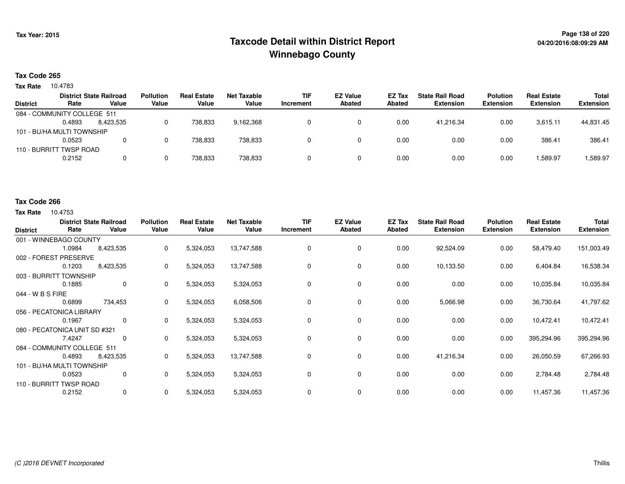## **Page 138 of 220 Taxcode Detail within District ReportWinnebago County**

### **Tax Code 265**

**Tax Rate** 10.4783

| <b>District</b>             | Rate   | <b>District State Railroad</b><br>Value | <b>Pollution</b><br>Value | <b>Real Estate</b><br>Value | Net Taxable<br>Value | <b>TIF</b><br>Increment | <b>EZ Value</b><br><b>Abated</b> | EZ Tax<br><b>Abated</b> | <b>State Rail Road</b><br><b>Extension</b> | <b>Polution</b><br><b>Extension</b> | <b>Real Estate</b><br><b>Extension</b> | <b>Total</b><br><b>Extension</b> |
|-----------------------------|--------|-----------------------------------------|---------------------------|-----------------------------|----------------------|-------------------------|----------------------------------|-------------------------|--------------------------------------------|-------------------------------------|----------------------------------------|----------------------------------|
|                             |        |                                         |                           |                             |                      |                         |                                  |                         |                                            |                                     |                                        |                                  |
| 084 - COMMUNITY COLLEGE 511 |        |                                         |                           |                             |                      |                         |                                  |                         |                                            |                                     |                                        |                                  |
|                             | 0.4893 | 8.423.535                               |                           | 738.833                     | 9,162,368            |                         |                                  | 0.00                    | 41.216.34                                  | 0.00                                | 3.615.11                               | 44,831.45                        |
| 101 - BU/HA MULTI TOWNSHIP  |        |                                         |                           |                             |                      |                         |                                  |                         |                                            |                                     |                                        |                                  |
|                             | 0.0523 |                                         |                           | 738.833                     | 738.833              |                         |                                  | 0.00                    | 0.00                                       | 0.00                                | 386.41                                 | 386.41                           |
| 110 - BURRITT TWSP ROAD     |        |                                         |                           |                             |                      |                         |                                  |                         |                                            |                                     |                                        |                                  |
|                             | 0.2152 |                                         |                           | 738,833                     | 738,833              |                         |                                  | 0.00                    | 0.00                                       | 0.00                                | 1,589.97                               | 1,589.97                         |

#### **Tax Code 266**

| <b>District</b>  | Rate                          | <b>District State Railroad</b><br>Value | <b>Pollution</b><br>Value | <b>Real Estate</b><br>Value | <b>Net Taxable</b><br>Value | <b>TIF</b><br>Increment | <b>EZ Value</b><br><b>Abated</b> | EZ Tax<br>Abated | <b>State Rail Road</b><br><b>Extension</b> | <b>Polution</b><br><b>Extension</b> | <b>Real Estate</b><br><b>Extension</b> | <b>Total</b><br><b>Extension</b> |
|------------------|-------------------------------|-----------------------------------------|---------------------------|-----------------------------|-----------------------------|-------------------------|----------------------------------|------------------|--------------------------------------------|-------------------------------------|----------------------------------------|----------------------------------|
|                  | 001 - WINNEBAGO COUNTY        |                                         |                           |                             |                             |                         |                                  |                  |                                            |                                     |                                        |                                  |
|                  | 1.0984                        | 8,423,535                               | 0                         | 5,324,053                   | 13,747,588                  | 0                       | 0                                | 0.00             | 92,524.09                                  | 0.00                                | 58,479.40                              | 151,003.49                       |
|                  | 002 - FOREST PRESERVE         |                                         |                           |                             |                             |                         |                                  |                  |                                            |                                     |                                        |                                  |
|                  | 0.1203                        | 8,423,535                               | 0                         | 5,324,053                   | 13,747,588                  | $\Omega$                | 0                                | 0.00             | 10,133.50                                  | 0.00                                | 6,404.84                               | 16,538.34                        |
|                  | 003 - BURRITT TOWNSHIP        |                                         |                           |                             |                             |                         |                                  |                  |                                            |                                     |                                        |                                  |
|                  | 0.1885                        | 0                                       | 0                         | 5,324,053                   | 5,324,053                   | 0                       | 0                                | 0.00             | 0.00                                       | 0.00                                | 10,035.84                              | 10,035.84                        |
| 044 - W B S FIRE |                               |                                         |                           |                             |                             |                         |                                  |                  |                                            |                                     |                                        |                                  |
|                  | 0.6899                        | 734,453                                 | 0                         | 5,324,053                   | 6,058,506                   |                         | $\mathbf 0$                      | 0.00             | 5,066.98                                   | 0.00                                | 36,730.64                              | 41,797.62                        |
|                  | 056 - PECATONICA LIBRARY      |                                         |                           |                             |                             |                         |                                  |                  |                                            |                                     |                                        |                                  |
|                  | 0.1967                        | 0                                       | 0                         | 5,324,053                   | 5,324,053                   | 0                       | 0                                | 0.00             | 0.00                                       | 0.00                                | 10,472.41                              | 10,472.41                        |
|                  | 080 - PECATONICA UNIT SD #321 |                                         |                           |                             |                             |                         |                                  |                  |                                            |                                     |                                        |                                  |
|                  | 7.4247                        | 0                                       | 0                         | 5,324,053                   | 5,324,053                   | 0                       | 0                                | 0.00             | 0.00                                       | 0.00                                | 395,294.96                             | 395,294.96                       |
|                  | 084 - COMMUNITY COLLEGE 511   |                                         |                           |                             |                             |                         |                                  |                  |                                            |                                     |                                        |                                  |
|                  | 0.4893                        | 8,423,535                               | 0                         | 5,324,053                   | 13,747,588                  | 0                       | 0                                | 0.00             | 41,216.34                                  | 0.00                                | 26,050.59                              | 67,266.93                        |
|                  | 101 - BU/HA MULTI TOWNSHIP    |                                         |                           |                             |                             |                         |                                  |                  |                                            |                                     |                                        |                                  |
|                  | 0.0523                        | 0                                       | $\Omega$                  | 5,324,053                   | 5,324,053                   | $\Omega$                | $\mathbf 0$                      | 0.00             | 0.00                                       | 0.00                                | 2,784.48                               | 2,784.48                         |
|                  | 110 - BURRITT TWSP ROAD       |                                         |                           |                             |                             |                         |                                  |                  |                                            |                                     |                                        |                                  |
|                  | 0.2152                        | 0                                       | 0                         | 5,324,053                   | 5,324,053                   |                         | 0                                | 0.00             | 0.00                                       | 0.00                                | 11,457.36                              | 11,457.36                        |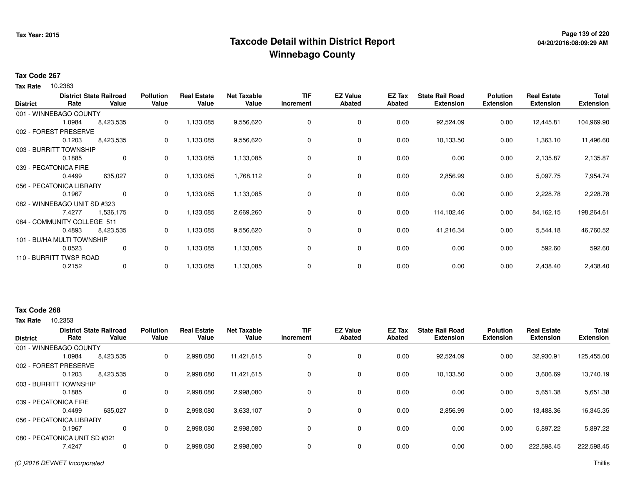## **Page 139 of 220 Taxcode Detail within District ReportWinnebago County**

### **Tax Code 267**

**Tax Rate** 10.2383

| <b>District</b> | Rate                         | <b>District State Railroad</b><br>Value | <b>Pollution</b><br>Value | <b>Real Estate</b><br>Value | <b>Net Taxable</b><br>Value | <b>TIF</b><br>Increment | <b>EZ Value</b><br><b>Abated</b> | EZ Tax<br>Abated | <b>State Rail Road</b><br><b>Extension</b> | <b>Polution</b><br><b>Extension</b> | <b>Real Estate</b><br><b>Extension</b> | <b>Total</b><br><b>Extension</b> |
|-----------------|------------------------------|-----------------------------------------|---------------------------|-----------------------------|-----------------------------|-------------------------|----------------------------------|------------------|--------------------------------------------|-------------------------------------|----------------------------------------|----------------------------------|
|                 | 001 - WINNEBAGO COUNTY       |                                         |                           |                             |                             |                         |                                  |                  |                                            |                                     |                                        |                                  |
|                 | 1.0984                       | 8,423,535                               | 0                         | 1,133,085                   | 9,556,620                   | 0                       | 0                                | 0.00             | 92,524.09                                  | 0.00                                | 12,445.81                              | 104,969.90                       |
|                 | 002 - FOREST PRESERVE        |                                         |                           |                             |                             |                         |                                  |                  |                                            |                                     |                                        |                                  |
|                 | 0.1203                       | 8,423,535                               | 0                         | 1,133,085                   | 9,556,620                   | 0                       | 0                                | 0.00             | 10,133.50                                  | 0.00                                | 1,363.10                               | 11,496.60                        |
|                 | 003 - BURRITT TOWNSHIP       |                                         |                           |                             |                             |                         |                                  |                  |                                            |                                     |                                        |                                  |
|                 | 0.1885                       | $\mathbf 0$                             | 0                         | 1,133,085                   | 1,133,085                   | 0                       | 0                                | 0.00             | 0.00                                       | 0.00                                | 2,135.87                               | 2,135.87                         |
|                 | 039 - PECATONICA FIRE        |                                         |                           |                             |                             |                         |                                  |                  |                                            |                                     |                                        |                                  |
|                 | 0.4499                       | 635,027                                 | 0                         | 1,133,085                   | 1,768,112                   | 0                       | 0                                | 0.00             | 2,856.99                                   | 0.00                                | 5,097.75                               | 7,954.74                         |
|                 | 056 - PECATONICA LIBRARY     |                                         |                           |                             |                             |                         |                                  |                  |                                            |                                     |                                        |                                  |
|                 | 0.1967                       | $\mathbf 0$                             | 0                         | 1,133,085                   | 1,133,085                   | 0                       | 0                                | 0.00             | 0.00                                       | 0.00                                | 2,228.78                               | 2,228.78                         |
|                 | 082 - WINNEBAGO UNIT SD #323 |                                         |                           |                             |                             |                         |                                  |                  |                                            |                                     |                                        |                                  |
|                 | 7.4277                       | 1,536,175                               | 0                         | 1,133,085                   | 2,669,260                   | 0                       | 0                                | 0.00             | 114,102.46                                 | 0.00                                | 84,162.15                              | 198,264.61                       |
|                 | 084 - COMMUNITY COLLEGE 511  |                                         |                           |                             |                             |                         |                                  |                  |                                            |                                     |                                        |                                  |
|                 | 0.4893                       | 8,423,535                               | 0                         | 1,133,085                   | 9,556,620                   | 0                       | 0                                | 0.00             | 41,216.34                                  | 0.00                                | 5,544.18                               | 46,760.52                        |
|                 | 101 - BU/HA MULTI TOWNSHIP   |                                         |                           |                             |                             |                         |                                  |                  |                                            |                                     |                                        |                                  |
|                 | 0.0523                       | 0                                       | 0                         | 1,133,085                   | 1,133,085                   | 0                       | 0                                | 0.00             | 0.00                                       | 0.00                                | 592.60                                 | 592.60                           |
|                 | 110 - BURRITT TWSP ROAD      |                                         |                           |                             |                             |                         |                                  |                  |                                            |                                     |                                        |                                  |
|                 | 0.2152                       | $\mathbf{0}$                            | 0                         | 1,133,085                   | 1,133,085                   | 0                       | 0                                | 0.00             | 0.00                                       | 0.00                                | 2,438.40                               | 2,438.40                         |

### **Tax Code 268**

| <b>District</b>       | Rate                          | <b>District State Railroad</b><br>Value | <b>Pollution</b><br>Value | <b>Real Estate</b><br>Value | <b>Net Taxable</b><br>Value | TIF<br>Increment | <b>EZ Value</b><br><b>Abated</b> | EZ Tax<br><b>Abated</b> | <b>State Rail Road</b><br><b>Extension</b> | <b>Polution</b><br><b>Extension</b> | <b>Real Estate</b><br><b>Extension</b> | <b>Total</b><br><b>Extension</b> |
|-----------------------|-------------------------------|-----------------------------------------|---------------------------|-----------------------------|-----------------------------|------------------|----------------------------------|-------------------------|--------------------------------------------|-------------------------------------|----------------------------------------|----------------------------------|
|                       |                               |                                         |                           |                             |                             |                  |                                  |                         |                                            |                                     |                                        |                                  |
|                       | 001 - WINNEBAGO COUNTY        |                                         |                           |                             |                             |                  |                                  |                         |                                            |                                     |                                        |                                  |
|                       | 1.0984                        | 8,423,535                               | 0                         | 2,998,080                   | 11,421,615                  |                  | 0                                | 0.00                    | 92,524.09                                  | 0.00                                | 32,930.91                              | 125,455.00                       |
|                       | 002 - FOREST PRESERVE         |                                         |                           |                             |                             |                  |                                  |                         |                                            |                                     |                                        |                                  |
|                       | 0.1203                        | 8,423,535                               | 0                         | 2,998,080                   | 11.421.615                  |                  | $\mathbf 0$                      | 0.00                    | 10.133.50                                  | 0.00                                | 3,606.69                               | 13,740.19                        |
|                       | 003 - BURRITT TOWNSHIP        |                                         |                           |                             |                             |                  |                                  |                         |                                            |                                     |                                        |                                  |
|                       | 0.1885                        | 0                                       | $\Omega$                  | 2,998,080                   | 2,998,080                   |                  | $\mathbf 0$                      | 0.00                    | 0.00                                       | 0.00                                | 5,651.38                               | 5,651.38                         |
| 039 - PECATONICA FIRE |                               |                                         |                           |                             |                             |                  |                                  |                         |                                            |                                     |                                        |                                  |
|                       | 0.4499                        | 635,027                                 | 0                         | 2,998,080                   | 3,633,107                   |                  | $\mathbf 0$                      | 0.00                    | 2,856.99                                   | 0.00                                | 13,488.36                              | 16,345.35                        |
|                       | 056 - PECATONICA LIBRARY      |                                         |                           |                             |                             |                  |                                  |                         |                                            |                                     |                                        |                                  |
|                       | 0.1967                        | 0                                       | $\Omega$                  | 2,998,080                   | 2,998,080                   |                  | $\mathbf 0$                      | 0.00                    | 0.00                                       | 0.00                                | 5,897.22                               | 5,897.22                         |
|                       | 080 - PECATONICA UNIT SD #321 |                                         |                           |                             |                             |                  |                                  |                         |                                            |                                     |                                        |                                  |
|                       | 7.4247                        | 0                                       | $\Omega$                  | 2,998,080                   | 2,998,080                   |                  | $\mathbf 0$                      | 0.00                    | 0.00                                       | 0.00                                | 222,598.45                             | 222,598.45                       |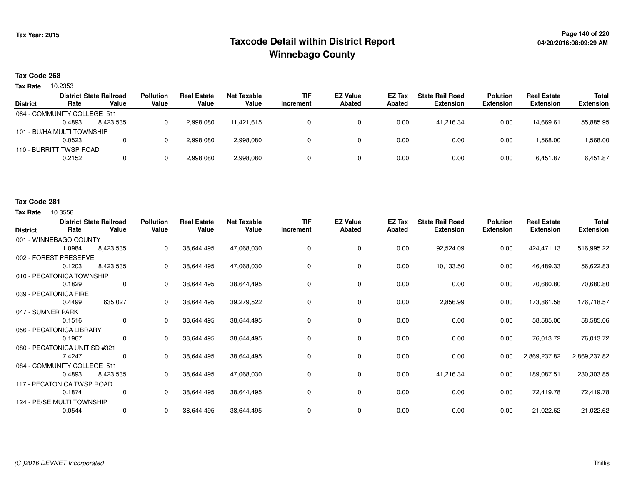## **Page 140 of 220 Taxcode Detail within District ReportWinnebago County**

### **Tax Code 268**

**Tax Rate** 10.2353

|                 | <b>District State Railroad</b> |           | <b>Pollution</b> | <b>Real Estate</b> | Net Taxable | <b>TIF</b> | <b>EZ Value</b> | EZ Tax | <b>State Rail Road</b> | <b>Polution</b>  | <b>Real Estate</b> | Total            |
|-----------------|--------------------------------|-----------|------------------|--------------------|-------------|------------|-----------------|--------|------------------------|------------------|--------------------|------------------|
| <b>District</b> | Rate                           | Value     | Value            | Value              | Value       | Increment  | <b>Abated</b>   | Abated | <b>Extension</b>       | <b>Extension</b> | <b>Extension</b>   | <b>Extension</b> |
|                 | 084 - COMMUNITY COLLEGE 511    |           |                  |                    |             |            |                 |        |                        |                  |                    |                  |
|                 | 0.4893                         | 8.423.535 |                  | 2,998,080          | 11,421,615  |            |                 | 0.00   | 41.216.34              | 0.00             | 14,669.61          | 55,885.95        |
|                 | 101 - BU/HA MULTI TOWNSHIP     |           |                  |                    |             |            |                 |        |                        |                  |                    |                  |
|                 | 0.0523                         |           |                  | 2,998,080          | 2,998,080   |            |                 | 0.00   | 0.00                   | 0.00             | 1,568.00           | 1,568.00         |
|                 | 110 - BURRITT TWSP ROAD        |           |                  |                    |             |            |                 |        |                        |                  |                    |                  |
|                 | 0.2152                         |           |                  | 2,998,080          | 2,998,080   |            |                 | 0.00   | 0.00                   | 0.00             | 6.451.87           | 6,451.87         |
|                 |                                |           |                  |                    |             |            |                 |        |                        |                  |                    |                  |

#### **Tax Code 281**

| <b>District</b>   | Rate                          | <b>District State Railroad</b><br>Value | <b>Pollution</b><br>Value | <b>Real Estate</b><br>Value | <b>Net Taxable</b><br>Value | <b>TIF</b><br>Increment | <b>EZ Value</b><br><b>Abated</b> | EZ Tax<br><b>Abated</b> | <b>State Rail Road</b><br><b>Extension</b> | <b>Polution</b><br><b>Extension</b> | <b>Real Estate</b><br><b>Extension</b> | <b>Total</b><br><b>Extension</b> |
|-------------------|-------------------------------|-----------------------------------------|---------------------------|-----------------------------|-----------------------------|-------------------------|----------------------------------|-------------------------|--------------------------------------------|-------------------------------------|----------------------------------------|----------------------------------|
|                   | 001 - WINNEBAGO COUNTY        |                                         |                           |                             |                             |                         |                                  |                         |                                            |                                     |                                        |                                  |
|                   | 1.0984                        | 8,423,535                               | 0                         | 38,644,495                  | 47,068,030                  | 0                       | 0                                | 0.00                    | 92,524.09                                  | 0.00                                | 424,471.13                             | 516,995.22                       |
|                   | 002 - FOREST PRESERVE         |                                         |                           |                             |                             |                         |                                  |                         |                                            |                                     |                                        |                                  |
|                   | 0.1203                        | 8,423,535                               | 0                         | 38,644,495                  | 47,068,030                  | 0                       | $\mathbf 0$                      | 0.00                    | 10,133.50                                  | 0.00                                | 46,489.33                              | 56,622.83                        |
|                   | 010 - PECATONICA TOWNSHIP     |                                         |                           |                             |                             |                         |                                  |                         |                                            |                                     |                                        |                                  |
|                   | 0.1829                        | 0                                       | 0                         | 38,644,495                  | 38,644,495                  | $\Omega$                | 0                                | 0.00                    | 0.00                                       | 0.00                                | 70,680.80                              | 70,680.80                        |
|                   | 039 - PECATONICA FIRE         |                                         |                           |                             |                             |                         |                                  |                         |                                            |                                     |                                        |                                  |
|                   | 0.4499                        | 635,027                                 | 0                         | 38,644,495                  | 39,279,522                  | 0                       | 0                                | 0.00                    | 2,856.99                                   | 0.00                                | 173,861.58                             | 176,718.57                       |
| 047 - SUMNER PARK |                               |                                         |                           |                             |                             |                         |                                  |                         |                                            |                                     |                                        |                                  |
|                   | 0.1516                        | 0                                       | $\Omega$                  | 38,644,495                  | 38,644,495                  | $\Omega$                | 0                                | 0.00                    | 0.00                                       | 0.00                                | 58,585.06                              | 58,585.06                        |
|                   | 056 - PECATONICA LIBRARY      |                                         |                           |                             |                             |                         |                                  |                         |                                            |                                     |                                        |                                  |
|                   | 0.1967                        | 0                                       | $\Omega$                  | 38,644,495                  | 38,644,495                  | 0                       | 0                                | 0.00                    | 0.00                                       | 0.00                                | 76,013.72                              | 76,013.72                        |
|                   | 080 - PECATONICA UNIT SD #321 |                                         |                           |                             |                             |                         |                                  |                         |                                            |                                     |                                        |                                  |
|                   | 7.4247                        | 0                                       | $\Omega$                  | 38,644,495                  | 38,644,495                  | 0                       | 0                                | 0.00                    | 0.00                                       | 0.00                                | 2,869,237.82                           | 2,869,237.82                     |
|                   | 084 - COMMUNITY COLLEGE 511   |                                         |                           |                             |                             |                         |                                  |                         |                                            |                                     |                                        |                                  |
|                   | 0.4893                        | 8,423,535                               | 0                         | 38,644,495                  | 47,068,030                  | 0                       | $\mathbf 0$                      | 0.00                    | 41,216.34                                  | 0.00                                | 189,087.51                             | 230,303.85                       |
|                   | 117 - PECATONICA TWSP ROAD    |                                         |                           |                             |                             |                         |                                  |                         |                                            |                                     |                                        |                                  |
|                   | 0.1874                        | 0                                       | 0                         | 38,644,495                  | 38,644,495                  | 0                       | 0                                | 0.00                    | 0.00                                       | 0.00                                | 72,419.78                              | 72,419.78                        |
|                   | 124 - PE/SE MULTI TOWNSHIP    |                                         |                           |                             |                             |                         |                                  |                         |                                            |                                     |                                        |                                  |
|                   | 0.0544                        | 0                                       | $\Omega$                  | 38,644,495                  | 38,644,495                  | $\Omega$                | 0                                | 0.00                    | 0.00                                       | 0.00                                | 21,022.62                              | 21,022.62                        |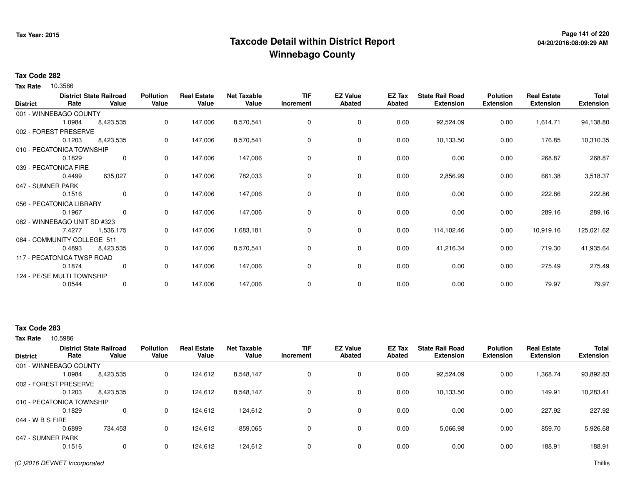## **Page 141 of 220 Taxcode Detail within District ReportWinnebago County**

### **Tax Code 282**

**Tax Rate** 10.3586

| <b>District</b>   | Rate                         | <b>District State Railroad</b><br>Value | <b>Pollution</b><br>Value | <b>Real Estate</b><br>Value | <b>Net Taxable</b><br>Value | <b>TIF</b><br>Increment | <b>EZ Value</b><br><b>Abated</b> | EZ Tax<br><b>Abated</b> | <b>State Rail Road</b><br><b>Extension</b> | <b>Polution</b><br><b>Extension</b> | <b>Real Estate</b><br><b>Extension</b> | Total<br><b>Extension</b> |
|-------------------|------------------------------|-----------------------------------------|---------------------------|-----------------------------|-----------------------------|-------------------------|----------------------------------|-------------------------|--------------------------------------------|-------------------------------------|----------------------------------------|---------------------------|
|                   | 001 - WINNEBAGO COUNTY       |                                         |                           |                             |                             |                         |                                  |                         |                                            |                                     |                                        |                           |
|                   | 1.0984                       | 8,423,535                               | 0                         | 147,006                     | 8,570,541                   | 0                       | 0                                | 0.00                    | 92,524.09                                  | 0.00                                | 1,614.71                               | 94,138.80                 |
|                   | 002 - FOREST PRESERVE        |                                         |                           |                             |                             |                         |                                  |                         |                                            |                                     |                                        |                           |
|                   | 0.1203                       | 8,423,535                               | 0                         | 147,006                     | 8,570,541                   | 0                       | 0                                | 0.00                    | 10,133.50                                  | 0.00                                | 176.85                                 | 10,310.35                 |
|                   | 010 - PECATONICA TOWNSHIP    |                                         |                           |                             |                             |                         |                                  |                         |                                            |                                     |                                        |                           |
|                   | 0.1829                       | 0                                       | 0                         | 147,006                     | 147,006                     | 0                       | 0                                | 0.00                    | 0.00                                       | 0.00                                | 268.87                                 | 268.87                    |
|                   | 039 - PECATONICA FIRE        |                                         |                           |                             |                             |                         |                                  |                         |                                            |                                     |                                        |                           |
|                   | 0.4499                       | 635,027                                 | 0                         | 147,006                     | 782,033                     | 0                       | 0                                | 0.00                    | 2,856.99                                   | 0.00                                | 661.38                                 | 3,518.37                  |
| 047 - SUMNER PARK |                              |                                         |                           |                             |                             |                         |                                  |                         |                                            |                                     |                                        |                           |
|                   | 0.1516                       | $\mathbf 0$                             | 0                         | 147,006                     | 147,006                     | 0                       | 0                                | 0.00                    | 0.00                                       | 0.00                                | 222.86                                 | 222.86                    |
|                   | 056 - PECATONICA LIBRARY     |                                         |                           |                             |                             |                         |                                  |                         |                                            |                                     |                                        |                           |
|                   | 0.1967                       | $\mathbf{0}$                            | 0                         | 147,006                     | 147,006                     | 0                       | 0                                | 0.00                    | 0.00                                       | 0.00                                | 289.16                                 | 289.16                    |
|                   | 082 - WINNEBAGO UNIT SD #323 |                                         |                           |                             |                             |                         |                                  |                         |                                            |                                     |                                        |                           |
|                   | 7.4277                       | 1,536,175                               | 0                         | 147,006                     | 1,683,181                   | 0                       | 0                                | 0.00                    | 114,102.46                                 | 0.00                                | 10,919.16                              | 125,021.62                |
|                   | 084 - COMMUNITY COLLEGE 511  |                                         |                           |                             |                             |                         |                                  |                         |                                            |                                     |                                        |                           |
|                   | 0.4893                       | 8,423,535                               | 0                         | 147,006                     | 8,570,541                   | 0                       | 0                                | 0.00                    | 41,216.34                                  | 0.00                                | 719.30                                 | 41,935.64                 |
|                   | 117 - PECATONICA TWSP ROAD   |                                         |                           |                             |                             |                         |                                  |                         |                                            |                                     |                                        |                           |
|                   | 0.1874                       | 0                                       | 0                         | 147,006                     | 147,006                     | 0                       | 0                                | 0.00                    | 0.00                                       | 0.00                                | 275.49                                 | 275.49                    |
|                   | 124 - PE/SE MULTI TOWNSHIP   |                                         |                           |                             |                             |                         |                                  |                         |                                            |                                     |                                        |                           |
|                   | 0.0544                       | $\mathbf 0$                             | 0                         | 147,006                     | 147,006                     | 0                       | 0                                | 0.00                    | 0.00                                       | 0.00                                | 79.97                                  | 79.97                     |

### **Tax Code 283**

| <b>District</b>   | Rate                      | <b>District State Railroad</b><br>Value | <b>Pollution</b><br>Value | <b>Real Estate</b><br>Value | <b>Net Taxable</b><br>Value | <b>TIF</b><br>Increment | <b>EZ Value</b><br>Abated | <b>EZ Tax</b><br>Abated | <b>State Rail Road</b><br><b>Extension</b> | <b>Polution</b><br><b>Extension</b> | <b>Real Estate</b><br><b>Extension</b> | <b>Total</b><br><b>Extension</b> |
|-------------------|---------------------------|-----------------------------------------|---------------------------|-----------------------------|-----------------------------|-------------------------|---------------------------|-------------------------|--------------------------------------------|-------------------------------------|----------------------------------------|----------------------------------|
|                   | 001 - WINNEBAGO COUNTY    |                                         |                           |                             |                             |                         |                           |                         |                                            |                                     |                                        |                                  |
|                   | 1.0984                    | 8,423,535                               | 0                         | 124,612                     | 8,548,147                   |                         | 0                         | 0.00                    | 92,524.09                                  | 0.00                                | 1,368.74                               | 93,892.83                        |
|                   | 002 - FOREST PRESERVE     |                                         |                           |                             |                             |                         |                           |                         |                                            |                                     |                                        |                                  |
|                   | 0.1203                    | 8,423,535                               | 0                         | 124.612                     | 8,548,147                   |                         | 0                         | 0.00                    | 10,133.50                                  | 0.00                                | 149.91                                 | 10,283.41                        |
|                   | 010 - PECATONICA TOWNSHIP |                                         |                           |                             |                             |                         |                           |                         |                                            |                                     |                                        |                                  |
|                   | 0.1829                    | 0                                       | 0                         | 124.612                     | 124.612                     |                         | 0                         | 0.00                    | 0.00                                       | 0.00                                | 227.92                                 | 227.92                           |
| 044 - W B S FIRE  |                           |                                         |                           |                             |                             |                         |                           |                         |                                            |                                     |                                        |                                  |
|                   | 0.6899                    | 734.453                                 | 0                         | 124.612                     | 859,065                     |                         | 0                         | 0.00                    | 5,066.98                                   | 0.00                                | 859.70                                 | 5,926.68                         |
| 047 - SUMNER PARK |                           |                                         |                           |                             |                             |                         |                           |                         |                                            |                                     |                                        |                                  |
|                   | 0.1516                    | 0                                       | 0                         | 124.612                     | 124,612                     |                         | 0                         | 0.00                    | 0.00                                       | 0.00                                | 188.91                                 | 188.91                           |
|                   |                           |                                         |                           |                             |                             |                         |                           |                         |                                            |                                     |                                        |                                  |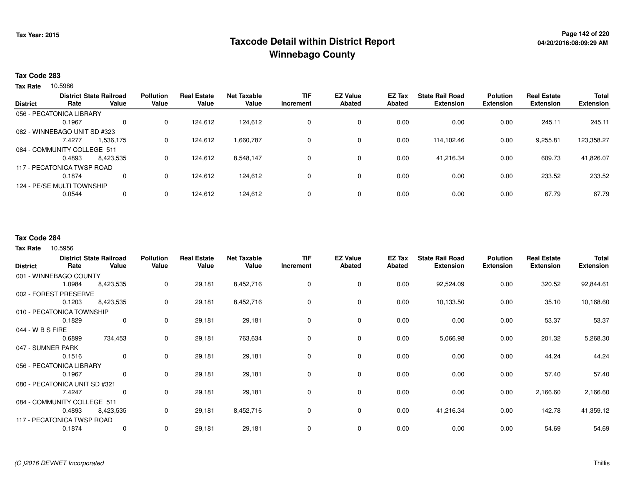## **Page 142 of 220 Taxcode Detail within District ReportWinnebago County**

#### **Tax Code 283**

**Tax Rate** 10.5986

| <b>District</b> |                              | <b>District State Railroad</b> | <b>Pollution</b> | <b>Real Estate</b> | <b>Net Taxable</b> | <b>TIF</b> | <b>EZ Value</b> | EZ Tax | <b>State Rail Road</b> | <b>Polution</b>  | <b>Real Estate</b> | <b>Total</b>     |
|-----------------|------------------------------|--------------------------------|------------------|--------------------|--------------------|------------|-----------------|--------|------------------------|------------------|--------------------|------------------|
|                 | Rate                         | Value                          | Value            | Value              | Value              | Increment  | <b>Abated</b>   | Abated | <b>Extension</b>       | <b>Extension</b> | <b>Extension</b>   | <b>Extension</b> |
|                 | 056 - PECATONICA LIBRARY     |                                |                  |                    |                    |            |                 |        |                        |                  |                    |                  |
|                 | 0.1967                       | 0                              | 0                | 124.612            | 124,612            |            | $\mathbf 0$     | 0.00   | 0.00                   | 0.00             | 245.11             | 245.11           |
|                 | 082 - WINNEBAGO UNIT SD #323 |                                |                  |                    |                    |            |                 |        |                        |                  |                    |                  |
|                 | 7.4277                       | 1.536.175                      | 0                | 124.612            | 1,660,787          |            | $\mathbf 0$     | 0.00   | 114.102.46             | 0.00             | 9,255.81           | 123,358.27       |
|                 | 084 - COMMUNITY COLLEGE 511  |                                |                  |                    |                    |            |                 |        |                        |                  |                    |                  |
|                 | 0.4893                       | 8,423,535                      | 0                | 124.612            | 8,548,147          |            | $\mathbf 0$     | 0.00   | 41.216.34              | 0.00             | 609.73             | 41,826.07        |
|                 | 117 - PECATONICA TWSP ROAD   |                                |                  |                    |                    |            |                 |        |                        |                  |                    |                  |
|                 | 0.1874                       | 0                              | 0                | 124.612            | 124,612            |            | $\mathbf 0$     | 0.00   | 0.00                   | 0.00             | 233.52             | 233.52           |
|                 | 124 - PE/SE MULTI TOWNSHIP   |                                |                  |                    |                    |            |                 |        |                        |                  |                    |                  |
|                 | 0.0544                       | 0                              | 0                | 124,612            | 124,612            |            | $\mathbf 0$     | 0.00   | 0.00                   | 0.00             | 67.79              | 67.79            |
|                 |                              |                                |                  |                    |                    |            |                 |        |                        |                  |                    |                  |

#### **Tax Code 284**

|                               | Rate   | <b>District State Railroad</b><br>Value | <b>Pollution</b><br>Value | <b>Real Estate</b><br>Value | <b>Net Taxable</b><br>Value | <b>TIF</b><br>Increment | <b>EZ Value</b><br><b>Abated</b> | EZ Tax<br><b>Abated</b> | <b>State Rail Road</b><br><b>Extension</b> | <b>Polution</b><br><b>Extension</b> | <b>Real Estate</b><br><b>Extension</b> | <b>Total</b><br><b>Extension</b> |
|-------------------------------|--------|-----------------------------------------|---------------------------|-----------------------------|-----------------------------|-------------------------|----------------------------------|-------------------------|--------------------------------------------|-------------------------------------|----------------------------------------|----------------------------------|
| <b>District</b>               |        |                                         |                           |                             |                             |                         |                                  |                         |                                            |                                     |                                        |                                  |
| 001 - WINNEBAGO COUNTY        |        |                                         |                           |                             |                             |                         |                                  |                         |                                            |                                     |                                        |                                  |
|                               | 1.0984 | 8,423,535                               | 0                         | 29,181                      | 8,452,716                   | 0                       | 0                                | 0.00                    | 92,524.09                                  | 0.00                                | 320.52                                 | 92,844.61                        |
| 002 - FOREST PRESERVE         |        |                                         |                           |                             |                             |                         |                                  |                         |                                            |                                     |                                        |                                  |
|                               | 0.1203 | 8,423,535                               | 0                         | 29,181                      | 8,452,716                   | 0                       | 0                                | 0.00                    | 10,133.50                                  | 0.00                                | 35.10                                  | 10,168.60                        |
| 010 - PECATONICA TOWNSHIP     |        |                                         |                           |                             |                             |                         |                                  |                         |                                            |                                     |                                        |                                  |
|                               | 0.1829 | 0                                       | 0                         | 29,181                      | 29,181                      | 0                       | 0                                | 0.00                    | 0.00                                       | 0.00                                | 53.37                                  | 53.37                            |
| 044 - W B S FIRE              |        |                                         |                           |                             |                             |                         |                                  |                         |                                            |                                     |                                        |                                  |
|                               | 0.6899 | 734,453                                 | 0                         | 29,181                      | 763,634                     | 0                       | $\mathbf 0$                      | 0.00                    | 5,066.98                                   | 0.00                                | 201.32                                 | 5,268.30                         |
| 047 - SUMNER PARK             |        |                                         |                           |                             |                             |                         |                                  |                         |                                            |                                     |                                        |                                  |
|                               | 0.1516 | $\mathbf 0$                             | 0                         | 29,181                      | 29,181                      | $\Omega$                | $\mathbf 0$                      | 0.00                    | 0.00                                       | 0.00                                | 44.24                                  | 44.24                            |
| 056 - PECATONICA LIBRARY      |        |                                         |                           |                             |                             |                         |                                  |                         |                                            |                                     |                                        |                                  |
|                               | 0.1967 | $\mathbf 0$                             | $\mathbf 0$               | 29,181                      | 29,181                      | 0                       | 0                                | 0.00                    | 0.00                                       | 0.00                                | 57.40                                  | 57.40                            |
| 080 - PECATONICA UNIT SD #321 |        |                                         |                           |                             |                             |                         |                                  |                         |                                            |                                     |                                        |                                  |
|                               | 7.4247 | 0                                       | 0                         | 29,181                      | 29,181                      | 0                       | $\mathbf 0$                      | 0.00                    | 0.00                                       | 0.00                                | 2,166.60                               | 2,166.60                         |
| 084 - COMMUNITY COLLEGE 511   |        |                                         |                           |                             |                             |                         |                                  |                         |                                            |                                     |                                        |                                  |
|                               | 0.4893 | 8,423,535                               | 0                         | 29,181                      | 8,452,716                   | 0                       | $\mathbf 0$                      | 0.00                    | 41,216.34                                  | 0.00                                | 142.78                                 | 41,359.12                        |
| 117 - PECATONICA TWSP ROAD    |        |                                         |                           |                             |                             |                         |                                  |                         |                                            |                                     |                                        |                                  |
|                               | 0.1874 | 0                                       | 0                         | 29,181                      | 29,181                      | $\mathbf 0$             | $\mathbf 0$                      | 0.00                    | 0.00                                       | 0.00                                | 54.69                                  | 54.69                            |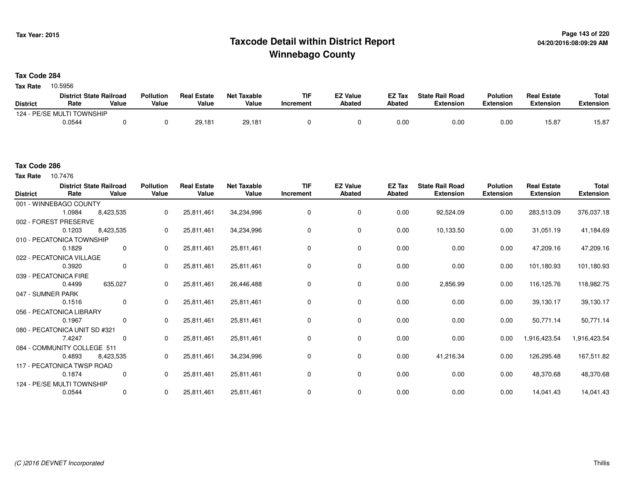## **Page 143 of 220 Taxcode Detail within District ReportWinnebago County**

### **Tax Code 284**

**Tax Rate** 10.5956

|                 | <b>District State Railroad</b> |       | <b>Pollution</b> | <b>Real Estate</b> | Net Taxable | <b>TIF</b> | <b>EZ Value</b> | <b>EZ Tax</b> | <b>State Rail Road</b> | <b>Polution</b>  | <b>Real Estate</b> | <b>Total</b> |
|-----------------|--------------------------------|-------|------------------|--------------------|-------------|------------|-----------------|---------------|------------------------|------------------|--------------------|--------------|
| <b>District</b> | Rate                           | Value | Value            | Value              | Value       | Increment  | <b>Abated</b>   | Abated        | <b>Extension</b>       | <b>Extension</b> | <b>Extension</b>   | Extension    |
|                 | 124 - PE/SE MULTI TOWNSHIP     |       |                  |                    |             |            |                 |               |                        |                  |                    |              |
|                 | 0.0544                         |       |                  | 29.181             | 29,181      |            |                 | 0.00          | 0.00                   | 0.00             | 15.87              | 15.87        |

#### **Tax Code 286**

**Tax Rate** 10.7476

| <b>District</b>   | Rate                          | <b>District State Railroad</b><br>Value | <b>Pollution</b><br>Value | <b>Real Estate</b><br>Value | <b>Net Taxable</b><br>Value | <b>TIF</b><br>Increment | <b>EZ Value</b><br><b>Abated</b> | EZ Tax<br>Abated | <b>State Rail Road</b><br><b>Extension</b> | <b>Polution</b><br><b>Extension</b> | <b>Real Estate</b><br><b>Extension</b> | <b>Total</b><br><b>Extension</b> |
|-------------------|-------------------------------|-----------------------------------------|---------------------------|-----------------------------|-----------------------------|-------------------------|----------------------------------|------------------|--------------------------------------------|-------------------------------------|----------------------------------------|----------------------------------|
|                   | 001 - WINNEBAGO COUNTY        |                                         |                           |                             |                             |                         |                                  |                  |                                            |                                     |                                        |                                  |
|                   | 1.0984                        | 8,423,535                               | 0                         | 25,811,461                  | 34,234,996                  | 0                       | $\mathbf 0$                      | 0.00             | 92,524.09                                  | 0.00                                | 283,513.09                             | 376,037.18                       |
|                   | 002 - FOREST PRESERVE         |                                         |                           |                             |                             |                         |                                  |                  |                                            |                                     |                                        |                                  |
|                   | 0.1203                        | 8,423,535                               | 0                         | 25,811,461                  | 34,234,996                  | $\Omega$                | 0                                | 0.00             | 10,133.50                                  | 0.00                                | 31,051.19                              | 41,184.69                        |
|                   | 010 - PECATONICA TOWNSHIP     |                                         |                           |                             |                             |                         |                                  |                  |                                            |                                     |                                        |                                  |
|                   | 0.1829                        | $\mathbf 0$                             | $\Omega$                  | 25,811,461                  | 25,811,461                  | $\Omega$                | 0                                | 0.00             | 0.00                                       | 0.00                                | 47,209.16                              | 47,209.16                        |
|                   | 022 - PECATONICA VILLAGE      |                                         |                           |                             |                             |                         |                                  |                  |                                            |                                     |                                        |                                  |
|                   | 0.3920                        | 0                                       | 0                         | 25,811,461                  | 25,811,461                  | 0                       | 0                                | 0.00             | 0.00                                       | 0.00                                | 101,180.93                             | 101,180.93                       |
|                   | 039 - PECATONICA FIRE         |                                         |                           |                             |                             |                         |                                  |                  |                                            |                                     |                                        |                                  |
|                   | 0.4499                        | 635,027                                 | 0                         | 25,811,461                  | 26,446,488                  | 0                       | 0                                | 0.00             | 2,856.99                                   | 0.00                                | 116,125.76                             | 118,982.75                       |
| 047 - SUMNER PARK |                               |                                         |                           |                             |                             |                         |                                  |                  |                                            |                                     |                                        |                                  |
|                   | 0.1516                        | $\mathbf 0$                             | 0                         | 25,811,461                  | 25,811,461                  |                         | 0                                | 0.00             | 0.00                                       | 0.00                                | 39,130.17                              | 39,130.17                        |
|                   | 056 - PECATONICA LIBRARY      |                                         |                           |                             |                             |                         |                                  |                  |                                            |                                     |                                        |                                  |
|                   | 0.1967                        | $\mathbf 0$                             | $\Omega$                  | 25,811,461                  | 25,811,461                  | 0                       | 0                                | 0.00             | 0.00                                       | 0.00                                | 50,771.14                              | 50,771.14                        |
|                   | 080 - PECATONICA UNIT SD #321 |                                         |                           |                             |                             |                         |                                  |                  |                                            |                                     |                                        |                                  |
|                   | 7.4247                        | 0                                       | $\Omega$                  | 25,811,461                  | 25,811,461                  | $\Omega$                | 0                                | 0.00             | 0.00                                       | 0.00                                | 1,916,423.54                           | 1,916,423.54                     |
|                   | 084 - COMMUNITY COLLEGE 511   |                                         |                           |                             |                             |                         |                                  |                  |                                            |                                     |                                        |                                  |
|                   | 0.4893                        | 8,423,535                               | 0                         | 25,811,461                  | 34,234,996                  | 0                       | 0                                | 0.00             | 41,216.34                                  | 0.00                                | 126,295.48                             | 167,511.82                       |
|                   | 117 - PECATONICA TWSP ROAD    |                                         |                           |                             |                             |                         |                                  |                  |                                            |                                     |                                        |                                  |
|                   | 0.1874                        | 0                                       | 0                         | 25,811,461                  | 25,811,461                  | 0                       | 0                                | 0.00             | 0.00                                       | 0.00                                | 48,370.68                              | 48,370.68                        |
|                   | 124 - PE/SE MULTI TOWNSHIP    |                                         |                           |                             |                             |                         |                                  |                  |                                            |                                     |                                        |                                  |
|                   | 0.0544                        | $\mathbf 0$                             | 0                         | 25,811,461                  | 25,811,461                  |                         | 0                                | 0.00             | 0.00                                       | 0.00                                | 14,041.43                              | 14,041.43                        |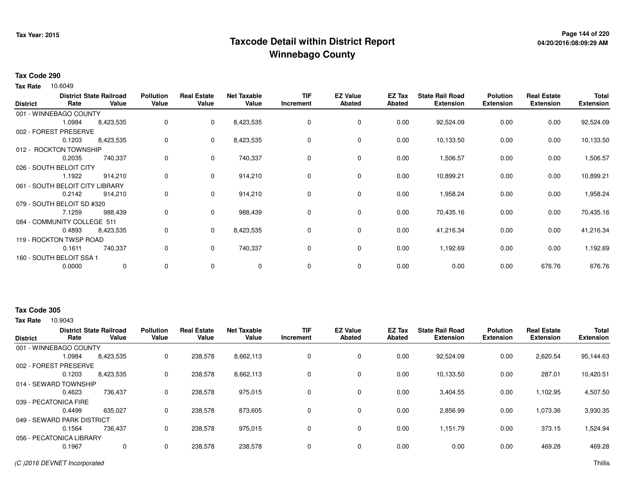## **Page 144 of 220 Taxcode Detail within District ReportWinnebago County**

### **Tax Code 290**

10.6049 **Tax Rate**

| <b>District</b> | Rate                        | <b>District State Railroad</b><br>Value | <b>Pollution</b><br>Value | <b>Real Estate</b><br>Value | <b>Net Taxable</b><br>Value | <b>TIF</b><br>Increment | <b>EZ Value</b><br>Abated | EZ Tax<br>Abated | <b>State Rail Road</b><br><b>Extension</b> | <b>Polution</b><br><b>Extension</b> | <b>Real Estate</b><br><b>Extension</b> | <b>Total</b><br><b>Extension</b> |
|-----------------|-----------------------------|-----------------------------------------|---------------------------|-----------------------------|-----------------------------|-------------------------|---------------------------|------------------|--------------------------------------------|-------------------------------------|----------------------------------------|----------------------------------|
|                 | 001 - WINNEBAGO COUNTY      |                                         |                           |                             |                             |                         |                           |                  |                                            |                                     |                                        |                                  |
|                 | 1.0984                      | 8,423,535                               | 0                         | $\mathbf{0}$                | 8,423,535                   | 0                       | 0                         | 0.00             | 92,524.09                                  | 0.00                                | 0.00                                   | 92,524.09                        |
|                 | 002 - FOREST PRESERVE       |                                         |                           |                             |                             |                         |                           |                  |                                            |                                     |                                        |                                  |
|                 | 0.1203                      | 8,423,535                               | 0                         | 0                           | 8,423,535                   | 0                       | 0                         | 0.00             | 10,133.50                                  | 0.00                                | 0.00                                   | 10,133.50                        |
|                 | 012 - ROCKTON TOWNSHIP      |                                         |                           |                             |                             |                         |                           |                  |                                            |                                     |                                        |                                  |
|                 | 0.2035                      | 740,337                                 | 0                         | $\mathbf 0$                 | 740,337                     | 0                       | $\mathbf 0$               | 0.00             | 1,506.57                                   | 0.00                                | 0.00                                   | 1,506.57                         |
|                 | 026 - SOUTH BELOIT CITY     |                                         |                           |                             |                             |                         |                           |                  |                                            |                                     |                                        |                                  |
|                 | 1.1922                      | 914,210                                 | 0                         | $\mathbf 0$                 | 914,210                     | 0                       | $\mathbf 0$               | 0.00             | 10,899.21                                  | 0.00                                | 0.00                                   | 10,899.21                        |
|                 | 061 - SOUTH BELOIT CITY     | <b>LIBRARY</b>                          |                           |                             |                             |                         |                           |                  |                                            |                                     |                                        |                                  |
|                 | 0.2142                      | 914,210                                 | 0                         | $\mathbf 0$                 | 914,210                     | 0                       | $\mathbf 0$               | 0.00             | 1,958.24                                   | 0.00                                | 0.00                                   | 1,958.24                         |
|                 | 079 - SOUTH BELOIT SD #320  |                                         |                           |                             |                             |                         |                           |                  |                                            |                                     |                                        |                                  |
|                 | 7.1259                      | 988,439                                 | 0                         | 0                           | 988,439                     | 0                       | 0                         | 0.00             | 70,435.16                                  | 0.00                                | 0.00                                   | 70,435.16                        |
|                 | 084 - COMMUNITY COLLEGE 511 |                                         |                           |                             |                             |                         |                           |                  |                                            |                                     |                                        |                                  |
|                 | 0.4893                      | 8,423,535                               | 0                         | $\mathbf{0}$                | 8,423,535                   | 0                       | $\mathbf 0$               | 0.00             | 41,216.34                                  | 0.00                                | 0.00                                   | 41,216.34                        |
|                 | 119 - ROCKTON TWSP ROAD     |                                         |                           |                             |                             |                         |                           |                  |                                            |                                     |                                        |                                  |
|                 | 0.1611                      | 740,337                                 | 0                         | $\mathbf 0$                 | 740,337                     | 0                       | $\mathbf 0$               | 0.00             | 1,192.69                                   | 0.00                                | 0.00                                   | 1,192.69                         |
|                 | 160 - SOUTH BELOIT SSA 1    |                                         |                           |                             |                             |                         |                           |                  |                                            |                                     |                                        |                                  |
|                 | 0.0000                      | $\mathbf 0$                             | 0                         | $\mathbf 0$                 | 0                           | 0                       | 0                         | 0.00             | 0.00                                       | 0.00                                | 676.76                                 | 676.76                           |

### **Tax Code 305**

| <b>District</b>            | <b>District State Railroad</b><br>Value<br>Rate |           | <b>Pollution</b><br>Value | <b>Real Estate</b><br>Value | <b>Net Taxable</b><br>Value | <b>TIF</b><br>Increment | <b>EZ Value</b><br><b>Abated</b> | <b>EZ Tax</b><br>Abated | <b>State Rail Road</b><br><b>Extension</b> | <b>Polution</b><br><b>Extension</b> | <b>Real Estate</b><br><b>Extension</b> | <b>Total</b><br><b>Extension</b> |
|----------------------------|-------------------------------------------------|-----------|---------------------------|-----------------------------|-----------------------------|-------------------------|----------------------------------|-------------------------|--------------------------------------------|-------------------------------------|----------------------------------------|----------------------------------|
| 001 - WINNEBAGO COUNTY     |                                                 |           |                           |                             |                             |                         |                                  |                         |                                            |                                     |                                        |                                  |
|                            | 1.0984                                          | 8,423,535 | 0                         | 238,578                     | 8,662,113                   | 0                       | 0                                | 0.00                    | 92,524.09                                  | 0.00                                | 2,620.54                               | 95,144.63                        |
| 002 - FOREST PRESERVE      |                                                 |           |                           |                             |                             |                         |                                  |                         |                                            |                                     |                                        |                                  |
|                            | 0.1203                                          | 8,423,535 | 0                         | 238,578                     | 8,662,113                   | 0                       | 0                                | 0.00                    | 10.133.50                                  | 0.00                                | 287.01                                 | 10,420.51                        |
| 014 - SEWARD TOWNSHIP      |                                                 |           |                           |                             |                             |                         |                                  |                         |                                            |                                     |                                        |                                  |
|                            | 0.4623                                          | 736,437   | 0                         | 238,578                     | 975,015                     | 0                       | 0                                | 0.00                    | 3,404.55                                   | 0.00                                | 1,102.95                               | 4,507.50                         |
| 039 - PECATONICA FIRE      |                                                 |           |                           |                             |                             |                         |                                  |                         |                                            |                                     |                                        |                                  |
|                            | 0.4499                                          | 635.027   | 0                         | 238,578                     | 873,605                     | 0                       | 0                                | 0.00                    | 2,856.99                                   | 0.00                                | 1,073.36                               | 3,930.35                         |
| 049 - SEWARD PARK DISTRICT |                                                 |           |                           |                             |                             |                         |                                  |                         |                                            |                                     |                                        |                                  |
|                            | 0.1564                                          | 736.437   | 0                         | 238,578                     | 975,015                     | 0                       | 0                                | 0.00                    | 1,151.79                                   | 0.00                                | 373.15                                 | 1,524.94                         |
| 056 - PECATONICA LIBRARY   |                                                 |           |                           |                             |                             |                         |                                  |                         |                                            |                                     |                                        |                                  |
|                            | 0.1967                                          | 0         | 0                         | 238,578                     | 238,578                     | 0                       | 0                                | 0.00                    | 0.00                                       | 0.00                                | 469.28                                 | 469.28                           |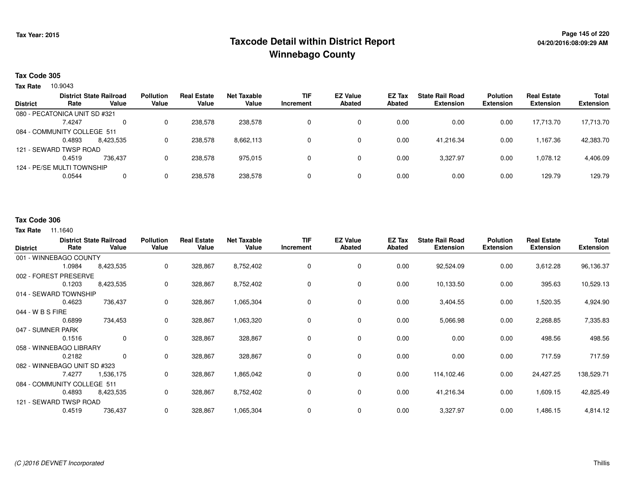# **Page 145 of 220 Taxcode Detail within District ReportWinnebago County**

## **Tax Code 305**

**Tax Rate** 10.9043

|                 |                               | <b>District State Railroad</b> | <b>Pollution</b> | <b>Real Estate</b> | Net Taxable | <b>TIF</b> | <b>EZ Value</b> | EZ Tax | <b>State Rail Road</b> | <b>Polution</b>  | <b>Real Estate</b> | <b>Total</b>     |
|-----------------|-------------------------------|--------------------------------|------------------|--------------------|-------------|------------|-----------------|--------|------------------------|------------------|--------------------|------------------|
| <b>District</b> | Rate                          | Value                          | Value            | Value              | Value       | Increment  | <b>Abated</b>   | Abated | <b>Extension</b>       | <b>Extension</b> | <b>Extension</b>   | <b>Extension</b> |
|                 | 080 - PECATONICA UNIT SD #321 |                                |                  |                    |             |            |                 |        |                        |                  |                    |                  |
|                 | 7.4247                        | $\Omega$                       |                  | 238,578            | 238,578     |            | 0               | 0.00   | 0.00                   | 0.00             | 17.713.70          | 17,713.70        |
|                 | 084 - COMMUNITY COLLEGE 511   |                                |                  |                    |             |            |                 |        |                        |                  |                    |                  |
|                 | 0.4893                        | 8,423,535                      |                  | 238,578            | 8,662,113   |            | 0               | 0.00   | 41.216.34              | 0.00             | 1.167.36           | 42,383.70        |
|                 | 121 - SEWARD TWSP ROAD        |                                |                  |                    |             |            |                 |        |                        |                  |                    |                  |
|                 | 0.4519                        | 736.437                        |                  | 238,578            | 975.015     |            | 0               | 0.00   | 3,327.97               | 0.00             | 1,078.12           | 4,406.09         |
|                 | 124 - PE/SE MULTI TOWNSHIP    |                                |                  |                    |             |            |                 |        |                        |                  |                    |                  |
|                 | 0.0544                        | 0                              |                  | 238,578            | 238,578     |            | 0               | 0.00   | 0.00                   | 0.00             | 129.79             | 129.79           |
|                 |                               |                                |                  |                    |             |            |                 |        |                        |                  |                    |                  |

## **Tax Code 306**

#### **Tax Rate** 11.1640

| <b>District</b>              | Rate   | <b>District State Railroad</b><br>Value | <b>Pollution</b><br>Value | <b>Real Estate</b><br>Value | <b>Net Taxable</b><br>Value | <b>TIF</b><br>Increment | <b>EZ Value</b><br><b>Abated</b> | <b>EZ Tax</b><br><b>Abated</b> | <b>State Rail Road</b><br><b>Extension</b> | <b>Polution</b><br><b>Extension</b> | <b>Real Estate</b><br><b>Extension</b> | <b>Total</b><br><b>Extension</b> |
|------------------------------|--------|-----------------------------------------|---------------------------|-----------------------------|-----------------------------|-------------------------|----------------------------------|--------------------------------|--------------------------------------------|-------------------------------------|----------------------------------------|----------------------------------|
| 001 - WINNEBAGO COUNTY       |        |                                         |                           |                             |                             |                         |                                  |                                |                                            |                                     |                                        |                                  |
|                              | 1.0984 | 8,423,535                               | 0                         | 328,867                     | 8,752,402                   | 0                       | 0                                | 0.00                           | 92,524.09                                  | 0.00                                | 3,612.28                               | 96,136.37                        |
| 002 - FOREST PRESERVE        |        |                                         |                           |                             |                             |                         |                                  |                                |                                            |                                     |                                        |                                  |
|                              | 0.1203 | 8,423,535                               | 0                         | 328,867                     | 8,752,402                   | 0                       | 0                                | 0.00                           | 10,133.50                                  | 0.00                                | 395.63                                 | 10,529.13                        |
| 014 - SEWARD TOWNSHIP        |        |                                         |                           |                             |                             |                         |                                  |                                |                                            |                                     |                                        |                                  |
|                              | 0.4623 | 736,437                                 | 0                         | 328,867                     | 1,065,304                   | 0                       | 0                                | 0.00                           | 3,404.55                                   | 0.00                                | 1,520.35                               | 4,924.90                         |
| 044 - W B S FIRE             |        |                                         |                           |                             |                             |                         |                                  |                                |                                            |                                     |                                        |                                  |
|                              | 0.6899 | 734,453                                 | 0                         | 328,867                     | 1,063,320                   | 0                       | $\mathbf 0$                      | 0.00                           | 5,066.98                                   | 0.00                                | 2,268.85                               | 7,335.83                         |
| 047 - SUMNER PARK            |        |                                         |                           |                             |                             |                         |                                  |                                |                                            |                                     |                                        |                                  |
|                              | 0.1516 | 0                                       | 0                         | 328,867                     | 328,867                     | 0                       | 0                                | 0.00                           | 0.00                                       | 0.00                                | 498.56                                 | 498.56                           |
| 058 - WINNEBAGO LIBRARY      |        |                                         |                           |                             |                             |                         |                                  |                                |                                            |                                     |                                        |                                  |
|                              | 0.2182 | 0                                       | 0                         | 328,867                     | 328,867                     | 0                       | 0                                | 0.00                           | 0.00                                       | 0.00                                | 717.59                                 | 717.59                           |
| 082 - WINNEBAGO UNIT SD #323 |        |                                         |                           |                             |                             |                         |                                  |                                |                                            |                                     |                                        |                                  |
|                              | 7.4277 | 1,536,175                               | 0                         | 328,867                     | 1,865,042                   | 0                       | 0                                | 0.00                           | 114,102.46                                 | 0.00                                | 24,427.25                              | 138,529.71                       |
| 084 - COMMUNITY COLLEGE 511  |        |                                         |                           |                             |                             |                         |                                  |                                |                                            |                                     |                                        |                                  |
|                              | 0.4893 | 8,423,535                               | 0                         | 328,867                     | 8,752,402                   | 0                       | $\mathbf 0$                      | 0.00                           | 41,216.34                                  | 0.00                                | 1,609.15                               | 42,825.49                        |
| 121 - SEWARD TWSP ROAD       |        |                                         |                           |                             |                             |                         |                                  |                                |                                            |                                     |                                        |                                  |
|                              | 0.4519 | 736,437                                 | 0                         | 328,867                     | 1,065,304                   | 0                       | $\mathbf 0$                      | 0.00                           | 3,327.97                                   | 0.00                                | 1,486.15                               | 4,814.12                         |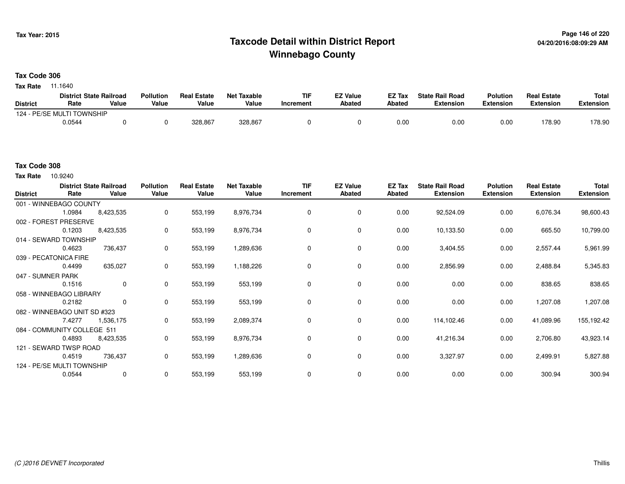# **Page 146 of 220 Taxcode Detail within District ReportWinnebago County**

### **Tax Code 306**

**Tax Rate** 11.1640

|                 | <b>District State Railroad</b> |       | <b>Pollution</b> | <b>Real Estate</b> | <b>Net Taxable</b> | TIF       | EZ Value | EZ Tax | <b>State Rail Road</b> | <b>Polution</b> | <b>Real Estate</b> | <b>Total</b> |
|-----------------|--------------------------------|-------|------------------|--------------------|--------------------|-----------|----------|--------|------------------------|-----------------|--------------------|--------------|
| <b>District</b> | Rate                           | Value | Value            | Value              | Value              | Increment | Abated   | Abated | <b>Extension</b>       | Extension       | <b>Extension</b>   | Extension    |
|                 | 124 - PE/SE MULTI TOWNSHIP     |       |                  |                    |                    |           |          |        |                        |                 |                    |              |
|                 | 0.0544                         |       |                  | 328,867            | 328,867            |           |          | 0.00   | 0.00                   | 0.00            | 178.90             | 178.90       |

## **Tax Code 308**

10.9240 **Tax Rate**

| <b>District</b>   | Rate                         | <b>District State Railroad</b><br>Value | <b>Pollution</b><br>Value | <b>Real Estate</b><br>Value | <b>Net Taxable</b><br>Value | <b>TIF</b><br>Increment | <b>EZ Value</b><br>Abated | EZ Tax<br>Abated | <b>State Rail Road</b><br><b>Extension</b> | <b>Polution</b><br><b>Extension</b> | <b>Real Estate</b><br><b>Extension</b> | Total<br><b>Extension</b> |
|-------------------|------------------------------|-----------------------------------------|---------------------------|-----------------------------|-----------------------------|-------------------------|---------------------------|------------------|--------------------------------------------|-------------------------------------|----------------------------------------|---------------------------|
|                   | 001 - WINNEBAGO COUNTY       |                                         |                           |                             |                             |                         |                           |                  |                                            |                                     |                                        |                           |
|                   | 1.0984                       | 8,423,535                               | 0                         | 553,199                     | 8,976,734                   | 0                       | 0                         | 0.00             | 92,524.09                                  | 0.00                                | 6,076.34                               | 98,600.43                 |
|                   | 002 - FOREST PRESERVE        |                                         |                           |                             |                             |                         |                           |                  |                                            |                                     |                                        |                           |
|                   | 0.1203                       | 8,423,535                               | 0                         | 553,199                     | 8,976,734                   | $\Omega$                | 0                         | 0.00             | 10,133.50                                  | 0.00                                | 665.50                                 | 10,799.00                 |
|                   | 014 - SEWARD TOWNSHIP        |                                         |                           |                             |                             |                         |                           |                  |                                            |                                     |                                        |                           |
|                   | 0.4623                       | 736,437                                 | 0                         | 553,199                     | 1,289,636                   | $\mathbf 0$             | $\mathbf 0$               | 0.00             | 3,404.55                                   | 0.00                                | 2,557.44                               | 5,961.99                  |
|                   | 039 - PECATONICA FIRE        |                                         |                           |                             |                             |                         |                           |                  |                                            |                                     |                                        |                           |
|                   | 0.4499                       | 635,027                                 | 0                         | 553,199                     | 1,188,226                   | 0                       | 0                         | 0.00             | 2,856.99                                   | 0.00                                | 2,488.84                               | 5,345.83                  |
| 047 - SUMNER PARK |                              |                                         |                           |                             |                             |                         |                           |                  |                                            |                                     |                                        |                           |
|                   | 0.1516                       | 0                                       | 0                         | 553,199                     | 553,199                     | 0                       | 0                         | 0.00             | 0.00                                       | 0.00                                | 838.65                                 | 838.65                    |
|                   | 058 - WINNEBAGO LIBRARY      |                                         |                           |                             |                             |                         |                           |                  |                                            |                                     |                                        |                           |
|                   | 0.2182                       | 0                                       | 0                         | 553,199                     | 553,199                     | $\Omega$                | 0                         | 0.00             | 0.00                                       | 0.00                                | 1,207.08                               | 1,207.08                  |
|                   | 082 - WINNEBAGO UNIT SD #323 |                                         |                           |                             |                             |                         |                           |                  |                                            |                                     |                                        |                           |
|                   | 7.4277                       | 1,536,175                               | 0                         | 553,199                     | 2,089,374                   | 0                       | $\mathbf 0$               | 0.00             | 114,102.46                                 | 0.00                                | 41,089.96                              | 155,192.42                |
|                   | 084 - COMMUNITY COLLEGE 511  |                                         |                           |                             |                             |                         |                           |                  |                                            |                                     |                                        |                           |
|                   | 0.4893                       | 8,423,535                               | 0                         | 553,199                     | 8,976,734                   | $\Omega$                | 0                         | 0.00             | 41,216.34                                  | 0.00                                | 2,706.80                               | 43,923.14                 |
|                   | 121 - SEWARD TWSP ROAD       |                                         |                           |                             |                             |                         |                           |                  |                                            |                                     |                                        |                           |
|                   | 0.4519                       | 736,437                                 | $\mathbf 0$               | 553,199                     | 1,289,636                   | 0                       | 0                         | 0.00             | 3,327.97                                   | 0.00                                | 2,499.91                               | 5,827.88                  |
|                   | 124 - PE/SE MULTI TOWNSHIP   |                                         |                           |                             |                             |                         |                           |                  |                                            |                                     |                                        |                           |
|                   | 0.0544                       | 0                                       | 0                         | 553,199                     | 553,199                     | $\Omega$                | 0                         | 0.00             | 0.00                                       | 0.00                                | 300.94                                 | 300.94                    |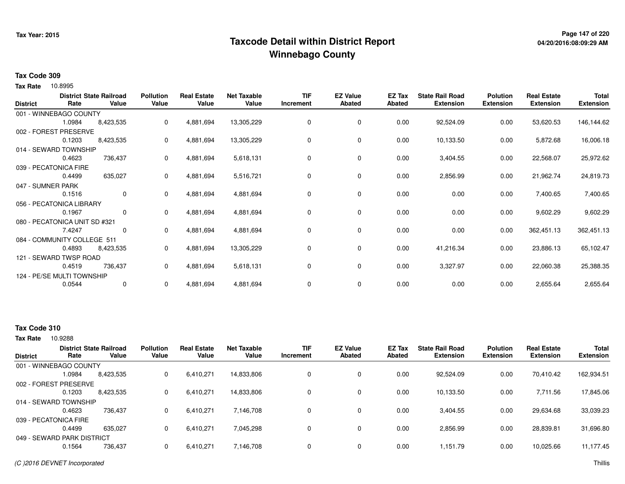# **Page 147 of 220 Taxcode Detail within District ReportWinnebago County**

## **Tax Code 309**

10.8995 **Tax Rate**

| <b>District</b>   | Rate                          | <b>District State Railroad</b><br>Value | <b>Pollution</b><br>Value | <b>Real Estate</b><br>Value | <b>Net Taxable</b><br>Value | <b>TIF</b><br>Increment | <b>EZ Value</b><br><b>Abated</b> | EZ Tax<br><b>Abated</b> | <b>State Rail Road</b><br><b>Extension</b> | <b>Polution</b><br><b>Extension</b> | <b>Real Estate</b><br><b>Extension</b> | <b>Total</b><br><b>Extension</b> |
|-------------------|-------------------------------|-----------------------------------------|---------------------------|-----------------------------|-----------------------------|-------------------------|----------------------------------|-------------------------|--------------------------------------------|-------------------------------------|----------------------------------------|----------------------------------|
|                   | 001 - WINNEBAGO COUNTY        |                                         |                           |                             |                             |                         |                                  |                         |                                            |                                     |                                        |                                  |
|                   | 1.0984                        | 8,423,535                               | 0                         | 4,881,694                   | 13,305,229                  | 0                       | 0                                | 0.00                    | 92,524.09                                  | 0.00                                | 53,620.53                              | 146,144.62                       |
|                   | 002 - FOREST PRESERVE         |                                         |                           |                             |                             |                         |                                  |                         |                                            |                                     |                                        |                                  |
|                   | 0.1203                        | 8,423,535                               | 0                         | 4,881,694                   | 13,305,229                  | 0                       | 0                                | 0.00                    | 10,133.50                                  | 0.00                                | 5,872.68                               | 16,006.18                        |
|                   | 014 - SEWARD TOWNSHIP         |                                         |                           |                             |                             |                         |                                  |                         |                                            |                                     |                                        |                                  |
|                   | 0.4623                        | 736,437                                 | 0                         | 4,881,694                   | 5,618,131                   | 0                       | 0                                | 0.00                    | 3,404.55                                   | 0.00                                | 22,568.07                              | 25,972.62                        |
|                   | 039 - PECATONICA FIRE         |                                         |                           |                             |                             |                         |                                  |                         |                                            |                                     |                                        |                                  |
|                   | 0.4499                        | 635,027                                 | 0                         | 4,881,694                   | 5,516,721                   | 0                       | 0                                | 0.00                    | 2,856.99                                   | 0.00                                | 21,962.74                              | 24,819.73                        |
| 047 - SUMNER PARK |                               |                                         |                           |                             |                             |                         |                                  |                         |                                            |                                     |                                        |                                  |
|                   | 0.1516                        | $\mathbf 0$                             | 0                         | 4,881,694                   | 4,881,694                   | 0                       | 0                                | 0.00                    | 0.00                                       | 0.00                                | 7,400.65                               | 7,400.65                         |
|                   | 056 - PECATONICA LIBRARY      |                                         |                           |                             |                             |                         |                                  |                         |                                            |                                     |                                        |                                  |
|                   | 0.1967                        | 0                                       | 0                         | 4,881,694                   | 4,881,694                   | 0                       | 0                                | 0.00                    | 0.00                                       | 0.00                                | 9,602.29                               | 9,602.29                         |
|                   | 080 - PECATONICA UNIT SD #321 |                                         |                           |                             |                             |                         |                                  |                         |                                            |                                     |                                        |                                  |
|                   | 7.4247                        | 0                                       | 0                         | 4,881,694                   | 4,881,694                   | 0                       | 0                                | 0.00                    | 0.00                                       | 0.00                                | 362,451.13                             | 362,451.13                       |
|                   | 084 - COMMUNITY COLLEGE 511   |                                         |                           |                             |                             |                         |                                  |                         |                                            |                                     |                                        |                                  |
|                   | 0.4893                        | 8,423,535                               | 0                         | 4,881,694                   | 13,305,229                  | 0                       | 0                                | 0.00                    | 41,216.34                                  | 0.00                                | 23,886.13                              | 65,102.47                        |
|                   | 121 - SEWARD TWSP ROAD        |                                         |                           |                             |                             |                         |                                  |                         |                                            |                                     |                                        |                                  |
|                   | 0.4519                        | 736,437                                 | 0                         | 4,881,694                   | 5,618,131                   | 0                       | 0                                | 0.00                    | 3,327.97                                   | 0.00                                | 22,060.38                              | 25,388.35                        |
|                   | 124 - PE/SE MULTI TOWNSHIP    |                                         |                           |                             |                             |                         |                                  |                         |                                            |                                     |                                        |                                  |
|                   | 0.0544                        | 0                                       | 0                         | 4,881,694                   | 4,881,694                   | 0                       | 0                                | 0.00                    | 0.00                                       | 0.00                                | 2,655.64                               | 2,655.64                         |

# **Tax Code 310**

Tax Rate 10.9288

| <b>District</b> | Rate                       | <b>District State Railroad</b><br>Value | <b>Pollution</b><br>Value | <b>Real Estate</b><br>Value | <b>Net Taxable</b><br>Value | TIF<br>Increment | <b>EZ Value</b><br><b>Abated</b> | EZ Tax<br>Abated | <b>State Rail Road</b><br><b>Extension</b> | <b>Polution</b><br><b>Extension</b> | <b>Real Estate</b><br><b>Extension</b> | <b>Total</b><br>Extension |
|-----------------|----------------------------|-----------------------------------------|---------------------------|-----------------------------|-----------------------------|------------------|----------------------------------|------------------|--------------------------------------------|-------------------------------------|----------------------------------------|---------------------------|
|                 | 001 - WINNEBAGO COUNTY     |                                         |                           |                             |                             |                  |                                  |                  |                                            |                                     |                                        |                           |
|                 | 1.0984                     | 8,423,535                               | 0                         | 6,410,271                   | 14,833,806                  |                  | 0                                | 0.00             | 92,524.09                                  | 0.00                                | 70,410.42                              | 162,934.51                |
|                 | 002 - FOREST PRESERVE      |                                         |                           |                             |                             |                  |                                  |                  |                                            |                                     |                                        |                           |
|                 | 0.1203                     | 8,423,535                               | 0                         | 6,410,271                   | 14,833,806                  |                  | $\mathbf 0$                      | 0.00             | 10,133.50                                  | 0.00                                | 7,711.56                               | 17,845.06                 |
|                 | 014 - SEWARD TOWNSHIP      |                                         |                           |                             |                             |                  |                                  |                  |                                            |                                     |                                        |                           |
|                 | 0.4623                     | 736.437                                 | 0                         | 6,410,271                   | 7.146.708                   |                  | $\mathbf 0$                      | 0.00             | 3,404.55                                   | 0.00                                | 29,634.68                              | 33,039.23                 |
|                 | 039 - PECATONICA FIRE      |                                         |                           |                             |                             |                  |                                  |                  |                                            |                                     |                                        |                           |
|                 | 0.4499                     | 635.027                                 | 0                         | 6,410,271                   | 7,045,298                   |                  | $\mathbf 0$                      | 0.00             | 2,856.99                                   | 0.00                                | 28,839.81                              | 31,696.80                 |
|                 | 049 - SEWARD PARK DISTRICT |                                         |                           |                             |                             |                  |                                  |                  |                                            |                                     |                                        |                           |
|                 | 0.1564                     | 736,437                                 | $\Omega$                  | 6,410,271                   | 7,146,708                   |                  | $\mathbf 0$                      | 0.00             | 1,151.79                                   | 0.00                                | 10,025.66                              | 11,177.45                 |
|                 |                            |                                         |                           |                             |                             |                  |                                  |                  |                                            |                                     |                                        |                           |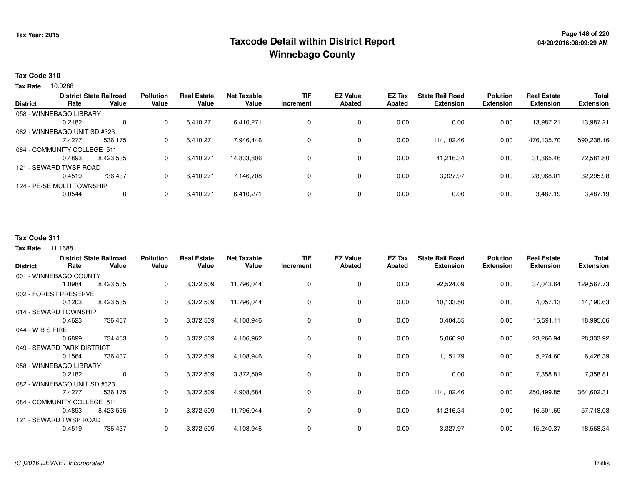# **Page 148 of 220 Taxcode Detail within District ReportWinnebago County**

### **Tax Code 310**

Tax Rate 10.9288

| <b>District</b> | Rate                         | <b>District State Railroad</b><br>Value | <b>Pollution</b><br>Value | <b>Real Estate</b><br>Value | <b>Net Taxable</b><br>Value | <b>TIF</b><br>Increment | <b>EZ Value</b><br><b>Abated</b> | <b>EZ Tax</b><br>Abated | <b>State Rail Road</b><br><b>Extension</b> | <b>Polution</b><br><b>Extension</b> | <b>Real Estate</b><br><b>Extension</b> | <b>Total</b><br><b>Extension</b> |
|-----------------|------------------------------|-----------------------------------------|---------------------------|-----------------------------|-----------------------------|-------------------------|----------------------------------|-------------------------|--------------------------------------------|-------------------------------------|----------------------------------------|----------------------------------|
|                 | 058 - WINNEBAGO LIBRARY      |                                         |                           |                             |                             |                         |                                  |                         |                                            |                                     |                                        |                                  |
|                 | 0.2182                       | 0                                       | 0                         | 6,410,271                   | 6,410,271                   | 0                       | 0                                | 0.00                    | 0.00                                       | 0.00                                | 13,987.21                              | 13,987.21                        |
|                 | 082 - WINNEBAGO UNIT SD #323 |                                         |                           |                             |                             |                         |                                  |                         |                                            |                                     |                                        |                                  |
|                 | 7.4277                       | 1.536.175                               | 0                         | 6,410,271                   | 7,946,446                   | 0                       | 0                                | 0.00                    | 114,102.46                                 | 0.00                                | 476,135.70                             | 590,238.16                       |
|                 | 084 - COMMUNITY COLLEGE 511  |                                         |                           |                             |                             |                         |                                  |                         |                                            |                                     |                                        |                                  |
|                 | 0.4893                       | 8.423.535                               | 0                         | 6,410,271                   | 14,833,806                  | 0                       | 0                                | 0.00                    | 41.216.34                                  | 0.00                                | 31,365.46                              | 72,581.80                        |
|                 | 121 - SEWARD TWSP ROAD       |                                         |                           |                             |                             |                         |                                  |                         |                                            |                                     |                                        |                                  |
|                 | 0.4519                       | 736.437                                 | 0                         | 6,410,271                   | 7,146,708                   | 0                       | 0                                | 0.00                    | 3,327.97                                   | 0.00                                | 28,968.01                              | 32,295.98                        |
|                 | 124 - PE/SE MULTI TOWNSHIP   |                                         |                           |                             |                             |                         |                                  |                         |                                            |                                     |                                        |                                  |
|                 | 0.0544                       | 0                                       | 0                         | 6,410,271                   | 6,410,271                   | 0                       | 0                                | 0.00                    | 0.00                                       | 0.00                                | 3,487.19                               | 3,487.19                         |
|                 |                              |                                         |                           |                             |                             |                         |                                  |                         |                                            |                                     |                                        |                                  |

### **Tax Code 311**

**Tax Rate** 11.1688

| <b>District</b>  | Rate                         | <b>District State Railroad</b><br>Value | <b>Pollution</b><br>Value | <b>Real Estate</b><br>Value | <b>Net Taxable</b><br>Value | <b>TIF</b><br>Increment | <b>EZ Value</b><br><b>Abated</b> | EZ Tax<br><b>Abated</b> | <b>State Rail Road</b><br><b>Extension</b> | <b>Polution</b><br><b>Extension</b> | <b>Real Estate</b><br><b>Extension</b> | <b>Total</b><br><b>Extension</b> |
|------------------|------------------------------|-----------------------------------------|---------------------------|-----------------------------|-----------------------------|-------------------------|----------------------------------|-------------------------|--------------------------------------------|-------------------------------------|----------------------------------------|----------------------------------|
|                  | 001 - WINNEBAGO COUNTY       |                                         |                           |                             |                             |                         |                                  |                         |                                            |                                     |                                        |                                  |
|                  | 1.0984                       | 8,423,535                               | 0                         | 3,372,509                   | 11,796,044                  | 0                       | 0                                | 0.00                    | 92,524.09                                  | 0.00                                | 37,043.64                              | 129,567.73                       |
|                  | 002 - FOREST PRESERVE        |                                         |                           |                             |                             |                         |                                  |                         |                                            |                                     |                                        |                                  |
|                  | 0.1203                       | 8,423,535                               | 0                         | 3,372,509                   | 11,796,044                  | 0                       | $\mathbf 0$                      | 0.00                    | 10,133.50                                  | 0.00                                | 4,057.13                               | 14,190.63                        |
|                  | 014 - SEWARD TOWNSHIP        |                                         |                           |                             |                             |                         |                                  |                         |                                            |                                     |                                        |                                  |
|                  | 0.4623                       | 736,437                                 | 0                         | 3,372,509                   | 4,108,946                   | 0                       | 0                                | 0.00                    | 3,404.55                                   | 0.00                                | 15,591.11                              | 18,995.66                        |
| 044 - W B S FIRE |                              |                                         |                           |                             |                             |                         |                                  |                         |                                            |                                     |                                        |                                  |
|                  | 0.6899                       | 734,453                                 | 0                         | 3,372,509                   | 4,106,962                   | $\Omega$                | 0                                | 0.00                    | 5,066.98                                   | 0.00                                | 23,266.94                              | 28,333.92                        |
|                  | 049 - SEWARD PARK DISTRICT   |                                         |                           |                             |                             |                         |                                  |                         |                                            |                                     |                                        |                                  |
|                  | 0.1564                       | 736,437                                 | 0                         | 3,372,509                   | 4,108,946                   |                         | 0                                | 0.00                    | 1,151.79                                   | 0.00                                | 5,274.60                               | 6,426.39                         |
|                  | 058 - WINNEBAGO LIBRARY      |                                         |                           |                             |                             |                         |                                  |                         |                                            |                                     |                                        |                                  |
|                  | 0.2182                       | $\mathbf 0$                             | $\mathbf{0}$              | 3,372,509                   | 3,372,509                   | 0                       | $\mathbf 0$                      | 0.00                    | 0.00                                       | 0.00                                | 7,358.81                               | 7,358.81                         |
|                  | 082 - WINNEBAGO UNIT SD #323 |                                         |                           |                             |                             |                         |                                  |                         |                                            |                                     |                                        |                                  |
|                  | 7.4277                       | 1,536,175                               | 0                         | 3,372,509                   | 4,908,684                   | 0                       | $\mathbf 0$                      | 0.00                    | 114,102.46                                 | 0.00                                | 250,499.85                             | 364,602.31                       |
|                  | 084 - COMMUNITY COLLEGE 511  |                                         |                           |                             |                             |                         |                                  |                         |                                            |                                     |                                        |                                  |
|                  | 0.4893                       | 8,423,535                               | 0                         | 3,372,509                   | 11,796,044                  | 0                       | 0                                | 0.00                    | 41,216.34                                  | 0.00                                | 16,501.69                              | 57,718.03                        |
|                  | 121 - SEWARD TWSP ROAD       |                                         |                           |                             |                             |                         |                                  |                         |                                            |                                     |                                        |                                  |
|                  | 0.4519                       | 736,437                                 | 0                         | 3,372,509                   | 4,108,946                   | 0                       | 0                                | 0.00                    | 3,327.97                                   | 0.00                                | 15,240.37                              | 18,568.34                        |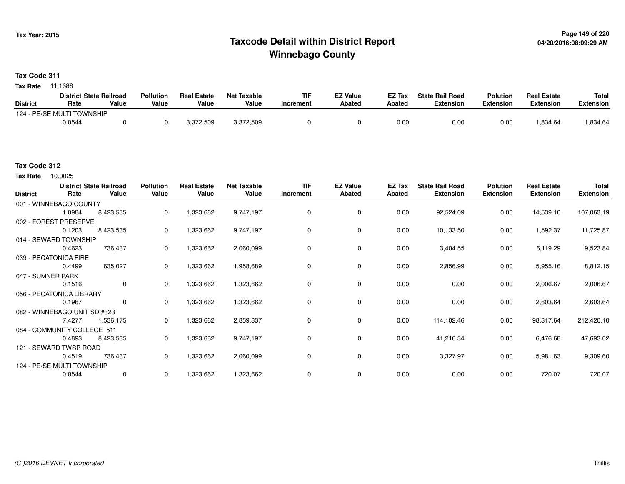# **Page 149 of 220 Taxcode Detail within District ReportWinnebago County**

# **Tax Code 311**

**Tax Rate** 11.1688

|                 | <b>District State Railroad</b> |       | <b>Pollution</b> | <b>Real Estate</b> | <b>Net Taxable</b> | <b>TIF</b> | <b>EZ Value</b> | <b>EZ Tax</b> | <b>State Rail Road</b> | <b>Polution</b> | <b>Real Estate</b> | <b>Total</b> |
|-----------------|--------------------------------|-------|------------------|--------------------|--------------------|------------|-----------------|---------------|------------------------|-----------------|--------------------|--------------|
| <b>District</b> | Rate                           | Value | Value            | Value              | Value              | Increment  | Abated          | Abated        | <b>Extension</b>       | Extension       | Extension          | Extension    |
|                 | 124 - PE/SE MULTI TOWNSHIP     |       |                  |                    |                    |            |                 |               |                        |                 |                    |              |
|                 | 0.0544                         |       |                  | 3,372,509          | 3,372,509          |            |                 | 0.0(          | 0.00                   | 0.00            | .834.64            | .834.64      |

## **Tax Code 312**

10.9025 **Tax Rate**

| <b>District</b>   | <b>District State Railroad</b><br>Rate | Value       | <b>Pollution</b><br>Value | <b>Real Estate</b><br>Value | <b>Net Taxable</b><br>Value | <b>TIF</b><br>Increment | <b>EZ Value</b><br><b>Abated</b> | EZ Tax<br><b>Abated</b> | <b>State Rail Road</b><br><b>Extension</b> | <b>Polution</b><br><b>Extension</b> | <b>Real Estate</b><br><b>Extension</b> | <b>Total</b><br><b>Extension</b> |
|-------------------|----------------------------------------|-------------|---------------------------|-----------------------------|-----------------------------|-------------------------|----------------------------------|-------------------------|--------------------------------------------|-------------------------------------|----------------------------------------|----------------------------------|
|                   | 001 - WINNEBAGO COUNTY                 |             |                           |                             |                             |                         |                                  |                         |                                            |                                     |                                        |                                  |
|                   | 1.0984                                 | 8,423,535   | 0                         | 1,323,662                   | 9,747,197                   | $\mathbf 0$             | 0                                | 0.00                    | 92,524.09                                  | 0.00                                | 14,539.10                              | 107,063.19                       |
|                   | 002 - FOREST PRESERVE                  |             |                           |                             |                             |                         |                                  |                         |                                            |                                     |                                        |                                  |
|                   | 0.1203                                 | 8,423,535   | 0                         | 1,323,662                   | 9,747,197                   | $\Omega$                | 0                                | 0.00                    | 10,133.50                                  | 0.00                                | 1,592.37                               | 11,725.87                        |
|                   | 014 - SEWARD TOWNSHIP                  |             |                           |                             |                             |                         |                                  |                         |                                            |                                     |                                        |                                  |
|                   | 0.4623                                 | 736,437     | 0                         | 1,323,662                   | 2,060,099                   | $\Omega$                | 0                                | 0.00                    | 3,404.55                                   | 0.00                                | 6,119.29                               | 9,523.84                         |
|                   | 039 - PECATONICA FIRE                  |             |                           |                             |                             |                         |                                  |                         |                                            |                                     |                                        |                                  |
|                   | 0.4499                                 | 635,027     | 0                         | 1,323,662                   | 1,958,689                   | $\Omega$                | 0                                | 0.00                    | 2,856.99                                   | 0.00                                | 5,955.16                               | 8,812.15                         |
| 047 - SUMNER PARK |                                        |             |                           |                             |                             |                         |                                  |                         |                                            |                                     |                                        |                                  |
|                   | 0.1516                                 | 0           | 0                         | 1,323,662                   | 1,323,662                   |                         | 0                                | 0.00                    | 0.00                                       | 0.00                                | 2,006.67                               | 2,006.67                         |
|                   | 056 - PECATONICA LIBRARY               |             |                           |                             |                             |                         |                                  |                         |                                            |                                     |                                        |                                  |
|                   | 0.1967                                 | $\mathbf 0$ | 0                         | 1,323,662                   | 1,323,662                   |                         | 0                                | 0.00                    | 0.00                                       | 0.00                                | 2,603.64                               | 2,603.64                         |
|                   | 082 - WINNEBAGO UNIT SD #323           |             |                           |                             |                             |                         |                                  |                         |                                            |                                     |                                        |                                  |
|                   | 7.4277                                 | 1,536,175   | 0                         | 1,323,662                   | 2,859,837                   | 0                       | 0                                | 0.00                    | 114,102.46                                 | 0.00                                | 98,317.64                              | 212,420.10                       |
|                   | 084 - COMMUNITY COLLEGE 511            |             |                           |                             |                             |                         |                                  |                         |                                            |                                     |                                        |                                  |
|                   | 0.4893                                 | 8,423,535   | 0                         | 1,323,662                   | 9,747,197                   | 0                       | 0                                | 0.00                    | 41,216.34                                  | 0.00                                | 6,476.68                               | 47,693.02                        |
|                   | 121 - SEWARD TWSP ROAD                 |             |                           |                             |                             |                         |                                  |                         |                                            |                                     |                                        |                                  |
|                   | 0.4519                                 | 736,437     | 0                         | 1,323,662                   | 2,060,099                   | 0                       | 0                                | 0.00                    | 3,327.97                                   | 0.00                                | 5,981.63                               | 9,309.60                         |
|                   | 124 - PE/SE MULTI TOWNSHIP             |             |                           |                             |                             |                         |                                  |                         |                                            |                                     |                                        |                                  |
|                   | 0.0544                                 | 0           | 0                         | 1,323,662                   | 1,323,662                   | $\Omega$                | 0                                | 0.00                    | 0.00                                       | 0.00                                | 720.07                                 | 720.07                           |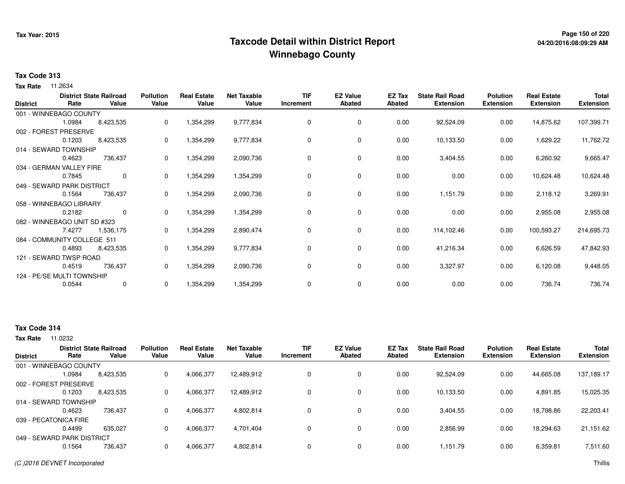# **Page 150 of 220 Taxcode Detail within District ReportWinnebago County**

## **Tax Code 313**

**Tax Rate** 11.2634

| <b>District</b> | Rate                         | <b>District State Railroad</b><br>Value | <b>Pollution</b><br>Value | <b>Real Estate</b><br>Value | <b>Net Taxable</b><br>Value | <b>TIF</b><br>Increment | <b>EZ Value</b><br><b>Abated</b> | EZ Tax<br><b>Abated</b> | <b>State Rail Road</b><br><b>Extension</b> | <b>Polution</b><br><b>Extension</b> | <b>Real Estate</b><br><b>Extension</b> | <b>Total</b><br><b>Extension</b> |
|-----------------|------------------------------|-----------------------------------------|---------------------------|-----------------------------|-----------------------------|-------------------------|----------------------------------|-------------------------|--------------------------------------------|-------------------------------------|----------------------------------------|----------------------------------|
|                 | 001 - WINNEBAGO COUNTY       |                                         |                           |                             |                             |                         |                                  |                         |                                            |                                     |                                        |                                  |
|                 | 1.0984                       | 8,423,535                               | 0                         | 1,354,299                   | 9,777,834                   | 0                       | 0                                | 0.00                    | 92,524.09                                  | 0.00                                | 14,875.62                              | 107,399.71                       |
|                 | 002 - FOREST PRESERVE        |                                         |                           |                             |                             |                         |                                  |                         |                                            |                                     |                                        |                                  |
|                 | 0.1203                       | 8,423,535                               | 0                         | 1,354,299                   | 9,777,834                   | 0                       | 0                                | 0.00                    | 10,133.50                                  | 0.00                                | 1,629.22                               | 11,762.72                        |
|                 | 014 - SEWARD TOWNSHIP        |                                         |                           |                             |                             |                         |                                  |                         |                                            |                                     |                                        |                                  |
|                 | 0.4623                       | 736,437                                 | 0                         | 1,354,299                   | 2,090,736                   | 0                       | 0                                | 0.00                    | 3,404.55                                   | 0.00                                | 6,260.92                               | 9,665.47                         |
|                 | 034 - GERMAN VALLEY FIRE     |                                         |                           |                             |                             |                         |                                  |                         |                                            |                                     |                                        |                                  |
|                 | 0.7845                       | $\mathbf{0}$                            | 0                         | 1,354,299                   | 1,354,299                   | 0                       | 0                                | 0.00                    | 0.00                                       | 0.00                                | 10,624.48                              | 10,624.48                        |
|                 | 049 - SEWARD PARK DISTRICT   |                                         |                           |                             |                             |                         |                                  |                         |                                            |                                     |                                        |                                  |
|                 | 0.1564                       | 736,437                                 | 0                         | 1,354,299                   | 2,090,736                   | 0                       | 0                                | 0.00                    | 1,151.79                                   | 0.00                                | 2,118.12                               | 3,269.91                         |
|                 | 058 - WINNEBAGO LIBRARY      |                                         |                           |                             |                             |                         |                                  |                         |                                            |                                     |                                        |                                  |
|                 | 0.2182                       | $\mathbf{0}$                            | 0                         | 1,354,299                   | 1,354,299                   | 0                       | 0                                | 0.00                    | 0.00                                       | 0.00                                | 2,955.08                               | 2,955.08                         |
|                 | 082 - WINNEBAGO UNIT SD #323 |                                         |                           |                             |                             |                         |                                  |                         |                                            |                                     |                                        |                                  |
|                 | 7.4277                       | 1,536,175                               | 0                         | 1,354,299                   | 2,890,474                   | 0                       | 0                                | 0.00                    | 114,102.46                                 | 0.00                                | 100,593.27                             | 214,695.73                       |
|                 | 084 - COMMUNITY COLLEGE 511  |                                         |                           |                             |                             |                         |                                  |                         |                                            |                                     |                                        |                                  |
|                 | 0.4893                       | 8,423,535                               | 0                         | 1,354,299                   | 9,777,834                   | 0                       | 0                                | 0.00                    | 41,216.34                                  | 0.00                                | 6,626.59                               | 47,842.93                        |
|                 | 121 - SEWARD TWSP ROAD       |                                         |                           |                             |                             |                         |                                  |                         |                                            |                                     |                                        |                                  |
|                 | 0.4519                       | 736,437                                 | 0                         | 1,354,299                   | 2,090,736                   | 0                       | 0                                | 0.00                    | 3,327.97                                   | 0.00                                | 6,120.08                               | 9,448.05                         |
|                 | 124 - PE/SE MULTI TOWNSHIP   |                                         |                           |                             |                             |                         |                                  |                         |                                            |                                     |                                        |                                  |
|                 | 0.0544                       | 0                                       | 0                         | 1,354,299                   | 1,354,299                   | 0                       | 0                                | 0.00                    | 0.00                                       | 0.00                                | 736.74                                 | 736.74                           |

### **Tax Code 314**

**Tax Rate** 11.0232

| <b>District</b> | Rate                       | <b>District State Railroad</b><br>Value | <b>Pollution</b><br>Value | <b>Real Estate</b><br>Value | <b>Net Taxable</b><br>Value | TIF<br>Increment | <b>EZ Value</b><br><b>Abated</b> | EZ Tax<br>Abated | <b>State Rail Road</b><br><b>Extension</b> | <b>Polution</b><br><b>Extension</b> | <b>Real Estate</b><br><b>Extension</b> | <b>Total</b><br>Extension |
|-----------------|----------------------------|-----------------------------------------|---------------------------|-----------------------------|-----------------------------|------------------|----------------------------------|------------------|--------------------------------------------|-------------------------------------|----------------------------------------|---------------------------|
|                 | 001 - WINNEBAGO COUNTY     |                                         |                           |                             |                             |                  |                                  |                  |                                            |                                     |                                        |                           |
|                 | 1.0984                     | 8,423,535                               | 0                         | 4,066,377                   | 12,489,912                  |                  | 0                                | 0.00             | 92,524.09                                  | 0.00                                | 44,665.08                              | 137,189.17                |
|                 | 002 - FOREST PRESERVE      |                                         |                           |                             |                             |                  |                                  |                  |                                            |                                     |                                        |                           |
|                 | 0.1203                     | 8,423,535                               | 0                         | 4,066,377                   | 12,489,912                  |                  | $\mathbf 0$                      | 0.00             | 10,133.50                                  | 0.00                                | 4,891.85                               | 15,025.35                 |
|                 | 014 - SEWARD TOWNSHIP      |                                         |                           |                             |                             |                  |                                  |                  |                                            |                                     |                                        |                           |
|                 | 0.4623                     | 736.437                                 | 0                         | 4,066,377                   | 4,802,814                   |                  | $\mathbf 0$                      | 0.00             | 3,404.55                                   | 0.00                                | 18,798.86                              | 22,203.41                 |
|                 | 039 - PECATONICA FIRE      |                                         |                           |                             |                             |                  |                                  |                  |                                            |                                     |                                        |                           |
|                 | 0.4499                     | 635.027                                 | 0                         | 4,066,377                   | 4,701,404                   |                  | $\mathbf 0$                      | 0.00             | 2,856.99                                   | 0.00                                | 18,294.63                              | 21,151.62                 |
|                 | 049 - SEWARD PARK DISTRICT |                                         |                           |                             |                             |                  |                                  |                  |                                            |                                     |                                        |                           |
|                 | 0.1564                     | 736,437                                 | $\Omega$                  | 4,066,377                   | 4,802,814                   |                  | $\mathbf 0$                      | 0.00             | 1,151.79                                   | 0.00                                | 6,359.81                               | 7,511.60                  |
|                 |                            |                                         |                           |                             |                             |                  |                                  |                  |                                            |                                     |                                        |                           |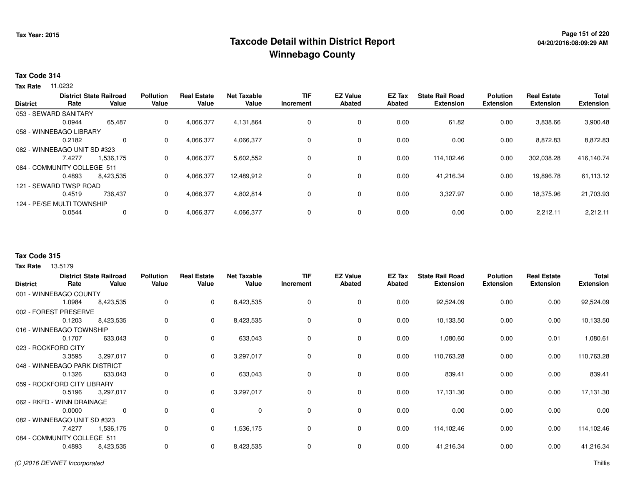# **Page 151 of 220 Taxcode Detail within District ReportWinnebago County**

### **Tax Code 314**

**Tax Rate** 11.0232

|                 |                              | <b>District State Railroad</b> | <b>Pollution</b> | <b>Real Estate</b> | <b>Net Taxable</b> | <b>TIF</b> | <b>EZ Value</b> | EZ Tax        | <b>State Rail Road</b> | <b>Polution</b>  | <b>Real Estate</b> | <b>Total</b>     |
|-----------------|------------------------------|--------------------------------|------------------|--------------------|--------------------|------------|-----------------|---------------|------------------------|------------------|--------------------|------------------|
| <b>District</b> | Rate                         | Value                          | Value            | Value              | Value              | Increment  | <b>Abated</b>   | <b>Abated</b> | <b>Extension</b>       | <b>Extension</b> | <b>Extension</b>   | <b>Extension</b> |
|                 | 053 - SEWARD SANITARY        |                                |                  |                    |                    |            |                 |               |                        |                  |                    |                  |
|                 | 0.0944                       | 65,487                         | 0                | 4,066,377          | 4,131,864          | 0          | 0               | 0.00          | 61.82                  | 0.00             | 3,838.66           | 3,900.48         |
|                 | 058 - WINNEBAGO LIBRARY      |                                |                  |                    |                    |            |                 |               |                        |                  |                    |                  |
|                 | 0.2182                       | $\Omega$                       | 0                | 4,066,377          | 4,066,377          | $\Omega$   | 0               | 0.00          | 0.00                   | 0.00             | 8,872.83           | 8,872.83         |
|                 | 082 - WINNEBAGO UNIT SD #323 |                                |                  |                    |                    |            |                 |               |                        |                  |                    |                  |
|                 | 7.4277                       | 1.536.175                      | 0                | 4,066,377          | 5,602,552          | 0          | 0               | 0.00          | 114.102.46             | 0.00             | 302.038.28         | 416,140.74       |
|                 | 084 - COMMUNITY COLLEGE 511  |                                |                  |                    |                    |            |                 |               |                        |                  |                    |                  |
|                 | 0.4893                       | 8.423.535                      | 0                | 4,066,377          | 12,489,912         | 0          | 0               | 0.00          | 41,216.34              | 0.00             | 19.896.78          | 61,113.12        |
|                 | 121 - SEWARD TWSP ROAD       |                                |                  |                    |                    |            |                 |               |                        |                  |                    |                  |
|                 | 0.4519                       | 736.437                        | 0                | 4,066,377          | 4,802,814          | 0          | 0               | 0.00          | 3,327.97               | 0.00             | 18.375.96          | 21,703.93        |
|                 | 124 - PE/SE MULTI TOWNSHIP   |                                |                  |                    |                    |            |                 |               |                        |                  |                    |                  |
|                 | 0.0544                       | $\mathbf{0}$                   |                  | 4,066,377          | 4,066,377          | 0          | 0               | 0.00          | 0.00                   | 0.00             | 2,212.11           | 2,212.11         |

## **Tax Code 315**

**Tax Rate** 13.5179

|                               |        | <b>District State Railroad</b> | <b>Pollution</b> | <b>Real Estate</b> | <b>Net Taxable</b> | <b>TIF</b> | <b>EZ Value</b> | EZ Tax        | <b>State Rail Road</b> | <b>Polution</b>  | <b>Real Estate</b> | <b>Total</b>     |
|-------------------------------|--------|--------------------------------|------------------|--------------------|--------------------|------------|-----------------|---------------|------------------------|------------------|--------------------|------------------|
| <b>District</b>               | Rate   | Value                          | Value            | Value              | Value              | Increment  | Abated          | <b>Abated</b> | <b>Extension</b>       | <b>Extension</b> | <b>Extension</b>   | <b>Extension</b> |
| 001 - WINNEBAGO COUNTY        |        |                                |                  |                    |                    |            |                 |               |                        |                  |                    |                  |
|                               | 1.0984 | 8,423,535                      | 0                | $\mathbf{0}$       | 8,423,535          | 0          | 0               | 0.00          | 92,524.09              | 0.00             | 0.00               | 92,524.09        |
| 002 - FOREST PRESERVE         |        |                                |                  |                    |                    |            |                 |               |                        |                  |                    |                  |
|                               | 0.1203 | 8,423,535                      | 0                | $\mathbf 0$        | 8,423,535          | 0          | 0               | 0.00          | 10,133.50              | 0.00             | 0.00               | 10,133.50        |
| 016 - WINNEBAGO TOWNSHIP      |        |                                |                  |                    |                    |            |                 |               |                        |                  |                    |                  |
|                               | 0.1707 | 633,043                        | 0                | $\mathbf{0}$       | 633,043            | 0          | 0               | 0.00          | 1,080.60               | 0.00             | 0.01               | 1,080.61         |
| 023 - ROCKFORD CITY           |        |                                |                  |                    |                    |            |                 |               |                        |                  |                    |                  |
|                               | 3.3595 | 3,297,017                      | 0                | $\mathbf{0}$       | 3,297,017          | 0          | $\mathbf 0$     | 0.00          | 110,763.28             | 0.00             | 0.00               | 110,763.28       |
| 048 - WINNEBAGO PARK DISTRICT |        |                                |                  |                    |                    |            |                 |               |                        |                  |                    |                  |
|                               | 0.1326 | 633,043                        | 0                | $\mathbf{0}$       | 633,043            | $\Omega$   | 0               | 0.00          | 839.41                 | 0.00             | 0.00               | 839.41           |
| 059 - ROCKFORD CITY LIBRARY   |        |                                |                  |                    |                    |            |                 |               |                        |                  |                    |                  |
|                               | 0.5196 | 3,297,017                      | 0                | $\mathbf{0}$       | 3,297,017          | 0          | 0               | 0.00          | 17,131.30              | 0.00             | 0.00               | 17,131.30        |
| 062 - RKFD - WINN DRAINAGE    |        |                                |                  |                    |                    |            |                 |               |                        |                  |                    |                  |
|                               | 0.0000 | 0                              | 0                | $\mathbf 0$        | 0                  | $\Omega$   | 0               | 0.00          | 0.00                   | 0.00             | 0.00               | 0.00             |
| 082 - WINNEBAGO UNIT SD #323  |        |                                |                  |                    |                    |            |                 |               |                        |                  |                    |                  |
|                               | 7.4277 | 1,536,175                      | 0                | $\mathbf{0}$       | 1,536,175          | 0          | 0               | 0.00          | 114,102.46             | 0.00             | 0.00               | 114,102.46       |
| 084 - COMMUNITY COLLEGE 511   |        |                                |                  |                    |                    |            |                 |               |                        |                  |                    |                  |
|                               | 0.4893 | 8,423,535                      | 0                | $\mathbf 0$        | 8,423,535          | 0          | 0               | 0.00          | 41,216.34              | 0.00             | 0.00               | 41,216.34        |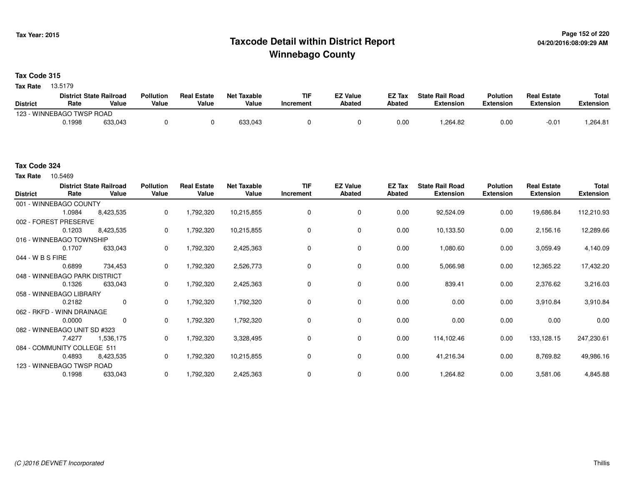# **Page 152 of 220 Taxcode Detail within District ReportWinnebago County**

**Tax Code 315**

**Tax Rate** 13.5179

|                           | <b>District State Railroad</b> |         | <b>Pollution</b> | <b>Real Estate</b> | <b>Net Taxable</b> | <b>TIF</b> | EZ Value | EZ Tax | <b>State Rail Road</b> | <b>Polution</b> | <b>Real Estate</b> | <b>Total</b> |
|---------------------------|--------------------------------|---------|------------------|--------------------|--------------------|------------|----------|--------|------------------------|-----------------|--------------------|--------------|
| <b>District</b>           | Rate                           | Value   | Value            | Value              | Value              | Increment  | Abated   | Abated | Extension              | Extension       | Extension          | Extension    |
| 123 - WINNEBAGO TWSP ROAD |                                |         |                  |                    |                    |            |          |        |                        |                 |                    |              |
|                           | ).1998                         | 633,043 |                  |                    | 633.043            |            |          | 0.00   | .264.82                | 0.00            | $-0.0$             | .264.81      |

#### **Tax Code 324**

**Tax Rate** 10.5469

| <b>District</b>  | Rate                          | <b>District State Railroad</b><br>Value | <b>Pollution</b><br>Value | <b>Real Estate</b><br>Value | <b>Net Taxable</b><br>Value | TIF<br>Increment | <b>EZ Value</b><br><b>Abated</b> | EZ Tax<br>Abated | <b>State Rail Road</b><br><b>Extension</b> | <b>Polution</b><br><b>Extension</b> | <b>Real Estate</b><br><b>Extension</b> | <b>Total</b><br><b>Extension</b> |
|------------------|-------------------------------|-----------------------------------------|---------------------------|-----------------------------|-----------------------------|------------------|----------------------------------|------------------|--------------------------------------------|-------------------------------------|----------------------------------------|----------------------------------|
|                  | 001 - WINNEBAGO COUNTY        |                                         |                           |                             |                             |                  |                                  |                  |                                            |                                     |                                        |                                  |
|                  | 1.0984                        | 8,423,535                               | 0                         | 1,792,320                   | 10,215,855                  | 0                | 0                                | 0.00             | 92,524.09                                  | 0.00                                | 19,686.84                              | 112,210.93                       |
|                  | 002 - FOREST PRESERVE         |                                         |                           |                             |                             |                  |                                  |                  |                                            |                                     |                                        |                                  |
|                  | 0.1203                        | 8,423,535                               | 0                         | 1,792,320                   | 10,215,855                  | 0                | 0                                | 0.00             | 10,133.50                                  | 0.00                                | 2,156.16                               | 12,289.66                        |
|                  | 016 - WINNEBAGO TOWNSHIP      |                                         |                           |                             |                             |                  |                                  |                  |                                            |                                     |                                        |                                  |
|                  | 0.1707                        | 633,043                                 | 0                         | 1,792,320                   | 2,425,363                   | 0                | 0                                | 0.00             | 1,080.60                                   | 0.00                                | 3,059.49                               | 4,140.09                         |
| 044 - W B S FIRE |                               |                                         |                           |                             |                             |                  |                                  |                  |                                            |                                     |                                        |                                  |
|                  | 0.6899                        | 734,453                                 | 0                         | 1,792,320                   | 2,526,773                   | 0                | 0                                | 0.00             | 5,066.98                                   | 0.00                                | 12,365.22                              | 17,432.20                        |
|                  | 048 - WINNEBAGO PARK DISTRICT |                                         |                           |                             |                             |                  |                                  |                  |                                            |                                     |                                        |                                  |
|                  | 0.1326                        | 633,043                                 | 0                         | 1,792,320                   | 2,425,363                   | 0                | 0                                | 0.00             | 839.41                                     | 0.00                                | 2,376.62                               | 3,216.03                         |
|                  | 058 - WINNEBAGO LIBRARY       |                                         |                           |                             |                             |                  |                                  |                  |                                            |                                     |                                        |                                  |
|                  | 0.2182                        | 0                                       | 0                         | 1,792,320                   | 1,792,320                   | 0                | 0                                | 0.00             | 0.00                                       | 0.00                                | 3,910.84                               | 3,910.84                         |
|                  | 062 - RKFD - WINN DRAINAGE    |                                         |                           |                             |                             |                  |                                  |                  |                                            |                                     |                                        |                                  |
|                  | 0.0000                        | $\mathbf 0$                             | 0                         | 1,792,320                   | 1,792,320                   | 0                | 0                                | 0.00             | 0.00                                       | 0.00                                | 0.00                                   | 0.00                             |
|                  | 082 - WINNEBAGO UNIT SD #323  |                                         |                           |                             |                             |                  |                                  |                  |                                            |                                     |                                        |                                  |
|                  | 7.4277                        | 1,536,175                               | 0                         | 1,792,320                   | 3,328,495                   | 0                | $\mathbf 0$                      | 0.00             | 114,102.46                                 | 0.00                                | 133,128.15                             | 247,230.61                       |
|                  | 084 - COMMUNITY COLLEGE 511   |                                         |                           |                             |                             |                  |                                  |                  |                                            |                                     |                                        |                                  |
|                  | 0.4893                        | 8,423,535                               | 0                         | 1,792,320                   | 10,215,855                  | 0                | 0                                | 0.00             | 41,216.34                                  | 0.00                                | 8,769.82                               | 49,986.16                        |
|                  | 123 - WINNEBAGO TWSP ROAD     |                                         |                           |                             |                             |                  |                                  |                  |                                            |                                     |                                        |                                  |
|                  | 0.1998                        | 633,043                                 | 0                         | 1,792,320                   | 2,425,363                   | $\Omega$         | 0                                | 0.00             | 1,264.82                                   | 0.00                                | 3,581.06                               | 4,845.88                         |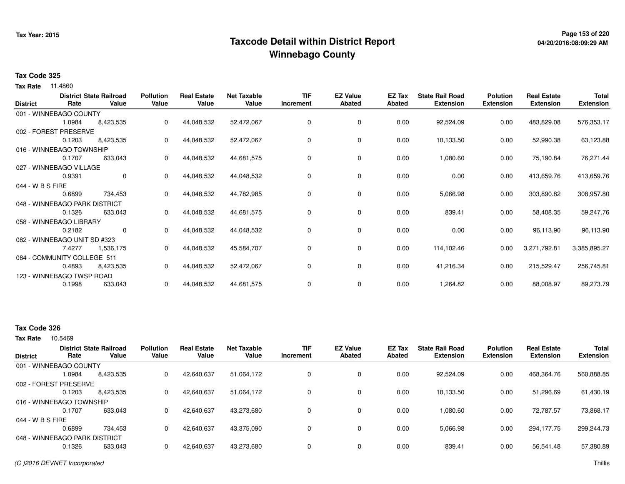# **Page 153 of 220 Taxcode Detail within District ReportWinnebago County**

## **Tax Code 325**

**Tax Rate** 11.4860

| <b>District</b>  | Rate                          | <b>District State Railroad</b><br>Value | <b>Pollution</b><br>Value | <b>Real Estate</b><br>Value | <b>Net Taxable</b><br>Value | <b>TIF</b><br>Increment | <b>EZ Value</b><br><b>Abated</b> | EZ Tax<br><b>Abated</b> | <b>State Rail Road</b><br><b>Extension</b> | <b>Polution</b><br><b>Extension</b> | <b>Real Estate</b><br><b>Extension</b> | <b>Total</b><br><b>Extension</b> |
|------------------|-------------------------------|-----------------------------------------|---------------------------|-----------------------------|-----------------------------|-------------------------|----------------------------------|-------------------------|--------------------------------------------|-------------------------------------|----------------------------------------|----------------------------------|
|                  | 001 - WINNEBAGO COUNTY        |                                         |                           |                             |                             |                         |                                  |                         |                                            |                                     |                                        |                                  |
|                  | 1.0984                        | 8,423,535                               | 0                         | 44,048,532                  | 52,472,067                  | 0                       | 0                                | 0.00                    | 92,524.09                                  | 0.00                                | 483,829.08                             | 576,353.17                       |
|                  | 002 - FOREST PRESERVE         |                                         |                           |                             |                             |                         |                                  |                         |                                            |                                     |                                        |                                  |
|                  | 0.1203                        | 8,423,535                               | 0                         | 44,048,532                  | 52,472,067                  | 0                       | 0                                | 0.00                    | 10,133.50                                  | 0.00                                | 52,990.38                              | 63,123.88                        |
|                  | 016 - WINNEBAGO TOWNSHIP      |                                         |                           |                             |                             |                         |                                  |                         |                                            |                                     |                                        |                                  |
|                  | 0.1707                        | 633,043                                 | 0                         | 44,048,532                  | 44,681,575                  | 0                       | 0                                | 0.00                    | 1,080.60                                   | 0.00                                | 75,190.84                              | 76,271.44                        |
|                  | 027 - WINNEBAGO VILLAGE       |                                         |                           |                             |                             |                         |                                  |                         |                                            |                                     |                                        |                                  |
|                  | 0.9391                        | $\mathbf{0}$                            | 0                         | 44,048,532                  | 44,048,532                  | 0                       | 0                                | 0.00                    | 0.00                                       | 0.00                                | 413,659.76                             | 413,659.76                       |
| 044 - W B S FIRE |                               |                                         |                           |                             |                             |                         |                                  |                         |                                            |                                     |                                        |                                  |
|                  | 0.6899                        | 734,453                                 | 0                         | 44,048,532                  | 44,782,985                  | 0                       | 0                                | 0.00                    | 5,066.98                                   | 0.00                                | 303,890.82                             | 308,957.80                       |
|                  | 048 - WINNEBAGO PARK DISTRICT |                                         |                           |                             |                             |                         |                                  |                         |                                            |                                     |                                        |                                  |
|                  | 0.1326                        | 633,043                                 | 0                         | 44,048,532                  | 44,681,575                  | 0                       | 0                                | 0.00                    | 839.41                                     | 0.00                                | 58,408.35                              | 59,247.76                        |
|                  | 058 - WINNEBAGO LIBRARY       |                                         |                           |                             |                             |                         |                                  |                         |                                            |                                     |                                        |                                  |
|                  | 0.2182                        | $\mathbf 0$                             | 0                         | 44,048,532                  | 44,048,532                  | 0                       | 0                                | 0.00                    | 0.00                                       | 0.00                                | 96,113.90                              | 96,113.90                        |
|                  | 082 - WINNEBAGO UNIT SD #323  |                                         |                           |                             |                             |                         |                                  |                         |                                            |                                     |                                        |                                  |
|                  | 7.4277                        | 1,536,175                               | 0                         | 44,048,532                  | 45,584,707                  | 0                       | 0                                | 0.00                    | 114,102.46                                 | 0.00                                | 3,271,792.81                           | 3,385,895.27                     |
|                  | 084 - COMMUNITY COLLEGE 511   |                                         |                           |                             |                             |                         |                                  |                         |                                            |                                     |                                        |                                  |
|                  | 0.4893                        | 8,423,535                               | 0                         | 44,048,532                  | 52,472,067                  | 0                       | 0                                | 0.00                    | 41,216.34                                  | 0.00                                | 215,529.47                             | 256,745.81                       |
|                  | 123 - WINNEBAGO TWSP ROAD     |                                         |                           |                             |                             |                         |                                  |                         |                                            |                                     |                                        |                                  |
|                  | 0.1998                        | 633,043                                 | 0                         | 44,048,532                  | 44,681,575                  | 0                       | 0                                | 0.00                    | 1,264.82                                   | 0.00                                | 88,008.97                              | 89,273.79                        |

# **Tax Code 326**

**Tax Rate** 10.5469

| 468,364.76 | 560,888.85                           |
|------------|--------------------------------------|
|            |                                      |
| 51,296.69  | 61,430.19                            |
|            |                                      |
| 72.787.57  | 73,868.17                            |
|            |                                      |
| 294,177.75 | 299,244.73                           |
|            |                                      |
| 56,541.48  | 57,380.89                            |
|            | 0.00<br>0.00<br>0.00<br>0.00<br>0.00 |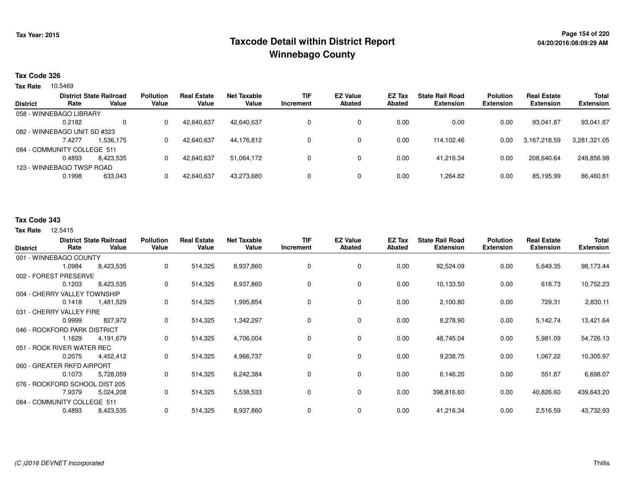# **Page 154 of 220 Taxcode Detail within District ReportWinnebago County**

### **Tax Code 326**

**Tax Rate** 10.5469

|                 |                              | <b>District State Railroad</b> | <b>Pollution</b> | <b>Real Estate</b> | Net Taxable | <b>TIF</b> | <b>EZ Value</b> | <b>EZ Tax</b> | <b>State Rail Road</b> | <b>Polution</b>  | <b>Real Estate</b> | <b>Total</b>     |
|-----------------|------------------------------|--------------------------------|------------------|--------------------|-------------|------------|-----------------|---------------|------------------------|------------------|--------------------|------------------|
| <b>District</b> | Rate                         | Value                          | Value            | Value              | Value       | Increment  | <b>Abated</b>   | Abated        | <b>Extension</b>       | <b>Extension</b> | <b>Extension</b>   | <b>Extension</b> |
|                 | 058 - WINNEBAGO LIBRARY      |                                |                  |                    |             |            |                 |               |                        |                  |                    |                  |
|                 | 0.2182                       | $\Omega$                       |                  | 42,640,637         | 42,640,637  |            | 0               | 0.00          | 0.00                   | 0.00             | 93,041.87          | 93,041.87        |
|                 | 082 - WINNEBAGO UNIT SD #323 |                                |                  |                    |             |            |                 |               |                        |                  |                    |                  |
|                 | 7.4277                       | 1,536,175                      |                  | 42,640,637         | 44,176,812  |            | 0               | 0.00          | 114.102.46             | 0.00             | 3,167,218.59       | 3,281,321.05     |
|                 | 084 - COMMUNITY COLLEGE 511  |                                |                  |                    |             |            |                 |               |                        |                  |                    |                  |
|                 | 0.4893                       | 8.423.535                      |                  | 42,640,637         | 51.064.172  |            | $\Omega$        | 0.00          | 41.216.34              | 0.00             | 208.640.64         | 249,856.98       |
|                 | 123 - WINNEBAGO TWSP ROAD    |                                |                  |                    |             |            |                 |               |                        |                  |                    |                  |
|                 | 0.1998                       | 633,043                        |                  | 42,640,637         | 43,273,680  |            | 0               | 0.00          | 1,264.82               | 0.00             | 85,195.99          | 86,460.81        |
|                 |                              |                                |                  |                    |             |            |                 |               |                        |                  |                    |                  |

# **Tax Code 343**

#### **Tax Rate** 12.5415

| <b>District</b>                | Rate   | <b>District State Railroad</b><br>Value | <b>Pollution</b><br>Value | <b>Real Estate</b><br>Value | <b>Net Taxable</b><br>Value | <b>TIF</b><br>Increment | <b>EZ Value</b><br><b>Abated</b> | EZ Tax<br><b>Abated</b> | <b>State Rail Road</b><br><b>Extension</b> | <b>Polution</b><br><b>Extension</b> | <b>Real Estate</b><br><b>Extension</b> | <b>Total</b><br><b>Extension</b> |
|--------------------------------|--------|-----------------------------------------|---------------------------|-----------------------------|-----------------------------|-------------------------|----------------------------------|-------------------------|--------------------------------------------|-------------------------------------|----------------------------------------|----------------------------------|
| 001 - WINNEBAGO COUNTY         |        |                                         |                           |                             |                             |                         |                                  |                         |                                            |                                     |                                        |                                  |
|                                | 1.0984 | 8,423,535                               | 0                         | 514,325                     | 8,937,860                   | 0                       | $\mathbf 0$                      | 0.00                    | 92,524.09                                  | 0.00                                | 5,649.35                               | 98,173.44                        |
| 002 - FOREST PRESERVE          |        |                                         |                           |                             |                             |                         |                                  |                         |                                            |                                     |                                        |                                  |
|                                | 0.1203 | 8,423,535                               | 0                         | 514,325                     | 8,937,860                   | 0                       | 0                                | 0.00                    | 10,133.50                                  | 0.00                                | 618.73                                 | 10,752.23                        |
| 004 - CHERRY VALLEY TOWNSHIP   |        |                                         |                           |                             |                             |                         |                                  |                         |                                            |                                     |                                        |                                  |
|                                | 0.1418 | 1,481,529                               | 0                         | 514,325                     | 1,995,854                   | 0                       | 0                                | 0.00                    | 2,100.80                                   | 0.00                                | 729.31                                 | 2,830.11                         |
| 031 - CHERRY VALLEY FIRE       |        |                                         |                           |                             |                             |                         |                                  |                         |                                            |                                     |                                        |                                  |
|                                | 0.9999 | 827,972                                 | 0                         | 514,325                     | 1,342,297                   | 0                       | 0                                | 0.00                    | 8,278.90                                   | 0.00                                | 5,142.74                               | 13,421.64                        |
| 046 - ROCKFORD PARK DISTRICT   |        |                                         |                           |                             |                             |                         |                                  |                         |                                            |                                     |                                        |                                  |
|                                | 1.1629 | 4,191,679                               | 0                         | 514,325                     | 4,706,004                   | 0                       | 0                                | 0.00                    | 48,745.04                                  | 0.00                                | 5,981.09                               | 54,726.13                        |
| 051 - ROCK RIVER WATER REC     |        |                                         |                           |                             |                             |                         |                                  |                         |                                            |                                     |                                        |                                  |
|                                | 0.2075 | 4,452,412                               | 0                         | 514,325                     | 4,966,737                   | 0                       | 0                                | 0.00                    | 9,238.75                                   | 0.00                                | 1,067.22                               | 10,305.97                        |
| 060 - GREATER RKFD AIRPORT     |        |                                         |                           |                             |                             |                         |                                  |                         |                                            |                                     |                                        |                                  |
|                                | 0.1073 | 5,728,059                               | 0                         | 514,325                     | 6,242,384                   | 0                       | 0                                | 0.00                    | 6,146.20                                   | 0.00                                | 551.87                                 | 6,698.07                         |
| 076 - ROCKFORD SCHOOL DIST 205 |        |                                         |                           |                             |                             |                         |                                  |                         |                                            |                                     |                                        |                                  |
|                                | 7.9379 | 5,024,208                               | 0                         | 514,325                     | 5,538,533                   | 0                       | 0                                | 0.00                    | 398,816.60                                 | 0.00                                | 40,826.60                              | 439,643.20                       |
| 084 - COMMUNITY COLLEGE 511    |        |                                         |                           |                             |                             |                         |                                  |                         |                                            |                                     |                                        |                                  |
|                                | 0.4893 | 8,423,535                               | 0                         | 514,325                     | 8,937,860                   | 0                       | 0                                | 0.00                    | 41,216.34                                  | 0.00                                | 2,516.59                               | 43,732.93                        |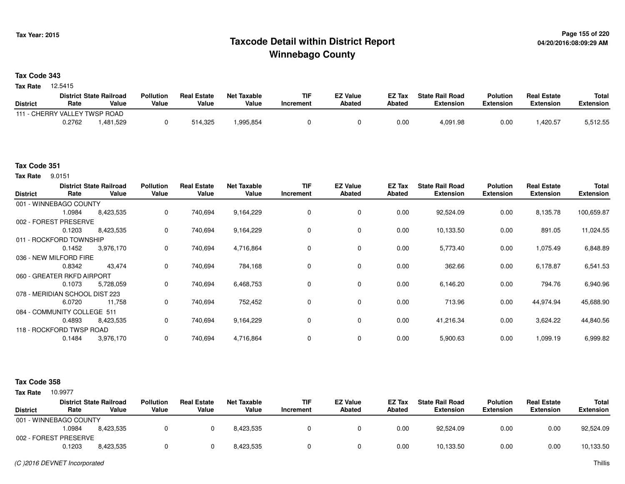# **Page 155 of 220 Taxcode Detail within District ReportWinnebago County**

## **Tax Code 343**

12.5415 **Tax Rate**

| <b>District State Railroad</b> |        | <b>Pollution</b> | <b>Real Estate</b> | Net Taxable | TIF        | <b>EZ Value</b> | EZ Tax        | <b>State Rail Road</b> | <b>Polution</b>  | <b>Real Estate</b> | <b>Total</b>     |           |
|--------------------------------|--------|------------------|--------------------|-------------|------------|-----------------|---------------|------------------------|------------------|--------------------|------------------|-----------|
| <b>District</b>                | Rate   | Value            | Value              | Value       | Value      | Increment       | <b>Abated</b> | Abated                 | <b>Extension</b> | <b>Extension</b>   | <b>Extension</b> | Extension |
| 111 - CHERRY VALLEY TWSP ROAD  |        |                  |                    |             |            |                 |               |                        |                  |                    |                  |           |
|                                | 0.2762 | .481,529         |                    | 514,325     | 995.854. ا |                 |               | 0.00                   | 4,091.98         | 0.00               | ,420.57          | 5,512.55  |

# **Tax Code 351**

**Tax Rate** 9.0151

| <b>District</b> | Rate                           | <b>District State Railroad</b><br>Value | <b>Pollution</b><br>Value | <b>Real Estate</b><br>Value | <b>Net Taxable</b><br>Value | <b>TIF</b><br>Increment | <b>EZ Value</b><br><b>Abated</b> | EZ Tax<br>Abated | <b>State Rail Road</b><br><b>Extension</b> | <b>Polution</b><br><b>Extension</b> | <b>Real Estate</b><br><b>Extension</b> | <b>Total</b><br><b>Extension</b> |
|-----------------|--------------------------------|-----------------------------------------|---------------------------|-----------------------------|-----------------------------|-------------------------|----------------------------------|------------------|--------------------------------------------|-------------------------------------|----------------------------------------|----------------------------------|
|                 | 001 - WINNEBAGO COUNTY         |                                         |                           |                             |                             |                         |                                  |                  |                                            |                                     |                                        |                                  |
|                 | 1.0984                         | 8,423,535                               | $\mathbf 0$               | 740,694                     | 9,164,229                   |                         | 0                                | 0.00             | 92,524.09                                  | 0.00                                | 8,135.78                               | 100,659.87                       |
|                 | 002 - FOREST PRESERVE          |                                         |                           |                             |                             |                         |                                  |                  |                                            |                                     |                                        |                                  |
|                 | 0.1203                         | 8,423,535                               | 0                         | 740,694                     | 9,164,229                   | 0                       | 0                                | 0.00             | 10,133.50                                  | 0.00                                | 891.05                                 | 11,024.55                        |
|                 | 011 - ROCKFORD TOWNSHIP        |                                         |                           |                             |                             |                         |                                  |                  |                                            |                                     |                                        |                                  |
|                 | 0.1452                         | 3,976,170                               | 0                         | 740,694                     | 4,716,864                   |                         | 0                                | 0.00             | 5,773.40                                   | 0.00                                | 1,075.49                               | 6,848.89                         |
|                 | 036 - NEW MILFORD FIRE         |                                         |                           |                             |                             |                         |                                  |                  |                                            |                                     |                                        |                                  |
|                 | 0.8342                         | 43,474                                  | $\mathbf 0$               | 740,694                     | 784,168                     |                         | $\mathbf 0$                      | 0.00             | 362.66                                     | 0.00                                | 6,178.87                               | 6,541.53                         |
|                 | 060 - GREATER RKFD AIRPORT     |                                         |                           |                             |                             |                         |                                  |                  |                                            |                                     |                                        |                                  |
|                 | 0.1073                         | 5,728,059                               | 0                         | 740,694                     | 6,468,753                   |                         | $\mathbf 0$                      | 0.00             | 6,146.20                                   | 0.00                                | 794.76                                 | 6,940.96                         |
|                 | 078 - MERIDIAN SCHOOL DIST 223 |                                         |                           |                             |                             |                         |                                  |                  |                                            |                                     |                                        |                                  |
|                 | 6.0720                         | 11,758                                  | 0                         | 740,694                     | 752,452                     | 0                       | 0                                | 0.00             | 713.96                                     | 0.00                                | 44,974.94                              | 45,688.90                        |
|                 | 084 - COMMUNITY COLLEGE 511    |                                         |                           |                             |                             |                         |                                  |                  |                                            |                                     |                                        |                                  |
|                 | 0.4893                         | 8,423,535                               | $\mathbf 0$               | 740,694                     | 9,164,229                   | $\Omega$                | $\mathbf 0$                      | 0.00             | 41,216.34                                  | 0.00                                | 3,624.22                               | 44,840.56                        |
|                 | 118 - ROCKFORD TWSP ROAD       |                                         |                           |                             |                             |                         |                                  |                  |                                            |                                     |                                        |                                  |
|                 | 0.1484                         | 3,976,170                               | $\mathbf 0$               | 740,694                     | 4,716,864                   |                         | 0                                | 0.00             | 5,900.63                                   | 0.00                                | 1,099.19                               | 6,999.82                         |

#### **Tax Code 358**

**Tax Rate** 10.9977

|                        |        | <b>District State Railroad</b> | <b>Pollution</b> | <b>Real Estate</b> | Net Taxable | <b>TIF</b> | <b>EZ Value</b> | <b>EZ Tax</b> | <b>State Rail Road</b> | <b>Polution</b>  | <b>Real Estate</b> | Total            |
|------------------------|--------|--------------------------------|------------------|--------------------|-------------|------------|-----------------|---------------|------------------------|------------------|--------------------|------------------|
| <b>District</b>        | Rate   | Value                          | Value            | Value              | Value       | Increment  | <b>Abated</b>   | Abated        | <b>Extension</b>       | <b>Extension</b> | <b>Extension</b>   | <b>Extension</b> |
| 001 - WINNEBAGO COUNTY |        |                                |                  |                    |             |            |                 |               |                        |                  |                    |                  |
|                        | 0984.، | 8,423,535                      |                  |                    | 8.423.535   |            |                 | 0.00          | 92.524.09              | 0.00             | 0.00               | 92,524.09        |
| 002 - FOREST PRESERVE  |        |                                |                  |                    |             |            |                 |               |                        |                  |                    |                  |
|                        | 0.1203 | 8,423,535                      |                  |                    | 8.423.535   |            |                 | 0.00          | 10,133.50              | 0.00             | 0.00               | 10,133.50        |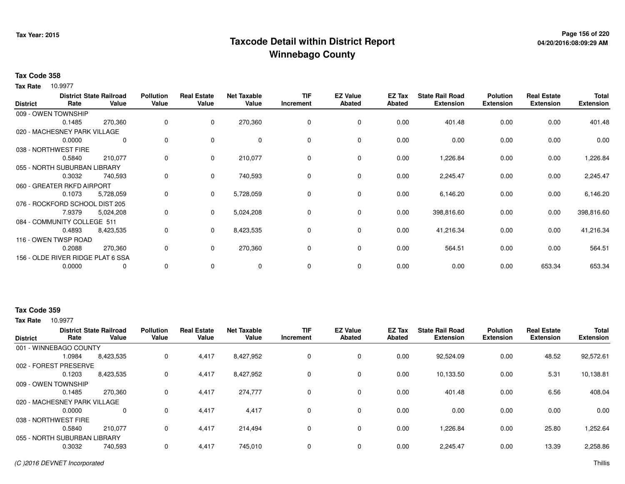# **Page 156 of 220 Taxcode Detail within District ReportWinnebago County**

# **Tax Code 358**

10.9977 **Tax Rate**

| <b>District</b> | Rate                              | <b>District State Railroad</b><br>Value | <b>Pollution</b><br>Value | <b>Real Estate</b><br>Value | <b>Net Taxable</b><br>Value | <b>TIF</b><br>Increment | <b>EZ Value</b><br><b>Abated</b> | EZ Tax<br>Abated | <b>State Rail Road</b><br><b>Extension</b> | <b>Polution</b><br><b>Extension</b> | <b>Real Estate</b><br><b>Extension</b> | <b>Total</b><br><b>Extension</b> |
|-----------------|-----------------------------------|-----------------------------------------|---------------------------|-----------------------------|-----------------------------|-------------------------|----------------------------------|------------------|--------------------------------------------|-------------------------------------|----------------------------------------|----------------------------------|
|                 | 009 - OWEN TOWNSHIP               |                                         |                           |                             |                             |                         |                                  |                  |                                            |                                     |                                        |                                  |
|                 | 0.1485                            | 270,360                                 | 0                         | $\mathbf 0$                 | 270,360                     | 0                       | 0                                | 0.00             | 401.48                                     | 0.00                                | 0.00                                   | 401.48                           |
|                 | 020 - MACHESNEY PARK VILLAGE      |                                         |                           |                             |                             |                         |                                  |                  |                                            |                                     |                                        |                                  |
|                 | 0.0000                            | 0                                       | 0                         | $\mathbf 0$                 | 0                           | 0                       | 0                                | 0.00             | 0.00                                       | 0.00                                | 0.00                                   | 0.00                             |
|                 | 038 - NORTHWEST FIRE              |                                         |                           |                             |                             |                         |                                  |                  |                                            |                                     |                                        |                                  |
|                 | 0.5840                            | 210,077                                 | 0                         | $\Omega$                    | 210,077                     | $\Omega$                | $\mathbf 0$                      | 0.00             | 1,226.84                                   | 0.00                                | 0.00                                   | 1,226.84                         |
|                 | 055 - NORTH SUBURBAN LIBRARY      |                                         |                           |                             |                             |                         |                                  |                  |                                            |                                     |                                        |                                  |
|                 | 0.3032                            | 740,593                                 | 0                         | $\Omega$                    | 740,593                     | 0                       | $\mathbf 0$                      | 0.00             | 2,245.47                                   | 0.00                                | 0.00                                   | 2,245.47                         |
|                 | 060 - GREATER RKFD AIRPORT        |                                         |                           |                             |                             |                         |                                  |                  |                                            |                                     |                                        |                                  |
|                 | 0.1073                            | 5,728,059                               | 0                         | $\mathbf{0}$                | 5,728,059                   | 0                       | 0                                | 0.00             | 6,146.20                                   | 0.00                                | 0.00                                   | 6,146.20                         |
|                 | 076 - ROCKFORD SCHOOL DIST 205    |                                         |                           |                             |                             |                         |                                  |                  |                                            |                                     |                                        |                                  |
|                 | 7.9379                            | 5,024,208                               | 0                         | $\mathbf{0}$                | 5,024,208                   | 0                       | $\mathbf 0$                      | 0.00             | 398,816.60                                 | 0.00                                | 0.00                                   | 398,816.60                       |
|                 | 084 - COMMUNITY COLLEGE 511       |                                         |                           |                             |                             |                         |                                  |                  |                                            |                                     |                                        |                                  |
|                 | 0.4893                            | 8,423,535                               | 0                         | $\Omega$                    | 8,423,535                   | $\Omega$                | $\mathbf 0$                      | 0.00             | 41,216.34                                  | 0.00                                | 0.00                                   | 41,216.34                        |
|                 | 116 - OWEN TWSP ROAD              |                                         |                           |                             |                             |                         |                                  |                  |                                            |                                     |                                        |                                  |
|                 | 0.2088                            | 270,360                                 | 0                         | $\Omega$                    | 270,360                     | 0                       | $\mathbf 0$                      | 0.00             | 564.51                                     | 0.00                                | 0.00                                   | 564.51                           |
|                 | 156 - OLDE RIVER RIDGE PLAT 6 SSA |                                         |                           |                             |                             |                         |                                  |                  |                                            |                                     |                                        |                                  |
|                 | 0.0000                            | 0                                       | 0                         | 0                           | 0                           | 0                       | 0                                | 0.00             | 0.00                                       | 0.00                                | 653.34                                 | 653.34                           |

# **Tax Code 359**

**Tax Rate** 10.9977

| <b>District</b>              |        | <b>District State Railroad</b> | <b>Pollution</b> | <b>Real Estate</b> | <b>Net Taxable</b> | <b>TIF</b> | <b>EZ Value</b> | EZ Tax        | <b>State Rail Road</b> | <b>Polution</b>  | <b>Real Estate</b> | <b>Total</b>     |
|------------------------------|--------|--------------------------------|------------------|--------------------|--------------------|------------|-----------------|---------------|------------------------|------------------|--------------------|------------------|
|                              | Rate   | Value                          | Value            | Value              | Value              | Increment  | <b>Abated</b>   | <b>Abated</b> | <b>Extension</b>       | <b>Extension</b> | <b>Extension</b>   | <b>Extension</b> |
| 001 - WINNEBAGO COUNTY       |        |                                |                  |                    |                    |            |                 |               |                        |                  |                    |                  |
|                              | 1.0984 | 8,423,535                      | 0                | 4,417              | 8,427,952          | 0          | 0               | 0.00          | 92,524.09              | 0.00             | 48.52              | 92,572.61        |
| 002 - FOREST PRESERVE        |        |                                |                  |                    |                    |            |                 |               |                        |                  |                    |                  |
|                              | 0.1203 | 8,423,535                      | 0                | 4,417              | 8,427,952          |            | 0               | 0.00          | 10,133.50              | 0.00             | 5.31               | 10,138.81        |
| 009 - OWEN TOWNSHIP          |        |                                |                  |                    |                    |            |                 |               |                        |                  |                    |                  |
|                              | 0.1485 | 270,360                        | 0                | 4,417              | 274,777            |            | $\mathbf 0$     | 0.00          | 401.48                 | 0.00             | 6.56               | 408.04           |
| 020 - MACHESNEY PARK VILLAGE |        |                                |                  |                    |                    |            |                 |               |                        |                  |                    |                  |
|                              | 0.0000 | $\mathbf{0}$                   | 0                | 4,417              | 4,417              | 0          | $\mathbf 0$     | 0.00          | 0.00                   | 0.00             | 0.00               | 0.00             |
| 038 - NORTHWEST FIRE         |        |                                |                  |                    |                    |            |                 |               |                        |                  |                    |                  |
|                              | 0.5840 | 210,077                        | 0                | 4,417              | 214,494            |            | $\mathbf 0$     | 0.00          | 1,226.84               | 0.00             | 25.80              | 1,252.64         |
| 055 - NORTH SUBURBAN LIBRARY |        |                                |                  |                    |                    |            |                 |               |                        |                  |                    |                  |
|                              | 0.3032 | 740,593                        |                  | 4,417              | 745,010            |            | $\mathbf 0$     | 0.00          | 2,245.47               | 0.00             | 13.39              | 2,258.86         |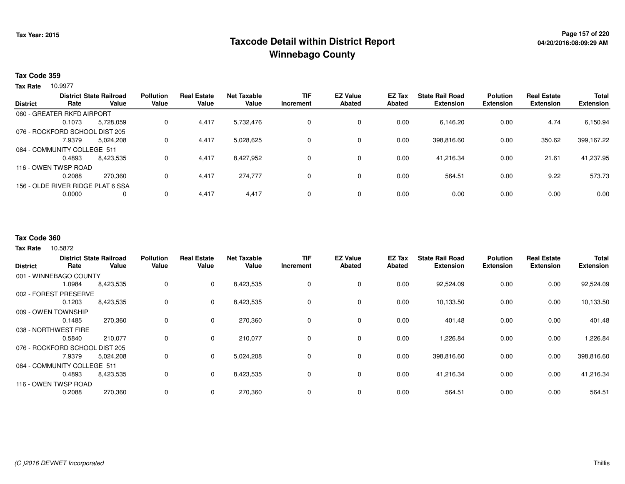# **Page 157 of 220 Taxcode Detail within District ReportWinnebago County**

## **Tax Code 359**

10.9977 **Tax Rate**

|                 |                                | <b>District State Railroad</b>    | <b>Pollution</b> | <b>Real Estate</b> | <b>Net Taxable</b> | <b>TIF</b> | <b>EZ Value</b> | <b>EZ Tax</b> | <b>State Rail Road</b> | <b>Polution</b>  | <b>Real Estate</b> | <b>Total</b>     |
|-----------------|--------------------------------|-----------------------------------|------------------|--------------------|--------------------|------------|-----------------|---------------|------------------------|------------------|--------------------|------------------|
| <b>District</b> | Rate                           | Value                             | Value            | Value              | Value              | Increment  | <b>Abated</b>   | <b>Abated</b> | <b>Extension</b>       | <b>Extension</b> | <b>Extension</b>   | <b>Extension</b> |
|                 | 060 - GREATER RKFD AIRPORT     |                                   |                  |                    |                    |            |                 |               |                        |                  |                    |                  |
|                 | 0.1073                         | 5.728.059                         | 0                | 4.417              | 5,732,476          | 0          | 0               | 0.00          | 6,146.20               | 0.00             | 4.74               | 6,150.94         |
|                 | 076 - ROCKFORD SCHOOL DIST 205 |                                   |                  |                    |                    |            |                 |               |                        |                  |                    |                  |
|                 | 7.9379                         | 5,024,208                         | 0                | 4,417              | 5,028,625          | 0          | 0               | 0.00          | 398,816.60             | 0.00             | 350.62             | 399,167.22       |
|                 | 084 - COMMUNITY COLLEGE 511    |                                   |                  |                    |                    |            |                 |               |                        |                  |                    |                  |
|                 | 0.4893                         | 8,423,535                         | $\Omega$         | 4.417              | 8,427,952          | 0          | 0               | 0.00          | 41.216.34              | 0.00             | 21.61              | 41,237.95        |
|                 | 116 - OWEN TWSP ROAD           |                                   |                  |                    |                    |            |                 |               |                        |                  |                    |                  |
|                 | 0.2088                         | 270,360                           | 0                | 4,417              | 274,777            | 0          | 0               | 0.00          | 564.51                 | 0.00             | 9.22               | 573.73           |
|                 |                                | 156 - OLDE RIVER RIDGE PLAT 6 SSA |                  |                    |                    |            |                 |               |                        |                  |                    |                  |
|                 | 0.0000                         | 0                                 | 0                | 4,417              | 4,417              | 0          | 0               | 0.00          | 0.00                   | 0.00             | 0.00               | 0.00             |
|                 |                                |                                   |                  |                    |                    |            |                 |               |                        |                  |                    |                  |

### **Tax Code 360**

10.5872 **Tax Rate**

| <b>District</b>                | Rate   | <b>District State Railroad</b><br>Value | <b>Pollution</b><br>Value | <b>Real Estate</b><br>Value | <b>Net Taxable</b><br>Value | <b>TIF</b><br>Increment | <b>EZ Value</b><br><b>Abated</b> | <b>EZ Tax</b><br>Abated | <b>State Rail Road</b><br><b>Extension</b> | <b>Polution</b><br><b>Extension</b> | <b>Real Estate</b><br><b>Extension</b> | <b>Total</b><br><b>Extension</b> |
|--------------------------------|--------|-----------------------------------------|---------------------------|-----------------------------|-----------------------------|-------------------------|----------------------------------|-------------------------|--------------------------------------------|-------------------------------------|----------------------------------------|----------------------------------|
| 001 - WINNEBAGO COUNTY         |        |                                         |                           |                             |                             |                         |                                  |                         |                                            |                                     |                                        |                                  |
|                                | 1.0984 | 8,423,535                               | 0                         | 0                           | 8,423,535                   | 0                       | 0                                | 0.00                    | 92,524.09                                  | 0.00                                | 0.00                                   | 92,524.09                        |
| 002 - FOREST PRESERVE          |        |                                         |                           |                             |                             |                         |                                  |                         |                                            |                                     |                                        |                                  |
|                                | 0.1203 | 8,423,535                               | 0                         | 0                           | 8,423,535                   | $\mathbf 0$             | 0                                | 0.00                    | 10,133.50                                  | 0.00                                | 0.00                                   | 10,133.50                        |
| 009 - OWEN TOWNSHIP            |        |                                         |                           |                             |                             |                         |                                  |                         |                                            |                                     |                                        |                                  |
|                                | 0.1485 | 270,360                                 | 0                         | 0                           | 270,360                     | 0                       | 0                                | 0.00                    | 401.48                                     | 0.00                                | 0.00                                   | 401.48                           |
| 038 - NORTHWEST FIRE           |        |                                         |                           |                             |                             |                         |                                  |                         |                                            |                                     |                                        |                                  |
|                                | 0.5840 | 210,077                                 | 0                         | $\mathbf 0$                 | 210,077                     | 0                       | 0                                | 0.00                    | 1,226.84                                   | 0.00                                | 0.00                                   | 1,226.84                         |
| 076 - ROCKFORD SCHOOL DIST 205 |        |                                         |                           |                             |                             |                         |                                  |                         |                                            |                                     |                                        |                                  |
|                                | 7.9379 | 5,024,208                               | 0                         | $\mathbf 0$                 | 5,024,208                   | 0                       | 0                                | 0.00                    | 398,816.60                                 | 0.00                                | 0.00                                   | 398,816.60                       |
| 084 - COMMUNITY COLLEGE 511    |        |                                         |                           |                             |                             |                         |                                  |                         |                                            |                                     |                                        |                                  |
|                                | 0.4893 | 8,423,535                               | 0                         | 0                           | 8,423,535                   | 0                       | 0                                | 0.00                    | 41,216.34                                  | 0.00                                | 0.00                                   | 41,216.34                        |
| 116 - OWEN TWSP ROAD           |        |                                         |                           |                             |                             |                         |                                  |                         |                                            |                                     |                                        |                                  |
|                                | 0.2088 | 270,360                                 | 0                         | 0                           | 270,360                     | $\mathbf 0$             | 0                                | 0.00                    | 564.51                                     | 0.00                                | 0.00                                   | 564.51                           |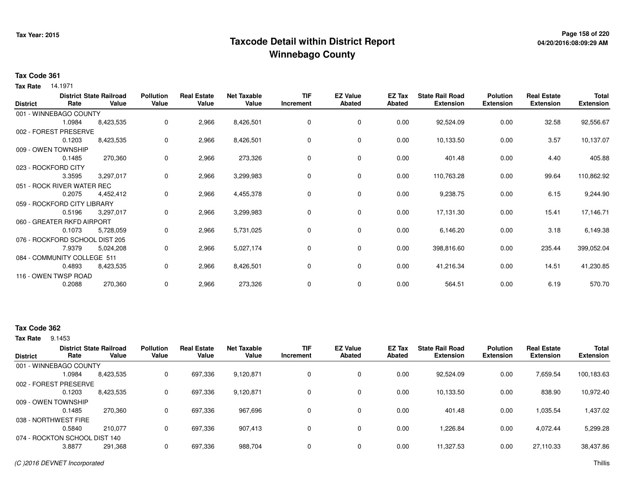# **Page 158 of 220 Taxcode Detail within District ReportWinnebago County**

## **Tax Code 361**

**Tax Rate** 14.1971

| <b>District</b> | Rate                           | <b>District State Railroad</b><br>Value | <b>Pollution</b><br>Value | <b>Real Estate</b><br>Value | <b>Net Taxable</b><br>Value | <b>TIF</b><br>Increment | <b>EZ Value</b><br><b>Abated</b> | EZ Tax<br><b>Abated</b> | <b>State Rail Road</b><br><b>Extension</b> | <b>Polution</b><br><b>Extension</b> | <b>Real Estate</b><br><b>Extension</b> | Total<br><b>Extension</b> |
|-----------------|--------------------------------|-----------------------------------------|---------------------------|-----------------------------|-----------------------------|-------------------------|----------------------------------|-------------------------|--------------------------------------------|-------------------------------------|----------------------------------------|---------------------------|
|                 | 001 - WINNEBAGO COUNTY         |                                         |                           |                             |                             |                         |                                  |                         |                                            |                                     |                                        |                           |
|                 | 1.0984                         | 8,423,535                               | 0                         | 2,966                       | 8,426,501                   | 0                       | 0                                | 0.00                    | 92,524.09                                  | 0.00                                | 32.58                                  | 92,556.67                 |
|                 | 002 - FOREST PRESERVE          |                                         |                           |                             |                             |                         |                                  |                         |                                            |                                     |                                        |                           |
|                 | 0.1203                         | 8,423,535                               | 0                         | 2,966                       | 8,426,501                   | 0                       | 0                                | 0.00                    | 10,133.50                                  | 0.00                                | 3.57                                   | 10,137.07                 |
|                 | 009 - OWEN TOWNSHIP            |                                         |                           |                             |                             |                         |                                  |                         |                                            |                                     |                                        |                           |
|                 | 0.1485                         | 270,360                                 | 0                         | 2,966                       | 273,326                     | 0                       | 0                                | 0.00                    | 401.48                                     | 0.00                                | 4.40                                   | 405.88                    |
|                 | 023 - ROCKFORD CITY            |                                         |                           |                             |                             |                         |                                  |                         |                                            |                                     |                                        |                           |
|                 | 3.3595                         | 3,297,017                               | 0                         | 2,966                       | 3,299,983                   | 0                       | 0                                | 0.00                    | 110,763.28                                 | 0.00                                | 99.64                                  | 110,862.92                |
|                 | 051 - ROCK RIVER WATER REC     |                                         |                           |                             |                             |                         |                                  |                         |                                            |                                     |                                        |                           |
|                 | 0.2075                         | 4,452,412                               | 0                         | 2,966                       | 4,455,378                   | 0                       | 0                                | 0.00                    | 9,238.75                                   | 0.00                                | 6.15                                   | 9,244.90                  |
|                 | 059 - ROCKFORD CITY LIBRARY    |                                         |                           |                             |                             |                         |                                  |                         |                                            |                                     |                                        |                           |
|                 | 0.5196                         | 3,297,017                               | 0                         | 2,966                       | 3,299,983                   | 0                       | 0                                | 0.00                    | 17,131.30                                  | 0.00                                | 15.41                                  | 17,146.71                 |
|                 | 060 - GREATER RKFD AIRPORT     |                                         |                           |                             |                             |                         |                                  |                         |                                            |                                     |                                        |                           |
|                 | 0.1073                         | 5,728,059                               | 0                         | 2,966                       | 5,731,025                   | 0                       | 0                                | 0.00                    | 6,146.20                                   | 0.00                                | 3.18                                   | 6,149.38                  |
|                 | 076 - ROCKFORD SCHOOL DIST 205 |                                         |                           |                             |                             |                         |                                  |                         |                                            |                                     |                                        |                           |
|                 | 7.9379                         | 5,024,208                               | 0                         | 2,966                       | 5,027,174                   | 0                       | 0                                | 0.00                    | 398,816.60                                 | 0.00                                | 235.44                                 | 399,052.04                |
|                 | 084 - COMMUNITY COLLEGE 511    |                                         |                           |                             |                             |                         |                                  |                         |                                            |                                     |                                        |                           |
|                 | 0.4893                         | 8,423,535                               | 0                         | 2,966                       | 8,426,501                   | 0                       | 0                                | 0.00                    | 41,216.34                                  | 0.00                                | 14.51                                  | 41,230.85                 |
|                 | 116 - OWEN TWSP ROAD           |                                         |                           |                             |                             |                         |                                  |                         |                                            |                                     |                                        |                           |
|                 | 0.2088                         | 270,360                                 | 0                         | 2,966                       | 273,326                     | 0                       | 0                                | 0.00                    | 564.51                                     | 0.00                                | 6.19                                   | 570.70                    |

# **Tax Code 362**

**Tax Rate** 9.1453

| <b>District</b>     | Rate                          | <b>District State Railroad</b><br>Value | <b>Pollution</b><br>Value | <b>Real Estate</b><br>Value | <b>Net Taxable</b><br>Value | <b>TIF</b><br>Increment | <b>EZ Value</b><br><b>Abated</b> | <b>EZ Tax</b><br>Abated | <b>State Rail Road</b><br><b>Extension</b> | <b>Polution</b><br><b>Extension</b> | <b>Real Estate</b><br><b>Extension</b> | <b>Total</b><br><b>Extension</b> |
|---------------------|-------------------------------|-----------------------------------------|---------------------------|-----------------------------|-----------------------------|-------------------------|----------------------------------|-------------------------|--------------------------------------------|-------------------------------------|----------------------------------------|----------------------------------|
|                     | 001 - WINNEBAGO COUNTY        |                                         |                           |                             |                             |                         |                                  |                         |                                            |                                     |                                        |                                  |
|                     | .0984                         | 8,423,535                               |                           | 697.336                     | 9,120,871                   | 0                       | 0                                | 0.00                    | 92.524.09                                  | 0.00                                | 7.659.54                               | 100,183.63                       |
|                     | 002 - FOREST PRESERVE         |                                         |                           |                             |                             |                         |                                  |                         |                                            |                                     |                                        |                                  |
|                     | 0.1203                        | 8,423,535                               |                           | 697,336                     | 9,120,871                   | 0                       | 0                                | 0.00                    | 10,133.50                                  | 0.00                                | 838.90                                 | 10,972.40                        |
| 009 - OWEN TOWNSHIP |                               |                                         |                           |                             |                             |                         |                                  |                         |                                            |                                     |                                        |                                  |
|                     | 0.1485                        | 270.360                                 |                           | 697.336                     | 967,696                     | 0                       | $\Omega$                         | 0.00                    | 401.48                                     | 0.00                                | 1.035.54                               | 1,437.02                         |
|                     | 038 - NORTHWEST FIRE          |                                         |                           |                             |                             |                         |                                  |                         |                                            |                                     |                                        |                                  |
|                     | 0.5840                        | 210.077                                 | 0                         | 697,336                     | 907,413                     | $\Omega$                | $\Omega$                         | 0.00                    | 1.226.84                                   | 0.00                                | 4,072.44                               | 5,299.28                         |
|                     | 074 - ROCKTON SCHOOL DIST 140 |                                         |                           |                             |                             |                         |                                  |                         |                                            |                                     |                                        |                                  |
|                     | 3.8877                        | 291,368                                 |                           | 697,336                     | 988,704                     | 0                       | 0                                | 0.00                    | 11,327.53                                  | 0.00                                | 27,110.33                              | 38,437.86                        |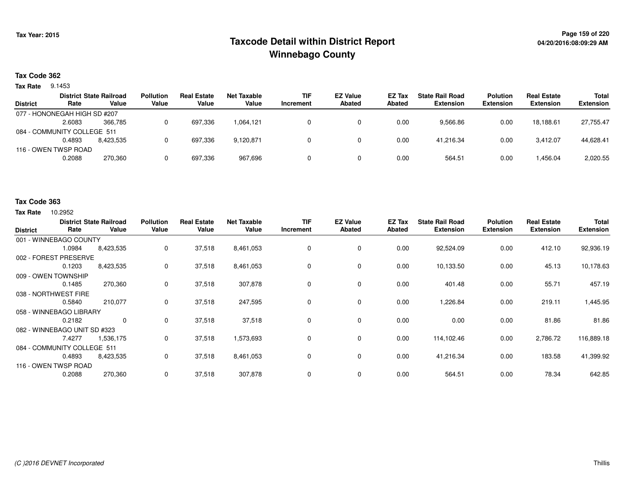# **Page 159 of 220 Taxcode Detail within District ReportWinnebago County**

## **Tax Code 362**

**Tax Rate** 9.1453

|                 |                              | <b>District State Railroad</b> | <b>Pollution</b> | <b>Real Estate</b> | Net Taxable | <b>TIF</b> | <b>EZ Value</b> | <b>EZ Tax</b> | <b>State Rail Road</b> | <b>Polution</b>  | <b>Real Estate</b> | Total            |
|-----------------|------------------------------|--------------------------------|------------------|--------------------|-------------|------------|-----------------|---------------|------------------------|------------------|--------------------|------------------|
| <b>District</b> | Rate                         | Value                          | Value            | Value              | Value       | Increment  | <b>Abated</b>   | Abated        | <b>Extension</b>       | <b>Extension</b> | <b>Extension</b>   | <b>Extension</b> |
|                 | 077 - HONONEGAH HIGH SD #207 |                                |                  |                    |             |            |                 |               |                        |                  |                    |                  |
|                 | 2.6083                       | 366.785                        |                  | 697,336            | 1.064.121   |            |                 | 0.00          | 9,566.86               | 0.00             | 18.188.61          | 27,755.47        |
|                 | 084 - COMMUNITY COLLEGE 511  |                                |                  |                    |             |            |                 |               |                        |                  |                    |                  |
|                 | 0.4893                       | 8.423.535                      |                  | 697,336            | 9,120,871   |            |                 | 0.00          | 41.216.34              | 0.00             | 3.412.07           | 44,628.41        |
|                 | 116 - OWEN TWSP ROAD         |                                |                  |                    |             |            |                 |               |                        |                  |                    |                  |
|                 | 0.2088                       | 270,360                        |                  | 697,336            | 967.696     |            |                 | 0.00          | 564.51                 | 0.00             | 1,456.04           | 2,020.55         |
|                 |                              |                                |                  |                    |             |            |                 |               |                        |                  |                    |                  |

#### **Tax Code 363**

**Tax Rate** 10.2952

| <b>District</b>              | Rate   | <b>District State Railroad</b><br>Value | <b>Pollution</b><br>Value | <b>Real Estate</b><br>Value | <b>Net Taxable</b><br>Value | TIF<br>Increment | <b>EZ Value</b><br><b>Abated</b> | EZ Tax<br>Abated | <b>State Rail Road</b><br><b>Extension</b> | <b>Polution</b><br><b>Extension</b> | <b>Real Estate</b><br><b>Extension</b> | <b>Total</b><br><b>Extension</b> |
|------------------------------|--------|-----------------------------------------|---------------------------|-----------------------------|-----------------------------|------------------|----------------------------------|------------------|--------------------------------------------|-------------------------------------|----------------------------------------|----------------------------------|
| 001 - WINNEBAGO COUNTY       |        |                                         |                           |                             |                             |                  |                                  |                  |                                            |                                     |                                        |                                  |
|                              | 1.0984 | 8,423,535                               | 0                         | 37,518                      | 8,461,053                   | 0                | $\mathbf 0$                      | 0.00             | 92,524.09                                  | 0.00                                | 412.10                                 | 92,936.19                        |
| 002 - FOREST PRESERVE        |        |                                         |                           |                             |                             |                  |                                  |                  |                                            |                                     |                                        |                                  |
|                              | 0.1203 | 8,423,535                               | 0                         | 37,518                      | 8,461,053                   | 0                | 0                                | 0.00             | 10,133.50                                  | 0.00                                | 45.13                                  | 10,178.63                        |
| 009 - OWEN TOWNSHIP          |        |                                         |                           |                             |                             |                  |                                  |                  |                                            |                                     |                                        |                                  |
|                              | 0.1485 | 270,360                                 | 0                         | 37,518                      | 307,878                     | $\Omega$         | $\mathbf 0$                      | 0.00             | 401.48                                     | 0.00                                | 55.71                                  | 457.19                           |
| 038 - NORTHWEST FIRE         |        |                                         |                           |                             |                             |                  |                                  |                  |                                            |                                     |                                        |                                  |
|                              | 0.5840 | 210,077                                 | 0                         | 37,518                      | 247,595                     |                  | $\mathbf 0$                      | 0.00             | 1,226.84                                   | 0.00                                | 219.11                                 | 1,445.95                         |
| 058 - WINNEBAGO LIBRARY      |        |                                         |                           |                             |                             |                  |                                  |                  |                                            |                                     |                                        |                                  |
|                              | 0.2182 | 0                                       | 0                         | 37,518                      | 37,518                      |                  | $\mathbf 0$                      | 0.00             | 0.00                                       | 0.00                                | 81.86                                  | 81.86                            |
| 082 - WINNEBAGO UNIT SD #323 |        |                                         |                           |                             |                             |                  |                                  |                  |                                            |                                     |                                        |                                  |
|                              | 7.4277 | 1,536,175                               | 0                         | 37,518                      | 1,573,693                   | 0                | 0                                | 0.00             | 114,102.46                                 | 0.00                                | 2,786.72                               | 116,889.18                       |
| 084 - COMMUNITY COLLEGE 511  |        |                                         |                           |                             |                             |                  |                                  |                  |                                            |                                     |                                        |                                  |
|                              | 0.4893 | 8,423,535                               | 0                         | 37,518                      | 8,461,053                   | 0                | 0                                | 0.00             | 41,216.34                                  | 0.00                                | 183.58                                 | 41,399.92                        |
| 116 - OWEN TWSP ROAD         |        |                                         |                           |                             |                             |                  |                                  |                  |                                            |                                     |                                        |                                  |
|                              | 0.2088 | 270,360                                 | 0                         | 37,518                      | 307,878                     | $\Omega$         | 0                                | 0.00             | 564.51                                     | 0.00                                | 78.34                                  | 642.85                           |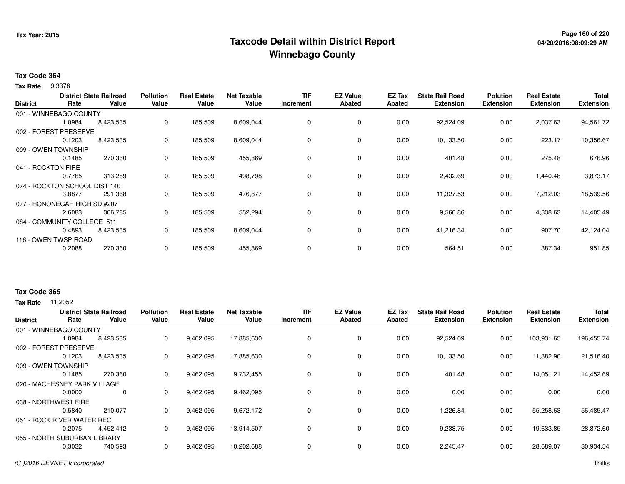# **Page 160 of 220 Taxcode Detail within District ReportWinnebago County**

## **Tax Code 364**

9.3378 **Tax Rate**

|                               | Rate   | <b>District State Railroad</b><br>Value | <b>Pollution</b><br>Value | <b>Real Estate</b><br>Value | <b>Net Taxable</b><br>Value | <b>TIF</b><br>Increment | <b>EZ Value</b><br><b>Abated</b> | EZ Tax<br>Abated | <b>State Rail Road</b><br><b>Extension</b> | <b>Polution</b><br><b>Extension</b> | <b>Real Estate</b><br><b>Extension</b> | <b>Total</b><br><b>Extension</b> |
|-------------------------------|--------|-----------------------------------------|---------------------------|-----------------------------|-----------------------------|-------------------------|----------------------------------|------------------|--------------------------------------------|-------------------------------------|----------------------------------------|----------------------------------|
| <b>District</b>               |        |                                         |                           |                             |                             |                         |                                  |                  |                                            |                                     |                                        |                                  |
| 001 - WINNEBAGO COUNTY        |        |                                         |                           |                             |                             |                         |                                  |                  |                                            |                                     |                                        |                                  |
|                               | 1.0984 | 8,423,535                               | 0                         | 185,509                     | 8,609,044                   | 0                       | 0                                | 0.00             | 92,524.09                                  | 0.00                                | 2,037.63                               | 94,561.72                        |
| 002 - FOREST PRESERVE         |        |                                         |                           |                             |                             |                         |                                  |                  |                                            |                                     |                                        |                                  |
|                               | 0.1203 | 8,423,535                               | 0                         | 185,509                     | 8,609,044                   | 0                       | 0                                | 0.00             | 10,133.50                                  | 0.00                                | 223.17                                 | 10,356.67                        |
| 009 - OWEN TOWNSHIP           |        |                                         |                           |                             |                             |                         |                                  |                  |                                            |                                     |                                        |                                  |
|                               | 0.1485 | 270,360                                 | 0                         | 185,509                     | 455,869                     | 0                       | 0                                | 0.00             | 401.48                                     | 0.00                                | 275.48                                 | 676.96                           |
| 041 - ROCKTON FIRE            |        |                                         |                           |                             |                             |                         |                                  |                  |                                            |                                     |                                        |                                  |
|                               | 0.7765 | 313,289                                 | 0                         | 185,509                     | 498,798                     | 0                       | $\mathbf 0$                      | 0.00             | 2,432.69                                   | 0.00                                | 1,440.48                               | 3,873.17                         |
| 074 - ROCKTON SCHOOL DIST 140 |        |                                         |                           |                             |                             |                         |                                  |                  |                                            |                                     |                                        |                                  |
|                               | 3.8877 | 291,368                                 | 0                         | 185,509                     | 476,877                     | 0                       | $\mathbf 0$                      | 0.00             | 11,327.53                                  | 0.00                                | 7,212.03                               | 18,539.56                        |
| 077 - HONONEGAH HIGH SD #207  |        |                                         |                           |                             |                             |                         |                                  |                  |                                            |                                     |                                        |                                  |
|                               | 2.6083 | 366,785                                 | 0                         | 185,509                     | 552,294                     | 0                       | 0                                | 0.00             | 9,566.86                                   | 0.00                                | 4,838.63                               | 14,405.49                        |
| 084 - COMMUNITY COLLEGE 511   |        |                                         |                           |                             |                             |                         |                                  |                  |                                            |                                     |                                        |                                  |
|                               | 0.4893 | 8,423,535                               | 0                         | 185,509                     | 8,609,044                   | 0                       | 0                                | 0.00             | 41,216.34                                  | 0.00                                | 907.70                                 | 42,124.04                        |
| 116 - OWEN TWSP ROAD          |        |                                         |                           |                             |                             |                         |                                  |                  |                                            |                                     |                                        |                                  |
|                               | 0.2088 | 270,360                                 | 0                         | 185,509                     | 455,869                     | 0                       | 0                                | 0.00             | 564.51                                     | 0.00                                | 387.34                                 | 951.85                           |

#### **Tax Code 365**

**Tax Rate** 11,2052

| <b>District</b> | Rate                         | <b>District State Railroad</b><br>Value | <b>Pollution</b><br>Value | <b>Real Estate</b><br>Value | <b>Net Taxable</b><br>Value | <b>TIF</b><br>Increment | <b>EZ Value</b><br><b>Abated</b> | EZ Tax<br>Abated | <b>State Rail Road</b><br><b>Extension</b> | <b>Polution</b><br><b>Extension</b> | <b>Real Estate</b><br><b>Extension</b> | <b>Total</b><br><b>Extension</b> |
|-----------------|------------------------------|-----------------------------------------|---------------------------|-----------------------------|-----------------------------|-------------------------|----------------------------------|------------------|--------------------------------------------|-------------------------------------|----------------------------------------|----------------------------------|
|                 | 001 - WINNEBAGO COUNTY       |                                         |                           |                             |                             |                         |                                  |                  |                                            |                                     |                                        |                                  |
|                 | 1.0984                       | 8,423,535                               | 0                         | 9,462,095                   | 17,885,630                  | 0                       | 0                                | 0.00             | 92,524.09                                  | 0.00                                | 103,931.65                             | 196,455.74                       |
|                 | 002 - FOREST PRESERVE        |                                         |                           |                             |                             |                         |                                  |                  |                                            |                                     |                                        |                                  |
|                 | 0.1203                       | 8,423,535                               | 0                         | 9,462,095                   | 17,885,630                  | $\Omega$                | $\mathbf 0$                      | 0.00             | 10,133.50                                  | 0.00                                | 11,382.90                              | 21,516.40                        |
|                 | 009 - OWEN TOWNSHIP          |                                         |                           |                             |                             |                         |                                  |                  |                                            |                                     |                                        |                                  |
|                 | 0.1485                       | 270,360                                 | 0                         | 9,462,095                   | 9,732,455                   | $\Omega$                | $\mathbf 0$                      | 0.00             | 401.48                                     | 0.00                                | 14,051.21                              | 14,452.69                        |
|                 | 020 - MACHESNEY PARK VILLAGE |                                         |                           |                             |                             |                         |                                  |                  |                                            |                                     |                                        |                                  |
|                 | 0.0000                       | 0                                       | 0                         | 9,462,095                   | 9,462,095                   |                         | 0                                | 0.00             | 0.00                                       | 0.00                                | 0.00                                   | 0.00                             |
|                 | 038 - NORTHWEST FIRE         |                                         |                           |                             |                             |                         |                                  |                  |                                            |                                     |                                        |                                  |
|                 | 0.5840                       | 210,077                                 | 0                         | 9,462,095                   | 9,672,172                   | $\Omega$                | $\mathbf 0$                      | 0.00             | 1,226.84                                   | 0.00                                | 55,258.63                              | 56,485.47                        |
|                 | 051 - ROCK RIVER WATER REC   |                                         |                           |                             |                             |                         |                                  |                  |                                            |                                     |                                        |                                  |
|                 | 0.2075                       | 4,452,412                               | 0                         | 9,462,095                   | 13,914,507                  | $\Omega$                | $\mathbf 0$                      | 0.00             | 9,238.75                                   | 0.00                                | 19,633.85                              | 28,872.60                        |
|                 | 055 - NORTH SUBURBAN LIBRARY |                                         |                           |                             |                             |                         |                                  |                  |                                            |                                     |                                        |                                  |
|                 | 0.3032                       | 740,593                                 | 0                         | 9,462,095                   | 10,202,688                  |                         | $\mathbf 0$                      | 0.00             | 2,245.47                                   | 0.00                                | 28,689.07                              | 30,934.54                        |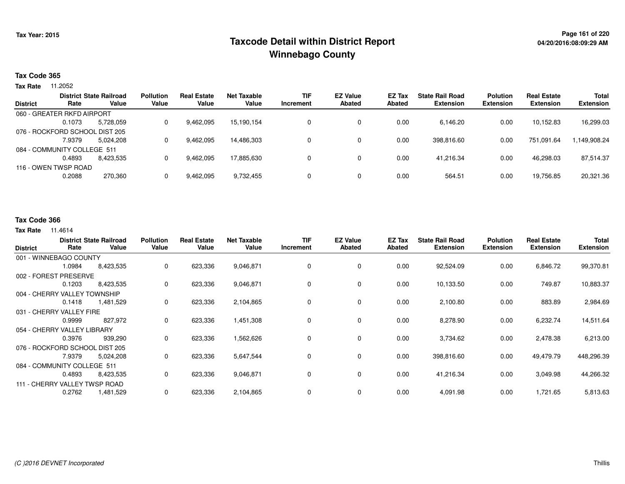# **Page 161 of 220 Taxcode Detail within District ReportWinnebago County**

### **Tax Code 365**

**Tax Rate** 11.2052

|                 |                                | <b>District State Railroad</b> | <b>Pollution</b> | <b>Real Estate</b> | Net Taxable | <b>TIF</b> | <b>EZ Value</b> | <b>EZ Tax</b> | <b>State Rail Road</b> | <b>Polution</b>  | <b>Real Estate</b> | <b>Total</b>     |
|-----------------|--------------------------------|--------------------------------|------------------|--------------------|-------------|------------|-----------------|---------------|------------------------|------------------|--------------------|------------------|
| <b>District</b> | Rate                           | Value                          | Value            | Value              | Value       | Increment  | <b>Abated</b>   | Abated        | <b>Extension</b>       | <b>Extension</b> | <b>Extension</b>   | <b>Extension</b> |
|                 | 060 - GREATER RKFD AIRPORT     |                                |                  |                    |             |            |                 |               |                        |                  |                    |                  |
|                 | 0.1073                         | 5.728.059                      | 0                | 9,462,095          | 15.190.154  |            | 0               | 0.00          | 6,146.20               | 0.00             | 10.152.83          | 16,299.03        |
|                 | 076 - ROCKFORD SCHOOL DIST 205 |                                |                  |                    |             |            |                 |               |                        |                  |                    |                  |
|                 | 7.9379                         | 5.024.208                      | 0                | 9,462,095          | 14.486.303  |            | 0               | 0.00          | 398.816.60             | 0.00             | 751.091.64         | .149,908.24      |
|                 | 084 - COMMUNITY COLLEGE 511    |                                |                  |                    |             |            |                 |               |                        |                  |                    |                  |
|                 | 0.4893                         | 8.423.535                      | 0                | 9,462,095          | 17.885.630  |            | 0               | 0.00          | 41.216.34              | 0.00             | 46.298.03          | 87,514.37        |
|                 | 116 - OWEN TWSP ROAD           |                                |                  |                    |             |            |                 |               |                        |                  |                    |                  |
|                 | 0.2088                         | 270,360                        | 0                | 9,462,095          | 9,732,455   |            | 0               | 0.00          | 564.51                 | 0.00             | 19,756.85          | 20,321.36        |
|                 |                                |                                |                  |                    |             |            |                 |               |                        |                  |                    |                  |

## **Tax Code 366**

#### **Tax Rate** 11.4614

| <b>District</b> | Rate                           | <b>District State Railroad</b><br>Value | <b>Pollution</b><br>Value | <b>Real Estate</b><br>Value | <b>Net Taxable</b><br>Value | <b>TIF</b><br>Increment | <b>EZ Value</b><br><b>Abated</b> | <b>EZ Tax</b><br><b>Abated</b> | <b>State Rail Road</b><br><b>Extension</b> | <b>Polution</b><br><b>Extension</b> | <b>Real Estate</b><br><b>Extension</b> | <b>Total</b><br><b>Extension</b> |
|-----------------|--------------------------------|-----------------------------------------|---------------------------|-----------------------------|-----------------------------|-------------------------|----------------------------------|--------------------------------|--------------------------------------------|-------------------------------------|----------------------------------------|----------------------------------|
|                 | 001 - WINNEBAGO COUNTY         |                                         |                           |                             |                             |                         |                                  |                                |                                            |                                     |                                        |                                  |
|                 | 1.0984                         | 8,423,535                               | 0                         | 623,336                     | 9,046,871                   | 0                       | 0                                | 0.00                           | 92,524.09                                  | 0.00                                | 6,846.72                               | 99,370.81                        |
|                 | 002 - FOREST PRESERVE          |                                         |                           |                             |                             |                         |                                  |                                |                                            |                                     |                                        |                                  |
|                 | 0.1203                         | 8,423,535                               | 0                         | 623,336                     | 9,046,871                   | 0                       | 0                                | 0.00                           | 10,133.50                                  | 0.00                                | 749.87                                 | 10,883.37                        |
|                 | 004 - CHERRY VALLEY TOWNSHIP   |                                         |                           |                             |                             |                         |                                  |                                |                                            |                                     |                                        |                                  |
|                 | 0.1418                         | 1,481,529                               | 0                         | 623,336                     | 2,104,865                   | 0                       | $\mathbf 0$                      | 0.00                           | 2,100.80                                   | 0.00                                | 883.89                                 | 2,984.69                         |
|                 | 031 - CHERRY VALLEY FIRE       |                                         |                           |                             |                             |                         |                                  |                                |                                            |                                     |                                        |                                  |
|                 | 0.9999                         | 827,972                                 | 0                         | 623,336                     | 1,451,308                   | 0                       | 0                                | 0.00                           | 8,278.90                                   | 0.00                                | 6,232.74                               | 14,511.64                        |
|                 | 054 - CHERRY VALLEY LIBRARY    |                                         |                           |                             |                             |                         |                                  |                                |                                            |                                     |                                        |                                  |
|                 | 0.3976                         | 939,290                                 | 0                         | 623,336                     | 1,562,626                   | 0                       | 0                                | 0.00                           | 3,734.62                                   | 0.00                                | 2,478.38                               | 6,213.00                         |
|                 | 076 - ROCKFORD SCHOOL DIST 205 |                                         |                           |                             |                             |                         |                                  |                                |                                            |                                     |                                        |                                  |
|                 | 7.9379                         | 5,024,208                               | 0                         | 623,336                     | 5,647,544                   | 0                       | 0                                | 0.00                           | 398,816.60                                 | 0.00                                | 49,479.79                              | 448,296.39                       |
|                 | 084 - COMMUNITY COLLEGE 511    |                                         |                           |                             |                             |                         |                                  |                                |                                            |                                     |                                        |                                  |
|                 | 0.4893                         | 8,423,535                               | 0                         | 623,336                     | 9,046,871                   | 0                       | 0                                | 0.00                           | 41,216.34                                  | 0.00                                | 3,049.98                               | 44,266.32                        |
|                 | 111 - CHERRY VALLEY TWSP ROAD  |                                         |                           |                             |                             |                         |                                  |                                |                                            |                                     |                                        |                                  |
|                 | 0.2762                         | 1,481,529                               | 0                         | 623,336                     | 2,104,865                   | 0                       | 0                                | 0.00                           | 4,091.98                                   | 0.00                                | 1,721.65                               | 5,813.63                         |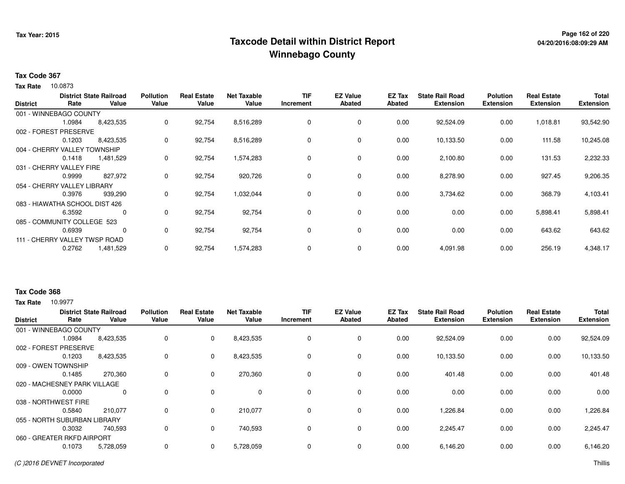# **Page 162 of 220 Taxcode Detail within District ReportWinnebago County**

## **Tax Code 367**

Tax Rate 10.0873

| <b>District</b>                | Rate   | <b>District State Railroad</b><br>Value | <b>Pollution</b><br>Value | <b>Real Estate</b><br>Value | <b>Net Taxable</b><br>Value | <b>TIF</b><br>Increment | <b>EZ Value</b><br><b>Abated</b> | EZ Tax<br>Abated | <b>State Rail Road</b><br><b>Extension</b> | <b>Polution</b><br><b>Extension</b> | <b>Real Estate</b><br><b>Extension</b> | <b>Total</b><br><b>Extension</b> |
|--------------------------------|--------|-----------------------------------------|---------------------------|-----------------------------|-----------------------------|-------------------------|----------------------------------|------------------|--------------------------------------------|-------------------------------------|----------------------------------------|----------------------------------|
|                                |        |                                         |                           |                             |                             |                         |                                  |                  |                                            |                                     |                                        |                                  |
| 001 - WINNEBAGO COUNTY         |        |                                         |                           |                             |                             |                         |                                  |                  |                                            |                                     |                                        |                                  |
|                                | 1.0984 | 8,423,535                               | 0                         | 92,754                      | 8,516,289                   | 0                       | 0                                | 0.00             | 92,524.09                                  | 0.00                                | 1,018.81                               | 93,542.90                        |
| 002 - FOREST PRESERVE          |        |                                         |                           |                             |                             |                         |                                  |                  |                                            |                                     |                                        |                                  |
|                                | 0.1203 | 8,423,535                               | 0                         | 92,754                      | 8,516,289                   | 0                       | $\mathbf 0$                      | 0.00             | 10,133.50                                  | 0.00                                | 111.58                                 | 10,245.08                        |
| 004 - CHERRY VALLEY TOWNSHIP   |        |                                         |                           |                             |                             |                         |                                  |                  |                                            |                                     |                                        |                                  |
|                                | 0.1418 | 1,481,529                               | 0                         | 92,754                      | 1,574,283                   | 0                       | $\mathbf 0$                      | 0.00             | 2,100.80                                   | 0.00                                | 131.53                                 | 2,232.33                         |
| 031 - CHERRY VALLEY FIRE       |        |                                         |                           |                             |                             |                         |                                  |                  |                                            |                                     |                                        |                                  |
|                                | 0.9999 | 827,972                                 | 0                         | 92,754                      | 920,726                     | 0                       | 0                                | 0.00             | 8,278.90                                   | 0.00                                | 927.45                                 | 9,206.35                         |
| 054 - CHERRY VALLEY LIBRARY    |        |                                         |                           |                             |                             |                         |                                  |                  |                                            |                                     |                                        |                                  |
|                                | 0.3976 | 939,290                                 | 0                         | 92,754                      | 1,032,044                   | 0                       | $\mathbf 0$                      | 0.00             | 3,734.62                                   | 0.00                                | 368.79                                 | 4,103.41                         |
| 083 - HIAWATHA SCHOOL DIST 426 |        |                                         |                           |                             |                             |                         |                                  |                  |                                            |                                     |                                        |                                  |
|                                | 6.3592 | 0                                       | 0                         | 92,754                      | 92,754                      | 0                       | $\mathbf 0$                      | 0.00             | 0.00                                       | 0.00                                | 5,898.41                               | 5,898.41                         |
| 085 - COMMUNITY COLLEGE 523    |        |                                         |                           |                             |                             |                         |                                  |                  |                                            |                                     |                                        |                                  |
|                                | 0.6939 | 0                                       | 0                         | 92,754                      | 92,754                      | 0                       | 0                                | 0.00             | 0.00                                       | 0.00                                | 643.62                                 | 643.62                           |
| 111 - CHERRY VALLEY TWSP ROAD  |        |                                         |                           |                             |                             |                         |                                  |                  |                                            |                                     |                                        |                                  |
|                                | 0.2762 | 1,481,529                               | 0                         | 92,754                      | 1,574,283                   | 0                       | 0                                | 0.00             | 4,091.98                                   | 0.00                                | 256.19                                 | 4,348.17                         |

## **Tax Code 368**

**Tax Rate** 10.9977

| <b>District</b> | Rate                         | <b>District State Railroad</b><br>Value | <b>Pollution</b><br>Value | <b>Real Estate</b><br>Value | <b>Net Taxable</b><br>Value | <b>TIF</b><br>Increment | <b>EZ Value</b><br><b>Abated</b> | EZ Tax<br>Abated | <b>State Rail Road</b><br><b>Extension</b> | <b>Polution</b><br><b>Extension</b> | <b>Real Estate</b><br><b>Extension</b> | <b>Total</b><br><b>Extension</b> |
|-----------------|------------------------------|-----------------------------------------|---------------------------|-----------------------------|-----------------------------|-------------------------|----------------------------------|------------------|--------------------------------------------|-------------------------------------|----------------------------------------|----------------------------------|
|                 | 001 - WINNEBAGO COUNTY       |                                         |                           |                             |                             |                         |                                  |                  |                                            |                                     |                                        |                                  |
|                 | 1.0984                       | 8,423,535                               | 0                         | $\mathbf 0$                 | 8,423,535                   | 0                       | 0                                | 0.00             | 92,524.09                                  | 0.00                                | 0.00                                   | 92,524.09                        |
|                 | 002 - FOREST PRESERVE        |                                         |                           |                             |                             |                         |                                  |                  |                                            |                                     |                                        |                                  |
|                 | 0.1203                       | 8,423,535                               | 0                         | 0                           | 8,423,535                   | $\mathbf 0$             | $\mathbf 0$                      | 0.00             | 10,133.50                                  | 0.00                                | 0.00                                   | 10,133.50                        |
|                 | 009 - OWEN TOWNSHIP          |                                         |                           |                             |                             |                         |                                  |                  |                                            |                                     |                                        |                                  |
|                 | 0.1485                       | 270,360                                 | 0                         | $\mathbf 0$                 | 270,360                     | 0                       | $\mathbf 0$                      | 0.00             | 401.48                                     | 0.00                                | 0.00                                   | 401.48                           |
|                 | 020 - MACHESNEY PARK VILLAGE |                                         |                           |                             |                             |                         |                                  |                  |                                            |                                     |                                        |                                  |
|                 | 0.0000                       | 0                                       | 0                         | 0                           | 0                           | 0                       | 0                                | 0.00             | 0.00                                       | 0.00                                | 0.00                                   | 0.00                             |
|                 | 038 - NORTHWEST FIRE         |                                         |                           |                             |                             |                         |                                  |                  |                                            |                                     |                                        |                                  |
|                 | 0.5840                       | 210,077                                 | 0                         | 0                           | 210,077                     | $\Omega$                | $\mathbf 0$                      | 0.00             | 1,226.84                                   | 0.00                                | 0.00                                   | 1,226.84                         |
|                 | 055 - NORTH SUBURBAN LIBRARY |                                         |                           |                             |                             |                         |                                  |                  |                                            |                                     |                                        |                                  |
|                 | 0.3032                       | 740,593                                 | 0                         | $\mathbf 0$                 | 740,593                     | $\mathbf 0$             | 0                                | 0.00             | 2,245.47                                   | 0.00                                | 0.00                                   | 2,245.47                         |
|                 | 060 - GREATER RKFD AIRPORT   |                                         |                           |                             |                             |                         |                                  |                  |                                            |                                     |                                        |                                  |
|                 | 0.1073                       | 5,728,059                               | 0                         | 0                           | 5,728,059                   | $\Omega$                | $\mathbf 0$                      | 0.00             | 6,146.20                                   | 0.00                                | 0.00                                   | 6,146.20                         |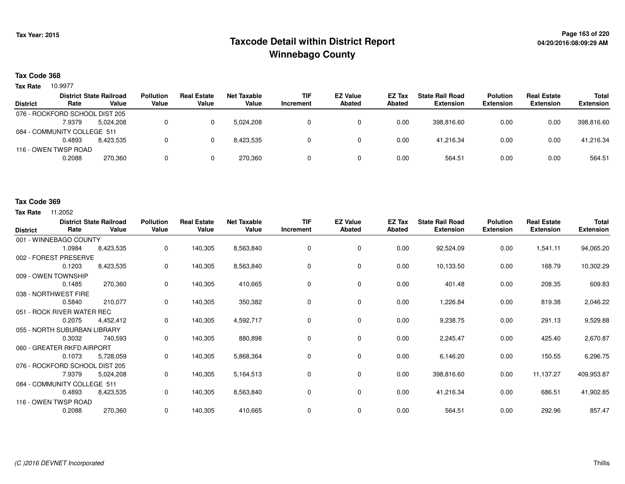# **Page 163 of 220 Taxcode Detail within District ReportWinnebago County**

## **Tax Code 368**

10.9977 **Tax Rate**

|                 |                                | <b>District State Railroad</b> | <b>Pollution</b> | <b>Real Estate</b> | Net Taxable | <b>TIF</b> | <b>EZ Value</b> | <b>EZ Tax</b> | <b>State Rail Road</b> | <b>Polution</b>  | <b>Real Estate</b> | <b>Total</b>     |
|-----------------|--------------------------------|--------------------------------|------------------|--------------------|-------------|------------|-----------------|---------------|------------------------|------------------|--------------------|------------------|
| <b>District</b> | Rate                           | Value                          | Value            | Value              | Value       | Increment  | <b>Abated</b>   | Abated        | <b>Extension</b>       | <b>Extension</b> | <b>Extension</b>   | <b>Extension</b> |
|                 | 076 - ROCKFORD SCHOOL DIST 205 |                                |                  |                    |             |            |                 |               |                        |                  |                    |                  |
|                 | 7.9379                         | 5.024.208                      |                  |                    | 5.024.208   |            |                 | 0.00          | 398.816.60             | 0.00             | 0.00               | 398,816.60       |
|                 | 084 - COMMUNITY COLLEGE 511    |                                |                  |                    |             |            |                 |               |                        |                  |                    |                  |
|                 | 0.4893                         | 8.423.535                      |                  |                    | 8.423.535   |            |                 | 0.00          | 41.216.34              | 0.00             | 0.00               | 41,216.34        |
|                 | 116 - OWEN TWSP ROAD           |                                |                  |                    |             |            |                 |               |                        |                  |                    |                  |
|                 | 0.2088                         | 270,360                        |                  |                    | 270.360     |            |                 | 0.00          | 564.51                 | 0.00             | 0.00               | 564.51           |

#### **Tax Code 369**

**Tax Rate** 11,2052

| <b>District</b>            | Rate                           | <b>District State Railroad</b><br>Value | <b>Pollution</b><br>Value | <b>Real Estate</b><br>Value | <b>Net Taxable</b><br>Value | <b>TIF</b><br>Increment | <b>EZ Value</b><br><b>Abated</b> | EZ Tax<br>Abated | <b>State Rail Road</b><br><b>Extension</b> | <b>Polution</b><br><b>Extension</b> | <b>Real Estate</b><br><b>Extension</b> | Total<br><b>Extension</b> |
|----------------------------|--------------------------------|-----------------------------------------|---------------------------|-----------------------------|-----------------------------|-------------------------|----------------------------------|------------------|--------------------------------------------|-------------------------------------|----------------------------------------|---------------------------|
|                            | 001 - WINNEBAGO COUNTY         |                                         |                           |                             |                             |                         |                                  |                  |                                            |                                     |                                        |                           |
|                            | 1.0984                         | 8,423,535                               | 0                         | 140,305                     | 8,563,840                   | 0                       | 0                                | 0.00             | 92,524.09                                  | 0.00                                | 1,541.11                               | 94,065.20                 |
|                            | 002 - FOREST PRESERVE          |                                         |                           |                             |                             |                         |                                  |                  |                                            |                                     |                                        |                           |
|                            | 0.1203                         | 8,423,535                               | 0                         | 140,305                     | 8,563,840                   | $\Omega$                | 0                                | 0.00             | 10,133.50                                  | 0.00                                | 168.79                                 | 10,302.29                 |
|                            | 009 - OWEN TOWNSHIP            |                                         |                           |                             |                             |                         |                                  |                  |                                            |                                     |                                        |                           |
|                            | 0.1485                         | 270,360                                 | 0                         | 140,305                     | 410,665                     | $\Omega$                | 0                                | 0.00             | 401.48                                     | 0.00                                | 208.35                                 | 609.83                    |
|                            | 038 - NORTHWEST FIRE           |                                         |                           |                             |                             |                         |                                  |                  |                                            |                                     |                                        |                           |
|                            | 0.5840                         | 210,077                                 | 0                         | 140,305                     | 350,382                     | 0                       | 0                                | 0.00             | 1,226.84                                   | 0.00                                | 819.38                                 | 2,046.22                  |
| 051 - ROCK RIVER WATER REC |                                |                                         |                           |                             |                             |                         |                                  |                  |                                            |                                     |                                        |                           |
|                            | 0.2075                         | 4,452,412                               | 0                         | 140,305                     | 4,592,717                   | 0                       | $\mathbf 0$                      | 0.00             | 9,238.75                                   | 0.00                                | 291.13                                 | 9,529.88                  |
|                            | 055 - NORTH SUBURBAN LIBRARY   |                                         |                           |                             |                             |                         |                                  |                  |                                            |                                     |                                        |                           |
|                            | 0.3032                         | 740,593                                 | 0                         | 140,305                     | 880,898                     | 0                       | $\mathbf 0$                      | 0.00             | 2,245.47                                   | 0.00                                | 425.40                                 | 2,670.87                  |
|                            | 060 - GREATER RKFD AIRPORT     |                                         |                           |                             |                             |                         |                                  |                  |                                            |                                     |                                        |                           |
|                            | 0.1073                         | 5,728,059                               | $\mathbf 0$               | 140,305                     | 5,868,364                   | 0                       | $\mathbf 0$                      | 0.00             | 6,146.20                                   | 0.00                                | 150.55                                 | 6,296.75                  |
|                            | 076 - ROCKFORD SCHOOL DIST 205 |                                         |                           |                             |                             |                         |                                  |                  |                                            |                                     |                                        |                           |
|                            | 7.9379                         | 5,024,208                               | 0                         | 140,305                     | 5,164,513                   | 0                       | $\mathbf 0$                      | 0.00             | 398,816.60                                 | 0.00                                | 11,137.27                              | 409,953.87                |
|                            | 084 - COMMUNITY COLLEGE 511    |                                         |                           |                             |                             |                         |                                  |                  |                                            |                                     |                                        |                           |
|                            | 0.4893                         | 8,423,535                               | 0                         | 140,305                     | 8,563,840                   | 0                       | 0                                | 0.00             | 41,216.34                                  | 0.00                                | 686.51                                 | 41,902.85                 |
|                            | 116 - OWEN TWSP ROAD           |                                         |                           |                             |                             |                         |                                  |                  |                                            |                                     |                                        |                           |
|                            | 0.2088                         | 270,360                                 | 0                         | 140,305                     | 410,665                     | 0                       | 0                                | 0.00             | 564.51                                     | 0.00                                | 292.96                                 | 857.47                    |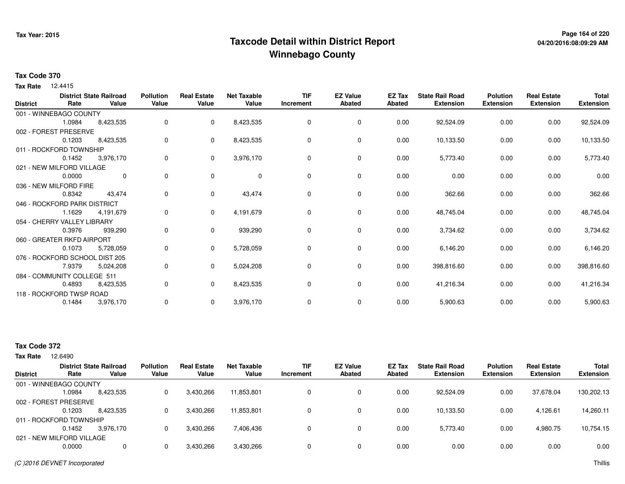# **Page 164 of 220 Taxcode Detail within District ReportWinnebago County**

## **Tax Code 370**

12.4415 **Tax Rate**

| <b>District</b> | Rate                           | <b>District State Railroad</b><br>Value | <b>Pollution</b><br>Value | <b>Real Estate</b><br>Value | <b>Net Taxable</b><br>Value | <b>TIF</b><br>Increment | <b>EZ Value</b><br><b>Abated</b> | <b>EZ Tax</b><br><b>Abated</b> | <b>State Rail Road</b><br><b>Extension</b> | <b>Polution</b><br><b>Extension</b> | <b>Real Estate</b><br><b>Extension</b> | <b>Total</b><br><b>Extension</b> |
|-----------------|--------------------------------|-----------------------------------------|---------------------------|-----------------------------|-----------------------------|-------------------------|----------------------------------|--------------------------------|--------------------------------------------|-------------------------------------|----------------------------------------|----------------------------------|
|                 | 001 - WINNEBAGO COUNTY         |                                         |                           |                             |                             |                         |                                  |                                |                                            |                                     |                                        |                                  |
|                 | 1.0984                         | 8,423,535                               | 0                         | 0                           | 8,423,535                   | 0                       | 0                                | 0.00                           | 92,524.09                                  | 0.00                                | 0.00                                   | 92,524.09                        |
|                 | 002 - FOREST PRESERVE          |                                         |                           |                             |                             |                         |                                  |                                |                                            |                                     |                                        |                                  |
|                 | 0.1203                         | 8,423,535                               | 0                         | 0                           | 8,423,535                   | 0                       | 0                                | 0.00                           | 10,133.50                                  | 0.00                                | 0.00                                   | 10,133.50                        |
|                 | 011 - ROCKFORD TOWNSHIP        |                                         |                           |                             |                             |                         |                                  |                                |                                            |                                     |                                        |                                  |
|                 | 0.1452                         | 3,976,170                               | 0                         | 0                           | 3,976,170                   | $\Omega$                | 0                                | 0.00                           | 5,773.40                                   | 0.00                                | 0.00                                   | 5,773.40                         |
|                 | 021 - NEW MILFORD VILLAGE      |                                         |                           |                             |                             |                         |                                  |                                |                                            |                                     |                                        |                                  |
|                 | 0.0000                         | 0                                       | 0                         | $\mathbf 0$                 | $\mathbf 0$                 | 0                       | 0                                | 0.00                           | 0.00                                       | 0.00                                | 0.00                                   | 0.00                             |
|                 | 036 - NEW MILFORD FIRE         |                                         |                           |                             |                             |                         |                                  |                                |                                            |                                     |                                        |                                  |
|                 | 0.8342                         | 43,474                                  | 0                         | 0                           | 43,474                      | $\Omega$                | 0                                | 0.00                           | 362.66                                     | 0.00                                | 0.00                                   | 362.66                           |
|                 | 046 - ROCKFORD PARK DISTRICT   |                                         |                           |                             |                             |                         |                                  |                                |                                            |                                     |                                        |                                  |
|                 | 1.1629                         | 4,191,679                               | 0                         | 0                           | 4,191,679                   | 0                       | $\mathbf 0$                      | 0.00                           | 48,745.04                                  | 0.00                                | 0.00                                   | 48,745.04                        |
|                 | 054 - CHERRY VALLEY LIBRARY    |                                         |                           |                             |                             |                         |                                  |                                |                                            |                                     |                                        |                                  |
|                 | 0.3976                         | 939,290                                 | 0                         | 0                           | 939,290                     | 0                       | 0                                | 0.00                           | 3,734.62                                   | 0.00                                | 0.00                                   | 3,734.62                         |
|                 | 060 - GREATER RKFD AIRPORT     |                                         |                           |                             |                             |                         |                                  |                                |                                            |                                     |                                        |                                  |
|                 | 0.1073                         | 5,728,059                               | 0                         | 0                           | 5,728,059                   | 0                       | 0                                | 0.00                           | 6,146.20                                   | 0.00                                | 0.00                                   | 6,146.20                         |
|                 | 076 - ROCKFORD SCHOOL DIST 205 |                                         |                           |                             |                             |                         |                                  |                                |                                            |                                     |                                        |                                  |
|                 | 7.9379                         | 5,024,208                               | 0                         | 0                           | 5,024,208                   | 0                       | 0                                | 0.00                           | 398,816.60                                 | 0.00                                | 0.00                                   | 398,816.60                       |
|                 | 084 - COMMUNITY COLLEGE 511    |                                         |                           |                             |                             |                         |                                  |                                |                                            |                                     |                                        |                                  |
|                 | 0.4893                         | 8,423,535                               | 0                         | $\mathbf 0$                 | 8,423,535                   | 0                       | $\mathbf 0$                      | 0.00                           | 41,216.34                                  | 0.00                                | 0.00                                   | 41,216.34                        |
|                 | 118 - ROCKFORD TWSP ROAD       |                                         |                           |                             |                             |                         |                                  |                                |                                            |                                     |                                        |                                  |
|                 | 0.1484                         | 3,976,170                               | 0                         | 0                           | 3,976,170                   | 0                       | 0                                | 0.00                           | 5,900.63                                   | 0.00                                | 0.00                                   | 5,900.63                         |

# **Tax Code 372**

**Tax Rate** 12.6490

|                 |                           | <b>District State Railroad</b> | <b>Pollution</b> | <b>Real Estate</b> | Net Taxable | <b>TIF</b> | <b>EZ Value</b> | EZ Tax | <b>State Rail Road</b> | <b>Polution</b>  | <b>Real Estate</b> | <b>Total</b>     |
|-----------------|---------------------------|--------------------------------|------------------|--------------------|-------------|------------|-----------------|--------|------------------------|------------------|--------------------|------------------|
| <b>District</b> | Rate                      | Value                          | Value            | Value              | Value       | Increment  | <b>Abated</b>   | Abated | <b>Extension</b>       | <b>Extension</b> | <b>Extension</b>   | <b>Extension</b> |
|                 | 001 - WINNEBAGO COUNTY    |                                |                  |                    |             |            |                 |        |                        |                  |                    |                  |
|                 | 1.0984                    | 8,423,535                      |                  | 3,430,266          | 11,853,801  | 0          | 0               | 0.00   | 92,524.09              | 0.00             | 37,678.04          | 130,202.13       |
|                 | 002 - FOREST PRESERVE     |                                |                  |                    |             |            |                 |        |                        |                  |                    |                  |
|                 | 0.1203                    | 8,423,535                      |                  | 3,430,266          | 11,853,801  |            |                 | 0.00   | 10,133.50              | 0.00             | 4,126.61           | 14,260.11        |
|                 | 011 - ROCKFORD TOWNSHIP   |                                |                  |                    |             |            |                 |        |                        |                  |                    |                  |
|                 | 0.1452                    | 3.976.170                      |                  | 3,430,266          | 7,406,436   |            | 0               | 0.00   | 5,773.40               | 0.00             | 4,980.75           | 10,754.15        |
|                 | 021 - NEW MILFORD VILLAGE |                                |                  |                    |             |            |                 |        |                        |                  |                    |                  |
|                 | 0.0000                    |                                |                  | 3,430,266          | 3,430,266   |            | 0               | 0.00   | 0.00                   | 0.00             | 0.00               | 0.00             |
|                 |                           |                                |                  |                    |             |            |                 |        |                        |                  |                    |                  |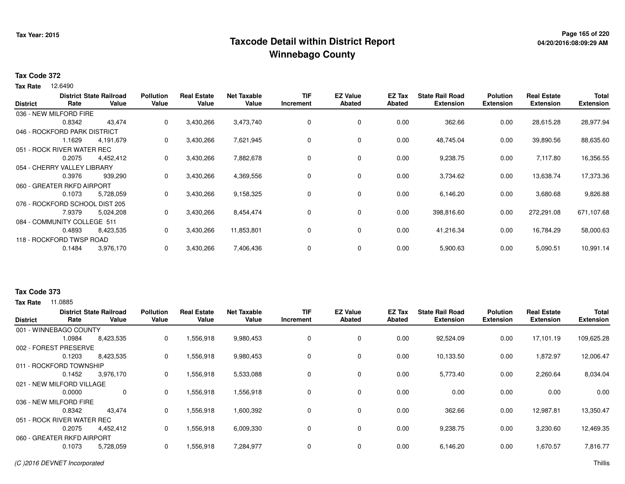# **Page 165 of 220 Taxcode Detail within District ReportWinnebago County**

### **Tax Code 372**

**Tax Rate** 12.6490

| <b>District</b> | Rate                           | <b>District State Railroad</b><br>Value | <b>Pollution</b><br>Value | <b>Real Estate</b><br>Value | <b>Net Taxable</b><br>Value | <b>TIF</b><br>Increment | <b>EZ Value</b><br><b>Abated</b> | EZ Tax<br><b>Abated</b> | <b>State Rail Road</b><br><b>Extension</b> | <b>Polution</b><br><b>Extension</b> | <b>Real Estate</b><br><b>Extension</b> | <b>Total</b><br><b>Extension</b> |
|-----------------|--------------------------------|-----------------------------------------|---------------------------|-----------------------------|-----------------------------|-------------------------|----------------------------------|-------------------------|--------------------------------------------|-------------------------------------|----------------------------------------|----------------------------------|
|                 |                                |                                         |                           |                             |                             |                         |                                  |                         |                                            |                                     |                                        |                                  |
|                 | 036 - NEW MILFORD FIRE         |                                         |                           |                             |                             |                         |                                  |                         |                                            |                                     |                                        |                                  |
|                 | 0.8342                         | 43,474                                  | 0                         | 3,430,266                   | 3,473,740                   | 0                       | 0                                | 0.00                    | 362.66                                     | 0.00                                | 28,615.28                              | 28,977.94                        |
|                 | 046 - ROCKFORD PARK DISTRICT   |                                         |                           |                             |                             |                         |                                  |                         |                                            |                                     |                                        |                                  |
|                 | 1.1629                         | 4,191,679                               | $\mathbf{0}$              | 3,430,266                   | 7,621,945                   | 0                       | 0                                | 0.00                    | 48,745.04                                  | 0.00                                | 39,890.56                              | 88,635.60                        |
|                 | 051 - ROCK RIVER WATER REC     |                                         |                           |                             |                             |                         |                                  |                         |                                            |                                     |                                        |                                  |
|                 | 0.2075                         | 4,452,412                               | 0                         | 3,430,266                   | 7,882,678                   | 0                       | $\mathbf 0$                      | 0.00                    | 9,238.75                                   | 0.00                                | 7,117.80                               | 16,356.55                        |
|                 | 054 - CHERRY VALLEY LIBRARY    |                                         |                           |                             |                             |                         |                                  |                         |                                            |                                     |                                        |                                  |
|                 | 0.3976                         | 939,290                                 | 0                         | 3,430,266                   | 4,369,556                   | 0                       | $\mathbf 0$                      | 0.00                    | 3,734.62                                   | 0.00                                | 13,638.74                              | 17,373.36                        |
|                 | 060 - GREATER RKFD AIRPORT     |                                         |                           |                             |                             |                         |                                  |                         |                                            |                                     |                                        |                                  |
|                 | 0.1073                         | 5,728,059                               | 0                         | 3,430,266                   | 9,158,325                   | 0                       | $\mathbf 0$                      | 0.00                    | 6,146.20                                   | 0.00                                | 3,680.68                               | 9,826.88                         |
|                 | 076 - ROCKFORD SCHOOL DIST 205 |                                         |                           |                             |                             |                         |                                  |                         |                                            |                                     |                                        |                                  |
|                 | 7.9379                         | 5,024,208                               | 0                         | 3,430,266                   | 8,454,474                   | 0                       | $\mathbf 0$                      | 0.00                    | 398,816.60                                 | 0.00                                | 272,291.08                             | 671,107.68                       |
|                 | 084 - COMMUNITY COLLEGE 511    |                                         |                           |                             |                             |                         |                                  |                         |                                            |                                     |                                        |                                  |
|                 | 0.4893                         | 8,423,535                               | 0                         | 3,430,266                   | 11,853,801                  | 0                       | 0                                | 0.00                    | 41,216.34                                  | 0.00                                | 16,784.29                              | 58,000.63                        |
|                 | 118 - ROCKFORD TWSP ROAD       |                                         |                           |                             |                             |                         |                                  |                         |                                            |                                     |                                        |                                  |
|                 | 0.1484                         | 3,976,170                               | 0                         | 3,430,266                   | 7,406,436                   | 0                       | 0                                | 0.00                    | 5,900.63                                   | 0.00                                | 5,090.51                               | 10,991.14                        |
|                 |                                |                                         |                           |                             |                             |                         |                                  |                         |                                            |                                     |                                        |                                  |

## **Tax Code 373**

**Tax Rate** 11.0885

| <b>District</b>            | Rate                       | <b>District State Railroad</b><br>Value | <b>Pollution</b><br>Value | <b>Real Estate</b><br>Value | <b>Net Taxable</b><br>Value | <b>TIF</b><br>Increment | <b>EZ Value</b><br><b>Abated</b> | EZ Tax<br>Abated | <b>State Rail Road</b><br><b>Extension</b> | <b>Polution</b><br><b>Extension</b> | <b>Real Estate</b><br><b>Extension</b> | <b>Total</b><br><b>Extension</b> |
|----------------------------|----------------------------|-----------------------------------------|---------------------------|-----------------------------|-----------------------------|-------------------------|----------------------------------|------------------|--------------------------------------------|-------------------------------------|----------------------------------------|----------------------------------|
|                            | 001 - WINNEBAGO COUNTY     |                                         |                           |                             |                             |                         |                                  |                  |                                            |                                     |                                        |                                  |
|                            | 1.0984                     | 8,423,535                               | $\mathbf{0}$              | 1,556,918                   | 9,980,453                   | 0                       | 0                                | 0.00             | 92,524.09                                  | 0.00                                | 17,101.19                              | 109,625.28                       |
|                            | 002 - FOREST PRESERVE      |                                         |                           |                             |                             |                         |                                  |                  |                                            |                                     |                                        |                                  |
|                            | 0.1203                     | 8,423,535                               | 0                         | 1,556,918                   | 9,980,453                   | $\mathbf 0$             | $\mathbf 0$                      | 0.00             | 10,133.50                                  | 0.00                                | 1,872.97                               | 12,006.47                        |
|                            | 011 - ROCKFORD TOWNSHIP    |                                         |                           |                             |                             |                         |                                  |                  |                                            |                                     |                                        |                                  |
|                            | 0.1452                     | 3,976,170                               | 0                         | 1,556,918                   | 5,533,088                   | $\Omega$                | $\mathbf 0$                      | 0.00             | 5,773.40                                   | 0.00                                | 2,260.64                               | 8,034.04                         |
| 021 - NEW MILFORD VILLAGE  |                            |                                         |                           |                             |                             |                         |                                  |                  |                                            |                                     |                                        |                                  |
|                            | 0.0000                     | 0                                       | 0                         | 1,556,918                   | 1,556,918                   |                         | 0                                | 0.00             | 0.00                                       | 0.00                                | 0.00                                   | 0.00                             |
|                            | 036 - NEW MILFORD FIRE     |                                         |                           |                             |                             |                         |                                  |                  |                                            |                                     |                                        |                                  |
|                            | 0.8342                     | 43,474                                  | 0                         | 1,556,918                   | 1,600,392                   | 0                       | $\mathbf 0$                      | 0.00             | 362.66                                     | 0.00                                | 12,987.81                              | 13,350.47                        |
| 051 - ROCK RIVER WATER REC |                            |                                         |                           |                             |                             |                         |                                  |                  |                                            |                                     |                                        |                                  |
|                            | 0.2075                     | 4,452,412                               | 0                         | 1,556,918                   | 6,009,330                   | $\Omega$                | 0                                | 0.00             | 9,238.75                                   | 0.00                                | 3,230.60                               | 12,469.35                        |
|                            | 060 - GREATER RKFD AIRPORT |                                         |                           |                             |                             |                         |                                  |                  |                                            |                                     |                                        |                                  |
|                            | 0.1073                     | 5,728,059                               | 0                         | 1,556,918                   | 7,284,977                   |                         | 0                                | 0.00             | 6,146.20                                   | 0.00                                | 1,670.57                               | 7,816.77                         |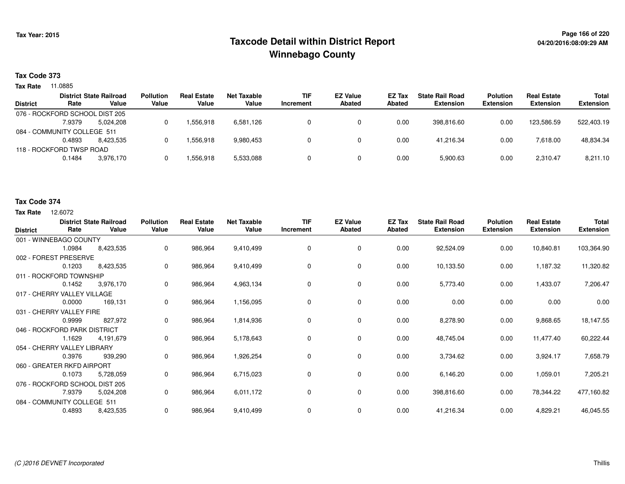# **Page 166 of 220 Taxcode Detail within District ReportWinnebago County**

# **Tax Code 373**

**Tax Rate** 11.0885

|                 |                                | <b>District State Railroad</b> | <b>Pollution</b> | <b>Real Estate</b> | Net Taxable | <b>TIF</b> | <b>EZ Value</b> | <b>EZ Tax</b> | <b>State Rail Road</b> | <b>Polution</b>  | <b>Real Estate</b> | <b>Total</b>     |
|-----------------|--------------------------------|--------------------------------|------------------|--------------------|-------------|------------|-----------------|---------------|------------------------|------------------|--------------------|------------------|
| <b>District</b> | Rate                           | Value                          | Value            | Value              | Value       | Increment  | <b>Abated</b>   | Abated        | <b>Extension</b>       | <b>Extension</b> | <b>Extension</b>   | <b>Extension</b> |
|                 | 076 - ROCKFORD SCHOOL DIST 205 |                                |                  |                    |             |            |                 |               |                        |                  |                    |                  |
|                 | 7.9379                         | 5.024.208                      |                  | .556.918           | 6,581,126   |            |                 | 0.00          | 398.816.60             | 0.00             | 123.586.59         | 522.403.19       |
|                 | 084 - COMMUNITY COLLEGE 511    |                                |                  |                    |             |            |                 |               |                        |                  |                    |                  |
|                 | 0.4893                         | 8.423.535                      |                  | .556.918           | 9.980.453   |            |                 | 0.00          | 41.216.34              | 0.00             | 7.618.00           | 48,834.34        |
|                 | 118 - ROCKFORD TWSP ROAD       |                                |                  |                    |             |            |                 |               |                        |                  |                    |                  |
|                 | 0.1484                         | 3.976.170                      |                  | 556,918. ا         | 5,533,088   |            |                 | 0.00          | 5,900.63               | 0.00             | 2.310.47           | 8,211.10         |
|                 |                                |                                |                  |                    |             |            |                 |               |                        |                  |                    |                  |

#### **Tax Code 374**

**Tax Rate** 12,6072

| <b>District</b>                | Rate   | <b>District State Railroad</b><br>Value | <b>Pollution</b><br>Value | <b>Real Estate</b><br>Value | <b>Net Taxable</b><br>Value | <b>TIF</b><br>Increment | <b>EZ Value</b><br><b>Abated</b> | EZ Tax<br><b>Abated</b> | <b>State Rail Road</b><br><b>Extension</b> | <b>Polution</b><br><b>Extension</b> | <b>Real Estate</b><br><b>Extension</b> | <b>Total</b><br><b>Extension</b> |
|--------------------------------|--------|-----------------------------------------|---------------------------|-----------------------------|-----------------------------|-------------------------|----------------------------------|-------------------------|--------------------------------------------|-------------------------------------|----------------------------------------|----------------------------------|
| 001 - WINNEBAGO COUNTY         |        |                                         |                           |                             |                             |                         |                                  |                         |                                            |                                     |                                        |                                  |
|                                | 1.0984 | 8,423,535                               | 0                         | 986,964                     | 9,410,499                   | 0                       | 0                                | 0.00                    | 92,524.09                                  | 0.00                                | 10,840.81                              | 103,364.90                       |
| 002 - FOREST PRESERVE          |        |                                         |                           |                             |                             |                         |                                  |                         |                                            |                                     |                                        |                                  |
|                                | 0.1203 | 8,423,535                               | 0                         | 986,964                     | 9,410,499                   | $\Omega$                | 0                                | 0.00                    | 10,133.50                                  | 0.00                                | 1,187.32                               | 11,320.82                        |
| 011 - ROCKFORD TOWNSHIP        |        |                                         |                           |                             |                             |                         |                                  |                         |                                            |                                     |                                        |                                  |
|                                | 0.1452 | 3,976,170                               | 0                         | 986,964                     | 4,963,134                   | 0                       | 0                                | 0.00                    | 5,773.40                                   | 0.00                                | 1,433.07                               | 7,206.47                         |
| 017 - CHERRY VALLEY VILLAGE    |        |                                         |                           |                             |                             |                         |                                  |                         |                                            |                                     |                                        |                                  |
|                                | 0.0000 | 169,131                                 | 0                         | 986,964                     | 1,156,095                   | 0                       | 0                                | 0.00                    | 0.00                                       | 0.00                                | 0.00                                   | 0.00                             |
| 031 - CHERRY VALLEY FIRE       |        |                                         |                           |                             |                             |                         |                                  |                         |                                            |                                     |                                        |                                  |
|                                | 0.9999 | 827,972                                 | 0                         | 986,964                     | 1,814,936                   | 0                       | $\mathbf 0$                      | 0.00                    | 8,278.90                                   | 0.00                                | 9,868.65                               | 18,147.55                        |
| 046 - ROCKFORD PARK DISTRICT   |        |                                         |                           |                             |                             |                         |                                  |                         |                                            |                                     |                                        |                                  |
|                                | 1.1629 | 4,191,679                               | 0                         | 986,964                     | 5,178,643                   | 0                       | $\mathbf 0$                      | 0.00                    | 48,745.04                                  | 0.00                                | 11,477.40                              | 60,222.44                        |
| 054 - CHERRY VALLEY LIBRARY    |        |                                         |                           |                             |                             |                         |                                  |                         |                                            |                                     |                                        |                                  |
|                                | 0.3976 | 939,290                                 | 0                         | 986,964                     | 1,926,254                   | 0                       | 0                                | 0.00                    | 3,734.62                                   | 0.00                                | 3,924.17                               | 7,658.79                         |
| 060 - GREATER RKFD AIRPORT     |        |                                         |                           |                             |                             |                         |                                  |                         |                                            |                                     |                                        |                                  |
|                                | 0.1073 | 5,728,059                               | 0                         | 986,964                     | 6,715,023                   | 0                       | $\mathbf 0$                      | 0.00                    | 6,146.20                                   | 0.00                                | 1,059.01                               | 7,205.21                         |
| 076 - ROCKFORD SCHOOL DIST 205 |        |                                         |                           |                             |                             |                         |                                  |                         |                                            |                                     |                                        |                                  |
|                                | 7.9379 | 5,024,208                               | 0                         | 986,964                     | 6,011,172                   | 0                       | 0                                | 0.00                    | 398,816.60                                 | 0.00                                | 78,344.22                              | 477,160.82                       |
| 084 - COMMUNITY COLLEGE 511    |        |                                         |                           |                             |                             |                         |                                  |                         |                                            |                                     |                                        |                                  |
|                                | 0.4893 | 8,423,535                               | 0                         | 986,964                     | 9,410,499                   | 0                       | 0                                | 0.00                    | 41,216.34                                  | 0.00                                | 4,829.21                               | 46,045.55                        |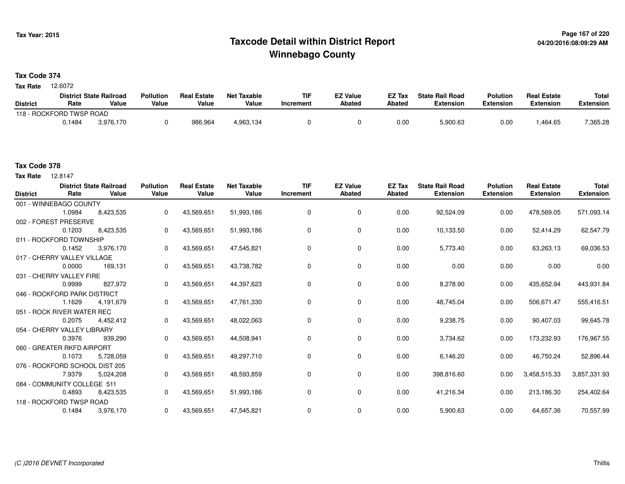# **Page 167 of 220 Taxcode Detail within District ReportWinnebago County**

# **Tax Code 374**

12.6072 **Tax Rate**

|                 |                          | <b>District State Railroad</b> | <b>Pollution</b> | <b>Real Estate</b> | Net Taxable | <b>TIF</b> | <b>EZ Value</b> | <b>EZ Tax</b> | <b>State Rail Road</b> | <b>Polution</b>  | <b>Real Estate</b> | <b>Total</b> |
|-----------------|--------------------------|--------------------------------|------------------|--------------------|-------------|------------|-----------------|---------------|------------------------|------------------|--------------------|--------------|
| <b>District</b> | Rate                     | Value                          | Value            | Value              | Value       | Increment  | <b>Abated</b>   | Abated        | <b>Extension</b>       | <b>Extension</b> | <b>Extension</b>   | Extension    |
|                 | 118 - ROCKFORD TWSP ROAD |                                |                  |                    |             |            |                 |               |                        |                  |                    |              |
|                 | 0.1484                   | 3.976.170                      |                  | 986.964            | 4,963,134   |            |                 | 0.00          | 5,900.63               | 0.00             | .464.65            | 7,365.28     |

# **Tax Code 378**

12.8147 **Tax Rate**

| <b>District</b> | Rate                           | <b>District State Railroad</b><br>Value | <b>Pollution</b><br>Value | <b>Real Estate</b><br>Value | <b>Net Taxable</b><br>Value | <b>TIF</b><br>Increment | <b>EZ Value</b><br><b>Abated</b> | <b>EZ Tax</b><br><b>Abated</b> | <b>State Rail Road</b><br><b>Extension</b> | <b>Polution</b><br><b>Extension</b> | <b>Real Estate</b><br><b>Extension</b> | Total<br><b>Extension</b> |
|-----------------|--------------------------------|-----------------------------------------|---------------------------|-----------------------------|-----------------------------|-------------------------|----------------------------------|--------------------------------|--------------------------------------------|-------------------------------------|----------------------------------------|---------------------------|
|                 | 001 - WINNEBAGO COUNTY         |                                         |                           |                             |                             |                         |                                  |                                |                                            |                                     |                                        |                           |
|                 | 1.0984                         | 8,423,535                               | 0                         | 43,569,651                  | 51,993,186                  | 0                       | 0                                | 0.00                           | 92,524.09                                  | 0.00                                | 478,569.05                             | 571,093.14                |
|                 | 002 - FOREST PRESERVE          |                                         |                           |                             |                             |                         |                                  |                                |                                            |                                     |                                        |                           |
|                 | 0.1203                         | 8,423,535                               | 0                         | 43,569,651                  | 51,993,186                  | 0                       | 0                                | 0.00                           | 10,133.50                                  | 0.00                                | 52,414.29                              | 62,547.79                 |
|                 | 011 - ROCKFORD TOWNSHIP        |                                         |                           |                             |                             |                         |                                  |                                |                                            |                                     |                                        |                           |
|                 | 0.1452                         | 3,976,170                               | 0                         | 43,569,651                  | 47,545,821                  | 0                       | 0                                | 0.00                           | 5,773.40                                   | 0.00                                | 63,263.13                              | 69,036.53                 |
|                 | 017 - CHERRY VALLEY VILLAGE    |                                         |                           |                             |                             |                         |                                  |                                |                                            |                                     |                                        |                           |
|                 | 0.0000                         | 169,131                                 | 0                         | 43,569,651                  | 43,738,782                  | 0                       | $\mathbf 0$                      | 0.00                           | 0.00                                       | 0.00                                | 0.00                                   | 0.00                      |
|                 | 031 - CHERRY VALLEY FIRE       |                                         |                           |                             |                             |                         |                                  |                                |                                            |                                     |                                        |                           |
|                 | 0.9999                         | 827,972                                 | 0                         | 43,569,651                  | 44,397,623                  | 0                       | $\mathbf 0$                      | 0.00                           | 8,278.90                                   | 0.00                                | 435,652.94                             | 443,931.84                |
|                 | 046 - ROCKFORD PARK DISTRICT   |                                         |                           |                             |                             |                         |                                  |                                |                                            |                                     |                                        |                           |
|                 | 1.1629                         | 4,191,679                               | 0                         | 43,569,651                  | 47,761,330                  | 0                       | $\mathbf 0$                      | 0.00                           | 48,745.04                                  | 0.00                                | 506,671.47                             | 555,416.51                |
|                 | 051 - ROCK RIVER WATER REC     |                                         |                           |                             |                             |                         |                                  |                                |                                            |                                     |                                        |                           |
|                 | 0.2075                         | 4,452,412                               | 0                         | 43,569,651                  | 48,022,063                  | 0                       | 0                                | 0.00                           | 9,238.75                                   | 0.00                                | 90,407.03                              | 99,645.78                 |
|                 | 054 - CHERRY VALLEY LIBRARY    |                                         |                           |                             |                             |                         |                                  |                                |                                            |                                     |                                        |                           |
|                 | 0.3976                         | 939,290                                 | 0                         | 43,569,651                  | 44,508,941                  | 0                       | 0                                | 0.00                           | 3,734.62                                   | 0.00                                | 173,232.93                             | 176,967.55                |
|                 | 060 - GREATER RKFD AIRPORT     |                                         |                           |                             |                             |                         |                                  |                                |                                            |                                     |                                        |                           |
|                 | 0.1073                         | 5,728,059                               | $\Omega$                  | 43,569,651                  | 49,297,710                  | 0                       | 0                                | 0.00                           | 6,146.20                                   | 0.00                                | 46,750.24                              | 52,896.44                 |
|                 | 076 - ROCKFORD SCHOOL DIST 205 |                                         |                           |                             |                             |                         |                                  |                                |                                            |                                     |                                        |                           |
|                 | 7.9379                         | 5,024,208                               | 0                         | 43,569,651                  | 48,593,859                  | 0                       | 0                                | 0.00                           | 398,816.60                                 | 0.00                                | 3,458,515.33                           | 3,857,331.93              |
|                 | 084 - COMMUNITY COLLEGE 511    |                                         |                           |                             |                             |                         |                                  |                                |                                            |                                     |                                        |                           |
|                 | 0.4893                         | 8,423,535                               | 0                         | 43,569,651                  | 51,993,186                  | $\mathbf 0$             | $\mathbf 0$                      | 0.00                           | 41,216.34                                  | 0.00                                | 213,186.30                             | 254,402.64                |
|                 | 118 - ROCKFORD TWSP ROAD       |                                         |                           |                             |                             |                         |                                  |                                |                                            |                                     |                                        |                           |
|                 | 0.1484                         | 3,976,170                               | 0                         | 43,569,651                  | 47,545,821                  | 0                       | 0                                | 0.00                           | 5,900.63                                   | 0.00                                | 64,657.36                              | 70,557.99                 |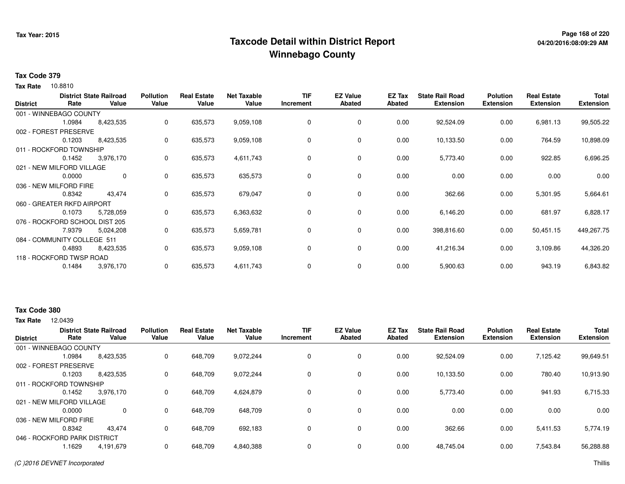# **Page 168 of 220 Taxcode Detail within District ReportWinnebago County**

## **Tax Code 379**

10.8810 **Tax Rate**

| <b>District</b> | Rate                           | <b>District State Railroad</b><br>Value | <b>Pollution</b><br>Value | <b>Real Estate</b><br>Value | <b>Net Taxable</b><br>Value | <b>TIF</b><br>Increment | <b>EZ Value</b><br><b>Abated</b> | EZ Tax<br>Abated | <b>State Rail Road</b><br><b>Extension</b> | <b>Polution</b><br><b>Extension</b> | <b>Real Estate</b><br><b>Extension</b> | <b>Total</b><br><b>Extension</b> |
|-----------------|--------------------------------|-----------------------------------------|---------------------------|-----------------------------|-----------------------------|-------------------------|----------------------------------|------------------|--------------------------------------------|-------------------------------------|----------------------------------------|----------------------------------|
|                 | 001 - WINNEBAGO COUNTY         |                                         |                           |                             |                             |                         |                                  |                  |                                            |                                     |                                        |                                  |
|                 | 1.0984                         | 8,423,535                               | 0                         | 635,573                     | 9,059,108                   | 0                       | 0                                | 0.00             | 92,524.09                                  | 0.00                                | 6,981.13                               | 99,505.22                        |
|                 | 002 - FOREST PRESERVE          |                                         |                           |                             |                             |                         |                                  |                  |                                            |                                     |                                        |                                  |
|                 | 0.1203                         | 8,423,535                               | 0                         | 635,573                     | 9,059,108                   | 0                       | 0                                | 0.00             | 10,133.50                                  | 0.00                                | 764.59                                 | 10,898.09                        |
|                 | 011 - ROCKFORD TOWNSHIP        |                                         |                           |                             |                             |                         |                                  |                  |                                            |                                     |                                        |                                  |
|                 | 0.1452                         | 3,976,170                               | 0                         | 635,573                     | 4,611,743                   | 0                       | 0                                | 0.00             | 5,773.40                                   | 0.00                                | 922.85                                 | 6,696.25                         |
|                 | 021 - NEW MILFORD VILLAGE      |                                         |                           |                             |                             |                         |                                  |                  |                                            |                                     |                                        |                                  |
|                 | 0.0000                         | 0                                       | 0                         | 635,573                     | 635,573                     | 0                       | 0                                | 0.00             | 0.00                                       | 0.00                                | 0.00                                   | 0.00                             |
|                 | 036 - NEW MILFORD FIRE         |                                         |                           |                             |                             |                         |                                  |                  |                                            |                                     |                                        |                                  |
|                 | 0.8342                         | 43,474                                  | 0                         | 635,573                     | 679,047                     | 0                       | 0                                | 0.00             | 362.66                                     | 0.00                                | 5,301.95                               | 5,664.61                         |
|                 | 060 - GREATER RKFD AIRPORT     |                                         |                           |                             |                             |                         |                                  |                  |                                            |                                     |                                        |                                  |
|                 | 0.1073                         | 5,728,059                               | 0                         | 635,573                     | 6,363,632                   | 0                       | $\mathbf 0$                      | 0.00             | 6,146.20                                   | 0.00                                | 681.97                                 | 6,828.17                         |
|                 | 076 - ROCKFORD SCHOOL DIST 205 |                                         |                           |                             |                             |                         |                                  |                  |                                            |                                     |                                        |                                  |
|                 | 7.9379                         | 5,024,208                               | 0                         | 635,573                     | 5,659,781                   | 0                       | 0                                | 0.00             | 398,816.60                                 | 0.00                                | 50,451.15                              | 449,267.75                       |
|                 | 084 - COMMUNITY COLLEGE 511    |                                         |                           |                             |                             |                         |                                  |                  |                                            |                                     |                                        |                                  |
|                 | 0.4893                         | 8,423,535                               | 0                         | 635,573                     | 9,059,108                   | 0                       | 0                                | 0.00             | 41,216.34                                  | 0.00                                | 3,109.86                               | 44,326.20                        |
|                 | 118 - ROCKFORD TWSP ROAD       |                                         |                           |                             |                             |                         |                                  |                  |                                            |                                     |                                        |                                  |
|                 | 0.1484                         | 3,976,170                               | 0                         | 635,573                     | 4,611,743                   | 0                       | 0                                | 0.00             | 5,900.63                                   | 0.00                                | 943.19                                 | 6,843.82                         |

# **Tax Code 380**

**Tax Rate** 12.0439

|                              |        | <b>District State Railroad</b> | <b>Pollution</b> | <b>Real Estate</b> | <b>Net Taxable</b> | <b>TIF</b> | <b>EZ Value</b> | <b>EZ Tax</b> | <b>State Rail Road</b> | <b>Polution</b>  | <b>Real Estate</b> | <b>Total</b>     |
|------------------------------|--------|--------------------------------|------------------|--------------------|--------------------|------------|-----------------|---------------|------------------------|------------------|--------------------|------------------|
| <b>District</b>              | Rate   | Value                          | Value            | Value              | Value              | Increment  | <b>Abated</b>   | Abated        | <b>Extension</b>       | <b>Extension</b> | <b>Extension</b>   | <b>Extension</b> |
| 001 - WINNEBAGO COUNTY       |        |                                |                  |                    |                    |            |                 |               |                        |                  |                    |                  |
|                              | 1.0984 | 8,423,535                      | 0                | 648,709            | 9,072,244          | 0          | 0               | 0.00          | 92,524.09              | 0.00             | 7,125.42           | 99,649.51        |
| 002 - FOREST PRESERVE        |        |                                |                  |                    |                    |            |                 |               |                        |                  |                    |                  |
|                              | 0.1203 | 8,423,535                      | 0                | 648.709            | 9,072,244          | 0          | 0               | 0.00          | 10.133.50              | 0.00             | 780.40             | 10,913.90        |
| 011 - ROCKFORD TOWNSHIP      |        |                                |                  |                    |                    |            |                 |               |                        |                  |                    |                  |
|                              | 0.1452 | 3,976,170                      | 0                | 648.709            | 4,624,879          | 0          | 0               | 0.00          | 5,773.40               | 0.00             | 941.93             | 6,715.33         |
| 021 - NEW MILFORD VILLAGE    |        |                                |                  |                    |                    |            |                 |               |                        |                  |                    |                  |
|                              | 0.0000 | 0                              | $\Omega$         | 648.709            | 648,709            | 0          | 0               | 0.00          | 0.00                   | 0.00             | 0.00               | 0.00             |
| 036 - NEW MILFORD FIRE       |        |                                |                  |                    |                    |            |                 |               |                        |                  |                    |                  |
|                              | 0.8342 | 43.474                         | 0                | 648.709            | 692.183            | 0          | 0               | 0.00          | 362.66                 | 0.00             | 5,411.53           | 5,774.19         |
| 046 - ROCKFORD PARK DISTRICT |        |                                |                  |                    |                    |            |                 |               |                        |                  |                    |                  |
|                              | 1629   | 4,191,679                      | 0                | 648,709            | 4,840,388          | 0          | 0               | 0.00          | 48,745.04              | 0.00             | 7,543.84           | 56,288.88        |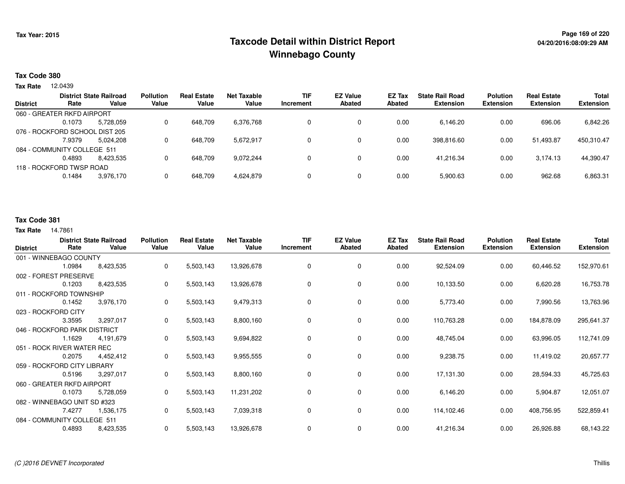# **Page 169 of 220 Taxcode Detail within District ReportWinnebago County**

### **Tax Code 380**

**Tax Rate** 12.0439

|                 |                                | <b>District State Railroad</b> | <b>Pollution</b> | <b>Real Estate</b> | Net Taxable | <b>TIF</b> | <b>EZ Value</b> | EZ Tax | <b>State Rail Road</b> | <b>Polution</b>  | <b>Real Estate</b> | <b>Total</b>     |
|-----------------|--------------------------------|--------------------------------|------------------|--------------------|-------------|------------|-----------------|--------|------------------------|------------------|--------------------|------------------|
| <b>District</b> | Rate                           | Value                          | Value            | Value              | Value       | Increment  | <b>Abated</b>   | Abated | <b>Extension</b>       | <b>Extension</b> | <b>Extension</b>   | <b>Extension</b> |
|                 | 060 - GREATER RKFD AIRPORT     |                                |                  |                    |             |            |                 |        |                        |                  |                    |                  |
|                 | 0.1073                         | 5,728,059                      |                  | 648.709            | 6,376,768   |            |                 | 0.00   | 6,146.20               | 0.00             | 696.06             | 6,842.26         |
|                 | 076 - ROCKFORD SCHOOL DIST 205 |                                |                  |                    |             |            |                 |        |                        |                  |                    |                  |
|                 | 7.9379                         | 5,024,208                      |                  | 648.709            | 5,672,917   | 0          | $\Omega$        | 0.00   | 398.816.60             | 0.00             | 51.493.87          | 450,310.47       |
|                 | 084 - COMMUNITY COLLEGE 511    |                                |                  |                    |             |            |                 |        |                        |                  |                    |                  |
|                 | 0.4893                         | 8.423.535                      |                  | 648.709            | 9,072,244   |            |                 | 0.00   | 41.216.34              | 0.00             | 3.174.13           | 44,390.47        |
|                 | 118 - ROCKFORD TWSP ROAD       |                                |                  |                    |             |            |                 |        |                        |                  |                    |                  |
|                 | 0.1484                         | 3,976,170                      |                  | 648,709            | 4,624,879   | 0          |                 | 0.00   | 5,900.63               | 0.00             | 962.68             | 6,863.31         |
|                 |                                |                                |                  |                    |             |            |                 |        |                        |                  |                    |                  |

# **Tax Code 381**

#### **Tax Rate** 14.7861

| <b>District</b> | Rate                         | <b>District State Railroad</b><br>Value | <b>Pollution</b><br>Value | <b>Real Estate</b><br>Value | <b>Net Taxable</b><br>Value | <b>TIF</b><br>Increment | <b>EZ Value</b><br><b>Abated</b> | EZ Tax<br><b>Abated</b> | <b>State Rail Road</b><br><b>Extension</b> | <b>Polution</b><br><b>Extension</b> | <b>Real Estate</b><br><b>Extension</b> | <b>Total</b><br><b>Extension</b> |
|-----------------|------------------------------|-----------------------------------------|---------------------------|-----------------------------|-----------------------------|-------------------------|----------------------------------|-------------------------|--------------------------------------------|-------------------------------------|----------------------------------------|----------------------------------|
|                 | 001 - WINNEBAGO COUNTY       |                                         |                           |                             |                             |                         |                                  |                         |                                            |                                     |                                        |                                  |
|                 | 1.0984                       | 8,423,535                               | 0                         | 5,503,143                   | 13,926,678                  | 0                       | $\mathbf 0$                      | 0.00                    | 92,524.09                                  | 0.00                                | 60,446.52                              | 152,970.61                       |
|                 | 002 - FOREST PRESERVE        |                                         |                           |                             |                             |                         |                                  |                         |                                            |                                     |                                        |                                  |
|                 | 0.1203                       | 8,423,535                               | 0                         | 5,503,143                   | 13,926,678                  | 0                       | 0                                | 0.00                    | 10,133.50                                  | 0.00                                | 6,620.28                               | 16,753.78                        |
|                 | 011 - ROCKFORD TOWNSHIP      |                                         |                           |                             |                             |                         |                                  |                         |                                            |                                     |                                        |                                  |
|                 | 0.1452                       | 3,976,170                               | 0                         | 5,503,143                   | 9,479,313                   | 0                       | $\mathbf 0$                      | 0.00                    | 5,773.40                                   | 0.00                                | 7,990.56                               | 13,763.96                        |
|                 | 023 - ROCKFORD CITY          |                                         |                           |                             |                             |                         |                                  |                         |                                            |                                     |                                        |                                  |
|                 | 3.3595                       | 3,297,017                               | 0                         | 5,503,143                   | 8,800,160                   | 0                       | 0                                | 0.00                    | 110,763.28                                 | 0.00                                | 184,878.09                             | 295,641.37                       |
|                 | 046 - ROCKFORD PARK DISTRICT |                                         |                           |                             |                             |                         |                                  |                         |                                            |                                     |                                        |                                  |
|                 | 1.1629                       | 4,191,679                               | 0                         | 5,503,143                   | 9,694,822                   | 0                       | 0                                | 0.00                    | 48,745.04                                  | 0.00                                | 63,996.05                              | 112,741.09                       |
|                 | 051 - ROCK RIVER WATER REC   |                                         |                           |                             |                             |                         |                                  |                         |                                            |                                     |                                        |                                  |
|                 | 0.2075                       | 4,452,412                               | 0                         | 5,503,143                   | 9,955,555                   | 0                       | 0                                | 0.00                    | 9,238.75                                   | 0.00                                | 11,419.02                              | 20,657.77                        |
|                 | 059 - ROCKFORD CITY LIBRARY  |                                         |                           |                             |                             |                         |                                  |                         |                                            |                                     |                                        |                                  |
|                 | 0.5196                       | 3,297,017                               | 0                         | 5,503,143                   | 8,800,160                   | 0                       | 0                                | 0.00                    | 17,131.30                                  | 0.00                                | 28,594.33                              | 45,725.63                        |
|                 | 060 - GREATER RKFD AIRPORT   |                                         |                           |                             |                             |                         |                                  |                         |                                            |                                     |                                        |                                  |
|                 | 0.1073                       | 5,728,059                               | 0                         | 5,503,143                   | 11,231,202                  | 0                       | 0                                | 0.00                    | 6,146.20                                   | 0.00                                | 5,904.87                               | 12,051.07                        |
|                 | 082 - WINNEBAGO UNIT SD #323 |                                         |                           |                             |                             |                         |                                  |                         |                                            |                                     |                                        |                                  |
|                 | 7.4277                       | 1,536,175                               | 0                         | 5,503,143                   | 7,039,318                   | 0                       | 0                                | 0.00                    | 114,102.46                                 | 0.00                                | 408,756.95                             | 522,859.41                       |
|                 | 084 - COMMUNITY COLLEGE 511  |                                         |                           |                             |                             |                         |                                  |                         |                                            |                                     |                                        |                                  |
|                 | 0.4893                       | 8,423,535                               | 0                         | 5,503,143                   | 13,926,678                  | 0                       | 0                                | 0.00                    | 41,216.34                                  | 0.00                                | 26,926.88                              | 68,143.22                        |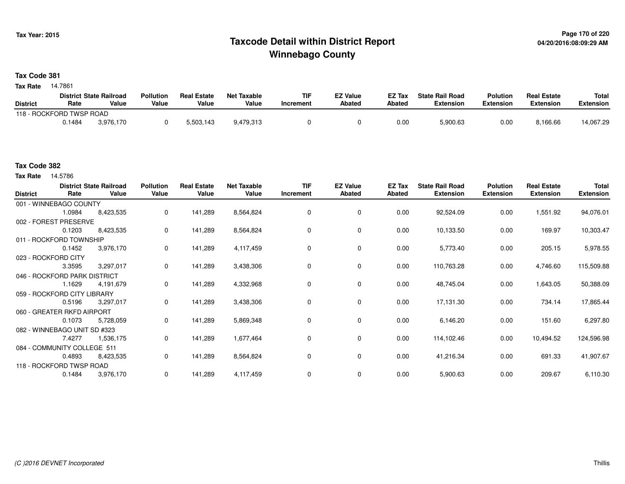# **Page 170 of 220 Taxcode Detail within District ReportWinnebago County**

# **Tax Code 381**

**Tax Rate** 14.7861

|                          |        | <b>District State Railroad</b> | <b>Pollution</b> | <b>Real Estate</b> | Net Taxable | TIF       | <b>EZ Value</b> | <b>EZ Tax</b> | <b>State Rail Road</b> | <b>Polution</b>  | <b>Real Estate</b> | <b>Total</b> |
|--------------------------|--------|--------------------------------|------------------|--------------------|-------------|-----------|-----------------|---------------|------------------------|------------------|--------------------|--------------|
| <b>District</b>          | Rate   | Value                          | Value            | Value              | Value       | Increment | <b>Abated</b>   | Abated        | <b>Extension</b>       | <b>Extension</b> | <b>Extension</b>   | Extension    |
| 118 - ROCKFORD TWSP ROAD |        |                                |                  |                    |             |           |                 |               |                        |                  |                    |              |
|                          | 0.1484 | 3.976.170                      |                  | 5.503.143          | 9,479,313   |           |                 | 0.00          | 5,900.63               | 0.00             | 8,166.66           | 14,067.29    |

# **Tax Code 382**

**Tax Rate** 14.5786

| <b>District</b> | Rate                         | <b>District State Railroad</b><br>Value | <b>Pollution</b><br>Value | <b>Real Estate</b><br>Value | <b>Net Taxable</b><br>Value | <b>TIF</b><br>Increment | <b>EZ Value</b><br><b>Abated</b> | EZ Tax<br>Abated | <b>State Rail Road</b><br><b>Extension</b> | <b>Polution</b><br><b>Extension</b> | <b>Real Estate</b><br><b>Extension</b> | Total<br><b>Extension</b> |
|-----------------|------------------------------|-----------------------------------------|---------------------------|-----------------------------|-----------------------------|-------------------------|----------------------------------|------------------|--------------------------------------------|-------------------------------------|----------------------------------------|---------------------------|
|                 | 001 - WINNEBAGO COUNTY       |                                         |                           |                             |                             |                         |                                  |                  |                                            |                                     |                                        |                           |
|                 | 1.0984                       | 8,423,535                               | 0                         | 141,289                     | 8,564,824                   | 0                       | 0                                | 0.00             | 92,524.09                                  | 0.00                                | 1,551.92                               | 94,076.01                 |
|                 | 002 - FOREST PRESERVE        |                                         |                           |                             |                             |                         |                                  |                  |                                            |                                     |                                        |                           |
|                 | 0.1203                       | 8,423,535                               | 0                         | 141,289                     | 8,564,824                   | 0                       | 0                                | 0.00             | 10,133.50                                  | 0.00                                | 169.97                                 | 10,303.47                 |
|                 | 011 - ROCKFORD TOWNSHIP      |                                         |                           |                             |                             |                         |                                  |                  |                                            |                                     |                                        |                           |
|                 | 0.1452                       | 3,976,170                               | 0                         | 141,289                     | 4,117,459                   | 0                       | $\mathbf 0$                      | 0.00             | 5,773.40                                   | 0.00                                | 205.15                                 | 5,978.55                  |
|                 | 023 - ROCKFORD CITY          |                                         |                           |                             |                             |                         |                                  |                  |                                            |                                     |                                        |                           |
|                 | 3.3595                       | 3,297,017                               | 0                         | 141,289                     | 3,438,306                   | 0                       | 0                                | 0.00             | 110,763.28                                 | 0.00                                | 4,746.60                               | 115,509.88                |
|                 | 046 - ROCKFORD PARK DISTRICT |                                         |                           |                             |                             |                         |                                  |                  |                                            |                                     |                                        |                           |
|                 | 1.1629                       | 4,191,679                               | 0                         | 141,289                     | 4,332,968                   | 0                       | 0                                | 0.00             | 48,745.04                                  | 0.00                                | 1,643.05                               | 50,388.09                 |
|                 | 059 - ROCKFORD CITY LIBRARY  |                                         |                           |                             |                             |                         |                                  |                  |                                            |                                     |                                        |                           |
|                 | 0.5196                       | 3,297,017                               | 0                         | 141,289                     | 3,438,306                   | 0                       | 0                                | 0.00             | 17,131.30                                  | 0.00                                | 734.14                                 | 17,865.44                 |
|                 | 060 - GREATER RKFD AIRPORT   |                                         |                           |                             |                             |                         |                                  |                  |                                            |                                     |                                        |                           |
|                 | 0.1073                       | 5,728,059                               | 0                         | 141,289                     | 5,869,348                   | 0                       | 0                                | 0.00             | 6,146.20                                   | 0.00                                | 151.60                                 | 6,297.80                  |
|                 | 082 - WINNEBAGO UNIT SD #323 |                                         |                           |                             |                             |                         |                                  |                  |                                            |                                     |                                        |                           |
|                 | 7.4277                       | 1,536,175                               | 0                         | 141,289                     | 1,677,464                   | 0                       | 0                                | 0.00             | 114,102.46                                 | 0.00                                | 10,494.52                              | 124,596.98                |
|                 | 084 - COMMUNITY COLLEGE 511  |                                         |                           |                             |                             |                         |                                  |                  |                                            |                                     |                                        |                           |
|                 | 0.4893                       | 8,423,535                               | 0                         | 141,289                     | 8,564,824                   | 0                       | 0                                | 0.00             | 41,216.34                                  | 0.00                                | 691.33                                 | 41,907.67                 |
|                 | 118 - ROCKFORD TWSP ROAD     |                                         |                           |                             |                             |                         |                                  |                  |                                            |                                     |                                        |                           |
|                 | 0.1484                       | 3,976,170                               | 0                         | 141,289                     | 4,117,459                   | 0                       | 0                                | 0.00             | 5,900.63                                   | 0.00                                | 209.67                                 | 6,110.30                  |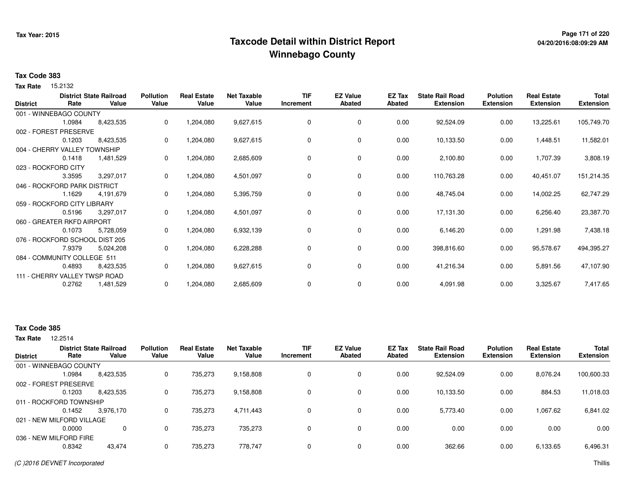# **Page 171 of 220 Taxcode Detail within District ReportWinnebago County**

## **Tax Code 383**

Tax Rate 15.2132

| <b>District</b> | Rate                           | <b>District State Railroad</b><br>Value | <b>Pollution</b><br>Value | <b>Real Estate</b><br>Value | <b>Net Taxable</b><br>Value | <b>TIF</b><br>Increment | <b>EZ Value</b><br><b>Abated</b> | EZ Tax<br>Abated | <b>State Rail Road</b><br><b>Extension</b> | <b>Polution</b><br><b>Extension</b> | <b>Real Estate</b><br><b>Extension</b> | Total<br><b>Extension</b> |
|-----------------|--------------------------------|-----------------------------------------|---------------------------|-----------------------------|-----------------------------|-------------------------|----------------------------------|------------------|--------------------------------------------|-------------------------------------|----------------------------------------|---------------------------|
|                 | 001 - WINNEBAGO COUNTY         |                                         |                           |                             |                             |                         |                                  |                  |                                            |                                     |                                        |                           |
|                 | 1.0984                         | 8,423,535                               | 0                         | 1,204,080                   | 9,627,615                   | $\Omega$                | $\mathbf 0$                      | 0.00             | 92,524.09                                  | 0.00                                | 13,225.61                              | 105,749.70                |
|                 | 002 - FOREST PRESERVE          |                                         |                           |                             |                             |                         |                                  |                  |                                            |                                     |                                        |                           |
|                 | 0.1203                         | 8,423,535                               | 0                         | 1,204,080                   | 9,627,615                   | 0                       | 0                                | 0.00             | 10,133.50                                  | 0.00                                | 1,448.51                               | 11,582.01                 |
|                 | 004 - CHERRY VALLEY TOWNSHIP   |                                         |                           |                             |                             |                         |                                  |                  |                                            |                                     |                                        |                           |
|                 | 0.1418                         | 1,481,529                               | 0                         | 1,204,080                   | 2,685,609                   | 0                       | 0                                | 0.00             | 2,100.80                                   | 0.00                                | 1,707.39                               | 3,808.19                  |
|                 | 023 - ROCKFORD CITY            |                                         |                           |                             |                             |                         |                                  |                  |                                            |                                     |                                        |                           |
|                 | 3.3595                         | 3,297,017                               | 0                         | 1,204,080                   | 4,501,097                   | 0                       | 0                                | 0.00             | 110,763.28                                 | 0.00                                | 40,451.07                              | 151,214.35                |
|                 | 046 - ROCKFORD PARK DISTRICT   |                                         |                           |                             |                             |                         |                                  |                  |                                            |                                     |                                        |                           |
|                 | 1.1629                         | 4,191,679                               | 0                         | 1,204,080                   | 5,395,759                   | 0                       | 0                                | 0.00             | 48,745.04                                  | 0.00                                | 14,002.25                              | 62,747.29                 |
|                 | 059 - ROCKFORD CITY LIBRARY    |                                         |                           |                             |                             |                         |                                  |                  |                                            |                                     |                                        |                           |
|                 | 0.5196                         | 3,297,017                               | 0                         | 1,204,080                   | 4,501,097                   | 0                       | 0                                | 0.00             | 17,131.30                                  | 0.00                                | 6,256.40                               | 23,387.70                 |
|                 | 060 - GREATER RKFD AIRPORT     |                                         |                           |                             |                             |                         |                                  |                  |                                            |                                     |                                        |                           |
|                 | 0.1073                         | 5,728,059                               | 0                         | 1,204,080                   | 6,932,139                   | 0                       | 0                                | 0.00             | 6,146.20                                   | 0.00                                | 1,291.98                               | 7,438.18                  |
|                 | 076 - ROCKFORD SCHOOL DIST 205 |                                         |                           |                             |                             |                         |                                  |                  |                                            |                                     |                                        |                           |
|                 | 7.9379                         | 5,024,208                               | $\Omega$                  | 1,204,080                   | 6,228,288                   | 0                       | 0                                | 0.00             | 398,816.60                                 | 0.00                                | 95,578.67                              | 494,395.27                |
|                 | 084 - COMMUNITY COLLEGE 511    |                                         |                           |                             |                             |                         |                                  |                  |                                            |                                     |                                        |                           |
|                 | 0.4893                         | 8,423,535                               | 0                         | 1,204,080                   | 9,627,615                   | 0                       | 0                                | 0.00             | 41,216.34                                  | 0.00                                | 5,891.56                               | 47,107.90                 |
|                 | 111 - CHERRY VALLEY TWSP ROAD  |                                         |                           |                             |                             |                         |                                  |                  |                                            |                                     |                                        |                           |
|                 | 0.2762                         | 1,481,529                               | 0                         | 1,204,080                   | 2,685,609                   | 0                       | 0                                | 0.00             | 4,091.98                                   | 0.00                                | 3,325.67                               | 7,417.65                  |

# **Tax Code 385**

12.2514 **Tax Rate**

| <b>District</b>           | Rate   | <b>District State Railroad</b><br>Value | <b>Pollution</b><br>Value | <b>Real Estate</b><br>Value | <b>Net Taxable</b><br>Value | <b>TIF</b><br>Increment | <b>EZ Value</b><br><b>Abated</b> | <b>EZ Tax</b><br>Abated | <b>State Rail Road</b><br><b>Extension</b> | <b>Polution</b><br><b>Extension</b> | <b>Real Estate</b><br><b>Extension</b> | <b>Total</b><br><b>Extension</b> |
|---------------------------|--------|-----------------------------------------|---------------------------|-----------------------------|-----------------------------|-------------------------|----------------------------------|-------------------------|--------------------------------------------|-------------------------------------|----------------------------------------|----------------------------------|
| 001 - WINNEBAGO COUNTY    |        |                                         |                           |                             |                             |                         |                                  |                         |                                            |                                     |                                        |                                  |
|                           | .0984  | 8,423,535                               |                           | 735.273                     | 9,158,808                   | 0                       | 0                                | 0.00                    | 92,524.09                                  | 0.00                                | 8,076.24                               | 100,600.33                       |
| 002 - FOREST PRESERVE     |        |                                         |                           |                             |                             |                         |                                  |                         |                                            |                                     |                                        |                                  |
|                           | 0.1203 | 8,423,535                               |                           | 735.273                     | 9,158,808                   | 0                       | 0                                | 0.00                    | 10,133.50                                  | 0.00                                | 884.53                                 | 11,018.03                        |
| 011 - ROCKFORD TOWNSHIP   |        |                                         |                           |                             |                             |                         |                                  |                         |                                            |                                     |                                        |                                  |
|                           | 0.1452 | 3,976,170                               | 0                         | 735.273                     | 4,711,443                   | 0                       | 0                                | 0.00                    | 5,773.40                                   | 0.00                                | 1,067.62                               | 6,841.02                         |
| 021 - NEW MILFORD VILLAGE |        |                                         |                           |                             |                             |                         |                                  |                         |                                            |                                     |                                        |                                  |
|                           | 0.0000 | $\Omega$                                | 0                         | 735.273                     | 735.273                     | 0                       | $\Omega$                         | 0.00                    | 0.00                                       | 0.00                                | 0.00                                   | 0.00                             |
| 036 - NEW MILFORD FIRE    |        |                                         |                           |                             |                             |                         |                                  |                         |                                            |                                     |                                        |                                  |
|                           | 0.8342 | 43,474                                  | 0                         | 735.273                     | 778,747                     | 0                       | $\Omega$                         | 0.00                    | 362.66                                     | 0.00                                | 6,133.65                               | 6,496.31                         |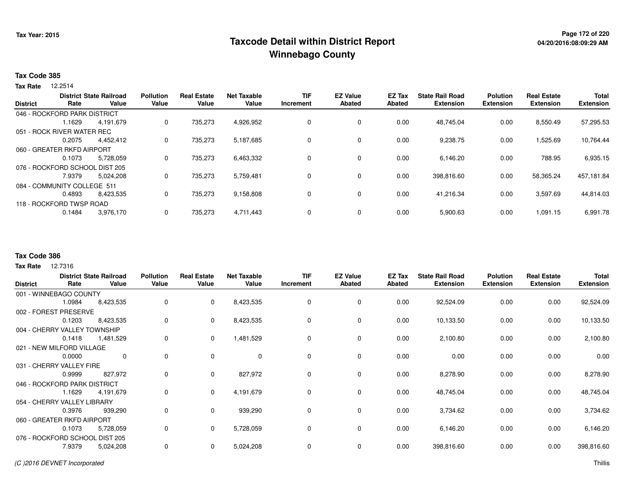# **Page 172 of 220 Taxcode Detail within District ReportWinnebago County**

## **Tax Code 385**

12.2514 **Tax Rate**

| <b>District</b> | Rate                           | <b>District State Railroad</b><br>Value | <b>Pollution</b><br>Value | <b>Real Estate</b><br>Value | <b>Net Taxable</b><br>Value | <b>TIF</b><br>Increment | <b>EZ Value</b><br>Abated | <b>EZ Tax</b><br><b>Abated</b> | <b>State Rail Road</b><br><b>Extension</b> | <b>Polution</b><br><b>Extension</b> | <b>Real Estate</b><br><b>Extension</b> | <b>Total</b><br><b>Extension</b> |
|-----------------|--------------------------------|-----------------------------------------|---------------------------|-----------------------------|-----------------------------|-------------------------|---------------------------|--------------------------------|--------------------------------------------|-------------------------------------|----------------------------------------|----------------------------------|
|                 | 046 - ROCKFORD PARK DISTRICT   |                                         |                           |                             |                             |                         |                           |                                |                                            |                                     |                                        |                                  |
|                 | l.1629                         | 4.191.679                               | 0                         | 735,273                     | 4,926,952                   | 0                       | 0                         | 0.00                           | 48.745.04                                  | 0.00                                | 8,550.49                               | 57,295.53                        |
|                 | 051 - ROCK RIVER WATER REC     |                                         |                           |                             |                             |                         |                           |                                |                                            |                                     |                                        |                                  |
|                 | 0.2075                         | 4.452.412                               | 0                         | 735.273                     | 5,187,685                   | 0                       | 0                         | 0.00                           | 9,238.75                                   | 0.00                                | ,525.69                                | 10,764.44                        |
|                 | 060 - GREATER RKFD AIRPORT     |                                         |                           |                             |                             |                         |                           |                                |                                            |                                     |                                        |                                  |
|                 | 0.1073                         | 5,728,059                               | 0                         | 735,273                     | 6,463,332                   | 0                       | 0                         | 0.00                           | 6,146.20                                   | 0.00                                | 788.95                                 | 6,935.15                         |
|                 | 076 - ROCKFORD SCHOOL DIST 205 |                                         |                           |                             |                             |                         |                           |                                |                                            |                                     |                                        |                                  |
|                 | 7.9379                         | 5.024.208                               | 0                         | 735,273                     | 5,759,481                   | 0                       | 0                         | 0.00                           | 398,816.60                                 | 0.00                                | 58,365.24                              | 457,181.84                       |
|                 | 084 - COMMUNITY COLLEGE 511    |                                         |                           |                             |                             |                         |                           |                                |                                            |                                     |                                        |                                  |
|                 | 0.4893                         | 8,423,535                               | 0                         | 735,273                     | 9,158,808                   | 0                       | 0                         | 0.00                           | 41,216.34                                  | 0.00                                | 3,597.69                               | 44,814.03                        |
|                 | 118 - ROCKFORD TWSP ROAD       |                                         |                           |                             |                             |                         |                           |                                |                                            |                                     |                                        |                                  |
|                 | 0.1484                         | 3,976,170                               | 0                         | 735,273                     | 4,711,443                   | 0                       | 0                         | 0.00                           | 5,900.63                                   | 0.00                                | 1,091.15                               | 6,991.78                         |

### **Tax Code 386**

**Tax Rate** 12.7316

| <b>District</b>                | Rate   | <b>District State Railroad</b><br>Value | <b>Pollution</b><br>Value | <b>Real Estate</b><br>Value | <b>Net Taxable</b><br>Value | TIF<br>Increment | <b>EZ Value</b><br><b>Abated</b> | EZ Tax<br>Abated | <b>State Rail Road</b><br><b>Extension</b> | <b>Polution</b><br><b>Extension</b> | <b>Real Estate</b><br><b>Extension</b> | <b>Total</b><br><b>Extension</b> |
|--------------------------------|--------|-----------------------------------------|---------------------------|-----------------------------|-----------------------------|------------------|----------------------------------|------------------|--------------------------------------------|-------------------------------------|----------------------------------------|----------------------------------|
| 001 - WINNEBAGO COUNTY         |        |                                         |                           |                             |                             |                  |                                  |                  |                                            |                                     |                                        |                                  |
|                                | 1.0984 | 8,423,535                               | 0                         | $\mathbf 0$                 | 8,423,535                   | 0                | 0                                | 0.00             | 92,524.09                                  | 0.00                                | 0.00                                   | 92,524.09                        |
| 002 - FOREST PRESERVE          |        |                                         |                           |                             |                             |                  |                                  |                  |                                            |                                     |                                        |                                  |
|                                | 0.1203 | 8,423,535                               | 0                         | $\mathbf{0}$                | 8,423,535                   | 0                | 0                                | 0.00             | 10,133.50                                  | 0.00                                | 0.00                                   | 10,133.50                        |
| 004 - CHERRY VALLEY TOWNSHIP   |        |                                         |                           |                             |                             |                  |                                  |                  |                                            |                                     |                                        |                                  |
|                                | 0.1418 | 1,481,529                               | 0                         | $\mathbf{0}$                | 1,481,529                   | 0                | 0                                | 0.00             | 2,100.80                                   | 0.00                                | 0.00                                   | 2,100.80                         |
| 021 - NEW MILFORD VILLAGE      |        |                                         |                           |                             |                             |                  |                                  |                  |                                            |                                     |                                        |                                  |
|                                | 0.0000 | $\mathbf 0$                             | 0                         | $\Omega$                    | $\mathbf 0$                 | $\Omega$         | $\mathbf 0$                      | 0.00             | 0.00                                       | 0.00                                | 0.00                                   | 0.00                             |
| 031 - CHERRY VALLEY FIRE       |        |                                         |                           |                             |                             |                  |                                  |                  |                                            |                                     |                                        |                                  |
|                                | 0.9999 | 827,972                                 | 0                         | 0                           | 827,972                     | $\Omega$         | 0                                | 0.00             | 8,278.90                                   | 0.00                                | 0.00                                   | 8,278.90                         |
| 046 - ROCKFORD PARK DISTRICT   |        |                                         |                           |                             |                             |                  |                                  |                  |                                            |                                     |                                        |                                  |
|                                | 1.1629 | 4,191,679                               | 0                         | $\mathbf{0}$                | 4,191,679                   | 0                | $\mathbf 0$                      | 0.00             | 48,745.04                                  | 0.00                                | 0.00                                   | 48,745.04                        |
| 054 - CHERRY VALLEY LIBRARY    |        |                                         |                           |                             |                             |                  |                                  |                  |                                            |                                     |                                        |                                  |
|                                | 0.3976 | 939,290                                 | 0                         | $\mathbf{0}$                | 939,290                     | 0                | 0                                | 0.00             | 3,734.62                                   | 0.00                                | 0.00                                   | 3,734.62                         |
| 060 - GREATER RKFD AIRPORT     |        |                                         |                           |                             |                             |                  |                                  |                  |                                            |                                     |                                        |                                  |
|                                | 0.1073 | 5,728,059                               | 0                         | $\mathbf{0}$                | 5,728,059                   | 0                | 0                                | 0.00             | 6,146.20                                   | 0.00                                | 0.00                                   | 6,146.20                         |
| 076 - ROCKFORD SCHOOL DIST 205 |        |                                         |                           |                             |                             |                  |                                  |                  |                                            |                                     |                                        |                                  |
|                                | 7.9379 | 5,024,208                               | 0                         | $\mathbf{0}$                | 5,024,208                   | 0                | 0                                | 0.00             | 398,816.60                                 | 0.00                                | 0.00                                   | 398,816.60                       |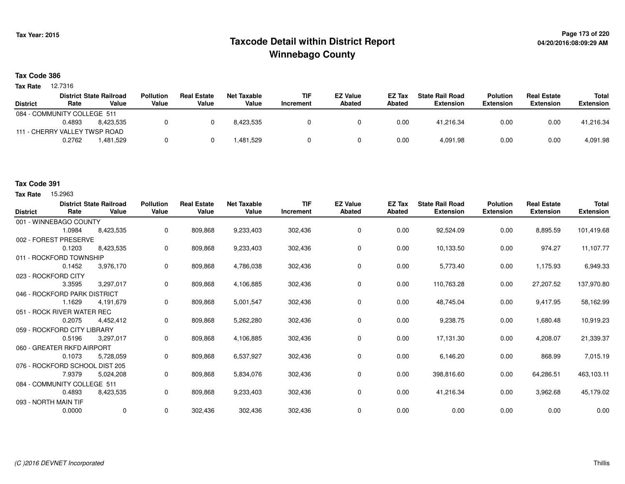# **Page 173 of 220 Taxcode Detail within District ReportWinnebago County**

# **Tax Code 386**

**Tax Rate** 12.7316

|                               |        | <b>District State Railroad</b> | <b>Pollution</b> | <b>Real Estate</b> | Net Taxable | <b>TIF</b> | <b>EZ Value</b> | <b>EZ Tax</b> | <b>State Rail Road</b> | <b>Polution</b>  | <b>Real Estate</b> | Total            |
|-------------------------------|--------|--------------------------------|------------------|--------------------|-------------|------------|-----------------|---------------|------------------------|------------------|--------------------|------------------|
| <b>District</b>               | Rate   | Value                          | Value            | Value              | Value       | Increment  | Abated          | Abated        | Extension              | <b>Extension</b> | <b>Extension</b>   | <b>Extension</b> |
| 084 - COMMUNITY COLLEGE 511   |        |                                |                  |                    |             |            |                 |               |                        |                  |                    |                  |
|                               | 0.4893 | 8.423.535                      |                  |                    | 8.423.535   |            |                 | 0.00          | 41.216.34              | 0.00             | 0.00               | 41,216.34        |
| 111 - CHERRY VALLEY TWSP ROAD |        |                                |                  |                    |             |            |                 |               |                        |                  |                    |                  |
|                               | 0.2762 | .481.529                       |                  |                    | .481,529    |            |                 | 0.00          | 4,091.98               | 0.00             | 0.00               | 4,091.98         |

# **Tax Code 391**

**Tax Rate** 15,2963

| <b>District</b> | Rate                           | <b>District State Railroad</b><br>Value | <b>Pollution</b><br>Value | <b>Real Estate</b><br>Value | <b>Net Taxable</b><br>Value | <b>TIF</b><br>Increment | <b>EZ Value</b><br><b>Abated</b> | EZ Tax<br>Abated | <b>State Rail Road</b><br><b>Extension</b> | <b>Polution</b><br><b>Extension</b> | <b>Real Estate</b><br><b>Extension</b> | <b>Total</b><br><b>Extension</b> |
|-----------------|--------------------------------|-----------------------------------------|---------------------------|-----------------------------|-----------------------------|-------------------------|----------------------------------|------------------|--------------------------------------------|-------------------------------------|----------------------------------------|----------------------------------|
|                 | 001 - WINNEBAGO COUNTY         |                                         |                           |                             |                             |                         |                                  |                  |                                            |                                     |                                        |                                  |
|                 | 1.0984                         | 8,423,535                               | 0                         | 809,868                     | 9,233,403                   | 302,436                 | 0                                | 0.00             | 92,524.09                                  | 0.00                                | 8,895.59                               | 101,419.68                       |
|                 | 002 - FOREST PRESERVE          |                                         |                           |                             |                             |                         |                                  |                  |                                            |                                     |                                        |                                  |
|                 | 0.1203                         | 8,423,535                               | 0                         | 809,868                     | 9,233,403                   | 302,436                 | 0                                | 0.00             | 10,133.50                                  | 0.00                                | 974.27                                 | 11,107.77                        |
|                 | 011 - ROCKFORD TOWNSHIP        |                                         |                           |                             |                             |                         |                                  |                  |                                            |                                     |                                        |                                  |
|                 | 0.1452                         | 3,976,170                               | 0                         | 809,868                     | 4,786,038                   | 302,436                 | $\mathbf 0$                      | 0.00             | 5,773.40                                   | 0.00                                | 1,175.93                               | 6,949.33                         |
|                 | 023 - ROCKFORD CITY            |                                         |                           |                             |                             |                         |                                  |                  |                                            |                                     |                                        |                                  |
|                 | 3.3595                         | 3,297,017                               | 0                         | 809,868                     | 4,106,885                   | 302,436                 | 0                                | 0.00             | 110,763.28                                 | 0.00                                | 27,207.52                              | 137,970.80                       |
|                 | 046 - ROCKFORD PARK DISTRICT   |                                         |                           |                             |                             |                         |                                  |                  |                                            |                                     |                                        |                                  |
|                 | 1.1629                         | 4,191,679                               | 0                         | 809,868                     | 5,001,547                   | 302,436                 | 0                                | 0.00             | 48,745.04                                  | 0.00                                | 9,417.95                               | 58,162.99                        |
|                 | 051 - ROCK RIVER WATER REC     |                                         |                           |                             |                             |                         |                                  |                  |                                            |                                     |                                        |                                  |
|                 | 0.2075                         | 4.452.412                               | 0                         | 809,868                     | 5,262,280                   | 302,436                 | 0                                | 0.00             | 9,238.75                                   | 0.00                                | 1,680.48                               | 10,919.23                        |
|                 | 059 - ROCKFORD CITY LIBRARY    |                                         |                           |                             |                             |                         |                                  |                  |                                            |                                     |                                        |                                  |
|                 | 0.5196                         | 3,297,017                               | 0                         | 809,868                     | 4,106,885                   | 302,436                 | 0                                | 0.00             | 17,131.30                                  | 0.00                                | 4,208.07                               | 21,339.37                        |
|                 | 060 - GREATER RKFD AIRPORT     |                                         |                           |                             |                             |                         |                                  |                  |                                            |                                     |                                        |                                  |
|                 | 0.1073                         | 5,728,059                               | 0                         | 809.868                     | 6,537,927                   | 302,436                 | 0                                | 0.00             | 6,146.20                                   | 0.00                                | 868.99                                 | 7,015.19                         |
|                 | 076 - ROCKFORD SCHOOL DIST 205 |                                         |                           |                             |                             |                         |                                  |                  |                                            |                                     |                                        |                                  |
|                 | 7.9379                         | 5,024,208                               | 0                         | 809,868                     | 5,834,076                   | 302,436                 | 0                                | 0.00             | 398,816.60                                 | 0.00                                | 64,286.51                              | 463,103.11                       |
|                 | 084 - COMMUNITY COLLEGE 511    |                                         |                           |                             |                             |                         |                                  |                  |                                            |                                     |                                        |                                  |
|                 | 0.4893                         | 8,423,535                               | 0                         | 809,868                     | 9,233,403                   | 302,436                 | 0                                | 0.00             | 41,216.34                                  | 0.00                                | 3,962.68                               | 45,179.02                        |
|                 | 093 - NORTH MAIN TIF           |                                         |                           |                             |                             |                         |                                  |                  |                                            |                                     |                                        |                                  |
|                 | 0.0000                         | $\mathbf 0$                             | 0                         | 302,436                     | 302,436                     | 302,436                 | 0                                | 0.00             | 0.00                                       | 0.00                                | 0.00                                   | 0.00                             |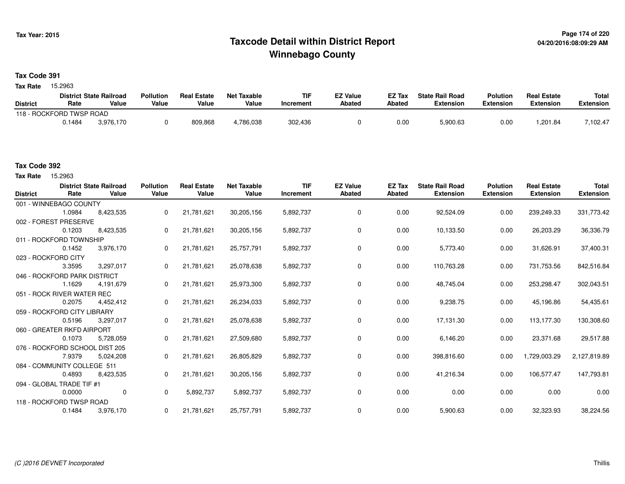# **Page 174 of 220 Taxcode Detail within District ReportWinnebago County**

# **Tax Code 391**

Tax Rate 15.2963

|                          |        | <b>District State Railroad</b> | <b>Pollution</b> | <b>Real Estate</b> | <b>Net Taxable</b> | TIF       | <b>EZ Value</b> | <b>EZ Tax</b> | <b>State Rail Road</b> | <b>Polution</b> | <b>Real Estate</b> | <b>Total</b> |
|--------------------------|--------|--------------------------------|------------------|--------------------|--------------------|-----------|-----------------|---------------|------------------------|-----------------|--------------------|--------------|
| <b>District</b>          | Rate   | Value                          | Value            | Value              | Value              | Increment | Abated          | <b>Abated</b> | Extension              | Extension       | Extension          | Extension    |
| 118 - ROCKFORD TWSP ROAD |        |                                |                  |                    |                    |           |                 |               |                        |                 |                    |              |
|                          | 0.1484 | 3.976.170                      |                  | 809,868            | .786.038           | 302,436   |                 | 0.00          | 5,900.63               | 0.00            | ,201.84            | 7,102.47     |

## **Tax Code 392**

Tax Rate 15.2963

| <b>District</b> | Rate                           | <b>District State Railroad</b><br>Value | <b>Pollution</b><br>Value | <b>Real Estate</b><br>Value | <b>Net Taxable</b><br>Value | <b>TIF</b><br>Increment | <b>EZ Value</b><br><b>Abated</b> | <b>EZ Tax</b><br>Abated | <b>State Rail Road</b><br><b>Extension</b> | <b>Polution</b><br><b>Extension</b> | <b>Real Estate</b><br><b>Extension</b> | <b>Total</b><br><b>Extension</b> |
|-----------------|--------------------------------|-----------------------------------------|---------------------------|-----------------------------|-----------------------------|-------------------------|----------------------------------|-------------------------|--------------------------------------------|-------------------------------------|----------------------------------------|----------------------------------|
|                 | 001 - WINNEBAGO COUNTY         |                                         |                           |                             |                             |                         |                                  |                         |                                            |                                     |                                        |                                  |
|                 | 1.0984                         | 8,423,535                               | $\Omega$                  | 21,781,621                  | 30,205,156                  | 5,892,737               | 0                                | 0.00                    | 92,524.09                                  | 0.00                                | 239,249.33                             | 331,773.42                       |
|                 | 002 - FOREST PRESERVE          |                                         |                           |                             |                             |                         |                                  |                         |                                            |                                     |                                        |                                  |
|                 | 0.1203                         | 8,423,535                               | 0                         | 21,781,621                  | 30,205,156                  | 5,892,737               | 0                                | 0.00                    | 10,133.50                                  | 0.00                                | 26,203.29                              | 36,336.79                        |
|                 | 011 - ROCKFORD TOWNSHIP        |                                         |                           |                             |                             |                         |                                  |                         |                                            |                                     |                                        |                                  |
|                 | 0.1452                         | 3,976,170                               | 0                         | 21,781,621                  | 25,757,791                  | 5,892,737               | 0                                | 0.00                    | 5,773.40                                   | 0.00                                | 31,626.91                              | 37,400.31                        |
|                 | 023 - ROCKFORD CITY            |                                         |                           |                             |                             |                         |                                  |                         |                                            |                                     |                                        |                                  |
|                 | 3.3595                         | 3,297,017                               | $\Omega$                  | 21,781,621                  | 25,078,638                  | 5,892,737               | 0                                | 0.00                    | 110,763.28                                 | 0.00                                | 731,753.56                             | 842,516.84                       |
|                 | 046 - ROCKFORD PARK DISTRICT   |                                         |                           |                             |                             |                         |                                  |                         |                                            |                                     |                                        |                                  |
|                 | 1.1629                         | 4,191,679                               | 0                         | 21,781,621                  | 25,973,300                  | 5,892,737               | 0                                | 0.00                    | 48,745.04                                  | 0.00                                | 253,298.47                             | 302,043.51                       |
|                 | 051 - ROCK RIVER WATER REC     |                                         |                           |                             |                             |                         |                                  |                         |                                            |                                     |                                        |                                  |
|                 | 0.2075                         | 4.452.412                               | 0                         | 21,781,621                  | 26,234,033                  | 5,892,737               | 0                                | 0.00                    | 9,238.75                                   | 0.00                                | 45,196.86                              | 54,435.61                        |
|                 | 059 - ROCKFORD CITY LIBRARY    |                                         |                           |                             |                             |                         |                                  |                         |                                            |                                     |                                        |                                  |
|                 | 0.5196                         | 3,297,017                               | 0                         | 21,781,621                  | 25,078,638                  | 5,892,737               | 0                                | 0.00                    | 17,131.30                                  | 0.00                                | 113,177.30                             | 130,308.60                       |
|                 | 060 - GREATER RKFD AIRPORT     |                                         |                           |                             |                             |                         |                                  |                         |                                            |                                     |                                        |                                  |
|                 | 0.1073                         | 5,728,059                               | 0                         | 21,781,621                  | 27,509,680                  | 5,892,737               | 0                                | 0.00                    | 6,146.20                                   | 0.00                                | 23,371.68                              | 29,517.88                        |
|                 | 076 - ROCKFORD SCHOOL DIST 205 |                                         |                           |                             |                             |                         |                                  |                         |                                            |                                     |                                        |                                  |
|                 | 7.9379                         | 5,024,208                               | 0                         | 21,781,621                  | 26,805,829                  | 5,892,737               | 0                                | 0.00                    | 398,816.60                                 | 0.00                                | 1,729,003.29                           | 2,127,819.89                     |
|                 | 084 - COMMUNITY COLLEGE 511    |                                         |                           |                             |                             |                         |                                  |                         |                                            |                                     |                                        |                                  |
|                 | 0.4893                         | 8,423,535                               | 0                         | 21,781,621                  | 30,205,156                  | 5,892,737               | 0                                | 0.00                    | 41,216.34                                  | 0.00                                | 106,577.47                             | 147,793.81                       |
|                 | 094 - GLOBAL TRADE TIF #1      |                                         |                           |                             |                             |                         |                                  |                         |                                            |                                     |                                        |                                  |
|                 | 0.0000                         | $\mathbf 0$                             | $\Omega$                  | 5,892,737                   | 5,892,737                   | 5,892,737               | 0                                | 0.00                    | 0.00                                       | 0.00                                | 0.00                                   | 0.00                             |
|                 | 118 - ROCKFORD TWSP ROAD       |                                         |                           |                             |                             |                         |                                  |                         |                                            |                                     |                                        |                                  |
|                 | 0.1484                         | 3,976,170                               | 0                         | 21,781,621                  | 25,757,791                  | 5,892,737               | 0                                | 0.00                    | 5,900.63                                   | 0.00                                | 32,323.93                              | 38,224.56                        |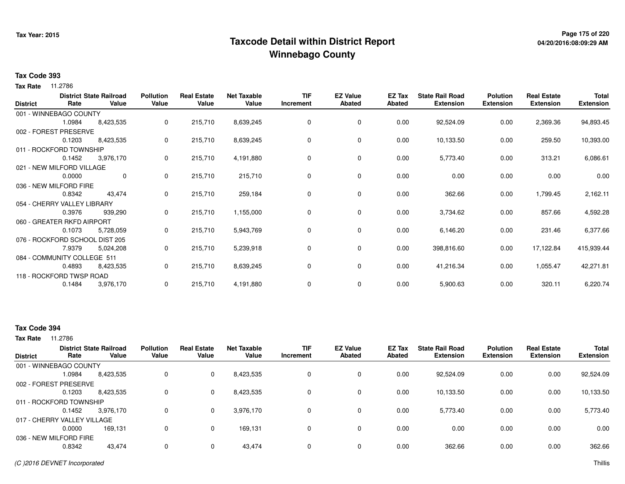# **Page 175 of 220 Taxcode Detail within District ReportWinnebago County**

## **Tax Code 393**

**Tax Rate** 11.2786

| <b>District</b> | Rate                           | <b>District State Railroad</b><br>Value | <b>Pollution</b><br>Value | <b>Real Estate</b><br>Value | <b>Net Taxable</b><br>Value | <b>TIF</b><br>Increment | <b>EZ Value</b><br><b>Abated</b> | EZ Tax<br><b>Abated</b> | <b>State Rail Road</b><br><b>Extension</b> | <b>Polution</b><br><b>Extension</b> | <b>Real Estate</b><br><b>Extension</b> | <b>Total</b><br><b>Extension</b> |
|-----------------|--------------------------------|-----------------------------------------|---------------------------|-----------------------------|-----------------------------|-------------------------|----------------------------------|-------------------------|--------------------------------------------|-------------------------------------|----------------------------------------|----------------------------------|
|                 | 001 - WINNEBAGO COUNTY         |                                         |                           |                             |                             |                         |                                  |                         |                                            |                                     |                                        |                                  |
|                 | 1.0984                         | 8,423,535                               | 0                         | 215,710                     | 8,639,245                   | 0                       | 0                                | 0.00                    | 92,524.09                                  | 0.00                                | 2,369.36                               | 94,893.45                        |
|                 | 002 - FOREST PRESERVE          |                                         |                           |                             |                             |                         |                                  |                         |                                            |                                     |                                        |                                  |
|                 | 0.1203                         | 8,423,535                               | 0                         | 215,710                     | 8,639,245                   | 0                       | 0                                | 0.00                    | 10,133.50                                  | 0.00                                | 259.50                                 | 10,393.00                        |
|                 | 011 - ROCKFORD TOWNSHIP        |                                         |                           |                             |                             |                         |                                  |                         |                                            |                                     |                                        |                                  |
|                 | 0.1452                         | 3,976,170                               | 0                         | 215,710                     | 4,191,880                   | 0                       | 0                                | 0.00                    | 5,773.40                                   | 0.00                                | 313.21                                 | 6,086.61                         |
|                 | 021 - NEW MILFORD VILLAGE      |                                         |                           |                             |                             |                         |                                  |                         |                                            |                                     |                                        |                                  |
|                 | 0.0000                         | 0                                       | $\mathbf{0}$              | 215,710                     | 215,710                     | 0                       | $\mathbf 0$                      | 0.00                    | 0.00                                       | 0.00                                | 0.00                                   | 0.00                             |
|                 | 036 - NEW MILFORD FIRE         |                                         |                           |                             |                             |                         |                                  |                         |                                            |                                     |                                        |                                  |
|                 | 0.8342                         | 43,474                                  | 0                         | 215,710                     | 259,184                     | 0                       | 0                                | 0.00                    | 362.66                                     | 0.00                                | 1,799.45                               | 2,162.11                         |
|                 | 054 - CHERRY VALLEY LIBRARY    |                                         |                           |                             |                             |                         |                                  |                         |                                            |                                     |                                        |                                  |
|                 | 0.3976                         | 939,290                                 | 0                         | 215,710                     | 1,155,000                   | 0                       | $\mathbf 0$                      | 0.00                    | 3,734.62                                   | 0.00                                | 857.66                                 | 4,592.28                         |
|                 | 060 - GREATER RKFD AIRPORT     |                                         |                           |                             |                             |                         |                                  |                         |                                            |                                     |                                        |                                  |
|                 | 0.1073                         | 5,728,059                               | 0                         | 215,710                     | 5,943,769                   | 0                       | 0                                | 0.00                    | 6,146.20                                   | 0.00                                | 231.46                                 | 6,377.66                         |
|                 | 076 - ROCKFORD SCHOOL DIST 205 |                                         |                           |                             |                             |                         |                                  |                         |                                            |                                     |                                        |                                  |
|                 | 7.9379                         | 5,024,208                               | 0                         | 215,710                     | 5,239,918                   | 0                       | $\mathbf 0$                      | 0.00                    | 398,816.60                                 | 0.00                                | 17,122.84                              | 415,939.44                       |
|                 | 084 - COMMUNITY COLLEGE 511    |                                         |                           |                             |                             |                         |                                  |                         |                                            |                                     |                                        |                                  |
|                 | 0.4893                         | 8,423,535                               | 0                         | 215,710                     | 8,639,245                   | 0                       | 0                                | 0.00                    | 41,216.34                                  | 0.00                                | 1,055.47                               | 42,271.81                        |
|                 | 118 - ROCKFORD TWSP ROAD       |                                         |                           |                             |                             |                         |                                  |                         |                                            |                                     |                                        |                                  |
|                 | 0.1484                         | 3,976,170                               | 0                         | 215,710                     | 4,191,880                   | 0                       | 0                                | 0.00                    | 5,900.63                                   | 0.00                                | 320.11                                 | 6,220.74                         |

# **Tax Code 394**

**Tax Rate** 11.2786

| <b>District</b>             | Rate   | <b>District State Railroad</b><br>Value | <b>Pollution</b><br>Value | <b>Real Estate</b><br>Value | <b>Net Taxable</b><br>Value | <b>TIF</b><br>Increment | <b>EZ Value</b><br><b>Abated</b> | <b>EZ Tax</b><br>Abated | <b>State Rail Road</b><br><b>Extension</b> | <b>Polution</b><br><b>Extension</b> | <b>Real Estate</b><br><b>Extension</b> | <b>Total</b><br><b>Extension</b> |
|-----------------------------|--------|-----------------------------------------|---------------------------|-----------------------------|-----------------------------|-------------------------|----------------------------------|-------------------------|--------------------------------------------|-------------------------------------|----------------------------------------|----------------------------------|
| 001 - WINNEBAGO COUNTY      |        |                                         |                           |                             |                             |                         |                                  |                         |                                            |                                     |                                        |                                  |
|                             | 1.0984 | 8,423,535                               |                           | $\mathbf 0$                 | 8,423,535                   | 0                       | 0                                | 0.00                    | 92,524.09                                  | 0.00                                | 0.00                                   | 92,524.09                        |
| 002 - FOREST PRESERVE       |        |                                         |                           |                             |                             |                         |                                  |                         |                                            |                                     |                                        |                                  |
|                             | 0.1203 | 8,423,535                               |                           | $\mathbf{0}$                | 8,423,535                   | 0                       | 0                                | 0.00                    | 10,133.50                                  | 0.00                                | 0.00                                   | 10,133.50                        |
| 011 - ROCKFORD TOWNSHIP     |        |                                         |                           |                             |                             |                         |                                  |                         |                                            |                                     |                                        |                                  |
|                             | 0.1452 | 3,976,170                               |                           | $\mathbf{0}$                | 3,976,170                   | 0                       | 0                                | 0.00                    | 5,773.40                                   | 0.00                                | 0.00                                   | 5,773.40                         |
| 017 - CHERRY VALLEY VILLAGE |        |                                         |                           |                             |                             |                         |                                  |                         |                                            |                                     |                                        |                                  |
|                             | 0.0000 | 169.131                                 |                           | $\mathbf 0$                 | 169.131                     | 0                       | $\Omega$                         | 0.00                    | 0.00                                       | 0.00                                | 0.00                                   | 0.00                             |
| 036 - NEW MILFORD FIRE      |        |                                         |                           |                             |                             |                         |                                  |                         |                                            |                                     |                                        |                                  |
|                             | 0.8342 | 43,474                                  | 0                         | $\mathbf{0}$                | 43,474                      | 0                       | $\Omega$                         | 0.00                    | 362.66                                     | 0.00                                | 0.00                                   | 362.66                           |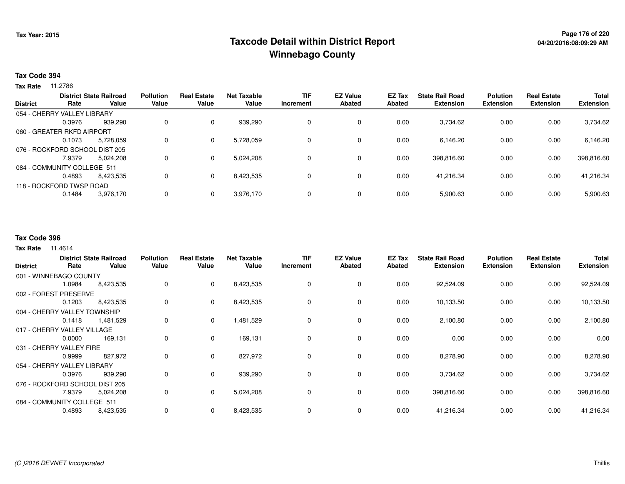# **Page 176 of 220 Taxcode Detail within District ReportWinnebago County**

## **Tax Code 394**

**Tax Rate** 11.2786

|                 |                                | <b>District State Railroad</b> | <b>Pollution</b> | <b>Real Estate</b> | <b>Net Taxable</b> | <b>TIF</b> | <b>EZ Value</b> | <b>EZ Tax</b> | <b>State Rail Road</b> | <b>Polution</b>  | <b>Real Estate</b> | <b>Total</b>     |
|-----------------|--------------------------------|--------------------------------|------------------|--------------------|--------------------|------------|-----------------|---------------|------------------------|------------------|--------------------|------------------|
| <b>District</b> | Rate                           | Value                          | Value            | Value              | Value              | Increment  | Abated          | Abated        | <b>Extension</b>       | <b>Extension</b> | <b>Extension</b>   | <b>Extension</b> |
|                 | 054 - CHERRY VALLEY LIBRARY    |                                |                  |                    |                    |            |                 |               |                        |                  |                    |                  |
|                 | 0.3976                         | 939.290                        | 0                | $\Omega$           | 939,290            | 0          | 0               | 0.00          | 3,734.62               | 0.00             | 0.00               | 3,734.62         |
|                 | 060 - GREATER RKFD AIRPORT     |                                |                  |                    |                    |            |                 |               |                        |                  |                    |                  |
|                 | 0.1073                         | 5,728,059                      | 0                | 0                  | 5,728,059          | 0          | 0               | 0.00          | 6,146.20               | 0.00             | 0.00               | 6,146.20         |
|                 | 076 - ROCKFORD SCHOOL DIST 205 |                                |                  |                    |                    |            |                 |               |                        |                  |                    |                  |
|                 | 7.9379                         | 5.024.208                      | 0                | $\Omega$           | 5,024,208          | 0          | 0               | 0.00          | 398,816.60             | 0.00             | 0.00               | 398,816.60       |
|                 | 084 - COMMUNITY COLLEGE 511    |                                |                  |                    |                    |            |                 |               |                        |                  |                    |                  |
|                 | 0.4893                         | 8.423.535                      | 0                | $\Omega$           | 8,423,535          | 0          | 0               | 0.00          | 41,216.34              | 0.00             | 0.00               | 41,216.34        |
|                 | 118 - ROCKFORD TWSP ROAD       |                                |                  |                    |                    |            |                 |               |                        |                  |                    |                  |
|                 | 0.1484                         | 3,976,170                      | 0                | $\Omega$           | 3,976,170          | 0          | 0               | 0.00          | 5,900.63               | 0.00             | 0.00               | 5,900.63         |
|                 |                                |                                |                  |                    |                    |            |                 |               |                        |                  |                    |                  |

### **Tax Code 396**

**Tax Rate** 11.4614

| <b>District</b>             | Rate                         | <b>District State Railroad</b><br>Value | <b>Pollution</b><br>Value | <b>Real Estate</b><br>Value | <b>Net Taxable</b><br>Value | <b>TIF</b><br>Increment | <b>EZ Value</b><br><b>Abated</b> | EZ Tax<br>Abated | <b>State Rail Road</b><br><b>Extension</b> | <b>Polution</b><br><b>Extension</b> | <b>Real Estate</b><br><b>Extension</b> | Total<br><b>Extension</b> |
|-----------------------------|------------------------------|-----------------------------------------|---------------------------|-----------------------------|-----------------------------|-------------------------|----------------------------------|------------------|--------------------------------------------|-------------------------------------|----------------------------------------|---------------------------|
|                             | 001 - WINNEBAGO COUNTY       |                                         |                           |                             |                             |                         |                                  |                  |                                            |                                     |                                        |                           |
|                             | 1.0984                       | 8,423,535                               | 0                         | $\mathbf 0$                 | 8,423,535                   | 0                       | 0                                | 0.00             | 92,524.09                                  | 0.00                                | 0.00                                   | 92,524.09                 |
|                             | 002 - FOREST PRESERVE        |                                         |                           |                             |                             |                         |                                  |                  |                                            |                                     |                                        |                           |
|                             | 0.1203                       | 8,423,535                               | 0                         | 0                           | 8,423,535                   | 0                       | 0                                | 0.00             | 10,133.50                                  | 0.00                                | 0.00                                   | 10,133.50                 |
|                             | 004 - CHERRY VALLEY TOWNSHIP |                                         |                           |                             |                             |                         |                                  |                  |                                            |                                     |                                        |                           |
|                             | 0.1418                       | 1,481,529                               | 0                         | 0                           | 1,481,529                   | 0                       | $\mathbf 0$                      | 0.00             | 2,100.80                                   | 0.00                                | 0.00                                   | 2,100.80                  |
|                             | 017 - CHERRY VALLEY VILLAGE  |                                         |                           |                             |                             |                         |                                  |                  |                                            |                                     |                                        |                           |
|                             | 0.0000                       | 169,131                                 | 0                         | $\mathbf 0$                 | 169,131                     | 0                       | $\mathbf 0$                      | 0.00             | 0.00                                       | 0.00                                | 0.00                                   | 0.00                      |
|                             | 031 - CHERRY VALLEY FIRE     |                                         |                           |                             |                             |                         |                                  |                  |                                            |                                     |                                        |                           |
|                             | 0.9999                       | 827,972                                 | 0                         | $\mathbf 0$                 | 827,972                     | 0                       | 0                                | 0.00             | 8,278.90                                   | 0.00                                | 0.00                                   | 8,278.90                  |
| 054 - CHERRY VALLEY LIBRARY |                              |                                         |                           |                             |                             |                         |                                  |                  |                                            |                                     |                                        |                           |
|                             | 0.3976                       | 939,290                                 | 0                         | $\mathbf 0$                 | 939,290                     | 0                       | 0                                | 0.00             | 3,734.62                                   | 0.00                                | 0.00                                   | 3,734.62                  |
|                             |                              | 076 - ROCKFORD SCHOOL DIST 205          |                           |                             |                             |                         |                                  |                  |                                            |                                     |                                        |                           |
|                             | 7.9379                       | 5,024,208                               | 0                         | $\mathbf 0$                 | 5,024,208                   | 0                       | 0                                | 0.00             | 398,816.60                                 | 0.00                                | 0.00                                   | 398,816.60                |
|                             | 084 - COMMUNITY COLLEGE 511  |                                         |                           |                             |                             |                         |                                  |                  |                                            |                                     |                                        |                           |
|                             | 0.4893                       | 8,423,535                               | 0                         | 0                           | 8,423,535                   | 0                       | 0                                | 0.00             | 41,216.34                                  | 0.00                                | 0.00                                   | 41,216.34                 |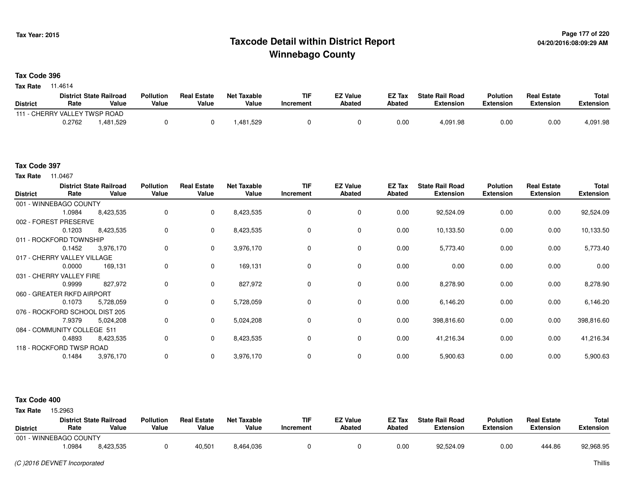# **Page 177 of 220 Taxcode Detail within District ReportWinnebago County**

### **Tax Code 396**

**Tax Rate** 11.4614

|                               |        | <b>District State Railroad</b> | <b>Pollution</b> | <b>Real Estate</b> | <b>Net Taxable</b> | TIF              | <b>EZ Value</b> | <b>EZ Tax</b> | <b>State Rail Road</b> | <b>Polution</b>  | <b>Real Estate</b> | <b>Total</b> |
|-------------------------------|--------|--------------------------------|------------------|--------------------|--------------------|------------------|-----------------|---------------|------------------------|------------------|--------------------|--------------|
| <b>District</b>               | Rate   | Value                          | Value            | Value              | Value              | <b>Increment</b> | <b>Abated</b>   | <b>Abated</b> | <b>Extension</b>       | <b>Extension</b> | <b>Extension</b>   | Extension    |
| 111 - CHERRY VALLEY TWSP ROAD |        |                                |                  |                    |                    |                  |                 |               |                        |                  |                    |              |
|                               | 0.2762 | .481,529                       |                  |                    | .481,529           |                  |                 | 0.00          | 4,091.98               | 0.00             | 0.00               | 4,091.98     |

#### **Tax Code 397**

**Tax Rate** 11.0467

| <b>District</b>                | Rate                   | <b>District State Railroad</b><br>Value | <b>Pollution</b><br>Value | <b>Real Estate</b><br>Value | <b>Net Taxable</b><br>Value | <b>TIF</b><br>Increment | <b>EZ Value</b><br><b>Abated</b> | EZ Tax<br><b>Abated</b> | <b>State Rail Road</b><br><b>Extension</b> | <b>Polution</b><br><b>Extension</b> | <b>Real Estate</b><br><b>Extension</b> | Total<br><b>Extension</b> |
|--------------------------------|------------------------|-----------------------------------------|---------------------------|-----------------------------|-----------------------------|-------------------------|----------------------------------|-------------------------|--------------------------------------------|-------------------------------------|----------------------------------------|---------------------------|
|                                | 001 - WINNEBAGO COUNTY |                                         |                           |                             |                             |                         |                                  |                         |                                            |                                     |                                        |                           |
|                                | 1.0984                 | 8,423,535                               | 0                         | 0                           | 8,423,535                   | 0                       | 0                                | 0.00                    | 92,524.09                                  | 0.00                                | 0.00                                   | 92,524.09                 |
| 002 - FOREST PRESERVE          |                        |                                         |                           |                             |                             |                         |                                  |                         |                                            |                                     |                                        |                           |
|                                | 0.1203                 | 8,423,535                               | 0                         | $\mathbf 0$                 | 8,423,535                   | 0                       | 0                                | 0.00                    | 10,133.50                                  | 0.00                                | 0.00                                   | 10,133.50                 |
| 011 - ROCKFORD TOWNSHIP        |                        |                                         |                           |                             |                             |                         |                                  |                         |                                            |                                     |                                        |                           |
|                                | 0.1452                 | 3,976,170                               | 0                         | $\mathbf 0$                 | 3,976,170                   | 0                       | 0                                | 0.00                    | 5,773.40                                   | 0.00                                | 0.00                                   | 5,773.40                  |
| 017 - CHERRY VALLEY VILLAGE    |                        |                                         |                           |                             |                             |                         |                                  |                         |                                            |                                     |                                        |                           |
|                                | 0.0000                 | 169,131                                 | 0                         | $\mathbf 0$                 | 169,131                     | 0                       | 0                                | 0.00                    | 0.00                                       | 0.00                                | 0.00                                   | 0.00                      |
| 031 - CHERRY VALLEY FIRE       |                        |                                         |                           |                             |                             |                         |                                  |                         |                                            |                                     |                                        |                           |
|                                | 0.9999                 | 827,972                                 | 0                         | 0                           | 827,972                     | 0                       | 0                                | 0.00                    | 8,278.90                                   | 0.00                                | 0.00                                   | 8,278.90                  |
| 060 - GREATER RKFD AIRPORT     |                        |                                         |                           |                             |                             |                         |                                  |                         |                                            |                                     |                                        |                           |
|                                | 0.1073                 | 5,728,059                               | 0                         | $\mathbf 0$                 | 5,728,059                   | 0                       | 0                                | 0.00                    | 6,146.20                                   | 0.00                                | 0.00                                   | 6,146.20                  |
| 076 - ROCKFORD SCHOOL DIST 205 |                        |                                         |                           |                             |                             |                         |                                  |                         |                                            |                                     |                                        |                           |
|                                | 7.9379                 | 5,024,208                               | 0                         | $\mathbf{0}$                | 5,024,208                   | 0                       | $\mathbf 0$                      | 0.00                    | 398,816.60                                 | 0.00                                | 0.00                                   | 398,816.60                |
| 084 - COMMUNITY COLLEGE 511    |                        |                                         |                           |                             |                             |                         |                                  |                         |                                            |                                     |                                        |                           |
|                                | 0.4893                 | 8,423,535                               | 0                         | $\mathbf 0$                 | 8,423,535                   | 0                       | 0                                | 0.00                    | 41,216.34                                  | 0.00                                | 0.00                                   | 41,216.34                 |
| 118 - ROCKFORD TWSP ROAD       |                        |                                         |                           |                             |                             |                         |                                  |                         |                                            |                                     |                                        |                           |
|                                | 0.1484                 | 3,976,170                               | 0                         | 0                           | 3,976,170                   | 0                       | 0                                | 0.00                    | 5,900.63                                   | 0.00                                | 0.00                                   | 5,900.63                  |

#### **Tax Code 400**

**State Railroad District ValueTIF IncrementEZ Value AbatedReal Estate ExtensionTotal ExtensionTax Rate** 15,2963 **DistrictPollution ValueReal Estate ValueNet Taxable Value Rate** 001 - WINNEBAGO COUNTY**Polution ExtensionState Rail Road ExtensionEZ Tax Abated**444.86 92,968.958,423,535 1.09848,423,535 <sup>0</sup> 40,501 8,464,036 <sup>0</sup> <sup>0</sup> 0.00 92,524.09 0.00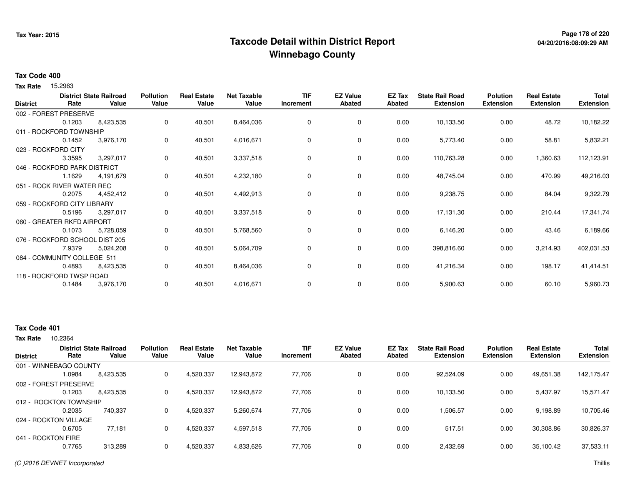# **Page 178 of 220 Taxcode Detail within District ReportWinnebago County**

### **Tax Code 400**

Tax Rate 15.2963

| <b>District</b> | Rate                           | <b>District State Railroad</b><br>Value | <b>Pollution</b><br>Value | <b>Real Estate</b><br>Value | <b>Net Taxable</b><br>Value | <b>TIF</b><br>Increment | <b>EZ Value</b><br><b>Abated</b> | EZ Tax<br><b>Abated</b> | <b>State Rail Road</b><br><b>Extension</b> | <b>Polution</b><br><b>Extension</b> | <b>Real Estate</b><br><b>Extension</b> | <b>Total</b><br><b>Extension</b> |
|-----------------|--------------------------------|-----------------------------------------|---------------------------|-----------------------------|-----------------------------|-------------------------|----------------------------------|-------------------------|--------------------------------------------|-------------------------------------|----------------------------------------|----------------------------------|
|                 | 002 - FOREST PRESERVE          |                                         |                           |                             |                             |                         |                                  |                         |                                            |                                     |                                        |                                  |
|                 | 0.1203                         | 8,423,535                               | 0                         | 40,501                      | 8,464,036                   | 0                       | $\mathbf 0$                      | 0.00                    | 10,133.50                                  | 0.00                                | 48.72                                  | 10,182.22                        |
|                 | 011 - ROCKFORD TOWNSHIP        |                                         |                           |                             |                             |                         |                                  |                         |                                            |                                     |                                        |                                  |
|                 | 0.1452                         | 3,976,170                               | 0                         | 40,501                      | 4,016,671                   | 0                       | 0                                | 0.00                    | 5,773.40                                   | 0.00                                | 58.81                                  | 5,832.21                         |
|                 | 023 - ROCKFORD CITY            |                                         |                           |                             |                             |                         |                                  |                         |                                            |                                     |                                        |                                  |
|                 | 3.3595                         | 3,297,017                               | 0                         | 40,501                      | 3,337,518                   | 0                       | 0                                | 0.00                    | 110,763.28                                 | 0.00                                | 1,360.63                               | 112,123.91                       |
|                 | 046 - ROCKFORD PARK DISTRICT   |                                         |                           |                             |                             |                         |                                  |                         |                                            |                                     |                                        |                                  |
|                 | 1.1629                         | 4,191,679                               | 0                         | 40,501                      | 4,232,180                   | 0                       | $\mathbf 0$                      | 0.00                    | 48,745.04                                  | 0.00                                | 470.99                                 | 49,216.03                        |
|                 | 051 - ROCK RIVER WATER REC     |                                         |                           |                             |                             |                         |                                  |                         |                                            |                                     |                                        |                                  |
|                 | 0.2075                         | 4,452,412                               | 0                         | 40,501                      | 4,492,913                   | 0                       | 0                                | 0.00                    | 9,238.75                                   | 0.00                                | 84.04                                  | 9,322.79                         |
|                 | 059 - ROCKFORD CITY LIBRARY    |                                         |                           |                             |                             |                         |                                  |                         |                                            |                                     |                                        |                                  |
|                 | 0.5196                         | 3,297,017                               | 0                         | 40,501                      | 3,337,518                   | 0                       | $\mathbf 0$                      | 0.00                    | 17,131.30                                  | 0.00                                | 210.44                                 | 17,341.74                        |
|                 | 060 - GREATER RKFD AIRPORT     |                                         |                           |                             |                             |                         |                                  |                         |                                            |                                     |                                        |                                  |
|                 | 0.1073                         | 5,728,059                               | 0                         | 40,501                      | 5,768,560                   | 0                       | 0                                | 0.00                    | 6,146.20                                   | 0.00                                | 43.46                                  | 6,189.66                         |
|                 | 076 - ROCKFORD SCHOOL DIST 205 |                                         |                           |                             |                             |                         |                                  |                         |                                            |                                     |                                        |                                  |
|                 | 7.9379                         | 5,024,208                               | 0                         | 40,501                      | 5,064,709                   | 0                       | 0                                | 0.00                    | 398,816.60                                 | 0.00                                | 3,214.93                               | 402,031.53                       |
|                 | 084 - COMMUNITY COLLEGE 511    |                                         |                           |                             |                             |                         |                                  |                         |                                            |                                     |                                        |                                  |
|                 | 0.4893                         | 8,423,535                               | 0                         | 40,501                      | 8,464,036                   | 0                       | $\mathbf 0$                      | 0.00                    | 41,216.34                                  | 0.00                                | 198.17                                 | 41,414.51                        |
|                 | 118 - ROCKFORD TWSP ROAD       |                                         |                           |                             |                             |                         |                                  |                         |                                            |                                     |                                        |                                  |
|                 | 0.1484                         | 3,976,170                               | 0                         | 40,501                      | 4,016,671                   | 0                       | 0                                | 0.00                    | 5,900.63                                   | 0.00                                | 60.10                                  | 5,960.73                         |

# **Tax Code 401**

10.2364 **Tax Rate**

| Rate   | Value              | <b>Pollution</b><br>Value                                                                                                            | <b>Real Estate</b><br>Value | <b>Net Taxable</b><br>Value | TIF<br>Increment | <b>EZ Value</b><br><b>Abated</b> | <b>EZ Tax</b><br>Abated | <b>State Rail Road</b><br><b>Extension</b> | <b>Polution</b><br><b>Extension</b> | <b>Real Estate</b><br><b>Extension</b> | <b>Total</b><br><b>Extension</b> |
|--------|--------------------|--------------------------------------------------------------------------------------------------------------------------------------|-----------------------------|-----------------------------|------------------|----------------------------------|-------------------------|--------------------------------------------|-------------------------------------|----------------------------------------|----------------------------------|
|        |                    |                                                                                                                                      |                             |                             |                  |                                  |                         |                                            |                                     |                                        |                                  |
| 1.0984 | 8,423,535          | 0                                                                                                                                    | 4,520,337                   | 12,943,872                  | 77,706           | 0                                | 0.00                    | 92,524.09                                  | 0.00                                | 49,651.38                              | 142,175.47                       |
|        |                    |                                                                                                                                      |                             |                             |                  |                                  |                         |                                            |                                     |                                        |                                  |
| 0.1203 | 8,423,535          | 0                                                                                                                                    | 4,520,337                   | 12,943,872                  | 77,706           | 0                                | 0.00                    | 10,133.50                                  | 0.00                                | 5,437.97                               | 15,571.47                        |
|        |                    |                                                                                                                                      |                             |                             |                  |                                  |                         |                                            |                                     |                                        |                                  |
| 0.2035 | 740.337            | 0                                                                                                                                    | 4,520,337                   | 5,260,674                   | 77.706           | 0                                | 0.00                    | 1,506.57                                   | 0.00                                | 9,198.89                               | 10,705.46                        |
|        |                    |                                                                                                                                      |                             |                             |                  |                                  |                         |                                            |                                     |                                        |                                  |
| 0.6705 | 77,181             | 0                                                                                                                                    | 4,520,337                   | 4,597,518                   | 77,706           | 0                                | 0.00                    | 517.51                                     | 0.00                                | 30,308.86                              | 30,826.37                        |
|        |                    |                                                                                                                                      |                             |                             |                  |                                  |                         |                                            |                                     |                                        |                                  |
| 0.7765 | 313,289            | 0                                                                                                                                    | 4,520,337                   | 4,833,626                   | 77,706           | 0                                | 0.00                    | 2,432.69                                   | 0.00                                | 35,100.42                              | 37,533.11                        |
|        | 041 - ROCKTON FIRE | <b>District State Railroad</b><br>001 - WINNEBAGO COUNTY<br>002 - FOREST PRESERVE<br>012 - ROCKTON TOWNSHIP<br>024 - ROCKTON VILLAGE |                             |                             |                  |                                  |                         |                                            |                                     |                                        |                                  |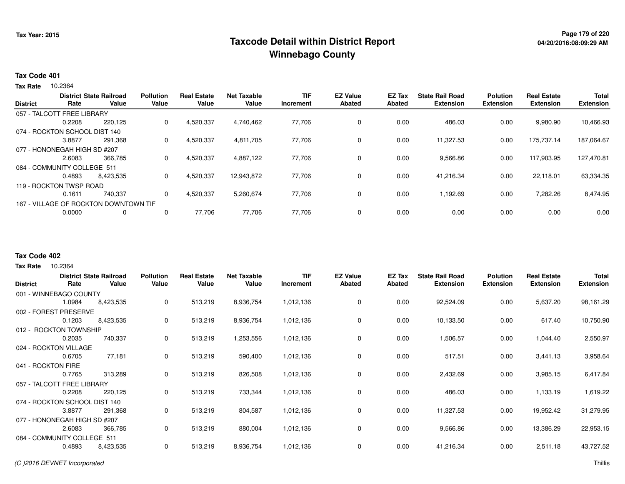# **Page 179 of 220 Taxcode Detail within District ReportWinnebago County**

# **Tax Code 401**

10.2364 **Tax Rate**

| <b>Extension</b><br>10,466.93                                         |
|-----------------------------------------------------------------------|
|                                                                       |
|                                                                       |
|                                                                       |
|                                                                       |
| 187,064.67                                                            |
|                                                                       |
| 127,470.81                                                            |
|                                                                       |
| 63,334.35                                                             |
|                                                                       |
| 8,474.95                                                              |
|                                                                       |
| 0.00                                                                  |
| 9,980.90<br>175.737.14<br>117,903.95<br>22,118.01<br>7,282.26<br>0.00 |

### **Tax Code 402**

10.2364 **Tax Rate**

|                               |        | <b>District State Railroad</b> | <b>Pollution</b> | <b>Real Estate</b> | <b>Net Taxable</b> | <b>TIF</b> | <b>EZ Value</b> | EZ Tax | <b>State Rail Road</b> | <b>Polution</b>  | <b>Real Estate</b> | <b>Total</b>     |
|-------------------------------|--------|--------------------------------|------------------|--------------------|--------------------|------------|-----------------|--------|------------------------|------------------|--------------------|------------------|
| <b>District</b>               | Rate   | Value                          | Value            | Value              | Value              | Increment  | <b>Abated</b>   | Abated | <b>Extension</b>       | <b>Extension</b> | <b>Extension</b>   | <b>Extension</b> |
| 001 - WINNEBAGO COUNTY        |        |                                |                  |                    |                    |            |                 |        |                        |                  |                    |                  |
|                               | 1.0984 | 8,423,535                      | 0                | 513,219            | 8,936,754          | 1,012,136  | 0               | 0.00   | 92,524.09              | 0.00             | 5,637.20           | 98,161.29        |
| 002 - FOREST PRESERVE         |        |                                |                  |                    |                    |            |                 |        |                        |                  |                    |                  |
|                               | 0.1203 | 8,423,535                      | 0                | 513,219            | 8,936,754          | 1,012,136  | 0               | 0.00   | 10,133.50              | 0.00             | 617.40             | 10,750.90        |
| 012 - ROCKTON TOWNSHIP        |        |                                |                  |                    |                    |            |                 |        |                        |                  |                    |                  |
|                               | 0.2035 | 740,337                        | 0                | 513,219            | 1,253,556          | 1,012,136  | $\mathbf 0$     | 0.00   | 1,506.57               | 0.00             | 1,044.40           | 2,550.97         |
| 024 - ROCKTON VILLAGE         |        |                                |                  |                    |                    |            |                 |        |                        |                  |                    |                  |
|                               | 0.6705 | 77,181                         | 0                | 513,219            | 590,400            | 1,012,136  | $\mathbf 0$     | 0.00   | 517.51                 | 0.00             | 3,441.13           | 3,958.64         |
| 041 - ROCKTON FIRE            |        |                                |                  |                    |                    |            |                 |        |                        |                  |                    |                  |
|                               | 0.7765 | 313,289                        | 0                | 513,219            | 826,508            | 1,012,136  | 0               | 0.00   | 2,432.69               | 0.00             | 3,985.15           | 6,417.84         |
| 057 - TALCOTT FREE LIBRARY    |        |                                |                  |                    |                    |            |                 |        |                        |                  |                    |                  |
|                               | 0.2208 | 220,125                        | 0                | 513,219            | 733,344            | 1,012,136  | 0               | 0.00   | 486.03                 | 0.00             | 1,133.19           | 1,619.22         |
| 074 - ROCKTON SCHOOL DIST 140 |        |                                |                  |                    |                    |            |                 |        |                        |                  |                    |                  |
|                               | 3.8877 | 291,368                        | 0                | 513,219            | 804,587            | 1,012,136  | 0               | 0.00   | 11,327.53              | 0.00             | 19,952.42          | 31,279.95        |
| 077 - HONONEGAH HIGH SD #207  |        |                                |                  |                    |                    |            |                 |        |                        |                  |                    |                  |
|                               | 2.6083 | 366,785                        | 0                | 513,219            | 880,004            | 1,012,136  | 0               | 0.00   | 9,566.86               | 0.00             | 13,386.29          | 22,953.15        |
| 084 - COMMUNITY COLLEGE 511   |        |                                |                  |                    |                    |            |                 |        |                        |                  |                    |                  |
|                               | 0.4893 | 8,423,535                      | 0                | 513,219            | 8,936,754          | 1,012,136  | 0               | 0.00   | 41,216.34              | 0.00             | 2,511.18           | 43,727.52        |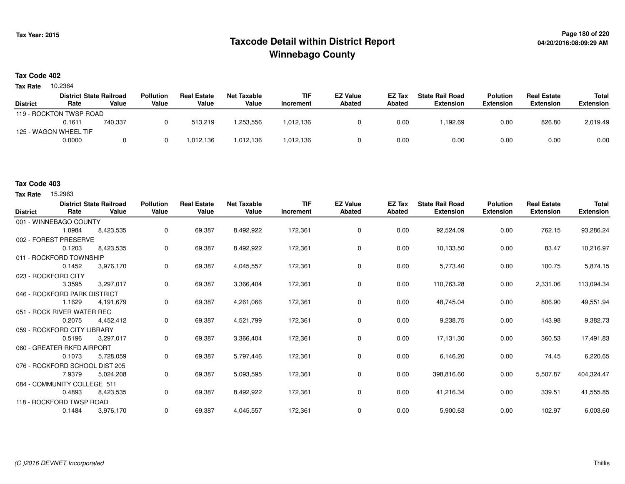# **Page 180 of 220 Taxcode Detail within District ReportWinnebago County**

## **Tax Code 402**

10.2364 **Tax Rate**

|                 | <b>District State Railroad</b> |         | <b>Pollution</b> | <b>Real Estate</b> | Net Taxable | <b>TIF</b> | <b>EZ Value</b> | EZ Tax | <b>State Rail Road</b> | <b>Polution</b>  | <b>Real Estate</b> | Total            |
|-----------------|--------------------------------|---------|------------------|--------------------|-------------|------------|-----------------|--------|------------------------|------------------|--------------------|------------------|
| <b>District</b> | Rate                           | Value   | Value            | Value              | Value       | Increment  | Abated          | Abated | <b>Extension</b>       | <b>Extension</b> | <b>Extension</b>   | <b>Extension</b> |
|                 | 119 - ROCKTON TWSP ROAD        |         |                  |                    |             |            |                 |        |                        |                  |                    |                  |
|                 | 0.1611                         | 740,337 |                  | 513.219            | 1,253,556   | 1,012,136  |                 | 0.00   | .192.69                | 0.00             | 826.80             | 2,019.49         |
|                 | 125 - WAGON WHEEL TIF          |         |                  |                    |             |            |                 |        |                        |                  |                    |                  |
|                 | 0.0000                         |         |                  | 1.012.136          | 1,012,136   | 1,012,136  |                 | 0.00   | 0.00                   | 0.00             | 0.00               | 0.00             |

# **Tax Code 403**

**Tax Rate** 15,2963

| <b>District</b>             | Rate                           | <b>District State Railroad</b><br>Value | <b>Pollution</b><br>Value | <b>Real Estate</b><br>Value | <b>Net Taxable</b><br>Value | <b>TIF</b><br>Increment | <b>EZ Value</b><br><b>Abated</b> | EZ Tax<br>Abated | <b>State Rail Road</b><br><b>Extension</b> | <b>Polution</b><br><b>Extension</b> | <b>Real Estate</b><br><b>Extension</b> | <b>Total</b><br><b>Extension</b> |
|-----------------------------|--------------------------------|-----------------------------------------|---------------------------|-----------------------------|-----------------------------|-------------------------|----------------------------------|------------------|--------------------------------------------|-------------------------------------|----------------------------------------|----------------------------------|
|                             | 001 - WINNEBAGO COUNTY         |                                         |                           |                             |                             |                         |                                  |                  |                                            |                                     |                                        |                                  |
|                             | 1.0984                         | 8,423,535                               | 0                         | 69,387                      | 8,492,922                   | 172,361                 | 0                                | 0.00             | 92,524.09                                  | 0.00                                | 762.15                                 | 93,286.24                        |
|                             | 002 - FOREST PRESERVE          |                                         |                           |                             |                             |                         |                                  |                  |                                            |                                     |                                        |                                  |
|                             | 0.1203                         | 8,423,535                               | 0                         | 69,387                      | 8,492,922                   | 172,361                 | 0                                | 0.00             | 10,133.50                                  | 0.00                                | 83.47                                  | 10,216.97                        |
|                             | 011 - ROCKFORD TOWNSHIP        |                                         |                           |                             |                             |                         |                                  |                  |                                            |                                     |                                        |                                  |
|                             | 0.1452                         | 3,976,170                               | 0                         | 69,387                      | 4,045,557                   | 172,361                 | 0                                | 0.00             | 5,773.40                                   | 0.00                                | 100.75                                 | 5,874.15                         |
|                             | 023 - ROCKFORD CITY            |                                         |                           |                             |                             |                         |                                  |                  |                                            |                                     |                                        |                                  |
|                             | 3.3595                         | 3,297,017                               | 0                         | 69,387                      | 3,366,404                   | 172,361                 | 0                                | 0.00             | 110,763.28                                 | 0.00                                | 2,331.06                               | 113,094.34                       |
|                             | 046 - ROCKFORD PARK DISTRICT   |                                         |                           |                             |                             |                         |                                  |                  |                                            |                                     |                                        |                                  |
|                             | 1.1629                         | 4,191,679                               | 0                         | 69,387                      | 4,261,066                   | 172,361                 | 0                                | 0.00             | 48,745.04                                  | 0.00                                | 806.90                                 | 49,551.94                        |
|                             | 051 - ROCK RIVER WATER REC     |                                         |                           |                             |                             |                         |                                  |                  |                                            |                                     |                                        |                                  |
|                             | 0.2075                         | 4,452,412                               | 0                         | 69,387                      | 4,521,799                   | 172,361                 | 0                                | 0.00             | 9,238.75                                   | 0.00                                | 143.98                                 | 9,382.73                         |
| 059 - ROCKFORD CITY LIBRARY |                                |                                         |                           |                             |                             |                         |                                  |                  |                                            |                                     |                                        |                                  |
|                             | 0.5196                         | 3,297,017                               | 0                         | 69,387                      | 3,366,404                   | 172,361                 | 0                                | 0.00             | 17,131.30                                  | 0.00                                | 360.53                                 | 17,491.83                        |
|                             | 060 - GREATER RKFD AIRPORT     |                                         |                           |                             |                             |                         |                                  |                  |                                            |                                     |                                        |                                  |
|                             | 0.1073                         | 5,728,059                               | 0                         | 69,387                      | 5,797,446                   | 172,361                 | 0                                | 0.00             | 6,146.20                                   | 0.00                                | 74.45                                  | 6,220.65                         |
|                             | 076 - ROCKFORD SCHOOL DIST 205 |                                         |                           |                             |                             |                         |                                  |                  |                                            |                                     |                                        |                                  |
|                             | 7.9379                         | 5,024,208                               | 0                         | 69,387                      | 5,093,595                   | 172,361                 | 0                                | 0.00             | 398,816.60                                 | 0.00                                | 5,507.87                               | 404,324.47                       |
|                             | 084 - COMMUNITY COLLEGE 511    |                                         |                           |                             |                             |                         |                                  |                  |                                            |                                     |                                        |                                  |
|                             | 0.4893                         | 8,423,535                               | 0                         | 69,387                      | 8,492,922                   | 172,361                 | 0                                | 0.00             | 41,216.34                                  | 0.00                                | 339.51                                 | 41,555.85                        |
|                             | 118 - ROCKFORD TWSP ROAD       |                                         |                           |                             |                             |                         |                                  |                  |                                            |                                     |                                        |                                  |
|                             | 0.1484                         | 3,976,170                               | 0                         | 69.387                      | 4,045,557                   | 172,361                 | 0                                | 0.00             | 5,900.63                                   | 0.00                                | 102.97                                 | 6,003.60                         |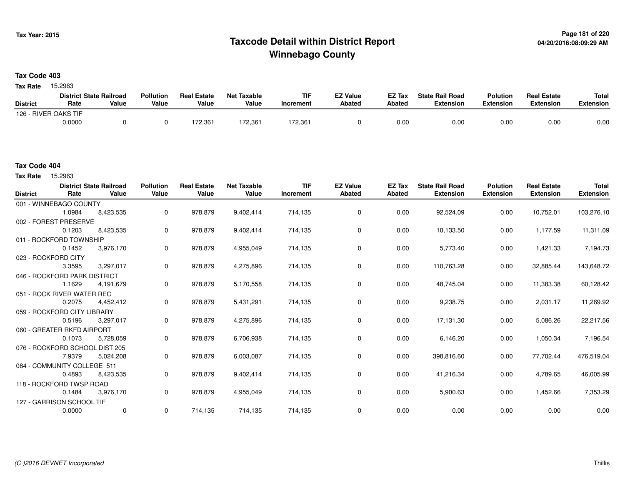# **Page 181 of 220 Taxcode Detail within District ReportWinnebago County**

### **Tax Code 403**

Tax Rate 15.2963

|                      | <b>District State Railroad</b> |       | <b>Pollution</b> | <b>Real Estate</b> | <b>Net Taxable</b> | TIF       | <b>EZ Value</b> | <b>EZ Tax</b> | <b>State Rail Road</b> | <b>Polution</b>  | <b>Real Estate</b> | Total     |
|----------------------|--------------------------------|-------|------------------|--------------------|--------------------|-----------|-----------------|---------------|------------------------|------------------|--------------------|-----------|
| <b>District</b>      | Rate                           | Value | Value            | Value              | Value              | Increment | Abated          | <b>Abated</b> | <b>Extension</b>       | <b>Extension</b> | <b>Extension</b>   | Extension |
| 126 - RIVER OAKS TIF |                                |       |                  |                    |                    |           |                 |               |                        |                  |                    |           |
|                      | 0.0000                         |       |                  | 172,361            | 72,361             | 72,361    |                 | 0.00          | 0.00                   | 0.00             | 0.00               | 0.00      |

Tax Rate 15.2963

| <b>District</b> | Rate                           | <b>District State Railroad</b><br>Value | <b>Pollution</b><br>Value | <b>Real Estate</b><br>Value | <b>Net Taxable</b><br>Value | <b>TIF</b><br><b>Increment</b> | <b>EZ Value</b><br><b>Abated</b> | EZ Tax<br>Abated | <b>State Rail Road</b><br><b>Extension</b> | <b>Polution</b><br><b>Extension</b> | <b>Real Estate</b><br><b>Extension</b> | <b>Total</b><br><b>Extension</b> |
|-----------------|--------------------------------|-----------------------------------------|---------------------------|-----------------------------|-----------------------------|--------------------------------|----------------------------------|------------------|--------------------------------------------|-------------------------------------|----------------------------------------|----------------------------------|
|                 | 001 - WINNEBAGO COUNTY         |                                         |                           |                             |                             |                                |                                  |                  |                                            |                                     |                                        |                                  |
|                 | 1.0984                         | 8,423,535                               | $\mathbf 0$               | 978,879                     | 9,402,414                   | 714,135                        | 0                                | 0.00             | 92,524.09                                  | 0.00                                | 10,752.01                              | 103,276.10                       |
|                 | 002 - FOREST PRESERVE          |                                         |                           |                             |                             |                                |                                  |                  |                                            |                                     |                                        |                                  |
|                 | 0.1203                         | 8,423,535                               | 0                         | 978,879                     | 9,402,414                   | 714,135                        | 0                                | 0.00             | 10,133.50                                  | 0.00                                | 1,177.59                               | 11,311.09                        |
|                 | 011 - ROCKFORD TOWNSHIP        |                                         |                           |                             |                             |                                |                                  |                  |                                            |                                     |                                        |                                  |
|                 | 0.1452                         | 3,976,170                               | 0                         | 978,879                     | 4,955,049                   | 714,135                        | 0                                | 0.00             | 5,773.40                                   | 0.00                                | 1,421.33                               | 7,194.73                         |
|                 | 023 - ROCKFORD CITY            |                                         |                           |                             |                             |                                |                                  |                  |                                            |                                     |                                        |                                  |
|                 | 3.3595                         | 3,297,017                               | 0                         | 978,879                     | 4,275,896                   | 714,135                        | $\mathbf 0$                      | 0.00             | 110,763.28                                 | 0.00                                | 32,885.44                              | 143,648.72                       |
|                 | 046 - ROCKFORD PARK DISTRICT   |                                         |                           |                             |                             |                                |                                  |                  |                                            |                                     |                                        |                                  |
|                 | 1.1629                         | 4,191,679                               | 0                         | 978,879                     | 5,170,558                   | 714,135                        | $\mathbf 0$                      | 0.00             | 48,745.04                                  | 0.00                                | 11,383.38                              | 60,128.42                        |
|                 | 051 - ROCK RIVER WATER REC     |                                         |                           |                             |                             |                                |                                  |                  |                                            |                                     |                                        |                                  |
|                 | 0.2075                         | 4,452,412                               | 0                         | 978,879                     | 5,431,291                   | 714,135                        | $\mathbf 0$                      | 0.00             | 9,238.75                                   | 0.00                                | 2,031.17                               | 11,269.92                        |
|                 | 059 - ROCKFORD CITY LIBRARY    |                                         |                           |                             |                             |                                |                                  |                  |                                            |                                     |                                        |                                  |
|                 | 0.5196                         | 3,297,017                               | 0                         | 978,879                     | 4,275,896                   | 714,135                        | 0                                | 0.00             | 17,131.30                                  | 0.00                                | 5,086.26                               | 22,217.56                        |
|                 | 060 - GREATER RKFD AIRPORT     |                                         |                           |                             |                             |                                |                                  |                  |                                            |                                     |                                        |                                  |
|                 | 0.1073                         | 5,728,059                               | 0                         | 978,879                     | 6,706,938                   | 714,135                        | 0                                | 0.00             | 6,146.20                                   | 0.00                                | 1,050.34                               | 7,196.54                         |
|                 | 076 - ROCKFORD SCHOOL DIST 205 |                                         |                           |                             |                             |                                |                                  |                  |                                            |                                     |                                        |                                  |
|                 | 7.9379                         | 5,024,208                               | $\mathbf{0}$              | 978,879                     | 6,003,087                   | 714,135                        | 0                                | 0.00             | 398,816.60                                 | 0.00                                | 77,702.44                              | 476,519.04                       |
|                 | 084 - COMMUNITY COLLEGE 511    |                                         |                           |                             |                             |                                |                                  |                  |                                            |                                     |                                        |                                  |
|                 | 0.4893                         | 8,423,535                               | 0                         | 978,879                     | 9,402,414                   | 714,135                        | 0                                | 0.00             | 41,216.34                                  | 0.00                                | 4,789.65                               | 46,005.99                        |
|                 | 118 - ROCKFORD TWSP ROAD       |                                         |                           |                             |                             |                                |                                  |                  |                                            |                                     |                                        |                                  |
|                 | 0.1484                         | 3,976,170                               | 0                         | 978,879                     | 4,955,049                   | 714,135                        | 0                                | 0.00             | 5,900.63                                   | 0.00                                | 1,452.66                               | 7,353.29                         |
|                 | 127 - GARRISON SCHOOL TIF      |                                         |                           |                             |                             |                                |                                  |                  |                                            |                                     |                                        |                                  |
|                 | 0.0000                         | 0                                       | 0                         | 714,135                     | 714,135                     | 714,135                        | $\mathbf 0$                      | 0.00             | 0.00                                       | 0.00                                | 0.00                                   | 0.00                             |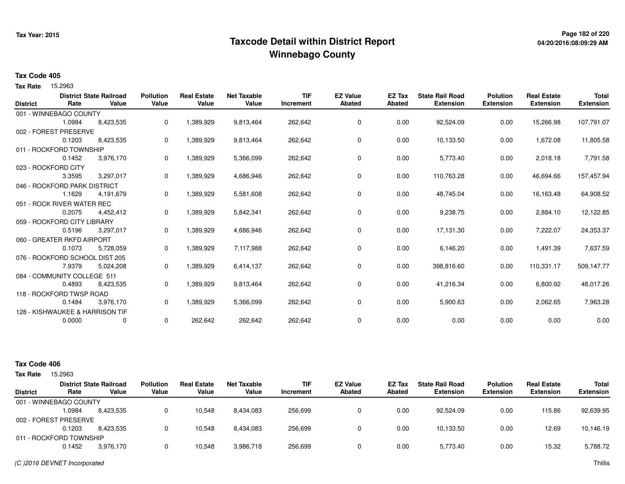# **Page 182 of 220 Taxcode Detail within District ReportWinnebago County**

### **Tax Code 405**

Tax Rate 15.2963

|                 |                                 | <b>District State Railroad</b> | <b>Pollution</b> | <b>Real Estate</b> | <b>Net Taxable</b> | <b>TIF</b> | <b>EZ Value</b> | <b>EZ Tax</b> | <b>State Rail Road</b> | <b>Polution</b>  | <b>Real Estate</b> | <b>Total</b>     |
|-----------------|---------------------------------|--------------------------------|------------------|--------------------|--------------------|------------|-----------------|---------------|------------------------|------------------|--------------------|------------------|
| <b>District</b> | Rate                            | Value                          | Value            | Value              | Value              | Increment  | <b>Abated</b>   | <b>Abated</b> | <b>Extension</b>       | <b>Extension</b> | <b>Extension</b>   | <b>Extension</b> |
|                 | 001 - WINNEBAGO COUNTY          |                                |                  |                    |                    |            |                 |               |                        |                  |                    |                  |
|                 | 1.0984                          | 8,423,535                      | 0                | 1,389,929          | 9,813,464          | 262,642    | 0               | 0.00          | 92,524.09              | 0.00             | 15,266.98          | 107,791.07       |
|                 | 002 - FOREST PRESERVE           |                                |                  |                    |                    |            |                 |               |                        |                  |                    |                  |
|                 | 0.1203                          | 8,423,535                      | 0                | 1,389,929          | 9,813,464          | 262,642    | 0               | 0.00          | 10,133.50              | 0.00             | 1,672.08           | 11,805.58        |
|                 | 011 - ROCKFORD TOWNSHIP         |                                |                  |                    |                    |            |                 |               |                        |                  |                    |                  |
|                 | 0.1452                          | 3,976,170                      | 0                | 1,389,929          | 5,366,099          | 262,642    | 0               | 0.00          | 5,773.40               | 0.00             | 2,018.18           | 7,791.58         |
|                 | 023 - ROCKFORD CITY             |                                |                  |                    |                    |            |                 |               |                        |                  |                    |                  |
|                 | 3.3595                          | 3,297,017                      | 0                | 1,389,929          | 4,686,946          | 262,642    | 0               | 0.00          | 110,763.28             | 0.00             | 46,694.66          | 157,457.94       |
|                 | 046 - ROCKFORD PARK DISTRICT    |                                |                  |                    |                    |            |                 |               |                        |                  |                    |                  |
|                 | 1.1629                          | 4,191,679                      | 0                | 1,389,929          | 5,581,608          | 262,642    | 0               | 0.00          | 48,745.04              | 0.00             | 16,163.48          | 64,908.52        |
|                 | 051 - ROCK RIVER WATER REC      |                                |                  |                    |                    |            |                 |               |                        |                  |                    |                  |
|                 | 0.2075                          | 4,452,412                      | 0                | 1,389,929          | 5,842,341          | 262,642    | 0               | 0.00          | 9,238.75               | 0.00             | 2,884.10           | 12,122.85        |
|                 | 059 - ROCKFORD CITY LIBRARY     |                                |                  |                    |                    |            |                 |               |                        |                  |                    |                  |
|                 | 0.5196                          | 3,297,017                      | 0                | 1,389,929          | 4,686,946          | 262,642    | 0               | 0.00          | 17,131.30              | 0.00             | 7,222.07           | 24,353.37        |
|                 | 060 - GREATER RKFD AIRPORT      |                                |                  |                    |                    |            |                 |               |                        |                  |                    |                  |
|                 | 0.1073                          | 5,728,059                      | 0                | 1,389,929          | 7,117,988          | 262,642    | 0               | 0.00          | 6,146.20               | 0.00             | 1,491.39           | 7,637.59         |
|                 | 076 - ROCKFORD SCHOOL DIST 205  |                                |                  |                    |                    |            |                 |               |                        |                  |                    |                  |
|                 | 7.9379                          | 5,024,208                      | 0                | 1,389,929          | 6,414,137          | 262,642    | 0               | 0.00          | 398,816.60             | 0.00             | 110,331.17         | 509,147.77       |
|                 | 084 - COMMUNITY COLLEGE 511     |                                |                  |                    |                    |            |                 |               |                        |                  |                    |                  |
|                 | 0.4893                          | 8,423,535                      | 0                | 1,389,929          | 9,813,464          | 262,642    | 0               | 0.00          | 41,216.34              | 0.00             | 6,800.92           | 48,017.26        |
|                 | 118 - ROCKFORD TWSP ROAD        |                                |                  |                    |                    |            |                 |               |                        |                  |                    |                  |
|                 | 0.1484                          | 3,976,170                      | 0                | 1,389,929          | 5,366,099          | 262,642    | 0               | 0.00          | 5,900.63               | 0.00             | 2,062.65           | 7,963.28         |
|                 | 128 - KISHWAUKEE & HARRISON TIF |                                |                  |                    |                    |            |                 |               |                        |                  |                    |                  |
|                 | 0.0000                          | 0                              | 0                | 262,642            | 262,642            | 262,642    | 0               | 0.00          | 0.00                   | 0.00             | 0.00               | 0.00             |
|                 |                                 |                                |                  |                    |                    |            |                 |               |                        |                  |                    |                  |

| <b>Tax Rate</b> | 15.2963                 |                                         |                           |                             |                             |                         |                           |                  |                                            |                                     |                                        |                                  |
|-----------------|-------------------------|-----------------------------------------|---------------------------|-----------------------------|-----------------------------|-------------------------|---------------------------|------------------|--------------------------------------------|-------------------------------------|----------------------------------------|----------------------------------|
| <b>District</b> | Rate                    | <b>District State Railroad</b><br>Value | <b>Pollution</b><br>Value | <b>Real Estate</b><br>Value | <b>Net Taxable</b><br>Value | <b>TIF</b><br>Increment | <b>EZ Value</b><br>Abated | EZ Tax<br>Abated | <b>State Rail Road</b><br><b>Extension</b> | <b>Polution</b><br><b>Extension</b> | <b>Real Estate</b><br><b>Extension</b> | <b>Total</b><br><b>Extension</b> |
|                 | 001 - WINNEBAGO COUNTY  |                                         |                           |                             |                             |                         |                           |                  |                                            |                                     |                                        |                                  |
|                 | .0984                   | 8,423,535                               |                           | 10.548                      | 8,434,083                   | 256,699                 |                           | 0.00             | 92.524.09                                  | 0.00                                | 115.86                                 | 92,639.95                        |
|                 | 002 - FOREST PRESERVE   |                                         |                           |                             |                             |                         |                           |                  |                                            |                                     |                                        |                                  |
|                 | 0.1203                  | 8.423.535                               |                           | 10,548                      | 8,434,083                   | 256,699                 |                           | 0.00             | 10.133.50                                  | 0.00                                | 12.69                                  | 10,146.19                        |
|                 | 011 - ROCKFORD TOWNSHIP |                                         |                           |                             |                             |                         |                           |                  |                                            |                                     |                                        |                                  |
|                 | 0.1452                  | 3,976,170                               |                           | 10,548                      | 3,986,718                   | 256,699                 |                           | 0.00             | 5,773.40                                   | 0.00                                | 15.32                                  | 5,788.72                         |
|                 |                         |                                         |                           |                             |                             |                         |                           |                  |                                            |                                     |                                        |                                  |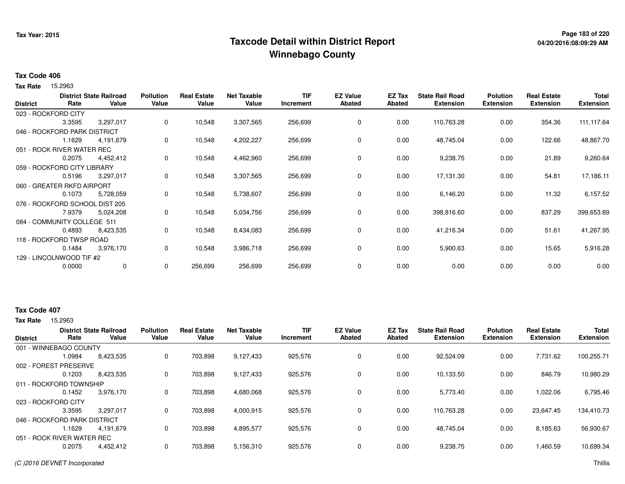# **Page 183 of 220 Taxcode Detail within District ReportWinnebago County**

#### **Tax Code 406**

Tax Rate 15.2963

| <b>District</b> | Rate                           | <b>District State Railroad</b><br>Value | <b>Pollution</b><br>Value | <b>Real Estate</b><br>Value | <b>Net Taxable</b><br>Value | <b>TIF</b><br>Increment | <b>EZ Value</b><br><b>Abated</b> | EZ Tax<br><b>Abated</b> | <b>State Rail Road</b><br><b>Extension</b> | <b>Polution</b><br><b>Extension</b> | <b>Real Estate</b><br><b>Extension</b> | <b>Total</b><br><b>Extension</b> |
|-----------------|--------------------------------|-----------------------------------------|---------------------------|-----------------------------|-----------------------------|-------------------------|----------------------------------|-------------------------|--------------------------------------------|-------------------------------------|----------------------------------------|----------------------------------|
|                 | 023 - ROCKFORD CITY            |                                         |                           |                             |                             |                         |                                  |                         |                                            |                                     |                                        |                                  |
|                 | 3.3595                         | 3,297,017                               | 0                         | 10,548                      | 3,307,565                   | 256,699                 | $\mathbf 0$                      | 0.00                    | 110,763.28                                 | 0.00                                | 354.36                                 | 111,117.64                       |
|                 | 046 - ROCKFORD PARK DISTRICT   |                                         |                           |                             |                             |                         |                                  |                         |                                            |                                     |                                        |                                  |
|                 | 1.1629                         | 4,191,679                               | 0                         | 10,548                      | 4,202,227                   | 256,699                 | 0                                | 0.00                    | 48,745.04                                  | 0.00                                | 122.66                                 | 48,867.70                        |
|                 | 051 - ROCK RIVER WATER REC     |                                         |                           |                             |                             |                         |                                  |                         |                                            |                                     |                                        |                                  |
|                 | 0.2075                         | 4,452,412                               | 0                         | 10,548                      | 4,462,960                   | 256,699                 | $\mathbf 0$                      | 0.00                    | 9,238.75                                   | 0.00                                | 21.89                                  | 9,260.64                         |
|                 | 059 - ROCKFORD CITY LIBRARY    |                                         |                           |                             |                             |                         |                                  |                         |                                            |                                     |                                        |                                  |
|                 | 0.5196                         | 3,297,017                               | 0                         | 10,548                      | 3,307,565                   | 256,699                 | 0                                | 0.00                    | 17,131.30                                  | 0.00                                | 54.81                                  | 17,186.11                        |
|                 | 060 - GREATER RKFD AIRPORT     |                                         |                           |                             |                             |                         |                                  |                         |                                            |                                     |                                        |                                  |
|                 | 0.1073                         | 5,728,059                               | 0                         | 10,548                      | 5,738,607                   | 256,699                 | 0                                | 0.00                    | 6,146.20                                   | 0.00                                | 11.32                                  | 6,157.52                         |
|                 | 076 - ROCKFORD SCHOOL DIST 205 |                                         |                           |                             |                             |                         |                                  |                         |                                            |                                     |                                        |                                  |
|                 | 7.9379                         | 5,024,208                               | 0                         | 10,548                      | 5,034,756                   | 256,699                 | 0                                | 0.00                    | 398,816.60                                 | 0.00                                | 837.29                                 | 399,653.89                       |
|                 | 084 - COMMUNITY COLLEGE 511    |                                         |                           |                             |                             |                         |                                  |                         |                                            |                                     |                                        |                                  |
|                 | 0.4893                         | 8,423,535                               | 0                         | 10,548                      | 8,434,083                   | 256,699                 | $\mathbf 0$                      | 0.00                    | 41,216.34                                  | 0.00                                | 51.61                                  | 41,267.95                        |
|                 | 118 - ROCKFORD TWSP ROAD       |                                         |                           |                             |                             |                         |                                  |                         |                                            |                                     |                                        |                                  |
|                 | 0.1484                         | 3,976,170                               | 0                         | 10,548                      | 3,986,718                   | 256,699                 | $\mathbf 0$                      | 0.00                    | 5,900.63                                   | 0.00                                | 15.65                                  | 5,916.28                         |
|                 | 129 - LINCOLNWOOD TIF #2       |                                         |                           |                             |                             |                         |                                  |                         |                                            |                                     |                                        |                                  |
|                 | 0.0000                         | 0                                       | 0                         | 256,699                     | 256,699                     | 256,699                 | 0                                | 0.00                    | 0.00                                       | 0.00                                | 0.00                                   | 0.00                             |
|                 |                                |                                         |                           |                             |                             |                         |                                  |                         |                                            |                                     |                                        |                                  |

### **Tax Code 407**

**Tax Rate** 15,2963

|                              |        | <b>District State Railroad</b> | <b>Pollution</b> | <b>Real Estate</b> | <b>Net Taxable</b> | <b>TIF</b> | <b>EZ Value</b> | EZ Tax | <b>State Rail Road</b> | <b>Polution</b>  | <b>Real Estate</b> | <b>Total</b>     |
|------------------------------|--------|--------------------------------|------------------|--------------------|--------------------|------------|-----------------|--------|------------------------|------------------|--------------------|------------------|
| <b>District</b>              | Rate   | Value                          | Value            | Value              | Value              | Increment  | <b>Abated</b>   | Abated | <b>Extension</b>       | <b>Extension</b> | <b>Extension</b>   | <b>Extension</b> |
| 001 - WINNEBAGO COUNTY       |        |                                |                  |                    |                    |            |                 |        |                        |                  |                    |                  |
|                              | 1.0984 | 8,423,535                      | 0                | 703,898            | 9,127,433          | 925,576    | 0               | 0.00   | 92,524.09              | 0.00             | 7,731.62           | 100,255.71       |
| 002 - FOREST PRESERVE        |        |                                |                  |                    |                    |            |                 |        |                        |                  |                    |                  |
|                              | 0.1203 | 8,423,535                      | 0                | 703.898            | 9.127.433          | 925,576    | $\Omega$        | 0.00   | 10.133.50              | 0.00             | 846.79             | 10.980.29        |
| 011 - ROCKFORD TOWNSHIP      |        |                                |                  |                    |                    |            |                 |        |                        |                  |                    |                  |
|                              | 0.1452 | 3,976,170                      | 0                | 703,898            | 4,680,068          | 925,576    | 0               | 0.00   | 5,773.40               | 0.00             | 1,022.06           | 6,795.46         |
| 023 - ROCKFORD CITY          |        |                                |                  |                    |                    |            |                 |        |                        |                  |                    |                  |
|                              | 3.3595 | 3,297,017                      | 0                | 703,898            | 4,000,915          | 925,576    | 0               | 0.00   | 110,763.28             | 0.00             | 23,647.45          | 134,410.73       |
| 046 - ROCKFORD PARK DISTRICT |        |                                |                  |                    |                    |            |                 |        |                        |                  |                    |                  |
|                              | .1629  | 4.191.679                      | 0                | 703.898            | 4,895,577          | 925,576    | $\Omega$        | 0.00   | 48.745.04              | 0.00             | 8,185.63           | 56,930.67        |
| 051 - ROCK RIVER WATER REC   |        |                                |                  |                    |                    |            |                 |        |                        |                  |                    |                  |
|                              | 0.2075 | 4,452,412                      | 0                | 703,898            | 5,156,310          | 925,576    |                 | 0.00   | 9,238.75               | 0.00             | 1,460.59           | 10,699.34        |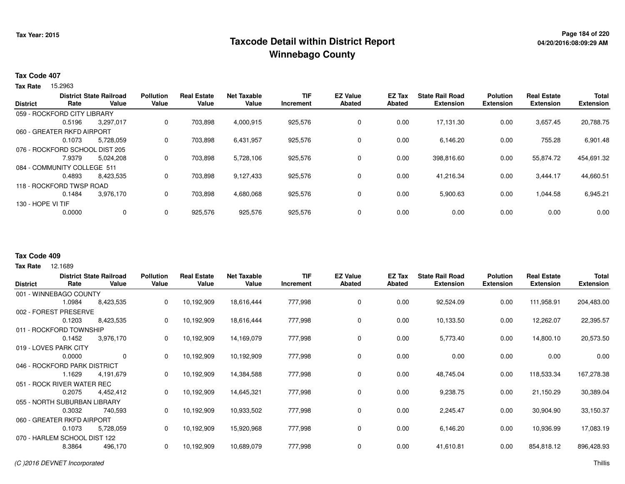# **Page 184 of 220 Taxcode Detail within District ReportWinnebago County**

### **Tax Code 407**

Tax Rate 15.2963

| <b>District</b>   | Rate                           | <b>District State Railroad</b><br>Value | <b>Pollution</b><br>Value | <b>Real Estate</b><br>Value | <b>Net Taxable</b><br>Value | TIF<br>Increment | <b>EZ Value</b><br>Abated | <b>EZ Tax</b><br>Abated | <b>State Rail Road</b><br><b>Extension</b> | <b>Polution</b><br><b>Extension</b> | <b>Real Estate</b><br><b>Extension</b> | <b>Total</b><br><b>Extension</b> |
|-------------------|--------------------------------|-----------------------------------------|---------------------------|-----------------------------|-----------------------------|------------------|---------------------------|-------------------------|--------------------------------------------|-------------------------------------|----------------------------------------|----------------------------------|
|                   |                                |                                         |                           |                             |                             |                  |                           |                         |                                            |                                     |                                        |                                  |
|                   | 059 - ROCKFORD CITY LIBRARY    |                                         |                           |                             |                             |                  |                           |                         |                                            |                                     |                                        |                                  |
|                   | 0.5196                         | 3,297,017                               | 0                         | 703.898                     | 4,000,915                   | 925,576          | 0                         | 0.00                    | 17,131.30                                  | 0.00                                | 3,657.45                               | 20,788.75                        |
|                   | 060 - GREATER RKFD AIRPORT     |                                         |                           |                             |                             |                  |                           |                         |                                            |                                     |                                        |                                  |
|                   | 0.1073                         | 5,728,059                               | 0                         | 703,898                     | 6,431,957                   | 925,576          | 0                         | 0.00                    | 6,146.20                                   | 0.00                                | 755.28                                 | 6,901.48                         |
|                   | 076 - ROCKFORD SCHOOL DIST 205 |                                         |                           |                             |                             |                  |                           |                         |                                            |                                     |                                        |                                  |
|                   | 7.9379                         | 5.024.208                               | 0                         | 703.898                     | 5,728,106                   | 925,576          | $\Omega$                  | 0.00                    | 398,816.60                                 | 0.00                                | 55,874.72                              | 454,691.32                       |
|                   | 084 - COMMUNITY COLLEGE 511    |                                         |                           |                             |                             |                  |                           |                         |                                            |                                     |                                        |                                  |
|                   | 0.4893                         | 8,423,535                               | 0                         | 703,898                     | 9,127,433                   | 925,576          | 0                         | 0.00                    | 41,216.34                                  | 0.00                                | 3.444.17                               | 44,660.51                        |
|                   | 118 - ROCKFORD TWSP ROAD       |                                         |                           |                             |                             |                  |                           |                         |                                            |                                     |                                        |                                  |
|                   | 0.1484                         | 3.976.170                               | 0                         | 703.898                     | 4,680,068                   | 925,576          | 0                         | 0.00                    | 5,900.63                                   | 0.00                                | 1,044.58                               | 6,945.21                         |
| 130 - HOPE VI TIF |                                |                                         |                           |                             |                             |                  |                           |                         |                                            |                                     |                                        |                                  |
|                   | 0.0000                         | 0                                       | 0                         | 925,576                     | 925,576                     | 925,576          | 0                         | 0.00                    | 0.00                                       | 0.00                                | 0.00                                   | 0.00                             |
|                   |                                |                                         |                           |                             |                             |                  |                           |                         |                                            |                                     |                                        |                                  |

#### **Tax Code 409**

|                 |                              | <b>District State Railroad</b> | <b>Pollution</b> | <b>Real Estate</b> | <b>Net Taxable</b> | <b>TIF</b> | <b>EZ Value</b> | <b>EZ Tax</b> | <b>State Rail Road</b> | <b>Polution</b> | <b>Real Estate</b> | Total            |
|-----------------|------------------------------|--------------------------------|------------------|--------------------|--------------------|------------|-----------------|---------------|------------------------|-----------------|--------------------|------------------|
| <b>District</b> | Rate                         | Value                          | Value            | Value              | Value              | Increment  | <b>Abated</b>   | <b>Abated</b> | <b>Extension</b>       | Extension       | <b>Extension</b>   | <b>Extension</b> |
|                 | 001 - WINNEBAGO COUNTY       |                                |                  |                    |                    |            |                 |               |                        |                 |                    |                  |
|                 | 1.0984                       | 8,423,535                      | 0                | 10,192,909         | 18,616,444         | 777,998    | 0               | 0.00          | 92,524.09              | 0.00            | 111,958.91         | 204,483.00       |
|                 | 002 - FOREST PRESERVE        |                                |                  |                    |                    |            |                 |               |                        |                 |                    |                  |
|                 | 0.1203                       | 8,423,535                      | 0                | 10,192,909         | 18,616,444         | 777,998    | 0               | 0.00          | 10,133.50              | 0.00            | 12,262.07          | 22,395.57        |
|                 | 011 - ROCKFORD TOWNSHIP      |                                |                  |                    |                    |            |                 |               |                        |                 |                    |                  |
|                 | 0.1452                       | 3,976,170                      | 0                | 10,192,909         | 14,169,079         | 777,998    | $\mathbf 0$     | 0.00          | 5,773.40               | 0.00            | 14,800.10          | 20,573.50        |
|                 | 019 - LOVES PARK CITY        |                                |                  |                    |                    |            |                 |               |                        |                 |                    |                  |
|                 | 0.0000                       | $\mathbf{0}$                   | 0                | 10,192,909         | 10,192,909         | 777,998    | 0               | 0.00          | 0.00                   | 0.00            | 0.00               | 0.00             |
|                 | 046 - ROCKFORD PARK DISTRICT |                                |                  |                    |                    |            |                 |               |                        |                 |                    |                  |
|                 | 1.1629                       | 4,191,679                      | 0                | 10,192,909         | 14,384,588         | 777,998    | 0               | 0.00          | 48,745.04              | 0.00            | 118,533.34         | 167,278.38       |
|                 | 051 - ROCK RIVER WATER REC   |                                |                  |                    |                    |            |                 |               |                        |                 |                    |                  |
|                 | 0.2075                       | 4,452,412                      | 0                | 10,192,909         | 14,645,321         | 777,998    | 0               | 0.00          | 9,238.75               | 0.00            | 21,150.29          | 30,389.04        |
|                 | 055 - NORTH SUBURBAN LIBRARY |                                |                  |                    |                    |            |                 |               |                        |                 |                    |                  |
|                 | 0.3032                       | 740,593                        | 0                | 10,192,909         | 10,933,502         | 777,998    | 0               | 0.00          | 2,245.47               | 0.00            | 30,904.90          | 33,150.37        |
|                 | 060 - GREATER RKFD AIRPORT   |                                |                  |                    |                    |            |                 |               |                        |                 |                    |                  |
|                 | 0.1073                       | 5,728,059                      |                  | 10,192,909         | 15,920,968         | 777,998    | $\mathbf 0$     | 0.00          | 6,146.20               | 0.00            | 10,936.99          | 17,083.19        |
|                 | 070 - HARLEM SCHOOL DIST 122 |                                |                  |                    |                    |            |                 |               |                        |                 |                    |                  |
|                 | 8.3864                       | 496,170                        | 0                | 10,192,909         | 10,689,079         | 777,998    | $\mathbf 0$     | 0.00          | 41,610.81              | 0.00            | 854,818.12         | 896,428.93       |
|                 |                              |                                |                  |                    |                    |            |                 |               |                        |                 |                    |                  |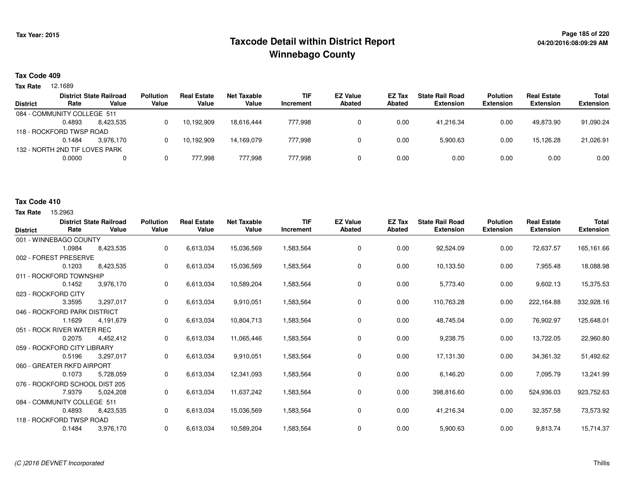# **Page 185 of 220 Taxcode Detail within District ReportWinnebago County**

### **Tax Code 409**

**Tax Rate** 12.1689

|       | <b>Real Estate</b> | Net Taxable | <b>TIF</b> | <b>EZ Value</b> | <b>EZ Tax</b> | <b>State Rail Road</b> | <b>Polution</b>  | <b>Real Estate</b> | <b>Total</b>     |
|-------|--------------------|-------------|------------|-----------------|---------------|------------------------|------------------|--------------------|------------------|
| Value | Value              | Value       | Increment  | <b>Abated</b>   | Abated        | <b>Extension</b>       | <b>Extension</b> | <b>Extension</b>   | <b>Extension</b> |
|       |                    |             |            |                 |               |                        |                  |                    |                  |
|       | 10,192,909         | 18.616.444  | 777.998    |                 | 0.00          | 41.216.34              | 0.00             | 49.873.90          | 91,090.24        |
|       |                    |             |            |                 |               |                        |                  |                    |                  |
|       | 10,192,909         | 14.169.079  | 777,998    |                 | 0.00          | 5,900.63               | 0.00             | 15.126.28          | 21,026.91        |
|       |                    |             |            |                 |               |                        |                  |                    |                  |
|       | 777.998            | 777.998     | 777.998    |                 | 0.00          | 0.00                   | 0.00             | 0.00               | 0.00             |
|       | <b>Pollution</b>   |             |            |                 |               |                        |                  |                    |                  |

#### **Tax Code 410**

**Tax Rate** 15,2963

| <b>District</b>     | Rate                           | <b>District State Railroad</b><br>Value | <b>Pollution</b><br>Value | <b>Real Estate</b><br>Value | <b>Net Taxable</b><br>Value | <b>TIF</b><br>Increment | <b>EZ Value</b><br>Abated | <b>EZ Tax</b><br>Abated | <b>State Rail Road</b><br><b>Extension</b> | <b>Polution</b><br><b>Extension</b> | <b>Real Estate</b><br><b>Extension</b> | <b>Total</b><br><b>Extension</b> |
|---------------------|--------------------------------|-----------------------------------------|---------------------------|-----------------------------|-----------------------------|-------------------------|---------------------------|-------------------------|--------------------------------------------|-------------------------------------|----------------------------------------|----------------------------------|
|                     | 001 - WINNEBAGO COUNTY         |                                         |                           |                             |                             |                         |                           |                         |                                            |                                     |                                        |                                  |
|                     | 1.0984                         | 8,423,535                               | 0                         | 6,613,034                   | 15,036,569                  | 1,583,564               | $\mathbf 0$               | 0.00                    | 92,524.09                                  | 0.00                                | 72,637.57                              | 165,161.66                       |
|                     | 002 - FOREST PRESERVE          |                                         |                           |                             |                             |                         |                           |                         |                                            |                                     |                                        |                                  |
|                     | 0.1203                         | 8,423,535                               | 0                         | 6,613,034                   | 15,036,569                  | 1,583,564               | 0                         | 0.00                    | 10,133.50                                  | 0.00                                | 7,955.48                               | 18,088.98                        |
|                     | 011 - ROCKFORD TOWNSHIP        |                                         |                           |                             |                             |                         |                           |                         |                                            |                                     |                                        |                                  |
|                     | 0.1452                         | 3,976,170                               | 0                         | 6,613,034                   | 10,589,204                  | 1,583,564               | 0                         | 0.00                    | 5,773.40                                   | 0.00                                | 9,602.13                               | 15,375.53                        |
| 023 - ROCKFORD CITY |                                |                                         |                           |                             |                             |                         |                           |                         |                                            |                                     |                                        |                                  |
|                     | 3.3595                         | 3,297,017                               | 0                         | 6,613,034                   | 9,910,051                   | 1,583,564               | 0                         | 0.00                    | 110,763.28                                 | 0.00                                | 222,164.88                             | 332,928.16                       |
|                     | 046 - ROCKFORD PARK DISTRICT   |                                         |                           |                             |                             |                         |                           |                         |                                            |                                     |                                        |                                  |
|                     | 1.1629                         | 4,191,679                               | 0                         | 6,613,034                   | 10,804,713                  | 1,583,564               | 0                         | 0.00                    | 48,745.04                                  | 0.00                                | 76,902.97                              | 125,648.01                       |
|                     | 051 - ROCK RIVER WATER REC     |                                         |                           |                             |                             |                         |                           |                         |                                            |                                     |                                        |                                  |
|                     | 0.2075                         | 4,452,412                               | 0                         | 6,613,034                   | 11,065,446                  | 1,583,564               | 0                         | 0.00                    | 9,238.75                                   | 0.00                                | 13,722.05                              | 22,960.80                        |
|                     | 059 - ROCKFORD CITY LIBRARY    |                                         |                           |                             |                             |                         |                           |                         |                                            |                                     |                                        |                                  |
|                     | 0.5196                         | 3,297,017                               | 0                         | 6,613,034                   | 9,910,051                   | 1,583,564               | 0                         | 0.00                    | 17,131.30                                  | 0.00                                | 34,361.32                              | 51,492.62                        |
|                     | 060 - GREATER RKFD AIRPORT     |                                         |                           |                             |                             |                         |                           |                         |                                            |                                     |                                        |                                  |
|                     | 0.1073                         | 5,728,059                               | 0                         | 6,613,034                   | 12,341,093                  | 1,583,564               | 0                         | 0.00                    | 6,146.20                                   | 0.00                                | 7,095.79                               | 13,241.99                        |
|                     | 076 - ROCKFORD SCHOOL DIST 205 |                                         |                           |                             |                             |                         |                           |                         |                                            |                                     |                                        |                                  |
|                     | 7.9379                         | 5,024,208                               | 0                         | 6,613,034                   | 11,637,242                  | 1,583,564               | $\mathbf 0$               | 0.00                    | 398,816.60                                 | 0.00                                | 524,936.03                             | 923,752.63                       |
|                     | 084 - COMMUNITY COLLEGE 511    |                                         |                           |                             |                             |                         |                           |                         |                                            |                                     |                                        |                                  |
|                     | 0.4893                         | 8,423,535                               | 0                         | 6,613,034                   | 15,036,569                  | 1,583,564               | 0                         | 0.00                    | 41,216.34                                  | 0.00                                | 32,357.58                              | 73,573.92                        |
|                     | 118 - ROCKFORD TWSP ROAD       |                                         |                           |                             |                             |                         |                           |                         |                                            |                                     |                                        |                                  |
|                     | 0.1484                         | 3,976,170                               | $\mathbf 0$               | 6,613,034                   | 10,589,204                  | 1,583,564               | $\mathbf 0$               | 0.00                    | 5,900.63                                   | 0.00                                | 9,813.74                               | 15,714.37                        |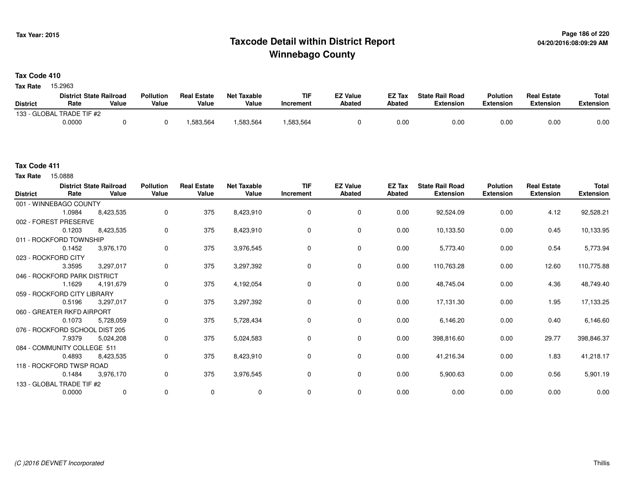# **Page 186 of 220 Taxcode Detail within District ReportWinnebago County**

**Tax Code 410**

Tax Rate 15.2963

|                 | <b>District State Railroad</b> |       | <b>Pollution</b> | <b>Real Estate</b> | Net Taxable | <b>TIF</b> | <b>EZ Value</b> | <b>EZ Tax</b> | <b>State Rail Road</b> | <b>Polution</b>  | <b>Real Estate</b> | <b>Total</b> |
|-----------------|--------------------------------|-------|------------------|--------------------|-------------|------------|-----------------|---------------|------------------------|------------------|--------------------|--------------|
| <b>District</b> | Rate                           | Value | Value            | Value              | Value       | Increment  | <b>Abated</b>   | Abated        | <b>Extension</b>       | <b>Extension</b> | <b>Extension</b>   | Extension    |
|                 | 133 - GLOBAL TRADE TIF #2      |       |                  |                    |             |            |                 |               |                        |                  |                    |              |
|                 | 0.0000                         |       |                  | .583.564           | .583,564    | .583,564   |                 | 0.00          | 0.00                   | 0.00             | 0.00               | 0.00         |

15.0888 **Tax Rate**

| <b>District</b> | Rate                           | <b>District State Railroad</b><br>Value | <b>Pollution</b><br>Value | <b>Real Estate</b><br>Value | <b>Net Taxable</b><br>Value | <b>TIF</b><br>Increment | <b>EZ Value</b><br>Abated | EZ Tax<br>Abated | <b>State Rail Road</b><br><b>Extension</b> | <b>Polution</b><br><b>Extension</b> | <b>Real Estate</b><br><b>Extension</b> | Total<br><b>Extension</b> |
|-----------------|--------------------------------|-----------------------------------------|---------------------------|-----------------------------|-----------------------------|-------------------------|---------------------------|------------------|--------------------------------------------|-------------------------------------|----------------------------------------|---------------------------|
|                 | 001 - WINNEBAGO COUNTY         |                                         |                           |                             |                             |                         |                           |                  |                                            |                                     |                                        |                           |
|                 | 1.0984                         | 8,423,535                               | 0                         | 375                         | 8,423,910                   | $\mathbf 0$             | 0                         | 0.00             | 92,524.09                                  | 0.00                                | 4.12                                   | 92,528.21                 |
|                 | 002 - FOREST PRESERVE          |                                         |                           |                             |                             |                         |                           |                  |                                            |                                     |                                        |                           |
|                 | 0.1203                         | 8,423,535                               | 0                         | 375                         | 8,423,910                   | $\mathbf 0$             | $\mathbf 0$               | 0.00             | 10,133.50                                  | 0.00                                | 0.45                                   | 10,133.95                 |
|                 | 011 - ROCKFORD TOWNSHIP        |                                         |                           |                             |                             |                         |                           |                  |                                            |                                     |                                        |                           |
|                 | 0.1452                         | 3,976,170                               | 0                         | 375                         | 3,976,545                   | 0                       | $\mathbf 0$               | 0.00             | 5,773.40                                   | 0.00                                | 0.54                                   | 5,773.94                  |
|                 | 023 - ROCKFORD CITY            |                                         |                           |                             |                             |                         |                           |                  |                                            |                                     |                                        |                           |
|                 | 3.3595                         | 3,297,017                               | 0                         | 375                         | 3,297,392                   | 0                       | 0                         | 0.00             | 110,763.28                                 | 0.00                                | 12.60                                  | 110,775.88                |
|                 | 046 - ROCKFORD PARK DISTRICT   |                                         |                           |                             |                             |                         |                           |                  |                                            |                                     |                                        |                           |
|                 | 1.1629                         | 4,191,679                               | 0                         | 375                         | 4,192,054                   | 0                       | 0                         | 0.00             | 48,745.04                                  | 0.00                                | 4.36                                   | 48,749.40                 |
|                 | 059 - ROCKFORD CITY LIBRARY    |                                         |                           |                             |                             |                         |                           |                  |                                            |                                     |                                        |                           |
|                 | 0.5196                         | 3,297,017                               | 0                         | 375                         | 3,297,392                   | 0                       | 0                         | 0.00             | 17,131.30                                  | 0.00                                | 1.95                                   | 17,133.25                 |
|                 | 060 - GREATER RKFD AIRPORT     |                                         |                           |                             |                             |                         |                           |                  |                                            |                                     |                                        |                           |
|                 | 0.1073                         | 5,728,059                               | 0                         | 375                         | 5,728,434                   | 0                       | $\mathbf 0$               | 0.00             | 6,146.20                                   | 0.00                                | 0.40                                   | 6,146.60                  |
|                 | 076 - ROCKFORD SCHOOL DIST 205 |                                         |                           |                             |                             |                         |                           |                  |                                            |                                     |                                        |                           |
|                 | 7.9379                         | 5,024,208                               | 0                         | 375                         | 5,024,583                   | $\mathbf 0$             | $\mathbf 0$               | 0.00             | 398,816.60                                 | 0.00                                | 29.77                                  | 398,846.37                |
|                 | 084 - COMMUNITY COLLEGE 511    |                                         |                           |                             |                             |                         |                           |                  |                                            |                                     |                                        |                           |
|                 | 0.4893                         | 8,423,535                               | 0                         | 375                         | 8,423,910                   | $\mathbf 0$             | $\mathbf 0$               | 0.00             | 41,216.34                                  | 0.00                                | 1.83                                   | 41,218.17                 |
|                 | 118 - ROCKFORD TWSP ROAD       |                                         |                           |                             |                             |                         |                           |                  |                                            |                                     |                                        |                           |
|                 | 0.1484                         | 3,976,170                               | 0                         | 375                         | 3,976,545                   | 0                       | $\mathbf 0$               | 0.00             | 5,900.63                                   | 0.00                                | 0.56                                   | 5,901.19                  |
|                 | 133 - GLOBAL TRADE TIF #2      |                                         |                           |                             |                             |                         |                           |                  |                                            |                                     |                                        |                           |
|                 | 0.0000                         | $\mathbf 0$                             | $\mathbf 0$               | $\mathbf 0$                 | $\mathbf 0$                 | $\mathbf 0$             | $\mathbf 0$               | 0.00             | 0.00                                       | 0.00                                | 0.00                                   | 0.00                      |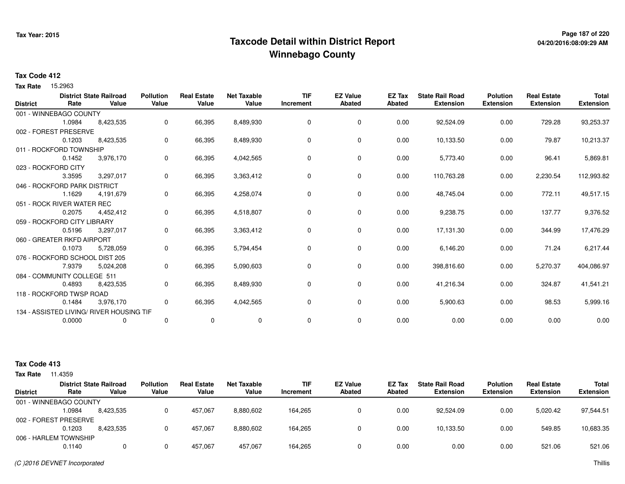# **Page 187 of 220 Taxcode Detail within District ReportWinnebago County**

### **Tax Code 412**

Tax Rate 15.2963

|                 | Rate                           | <b>District State Railroad</b><br>Value  | <b>Pollution</b><br>Value | <b>Real Estate</b><br>Value | <b>Net Taxable</b><br>Value | <b>TIF</b><br>Increment | <b>EZ Value</b><br>Abated | <b>EZ Tax</b><br><b>Abated</b> | <b>State Rail Road</b><br><b>Extension</b> | <b>Polution</b><br><b>Extension</b> | <b>Real Estate</b><br><b>Extension</b> | <b>Total</b><br><b>Extension</b> |
|-----------------|--------------------------------|------------------------------------------|---------------------------|-----------------------------|-----------------------------|-------------------------|---------------------------|--------------------------------|--------------------------------------------|-------------------------------------|----------------------------------------|----------------------------------|
| <b>District</b> |                                |                                          |                           |                             |                             |                         |                           |                                |                                            |                                     |                                        |                                  |
|                 | 001 - WINNEBAGO COUNTY         |                                          |                           |                             |                             |                         |                           |                                |                                            |                                     |                                        |                                  |
|                 | 1.0984                         | 8,423,535                                | 0                         | 66,395                      | 8,489,930                   | 0                       | $\mathbf 0$               | 0.00                           | 92,524.09                                  | 0.00                                | 729.28                                 | 93,253.37                        |
|                 | 002 - FOREST PRESERVE          |                                          |                           |                             |                             |                         |                           |                                |                                            |                                     |                                        |                                  |
|                 | 0.1203                         | 8,423,535                                | 0                         | 66,395                      | 8,489,930                   | 0                       | $\mathbf 0$               | 0.00                           | 10,133.50                                  | 0.00                                | 79.87                                  | 10,213.37                        |
|                 | 011 - ROCKFORD TOWNSHIP        |                                          |                           |                             |                             |                         |                           |                                |                                            |                                     |                                        |                                  |
|                 | 0.1452                         | 3,976,170                                | 0                         | 66,395                      | 4,042,565                   | 0                       | 0                         | 0.00                           | 5,773.40                                   | 0.00                                | 96.41                                  | 5,869.81                         |
|                 | 023 - ROCKFORD CITY            |                                          |                           |                             |                             |                         |                           |                                |                                            |                                     |                                        |                                  |
|                 | 3.3595                         | 3,297,017                                | 0                         | 66,395                      | 3,363,412                   | 0                       | 0                         | 0.00                           | 110,763.28                                 | 0.00                                | 2,230.54                               | 112,993.82                       |
|                 | 046 - ROCKFORD PARK DISTRICT   |                                          |                           |                             |                             |                         |                           |                                |                                            |                                     |                                        |                                  |
|                 | 1.1629                         | 4,191,679                                | 0                         | 66,395                      | 4,258,074                   | 0                       | 0                         | 0.00                           | 48,745.04                                  | 0.00                                | 772.11                                 | 49,517.15                        |
|                 | 051 - ROCK RIVER WATER REC     |                                          |                           |                             |                             |                         |                           |                                |                                            |                                     |                                        |                                  |
|                 | 0.2075                         | 4,452,412                                | $\mathbf 0$               | 66,395                      | 4,518,807                   | 0                       | 0                         | 0.00                           | 9,238.75                                   | 0.00                                | 137.77                                 | 9,376.52                         |
|                 | 059 - ROCKFORD CITY LIBRARY    |                                          |                           |                             |                             |                         |                           |                                |                                            |                                     |                                        |                                  |
|                 | 0.5196                         | 3,297,017                                | 0                         | 66,395                      | 3,363,412                   | 0                       | 0                         | 0.00                           | 17,131.30                                  | 0.00                                | 344.99                                 | 17,476.29                        |
|                 | 060 - GREATER RKFD AIRPORT     |                                          |                           |                             |                             |                         |                           |                                |                                            |                                     |                                        |                                  |
|                 | 0.1073                         | 5,728,059                                | 0                         | 66,395                      | 5,794,454                   | 0                       | 0                         | 0.00                           | 6,146.20                                   | 0.00                                | 71.24                                  | 6,217.44                         |
|                 | 076 - ROCKFORD SCHOOL DIST 205 |                                          |                           |                             |                             |                         |                           |                                |                                            |                                     |                                        |                                  |
|                 | 7.9379                         | 5,024,208                                | 0                         | 66,395                      | 5,090,603                   | 0                       | 0                         | 0.00                           | 398,816.60                                 | 0.00                                | 5,270.37                               | 404,086.97                       |
|                 | 084 - COMMUNITY COLLEGE 511    |                                          |                           |                             |                             |                         |                           |                                |                                            |                                     |                                        |                                  |
|                 | 0.4893                         | 8,423,535                                | 0                         | 66,395                      | 8,489,930                   | 0                       | 0                         | 0.00                           | 41,216.34                                  | 0.00                                | 324.87                                 | 41,541.21                        |
|                 | 118 - ROCKFORD TWSP ROAD       |                                          |                           |                             |                             |                         |                           |                                |                                            |                                     |                                        |                                  |
|                 | 0.1484                         | 3,976,170                                | 0                         | 66,395                      | 4,042,565                   | 0                       | 0                         | 0.00                           | 5,900.63                                   | 0.00                                | 98.53                                  | 5,999.16                         |
|                 |                                | 134 - ASSISTED LIVING/ RIVER HOUSING TIF |                           |                             |                             |                         |                           |                                |                                            |                                     |                                        |                                  |
|                 | 0.0000                         | 0                                        | 0                         | $\mathbf 0$                 | $\mathbf 0$                 | 0                       | 0                         | 0.00                           | 0.00                                       | 0.00                                | 0.00                                   | 0.00                             |
|                 |                                |                                          |                           |                             |                             |                         |                           |                                |                                            |                                     |                                        |                                  |

| <b>Tax Rate</b> | 11.4359                |                                         |                           |                             |                             |                         |                                  |                         |                                            |                                     |                                        |                                  |
|-----------------|------------------------|-----------------------------------------|---------------------------|-----------------------------|-----------------------------|-------------------------|----------------------------------|-------------------------|--------------------------------------------|-------------------------------------|----------------------------------------|----------------------------------|
| <b>District</b> | Rate                   | <b>District State Railroad</b><br>Value | <b>Pollution</b><br>Value | <b>Real Estate</b><br>Value | <b>Net Taxable</b><br>Value | <b>TIF</b><br>Increment | <b>EZ Value</b><br><b>Abated</b> | <b>EZ Tax</b><br>Abated | <b>State Rail Road</b><br><b>Extension</b> | <b>Polution</b><br><b>Extension</b> | <b>Real Estate</b><br><b>Extension</b> | <b>Total</b><br><b>Extension</b> |
|                 | 001 - WINNEBAGO COUNTY |                                         |                           |                             |                             |                         |                                  |                         |                                            |                                     |                                        |                                  |
|                 | .0984                  | 8,423,535                               | 0                         | 457.067                     | 8,880,602                   | 164.265                 | 0                                | 0.00                    | 92,524.09                                  | 0.00                                | 5,020.42                               | 97,544.51                        |
|                 | 002 - FOREST PRESERVE  |                                         |                           |                             |                             |                         |                                  |                         |                                            |                                     |                                        |                                  |
|                 | 0.1203                 | 8.423.535                               | 0                         | 457.067                     | 8,880,602                   | 164.265                 | 0                                | 0.00                    | 10.133.50                                  | 0.00                                | 549.85                                 | 10,683.35                        |
|                 | 006 - HARLEM TOWNSHIP  |                                         |                           |                             |                             |                         |                                  |                         |                                            |                                     |                                        |                                  |
|                 | 0.1140                 | 0                                       | $\Omega$                  | 457,067                     | 457.067                     | 164,265                 | 0                                | 0.00                    | 0.00                                       | 0.00                                | 521.06                                 | 521.06                           |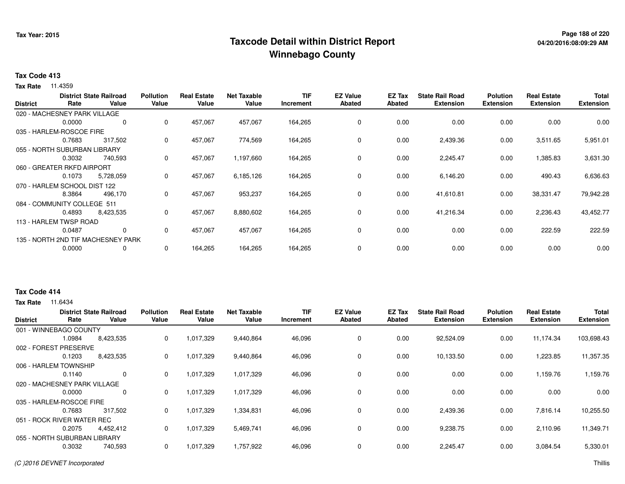# **Page 188 of 220 Taxcode Detail within District ReportWinnebago County**

### **Tax Code 413**

**Tax Rate** 11.4359

|                 |                              | <b>District State Railroad</b>     | <b>Pollution</b> | <b>Real Estate</b> | <b>Net Taxable</b> | <b>TIF</b> | <b>EZ Value</b> | <b>EZ Tax</b> | <b>State Rail Road</b> | <b>Polution</b>  | <b>Real Estate</b> | <b>Total</b>     |
|-----------------|------------------------------|------------------------------------|------------------|--------------------|--------------------|------------|-----------------|---------------|------------------------|------------------|--------------------|------------------|
| <b>District</b> | Rate                         | Value                              | Value            | Value              | Value              | Increment  | <b>Abated</b>   | <b>Abated</b> | <b>Extension</b>       | <b>Extension</b> | <b>Extension</b>   | <b>Extension</b> |
|                 | 020 - MACHESNEY PARK VILLAGE |                                    |                  |                    |                    |            |                 |               |                        |                  |                    |                  |
|                 | 0.0000                       | 0                                  | 0                | 457,067            | 457,067            | 164,265    | 0               | 0.00          | 0.00                   | 0.00             | 0.00               | 0.00             |
|                 | 035 - HARLEM-ROSCOE FIRE     |                                    |                  |                    |                    |            |                 |               |                        |                  |                    |                  |
|                 | 0.7683                       | 317,502                            | 0                | 457,067            | 774,569            | 164,265    | $\mathbf 0$     | 0.00          | 2,439.36               | 0.00             | 3,511.65           | 5,951.01         |
|                 | 055 - NORTH SUBURBAN LIBRARY |                                    |                  |                    |                    |            |                 |               |                        |                  |                    |                  |
|                 | 0.3032                       | 740,593                            | 0                | 457,067            | 1,197,660          | 164,265    | 0               | 0.00          | 2,245.47               | 0.00             | 1,385.83           | 3,631.30         |
|                 | 060 - GREATER RKFD AIRPORT   |                                    |                  |                    |                    |            |                 |               |                        |                  |                    |                  |
|                 | 0.1073                       | 5,728,059                          | 0                | 457,067            | 6,185,126          | 164,265    | 0               | 0.00          | 6,146.20               | 0.00             | 490.43             | 6,636.63         |
|                 | 070 - HARLEM SCHOOL DIST 122 |                                    |                  |                    |                    |            |                 |               |                        |                  |                    |                  |
|                 | 8.3864                       | 496,170                            | 0                | 457,067            | 953,237            | 164,265    | $\mathbf 0$     | 0.00          | 41,610.81              | 0.00             | 38,331.47          | 79,942.28        |
|                 | 084 - COMMUNITY COLLEGE 511  |                                    |                  |                    |                    |            |                 |               |                        |                  |                    |                  |
|                 | 0.4893                       | 8,423,535                          | 0                | 457,067            | 8,880,602          | 164,265    | $\mathbf 0$     | 0.00          | 41,216.34              | 0.00             | 2,236.43           | 43,452.77        |
|                 | 113 - HARLEM TWSP ROAD       |                                    |                  |                    |                    |            |                 |               |                        |                  |                    |                  |
|                 | 0.0487                       | 0                                  | 0                | 457,067            | 457,067            | 164,265    | 0               | 0.00          | 0.00                   | 0.00             | 222.59             | 222.59           |
|                 |                              | 135 - NORTH 2ND TIF MACHESNEY PARK |                  |                    |                    |            |                 |               |                        |                  |                    |                  |
|                 | 0.0000                       | 0                                  | 0                | 164,265            | 164,265            | 164,265    | 0               | 0.00          | 0.00                   | 0.00             | 0.00               | 0.00             |
|                 |                              |                                    |                  |                    |                    |            |                 |               |                        |                  |                    |                  |

### **Tax Code 414**

| <b>District</b> | Rate                         | <b>District State Railroad</b><br>Value | <b>Pollution</b><br>Value | <b>Real Estate</b><br>Value | <b>Net Taxable</b><br>Value | <b>TIF</b><br>Increment | <b>EZ Value</b><br><b>Abated</b> | EZ Tax<br>Abated | <b>State Rail Road</b><br><b>Extension</b> | <b>Polution</b><br><b>Extension</b> | <b>Real Estate</b><br><b>Extension</b> | <b>Total</b><br><b>Extension</b> |
|-----------------|------------------------------|-----------------------------------------|---------------------------|-----------------------------|-----------------------------|-------------------------|----------------------------------|------------------|--------------------------------------------|-------------------------------------|----------------------------------------|----------------------------------|
|                 | 001 - WINNEBAGO COUNTY       |                                         |                           |                             |                             |                         |                                  |                  |                                            |                                     |                                        |                                  |
|                 | 1.0984                       | 8,423,535                               | 0                         | 1,017,329                   | 9,440,864                   | 46,096                  | $\mathbf 0$                      | 0.00             | 92,524.09                                  | 0.00                                | 11,174.34                              | 103,698.43                       |
| 002 - FOREST    | <b>PRESERVE</b>              |                                         |                           |                             |                             |                         |                                  |                  |                                            |                                     |                                        |                                  |
|                 | 0.1203                       | 8,423,535                               | 0                         | 1,017,329                   | 9,440,864                   | 46,096                  | $\mathbf 0$                      | 0.00             | 10,133.50                                  | 0.00                                | 1,223.85                               | 11,357.35                        |
|                 | 006 - HARLEM TOWNSHIP        |                                         |                           |                             |                             |                         |                                  |                  |                                            |                                     |                                        |                                  |
|                 | 0.1140                       | $\Omega$                                | 0                         | 1,017,329                   | 1,017,329                   | 46,096                  | 0                                | 0.00             | 0.00                                       | 0.00                                | 1,159.76                               | 1,159.76                         |
|                 | 020 - MACHESNEY PARK VILLAGE |                                         |                           |                             |                             |                         |                                  |                  |                                            |                                     |                                        |                                  |
|                 | 0.0000                       | 0                                       | 0                         | 1,017,329                   | 1,017,329                   | 46,096                  | 0                                | 0.00             | 0.00                                       | 0.00                                | 0.00                                   | 0.00                             |
|                 | 035 - HARLEM-ROSCOE FIRE     |                                         |                           |                             |                             |                         |                                  |                  |                                            |                                     |                                        |                                  |
|                 | 0.7683                       | 317,502                                 | 0                         | 1,017,329                   | 1,334,831                   | 46,096                  | 0                                | 0.00             | 2,439.36                                   | 0.00                                | 7,816.14                               | 10,255.50                        |
|                 | 051 - ROCK RIVER WATER REC   |                                         |                           |                             |                             |                         |                                  |                  |                                            |                                     |                                        |                                  |
|                 | 0.2075                       | 4,452,412                               | 0                         | 1,017,329                   | 5,469,741                   | 46,096                  | 0                                | 0.00             | 9,238.75                                   | 0.00                                | 2,110.96                               | 11,349.71                        |
|                 | 055 - NORTH SUBURBAN LIBRARY |                                         |                           |                             |                             |                         |                                  |                  |                                            |                                     |                                        |                                  |
|                 | 0.3032                       | 740,593                                 | 0                         | 1,017,329                   | 1,757,922                   | 46,096                  | $\mathbf 0$                      | 0.00             | 2,245.47                                   | 0.00                                | 3,084.54                               | 5,330.01                         |
|                 |                              |                                         |                           |                             |                             |                         |                                  |                  |                                            |                                     |                                        |                                  |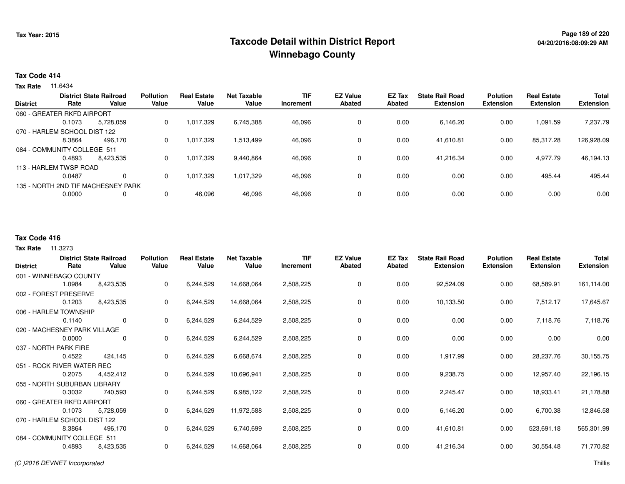# **Page 189 of 220 Taxcode Detail within District ReportWinnebago County**

#### **Tax Code 414**

**Tax Rate** 11.6434

|                 |                              | <b>District State Railroad</b>     | <b>Pollution</b> | <b>Real Estate</b> | Net Taxable | <b>TIF</b> | <b>EZ Value</b> | EZ Tax | <b>State Rail Road</b> | <b>Polution</b>  | <b>Real Estate</b> | <b>Total</b>     |
|-----------------|------------------------------|------------------------------------|------------------|--------------------|-------------|------------|-----------------|--------|------------------------|------------------|--------------------|------------------|
| <b>District</b> | Rate                         | Value                              | Value            | Value              | Value       | Increment  | Abated          | Abated | <b>Extension</b>       | <b>Extension</b> | <b>Extension</b>   | <b>Extension</b> |
|                 | 060 - GREATER RKFD AIRPORT   |                                    |                  |                    |             |            |                 |        |                        |                  |                    |                  |
|                 | 0.1073                       | 5.728.059                          | 0                | 1,017,329          | 6,745,388   | 46,096     | 0               | 0.00   | 6,146.20               | 0.00             | 1,091.59           | 7,237.79         |
|                 | 070 - HARLEM SCHOOL DIST 122 |                                    |                  |                    |             |            |                 |        |                        |                  |                    |                  |
|                 | 8.3864                       | 496.170                            | 0                | 1,017,329          | 1,513,499   | 46,096     | 0               | 0.00   | 41.610.81              | 0.00             | 85,317.28          | 126,928.09       |
|                 | 084 - COMMUNITY COLLEGE 511  |                                    |                  |                    |             |            |                 |        |                        |                  |                    |                  |
|                 | 0.4893                       | 8.423.535                          | 0                | 1,017,329          | 9,440,864   | 46,096     | 0               | 0.00   | 41.216.34              | 0.00             | 4,977.79           | 46,194.13        |
|                 | 113 - HARLEM TWSP ROAD       |                                    |                  |                    |             |            |                 |        |                        |                  |                    |                  |
|                 | 0.0487                       | 0                                  | $\Omega$         | 1,017,329          | 1,017,329   | 46,096     | 0               | 0.00   | 0.00                   | 0.00             | 495.44             | 495.44           |
|                 |                              | 135 - NORTH 2ND TIF MACHESNEY PARK |                  |                    |             |            |                 |        |                        |                  |                    |                  |
|                 | 0.0000                       |                                    | 0                | 46,096             | 46,096      | 46,096     | 0               | 0.00   | 0.00                   | 0.00             | 0.00               | 0.00             |
|                 |                              |                                    |                  |                    |             |            |                 |        |                        |                  |                    |                  |

### **Tax Code 416**

| <b>District</b> | Rate                         | <b>District State Railroad</b><br>Value | <b>Pollution</b><br>Value | <b>Real Estate</b><br>Value | <b>Net Taxable</b><br>Value | <b>TIF</b><br>Increment | <b>EZ Value</b><br>Abated | EZ Tax<br>Abated | <b>State Rail Road</b><br><b>Extension</b> | <b>Polution</b><br><b>Extension</b> | <b>Real Estate</b><br><b>Extension</b> | <b>Total</b><br><b>Extension</b> |
|-----------------|------------------------------|-----------------------------------------|---------------------------|-----------------------------|-----------------------------|-------------------------|---------------------------|------------------|--------------------------------------------|-------------------------------------|----------------------------------------|----------------------------------|
|                 | 001 - WINNEBAGO COUNTY       |                                         |                           |                             |                             |                         |                           |                  |                                            |                                     |                                        |                                  |
|                 | 1.0984                       | 8,423,535                               | 0                         | 6,244,529                   | 14,668,064                  | 2,508,225               | 0                         | 0.00             | 92,524.09                                  | 0.00                                | 68,589.91                              | 161,114.00                       |
|                 | 002 - FOREST PRESERVE        |                                         |                           |                             |                             |                         |                           |                  |                                            |                                     |                                        |                                  |
|                 | 0.1203                       | 8,423,535                               | 0                         | 6,244,529                   | 14,668,064                  | 2,508,225               | 0                         | 0.00             | 10,133.50                                  | 0.00                                | 7,512.17                               | 17,645.67                        |
|                 | 006 - HARLEM TOWNSHIP        |                                         |                           |                             |                             |                         |                           |                  |                                            |                                     |                                        |                                  |
|                 | 0.1140                       | $\mathbf 0$                             | 0                         | 6,244,529                   | 6,244,529                   | 2,508,225               | 0                         | 0.00             | 0.00                                       | 0.00                                | 7,118.76                               | 7,118.76                         |
|                 | 020 - MACHESNEY PARK VILLAGE |                                         |                           |                             |                             |                         |                           |                  |                                            |                                     |                                        |                                  |
|                 | 0.0000                       | 0                                       | 0                         | 6,244,529                   | 6,244,529                   | 2,508,225               | 0                         | 0.00             | 0.00                                       | 0.00                                | 0.00                                   | 0.00                             |
|                 | 037 - NORTH PARK FIRE        |                                         |                           |                             |                             |                         |                           |                  |                                            |                                     |                                        |                                  |
|                 | 0.4522                       | 424,145                                 | 0                         | 6,244,529                   | 6,668,674                   | 2,508,225               | 0                         | 0.00             | 1,917.99                                   | 0.00                                | 28,237.76                              | 30,155.75                        |
|                 | 051 - ROCK RIVER WATER REC   |                                         |                           |                             |                             |                         |                           |                  |                                            |                                     |                                        |                                  |
|                 | 0.2075                       | 4,452,412                               | 0                         | 6,244,529                   | 10,696,941                  | 2,508,225               | 0                         | 0.00             | 9,238.75                                   | 0.00                                | 12,957.40                              | 22,196.15                        |
|                 | 055 - NORTH SUBURBAN LIBRARY |                                         |                           |                             |                             |                         |                           |                  |                                            |                                     |                                        |                                  |
|                 | 0.3032                       | 740,593                                 | 0                         | 6,244,529                   | 6,985,122                   | 2,508,225               | 0                         | 0.00             | 2,245.47                                   | 0.00                                | 18,933.41                              | 21,178.88                        |
|                 | 060 - GREATER RKFD AIRPORT   |                                         |                           |                             |                             |                         |                           |                  |                                            |                                     |                                        |                                  |
|                 | 0.1073                       | 5,728,059                               | 0                         | 6,244,529                   | 11,972,588                  | 2,508,225               | 0                         | 0.00             | 6,146.20                                   | 0.00                                | 6,700.38                               | 12,846.58                        |
|                 | 070 - HARLEM SCHOOL DIST 122 |                                         |                           |                             |                             |                         |                           |                  |                                            |                                     |                                        |                                  |
|                 | 8.3864                       | 496,170                                 | 0                         | 6,244,529                   | 6,740,699                   | 2,508,225               | 0                         | 0.00             | 41,610.81                                  | 0.00                                | 523,691.18                             | 565,301.99                       |
|                 | 084 - COMMUNITY COLLEGE 511  |                                         |                           |                             |                             |                         |                           |                  |                                            |                                     |                                        |                                  |
|                 | 0.4893                       | 8,423,535                               | 0                         | 6,244,529                   | 14,668,064                  | 2,508,225               | 0                         | 0.00             | 41,216.34                                  | 0.00                                | 30,554.48                              | 71,770.82                        |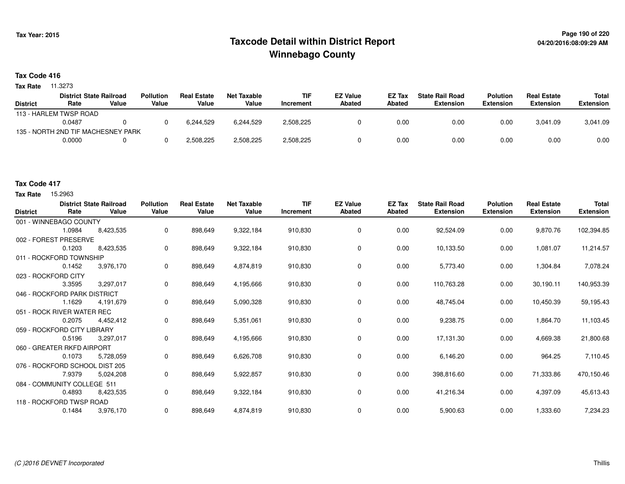# **Page 190 of 220 Taxcode Detail within District ReportWinnebago County**

#### **Tax Code 416**

**Tax Rate** 11.3273

|                 | <b>District State Railroad</b>     |       | <b>Pollution</b> | <b>Real Estate</b> | Net Taxable | <b>TIF</b> | <b>EZ Value</b> | EZ Tax | <b>State Rail Road</b> | <b>Polution</b>  | <b>Real Estate</b> | Total            |
|-----------------|------------------------------------|-------|------------------|--------------------|-------------|------------|-----------------|--------|------------------------|------------------|--------------------|------------------|
| <b>District</b> | Rate                               | Value | Value            | Value              | Value       | Increment  | Abated          | Abated | Extension              | <b>Extension</b> | <b>Extension</b>   | <b>Extension</b> |
|                 | 113 - HARLEM TWSP ROAD             |       |                  |                    |             |            |                 |        |                        |                  |                    |                  |
|                 | 0.0487                             |       |                  | 6.244.529          | 6.244.529   | 2,508,225  |                 | 0.00   | 0.00                   | 0.00             | 3.041.09           | 3,041.09         |
|                 | 135 - NORTH 2ND TIF MACHESNEY PARK |       |                  |                    |             |            |                 |        |                        |                  |                    |                  |
|                 | 0.0000                             |       |                  | 2,508,225          | 2,508,225   | 2,508,225  |                 | 0.00   | 0.00                   | 0.00             | 0.00               | 0.00             |

### **Tax Code 417**

**Tax Rate** 15,2963

| <b>District</b>     | Rate                         | <b>District State Railroad</b><br>Value | <b>Pollution</b><br>Value | <b>Real Estate</b><br>Value | <b>Net Taxable</b><br>Value | <b>TIF</b><br>Increment | <b>EZ Value</b><br>Abated | EZ Tax<br>Abated | <b>State Rail Road</b><br><b>Extension</b> | <b>Polution</b><br><b>Extension</b> | <b>Real Estate</b><br><b>Extension</b> | <b>Total</b><br><b>Extension</b> |
|---------------------|------------------------------|-----------------------------------------|---------------------------|-----------------------------|-----------------------------|-------------------------|---------------------------|------------------|--------------------------------------------|-------------------------------------|----------------------------------------|----------------------------------|
|                     | 001 - WINNEBAGO COUNTY       |                                         |                           |                             |                             |                         |                           |                  |                                            |                                     |                                        |                                  |
|                     | 1.0984                       | 8,423,535                               | 0                         | 898,649                     | 9,322,184                   | 910,830                 | 0                         | 0.00             | 92,524.09                                  | 0.00                                | 9,870.76                               | 102,394.85                       |
|                     | 002 - FOREST PRESERVE        |                                         |                           |                             |                             |                         |                           |                  |                                            |                                     |                                        |                                  |
|                     | 0.1203                       | 8,423,535                               | 0                         | 898,649                     | 9,322,184                   | 910,830                 | 0                         | 0.00             | 10,133.50                                  | 0.00                                | 1,081.07                               | 11,214.57                        |
|                     | 011 - ROCKFORD TOWNSHIP      |                                         |                           |                             |                             |                         |                           |                  |                                            |                                     |                                        |                                  |
|                     | 0.1452                       | 3,976,170                               | 0                         | 898,649                     | 4,874,819                   | 910,830                 | 0                         | 0.00             | 5,773.40                                   | 0.00                                | 1,304.84                               | 7,078.24                         |
| 023 - ROCKFORD CITY |                              |                                         |                           |                             |                             |                         |                           |                  |                                            |                                     |                                        |                                  |
|                     | 3.3595                       | 3,297,017                               | 0                         | 898,649                     | 4,195,666                   | 910,830                 | 0                         | 0.00             | 110,763.28                                 | 0.00                                | 30,190.11                              | 140,953.39                       |
|                     | 046 - ROCKFORD PARK DISTRICT |                                         |                           |                             |                             |                         |                           |                  |                                            |                                     |                                        |                                  |
|                     | 1.1629                       | 4,191,679                               | 0                         | 898,649                     | 5,090,328                   | 910,830                 | 0                         | 0.00             | 48,745.04                                  | 0.00                                | 10,450.39                              | 59,195.43                        |
|                     | 051 - ROCK RIVER WATER REC   |                                         |                           |                             |                             |                         |                           |                  |                                            |                                     |                                        |                                  |
|                     | 0.2075                       | 4,452,412                               | 0                         | 898,649                     | 5,351,061                   | 910,830                 | 0                         | 0.00             | 9,238.75                                   | 0.00                                | 1,864.70                               | 11,103.45                        |
|                     | 059 - ROCKFORD CITY LIBRARY  |                                         |                           |                             |                             |                         |                           |                  |                                            |                                     |                                        |                                  |
|                     | 0.5196                       | 3,297,017                               | 0                         | 898,649                     | 4,195,666                   | 910,830                 | 0                         | 0.00             | 17,131.30                                  | 0.00                                | 4,669.38                               | 21,800.68                        |
|                     | 060 - GREATER RKFD AIRPORT   |                                         |                           |                             |                             |                         |                           |                  |                                            |                                     |                                        |                                  |
|                     | 0.1073                       | 5,728,059                               | 0                         | 898,649                     | 6,626,708                   | 910,830                 | 0                         | 0.00             | 6,146.20                                   | 0.00                                | 964.25                                 | 7,110.45                         |
|                     |                              | 076 - ROCKFORD SCHOOL DIST 205          |                           |                             |                             |                         |                           |                  |                                            |                                     |                                        |                                  |
|                     | 7.9379                       | 5,024,208                               | 0                         | 898,649                     | 5,922,857                   | 910,830                 | 0                         | 0.00             | 398,816.60                                 | 0.00                                | 71,333.86                              | 470,150.46                       |
|                     | 084 - COMMUNITY COLLEGE 511  |                                         |                           |                             |                             |                         |                           |                  |                                            |                                     |                                        |                                  |
|                     | 0.4893                       | 8,423,535                               | 0                         | 898,649                     | 9,322,184                   | 910.830                 | 0                         | 0.00             | 41,216.34                                  | 0.00                                | 4,397.09                               | 45,613.43                        |
|                     | 118 - ROCKFORD TWSP ROAD     |                                         |                           |                             |                             |                         |                           |                  |                                            |                                     |                                        |                                  |
|                     | 0.1484                       | 3,976,170                               | 0                         | 898.649                     | 4,874,819                   | 910,830                 | 0                         | 0.00             | 5,900.63                                   | 0.00                                | 1,333.60                               | 7,234.23                         |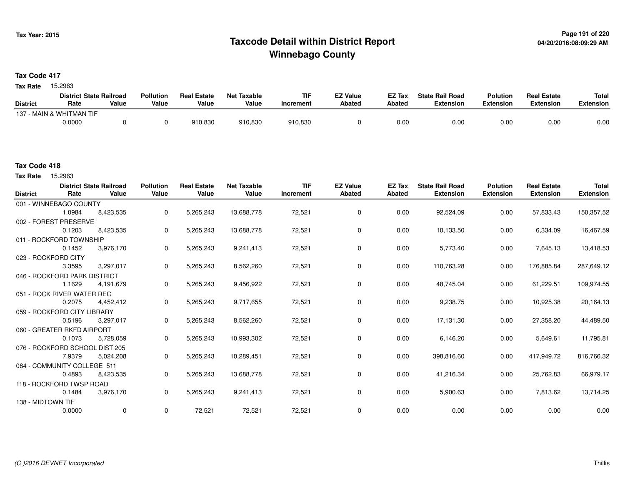# **Page 191 of 220 Taxcode Detail within District ReportWinnebago County**

**Tax Code 417**

Tax Rate 15.2963

|                 | <b>District State Railroad</b> |       | <b>Pollution</b> | <b>Real Estate</b> | Net Taxable | <b>TIF</b> | <b>EZ Value</b> | <b>EZ Tax</b> | <b>State Rail Road</b> | <b>Polution</b>  | <b>Real Estate</b> | <b>Total</b> |
|-----------------|--------------------------------|-------|------------------|--------------------|-------------|------------|-----------------|---------------|------------------------|------------------|--------------------|--------------|
| <b>District</b> | Rate                           | Value | Value            | Value              | Value       | Increment  | <b>Abated</b>   | Abated        | <b>Extension</b>       | <b>Extension</b> | <b>Extension</b>   | Extension    |
|                 | 137 - MAIN & WHITMAN TIF       |       |                  |                    |             |            |                 |               |                        |                  |                    |              |
|                 | 0.0000                         |       |                  | 910,830            | 910,830     | 910,830    |                 | 0.00          | 0.00                   | 0.00             | 0.00               | 0.00         |

Tax Rate 15.2963

| <b>District</b>   | <b>District State Railroad</b><br>Rate | Value       | <b>Pollution</b><br>Value | <b>Real Estate</b><br>Value | <b>Net Taxable</b><br>Value | <b>TIF</b><br>Increment | <b>EZ Value</b><br>Abated | <b>EZ Tax</b><br>Abated | <b>State Rail Road</b><br><b>Extension</b> | <b>Polution</b><br><b>Extension</b> | <b>Real Estate</b><br><b>Extension</b> | <b>Total</b><br><b>Extension</b> |
|-------------------|----------------------------------------|-------------|---------------------------|-----------------------------|-----------------------------|-------------------------|---------------------------|-------------------------|--------------------------------------------|-------------------------------------|----------------------------------------|----------------------------------|
|                   | 001 - WINNEBAGO COUNTY                 |             |                           |                             |                             |                         |                           |                         |                                            |                                     |                                        |                                  |
|                   | 1.0984                                 | 8,423,535   | $\mathbf{0}$              | 5,265,243                   | 13,688,778                  | 72,521                  | 0                         | 0.00                    | 92,524.09                                  | 0.00                                | 57,833.43                              | 150,357.52                       |
|                   | 002 - FOREST PRESERVE                  |             |                           |                             |                             |                         |                           |                         |                                            |                                     |                                        |                                  |
|                   | 0.1203                                 | 8,423,535   | $\mathbf 0$               | 5,265,243                   | 13,688,778                  | 72,521                  | 0                         | 0.00                    | 10,133.50                                  | 0.00                                | 6,334.09                               | 16,467.59                        |
|                   | 011 - ROCKFORD TOWNSHIP                |             |                           |                             |                             |                         |                           |                         |                                            |                                     |                                        |                                  |
|                   | 0.1452                                 | 3,976,170   | $\mathbf 0$               | 5,265,243                   | 9,241,413                   | 72,521                  | 0                         | 0.00                    | 5,773.40                                   | 0.00                                | 7,645.13                               | 13,418.53                        |
|                   | 023 - ROCKFORD CITY                    |             |                           |                             |                             |                         |                           |                         |                                            |                                     |                                        |                                  |
|                   | 3.3595                                 | 3,297,017   | $\Omega$                  | 5,265,243                   | 8,562,260                   | 72,521                  | $\mathbf 0$               | 0.00                    | 110,763.28                                 | 0.00                                | 176,885.84                             | 287,649.12                       |
|                   | 046 - ROCKFORD PARK DISTRICT           |             |                           |                             |                             |                         |                           |                         |                                            |                                     |                                        |                                  |
|                   | 1.1629                                 | 4,191,679   | $\mathbf 0$               | 5,265,243                   | 9,456,922                   | 72,521                  | 0                         | 0.00                    | 48,745.04                                  | 0.00                                | 61,229.51                              | 109,974.55                       |
|                   | 051 - ROCK RIVER WATER REC             |             |                           |                             |                             |                         |                           |                         |                                            |                                     |                                        |                                  |
|                   | 0.2075                                 | 4.452.412   | $\mathbf 0$               | 5,265,243                   | 9,717,655                   | 72,521                  | 0                         | 0.00                    | 9,238.75                                   | 0.00                                | 10,925.38                              | 20,164.13                        |
|                   | 059 - ROCKFORD CITY LIBRARY            |             |                           |                             |                             |                         |                           |                         |                                            |                                     |                                        |                                  |
|                   | 0.5196                                 | 3,297,017   | 0                         | 5,265,243                   | 8,562,260                   | 72,521                  | $\mathbf 0$               | 0.00                    | 17,131.30                                  | 0.00                                | 27,358.20                              | 44,489.50                        |
|                   | 060 - GREATER RKFD AIRPORT             |             |                           |                             |                             |                         |                           |                         |                                            |                                     |                                        |                                  |
|                   | 0.1073                                 | 5,728,059   | $\mathbf{0}$              | 5,265,243                   | 10,993,302                  | 72,521                  | $\mathbf 0$               | 0.00                    | 6,146.20                                   | 0.00                                | 5,649.61                               | 11,795.81                        |
|                   | 076 - ROCKFORD SCHOOL DIST 205         |             |                           |                             |                             |                         |                           |                         |                                            |                                     |                                        |                                  |
|                   | 7.9379                                 | 5,024,208   | 0                         | 5,265,243                   | 10,289,451                  | 72,521                  | 0                         | 0.00                    | 398,816.60                                 | 0.00                                | 417,949.72                             | 816,766.32                       |
|                   | 084 - COMMUNITY COLLEGE 511            |             |                           |                             |                             |                         |                           |                         |                                            |                                     |                                        |                                  |
|                   | 0.4893                                 | 8,423,535   | $\mathbf{0}$              | 5,265,243                   | 13,688,778                  | 72,521                  | 0                         | 0.00                    | 41,216.34                                  | 0.00                                | 25,762.83                              | 66,979.17                        |
|                   | 118 - ROCKFORD TWSP ROAD               |             |                           |                             |                             |                         |                           |                         |                                            |                                     |                                        |                                  |
|                   | 0.1484                                 | 3,976,170   | $\mathbf{0}$              | 5,265,243                   | 9,241,413                   | 72,521                  | $\mathbf 0$               | 0.00                    | 5,900.63                                   | 0.00                                | 7,813.62                               | 13,714.25                        |
| 138 - MIDTOWN TIF |                                        |             |                           |                             |                             |                         |                           |                         |                                            |                                     |                                        |                                  |
|                   | 0.0000                                 | $\mathbf 0$ | $\mathbf 0$               | 72,521                      | 72,521                      | 72,521                  | $\mathbf 0$               | 0.00                    | 0.00                                       | 0.00                                | 0.00                                   | 0.00                             |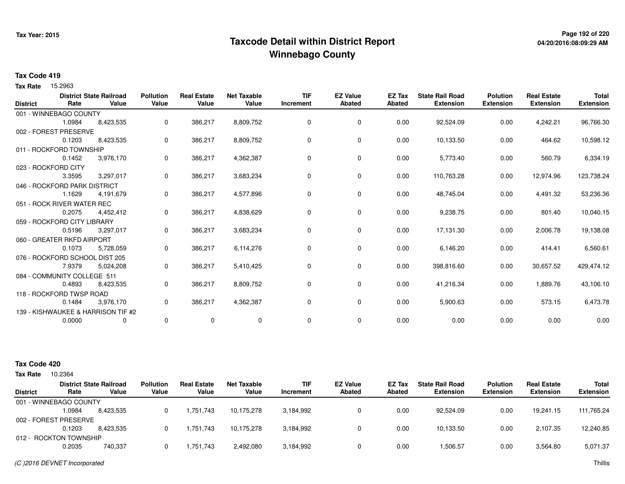# **Page 192 of 220 Taxcode Detail within District ReportWinnebago County**

### **Tax Code 419**

Tax Rate 15.2963

|                 |                                | <b>District State Railroad</b>     | <b>Pollution</b> | <b>Real Estate</b> | <b>Net Taxable</b> | <b>TIF</b> | <b>EZ Value</b> | <b>EZ Tax</b> | <b>State Rail Road</b> | <b>Polution</b>  | <b>Real Estate</b> | <b>Total</b>     |
|-----------------|--------------------------------|------------------------------------|------------------|--------------------|--------------------|------------|-----------------|---------------|------------------------|------------------|--------------------|------------------|
| <b>District</b> | Rate                           | Value                              | Value            | Value              | Value              | Increment  | Abated          | <b>Abated</b> | <b>Extension</b>       | <b>Extension</b> | <b>Extension</b>   | <b>Extension</b> |
|                 | 001 - WINNEBAGO COUNTY         |                                    |                  |                    |                    |            |                 |               |                        |                  |                    |                  |
|                 | 1.0984                         | 8,423,535                          | 0                | 386,217            | 8,809,752          | 0          | 0               | 0.00          | 92,524.09              | 0.00             | 4,242.21           | 96,766.30        |
|                 | 002 - FOREST PRESERVE          |                                    |                  |                    |                    |            |                 |               |                        |                  |                    |                  |
|                 | 0.1203                         | 8,423,535                          | 0                | 386,217            | 8,809,752          | 0          | $\mathbf 0$     | 0.00          | 10,133.50              | 0.00             | 464.62             | 10,598.12        |
|                 | 011 - ROCKFORD TOWNSHIP        |                                    |                  |                    |                    |            |                 |               |                        |                  |                    |                  |
|                 | 0.1452                         | 3,976,170                          | 0                | 386,217            | 4,362,387          | 0          | 0               | 0.00          | 5,773.40               | 0.00             | 560.79             | 6,334.19         |
|                 | 023 - ROCKFORD CITY            |                                    |                  |                    |                    |            |                 |               |                        |                  |                    |                  |
|                 | 3.3595                         | 3,297,017                          | 0                | 386,217            | 3,683,234          | 0          | 0               | 0.00          | 110,763.28             | 0.00             | 12,974.96          | 123,738.24       |
|                 | 046 - ROCKFORD PARK DISTRICT   |                                    |                  |                    |                    |            |                 |               |                        |                  |                    |                  |
|                 | 1.1629                         | 4,191,679                          | 0                | 386,217            | 4,577,896          | 0          | 0               | 0.00          | 48,745.04              | 0.00             | 4,491.32           | 53,236.36        |
|                 | 051 - ROCK RIVER WATER REC     |                                    |                  |                    |                    |            |                 |               |                        |                  |                    |                  |
|                 | 0.2075                         | 4,452,412                          | 0                | 386,217            | 4,838,629          | 0          | 0               | 0.00          | 9,238.75               | 0.00             | 801.40             | 10,040.15        |
|                 | 059 - ROCKFORD CITY LIBRARY    |                                    |                  |                    |                    |            |                 |               |                        |                  |                    |                  |
|                 | 0.5196                         | 3,297,017                          | 0                | 386,217            | 3,683,234          | 0          | 0               | 0.00          | 17,131.30              | 0.00             | 2,006.78           | 19,138.08        |
|                 | 060 - GREATER RKFD AIRPORT     |                                    |                  |                    |                    |            |                 |               |                        |                  |                    |                  |
|                 | 0.1073                         | 5,728,059                          | 0                | 386,217            | 6,114,276          | 0          | 0               | 0.00          | 6,146.20               | 0.00             | 414.41             | 6,560.61         |
|                 | 076 - ROCKFORD SCHOOL DIST 205 |                                    |                  |                    |                    |            |                 |               |                        |                  |                    |                  |
|                 | 7.9379                         | 5,024,208                          | 0                | 386,217            | 5,410,425          | 0          | 0               | 0.00          | 398,816.60             | 0.00             | 30,657.52          | 429,474.12       |
|                 | 084 - COMMUNITY COLLEGE 511    |                                    |                  |                    |                    |            |                 |               |                        |                  |                    |                  |
|                 | 0.4893                         | 8,423,535                          | 0                | 386,217            | 8,809,752          | 0          | 0               | 0.00          | 41,216.34              | 0.00             | 1,889.76           | 43,106.10        |
|                 | 118 - ROCKFORD TWSP ROAD       |                                    |                  |                    |                    |            |                 |               |                        |                  |                    |                  |
|                 | 0.1484                         | 3,976,170                          | 0                | 386,217            | 4,362,387          | 0          | 0               | 0.00          | 5,900.63               | 0.00             | 573.15             | 6,473.78         |
|                 |                                | 139 - KISHWAUKEE & HARRISON TIF #2 |                  |                    |                    |            |                 |               |                        |                  |                    |                  |
|                 | 0.0000                         | 0                                  | 0                | 0                  | 0                  | 0          | 0               | 0.00          | 0.00                   | 0.00             | 0.00               | 0.00             |
|                 |                                |                                    |                  |                    |                    |            |                 |               |                        |                  |                    |                  |

| <b>Tax Rate</b> | 10.2364                |                                         |                           |                             |                      |                  |                                  |                         |                                            |                                     |                                        |                                  |
|-----------------|------------------------|-----------------------------------------|---------------------------|-----------------------------|----------------------|------------------|----------------------------------|-------------------------|--------------------------------------------|-------------------------------------|----------------------------------------|----------------------------------|
| <b>District</b> | Rate                   | <b>District State Railroad</b><br>Value | <b>Pollution</b><br>Value | <b>Real Estate</b><br>Value | Net Taxable<br>Value | TIF<br>Increment | <b>EZ Value</b><br><b>Abated</b> | <b>EZ Tax</b><br>Abated | <b>State Rail Road</b><br><b>Extension</b> | <b>Polution</b><br><b>Extension</b> | <b>Real Estate</b><br><b>Extension</b> | <b>Total</b><br><b>Extension</b> |
|                 | 001 - WINNEBAGO COUNTY |                                         |                           |                             |                      |                  |                                  |                         |                                            |                                     |                                        |                                  |
|                 | 1.0984                 | 8.423.535                               | 0                         | 1,751,743                   | 10.175.278           | 3,184,992        |                                  | 0.00                    | 92.524.09                                  | 0.00                                | 19.241.15                              | 111,765.24                       |
|                 | 002 - FOREST PRESERVE  |                                         |                           |                             |                      |                  |                                  |                         |                                            |                                     |                                        |                                  |
|                 | 0.1203                 | 8.423.535                               | 0                         | 1,751,743                   | 10.175.278           | 3,184,992        |                                  | 0.00                    | 10,133.50                                  | 0.00                                | 2,107.35                               | 12,240.85                        |
|                 | 012 - ROCKTON TOWNSHIP |                                         |                           |                             |                      |                  |                                  |                         |                                            |                                     |                                        |                                  |
|                 | 0.2035                 | 740.337                                 | 0                         | 1,751,743                   | 2,492,080            | 3,184,992        |                                  | 0.00                    | 1,506.57                                   | 0.00                                | 3,564.80                               | 5,071.37                         |
|                 |                        |                                         |                           |                             |                      |                  |                                  |                         |                                            |                                     |                                        |                                  |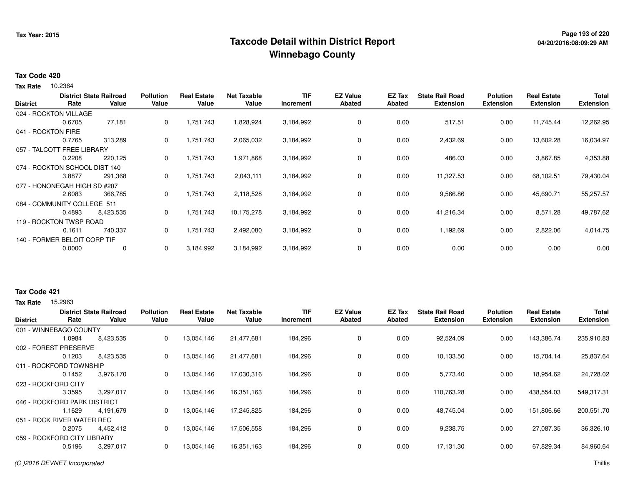# **Page 193 of 220 Taxcode Detail within District ReportWinnebago County**

#### **Tax Code 420**

10.2364 **Tax Rate**

|                               |        | <b>District State Railroad</b> | <b>Pollution</b> | <b>Real Estate</b> | <b>Net Taxable</b> | <b>TIF</b> | <b>EZ Value</b> | EZ Tax | <b>State Rail Road</b> | <b>Polution</b>  | <b>Real Estate</b> | <b>Total</b>     |
|-------------------------------|--------|--------------------------------|------------------|--------------------|--------------------|------------|-----------------|--------|------------------------|------------------|--------------------|------------------|
| <b>District</b>               | Rate   | Value                          | Value            | Value              | Value              | Increment  | <b>Abated</b>   | Abated | <b>Extension</b>       | <b>Extension</b> | <b>Extension</b>   | <b>Extension</b> |
| 024 - ROCKTON VILLAGE         |        |                                |                  |                    |                    |            |                 |        |                        |                  |                    |                  |
|                               | 0.6705 | 77,181                         | 0                | 1,751,743          | 1,828,924          | 3,184,992  | 0               | 0.00   | 517.51                 | 0.00             | 11,745.44          | 12,262.95        |
| 041 - ROCKTON FIRE            |        |                                |                  |                    |                    |            |                 |        |                        |                  |                    |                  |
|                               | 0.7765 | 313,289                        | $\mathbf{0}$     | 1,751,743          | 2,065,032          | 3,184,992  | 0               | 0.00   | 2,432.69               | 0.00             | 13,602.28          | 16,034.97        |
| 057 - TALCOTT FREE LIBRARY    |        |                                |                  |                    |                    |            |                 |        |                        |                  |                    |                  |
|                               | 0.2208 | 220,125                        | 0                | 1,751,743          | 1,971,868          | 3,184,992  | 0               | 0.00   | 486.03                 | 0.00             | 3,867.85           | 4,353.88         |
| 074 - ROCKTON SCHOOL DIST 140 |        |                                |                  |                    |                    |            |                 |        |                        |                  |                    |                  |
|                               | 3.8877 | 291,368                        | 0                | 1,751,743          | 2,043,111          | 3,184,992  | 0               | 0.00   | 11,327.53              | 0.00             | 68,102.51          | 79,430.04        |
| 077 - HONONEGAH HIGH SD #207  |        |                                |                  |                    |                    |            |                 |        |                        |                  |                    |                  |
|                               | 2.6083 | 366,785                        | 0                | 1,751,743          | 2,118,528          | 3,184,992  | 0               | 0.00   | 9,566.86               | 0.00             | 45,690.71          | 55,257.57        |
| 084 - COMMUNITY COLLEGE 511   |        |                                |                  |                    |                    |            |                 |        |                        |                  |                    |                  |
|                               | 0.4893 | 8,423,535                      | 0                | 1,751,743          | 10,175,278         | 3,184,992  | 0               | 0.00   | 41,216.34              | 0.00             | 8,571.28           | 49,787.62        |
| 119 - ROCKTON TWSP ROAD       |        |                                |                  |                    |                    |            |                 |        |                        |                  |                    |                  |
|                               | 0.1611 | 740,337                        | 0                | 1,751,743          | 2,492,080          | 3,184,992  | 0               | 0.00   | 1,192.69               | 0.00             | 2,822.06           | 4,014.75         |
| 140 - FORMER BELOIT CORP TIF  |        |                                |                  |                    |                    |            |                 |        |                        |                  |                    |                  |
|                               | 0.0000 | 0                              | 0                | 3,184,992          | 3,184,992          | 3,184,992  | 0               | 0.00   | 0.00                   | 0.00             | 0.00               | 0.00             |

### **Tax Code 421**

**Tax Rate** 15,2963

| <b>District</b> | Rate                         | <b>District State Railroad</b><br>Value | <b>Pollution</b><br>Value | <b>Real Estate</b><br>Value | <b>Net Taxable</b><br>Value | <b>TIF</b><br>Increment | <b>EZ Value</b><br><b>Abated</b> | EZ Tax<br>Abated | <b>State Rail Road</b><br><b>Extension</b> | <b>Polution</b><br><b>Extension</b> | <b>Real Estate</b><br><b>Extension</b> | <b>Total</b><br><b>Extension</b> |
|-----------------|------------------------------|-----------------------------------------|---------------------------|-----------------------------|-----------------------------|-------------------------|----------------------------------|------------------|--------------------------------------------|-------------------------------------|----------------------------------------|----------------------------------|
|                 | 001 - WINNEBAGO COUNTY       |                                         |                           |                             |                             |                         |                                  |                  |                                            |                                     |                                        |                                  |
|                 | 1.0984                       | 8,423,535                               | 0                         | 13,054,146                  | 21,477,681                  | 184,296                 | 0                                | 0.00             | 92,524.09                                  | 0.00                                | 143,386.74                             | 235,910.83                       |
| 002 - FOREST    | PRESERVE                     |                                         |                           |                             |                             |                         |                                  |                  |                                            |                                     |                                        |                                  |
|                 | 0.1203                       | 8,423,535                               | 0                         | 13,054,146                  | 21,477,681                  | 184,296                 | $\mathbf 0$                      | 0.00             | 10,133.50                                  | 0.00                                | 15,704.14                              | 25,837.64                        |
|                 | 011 - ROCKFORD TOWNSHIP      |                                         |                           |                             |                             |                         |                                  |                  |                                            |                                     |                                        |                                  |
|                 | 0.1452                       | 3,976,170                               | 0                         | 13,054,146                  | 17,030,316                  | 184,296                 | 0                                | 0.00             | 5,773.40                                   | 0.00                                | 18,954.62                              | 24,728.02                        |
|                 | 023 - ROCKFORD CITY          |                                         |                           |                             |                             |                         |                                  |                  |                                            |                                     |                                        |                                  |
|                 | 3.3595                       | 3,297,017                               | 0                         | 13,054,146                  | 16,351,163                  | 184,296                 | 0                                | 0.00             | 110,763.28                                 | 0.00                                | 438,554.03                             | 549,317.31                       |
|                 | 046 - ROCKFORD PARK DISTRICT |                                         |                           |                             |                             |                         |                                  |                  |                                            |                                     |                                        |                                  |
|                 | 1.1629                       | 4,191,679                               | 0                         | 13,054,146                  | 17,245,825                  | 184,296                 | 0                                | 0.00             | 48,745.04                                  | 0.00                                | 151,806.66                             | 200,551.70                       |
|                 | 051 - ROCK RIVER WATER REC   |                                         |                           |                             |                             |                         |                                  |                  |                                            |                                     |                                        |                                  |
|                 | 0.2075                       | 4,452,412                               | 0                         | 13,054,146                  | 17,506,558                  | 184,296                 | 0                                | 0.00             | 9,238.75                                   | 0.00                                | 27,087.35                              | 36,326.10                        |
|                 | 059 - ROCKFORD CITY LIBRARY  |                                         |                           |                             |                             |                         |                                  |                  |                                            |                                     |                                        |                                  |
|                 | 0.5196                       | 3,297,017                               | 0                         | 13,054,146                  | 16,351,163                  | 184,296                 | $\mathbf 0$                      | 0.00             | 17,131.30                                  | 0.00                                | 67,829.34                              | 84,960.64                        |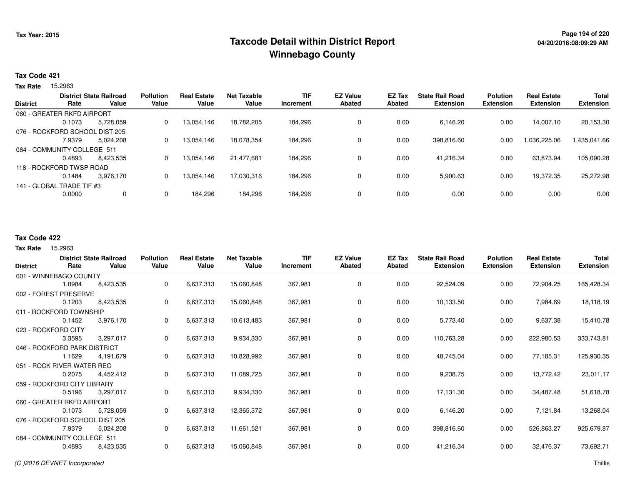### **Page 194 of 220 Taxcode Detail within District ReportWinnebago County**

#### **Tax Code 421**

Tax Rate 15.2963

| <b>District</b> |                                | <b>District State Railroad</b> | <b>Pollution</b> | <b>Real Estate</b> | Net Taxable | <b>TIF</b> | <b>EZ Value</b> | EZ Tax | <b>State Rail Road</b> | <b>Polution</b> | <b>Real Estate</b> | <b>Total</b>     |
|-----------------|--------------------------------|--------------------------------|------------------|--------------------|-------------|------------|-----------------|--------|------------------------|-----------------|--------------------|------------------|
|                 | Rate                           | Value                          | Value            | Value              | Value       | Increment  | <b>Abated</b>   | Abated | <b>Extension</b>       | Extension       | <b>Extension</b>   | <b>Extension</b> |
|                 | 060 - GREATER RKFD AIRPORT     |                                |                  |                    |             |            |                 |        |                        |                 |                    |                  |
|                 | 0.1073                         | 5.728.059                      | 0                | 13.054.146         | 18,782,205  | 184.296    | 0               | 0.00   | 6.146.20               | 0.00            | 14.007.10          | 20,153.30        |
|                 | 076 - ROCKFORD SCHOOL DIST 205 |                                |                  |                    |             |            |                 |        |                        |                 |                    |                  |
|                 | 7.9379                         | 5.024.208                      | $\Omega$         | 13.054.146         | 18.078.354  | 184,296    | 0               | 0.00   | 398,816.60             | 0.00            | 1,036,225.06       | 1,435,041.66     |
|                 | 084 - COMMUNITY COLLEGE 511    |                                |                  |                    |             |            |                 |        |                        |                 |                    |                  |
|                 | 0.4893                         | 8.423.535                      | 0                | 13.054.146         | 21.477.681  | 184.296    | 0               | 0.00   | 41,216.34              | 0.00            | 63,873.94          | 105,090.28       |
|                 | 118 - ROCKFORD TWSP ROAD       |                                |                  |                    |             |            |                 |        |                        |                 |                    |                  |
|                 | 0.1484                         | 3.976.170                      | 0                | 13,054,146         | 17,030,316  | 184,296    | 0               | 0.00   | 5,900.63               | 0.00            | 19,372.35          | 25,272.98        |
|                 | 141 - GLOBAL TRADE TIF #3      |                                |                  |                    |             |            |                 |        |                        |                 |                    |                  |
|                 | 0.0000                         |                                |                  | 184,296            | 184,296     | 184,296    | 0               | 0.00   | 0.00                   | 0.00            | 0.00               | 0.00             |
|                 |                                |                                |                  |                    |             |            |                 |        |                        |                 |                    |                  |

#### **Tax Code 422**

**State Railroad District ValueTIF IncrementEZ Value AbatedReal Estate ExtensionTotal Extension**Tax Rate 15.2963 **DistrictPollution ValueReal Estate ValueNet Taxable Value RatePolution ExtensionState Rail Road ExtensionEZ Tax Abated**72,904.25 165,428.34001 - WINNEBAGO COUNTY1.0984 8,423,535 <sup>0</sup> 6,637,313 15,060,848 367,981 <sup>0</sup> 0.00 92,524.09 0.00 7,984.69 18,118.19002 - FOREST PRESERVE0.12033 8,423,535 0 6,637,313 15,060,848 367,981 0 0.00 10,133.50 0.00 9,637.38 15,410.78011 - ROCKFORD TOWNSHIP3,976,170 0.14522 3,976,170 0 6,637,313 10,613,483 367,981 0 0.00 5,773.40 0.00 222,980.53 333,743.81023 - ROCKFORD CITY 3.3595 3,297,017 <sup>0</sup> 6,637,313 9,934,330 367,981 <sup>0</sup> 0.00 110,763.28 0.00 77,185.31 125,930.35046 - ROCKFORD PARK DISTRICT4.191.679 1.1629 4,191,679 <sup>0</sup> 6,637,313 10,828,992 367,981 <sup>0</sup> 0.00 48,745.04 0.00 13,772.42 23,011.17051 - ROCK RIVER WATER REC4,452,412 0.2075 4,452,412 <sup>0</sup> 6,637,313 11,089,725 367,981 <sup>0</sup> 0.00 9,238.75 0.00 34,487.48 51,618.78059 - ROCKFORD CITY LIBRARY3,297,017 0.5196 3,297,017 <sup>0</sup> 6,637,313 9,934,330 367,981 <sup>0</sup> 0.00 17,131.30 0.00 7,121.84 13,268.04060 - GREATER RKFD AIRPORT5,728,059 0.1073 5,728,059 <sup>0</sup> 6,637,313 12,365,372 367,981 <sup>0</sup> 0.00 6,146.20 0.00 526,863.27 925,679.87076 - ROCKFORD SCHOOL DIST 2055,024,208 7.9379 5,024,208 <sup>0</sup> 6,637,313 11,661,521 367,981 <sup>0</sup> 0.00 398,816.60 0.00 32,476.37 73,692.71084 - COMMUNITY COLLEGE 5118,423,535 0.48938,423,535 <sup>0</sup> 6,637,313 15,060,848 367,981 <sup>0</sup> 0.00 41,216.34 0.00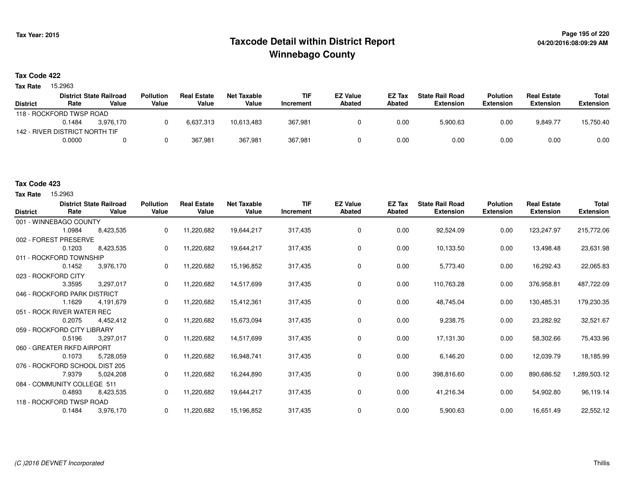# **Page 195 of 220 Taxcode Detail within District ReportWinnebago County**

### **Tax Code 422**

Tax Rate 15.2963

|                          |                                | <b>District State Railroad</b> | <b>Pollution</b> | <b>Real Estate</b> | Net Taxable | <b>TIF</b> | <b>EZ Value</b> | EZ Tax | <b>State Rail Road</b> | <b>Polution</b>  | <b>Real Estate</b> | Total            |
|--------------------------|--------------------------------|--------------------------------|------------------|--------------------|-------------|------------|-----------------|--------|------------------------|------------------|--------------------|------------------|
| <b>District</b>          | Rate                           | Value                          | Value            | Value              | Value       | Increment  | Abated          | Abated | Extension              | <b>Extension</b> | <b>Extension</b>   | <b>Extension</b> |
| 118 - ROCKFORD TWSP ROAD |                                |                                |                  |                    |             |            |                 |        |                        |                  |                    |                  |
|                          | 0.1484                         | 3.976.170                      |                  | 6,637,313          | 10.613.483  | 367,981    |                 | 0.00   | 5,900.63               | 0.00             | 9.849.77           | 15,750.40        |
|                          | 142 - RIVER DISTRICT NORTH TIF |                                |                  |                    |             |            |                 |        |                        |                  |                    |                  |
|                          | 0.0000                         |                                |                  | 367.981            | 367.981     | 367,981    |                 | 0.00   | 0.00                   | 0.00             | 0.00               | 0.00             |

### **Tax Code 423**

**Tax Rate** 15,2963

| <b>District</b> | Rate                           | <b>District State Railroad</b><br>Value | <b>Pollution</b><br>Value | <b>Real Estate</b><br>Value | <b>Net Taxable</b><br>Value | <b>TIF</b><br>Increment | <b>EZ Value</b><br><b>Abated</b> | EZ Tax<br>Abated | <b>State Rail Road</b><br><b>Extension</b> | <b>Polution</b><br><b>Extension</b> | <b>Real Estate</b><br><b>Extension</b> | <b>Total</b><br><b>Extension</b> |
|-----------------|--------------------------------|-----------------------------------------|---------------------------|-----------------------------|-----------------------------|-------------------------|----------------------------------|------------------|--------------------------------------------|-------------------------------------|----------------------------------------|----------------------------------|
|                 | 001 - WINNEBAGO COUNTY         |                                         |                           |                             |                             |                         |                                  |                  |                                            |                                     |                                        |                                  |
|                 | 1.0984                         | 8,423,535                               | 0                         | 11,220,682                  | 19,644,217                  | 317,435                 | 0                                | 0.00             | 92,524.09                                  | 0.00                                | 123,247.97                             | 215,772.06                       |
|                 | 002 - FOREST PRESERVE          |                                         |                           |                             |                             |                         |                                  |                  |                                            |                                     |                                        |                                  |
|                 | 0.1203                         | 8,423,535                               | 0                         | 11,220,682                  | 19,644,217                  | 317,435                 | 0                                | 0.00             | 10,133.50                                  | 0.00                                | 13,498.48                              | 23,631.98                        |
|                 | 011 - ROCKFORD TOWNSHIP        |                                         |                           |                             |                             |                         |                                  |                  |                                            |                                     |                                        |                                  |
|                 | 0.1452                         | 3,976,170                               |                           | 11,220,682                  | 15,196,852                  | 317,435                 | 0                                | 0.00             | 5,773.40                                   | 0.00                                | 16,292.43                              | 22,065.83                        |
|                 | 023 - ROCKFORD CITY            |                                         |                           |                             |                             |                         |                                  |                  |                                            |                                     |                                        |                                  |
|                 | 3.3595                         | 3,297,017                               | 0                         | 11,220,682                  | 14,517,699                  | 317,435                 | 0                                | 0.00             | 110,763.28                                 | 0.00                                | 376,958.81                             | 487,722.09                       |
|                 | 046 - ROCKFORD PARK DISTRICT   |                                         |                           |                             |                             |                         |                                  |                  |                                            |                                     |                                        |                                  |
|                 | 1.1629                         | 4,191,679                               | 0                         | 11,220,682                  | 15,412,361                  | 317,435                 | 0                                | 0.00             | 48,745.04                                  | 0.00                                | 130,485.31                             | 179,230.35                       |
|                 | 051 - ROCK RIVER WATER REC     |                                         |                           |                             |                             |                         |                                  |                  |                                            |                                     |                                        |                                  |
|                 | 0.2075                         | 4,452,412                               | 0                         | 11,220,682                  | 15,673,094                  | 317,435                 | 0                                | 0.00             | 9,238.75                                   | 0.00                                | 23,282.92                              | 32,521.67                        |
|                 | 059 - ROCKFORD CITY LIBRARY    |                                         |                           |                             |                             |                         |                                  |                  |                                            |                                     |                                        |                                  |
|                 | 0.5196                         | 3,297,017                               | 0                         | 11,220,682                  | 14,517,699                  | 317,435                 | 0                                | 0.00             | 17,131.30                                  | 0.00                                | 58,302.66                              | 75,433.96                        |
|                 | 060 - GREATER RKFD AIRPORT     |                                         |                           |                             |                             |                         |                                  |                  |                                            |                                     |                                        |                                  |
|                 | 0.1073                         | 5,728,059                               | 0                         | 11,220,682                  | 16,948,741                  | 317,435                 | 0                                | 0.00             | 6,146.20                                   | 0.00                                | 12,039.79                              | 18,185.99                        |
|                 | 076 - ROCKFORD SCHOOL DIST 205 |                                         |                           |                             |                             |                         |                                  |                  |                                            |                                     |                                        |                                  |
|                 | 7.9379                         | 5,024,208                               | 0                         | 11,220,682                  | 16,244,890                  | 317,435                 | 0                                | 0.00             | 398,816.60                                 | 0.00                                | 890,686.52                             | 1,289,503.12                     |
|                 | 084 - COMMUNITY COLLEGE 511    |                                         |                           |                             |                             |                         |                                  |                  |                                            |                                     |                                        |                                  |
|                 | 0.4893                         | 8,423,535                               | 0                         | 11,220,682                  | 19,644,217                  | 317,435                 | 0                                | 0.00             | 41,216.34                                  | 0.00                                | 54,902.80                              | 96,119.14                        |
|                 | 118 - ROCKFORD TWSP ROAD       |                                         |                           |                             |                             |                         |                                  |                  |                                            |                                     |                                        |                                  |
|                 | 0.1484                         | 3,976,170                               | 0                         | 11,220,682                  | 15,196,852                  | 317,435                 | 0                                | 0.00             | 5,900.63                                   | 0.00                                | 16,651.49                              | 22,552.12                        |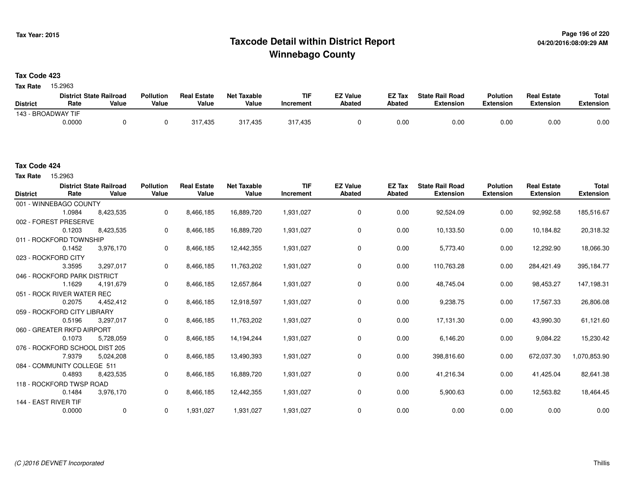# **Page 196 of 220 Taxcode Detail within District ReportWinnebago County**

### **Tax Code 423**

Tax Rate 15.2963

|                    | <b>District State Railroad</b> |       | <b>Pollution</b> | <b>Real Estate</b> | Net Taxable | <b>TIF</b>      | <b>EZ Value</b> | <b>EZ Tax</b> | <b>State Rail Road</b> | <b>Polution</b>  | <b>Real Estate</b> | <b>Total</b> |
|--------------------|--------------------------------|-------|------------------|--------------------|-------------|-----------------|-----------------|---------------|------------------------|------------------|--------------------|--------------|
| <b>District</b>    | Rate                           | Value | Value            | Value              | Value       | <b>ncrement</b> | <b>Abated</b>   | <b>Abated</b> | <b>Extension</b>       | <b>Extension</b> | <b>Extension</b>   | Extension    |
| 143 - BROADWAY TIF |                                |       |                  |                    |             |                 |                 |               |                        |                  |                    |              |
|                    | 0.0000                         |       |                  | 317,435            | 317,435     | 317,435         |                 | 0.00          | 0.00                   | 0.00             | 0.00               | 0.00         |

Tax Rate 15.2963

| <b>District</b>      | Rate                           | <b>District State Railroad</b><br>Value | <b>Pollution</b><br>Value | <b>Real Estate</b><br>Value | <b>Net Taxable</b><br>Value | <b>TIF</b><br>Increment | <b>EZ Value</b><br>Abated | <b>EZ Tax</b><br>Abated | <b>State Rail Road</b><br><b>Extension</b> | <b>Polution</b><br><b>Extension</b> | <b>Real Estate</b><br><b>Extension</b> | <b>Total</b><br><b>Extension</b> |
|----------------------|--------------------------------|-----------------------------------------|---------------------------|-----------------------------|-----------------------------|-------------------------|---------------------------|-------------------------|--------------------------------------------|-------------------------------------|----------------------------------------|----------------------------------|
|                      | 001 - WINNEBAGO COUNTY         |                                         |                           |                             |                             |                         |                           |                         |                                            |                                     |                                        |                                  |
|                      | 1.0984                         | 8,423,535                               | 0                         | 8,466,185                   | 16,889,720                  | 1,931,027               | $\mathbf 0$               | 0.00                    | 92,524.09                                  | 0.00                                | 92,992.58                              | 185,516.67                       |
|                      | 002 - FOREST PRESERVE          |                                         |                           |                             |                             |                         |                           |                         |                                            |                                     |                                        |                                  |
|                      | 0.1203                         | 8,423,535                               | 0                         | 8,466,185                   | 16,889,720                  | 1,931,027               | 0                         | 0.00                    | 10,133.50                                  | 0.00                                | 10,184.82                              | 20,318.32                        |
|                      | 011 - ROCKFORD TOWNSHIP        |                                         |                           |                             |                             |                         |                           |                         |                                            |                                     |                                        |                                  |
|                      | 0.1452                         | 3,976,170                               | 0                         | 8,466,185                   | 12,442,355                  | 1,931,027               | 0                         | 0.00                    | 5,773.40                                   | 0.00                                | 12,292.90                              | 18,066.30                        |
|                      | 023 - ROCKFORD CITY            |                                         |                           |                             |                             |                         |                           |                         |                                            |                                     |                                        |                                  |
|                      | 3.3595                         | 3,297,017                               | 0                         | 8,466,185                   | 11,763,202                  | 1,931,027               | $\mathbf 0$               | 0.00                    | 110,763.28                                 | 0.00                                | 284,421.49                             | 395,184.77                       |
|                      | 046 - ROCKFORD PARK DISTRICT   |                                         |                           |                             |                             |                         |                           |                         |                                            |                                     |                                        |                                  |
|                      | 1.1629                         | 4,191,679                               | 0                         | 8,466,185                   | 12,657,864                  | 1,931,027               | 0                         | 0.00                    | 48,745.04                                  | 0.00                                | 98,453.27                              | 147,198.31                       |
|                      | 051 - ROCK RIVER WATER REC     |                                         |                           |                             |                             |                         |                           |                         |                                            |                                     |                                        |                                  |
|                      | 0.2075                         | 4,452,412                               | 0                         | 8,466,185                   | 12,918,597                  | 1,931,027               | 0                         | 0.00                    | 9,238.75                                   | 0.00                                | 17,567.33                              | 26,806.08                        |
|                      | 059 - ROCKFORD CITY LIBRARY    |                                         |                           |                             |                             |                         |                           |                         |                                            |                                     |                                        |                                  |
|                      | 0.5196                         | 3,297,017                               | 0                         | 8,466,185                   | 11,763,202                  | 1,931,027               | 0                         | 0.00                    | 17,131.30                                  | 0.00                                | 43,990.30                              | 61,121.60                        |
|                      | 060 - GREATER RKFD AIRPORT     |                                         |                           |                             |                             |                         |                           |                         |                                            |                                     |                                        |                                  |
|                      | 0.1073                         | 5,728,059                               | 0                         | 8,466,185                   | 14,194,244                  | 1,931,027               | $\mathbf 0$               | 0.00                    | 6,146.20                                   | 0.00                                | 9,084.22                               | 15,230.42                        |
|                      | 076 - ROCKFORD SCHOOL DIST 205 |                                         |                           |                             |                             |                         |                           |                         |                                            |                                     |                                        |                                  |
|                      | 7.9379                         | 5,024,208                               | 0                         | 8,466,185                   | 13,490,393                  | 1,931,027               | 0                         | 0.00                    | 398,816.60                                 | 0.00                                | 672,037.30                             | 1,070,853.90                     |
|                      | 084 - COMMUNITY COLLEGE 511    |                                         |                           |                             |                             |                         |                           |                         |                                            |                                     |                                        |                                  |
|                      | 0.4893                         | 8,423,535                               | 0                         | 8,466,185                   | 16,889,720                  | 1,931,027               | 0                         | 0.00                    | 41,216.34                                  | 0.00                                | 41,425.04                              | 82,641.38                        |
|                      | 118 - ROCKFORD TWSP ROAD       |                                         |                           |                             |                             |                         |                           |                         |                                            |                                     |                                        |                                  |
|                      | 0.1484                         | 3,976,170                               | 0                         | 8,466,185                   | 12,442,355                  | 1,931,027               | 0                         | 0.00                    | 5,900.63                                   | 0.00                                | 12,563.82                              | 18,464.45                        |
| 144 - EAST RIVER TIF |                                |                                         |                           |                             |                             |                         |                           |                         |                                            |                                     |                                        |                                  |
|                      | 0.0000                         | 0                                       | 0                         | 1,931,027                   | 1,931,027                   | 1,931,027               | $\mathbf 0$               | 0.00                    | 0.00                                       | 0.00                                | 0.00                                   | 0.00                             |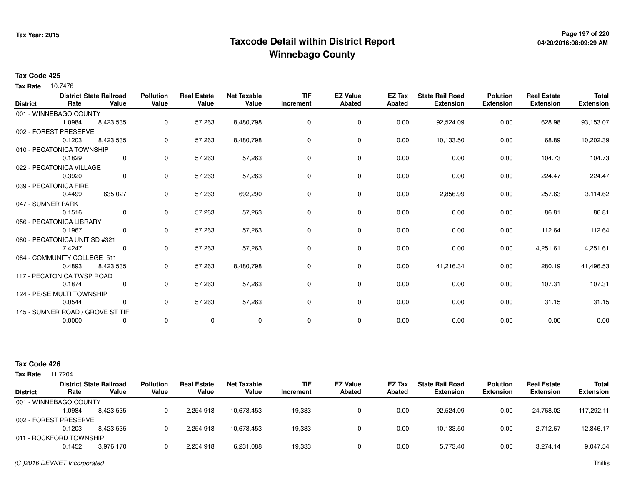# **Page 197 of 220 Taxcode Detail within District ReportWinnebago County**

# **04/20/2016:08:09:29 AM**

### **Tax Code 425**

**Tax Rate** 10.7476

| <b>District</b> | Rate                             | <b>District State Railroad</b><br>Value | <b>Pollution</b><br>Value | <b>Real Estate</b><br>Value | <b>Net Taxable</b><br>Value | <b>TIF</b><br>Increment | <b>EZ Value</b><br>Abated | <b>EZ Tax</b><br><b>Abated</b> | <b>State Rail Road</b><br><b>Extension</b> | <b>Polution</b><br><b>Extension</b> | <b>Real Estate</b><br><b>Extension</b> | <b>Total</b><br><b>Extension</b> |
|-----------------|----------------------------------|-----------------------------------------|---------------------------|-----------------------------|-----------------------------|-------------------------|---------------------------|--------------------------------|--------------------------------------------|-------------------------------------|----------------------------------------|----------------------------------|
|                 | 001 - WINNEBAGO COUNTY           |                                         |                           |                             |                             |                         |                           |                                |                                            |                                     |                                        |                                  |
|                 | 1.0984                           | 8,423,535                               | 0                         | 57,263                      | 8,480,798                   | 0                       | 0                         | 0.00                           | 92,524.09                                  | 0.00                                | 628.98                                 | 93,153.07                        |
|                 | 002 - FOREST PRESERVE            |                                         |                           |                             |                             |                         |                           |                                |                                            |                                     |                                        |                                  |
|                 | 0.1203                           | 8,423,535                               | 0                         | 57,263                      | 8,480,798                   | 0                       | $\mathbf 0$               | 0.00                           | 10,133.50                                  | 0.00                                | 68.89                                  | 10,202.39                        |
|                 | 010 - PECATONICA TOWNSHIP        |                                         |                           |                             |                             |                         |                           |                                |                                            |                                     |                                        |                                  |
|                 | 0.1829                           | 0                                       | 0                         | 57,263                      | 57,263                      | 0                       | 0                         | 0.00                           | 0.00                                       | 0.00                                | 104.73                                 | 104.73                           |
|                 | 022 - PECATONICA VILLAGE         |                                         |                           |                             |                             |                         |                           |                                |                                            |                                     |                                        |                                  |
|                 | 0.3920                           | 0                                       | 0                         | 57,263                      | 57,263                      | $\Omega$                | 0                         | 0.00                           | 0.00                                       | 0.00                                | 224.47                                 | 224.47                           |
|                 | 039 - PECATONICA FIRE            |                                         |                           |                             |                             |                         |                           |                                |                                            |                                     |                                        |                                  |
|                 | 0.4499                           | 635,027                                 | 0                         | 57,263                      | 692,290                     | 0                       | 0                         | 0.00                           | 2,856.99                                   | 0.00                                | 257.63                                 | 3,114.62                         |
|                 | 047 - SUMNER PARK                |                                         |                           |                             |                             |                         |                           |                                |                                            |                                     |                                        |                                  |
|                 | 0.1516                           | $\overline{0}$                          | $\mathbf 0$               | 57,263                      | 57,263                      | 0                       | 0                         | 0.00                           | 0.00                                       | 0.00                                | 86.81                                  | 86.81                            |
|                 | 056 - PECATONICA LIBRARY         |                                         |                           |                             |                             |                         |                           |                                |                                            |                                     |                                        |                                  |
|                 | 0.1967                           | 0                                       | 0                         | 57,263                      | 57,263                      | 0                       | 0                         | 0.00                           | 0.00                                       | 0.00                                | 112.64                                 | 112.64                           |
|                 | 080 - PECATONICA UNIT SD #321    |                                         |                           |                             |                             |                         |                           |                                |                                            |                                     |                                        |                                  |
|                 | 7.4247                           | 0                                       | 0                         | 57,263                      | 57,263                      | 0                       | 0                         | 0.00                           | 0.00                                       | 0.00                                | 4,251.61                               | 4,251.61                         |
|                 | 084 - COMMUNITY COLLEGE 511      |                                         |                           |                             |                             |                         |                           |                                |                                            |                                     |                                        |                                  |
|                 | 0.4893                           | 8,423,535                               | 0                         | 57,263                      | 8,480,798                   | 0                       | 0                         | 0.00                           | 41,216.34                                  | 0.00                                | 280.19                                 | 41,496.53                        |
|                 | 117 - PECATONICA TWSP ROAD       |                                         |                           |                             |                             |                         |                           |                                |                                            |                                     |                                        |                                  |
|                 | 0.1874                           | 0                                       | 0                         | 57,263                      | 57,263                      | 0                       | 0                         | 0.00                           | 0.00                                       | 0.00                                | 107.31                                 | 107.31                           |
|                 | 124 - PE/SE MULTI TOWNSHIP       |                                         |                           |                             |                             |                         |                           |                                |                                            |                                     |                                        |                                  |
|                 | 0.0544                           | 0                                       | 0                         | 57,263                      | 57,263                      | 0                       | $\mathbf 0$               | 0.00                           | 0.00                                       | 0.00                                | 31.15                                  | 31.15                            |
|                 | 145 - SUMNER ROAD / GROVE ST TIF |                                         |                           |                             |                             |                         |                           |                                |                                            |                                     |                                        |                                  |
|                 | 0.0000                           |                                         | 0                         | 0                           | $\mathbf 0$                 | $\mathbf 0$             | 0                         | 0.00                           | 0.00                                       | 0.00                                | 0.00                                   | 0.00                             |

| <b>Tax Rate</b> | 11.7204                 |                                         |                           |                             |                             |                         |                                  |                         |                                            |                                     |                                        |                                  |
|-----------------|-------------------------|-----------------------------------------|---------------------------|-----------------------------|-----------------------------|-------------------------|----------------------------------|-------------------------|--------------------------------------------|-------------------------------------|----------------------------------------|----------------------------------|
| <b>District</b> | Rate                    | <b>District State Railroad</b><br>Value | <b>Pollution</b><br>Value | <b>Real Estate</b><br>Value | <b>Net Taxable</b><br>Value | <b>TIF</b><br>Increment | <b>EZ Value</b><br><b>Abated</b> | <b>EZ Tax</b><br>Abated | <b>State Rail Road</b><br><b>Extension</b> | <b>Polution</b><br><b>Extension</b> | <b>Real Estate</b><br><b>Extension</b> | <b>Total</b><br><b>Extension</b> |
|                 | 001 - WINNEBAGO COUNTY  |                                         |                           |                             |                             |                         |                                  |                         |                                            |                                     |                                        |                                  |
|                 | .0984،                  | 8.423.535                               | 0                         | 2,254,918                   | 10.678.453                  | 19,333                  | 0                                | 0.00                    | 92.524.09                                  | 0.00                                | 24.768.02                              | 117.292.11                       |
|                 | 002 - FOREST PRESERVE   |                                         |                           |                             |                             |                         |                                  |                         |                                            |                                     |                                        |                                  |
|                 | 0.1203                  | 8.423.535                               | 0                         | 2,254,918                   | 10.678.453                  | 19,333                  | 0                                | 0.00                    | 10,133.50                                  | 0.00                                | 2,712.67                               | 12,846.17                        |
|                 | 011 - ROCKFORD TOWNSHIP |                                         |                           |                             |                             |                         |                                  |                         |                                            |                                     |                                        |                                  |
|                 | 0.1452                  | 3,976,170                               | $\Omega$                  | 2,254,918                   | 6,231,088                   | 19,333                  | 0                                | 0.00                    | 5,773.40                                   | 0.00                                | 3.274.14                               | 9,047.54                         |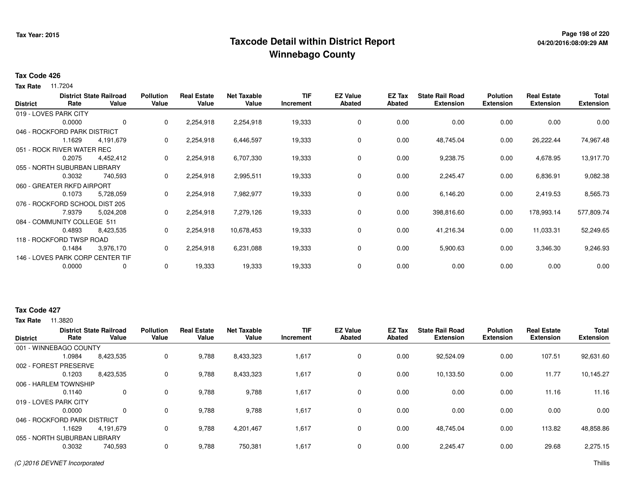# **Page 198 of 220 Taxcode Detail within District ReportWinnebago County**

#### **Tax Code 426**

**Tax Rate** 11.7204

| <b>District</b> | Rate                           | <b>District State Railroad</b><br>Value | <b>Pollution</b><br>Value | <b>Real Estate</b><br>Value | <b>Net Taxable</b><br>Value | <b>TIF</b><br>Increment | <b>EZ Value</b><br>Abated | EZ Tax<br>Abated | <b>State Rail Road</b><br><b>Extension</b> | <b>Polution</b><br><b>Extension</b> | <b>Real Estate</b><br><b>Extension</b> | <b>Total</b><br><b>Extension</b> |
|-----------------|--------------------------------|-----------------------------------------|---------------------------|-----------------------------|-----------------------------|-------------------------|---------------------------|------------------|--------------------------------------------|-------------------------------------|----------------------------------------|----------------------------------|
|                 | 019 - LOVES PARK CITY          |                                         |                           |                             |                             |                         |                           |                  |                                            |                                     |                                        |                                  |
|                 | 0.0000                         | 0                                       | $\mathbf{0}$              | 2,254,918                   | 2,254,918                   | 19,333                  | 0                         | 0.00             | 0.00                                       | 0.00                                | 0.00                                   | 0.00                             |
|                 | 046 - ROCKFORD PARK DISTRICT   |                                         |                           |                             |                             |                         |                           |                  |                                            |                                     |                                        |                                  |
|                 | 1.1629                         | 4,191,679                               | $\mathbf{0}$              | 2,254,918                   | 6,446,597                   | 19,333                  | 0                         | 0.00             | 48,745.04                                  | 0.00                                | 26,222.44                              | 74,967.48                        |
|                 | 051 - ROCK RIVER WATER REC     |                                         |                           |                             |                             |                         |                           |                  |                                            |                                     |                                        |                                  |
|                 | 0.2075                         | 4,452,412                               | $\mathbf{0}$              | 2,254,918                   | 6,707,330                   | 19,333                  | 0                         | 0.00             | 9,238.75                                   | 0.00                                | 4,678.95                               | 13,917.70                        |
|                 | 055 - NORTH SUBURBAN LIBRARY   |                                         |                           |                             |                             |                         |                           |                  |                                            |                                     |                                        |                                  |
|                 | 0.3032                         | 740,593                                 | 0                         | 2,254,918                   | 2,995,511                   | 19,333                  | 0                         | 0.00             | 2,245.47                                   | 0.00                                | 6,836.91                               | 9,082.38                         |
|                 | 060 - GREATER RKFD AIRPORT     |                                         |                           |                             |                             |                         |                           |                  |                                            |                                     |                                        |                                  |
|                 | 0.1073                         | 5,728,059                               | $\mathbf{0}$              | 2,254,918                   | 7,982,977                   | 19,333                  | 0                         | 0.00             | 6,146.20                                   | 0.00                                | 2,419.53                               | 8,565.73                         |
|                 | 076 - ROCKFORD SCHOOL DIST 205 |                                         |                           |                             |                             |                         |                           |                  |                                            |                                     |                                        |                                  |
|                 | 7.9379                         | 5,024,208                               | $\mathbf{0}$              | 2,254,918                   | 7,279,126                   | 19,333                  | 0                         | 0.00             | 398,816.60                                 | 0.00                                | 178,993.14                             | 577,809.74                       |
|                 | 084 - COMMUNITY COLLEGE 511    |                                         |                           |                             |                             |                         |                           |                  |                                            |                                     |                                        |                                  |
|                 | 0.4893                         | 8,423,535                               | $\mathbf{0}$              | 2,254,918                   | 10,678,453                  | 19,333                  | 0                         | 0.00             | 41,216.34                                  | 0.00                                | 11,033.31                              | 52,249.65                        |
|                 | 118 - ROCKFORD TWSP ROAD       |                                         |                           |                             |                             |                         |                           |                  |                                            |                                     |                                        |                                  |
|                 | 0.1484                         | 3,976,170                               | 0                         | 2,254,918                   | 6,231,088                   | 19,333                  | 0                         | 0.00             | 5,900.63                                   | 0.00                                | 3,346.30                               | 9,246.93                         |
|                 |                                | 146 - LOVES PARK CORP CENTER TIF        |                           |                             |                             |                         |                           |                  |                                            |                                     |                                        |                                  |
|                 | 0.0000                         | 0                                       | 0                         | 19,333                      | 19,333                      | 19,333                  | 0                         | 0.00             | 0.00                                       | 0.00                                | 0.00                                   | 0.00                             |

### **Tax Code 427**

|                              |        | <b>District State Railroad</b> | <b>Pollution</b> | <b>Real Estate</b> | <b>Net Taxable</b> | TIF       | <b>EZ Value</b> | EZ Tax | <b>State Rail Road</b> | <b>Polution</b>  | <b>Real Estate</b> | <b>Total</b>     |
|------------------------------|--------|--------------------------------|------------------|--------------------|--------------------|-----------|-----------------|--------|------------------------|------------------|--------------------|------------------|
| <b>District</b>              | Rate   | Value                          | Value            | Value              | Value              | Increment | <b>Abated</b>   | Abated | <b>Extension</b>       | <b>Extension</b> | <b>Extension</b>   | <b>Extension</b> |
| 001 - WINNEBAGO COUNTY       |        |                                |                  |                    |                    |           |                 |        |                        |                  |                    |                  |
|                              | 1.0984 | 8,423,535                      | 0                | 9,788              | 8,433,323          | 1,617     | $\mathbf 0$     | 0.00   | 92,524.09              | 0.00             | 107.51             | 92,631.60        |
| 002 - FOREST PRESERVE        |        |                                |                  |                    |                    |           |                 |        |                        |                  |                    |                  |
|                              | 0.1203 | 8,423,535                      | 0                | 9,788              | 8,433,323          | 1,617     | $\mathbf 0$     | 0.00   | 10,133.50              | 0.00             | 11.77              | 10,145.27        |
| 006 - HARLEM TOWNSHIP        |        |                                |                  |                    |                    |           |                 |        |                        |                  |                    |                  |
|                              | 0.1140 | 0                              | 0                | 9,788              | 9,788              | 1,617     | $\mathbf 0$     | 0.00   | 0.00                   | 0.00             | 11.16              | 11.16            |
| 019 - LOVES PARK CITY        |        |                                |                  |                    |                    |           |                 |        |                        |                  |                    |                  |
|                              | 0.0000 | $\Omega$                       | 0                | 9,788              | 9,788              | 1,617     | $\mathbf 0$     | 0.00   | 0.00                   | 0.00             | 0.00               | 0.00             |
| 046 - ROCKFORD PARK DISTRICT |        |                                |                  |                    |                    |           |                 |        |                        |                  |                    |                  |
|                              | .1629  | 4,191,679                      | 0                | 9,788              | 4,201,467          | 1,617     | $\mathbf 0$     | 0.00   | 48,745.04              | 0.00             | 113.82             | 48,858.86        |
| 055 - NORTH SUBURBAN LIBRARY |        |                                |                  |                    |                    |           |                 |        |                        |                  |                    |                  |
|                              | 0.3032 | 740,593                        | 0                | 9,788              | 750,381            | 1,617     | $\mathbf 0$     | 0.00   | 2,245.47               | 0.00             | 29.68              | 2,275.15         |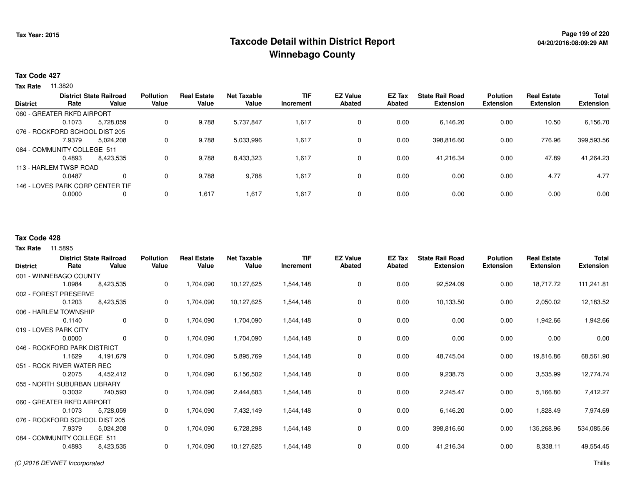# **Page 199 of 220 Taxcode Detail within District ReportWinnebago County**

### **Tax Code 427**

**Tax Rate** 11.3820

| <b>District</b> |                                | <b>District State Railroad</b>   | <b>Pollution</b> | <b>Real Estate</b> | Net Taxable | <b>TIF</b> | <b>EZ Value</b> | EZ Tax | <b>State Rail Road</b> | <b>Polution</b>  | <b>Real Estate</b> | <b>Total</b>     |
|-----------------|--------------------------------|----------------------------------|------------------|--------------------|-------------|------------|-----------------|--------|------------------------|------------------|--------------------|------------------|
|                 | Rate                           | Value                            | Value            | Value              | Value       | Increment  | <b>Abated</b>   | Abated | <b>Extension</b>       | <b>Extension</b> | <b>Extension</b>   | <b>Extension</b> |
|                 | 060 - GREATER RKFD AIRPORT     |                                  |                  |                    |             |            |                 |        |                        |                  |                    |                  |
|                 | 0.1073                         | 5,728,059                        | 0                | 9,788              | 5,737,847   | 1,617      | 0               | 0.00   | 6,146.20               | 0.00             | 10.50              | 6,156.70         |
|                 | 076 - ROCKFORD SCHOOL DIST 205 |                                  |                  |                    |             |            |                 |        |                        |                  |                    |                  |
|                 | 7.9379                         | 5,024,208                        | 0                | 9,788              | 5,033,996   | 1,617      | 0               | 0.00   | 398,816.60             | 0.00             | 776.96             | 399,593.56       |
|                 | 084 - COMMUNITY COLLEGE 511    |                                  |                  |                    |             |            |                 |        |                        |                  |                    |                  |
|                 | 0.4893                         | 8,423,535                        | 0                | 9,788              | 8,433,323   | 1,617      | 0               | 0.00   | 41.216.34              | 0.00             | 47.89              | 41,264.23        |
|                 | 113 - HARLEM TWSP ROAD         |                                  |                  |                    |             |            |                 |        |                        |                  |                    |                  |
|                 | 0.0487                         | 0                                | 0                | 9,788              | 9,788       | 1,617      | 0               | 0.00   | 0.00                   | 0.00             | 4.77               | 4.77             |
|                 |                                | 146 - LOVES PARK CORP CENTER TIF |                  |                    |             |            |                 |        |                        |                  |                    |                  |
|                 | 0.0000                         | 0                                | 0                | 1,617              | 1,617       | 1,617      | $\mathbf{0}$    | 0.00   | 0.00                   | 0.00             | 0.00               | 0.00             |
|                 |                                |                                  |                  |                    |             |            |                 |        |                        |                  |                    |                  |

#### **Tax Code 428**

| <b>District</b>                | Rate   | <b>District State Railroad</b><br>Value | <b>Pollution</b><br>Value | <b>Real Estate</b><br>Value | <b>Net Taxable</b><br>Value | <b>TIF</b><br>Increment | <b>EZ Value</b><br><b>Abated</b> | EZ Tax<br>Abated | <b>State Rail Road</b><br><b>Extension</b> | <b>Polution</b><br><b>Extension</b> | <b>Real Estate</b><br><b>Extension</b> | Total<br><b>Extension</b> |
|--------------------------------|--------|-----------------------------------------|---------------------------|-----------------------------|-----------------------------|-------------------------|----------------------------------|------------------|--------------------------------------------|-------------------------------------|----------------------------------------|---------------------------|
| 001 - WINNEBAGO COUNTY         |        |                                         |                           |                             |                             |                         |                                  |                  |                                            |                                     |                                        |                           |
|                                | 1.0984 | 8,423,535                               | 0                         | 1,704,090                   | 10,127,625                  | 1,544,148               | 0                                | 0.00             | 92,524.09                                  | 0.00                                | 18,717.72                              | 111,241.81                |
| 002 - FOREST PRESERVE          |        |                                         |                           |                             |                             |                         |                                  |                  |                                            |                                     |                                        |                           |
|                                | 0.1203 | 8,423,535                               | 0                         | 1,704,090                   | 10,127,625                  | 1,544,148               | 0                                | 0.00             | 10,133.50                                  | 0.00                                | 2,050.02                               | 12,183.52                 |
| 006 - HARLEM TOWNSHIP          |        |                                         |                           |                             |                             |                         |                                  |                  |                                            |                                     |                                        |                           |
|                                | 0.1140 | $\mathbf{0}$                            | 0                         | 1,704,090                   | 1,704,090                   | 1,544,148               | 0                                | 0.00             | 0.00                                       | 0.00                                | 1,942.66                               | 1,942.66                  |
| 019 - LOVES PARK CITY          |        |                                         |                           |                             |                             |                         |                                  |                  |                                            |                                     |                                        |                           |
|                                | 0.0000 | $\mathbf 0$                             | 0                         | 1,704,090                   | 1,704,090                   | 1,544,148               | 0                                | 0.00             | 0.00                                       | 0.00                                | 0.00                                   | 0.00                      |
| 046 - ROCKFORD PARK DISTRICT   |        |                                         |                           |                             |                             |                         |                                  |                  |                                            |                                     |                                        |                           |
|                                | 1.1629 | 4,191,679                               | 0                         | 1,704,090                   | 5,895,769                   | 1,544,148               | 0                                | 0.00             | 48,745.04                                  | 0.00                                | 19,816.86                              | 68,561.90                 |
| 051 - ROCK RIVER WATER REC     |        |                                         |                           |                             |                             |                         |                                  |                  |                                            |                                     |                                        |                           |
|                                | 0.2075 | 4,452,412                               | 0                         | 1,704,090                   | 6,156,502                   | 1,544,148               | 0                                | 0.00             | 9,238.75                                   | 0.00                                | 3,535.99                               | 12,774.74                 |
| 055 - NORTH SUBURBAN LIBRARY   |        |                                         |                           |                             |                             |                         |                                  |                  |                                            |                                     |                                        |                           |
|                                | 0.3032 | 740,593                                 | 0                         | 1,704,090                   | 2,444,683                   | 1,544,148               | 0                                | 0.00             | 2,245.47                                   | 0.00                                | 5,166.80                               | 7,412.27                  |
| 060 - GREATER RKFD AIRPORT     |        |                                         |                           |                             |                             |                         |                                  |                  |                                            |                                     |                                        |                           |
|                                | 0.1073 | 5,728,059                               | 0                         | 1,704,090                   | 7,432,149                   | 1,544,148               | 0                                | 0.00             | 6,146.20                                   | 0.00                                | 1,828.49                               | 7,974.69                  |
| 076 - ROCKFORD SCHOOL DIST 205 |        |                                         |                           |                             |                             |                         |                                  |                  |                                            |                                     |                                        |                           |
|                                | 7.9379 | 5,024,208                               | 0                         | 1,704,090                   | 6,728,298                   | 1,544,148               | 0                                | 0.00             | 398,816.60                                 | 0.00                                | 135,268.96                             | 534,085.56                |
| 084 - COMMUNITY COLLEGE 511    |        |                                         |                           |                             |                             |                         |                                  |                  |                                            |                                     |                                        |                           |
|                                | 0.4893 | 8,423,535                               | 0                         | 1,704,090                   | 10,127,625                  | 1,544,148               | 0                                | 0.00             | 41,216.34                                  | 0.00                                | 8,338.11                               | 49,554.45                 |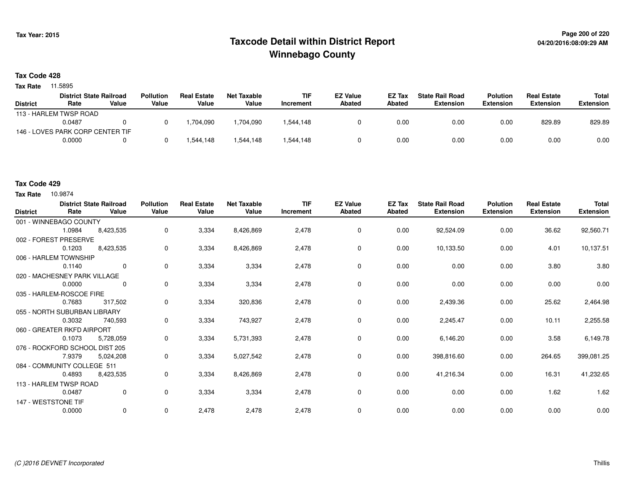# **Page 200 of 220 Taxcode Detail within District ReportWinnebago County**

#### **Tax Code 428**

**Tax Rate** 11.5895

|                 | <b>District State Railroad</b>   |       | <b>Pollution</b> | <b>Real Estate</b> | Net Taxable | <b>TIF</b> | <b>EZ Value</b> | EZ Tax | <b>State Rail Road</b> | <b>Polution</b>  | <b>Real Estate</b> | Total            |
|-----------------|----------------------------------|-------|------------------|--------------------|-------------|------------|-----------------|--------|------------------------|------------------|--------------------|------------------|
| <b>District</b> | Rate                             | Value | Value            | Value              | Value       | Increment  | Abated          | Abated | Extension              | <b>Extension</b> | <b>Extension</b>   | <b>Extension</b> |
|                 | 113 - HARLEM TWSP ROAD           |       |                  |                    |             |            |                 |        |                        |                  |                    |                  |
|                 | 0.0487                           |       |                  | .704.090           | ,704,090    | 1.544.148  |                 | 0.00   | 0.00                   | 0.00             | 829.89             | 829.89           |
|                 | 146 - LOVES PARK CORP CENTER TIF |       |                  |                    |             |            |                 |        |                        |                  |                    |                  |
|                 | 0.0000                           |       |                  | .544.148           | .544.148    | 1,544,148  |                 | 0.00   | 0.00                   | 0.00             | 0.00               | 0.00             |

### **Tax Code 429**

| <b>District</b>                | Rate   | <b>District State Railroad</b><br>Value | <b>Pollution</b><br>Value | <b>Real Estate</b><br>Value | <b>Net Taxable</b><br>Value | <b>TIF</b><br>Increment | <b>EZ Value</b><br>Abated | EZ Tax<br>Abated | <b>State Rail Road</b><br><b>Extension</b> | <b>Polution</b><br><b>Extension</b> | <b>Real Estate</b><br><b>Extension</b> | <b>Total</b><br><b>Extension</b> |
|--------------------------------|--------|-----------------------------------------|---------------------------|-----------------------------|-----------------------------|-------------------------|---------------------------|------------------|--------------------------------------------|-------------------------------------|----------------------------------------|----------------------------------|
| 001 - WINNEBAGO COUNTY         |        |                                         |                           |                             |                             |                         |                           |                  |                                            |                                     |                                        |                                  |
|                                | 1.0984 | 8,423,535                               | 0                         | 3,334                       | 8,426,869                   | 2,478                   | 0                         | 0.00             | 92,524.09                                  | 0.00                                | 36.62                                  | 92,560.71                        |
| 002 - FOREST PRESERVE          |        |                                         |                           |                             |                             |                         |                           |                  |                                            |                                     |                                        |                                  |
|                                | 0.1203 | 8,423,535                               | 0                         | 3,334                       | 8,426,869                   | 2,478                   | 0                         | 0.00             | 10,133.50                                  | 0.00                                | 4.01                                   | 10,137.51                        |
| 006 - HARLEM TOWNSHIP          |        |                                         |                           |                             |                             |                         |                           |                  |                                            |                                     |                                        |                                  |
|                                | 0.1140 | $\Omega$                                | 0                         | 3,334                       | 3,334                       | 2,478                   | 0                         | 0.00             | 0.00                                       | 0.00                                | 3.80                                   | 3.80                             |
| 020 - MACHESNEY PARK VILLAGE   |        |                                         |                           |                             |                             |                         |                           |                  |                                            |                                     |                                        |                                  |
|                                | 0.0000 | $\Omega$                                | 0                         | 3,334                       | 3,334                       | 2,478                   | 0                         | 0.00             | 0.00                                       | 0.00                                | 0.00                                   | 0.00                             |
| 035 - HARLEM-ROSCOE FIRE       |        |                                         |                           |                             |                             |                         |                           |                  |                                            |                                     |                                        |                                  |
|                                | 0.7683 | 317,502                                 | 0                         | 3,334                       | 320,836                     | 2,478                   | 0                         | 0.00             | 2,439.36                                   | 0.00                                | 25.62                                  | 2,464.98                         |
| 055 - NORTH SUBURBAN LIBRARY   |        |                                         |                           |                             |                             |                         |                           |                  |                                            |                                     |                                        |                                  |
|                                | 0.3032 | 740,593                                 | 0                         | 3,334                       | 743,927                     | 2,478                   | 0                         | 0.00             | 2,245.47                                   | 0.00                                | 10.11                                  | 2,255.58                         |
| 060 - GREATER RKFD AIRPORT     |        |                                         |                           |                             |                             |                         |                           |                  |                                            |                                     |                                        |                                  |
|                                | 0.1073 | 5,728,059                               | 0                         | 3,334                       | 5,731,393                   | 2,478                   | 0                         | 0.00             | 6,146.20                                   | 0.00                                | 3.58                                   | 6,149.78                         |
| 076 - ROCKFORD SCHOOL DIST 205 |        |                                         |                           |                             |                             |                         |                           |                  |                                            |                                     |                                        |                                  |
|                                | 7.9379 | 5,024,208                               | 0                         | 3,334                       | 5,027,542                   | 2,478                   | 0                         | 0.00             | 398,816.60                                 | 0.00                                | 264.65                                 | 399,081.25                       |
| 084 - COMMUNITY COLLEGE 511    |        |                                         |                           |                             |                             |                         |                           |                  |                                            |                                     |                                        |                                  |
|                                | 0.4893 | 8,423,535                               | 0                         | 3,334                       | 8,426,869                   | 2,478                   | 0                         | 0.00             | 41,216.34                                  | 0.00                                | 16.31                                  | 41,232.65                        |
| 113 - HARLEM TWSP ROAD         |        |                                         |                           |                             |                             |                         |                           |                  |                                            |                                     |                                        |                                  |
|                                | 0.0487 | $\mathbf 0$                             | 0                         | 3,334                       | 3,334                       | 2,478                   | 0                         | 0.00             | 0.00                                       | 0.00                                | 1.62                                   | 1.62                             |
| 147 - WESTSTONE TIF            |        |                                         |                           |                             |                             |                         |                           |                  |                                            |                                     |                                        |                                  |
|                                | 0.0000 | 0                                       | 0                         | 2,478                       | 2,478                       | 2,478                   | 0                         | 0.00             | 0.00                                       | 0.00                                | 0.00                                   | 0.00                             |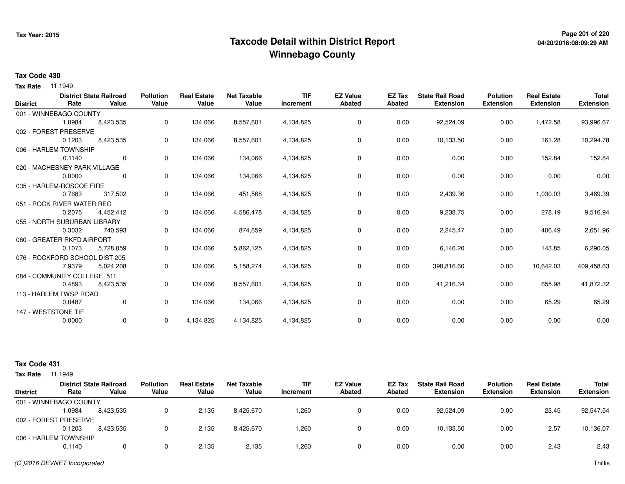# **Page 201 of 220 Taxcode Detail within District ReportWinnebago County**

### **Tax Code 430**

**Tax Rate** 11.1949

| <b>District</b> | Rate                           | <b>District State Railroad</b><br>Value | <b>Pollution</b><br>Value | <b>Real Estate</b><br>Value | <b>Net Taxable</b><br>Value | <b>TIF</b><br>Increment | <b>EZ Value</b><br><b>Abated</b> | <b>EZ Tax</b><br><b>Abated</b> | <b>State Rail Road</b><br><b>Extension</b> | <b>Polution</b><br><b>Extension</b> | <b>Real Estate</b><br><b>Extension</b> | <b>Total</b><br><b>Extension</b> |
|-----------------|--------------------------------|-----------------------------------------|---------------------------|-----------------------------|-----------------------------|-------------------------|----------------------------------|--------------------------------|--------------------------------------------|-------------------------------------|----------------------------------------|----------------------------------|
|                 |                                |                                         |                           |                             |                             |                         |                                  |                                |                                            |                                     |                                        |                                  |
|                 | 001 - WINNEBAGO COUNTY         |                                         |                           |                             |                             |                         |                                  |                                |                                            |                                     |                                        |                                  |
|                 | 1.0984                         | 8,423,535                               | 0                         | 134,066                     | 8,557,601                   | 4,134,825               | 0                                | 0.00                           | 92,524.09                                  | 0.00                                | 1,472.58                               | 93,996.67                        |
|                 | 002 - FOREST PRESERVE          |                                         |                           |                             |                             |                         |                                  |                                |                                            |                                     |                                        |                                  |
|                 | 0.1203                         | 8,423,535                               | 0                         | 134,066                     | 8,557,601                   | 4,134,825               | $\mathbf 0$                      | 0.00                           | 10,133.50                                  | 0.00                                | 161.28                                 | 10,294.78                        |
|                 | 006 - HARLEM TOWNSHIP          |                                         |                           |                             |                             |                         |                                  |                                |                                            |                                     |                                        |                                  |
|                 | 0.1140                         | $\mathbf 0$                             | 0                         | 134,066                     | 134,066                     | 4,134,825               | 0                                | 0.00                           | 0.00                                       | 0.00                                | 152.84                                 | 152.84                           |
|                 | 020 - MACHESNEY PARK VILLAGE   |                                         |                           |                             |                             |                         |                                  |                                |                                            |                                     |                                        |                                  |
|                 | 0.0000                         | $\Omega$                                | 0                         | 134,066                     | 134,066                     | 4,134,825               | 0                                | 0.00                           | 0.00                                       | 0.00                                | 0.00                                   | 0.00                             |
|                 | 035 - HARLEM-ROSCOE FIRE       |                                         |                           |                             |                             |                         |                                  |                                |                                            |                                     |                                        |                                  |
|                 | 0.7683                         | 317,502                                 | 0                         | 134,066                     | 451,568                     | 4,134,825               | 0                                | 0.00                           | 2,439.36                                   | 0.00                                | 1,030.03                               | 3,469.39                         |
|                 | 051 - ROCK RIVER WATER REC     |                                         |                           |                             |                             |                         |                                  |                                |                                            |                                     |                                        |                                  |
|                 | 0.2075                         | 4,452,412                               | 0                         | 134,066                     | 4,586,478                   | 4,134,825               | 0                                | 0.00                           | 9,238.75                                   | 0.00                                | 278.19                                 | 9,516.94                         |
|                 | 055 - NORTH SUBURBAN LIBRARY   |                                         |                           |                             |                             |                         |                                  |                                |                                            |                                     |                                        |                                  |
|                 | 0.3032                         | 740,593                                 | 0                         | 134,066                     | 874,659                     | 4,134,825               | $\mathbf 0$                      | 0.00                           | 2,245.47                                   | 0.00                                | 406.49                                 | 2,651.96                         |
|                 | 060 - GREATER RKFD AIRPORT     |                                         |                           |                             |                             |                         |                                  |                                |                                            |                                     |                                        |                                  |
|                 | 0.1073                         | 5,728,059                               | 0                         | 134,066                     | 5,862,125                   | 4,134,825               | 0                                | 0.00                           | 6,146.20                                   | 0.00                                | 143.85                                 | 6,290.05                         |
|                 | 076 - ROCKFORD SCHOOL DIST 205 |                                         |                           |                             |                             |                         |                                  |                                |                                            |                                     |                                        |                                  |
|                 | 7.9379                         | 5,024,208                               | 0                         | 134,066                     | 5,158,274                   | 4,134,825               | 0                                | 0.00                           | 398,816.60                                 | 0.00                                | 10,642.03                              | 409,458.63                       |
|                 | 084 - COMMUNITY COLLEGE 511    |                                         |                           |                             |                             |                         |                                  |                                |                                            |                                     |                                        |                                  |
|                 | 0.4893                         | 8,423,535                               | 0                         | 134,066                     | 8,557,601                   | 4,134,825               | 0                                | 0.00                           | 41,216.34                                  | 0.00                                | 655.98                                 | 41,872.32                        |
|                 | 113 - HARLEM TWSP ROAD         |                                         |                           |                             |                             |                         |                                  |                                |                                            |                                     |                                        |                                  |
|                 | 0.0487                         | $\mathbf{0}$                            | 0                         | 134,066                     | 134,066                     | 4,134,825               | 0                                | 0.00                           | 0.00                                       | 0.00                                | 65.29                                  | 65.29                            |
|                 |                                |                                         |                           |                             |                             |                         |                                  |                                |                                            |                                     |                                        |                                  |
|                 | 147 - WESTSTONE TIF            |                                         |                           |                             |                             |                         |                                  |                                |                                            |                                     |                                        |                                  |
|                 | 0.0000                         | 0                                       | $\mathbf{0}$              | 4,134,825                   | 4,134,825                   | 4,134,825               | 0                                | 0.00                           | 0.00                                       | 0.00                                | 0.00                                   | 0.00                             |

| <b>Tax Rate</b> | 11.1949                |                                         |                           |                             |                             |                         |                           |                  |                                            |                                     |                                        |                                  |
|-----------------|------------------------|-----------------------------------------|---------------------------|-----------------------------|-----------------------------|-------------------------|---------------------------|------------------|--------------------------------------------|-------------------------------------|----------------------------------------|----------------------------------|
| <b>District</b> | Rate                   | <b>District State Railroad</b><br>Value | <b>Pollution</b><br>Value | <b>Real Estate</b><br>Value | <b>Net Taxable</b><br>Value | <b>TIF</b><br>Increment | <b>EZ Value</b><br>Abated | EZ Tax<br>Abated | <b>State Rail Road</b><br><b>Extension</b> | <b>Polution</b><br><b>Extension</b> | <b>Real Estate</b><br><b>Extension</b> | <b>Total</b><br><b>Extension</b> |
|                 | 001 - WINNEBAGO COUNTY |                                         |                           |                             |                             |                         |                           |                  |                                            |                                     |                                        |                                  |
|                 | 1.0984                 | 8,423,535                               |                           | 2,135                       | 8,425,670                   | 260,                    |                           | 0.00             | 92.524.09                                  | 0.00                                | 23.45                                  | 92,547.54                        |
|                 | 002 - FOREST PRESERVE  |                                         |                           |                             |                             |                         |                           |                  |                                            |                                     |                                        |                                  |
|                 | 0.1203                 | 8,423,535                               |                           | 2,135                       | 8,425,670                   | 260,                    |                           | 0.00             | 10,133.50                                  | 0.00                                | 2.57                                   | 10,136.07                        |
|                 | 006 - HARLEM TOWNSHIP  |                                         |                           |                             |                             |                         |                           |                  |                                            |                                     |                                        |                                  |
|                 | 0.1140                 |                                         |                           | 2,135                       | 2,135                       | .260                    |                           | 0.00             | 0.00                                       | 0.00                                | 2.43                                   | 2.43                             |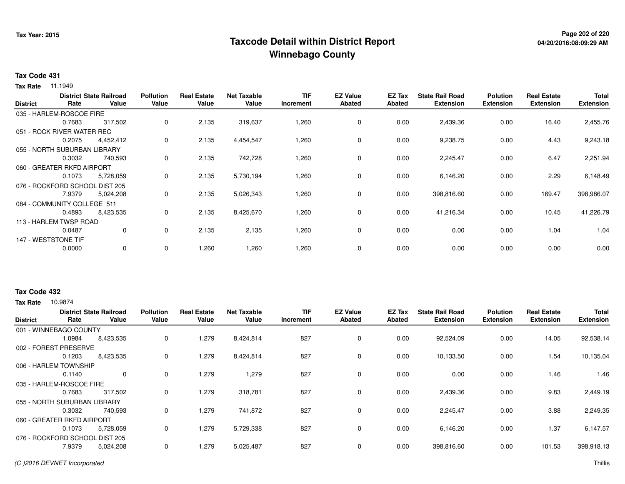# **Page 202 of 220 Taxcode Detail within District ReportWinnebago County**

### **Tax Code 431**

**Tax Rate** 11.1949

|                 |                                | <b>District State Railroad</b> | <b>Pollution</b> | <b>Real Estate</b> | <b>Net Taxable</b> | <b>TIF</b> | <b>EZ Value</b> | EZ Tax        | <b>State Rail Road</b> | <b>Polution</b>  | <b>Real Estate</b> | Total            |
|-----------------|--------------------------------|--------------------------------|------------------|--------------------|--------------------|------------|-----------------|---------------|------------------------|------------------|--------------------|------------------|
| <b>District</b> | Rate                           | Value                          | Value            | Value              | Value              | Increment  | Abated          | <b>Abated</b> | <b>Extension</b>       | <b>Extension</b> | <b>Extension</b>   | <b>Extension</b> |
|                 | 035 - HARLEM-ROSCOE FIRE       |                                |                  |                    |                    |            |                 |               |                        |                  |                    |                  |
|                 | 0.7683                         | 317,502                        | 0                | 2,135              | 319,637            | 1,260      | 0               | 0.00          | 2,439.36               | 0.00             | 16.40              | 2,455.76         |
|                 | 051 - ROCK RIVER WATER REC     |                                |                  |                    |                    |            |                 |               |                        |                  |                    |                  |
|                 | 0.2075                         | 4,452,412                      | 0                | 2,135              | 4,454,547          | 1,260      | $\mathbf 0$     | 0.00          | 9,238.75               | 0.00             | 4.43               | 9,243.18         |
|                 | 055 - NORTH SUBURBAN LIBRARY   |                                |                  |                    |                    |            |                 |               |                        |                  |                    |                  |
|                 | 0.3032                         | 740,593                        | 0                | 2,135              | 742,728            | 1,260      | $\mathbf 0$     | 0.00          | 2,245.47               | 0.00             | 6.47               | 2,251.94         |
|                 | 060 - GREATER RKFD AIRPORT     |                                |                  |                    |                    |            |                 |               |                        |                  |                    |                  |
|                 | 0.1073                         | 5,728,059                      | 0                | 2,135              | 5,730,194          | 1,260      | 0               | 0.00          | 6,146.20               | 0.00             | 2.29               | 6,148.49         |
|                 | 076 - ROCKFORD SCHOOL DIST 205 |                                |                  |                    |                    |            |                 |               |                        |                  |                    |                  |
|                 | 7.9379                         | 5,024,208                      | 0                | 2,135              | 5,026,343          | 1,260      | $\mathbf 0$     | 0.00          | 398,816.60             | 0.00             | 169.47             | 398,986.07       |
|                 | 084 - COMMUNITY COLLEGE 511    |                                |                  |                    |                    |            |                 |               |                        |                  |                    |                  |
|                 | 0.4893                         | 8,423,535                      | 0                | 2,135              | 8,425,670          | 1,260      | $\mathbf 0$     | 0.00          | 41,216.34              | 0.00             | 10.45              | 41,226.79        |
|                 | 113 - HARLEM TWSP ROAD         |                                |                  |                    |                    |            |                 |               |                        |                  |                    |                  |
|                 | 0.0487                         | 0                              | 0                | 2,135              | 2,135              | 1,260      | 0               | 0.00          | 0.00                   | 0.00             | 1.04               | 1.04             |
|                 | 147 - WESTSTONE TIF            |                                |                  |                    |                    |            |                 |               |                        |                  |                    |                  |
|                 | 0.0000                         | 0                              | 0                | 1,260              | 1,260              | 1,260      | $\mathbf 0$     | 0.00          | 0.00                   | 0.00             | 0.00               | 0.00             |
|                 |                                |                                |                  |                    |                    |            |                 |               |                        |                  |                    |                  |

### **Tax Code 432**

| <b>District</b>                | Rate   | <b>District State Railroad</b><br>Value | <b>Pollution</b><br>Value | <b>Real Estate</b><br>Value | <b>Net Taxable</b><br>Value | TIF<br>Increment | <b>EZ Value</b><br><b>Abated</b> | EZ Tax<br>Abated | <b>State Rail Road</b><br><b>Extension</b> | <b>Polution</b><br><b>Extension</b> | <b>Real Estate</b><br><b>Extension</b> | <b>Total</b><br><b>Extension</b> |
|--------------------------------|--------|-----------------------------------------|---------------------------|-----------------------------|-----------------------------|------------------|----------------------------------|------------------|--------------------------------------------|-------------------------------------|----------------------------------------|----------------------------------|
| 001 - WINNEBAGO COUNTY         |        |                                         |                           |                             |                             |                  |                                  |                  |                                            |                                     |                                        |                                  |
|                                | 1.0984 | 8,423,535                               | 0                         | 1,279                       | 8,424,814                   | 827              | 0                                | 0.00             | 92,524.09                                  | 0.00                                | 14.05                                  | 92,538.14                        |
| 002 - FOREST PRESERVE          |        |                                         |                           |                             |                             |                  |                                  |                  |                                            |                                     |                                        |                                  |
|                                | 0.1203 | 8,423,535                               | 0                         | 1,279                       | 8,424,814                   | 827              | 0                                | 0.00             | 10,133.50                                  | 0.00                                | 1.54                                   | 10,135.04                        |
| 006 - HARLEM TOWNSHIP          |        |                                         |                           |                             |                             |                  |                                  |                  |                                            |                                     |                                        |                                  |
|                                | 0.1140 | $\mathbf 0$                             | 0                         | 1,279                       | 1,279                       | 827              | 0                                | 0.00             | 0.00                                       | 0.00                                | 1.46                                   | 1.46                             |
| 035 - HARLEM-ROSCOE FIRE       |        |                                         |                           |                             |                             |                  |                                  |                  |                                            |                                     |                                        |                                  |
|                                | 0.7683 | 317,502                                 | 0                         | 1,279                       | 318,781                     | 827              | 0                                | 0.00             | 2,439.36                                   | 0.00                                | 9.83                                   | 2,449.19                         |
| 055 - NORTH SUBURBAN LIBRARY   |        |                                         |                           |                             |                             |                  |                                  |                  |                                            |                                     |                                        |                                  |
|                                | 0.3032 | 740,593                                 | 0                         | 1,279                       | 741,872                     | 827              | 0                                | 0.00             | 2,245.47                                   | 0.00                                | 3.88                                   | 2,249.35                         |
| 060 - GREATER RKFD AIRPORT     |        |                                         |                           |                             |                             |                  |                                  |                  |                                            |                                     |                                        |                                  |
|                                | 0.1073 | 5,728,059                               | 0                         | 1,279                       | 5,729,338                   | 827              | 0                                | 0.00             | 6,146.20                                   | 0.00                                | 1.37                                   | 6,147.57                         |
| 076 - ROCKFORD SCHOOL DIST 205 |        |                                         |                           |                             |                             |                  |                                  |                  |                                            |                                     |                                        |                                  |
|                                | 7.9379 | 5,024,208                               | 0                         | 1,279                       | 5,025,487                   | 827              | 0                                | 0.00             | 398,816.60                                 | 0.00                                | 101.53                                 | 398,918.13                       |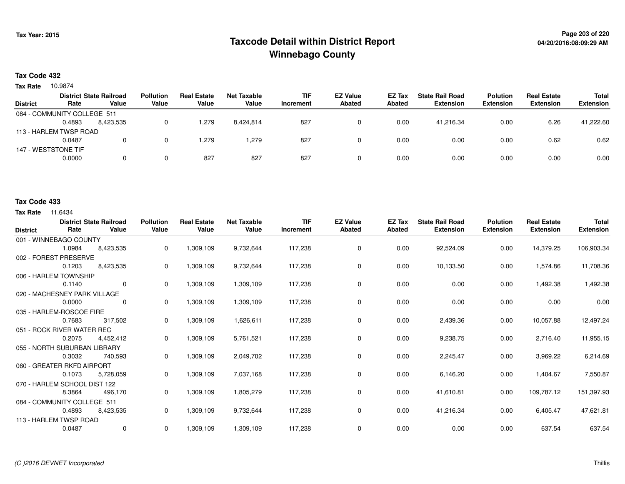# **Page 203 of 220 Taxcode Detail within District ReportWinnebago County**

### **Tax Code 432**

10.9874 **Tax Rate**

|                             |        | <b>District State Railroad</b> | <b>Pollution</b> | <b>Real Estate</b> | Net Taxable | <b>TIF</b> | <b>EZ Value</b> | <b>EZ Tax</b> | <b>State Rail Road</b> | <b>Polution</b>  | <b>Real Estate</b> | <b>Total</b>     |
|-----------------------------|--------|--------------------------------|------------------|--------------------|-------------|------------|-----------------|---------------|------------------------|------------------|--------------------|------------------|
| <b>District</b>             | Rate   | Value                          | Value            | Value              | Value       | Increment  | <b>Abated</b>   | Abated        | <b>Extension</b>       | <b>Extension</b> | <b>Extension</b>   | <b>Extension</b> |
| 084 - COMMUNITY COLLEGE 511 |        |                                |                  |                    |             |            |                 |               |                        |                  |                    |                  |
|                             | 0.4893 | 8.423.535                      |                  | 1,279              | 8,424,814   | 827        | 0               | 0.00          | 41.216.34              | 0.00             | 6.26               | 41,222.60        |
| 113 - HARLEM TWSP ROAD      |        |                                |                  |                    |             |            |                 |               |                        |                  |                    |                  |
|                             | 0.0487 |                                |                  | 1.279              | .279        | 827        |                 | 0.00          | 0.00                   | 0.00             | 0.62               | 0.62             |
| 147 - WESTSTONE TIF         |        |                                |                  |                    |             |            |                 |               |                        |                  |                    |                  |
|                             | 0.0000 |                                | 0                | 827                | 827         | 827        | 0               | 0.00          | 0.00                   | 0.00             | 0.00               | 0.00             |

#### **Tax Code 433**

| <b>District</b>              | Rate                   | <b>District State Railroad</b><br>Value | <b>Pollution</b><br>Value | <b>Real Estate</b><br>Value | <b>Net Taxable</b><br>Value | <b>TIF</b><br>Increment | <b>EZ Value</b><br>Abated | <b>EZ Tax</b><br><b>Abated</b> | <b>State Rail Road</b><br><b>Extension</b> | <b>Polution</b><br><b>Extension</b> | <b>Real Estate</b><br><b>Extension</b> | <b>Total</b><br><b>Extension</b> |
|------------------------------|------------------------|-----------------------------------------|---------------------------|-----------------------------|-----------------------------|-------------------------|---------------------------|--------------------------------|--------------------------------------------|-------------------------------------|----------------------------------------|----------------------------------|
|                              | 001 - WINNEBAGO COUNTY |                                         |                           |                             |                             |                         |                           |                                |                                            |                                     |                                        |                                  |
|                              | 1.0984                 | 8.423.535                               | 0                         | 1,309,109                   | 9,732,644                   | 117,238                 | 0                         | 0.00                           | 92,524.09                                  | 0.00                                | 14,379.25                              | 106,903.34                       |
| 002 - FOREST PRESERVE        |                        |                                         |                           |                             |                             |                         |                           |                                |                                            |                                     |                                        |                                  |
|                              | 0.1203                 | 8,423,535                               | 0                         | 1,309,109                   | 9,732,644                   | 117,238                 | $\mathbf 0$               | 0.00                           | 10,133.50                                  | 0.00                                | 1,574.86                               | 11,708.36                        |
| 006 - HARLEM TOWNSHIP        |                        |                                         |                           |                             |                             |                         |                           |                                |                                            |                                     |                                        |                                  |
|                              | 0.1140                 | $\Omega$                                | $\Omega$                  | 1,309,109                   | 1,309,109                   | 117,238                 | 0                         | 0.00                           | 0.00                                       | 0.00                                | 1,492.38                               | 1,492.38                         |
| 020 - MACHESNEY PARK VILLAGE |                        |                                         |                           |                             |                             |                         |                           |                                |                                            |                                     |                                        |                                  |
|                              | 0.0000                 | 0                                       | $\mathbf 0$               | 1,309,109                   | 1,309,109                   | 117,238                 | $\mathbf 0$               | 0.00                           | 0.00                                       | 0.00                                | 0.00                                   | 0.00                             |
| 035 - HARLEM-ROSCOE FIRE     |                        |                                         |                           |                             |                             |                         |                           |                                |                                            |                                     |                                        |                                  |
|                              | 0.7683                 | 317,502                                 | 0                         | 1,309,109                   | 1,626,611                   | 117,238                 | 0                         | 0.00                           | 2,439.36                                   | 0.00                                | 10,057.88                              | 12,497.24                        |
| 051 - ROCK RIVER WATER REC   |                        |                                         |                           |                             |                             |                         |                           |                                |                                            |                                     |                                        |                                  |
|                              | 0.2075                 | 4,452,412                               | 0                         | 1,309,109                   | 5,761,521                   | 117,238                 | 0                         | 0.00                           | 9,238.75                                   | 0.00                                | 2,716.40                               | 11,955.15                        |
| 055 - NORTH SUBURBAN LIBRARY |                        |                                         |                           |                             |                             |                         |                           |                                |                                            |                                     |                                        |                                  |
|                              | 0.3032                 | 740,593                                 | 0                         | 1,309,109                   | 2,049,702                   | 117,238                 | 0                         | 0.00                           | 2,245.47                                   | 0.00                                | 3,969.22                               | 6,214.69                         |
| 060 - GREATER RKFD AIRPORT   |                        |                                         |                           |                             |                             |                         |                           |                                |                                            |                                     |                                        |                                  |
|                              | 0.1073                 | 5,728,059                               | 0                         | 1,309,109                   | 7,037,168                   | 117,238                 | 0                         | 0.00                           | 6,146.20                                   | 0.00                                | 1,404.67                               | 7,550.87                         |
| 070 - HARLEM SCHOOL DIST 122 |                        |                                         |                           |                             |                             |                         |                           |                                |                                            |                                     |                                        |                                  |
|                              | 8.3864                 | 496,170                                 | 0                         | 1,309,109                   | 1,805,279                   | 117,238                 | $\mathbf 0$               | 0.00                           | 41,610.81                                  | 0.00                                | 109,787.12                             | 151,397.93                       |
| 084 - COMMUNITY COLLEGE 511  |                        |                                         |                           |                             |                             |                         |                           |                                |                                            |                                     |                                        |                                  |
|                              | 0.4893                 | 8,423,535                               | 0                         | 1,309,109                   | 9,732,644                   | 117,238                 | $\mathbf 0$               | 0.00                           | 41,216.34                                  | 0.00                                | 6,405.47                               | 47,621.81                        |
| 113 - HARLEM TWSP ROAD       |                        |                                         |                           |                             |                             |                         |                           |                                |                                            |                                     |                                        |                                  |
|                              | 0.0487                 | $\mathbf 0$                             | 0                         | 1,309,109                   | 1,309,109                   | 117,238                 | $\mathbf 0$               | 0.00                           | 0.00                                       | 0.00                                | 637.54                                 | 637.54                           |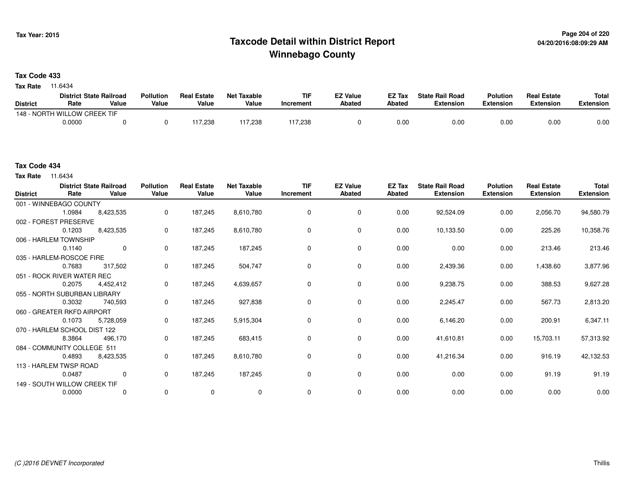# **Page 204 of 220 Taxcode Detail within District ReportWinnebago County**

### **Tax Code 433**

**Tax Rate** 11.6434

|                 | <b>District State Railroad</b> |       | <b>Pollution</b> | <b>Real Estate</b> | Net Taxable | <b>TIF</b> | <b>EZ Value</b> | <b>EZ Tax</b> | <b>State Rail Road</b> | <b>Polution</b>  | <b>Real Estate</b> | <b>Total</b> |
|-----------------|--------------------------------|-------|------------------|--------------------|-------------|------------|-----------------|---------------|------------------------|------------------|--------------------|--------------|
| <b>District</b> | Rate                           | Value | Value            | Value              | Value       | Increment  | <b>Abated</b>   | Abated        | <b>Extension</b>       | <b>Extension</b> | <b>Extension</b>   | Extension    |
|                 | 148 - NORTH WILLOW CREEK TIF   |       |                  |                    |             |            |                 |               |                        |                  |                    |              |
|                 | 0.0000                         |       |                  | 117.238            | 117,238     | 117,238    |                 | 0.00          | 0.00                   | 0.00             | 0.00               | 0.00         |

**Tax Rate** 11.6434

| <b>District</b>              | Rate   | <b>District State Railroad</b><br>Value | <b>Pollution</b><br>Value | <b>Real Estate</b><br>Value | <b>Net Taxable</b><br>Value | <b>TIF</b><br>Increment | <b>EZ Value</b><br><b>Abated</b> | EZ Tax<br>Abated | <b>State Rail Road</b><br><b>Extension</b> | <b>Polution</b><br><b>Extension</b> | <b>Real Estate</b><br><b>Extension</b> | <b>Total</b><br><b>Extension</b> |
|------------------------------|--------|-----------------------------------------|---------------------------|-----------------------------|-----------------------------|-------------------------|----------------------------------|------------------|--------------------------------------------|-------------------------------------|----------------------------------------|----------------------------------|
| 001 - WINNEBAGO COUNTY       |        |                                         |                           |                             |                             |                         |                                  |                  |                                            |                                     |                                        |                                  |
|                              | 1.0984 | 8,423,535                               | 0                         | 187,245                     | 8,610,780                   | 0                       | 0                                | 0.00             | 92,524.09                                  | 0.00                                | 2,056.70                               | 94,580.79                        |
| 002 - FOREST PRESERVE        |        |                                         |                           |                             |                             |                         |                                  |                  |                                            |                                     |                                        |                                  |
|                              | 0.1203 | 8,423,535                               | 0                         | 187,245                     | 8,610,780                   | $\Omega$                | 0                                | 0.00             | 10,133.50                                  | 0.00                                | 225.26                                 | 10,358.76                        |
| 006 - HARLEM TOWNSHIP        |        |                                         |                           |                             |                             |                         |                                  |                  |                                            |                                     |                                        |                                  |
|                              | 0.1140 | $\mathbf 0$                             | $\mathbf{0}$              | 187,245                     | 187,245                     | $\Omega$                | $\mathbf 0$                      | 0.00             | 0.00                                       | 0.00                                | 213.46                                 | 213.46                           |
| 035 - HARLEM-ROSCOE FIRE     |        |                                         |                           |                             |                             |                         |                                  |                  |                                            |                                     |                                        |                                  |
|                              | 0.7683 | 317,502                                 | 0                         | 187,245                     | 504,747                     | 0                       | 0                                | 0.00             | 2,439.36                                   | 0.00                                | 1,438.60                               | 3,877.96                         |
| 051 - ROCK RIVER WATER REC   |        |                                         |                           |                             |                             |                         |                                  |                  |                                            |                                     |                                        |                                  |
|                              | 0.2075 | 4,452,412                               | 0                         | 187,245                     | 4,639,657                   | 0                       | 0                                | 0.00             | 9,238.75                                   | 0.00                                | 388.53                                 | 9,627.28                         |
| 055 - NORTH SUBURBAN LIBRARY |        |                                         |                           |                             |                             |                         |                                  |                  |                                            |                                     |                                        |                                  |
|                              | 0.3032 | 740,593                                 | 0                         | 187,245                     | 927,838                     | 0                       | 0                                | 0.00             | 2,245.47                                   | 0.00                                | 567.73                                 | 2,813.20                         |
| 060 - GREATER RKFD AIRPORT   |        |                                         |                           |                             |                             |                         |                                  |                  |                                            |                                     |                                        |                                  |
|                              | 0.1073 | 5,728,059                               | 0                         | 187,245                     | 5,915,304                   | 0                       | 0                                | 0.00             | 6,146.20                                   | 0.00                                | 200.91                                 | 6,347.11                         |
| 070 - HARLEM SCHOOL DIST 122 |        |                                         |                           |                             |                             |                         |                                  |                  |                                            |                                     |                                        |                                  |
|                              | 8.3864 | 496,170                                 | $\mathbf{0}$              | 187,245                     | 683,415                     | 0                       | 0                                | 0.00             | 41,610.81                                  | 0.00                                | 15,703.11                              | 57,313.92                        |
| 084 - COMMUNITY COLLEGE 511  |        |                                         |                           |                             |                             |                         |                                  |                  |                                            |                                     |                                        |                                  |
|                              | 0.4893 | 8,423,535                               | 0                         | 187,245                     | 8,610,780                   | 0                       | 0                                | 0.00             | 41,216.34                                  | 0.00                                | 916.19                                 | 42,132.53                        |
| 113 - HARLEM TWSP ROAD       |        |                                         |                           |                             |                             |                         |                                  |                  |                                            |                                     |                                        |                                  |
|                              | 0.0487 | 0                                       | $\mathbf 0$               | 187,245                     | 187,245                     | 0                       | 0                                | 0.00             | 0.00                                       | 0.00                                | 91.19                                  | 91.19                            |
| 149 - SOUTH WILLOW CREEK TIF |        |                                         |                           |                             |                             |                         |                                  |                  |                                            |                                     |                                        |                                  |
|                              | 0.0000 | 0                                       | $\mathbf 0$               | $\mathbf 0$                 | 0                           | 0                       | 0                                | 0.00             | 0.00                                       | 0.00                                | 0.00                                   | 0.00                             |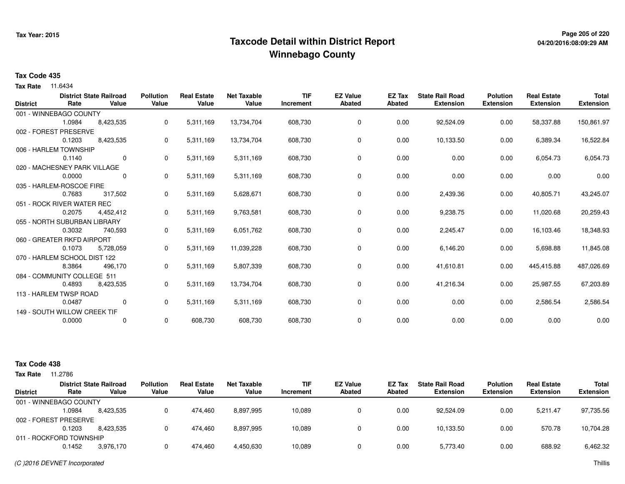# **Page 205 of 220 Taxcode Detail within District ReportWinnebago County**

#### **Tax Code 435**

**Tax Rate** 11.6434

|                 |                              | <b>District State Railroad</b> | <b>Pollution</b> | <b>Real Estate</b> | <b>Net Taxable</b> | <b>TIF</b> | <b>EZ Value</b> | EZ Tax        | <b>State Rail Road</b> | <b>Polution</b>  | <b>Real Estate</b> | <b>Total</b>     |
|-----------------|------------------------------|--------------------------------|------------------|--------------------|--------------------|------------|-----------------|---------------|------------------------|------------------|--------------------|------------------|
| <b>District</b> | Rate                         | Value                          | Value            | Value              | Value              | Increment  | <b>Abated</b>   | <b>Abated</b> | <b>Extension</b>       | <b>Extension</b> | <b>Extension</b>   | <b>Extension</b> |
|                 | 001 - WINNEBAGO COUNTY       |                                |                  |                    |                    |            |                 |               |                        |                  |                    |                  |
|                 | 1.0984                       | 8,423,535                      | 0                | 5,311,169          | 13,734,704         | 608,730    | 0               | 0.00          | 92,524.09              | 0.00             | 58,337.88          | 150,861.97       |
|                 | 002 - FOREST PRESERVE        |                                |                  |                    |                    |            |                 |               |                        |                  |                    |                  |
|                 | 0.1203                       | 8,423,535                      | 0                | 5,311,169          | 13,734,704         | 608,730    | 0               | 0.00          | 10,133.50              | 0.00             | 6,389.34           | 16,522.84        |
|                 | 006 - HARLEM TOWNSHIP        |                                |                  |                    |                    |            |                 |               |                        |                  |                    |                  |
|                 | 0.1140                       | $\mathbf 0$                    | 0                | 5,311,169          | 5,311,169          | 608,730    | 0               | 0.00          | 0.00                   | 0.00             | 6,054.73           | 6,054.73         |
|                 | 020 - MACHESNEY PARK VILLAGE |                                |                  |                    |                    |            |                 |               |                        |                  |                    |                  |
|                 | 0.0000                       | 0                              | 0                | 5,311,169          | 5,311,169          | 608,730    | 0               | 0.00          | 0.00                   | 0.00             | 0.00               | 0.00             |
|                 | 035 - HARLEM-ROSCOE FIRE     |                                |                  |                    |                    |            |                 |               |                        |                  |                    |                  |
|                 | 0.7683                       | 317,502                        | 0                | 5,311,169          | 5,628,671          | 608,730    | 0               | 0.00          | 2,439.36               | 0.00             | 40,805.71          | 43,245.07        |
|                 | 051 - ROCK RIVER WATER REC   |                                |                  |                    |                    |            |                 |               |                        |                  |                    |                  |
|                 | 0.2075                       | 4,452,412                      | 0                | 5,311,169          | 9,763,581          | 608,730    | 0               | 0.00          | 9,238.75               | 0.00             | 11,020.68          | 20,259.43        |
|                 | 055 - NORTH SUBURBAN LIBRARY |                                |                  |                    |                    |            |                 |               |                        |                  |                    |                  |
|                 | 0.3032                       | 740,593                        | 0                | 5,311,169          | 6,051,762          | 608,730    | 0               | 0.00          | 2,245.47               | 0.00             | 16,103.46          | 18,348.93        |
|                 | 060 - GREATER RKFD AIRPORT   |                                |                  |                    |                    |            |                 |               |                        |                  |                    |                  |
|                 | 0.1073                       | 5,728,059                      | 0                | 5,311,169          | 11,039,228         | 608,730    | 0               | 0.00          | 6,146.20               | 0.00             | 5,698.88           | 11,845.08        |
|                 | 070 - HARLEM SCHOOL DIST 122 |                                |                  |                    |                    |            |                 |               |                        |                  |                    |                  |
|                 | 8.3864                       | 496,170                        | 0                | 5,311,169          | 5,807,339          | 608,730    | 0               | 0.00          | 41,610.81              | 0.00             | 445,415.88         | 487,026.69       |
|                 | 084 - COMMUNITY COLLEGE 511  |                                |                  |                    |                    |            |                 |               |                        |                  |                    |                  |
|                 | 0.4893                       | 8,423,535                      | 0                | 5,311,169          | 13,734,704         | 608,730    | 0               | 0.00          | 41,216.34              | 0.00             | 25,987.55          | 67,203.89        |
|                 | 113 - HARLEM TWSP ROAD       |                                |                  |                    |                    |            |                 |               |                        |                  |                    |                  |
|                 | 0.0487                       | 0                              | 0                | 5,311,169          | 5,311,169          | 608,730    | 0               | 0.00          | 0.00                   | 0.00             | 2,586.54           | 2,586.54         |
|                 | 149 - SOUTH WILLOW CREEK TIF |                                |                  |                    |                    |            |                 |               |                        |                  |                    |                  |
|                 | 0.0000                       | 0                              | 0                | 608,730            | 608,730            | 608,730    | 0               | 0.00          | 0.00                   | 0.00             | 0.00               | 0.00             |

| <b>Tax Rate</b> | 1.2786                  |                                         |                           |                             |                      |                         |                                  |                  |                                            |                                     |                                        |                                  |
|-----------------|-------------------------|-----------------------------------------|---------------------------|-----------------------------|----------------------|-------------------------|----------------------------------|------------------|--------------------------------------------|-------------------------------------|----------------------------------------|----------------------------------|
| <b>District</b> | Rate                    | <b>District State Railroad</b><br>Value | <b>Pollution</b><br>Value | <b>Real Estate</b><br>Value | Net Taxable<br>Value | <b>TIF</b><br>Increment | <b>EZ Value</b><br><b>Abated</b> | EZ Tax<br>Abated | <b>State Rail Road</b><br><b>Extension</b> | <b>Polution</b><br><b>Extension</b> | <b>Real Estate</b><br><b>Extension</b> | <b>Total</b><br><b>Extension</b> |
|                 | 001 - WINNEBAGO COUNTY  |                                         |                           |                             |                      |                         |                                  |                  |                                            |                                     |                                        |                                  |
|                 | 1.0984                  | 8.423.535                               |                           | 474.460                     | 8,897,995            | 10,089                  |                                  | 0.00             | 92.524.09                                  | 0.00                                | 5.211.47                               | 97,735.56                        |
|                 | 002 - FOREST PRESERVE   |                                         |                           |                             |                      |                         |                                  |                  |                                            |                                     |                                        |                                  |
|                 | 0.1203                  | 8.423.535                               |                           | 474.460                     | 8,897,995            | 10,089                  |                                  | 0.00             | 10,133.50                                  | 0.00                                | 570.78                                 | 10,704.28                        |
|                 | 011 - ROCKFORD TOWNSHIP |                                         |                           |                             |                      |                         |                                  |                  |                                            |                                     |                                        |                                  |
|                 | 0.1452                  | 3,976,170                               |                           | 474.460                     | 4,450,630            | 10,089                  |                                  | 0.00             | 5,773.40                                   | 0.00                                | 688.92                                 | 6,462.32                         |
|                 |                         |                                         |                           |                             |                      |                         |                                  |                  |                                            |                                     |                                        |                                  |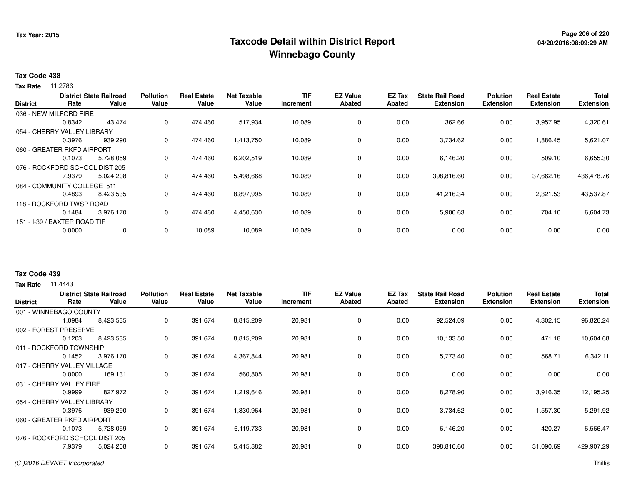# **Page 206 of 220 Taxcode Detail within District ReportWinnebago County**

### **Tax Code 438**

**Tax Rate** 11.2786

|                 |                                | <b>District State Railroad</b> | <b>Pollution</b> | <b>Real Estate</b> | <b>Net Taxable</b> | <b>TIF</b> | <b>EZ Value</b> | <b>EZ Tax</b> | <b>State Rail Road</b> | <b>Polution</b>  | <b>Real Estate</b> | <b>Total</b>     |
|-----------------|--------------------------------|--------------------------------|------------------|--------------------|--------------------|------------|-----------------|---------------|------------------------|------------------|--------------------|------------------|
| <b>District</b> | Rate                           | Value                          | Value            | Value              | Value              | Increment  | <b>Abated</b>   | Abated        | <b>Extension</b>       | <b>Extension</b> | <b>Extension</b>   | <b>Extension</b> |
|                 | 036 - NEW MILFORD FIRE         |                                |                  |                    |                    |            |                 |               |                        |                  |                    |                  |
|                 | 0.8342                         | 43,474                         | 0                | 474,460            | 517,934            | 10,089     | 0               | 0.00          | 362.66                 | 0.00             | 3,957.95           | 4,320.61         |
|                 | 054 - CHERRY VALLEY LIBRARY    |                                |                  |                    |                    |            |                 |               |                        |                  |                    |                  |
|                 | 0.3976                         | 939.290                        | 0                | 474,460            | 1,413,750          | 10,089     | 0               | 0.00          | 3,734.62               | 0.00             | .886.45            | 5,621.07         |
|                 | 060 - GREATER RKFD AIRPORT     |                                |                  |                    |                    |            |                 |               |                        |                  |                    |                  |
|                 | 0.1073                         | 5,728,059                      | 0                | 474,460            | 6,202,519          | 10,089     | 0               | 0.00          | 6,146.20               | 0.00             | 509.10             | 6,655.30         |
|                 | 076 - ROCKFORD SCHOOL DIST 205 |                                |                  |                    |                    |            |                 |               |                        |                  |                    |                  |
|                 | 7.9379                         | 5,024,208                      | 0                | 474,460            | 5,498,668          | 10,089     | 0               | 0.00          | 398,816.60             | 0.00             | 37,662.16          | 436,478.76       |
|                 | 084 - COMMUNITY COLLEGE 511    |                                |                  |                    |                    |            |                 |               |                        |                  |                    |                  |
|                 | 0.4893                         | 8,423,535                      | 0                | 474,460            | 8,897,995          | 10,089     | 0               | 0.00          | 41,216.34              | 0.00             | 2,321.53           | 43,537.87        |
|                 | 118 - ROCKFORD TWSP ROAD       |                                |                  |                    |                    |            |                 |               |                        |                  |                    |                  |
|                 | 0.1484                         | 3,976,170                      | 0                | 474,460            | 4,450,630          | 10,089     | 0               | 0.00          | 5,900.63               | 0.00             | 704.10             | 6,604.73         |
|                 | 151 - I-39 / BAXTER ROAD TIF   |                                |                  |                    |                    |            |                 |               |                        |                  |                    |                  |
|                 | 0.0000                         | 0                              | 0                | 10,089             | 10,089             | 10,089     | 0               | 0.00          | 0.00                   | 0.00             | 0.00               | 0.00             |
|                 |                                |                                |                  |                    |                    |            |                 |               |                        |                  |                    |                  |

### **Tax Code 439**

| <b>District</b>             | Rate   | <b>District State Railroad</b><br>Value | <b>Pollution</b><br>Value | <b>Real Estate</b><br>Value | <b>Net Taxable</b><br>Value | <b>TIF</b><br>Increment | <b>EZ Value</b><br><b>Abated</b> | EZ Tax<br><b>Abated</b> | <b>State Rail Road</b><br><b>Extension</b> | <b>Polution</b><br><b>Extension</b> | <b>Real Estate</b><br><b>Extension</b> | <b>Total</b><br><b>Extension</b> |
|-----------------------------|--------|-----------------------------------------|---------------------------|-----------------------------|-----------------------------|-------------------------|----------------------------------|-------------------------|--------------------------------------------|-------------------------------------|----------------------------------------|----------------------------------|
| 001 - WINNEBAGO COUNTY      |        |                                         |                           |                             |                             |                         |                                  |                         |                                            |                                     |                                        |                                  |
|                             | 1.0984 | 8,423,535                               | 0                         | 391,674                     | 8,815,209                   | 20,981                  | 0                                | 0.00                    | 92,524.09                                  | 0.00                                | 4,302.15                               | 96,826.24                        |
| 002 - FOREST PRESERVE       |        |                                         |                           |                             |                             |                         |                                  |                         |                                            |                                     |                                        |                                  |
|                             | 0.1203 | 8,423,535                               | 0                         | 391,674                     | 8,815,209                   | 20,981                  | 0                                | 0.00                    | 10,133.50                                  | 0.00                                | 471.18                                 | 10,604.68                        |
| 011 - ROCKFORD TOWNSHIP     |        |                                         |                           |                             |                             |                         |                                  |                         |                                            |                                     |                                        |                                  |
|                             | 0.1452 | 3,976,170                               | 0                         | 391,674                     | 4,367,844                   | 20,981                  | 0                                | 0.00                    | 5,773.40                                   | 0.00                                | 568.71                                 | 6,342.11                         |
| 017 - CHERRY VALLEY VILLAGE |        |                                         |                           |                             |                             |                         |                                  |                         |                                            |                                     |                                        |                                  |
|                             | 0.0000 | 169,131                                 | 0                         | 391,674                     | 560,805                     | 20,981                  | 0                                | 0.00                    | 0.00                                       | 0.00                                | 0.00                                   | 0.00                             |
| 031 - CHERRY VALLEY FIRE    |        |                                         |                           |                             |                             |                         |                                  |                         |                                            |                                     |                                        |                                  |
|                             | 0.9999 | 827,972                                 | 0                         | 391,674                     | 1,219,646                   | 20,981                  | 0                                | 0.00                    | 8,278.90                                   | 0.00                                | 3,916.35                               | 12,195.25                        |
| 054 - CHERRY VALLEY LIBRARY |        |                                         |                           |                             |                             |                         |                                  |                         |                                            |                                     |                                        |                                  |
|                             | 0.3976 | 939,290                                 | 0                         | 391,674                     | 1,330,964                   | 20,981                  | 0                                | 0.00                    | 3,734.62                                   | 0.00                                | 1,557.30                               | 5,291.92                         |
| 060 - GREATER RKFD AIRPORT  |        |                                         |                           |                             |                             |                         |                                  |                         |                                            |                                     |                                        |                                  |
|                             | 0.1073 | 5,728,059                               | 0                         | 391,674                     | 6,119,733                   | 20,981                  | 0                                | 0.00                    | 6,146.20                                   | 0.00                                | 420.27                                 | 6,566.47                         |
| 076 - ROCKFORD SCHOOL       |        | . DIST 205                              |                           |                             |                             |                         |                                  |                         |                                            |                                     |                                        |                                  |
|                             | 7.9379 | 5,024,208                               | 0                         | 391,674                     | 5,415,882                   | 20,981                  | 0                                | 0.00                    | 398,816.60                                 | 0.00                                | 31,090.69                              | 429,907.29                       |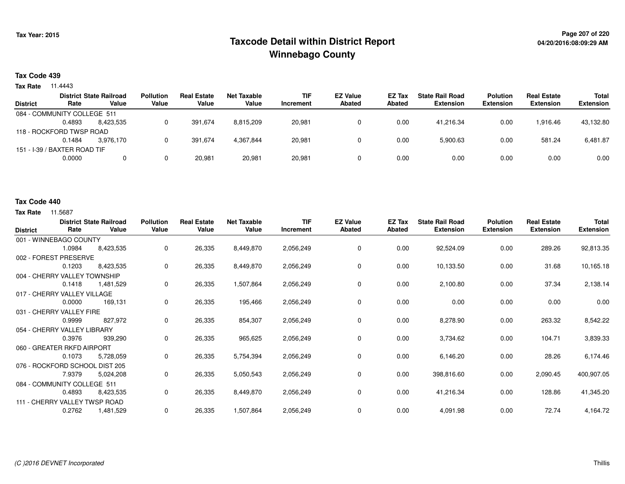# **Page 207 of 220 Taxcode Detail within District ReportWinnebago County**

### **Tax Code 439**

**Tax Rate** 11.4443

| <b>District</b> | Rate                         | <b>District State Railroad</b><br>Value | <b>Pollution</b><br>Value | <b>Real Estate</b><br>Value | Net Taxable<br>Value | <b>TIF</b><br>Increment | <b>EZ Value</b><br><b>Abated</b> | EZ Tax<br>Abated | <b>State Rail Road</b><br><b>Extension</b> | <b>Polution</b><br><b>Extension</b> | <b>Real Estate</b><br><b>Extension</b> | Total<br><b>Extension</b> |
|-----------------|------------------------------|-----------------------------------------|---------------------------|-----------------------------|----------------------|-------------------------|----------------------------------|------------------|--------------------------------------------|-------------------------------------|----------------------------------------|---------------------------|
|                 | 084 - COMMUNITY COLLEGE 511  |                                         |                           |                             |                      |                         |                                  |                  |                                            |                                     |                                        |                           |
|                 | 0.4893                       | 8.423.535                               |                           | 391.674                     | 8,815,209            | 20,981                  | 0                                | 0.00             | 41.216.34                                  | 0.00                                | 1,916.46                               | 43,132.80                 |
|                 | 118 - ROCKFORD TWSP ROAD     |                                         |                           |                             |                      |                         |                                  |                  |                                            |                                     |                                        |                           |
|                 | 0.1484                       | 3.976.170                               |                           | 391.674                     | 4,367,844            | 20,981                  |                                  | 0.00             | 5,900.63                                   | 0.00                                | 581.24                                 | 6,481.87                  |
|                 | 151 - I-39 / BAXTER ROAD TIF |                                         |                           |                             |                      |                         |                                  |                  |                                            |                                     |                                        |                           |
|                 | 0.0000                       |                                         |                           | 20.981                      | 20,981               | 20,981                  |                                  | 0.00             | 0.00                                       | 0.00                                | 0.00                                   | 0.00                      |
|                 |                              |                                         |                           |                             |                      |                         |                                  |                  |                                            |                                     |                                        |                           |

#### **Tax Code 440**

| <b>District</b>                | Rate   | <b>District State Railroad</b><br>Value | <b>Pollution</b><br>Value | <b>Real Estate</b><br>Value | <b>Net Taxable</b><br>Value | <b>TIF</b><br>Increment | <b>EZ Value</b><br><b>Abated</b> | EZ Tax<br><b>Abated</b> | <b>State Rail Road</b><br><b>Extension</b> | <b>Polution</b><br><b>Extension</b> | <b>Real Estate</b><br><b>Extension</b> | Total<br><b>Extension</b> |
|--------------------------------|--------|-----------------------------------------|---------------------------|-----------------------------|-----------------------------|-------------------------|----------------------------------|-------------------------|--------------------------------------------|-------------------------------------|----------------------------------------|---------------------------|
| 001 - WINNEBAGO COUNTY         |        |                                         |                           |                             |                             |                         |                                  |                         |                                            |                                     |                                        |                           |
|                                | 1.0984 | 8,423,535                               | $\mathbf 0$               | 26,335                      | 8,449,870                   | 2,056,249               | 0                                | 0.00                    | 92,524.09                                  | 0.00                                | 289.26                                 | 92,813.35                 |
| 002 - FOREST PRESERVE          |        |                                         |                           |                             |                             |                         |                                  |                         |                                            |                                     |                                        |                           |
|                                | 0.1203 | 8,423,535                               | 0                         | 26,335                      | 8,449,870                   | 2,056,249               | $\mathbf 0$                      | 0.00                    | 10,133.50                                  | 0.00                                | 31.68                                  | 10,165.18                 |
| 004 - CHERRY VALLEY TOWNSHIP   |        |                                         |                           |                             |                             |                         |                                  |                         |                                            |                                     |                                        |                           |
|                                | 0.1418 | 1,481,529                               | 0                         | 26,335                      | 1,507,864                   | 2,056,249               | 0                                | 0.00                    | 2,100.80                                   | 0.00                                | 37.34                                  | 2,138.14                  |
| 017 - CHERRY VALLEY VILLAGE    |        |                                         |                           |                             |                             |                         |                                  |                         |                                            |                                     |                                        |                           |
|                                | 0.0000 | 169,131                                 | 0                         | 26,335                      | 195,466                     | 2,056,249               | 0                                | 0.00                    | 0.00                                       | 0.00                                | 0.00                                   | 0.00                      |
| 031 - CHERRY VALLEY FIRE       |        |                                         |                           |                             |                             |                         |                                  |                         |                                            |                                     |                                        |                           |
|                                | 0.9999 | 827,972                                 | 0                         | 26,335                      | 854,307                     | 2,056,249               | 0                                | 0.00                    | 8,278.90                                   | 0.00                                | 263.32                                 | 8,542.22                  |
| 054 - CHERRY VALLEY LIBRARY    |        |                                         |                           |                             |                             |                         |                                  |                         |                                            |                                     |                                        |                           |
|                                | 0.3976 | 939,290                                 | 0                         | 26,335                      | 965,625                     | 2,056,249               | 0                                | 0.00                    | 3,734.62                                   | 0.00                                | 104.71                                 | 3,839.33                  |
| 060 - GREATER RKFD AIRPORT     |        |                                         |                           |                             |                             |                         |                                  |                         |                                            |                                     |                                        |                           |
|                                | 0.1073 | 5,728,059                               | 0                         | 26,335                      | 5,754,394                   | 2,056,249               | 0                                | 0.00                    | 6,146.20                                   | 0.00                                | 28.26                                  | 6,174.46                  |
| 076 - ROCKFORD SCHOOL DIST 205 |        |                                         |                           |                             |                             |                         |                                  |                         |                                            |                                     |                                        |                           |
|                                | 7.9379 | 5,024,208                               | 0                         | 26,335                      | 5,050,543                   | 2,056,249               | $\mathbf 0$                      | 0.00                    | 398,816.60                                 | 0.00                                | 2,090.45                               | 400,907.05                |
| 084 - COMMUNITY COLLEGE 511    |        |                                         |                           |                             |                             |                         |                                  |                         |                                            |                                     |                                        |                           |
|                                | 0.4893 | 8,423,535                               | 0                         | 26,335                      | 8,449,870                   | 2,056,249               | 0                                | 0.00                    | 41,216.34                                  | 0.00                                | 128.86                                 | 41,345.20                 |
| 111 - CHERRY VALLEY TWSP ROAD  |        |                                         |                           |                             |                             |                         |                                  |                         |                                            |                                     |                                        |                           |
|                                | 0.2762 | 1,481,529                               | 0                         | 26,335                      | 1,507,864                   | 2,056,249               | 0                                | 0.00                    | 4,091.98                                   | 0.00                                | 72.74                                  | 4,164.72                  |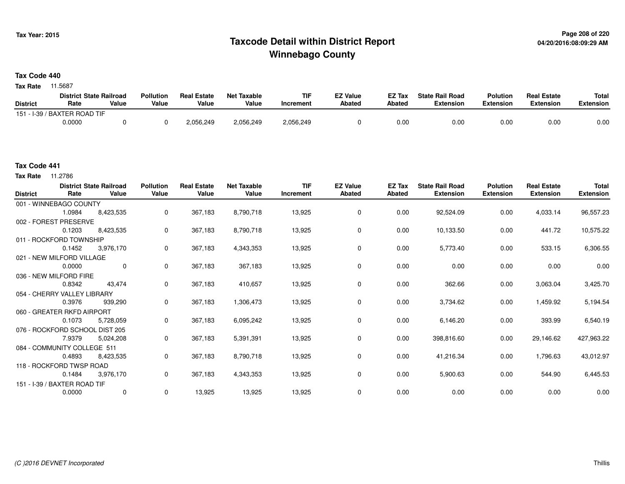# **Page 208 of 220 Taxcode Detail within District ReportWinnebago County**

**Tax Code 440**

**Tax Rate** 11.5687

|                 | <b>District State Railroad</b> |       | <b>Pollution</b> | <b>Real Estate</b> | Net Taxable | <b>TIF</b> | <b>EZ Value</b> | <b>EZ Tax</b> | <b>State Rail Road</b> | <b>Polution</b>  | <b>Real Estate</b> | <b>Total</b> |
|-----------------|--------------------------------|-------|------------------|--------------------|-------------|------------|-----------------|---------------|------------------------|------------------|--------------------|--------------|
| <b>District</b> | Rate                           | Value | Value            | Value              | Value       | Increment  | <b>Abated</b>   | <b>Abated</b> | <b>Extension</b>       | <b>Extension</b> | <b>Extension</b>   | Extension    |
|                 | 151 - I-39 / BAXTER ROAD TIF   |       |                  |                    |             |            |                 |               |                        |                  |                    |              |
|                 | 0.0000                         |       |                  | 2,056,249          | 2,056,249   | 2,056,249  |                 | 0.00          | 0.00                   | 0.00             | 0.00               | 0.00         |

**Tax Rate** 11.2786

| <b>District</b> | Rate                           | <b>District State Railroad</b><br>Value | <b>Pollution</b><br>Value | <b>Real Estate</b><br>Value | <b>Net Taxable</b><br>Value | <b>TIF</b><br>Increment | <b>EZ Value</b><br>Abated | EZ Tax<br>Abated | <b>State Rail Road</b><br><b>Extension</b> | <b>Polution</b><br><b>Extension</b> | <b>Real Estate</b><br><b>Extension</b> | <b>Total</b><br><b>Extension</b> |
|-----------------|--------------------------------|-----------------------------------------|---------------------------|-----------------------------|-----------------------------|-------------------------|---------------------------|------------------|--------------------------------------------|-------------------------------------|----------------------------------------|----------------------------------|
|                 | 001 - WINNEBAGO COUNTY         |                                         |                           |                             |                             |                         |                           |                  |                                            |                                     |                                        |                                  |
|                 | 1.0984                         | 8,423,535                               | 0                         | 367,183                     | 8,790,718                   | 13,925                  | 0                         | 0.00             | 92,524.09                                  | 0.00                                | 4,033.14                               | 96,557.23                        |
|                 | 002 - FOREST PRESERVE          |                                         |                           |                             |                             |                         |                           |                  |                                            |                                     |                                        |                                  |
|                 | 0.1203                         | 8,423,535                               | $\mathbf 0$               | 367,183                     | 8,790,718                   | 13,925                  | 0                         | 0.00             | 10,133.50                                  | 0.00                                | 441.72                                 | 10,575.22                        |
|                 | 011 - ROCKFORD TOWNSHIP        |                                         |                           |                             |                             |                         |                           |                  |                                            |                                     |                                        |                                  |
|                 | 0.1452                         | 3,976,170                               | 0                         | 367,183                     | 4,343,353                   | 13,925                  | 0                         | 0.00             | 5,773.40                                   | 0.00                                | 533.15                                 | 6,306.55                         |
|                 | 021 - NEW MILFORD VILLAGE      |                                         |                           |                             |                             |                         |                           |                  |                                            |                                     |                                        |                                  |
|                 | 0.0000                         | $\mathbf 0$                             | 0                         | 367,183                     | 367,183                     | 13,925                  | 0                         | 0.00             | 0.00                                       | 0.00                                | 0.00                                   | 0.00                             |
|                 | 036 - NEW MILFORD FIRE         |                                         |                           |                             |                             |                         |                           |                  |                                            |                                     |                                        |                                  |
|                 | 0.8342                         | 43,474                                  | $\mathbf 0$               | 367,183                     | 410,657                     | 13,925                  | 0                         | 0.00             | 362.66                                     | 0.00                                | 3,063.04                               | 3,425.70                         |
|                 | 054 - CHERRY VALLEY LIBRARY    |                                         |                           |                             |                             |                         |                           |                  |                                            |                                     |                                        |                                  |
|                 | 0.3976                         | 939,290                                 | 0                         | 367,183                     | 1,306,473                   | 13,925                  | 0                         | 0.00             | 3,734.62                                   | 0.00                                | 1,459.92                               | 5,194.54                         |
|                 | 060 - GREATER RKFD AIRPORT     |                                         |                           |                             |                             |                         |                           |                  |                                            |                                     |                                        |                                  |
|                 | 0.1073                         | 5,728,059                               | 0                         | 367,183                     | 6,095,242                   | 13,925                  | $\mathbf 0$               | 0.00             | 6,146.20                                   | 0.00                                | 393.99                                 | 6,540.19                         |
|                 | 076 - ROCKFORD SCHOOL DIST 205 |                                         |                           |                             |                             |                         |                           |                  |                                            |                                     |                                        |                                  |
|                 | 7.9379                         | 5,024,208                               | 0                         | 367,183                     | 5,391,391                   | 13,925                  | $\mathbf 0$               | 0.00             | 398,816.60                                 | 0.00                                | 29,146.62                              | 427,963.22                       |
|                 | 084 - COMMUNITY COLLEGE 511    |                                         |                           |                             |                             |                         |                           |                  |                                            |                                     |                                        |                                  |
|                 | 0.4893                         | 8,423,535                               | 0                         | 367,183                     | 8,790,718                   | 13,925                  | 0                         | 0.00             | 41,216.34                                  | 0.00                                | 1,796.63                               | 43,012.97                        |
|                 | 118 - ROCKFORD TWSP ROAD       |                                         |                           |                             |                             |                         |                           |                  |                                            |                                     |                                        |                                  |
|                 | 0.1484                         | 3,976,170                               | $\mathbf 0$               | 367,183                     | 4,343,353                   | 13,925                  | 0                         | 0.00             | 5,900.63                                   | 0.00                                | 544.90                                 | 6,445.53                         |
|                 | 151 - I-39 / BAXTER ROAD TIF   |                                         |                           |                             |                             |                         |                           |                  |                                            |                                     |                                        |                                  |
|                 | 0.0000                         | $\mathbf 0$                             | 0                         | 13,925                      | 13,925                      | 13,925                  | $\mathbf 0$               | 0.00             | 0.00                                       | 0.00                                | 0.00                                   | 0.00                             |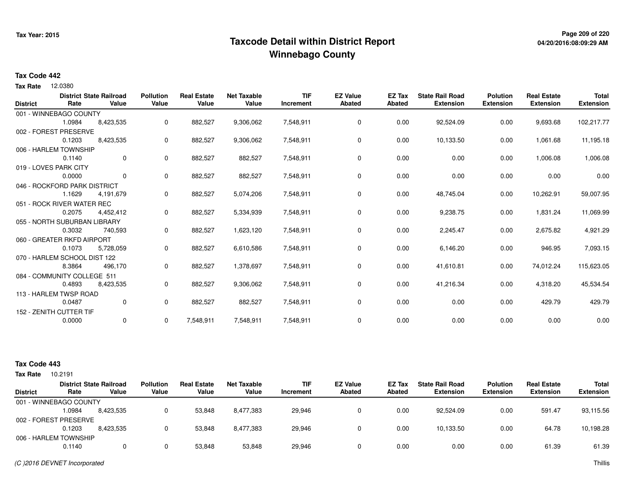# **Page 209 of 220 Taxcode Detail within District ReportWinnebago County**

#### **Tax Code 442**

12.0380 **Tax Rate**

|                 |                              | <b>District State Railroad</b> | <b>Pollution</b> | <b>Real Estate</b> | <b>Net Taxable</b> | <b>TIF</b> | <b>EZ Value</b> | EZ Tax        | <b>State Rail Road</b> | <b>Polution</b>  | <b>Real Estate</b> | <b>Total</b>     |
|-----------------|------------------------------|--------------------------------|------------------|--------------------|--------------------|------------|-----------------|---------------|------------------------|------------------|--------------------|------------------|
| <b>District</b> | Rate                         | Value                          | Value            | Value              | Value              | Increment  | <b>Abated</b>   | <b>Abated</b> | <b>Extension</b>       | <b>Extension</b> | <b>Extension</b>   | <b>Extension</b> |
|                 | 001 - WINNEBAGO COUNTY       |                                |                  |                    |                    |            |                 |               |                        |                  |                    |                  |
|                 | 1.0984                       | 8,423,535                      | 0                | 882,527            | 9,306,062          | 7,548,911  | 0               | 0.00          | 92,524.09              | 0.00             | 9,693.68           | 102,217.77       |
|                 | 002 - FOREST PRESERVE        |                                |                  |                    |                    |            |                 |               |                        |                  |                    |                  |
|                 | 0.1203                       | 8,423,535                      | 0                | 882,527            | 9,306,062          | 7,548,911  | $\mathbf 0$     | 0.00          | 10,133.50              | 0.00             | 1,061.68           | 11,195.18        |
|                 | 006 - HARLEM TOWNSHIP        |                                |                  |                    |                    |            |                 |               |                        |                  |                    |                  |
|                 | 0.1140                       | $\mathbf 0$                    | 0                | 882,527            | 882,527            | 7,548,911  | 0               | 0.00          | 0.00                   | 0.00             | 1,006.08           | 1,006.08         |
|                 | 019 - LOVES PARK CITY        |                                |                  |                    |                    |            |                 |               |                        |                  |                    |                  |
|                 | 0.0000                       | $\mathbf{0}$                   | 0                | 882,527            | 882,527            | 7,548,911  | 0               | 0.00          | 0.00                   | 0.00             | 0.00               | 0.00             |
|                 | 046 - ROCKFORD PARK DISTRICT |                                |                  |                    |                    |            |                 |               |                        |                  |                    |                  |
|                 | 1.1629                       | 4,191,679                      | 0                | 882,527            | 5,074,206          | 7,548,911  | 0               | 0.00          | 48,745.04              | 0.00             | 10,262.91          | 59,007.95        |
|                 | 051 - ROCK RIVER WATER REC   |                                |                  |                    |                    |            |                 |               |                        |                  |                    |                  |
|                 | 0.2075                       | 4,452,412                      | 0                | 882,527            | 5,334,939          | 7,548,911  | 0               | 0.00          | 9,238.75               | 0.00             | 1,831.24           | 11,069.99        |
|                 | 055 - NORTH SUBURBAN LIBRARY |                                |                  |                    |                    |            |                 |               |                        |                  |                    |                  |
|                 | 0.3032                       | 740,593                        | 0                | 882,527            | 1,623,120          | 7,548,911  | 0               | 0.00          | 2,245.47               | 0.00             | 2,675.82           | 4,921.29         |
|                 | 060 - GREATER RKFD AIRPORT   |                                |                  |                    |                    |            |                 |               |                        |                  |                    |                  |
|                 | 0.1073                       | 5,728,059                      | 0                | 882,527            | 6,610,586          | 7,548,911  | 0               | 0.00          | 6,146.20               | 0.00             | 946.95             | 7,093.15         |
|                 | 070 - HARLEM SCHOOL DIST 122 |                                |                  |                    |                    |            |                 |               |                        |                  |                    |                  |
|                 | 8.3864                       | 496,170                        | 0                | 882,527            | 1,378,697          | 7,548,911  | 0               | 0.00          | 41,610.81              | 0.00             | 74,012.24          | 115,623.05       |
|                 | 084 - COMMUNITY COLLEGE 511  |                                |                  |                    |                    |            |                 |               |                        |                  |                    |                  |
|                 | 0.4893                       | 8,423,535                      | 0                | 882,527            | 9,306,062          | 7,548,911  | 0               | 0.00          | 41,216.34              | 0.00             | 4,318.20           | 45,534.54        |
|                 | 113 - HARLEM TWSP ROAD       |                                |                  |                    |                    |            |                 |               |                        |                  |                    |                  |
|                 | 0.0487                       | $\mathbf{0}$                   | 0                | 882,527            | 882,527            | 7,548,911  | 0               | 0.00          | 0.00                   | 0.00             | 429.79             | 429.79           |
|                 | 152 - ZENITH CUTTER TIF      |                                |                  |                    |                    |            |                 |               |                        |                  |                    |                  |
|                 | 0.0000                       | 0                              | 0                | 7,548,911          | 7,548,911          | 7,548,911  | 0               | 0.00          | 0.00                   | 0.00             | 0.00               | 0.00             |
|                 |                              |                                |                  |                    |                    |            |                 |               |                        |                  |                    |                  |

| Tax Rate        | 10.2191                |                                         |                           |                             |                             |                         |                                  |                  |                                            |                                     |                                        |                                  |
|-----------------|------------------------|-----------------------------------------|---------------------------|-----------------------------|-----------------------------|-------------------------|----------------------------------|------------------|--------------------------------------------|-------------------------------------|----------------------------------------|----------------------------------|
| <b>District</b> | Rate                   | <b>District State Railroad</b><br>Value | <b>Pollution</b><br>Value | <b>Real Estate</b><br>Value | <b>Net Taxable</b><br>Value | <b>TIF</b><br>Increment | <b>EZ Value</b><br><b>Abated</b> | EZ Tax<br>Abated | <b>State Rail Road</b><br><b>Extension</b> | <b>Polution</b><br><b>Extension</b> | <b>Real Estate</b><br><b>Extension</b> | <b>Total</b><br><b>Extension</b> |
|                 | 001 - WINNEBAGO COUNTY |                                         |                           |                             |                             |                         |                                  |                  |                                            |                                     |                                        |                                  |
|                 | 1.0984                 | 8,423,535                               |                           | 53,848                      | 8,477,383                   | 29,946                  |                                  | 0.00             | 92.524.09                                  | 0.00                                | 591.47                                 | 93,115.56                        |
|                 | 002 - FOREST PRESERVE  |                                         |                           |                             |                             |                         |                                  |                  |                                            |                                     |                                        |                                  |
|                 | 0.1203                 | 8,423,535                               |                           | 53.848                      | 8,477,383                   | 29,946                  |                                  | 0.00             | 10.133.50                                  | 0.00                                | 64.78                                  | 10,198.28                        |
|                 | 006 - HARLEM TOWNSHIP  |                                         |                           |                             |                             |                         |                                  |                  |                                            |                                     |                                        |                                  |
|                 | 0.1140                 |                                         |                           | 53,848                      | 53,848                      | 29,946                  |                                  | 0.00             | 0.00                                       | 0.00                                | 61.39                                  | 61.39                            |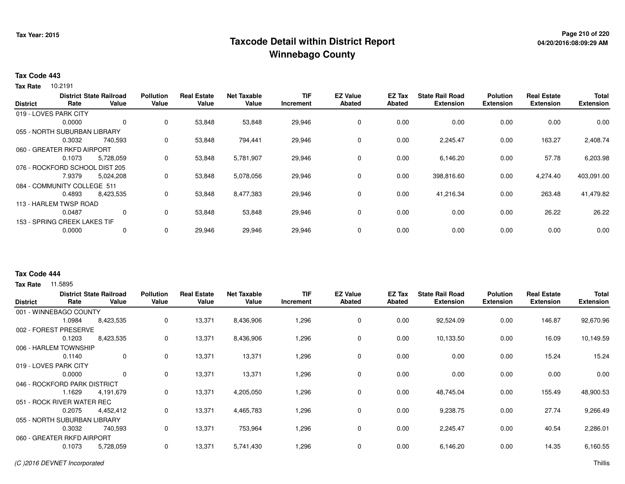# **Page 210 of 220 Taxcode Detail within District ReportWinnebago County**

#### **Tax Code 443**

10.2191 **Tax Rate**

|                 |                                | <b>District State Railroad</b> | <b>Pollution</b> | <b>Real Estate</b> | <b>Net Taxable</b> | <b>TIF</b> | <b>EZ Value</b> | <b>EZ Tax</b> | <b>State Rail Road</b> | <b>Polution</b>  | <b>Real Estate</b> | <b>Total</b>     |
|-----------------|--------------------------------|--------------------------------|------------------|--------------------|--------------------|------------|-----------------|---------------|------------------------|------------------|--------------------|------------------|
| <b>District</b> | Rate                           | Value                          | Value            | Value              | Value              | Increment  | <b>Abated</b>   | <b>Abated</b> | <b>Extension</b>       | <b>Extension</b> | <b>Extension</b>   | <b>Extension</b> |
|                 | 019 - LOVES PARK CITY          |                                |                  |                    |                    |            |                 |               |                        |                  |                    |                  |
|                 | 0.0000                         | $\mathbf 0$                    | $\mathbf 0$      | 53,848             | 53,848             | 29,946     | $\mathbf 0$     | 0.00          | 0.00                   | 0.00             | 0.00               | 0.00             |
|                 | 055 - NORTH SUBURBAN LIBRARY   |                                |                  |                    |                    |            |                 |               |                        |                  |                    |                  |
|                 | 0.3032                         | 740.593                        | 0                | 53,848             | 794,441            | 29,946     | $\mathbf 0$     | 0.00          | 2,245.47               | 0.00             | 163.27             | 2,408.74         |
|                 | 060 - GREATER RKFD AIRPORT     |                                |                  |                    |                    |            |                 |               |                        |                  |                    |                  |
|                 | 0.1073                         | 5,728,059                      | 0                | 53,848             | 5,781,907          | 29,946     | 0               | 0.00          | 6,146.20               | 0.00             | 57.78              | 6,203.98         |
|                 | 076 - ROCKFORD SCHOOL DIST 205 |                                |                  |                    |                    |            |                 |               |                        |                  |                    |                  |
|                 | 7.9379                         | 5,024,208                      | 0                | 53,848             | 5,078,056          | 29,946     | $\mathbf 0$     | 0.00          | 398,816.60             | 0.00             | 4,274.40           | 403,091.00       |
|                 | 084 - COMMUNITY COLLEGE 511    |                                |                  |                    |                    |            |                 |               |                        |                  |                    |                  |
|                 | 0.4893                         | 8,423,535                      | 0                | 53,848             | 8,477,383          | 29,946     | $\mathbf 0$     | 0.00          | 41.216.34              | 0.00             | 263.48             | 41,479.82        |
|                 | 113 - HARLEM TWSP ROAD         |                                |                  |                    |                    |            |                 |               |                        |                  |                    |                  |
|                 | 0.0487                         | 0                              | 0                | 53,848             | 53,848             | 29,946     | 0               | 0.00          | 0.00                   | 0.00             | 26.22              | 26.22            |
|                 | 153 - SPRING CREEK LAKES TIF   |                                |                  |                    |                    |            |                 |               |                        |                  |                    |                  |
|                 | 0.0000                         | 0                              | 0                | 29,946             | 29,946             | 29,946     | $\mathbf 0$     | 0.00          | 0.00                   | 0.00             | 0.00               | 0.00             |
|                 |                                |                                |                  |                    |                    |            |                 |               |                        |                  |                    |                  |

### **Tax Code 444**

| <b>District</b>              | Rate   | <b>District State Railroad</b><br>Value | <b>Pollution</b><br>Value | <b>Real Estate</b><br>Value | <b>Net Taxable</b><br>Value | <b>TIF</b><br>Increment | <b>EZ Value</b><br><b>Abated</b> | <b>EZ Tax</b><br><b>Abated</b> | <b>State Rail Road</b><br><b>Extension</b> | <b>Polution</b><br><b>Extension</b> | <b>Real Estate</b><br><b>Extension</b> | <b>Total</b><br><b>Extension</b> |
|------------------------------|--------|-----------------------------------------|---------------------------|-----------------------------|-----------------------------|-------------------------|----------------------------------|--------------------------------|--------------------------------------------|-------------------------------------|----------------------------------------|----------------------------------|
| 001 - WINNEBAGO COUNTY       |        |                                         |                           |                             |                             |                         |                                  |                                |                                            |                                     |                                        |                                  |
|                              | 1.0984 | 8,423,535                               | 0                         | 13,371                      | 8,436,906                   | 1,296                   | 0                                | 0.00                           | 92,524.09                                  | 0.00                                | 146.87                                 | 92,670.96                        |
| 002 - FOREST PRESERVE        |        |                                         |                           |                             |                             |                         |                                  |                                |                                            |                                     |                                        |                                  |
|                              | 0.1203 | 8,423,535                               | 0                         | 13,371                      | 8,436,906                   | 1,296                   | 0                                | 0.00                           | 10,133.50                                  | 0.00                                | 16.09                                  | 10,149.59                        |
| 006 - HARLEM TOWNSHIP        |        |                                         |                           |                             |                             |                         |                                  |                                |                                            |                                     |                                        |                                  |
|                              | 0.1140 | 0                                       | 0                         | 13,371                      | 13,371                      | 1,296                   | 0                                | 0.00                           | 0.00                                       | 0.00                                | 15.24                                  | 15.24                            |
| 019 - LOVES PARK CITY        |        |                                         |                           |                             |                             |                         |                                  |                                |                                            |                                     |                                        |                                  |
|                              | 0.0000 | 0                                       | 0                         | 13,371                      | 13,371                      | 1,296                   | 0                                | 0.00                           | 0.00                                       | 0.00                                | 0.00                                   | 0.00                             |
| 046 - ROCKFORD PARK DISTRICT |        |                                         |                           |                             |                             |                         |                                  |                                |                                            |                                     |                                        |                                  |
|                              | 1.1629 | 4,191,679                               | 0                         | 13,371                      | 4,205,050                   | 1,296                   | 0                                | 0.00                           | 48,745.04                                  | 0.00                                | 155.49                                 | 48,900.53                        |
| 051 - ROCK RIVER WATER REC   |        |                                         |                           |                             |                             |                         |                                  |                                |                                            |                                     |                                        |                                  |
|                              | 0.2075 | 4,452,412                               | 0                         | 13,371                      | 4,465,783                   | 1,296                   | 0                                | 0.00                           | 9,238.75                                   | 0.00                                | 27.74                                  | 9,266.49                         |
| 055 - NORTH SUBURBAN LIBRARY |        |                                         |                           |                             |                             |                         |                                  |                                |                                            |                                     |                                        |                                  |
|                              | 0.3032 | 740,593                                 | 0                         | 13,371                      | 753,964                     | 1,296                   | 0                                | 0.00                           | 2,245.47                                   | 0.00                                | 40.54                                  | 2,286.01                         |
| 060 - GREATER RKFD AIRPORT   |        |                                         |                           |                             |                             |                         |                                  |                                |                                            |                                     |                                        |                                  |
|                              | 0.1073 | 5,728,059                               | 0                         | 13,371                      | 5,741,430                   | 1,296                   | 0                                | 0.00                           | 6,146.20                                   | 0.00                                | 14.35                                  | 6,160.55                         |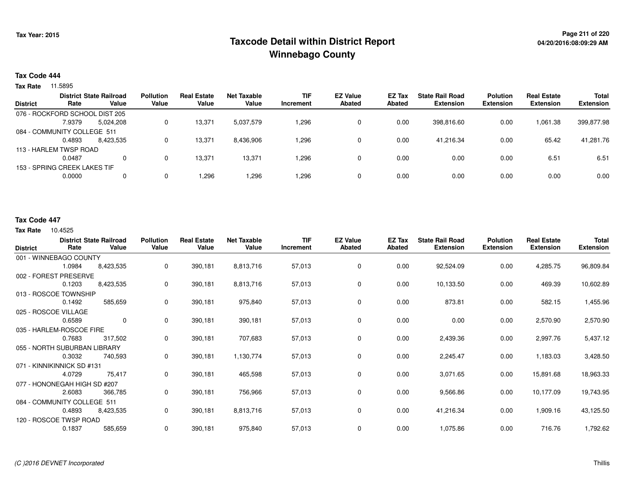# **Page 211 of 220 Taxcode Detail within District ReportWinnebago County**

#### **Tax Code 444**

**Tax Rate** 11.5895

|                 |                                | <b>District State Railroad</b> | <b>Pollution</b> | <b>Real Estate</b> | <b>Net Taxable</b> | TIF       | <b>EZ Value</b> | <b>EZ Tax</b> | <b>State Rail Road</b> | <b>Polution</b>  | <b>Real Estate</b> | <b>Total</b>     |
|-----------------|--------------------------------|--------------------------------|------------------|--------------------|--------------------|-----------|-----------------|---------------|------------------------|------------------|--------------------|------------------|
| <b>District</b> | Rate                           | Value                          | Value            | Value              | Value              | Increment | <b>Abated</b>   | Abated        | <b>Extension</b>       | <b>Extension</b> | <b>Extension</b>   | <b>Extension</b> |
|                 | 076 - ROCKFORD SCHOOL DIST 205 |                                |                  |                    |                    |           |                 |               |                        |                  |                    |                  |
|                 | 7.9379                         | 5,024,208                      | 0                | 13,371             | 5,037,579          | 1,296     | 0               | 0.00          | 398,816.60             | 0.00             | 1.061.38           | 399,877.98       |
|                 | 084 - COMMUNITY COLLEGE 511    |                                |                  |                    |                    |           |                 |               |                        |                  |                    |                  |
|                 | 0.4893                         | 8,423,535                      | 0                | 13,371             | 8,436,906          | 1,296     | 0               | 0.00          | 41.216.34              | 0.00             | 65.42              | 41,281.76        |
|                 | 113 - HARLEM TWSP ROAD         |                                |                  |                    |                    |           |                 |               |                        |                  |                    |                  |
|                 | 0.0487                         | $\Omega$                       | 0                | 13,371             | 13,371             | 1,296     | 0               | 0.00          | 0.00                   | 0.00             | 6.51               | 6.51             |
|                 | 153 - SPRING CREEK LAKES TIF   |                                |                  |                    |                    |           |                 |               |                        |                  |                    |                  |
|                 | 0.0000                         | 0                              | 0                | ',296              | .296.              | 296. ا    | 0               | 0.00          | 0.00                   | 0.00             | 0.00               | 0.00             |
|                 |                                |                                |                  |                    |                    |           |                 |               |                        |                  |                    |                  |

### **Tax Code 447**

| <b>District</b> | Rate                         | <b>District State Railroad</b><br>Value | <b>Pollution</b><br>Value | <b>Real Estate</b><br>Value | <b>Net Taxable</b><br>Value | <b>TIF</b><br>Increment | <b>EZ Value</b><br><b>Abated</b> | EZ Tax<br><b>Abated</b> | <b>State Rail Road</b><br><b>Extension</b> | <b>Polution</b><br><b>Extension</b> | <b>Real Estate</b><br><b>Extension</b> | Total<br><b>Extension</b> |
|-----------------|------------------------------|-----------------------------------------|---------------------------|-----------------------------|-----------------------------|-------------------------|----------------------------------|-------------------------|--------------------------------------------|-------------------------------------|----------------------------------------|---------------------------|
|                 | 001 - WINNEBAGO COUNTY       |                                         |                           |                             |                             |                         |                                  |                         |                                            |                                     |                                        |                           |
|                 | 1.0984                       | 8,423,535                               | 0                         | 390,181                     | 8,813,716                   | 57,013                  | 0                                | 0.00                    | 92,524.09                                  | 0.00                                | 4,285.75                               | 96,809.84                 |
|                 | 002 - FOREST PRESERVE        |                                         |                           |                             |                             |                         |                                  |                         |                                            |                                     |                                        |                           |
|                 | 0.1203                       | 8,423,535                               | 0                         | 390,181                     | 8,813,716                   | 57,013                  | 0                                | 0.00                    | 10,133.50                                  | 0.00                                | 469.39                                 | 10,602.89                 |
|                 | 013 - ROSCOE TOWNSHIP        |                                         |                           |                             |                             |                         |                                  |                         |                                            |                                     |                                        |                           |
|                 | 0.1492                       | 585,659                                 | 0                         | 390,181                     | 975,840                     | 57,013                  | 0                                | 0.00                    | 873.81                                     | 0.00                                | 582.15                                 | 1,455.96                  |
|                 | 025 - ROSCOE VILLAGE         |                                         |                           |                             |                             |                         |                                  |                         |                                            |                                     |                                        |                           |
|                 | 0.6589                       | $\overline{0}$                          | $\mathbf 0$               | 390,181                     | 390,181                     | 57,013                  | 0                                | 0.00                    | 0.00                                       | 0.00                                | 2,570.90                               | 2,570.90                  |
|                 | 035 - HARLEM-ROSCOE FIRE     |                                         |                           |                             |                             |                         |                                  |                         |                                            |                                     |                                        |                           |
|                 | 0.7683                       | 317,502                                 | 0                         | 390,181                     | 707,683                     | 57,013                  | 0                                | 0.00                    | 2,439.36                                   | 0.00                                | 2,997.76                               | 5,437.12                  |
|                 | 055 - NORTH SUBURBAN LIBRARY |                                         |                           |                             |                             |                         |                                  |                         |                                            |                                     |                                        |                           |
|                 | 0.3032                       | 740,593                                 | 0                         | 390,181                     | 1,130,774                   | 57,013                  | $\mathbf 0$                      | 0.00                    | 2,245.47                                   | 0.00                                | 1,183.03                               | 3,428.50                  |
|                 | 071 - KINNIKINNICK SD #131   |                                         |                           |                             |                             |                         |                                  |                         |                                            |                                     |                                        |                           |
|                 | 4.0729                       | 75,417                                  | 0                         | 390,181                     | 465,598                     | 57,013                  | 0                                | 0.00                    | 3,071.65                                   | 0.00                                | 15,891.68                              | 18,963.33                 |
|                 | 077 - HONONEGAH HIGH SD #207 |                                         |                           |                             |                             |                         |                                  |                         |                                            |                                     |                                        |                           |
|                 | 2.6083                       | 366,785                                 | 0                         | 390,181                     | 756,966                     | 57,013                  | 0                                | 0.00                    | 9,566.86                                   | 0.00                                | 10,177.09                              | 19,743.95                 |
|                 | 084 - COMMUNITY COLLEGE 511  |                                         |                           |                             |                             |                         |                                  |                         |                                            |                                     |                                        |                           |
|                 | 0.4893                       | 8,423,535                               | 0                         | 390,181                     | 8,813,716                   | 57,013                  | 0                                | 0.00                    | 41,216.34                                  | 0.00                                | 1,909.16                               | 43,125.50                 |
|                 | 120 - ROSCOE TWSP ROAD       |                                         |                           |                             |                             |                         |                                  |                         |                                            |                                     |                                        |                           |
|                 | 0.1837                       | 585,659                                 | 0                         | 390,181                     | 975,840                     | 57,013                  | 0                                | 0.00                    | 1,075.86                                   | 0.00                                | 716.76                                 | 1,792.62                  |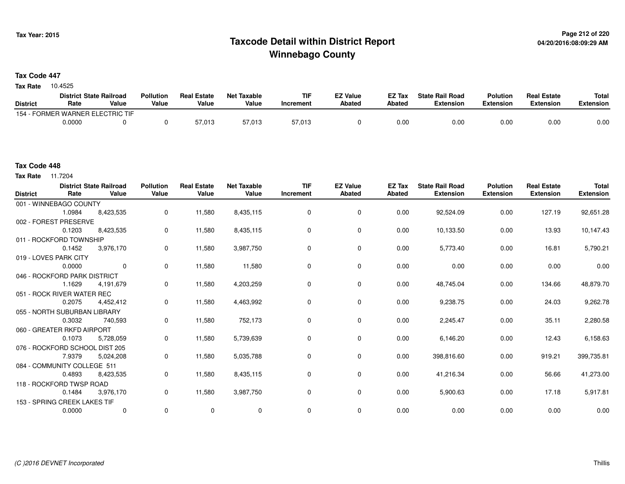# **Page 212 of 220 Taxcode Detail within District ReportWinnebago County**

### **Tax Code 447**

Tax Rate 10.4525

| <b>District State Railroad</b> |                            |       | <b>Pollution</b> | <b>Real Estate</b> | Net Taxable | <b>TIF</b> | <b>EZ Value</b> | <b>EZ Tax</b> | <b>State Rail Road</b> | <b>Polution</b>  | <b>Real Estate</b> | <b>Total</b> |
|--------------------------------|----------------------------|-------|------------------|--------------------|-------------|------------|-----------------|---------------|------------------------|------------------|--------------------|--------------|
| <b>District</b>                | Rate                       | Value | Value            | Value              | Value       | Increment  | <b>Abated</b>   | Abated        | <b>Extension</b>       | <b>Extension</b> | <b>Extension</b>   | Extension    |
| 154 - F                        | FORMER WARNER ELECTRIC TIF |       |                  |                    |             |            |                 |               |                        |                  |                    |              |
|                                | 0.0000                     |       |                  | 57,013             | 57,013      | 57,013     |                 | 0.00          | 0.00                   | 0.00             | 0.00               | 0.00         |

**Tax Rate** 11.7204

| <b>District</b> | Rate                           | <b>District State Railroad</b><br>Value | <b>Pollution</b><br>Value | <b>Real Estate</b><br>Value | <b>Net Taxable</b><br>Value | <b>TIF</b><br>Increment | <b>EZ Value</b><br><b>Abated</b> | <b>EZ Tax</b><br><b>Abated</b> | <b>State Rail Road</b><br><b>Extension</b> | <b>Polution</b><br><b>Extension</b> | <b>Real Estate</b><br><b>Extension</b> | <b>Total</b><br><b>Extension</b> |
|-----------------|--------------------------------|-----------------------------------------|---------------------------|-----------------------------|-----------------------------|-------------------------|----------------------------------|--------------------------------|--------------------------------------------|-------------------------------------|----------------------------------------|----------------------------------|
|                 | 001 - WINNEBAGO COUNTY         |                                         |                           |                             |                             |                         |                                  |                                |                                            |                                     |                                        |                                  |
|                 | 1.0984                         | 8,423,535                               | 0                         | 11,580                      | 8,435,115                   | 0                       | $\mathbf 0$                      | 0.00                           | 92,524.09                                  | 0.00                                | 127.19                                 | 92,651.28                        |
|                 | 002 - FOREST PRESERVE          |                                         |                           |                             |                             |                         |                                  |                                |                                            |                                     |                                        |                                  |
|                 | 0.1203                         | 8,423,535                               | 0                         | 11,580                      | 8,435,115                   | 0                       | $\mathbf 0$                      | 0.00                           | 10,133.50                                  | 0.00                                | 13.93                                  | 10,147.43                        |
|                 | 011 - ROCKFORD TOWNSHIP        |                                         |                           |                             |                             |                         |                                  |                                |                                            |                                     |                                        |                                  |
|                 | 0.1452                         | 3,976,170                               | 0                         | 11,580                      | 3,987,750                   | 0                       | 0                                | 0.00                           | 5,773.40                                   | 0.00                                | 16.81                                  | 5,790.21                         |
|                 | 019 - LOVES PARK CITY          |                                         |                           |                             |                             |                         |                                  |                                |                                            |                                     |                                        |                                  |
|                 | 0.0000                         | $\mathbf 0$                             | 0                         | 11,580                      | 11,580                      | 0                       | $\mathbf 0$                      | 0.00                           | 0.00                                       | 0.00                                | 0.00                                   | 0.00                             |
|                 | 046 - ROCKFORD PARK DISTRICT   |                                         |                           |                             |                             |                         |                                  |                                |                                            |                                     |                                        |                                  |
|                 | 1.1629                         | 4.191.679                               | 0                         | 11,580                      | 4,203,259                   | 0                       | $\mathbf 0$                      | 0.00                           | 48,745.04                                  | 0.00                                | 134.66                                 | 48,879.70                        |
|                 | 051 - ROCK RIVER WATER REC     |                                         |                           |                             |                             |                         |                                  |                                |                                            |                                     |                                        |                                  |
|                 | 0.2075                         | 4.452.412                               | 0                         | 11,580                      | 4,463,992                   | 0                       | $\mathbf 0$                      | 0.00                           | 9,238.75                                   | 0.00                                | 24.03                                  | 9,262.78                         |
|                 | 055 - NORTH SUBURBAN LIBRARY   |                                         |                           |                             |                             |                         |                                  |                                |                                            |                                     |                                        |                                  |
|                 | 0.3032                         | 740,593                                 | 0                         | 11,580                      | 752,173                     | 0                       | $\mathbf 0$                      | 0.00                           | 2,245.47                                   | 0.00                                | 35.11                                  | 2,280.58                         |
|                 | 060 - GREATER RKFD AIRPORT     |                                         |                           |                             |                             |                         |                                  |                                |                                            |                                     |                                        |                                  |
|                 | 0.1073                         | 5,728,059                               | 0                         | 11,580                      | 5,739,639                   | 0                       | $\mathbf 0$                      | 0.00                           | 6,146.20                                   | 0.00                                | 12.43                                  | 6,158.63                         |
|                 | 076 - ROCKFORD SCHOOL DIST 205 |                                         |                           |                             |                             |                         |                                  |                                |                                            |                                     |                                        |                                  |
|                 | 7.9379                         | 5,024,208                               | 0                         | 11,580                      | 5,035,788                   | 0                       | 0                                | 0.00                           | 398,816.60                                 | 0.00                                | 919.21                                 | 399,735.81                       |
|                 | 084 - COMMUNITY COLLEGE 511    |                                         |                           |                             |                             |                         |                                  |                                |                                            |                                     |                                        |                                  |
|                 | 0.4893                         | 8,423,535                               | 0                         | 11,580                      | 8,435,115                   | 0                       | 0                                | 0.00                           | 41,216.34                                  | 0.00                                | 56.66                                  | 41,273.00                        |
|                 | 118 - ROCKFORD TWSP ROAD       |                                         |                           |                             |                             |                         |                                  |                                |                                            |                                     |                                        |                                  |
|                 | 0.1484                         | 3,976,170                               | 0                         | 11,580                      | 3,987,750                   | 0                       | 0                                | 0.00                           | 5,900.63                                   | 0.00                                | 17.18                                  | 5,917.81                         |
|                 | 153 - SPRING CREEK LAKES TIF   |                                         |                           |                             |                             |                         |                                  |                                |                                            |                                     |                                        |                                  |
|                 | 0.0000                         | $\mathbf 0$                             | 0                         | $\mathbf 0$                 | 0                           | 0                       | $\mathbf 0$                      | 0.00                           | 0.00                                       | 0.00                                | 0.00                                   | 0.00                             |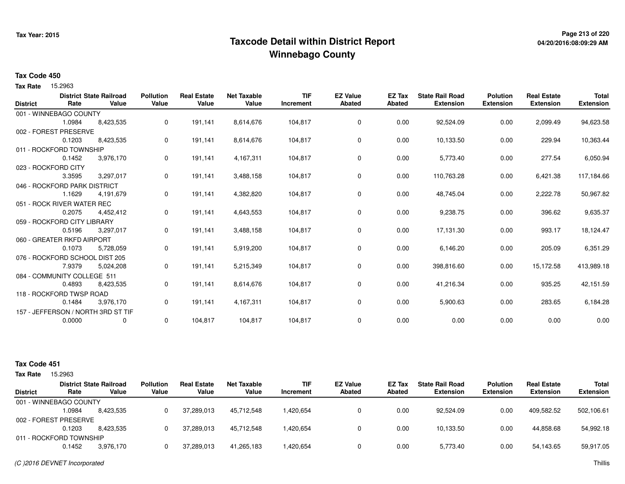# **Page 213 of 220 Taxcode Detail within District ReportWinnebago County**

# **04/20/2016:08:09:29 AM**

#### **Tax Code 450**

Tax Rate 15.2963

|        | <b>District State Railroad</b> | <b>Pollution</b>                                                                                                                                                                                                                                                                                            | <b>Real Estate</b>                          | <b>Net Taxable</b> | <b>TIF</b> | <b>EZ Value</b> | <b>EZ Tax</b> | <b>State Rail Road</b> | <b>Polution</b>  | <b>Real Estate</b> | <b>Total</b>     |
|--------|--------------------------------|-------------------------------------------------------------------------------------------------------------------------------------------------------------------------------------------------------------------------------------------------------------------------------------------------------------|---------------------------------------------|--------------------|------------|-----------------|---------------|------------------------|------------------|--------------------|------------------|
|        |                                |                                                                                                                                                                                                                                                                                                             |                                             |                    | Increment  |                 |               |                        |                  |                    | <b>Extension</b> |
|        |                                |                                                                                                                                                                                                                                                                                                             |                                             |                    |            |                 |               |                        |                  |                    |                  |
| 1.0984 | 8,423,535                      | 0                                                                                                                                                                                                                                                                                                           | 191.141                                     | 8,614,676          | 104,817    | 0               | 0.00          | 92,524.09              | 0.00             | 2,099.49           | 94,623.58        |
|        |                                |                                                                                                                                                                                                                                                                                                             |                                             |                    |            |                 |               |                        |                  |                    |                  |
| 0.1203 | 8,423,535                      | 0                                                                                                                                                                                                                                                                                                           | 191.141                                     | 8,614,676          | 104,817    | 0               | 0.00          | 10,133.50              | 0.00             | 229.94             | 10,363.44        |
|        |                                |                                                                                                                                                                                                                                                                                                             |                                             |                    |            |                 |               |                        |                  |                    |                  |
| 0.1452 | 3,976,170                      | 0                                                                                                                                                                                                                                                                                                           | 191,141                                     | 4,167,311          | 104,817    | 0               | 0.00          | 5,773.40               | 0.00             | 277.54             | 6,050.94         |
|        |                                |                                                                                                                                                                                                                                                                                                             |                                             |                    |            |                 |               |                        |                  |                    |                  |
| 3.3595 | 3,297,017                      | 0                                                                                                                                                                                                                                                                                                           | 191,141                                     | 3,488,158          | 104,817    | 0               | 0.00          | 110,763.28             | 0.00             | 6,421.38           | 117,184.66       |
|        |                                |                                                                                                                                                                                                                                                                                                             |                                             |                    |            |                 |               |                        |                  |                    |                  |
| 1.1629 | 4,191,679                      | 0                                                                                                                                                                                                                                                                                                           | 191,141                                     | 4,382,820          | 104,817    | 0               | 0.00          | 48,745.04              | 0.00             | 2,222.78           | 50,967.82        |
|        |                                |                                                                                                                                                                                                                                                                                                             |                                             |                    |            |                 |               |                        |                  |                    |                  |
| 0.2075 | 4,452,412                      | 0                                                                                                                                                                                                                                                                                                           | 191,141                                     | 4,643,553          | 104,817    | 0               | 0.00          | 9,238.75               | 0.00             | 396.62             | 9,635.37         |
|        |                                |                                                                                                                                                                                                                                                                                                             |                                             |                    |            |                 |               |                        |                  |                    |                  |
| 0.5196 | 3,297,017                      | 0                                                                                                                                                                                                                                                                                                           | 191,141                                     | 3,488,158          | 104,817    | $\mathbf 0$     | 0.00          | 17,131.30              | 0.00             | 993.17             | 18,124.47        |
|        |                                |                                                                                                                                                                                                                                                                                                             |                                             |                    |            |                 |               |                        |                  |                    |                  |
| 0.1073 | 5,728,059                      | 0                                                                                                                                                                                                                                                                                                           | 191,141                                     | 5,919,200          | 104,817    | 0               | 0.00          | 6,146.20               | 0.00             | 205.09             | 6,351.29         |
|        |                                |                                                                                                                                                                                                                                                                                                             |                                             |                    |            |                 |               |                        |                  |                    |                  |
| 7.9379 | 5,024,208                      | 0                                                                                                                                                                                                                                                                                                           | 191,141                                     | 5,215,349          | 104,817    | 0               | 0.00          | 398,816.60             | 0.00             | 15,172.58          | 413,989.18       |
|        |                                |                                                                                                                                                                                                                                                                                                             |                                             |                    |            |                 |               |                        |                  |                    |                  |
| 0.4893 | 8,423,535                      | 0                                                                                                                                                                                                                                                                                                           | 191,141                                     | 8,614,676          | 104,817    | 0               | 0.00          | 41,216.34              | 0.00             | 935.25             | 42,151.59        |
|        |                                |                                                                                                                                                                                                                                                                                                             |                                             |                    |            |                 |               |                        |                  |                    |                  |
| 0.1484 | 3,976,170                      | 0                                                                                                                                                                                                                                                                                                           | 191,141                                     | 4,167,311          | 104,817    | 0               | 0.00          | 5,900.63               | 0.00             | 283.65             | 6,184.28         |
|        |                                |                                                                                                                                                                                                                                                                                                             |                                             |                    |            |                 |               |                        |                  |                    |                  |
| 0.0000 | 0                              | 0                                                                                                                                                                                                                                                                                                           | 104,817                                     | 104,817            | 104,817    | 0               | 0.00          | 0.00                   | 0.00             | 0.00               | 0.00             |
|        | Rate<br>023 - ROCKFORD CITY    | Value<br>001 - WINNEBAGO COUNTY<br>002 - FOREST PRESERVE<br>011 - ROCKFORD TOWNSHIP<br>046 - ROCKFORD PARK DISTRICT<br>051 - ROCK RIVER WATER REC<br>059 - ROCKFORD CITY LIBRARY<br>060 - GREATER RKFD AIRPORT<br>076 - ROCKFORD SCHOOL DIST 205<br>084 - COMMUNITY COLLEGE 511<br>118 - ROCKFORD TWSP ROAD | Value<br>157 - JEFFERSON / NORTH 3RD ST TIF | Value              | Value      |                 | <b>Abated</b> | Abated                 | <b>Extension</b> | <b>Extension</b>   | <b>Extension</b> |

| <b>Tax Rate</b> | 15.2963                 |                                         |                           |                             |                             |                         |                                  |                  |                                            |                                     |                                        |                                  |
|-----------------|-------------------------|-----------------------------------------|---------------------------|-----------------------------|-----------------------------|-------------------------|----------------------------------|------------------|--------------------------------------------|-------------------------------------|----------------------------------------|----------------------------------|
| <b>District</b> | Rate                    | <b>District State Railroad</b><br>Value | <b>Pollution</b><br>Value | <b>Real Estate</b><br>Value | <b>Net Taxable</b><br>Value | <b>TIF</b><br>Increment | <b>EZ Value</b><br><b>Abated</b> | EZ Tax<br>Abated | <b>State Rail Road</b><br><b>Extension</b> | <b>Polution</b><br><b>Extension</b> | <b>Real Estate</b><br><b>Extension</b> | <b>Total</b><br><b>Extension</b> |
|                 | 001 - WINNEBAGO COUNTY  |                                         |                           |                             |                             |                         |                                  |                  |                                            |                                     |                                        |                                  |
|                 | .0984                   | 8.423.535                               |                           | 37.289.013                  | 45.712.548                  | A20.654.                |                                  | 0.00             | 92.524.09                                  | 0.00                                | 409.582.52                             | 502,106.61                       |
|                 | 002 - FOREST PRESERVE   |                                         |                           |                             |                             |                         |                                  |                  |                                            |                                     |                                        |                                  |
|                 | 0.1203                  | 8.423.535                               |                           | 37,289,013                  | 45,712,548                  | 420,654.                |                                  | 0.00             | 10,133.50                                  | 0.00                                | 44,858.68                              | 54,992.18                        |
|                 | 011 - ROCKFORD TOWNSHIP |                                         |                           |                             |                             |                         |                                  |                  |                                            |                                     |                                        |                                  |
|                 | 0.1452                  | 3.976.170                               |                           | 37.289.013                  | 41,265,183                  | .420,654                |                                  | 0.00             | 5,773.40                                   | 0.00                                | 54.143.65                              | 59,917.05                        |
|                 |                         |                                         |                           |                             |                             |                         |                                  |                  |                                            |                                     |                                        |                                  |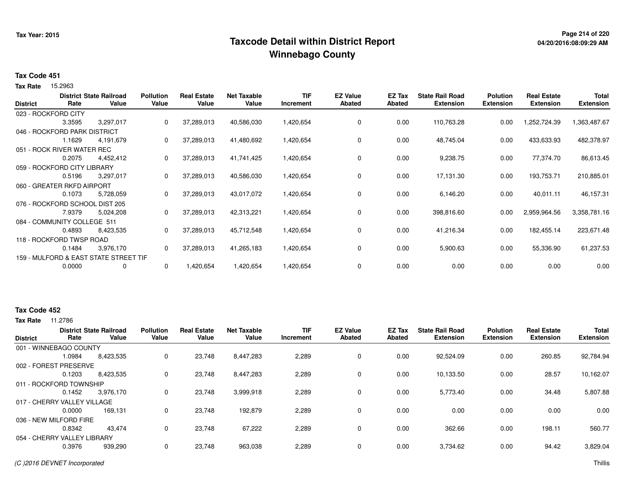# **Page 214 of 220 Taxcode Detail within District ReportWinnebago County**

# **04/20/2016:08:09:29 AM**

### **Tax Code 451**

Tax Rate 15.2963

| <b>District</b> | Rate                           | <b>District State Railroad</b><br>Value | <b>Pollution</b><br>Value | <b>Real Estate</b><br>Value | <b>Net Taxable</b><br>Value | <b>TIF</b><br>Increment | <b>EZ Value</b><br><b>Abated</b> | EZ Tax<br>Abated | <b>State Rail Road</b><br><b>Extension</b> | <b>Polution</b><br><b>Extension</b> | <b>Real Estate</b><br><b>Extension</b> | <b>Total</b><br><b>Extension</b> |
|-----------------|--------------------------------|-----------------------------------------|---------------------------|-----------------------------|-----------------------------|-------------------------|----------------------------------|------------------|--------------------------------------------|-------------------------------------|----------------------------------------|----------------------------------|
|                 | 023 - ROCKFORD CITY            |                                         |                           |                             |                             |                         |                                  |                  |                                            |                                     |                                        |                                  |
|                 | 3.3595                         | 3,297,017                               | 0                         | 37,289,013                  | 40,586,030                  | 1,420,654               | 0                                | 0.00             | 110,763.28                                 | 0.00                                | 1,252,724.39                           | 1,363,487.67                     |
|                 | 046 - ROCKFORD PARK DISTRICT   |                                         |                           |                             |                             |                         |                                  |                  |                                            |                                     |                                        |                                  |
|                 | 1.1629                         | 4,191,679                               | 0                         | 37,289,013                  | 41,480,692                  | 1,420,654               | 0                                | 0.00             | 48,745.04                                  | 0.00                                | 433,633.93                             | 482,378.97                       |
|                 | 051 - ROCK RIVER WATER REC     |                                         |                           |                             |                             |                         |                                  |                  |                                            |                                     |                                        |                                  |
|                 | 0.2075                         | 4,452,412                               | 0                         | 37,289,013                  | 41,741,425                  | 1,420,654               | $\mathbf 0$                      | 0.00             | 9,238.75                                   | 0.00                                | 77,374.70                              | 86,613.45                        |
|                 | 059 - ROCKFORD CITY LIBRARY    |                                         |                           |                             |                             |                         |                                  |                  |                                            |                                     |                                        |                                  |
|                 | 0.5196                         | 3,297,017                               | 0                         | 37,289,013                  | 40,586,030                  | 1,420,654               | 0                                | 0.00             | 17,131.30                                  | 0.00                                | 193,753.71                             | 210,885.01                       |
|                 | 060 - GREATER RKFD AIRPORT     |                                         |                           |                             |                             |                         |                                  |                  |                                            |                                     |                                        |                                  |
|                 | 0.1073                         | 5,728,059                               | 0                         | 37,289,013                  | 43,017,072                  | 1,420,654               | 0                                | 0.00             | 6,146.20                                   | 0.00                                | 40,011.11                              | 46,157.31                        |
|                 | 076 - ROCKFORD SCHOOL DIST 205 |                                         |                           |                             |                             |                         |                                  |                  |                                            |                                     |                                        |                                  |
|                 | 7.9379                         | 5,024,208                               | 0                         | 37,289,013                  | 42,313,221                  | 1,420,654               | 0                                | 0.00             | 398,816.60                                 | 0.00                                | 2,959,964.56                           | 3,358,781.16                     |
|                 | 084 - COMMUNITY COLLEGE 511    |                                         |                           |                             |                             |                         |                                  |                  |                                            |                                     |                                        |                                  |
|                 | 0.4893                         | 8,423,535                               | 0                         | 37,289,013                  | 45,712,548                  | 1,420,654               | $\mathbf 0$                      | 0.00             | 41,216.34                                  | 0.00                                | 182,455.14                             | 223,671.48                       |
|                 | 118 - ROCKFORD TWSP ROAD       |                                         |                           |                             |                             |                         |                                  |                  |                                            |                                     |                                        |                                  |
|                 | 0.1484                         | 3,976,170                               | 0                         | 37,289,013                  | 41,265,183                  | 1,420,654               | 0                                | 0.00             | 5,900.63                                   | 0.00                                | 55,336.90                              | 61,237.53                        |
|                 |                                | 159 - MULFORD & EAST STATE STREET TIF   |                           |                             |                             |                         |                                  |                  |                                            |                                     |                                        |                                  |
|                 | 0.0000                         | 0                                       | 0                         | 1,420,654                   | 1,420,654                   | 1,420,654               | 0                                | 0.00             | 0.00                                       | 0.00                                | 0.00                                   | 0.00                             |

### **Tax Code 452**

| <b>Extension</b><br><b>Extension</b><br><b>Extension</b><br><b>Extension</b> |
|------------------------------------------------------------------------------|
|                                                                              |
|                                                                              |
| 92,784.94<br>92,524.09<br>0.00<br>260.85                                     |
|                                                                              |
| 28.57<br>0.00<br>10,162.07<br>10,133.50                                      |
|                                                                              |
| 0.00<br>5.773.40<br>34.48<br>5,807.88                                        |
|                                                                              |
| 0.00<br>0.00<br>0.00<br>0.00                                                 |
|                                                                              |
| 560.77<br>362.66<br>0.00<br>198.11                                           |
|                                                                              |
| 0.00<br>94.42<br>3,829.04<br>3,734.62                                        |
|                                                                              |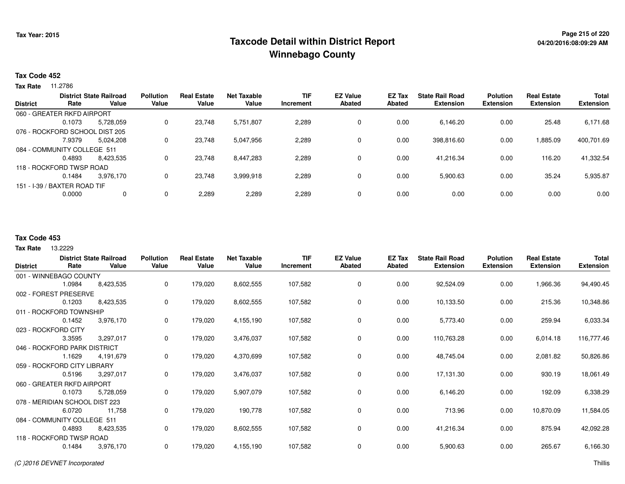### **Page 215 of 220 Taxcode Detail within District ReportWinnebago County**

#### **Tax Code 452**

**Tax Rate** 11.2786

|                 | <b>District State Railroad</b> |           | <b>Pollution</b> | <b>Real Estate</b> | <b>Net Taxable</b> | <b>TIF</b> | <b>EZ Value</b> | EZ Tax | <b>State Rail Road</b> | <b>Polution</b> | <b>Real Estate</b> | <b>Total</b>     |
|-----------------|--------------------------------|-----------|------------------|--------------------|--------------------|------------|-----------------|--------|------------------------|-----------------|--------------------|------------------|
| <b>District</b> | Rate                           | Value     | Value            | Value              | Value              | Increment  | <b>Abated</b>   | Abated | <b>Extension</b>       | Extension       | <b>Extension</b>   | <b>Extension</b> |
|                 | 060 - GREATER RKFD AIRPORT     |           |                  |                    |                    |            |                 |        |                        |                 |                    |                  |
|                 | 0.1073                         | 5.728.059 | 0                | 23.748             | 5,751,807          | 2,289      | 0               | 0.00   | 6,146.20               | 0.00            | 25.48              | 6,171.68         |
|                 | 076 - ROCKFORD SCHOOL DIST 205 |           |                  |                    |                    |            |                 |        |                        |                 |                    |                  |
|                 | 7.9379                         | 5,024,208 | 0                | 23,748             | 5,047,956          | 2,289      | 0               | 0.00   | 398,816.60             | 0.00            | 1,885.09           | 400,701.69       |
|                 | 084 - COMMUNITY COLLEGE 511    |           |                  |                    |                    |            |                 |        |                        |                 |                    |                  |
|                 | 0.4893                         | 8.423.535 |                  | 23.748             | 8,447,283          | 2,289      | 0               | 0.00   | 41.216.34              | 0.00            | 116.20             | 41,332.54        |
|                 | 118 - ROCKFORD TWSP ROAD       |           |                  |                    |                    |            |                 |        |                        |                 |                    |                  |
|                 | 0.1484                         | 3.976.170 | 0                | 23,748             | 3,999,918          | 2,289      | 0               | 0.00   | 5,900.63               | 0.00            | 35.24              | 5,935.87         |
|                 | 151 - I-39 / BAXTER ROAD TIF   |           |                  |                    |                    |            |                 |        |                        |                 |                    |                  |
|                 | 0.0000                         |           | 0                | 2,289              | 2,289              | 2,289      | 0               | 0.00   | 0.00                   | 0.00            | 0.00               | 0.00             |
|                 |                                |           |                  |                    |                    |            |                 |        |                        |                 |                    |                  |

#### **Tax Code 453**

**State RailroadDistrict ValueTIF IncrementEZ Value AbatedReal Estate Extension Extension**13.2229 **Tax RateDistrictPollution ValueReal Estate ValueNet Taxable Value RatePolution ExtensionState Rail Road ExtensionEZ Tax Abated**1,966.36 94,490.45001 - WINNEBAGO COUNTY8,423,535 1.0984 8,423,535 <sup>0</sup> 179,020 8,602,555 107,582 <sup>0</sup> 0.00 92,524.09 0.00 215.36 10,348.86002 - FOREST PRESERVE0.1203 8,423,535 <sup>0</sup> 179,020 8,602,555 107,582 <sup>0</sup> 0.00 10,133.50 0.00 259.94 6,033.34011 - ROCKFORD TOWNSHIP3,976,170 0.1452 3,976,170 <sup>0</sup> 179,020 4,155,190 107,582 <sup>0</sup> 0.00 5,773.40 0.00 6,014.18 116,777.46023 - ROCKFORD CITY 3.3595 3,297,017 <sup>0</sup> 179,020 3,476,037 107,582 <sup>0</sup> 0.00 110,763.28 0.00 2,081.82 50,826.86046 - ROCKFORD PARK DISTRICT4.191.679 1.1629 4,191,679 <sup>0</sup> 179,020 4,370,699 107,582 <sup>0</sup> 0.00 48,745.04 0.00 930.19 18,061.49059 - ROCKFORD CITY LIBRARY3,297,017 0.5196 3,297,017 <sup>0</sup> 179,020 3,476,037 107,582 <sup>0</sup> 0.00 17,131.30 0.00 192.09 6,338.29060 - GREATER RKFD AIRPORT5,728,059 0.1073 5,728,059 <sup>0</sup> 179,020 5,907,079 107,582 <sup>0</sup> 0.00 6,146.20 0.00 10,870.09 11,584.05078 - MERIDIAN SCHOOL DIST 22311,758 6.07200 11,758 0 179,020 190,778 107,582 0 0.00 713.96 0.00 875.94 42,092.28084 - COMMUNITY COLLEGE 5118,423,535 0.4893 8,423,535 <sup>0</sup> 179,020 8,602,555 107,582 <sup>0</sup> 0.00 41,216.34 0.00 265.67 6,166.30118 - ROCKFORD TWSP ROAD3,976,170 0.1484 3,976,170 <sup>0</sup> 179,020 4,155,190 107,582 <sup>0</sup> 0.00 5,900.63 0.00 (C )2016 DEVNET Incorporatedd and the contract of the contract of the contract of the contract of the contract of the contract of the contract of the contract of the contract of the contract of the contract of the contract of the contract of the cont

**Total**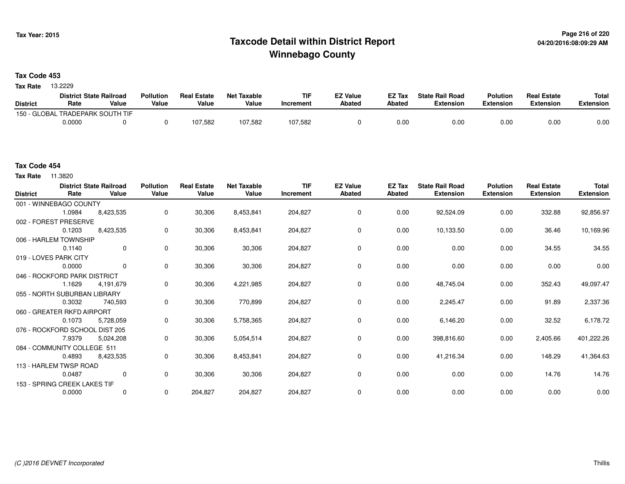# **Page 216 of 220 Taxcode Detail within District ReportWinnebago County**

### **Tax Code 453**

13.2229 **Tax Rate**

|                 | <b>District State Railroad</b>   |       | <b>Pollution</b> | <b>Real Estate</b> | Net Taxable | <b>TIF</b> | <b>EZ Value</b> | <b>EZ Tax</b> | <b>State Rail Road</b> | <b>Polution</b>  | <b>Real Estate</b> | <b>Total</b> |
|-----------------|----------------------------------|-------|------------------|--------------------|-------------|------------|-----------------|---------------|------------------------|------------------|--------------------|--------------|
| <b>District</b> | Rate                             | Value | Value            | Value              | Value       | Increment  | <b>Abated</b>   | Abated        | <b>Extension</b>       | <b>Extension</b> | <b>Extension</b>   | Extension    |
|                 | 150 - GLOBAL TRADEPARK SOUTH TIF |       |                  |                    |             |            |                 |               |                        |                  |                    |              |
|                 | 0.0000                           |       |                  | 107,582            | 107,582     | 107,582    |                 | 0.00          | 0.00                   | 0.00             | 0.00               | 0.00         |

**Tax Rate** 11.3820

| <b>District</b> | Rate                           | <b>District State Railroad</b><br>Value | <b>Pollution</b><br>Value | <b>Real Estate</b><br>Value | <b>Net Taxable</b><br>Value | <b>TIF</b><br>Increment | <b>EZ Value</b><br><b>Abated</b> | EZ Tax<br>Abated | <b>State Rail Road</b><br><b>Extension</b> | <b>Polution</b><br><b>Extension</b> | <b>Real Estate</b><br><b>Extension</b> | <b>Total</b><br><b>Extension</b> |
|-----------------|--------------------------------|-----------------------------------------|---------------------------|-----------------------------|-----------------------------|-------------------------|----------------------------------|------------------|--------------------------------------------|-------------------------------------|----------------------------------------|----------------------------------|
|                 | 001 - WINNEBAGO COUNTY         |                                         |                           |                             |                             |                         |                                  |                  |                                            |                                     |                                        |                                  |
|                 | 1.0984                         | 8,423,535                               | 0                         | 30,306                      | 8,453,841                   | 204,827                 | 0                                | 0.00             | 92,524.09                                  | 0.00                                | 332.88                                 | 92,856.97                        |
|                 | 002 - FOREST PRESERVE          |                                         |                           |                             |                             |                         |                                  |                  |                                            |                                     |                                        |                                  |
|                 | 0.1203                         | 8,423,535                               | 0                         | 30,306                      | 8,453,841                   | 204,827                 | 0                                | 0.00             | 10,133.50                                  | 0.00                                | 36.46                                  | 10,169.96                        |
|                 | 006 - HARLEM TOWNSHIP          |                                         |                           |                             |                             |                         |                                  |                  |                                            |                                     |                                        |                                  |
|                 | 0.1140                         | $\mathbf 0$                             | 0                         | 30,306                      | 30,306                      | 204,827                 | $\mathbf 0$                      | 0.00             | 0.00                                       | 0.00                                | 34.55                                  | 34.55                            |
|                 | 019 - LOVES PARK CITY          |                                         |                           |                             |                             |                         |                                  |                  |                                            |                                     |                                        |                                  |
|                 | 0.0000                         | $\mathbf 0$                             | $\mathbf 0$               | 30,306                      | 30,306                      | 204,827                 | 0                                | 0.00             | 0.00                                       | 0.00                                | 0.00                                   | 0.00                             |
|                 | 046 - ROCKFORD PARK DISTRICT   |                                         |                           |                             |                             |                         |                                  |                  |                                            |                                     |                                        |                                  |
|                 | 1.1629                         | 4,191,679                               | 0                         | 30,306                      | 4,221,985                   | 204,827                 | 0                                | 0.00             | 48,745.04                                  | 0.00                                | 352.43                                 | 49,097.47                        |
|                 | 055 - NORTH SUBURBAN LIBRARY   |                                         |                           |                             |                             |                         |                                  |                  |                                            |                                     |                                        |                                  |
|                 | 0.3032                         | 740,593                                 | 0                         | 30,306                      | 770,899                     | 204,827                 | 0                                | 0.00             | 2,245.47                                   | 0.00                                | 91.89                                  | 2,337.36                         |
|                 | 060 - GREATER RKFD AIRPORT     |                                         |                           |                             |                             |                         |                                  |                  |                                            |                                     |                                        |                                  |
|                 | 0.1073                         | 5,728,059                               | 0                         | 30,306                      | 5,758,365                   | 204,827                 | $\mathbf 0$                      | 0.00             | 6,146.20                                   | 0.00                                | 32.52                                  | 6,178.72                         |
|                 | 076 - ROCKFORD SCHOOL DIST 205 |                                         |                           |                             |                             |                         |                                  |                  |                                            |                                     |                                        |                                  |
|                 | 7.9379                         | 5,024,208                               | 0                         | 30,306                      | 5,054,514                   | 204,827                 | $\mathbf 0$                      | 0.00             | 398,816.60                                 | 0.00                                | 2,405.66                               | 401,222.26                       |
|                 | 084 - COMMUNITY COLLEGE 511    |                                         |                           |                             |                             |                         |                                  |                  |                                            |                                     |                                        |                                  |
|                 | 0.4893                         | 8,423,535                               | 0                         | 30,306                      | 8,453,841                   | 204,827                 | 0                                | 0.00             | 41,216.34                                  | 0.00                                | 148.29                                 | 41,364.63                        |
|                 | 113 - HARLEM TWSP ROAD         |                                         |                           |                             |                             |                         |                                  |                  |                                            |                                     |                                        |                                  |
|                 | 0.0487                         | $\mathbf 0$                             | $\mathbf{0}$              | 30,306                      | 30,306                      | 204,827                 | $\mathbf 0$                      | 0.00             | 0.00                                       | 0.00                                | 14.76                                  | 14.76                            |
|                 | 153 - SPRING CREEK LAKES TIF   |                                         |                           |                             |                             |                         |                                  |                  |                                            |                                     |                                        |                                  |
|                 | 0.0000                         | $\mathbf 0$                             | 0                         | 204,827                     | 204,827                     | 204,827                 | $\mathbf 0$                      | 0.00             | 0.00                                       | 0.00                                | 0.00                                   | 0.00                             |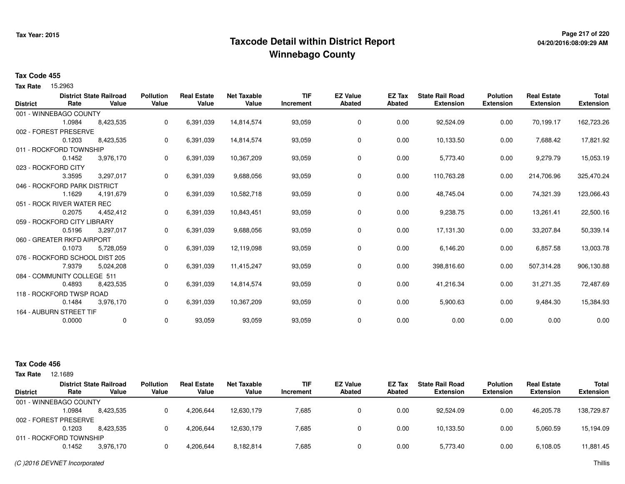## **Page 217 of 220 Taxcode Detail within District ReportWinnebago County**

# **04/20/2016:08:09:29 AM**

#### **Tax Code 455**

Tax Rate 15.2963

|                 | <b>District State Railroad</b> |           | <b>Pollution</b> | <b>Real Estate</b> | <b>Net Taxable</b> | <b>TIF</b> | <b>EZ Value</b> | EZ Tax        | <b>State Rail Road</b> | <b>Polution</b>  | <b>Real Estate</b> | <b>Total</b>     |
|-----------------|--------------------------------|-----------|------------------|--------------------|--------------------|------------|-----------------|---------------|------------------------|------------------|--------------------|------------------|
| <b>District</b> | Rate                           | Value     | Value            | Value              | Value              | Increment  | <b>Abated</b>   | <b>Abated</b> | <b>Extension</b>       | <b>Extension</b> | <b>Extension</b>   | <b>Extension</b> |
|                 | 001 - WINNEBAGO COUNTY         |           |                  |                    |                    |            |                 |               |                        |                  |                    |                  |
|                 | 1.0984                         | 8,423,535 | 0                | 6,391,039          | 14,814,574         | 93,059     | 0               | 0.00          | 92,524.09              | 0.00             | 70,199.17          | 162,723.26       |
|                 | 002 - FOREST PRESERVE          |           |                  |                    |                    |            |                 |               |                        |                  |                    |                  |
|                 | 0.1203                         | 8,423,535 | 0                | 6,391,039          | 14,814,574         | 93,059     | 0               | 0.00          | 10,133.50              | 0.00             | 7,688.42           | 17,821.92        |
|                 | 011 - ROCKFORD TOWNSHIP        |           |                  |                    |                    |            |                 |               |                        |                  |                    |                  |
|                 | 0.1452                         | 3,976,170 | 0                | 6,391,039          | 10,367,209         | 93,059     | 0               | 0.00          | 5,773.40               | 0.00             | 9,279.79           | 15,053.19        |
|                 | 023 - ROCKFORD CITY            |           |                  |                    |                    |            |                 |               |                        |                  |                    |                  |
|                 | 3.3595                         | 3,297,017 | 0                | 6,391,039          | 9,688,056          | 93,059     | 0               | 0.00          | 110,763.28             | 0.00             | 214,706.96         | 325,470.24       |
|                 | 046 - ROCKFORD PARK DISTRICT   |           |                  |                    |                    |            |                 |               |                        |                  |                    |                  |
|                 | 1.1629                         | 4,191,679 | 0                | 6,391,039          | 10,582,718         | 93,059     | 0               | 0.00          | 48,745.04              | 0.00             | 74,321.39          | 123,066.43       |
|                 | 051 - ROCK RIVER WATER REC     |           |                  |                    |                    |            |                 |               |                        |                  |                    |                  |
|                 | 0.2075                         | 4,452,412 | 0                | 6,391,039          | 10,843,451         | 93,059     | 0               | 0.00          | 9,238.75               | 0.00             | 13,261.41          | 22,500.16        |
|                 | 059 - ROCKFORD CITY LIBRARY    |           |                  |                    |                    |            |                 |               |                        |                  |                    |                  |
|                 | 0.5196                         | 3,297,017 | 0                | 6,391,039          | 9,688,056          | 93,059     | 0               | 0.00          | 17,131.30              | 0.00             | 33,207.84          | 50,339.14        |
|                 | 060 - GREATER RKFD AIRPORT     |           |                  |                    |                    |            |                 |               |                        |                  |                    |                  |
|                 | 0.1073                         | 5,728,059 | 0                | 6,391,039          | 12,119,098         | 93,059     | 0               | 0.00          | 6,146.20               | 0.00             | 6,857.58           | 13,003.78        |
|                 | 076 - ROCKFORD SCHOOL DIST 205 |           |                  |                    |                    |            |                 |               |                        |                  |                    |                  |
|                 | 7.9379                         | 5,024,208 | 0                | 6,391,039          | 11,415,247         | 93,059     | 0               | 0.00          | 398,816.60             | 0.00             | 507,314.28         | 906,130.88       |
|                 | 084 - COMMUNITY COLLEGE 511    |           |                  |                    |                    |            |                 |               |                        |                  |                    |                  |
|                 | 0.4893                         | 8,423,535 | 0                | 6,391,039          | 14,814,574         | 93,059     | 0               | 0.00          | 41,216.34              | 0.00             | 31,271.35          | 72,487.69        |
|                 | 118 - ROCKFORD TWSP ROAD       |           |                  |                    |                    |            |                 |               |                        |                  |                    |                  |
|                 | 0.1484                         | 3,976,170 | 0                | 6,391,039          | 10,367,209         | 93,059     | 0               | 0.00          | 5,900.63               | 0.00             | 9,484.30           | 15,384.93        |
|                 | 164 - AUBURN STREET TIF        |           |                  |                    |                    |            |                 |               |                        |                  |                    |                  |
|                 | 0.0000                         | 0         | 0                | 93,059             | 93,059             | 93,059     | 0               | 0.00          | 0.00                   | 0.00             | 0.00               | 0.00             |

#### **Tax Code 456**

| Tax Rate        | 12.1689                 |                                         |                           |                             |                             |                         |                                  |                  |                                            |                                     |                                        |                                  |
|-----------------|-------------------------|-----------------------------------------|---------------------------|-----------------------------|-----------------------------|-------------------------|----------------------------------|------------------|--------------------------------------------|-------------------------------------|----------------------------------------|----------------------------------|
| <b>District</b> | Rate                    | <b>District State Railroad</b><br>Value | <b>Pollution</b><br>Value | <b>Real Estate</b><br>Value | <b>Net Taxable</b><br>Value | <b>TIF</b><br>Increment | <b>EZ Value</b><br><b>Abated</b> | EZ Tax<br>Abated | <b>State Rail Road</b><br><b>Extension</b> | <b>Polution</b><br><b>Extension</b> | <b>Real Estate</b><br><b>Extension</b> | <b>Total</b><br><b>Extension</b> |
|                 | 001 - WINNEBAGO COUNTY  |                                         |                           |                             |                             |                         |                                  |                  |                                            |                                     |                                        |                                  |
|                 | 1.0984                  | 8,423,535                               |                           | 4,206,644                   | 12,630,179                  | 7,685                   |                                  | 0.00             | 92.524.09                                  | 0.00                                | 46.205.78                              | 138,729.87                       |
|                 | 002 - FOREST PRESERVE   |                                         |                           |                             |                             |                         |                                  |                  |                                            |                                     |                                        |                                  |
|                 | 0.1203                  | 8.423.535                               |                           | 4,206,644                   | 12.630.179                  | 7,685                   |                                  | 0.00             | 10.133.50                                  | 0.00                                | 5,060.59                               | 15,194.09                        |
|                 | 011 - ROCKFORD TOWNSHIP |                                         |                           |                             |                             |                         |                                  |                  |                                            |                                     |                                        |                                  |
|                 | 0.1452                  | 3,976,170                               |                           | 4.206.644                   | 8,182,814                   | 7,685                   |                                  | 0.00             | 5,773.40                                   | 0.00                                | 6,108.05                               | 11,881.45                        |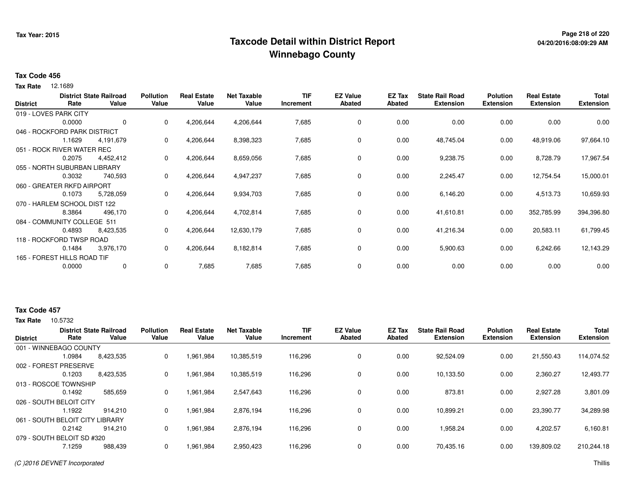## **Page 218 of 220 Taxcode Detail within District ReportWinnebago County**

#### **Tax Code 456**

**Tax Rate** 12.1689

| <b>District</b> | Rate                         | <b>District State Railroad</b><br>Value | <b>Pollution</b><br>Value | <b>Real Estate</b><br>Value | <b>Net Taxable</b><br>Value | <b>TIF</b><br>Increment | <b>EZ Value</b><br><b>Abated</b> | EZ Tax<br><b>Abated</b> | <b>State Rail Road</b><br><b>Extension</b> | <b>Polution</b><br><b>Extension</b> | <b>Real Estate</b><br><b>Extension</b> | <b>Total</b><br><b>Extension</b> |
|-----------------|------------------------------|-----------------------------------------|---------------------------|-----------------------------|-----------------------------|-------------------------|----------------------------------|-------------------------|--------------------------------------------|-------------------------------------|----------------------------------------|----------------------------------|
|                 | 019 - LOVES PARK CITY        |                                         |                           |                             |                             |                         |                                  |                         |                                            |                                     |                                        |                                  |
|                 | 0.0000                       | 0                                       | 0                         | 4,206,644                   | 4,206,644                   | 7,685                   | 0                                | 0.00                    | 0.00                                       | 0.00                                | 0.00                                   | 0.00                             |
|                 | 046 - ROCKFORD PARK DISTRICT |                                         |                           |                             |                             |                         |                                  |                         |                                            |                                     |                                        |                                  |
|                 | 1.1629                       | 4,191,679                               | $\mathbf{0}$              | 4,206,644                   | 8,398,323                   | 7,685                   | 0                                | 0.00                    | 48,745.04                                  | 0.00                                | 48,919.06                              | 97,664.10                        |
|                 | 051 - ROCK RIVER WATER REC   |                                         |                           |                             |                             |                         |                                  |                         |                                            |                                     |                                        |                                  |
|                 | 0.2075                       | 4,452,412                               | 0                         | 4,206,644                   | 8,659,056                   | 7,685                   | 0                                | 0.00                    | 9,238.75                                   | 0.00                                | 8,728.79                               | 17,967.54                        |
|                 | 055 - NORTH SUBURBAN LIBRARY |                                         |                           |                             |                             |                         |                                  |                         |                                            |                                     |                                        |                                  |
|                 | 0.3032                       | 740,593                                 | 0                         | 4,206,644                   | 4,947,237                   | 7,685                   | 0                                | 0.00                    | 2,245.47                                   | 0.00                                | 12,754.54                              | 15,000.01                        |
|                 | 060 - GREATER RKFD AIRPORT   |                                         |                           |                             |                             |                         |                                  |                         |                                            |                                     |                                        |                                  |
|                 | 0.1073                       | 5,728,059                               | 0                         | 4,206,644                   | 9,934,703                   | 7,685                   | 0                                | 0.00                    | 6,146.20                                   | 0.00                                | 4,513.73                               | 10,659.93                        |
|                 | 070 - HARLEM SCHOOL DIST 122 |                                         |                           |                             |                             |                         |                                  |                         |                                            |                                     |                                        |                                  |
|                 | 8.3864                       | 496,170                                 | 0                         | 4,206,644                   | 4,702,814                   | 7,685                   | 0                                | 0.00                    | 41,610.81                                  | 0.00                                | 352,785.99                             | 394,396.80                       |
|                 | 084 - COMMUNITY COLLEGE 511  |                                         |                           |                             |                             |                         |                                  |                         |                                            |                                     |                                        |                                  |
|                 | 0.4893                       | 8,423,535                               | 0                         | 4,206,644                   | 12,630,179                  | 7,685                   | 0                                | 0.00                    | 41,216.34                                  | 0.00                                | 20,583.11                              | 61,799.45                        |
|                 | 118 - ROCKFORD TWSP ROAD     |                                         |                           |                             |                             |                         |                                  |                         |                                            |                                     |                                        |                                  |
|                 | 0.1484                       | 3,976,170                               | 0                         | 4,206,644                   | 8,182,814                   | 7,685                   | 0                                | 0.00                    | 5,900.63                                   | 0.00                                | 6,242.66                               | 12,143.29                        |
|                 | 165 - FOREST HILLS ROAD TIF  |                                         |                           |                             |                             |                         |                                  |                         |                                            |                                     |                                        |                                  |
|                 | 0.0000                       | 0                                       | 0                         | 7,685                       | 7,685                       | 7,685                   | 0                                | 0.00                    | 0.00                                       | 0.00                                | 0.00                                   | 0.00                             |

### **Tax Code 457**

**Tax Rate** 10.5732

|                            | <b>District State Railroad</b> |           | <b>Pollution</b><br><b>Real Estate</b> |           | <b>Net Taxable</b> | <b>TIF</b> | <b>EZ Value</b> | EZ Tax | <b>State Rail Road</b> | <b>Polution</b>  | <b>Real Estate</b> | <b>Total</b>     |
|----------------------------|--------------------------------|-----------|----------------------------------------|-----------|--------------------|------------|-----------------|--------|------------------------|------------------|--------------------|------------------|
| <b>District</b>            | Rate                           | Value     | Value                                  | Value     | Value              | Increment  | <b>Abated</b>   | Abated | <b>Extension</b>       | <b>Extension</b> | <b>Extension</b>   | <b>Extension</b> |
| 001 - WINNEBAGO COUNTY     |                                |           |                                        |           |                    |            |                 |        |                        |                  |                    |                  |
|                            | 1.0984                         | 8,423,535 | 0                                      | 1,961,984 | 10,385,519         | 116,296    | 0               | 0.00   | 92,524.09              | 0.00             | 21,550.43          | 114.074.52       |
| 002 - FOREST PRESERVE      |                                |           |                                        |           |                    |            |                 |        |                        |                  |                    |                  |
|                            | 0.1203                         | 8,423,535 | 0                                      | 1,961,984 | 10,385,519         | 116,296    | 0               | 0.00   | 10,133.50              | 0.00             | 2,360.27           | 12,493.77        |
| 013 - ROSCOE TOWNSHIP      |                                |           |                                        |           |                    |            |                 |        |                        |                  |                    |                  |
|                            | 0.1492                         | 585,659   | 0                                      | 1,961,984 | 2,547,643          | 116,296    | 0               | 0.00   | 873.81                 | 0.00             | 2,927.28           | 3,801.09         |
| 026 - SOUTH BELOIT CITY    |                                |           |                                        |           |                    |            |                 |        |                        |                  |                    |                  |
|                            | 1.1922                         | 914.210   | 0                                      | 1,961,984 | 2,876,194          | 116,296    | 0               | 0.00   | 10,899.21              | 0.00             | 23.390.77          | 34,289.98        |
| 061 - SOUTH BELOIT CITY I  |                                | LIBRARY   |                                        |           |                    |            |                 |        |                        |                  |                    |                  |
|                            | 0.2142                         | 914.210   | 0                                      | 1,961,984 | 2,876,194          | 116,296    | 0               | 0.00   | 1,958.24               | 0.00             | 4,202.57           | 6,160.81         |
| 079 - SOUTH BELOIT SD #320 |                                |           |                                        |           |                    |            |                 |        |                        |                  |                    |                  |
|                            | 7.1259                         | 988,439   | 0                                      | 1,961,984 | 2,950,423          | 116,296    | 0               | 0.00   | 70,435.16              | 0.00             | 139,809.02         | 210,244.18       |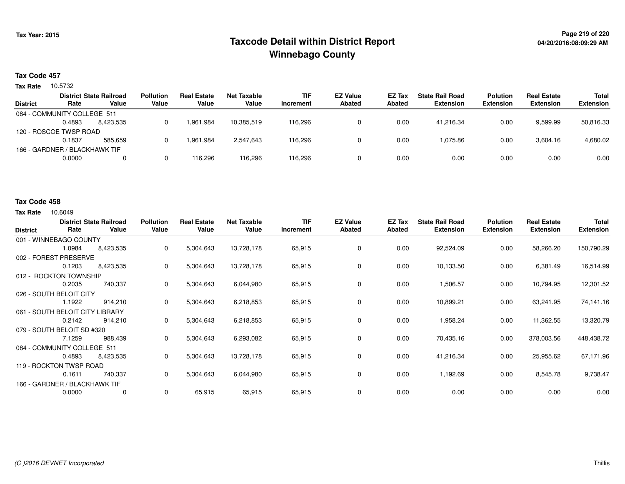## **Page 219 of 220 Taxcode Detail within District ReportWinnebago County**

### **Tax Code 457**

Tax Rate 10.5732

|                 | <b>District State Railroad</b> |           | <b>Pollution</b> | <b>Real Estate</b> | Net Taxable | <b>TIF</b> | <b>EZ Value</b> | EZ Tax | <b>State Rail Road</b> | <b>Polution</b>  | <b>Real Estate</b> | Total            |
|-----------------|--------------------------------|-----------|------------------|--------------------|-------------|------------|-----------------|--------|------------------------|------------------|--------------------|------------------|
| <b>District</b> | Rate                           | Value     | Value            | Value              | Value       | Increment  | <b>Abated</b>   | Abated | <b>Extension</b>       | <b>Extension</b> | <b>Extension</b>   | <b>Extension</b> |
|                 | 084 - COMMUNITY COLLEGE 511    |           |                  |                    |             |            |                 |        |                        |                  |                    |                  |
|                 | 0.4893                         | 8.423.535 |                  | 1,961,984          | 10.385.519  | 116.296    |                 | 0.00   | 41.216.34              | 0.00             | 9,599.99           | 50,816.33        |
|                 | 120 - ROSCOE TWSP ROAD         |           |                  |                    |             |            |                 |        |                        |                  |                    |                  |
|                 | 0.1837                         | 585.659   |                  | 1.961.984          | 2.547.643   | 116.296    |                 | 0.00   | 1.075.86               | 0.00             | 3,604.16           | 4,680.02         |
|                 | 166 - GARDNER / BLACKHAWK TIF  |           |                  |                    |             |            |                 |        |                        |                  |                    |                  |
|                 | 0.0000                         | 0         |                  | 116.296            | 116,296     | 116,296    |                 | 0.00   | 0.00                   | 0.00             | 0.00               | 0.00             |
|                 |                                |           |                  |                    |             |            |                 |        |                        |                  |                    |                  |

#### **Tax Code 458**

**Tax Rate** 10.6049

| <b>District</b>                 | Rate   | <b>District State Railroad</b><br>Value | <b>Pollution</b><br>Value | <b>Real Estate</b><br>Value | <b>Net Taxable</b><br>Value | <b>TIF</b><br>Increment | <b>EZ Value</b><br><b>Abated</b> | EZ Tax<br><b>Abated</b> | <b>State Rail Road</b><br><b>Extension</b> | <b>Polution</b><br><b>Extension</b> | <b>Real Estate</b><br><b>Extension</b> | <b>Total</b><br><b>Extension</b> |
|---------------------------------|--------|-----------------------------------------|---------------------------|-----------------------------|-----------------------------|-------------------------|----------------------------------|-------------------------|--------------------------------------------|-------------------------------------|----------------------------------------|----------------------------------|
| 001 - WINNEBAGO COUNTY          |        |                                         |                           |                             |                             |                         |                                  |                         |                                            |                                     |                                        |                                  |
|                                 | 1.0984 | 8,423,535                               | 0                         | 5,304,643                   | 13,728,178                  | 65,915                  | 0                                | 0.00                    | 92,524.09                                  | 0.00                                | 58,266.20                              | 150,790.29                       |
| 002 - FOREST PRESERVE           |        |                                         |                           |                             |                             |                         |                                  |                         |                                            |                                     |                                        |                                  |
|                                 | 0.1203 | 8,423,535                               | 0                         | 5,304,643                   | 13,728,178                  | 65,915                  | 0                                | 0.00                    | 10,133.50                                  | 0.00                                | 6,381.49                               | 16,514.99                        |
| 012 - ROCKTON TOWNSHIP          |        |                                         |                           |                             |                             |                         |                                  |                         |                                            |                                     |                                        |                                  |
|                                 | 0.2035 | 740,337                                 | 0                         | 5,304,643                   | 6,044,980                   | 65,915                  | 0                                | 0.00                    | 1,506.57                                   | 0.00                                | 10,794.95                              | 12,301.52                        |
| 026 - SOUTH BELOIT CITY         |        |                                         |                           |                             |                             |                         |                                  |                         |                                            |                                     |                                        |                                  |
|                                 | 1.1922 | 914,210                                 | 0                         | 5,304,643                   | 6,218,853                   | 65,915                  | 0                                | 0.00                    | 10,899.21                                  | 0.00                                | 63,241.95                              | 74,141.16                        |
| 061 - SOUTH BELOIT CITY LIBRARY |        |                                         |                           |                             |                             |                         |                                  |                         |                                            |                                     |                                        |                                  |
|                                 | 0.2142 | 914,210                                 | 0                         | 5,304,643                   | 6,218,853                   | 65,915                  | 0                                | 0.00                    | 1,958.24                                   | 0.00                                | 11,362.55                              | 13,320.79                        |
| 079 - SOUTH BELOIT SD #320      |        |                                         |                           |                             |                             |                         |                                  |                         |                                            |                                     |                                        |                                  |
|                                 | 7.1259 | 988,439                                 | 0                         | 5,304,643                   | 6,293,082                   | 65,915                  | 0                                | 0.00                    | 70,435.16                                  | 0.00                                | 378,003.56                             | 448,438.72                       |
| 084 - COMMUNITY COLLEGE 511     |        |                                         |                           |                             |                             |                         |                                  |                         |                                            |                                     |                                        |                                  |
|                                 | 0.4893 | 8,423,535                               | 0                         | 5,304,643                   | 13,728,178                  | 65,915                  | 0                                | 0.00                    | 41,216.34                                  | 0.00                                | 25,955.62                              | 67,171.96                        |
| 119 - ROCKTON TWSP ROAD         |        |                                         |                           |                             |                             |                         |                                  |                         |                                            |                                     |                                        |                                  |
|                                 | 0.1611 | 740,337                                 | 0                         | 5,304,643                   | 6,044,980                   | 65,915                  | 0                                | 0.00                    | 1,192.69                                   | 0.00                                | 8,545.78                               | 9,738.47                         |
| 166 - GARDNER / BLACKHAWK TIF   |        |                                         |                           |                             |                             |                         |                                  |                         |                                            |                                     |                                        |                                  |
|                                 | 0.0000 | 0                                       | 0                         | 65,915                      | 65,915                      | 65,915                  | 0                                | 0.00                    | 0.00                                       | 0.00                                | 0.00                                   | 0.00                             |